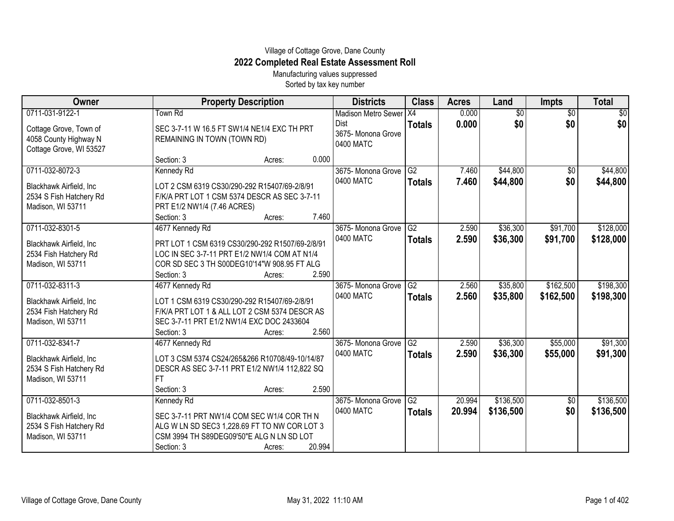## Village of Cottage Grove, Dane County **2022 Completed Real Estate Assessment Roll**

Manufacturing values suppressed Sorted by tax key number

| Owner                    |                                                 | <b>Property Description</b> |        | <b>Districts</b>               | <b>Class</b>    | <b>Acres</b>   | Land                   | <b>Impts</b>           | <b>Total</b>       |
|--------------------------|-------------------------------------------------|-----------------------------|--------|--------------------------------|-----------------|----------------|------------------------|------------------------|--------------------|
| 0711-031-9122-1          | Town Rd                                         |                             |        | Madison Metro Sewer X4<br>Dist | <b>Totals</b>   | 0.000<br>0.000 | $\overline{50}$<br>\$0 | $\overline{50}$<br>\$0 | $\sqrt{50}$<br>\$0 |
| Cottage Grove, Town of   | SEC 3-7-11 W 16.5 FT SW1/4 NE1/4 EXC TH PRT     |                             |        | 3675- Monona Grove             |                 |                |                        |                        |                    |
| 4058 County Highway N    | REMAINING IN TOWN (TOWN RD)                     |                             |        | 0400 MATC                      |                 |                |                        |                        |                    |
| Cottage Grove, WI 53527  |                                                 |                             |        |                                |                 |                |                        |                        |                    |
|                          | Section: 3                                      | Acres:                      | 0.000  |                                |                 |                |                        |                        |                    |
| 0711-032-8072-3          | Kennedy Rd                                      |                             |        | 3675- Monona Grove             | G2              | 7.460          | \$44,800               | $\overline{30}$        | \$44,800           |
| Blackhawk Airfield, Inc  | LOT 2 CSM 6319 CS30/290-292 R15407/69-2/8/91    |                             |        | 0400 MATC                      | <b>Totals</b>   | 7.460          | \$44,800               | \$0                    | \$44,800           |
| 2534 S Fish Hatchery Rd  | F/K/A PRT LOT 1 CSM 5374 DESCR AS SEC 3-7-11    |                             |        |                                |                 |                |                        |                        |                    |
| Madison, WI 53711        | PRT E1/2 NW1/4 (7.46 ACRES)                     |                             |        |                                |                 |                |                        |                        |                    |
|                          | Section: 3                                      | Acres:                      | 7.460  |                                |                 |                |                        |                        |                    |
| 0711-032-8301-5          | 4677 Kennedy Rd                                 |                             |        | 3675-Monona Grove              | G2              | 2.590          | \$36,300               | \$91,700               | \$128,000          |
| Blackhawk Airfield, Inc  | PRT LOT 1 CSM 6319 CS30/290-292 R1507/69-2/8/91 |                             |        | 0400 MATC                      | <b>Totals</b>   | 2.590          | \$36,300               | \$91,700               | \$128,000          |
| 2534 Fish Hatchery Rd    | LOC IN SEC 3-7-11 PRT E1/2 NW1/4 COM AT N1/4    |                             |        |                                |                 |                |                        |                        |                    |
| Madison, WI 53711        | COR SD SEC 3 TH S00DEG10'14"W 908.95 FT ALG     |                             |        |                                |                 |                |                        |                        |                    |
|                          | Section: 3                                      | Acres:                      | 2.590  |                                |                 |                |                        |                        |                    |
| 0711-032-8311-3          | 4677 Kennedy Rd                                 |                             |        | 3675- Monona Grove             | $\overline{G2}$ | 2.560          | \$35,800               | \$162,500              | \$198,300          |
| Blackhawk Airfield, Inc. | LOT 1 CSM 6319 CS30/290-292 R15407/69-2/8/91    |                             |        | 0400 MATC                      | <b>Totals</b>   | 2.560          | \$35,800               | \$162,500              | \$198,300          |
| 2534 Fish Hatchery Rd    | F/K/A PRT LOT 1 & ALL LOT 2 CSM 5374 DESCR AS   |                             |        |                                |                 |                |                        |                        |                    |
| Madison, WI 53711        | SEC 3-7-11 PRT E1/2 NW1/4 EXC DOC 2433604       |                             |        |                                |                 |                |                        |                        |                    |
|                          | Section: 3                                      | Acres:                      | 2.560  |                                |                 |                |                        |                        |                    |
| 0711-032-8341-7          | 4677 Kennedy Rd                                 |                             |        | 3675- Monona Grove             | G2              | 2.590          | \$36,300               | \$55,000               | \$91,300           |
|                          |                                                 |                             |        | 0400 MATC                      | <b>Totals</b>   | 2.590          | \$36,300               | \$55,000               | \$91,300           |
| Blackhawk Airfield, Inc  | LOT 3 CSM 5374 CS24/265&266 R10708/49-10/14/87  |                             |        |                                |                 |                |                        |                        |                    |
| 2534 S Fish Hatchery Rd  | DESCR AS SEC 3-7-11 PRT E1/2 NW1/4 112,822 SQ   |                             |        |                                |                 |                |                        |                        |                    |
| Madison, WI 53711        | FT<br>Section: 3                                |                             | 2.590  |                                |                 |                |                        |                        |                    |
| 0711-032-8501-3          | Kennedy Rd                                      | Acres:                      |        | 3675- Monona Grove             | $\overline{G2}$ | 20.994         | \$136,500              |                        | \$136,500          |
|                          |                                                 |                             |        | 0400 MATC                      |                 | 20.994         |                        | \$0<br>\$0             |                    |
| Blackhawk Airfield, Inc  | SEC 3-7-11 PRT NW1/4 COM SEC W1/4 COR TH N      |                             |        |                                | <b>Totals</b>   |                | \$136,500              |                        | \$136,500          |
| 2534 S Fish Hatchery Rd  | ALG W LN SD SEC3 1,228.69 FT TO NW COR LOT 3    |                             |        |                                |                 |                |                        |                        |                    |
| Madison, WI 53711        | CSM 3994 TH S89DEG09'50"E ALG N LN SD LOT       |                             |        |                                |                 |                |                        |                        |                    |
|                          | Section: 3                                      | Acres:                      | 20.994 |                                |                 |                |                        |                        |                    |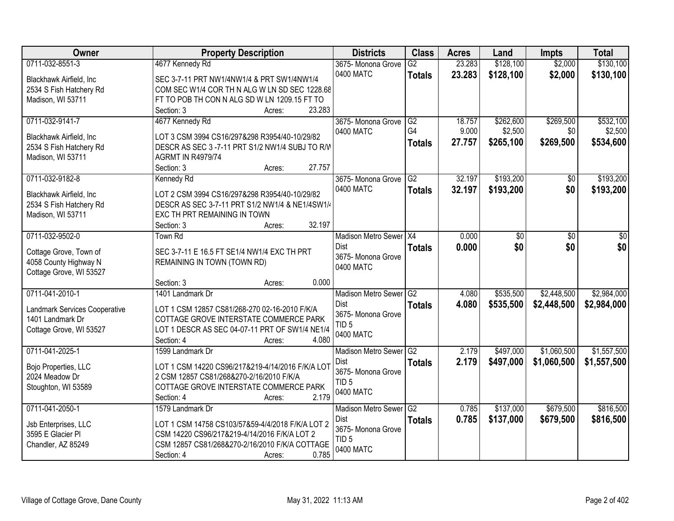| Owner                                           | <b>Property Description</b>                      | <b>Districts</b>           | <b>Class</b>    | <b>Acres</b> | Land      | <b>Impts</b> | <b>Total</b> |
|-------------------------------------------------|--------------------------------------------------|----------------------------|-----------------|--------------|-----------|--------------|--------------|
| 0711-032-8551-3                                 | 4677 Kennedy Rd                                  | 3675- Monona Grove         | $\overline{G2}$ | 23.283       | \$128,100 | \$2,000      | \$130,100    |
| Blackhawk Airfield, Inc                         | SEC 3-7-11 PRT NW1/4NW1/4 & PRT SW1/4NW1/4       | 0400 MATC                  | <b>Totals</b>   | 23.283       | \$128,100 | \$2,000      | \$130,100    |
| 2534 S Fish Hatchery Rd                         | COM SEC W1/4 COR TH N ALG W LN SD SEC 1228.68    |                            |                 |              |           |              |              |
| Madison, WI 53711                               | FT TO POB TH CON N ALG SD W LN 1209.15 FT TO     |                            |                 |              |           |              |              |
|                                                 | 23.283<br>Section: 3<br>Acres:                   |                            |                 |              |           |              |              |
| 0711-032-9141-7                                 | 4677 Kennedy Rd                                  | 3675- Monona Grove         | G2              | 18.757       | \$262,600 | \$269,500    | \$532,100    |
|                                                 |                                                  | 0400 MATC                  | G4              | 9.000        | \$2,500   | \$0          | \$2,500      |
| Blackhawk Airfield, Inc                         | LOT 3 CSM 3994 CS16/297&298 R3954/40-10/29/82    |                            | <b>Totals</b>   | 27.757       | \$265,100 | \$269,500    | \$534,600    |
| 2534 S Fish Hatchery Rd                         | DESCR AS SEC 3 -7-11 PRT S1/2 NW1/4 SUBJ TO R/W  |                            |                 |              |           |              |              |
| Madison, WI 53711                               | <b>AGRMT IN R4979/74</b><br>27.757               |                            |                 |              |           |              |              |
| 0711-032-9182-8                                 | Section: 3<br>Acres:                             | 3675- Monona Grove         | G2              | 32.197       | \$193,200 |              | \$193,200    |
|                                                 | Kennedy Rd                                       | 0400 MATC                  |                 |              |           | \$0          |              |
| Blackhawk Airfield, Inc                         | LOT 2 CSM 3994 CS16/297&298 R3954/40-10/29/82    |                            | <b>Totals</b>   | 32.197       | \$193,200 | \$0          | \$193,200    |
| 2534 S Fish Hatchery Rd                         | DESCR AS SEC 3-7-11 PRT S1/2 NW1/4 & NE1/4SW1/4  |                            |                 |              |           |              |              |
| Madison, WI 53711                               | EXC TH PRT REMAINING IN TOWN                     |                            |                 |              |           |              |              |
|                                                 | 32.197<br>Section: 3<br>Acres:                   |                            |                 |              |           |              |              |
| 0711-032-9502-0                                 | Town Rd                                          | Madison Metro Sewer X4     |                 | 0.000        | \$0       | \$0          | \$0          |
|                                                 | SEC 3-7-11 E 16.5 FT SE1/4 NW1/4 EXC TH PRT      | Dist                       | <b>Totals</b>   | 0.000        | \$0       | \$0          | \$0          |
| Cottage Grove, Town of<br>4058 County Highway N | REMAINING IN TOWN (TOWN RD)                      | 3675- Monona Grove         |                 |              |           |              |              |
| Cottage Grove, WI 53527                         |                                                  | 0400 MATC                  |                 |              |           |              |              |
|                                                 | 0.000<br>Section: 3<br>Acres:                    |                            |                 |              |           |              |              |
| 0711-041-2010-1                                 | 1401 Landmark Dr                                 | <b>Madison Metro Sewer</b> | $\overline{G2}$ | 4.080        | \$535,500 | \$2,448,500  | \$2,984,000  |
|                                                 |                                                  | <b>Dist</b>                | <b>Totals</b>   | 4.080        | \$535,500 | \$2,448,500  | \$2,984,000  |
| Landmark Services Cooperative                   | LOT 1 CSM 12857 CS81/268-270 02-16-2010 F/K/A    | 3675- Monona Grove         |                 |              |           |              |              |
| 1401 Landmark Dr                                | COTTAGE GROVE INTERSTATE COMMERCE PARK           | TID <sub>5</sub>           |                 |              |           |              |              |
| Cottage Grove, WI 53527                         | LOT 1 DESCR AS SEC 04-07-11 PRT OF SW1/4 NE1/4   | 0400 MATC                  |                 |              |           |              |              |
|                                                 | Section: 4<br>4.080<br>Acres:                    |                            |                 |              |           |              |              |
| 0711-041-2025-1                                 | 1599 Landmark Dr                                 | Madison Metro Sewer G2     |                 | 2.179        | \$497,000 | \$1,060,500  | \$1,557,500  |
| Bojo Properties, LLC                            | LOT 1 CSM 14220 CS96/217&219-4/14/2016 F/K/A LOT | Dist                       | <b>Totals</b>   | 2.179        | \$497,000 | \$1,060,500  | \$1,557,500  |
| 2024 Meadow Dr                                  | 2 CSM 12857 CS81/268&270-2/16/2010 F/K/A         | 3675- Monona Grove         |                 |              |           |              |              |
| Stoughton, WI 53589                             | COTTAGE GROVE INTERSTATE COMMERCE PARK           | TID <sub>5</sub>           |                 |              |           |              |              |
|                                                 | 2.179<br>Section: 4<br>Acres:                    | 0400 MATC                  |                 |              |           |              |              |
| 0711-041-2050-1                                 | 1579 Landmark Dr                                 | Madison Metro Sewer G2     |                 | 0.785        | \$137,000 | \$679,500    | \$816,500    |
|                                                 |                                                  | Dist                       | <b>Totals</b>   | 0.785        | \$137,000 | \$679,500    | \$816,500    |
| Jsb Enterprises, LLC                            | LOT 1 CSM 14758 CS103/57&59-4/4/2018 F/K/A LOT 2 | 3675- Monona Grove         |                 |              |           |              |              |
| 3595 E Glacier Pl                               | CSM 14220 CS96/217&219-4/14/2016 F/K/A LOT 2     | TID <sub>5</sub>           |                 |              |           |              |              |
| Chandler, AZ 85249                              | CSM 12857 CS81/268&270-2/16/2010 F/K/A COTTAGE   | 0400 MATC                  |                 |              |           |              |              |
|                                                 | 0.785<br>Section: 4<br>Acres:                    |                            |                 |              |           |              |              |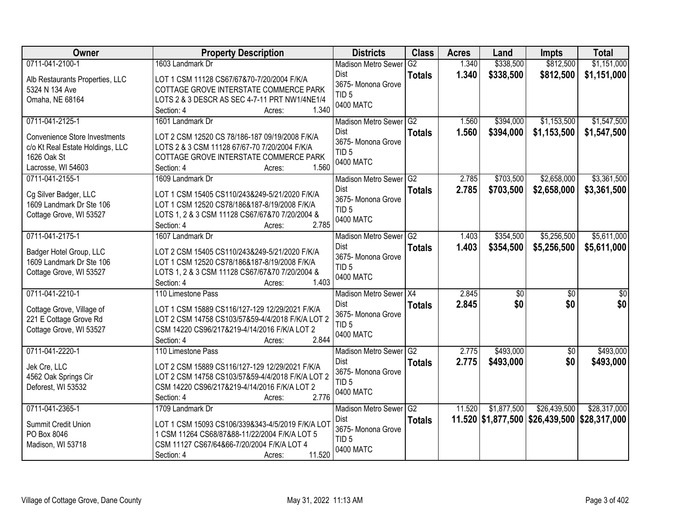| Owner                                               | <b>Property Description</b>                                                                      | <b>Districts</b>                 | <b>Class</b>  | <b>Acres</b> | Land            | Impts                                        | <b>Total</b>    |
|-----------------------------------------------------|--------------------------------------------------------------------------------------------------|----------------------------------|---------------|--------------|-----------------|----------------------------------------------|-----------------|
| 0711-041-2100-1                                     | 1603 Landmark Dr                                                                                 | <b>Madison Metro Sewer</b>       | G2            | 1.340        | \$338,500       | \$812,500                                    | \$1,151,000     |
| Alb Restaurants Properties, LLC                     | LOT 1 CSM 11128 CS67/67&70-7/20/2004 F/K/A                                                       | Dist                             | <b>Totals</b> | 1.340        | \$338,500       | \$812,500                                    | \$1,151,000     |
| 5324 N 134 Ave                                      | COTTAGE GROVE INTERSTATE COMMERCE PARK                                                           | 3675- Monona Grove               |               |              |                 |                                              |                 |
| Omaha, NE 68164                                     | LOTS 2 & 3 DESCR AS SEC 4-7-11 PRT NW1/4NE1/4                                                    | TID <sub>5</sub>                 |               |              |                 |                                              |                 |
|                                                     | 1.340<br>Section: 4<br>Acres:                                                                    | 0400 MATC                        |               |              |                 |                                              |                 |
| 0711-041-2125-1                                     | 1601 Landmark Dr                                                                                 | Madison Metro Sewer G2           |               | 1.560        | \$394,000       | \$1,153,500                                  | \$1,547,500     |
| <b>Convenience Store Investments</b>                | LOT 2 CSM 12520 CS 78/186-187 09/19/2008 F/K/A                                                   | <b>Dist</b>                      | <b>Totals</b> | 1.560        | \$394,000       | \$1,153,500                                  | \$1,547,500     |
| c/o Kt Real Estate Holdings, LLC                    | LOTS 2 & 3 CSM 11128 67/67-70 7/20/2004 F/K/A                                                    | 3675- Monona Grove               |               |              |                 |                                              |                 |
| 1626 Oak St                                         | COTTAGE GROVE INTERSTATE COMMERCE PARK                                                           | TID <sub>5</sub>                 |               |              |                 |                                              |                 |
| Lacrosse, WI 54603                                  | 1.560<br>Section: 4<br>Acres:                                                                    | 0400 MATC                        |               |              |                 |                                              |                 |
| 0711-041-2155-1                                     | 1609 Landmark Dr                                                                                 | Madison Metro Sewer G2           |               | 2.785        | \$703,500       | \$2,658,000                                  | \$3,361,500     |
| Cg Silver Badger, LLC                               | LOT 1 CSM 15405 CS110/243&249-5/21/2020 F/K/A                                                    | <b>Dist</b>                      | <b>Totals</b> | 2.785        | \$703,500       | \$2,658,000                                  | \$3,361,500     |
| 1609 Landmark Dr Ste 106                            | LOT 1 CSM 12520 CS78/186&187-8/19/2008 F/K/A                                                     | 3675- Monona Grove               |               |              |                 |                                              |                 |
| Cottage Grove, WI 53527                             | LOTS 1, 2 & 3 CSM 11128 CS67/67&70 7/20/2004 &                                                   | TID <sub>5</sub>                 |               |              |                 |                                              |                 |
|                                                     | 2.785<br>Section: 4<br>Acres:                                                                    | 0400 MATC                        |               |              |                 |                                              |                 |
| 0711-041-2175-1                                     | 1607 Landmark Dr                                                                                 | Madison Metro Sewer G2           |               | 1.403        | \$354,500       | \$5,256,500                                  | \$5,611,000     |
|                                                     |                                                                                                  | Dist                             | <b>Totals</b> | 1.403        | \$354,500       | \$5,256,500                                  | \$5,611,000     |
| Badger Hotel Group, LLC<br>1609 Landmark Dr Ste 106 | LOT 2 CSM 15405 CS110/243&249-5/21/2020 F/K/A<br>LOT 1 CSM 12520 CS78/186&187-8/19/2008 F/K/A    | 3675- Monona Grove               |               |              |                 |                                              |                 |
| Cottage Grove, WI 53527                             | LOTS 1, 2 & 3 CSM 11128 CS67/67&70 7/20/2004 &                                                   | TID <sub>5</sub>                 |               |              |                 |                                              |                 |
|                                                     | 1.403<br>Section: 4<br>Acres:                                                                    | 0400 MATC                        |               |              |                 |                                              |                 |
| 0711-041-2210-1                                     | 110 Limestone Pass                                                                               | Madison Metro Sewer   X4         |               | 2.845        | $\overline{50}$ | $\overline{50}$                              | $\overline{50}$ |
|                                                     |                                                                                                  | Dist                             | <b>Totals</b> | 2.845        | \$0             | \$0                                          | \$0             |
| Cottage Grove, Village of                           | LOT 1 CSM 15889 CS116/127-129 12/29/2021 F/K/A                                                   | 3675- Monona Grove               |               |              |                 |                                              |                 |
| 221 E Cottage Grove Rd<br>Cottage Grove, WI 53527   | LOT 2 CSM 14758 CS103/57&59-4/4/2018 F/K/A LOT 2<br>CSM 14220 CS96/217&219-4/14/2016 F/K/A LOT 2 | TID <sub>5</sub>                 |               |              |                 |                                              |                 |
|                                                     | Section: 4<br>2.844<br>Acres:                                                                    | 0400 MATC                        |               |              |                 |                                              |                 |
| 0711-041-2220-1                                     | 110 Limestone Pass                                                                               | Madison Metro Sewer G2           |               | 2.775        | \$493,000       | $\overline{50}$                              | \$493,000       |
|                                                     |                                                                                                  | <b>Dist</b>                      | <b>Totals</b> | 2.775        | \$493,000       | \$0                                          | \$493,000       |
| Jek Cre, LLC                                        | LOT 2 CSM 15889 CS116/127-129 12/29/2021 F/K/A                                                   | 3675- Monona Grove               |               |              |                 |                                              |                 |
| 4562 Oak Springs Cir                                | LOT 2 CSM 14758 CS103/57&59-4/4/2018 F/K/A LOT 2                                                 | TID <sub>5</sub>                 |               |              |                 |                                              |                 |
| Deforest, WI 53532                                  | CSM 14220 CS96/217&219-4/14/2016 F/K/A LOT 2                                                     | 0400 MATC                        |               |              |                 |                                              |                 |
|                                                     | 2.776<br>Section: 4<br>Acres:                                                                    |                                  |               |              |                 |                                              |                 |
| 0711-041-2365-1                                     | 1709 Landmark Dr                                                                                 | Madison Metro Sewer G2           |               | 11.520       | \$1,877,500     | \$26,439,500                                 | \$28,317,000    |
| Summit Credit Union                                 | LOT 1 CSM 15093 CS106/339&343-4/5/2019 F/K/A LOT                                                 | <b>Dist</b><br>3675-Monona Grove | <b>Totals</b> |              |                 | 11.520 \$1,877,500 \$26,439,500 \$28,317,000 |                 |
| PO Box 8046                                         | 1 CSM 11264 CS68/87&88-11/22/2004 F/K/A LOT 5                                                    | TID <sub>5</sub>                 |               |              |                 |                                              |                 |
| Madison, WI 53718                                   | CSM 11127 CS67/64&66-7/20/2004 F/K/A LOT 4                                                       | 0400 MATC                        |               |              |                 |                                              |                 |
|                                                     | 11.520<br>Section: 4<br>Acres:                                                                   |                                  |               |              |                 |                                              |                 |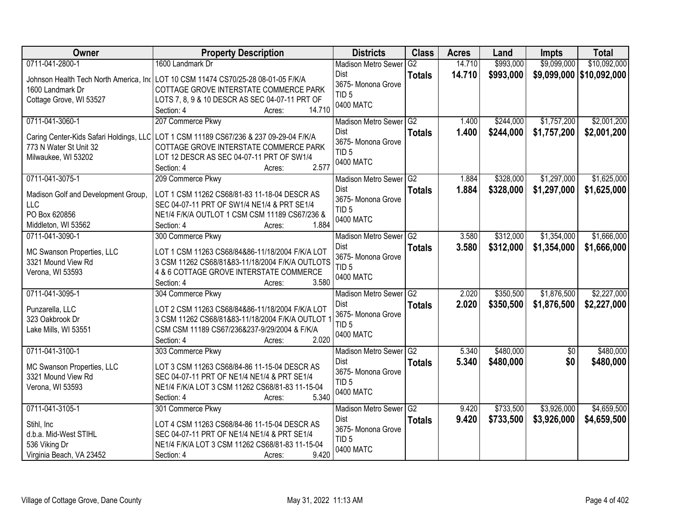| <b>Owner</b>                                                                            | <b>Property Description</b>                                                                                                                                                                                     | <b>Districts</b>                                                                                 | <b>Class</b>        | <b>Acres</b>   | Land                   | <b>Impts</b>               | <b>Total</b>               |
|-----------------------------------------------------------------------------------------|-----------------------------------------------------------------------------------------------------------------------------------------------------------------------------------------------------------------|--------------------------------------------------------------------------------------------------|---------------------|----------------|------------------------|----------------------------|----------------------------|
| 0711-041-2800-1                                                                         | 1600 Landmark Dr                                                                                                                                                                                                | <b>Madison Metro Sewer</b>                                                                       | $\overline{G2}$     | 14.710         | \$993,000              | \$9,099,000                | \$10,092,000               |
| 1600 Landmark Dr                                                                        | Johnson Health Tech North America, In( LOT 10 CSM 11474 CS70/25-28 08-01-05 F/K/A<br>COTTAGE GROVE INTERSTATE COMMERCE PARK                                                                                     | Dist<br>3675- Monona Grove                                                                       | <b>Totals</b>       | 14.710         | \$993,000              |                            | \$9,099,000   \$10,092,000 |
| Cottage Grove, WI 53527                                                                 | LOTS 7, 8, 9 & 10 DESCR AS SEC 04-07-11 PRT OF<br>14.710<br>Section: 4<br>Acres:                                                                                                                                | TID <sub>5</sub><br>0400 MATC                                                                    |                     |                |                        |                            |                            |
| 0711-041-3060-1                                                                         | 207 Commerce Pkwy                                                                                                                                                                                               | Madison Metro Sewer G2                                                                           |                     | 1.400          | \$244,000              | \$1,757,200                | \$2,001,200                |
| 773 N Water St Unit 32<br>Milwaukee, WI 53202                                           | Caring Center-Kids Safari Holdings, LLC   LOT 1 CSM 11189 CS67/236 & 237 09-29-04 F/K/A<br>COTTAGE GROVE INTERSTATE COMMERCE PARK<br>LOT 12 DESCR AS SEC 04-07-11 PRT OF SW1/4<br>2.577<br>Section: 4<br>Acres: | Dist<br>3675- Monona Grove<br>TID <sub>5</sub><br>0400 MATC                                      | <b>Totals</b>       | 1.400          | \$244,000              | \$1,757,200                | \$2,001,200                |
| 0711-041-3075-1                                                                         | 209 Commerce Pkwy                                                                                                                                                                                               | Madison Metro Sewer G2                                                                           |                     | 1.884          | \$328,000              | \$1,297,000                | \$1,625,000                |
| Madison Golf and Development Group,<br>LLC<br>PO Box 620856                             | LOT 1 CSM 11262 CS68/81-83 11-18-04 DESCR AS<br>SEC 04-07-11 PRT OF SW1/4 NE1/4 & PRT SE1/4<br>NE1/4 F/K/A OUTLOT 1 CSM CSM 11189 CS67/236 &                                                                    | <b>Dist</b><br>3675- Monona Grove<br>TID <sub>5</sub><br>0400 MATC                               | <b>Totals</b>       | 1.884          | \$328,000              | \$1,297,000                | \$1,625,000                |
| Middleton, WI 53562                                                                     | Section: 4<br>1.884<br>Acres:                                                                                                                                                                                   |                                                                                                  |                     |                |                        |                            |                            |
| 0711-041-3090-1<br>MC Swanson Properties, LLC<br>3321 Mound View Rd<br>Verona, WI 53593 | 300 Commerce Pkwy<br>LOT 1 CSM 11263 CS68/84&86-11/18/2004 F/K/A LOT<br>3 CSM 11262 CS68/81&83-11/18/2004 F/K/A OUTLOTS<br>4 & 6 COTTAGE GROVE INTERSTATE COMMERCE<br>3.580<br>Section: 4<br>Acres:             | <b>Madison Metro Sewer</b><br><b>Dist</b><br>3675- Monona Grove<br>TID <sub>5</sub><br>0400 MATC | G2<br><b>Totals</b> | 3.580<br>3.580 | \$312,000<br>\$312,000 | \$1,354,000<br>\$1,354,000 | \$1,666,000<br>\$1,666,000 |
| 0711-041-3095-1                                                                         | 304 Commerce Pkwy                                                                                                                                                                                               | Madison Metro Sewer                                                                              | G2                  | 2.020          | \$350,500              | \$1,876,500                | \$2,227,000                |
| Punzarella, LLC<br>323 Oakbrook Dr<br>Lake Mills, WI 53551                              | LOT 2 CSM 11263 CS68/84&86-11/18/2004 F/K/A LOT<br>3 CSM 11262 CS68/81&83-11/18/2004 F/K/A OUTLOT 1<br>CSM CSM 11189 CS67/236&237-9/29/2004 & F/K/A<br>Section: 4<br>2.020<br>Acres:                            | Dist<br>3675- Monona Grove<br>TID <sub>5</sub><br>0400 MATC                                      | <b>Totals</b>       | 2.020          | \$350,500              | \$1,876,500                | \$2,227,000                |
| 0711-041-3100-1                                                                         | 303 Commerce Pkwy                                                                                                                                                                                               | Madison Metro Sewer G2                                                                           |                     | 5.340          | \$480,000              | $\overline{50}$            | \$480,000                  |
| MC Swanson Properties, LLC<br>3321 Mound View Rd<br>Verona, WI 53593                    | LOT 3 CSM 11263 CS68/84-86 11-15-04 DESCR AS<br>SEC 04-07-11 PRT OF NE1/4 NE1/4 & PRT SE1/4<br>NE1/4 F/K/A LOT 3 CSM 11262 CS68/81-83 11-15-04<br>5.340<br>Section: 4<br>Acres:                                 | Dist<br>3675- Monona Grove<br>TID <sub>5</sub><br>0400 MATC                                      | <b>Totals</b>       | 5.340          | \$480,000              | \$0                        | \$480,000                  |
| 0711-041-3105-1                                                                         | 301 Commerce Pkwy                                                                                                                                                                                               | Madison Metro Sewer G2                                                                           |                     | 9.420          | \$733,500              | \$3,926,000                | \$4,659,500                |
| Stihl, Inc<br>d.b.a. Mid-West STIHL<br>536 Viking Dr<br>Virginia Beach, VA 23452        | LOT 4 CSM 11263 CS68/84-86 11-15-04 DESCR AS<br>SEC 04-07-11 PRT OF NE1/4 NE1/4 & PRT SE1/4<br>NE1/4 F/K/A LOT 3 CSM 11262 CS68/81-83 11-15-04<br>9.420<br>Section: 4<br>Acres:                                 | <b>Dist</b><br>3675- Monona Grove<br>TID <sub>5</sub><br>0400 MATC                               | <b>Totals</b>       | 9.420          | \$733,500              | \$3,926,000                | \$4,659,500                |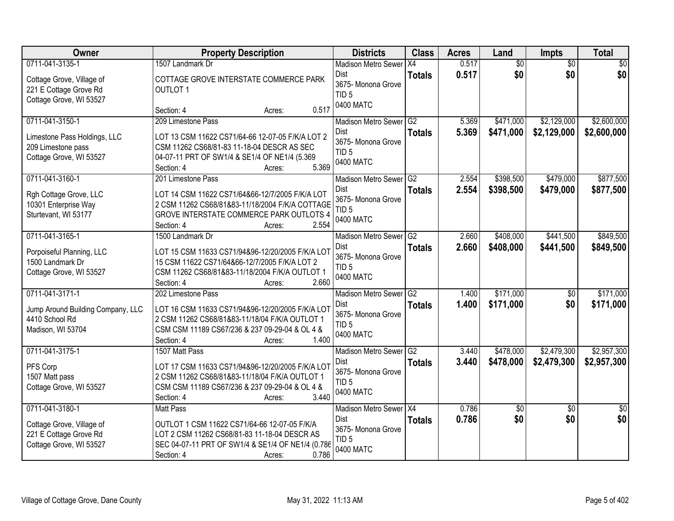| Owner                                                                                             | <b>Property Description</b>                                                                                                                                                                                 | <b>Districts</b>                                                                          | <b>Class</b>                     | <b>Acres</b>   | Land                   | <b>Impts</b>               | <b>Total</b>               |
|---------------------------------------------------------------------------------------------------|-------------------------------------------------------------------------------------------------------------------------------------------------------------------------------------------------------------|-------------------------------------------------------------------------------------------|----------------------------------|----------------|------------------------|----------------------------|----------------------------|
| 0711-041-3135-1                                                                                   | 1507 Landmark Dr                                                                                                                                                                                            | <b>Madison Metro Sewer</b>                                                                | IX4                              | 0.517          | $\overline{60}$        | $\overline{50}$            | \$0                        |
| Cottage Grove, Village of<br>221 E Cottage Grove Rd<br>Cottage Grove, WI 53527                    | COTTAGE GROVE INTERSTATE COMMERCE PARK<br><b>OUTLOT 1</b>                                                                                                                                                   | Dist<br>3675- Monona Grove<br>TID <sub>5</sub><br>0400 MATC                               | <b>Totals</b>                    | 0.517          | \$0                    | \$0                        | \$0                        |
|                                                                                                   | 0.517<br>Section: 4<br>Acres:                                                                                                                                                                               |                                                                                           |                                  |                |                        |                            |                            |
| 0711-041-3150-1<br>Limestone Pass Holdings, LLC<br>209 Limestone pass<br>Cottage Grove, WI 53527  | 209 Limestone Pass<br>LOT 13 CSM 11622 CS71/64-66 12-07-05 F/K/A LOT 2<br>CSM 11262 CS68/81-83 11-18-04 DESCR AS SEC<br>04-07-11 PRT OF SW1/4 & SE1/4 OF NE1/4 (5.369<br>5.369<br>Section: 4<br>Acres:      | Madison Metro Sewer G2<br>Dist<br>3675- Monona Grove<br>TID <sub>5</sub><br>0400 MATC     | <b>Totals</b>                    | 5.369<br>5.369 | \$471,000<br>\$471,000 | \$2,129,000<br>\$2,129,000 | \$2,600,000<br>\$2,600,000 |
| 0711-041-3160-1                                                                                   | 201 Limestone Pass                                                                                                                                                                                          | Madison Metro Sewer G2                                                                    |                                  | 2.554          | \$398,500              | \$479,000                  | \$877,500                  |
| Rgh Cottage Grove, LLC<br>10301 Enterprise Way<br>Sturtevant, WI 53177                            | LOT 14 CSM 11622 CS71/64&66-12/7/2005 F/K/A LOT<br>2 CSM 11262 CS68/81&83-11/18/2004 F/K/A COTTAGE<br>GROVE INTERSTATE COMMERCE PARK OUTLOTS 4<br>Section: 4<br>2.554<br>Acres:                             | Dist<br>3675- Monona Grove<br>TID <sub>5</sub><br>0400 MATC                               | <b>Totals</b>                    | 2.554          | \$398,500              | \$479,000                  | \$877,500                  |
| 0711-041-3165-1                                                                                   | 1500 Landmark Dr                                                                                                                                                                                            | Madison Metro Sewer G2                                                                    |                                  | 2.660          | \$408,000              | \$441,500                  | \$849,500                  |
| Porpoiseful Planning, LLC<br>1500 Landmark Dr<br>Cottage Grove, WI 53527                          | LOT 15 CSM 11633 CS71/94&96-12/20/2005 F/K/A LOT<br>15 CSM 11622 CS71/64&66-12/7/2005 F/K/A LOT 2<br>CSM 11262 CS68/81&83-11/18/2004 F/K/A OUTLOT 1<br>2.660<br>Section: 4<br>Acres:                        | Dist<br>3675- Monona Grove<br>TID <sub>5</sub><br>0400 MATC                               | <b>Totals</b>                    | 2.660          | \$408,000              | \$441,500                  | \$849,500                  |
| 0711-041-3171-1<br>Jump Around Building Company, LLC<br>4410 School Rd<br>Madison, WI 53704       | 202 Limestone Pass<br>LOT 16 CSM 11633 CS71/94&96-12/20/2005 F/K/A LOT<br>2 CSM 11262 CS68/81&83-11/18/04 F/K/A OUTLOT 1<br>CSM CSM 11189 CS67/236 & 237 09-29-04 & OL 4 &<br>1.400<br>Section: 4<br>Acres: | <b>Madison Metro Sewer</b><br>Dist<br>3675- Monona Grove<br>TID <sub>5</sub><br>0400 MATC | $\overline{G2}$<br><b>Totals</b> | 1.400<br>1.400 | \$171,000<br>\$171,000 | $\overline{50}$<br>\$0     | \$171,000<br>\$171,000     |
| 0711-041-3175-1                                                                                   | 1507 Matt Pass                                                                                                                                                                                              | Madison Metro Sewer G2                                                                    |                                  | 3.440          | \$478,000              | \$2,479,300                | \$2,957,300                |
| PFS Corp<br>1507 Matt pass<br>Cottage Grove, WI 53527                                             | LOT 17 CSM 11633 CS71/94&96-12/20/2005 F/K/A LOT<br>2 CSM 11262 CS68/81&83-11/18/04 F/K/A OUTLOT 1<br>CSM CSM 11189 CS67/236 & 237 09-29-04 & OL 4 &<br>3.440<br>Section: 4<br>Acres:                       | Dist<br>3675- Monona Grove<br>TID <sub>5</sub><br>0400 MATC                               | <b>Totals</b>                    | 3.440          | \$478,000              | \$2,479,300                | \$2,957,300                |
| 0711-041-3180-1<br>Cottage Grove, Village of<br>221 E Cottage Grove Rd<br>Cottage Grove, WI 53527 | <b>Matt Pass</b><br>OUTLOT 1 CSM 11622 CS71/64-66 12-07-05 F/K/A<br>LOT 2 CSM 11262 CS68/81-83 11-18-04 DESCR AS<br>SEC 04-07-11 PRT OF SW1/4 & SE1/4 OF NE1/4 (0.786<br>0.786<br>Section: 4<br>Acres:      | Madison Metro Sewer X4<br>Dist<br>3675- Monona Grove<br>TID <sub>5</sub><br>0400 MATC     | <b>Totals</b>                    | 0.786<br>0.786 | $\sqrt{$0}$<br>\$0     | $\overline{30}$<br>\$0     | $\overline{50}$<br>\$0     |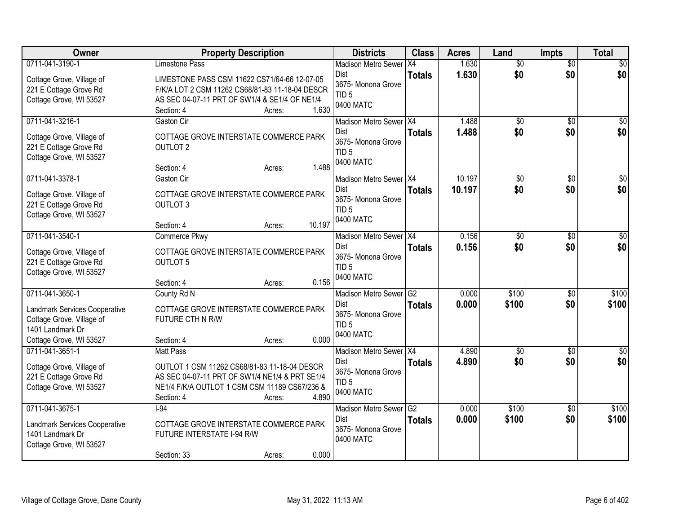| Owner                                         | <b>Property Description</b>                     | <b>Districts</b>           | <b>Class</b>    | <b>Acres</b> | Land            | <b>Impts</b>    | <b>Total</b> |
|-----------------------------------------------|-------------------------------------------------|----------------------------|-----------------|--------------|-----------------|-----------------|--------------|
| 0711-041-3190-1                               | <b>Limestone Pass</b>                           | <b>Madison Metro Sewer</b> | X4              | 1.630        | $\overline{50}$ | $\overline{50}$ | \$0          |
| Cottage Grove, Village of                     | LIMESTONE PASS CSM 11622 CS71/64-66 12-07-05    | Dist<br>3675- Monona Grove | <b>Totals</b>   | 1.630        | \$0             | \$0             | \$0          |
| 221 E Cottage Grove Rd                        | F/K/A LOT 2 CSM 11262 CS68/81-83 11-18-04 DESCR | TID <sub>5</sub>           |                 |              |                 |                 |              |
| Cottage Grove, WI 53527                       | AS SEC 04-07-11 PRT OF SW1/4 & SE1/4 OF NE1/4   | 0400 MATC                  |                 |              |                 |                 |              |
|                                               | 1.630<br>Section: 4<br>Acres:                   |                            |                 |              |                 |                 |              |
| 0711-041-3216-1                               | Gaston Cir                                      | Madison Metro Sewer X4     |                 | 1.488        | $\overline{50}$ | $\overline{50}$ | \$0          |
| Cottage Grove, Village of                     | COTTAGE GROVE INTERSTATE COMMERCE PARK          | Dist                       | <b>Totals</b>   | 1.488        | \$0             | \$0             | \$0          |
| 221 E Cottage Grove Rd                        | <b>OUTLOT 2</b>                                 | 3675- Monona Grove         |                 |              |                 |                 |              |
| Cottage Grove, WI 53527                       |                                                 | TID <sub>5</sub>           |                 |              |                 |                 |              |
|                                               | 1.488<br>Section: 4<br>Acres:                   | 0400 MATC                  |                 |              |                 |                 |              |
| 0711-041-3378-1                               | Gaston Cir                                      | Madison Metro Sewer X4     |                 | 10.197       | $\overline{50}$ | \$0             | $\sqrt{50}$  |
| Cottage Grove, Village of                     | COTTAGE GROVE INTERSTATE COMMERCE PARK          | <b>Dist</b>                | <b>Totals</b>   | 10.197       | \$0             | \$0             | \$0          |
| 221 E Cottage Grove Rd                        | <b>OUTLOT 3</b>                                 | 3675- Monona Grove         |                 |              |                 |                 |              |
| Cottage Grove, WI 53527                       |                                                 | TID <sub>5</sub>           |                 |              |                 |                 |              |
|                                               | 10.197<br>Section: 4<br>Acres:                  | 0400 MATC                  |                 |              |                 |                 |              |
| 0711-041-3540-1                               | <b>Commerce Pkwy</b>                            | Madison Metro Sewer X4     |                 | 0.156        | \$0             | $\sqrt[6]{3}$   | \$0          |
| Cottage Grove, Village of                     | COTTAGE GROVE INTERSTATE COMMERCE PARK          | Dist                       | <b>Totals</b>   | 0.156        | \$0             | \$0             | \$0          |
| 221 E Cottage Grove Rd                        | <b>OUTLOT 5</b>                                 | 3675- Monona Grove         |                 |              |                 |                 |              |
| Cottage Grove, WI 53527                       |                                                 | TID <sub>5</sub>           |                 |              |                 |                 |              |
|                                               | 0.156<br>Section: 4<br>Acres:                   | 0400 MATC                  |                 |              |                 |                 |              |
| 0711-041-3650-1                               | County Rd N                                     | <b>Madison Metro Sewer</b> | G2              | 0.000        | \$100           | \$0             | \$100        |
|                                               |                                                 | Dist                       | <b>Totals</b>   | 0.000        | \$100           | \$0             | \$100        |
| Landmark Services Cooperative                 | COTTAGE GROVE INTERSTATE COMMERCE PARK          | 3675- Monona Grove         |                 |              |                 |                 |              |
| Cottage Grove, Village of<br>1401 Landmark Dr | FUTURE CTH N R/W                                | TID <sub>5</sub>           |                 |              |                 |                 |              |
| Cottage Grove, WI 53527                       | 0.000<br>Section: 4<br>Acres:                   | 0400 MATC                  |                 |              |                 |                 |              |
| 0711-041-3651-1                               | Matt Pass                                       | Madison Metro Sewer X4     |                 | 4.890        | $\sqrt{$0}$     | \$0             | \$0          |
|                                               |                                                 | Dist                       | <b>Totals</b>   | 4.890        | \$0             | \$0             | \$0          |
| Cottage Grove, Village of                     | OUTLOT 1 CSM 11262 CS68/81-83 11-18-04 DESCR    | 3675- Monona Grove         |                 |              |                 |                 |              |
| 221 E Cottage Grove Rd                        | AS SEC 04-07-11 PRT OF SW1/4 NE1/4 & PRT SE1/4  | TID <sub>5</sub>           |                 |              |                 |                 |              |
| Cottage Grove, WI 53527                       | NE1/4 F/K/A OUTLOT 1 CSM CSM 11189 CS67/236 &   | 0400 MATC                  |                 |              |                 |                 |              |
|                                               | 4.890<br>Section: 4<br>Acres:                   |                            |                 |              |                 |                 |              |
| 0711-041-3675-1                               | $I-94$                                          | <b>Madison Metro Sewer</b> | $\overline{G2}$ | 0.000        | \$100           | $\overline{30}$ | \$100        |
| Landmark Services Cooperative                 | COTTAGE GROVE INTERSTATE COMMERCE PARK          | Dist<br>3675- Monona Grove | <b>Totals</b>   | 0.000        | \$100           | \$0             | \$100        |
| 1401 Landmark Dr                              | FUTURE INTERSTATE I-94 R/W                      | 0400 MATC                  |                 |              |                 |                 |              |
| Cottage Grove, WI 53527                       |                                                 |                            |                 |              |                 |                 |              |
|                                               | 0.000<br>Section: 33<br>Acres:                  |                            |                 |              |                 |                 |              |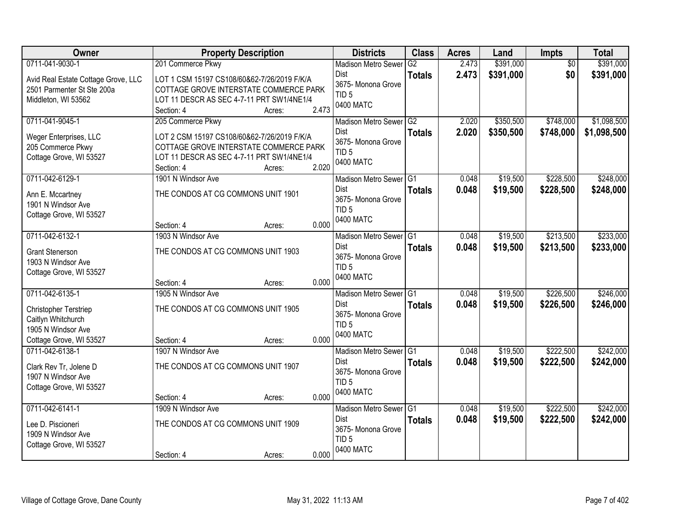| Owner                                  | <b>Property Description</b>                 |                 | <b>Districts</b>                       | <b>Class</b>  | <b>Acres</b> | Land      | <b>Impts</b>    | <b>Total</b> |
|----------------------------------------|---------------------------------------------|-----------------|----------------------------------------|---------------|--------------|-----------|-----------------|--------------|
| 0711-041-9030-1                        | 201 Commerce Pkwy                           |                 | <b>Madison Metro Sewer</b>             | G2            | 2.473        | \$391,000 | $\overline{50}$ | \$391,000    |
| Avid Real Estate Cottage Grove, LLC    | LOT 1 CSM 15197 CS108/60&62-7/26/2019 F/K/A |                 | Dist                                   | <b>Totals</b> | 2.473        | \$391,000 | \$0             | \$391,000    |
| 2501 Parmenter St Ste 200a             | COTTAGE GROVE INTERSTATE COMMERCE PARK      |                 | 3675- Monona Grove<br>TID <sub>5</sub> |               |              |           |                 |              |
| Middleton, WI 53562                    | LOT 11 DESCR AS SEC 4-7-11 PRT SW1/4NE1/4   |                 | 0400 MATC                              |               |              |           |                 |              |
|                                        | Section: 4                                  | 2.473<br>Acres: |                                        |               |              |           |                 |              |
| 0711-041-9045-1                        | 205 Commerce Pkwy                           |                 | Madison Metro Sewer                    | G2            | 2.020        | \$350,500 | \$748,000       | \$1,098,500  |
| Weger Enterprises, LLC                 | LOT 2 CSM 15197 CS108/60&62-7/26/2019 F/K/A |                 | <b>Dist</b>                            | <b>Totals</b> | 2.020        | \$350,500 | \$748,000       | \$1,098,500  |
| 205 Commerce Pkwy                      | COTTAGE GROVE INTERSTATE COMMERCE PARK      |                 | 3675- Monona Grove                     |               |              |           |                 |              |
| Cottage Grove, WI 53527                | LOT 11 DESCR AS SEC 4-7-11 PRT SW1/4NE1/4   |                 | TID <sub>5</sub>                       |               |              |           |                 |              |
|                                        | Section: 4                                  | 2.020<br>Acres: | 0400 MATC                              |               |              |           |                 |              |
| 0711-042-6129-1                        | 1901 N Windsor Ave                          |                 | Madison Metro Sewer G1                 |               | 0.048        | \$19,500  | \$228,500       | \$248,000    |
|                                        | THE CONDOS AT CG COMMONS UNIT 1901          |                 | <b>Dist</b>                            | <b>Totals</b> | 0.048        | \$19,500  | \$228,500       | \$248,000    |
| Ann E. Mccartney<br>1901 N Windsor Ave |                                             |                 | 3675- Monona Grove                     |               |              |           |                 |              |
| Cottage Grove, WI 53527                |                                             |                 | TID <sub>5</sub>                       |               |              |           |                 |              |
|                                        | Section: 4                                  | 0.000<br>Acres: | 0400 MATC                              |               |              |           |                 |              |
| 0711-042-6132-1                        | 1903 N Windsor Ave                          |                 | Madison Metro Sewer G1                 |               | 0.048        | \$19,500  | \$213,500       | \$233,000    |
|                                        |                                             |                 | Dist                                   | <b>Totals</b> | 0.048        | \$19,500  | \$213,500       | \$233,000    |
| <b>Grant Stenerson</b>                 | THE CONDOS AT CG COMMONS UNIT 1903          |                 | 3675- Monona Grove                     |               |              |           |                 |              |
| 1903 N Windsor Ave                     |                                             |                 | TID <sub>5</sub>                       |               |              |           |                 |              |
| Cottage Grove, WI 53527                | Section: 4                                  | 0.000<br>Acres: | 0400 MATC                              |               |              |           |                 |              |
| 0711-042-6135-1                        | 1905 N Windsor Ave                          |                 | Madison Metro Sewer G1                 |               | 0.048        | \$19,500  | \$226,500       | \$246,000    |
|                                        |                                             |                 | <b>Dist</b>                            | <b>Totals</b> | 0.048        | \$19,500  | \$226,500       | \$246,000    |
| <b>Christopher Terstriep</b>           | THE CONDOS AT CG COMMONS UNIT 1905          |                 | 3675- Monona Grove                     |               |              |           |                 |              |
| Caitlyn Whitchurch                     |                                             |                 | TID <sub>5</sub>                       |               |              |           |                 |              |
| 1905 N Windsor Ave                     |                                             |                 | 0400 MATC                              |               |              |           |                 |              |
| Cottage Grove, WI 53527                | Section: 4                                  | 0.000<br>Acres: |                                        |               |              |           |                 |              |
| 0711-042-6138-1                        | 1907 N Windsor Ave                          |                 | Madison Metro Sewer <sup>G1</sup>      |               | 0.048        | \$19,500  | \$222,500       | \$242,000    |
| Clark Rev Tr, Jolene D                 | THE CONDOS AT CG COMMONS UNIT 1907          |                 | <b>Dist</b><br>3675- Monona Grove      | <b>Totals</b> | 0.048        | \$19,500  | \$222,500       | \$242,000    |
| 1907 N Windsor Ave                     |                                             |                 | TID <sub>5</sub>                       |               |              |           |                 |              |
| Cottage Grove, WI 53527                |                                             |                 | 0400 MATC                              |               |              |           |                 |              |
|                                        | Section: 4                                  | 0.000<br>Acres: |                                        |               |              |           |                 |              |
| 0711-042-6141-1                        | 1909 N Windsor Ave                          |                 | Madison Metro Sewer G1                 |               | 0.048        | \$19,500  | \$222,500       | \$242,000    |
| Lee D. Piscioneri                      | THE CONDOS AT CG COMMONS UNIT 1909          |                 | Dist                                   | <b>Totals</b> | 0.048        | \$19,500  | \$222,500       | \$242,000    |
| 1909 N Windsor Ave                     |                                             |                 | 3675- Monona Grove                     |               |              |           |                 |              |
| Cottage Grove, WI 53527                |                                             |                 | TID <sub>5</sub>                       |               |              |           |                 |              |
|                                        | Section: 4                                  | 0.000<br>Acres: | 0400 MATC                              |               |              |           |                 |              |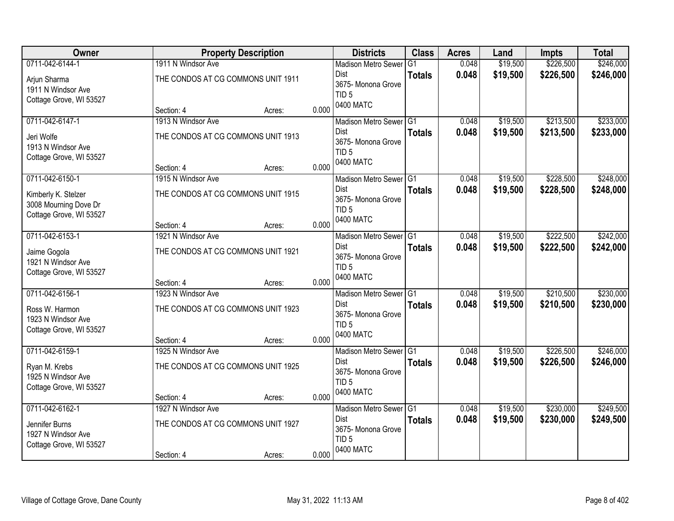| Owner                                                                              |                                                                        | <b>Property Description</b>        |       | <b>Districts</b>                                                                             | <b>Class</b>  | <b>Acres</b>   | Land                 | <b>Impts</b>           | <b>Total</b>           |
|------------------------------------------------------------------------------------|------------------------------------------------------------------------|------------------------------------|-------|----------------------------------------------------------------------------------------------|---------------|----------------|----------------------|------------------------|------------------------|
| 0711-042-6144-1                                                                    | 1911 N Windsor Ave                                                     |                                    |       | <b>Madison Metro Sewer</b>                                                                   | G1            | 0.048          | \$19,500             | \$226,500              | \$246,000              |
| Arjun Sharma<br>1911 N Windsor Ave<br>Cottage Grove, WI 53527                      |                                                                        | THE CONDOS AT CG COMMONS UNIT 1911 |       | Dist<br>3675- Monona Grove<br>TID <sub>5</sub>                                               | <b>Totals</b> | 0.048          | \$19,500             | \$226,500              | \$246,000              |
|                                                                                    | Section: 4                                                             | Acres:                             | 0.000 | 0400 MATC                                                                                    |               |                |                      |                        |                        |
| 0711-042-6147-1                                                                    | 1913 N Windsor Ave                                                     |                                    |       | Madison Metro Sewer G1                                                                       |               | 0.048          | \$19,500             | \$213,500              | \$233,000              |
| Jeri Wolfe<br>1913 N Windsor Ave<br>Cottage Grove, WI 53527                        | THE CONDOS AT CG COMMONS UNIT 1913                                     |                                    |       | <b>Dist</b><br>3675- Monona Grove<br>TID <sub>5</sub><br>0400 MATC                           | <b>Totals</b> | 0.048          | \$19,500             | \$213,500              | \$233,000              |
|                                                                                    | Section: 4                                                             | Acres:                             | 0.000 |                                                                                              |               |                |                      |                        |                        |
| 0711-042-6150-1                                                                    | 1915 N Windsor Ave                                                     |                                    |       | Madison Metro Sewer G1<br>Dist                                                               |               | 0.048          | \$19,500             | \$228,500              | \$248,000              |
| Kimberly K. Stelzer<br>3008 Mourning Dove Dr<br>Cottage Grove, WI 53527            | THE CONDOS AT CG COMMONS UNIT 1915                                     |                                    |       | 3675- Monona Grove<br>TID <sub>5</sub>                                                       | <b>Totals</b> | 0.048          | \$19,500             | \$228,500              | \$248,000              |
|                                                                                    | Section: 4                                                             | Acres:                             | 0.000 | 0400 MATC                                                                                    |               |                |                      |                        |                        |
| 0711-042-6153-1                                                                    | 1921 N Windsor Ave                                                     |                                    |       | Madison Metro Sewer G1                                                                       |               | 0.048          | \$19,500             | \$222,500              | \$242,000              |
| Jaime Gogola<br>1921 N Windsor Ave<br>Cottage Grove, WI 53527                      | THE CONDOS AT CG COMMONS UNIT 1921                                     |                                    |       | Dist<br>3675- Monona Grove<br>TID <sub>5</sub>                                               | <b>Totals</b> | 0.048          | \$19,500             | \$222,500              | \$242,000              |
|                                                                                    | Section: 4                                                             | Acres:                             | 0.000 | 0400 MATC                                                                                    |               |                |                      |                        |                        |
| 0711-042-6156-1                                                                    | 1923 N Windsor Ave                                                     |                                    |       | Madison Metro Sewer <sup>G1</sup>                                                            |               | 0.048          | \$19,500             | \$210,500              | \$230,000              |
| Ross W. Harmon<br>1923 N Windsor Ave<br>Cottage Grove, WI 53527                    | THE CONDOS AT CG COMMONS UNIT 1923<br>Section: 4                       | Acres:                             | 0.000 | <b>Dist</b><br>3675- Monona Grove<br>TID <sub>5</sub><br>0400 MATC                           | <b>Totals</b> | 0.048          | \$19,500             | \$210,500              | \$230,000              |
| 0711-042-6159-1                                                                    | 1925 N Windsor Ave                                                     |                                    |       | Madison Metro Sewer G1                                                                       |               | 0.048          | \$19,500             | \$226,500              | \$246,000              |
| Ryan M. Krebs<br>1925 N Windsor Ave<br>Cottage Grove, WI 53527                     | THE CONDOS AT CG COMMONS UNIT 1925                                     |                                    |       | Dist<br>3675- Monona Grove<br>TID <sub>5</sub><br>0400 MATC                                  | <b>Totals</b> | 0.048          | \$19,500             | \$226,500              | \$246,000              |
|                                                                                    | Section: 4                                                             | Acres:                             | 0.000 |                                                                                              |               |                |                      |                        |                        |
| 0711-042-6162-1<br>Jennifer Burns<br>1927 N Windsor Ave<br>Cottage Grove, WI 53527 | 1927 N Windsor Ave<br>THE CONDOS AT CG COMMONS UNIT 1927<br>Section: 4 | Acres:                             | 0.000 | Madison Metro Sewer G1<br><b>Dist</b><br>3675- Monona Grove<br>TID <sub>5</sub><br>0400 MATC | <b>Totals</b> | 0.048<br>0.048 | \$19,500<br>\$19,500 | \$230,000<br>\$230,000 | \$249,500<br>\$249,500 |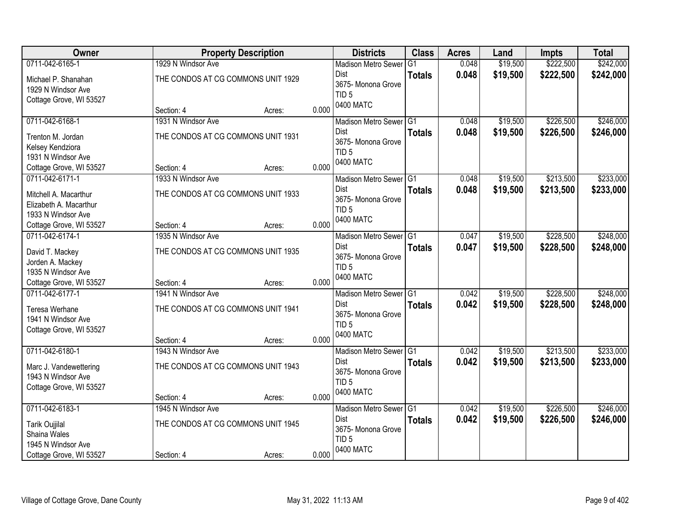| Owner                               |                                    | <b>Property Description</b> |       | <b>Districts</b>                       | <b>Class</b>  | <b>Acres</b> | Land     | <b>Impts</b> | <b>Total</b> |
|-------------------------------------|------------------------------------|-----------------------------|-------|----------------------------------------|---------------|--------------|----------|--------------|--------------|
| 0711-042-6165-1                     | 1929 N Windsor Ave                 |                             |       | <b>Madison Metro Sewer</b>             | G1            | 0.048        | \$19,500 | \$222,500    | \$242,000    |
| Michael P. Shanahan                 | THE CONDOS AT CG COMMONS UNIT 1929 |                             |       | Dist                                   | <b>Totals</b> | 0.048        | \$19,500 | \$222,500    | \$242,000    |
| 1929 N Windsor Ave                  |                                    |                             |       | 3675- Monona Grove                     |               |              |          |              |              |
| Cottage Grove, WI 53527             |                                    |                             |       | TID <sub>5</sub>                       |               |              |          |              |              |
|                                     | Section: 4                         | Acres:                      | 0.000 | 0400 MATC                              |               |              |          |              |              |
| 0711-042-6168-1                     | 1931 N Windsor Ave                 |                             |       | Madison Metro Sewer G1                 |               | 0.048        | \$19,500 | \$226,500    | \$246,000    |
| Trenton M. Jordan                   | THE CONDOS AT CG COMMONS UNIT 1931 |                             |       | Dist                                   | <b>Totals</b> | 0.048        | \$19,500 | \$226,500    | \$246,000    |
| Kelsey Kendziora                    |                                    |                             |       | 3675- Monona Grove                     |               |              |          |              |              |
| 1931 N Windsor Ave                  |                                    |                             |       | TID <sub>5</sub>                       |               |              |          |              |              |
| Cottage Grove, WI 53527             | Section: 4                         | Acres:                      | 0.000 | 0400 MATC                              |               |              |          |              |              |
| 0711-042-6171-1                     | 1933 N Windsor Ave                 |                             |       | Madison Metro Sewer G1                 |               | 0.048        | \$19,500 | \$213,500    | \$233,000    |
| Mitchell A. Macarthur               | THE CONDOS AT CG COMMONS UNIT 1933 |                             |       | Dist                                   | <b>Totals</b> | 0.048        | \$19,500 | \$213,500    | \$233,000    |
| Elizabeth A. Macarthur              |                                    |                             |       | 3675- Monona Grove                     |               |              |          |              |              |
| 1933 N Windsor Ave                  |                                    |                             |       | TID <sub>5</sub>                       |               |              |          |              |              |
| Cottage Grove, WI 53527             | Section: 4                         | Acres:                      | 0.000 | 0400 MATC                              |               |              |          |              |              |
| 0711-042-6174-1                     | 1935 N Windsor Ave                 |                             |       | Madison Metro Sewer G1                 |               | 0.047        | \$19,500 | \$228,500    | \$248,000    |
|                                     | THE CONDOS AT CG COMMONS UNIT 1935 |                             |       | Dist                                   | <b>Totals</b> | 0.047        | \$19,500 | \$228,500    | \$248,000    |
| David T. Mackey<br>Jorden A. Mackey |                                    |                             |       | 3675- Monona Grove                     |               |              |          |              |              |
| 1935 N Windsor Ave                  |                                    |                             |       | TID <sub>5</sub>                       |               |              |          |              |              |
| Cottage Grove, WI 53527             | Section: 4                         | Acres:                      | 0.000 | 0400 MATC                              |               |              |          |              |              |
| 0711-042-6177-1                     | 1941 N Windsor Ave                 |                             |       | <b>Madison Metro Sewer</b>             | G1            | 0.042        | \$19,500 | \$228,500    | \$248,000    |
|                                     |                                    |                             |       | Dist                                   | <b>Totals</b> | 0.042        | \$19,500 | \$228,500    | \$248,000    |
| Teresa Werhane                      | THE CONDOS AT CG COMMONS UNIT 1941 |                             |       | 3675- Monona Grove                     |               |              |          |              |              |
| 1941 N Windsor Ave                  |                                    |                             |       | TID <sub>5</sub>                       |               |              |          |              |              |
| Cottage Grove, WI 53527             |                                    |                             |       | 0400 MATC                              |               |              |          |              |              |
|                                     | Section: 4                         | Acres:                      | 0.000 |                                        |               |              |          |              |              |
| 0711-042-6180-1                     | 1943 N Windsor Ave                 |                             |       | Madison Metro Sewer G1<br>Dist         |               | 0.042        | \$19,500 | \$213,500    | \$233,000    |
| Marc J. Vandewettering              | THE CONDOS AT CG COMMONS UNIT 1943 |                             |       | 3675- Monona Grove                     | <b>Totals</b> | 0.042        | \$19,500 | \$213,500    | \$233,000    |
| 1943 N Windsor Ave                  |                                    |                             |       | TID <sub>5</sub>                       |               |              |          |              |              |
| Cottage Grove, WI 53527             |                                    |                             |       | 0400 MATC                              |               |              |          |              |              |
|                                     | Section: 4                         | Acres:                      | 0.000 |                                        |               |              |          |              |              |
| 0711-042-6183-1                     | 1945 N Windsor Ave                 |                             |       | Madison Metro Sewer G1                 |               | 0.042        | \$19,500 | \$226,500    | \$246,000    |
| <b>Tarik Oujjilal</b>               | THE CONDOS AT CG COMMONS UNIT 1945 |                             |       | Dist                                   | <b>Totals</b> | 0.042        | \$19,500 | \$226,500    | \$246,000    |
| Shaina Wales                        |                                    |                             |       | 3675- Monona Grove<br>TID <sub>5</sub> |               |              |          |              |              |
| 1945 N Windsor Ave                  |                                    |                             |       | 0400 MATC                              |               |              |          |              |              |
| Cottage Grove, WI 53527             | Section: 4                         | Acres:                      | 0.000 |                                        |               |              |          |              |              |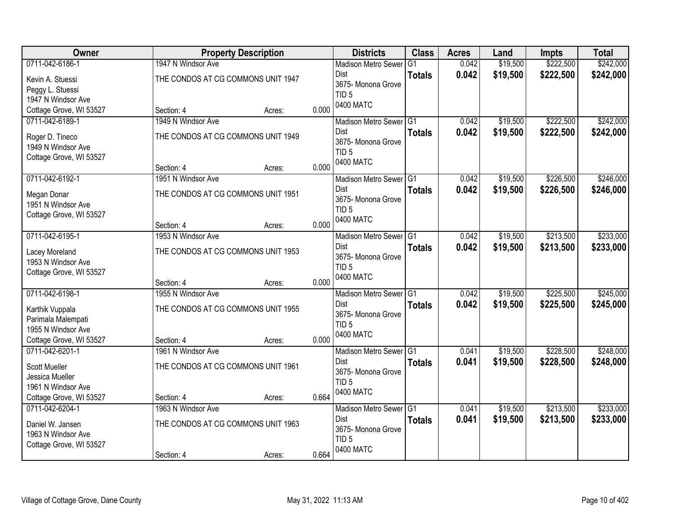| Owner                   |                                    | <b>Property Description</b> |       | <b>Districts</b>           | <b>Class</b>  | <b>Acres</b> | Land     | <b>Impts</b> | <b>Total</b> |
|-------------------------|------------------------------------|-----------------------------|-------|----------------------------|---------------|--------------|----------|--------------|--------------|
| 0711-042-6186-1         | 1947 N Windsor Ave                 |                             |       | <b>Madison Metro Sewer</b> | G1            | 0.042        | \$19,500 | \$222,500    | \$242,000    |
| Kevin A. Stuessi        | THE CONDOS AT CG COMMONS UNIT 1947 |                             |       | Dist                       | <b>Totals</b> | 0.042        | \$19,500 | \$222,500    | \$242,000    |
| Peggy L. Stuessi        |                                    |                             |       | 3675- Monona Grove         |               |              |          |              |              |
| 1947 N Windsor Ave      |                                    |                             |       | TID <sub>5</sub>           |               |              |          |              |              |
| Cottage Grove, WI 53527 | Section: 4                         | Acres:                      | 0.000 | 0400 MATC                  |               |              |          |              |              |
| 0711-042-6189-1         | 1949 N Windsor Ave                 |                             |       | Madison Metro Sewer G1     |               | 0.042        | \$19,500 | \$222,500    | \$242,000    |
| Roger D. Tineco         | THE CONDOS AT CG COMMONS UNIT 1949 |                             |       | Dist                       | <b>Totals</b> | 0.042        | \$19,500 | \$222,500    | \$242,000    |
| 1949 N Windsor Ave      |                                    |                             |       | 3675- Monona Grove         |               |              |          |              |              |
| Cottage Grove, WI 53527 |                                    |                             |       | TID <sub>5</sub>           |               |              |          |              |              |
|                         | Section: 4                         | Acres:                      | 0.000 | 0400 MATC                  |               |              |          |              |              |
| 0711-042-6192-1         | 1951 N Windsor Ave                 |                             |       | Madison Metro Sewer G1     |               | 0.042        | \$19,500 | \$226,500    | \$246,000    |
| Megan Donar             | THE CONDOS AT CG COMMONS UNIT 1951 |                             |       | Dist                       | <b>Totals</b> | 0.042        | \$19,500 | \$226,500    | \$246,000    |
| 1951 N Windsor Ave      |                                    |                             |       | 3675- Monona Grove         |               |              |          |              |              |
| Cottage Grove, WI 53527 |                                    |                             |       | TID <sub>5</sub>           |               |              |          |              |              |
|                         | Section: 4                         | Acres:                      | 0.000 | 0400 MATC                  |               |              |          |              |              |
| 0711-042-6195-1         | 1953 N Windsor Ave                 |                             |       | Madison Metro Sewer G1     |               | 0.042        | \$19,500 | \$213,500    | \$233,000    |
| Lacey Moreland          | THE CONDOS AT CG COMMONS UNIT 1953 |                             |       | Dist                       | <b>Totals</b> | 0.042        | \$19,500 | \$213,500    | \$233,000    |
| 1953 N Windsor Ave      |                                    |                             |       | 3675- Monona Grove         |               |              |          |              |              |
| Cottage Grove, WI 53527 |                                    |                             |       | TID <sub>5</sub>           |               |              |          |              |              |
|                         | Section: 4                         | Acres:                      | 0.000 | 0400 MATC                  |               |              |          |              |              |
| 0711-042-6198-1         | 1955 N Windsor Ave                 |                             |       | <b>Madison Metro Sewer</b> | G1            | 0.042        | \$19,500 | \$225,500    | \$245,000    |
| Karthik Vuppala         | THE CONDOS AT CG COMMONS UNIT 1955 |                             |       | Dist                       | <b>Totals</b> | 0.042        | \$19,500 | \$225,500    | \$245,000    |
| Parimala Malempati      |                                    |                             |       | 3675- Monona Grove         |               |              |          |              |              |
| 1955 N Windsor Ave      |                                    |                             |       | TID <sub>5</sub>           |               |              |          |              |              |
| Cottage Grove, WI 53527 | Section: 4                         | Acres:                      | 0.000 | 0400 MATC                  |               |              |          |              |              |
| 0711-042-6201-1         | 1961 N Windsor Ave                 |                             |       | Madison Metro Sewer G1     |               | 0.041        | \$19,500 | \$228,500    | \$248,000    |
| <b>Scott Mueller</b>    | THE CONDOS AT CG COMMONS UNIT 1961 |                             |       | <b>Dist</b>                | <b>Totals</b> | 0.041        | \$19,500 | \$228,500    | \$248,000    |
| Jessica Mueller         |                                    |                             |       | 3675- Monona Grove         |               |              |          |              |              |
| 1961 N Windsor Ave      |                                    |                             |       | TID <sub>5</sub>           |               |              |          |              |              |
| Cottage Grove, WI 53527 | Section: 4                         | Acres:                      | 0.664 | 0400 MATC                  |               |              |          |              |              |
| 0711-042-6204-1         | 1963 N Windsor Ave                 |                             |       | Madison Metro Sewer G1     |               | 0.041        | \$19,500 | \$213,500    | \$233,000    |
| Daniel W. Jansen        | THE CONDOS AT CG COMMONS UNIT 1963 |                             |       | Dist                       | <b>Totals</b> | 0.041        | \$19,500 | \$213,500    | \$233,000    |
| 1963 N Windsor Ave      |                                    |                             |       | 3675- Monona Grove         |               |              |          |              |              |
| Cottage Grove, WI 53527 |                                    |                             |       | TID <sub>5</sub>           |               |              |          |              |              |
|                         | Section: 4                         | Acres:                      | 0.664 | 0400 MATC                  |               |              |          |              |              |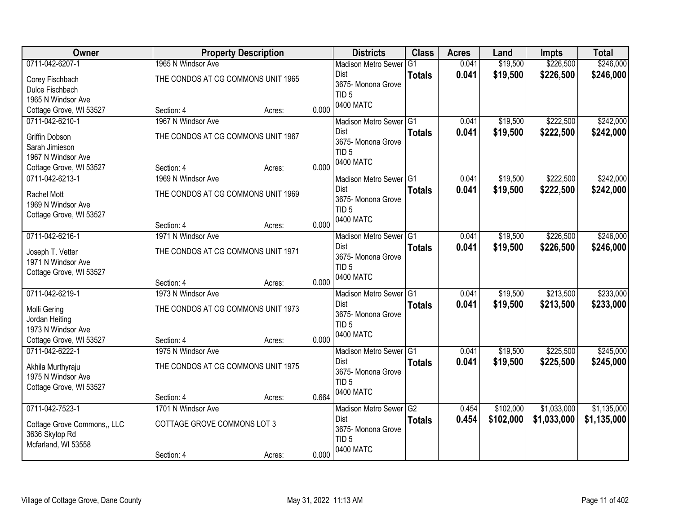| <b>Owner</b>                |                                    | <b>Property Description</b> |       | <b>Districts</b>              | <b>Class</b>    | <b>Acres</b> | Land      | <b>Impts</b> | <b>Total</b> |
|-----------------------------|------------------------------------|-----------------------------|-------|-------------------------------|-----------------|--------------|-----------|--------------|--------------|
| 0711-042-6207-1             | 1965 N Windsor Ave                 |                             |       | <b>Madison Metro Sewer</b>    | G1              | 0.041        | \$19,500  | \$226,500    | \$246,000    |
| Corey Fischbach             | THE CONDOS AT CG COMMONS UNIT 1965 |                             |       | <b>Dist</b>                   | <b>Totals</b>   | 0.041        | \$19,500  | \$226,500    | \$246,000    |
| Dulce Fischbach             |                                    |                             |       | 3675- Monona Grove            |                 |              |           |              |              |
| 1965 N Windsor Ave          |                                    |                             |       | TID <sub>5</sub><br>0400 MATC |                 |              |           |              |              |
| Cottage Grove, WI 53527     | Section: 4                         | Acres:                      | 0.000 |                               |                 |              |           |              |              |
| 0711-042-6210-1             | 1967 N Windsor Ave                 |                             |       | Madison Metro Sewer G1        |                 | 0.041        | \$19,500  | \$222,500    | \$242,000    |
| Griffin Dobson              | THE CONDOS AT CG COMMONS UNIT 1967 |                             |       | Dist                          | <b>Totals</b>   | 0.041        | \$19,500  | \$222,500    | \$242,000    |
| Sarah Jimieson              |                                    |                             |       | 3675- Monona Grove            |                 |              |           |              |              |
| 1967 N Windsor Ave          |                                    |                             |       | TID <sub>5</sub><br>0400 MATC |                 |              |           |              |              |
| Cottage Grove, WI 53527     | Section: 4                         | Acres:                      | 0.000 |                               |                 |              |           |              |              |
| 0711-042-6213-1             | 1969 N Windsor Ave                 |                             |       | Madison Metro Sewer G1        |                 | 0.041        | \$19,500  | \$222,500    | \$242,000    |
| Rachel Mott                 | THE CONDOS AT CG COMMONS UNIT 1969 |                             |       | <b>Dist</b>                   | <b>Totals</b>   | 0.041        | \$19,500  | \$222,500    | \$242,000    |
| 1969 N Windsor Ave          |                                    |                             |       | 3675- Monona Grove            |                 |              |           |              |              |
| Cottage Grove, WI 53527     |                                    |                             |       | TID <sub>5</sub><br>0400 MATC |                 |              |           |              |              |
|                             | Section: 4                         | Acres:                      | 0.000 |                               |                 |              |           |              |              |
| 0711-042-6216-1             | 1971 N Windsor Ave                 |                             |       | Madison Metro Sewer G1        |                 | 0.041        | \$19,500  | \$226,500    | \$246,000    |
| Joseph T. Vetter            | THE CONDOS AT CG COMMONS UNIT 1971 |                             |       | <b>Dist</b>                   | <b>Totals</b>   | 0.041        | \$19,500  | \$226,500    | \$246,000    |
| 1971 N Windsor Ave          |                                    |                             |       | 3675- Monona Grove            |                 |              |           |              |              |
| Cottage Grove, WI 53527     |                                    |                             |       | TID <sub>5</sub>              |                 |              |           |              |              |
|                             | Section: 4                         | Acres:                      | 0.000 | 0400 MATC                     |                 |              |           |              |              |
| 0711-042-6219-1             | 1973 N Windsor Ave                 |                             |       | Madison Metro Sewer           | IG <sub>1</sub> | 0.041        | \$19,500  | \$213,500    | \$233,000    |
| Molli Gering                | THE CONDOS AT CG COMMONS UNIT 1973 |                             |       | Dist                          | <b>Totals</b>   | 0.041        | \$19,500  | \$213,500    | \$233,000    |
| Jordan Heiting              |                                    |                             |       | 3675- Monona Grove            |                 |              |           |              |              |
| 1973 N Windsor Ave          |                                    |                             |       | TID <sub>5</sub>              |                 |              |           |              |              |
| Cottage Grove, WI 53527     | Section: 4                         | Acres:                      | 0.000 | 0400 MATC                     |                 |              |           |              |              |
| 0711-042-6222-1             | 1975 N Windsor Ave                 |                             |       | Madison Metro Sewer G1        |                 | 0.041        | \$19,500  | \$225,500    | \$245,000    |
| Akhila Murthyraju           | THE CONDOS AT CG COMMONS UNIT 1975 |                             |       | <b>Dist</b>                   | <b>Totals</b>   | 0.041        | \$19,500  | \$225,500    | \$245,000    |
| 1975 N Windsor Ave          |                                    |                             |       | 3675- Monona Grove            |                 |              |           |              |              |
| Cottage Grove, WI 53527     |                                    |                             |       | TID <sub>5</sub>              |                 |              |           |              |              |
|                             | Section: 4                         | Acres:                      | 0.664 | 0400 MATC                     |                 |              |           |              |              |
| 0711-042-7523-1             | 1701 N Windsor Ave                 |                             |       | Madison Metro Sewer G2        |                 | 0.454        | \$102,000 | \$1,033,000  | \$1,135,000  |
| Cottage Grove Commons,, LLC | COTTAGE GROVE COMMONS LOT 3        |                             |       | Dist                          | <b>Totals</b>   | 0.454        | \$102,000 | \$1,033,000  | \$1,135,000  |
| 3636 Skytop Rd              |                                    |                             |       | 3675- Monona Grove            |                 |              |           |              |              |
| Mcfarland, WI 53558         |                                    |                             |       | TID <sub>5</sub>              |                 |              |           |              |              |
|                             | Section: 4                         | Acres:                      | 0.000 | 0400 MATC                     |                 |              |           |              |              |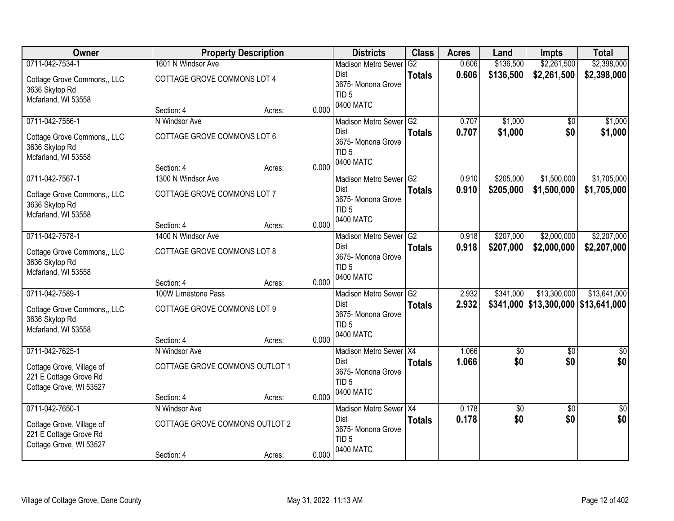| Owner                                               |                                | <b>Property Description</b> |       | <b>Districts</b>                      | <b>Class</b>    | <b>Acres</b> | Land                   | Impts                                          | <b>Total</b>    |
|-----------------------------------------------------|--------------------------------|-----------------------------|-------|---------------------------------------|-----------------|--------------|------------------------|------------------------------------------------|-----------------|
| 0711-042-7534-1                                     | 1601 N Windsor Ave             |                             |       | <b>Madison Metro Sewer</b>            | G2              | 0.606        | \$136,500              | \$2,261,500                                    | \$2,398,000     |
| Cottage Grove Commons,, LLC                         | COTTAGE GROVE COMMONS LOT 4    |                             |       | Dist                                  | <b>Totals</b>   | 0.606        | \$136,500              | \$2,261,500                                    | \$2,398,000     |
| 3636 Skytop Rd                                      |                                |                             |       | 3675-Monona Grove<br>TID <sub>5</sub> |                 |              |                        |                                                |                 |
| Mcfarland, WI 53558                                 |                                |                             |       | 0400 MATC                             |                 |              |                        |                                                |                 |
|                                                     | Section: 4                     | Acres:                      | 0.000 |                                       |                 |              |                        |                                                |                 |
| 0711-042-7556-1                                     | N Windsor Ave                  |                             |       | Madison Metro Sewer G2<br>Dist        |                 | 0.707        | \$1,000                | $\overline{50}$                                | \$1,000         |
| Cottage Grove Commons,, LLC                         | COTTAGE GROVE COMMONS LOT 6    |                             |       | 3675- Monona Grove                    | <b>Totals</b>   | 0.707        | \$1,000                | \$0                                            | \$1,000         |
| 3636 Skytop Rd                                      |                                |                             |       | TID <sub>5</sub>                      |                 |              |                        |                                                |                 |
| Mcfarland, WI 53558                                 | Section: 4                     |                             | 0.000 | 0400 MATC                             |                 |              |                        |                                                |                 |
| 0711-042-7567-1                                     | 1300 N Windsor Ave             | Acres:                      |       | Madison Metro Sewer G2                |                 | 0.910        | \$205,000              | \$1,500,000                                    | \$1,705,000     |
|                                                     |                                |                             |       | <b>Dist</b>                           | <b>Totals</b>   | 0.910        | \$205,000              | \$1,500,000                                    | \$1,705,000     |
| Cottage Grove Commons,, LLC                         | COTTAGE GROVE COMMONS LOT 7    |                             |       | 3675- Monona Grove                    |                 |              |                        |                                                |                 |
| 3636 Skytop Rd<br>Mcfarland, WI 53558               |                                |                             |       | TID <sub>5</sub>                      |                 |              |                        |                                                |                 |
|                                                     | Section: 4                     | Acres:                      | 0.000 | 0400 MATC                             |                 |              |                        |                                                |                 |
| 0711-042-7578-1                                     | 1400 N Windsor Ave             |                             |       | <b>Madison Metro Sewer</b>            | G2              | 0.918        | \$207,000              | \$2,000,000                                    | \$2,207,000     |
| Cottage Grove Commons,, LLC                         | COTTAGE GROVE COMMONS LOT 8    |                             |       | <b>Dist</b>                           | <b>Totals</b>   | 0.918        | \$207,000              | \$2,000,000                                    | \$2,207,000     |
| 3636 Skytop Rd                                      |                                |                             |       | 3675-Monona Grove                     |                 |              |                        |                                                |                 |
| Mcfarland, WI 53558                                 |                                |                             |       | TID <sub>5</sub><br>0400 MATC         |                 |              |                        |                                                |                 |
|                                                     | Section: 4                     | Acres:                      | 0.000 |                                       |                 |              |                        |                                                |                 |
| 0711-042-7589-1                                     | 100W Limestone Pass            |                             |       | Madison Metro Sewer                   | $\overline{G2}$ | 2.932        | \$341,000              | \$13,300,000                                   | \$13,641,000    |
| Cottage Grove Commons,, LLC                         | COTTAGE GROVE COMMONS LOT 9    |                             |       | Dist<br>3675- Monona Grove            | <b>Totals</b>   | 2.932        |                        | $$341,000 \, \, $13,300,000 \, \, $13,641,000$ |                 |
| 3636 Skytop Rd                                      |                                |                             |       | TID <sub>5</sub>                      |                 |              |                        |                                                |                 |
| Mcfarland, WI 53558                                 |                                |                             |       | 0400 MATC                             |                 |              |                        |                                                |                 |
| 0711-042-7625-1                                     | Section: 4                     | Acres:                      | 0.000 |                                       |                 | 1.066        |                        |                                                |                 |
|                                                     | N Windsor Ave                  |                             |       | Madison Metro Sewer X4<br><b>Dist</b> | <b>Totals</b>   | 1.066        | $\overline{60}$<br>\$0 | $\overline{50}$<br>\$0                         | \$0<br>\$0      |
| Cottage Grove, Village of                           | COTTAGE GROVE COMMONS OUTLOT 1 |                             |       | 3675- Monona Grove                    |                 |              |                        |                                                |                 |
| 221 E Cottage Grove Rd                              |                                |                             |       | TID <sub>5</sub>                      |                 |              |                        |                                                |                 |
| Cottage Grove, WI 53527                             | Section: 4                     | Acres:                      | 0.000 | 0400 MATC                             |                 |              |                        |                                                |                 |
| 0711-042-7650-1                                     | N Windsor Ave                  |                             |       | Madison Metro Sewer X4                |                 | 0.178        | $\overline{60}$        | $\overline{30}$                                | $\overline{50}$ |
|                                                     |                                |                             |       | Dist                                  | <b>Totals</b>   | 0.178        | \$0                    | \$0                                            | \$0             |
| Cottage Grove, Village of<br>221 E Cottage Grove Rd | COTTAGE GROVE COMMONS OUTLOT 2 |                             |       | 3675- Monona Grove                    |                 |              |                        |                                                |                 |
| Cottage Grove, WI 53527                             |                                |                             |       | TID <sub>5</sub>                      |                 |              |                        |                                                |                 |
|                                                     | Section: 4                     | Acres:                      | 0.000 | 0400 MATC                             |                 |              |                        |                                                |                 |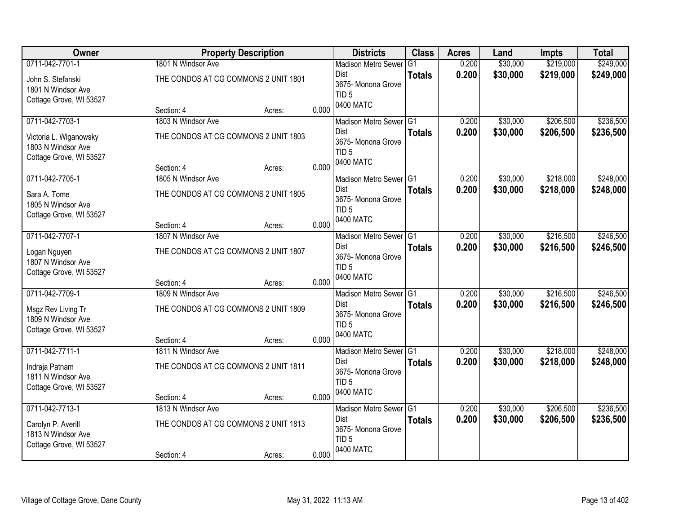| Owner                                                                                  |                                                                          | <b>Property Description</b> |       | <b>Districts</b>                                                                      | <b>Class</b>  | <b>Acres</b>   | Land                 | <b>Impts</b>           | <b>Total</b>           |
|----------------------------------------------------------------------------------------|--------------------------------------------------------------------------|-----------------------------|-------|---------------------------------------------------------------------------------------|---------------|----------------|----------------------|------------------------|------------------------|
| 0711-042-7701-1                                                                        | 1801 N Windsor Ave                                                       |                             |       | <b>Madison Metro Sewer</b>                                                            | G1            | 0.200          | \$30,000             | \$219,000              | \$249,000              |
| John S. Stefanski<br>1801 N Windsor Ave<br>Cottage Grove, WI 53527                     | THE CONDOS AT CG COMMONS 2 UNIT 1801                                     |                             |       | Dist<br>3675- Monona Grove<br>TID <sub>5</sub>                                        | <b>Totals</b> | 0.200          | \$30,000             | \$219,000              | \$249,000              |
|                                                                                        | Section: 4                                                               | Acres:                      | 0.000 | 0400 MATC                                                                             |               |                |                      |                        |                        |
| 0711-042-7703-1                                                                        | 1803 N Windsor Ave                                                       |                             |       | Madison Metro Sewer G1                                                                |               | 0.200          | \$30,000             | \$206,500              | \$236,500              |
| Victoria L. Wiganowsky<br>1803 N Windsor Ave<br>Cottage Grove, WI 53527                | THE CONDOS AT CG COMMONS 2 UNIT 1803                                     |                             |       | Dist<br>3675- Monona Grove<br>TID <sub>5</sub>                                        | <b>Totals</b> | 0.200          | \$30,000             | \$206,500              | \$236,500              |
|                                                                                        | Section: 4                                                               | Acres:                      | 0.000 | 0400 MATC                                                                             |               |                |                      |                        |                        |
| 0711-042-7705-1                                                                        | 1805 N Windsor Ave                                                       |                             |       | Madison Metro Sewer G1                                                                |               | 0.200          | \$30,000             | \$218,000              | \$248,000              |
| Sara A. Tome<br>1805 N Windsor Ave<br>Cottage Grove, WI 53527                          | THE CONDOS AT CG COMMONS 2 UNIT 1805                                     |                             |       | Dist<br>3675- Monona Grove<br>TID <sub>5</sub>                                        | <b>Totals</b> | 0.200          | \$30,000             | \$218,000              | \$248,000              |
|                                                                                        | Section: 4                                                               | Acres:                      | 0.000 | 0400 MATC                                                                             |               |                |                      |                        |                        |
| 0711-042-7707-1                                                                        | 1807 N Windsor Ave                                                       |                             |       | Madison Metro Sewer G1                                                                |               | 0.200          | \$30,000             | \$216,500              | \$246,500              |
| Logan Nguyen<br>1807 N Windsor Ave<br>Cottage Grove, WI 53527                          | THE CONDOS AT CG COMMONS 2 UNIT 1807                                     |                             |       | Dist<br>3675- Monona Grove<br>TID <sub>5</sub>                                        | <b>Totals</b> | 0.200          | \$30,000             | \$216,500              | \$246,500              |
|                                                                                        | Section: 4                                                               | Acres:                      | 0.000 | 0400 MATC                                                                             |               |                |                      |                        |                        |
| 0711-042-7709-1                                                                        | 1809 N Windsor Ave                                                       |                             |       | Madison Metro Sewer <sup>G1</sup>                                                     |               | 0.200          | \$30,000             | \$216,500              | \$246,500              |
| Msgz Rev Living Tr<br>1809 N Windsor Ave<br>Cottage Grove, WI 53527                    | THE CONDOS AT CG COMMONS 2 UNIT 1809                                     |                             |       | Dist<br>3675- Monona Grove<br>TID <sub>5</sub><br>0400 MATC                           | <b>Totals</b> | 0.200          | \$30,000             | \$216,500              | \$246,500              |
|                                                                                        | Section: 4                                                               | Acres:                      | 0.000 |                                                                                       |               |                |                      |                        |                        |
| 0711-042-7711-1<br>Indraja Patnam<br>1811 N Windsor Ave<br>Cottage Grove, WI 53527     | 1811 N Windsor Ave<br>THE CONDOS AT CG COMMONS 2 UNIT 1811               |                             |       | Madison Metro Sewer G1<br>Dist<br>3675- Monona Grove<br>TID <sub>5</sub>              | <b>Totals</b> | 0.200<br>0.200 | \$30,000<br>\$30,000 | \$218,000<br>\$218,000 | \$248,000<br>\$248,000 |
|                                                                                        | Section: 4                                                               | Acres:                      | 0.000 | 0400 MATC                                                                             |               |                |                      |                        |                        |
| 0711-042-7713-1<br>Carolyn P. Averill<br>1813 N Windsor Ave<br>Cottage Grove, WI 53527 | 1813 N Windsor Ave<br>THE CONDOS AT CG COMMONS 2 UNIT 1813<br>Section: 4 |                             | 0.000 | Madison Metro Sewer G1<br>Dist<br>3675- Monona Grove<br>TID <sub>5</sub><br>0400 MATC | <b>Totals</b> | 0.200<br>0.200 | \$30,000<br>\$30,000 | \$206,500<br>\$206,500 | \$236,500<br>\$236,500 |
|                                                                                        |                                                                          | Acres:                      |       |                                                                                       |               |                |                      |                        |                        |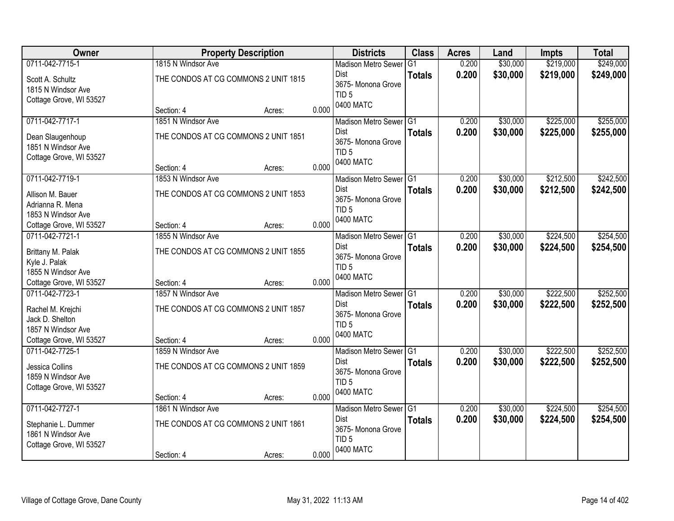| Owner                   |                                      | <b>Property Description</b> |       | <b>Districts</b>                  | <b>Class</b>   | <b>Acres</b> | Land     | <b>Impts</b> | <b>Total</b> |
|-------------------------|--------------------------------------|-----------------------------|-------|-----------------------------------|----------------|--------------|----------|--------------|--------------|
| 0711-042-7715-1         | 1815 N Windsor Ave                   |                             |       | <b>Madison Metro Sewer</b>        | G <sub>1</sub> | 0.200        | \$30,000 | \$219,000    | \$249,000    |
| Scott A. Schultz        | THE CONDOS AT CG COMMONS 2 UNIT 1815 |                             |       | Dist                              | <b>Totals</b>  | 0.200        | \$30,000 | \$219,000    | \$249,000    |
| 1815 N Windsor Ave      |                                      |                             |       | 3675- Monona Grove                |                |              |          |              |              |
| Cottage Grove, WI 53527 |                                      |                             |       | TID <sub>5</sub><br>0400 MATC     |                |              |          |              |              |
|                         | Section: 4                           | Acres:                      | 0.000 |                                   |                |              |          |              |              |
| 0711-042-7717-1         | 1851 N Windsor Ave                   |                             |       | Madison Metro Sewer G1            |                | 0.200        | \$30,000 | \$225,000    | \$255,000    |
| Dean Slaugenhoup        | THE CONDOS AT CG COMMONS 2 UNIT 1851 |                             |       | Dist                              | <b>Totals</b>  | 0.200        | \$30,000 | \$225,000    | \$255,000    |
| 1851 N Windsor Ave      |                                      |                             |       | 3675- Monona Grove                |                |              |          |              |              |
| Cottage Grove, WI 53527 |                                      |                             |       | TID <sub>5</sub>                  |                |              |          |              |              |
|                         | Section: 4                           | Acres:                      | 0.000 | 0400 MATC                         |                |              |          |              |              |
| 0711-042-7719-1         | 1853 N Windsor Ave                   |                             |       | Madison Metro Sewer <sup>G1</sup> |                | 0.200        | \$30,000 | \$212,500    | \$242,500    |
| Allison M. Bauer        | THE CONDOS AT CG COMMONS 2 UNIT 1853 |                             |       | Dist                              | <b>Totals</b>  | 0.200        | \$30,000 | \$212,500    | \$242,500    |
| Adrianna R. Mena        |                                      |                             |       | 3675- Monona Grove                |                |              |          |              |              |
| 1853 N Windsor Ave      |                                      |                             |       | TID <sub>5</sub>                  |                |              |          |              |              |
| Cottage Grove, WI 53527 | Section: 4                           | Acres:                      | 0.000 | 0400 MATC                         |                |              |          |              |              |
| 0711-042-7721-1         | 1855 N Windsor Ave                   |                             |       | Madison Metro Sewer G1            |                | 0.200        | \$30,000 | \$224,500    | \$254,500    |
| Brittany M. Palak       | THE CONDOS AT CG COMMONS 2 UNIT 1855 |                             |       | Dist                              | <b>Totals</b>  | 0.200        | \$30,000 | \$224,500    | \$254,500    |
| Kyle J. Palak           |                                      |                             |       | 3675- Monona Grove                |                |              |          |              |              |
| 1855 N Windsor Ave      |                                      |                             |       | TID <sub>5</sub>                  |                |              |          |              |              |
| Cottage Grove, WI 53527 | Section: 4                           | Acres:                      | 0.000 | 0400 MATC                         |                |              |          |              |              |
| 0711-042-7723-1         | 1857 N Windsor Ave                   |                             |       | Madison Metro Sewer G1            |                | 0.200        | \$30,000 | \$222,500    | \$252,500    |
| Rachel M. Krejchi       | THE CONDOS AT CG COMMONS 2 UNIT 1857 |                             |       | Dist                              | <b>Totals</b>  | 0.200        | \$30,000 | \$222,500    | \$252,500    |
| Jack D. Shelton         |                                      |                             |       | 3675- Monona Grove                |                |              |          |              |              |
| 1857 N Windsor Ave      |                                      |                             |       | TID <sub>5</sub>                  |                |              |          |              |              |
| Cottage Grove, WI 53527 | Section: 4                           | Acres:                      | 0.000 | 0400 MATC                         |                |              |          |              |              |
| 0711-042-7725-1         | 1859 N Windsor Ave                   |                             |       | Madison Metro Sewer G1            |                | 0.200        | \$30,000 | \$222,500    | \$252,500    |
| Jessica Collins         | THE CONDOS AT CG COMMONS 2 UNIT 1859 |                             |       | Dist                              | <b>Totals</b>  | 0.200        | \$30,000 | \$222,500    | \$252,500    |
| 1859 N Windsor Ave      |                                      |                             |       | 3675- Monona Grove                |                |              |          |              |              |
| Cottage Grove, WI 53527 |                                      |                             |       | TID <sub>5</sub>                  |                |              |          |              |              |
|                         | Section: 4                           | Acres:                      | 0.000 | 0400 MATC                         |                |              |          |              |              |
| 0711-042-7727-1         | 1861 N Windsor Ave                   |                             |       | Madison Metro Sewer G1            |                | 0.200        | \$30,000 | \$224,500    | \$254,500    |
|                         |                                      |                             |       | Dist                              | <b>Totals</b>  | 0.200        | \$30,000 | \$224,500    | \$254,500    |
| Stephanie L. Dummer     | THE CONDOS AT CG COMMONS 2 UNIT 1861 |                             |       | 3675- Monona Grove                |                |              |          |              |              |
| 1861 N Windsor Ave      |                                      |                             |       | TID <sub>5</sub>                  |                |              |          |              |              |
| Cottage Grove, WI 53527 |                                      |                             | 0.000 | 0400 MATC                         |                |              |          |              |              |
|                         | Section: 4                           | Acres:                      |       |                                   |                |              |          |              |              |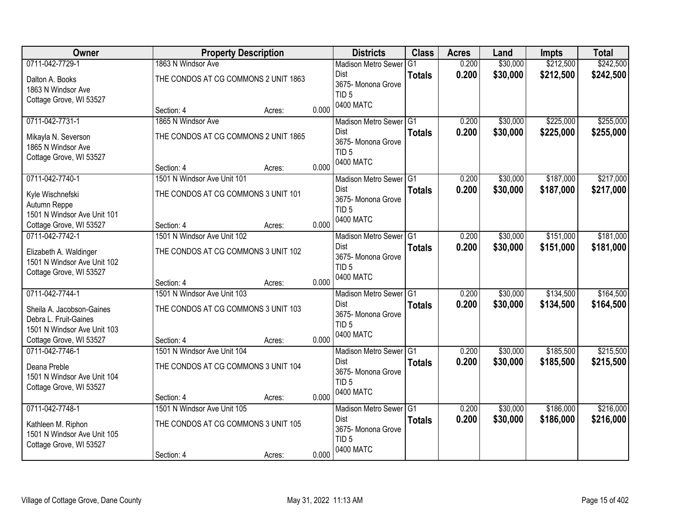| Owner                       |                                      | <b>Property Description</b> |       | <b>Districts</b>                       | <b>Class</b>  | <b>Acres</b> | Land     | <b>Impts</b> | <b>Total</b> |
|-----------------------------|--------------------------------------|-----------------------------|-------|----------------------------------------|---------------|--------------|----------|--------------|--------------|
| 0711-042-7729-1             | 1863 N Windsor Ave                   |                             |       | <b>Madison Metro Sewer</b>             | G1            | 0.200        | \$30,000 | \$212,500    | \$242,500    |
| Dalton A. Books             | THE CONDOS AT CG COMMONS 2 UNIT 1863 |                             |       | Dist                                   | <b>Totals</b> | 0.200        | \$30,000 | \$212,500    | \$242,500    |
| 1863 N Windsor Ave          |                                      |                             |       | 3675- Monona Grove                     |               |              |          |              |              |
| Cottage Grove, WI 53527     |                                      |                             |       | TID <sub>5</sub>                       |               |              |          |              |              |
|                             | Section: 4                           | Acres:                      | 0.000 | 0400 MATC                              |               |              |          |              |              |
| 0711-042-7731-1             | 1865 N Windsor Ave                   |                             |       | Madison Metro Sewer G1                 |               | 0.200        | \$30,000 | \$225,000    | \$255,000    |
| Mikayla N. Severson         | THE CONDOS AT CG COMMONS 2 UNIT 1865 |                             |       | Dist                                   | <b>Totals</b> | 0.200        | \$30,000 | \$225,000    | \$255,000    |
| 1865 N Windsor Ave          |                                      |                             |       | 3675- Monona Grove                     |               |              |          |              |              |
| Cottage Grove, WI 53527     |                                      |                             |       | TID <sub>5</sub><br>0400 MATC          |               |              |          |              |              |
|                             | Section: 4                           | Acres:                      | 0.000 |                                        |               |              |          |              |              |
| 0711-042-7740-1             | 1501 N Windsor Ave Unit 101          |                             |       | Madison Metro Sewer G1                 |               | 0.200        | \$30,000 | \$187,000    | \$217,000    |
| Kyle Wischnefski            | THE CONDOS AT CG COMMONS 3 UNIT 101  |                             |       | Dist                                   | <b>Totals</b> | 0.200        | \$30,000 | \$187,000    | \$217,000    |
| Autumn Reppe                |                                      |                             |       | 3675- Monona Grove<br>TID <sub>5</sub> |               |              |          |              |              |
| 1501 N Windsor Ave Unit 101 |                                      |                             |       | 0400 MATC                              |               |              |          |              |              |
| Cottage Grove, WI 53527     | Section: 4                           | Acres:                      | 0.000 |                                        |               |              |          |              |              |
| 0711-042-7742-1             | 1501 N Windsor Ave Unit 102          |                             |       | Madison Metro Sewer G1                 |               | 0.200        | \$30,000 | \$151,000    | \$181,000    |
| Elizabeth A. Waldinger      | THE CONDOS AT CG COMMONS 3 UNIT 102  |                             |       | Dist                                   | <b>Totals</b> | 0.200        | \$30,000 | \$151,000    | \$181,000    |
| 1501 N Windsor Ave Unit 102 |                                      |                             |       | 3675- Monona Grove<br>TID <sub>5</sub> |               |              |          |              |              |
| Cottage Grove, WI 53527     |                                      |                             |       | 0400 MATC                              |               |              |          |              |              |
|                             | Section: 4                           | Acres:                      | 0.000 |                                        |               |              |          |              |              |
| 0711-042-7744-1             | 1501 N Windsor Ave Unit 103          |                             |       | Madison Metro Sewer G1                 |               | 0.200        | \$30,000 | \$134,500    | \$164,500    |
| Sheila A. Jacobson-Gaines   | THE CONDOS AT CG COMMONS 3 UNIT 103  |                             |       | Dist                                   | <b>Totals</b> | 0.200        | \$30,000 | \$134,500    | \$164,500    |
| Debra L. Fruit-Gaines       |                                      |                             |       | 3675- Monona Grove<br>TID <sub>5</sub> |               |              |          |              |              |
| 1501 N Windsor Ave Unit 103 |                                      |                             |       | 0400 MATC                              |               |              |          |              |              |
| Cottage Grove, WI 53527     | Section: 4                           | Acres:                      | 0.000 |                                        |               |              |          |              |              |
| 0711-042-7746-1             | 1501 N Windsor Ave Unit 104          |                             |       | Madison Metro Sewer G1                 |               | 0.200        | \$30,000 | \$185,500    | \$215,500    |
| Deana Preble                | THE CONDOS AT CG COMMONS 3 UNIT 104  |                             |       | Dist                                   | <b>Totals</b> | 0.200        | \$30,000 | \$185,500    | \$215,500    |
| 1501 N Windsor Ave Unit 104 |                                      |                             |       | 3675- Monona Grove<br>TID <sub>5</sub> |               |              |          |              |              |
| Cottage Grove, WI 53527     |                                      |                             |       | 0400 MATC                              |               |              |          |              |              |
|                             | Section: 4                           | Acres:                      | 0.000 |                                        |               |              |          |              |              |
| 0711-042-7748-1             | 1501 N Windsor Ave Unit 105          |                             |       | Madison Metro Sewer G1                 |               | 0.200        | \$30,000 | \$186,000    | \$216,000    |
| Kathleen M. Riphon          | THE CONDOS AT CG COMMONS 3 UNIT 105  |                             |       | Dist                                   | <b>Totals</b> | 0.200        | \$30,000 | \$186,000    | \$216,000    |
| 1501 N Windsor Ave Unit 105 |                                      |                             |       | 3675- Monona Grove                     |               |              |          |              |              |
| Cottage Grove, WI 53527     |                                      |                             |       | TID <sub>5</sub><br>0400 MATC          |               |              |          |              |              |
|                             | Section: 4                           | Acres:                      | 0.000 |                                        |               |              |          |              |              |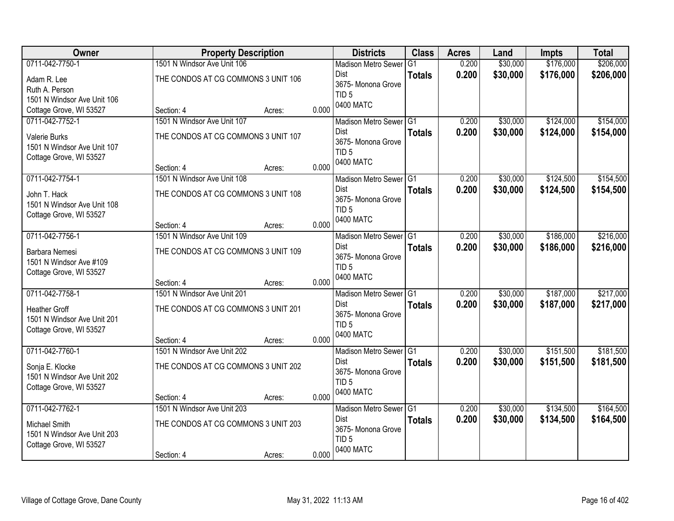| Owner                       |                                     | <b>Property Description</b> |       | <b>Districts</b>                       | <b>Class</b>  | <b>Acres</b> | Land     | <b>Impts</b> | <b>Total</b> |
|-----------------------------|-------------------------------------|-----------------------------|-------|----------------------------------------|---------------|--------------|----------|--------------|--------------|
| 0711-042-7750-1             | 1501 N Windsor Ave Unit 106         |                             |       | <b>Madison Metro Sewer</b>             | G1            | 0.200        | \$30,000 | \$176,000    | \$206,000    |
| Adam R. Lee                 | THE CONDOS AT CG COMMONS 3 UNIT 106 |                             |       | Dist                                   | <b>Totals</b> | 0.200        | \$30,000 | \$176,000    | \$206,000    |
| Ruth A. Person              |                                     |                             |       | 3675- Monona Grove                     |               |              |          |              |              |
| 1501 N Windsor Ave Unit 106 |                                     |                             |       | TID <sub>5</sub>                       |               |              |          |              |              |
| Cottage Grove, WI 53527     | Section: 4                          | Acres:                      | 0.000 | 0400 MATC                              |               |              |          |              |              |
| 0711-042-7752-1             | 1501 N Windsor Ave Unit 107         |                             |       | Madison Metro Sewer G1                 |               | 0.200        | \$30,000 | \$124,000    | \$154,000    |
| Valerie Burks               | THE CONDOS AT CG COMMONS 3 UNIT 107 |                             |       | Dist                                   | <b>Totals</b> | 0.200        | \$30,000 | \$124,000    | \$154,000    |
| 1501 N Windsor Ave Unit 107 |                                     |                             |       | 3675- Monona Grove                     |               |              |          |              |              |
| Cottage Grove, WI 53527     |                                     |                             |       | TID <sub>5</sub>                       |               |              |          |              |              |
|                             | Section: 4                          | Acres:                      | 0.000 | 0400 MATC                              |               |              |          |              |              |
| 0711-042-7754-1             | 1501 N Windsor Ave Unit 108         |                             |       | Madison Metro Sewer G1                 |               | 0.200        | \$30,000 | \$124,500    | \$154,500    |
| John T. Hack                | THE CONDOS AT CG COMMONS 3 UNIT 108 |                             |       | Dist                                   | <b>Totals</b> | 0.200        | \$30,000 | \$124,500    | \$154,500    |
| 1501 N Windsor Ave Unit 108 |                                     |                             |       | 3675- Monona Grove                     |               |              |          |              |              |
| Cottage Grove, WI 53527     |                                     |                             |       | TID <sub>5</sub>                       |               |              |          |              |              |
|                             | Section: 4                          | Acres:                      | 0.000 | 0400 MATC                              |               |              |          |              |              |
| 0711-042-7756-1             | 1501 N Windsor Ave Unit 109         |                             |       | Madison Metro Sewer G1                 |               | 0.200        | \$30,000 | \$186,000    | \$216,000    |
| Barbara Nemesi              | THE CONDOS AT CG COMMONS 3 UNIT 109 |                             |       | Dist                                   | <b>Totals</b> | 0.200        | \$30,000 | \$186,000    | \$216,000    |
| 1501 N Windsor Ave #109     |                                     |                             |       | 3675- Monona Grove                     |               |              |          |              |              |
| Cottage Grove, WI 53527     |                                     |                             |       | TID <sub>5</sub>                       |               |              |          |              |              |
|                             | Section: 4                          | Acres:                      | 0.000 | 0400 MATC                              |               |              |          |              |              |
| 0711-042-7758-1             | 1501 N Windsor Ave Unit 201         |                             |       | Madison Metro Sewer G1                 |               | 0.200        | \$30,000 | \$187,000    | \$217,000    |
| <b>Heather Groff</b>        | THE CONDOS AT CG COMMONS 3 UNIT 201 |                             |       | <b>Dist</b>                            | <b>Totals</b> | 0.200        | \$30,000 | \$187,000    | \$217,000    |
| 1501 N Windsor Ave Unit 201 |                                     |                             |       | 3675- Monona Grove                     |               |              |          |              |              |
| Cottage Grove, WI 53527     |                                     |                             |       | TID <sub>5</sub>                       |               |              |          |              |              |
|                             | Section: 4                          | Acres:                      | 0.000 | 0400 MATC                              |               |              |          |              |              |
| 0711-042-7760-1             | 1501 N Windsor Ave Unit 202         |                             |       | Madison Metro Sewer G1                 |               | 0.200        | \$30,000 | \$151,500    | \$181,500    |
| Sonja E. Klocke             | THE CONDOS AT CG COMMONS 3 UNIT 202 |                             |       | Dist                                   | <b>Totals</b> | 0.200        | \$30,000 | \$151,500    | \$181,500    |
| 1501 N Windsor Ave Unit 202 |                                     |                             |       | 3675- Monona Grove                     |               |              |          |              |              |
| Cottage Grove, WI 53527     |                                     |                             |       | TID <sub>5</sub><br>0400 MATC          |               |              |          |              |              |
|                             | Section: 4                          | Acres:                      | 0.000 |                                        |               |              |          |              |              |
| 0711-042-7762-1             | 1501 N Windsor Ave Unit 203         |                             |       | Madison Metro Sewer G1                 |               | 0.200        | \$30,000 | \$134,500    | \$164,500    |
| Michael Smith               | THE CONDOS AT CG COMMONS 3 UNIT 203 |                             |       | Dist                                   | <b>Totals</b> | 0.200        | \$30,000 | \$134,500    | \$164,500    |
| 1501 N Windsor Ave Unit 203 |                                     |                             |       | 3675- Monona Grove<br>TID <sub>5</sub> |               |              |          |              |              |
| Cottage Grove, WI 53527     |                                     |                             |       | 0400 MATC                              |               |              |          |              |              |
|                             | Section: 4                          | Acres:                      | 0.000 |                                        |               |              |          |              |              |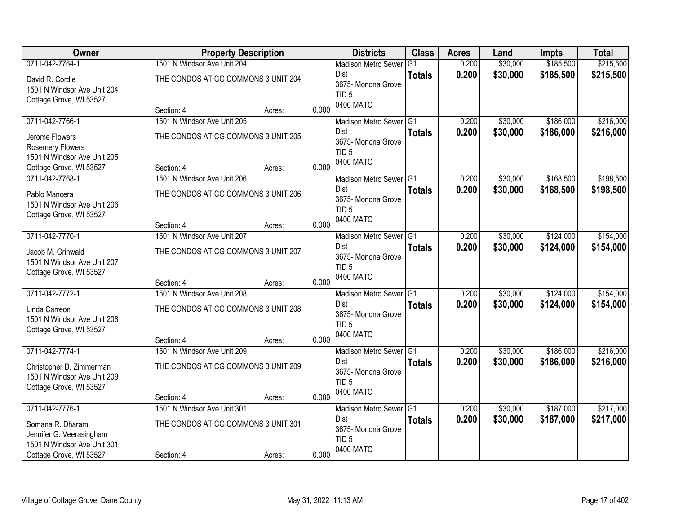| Owner                                                                              |                                                   | <b>Property Description</b> |       | <b>Districts</b>                                                   | <b>Class</b>    | <b>Acres</b> | Land     | <b>Impts</b> | <b>Total</b> |
|------------------------------------------------------------------------------------|---------------------------------------------------|-----------------------------|-------|--------------------------------------------------------------------|-----------------|--------------|----------|--------------|--------------|
| 0711-042-7764-1                                                                    | 1501 N Windsor Ave Unit 204                       |                             |       | <b>Madison Metro Sewer</b>                                         | G1              | 0.200        | \$30,000 | \$185,500    | \$215,500    |
| David R. Cordie<br>1501 N Windsor Ave Unit 204<br>Cottage Grove, WI 53527          | THE CONDOS AT CG COMMONS 3 UNIT 204               |                             |       | <b>Dist</b><br>3675-Monona Grove<br>TID <sub>5</sub>               | <b>Totals</b>   | 0.200        | \$30,000 | \$185,500    | \$215,500    |
|                                                                                    | Section: 4                                        | Acres:                      | 0.000 | 0400 MATC                                                          |                 |              |          |              |              |
| 0711-042-7766-1                                                                    | 1501 N Windsor Ave Unit 205                       |                             |       | Madison Metro Sewer G1                                             |                 | 0.200        | \$30,000 | \$186,000    | \$216,000    |
| Jerome Flowers<br><b>Rosemery Flowers</b><br>1501 N Windsor Ave Unit 205           | THE CONDOS AT CG COMMONS 3 UNIT 205               |                             |       | Dist<br>3675- Monona Grove<br>TID <sub>5</sub>                     | <b>Totals</b>   | 0.200        | \$30,000 | \$186,000    | \$216,000    |
| Cottage Grove, WI 53527                                                            | Section: 4                                        | Acres:                      | 0.000 | 0400 MATC                                                          |                 |              |          |              |              |
| 0711-042-7768-1                                                                    | 1501 N Windsor Ave Unit 206                       |                             |       | Madison Metro Sewer G1                                             |                 | 0.200        | \$30,000 | \$168,500    | \$198,500    |
| Pablo Mancera<br>1501 N Windsor Ave Unit 206<br>Cottage Grove, WI 53527            | THE CONDOS AT CG COMMONS 3 UNIT 206               |                             |       | <b>Dist</b><br>3675- Monona Grove<br>TID <sub>5</sub><br>0400 MATC | <b>Totals</b>   | 0.200        | \$30,000 | \$168,500    | \$198,500    |
|                                                                                    | Section: 4                                        | Acres:                      | 0.000 |                                                                    |                 |              |          |              |              |
| 0711-042-7770-1                                                                    | 1501 N Windsor Ave Unit 207                       |                             |       | Madison Metro Sewer G1                                             |                 | 0.200        | \$30,000 | \$124,000    | \$154,000    |
| Jacob M. Grinwald<br>1501 N Windsor Ave Unit 207<br>Cottage Grove, WI 53527        | THE CONDOS AT CG COMMONS 3 UNIT 207               |                             |       | <b>Dist</b><br>3675- Monona Grove<br>TID <sub>5</sub>              | <b>Totals</b>   | 0.200        | \$30,000 | \$124,000    | \$154,000    |
|                                                                                    | Section: 4                                        | Acres:                      | 0.000 | 0400 MATC                                                          |                 |              |          |              |              |
| 0711-042-7772-1                                                                    | 1501 N Windsor Ave Unit 208                       |                             |       | <b>Madison Metro Sewer</b>                                         | IG <sub>1</sub> | 0.200        | \$30,000 | \$124,000    | \$154,000    |
| Linda Carreon<br>1501 N Windsor Ave Unit 208<br>Cottage Grove, WI 53527            | THE CONDOS AT CG COMMONS 3 UNIT 208<br>Section: 4 | Acres:                      | 0.000 | Dist<br>3675- Monona Grove<br>TID <sub>5</sub><br>0400 MATC        | <b>Totals</b>   | 0.200        | \$30,000 | \$124,000    | \$154,000    |
| 0711-042-7774-1                                                                    | 1501 N Windsor Ave Unit 209                       |                             |       | Madison Metro Sewer G1                                             |                 | 0.200        | \$30,000 | \$186,000    | \$216,000    |
| Christopher D. Zimmerman<br>1501 N Windsor Ave Unit 209<br>Cottage Grove, WI 53527 | THE CONDOS AT CG COMMONS 3 UNIT 209               |                             |       | Dist<br>3675- Monona Grove<br>TID <sub>5</sub><br>0400 MATC        | <b>Totals</b>   | 0.200        | \$30,000 | \$186,000    | \$216,000    |
|                                                                                    | Section: 4                                        | Acres:                      | 0.000 |                                                                    |                 |              |          |              |              |
| 0711-042-7776-1                                                                    | 1501 N Windsor Ave Unit 301                       |                             |       | Madison Metro Sewer G1                                             |                 | 0.200        | \$30,000 | \$187,000    | \$217,000    |
| Somana R. Dharam<br>Jennifer G. Veerasingham<br>1501 N Windsor Ave Unit 301        | THE CONDOS AT CG COMMONS 3 UNIT 301               |                             |       | Dist<br>3675- Monona Grove<br>TID <sub>5</sub><br>0400 MATC        | <b>Totals</b>   | 0.200        | \$30,000 | \$187,000    | \$217,000    |
| Cottage Grove, WI 53527                                                            | Section: 4                                        | Acres:                      | 0.000 |                                                                    |                 |              |          |              |              |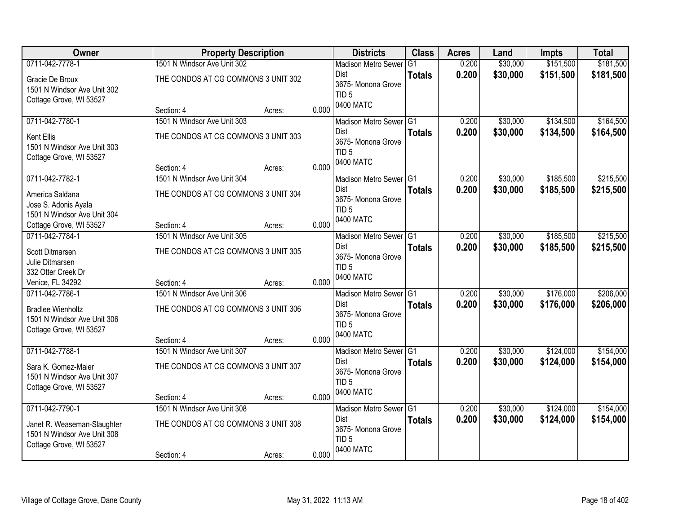| <b>Owner</b>                                   |                                     | <b>Property Description</b> |       | <b>Districts</b>              | <b>Class</b>    | <b>Acres</b> | Land     | <b>Impts</b> | <b>Total</b> |
|------------------------------------------------|-------------------------------------|-----------------------------|-------|-------------------------------|-----------------|--------------|----------|--------------|--------------|
| 0711-042-7778-1                                | 1501 N Windsor Ave Unit 302         |                             |       | <b>Madison Metro Sewer</b>    | G <sub>1</sub>  | 0.200        | \$30,000 | \$151,500    | \$181,500    |
| Gracie De Broux<br>1501 N Windsor Ave Unit 302 | THE CONDOS AT CG COMMONS 3 UNIT 302 |                             |       | Dist<br>3675- Monona Grove    | <b>Totals</b>   | 0.200        | \$30,000 | \$151,500    | \$181,500    |
| Cottage Grove, WI 53527                        |                                     |                             |       | TID <sub>5</sub><br>0400 MATC |                 |              |          |              |              |
|                                                | Section: 4                          | Acres:                      | 0.000 |                               |                 |              |          |              |              |
| 0711-042-7780-1                                | 1501 N Windsor Ave Unit 303         |                             |       | Madison Metro Sewer G1        |                 | 0.200        | \$30,000 | \$134,500    | \$164,500    |
| <b>Kent Ellis</b>                              | THE CONDOS AT CG COMMONS 3 UNIT 303 |                             |       | Dist                          | <b>Totals</b>   | 0.200        | \$30,000 | \$134,500    | \$164,500    |
| 1501 N Windsor Ave Unit 303                    |                                     |                             |       | 3675- Monona Grove            |                 |              |          |              |              |
| Cottage Grove, WI 53527                        |                                     |                             |       | TID <sub>5</sub><br>0400 MATC |                 |              |          |              |              |
|                                                | Section: 4                          | Acres:                      | 0.000 |                               |                 |              |          |              |              |
| 0711-042-7782-1                                | 1501 N Windsor Ave Unit 304         |                             |       | Madison Metro Sewer G1        |                 | 0.200        | \$30,000 | \$185,500    | \$215,500    |
| America Saldana                                | THE CONDOS AT CG COMMONS 3 UNIT 304 |                             |       | Dist                          | <b>Totals</b>   | 0.200        | \$30,000 | \$185,500    | \$215,500    |
| Jose S. Adonis Ayala                           |                                     |                             |       | 3675- Monona Grove            |                 |              |          |              |              |
| 1501 N Windsor Ave Unit 304                    |                                     |                             |       | TID <sub>5</sub><br>0400 MATC |                 |              |          |              |              |
| Cottage Grove, WI 53527                        | Section: 4                          | Acres:                      | 0.000 |                               |                 |              |          |              |              |
| 0711-042-7784-1                                | 1501 N Windsor Ave Unit 305         |                             |       | Madison Metro Sewer G1        |                 | 0.200        | \$30,000 | \$185,500    | \$215,500    |
| Scott Ditmarsen                                | THE CONDOS AT CG COMMONS 3 UNIT 305 |                             |       | Dist                          | <b>Totals</b>   | 0.200        | \$30,000 | \$185,500    | \$215,500    |
| Julie Ditmarsen                                |                                     |                             |       | 3675- Monona Grove            |                 |              |          |              |              |
| 332 Otter Creek Dr                             |                                     |                             |       | TID <sub>5</sub>              |                 |              |          |              |              |
| Venice, FL 34292                               | Section: 4                          | Acres:                      | 0.000 | 0400 MATC                     |                 |              |          |              |              |
| 0711-042-7786-1                                | 1501 N Windsor Ave Unit 306         |                             |       | <b>Madison Metro Sewer</b>    | $\overline{G1}$ | 0.200        | \$30,000 | \$176,000    | \$206,000    |
| <b>Bradlee Wienholtz</b>                       | THE CONDOS AT CG COMMONS 3 UNIT 306 |                             |       | <b>Dist</b>                   | <b>Totals</b>   | 0.200        | \$30,000 | \$176,000    | \$206,000    |
| 1501 N Windsor Ave Unit 306                    |                                     |                             |       | 3675- Monona Grove            |                 |              |          |              |              |
| Cottage Grove, WI 53527                        |                                     |                             |       | TID <sub>5</sub>              |                 |              |          |              |              |
|                                                | Section: 4                          | Acres:                      | 0.000 | 0400 MATC                     |                 |              |          |              |              |
| 0711-042-7788-1                                | 1501 N Windsor Ave Unit 307         |                             |       | Madison Metro Sewer G1        |                 | 0.200        | \$30,000 | \$124,000    | \$154,000    |
| Sara K. Gomez-Maier                            | THE CONDOS AT CG COMMONS 3 UNIT 307 |                             |       | Dist                          | <b>Totals</b>   | 0.200        | \$30,000 | \$124,000    | \$154,000    |
| 1501 N Windsor Ave Unit 307                    |                                     |                             |       | 3675- Monona Grove            |                 |              |          |              |              |
| Cottage Grove, WI 53527                        |                                     |                             |       | TID <sub>5</sub>              |                 |              |          |              |              |
|                                                | Section: 4                          | Acres:                      | 0.000 | 0400 MATC                     |                 |              |          |              |              |
| 0711-042-7790-1                                | 1501 N Windsor Ave Unit 308         |                             |       | Madison Metro Sewer G1        |                 | 0.200        | \$30,000 | \$124,000    | \$154,000    |
| Janet R. Weaseman-Slaughter                    | THE CONDOS AT CG COMMONS 3 UNIT 308 |                             |       | Dist                          | <b>Totals</b>   | 0.200        | \$30,000 | \$124,000    | \$154,000    |
| 1501 N Windsor Ave Unit 308                    |                                     |                             |       | 3675- Monona Grove            |                 |              |          |              |              |
| Cottage Grove, WI 53527                        |                                     |                             |       | TID <sub>5</sub>              |                 |              |          |              |              |
|                                                | Section: 4                          | Acres:                      | 0.000 | 0400 MATC                     |                 |              |          |              |              |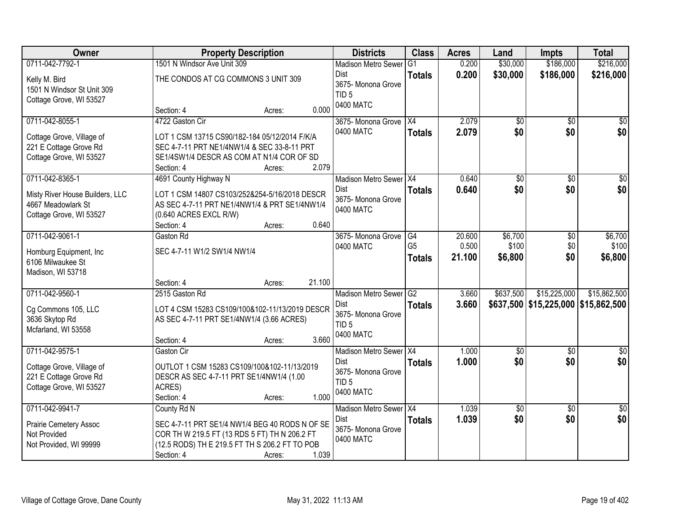| Owner                                        | <b>Property Description</b>                    |                  | <b>Districts</b>                      | <b>Class</b>   | <b>Acres</b> | Land                   | <b>Impts</b>                        | <b>Total</b>           |
|----------------------------------------------|------------------------------------------------|------------------|---------------------------------------|----------------|--------------|------------------------|-------------------------------------|------------------------|
| 0711-042-7792-1                              | 1501 N Windsor Ave Unit 309                    |                  | <b>Madison Metro Sewer</b>            | G <sub>1</sub> | 0.200        | \$30,000               | \$186,000                           | \$216,000              |
| Kelly M. Bird<br>1501 N Windsor St Unit 309  | THE CONDOS AT CG COMMONS 3 UNIT 309            |                  | <b>Dist</b><br>3675-Monona Grove      | <b>Totals</b>  | 0.200        | \$30,000               | \$186,000                           | \$216,000              |
| Cottage Grove, WI 53527                      |                                                |                  | TID <sub>5</sub>                      |                |              |                        |                                     |                        |
|                                              | Section: 4                                     | 0.000<br>Acres:  | 0400 MATC                             |                |              |                        |                                     |                        |
| 0711-042-8055-1                              | 4722 Gaston Cir                                |                  | 3675- Monona Grove                    | X4             | 2.079        | \$0                    | $\overline{30}$                     | \$0                    |
| Cottage Grove, Village of                    | LOT 1 CSM 13715 CS90/182-184 05/12/2014 F/K/A  |                  | 0400 MATC                             | <b>Totals</b>  | 2.079        | \$0                    | \$0                                 | \$0                    |
| 221 E Cottage Grove Rd                       | SEC 4-7-11 PRT NE1/4NW1/4 & SEC 33-8-11 PRT    |                  |                                       |                |              |                        |                                     |                        |
| Cottage Grove, WI 53527                      | SE1/4SW1/4 DESCR AS COM AT N1/4 COR OF SD      |                  |                                       |                |              |                        |                                     |                        |
|                                              | Section: 4                                     | 2.079<br>Acres:  |                                       |                |              |                        |                                     |                        |
| 0711-042-8365-1                              | 4691 County Highway N                          |                  | Madison Metro Sewer   X4              |                | 0.640        | $\overline{50}$        | $\overline{50}$                     | $\overline{50}$        |
| Misty River House Builders, LLC              | LOT 1 CSM 14807 CS103/252&254-5/16/2018 DESCR  |                  | Dist                                  | <b>Totals</b>  | 0.640        | \$0                    | \$0                                 | \$0                    |
| 4667 Meadowlark St                           | AS SEC 4-7-11 PRT NE1/4NW1/4 & PRT SE1/4NW1/4  |                  | 3675- Monona Grove                    |                |              |                        |                                     |                        |
| Cottage Grove, WI 53527                      | (0.640 ACRES EXCL R/W)                         |                  | 0400 MATC                             |                |              |                        |                                     |                        |
|                                              | Section: 4                                     | 0.640<br>Acres:  |                                       |                |              |                        |                                     |                        |
| 0711-042-9061-1                              | Gaston Rd                                      |                  | 3675- Monona Grove                    | G4             | 20.600       | \$6,700                | \$0                                 | \$6,700                |
|                                              |                                                |                  | 0400 MATC                             | G <sub>5</sub> | 0.500        | \$100                  | \$0                                 | \$100                  |
| Homburg Equipment, Inc.<br>6106 Milwaukee St | SEC 4-7-11 W1/2 SW1/4 NW1/4                    |                  |                                       | <b>Totals</b>  | 21.100       | \$6,800                | \$0                                 | \$6,800                |
| Madison, WI 53718                            |                                                |                  |                                       |                |              |                        |                                     |                        |
|                                              | Section: 4                                     | 21.100<br>Acres: |                                       |                |              |                        |                                     |                        |
| 0711-042-9560-1                              | 2515 Gaston Rd                                 |                  | <b>Madison Metro Sewer</b>            | G2             | 3.660        | \$637,500              | \$15,225,000                        | \$15,862,500           |
|                                              |                                                |                  | Dist                                  | <b>Totals</b>  | 3.660        |                        | \$637,500 \$15,225,000 \$15,862,500 |                        |
| Cg Commons 105, LLC                          | LOT 4 CSM 15283 CS109/100&102-11/13/2019 DESCR |                  | 3675- Monona Grove                    |                |              |                        |                                     |                        |
| 3636 Skytop Rd                               | AS SEC 4-7-11 PRT SE1/4NW1/4 (3.66 ACRES)      |                  | TID <sub>5</sub>                      |                |              |                        |                                     |                        |
| Mcfarland, WI 53558                          |                                                |                  | 0400 MATC                             |                |              |                        |                                     |                        |
|                                              | Section: 4                                     | 3.660<br>Acres:  |                                       |                |              |                        |                                     |                        |
| 0711-042-9575-1                              | Gaston Cir                                     |                  | Madison Metro Sewer X4<br><b>Dist</b> |                | 1.000        | $\overline{60}$<br>\$0 | $\overline{50}$                     | $\overline{50}$<br>\$0 |
| Cottage Grove, Village of                    | OUTLOT 1 CSM 15283 CS109/100&102-11/13/2019    |                  | 3675- Monona Grove                    | <b>Totals</b>  | 1.000        |                        | \$0                                 |                        |
| 221 E Cottage Grove Rd                       | DESCR AS SEC 4-7-11 PRT SE1/4NW1/4 (1.00       |                  | TID <sub>5</sub>                      |                |              |                        |                                     |                        |
| Cottage Grove, WI 53527                      | ACRES)                                         |                  | 0400 MATC                             |                |              |                        |                                     |                        |
|                                              | Section: 4                                     | 1.000<br>Acres:  |                                       |                |              |                        |                                     |                        |
| 0711-042-9941-7                              | County Rd N                                    |                  | Madison Metro Sewer   X4              |                | 1.039        | $\sqrt{$0}$            | $\overline{30}$                     | $\overline{50}$        |
| <b>Prairie Cemetery Assoc</b>                | SEC 4-7-11 PRT SE1/4 NW1/4 BEG 40 RODS N OF SE |                  | Dist                                  | <b>Totals</b>  | 1.039        | \$0                    | \$0                                 | \$0                    |
| Not Provided                                 | COR TH W 219.5 FT (13 RDS 5 FT) TH N 206.2 FT  |                  | 3675- Monona Grove                    |                |              |                        |                                     |                        |
| Not Provided, WI 99999                       | (12.5 RODS) TH E 219.5 FT TH S 206.2 FT TO POB |                  | 0400 MATC                             |                |              |                        |                                     |                        |
|                                              | Section: 4                                     | 1.039<br>Acres:  |                                       |                |              |                        |                                     |                        |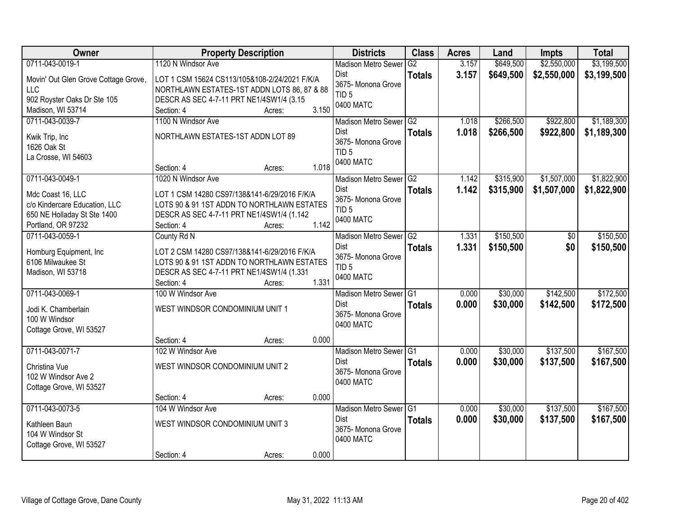| Owner                                                                                                   | <b>Property Description</b>                                                                                                                                               | <b>Districts</b>                                                  | <b>Class</b>  | <b>Acres</b>   | Land                 | <b>Impts</b>           | <b>Total</b>           |
|---------------------------------------------------------------------------------------------------------|---------------------------------------------------------------------------------------------------------------------------------------------------------------------------|-------------------------------------------------------------------|---------------|----------------|----------------------|------------------------|------------------------|
| 0711-043-0019-1                                                                                         | 1120 N Windsor Ave                                                                                                                                                        | <b>Madison Metro Sewer</b>                                        | G2            | 3.157          | \$649,500            | \$2,550,000            | \$3,199,500            |
| Movin' Out Glen Grove Cottage Grove,<br><b>LLC</b><br>902 Royster Oaks Dr Ste 105<br>Madison, WI 53714  | LOT 1 CSM 15624 CS113/105&108-2/24/2021 F/K/A<br>NORTHLAWN ESTATES-1ST ADDN LOTS 86, 87 & 88<br>DESCR AS SEC 4-7-11 PRT NE1/4SW1/4 (3.15<br>3.150<br>Section: 4<br>Acres: | Dist<br>3675- Monona Grove<br>TID <sub>5</sub><br>0400 MATC       | <b>Totals</b> | 3.157          | \$649,500            | \$2,550,000            | \$3,199,500            |
| 0711-043-0039-7                                                                                         | 1100 N Windsor Ave                                                                                                                                                        | Madison Metro Sewer G2                                            |               | 1.018          | \$266,500            | \$922,800              | \$1,189,300            |
| Kwik Trip, Inc<br>1626 Oak St<br>La Crosse, WI 54603                                                    | NORTHLAWN ESTATES-1ST ADDN LOT 89<br>1.018<br>Section: 4<br>Acres:                                                                                                        | Dist<br>3675- Monona Grove<br>TID <sub>5</sub><br>0400 MATC       | <b>Totals</b> | 1.018          | \$266,500            | \$922,800              | \$1,189,300            |
| 0711-043-0049-1                                                                                         | 1020 N Windsor Ave                                                                                                                                                        | Madison Metro Sewer G2                                            |               | 1.142          | \$315,900            | \$1,507,000            | \$1,822,900            |
| Mdc Coast 16, LLC<br>c/o Kindercare Education, LLC<br>650 NE Holladay St Ste 1400<br>Portland, OR 97232 | LOT 1 CSM 14280 CS97/138&141-6/29/2016 F/K/A<br>LOTS 90 & 91 1ST ADDN TO NORTHLAWN ESTATES<br>DESCR AS SEC 4-7-11 PRT NE1/4SW1/4 (1.142)<br>1.142<br>Section: 4<br>Acres: | Dist<br>3675- Monona Grove<br>TID <sub>5</sub><br>0400 MATC       | <b>Totals</b> | 1.142          | \$315,900            | \$1,507,000            | \$1,822,900            |
| 0711-043-0059-1                                                                                         | County Rd N                                                                                                                                                               | Madison Metro Sewer G2                                            |               | 1.331          | \$150,500            | \$0                    | \$150,500              |
| Homburg Equipment, Inc.<br>6106 Milwaukee St<br>Madison, WI 53718                                       | LOT 2 CSM 14280 CS97/138&141-6/29/2016 F/K/A<br>LOTS 90 & 91 1ST ADDN TO NORTHLAWN ESTATES<br>DESCR AS SEC 4-7-11 PRT NE1/4SW1/4 (1.331<br>1.331<br>Section: 4<br>Acres:  | Dist<br>3675- Monona Grove<br>TID <sub>5</sub><br>0400 MATC       | <b>Totals</b> | 1.331          | \$150,500            | \$0                    | \$150,500              |
| 0711-043-0069-1                                                                                         | 100 W Windsor Ave                                                                                                                                                         | Madison Metro Sewer G1                                            |               | 0.000          | \$30,000             | \$142,500              | \$172,500              |
| Jodi K. Chamberlain<br>100 W Windsor<br>Cottage Grove, WI 53527                                         | WEST WINDSOR CONDOMINIUM UNIT 1                                                                                                                                           | Dist<br>3675-Monona Grove<br>0400 MATC                            | <b>Totals</b> | 0.000          | \$30,000             | \$142,500              | \$172,500              |
|                                                                                                         | 0.000<br>Section: 4<br>Acres:                                                                                                                                             |                                                                   |               |                |                      |                        |                        |
| 0711-043-0071-7<br>Christina Vue<br>102 W Windsor Ave 2<br>Cottage Grove, WI 53527                      | 102 W Windsor Ave<br>WEST WINDSOR CONDOMINIUM UNIT 2                                                                                                                      | Madison Metro Sewer G1<br>Dist<br>3675- Monona Grove<br>0400 MATC | <b>Totals</b> | 0.000<br>0.000 | \$30,000<br>\$30,000 | \$137,500<br>\$137,500 | \$167,500<br>\$167,500 |
|                                                                                                         | 0.000<br>Section: 4<br>Acres:                                                                                                                                             |                                                                   |               |                |                      |                        |                        |
| 0711-043-0073-5<br>Kathleen Baun<br>104 W Windsor St<br>Cottage Grove, WI 53527                         | 104 W Windsor Ave<br>WEST WINDSOR CONDOMINIUM UNIT 3<br>0.000<br>Section: 4<br>Acres:                                                                                     | Madison Metro Sewer G1<br>Dist<br>3675- Monona Grove<br>0400 MATC | <b>Totals</b> | 0.000<br>0.000 | \$30,000<br>\$30,000 | \$137,500<br>\$137,500 | \$167,500<br>\$167,500 |
|                                                                                                         |                                                                                                                                                                           |                                                                   |               |                |                      |                        |                        |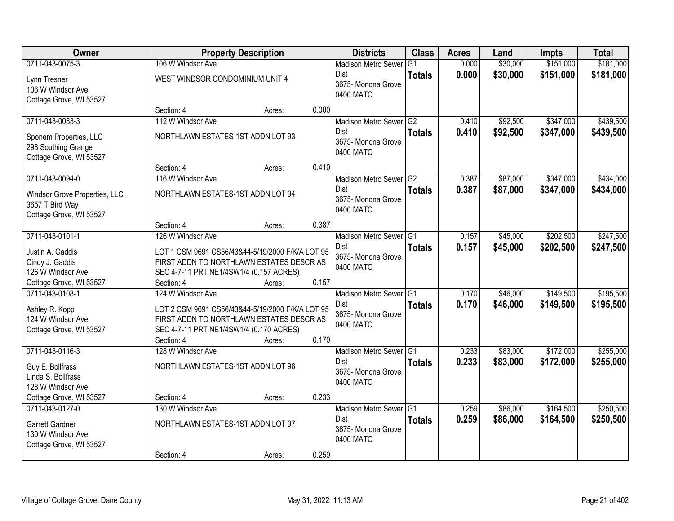| Owner                         |                                                  | <b>Property Description</b> |       | <b>Districts</b>           | <b>Class</b>  | <b>Acres</b> | Land     | <b>Impts</b> | <b>Total</b> |
|-------------------------------|--------------------------------------------------|-----------------------------|-------|----------------------------|---------------|--------------|----------|--------------|--------------|
| 0711-043-0075-3               | 106 W Windsor Ave                                |                             |       | <b>Madison Metro Sewer</b> | G1            | 0.000        | \$30,000 | \$151,000    | \$181,000    |
| Lynn Tresner                  | WEST WINDSOR CONDOMINIUM UNIT 4                  |                             |       | Dist                       | <b>Totals</b> | 0.000        | \$30,000 | \$151,000    | \$181,000    |
| 106 W Windsor Ave             |                                                  |                             |       | 3675-Monona Grove          |               |              |          |              |              |
| Cottage Grove, WI 53527       |                                                  |                             |       | 0400 MATC                  |               |              |          |              |              |
|                               | Section: 4                                       | Acres:                      | 0.000 |                            |               |              |          |              |              |
| 0711-043-0083-3               | 112 W Windsor Ave                                |                             |       | Madison Metro Sewer G2     |               | 0.410        | \$92,500 | \$347,000    | \$439,500    |
| Sponem Properties, LLC        | NORTHLAWN ESTATES-1ST ADDN LOT 93                |                             |       | Dist                       | <b>Totals</b> | 0.410        | \$92,500 | \$347,000    | \$439,500    |
| 298 Southing Grange           |                                                  |                             |       | 3675- Monona Grove         |               |              |          |              |              |
| Cottage Grove, WI 53527       |                                                  |                             |       | 0400 MATC                  |               |              |          |              |              |
|                               | Section: 4                                       | Acres:                      | 0.410 |                            |               |              |          |              |              |
| 0711-043-0094-0               | 116 W Windsor Ave                                |                             |       | Madison Metro Sewer G2     |               | 0.387        | \$87,000 | \$347,000    | \$434,000    |
| Windsor Grove Properties, LLC | NORTHLAWN ESTATES-1ST ADDN LOT 94                |                             |       | Dist                       | <b>Totals</b> | 0.387        | \$87,000 | \$347,000    | \$434,000    |
| 3657 T Bird Way               |                                                  |                             |       | 3675- Monona Grove         |               |              |          |              |              |
| Cottage Grove, WI 53527       |                                                  |                             |       | 0400 MATC                  |               |              |          |              |              |
|                               | Section: 4                                       | Acres:                      | 0.387 |                            |               |              |          |              |              |
| 0711-043-0101-1               | 126 W Windsor Ave                                |                             |       | Madison Metro Sewer G1     |               | 0.157        | \$45,000 | \$202,500    | \$247,500    |
| Justin A. Gaddis              | LOT 1 CSM 9691 CS56/43&44-5/19/2000 F/K/A LOT 95 |                             |       | Dist                       | <b>Totals</b> | 0.157        | \$45,000 | \$202,500    | \$247,500    |
| Cindy J. Gaddis               | FIRST ADDN TO NORTHLAWN ESTATES DESCR AS         |                             |       | 3675- Monona Grove         |               |              |          |              |              |
| 126 W Windsor Ave             | SEC 4-7-11 PRT NE1/4SW1/4 (0.157 ACRES)          |                             |       | 0400 MATC                  |               |              |          |              |              |
| Cottage Grove, WI 53527       | Section: 4                                       | Acres:                      | 0.157 |                            |               |              |          |              |              |
| 0711-043-0108-1               | 124 W Windsor Ave                                |                             |       | Madison Metro Sewer G1     |               | 0.170        | \$46,000 | \$149,500    | \$195,500    |
| Ashley R. Kopp                | LOT 2 CSM 9691 CS56/43&44-5/19/2000 F/K/A LOT 95 |                             |       | <b>Dist</b>                | <b>Totals</b> | 0.170        | \$46,000 | \$149,500    | \$195,500    |
| 124 W Windsor Ave             | FIRST ADDN TO NORTHLAWN ESTATES DESCR AS         |                             |       | 3675- Monona Grove         |               |              |          |              |              |
| Cottage Grove, WI 53527       | SEC 4-7-11 PRT NE1/4SW1/4 (0.170 ACRES)          |                             |       | 0400 MATC                  |               |              |          |              |              |
|                               | Section: 4                                       | Acres:                      | 0.170 |                            |               |              |          |              |              |
| 0711-043-0116-3               | 128 W Windsor Ave                                |                             |       | Madison Metro Sewer G1     |               | 0.233        | \$83,000 | \$172,000    | \$255,000    |
| Guy E. Bollfrass              | NORTHLAWN ESTATES-1ST ADDN LOT 96                |                             |       | Dist                       | <b>Totals</b> | 0.233        | \$83,000 | \$172,000    | \$255,000    |
| Linda S. Bollfrass            |                                                  |                             |       | 3675- Monona Grove         |               |              |          |              |              |
| 128 W Windsor Ave             |                                                  |                             |       | 0400 MATC                  |               |              |          |              |              |
| Cottage Grove, WI 53527       | Section: 4                                       | Acres:                      | 0.233 |                            |               |              |          |              |              |
| 0711-043-0127-0               | 130 W Windsor Ave                                |                             |       | Madison Metro Sewer G1     |               | 0.259        | \$86,000 | \$164,500    | \$250,500    |
| Garrett Gardner               | NORTHLAWN ESTATES-1ST ADDN LOT 97                |                             |       | Dist                       | <b>Totals</b> | 0.259        | \$86,000 | \$164,500    | \$250,500    |
| 130 W Windsor Ave             |                                                  |                             |       | 3675- Monona Grove         |               |              |          |              |              |
| Cottage Grove, WI 53527       |                                                  |                             |       | 0400 MATC                  |               |              |          |              |              |
|                               | Section: 4                                       | Acres:                      | 0.259 |                            |               |              |          |              |              |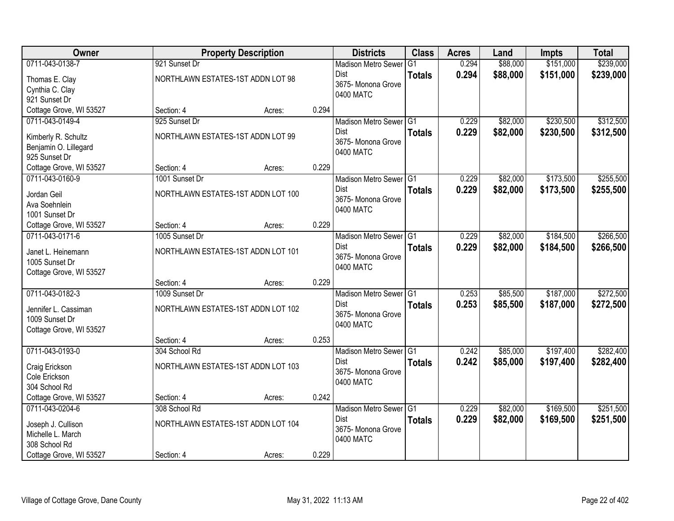| Owner                   |                                    | <b>Property Description</b> |       | <b>Districts</b>                | <b>Class</b>  | <b>Acres</b> | Land     | <b>Impts</b> | <b>Total</b> |
|-------------------------|------------------------------------|-----------------------------|-------|---------------------------------|---------------|--------------|----------|--------------|--------------|
| 0711-043-0138-7         | 921 Sunset Dr                      |                             |       | <b>Madison Metro Sewer</b>      | G1            | 0.294        | \$88,000 | \$151,000    | \$239,000    |
| Thomas E. Clay          | NORTHLAWN ESTATES-1ST ADDN LOT 98  |                             |       | Dist                            | <b>Totals</b> | 0.294        | \$88,000 | \$151,000    | \$239,000    |
| Cynthia C. Clay         |                                    |                             |       | 3675- Monona Grove              |               |              |          |              |              |
| 921 Sunset Dr           |                                    |                             |       | 0400 MATC                       |               |              |          |              |              |
| Cottage Grove, WI 53527 | Section: 4                         | Acres:                      | 0.294 |                                 |               |              |          |              |              |
| 0711-043-0149-4         | 925 Sunset Dr                      |                             |       | Madison Metro Sewer G1          |               | 0.229        | \$82,000 | \$230,500    | \$312,500    |
| Kimberly R. Schultz     | NORTHLAWN ESTATES-1ST ADDN LOT 99  |                             |       | Dist                            | <b>Totals</b> | 0.229        | \$82,000 | \$230,500    | \$312,500    |
| Benjamin O. Lillegard   |                                    |                             |       | 3675- Monona Grove<br>0400 MATC |               |              |          |              |              |
| 925 Sunset Dr           |                                    |                             |       |                                 |               |              |          |              |              |
| Cottage Grove, WI 53527 | Section: 4                         | Acres:                      | 0.229 |                                 |               |              |          |              |              |
| 0711-043-0160-9         | 1001 Sunset Dr                     |                             |       | Madison Metro Sewer G1          |               | 0.229        | \$82,000 | \$173,500    | \$255,500    |
| Jordan Geil             | NORTHLAWN ESTATES-1ST ADDN LOT 100 |                             |       | Dist                            | <b>Totals</b> | 0.229        | \$82,000 | \$173,500    | \$255,500    |
| Ava Soehnlein           |                                    |                             |       | 3675- Monona Grove              |               |              |          |              |              |
| 1001 Sunset Dr          |                                    |                             |       | 0400 MATC                       |               |              |          |              |              |
| Cottage Grove, WI 53527 | Section: 4                         | Acres:                      | 0.229 |                                 |               |              |          |              |              |
| 0711-043-0171-6         | 1005 Sunset Dr                     |                             |       | Madison Metro Sewer G1          |               | 0.229        | \$82,000 | \$184,500    | \$266,500    |
| Janet L. Heinemann      | NORTHLAWN ESTATES-1ST ADDN LOT 101 |                             |       | Dist                            | <b>Totals</b> | 0.229        | \$82,000 | \$184,500    | \$266,500    |
| 1005 Sunset Dr          |                                    |                             |       | 3675- Monona Grove              |               |              |          |              |              |
| Cottage Grove, WI 53527 |                                    |                             |       | 0400 MATC                       |               |              |          |              |              |
|                         | Section: 4                         | Acres:                      | 0.229 |                                 |               |              |          |              |              |
| 0711-043-0182-3         | 1009 Sunset Dr                     |                             |       | Madison Metro Sewer G1          |               | 0.253        | \$85,500 | \$187,000    | \$272,500    |
| Jennifer L. Cassiman    | NORTHLAWN ESTATES-1ST ADDN LOT 102 |                             |       | <b>Dist</b>                     | <b>Totals</b> | 0.253        | \$85,500 | \$187,000    | \$272,500    |
| 1009 Sunset Dr          |                                    |                             |       | 3675- Monona Grove              |               |              |          |              |              |
| Cottage Grove, WI 53527 |                                    |                             |       | 0400 MATC                       |               |              |          |              |              |
|                         | Section: 4                         | Acres:                      | 0.253 |                                 |               |              |          |              |              |
| 0711-043-0193-0         | 304 School Rd                      |                             |       | Madison Metro Sewer G1          |               | 0.242        | \$85,000 | \$197,400    | \$282,400    |
| Craig Erickson          | NORTHLAWN ESTATES-1ST ADDN LOT 103 |                             |       | Dist                            | <b>Totals</b> | 0.242        | \$85,000 | \$197,400    | \$282,400    |
| Cole Erickson           |                                    |                             |       | 3675- Monona Grove<br>0400 MATC |               |              |          |              |              |
| 304 School Rd           |                                    |                             |       |                                 |               |              |          |              |              |
| Cottage Grove, WI 53527 | Section: 4                         | Acres:                      | 0.242 |                                 |               |              |          |              |              |
| 0711-043-0204-6         | 308 School Rd                      |                             |       | Madison Metro Sewer G1          |               | 0.229        | \$82,000 | \$169,500    | \$251,500    |
| Joseph J. Cullison      | NORTHLAWN ESTATES-1ST ADDN LOT 104 |                             |       | <b>Dist</b>                     | <b>Totals</b> | 0.229        | \$82,000 | \$169,500    | \$251,500    |
| Michelle L. March       |                                    |                             |       | 3675- Monona Grove              |               |              |          |              |              |
| 308 School Rd           |                                    |                             |       | 0400 MATC                       |               |              |          |              |              |
| Cottage Grove, WI 53527 | Section: 4                         | Acres:                      | 0.229 |                                 |               |              |          |              |              |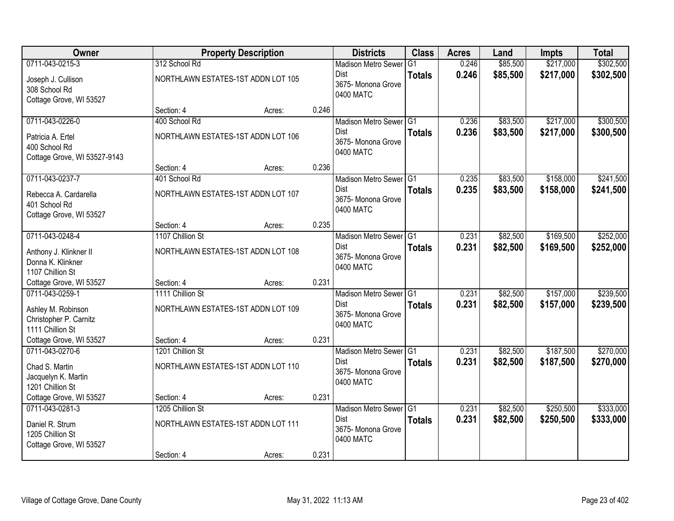| Owner                                                                               |                  | <b>Property Description</b>        |       | <b>Districts</b>                                                         | <b>Class</b>  | <b>Acres</b>   | Land                 | <b>Impts</b>           | <b>Total</b>           |
|-------------------------------------------------------------------------------------|------------------|------------------------------------|-------|--------------------------------------------------------------------------|---------------|----------------|----------------------|------------------------|------------------------|
| 0711-043-0215-3                                                                     | 312 School Rd    |                                    |       | <b>Madison Metro Sewer</b>                                               | G1            | 0.246          | \$85,500             | \$217,000              | \$302,500              |
| Joseph J. Cullison<br>308 School Rd<br>Cottage Grove, WI 53527                      |                  | NORTHLAWN ESTATES-1ST ADDN LOT 105 |       | Dist<br>3675- Monona Grove<br>0400 MATC                                  | <b>Totals</b> | 0.246          | \$85,500             | \$217,000              | \$302,500              |
|                                                                                     | Section: 4       | Acres:                             | 0.246 |                                                                          |               |                |                      |                        |                        |
| 0711-043-0226-0                                                                     | 400 School Rd    |                                    |       | Madison Metro Sewer G1                                                   |               | 0.236          | \$83,500             | \$217,000              | \$300,500              |
| Patricia A. Ertel<br>400 School Rd<br>Cottage Grove, WI 53527-9143                  |                  | NORTHLAWN ESTATES-1ST ADDN LOT 106 |       | <b>Dist</b><br>3675- Monona Grove<br>0400 MATC                           | <b>Totals</b> | 0.236          | \$83,500             | \$217,000              | \$300,500              |
|                                                                                     | Section: 4       | Acres:                             | 0.236 |                                                                          |               |                |                      |                        |                        |
| 0711-043-0237-7                                                                     | 401 School Rd    |                                    |       | Madison Metro Sewer G1                                                   |               | 0.235          | \$83,500             | \$158,000              | \$241,500              |
| Rebecca A. Cardarella<br>401 School Rd<br>Cottage Grove, WI 53527                   |                  | NORTHLAWN ESTATES-1ST ADDN LOT 107 |       | Dist<br>3675- Monona Grove<br>0400 MATC                                  | <b>Totals</b> | 0.235          | \$83,500             | \$158,000              | \$241,500              |
|                                                                                     | Section: 4       | Acres:                             | 0.235 |                                                                          |               |                |                      |                        |                        |
| 0711-043-0248-4                                                                     | 1107 Chillion St |                                    |       | Madison Metro Sewer G1                                                   |               | 0.231          | \$82,500             | \$169,500              | \$252,000              |
| Anthony J. Klinkner II<br>Donna K. Klinkner<br>1107 Chillion St                     |                  | NORTHLAWN ESTATES-1ST ADDN LOT 108 |       | Dist<br>3675- Monona Grove<br>0400 MATC                                  | <b>Totals</b> | 0.231          | \$82,500             | \$169,500              | \$252,000              |
| Cottage Grove, WI 53527                                                             | Section: 4       | Acres:                             | 0.231 |                                                                          |               |                |                      |                        |                        |
| 0711-043-0259-1<br>Ashley M. Robinson<br>Christopher P. Carnitz<br>1111 Chillion St | 1111 Chillion St | NORTHLAWN ESTATES-1ST ADDN LOT 109 |       | Madison Metro Sewer G1<br><b>Dist</b><br>3675- Monona Grove<br>0400 MATC | <b>Totals</b> | 0.231<br>0.231 | \$82,500<br>\$82,500 | \$157,000<br>\$157,000 | \$239,500<br>\$239,500 |
| Cottage Grove, WI 53527                                                             | Section: 4       | Acres:                             | 0.231 |                                                                          |               |                |                      |                        |                        |
| 0711-043-0270-6                                                                     | 1201 Chillion St |                                    |       | Madison Metro Sewer G1                                                   |               | 0.231          | \$82,500             | \$187,500              | \$270,000              |
| Chad S. Martin<br>Jacquelyn K. Martin<br>1201 Chillion St                           |                  | NORTHLAWN ESTATES-1ST ADDN LOT 110 |       | Dist<br>3675- Monona Grove<br>0400 MATC                                  | <b>Totals</b> | 0.231          | \$82,500             | \$187,500              | \$270,000              |
| Cottage Grove, WI 53527                                                             | Section: 4       | Acres:                             | 0.231 |                                                                          |               |                |                      |                        |                        |
| 0711-043-0281-3                                                                     | 1205 Chillion St |                                    |       | Madison Metro Sewer G1                                                   |               | 0.231          | \$82,500             | \$250,500              | \$333,000              |
| Daniel R. Strum<br>1205 Chillion St<br>Cottage Grove, WI 53527                      |                  | NORTHLAWN ESTATES-1ST ADDN LOT 111 |       | <b>Dist</b><br>3675-Monona Grove<br>0400 MATC                            | <b>Totals</b> | 0.231          | \$82,500             | \$250,500              | \$333,000              |
|                                                                                     | Section: 4       | Acres:                             | 0.231 |                                                                          |               |                |                      |                        |                        |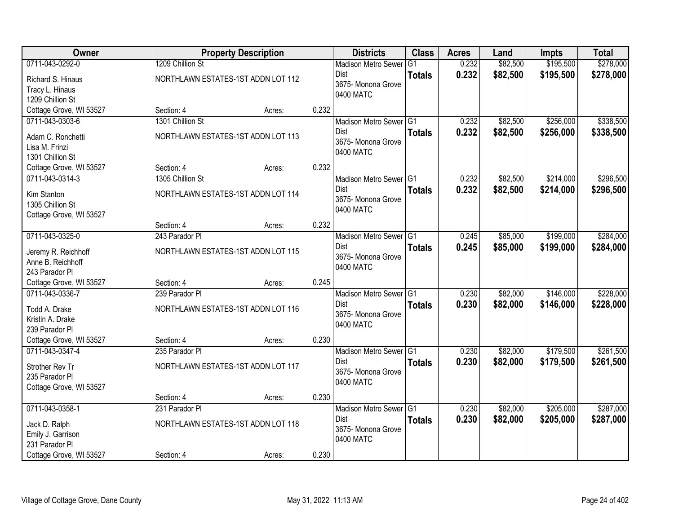| Owner                   |                                    | <b>Property Description</b> |       | <b>Districts</b>                | <b>Class</b>  | <b>Acres</b> | Land     | <b>Impts</b> | <b>Total</b> |
|-------------------------|------------------------------------|-----------------------------|-------|---------------------------------|---------------|--------------|----------|--------------|--------------|
| 0711-043-0292-0         | 1209 Chillion St                   |                             |       | <b>Madison Metro Sewer</b>      | G1            | 0.232        | \$82,500 | \$195,500    | \$278,000    |
| Richard S. Hinaus       | NORTHLAWN ESTATES-1ST ADDN LOT 112 |                             |       | Dist                            | <b>Totals</b> | 0.232        | \$82,500 | \$195,500    | \$278,000    |
| Tracy L. Hinaus         |                                    |                             |       | 3675- Monona Grove              |               |              |          |              |              |
| 1209 Chillion St        |                                    |                             |       | 0400 MATC                       |               |              |          |              |              |
| Cottage Grove, WI 53527 | Section: 4                         | Acres:                      | 0.232 |                                 |               |              |          |              |              |
| 0711-043-0303-6         | 1301 Chillion St                   |                             |       | Madison Metro Sewer G1          |               | 0.232        | \$82,500 | \$256,000    | \$338,500    |
| Adam C. Ronchetti       | NORTHLAWN ESTATES-1ST ADDN LOT 113 |                             |       | <b>Dist</b>                     | <b>Totals</b> | 0.232        | \$82,500 | \$256,000    | \$338,500    |
| Lisa M. Frinzi          |                                    |                             |       | 3675- Monona Grove<br>0400 MATC |               |              |          |              |              |
| 1301 Chillion St        |                                    |                             |       |                                 |               |              |          |              |              |
| Cottage Grove, WI 53527 | Section: 4                         | Acres:                      | 0.232 |                                 |               |              |          |              |              |
| 0711-043-0314-3         | 1305 Chillion St                   |                             |       | Madison Metro Sewer G1          |               | 0.232        | \$82,500 | \$214,000    | \$296,500    |
| Kim Stanton             | NORTHLAWN ESTATES-1ST ADDN LOT 114 |                             |       | Dist                            | <b>Totals</b> | 0.232        | \$82,500 | \$214,000    | \$296,500    |
| 1305 Chillion St        |                                    |                             |       | 3675- Monona Grove<br>0400 MATC |               |              |          |              |              |
| Cottage Grove, WI 53527 |                                    |                             |       |                                 |               |              |          |              |              |
|                         | Section: 4                         | Acres:                      | 0.232 |                                 |               |              |          |              |              |
| 0711-043-0325-0         | 243 Parador Pl                     |                             |       | Madison Metro Sewer G1          |               | 0.245        | \$85,000 | \$199,000    | \$284,000    |
| Jeremy R. Reichhoff     | NORTHLAWN ESTATES-1ST ADDN LOT 115 |                             |       | Dist                            | <b>Totals</b> | 0.245        | \$85,000 | \$199,000    | \$284,000    |
| Anne B. Reichhoff       |                                    |                             |       | 3675- Monona Grove<br>0400 MATC |               |              |          |              |              |
| 243 Parador Pl          |                                    |                             |       |                                 |               |              |          |              |              |
| Cottage Grove, WI 53527 | Section: 4                         | Acres:                      | 0.245 |                                 |               |              |          |              |              |
| 0711-043-0336-7         | 239 Parador PI                     |                             |       | Madison Metro Sewer G1          |               | 0.230        | \$82,000 | \$146,000    | \$228,000    |
| Todd A. Drake           | NORTHLAWN ESTATES-1ST ADDN LOT 116 |                             |       | <b>Dist</b>                     | <b>Totals</b> | 0.230        | \$82,000 | \$146,000    | \$228,000    |
| Kristin A. Drake        |                                    |                             |       | 3675- Monona Grove<br>0400 MATC |               |              |          |              |              |
| 239 Parador Pl          |                                    |                             |       |                                 |               |              |          |              |              |
| Cottage Grove, WI 53527 | Section: 4                         | Acres:                      | 0.230 |                                 |               |              |          |              |              |
| 0711-043-0347-4         | 235 Parador PI                     |                             |       | Madison Metro Sewer G1          |               | 0.230        | \$82,000 | \$179,500    | \$261,500    |
| Strother Rev Tr         | NORTHLAWN ESTATES-1ST ADDN LOT 117 |                             |       | Dist                            | <b>Totals</b> | 0.230        | \$82,000 | \$179,500    | \$261,500    |
| 235 Parador Pl          |                                    |                             |       | 3675- Monona Grove<br>0400 MATC |               |              |          |              |              |
| Cottage Grove, WI 53527 |                                    |                             |       |                                 |               |              |          |              |              |
|                         | Section: 4                         | Acres:                      | 0.230 |                                 |               |              |          |              |              |
| 0711-043-0358-1         | 231 Parador PI                     |                             |       | Madison Metro Sewer G1          |               | 0.230        | \$82,000 | \$205,000    | \$287,000    |
| Jack D. Ralph           | NORTHLAWN ESTATES-1ST ADDN LOT 118 |                             |       | <b>Dist</b>                     | <b>Totals</b> | 0.230        | \$82,000 | \$205,000    | \$287,000    |
| Emily J. Garrison       |                                    |                             |       | 3675- Monona Grove<br>0400 MATC |               |              |          |              |              |
| 231 Parador Pl          |                                    |                             |       |                                 |               |              |          |              |              |
| Cottage Grove, WI 53527 | Section: 4                         | Acres:                      | 0.230 |                                 |               |              |          |              |              |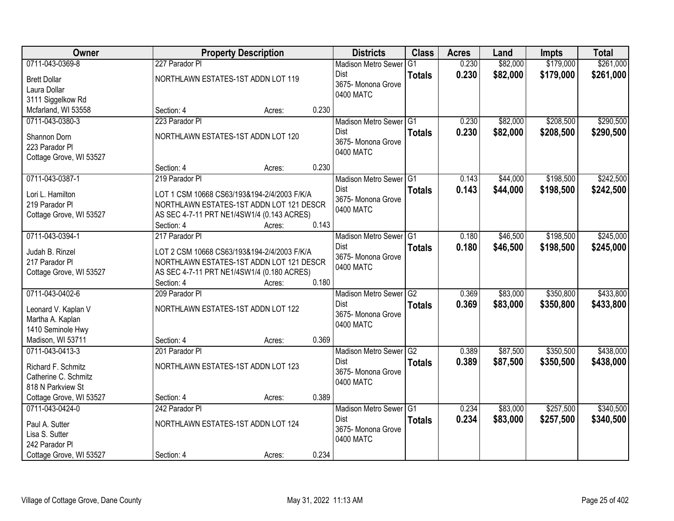| Owner                   |                              | <b>Property Description</b>                 |       | <b>Districts</b>                      | <b>Class</b>    | <b>Acres</b> | Land     | <b>Impts</b> | <b>Total</b> |
|-------------------------|------------------------------|---------------------------------------------|-------|---------------------------------------|-----------------|--------------|----------|--------------|--------------|
| 0711-043-0369-8         | 227 Parador Pl               |                                             |       | <b>Madison Metro Sewer</b>            | $\overline{G1}$ | 0.230        | \$82,000 | \$179,000    | \$261,000    |
| <b>Brett Dollar</b>     |                              | NORTHLAWN ESTATES-1ST ADDN LOT 119          |       | Dist                                  | <b>Totals</b>   | 0.230        | \$82,000 | \$179,000    | \$261,000    |
| Laura Dollar            |                              |                                             |       | 3675- Monona Grove                    |                 |              |          |              |              |
| 3111 Siggelkow Rd       |                              |                                             |       | 0400 MATC                             |                 |              |          |              |              |
| Mcfarland, WI 53558     | Section: 4                   | Acres:                                      | 0.230 |                                       |                 |              |          |              |              |
| 0711-043-0380-3         | 223 Parador Pl               |                                             |       | Madison Metro Sewer G1                |                 | 0.230        | \$82,000 | \$208,500    | \$290,500    |
|                         |                              |                                             |       | <b>Dist</b>                           | <b>Totals</b>   | 0.230        | \$82,000 | \$208,500    | \$290,500    |
| Shannon Dorn            |                              | NORTHLAWN ESTATES-1ST ADDN LOT 120          |       | 3675- Monona Grove                    |                 |              |          |              |              |
| 223 Parador Pl          |                              |                                             |       | 0400 MATC                             |                 |              |          |              |              |
| Cottage Grove, WI 53527 |                              |                                             | 0.230 |                                       |                 |              |          |              |              |
| 0711-043-0387-1         | Section: 4<br>219 Parador Pl | Acres:                                      |       |                                       |                 |              | \$44,000 | \$198,500    | \$242,500    |
|                         |                              |                                             |       | Madison Metro Sewer G1<br><b>Dist</b> |                 | 0.143        |          |              |              |
| Lori L. Hamilton        |                              | LOT 1 CSM 10668 CS63/193&194-2/4/2003 F/K/A |       | 3675- Monona Grove                    | <b>Totals</b>   | 0.143        | \$44,000 | \$198,500    | \$242,500    |
| 219 Parador Pl          |                              | NORTHLAWN ESTATES-1ST ADDN LOT 121 DESCR    |       | 0400 MATC                             |                 |              |          |              |              |
| Cottage Grove, WI 53527 |                              | AS SEC 4-7-11 PRT NE1/4SW1/4 (0.143 ACRES)  |       |                                       |                 |              |          |              |              |
|                         | Section: 4                   | Acres:                                      | 0.143 |                                       |                 |              |          |              |              |
| 0711-043-0394-1         | 217 Parador Pl               |                                             |       | Madison Metro Sewer G1                |                 | 0.180        | \$46,500 | \$198,500    | \$245,000    |
| Judah B. Rinzel         |                              | LOT 2 CSM 10668 CS63/193&194-2/4/2003 F/K/A |       | <b>Dist</b>                           | <b>Totals</b>   | 0.180        | \$46,500 | \$198,500    | \$245,000    |
| 217 Parador Pl          |                              | NORTHLAWN ESTATES-1ST ADDN LOT 121 DESCR    |       | 3675- Monona Grove                    |                 |              |          |              |              |
| Cottage Grove, WI 53527 |                              | AS SEC 4-7-11 PRT NE1/4SW1/4 (0.180 ACRES)  |       | 0400 MATC                             |                 |              |          |              |              |
|                         | Section: 4                   | Acres:                                      | 0.180 |                                       |                 |              |          |              |              |
| 0711-043-0402-6         | 209 Parador Pl               |                                             |       | Madison Metro Sewer                   | G2              | 0.369        | \$83,000 | \$350,800    | \$433,800    |
|                         |                              |                                             |       | Dist                                  | <b>Totals</b>   | 0.369        | \$83,000 | \$350,800    | \$433,800    |
| Leonard V. Kaplan V     |                              | NORTHLAWN ESTATES-1ST ADDN LOT 122          |       | 3675- Monona Grove                    |                 |              |          |              |              |
| Martha A. Kaplan        |                              |                                             |       | 0400 MATC                             |                 |              |          |              |              |
| 1410 Seminole Hwy       |                              |                                             |       |                                       |                 |              |          |              |              |
| Madison, WI 53711       | Section: 4                   | Acres:                                      | 0.369 |                                       |                 |              |          |              |              |
| 0711-043-0413-3         | 201 Parador Pl               |                                             |       | Madison Metro Sewer G2                |                 | 0.389        | \$87,500 | \$350,500    | \$438,000    |
| Richard F. Schmitz      |                              | NORTHLAWN ESTATES-1ST ADDN LOT 123          |       | Dist<br>3675- Monona Grove            | <b>Totals</b>   | 0.389        | \$87,500 | \$350,500    | \$438,000    |
| Catherine C. Schmitz    |                              |                                             |       | 0400 MATC                             |                 |              |          |              |              |
| 818 N Parkview St       |                              |                                             |       |                                       |                 |              |          |              |              |
| Cottage Grove, WI 53527 | Section: 4                   | Acres:                                      | 0.389 |                                       |                 |              |          |              |              |
| 0711-043-0424-0         | 242 Parador PI               |                                             |       | Madison Metro Sewer G1                |                 | 0.234        | \$83,000 | \$257,500    | \$340,500    |
| Paul A. Sutter          |                              | NORTHLAWN ESTATES-1ST ADDN LOT 124          |       | <b>Dist</b>                           | <b>Totals</b>   | 0.234        | \$83,000 | \$257,500    | \$340,500    |
| Lisa S. Sutter          |                              |                                             |       | 3675-Monona Grove                     |                 |              |          |              |              |
| 242 Parador Pl          |                              |                                             |       | 0400 MATC                             |                 |              |          |              |              |
| Cottage Grove, WI 53527 | Section: 4                   | Acres:                                      | 0.234 |                                       |                 |              |          |              |              |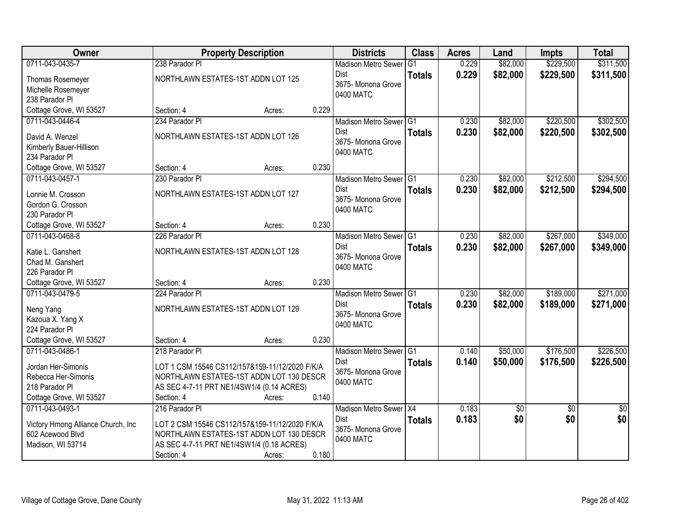| <b>Owner</b>                              |                                    | <b>Property Description</b>                    |       | <b>Districts</b>                | <b>Class</b>  | <b>Acres</b> | Land            | <b>Impts</b>    | <b>Total</b>    |
|-------------------------------------------|------------------------------------|------------------------------------------------|-------|---------------------------------|---------------|--------------|-----------------|-----------------|-----------------|
| 0711-043-0435-7                           | 238 Parador Pl                     |                                                |       | <b>Madison Metro Sewer</b>      | G1            | 0.229        | \$82,000        | \$229,500       | \$311,500       |
| <b>Thomas Rosemeyer</b>                   | NORTHLAWN ESTATES-1ST ADDN LOT 125 |                                                |       | Dist                            | <b>Totals</b> | 0.229        | \$82,000        | \$229,500       | \$311,500       |
| Michelle Rosemeyer                        |                                    |                                                |       | 3675-Monona Grove               |               |              |                 |                 |                 |
| 238 Parador PI                            |                                    |                                                |       | 0400 MATC                       |               |              |                 |                 |                 |
| Cottage Grove, WI 53527                   | Section: 4                         | Acres:                                         | 0.229 |                                 |               |              |                 |                 |                 |
| 0711-043-0446-4                           | 234 Parador Pl                     |                                                |       | Madison Metro Sewer G1          |               | 0.230        | \$82,000        | \$220,500       | \$302,500       |
| David A. Wenzel                           | NORTHLAWN ESTATES-1ST ADDN LOT 126 |                                                |       | Dist                            | <b>Totals</b> | 0.230        | \$82,000        | \$220,500       | \$302,500       |
|                                           |                                    |                                                |       | 3675- Monona Grove              |               |              |                 |                 |                 |
| Kimberly Bauer-Hillison<br>234 Parador Pl |                                    |                                                |       | 0400 MATC                       |               |              |                 |                 |                 |
| Cottage Grove, WI 53527                   | Section: 4                         | Acres:                                         | 0.230 |                                 |               |              |                 |                 |                 |
| 0711-043-0457-1                           | 230 Parador Pl                     |                                                |       | Madison Metro Sewer G1          |               | 0.230        | \$82,000        | \$212,500       | \$294,500       |
|                                           |                                    |                                                |       | <b>Dist</b>                     | <b>Totals</b> | 0.230        | \$82,000        | \$212,500       | \$294,500       |
| Lonnie M. Crosson                         | NORTHLAWN ESTATES-1ST ADDN LOT 127 |                                                |       | 3675- Monona Grove              |               |              |                 |                 |                 |
| Gordon G. Crosson                         |                                    |                                                |       | 0400 MATC                       |               |              |                 |                 |                 |
| 230 Parador Pl                            |                                    |                                                |       |                                 |               |              |                 |                 |                 |
| Cottage Grove, WI 53527                   | Section: 4                         | Acres:                                         | 0.230 |                                 |               |              |                 |                 |                 |
| 0711-043-0468-8                           | 226 Parador PI                     |                                                |       | Madison Metro Sewer G1          |               | 0.230        | \$82,000        | \$267,000       | \$349,000       |
| Katie L. Ganshert                         | NORTHLAWN ESTATES-1ST ADDN LOT 128 |                                                |       | Dist                            | <b>Totals</b> | 0.230        | \$82,000        | \$267,000       | \$349,000       |
| Chad M. Ganshert                          |                                    |                                                |       | 3675- Monona Grove              |               |              |                 |                 |                 |
| 226 Parador Pl                            |                                    |                                                |       | 0400 MATC                       |               |              |                 |                 |                 |
| Cottage Grove, WI 53527                   | Section: 4                         | Acres:                                         | 0.230 |                                 |               |              |                 |                 |                 |
| 0711-043-0479-5                           | 224 Parador Pl                     |                                                |       | Madison Metro Sewer G1          |               | 0.230        | \$82,000        | \$189,000       | \$271,000       |
| Neng Yang                                 | NORTHLAWN ESTATES-1ST ADDN LOT 129 |                                                |       | <b>Dist</b>                     | <b>Totals</b> | 0.230        | \$82,000        | \$189,000       | \$271,000       |
| Kazoua X. Yang X                          |                                    |                                                |       | 3675- Monona Grove              |               |              |                 |                 |                 |
| 224 Parador Pl                            |                                    |                                                |       | 0400 MATC                       |               |              |                 |                 |                 |
| Cottage Grove, WI 53527                   | Section: 4                         | Acres:                                         | 0.230 |                                 |               |              |                 |                 |                 |
| 0711-043-0486-1                           | 218 Parador Pl                     |                                                |       | Madison Metro Sewer G1          |               | 0.140        | \$50,000        | \$176,500       | \$226,500       |
|                                           |                                    |                                                |       | <b>Dist</b>                     | <b>Totals</b> | 0.140        | \$50,000        | \$176,500       | \$226,500       |
| Jordan Her-Simonis                        |                                    | LOT 1 CSM 15546 CS112/157&159-11/12/2020 F/K/A |       | 3675- Monona Grove              |               |              |                 |                 |                 |
| Rebecca Her-Simonis                       |                                    | NORTHLAWN ESTATES-1ST ADDN LOT 130 DESCR       |       | 0400 MATC                       |               |              |                 |                 |                 |
| 218 Parador PI                            |                                    | AS SEC 4-7-11 PRT NE1/4SW1/4 (0.14 ACRES)      |       |                                 |               |              |                 |                 |                 |
| Cottage Grove, WI 53527                   | Section: 4                         | Acres:                                         | 0.140 |                                 |               |              |                 |                 |                 |
| 0711-043-0493-1                           | 216 Parador Pl                     |                                                |       | Madison Metro Sewer X4          |               | 0.183        | $\overline{50}$ | $\overline{30}$ | $\overline{50}$ |
| Victory Hmong Alliance Church, Inc        |                                    | LOT 2 CSM 15546 CS112/157&159-11/12/2020 F/K/A |       | <b>Dist</b>                     | <b>Totals</b> | 0.183        | \$0             | \$0             | \$0             |
| 602 Acewood Blvd                          |                                    | NORTHLAWN ESTATES-1ST ADDN LOT 130 DESCR       |       | 3675- Monona Grove<br>0400 MATC |               |              |                 |                 |                 |
| Madison, WI 53714                         |                                    | AS SEC 4-7-11 PRT NE1/4SW1/4 (0.18 ACRES)      |       |                                 |               |              |                 |                 |                 |
|                                           | Section: 4                         | Acres:                                         | 0.180 |                                 |               |              |                 |                 |                 |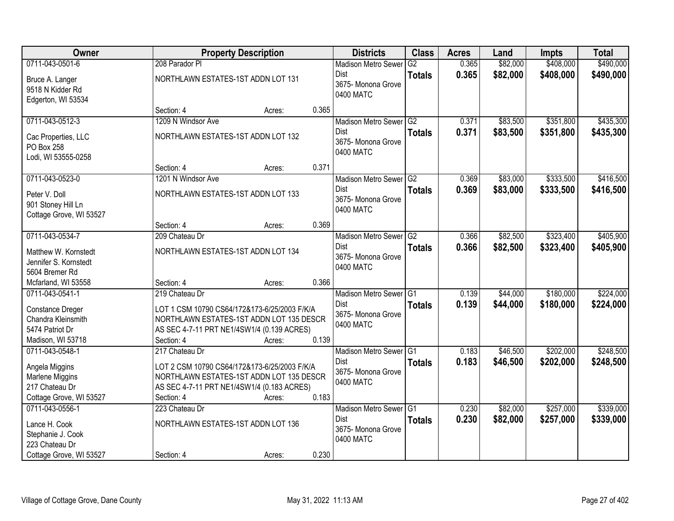| Owner                                                                                             |                                                  | <b>Property Description</b>                                                                                                                      |       | <b>Districts</b>                                                         | <b>Class</b>    | <b>Acres</b>   | Land                 | <b>Impts</b>           | <b>Total</b>           |
|---------------------------------------------------------------------------------------------------|--------------------------------------------------|--------------------------------------------------------------------------------------------------------------------------------------------------|-------|--------------------------------------------------------------------------|-----------------|----------------|----------------------|------------------------|------------------------|
| 0711-043-0501-6                                                                                   | 208 Parador Pl                                   |                                                                                                                                                  |       | <b>Madison Metro Sewer</b>                                               | $\overline{G2}$ | 0.365          | \$82,000             | \$408,000              | \$490,000              |
| Bruce A. Langer<br>9518 N Kidder Rd<br>Edgerton, WI 53534                                         | NORTHLAWN ESTATES-1ST ADDN LOT 131               |                                                                                                                                                  |       | Dist<br>3675- Monona Grove<br>0400 MATC                                  | <b>Totals</b>   | 0.365          | \$82,000             | \$408,000              | \$490,000              |
|                                                                                                   | Section: 4                                       | Acres:                                                                                                                                           | 0.365 |                                                                          |                 |                |                      |                        |                        |
| 0711-043-0512-3                                                                                   | 1209 N Windsor Ave                               |                                                                                                                                                  |       | Madison Metro Sewer G2                                                   |                 | 0.371          | \$83,500             | \$351,800              | \$435,300              |
| Cac Properties, LLC<br>PO Box 258<br>Lodi, WI 53555-0258                                          | NORTHLAWN ESTATES-1ST ADDN LOT 132               |                                                                                                                                                  |       | Dist<br>3675- Monona Grove<br>0400 MATC                                  | <b>Totals</b>   | 0.371          | \$83,500             | \$351,800              | \$435,300              |
|                                                                                                   | Section: 4                                       | Acres:                                                                                                                                           | 0.371 |                                                                          |                 |                |                      |                        |                        |
| 0711-043-0523-0                                                                                   | 1201 N Windsor Ave                               |                                                                                                                                                  |       | Madison Metro Sewer G2                                                   |                 | 0.369          | \$83,000             | \$333,500              | \$416,500              |
| Peter V. Doll<br>901 Stoney Hill Ln<br>Cottage Grove, WI 53527                                    | NORTHLAWN ESTATES-1ST ADDN LOT 133               |                                                                                                                                                  |       | <b>Dist</b><br>3675- Monona Grove<br>0400 MATC                           | <b>Totals</b>   | 0.369          | \$83,000             | \$333,500              | \$416,500              |
|                                                                                                   | Section: 4                                       | Acres:                                                                                                                                           | 0.369 |                                                                          |                 |                |                      |                        |                        |
| 0711-043-0534-7                                                                                   | 209 Chateau Dr                                   |                                                                                                                                                  |       | Madison Metro Sewer G2                                                   |                 | 0.366          | \$82,500             | \$323,400              | \$405,900              |
| Matthew W. Kornstedt<br>Jennifer S. Kornstedt<br>5604 Bremer Rd                                   | NORTHLAWN ESTATES-1ST ADDN LOT 134               |                                                                                                                                                  |       | Dist<br>3675- Monona Grove<br>0400 MATC                                  | <b>Totals</b>   | 0.366          | \$82,500             | \$323,400              | \$405,900              |
| Mcfarland, WI 53558                                                                               | Section: 4                                       | Acres:                                                                                                                                           | 0.366 |                                                                          |                 |                |                      |                        |                        |
| 0711-043-0541-1<br>Constance Dreger<br>Chandra Kleinsmith<br>5474 Patriot Dr<br>Madison, WI 53718 | 219 Chateau Dr<br>Section: 4                     | LOT 1 CSM 10790 CS64/172&173-6/25/2003 F/K/A<br>NORTHLAWN ESTATES-1ST ADDN LOT 135 DESCR<br>AS SEC 4-7-11 PRT NE1/4SW1/4 (0.139 ACRES)<br>Acres: | 0.139 | Madison Metro Sewer G1<br><b>Dist</b><br>3675- Monona Grove<br>0400 MATC | <b>Totals</b>   | 0.139<br>0.139 | \$44,000<br>\$44,000 | \$180,000<br>\$180,000 | \$224,000<br>\$224,000 |
| 0711-043-0548-1                                                                                   | 217 Chateau Dr                                   |                                                                                                                                                  |       | Madison Metro Sewer G1                                                   |                 | 0.183          | \$46,500             | \$202,000              | \$248,500              |
| Angela Miggins<br>Marlene Miggins<br>217 Chateau Dr<br>Cottage Grove, WI 53527                    | Section: 4                                       | LOT 2 CSM 10790 CS64/172&173-6/25/2003 F/K/A<br>NORTHLAWN ESTATES-1ST ADDN LOT 135 DESCR<br>AS SEC 4-7-11 PRT NE1/4SW1/4 (0.183 ACRES)<br>Acres: | 0.183 | <b>Dist</b><br>3675- Monona Grove<br>0400 MATC                           | <b>Totals</b>   | 0.183          | \$46,500             | \$202,000              | \$248,500              |
| 0711-043-0556-1                                                                                   | 223 Chateau Dr                                   |                                                                                                                                                  |       | Madison Metro Sewer G1                                                   |                 | 0.230          | \$82,000             | \$257,000              | \$339,000              |
| Lance H. Cook<br>Stephanie J. Cook<br>223 Chateau Dr<br>Cottage Grove, WI 53527                   | NORTHLAWN ESTATES-1ST ADDN LOT 136<br>Section: 4 | Acres:                                                                                                                                           | 0.230 | <b>Dist</b><br>3675-Monona Grove<br>0400 MATC                            | <b>Totals</b>   | 0.230          | \$82,000             | \$257,000              | \$339,000              |
|                                                                                                   |                                                  |                                                                                                                                                  |       |                                                                          |                 |                |                      |                        |                        |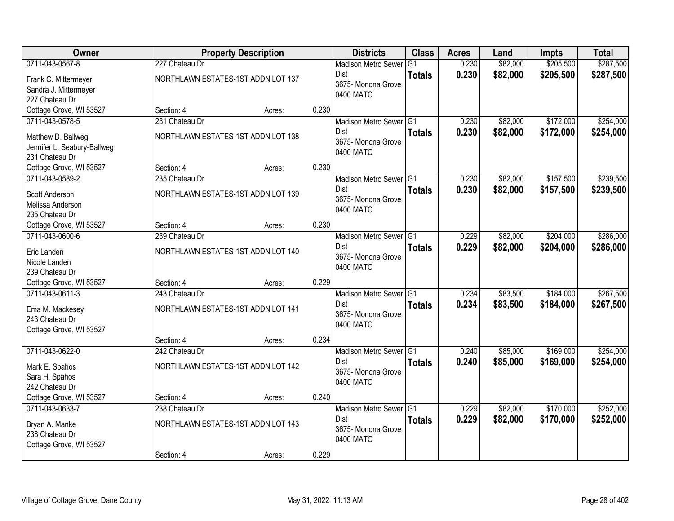| Owner                       |                                    | <b>Property Description</b> |       | <b>Districts</b>                    | <b>Class</b>   | <b>Acres</b> | Land     | <b>Impts</b> | <b>Total</b> |
|-----------------------------|------------------------------------|-----------------------------|-------|-------------------------------------|----------------|--------------|----------|--------------|--------------|
| 0711-043-0567-8             | 227 Chateau Dr                     |                             |       | <b>Madison Metro Sewer</b>          | G <sub>1</sub> | 0.230        | \$82,000 | \$205,500    | \$287,500    |
| Frank C. Mittermeyer        | NORTHLAWN ESTATES-1ST ADDN LOT 137 |                             |       | Dist                                | <b>Totals</b>  | 0.230        | \$82,000 | \$205,500    | \$287,500    |
| Sandra J. Mittermeyer       |                                    |                             |       | 3675- Monona Grove                  |                |              |          |              |              |
| 227 Chateau Dr              |                                    |                             |       | 0400 MATC                           |                |              |          |              |              |
| Cottage Grove, WI 53527     | Section: 4                         | Acres:                      | 0.230 |                                     |                |              |          |              |              |
| 0711-043-0578-5             | 231 Chateau Dr                     |                             |       | Madison Metro Sewer G1              |                | 0.230        | \$82,000 | \$172,000    | \$254,000    |
| Matthew D. Ballweg          | NORTHLAWN ESTATES-1ST ADDN LOT 138 |                             |       | <b>Dist</b>                         | <b>Totals</b>  | 0.230        | \$82,000 | \$172,000    | \$254,000    |
| Jennifer L. Seabury-Ballweg |                                    |                             |       | 3675- Monona Grove                  |                |              |          |              |              |
| 231 Chateau Dr              |                                    |                             |       | 0400 MATC                           |                |              |          |              |              |
| Cottage Grove, WI 53527     | Section: 4                         | Acres:                      | 0.230 |                                     |                |              |          |              |              |
| 0711-043-0589-2             | 235 Chateau Dr                     |                             |       | Madison Metro Sewer G1              |                | 0.230        | \$82,000 | \$157,500    | \$239,500    |
| Scott Anderson              | NORTHLAWN ESTATES-1ST ADDN LOT 139 |                             |       | Dist                                | <b>Totals</b>  | 0.230        | \$82,000 | \$157,500    | \$239,500    |
| Melissa Anderson            |                                    |                             |       | 3675-Monona Grove                   |                |              |          |              |              |
| 235 Chateau Dr              |                                    |                             |       | 0400 MATC                           |                |              |          |              |              |
| Cottage Grove, WI 53527     | Section: 4                         | Acres:                      | 0.230 |                                     |                |              |          |              |              |
| 0711-043-0600-6             | 239 Chateau Dr                     |                             |       | Madison Metro Sewer G1              |                | 0.229        | \$82,000 | \$204,000    | \$286,000    |
| Eric Landen                 | NORTHLAWN ESTATES-1ST ADDN LOT 140 |                             |       | Dist                                | <b>Totals</b>  | 0.229        | \$82,000 | \$204,000    | \$286,000    |
| Nicole Landen               |                                    |                             |       | 3675- Monona Grove                  |                |              |          |              |              |
| 239 Chateau Dr              |                                    |                             |       | 0400 MATC                           |                |              |          |              |              |
| Cottage Grove, WI 53527     | Section: 4                         | Acres:                      | 0.229 |                                     |                |              |          |              |              |
| 0711-043-0611-3             | 243 Chateau Dr                     |                             |       | Madison Metro Sewer <sup>1</sup> G1 |                | 0.234        | \$83,500 | \$184,000    | \$267,500    |
| Ema M. Mackesey             | NORTHLAWN ESTATES-1ST ADDN LOT 141 |                             |       | Dist                                | <b>Totals</b>  | 0.234        | \$83,500 | \$184,000    | \$267,500    |
| 243 Chateau Dr              |                                    |                             |       | 3675- Monona Grove                  |                |              |          |              |              |
| Cottage Grove, WI 53527     |                                    |                             |       | 0400 MATC                           |                |              |          |              |              |
|                             | Section: 4                         | Acres:                      | 0.234 |                                     |                |              |          |              |              |
| 0711-043-0622-0             | 242 Chateau Dr                     |                             |       | Madison Metro Sewer G1              |                | 0.240        | \$85,000 | \$169,000    | \$254,000    |
| Mark E. Spahos              | NORTHLAWN ESTATES-1ST ADDN LOT 142 |                             |       | Dist                                | <b>Totals</b>  | 0.240        | \$85,000 | \$169,000    | \$254,000    |
| Sara H. Spahos              |                                    |                             |       | 3675- Monona Grove                  |                |              |          |              |              |
| 242 Chateau Dr              |                                    |                             |       | 0400 MATC                           |                |              |          |              |              |
| Cottage Grove, WI 53527     | Section: 4                         | Acres:                      | 0.240 |                                     |                |              |          |              |              |
| 0711-043-0633-7             | 238 Chateau Dr                     |                             |       | Madison Metro Sewer G1              |                | 0.229        | \$82,000 | \$170,000    | \$252,000    |
| Bryan A. Manke              | NORTHLAWN ESTATES-1ST ADDN LOT 143 |                             |       | Dist                                | <b>Totals</b>  | 0.229        | \$82,000 | \$170,000    | \$252,000    |
| 238 Chateau Dr              |                                    |                             |       | 3675- Monona Grove                  |                |              |          |              |              |
| Cottage Grove, WI 53527     |                                    |                             |       | 0400 MATC                           |                |              |          |              |              |
|                             | Section: 4                         | Acres:                      | 0.229 |                                     |                |              |          |              |              |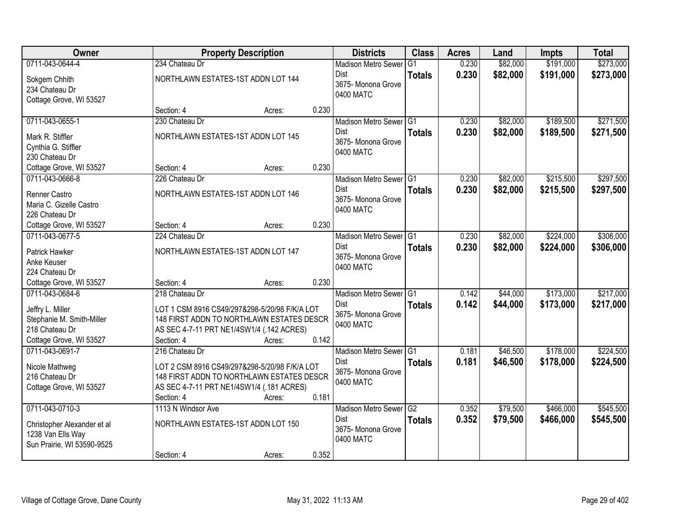| Owner                                                                          |                                    | <b>Property Description</b>                                                                                                                       |       | <b>Districts</b>                                                         | <b>Class</b>  | <b>Acres</b>   | Land                 | <b>Impts</b>           | <b>Total</b>           |
|--------------------------------------------------------------------------------|------------------------------------|---------------------------------------------------------------------------------------------------------------------------------------------------|-------|--------------------------------------------------------------------------|---------------|----------------|----------------------|------------------------|------------------------|
| 0711-043-0644-4                                                                | 234 Chateau Dr                     |                                                                                                                                                   |       | <b>Madison Metro Sewer</b>                                               | G1            | 0.230          | \$82,000             | \$191,000              | \$273,000              |
| Sokgem Chhith<br>234 Chateau Dr<br>Cottage Grove, WI 53527                     | NORTHLAWN ESTATES-1ST ADDN LOT 144 |                                                                                                                                                   |       | Dist<br>3675- Monona Grove<br>0400 MATC                                  | <b>Totals</b> | 0.230          | \$82,000             | \$191,000              | \$273,000              |
|                                                                                | Section: 4                         | Acres:                                                                                                                                            | 0.230 |                                                                          |               |                |                      |                        |                        |
| 0711-043-0655-1                                                                | 230 Chateau Dr                     |                                                                                                                                                   |       | Madison Metro Sewer G1                                                   |               | 0.230          | \$82,000             | \$189,500              | \$271,500              |
| Mark R. Stiffler<br>Cynthia G. Stiffler<br>230 Chateau Dr                      | NORTHLAWN ESTATES-1ST ADDN LOT 145 |                                                                                                                                                   |       | <b>Dist</b><br>3675- Monona Grove<br>0400 MATC                           | <b>Totals</b> | 0.230          | \$82,000             | \$189,500              | \$271,500              |
| Cottage Grove, WI 53527                                                        | Section: 4                         | Acres:                                                                                                                                            | 0.230 |                                                                          |               |                |                      |                        |                        |
| 0711-043-0666-8                                                                | 226 Chateau Dr                     |                                                                                                                                                   |       | Madison Metro Sewer G1                                                   |               | 0.230          | \$82,000             | \$215,500              | \$297,500              |
| Renner Castro<br>Maria C. Gizelle Castro<br>226 Chateau Dr                     | NORTHLAWN ESTATES-1ST ADDN LOT 146 |                                                                                                                                                   |       | Dist<br>3675- Monona Grove<br>0400 MATC                                  | <b>Totals</b> | 0.230          | \$82,000             | \$215,500              | \$297,500              |
| Cottage Grove, WI 53527                                                        | Section: 4                         | Acres:                                                                                                                                            | 0.230 |                                                                          |               |                |                      |                        |                        |
| 0711-043-0677-5                                                                | 224 Chateau Dr                     |                                                                                                                                                   |       | Madison Metro Sewer G1                                                   |               | 0.230          | \$82,000             | \$224,000              | \$306,000              |
| Patrick Hawker<br>Anke Keuser<br>224 Chateau Dr                                | NORTHLAWN ESTATES-1ST ADDN LOT 147 |                                                                                                                                                   |       | <b>Dist</b><br>3675- Monona Grove<br>0400 MATC                           | <b>Totals</b> | 0.230          | \$82,000             | \$224,000              | \$306,000              |
| Cottage Grove, WI 53527                                                        | Section: 4                         | Acres:                                                                                                                                            | 0.230 |                                                                          |               |                |                      |                        |                        |
| 0711-043-0684-6<br>Jeffry L. Miller<br>Stephanie M. Smith-Miller               | 218 Chateau Dr                     | LOT 1 CSM 8916 CS49/297&298-5/20/98 F/K/A LOT<br>148 FIRST ADDN TO NORTHLAWN ESTATES DESCR                                                        |       | Madison Metro Sewer G1<br><b>Dist</b><br>3675- Monona Grove<br>0400 MATC | <b>Totals</b> | 0.142<br>0.142 | \$44,000<br>\$44,000 | \$173,000<br>\$173,000 | \$217,000<br>\$217,000 |
| 218 Chateau Dr                                                                 |                                    | AS SEC 4-7-11 PRT NE1/4SW1/4 (.142 ACRES)                                                                                                         |       |                                                                          |               |                |                      |                        |                        |
| Cottage Grove, WI 53527<br>0711-043-0691-7                                     | Section: 4<br>216 Chateau Dr       | Acres:                                                                                                                                            | 0.142 | Madison Metro Sewer G1                                                   |               | 0.181          | \$46,500             | \$178,000              | \$224,500              |
| Nicole Mathweg<br>216 Chateau Dr<br>Cottage Grove, WI 53527                    | Section: 4                         | LOT 2 CSM 8916 CS49/297&298-5/20/98 F/K/A LOT<br>148 FIRST ADDN TO NORTHLAWN ESTATES DESCR<br>AS SEC 4-7-11 PRT NE1/4SW1/4 (.181 ACRES)<br>Acres: | 0.181 | Dist<br>3675- Monona Grove<br>0400 MATC                                  | <b>Totals</b> | 0.181          | \$46,500             | \$178,000              | \$224,500              |
| 0711-043-0710-3                                                                | 1113 N Windsor Ave                 |                                                                                                                                                   |       | Madison Metro Sewer G2                                                   |               | 0.352          | \$79,500             | \$466,000              | \$545,500              |
| Christopher Alexander et al<br>1238 Van Ells Way<br>Sun Prairie, WI 53590-9525 | NORTHLAWN ESTATES-1ST ADDN LOT 150 |                                                                                                                                                   |       | <b>Dist</b><br>3675- Monona Grove<br>0400 MATC                           | <b>Totals</b> | 0.352          | \$79,500             | \$466,000              | \$545,500              |
|                                                                                | Section: 4                         | Acres:                                                                                                                                            | 0.352 |                                                                          |               |                |                      |                        |                        |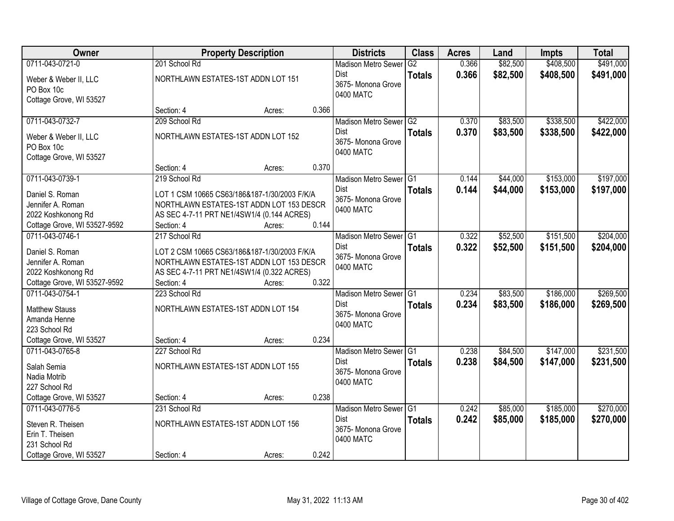| Owner                        |                                              | <b>Property Description</b> |       | <b>Districts</b>           | <b>Class</b>  | <b>Acres</b> | Land     | <b>Impts</b> | <b>Total</b> |
|------------------------------|----------------------------------------------|-----------------------------|-------|----------------------------|---------------|--------------|----------|--------------|--------------|
| 0711-043-0721-0              | 201 School Rd                                |                             |       | <b>Madison Metro Sewer</b> | G2            | 0.366        | \$82,500 | \$408,500    | \$491,000    |
| Weber & Weber II, LLC        | NORTHLAWN ESTATES-1ST ADDN LOT 151           |                             |       | Dist                       | <b>Totals</b> | 0.366        | \$82,500 | \$408,500    | \$491,000    |
| PO Box 10c                   |                                              |                             |       | 3675-Monona Grove          |               |              |          |              |              |
| Cottage Grove, WI 53527      |                                              |                             |       | 0400 MATC                  |               |              |          |              |              |
|                              | Section: 4                                   | Acres:                      | 0.366 |                            |               |              |          |              |              |
| 0711-043-0732-7              | 209 School Rd                                |                             |       | Madison Metro Sewer G2     |               | 0.370        | \$83,500 | \$338,500    | \$422,000    |
| Weber & Weber II, LLC        | NORTHLAWN ESTATES-1ST ADDN LOT 152           |                             |       | Dist                       | <b>Totals</b> | 0.370        | \$83,500 | \$338,500    | \$422,000    |
| PO Box 10c                   |                                              |                             |       | 3675- Monona Grove         |               |              |          |              |              |
| Cottage Grove, WI 53527      |                                              |                             |       | 0400 MATC                  |               |              |          |              |              |
|                              | Section: 4                                   | Acres:                      | 0.370 |                            |               |              |          |              |              |
| 0711-043-0739-1              | 219 School Rd                                |                             |       | Madison Metro Sewer G1     |               | 0.144        | \$44,000 | \$153,000    | \$197,000    |
| Daniel S. Roman              | LOT 1 CSM 10665 CS63/186&187-1/30/2003 F/K/A |                             |       | Dist                       | <b>Totals</b> | 0.144        | \$44,000 | \$153,000    | \$197,000    |
| Jennifer A. Roman            | NORTHLAWN ESTATES-1ST ADDN LOT 153 DESCR     |                             |       | 3675- Monona Grove         |               |              |          |              |              |
| 2022 Koshkonong Rd           | AS SEC 4-7-11 PRT NE1/4SW1/4 (0.144 ACRES)   |                             |       | 0400 MATC                  |               |              |          |              |              |
| Cottage Grove, WI 53527-9592 | Section: 4                                   | Acres:                      | 0.144 |                            |               |              |          |              |              |
| 0711-043-0746-1              | 217 School Rd                                |                             |       | Madison Metro Sewer G1     |               | 0.322        | \$52,500 | \$151,500    | \$204,000    |
| Daniel S. Roman              | LOT 2 CSM 10665 CS63/186&187-1/30/2003 F/K/A |                             |       | Dist                       | <b>Totals</b> | 0.322        | \$52,500 | \$151,500    | \$204,000    |
| Jennifer A. Roman            | NORTHLAWN ESTATES-1ST ADDN LOT 153 DESCR     |                             |       | 3675- Monona Grove         |               |              |          |              |              |
| 2022 Koshkonong Rd           | AS SEC 4-7-11 PRT NE1/4SW1/4 (0.322 ACRES)   |                             |       | 0400 MATC                  |               |              |          |              |              |
| Cottage Grove, WI 53527-9592 | Section: 4                                   | Acres:                      | 0.322 |                            |               |              |          |              |              |
| 0711-043-0754-1              | 223 School Rd                                |                             |       | Madison Metro Sewer G1     |               | 0.234        | \$83,500 | \$186,000    | \$269,500    |
| <b>Matthew Stauss</b>        | NORTHLAWN ESTATES-1ST ADDN LOT 154           |                             |       | <b>Dist</b>                | <b>Totals</b> | 0.234        | \$83,500 | \$186,000    | \$269,500    |
| Amanda Henne                 |                                              |                             |       | 3675-Monona Grove          |               |              |          |              |              |
| 223 School Rd                |                                              |                             |       | 0400 MATC                  |               |              |          |              |              |
| Cottage Grove, WI 53527      | Section: 4                                   | Acres:                      | 0.234 |                            |               |              |          |              |              |
| 0711-043-0765-8              | 227 School Rd                                |                             |       | Madison Metro Sewer G1     |               | 0.238        | \$84,500 | \$147,000    | \$231,500    |
| Salah Semia                  | NORTHLAWN ESTATES-1ST ADDN LOT 155           |                             |       | Dist                       | <b>Totals</b> | 0.238        | \$84,500 | \$147,000    | \$231,500    |
| Nadia Motrib                 |                                              |                             |       | 3675- Monona Grove         |               |              |          |              |              |
| 227 School Rd                |                                              |                             |       | 0400 MATC                  |               |              |          |              |              |
| Cottage Grove, WI 53527      | Section: 4                                   | Acres:                      | 0.238 |                            |               |              |          |              |              |
| 0711-043-0776-5              | 231 School Rd                                |                             |       | Madison Metro Sewer G1     |               | 0.242        | \$85,000 | \$185,000    | \$270,000    |
| Steven R. Theisen            | NORTHLAWN ESTATES-1ST ADDN LOT 156           |                             |       | Dist                       | <b>Totals</b> | 0.242        | \$85,000 | \$185,000    | \$270,000    |
| Erin T. Theisen              |                                              |                             |       | 3675- Monona Grove         |               |              |          |              |              |
| 231 School Rd                |                                              |                             |       | 0400 MATC                  |               |              |          |              |              |
| Cottage Grove, WI 53527      | Section: 4                                   | Acres:                      | 0.242 |                            |               |              |          |              |              |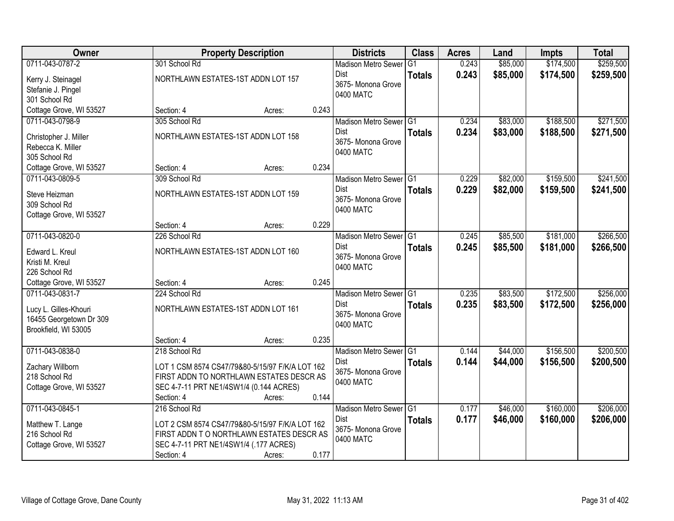| Owner                   |                                                 | <b>Property Description</b> |       | <b>Districts</b>                | <b>Class</b>  | <b>Acres</b> | Land     | <b>Impts</b> | <b>Total</b> |
|-------------------------|-------------------------------------------------|-----------------------------|-------|---------------------------------|---------------|--------------|----------|--------------|--------------|
| 0711-043-0787-2         | 301 School Rd                                   |                             |       | <b>Madison Metro Sewer</b>      | G1            | 0.243        | \$85,000 | \$174,500    | \$259,500    |
| Kerry J. Steinagel      | NORTHLAWN ESTATES-1ST ADDN LOT 157              |                             |       | Dist                            | <b>Totals</b> | 0.243        | \$85,000 | \$174,500    | \$259,500    |
| Stefanie J. Pingel      |                                                 |                             |       | 3675- Monona Grove              |               |              |          |              |              |
| 301 School Rd           |                                                 |                             |       | 0400 MATC                       |               |              |          |              |              |
| Cottage Grove, WI 53527 | Section: 4                                      | Acres:                      | 0.243 |                                 |               |              |          |              |              |
| 0711-043-0798-9         | 305 School Rd                                   |                             |       | Madison Metro Sewer G1          |               | 0.234        | \$83,000 | \$188,500    | \$271,500    |
| Christopher J. Miller   | NORTHLAWN ESTATES-1ST ADDN LOT 158              |                             |       | Dist                            | <b>Totals</b> | 0.234        | \$83,000 | \$188,500    | \$271,500    |
| Rebecca K. Miller       |                                                 |                             |       | 3675- Monona Grove<br>0400 MATC |               |              |          |              |              |
| 305 School Rd           |                                                 |                             |       |                                 |               |              |          |              |              |
| Cottage Grove, WI 53527 | Section: 4                                      | Acres:                      | 0.234 |                                 |               |              |          |              |              |
| 0711-043-0809-5         | 309 School Rd                                   |                             |       | Madison Metro Sewer G1          |               | 0.229        | \$82,000 | \$159,500    | \$241,500    |
| Steve Heizman           | NORTHLAWN ESTATES-1ST ADDN LOT 159              |                             |       | Dist                            | <b>Totals</b> | 0.229        | \$82,000 | \$159,500    | \$241,500    |
| 309 School Rd           |                                                 |                             |       | 3675- Monona Grove<br>0400 MATC |               |              |          |              |              |
| Cottage Grove, WI 53527 |                                                 |                             |       |                                 |               |              |          |              |              |
|                         | Section: 4                                      | Acres:                      | 0.229 |                                 |               |              |          |              |              |
| 0711-043-0820-0         | 226 School Rd                                   |                             |       | Madison Metro Sewer G1          |               | 0.245        | \$85,500 | \$181,000    | \$266,500    |
| Edward L. Kreul         | NORTHLAWN ESTATES-1ST ADDN LOT 160              |                             |       | Dist                            | <b>Totals</b> | 0.245        | \$85,500 | \$181,000    | \$266,500    |
| Kristi M. Kreul         |                                                 |                             |       | 3675- Monona Grove<br>0400 MATC |               |              |          |              |              |
| 226 School Rd           |                                                 |                             |       |                                 |               |              |          |              |              |
| Cottage Grove, WI 53527 | Section: 4                                      | Acres:                      | 0.245 |                                 |               |              |          |              |              |
| 0711-043-0831-7         | 224 School Rd                                   |                             |       | Madison Metro Sewer G1          |               | 0.235        | \$83,500 | \$172,500    | \$256,000    |
| Lucy L. Gilles-Khouri   | NORTHLAWN ESTATES-1ST ADDN LOT 161              |                             |       | Dist                            | <b>Totals</b> | 0.235        | \$83,500 | \$172,500    | \$256,000    |
| 16455 Georgetown Dr 309 |                                                 |                             |       | 3675- Monona Grove<br>0400 MATC |               |              |          |              |              |
| Brookfield, WI 53005    |                                                 |                             |       |                                 |               |              |          |              |              |
|                         | Section: 4                                      | Acres:                      | 0.235 |                                 |               |              |          |              |              |
| 0711-043-0838-0         | 218 School Rd                                   |                             |       | Madison Metro Sewer G1          |               | 0.144        | \$44,000 | \$156,500    | \$200,500    |
| Zachary Willborn        | LOT 1 CSM 8574 CS47/79&80-5/15/97 F/K/A LOT 162 |                             |       | Dist<br>3675- Monona Grove      | <b>Totals</b> | 0.144        | \$44,000 | \$156,500    | \$200,500    |
| 218 School Rd           | FIRST ADDN TO NORTHLAWN ESTATES DESCR AS        |                             |       | 0400 MATC                       |               |              |          |              |              |
| Cottage Grove, WI 53527 | SEC 4-7-11 PRT NE1/4SW1/4 (0.144 ACRES)         |                             |       |                                 |               |              |          |              |              |
|                         | Section: 4                                      | Acres:                      | 0.144 |                                 |               |              |          |              |              |
| 0711-043-0845-1         | 216 School Rd                                   |                             |       | Madison Metro Sewer G1          |               | 0.177        | \$46,000 | \$160,000    | \$206,000    |
| Matthew T. Lange        | LOT 2 CSM 8574 CS47/79&80-5/15/97 F/K/A LOT 162 |                             |       | Dist<br>3675- Monona Grove      | <b>Totals</b> | 0.177        | \$46,000 | \$160,000    | \$206,000    |
| 216 School Rd           | FIRST ADDN TO NORTHLAWN ESTATES DESCR AS        |                             |       | 0400 MATC                       |               |              |          |              |              |
| Cottage Grove, WI 53527 | SEC 4-7-11 PRT NE1/4SW1/4 (.177 ACRES)          |                             |       |                                 |               |              |          |              |              |
|                         | Section: 4                                      | Acres:                      | 0.177 |                                 |               |              |          |              |              |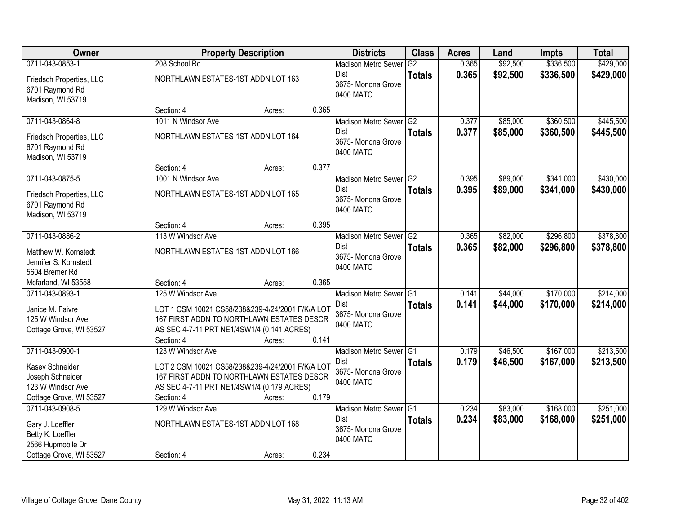| Owner                                                                               |                                    | <b>Property Description</b>                                                                                                                           |       | <b>Districts</b>                               | <b>Class</b>  | <b>Acres</b>   | Land                 | <b>Impts</b>           | <b>Total</b>           |
|-------------------------------------------------------------------------------------|------------------------------------|-------------------------------------------------------------------------------------------------------------------------------------------------------|-------|------------------------------------------------|---------------|----------------|----------------------|------------------------|------------------------|
| 0711-043-0853-1                                                                     | 208 School Rd                      |                                                                                                                                                       |       | <b>Madison Metro Sewer</b>                     | G2            | 0.365          | \$92,500             | \$336,500              | \$429,000              |
| Friedsch Properties, LLC<br>6701 Raymond Rd<br>Madison, WI 53719                    | NORTHLAWN ESTATES-1ST ADDN LOT 163 |                                                                                                                                                       |       | Dist<br>3675- Monona Grove<br>0400 MATC        | <b>Totals</b> | 0.365          | \$92,500             | \$336,500              | \$429,000              |
|                                                                                     | Section: 4                         | Acres:                                                                                                                                                | 0.365 |                                                |               |                |                      |                        |                        |
| 0711-043-0864-8                                                                     | 1011 N Windsor Ave                 |                                                                                                                                                       |       | Madison Metro Sewer G2                         |               | 0.377          | \$85,000             | \$360,500              | \$445,500              |
| Friedsch Properties, LLC<br>6701 Raymond Rd<br>Madison, WI 53719                    | NORTHLAWN ESTATES-1ST ADDN LOT 164 |                                                                                                                                                       |       | Dist<br>3675- Monona Grove<br>0400 MATC        | <b>Totals</b> | 0.377          | \$85,000             | \$360,500              | \$445,500              |
|                                                                                     | Section: 4                         | Acres:                                                                                                                                                | 0.377 |                                                |               |                |                      |                        |                        |
| 0711-043-0875-5                                                                     | 1001 N Windsor Ave                 |                                                                                                                                                       |       | Madison Metro Sewer G2                         |               | 0.395          | \$89,000             | \$341,000              | \$430,000              |
| Friedsch Properties, LLC<br>6701 Raymond Rd<br>Madison, WI 53719                    | NORTHLAWN ESTATES-1ST ADDN LOT 165 |                                                                                                                                                       |       | <b>Dist</b><br>3675- Monona Grove<br>0400 MATC | <b>Totals</b> | 0.395          | \$89,000             | \$341,000              | \$430,000              |
|                                                                                     | Section: 4                         | Acres:                                                                                                                                                | 0.395 |                                                |               |                |                      |                        |                        |
| 0711-043-0886-2                                                                     | 113 W Windsor Ave                  |                                                                                                                                                       |       | Madison Metro Sewer G2                         |               | 0.365          | \$82,000             | \$296,800              | \$378,800              |
| Matthew W. Kornstedt<br>Jennifer S. Kornstedt<br>5604 Bremer Rd                     | NORTHLAWN ESTATES-1ST ADDN LOT 166 |                                                                                                                                                       |       | Dist<br>3675- Monona Grove<br>0400 MATC        | <b>Totals</b> | 0.365          | \$82,000             | \$296,800              | \$378,800              |
| Mcfarland, WI 53558                                                                 | Section: 4                         | Acres:                                                                                                                                                | 0.365 |                                                |               |                |                      |                        |                        |
| 0711-043-0893-1                                                                     | 125 W Windsor Ave                  |                                                                                                                                                       |       | Madison Metro Sewer <sup>G1</sup><br>Dist      | <b>Totals</b> | 0.141<br>0.141 | \$44,000<br>\$44,000 | \$170,000<br>\$170,000 | \$214,000<br>\$214,000 |
| Janice M. Faivre<br>125 W Windsor Ave<br>Cottage Grove, WI 53527                    | Section: 4                         | LOT 1 CSM 10021 CS58/238&239-4/24/2001 F/K/A LOT<br>167 FIRST ADDN TO NORTHLAWN ESTATES DESCR<br>AS SEC 4-7-11 PRT NE1/4SW1/4 (0.141 ACRES)<br>Acres: | 0.141 | 3675- Monona Grove<br>0400 MATC                |               |                |                      |                        |                        |
| 0711-043-0900-1                                                                     | 123 W Windsor Ave                  |                                                                                                                                                       |       | Madison Metro Sewer G1                         |               | 0.179          | \$46,500             | \$167,000              | \$213,500              |
| Kasey Schneider<br>Joseph Schneider<br>123 W Windsor Ave<br>Cottage Grove, WI 53527 | Section: 4                         | LOT 2 CSM 10021 CS58/238&239-4/24/2001 F/K/A LOT<br>167 FIRST ADDN TO NORTHLAWN ESTATES DESCR<br>AS SEC 4-7-11 PRT NE1/4SW1/4 (0.179 ACRES)<br>Acres: | 0.179 | <b>Dist</b><br>3675- Monona Grove<br>0400 MATC | <b>Totals</b> | 0.179          | \$46,500             | \$167,000              | \$213,500              |
| 0711-043-0908-5                                                                     | 129 W Windsor Ave                  |                                                                                                                                                       |       | Madison Metro Sewer G1                         |               | 0.234          | \$83,000             | \$168,000              | \$251,000              |
| Gary J. Loeffler<br>Betty K. Loeffler<br>2566 Hupmobile Dr                          | NORTHLAWN ESTATES-1ST ADDN LOT 168 |                                                                                                                                                       |       | <b>Dist</b><br>3675-Monona Grove<br>0400 MATC  | <b>Totals</b> | 0.234          | \$83,000             | \$168,000              | \$251,000              |
| Cottage Grove, WI 53527                                                             | Section: 4                         | Acres:                                                                                                                                                | 0.234 |                                                |               |                |                      |                        |                        |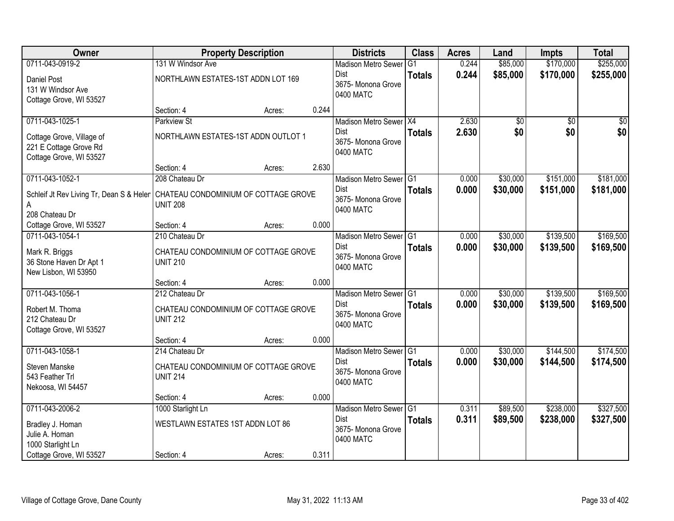| <b>Owner</b>                             | <b>Property Description</b>          |        |       | <b>Districts</b>                | <b>Class</b>   | <b>Acres</b> | Land     | <b>Impts</b>    | <b>Total</b>    |
|------------------------------------------|--------------------------------------|--------|-------|---------------------------------|----------------|--------------|----------|-----------------|-----------------|
| 0711-043-0919-2                          | 131 W Windsor Ave                    |        |       | <b>Madison Metro Sewer</b>      | G <sub>1</sub> | 0.244        | \$85,000 | \$170,000       | \$255,000       |
| Daniel Post<br>131 W Windsor Ave         | NORTHLAWN ESTATES-1ST ADDN LOT 169   |        |       | Dist<br>3675- Monona Grove      | <b>Totals</b>  | 0.244        | \$85,000 | \$170,000       | \$255,000       |
| Cottage Grove, WI 53527                  |                                      |        |       | 0400 MATC                       |                |              |          |                 |                 |
|                                          | Section: 4                           | Acres: | 0.244 |                                 |                |              |          |                 |                 |
| 0711-043-1025-1                          | <b>Parkview St</b>                   |        |       | Madison Metro Sewer X4          |                | 2.630        | \$0      | $\overline{50}$ | $\overline{50}$ |
| Cottage Grove, Village of                | NORTHLAWN ESTATES-1ST ADDN OUTLOT 1  |        |       | Dist<br>3675- Monona Grove      | <b>Totals</b>  | 2.630        | \$0      | \$0             | \$0             |
| 221 E Cottage Grove Rd                   |                                      |        |       | 0400 MATC                       |                |              |          |                 |                 |
| Cottage Grove, WI 53527                  |                                      |        |       |                                 |                |              |          |                 |                 |
|                                          | Section: 4                           | Acres: | 2.630 |                                 |                |              |          |                 |                 |
| 0711-043-1052-1                          | 208 Chateau Dr                       |        |       | Madison Metro Sewer G1<br>Dist  |                | 0.000        | \$30,000 | \$151,000       | \$181,000       |
| Schleif Jt Rev Living Tr, Dean S & Heler | CHATEAU CONDOMINIUM OF COTTAGE GROVE |        |       | 3675-Monona Grove               | <b>Totals</b>  | 0.000        | \$30,000 | \$151,000       | \$181,000       |
| A                                        | <b>UNIT 208</b>                      |        |       | 0400 MATC                       |                |              |          |                 |                 |
| 208 Chateau Dr                           |                                      |        |       |                                 |                |              |          |                 |                 |
| Cottage Grove, WI 53527                  | Section: 4                           | Acres: | 0.000 |                                 |                |              |          |                 |                 |
| 0711-043-1054-1                          | 210 Chateau Dr                       |        |       | Madison Metro Sewer G1          |                | 0.000        | \$30,000 | \$139,500       | \$169,500       |
| Mark R. Briggs                           | CHATEAU CONDOMINIUM OF COTTAGE GROVE |        |       | Dist<br>3675- Monona Grove      | <b>Totals</b>  | 0.000        | \$30,000 | \$139,500       | \$169,500       |
| 36 Stone Haven Dr Apt 1                  | <b>UNIT 210</b>                      |        |       | 0400 MATC                       |                |              |          |                 |                 |
| New Lisbon, WI 53950                     |                                      |        |       |                                 |                |              |          |                 |                 |
|                                          | Section: 4                           | Acres: | 0.000 |                                 |                |              |          |                 |                 |
| 0711-043-1056-1                          | 212 Chateau Dr                       |        |       | Madison Metro Sewer G1          |                | 0.000        | \$30,000 | \$139,500       | \$169,500       |
| Robert M. Thoma                          | CHATEAU CONDOMINIUM OF COTTAGE GROVE |        |       | Dist<br>3675- Monona Grove      | <b>Totals</b>  | 0.000        | \$30,000 | \$139,500       | \$169,500       |
| 212 Chateau Dr                           | <b>UNIT 212</b>                      |        |       | 0400 MATC                       |                |              |          |                 |                 |
| Cottage Grove, WI 53527                  |                                      |        |       |                                 |                |              |          |                 |                 |
|                                          | Section: 4                           | Acres: | 0.000 |                                 |                |              |          |                 |                 |
| 0711-043-1058-1                          | 214 Chateau Dr                       |        |       | Madison Metro Sewer G1          |                | 0.000        | \$30,000 | \$144,500       | \$174,500       |
| Steven Manske                            | CHATEAU CONDOMINIUM OF COTTAGE GROVE |        |       | Dist                            | <b>Totals</b>  | 0.000        | \$30,000 | \$144,500       | \$174,500       |
| 543 Feather Trl                          | <b>UNIT 214</b>                      |        |       | 3675- Monona Grove<br>0400 MATC |                |              |          |                 |                 |
| Nekoosa, WI 54457                        |                                      |        |       |                                 |                |              |          |                 |                 |
|                                          | Section: 4                           | Acres: | 0.000 |                                 |                |              |          |                 |                 |
| 0711-043-2006-2                          | 1000 Starlight Ln                    |        |       | Madison Metro Sewer G1          |                | 0.311        | \$89,500 | \$238,000       | \$327,500       |
| Bradley J. Homan                         | WESTLAWN ESTATES 1ST ADDN LOT 86     |        |       | Dist                            | <b>Totals</b>  | 0.311        | \$89,500 | \$238,000       | \$327,500       |
| Julie A. Homan                           |                                      |        |       | 3675- Monona Grove              |                |              |          |                 |                 |
| 1000 Starlight Ln                        |                                      |        |       | 0400 MATC                       |                |              |          |                 |                 |
| Cottage Grove, WI 53527                  | Section: 4                           | Acres: | 0.311 |                                 |                |              |          |                 |                 |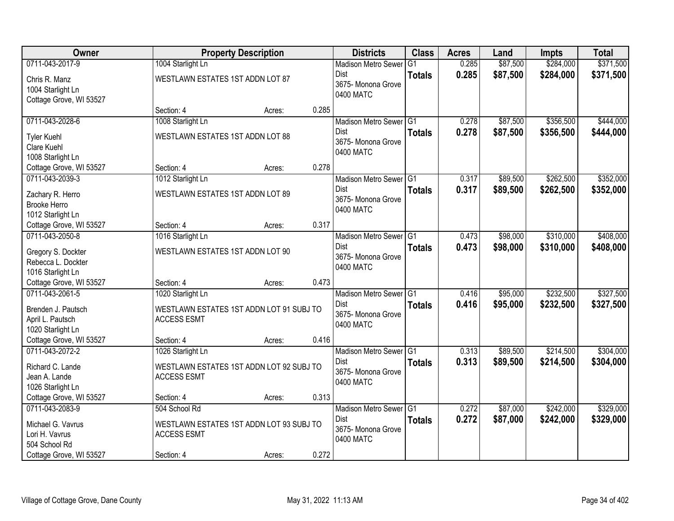| Owner                                                                                              |                                                                                               | <b>Property Description</b> |       | <b>Districts</b>                                                      | <b>Class</b>         | <b>Acres</b>   | Land                 | <b>Impts</b>           | <b>Total</b>           |
|----------------------------------------------------------------------------------------------------|-----------------------------------------------------------------------------------------------|-----------------------------|-------|-----------------------------------------------------------------------|----------------------|----------------|----------------------|------------------------|------------------------|
| 0711-043-2017-9                                                                                    | 1004 Starlight Ln                                                                             |                             |       | <b>Madison Metro Sewer</b>                                            | $\overline{G1}$      | 0.285          | \$87,500             | \$284,000              | \$371,500              |
| Chris R. Manz<br>1004 Starlight Ln<br>Cottage Grove, WI 53527                                      | WESTLAWN ESTATES 1ST ADDN LOT 87                                                              |                             |       | <b>Dist</b><br>3675- Monona Grove<br>0400 MATC                        | <b>Totals</b>        | 0.285          | \$87,500             | \$284,000              | \$371,500              |
|                                                                                                    | Section: 4                                                                                    | Acres:                      | 0.285 |                                                                       |                      |                |                      |                        |                        |
| 0711-043-2028-6                                                                                    | 1008 Starlight Ln                                                                             |                             |       | Madison Metro Sewer G1                                                |                      | 0.278          | \$87,500             | \$356,500              | \$444,000              |
| <b>Tyler Kuehl</b><br>Clare Kuehl<br>1008 Starlight Ln                                             | WESTLAWN ESTATES 1ST ADDN LOT 88                                                              |                             |       | Dist<br>3675- Monona Grove<br>0400 MATC                               | <b>Totals</b>        | 0.278          | \$87,500             | \$356,500              | \$444,000              |
| Cottage Grove, WI 53527                                                                            | Section: 4                                                                                    | Acres:                      | 0.278 |                                                                       |                      |                |                      |                        |                        |
| 0711-043-2039-3                                                                                    | 1012 Starlight Ln                                                                             |                             |       | Madison Metro Sewer G1                                                |                      | 0.317          | \$89,500             | \$262,500              | \$352,000              |
| Zachary R. Herro<br><b>Brooke Herro</b><br>1012 Starlight Ln                                       | WESTLAWN ESTATES 1ST ADDN LOT 89                                                              |                             |       | <b>Dist</b><br>3675- Monona Grove<br>0400 MATC                        | <b>Totals</b>        | 0.317          | \$89,500             | \$262,500              | \$352,000              |
| Cottage Grove, WI 53527                                                                            | Section: 4                                                                                    | Acres:                      | 0.317 |                                                                       |                      |                |                      |                        |                        |
| 0711-043-2050-8                                                                                    | 1016 Starlight Ln                                                                             |                             |       | Madison Metro Sewer G1                                                |                      | 0.473          | \$98,000             | \$310,000              | \$408,000              |
| Gregory S. Dockter<br>Rebecca L. Dockter<br>1016 Starlight Ln                                      | WESTLAWN ESTATES 1ST ADDN LOT 90                                                              |                             |       | <b>Dist</b><br>3675- Monona Grove<br>0400 MATC                        | <b>Totals</b>        | 0.473          | \$98,000             | \$310,000              | \$408,000              |
| Cottage Grove, WI 53527                                                                            | Section: 4                                                                                    | Acres:                      | 0.473 |                                                                       |                      |                |                      |                        |                        |
| 0711-043-2061-5<br>Brenden J. Pautsch<br>April L. Pautsch<br>1020 Starlight Ln                     | 1020 Starlight Ln<br>WESTLAWN ESTATES 1ST ADDN LOT 91 SUBJ TO<br><b>ACCESS ESMT</b>           |                             |       | <b>Madison Metro Sewer</b><br>Dist<br>3675- Monona Grove<br>0400 MATC | TG1<br><b>Totals</b> | 0.416<br>0.416 | \$95,000<br>\$95,000 | \$232,500<br>\$232,500 | \$327,500<br>\$327,500 |
| Cottage Grove, WI 53527                                                                            | Section: 4                                                                                    | Acres:                      | 0.416 |                                                                       |                      |                |                      |                        |                        |
| 0711-043-2072-2                                                                                    | 1026 Starlight Ln                                                                             |                             |       | Madison Metro Sewer G1                                                |                      | 0.313          | \$89,500             | \$214,500              | \$304,000              |
| Richard C. Lande<br>Jean A. Lande<br>1026 Starlight Ln                                             | WESTLAWN ESTATES 1ST ADDN LOT 92 SUBJ TO<br><b>ACCESS ESMT</b>                                |                             |       | <b>Dist</b><br>3675- Monona Grove<br>0400 MATC                        | <b>Totals</b>        | 0.313          | \$89,500             | \$214,500              | \$304,000              |
| Cottage Grove, WI 53527                                                                            | Section: 4                                                                                    | Acres:                      | 0.313 |                                                                       |                      |                |                      |                        |                        |
| 0711-043-2083-9<br>Michael G. Vavrus<br>Lori H. Vavrus<br>504 School Rd<br>Cottage Grove, WI 53527 | 504 School Rd<br>WESTLAWN ESTATES 1ST ADDN LOT 93 SUBJ TO<br><b>ACCESS ESMT</b><br>Section: 4 | Acres:                      | 0.272 | Madison Metro Sewer G1<br>Dist<br>3675- Monona Grove<br>0400 MATC     | <b>Totals</b>        | 0.272<br>0.272 | \$87,000<br>\$87,000 | \$242,000<br>\$242,000 | \$329,000<br>\$329,000 |
|                                                                                                    |                                                                                               |                             |       |                                                                       |                      |                |                      |                        |                        |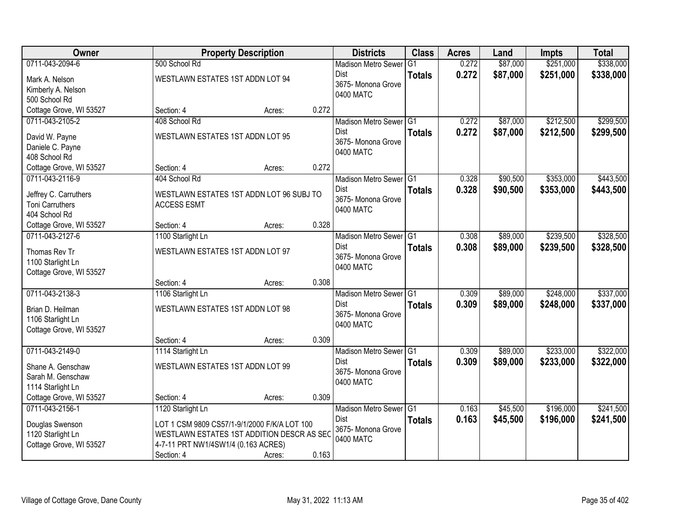| Owner                   |                                              | <b>Property Description</b> |       | <b>Districts</b>           | <b>Class</b>   | <b>Acres</b> | Land     | <b>Impts</b> | <b>Total</b> |
|-------------------------|----------------------------------------------|-----------------------------|-------|----------------------------|----------------|--------------|----------|--------------|--------------|
| 0711-043-2094-6         | 500 School Rd                                |                             |       | <b>Madison Metro Sewer</b> | G <sub>1</sub> | 0.272        | \$87,000 | \$251,000    | \$338,000    |
| Mark A. Nelson          | WESTLAWN ESTATES 1ST ADDN LOT 94             |                             |       | Dist                       | <b>Totals</b>  | 0.272        | \$87,000 | \$251,000    | \$338,000    |
| Kimberly A. Nelson      |                                              |                             |       | 3675-Monona Grove          |                |              |          |              |              |
| 500 School Rd           |                                              |                             |       | 0400 MATC                  |                |              |          |              |              |
| Cottage Grove, WI 53527 | Section: 4                                   | Acres:                      | 0.272 |                            |                |              |          |              |              |
| 0711-043-2105-2         | 408 School Rd                                |                             |       | Madison Metro Sewer G1     |                | 0.272        | \$87,000 | \$212,500    | \$299,500    |
| David W. Payne          | WESTLAWN ESTATES 1ST ADDN LOT 95             |                             |       | Dist                       | <b>Totals</b>  | 0.272        | \$87,000 | \$212,500    | \$299,500    |
| Daniele C. Payne        |                                              |                             |       | 3675- Monona Grove         |                |              |          |              |              |
| 408 School Rd           |                                              |                             |       | 0400 MATC                  |                |              |          |              |              |
| Cottage Grove, WI 53527 | Section: 4                                   | Acres:                      | 0.272 |                            |                |              |          |              |              |
| 0711-043-2116-9         | 404 School Rd                                |                             |       | Madison Metro Sewer G1     |                | 0.328        | \$90,500 | \$353,000    | \$443,500    |
| Jeffrey C. Carruthers   | WESTLAWN ESTATES 1ST ADDN LOT 96 SUBJ TO     |                             |       | Dist                       | <b>Totals</b>  | 0.328        | \$90,500 | \$353,000    | \$443,500    |
| <b>Toni Carruthers</b>  | <b>ACCESS ESMT</b>                           |                             |       | 3675- Monona Grove         |                |              |          |              |              |
| 404 School Rd           |                                              |                             |       | 0400 MATC                  |                |              |          |              |              |
| Cottage Grove, WI 53527 | Section: 4                                   | Acres:                      | 0.328 |                            |                |              |          |              |              |
| 0711-043-2127-6         | 1100 Starlight Ln                            |                             |       | Madison Metro Sewer G1     |                | 0.308        | \$89,000 | \$239,500    | \$328,500    |
| Thomas Rev Tr           | WESTLAWN ESTATES 1ST ADDN LOT 97             |                             |       | Dist                       | <b>Totals</b>  | 0.308        | \$89,000 | \$239,500    | \$328,500    |
| 1100 Starlight Ln       |                                              |                             |       | 3675- Monona Grove         |                |              |          |              |              |
| Cottage Grove, WI 53527 |                                              |                             |       | 0400 MATC                  |                |              |          |              |              |
|                         | Section: 4                                   | Acres:                      | 0.308 |                            |                |              |          |              |              |
| 0711-043-2138-3         | 1106 Starlight Ln                            |                             |       | <b>Madison Metro Sewer</b> | TG1            | 0.309        | \$89,000 | \$248,000    | \$337,000    |
|                         |                                              |                             |       | Dist                       | <b>Totals</b>  | 0.309        | \$89,000 | \$248,000    | \$337,000    |
| Brian D. Heilman        | WESTLAWN ESTATES 1ST ADDN LOT 98             |                             |       | 3675- Monona Grove         |                |              |          |              |              |
| 1106 Starlight Ln       |                                              |                             |       | 0400 MATC                  |                |              |          |              |              |
| Cottage Grove, WI 53527 |                                              |                             | 0.309 |                            |                |              |          |              |              |
| 0711-043-2149-0         | Section: 4<br>1114 Starlight Ln              | Acres:                      |       | Madison Metro Sewer G1     |                | 0.309        | \$89,000 | \$233,000    | \$322,000    |
|                         |                                              |                             |       | Dist                       | <b>Totals</b>  | 0.309        | \$89,000 | \$233,000    | \$322,000    |
| Shane A. Genschaw       | WESTLAWN ESTATES 1ST ADDN LOT 99             |                             |       | 3675- Monona Grove         |                |              |          |              |              |
| Sarah M. Genschaw       |                                              |                             |       | 0400 MATC                  |                |              |          |              |              |
| 1114 Starlight Ln       |                                              |                             |       |                            |                |              |          |              |              |
| Cottage Grove, WI 53527 | Section: 4                                   | Acres:                      | 0.309 |                            |                |              |          |              |              |
| 0711-043-2156-1         | 1120 Starlight Ln                            |                             |       | Madison Metro Sewer G1     |                | 0.163        | \$45,500 | \$196,000    | \$241,500    |
| Douglas Swenson         | LOT 1 CSM 9809 CS57/1-9/1/2000 F/K/A LOT 100 |                             |       | Dist                       | <b>Totals</b>  | 0.163        | \$45,500 | \$196,000    | \$241,500    |
| 1120 Starlight Ln       | WESTLAWN ESTATES 1ST ADDITION DESCR AS SEC   |                             |       | 3675- Monona Grove         |                |              |          |              |              |
| Cottage Grove, WI 53527 | 4-7-11 PRT NW1/4SW1/4 (0.163 ACRES)          |                             |       | 0400 MATC                  |                |              |          |              |              |
|                         | Section: 4                                   | Acres:                      | 0.163 |                            |                |              |          |              |              |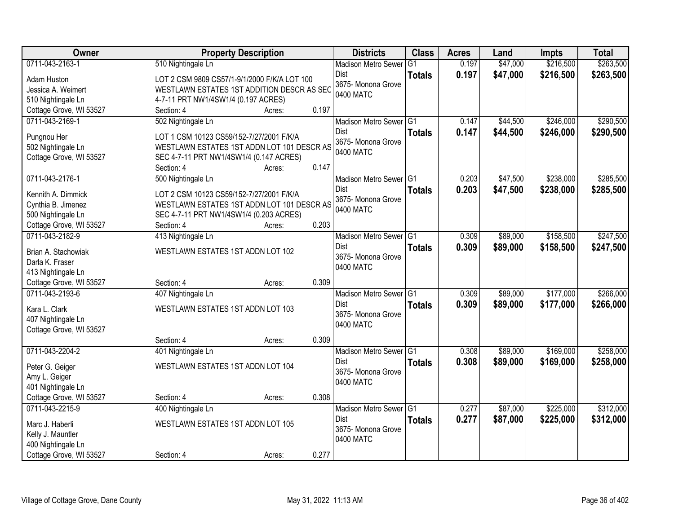| Owner                               | <b>Property Description</b>                           |                 | <b>Districts</b>           | <b>Class</b>  | <b>Acres</b> | Land     | <b>Impts</b> | <b>Total</b> |
|-------------------------------------|-------------------------------------------------------|-----------------|----------------------------|---------------|--------------|----------|--------------|--------------|
| 0711-043-2163-1                     | 510 Nightingale Ln                                    |                 | <b>Madison Metro Sewer</b> | G1            | 0.197        | \$47,000 | \$216,500    | \$263,500    |
| Adam Huston                         | LOT 2 CSM 9809 CS57/1-9/1/2000 F/K/A LOT 100          |                 | Dist                       | <b>Totals</b> | 0.197        | \$47,000 | \$216,500    | \$263,500    |
| Jessica A. Weimert                  | WESTLAWN ESTATES 1ST ADDITION DESCR AS SEC            |                 | 3675- Monona Grove         |               |              |          |              |              |
| 510 Nightingale Ln                  | 4-7-11 PRT NW1/4SW1/4 (0.197 ACRES)                   |                 | 0400 MATC                  |               |              |          |              |              |
| Cottage Grove, WI 53527             | Section: 4                                            | 0.197<br>Acres: |                            |               |              |          |              |              |
| 0711-043-2169-1                     | 502 Nightingale Ln                                    |                 | Madison Metro Sewer G1     |               | 0.147        | \$44,500 | \$246,000    | \$290,500    |
|                                     |                                                       |                 | Dist                       | <b>Totals</b> | 0.147        | \$44,500 | \$246,000    | \$290,500    |
| Pungnou Her                         | LOT 1 CSM 10123 CS59/152-7/27/2001 F/K/A              |                 | 3675- Monona Grove         |               |              |          |              |              |
| 502 Nightingale Ln                  | WESTLAWN ESTATES 1ST ADDN LOT 101 DESCR AS            |                 | 0400 MATC                  |               |              |          |              |              |
| Cottage Grove, WI 53527             | SEC 4-7-11 PRT NW1/4SW1/4 (0.147 ACRES)<br>Section: 4 | 0.147<br>Acres: |                            |               |              |          |              |              |
| 0711-043-2176-1                     | 500 Nightingale Ln                                    |                 | Madison Metro Sewer G1     |               | 0.203        | \$47,500 | \$238,000    | \$285,500    |
|                                     |                                                       |                 | Dist                       | <b>Totals</b> | 0.203        | \$47,500 | \$238,000    | \$285,500    |
| Kennith A. Dimmick                  | LOT 2 CSM 10123 CS59/152-7/27/2001 F/K/A              |                 | 3675- Monona Grove         |               |              |          |              |              |
| Cynthia B. Jimenez                  | WESTLAWN ESTATES 1ST ADDN LOT 101 DESCR AS            |                 | 0400 MATC                  |               |              |          |              |              |
| 500 Nightingale Ln                  | SEC 4-7-11 PRT NW1/4SW1/4 (0.203 ACRES)               |                 |                            |               |              |          |              |              |
| Cottage Grove, WI 53527             | Section: 4                                            | 0.203<br>Acres: |                            |               |              |          |              |              |
| 0711-043-2182-9                     | 413 Nightingale Ln                                    |                 | Madison Metro Sewer G1     |               | 0.309        | \$89,000 | \$158,500    | \$247,500    |
| Brian A. Stachowiak                 | WESTLAWN ESTATES 1ST ADDN LOT 102                     |                 | Dist                       | <b>Totals</b> | 0.309        | \$89,000 | \$158,500    | \$247,500    |
| Darla K. Fraser                     |                                                       |                 | 3675-Monona Grove          |               |              |          |              |              |
| 413 Nightingale Ln                  |                                                       |                 | 0400 MATC                  |               |              |          |              |              |
| Cottage Grove, WI 53527             | Section: 4                                            | 0.309<br>Acres: |                            |               |              |          |              |              |
| 0711-043-2193-6                     | 407 Nightingale Ln                                    |                 | Madison Metro Sewer G1     |               | 0.309        | \$89,000 | \$177,000    | \$266,000    |
| Kara L. Clark                       | WESTLAWN ESTATES 1ST ADDN LOT 103                     |                 | <b>Dist</b>                | <b>Totals</b> | 0.309        | \$89,000 | \$177,000    | \$266,000    |
| 407 Nightingale Ln                  |                                                       |                 | 3675- Monona Grove         |               |              |          |              |              |
| Cottage Grove, WI 53527             |                                                       |                 | 0400 MATC                  |               |              |          |              |              |
|                                     | Section: 4                                            | 0.309<br>Acres: |                            |               |              |          |              |              |
| 0711-043-2204-2                     | 401 Nightingale Ln                                    |                 | Madison Metro Sewer G1     |               | 0.308        | \$89,000 | \$169,000    | \$258,000    |
|                                     | WESTLAWN ESTATES 1ST ADDN LOT 104                     |                 | Dist                       | <b>Totals</b> | 0.308        | \$89,000 | \$169,000    | \$258,000    |
| Peter G. Geiger                     |                                                       |                 | 3675- Monona Grove         |               |              |          |              |              |
| Amy L. Geiger<br>401 Nightingale Ln |                                                       |                 | 0400 MATC                  |               |              |          |              |              |
| Cottage Grove, WI 53527             | Section: 4                                            | 0.308<br>Acres: |                            |               |              |          |              |              |
| 0711-043-2215-9                     | 400 Nightingale Ln                                    |                 | Madison Metro Sewer G1     |               | 0.277        | \$87,000 | \$225,000    | \$312,000    |
|                                     |                                                       |                 | Dist                       | <b>Totals</b> | 0.277        | \$87,000 | \$225,000    | \$312,000    |
| Marc J. Haberli                     | WESTLAWN ESTATES 1ST ADDN LOT 105                     |                 | 3675- Monona Grove         |               |              |          |              |              |
| Kelly J. Mauntler                   |                                                       |                 | 0400 MATC                  |               |              |          |              |              |
| 400 Nightingale Ln                  |                                                       |                 |                            |               |              |          |              |              |
| Cottage Grove, WI 53527             | Section: 4                                            | 0.277<br>Acres: |                            |               |              |          |              |              |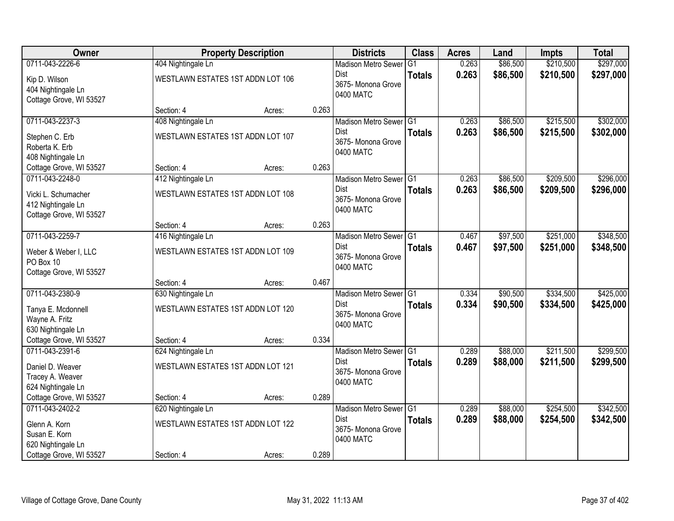| Owner                                                                |                                   | <b>Property Description</b> |       | <b>Districts</b>                               | <b>Class</b>  | <b>Acres</b> | Land     | <b>Impts</b> | <b>Total</b> |
|----------------------------------------------------------------------|-----------------------------------|-----------------------------|-------|------------------------------------------------|---------------|--------------|----------|--------------|--------------|
| 0711-043-2226-6                                                      | 404 Nightingale Ln                |                             |       | <b>Madison Metro Sewer</b>                     | G1            | 0.263        | \$86,500 | \$210,500    | \$297,000    |
| Kip D. Wilson<br>404 Nightingale Ln<br>Cottage Grove, WI 53527       | WESTLAWN ESTATES 1ST ADDN LOT 106 |                             |       | <b>Dist</b><br>3675- Monona Grove<br>0400 MATC | <b>Totals</b> | 0.263        | \$86,500 | \$210,500    | \$297,000    |
|                                                                      | Section: 4                        | Acres:                      | 0.263 |                                                |               |              |          |              |              |
| 0711-043-2237-3                                                      | 408 Nightingale Ln                |                             |       | Madison Metro Sewer G1                         |               | 0.263        | \$86,500 | \$215,500    | \$302,000    |
| Stephen C. Erb<br>Roberta K. Erb<br>408 Nightingale Ln               | WESTLAWN ESTATES 1ST ADDN LOT 107 |                             |       | Dist<br>3675- Monona Grove<br>0400 MATC        | <b>Totals</b> | 0.263        | \$86,500 | \$215,500    | \$302,000    |
| Cottage Grove, WI 53527                                              | Section: 4                        | Acres:                      | 0.263 |                                                |               |              |          |              |              |
| 0711-043-2248-0                                                      | 412 Nightingale Ln                |                             |       | Madison Metro Sewer G1                         |               | 0.263        | \$86,500 | \$209,500    | \$296,000    |
| Vicki L. Schumacher<br>412 Nightingale Ln<br>Cottage Grove, WI 53527 | WESTLAWN ESTATES 1ST ADDN LOT 108 |                             |       | <b>Dist</b><br>3675- Monona Grove<br>0400 MATC | <b>Totals</b> | 0.263        | \$86,500 | \$209,500    | \$296,000    |
|                                                                      | Section: 4                        | Acres:                      | 0.263 |                                                |               |              |          |              |              |
| 0711-043-2259-7                                                      | 416 Nightingale Ln                |                             |       | Madison Metro Sewer G1                         |               | 0.467        | \$97,500 | \$251,000    | \$348,500    |
| Weber & Weber I, LLC<br>PO Box 10<br>Cottage Grove, WI 53527         | WESTLAWN ESTATES 1ST ADDN LOT 109 |                             |       | <b>Dist</b><br>3675- Monona Grove<br>0400 MATC | <b>Totals</b> | 0.467        | \$97,500 | \$251,000    | \$348,500    |
|                                                                      | Section: 4                        | Acres:                      | 0.467 |                                                |               |              |          |              |              |
| 0711-043-2380-9                                                      | 630 Nightingale Ln                |                             |       | <b>Madison Metro Sewer</b>                     | TG1           | 0.334        | \$90,500 | \$334,500    | \$425,000    |
| Tanya E. Mcdonnell<br>Wayne A. Fritz<br>630 Nightingale Ln           | WESTLAWN ESTATES 1ST ADDN LOT 120 |                             |       | Dist<br>3675- Monona Grove<br>0400 MATC        | <b>Totals</b> | 0.334        | \$90,500 | \$334,500    | \$425,000    |
| Cottage Grove, WI 53527                                              | Section: 4                        | Acres:                      | 0.334 |                                                |               |              |          |              |              |
| 0711-043-2391-6                                                      | 624 Nightingale Ln                |                             |       | Madison Metro Sewer G1                         |               | 0.289        | \$88,000 | \$211,500    | \$299,500    |
| Daniel D. Weaver<br>Tracey A. Weaver<br>624 Nightingale Ln           | WESTLAWN ESTATES 1ST ADDN LOT 121 |                             |       | <b>Dist</b><br>3675- Monona Grove<br>0400 MATC | <b>Totals</b> | 0.289        | \$88,000 | \$211,500    | \$299,500    |
| Cottage Grove, WI 53527                                              | Section: 4                        | Acres:                      | 0.289 |                                                |               |              |          |              |              |
| 0711-043-2402-2                                                      | 620 Nightingale Ln                |                             |       | Madison Metro Sewer G1                         |               | 0.289        | \$88,000 | \$254,500    | \$342,500    |
| Glenn A. Korn<br>Susan E. Korn<br>620 Nightingale Ln                 | WESTLAWN ESTATES 1ST ADDN LOT 122 |                             |       | <b>Dist</b><br>3675- Monona Grove<br>0400 MATC | <b>Totals</b> | 0.289        | \$88,000 | \$254,500    | \$342,500    |
| Cottage Grove, WI 53527                                              | Section: 4                        | Acres:                      | 0.289 |                                                |               |              |          |              |              |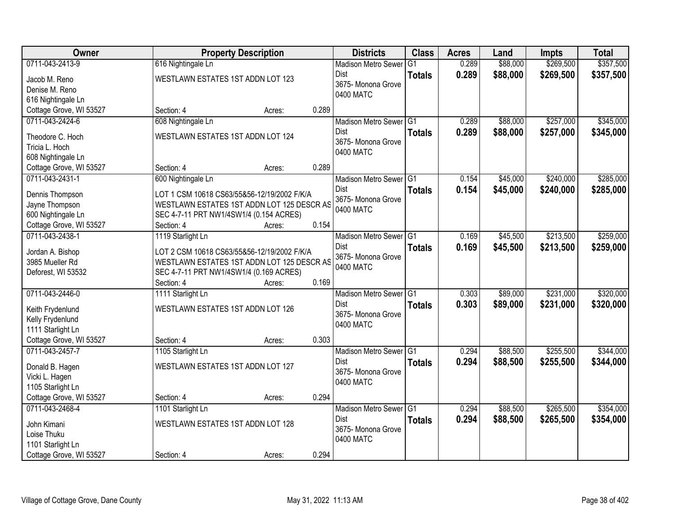| Owner                                         |                                                                                           | <b>Property Description</b> |       | <b>Districts</b>           | <b>Class</b>   | <b>Acres</b> | Land     | Impts     | <b>Total</b> |
|-----------------------------------------------|-------------------------------------------------------------------------------------------|-----------------------------|-------|----------------------------|----------------|--------------|----------|-----------|--------------|
| 0711-043-2413-9                               | 616 Nightingale Ln                                                                        |                             |       | <b>Madison Metro Sewer</b> | G <sub>1</sub> | 0.289        | \$88,000 | \$269,500 | \$357,500    |
| Jacob M. Reno                                 | WESTLAWN ESTATES 1ST ADDN LOT 123                                                         |                             |       | Dist                       | <b>Totals</b>  | 0.289        | \$88,000 | \$269,500 | \$357,500    |
| Denise M. Reno                                |                                                                                           |                             |       | 3675- Monona Grove         |                |              |          |           |              |
| 616 Nightingale Ln                            |                                                                                           |                             |       | 0400 MATC                  |                |              |          |           |              |
| Cottage Grove, WI 53527                       | Section: 4                                                                                | Acres:                      | 0.289 |                            |                |              |          |           |              |
| 0711-043-2424-6                               | 608 Nightingale Ln                                                                        |                             |       | Madison Metro Sewer G1     |                | 0.289        | \$88,000 | \$257,000 | \$345,000    |
| Theodore C. Hoch                              | WESTLAWN ESTATES 1ST ADDN LOT 124                                                         |                             |       | Dist                       | <b>Totals</b>  | 0.289        | \$88,000 | \$257,000 | \$345,000    |
| Tricia L. Hoch                                |                                                                                           |                             |       | 3675- Monona Grove         |                |              |          |           |              |
| 608 Nightingale Ln                            |                                                                                           |                             |       | 0400 MATC                  |                |              |          |           |              |
| Cottage Grove, WI 53527                       | Section: 4                                                                                | Acres:                      | 0.289 |                            |                |              |          |           |              |
| 0711-043-2431-1                               | 600 Nightingale Ln                                                                        |                             |       | Madison Metro Sewer G1     |                | 0.154        | \$45,000 | \$240,000 | \$285,000    |
|                                               |                                                                                           |                             |       | <b>Dist</b>                | <b>Totals</b>  | 0.154        | \$45,000 | \$240,000 | \$285,000    |
| Dennis Thompson                               | LOT 1 CSM 10618 CS63/55&56-12/19/2002 F/K/A<br>WESTLAWN ESTATES 1ST ADDN LOT 125 DESCR AS |                             |       | 3675- Monona Grove         |                |              |          |           |              |
| Jayne Thompson                                |                                                                                           |                             |       | 0400 MATC                  |                |              |          |           |              |
| 600 Nightingale Ln<br>Cottage Grove, WI 53527 | SEC 4-7-11 PRT NW1/4SW1/4 (0.154 ACRES)<br>Section: 4                                     | Acres:                      | 0.154 |                            |                |              |          |           |              |
| 0711-043-2438-1                               | 1119 Starlight Ln                                                                         |                             |       | Madison Metro Sewer G1     |                | 0.169        | \$45,500 | \$213,500 | \$259,000    |
|                                               |                                                                                           |                             |       | Dist                       | <b>Totals</b>  | 0.169        | \$45,500 | \$213,500 | \$259,000    |
| Jordan A. Bishop                              | LOT 2 CSM 10618 CS63/55&56-12/19/2002 F/K/A                                               |                             |       | 3675- Monona Grove         |                |              |          |           |              |
| 3985 Mueller Rd                               | WESTLAWN ESTATES 1ST ADDN LOT 125 DESCR AS                                                |                             |       | 0400 MATC                  |                |              |          |           |              |
| Deforest, WI 53532                            | SEC 4-7-11 PRT NW1/4SW1/4 (0.169 ACRES)                                                   |                             |       |                            |                |              |          |           |              |
|                                               | Section: 4                                                                                | Acres:                      | 0.169 |                            |                |              |          |           |              |
| 0711-043-2446-0                               | 1111 Starlight Ln                                                                         |                             |       | <b>Madison Metro Sewer</b> | TG1            | 0.303        | \$89,000 | \$231,000 | \$320,000    |
| Keith Frydenlund                              | WESTLAWN ESTATES 1ST ADDN LOT 126                                                         |                             |       | <b>Dist</b>                | <b>Totals</b>  | 0.303        | \$89,000 | \$231,000 | \$320,000    |
| Kelly Frydenlund                              |                                                                                           |                             |       | 3675- Monona Grove         |                |              |          |           |              |
| 1111 Starlight Ln                             |                                                                                           |                             |       | 0400 MATC                  |                |              |          |           |              |
| Cottage Grove, WI 53527                       | Section: 4                                                                                | Acres:                      | 0.303 |                            |                |              |          |           |              |
| 0711-043-2457-7                               | 1105 Starlight Ln                                                                         |                             |       | Madison Metro Sewer G1     |                | 0.294        | \$88,500 | \$255,500 | \$344,000    |
| Donald B. Hagen                               | WESTLAWN ESTATES 1ST ADDN LOT 127                                                         |                             |       | <b>Dist</b>                | <b>Totals</b>  | 0.294        | \$88,500 | \$255,500 | \$344,000    |
| Vicki L. Hagen                                |                                                                                           |                             |       | 3675- Monona Grove         |                |              |          |           |              |
| 1105 Starlight Ln                             |                                                                                           |                             |       | 0400 MATC                  |                |              |          |           |              |
| Cottage Grove, WI 53527                       | Section: 4                                                                                | Acres:                      | 0.294 |                            |                |              |          |           |              |
| 0711-043-2468-4                               | 1101 Starlight Ln                                                                         |                             |       | Madison Metro Sewer G1     |                | 0.294        | \$88,500 | \$265,500 | \$354,000    |
| John Kimani                                   | WESTLAWN ESTATES 1ST ADDN LOT 128                                                         |                             |       | Dist                       | <b>Totals</b>  | 0.294        | \$88,500 | \$265,500 | \$354,000    |
| Loise Thuku                                   |                                                                                           |                             |       | 3675- Monona Grove         |                |              |          |           |              |
| 1101 Starlight Ln                             |                                                                                           |                             |       | 0400 MATC                  |                |              |          |           |              |
| Cottage Grove, WI 53527                       | Section: 4                                                                                | Acres:                      | 0.294 |                            |                |              |          |           |              |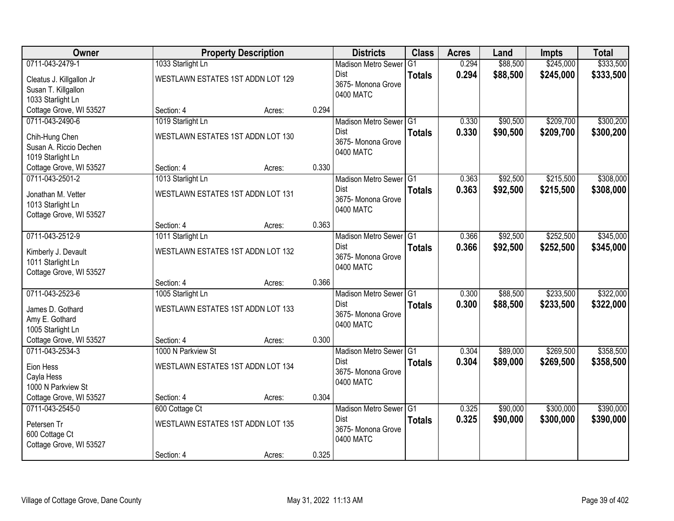| Owner                                                                                  | <b>Property Description</b>                                       |        |       | <b>Districts</b>                                                                    | <b>Class</b>  | <b>Acres</b>   | Land                 | <b>Impts</b>           | <b>Total</b>           |
|----------------------------------------------------------------------------------------|-------------------------------------------------------------------|--------|-------|-------------------------------------------------------------------------------------|---------------|----------------|----------------------|------------------------|------------------------|
| 0711-043-2479-1                                                                        | 1033 Starlight Ln                                                 |        |       | <b>Madison Metro Sewer</b>                                                          | G1            | 0.294          | \$88,500             | \$245,000              | \$333,500              |
| Cleatus J. Killgallon Jr<br>Susan T. Killgallon<br>1033 Starlight Ln                   | WESTLAWN ESTATES 1ST ADDN LOT 129                                 |        |       | Dist<br>3675- Monona Grove<br>0400 MATC                                             | <b>Totals</b> | 0.294          | \$88,500             | \$245,000              | \$333,500              |
| Cottage Grove, WI 53527                                                                | Section: 4                                                        | Acres: | 0.294 |                                                                                     |               |                |                      |                        |                        |
| 0711-043-2490-6<br>Chih-Hung Chen<br>Susan A. Riccio Dechen<br>1019 Starlight Ln       | 1019 Starlight Ln<br>WESTLAWN ESTATES 1ST ADDN LOT 130            |        |       | Madison Metro Sewer G1<br><b>Dist</b><br>3675- Monona Grove<br>0400 MATC            | <b>Totals</b> | 0.330<br>0.330 | \$90,500<br>\$90,500 | \$209,700<br>\$209,700 | \$300,200<br>\$300,200 |
| Cottage Grove, WI 53527                                                                | Section: 4                                                        | Acres: | 0.330 |                                                                                     |               |                |                      |                        |                        |
| 0711-043-2501-2<br>Jonathan M. Vetter<br>1013 Starlight Ln<br>Cottage Grove, WI 53527  | 1013 Starlight Ln<br>WESTLAWN ESTATES 1ST ADDN LOT 131            |        |       | Madison Metro Sewer G1<br>Dist<br>3675- Monona Grove<br>0400 MATC                   | <b>Totals</b> | 0.363<br>0.363 | \$92,500<br>\$92,500 | \$215,500<br>\$215,500 | \$308,000<br>\$308,000 |
|                                                                                        | Section: 4                                                        | Acres: | 0.363 |                                                                                     |               |                |                      |                        |                        |
| 0711-043-2512-9<br>Kimberly J. Devault<br>1011 Starlight Ln<br>Cottage Grove, WI 53527 | 1011 Starlight Ln<br>WESTLAWN ESTATES 1ST ADDN LOT 132            |        |       | Madison Metro Sewer G1<br>Dist<br>3675- Monona Grove<br>0400 MATC                   | <b>Totals</b> | 0.366<br>0.366 | \$92,500<br>\$92,500 | \$252,500<br>\$252,500 | \$345,000<br>\$345,000 |
|                                                                                        | Section: 4                                                        | Acres: | 0.366 |                                                                                     |               |                |                      |                        |                        |
| 0711-043-2523-6<br>James D. Gothard<br>Amy E. Gothard<br>1005 Starlight Ln             | 1005 Starlight Ln<br>WESTLAWN ESTATES 1ST ADDN LOT 133            |        |       | Madison Metro Sewer <sup>G1</sup><br><b>Dist</b><br>3675- Monona Grove<br>0400 MATC | <b>Totals</b> | 0.300<br>0.300 | \$88,500<br>\$88,500 | \$233,500<br>\$233,500 | \$322,000<br>\$322,000 |
| Cottage Grove, WI 53527                                                                | Section: 4                                                        | Acres: | 0.300 |                                                                                     |               |                |                      |                        |                        |
| 0711-043-2534-3<br>Eion Hess<br>Cayla Hess<br>1000 N Parkview St                       | 1000 N Parkview St<br>WESTLAWN ESTATES 1ST ADDN LOT 134           |        |       | Madison Metro Sewer G1<br>Dist<br>3675- Monona Grove<br>0400 MATC                   | <b>Totals</b> | 0.304<br>0.304 | \$89,000<br>\$89,000 | \$269,500<br>\$269,500 | \$358,500<br>\$358,500 |
| Cottage Grove, WI 53527                                                                | Section: 4                                                        | Acres: | 0.304 |                                                                                     |               |                |                      |                        |                        |
| 0711-043-2545-0<br>Petersen Tr<br>600 Cottage Ct<br>Cottage Grove, WI 53527            | 600 Cottage Ct<br>WESTLAWN ESTATES 1ST ADDN LOT 135<br>Section: 4 | Acres: | 0.325 | Madison Metro Sewer G1<br><b>Dist</b><br>3675- Monona Grove<br>0400 MATC            | <b>Totals</b> | 0.325<br>0.325 | \$90,000<br>\$90,000 | \$300,000<br>\$300,000 | \$390,000<br>\$390,000 |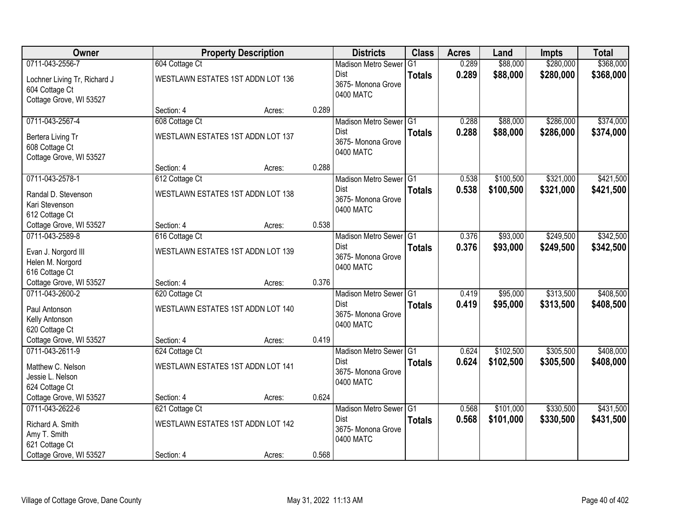| Owner                                                                     |                                   | <b>Property Description</b> |       | <b>Districts</b>                               | <b>Class</b>  | <b>Acres</b> | Land      | <b>Impts</b> | <b>Total</b> |
|---------------------------------------------------------------------------|-----------------------------------|-----------------------------|-------|------------------------------------------------|---------------|--------------|-----------|--------------|--------------|
| 0711-043-2556-7                                                           | 604 Cottage Ct                    |                             |       | <b>Madison Metro Sewer</b>                     | G1            | 0.289        | \$88,000  | \$280,000    | \$368,000    |
| Lochner Living Tr, Richard J<br>604 Cottage Ct<br>Cottage Grove, WI 53527 | WESTLAWN ESTATES 1ST ADDN LOT 136 |                             |       | Dist<br>3675- Monona Grove<br>0400 MATC        | <b>Totals</b> | 0.289        | \$88,000  | \$280,000    | \$368,000    |
|                                                                           | Section: 4                        | Acres:                      | 0.289 |                                                |               |              |           |              |              |
| 0711-043-2567-4                                                           | 608 Cottage Ct                    |                             |       | Madison Metro Sewer G1                         |               | 0.288        | \$88,000  | \$286,000    | \$374,000    |
| Bertera Living Tr<br>608 Cottage Ct<br>Cottage Grove, WI 53527            | WESTLAWN ESTATES 1ST ADDN LOT 137 |                             |       | Dist<br>3675- Monona Grove<br>0400 MATC        | <b>Totals</b> | 0.288        | \$88,000  | \$286,000    | \$374,000    |
|                                                                           | Section: 4                        | Acres:                      | 0.288 |                                                |               |              |           |              |              |
| 0711-043-2578-1                                                           | 612 Cottage Ct                    |                             |       | Madison Metro Sewer G1                         |               | 0.538        | \$100,500 | \$321,000    | \$421,500    |
| Randal D. Stevenson<br>Kari Stevenson<br>612 Cottage Ct                   | WESTLAWN ESTATES 1ST ADDN LOT 138 |                             |       | <b>Dist</b><br>3675- Monona Grove<br>0400 MATC | <b>Totals</b> | 0.538        | \$100,500 | \$321,000    | \$421,500    |
| Cottage Grove, WI 53527                                                   | Section: 4                        | Acres:                      | 0.538 |                                                |               |              |           |              |              |
| 0711-043-2589-8                                                           | 616 Cottage Ct                    |                             |       | Madison Metro Sewer G1                         |               | 0.376        | \$93,000  | \$249,500    | \$342,500    |
| Evan J. Norgord III<br>Helen M. Norgord                                   | WESTLAWN ESTATES 1ST ADDN LOT 139 |                             |       | Dist<br>3675- Monona Grove<br>0400 MATC        | <b>Totals</b> | 0.376        | \$93,000  | \$249,500    | \$342,500    |
| 616 Cottage Ct                                                            |                                   |                             |       |                                                |               |              |           |              |              |
| Cottage Grove, WI 53527                                                   | Section: 4                        | Acres:                      | 0.376 |                                                |               |              |           |              |              |
| 0711-043-2600-2                                                           | 620 Cottage Ct                    |                             |       | Madison Metro Sewer G1                         |               | 0.419        | \$95,000  | \$313,500    | \$408,500    |
| Paul Antonson                                                             | WESTLAWN ESTATES 1ST ADDN LOT 140 |                             |       | Dist<br>3675- Monona Grove                     | <b>Totals</b> | 0.419        | \$95,000  | \$313,500    | \$408,500    |
| Kelly Antonson                                                            |                                   |                             |       | 0400 MATC                                      |               |              |           |              |              |
| 620 Cottage Ct                                                            |                                   |                             |       |                                                |               |              |           |              |              |
| Cottage Grove, WI 53527                                                   | Section: 4                        | Acres:                      | 0.419 |                                                |               |              |           |              |              |
| 0711-043-2611-9                                                           | 624 Cottage Ct                    |                             |       | Madison Metro Sewer G1                         |               | 0.624        | \$102,500 | \$305,500    | \$408,000    |
| Matthew C. Nelson                                                         | WESTLAWN ESTATES 1ST ADDN LOT 141 |                             |       | Dist<br>3675- Monona Grove                     | <b>Totals</b> | 0.624        | \$102,500 | \$305,500    | \$408,000    |
| Jessie L. Nelson                                                          |                                   |                             |       | 0400 MATC                                      |               |              |           |              |              |
| 624 Cottage Ct                                                            |                                   |                             |       |                                                |               |              |           |              |              |
| Cottage Grove, WI 53527                                                   | Section: 4                        | Acres:                      | 0.624 |                                                |               |              |           |              |              |
| 0711-043-2622-6                                                           | 621 Cottage Ct                    |                             |       | Madison Metro Sewer G1                         |               | 0.568        | \$101,000 | \$330,500    | \$431,500    |
| Richard A. Smith                                                          | WESTLAWN ESTATES 1ST ADDN LOT 142 |                             |       | <b>Dist</b><br>3675-Monona Grove               | <b>Totals</b> | 0.568        | \$101,000 | \$330,500    | \$431,500    |
| Amy T. Smith                                                              |                                   |                             |       | 0400 MATC                                      |               |              |           |              |              |
| 621 Cottage Ct                                                            |                                   |                             |       |                                                |               |              |           |              |              |
| Cottage Grove, WI 53527                                                   | Section: 4                        | Acres:                      | 0.568 |                                                |               |              |           |              |              |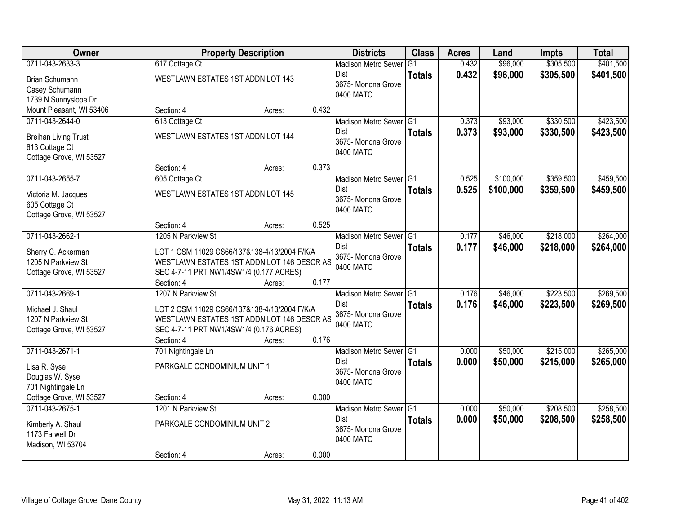| Owner                       | <b>Property Description</b>                  |        |       | <b>Districts</b>           | <b>Class</b>  | <b>Acres</b> | Land      | <b>Impts</b> | <b>Total</b> |
|-----------------------------|----------------------------------------------|--------|-------|----------------------------|---------------|--------------|-----------|--------------|--------------|
| 0711-043-2633-3             | 617 Cottage Ct                               |        |       | <b>Madison Metro Sewer</b> | G1            | 0.432        | \$96,000  | \$305,500    | \$401,500    |
| Brian Schumann              | WESTLAWN ESTATES 1ST ADDN LOT 143            |        |       | Dist                       | <b>Totals</b> | 0.432        | \$96,000  | \$305,500    | \$401,500    |
| Casey Schumann              |                                              |        |       | 3675-Monona Grove          |               |              |           |              |              |
| 1739 N Sunnyslope Dr        |                                              |        |       | 0400 MATC                  |               |              |           |              |              |
| Mount Pleasant, WI 53406    | Section: 4                                   | Acres: | 0.432 |                            |               |              |           |              |              |
| 0711-043-2644-0             | 613 Cottage Ct                               |        |       | Madison Metro Sewer G1     |               | 0.373        | \$93,000  | \$330,500    | \$423,500    |
| <b>Breihan Living Trust</b> | WESTLAWN ESTATES 1ST ADDN LOT 144            |        |       | Dist                       | <b>Totals</b> | 0.373        | \$93,000  | \$330,500    | \$423,500    |
| 613 Cottage Ct              |                                              |        |       | 3675- Monona Grove         |               |              |           |              |              |
| Cottage Grove, WI 53527     |                                              |        |       | 0400 MATC                  |               |              |           |              |              |
|                             | Section: 4                                   | Acres: | 0.373 |                            |               |              |           |              |              |
| 0711-043-2655-7             | 605 Cottage Ct                               |        |       | Madison Metro Sewer G1     |               | 0.525        | \$100,000 | \$359,500    | \$459,500    |
| Victoria M. Jacques         | WESTLAWN ESTATES 1ST ADDN LOT 145            |        |       | Dist                       | <b>Totals</b> | 0.525        | \$100,000 | \$359,500    | \$459,500    |
| 605 Cottage Ct              |                                              |        |       | 3675- Monona Grove         |               |              |           |              |              |
| Cottage Grove, WI 53527     |                                              |        |       | 0400 MATC                  |               |              |           |              |              |
|                             | Section: 4                                   | Acres: | 0.525 |                            |               |              |           |              |              |
| 0711-043-2662-1             | 1205 N Parkview St                           |        |       | Madison Metro Sewer G1     |               | 0.177        | \$46,000  | \$218,000    | \$264,000    |
| Sherry C. Ackerman          | LOT 1 CSM 11029 CS66/137&138-4/13/2004 F/K/A |        |       | Dist                       | <b>Totals</b> | 0.177        | \$46,000  | \$218,000    | \$264,000    |
| 1205 N Parkview St          | WESTLAWN ESTATES 1ST ADDN LOT 146 DESCR AS   |        |       | 3675- Monona Grove         |               |              |           |              |              |
| Cottage Grove, WI 53527     | SEC 4-7-11 PRT NW1/4SW1/4 (0.177 ACRES)      |        |       | 0400 MATC                  |               |              |           |              |              |
|                             | Section: 4                                   | Acres: | 0.177 |                            |               |              |           |              |              |
| 0711-043-2669-1             | 1207 N Parkview St                           |        |       | Madison Metro Sewer G1     |               | 0.176        | \$46,000  | \$223,500    | \$269,500    |
| Michael J. Shaul            | LOT 2 CSM 11029 CS66/137&138-4/13/2004 F/K/A |        |       | <b>Dist</b>                | <b>Totals</b> | 0.176        | \$46,000  | \$223,500    | \$269,500    |
| 1207 N Parkview St          | WESTLAWN ESTATES 1ST ADDN LOT 146 DESCR AS   |        |       | 3675- Monona Grove         |               |              |           |              |              |
| Cottage Grove, WI 53527     | SEC 4-7-11 PRT NW1/4SW1/4 (0.176 ACRES)      |        |       | 0400 MATC                  |               |              |           |              |              |
|                             | Section: 4                                   | Acres: | 0.176 |                            |               |              |           |              |              |
| 0711-043-2671-1             | 701 Nightingale Ln                           |        |       | Madison Metro Sewer G1     |               | 0.000        | \$50,000  | \$215,000    | \$265,000    |
| Lisa R. Syse                | PARKGALE CONDOMINIUM UNIT 1                  |        |       | Dist                       | <b>Totals</b> | 0.000        | \$50,000  | \$215,000    | \$265,000    |
| Douglas W. Syse             |                                              |        |       | 3675- Monona Grove         |               |              |           |              |              |
| 701 Nightingale Ln          |                                              |        |       | 0400 MATC                  |               |              |           |              |              |
| Cottage Grove, WI 53527     | Section: 4                                   | Acres: | 0.000 |                            |               |              |           |              |              |
| 0711-043-2675-1             | 1201 N Parkview St                           |        |       | Madison Metro Sewer G1     |               | 0.000        | \$50,000  | \$208,500    | \$258,500    |
| Kimberly A. Shaul           | PARKGALE CONDOMINIUM UNIT 2                  |        |       | Dist                       | <b>Totals</b> | 0.000        | \$50,000  | \$208,500    | \$258,500    |
| 1173 Farwell Dr             |                                              |        |       | 3675- Monona Grove         |               |              |           |              |              |
| Madison, WI 53704           |                                              |        |       | 0400 MATC                  |               |              |           |              |              |
|                             | Section: 4                                   | Acres: | 0.000 |                            |               |              |           |              |              |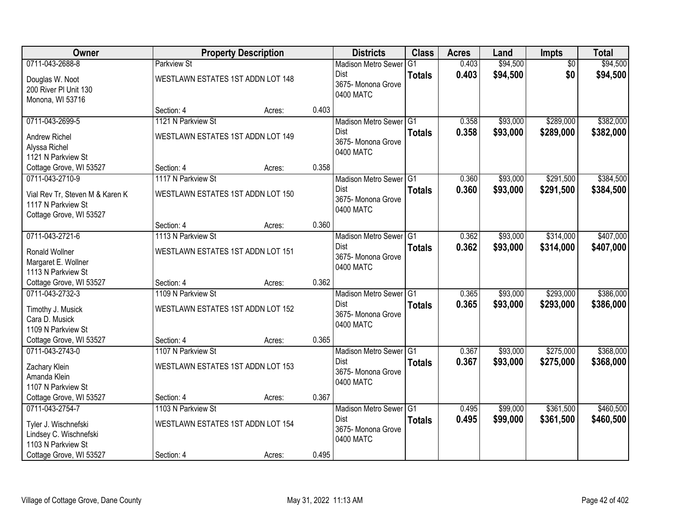| Owner                                    |                                   | <b>Property Description</b> |       | <b>Districts</b>                    | <b>Class</b>  | <b>Acres</b> | Land     | <b>Impts</b>    | <b>Total</b> |
|------------------------------------------|-----------------------------------|-----------------------------|-------|-------------------------------------|---------------|--------------|----------|-----------------|--------------|
| 0711-043-2688-8                          | <b>Parkview St</b>                |                             |       | <b>Madison Metro Sewer</b>          | G1            | 0.403        | \$94,500 | $\overline{50}$ | \$94,500     |
| Douglas W. Noot<br>200 River PI Unit 130 | WESTLAWN ESTATES 1ST ADDN LOT 148 |                             |       | Dist<br>3675-Monona Grove           | <b>Totals</b> | 0.403        | \$94,500 | \$0             | \$94,500     |
| Monona, WI 53716                         |                                   |                             |       | 0400 MATC                           |               |              |          |                 |              |
|                                          | Section: 4                        | Acres:                      | 0.403 |                                     |               |              |          |                 |              |
| 0711-043-2699-5                          | 1121 N Parkview St                |                             |       | Madison Metro Sewer G1              |               | 0.358        | \$93,000 | \$289,000       | \$382,000    |
| <b>Andrew Richel</b>                     | WESTLAWN ESTATES 1ST ADDN LOT 149 |                             |       | Dist                                | <b>Totals</b> | 0.358        | \$93,000 | \$289,000       | \$382,000    |
| Alyssa Richel                            |                                   |                             |       | 3675- Monona Grove                  |               |              |          |                 |              |
| 1121 N Parkview St                       |                                   |                             |       | 0400 MATC                           |               |              |          |                 |              |
| Cottage Grove, WI 53527                  | Section: 4                        | Acres:                      | 0.358 |                                     |               |              |          |                 |              |
| 0711-043-2710-9                          | 1117 N Parkview St                |                             |       | Madison Metro Sewer G1              |               | 0.360        | \$93,000 | \$291,500       | \$384,500    |
| Vial Rev Tr, Steven M & Karen K          | WESTLAWN ESTATES 1ST ADDN LOT 150 |                             |       | Dist                                | <b>Totals</b> | 0.360        | \$93,000 | \$291,500       | \$384,500    |
| 1117 N Parkview St                       |                                   |                             |       | 3675- Monona Grove                  |               |              |          |                 |              |
| Cottage Grove, WI 53527                  |                                   |                             |       | 0400 MATC                           |               |              |          |                 |              |
|                                          | Section: 4                        | Acres:                      | 0.360 |                                     |               |              |          |                 |              |
| 0711-043-2721-6                          | 1113 N Parkview St                |                             |       | Madison Metro Sewer G1              |               | 0.362        | \$93,000 | \$314,000       | \$407,000    |
| Ronald Wollner                           | WESTLAWN ESTATES 1ST ADDN LOT 151 |                             |       | Dist                                | <b>Totals</b> | 0.362        | \$93,000 | \$314,000       | \$407,000    |
| Margaret E. Wollner                      |                                   |                             |       | 3675- Monona Grove                  |               |              |          |                 |              |
| 1113 N Parkview St                       |                                   |                             |       | 0400 MATC                           |               |              |          |                 |              |
| Cottage Grove, WI 53527                  | Section: 4                        | Acres:                      | 0.362 |                                     |               |              |          |                 |              |
| 0711-043-2732-3                          | 1109 N Parkview St                |                             |       | Madison Metro Sewer <sup>1</sup> G1 |               | 0.365        | \$93,000 | \$293,000       | \$386,000    |
| Timothy J. Musick                        | WESTLAWN ESTATES 1ST ADDN LOT 152 |                             |       | <b>Dist</b>                         | <b>Totals</b> | 0.365        | \$93,000 | \$293,000       | \$386,000    |
| Cara D. Musick                           |                                   |                             |       | 3675- Monona Grove<br>0400 MATC     |               |              |          |                 |              |
| 1109 N Parkview St                       |                                   |                             |       |                                     |               |              |          |                 |              |
| Cottage Grove, WI 53527                  | Section: 4                        | Acres:                      | 0.365 |                                     |               |              |          |                 |              |
| 0711-043-2743-0                          | 1107 N Parkview St                |                             |       | Madison Metro Sewer G1              |               | 0.367        | \$93,000 | \$275,000       | \$368,000    |
| Zachary Klein                            | WESTLAWN ESTATES 1ST ADDN LOT 153 |                             |       | Dist                                | <b>Totals</b> | 0.367        | \$93,000 | \$275,000       | \$368,000    |
| Amanda Klein                             |                                   |                             |       | 3675- Monona Grove<br>0400 MATC     |               |              |          |                 |              |
| 1107 N Parkview St                       |                                   |                             |       |                                     |               |              |          |                 |              |
| Cottage Grove, WI 53527                  | Section: 4                        | Acres:                      | 0.367 |                                     |               |              |          |                 |              |
| 0711-043-2754-7                          | 1103 N Parkview St                |                             |       | Madison Metro Sewer G1              |               | 0.495        | \$99,000 | \$361,500       | \$460,500    |
| Tyler J. Wischnefski                     | WESTLAWN ESTATES 1ST ADDN LOT 154 |                             |       | Dist                                | <b>Totals</b> | 0.495        | \$99,000 | \$361,500       | \$460,500    |
| Lindsey C. Wischnefski                   |                                   |                             |       | 3675- Monona Grove<br>0400 MATC     |               |              |          |                 |              |
| 1103 N Parkview St                       |                                   |                             |       |                                     |               |              |          |                 |              |
| Cottage Grove, WI 53527                  | Section: 4                        | Acres:                      | 0.495 |                                     |               |              |          |                 |              |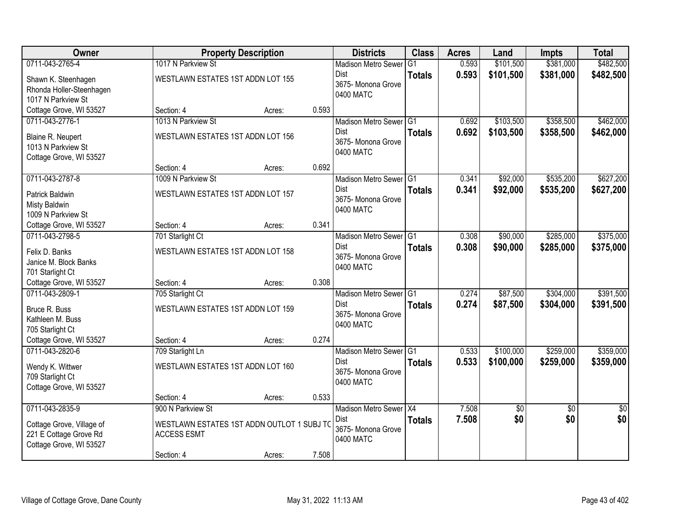| <b>Owner</b>              |                                   | <b>Property Description</b>                |       | <b>Districts</b>                | <b>Class</b>  | <b>Acres</b> | Land       | <b>Impts</b>    | <b>Total</b>    |
|---------------------------|-----------------------------------|--------------------------------------------|-------|---------------------------------|---------------|--------------|------------|-----------------|-----------------|
| 0711-043-2765-4           | 1017 N Parkview St                |                                            |       | <b>Madison Metro Sewer</b>      | G1            | 0.593        | \$101,500  | \$381,000       | \$482,500       |
| Shawn K. Steenhagen       | WESTLAWN ESTATES 1ST ADDN LOT 155 |                                            |       | Dist                            | <b>Totals</b> | 0.593        | \$101,500  | \$381,000       | \$482,500       |
| Rhonda Holler-Steenhagen  |                                   |                                            |       | 3675-Monona Grove               |               |              |            |                 |                 |
| 1017 N Parkview St        |                                   |                                            |       | 0400 MATC                       |               |              |            |                 |                 |
| Cottage Grove, WI 53527   | Section: 4                        | Acres:                                     | 0.593 |                                 |               |              |            |                 |                 |
| 0711-043-2776-1           | 1013 N Parkview St                |                                            |       | Madison Metro Sewer G1          |               | 0.692        | \$103,500  | \$358,500       | \$462,000       |
| Blaine R. Neupert         | WESTLAWN ESTATES 1ST ADDN LOT 156 |                                            |       | Dist                            | <b>Totals</b> | 0.692        | \$103,500  | \$358,500       | \$462,000       |
| 1013 N Parkview St        |                                   |                                            |       | 3675- Monona Grove<br>0400 MATC |               |              |            |                 |                 |
| Cottage Grove, WI 53527   |                                   |                                            |       |                                 |               |              |            |                 |                 |
|                           | Section: 4                        | Acres:                                     | 0.692 |                                 |               |              |            |                 |                 |
| 0711-043-2787-8           | 1009 N Parkview St                |                                            |       | Madison Metro Sewer G1          |               | 0.341        | \$92,000   | \$535,200       | \$627,200       |
| Patrick Baldwin           | WESTLAWN ESTATES 1ST ADDN LOT 157 |                                            |       | <b>Dist</b>                     | <b>Totals</b> | 0.341        | \$92,000   | \$535,200       | \$627,200       |
| Misty Baldwin             |                                   |                                            |       | 3675- Monona Grove<br>0400 MATC |               |              |            |                 |                 |
| 1009 N Parkview St        |                                   |                                            |       |                                 |               |              |            |                 |                 |
| Cottage Grove, WI 53527   | Section: 4                        | Acres:                                     | 0.341 |                                 |               |              |            |                 |                 |
| 0711-043-2798-5           | 701 Starlight Ct                  |                                            |       | Madison Metro Sewer G1          |               | 0.308        | \$90,000   | \$285,000       | \$375,000       |
| Felix D. Banks            | WESTLAWN ESTATES 1ST ADDN LOT 158 |                                            |       | <b>Dist</b>                     | <b>Totals</b> | 0.308        | \$90,000   | \$285,000       | \$375,000       |
| Janice M. Block Banks     |                                   |                                            |       | 3675- Monona Grove<br>0400 MATC |               |              |            |                 |                 |
| 701 Starlight Ct          |                                   |                                            |       |                                 |               |              |            |                 |                 |
| Cottage Grove, WI 53527   | Section: 4                        | Acres:                                     | 0.308 |                                 |               |              |            |                 |                 |
| 0711-043-2809-1           | 705 Starlight Ct                  |                                            |       | Madison Metro Sewer G1          |               | 0.274        | \$87,500   | \$304,000       | \$391,500       |
| Bruce R. Buss             | WESTLAWN ESTATES 1ST ADDN LOT 159 |                                            |       | <b>Dist</b>                     | <b>Totals</b> | 0.274        | \$87,500   | \$304,000       | \$391,500       |
| Kathleen M. Buss          |                                   |                                            |       | 3675-Monona Grove<br>0400 MATC  |               |              |            |                 |                 |
| 705 Starlight Ct          |                                   |                                            |       |                                 |               |              |            |                 |                 |
| Cottage Grove, WI 53527   | Section: 4                        | Acres:                                     | 0.274 |                                 |               |              |            |                 |                 |
| 0711-043-2820-6           | 709 Starlight Ln                  |                                            |       | Madison Metro Sewer G1          |               | 0.533        | \$100,000  | \$259,000       | \$359,000       |
| Wendy K. Wittwer          | WESTLAWN ESTATES 1ST ADDN LOT 160 |                                            |       | Dist                            | <b>Totals</b> | 0.533        | \$100,000  | \$259,000       | \$359,000       |
| 709 Starlight Ct          |                                   |                                            |       | 3675- Monona Grove<br>0400 MATC |               |              |            |                 |                 |
| Cottage Grove, WI 53527   |                                   |                                            |       |                                 |               |              |            |                 |                 |
|                           | Section: 4                        | Acres:                                     | 0.533 |                                 |               |              |            |                 |                 |
| 0711-043-2835-9           | 900 N Parkview St                 |                                            |       | Madison Metro Sewer X4          |               | 7.508        | $\sqrt{6}$ | $\overline{50}$ | $\overline{50}$ |
| Cottage Grove, Village of |                                   | WESTLAWN ESTATES 1ST ADDN OUTLOT 1 SUBJ TO |       | <b>Dist</b>                     | <b>Totals</b> | 7.508        | \$0        | \$0             | \$0             |
| 221 E Cottage Grove Rd    | <b>ACCESS ESMT</b>                |                                            |       | 3675- Monona Grove<br>0400 MATC |               |              |            |                 |                 |
| Cottage Grove, WI 53527   |                                   |                                            |       |                                 |               |              |            |                 |                 |
|                           | Section: 4                        | Acres:                                     | 7.508 |                                 |               |              |            |                 |                 |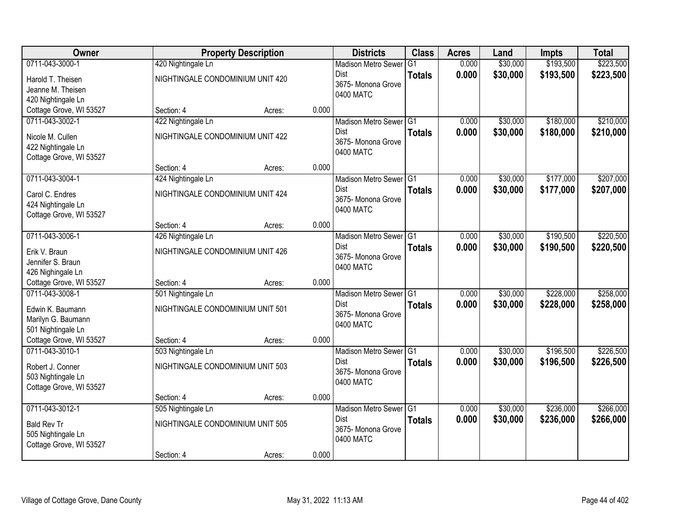| Owner                   |                                  | <b>Property Description</b> |       | <b>Districts</b>           | <b>Class</b>    | <b>Acres</b> | Land     | <b>Impts</b> | <b>Total</b> |
|-------------------------|----------------------------------|-----------------------------|-------|----------------------------|-----------------|--------------|----------|--------------|--------------|
| 0711-043-3000-1         | 420 Nightingale Ln               |                             |       | <b>Madison Metro Sewer</b> | $\overline{G1}$ | 0.000        | \$30,000 | \$193,500    | \$223,500    |
| Harold T. Theisen       | NIGHTINGALE CONDOMINIUM UNIT 420 |                             |       | Dist                       | <b>Totals</b>   | 0.000        | \$30,000 | \$193,500    | \$223,500    |
| Jeanne M. Theisen       |                                  |                             |       | 3675- Monona Grove         |                 |              |          |              |              |
| 420 Nightingale Ln      |                                  |                             |       | 0400 MATC                  |                 |              |          |              |              |
| Cottage Grove, WI 53527 | Section: 4                       | Acres:                      | 0.000 |                            |                 |              |          |              |              |
| 0711-043-3002-1         | 422 Nightingale Ln               |                             |       | Madison Metro Sewer G1     |                 | 0.000        | \$30,000 | \$180,000    | \$210,000    |
| Nicole M. Cullen        | NIGHTINGALE CONDOMINIUM UNIT 422 |                             |       | Dist                       | <b>Totals</b>   | 0.000        | \$30,000 | \$180,000    | \$210,000    |
| 422 Nightingale Ln      |                                  |                             |       | 3675- Monona Grove         |                 |              |          |              |              |
| Cottage Grove, WI 53527 |                                  |                             |       | 0400 MATC                  |                 |              |          |              |              |
|                         | Section: 4                       | Acres:                      | 0.000 |                            |                 |              |          |              |              |
| 0711-043-3004-1         | 424 Nightingale Ln               |                             |       | Madison Metro Sewer G1     |                 | 0.000        | \$30,000 | \$177,000    | \$207,000    |
| Carol C. Endres         | NIGHTINGALE CONDOMINIUM UNIT 424 |                             |       | <b>Dist</b>                | <b>Totals</b>   | 0.000        | \$30,000 | \$177,000    | \$207,000    |
| 424 Nightingale Ln      |                                  |                             |       | 3675- Monona Grove         |                 |              |          |              |              |
| Cottage Grove, WI 53527 |                                  |                             |       | 0400 MATC                  |                 |              |          |              |              |
|                         | Section: 4                       | Acres:                      | 0.000 |                            |                 |              |          |              |              |
| 0711-043-3006-1         | 426 Nightingale Ln               |                             |       | Madison Metro Sewer G1     |                 | 0.000        | \$30,000 | \$190,500    | \$220,500    |
| Erik V. Braun           | NIGHTINGALE CONDOMINIUM UNIT 426 |                             |       | Dist                       | <b>Totals</b>   | 0.000        | \$30,000 | \$190,500    | \$220,500    |
| Jennifer S. Braun       |                                  |                             |       | 3675- Monona Grove         |                 |              |          |              |              |
| 426 Nighingale Ln       |                                  |                             |       | 0400 MATC                  |                 |              |          |              |              |
| Cottage Grove, WI 53527 | Section: 4                       | Acres:                      | 0.000 |                            |                 |              |          |              |              |
| 0711-043-3008-1         | 501 Nightingale Ln               |                             |       | Madison Metro Sewer G1     |                 | 0.000        | \$30,000 | \$228,000    | \$258,000    |
| Edwin K. Baumann        | NIGHTINGALE CONDOMINIUM UNIT 501 |                             |       | Dist                       | <b>Totals</b>   | 0.000        | \$30,000 | \$228,000    | \$258,000    |
| Marilyn G. Baumann      |                                  |                             |       | 3675- Monona Grove         |                 |              |          |              |              |
| 501 Nightingale Ln      |                                  |                             |       | 0400 MATC                  |                 |              |          |              |              |
| Cottage Grove, WI 53527 | Section: 4                       | Acres:                      | 0.000 |                            |                 |              |          |              |              |
| 0711-043-3010-1         | 503 Nightingale Ln               |                             |       | Madison Metro Sewer G1     |                 | 0.000        | \$30,000 | \$196,500    | \$226,500    |
| Robert J. Conner        | NIGHTINGALE CONDOMINIUM UNIT 503 |                             |       | Dist                       | <b>Totals</b>   | 0.000        | \$30,000 | \$196,500    | \$226,500    |
| 503 Nightingale Ln      |                                  |                             |       | 3675- Monona Grove         |                 |              |          |              |              |
| Cottage Grove, WI 53527 |                                  |                             |       | 0400 MATC                  |                 |              |          |              |              |
|                         | Section: 4                       | Acres:                      | 0.000 |                            |                 |              |          |              |              |
| 0711-043-3012-1         | 505 Nightingale Ln               |                             |       | Madison Metro Sewer G1     |                 | 0.000        | \$30,000 | \$236,000    | \$266,000    |
| <b>Bald Rev Tr</b>      | NIGHTINGALE CONDOMINIUM UNIT 505 |                             |       | <b>Dist</b>                | <b>Totals</b>   | 0.000        | \$30,000 | \$236,000    | \$266,000    |
| 505 Nightingale Ln      |                                  |                             |       | 3675-Monona Grove          |                 |              |          |              |              |
| Cottage Grove, WI 53527 |                                  |                             |       | 0400 MATC                  |                 |              |          |              |              |
|                         | Section: 4                       | Acres:                      | 0.000 |                            |                 |              |          |              |              |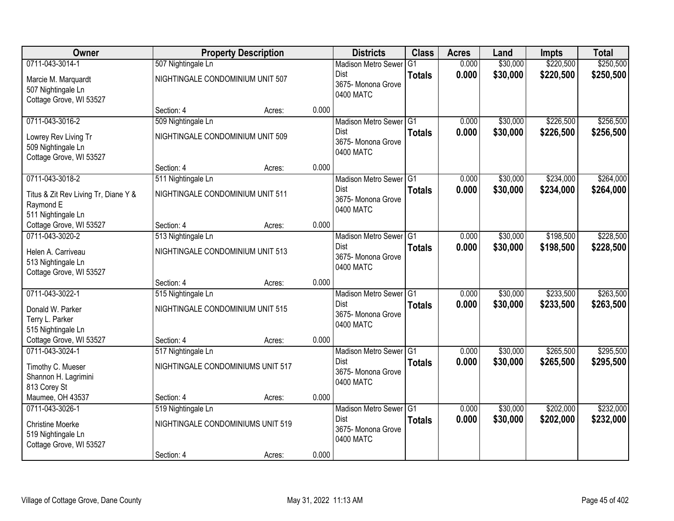| <b>Owner</b>                         |                                   | <b>Property Description</b> |       | <b>Districts</b>                  | <b>Class</b>    | <b>Acres</b> | Land     | <b>Impts</b> | <b>Total</b> |
|--------------------------------------|-----------------------------------|-----------------------------|-------|-----------------------------------|-----------------|--------------|----------|--------------|--------------|
| 0711-043-3014-1                      | 507 Nightingale Ln                |                             |       | <b>Madison Metro Sewer</b>        | $\overline{G1}$ | 0.000        | \$30,000 | \$220,500    | \$250,500    |
| Marcie M. Marquardt                  | NIGHTINGALE CONDOMINIUM UNIT 507  |                             |       | Dist                              | <b>Totals</b>   | 0.000        | \$30,000 | \$220,500    | \$250,500    |
| 507 Nightingale Ln                   |                                   |                             |       | 3675-Monona Grove<br>0400 MATC    |                 |              |          |              |              |
| Cottage Grove, WI 53527              |                                   |                             |       |                                   |                 |              |          |              |              |
|                                      | Section: 4                        | Acres:                      | 0.000 |                                   |                 |              |          |              |              |
| 0711-043-3016-2                      | 509 Nightingale Ln                |                             |       | Madison Metro Sewer G1            |                 | 0.000        | \$30,000 | \$226,500    | \$256,500    |
| Lowrey Rev Living Tr                 | NIGHTINGALE CONDOMINIUM UNIT 509  |                             |       | Dist                              | <b>Totals</b>   | 0.000        | \$30,000 | \$226,500    | \$256,500    |
| 509 Nightingale Ln                   |                                   |                             |       | 3675- Monona Grove<br>0400 MATC   |                 |              |          |              |              |
| Cottage Grove, WI 53527              |                                   |                             |       |                                   |                 |              |          |              |              |
|                                      | Section: 4                        | Acres:                      | 0.000 |                                   |                 |              |          |              |              |
| 0711-043-3018-2                      | 511 Nightingale Ln                |                             |       | Madison Metro Sewer G1            |                 | 0.000        | \$30,000 | \$234,000    | \$264,000    |
| Titus & Zit Rev Living Tr, Diane Y & | NIGHTINGALE CONDOMINIUM UNIT 511  |                             |       | <b>Dist</b><br>3675- Monona Grove | <b>Totals</b>   | 0.000        | \$30,000 | \$234,000    | \$264,000    |
| Raymond E                            |                                   |                             |       | 0400 MATC                         |                 |              |          |              |              |
| 511 Nightingale Ln                   |                                   |                             |       |                                   |                 |              |          |              |              |
| Cottage Grove, WI 53527              | Section: 4                        | Acres:                      | 0.000 |                                   |                 |              |          |              |              |
| 0711-043-3020-2                      | 513 Nightingale Ln                |                             |       | Madison Metro Sewer G1            |                 | 0.000        | \$30,000 | \$198,500    | \$228,500    |
| Helen A. Carriveau                   | NIGHTINGALE CONDOMINIUM UNIT 513  |                             |       | <b>Dist</b><br>3675- Monona Grove | <b>Totals</b>   | 0.000        | \$30,000 | \$198,500    | \$228,500    |
| 513 Nightingale Ln                   |                                   |                             |       | 0400 MATC                         |                 |              |          |              |              |
| Cottage Grove, WI 53527              |                                   |                             |       |                                   |                 |              |          |              |              |
|                                      | Section: 4                        | Acres:                      | 0.000 |                                   |                 |              |          |              |              |
| 0711-043-3022-1                      | 515 Nightingale Ln                |                             |       | Madison Metro Sewer G1            |                 | 0.000        | \$30,000 | \$233,500    | \$263,500    |
| Donald W. Parker                     | NIGHTINGALE CONDOMINIUM UNIT 515  |                             |       | <b>Dist</b><br>3675-Monona Grove  | <b>Totals</b>   | 0.000        | \$30,000 | \$233,500    | \$263,500    |
| Terry L. Parker                      |                                   |                             |       | 0400 MATC                         |                 |              |          |              |              |
| 515 Nightingale Ln                   |                                   |                             |       |                                   |                 |              |          |              |              |
| Cottage Grove, WI 53527              | Section: 4                        | Acres:                      | 0.000 |                                   |                 |              |          |              |              |
| 0711-043-3024-1                      | 517 Nightingale Ln                |                             |       | Madison Metro Sewer G1            |                 | 0.000        | \$30,000 | \$265,500    | \$295,500    |
| Timothy C. Mueser                    | NIGHTINGALE CONDOMINIUMS UNIT 517 |                             |       | Dist<br>3675- Monona Grove        | <b>Totals</b>   | 0.000        | \$30,000 | \$265,500    | \$295,500    |
| Shannon H. Lagrimini                 |                                   |                             |       | 0400 MATC                         |                 |              |          |              |              |
| 813 Corey St                         |                                   |                             |       |                                   |                 |              |          |              |              |
| Maumee, OH 43537                     | Section: 4                        | Acres:                      | 0.000 |                                   |                 |              |          |              |              |
| 0711-043-3026-1                      | 519 Nightingale Ln                |                             |       | Madison Metro Sewer G1            |                 | 0.000        | \$30,000 | \$202,000    | \$232,000    |
| <b>Christine Moerke</b>              | NIGHTINGALE CONDOMINIUMS UNIT 519 |                             |       | Dist<br>3675- Monona Grove        | <b>Totals</b>   | 0.000        | \$30,000 | \$202,000    | \$232,000    |
| 519 Nightingale Ln                   |                                   |                             |       | 0400 MATC                         |                 |              |          |              |              |
| Cottage Grove, WI 53527              |                                   |                             |       |                                   |                 |              |          |              |              |
|                                      | Section: 4                        | Acres:                      | 0.000 |                                   |                 |              |          |              |              |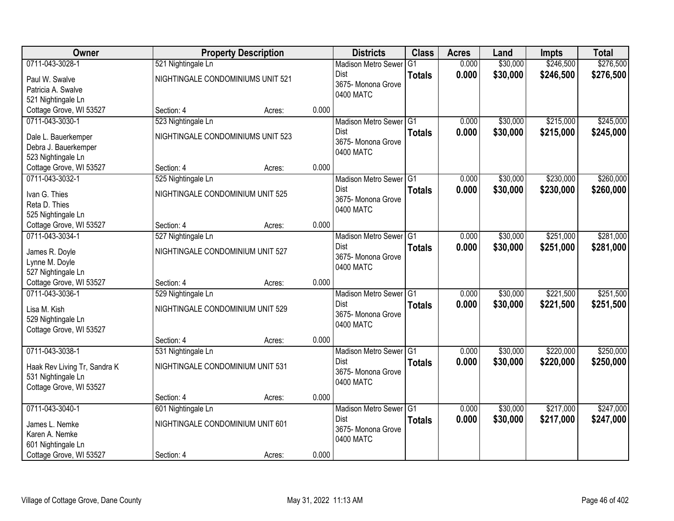| Owner                                       |                                   | <b>Property Description</b> |       | <b>Districts</b>           | <b>Class</b>    | <b>Acres</b> | Land     | <b>Impts</b> | <b>Total</b> |
|---------------------------------------------|-----------------------------------|-----------------------------|-------|----------------------------|-----------------|--------------|----------|--------------|--------------|
| 0711-043-3028-1                             | 521 Nightingale Ln                |                             |       | <b>Madison Metro Sewer</b> | $\overline{G1}$ | 0.000        | \$30,000 | \$246,500    | \$276,500    |
| Paul W. Swalve                              | NIGHTINGALE CONDOMINIUMS UNIT 521 |                             |       | Dist                       | <b>Totals</b>   | 0.000        | \$30,000 | \$246,500    | \$276,500    |
| Patricia A. Swalve                          |                                   |                             |       | 3675- Monona Grove         |                 |              |          |              |              |
| 521 Nightingale Ln                          |                                   |                             |       | 0400 MATC                  |                 |              |          |              |              |
| Cottage Grove, WI 53527                     | Section: 4                        | Acres:                      | 0.000 |                            |                 |              |          |              |              |
| 0711-043-3030-1                             | 523 Nightingale Ln                |                             |       | Madison Metro Sewer G1     |                 | 0.000        | \$30,000 | \$215,000    | \$245,000    |
|                                             | NIGHTINGALE CONDOMINIUMS UNIT 523 |                             |       | Dist                       | <b>Totals</b>   | 0.000        | \$30,000 | \$215,000    | \$245,000    |
| Dale L. Bauerkemper<br>Debra J. Bauerkemper |                                   |                             |       | 3675- Monona Grove         |                 |              |          |              |              |
| 523 Nightingale Ln                          |                                   |                             |       | 0400 MATC                  |                 |              |          |              |              |
| Cottage Grove, WI 53527                     | Section: 4                        | Acres:                      | 0.000 |                            |                 |              |          |              |              |
| 0711-043-3032-1                             | 525 Nightingale Ln                |                             |       | Madison Metro Sewer G1     |                 | 0.000        | \$30,000 | \$230,000    | \$260,000    |
|                                             |                                   |                             |       | Dist                       | <b>Totals</b>   | 0.000        | \$30,000 | \$230,000    | \$260,000    |
| Ivan G. Thies                               | NIGHTINGALE CONDOMINIUM UNIT 525  |                             |       | 3675- Monona Grove         |                 |              |          |              |              |
| Reta D. Thies                               |                                   |                             |       | 0400 MATC                  |                 |              |          |              |              |
| 525 Nightingale Ln                          |                                   |                             |       |                            |                 |              |          |              |              |
| Cottage Grove, WI 53527                     | Section: 4                        | Acres:                      | 0.000 |                            |                 |              |          |              |              |
| 0711-043-3034-1                             | 527 Nightingale Ln                |                             |       | Madison Metro Sewer G1     |                 | 0.000        | \$30,000 | \$251,000    | \$281,000    |
| James R. Doyle                              | NIGHTINGALE CONDOMINIUM UNIT 527  |                             |       | Dist                       | <b>Totals</b>   | 0.000        | \$30,000 | \$251,000    | \$281,000    |
| Lynne M. Doyle                              |                                   |                             |       | 3675- Monona Grove         |                 |              |          |              |              |
| 527 Nightingale Ln                          |                                   |                             |       | 0400 MATC                  |                 |              |          |              |              |
| Cottage Grove, WI 53527                     | Section: 4                        | Acres:                      | 0.000 |                            |                 |              |          |              |              |
| 0711-043-3036-1                             | 529 Nightingale Ln                |                             |       | <b>Madison Metro Sewer</b> | IG1             | 0.000        | \$30,000 | \$221,500    | \$251,500    |
| Lisa M. Kish                                | NIGHTINGALE CONDOMINIUM UNIT 529  |                             |       | <b>Dist</b>                | <b>Totals</b>   | 0.000        | \$30,000 | \$221,500    | \$251,500    |
| 529 Nightingale Ln                          |                                   |                             |       | 3675- Monona Grove         |                 |              |          |              |              |
| Cottage Grove, WI 53527                     |                                   |                             |       | 0400 MATC                  |                 |              |          |              |              |
|                                             | Section: 4                        | Acres:                      | 0.000 |                            |                 |              |          |              |              |
| 0711-043-3038-1                             | 531 Nightingale Ln                |                             |       | Madison Metro Sewer G1     |                 | 0.000        | \$30,000 | \$220,000    | \$250,000    |
| Haak Rev Living Tr, Sandra K                | NIGHTINGALE CONDOMINIUM UNIT 531  |                             |       | Dist                       | <b>Totals</b>   | 0.000        | \$30,000 | \$220,000    | \$250,000    |
| 531 Nightingale Ln                          |                                   |                             |       | 3675- Monona Grove         |                 |              |          |              |              |
| Cottage Grove, WI 53527                     |                                   |                             |       | 0400 MATC                  |                 |              |          |              |              |
|                                             | Section: 4                        | Acres:                      | 0.000 |                            |                 |              |          |              |              |
| 0711-043-3040-1                             | 601 Nightingale Ln                |                             |       | Madison Metro Sewer G1     |                 | 0.000        | \$30,000 | \$217,000    | \$247,000    |
|                                             |                                   |                             |       | Dist                       | <b>Totals</b>   | 0.000        | \$30,000 | \$217,000    | \$247,000    |
| James L. Nemke                              | NIGHTINGALE CONDOMINIUM UNIT 601  |                             |       | 3675- Monona Grove         |                 |              |          |              |              |
| Karen A. Nemke                              |                                   |                             |       | 0400 MATC                  |                 |              |          |              |              |
| 601 Nightingale Ln                          |                                   |                             |       |                            |                 |              |          |              |              |
| Cottage Grove, WI 53527                     | Section: 4                        | Acres:                      | 0.000 |                            |                 |              |          |              |              |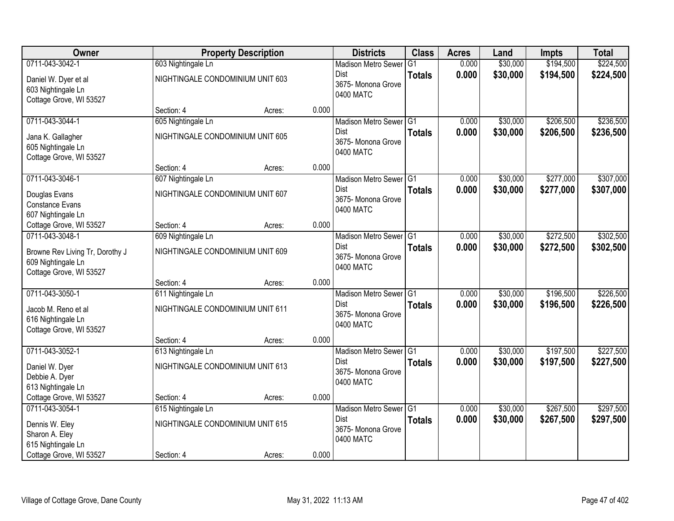| <b>Owner</b>                    |                                  | <b>Property Description</b> |       | <b>Districts</b>                      | <b>Class</b>  | <b>Acres</b>   | Land                 | <b>Impts</b>           | <b>Total</b>           |
|---------------------------------|----------------------------------|-----------------------------|-------|---------------------------------------|---------------|----------------|----------------------|------------------------|------------------------|
| 0711-043-3042-1                 | 603 Nightingale Ln               |                             |       | <b>Madison Metro Sewer</b>            | G1            | 0.000          | \$30,000             | \$194,500              | \$224,500              |
| Daniel W. Dyer et al            | NIGHTINGALE CONDOMINIUM UNIT 603 |                             |       | Dist                                  | <b>Totals</b> | 0.000          | \$30,000             | \$194,500              | \$224,500              |
| 603 Nightingale Ln              |                                  |                             |       | 3675- Monona Grove                    |               |                |                      |                        |                        |
| Cottage Grove, WI 53527         |                                  |                             |       | 0400 MATC                             |               |                |                      |                        |                        |
|                                 | Section: 4                       | Acres:                      | 0.000 |                                       |               |                |                      |                        |                        |
| 0711-043-3044-1                 | 605 Nightingale Ln               |                             |       | Madison Metro Sewer G1                |               | 0.000          | \$30,000             | \$206,500              | \$236,500              |
| Jana K. Gallagher               | NIGHTINGALE CONDOMINIUM UNIT 605 |                             |       | Dist                                  | <b>Totals</b> | 0.000          | \$30,000             | \$206,500              | \$236,500              |
| 605 Nightingale Ln              |                                  |                             |       | 3675- Monona Grove<br>0400 MATC       |               |                |                      |                        |                        |
| Cottage Grove, WI 53527         |                                  |                             |       |                                       |               |                |                      |                        |                        |
|                                 | Section: 4                       | Acres:                      | 0.000 |                                       |               |                |                      |                        |                        |
| 0711-043-3046-1                 | 607 Nightingale Ln               |                             |       | Madison Metro Sewer G1                |               | 0.000          | \$30,000             | \$277,000              | \$307,000              |
| Douglas Evans                   | NIGHTINGALE CONDOMINIUM UNIT 607 |                             |       | Dist<br>3675- Monona Grove            | <b>Totals</b> | 0.000          | \$30,000             | \$277,000              | \$307,000              |
| Constance Evans                 |                                  |                             |       | 0400 MATC                             |               |                |                      |                        |                        |
| 607 Nightingale Ln              |                                  |                             |       |                                       |               |                |                      |                        |                        |
| Cottage Grove, WI 53527         | Section: 4                       | Acres:                      | 0.000 |                                       |               |                |                      |                        |                        |
| 0711-043-3048-1                 | 609 Nightingale Ln               |                             |       | Madison Metro Sewer G1                |               | 0.000          | \$30,000             | \$272,500              | \$302,500              |
| Browne Rev Living Tr, Dorothy J | NIGHTINGALE CONDOMINIUM UNIT 609 |                             |       | Dist<br>3675- Monona Grove            | <b>Totals</b> | 0.000          | \$30,000             | \$272,500              | \$302,500              |
| 609 Nightingale Ln              |                                  |                             |       | 0400 MATC                             |               |                |                      |                        |                        |
| Cottage Grove, WI 53527         |                                  |                             |       |                                       |               |                |                      |                        |                        |
|                                 | Section: 4                       | Acres:                      | 0.000 |                                       |               |                |                      |                        |                        |
| 0711-043-3050-1                 | 611 Nightingale Ln               |                             |       | <b>Madison Metro Sewer</b>            | G1            | 0.000          | \$30,000             | \$196,500              | \$226,500              |
| Jacob M. Reno et al             | NIGHTINGALE CONDOMINIUM UNIT 611 |                             |       | Dist<br>3675- Monona Grove            | <b>Totals</b> | 0.000          | \$30,000             | \$196,500              | \$226,500              |
| 616 Nightingale Ln              |                                  |                             |       | 0400 MATC                             |               |                |                      |                        |                        |
| Cottage Grove, WI 53527         |                                  |                             |       |                                       |               |                |                      |                        |                        |
|                                 | Section: 4                       | Acres:                      | 0.000 |                                       |               |                |                      |                        |                        |
| 0711-043-3052-1                 | 613 Nightingale Ln               |                             |       | Madison Metro Sewer G1<br><b>Dist</b> |               | 0.000<br>0.000 | \$30,000             | \$197,500              | \$227,500              |
| Daniel W. Dyer                  | NIGHTINGALE CONDOMINIUM UNIT 613 |                             |       | 3675- Monona Grove                    | <b>Totals</b> |                | \$30,000             | \$197,500              | \$227,500              |
| Debbie A. Dyer                  |                                  |                             |       | 0400 MATC                             |               |                |                      |                        |                        |
| 613 Nightingale Ln              |                                  |                             |       |                                       |               |                |                      |                        |                        |
| Cottage Grove, WI 53527         | Section: 4                       | Acres:                      | 0.000 |                                       |               |                |                      |                        |                        |
| 0711-043-3054-1                 | 615 Nightingale Ln               |                             |       | Madison Metro Sewer G1<br>Dist        | <b>Totals</b> | 0.000<br>0.000 | \$30,000<br>\$30,000 | \$267,500<br>\$267,500 | \$297,500<br>\$297,500 |
| Dennis W. Eley                  | NIGHTINGALE CONDOMINIUM UNIT 615 |                             |       | 3675- Monona Grove                    |               |                |                      |                        |                        |
| Sharon A. Eley                  |                                  |                             |       | 0400 MATC                             |               |                |                      |                        |                        |
| 615 Nightingale Ln              |                                  |                             | 0.000 |                                       |               |                |                      |                        |                        |
| Cottage Grove, WI 53527         | Section: 4                       | Acres:                      |       |                                       |               |                |                      |                        |                        |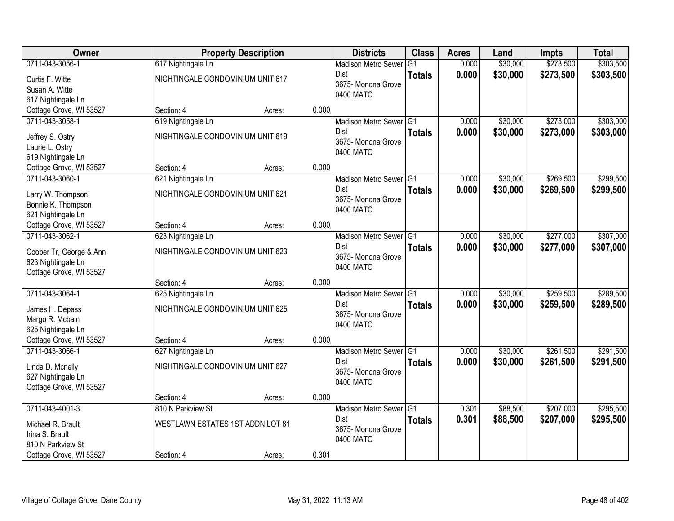| Owner                   |                                  | <b>Property Description</b> |       | <b>Districts</b>           | <b>Class</b>    | <b>Acres</b> | Land     | <b>Impts</b> | <b>Total</b> |
|-------------------------|----------------------------------|-----------------------------|-------|----------------------------|-----------------|--------------|----------|--------------|--------------|
| 0711-043-3056-1         | 617 Nightingale Ln               |                             |       | <b>Madison Metro Sewer</b> | $\overline{G1}$ | 0.000        | \$30,000 | \$273,500    | \$303,500    |
| Curtis F. Witte         | NIGHTINGALE CONDOMINIUM UNIT 617 |                             |       | Dist                       | <b>Totals</b>   | 0.000        | \$30,000 | \$273,500    | \$303,500    |
| Susan A. Witte          |                                  |                             |       | 3675- Monona Grove         |                 |              |          |              |              |
| 617 Nightingale Ln      |                                  |                             |       | 0400 MATC                  |                 |              |          |              |              |
| Cottage Grove, WI 53527 | Section: 4                       | Acres:                      | 0.000 |                            |                 |              |          |              |              |
| 0711-043-3058-1         | 619 Nightingale Ln               |                             |       | Madison Metro Sewer G1     |                 | 0.000        | \$30,000 | \$273,000    | \$303,000    |
| Jeffrey S. Ostry        | NIGHTINGALE CONDOMINIUM UNIT 619 |                             |       | <b>Dist</b>                | <b>Totals</b>   | 0.000        | \$30,000 | \$273,000    | \$303,000    |
| Laurie L. Ostry         |                                  |                             |       | 3675- Monona Grove         |                 |              |          |              |              |
| 619 Nightingale Ln      |                                  |                             |       | 0400 MATC                  |                 |              |          |              |              |
| Cottage Grove, WI 53527 | Section: 4                       | Acres:                      | 0.000 |                            |                 |              |          |              |              |
| 0711-043-3060-1         | 621 Nightingale Ln               |                             |       | Madison Metro Sewer G1     |                 | 0.000        | \$30,000 | \$269,500    | \$299,500    |
| Larry W. Thompson       | NIGHTINGALE CONDOMINIUM UNIT 621 |                             |       | Dist                       | <b>Totals</b>   | 0.000        | \$30,000 | \$269,500    | \$299,500    |
| Bonnie K. Thompson      |                                  |                             |       | 3675- Monona Grove         |                 |              |          |              |              |
| 621 Nightingale Ln      |                                  |                             |       | 0400 MATC                  |                 |              |          |              |              |
| Cottage Grove, WI 53527 | Section: 4                       | Acres:                      | 0.000 |                            |                 |              |          |              |              |
| 0711-043-3062-1         | 623 Nightingale Ln               |                             |       | Madison Metro Sewer G1     |                 | 0.000        | \$30,000 | \$277,000    | \$307,000    |
| Cooper Tr, George & Ann | NIGHTINGALE CONDOMINIUM UNIT 623 |                             |       | Dist                       | <b>Totals</b>   | 0.000        | \$30,000 | \$277,000    | \$307,000    |
| 623 Nightingale Ln      |                                  |                             |       | 3675- Monona Grove         |                 |              |          |              |              |
| Cottage Grove, WI 53527 |                                  |                             |       | 0400 MATC                  |                 |              |          |              |              |
|                         | Section: 4                       | Acres:                      | 0.000 |                            |                 |              |          |              |              |
| 0711-043-3064-1         | 625 Nightingale Ln               |                             |       | Madison Metro Sewer G1     |                 | 0.000        | \$30,000 | \$259,500    | \$289,500    |
| James H. Depass         | NIGHTINGALE CONDOMINIUM UNIT 625 |                             |       | <b>Dist</b>                | <b>Totals</b>   | 0.000        | \$30,000 | \$259,500    | \$289,500    |
| Margo R. Mcbain         |                                  |                             |       | 3675- Monona Grove         |                 |              |          |              |              |
| 625 Nightingale Ln      |                                  |                             |       | 0400 MATC                  |                 |              |          |              |              |
| Cottage Grove, WI 53527 | Section: 4                       | Acres:                      | 0.000 |                            |                 |              |          |              |              |
| 0711-043-3066-1         | 627 Nightingale Ln               |                             |       | Madison Metro Sewer G1     |                 | 0.000        | \$30,000 | \$261,500    | \$291,500    |
| Linda D. Mcnelly        | NIGHTINGALE CONDOMINIUM UNIT 627 |                             |       | Dist                       | <b>Totals</b>   | 0.000        | \$30,000 | \$261,500    | \$291,500    |
| 627 Nightingale Ln      |                                  |                             |       | 3675- Monona Grove         |                 |              |          |              |              |
| Cottage Grove, WI 53527 |                                  |                             |       | 0400 MATC                  |                 |              |          |              |              |
|                         | Section: 4                       | Acres:                      | 0.000 |                            |                 |              |          |              |              |
| 0711-043-4001-3         | 810 N Parkview St                |                             |       | Madison Metro Sewer G1     |                 | 0.301        | \$88,500 | \$207,000    | \$295,500    |
| Michael R. Brault       | WESTLAWN ESTATES 1ST ADDN LOT 81 |                             |       | <b>Dist</b>                | <b>Totals</b>   | 0.301        | \$88,500 | \$207,000    | \$295,500    |
| Irina S. Brault         |                                  |                             |       | 3675- Monona Grove         |                 |              |          |              |              |
| 810 N Parkview St       |                                  |                             |       | 0400 MATC                  |                 |              |          |              |              |
| Cottage Grove, WI 53527 | Section: 4                       | Acres:                      | 0.301 |                            |                 |              |          |              |              |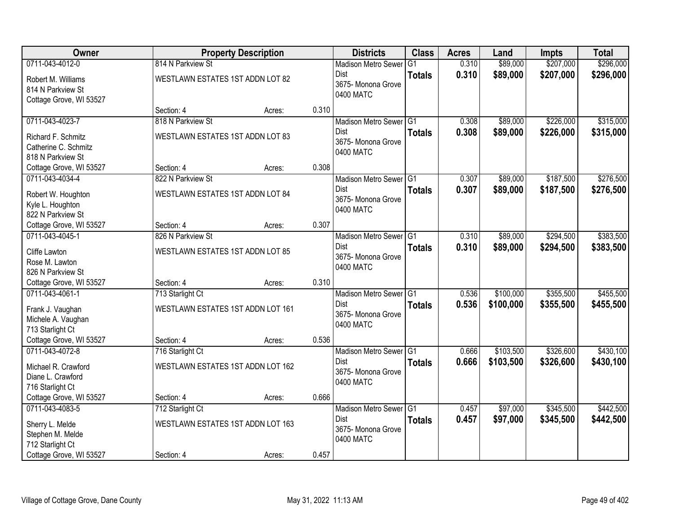| Owner                                                              |                                   | <b>Property Description</b> |       | <b>Districts</b>                               | <b>Class</b>  | <b>Acres</b> | Land      | <b>Impts</b> | <b>Total</b> |
|--------------------------------------------------------------------|-----------------------------------|-----------------------------|-------|------------------------------------------------|---------------|--------------|-----------|--------------|--------------|
| 0711-043-4012-0                                                    | 814 N Parkview St                 |                             |       | <b>Madison Metro Sewer</b>                     | G1            | 0.310        | \$89,000  | \$207,000    | \$296,000    |
| Robert M. Williams<br>814 N Parkview St<br>Cottage Grove, WI 53527 | WESTLAWN ESTATES 1ST ADDN LOT 82  |                             |       | Dist<br>3675- Monona Grove<br>0400 MATC        | <b>Totals</b> | 0.310        | \$89,000  | \$207,000    | \$296,000    |
|                                                                    | Section: 4                        | Acres:                      | 0.310 |                                                |               |              |           |              |              |
| 0711-043-4023-7                                                    | 818 N Parkview St                 |                             |       | Madison Metro Sewer G1                         |               | 0.308        | \$89,000  | \$226,000    | \$315,000    |
| Richard F. Schmitz<br>Catherine C. Schmitz<br>818 N Parkview St    | WESTLAWN ESTATES 1ST ADDN LOT 83  |                             |       | <b>Dist</b><br>3675- Monona Grove<br>0400 MATC | <b>Totals</b> | 0.308        | \$89,000  | \$226,000    | \$315,000    |
| Cottage Grove, WI 53527                                            | Section: 4                        | Acres:                      | 0.308 |                                                |               |              |           |              |              |
| 0711-043-4034-4                                                    | 822 N Parkview St                 |                             |       | Madison Metro Sewer G1                         |               | 0.307        | \$89,000  | \$187,500    | \$276,500    |
| Robert W. Houghton<br>Kyle L. Houghton<br>822 N Parkview St        | WESTLAWN ESTATES 1ST ADDN LOT 84  |                             |       | Dist<br>3675- Monona Grove<br>0400 MATC        | <b>Totals</b> | 0.307        | \$89,000  | \$187,500    | \$276,500    |
| Cottage Grove, WI 53527                                            | Section: 4                        | Acres:                      | 0.307 |                                                |               |              |           |              |              |
| 0711-043-4045-1                                                    | 826 N Parkview St                 |                             |       | Madison Metro Sewer G1                         |               | 0.310        | \$89,000  | \$294,500    | \$383,500    |
| Cliffe Lawton<br>Rose M. Lawton<br>826 N Parkview St               | WESTLAWN ESTATES 1ST ADDN LOT 85  |                             |       | Dist<br>3675- Monona Grove<br>0400 MATC        | <b>Totals</b> | 0.310        | \$89,000  | \$294,500    | \$383,500    |
| Cottage Grove, WI 53527                                            | Section: 4                        | Acres:                      | 0.310 |                                                |               |              |           |              |              |
| 0711-043-4061-1                                                    | 713 Starlight Ct                  |                             |       | Madison Metro Sewer G1                         |               | 0.536        | \$100,000 | \$355,500    | \$455,500    |
| Frank J. Vaughan<br>Michele A. Vaughan<br>713 Starlight Ct         | WESTLAWN ESTATES 1ST ADDN LOT 161 |                             |       | <b>Dist</b><br>3675- Monona Grove<br>0400 MATC | <b>Totals</b> | 0.536        | \$100,000 | \$355,500    | \$455,500    |
| Cottage Grove, WI 53527                                            | Section: 4                        | Acres:                      | 0.536 |                                                |               |              |           |              |              |
| 0711-043-4072-8                                                    | 716 Starlight Ct                  |                             |       | Madison Metro Sewer G1                         |               | 0.666        | \$103,500 | \$326,600    | \$430,100    |
| Michael R. Crawford<br>Diane L. Crawford<br>716 Starlight Ct       | WESTLAWN ESTATES 1ST ADDN LOT 162 |                             |       | Dist<br>3675- Monona Grove<br>0400 MATC        | <b>Totals</b> | 0.666        | \$103,500 | \$326,600    | \$430,100    |
| Cottage Grove, WI 53527                                            | Section: 4                        | Acres:                      | 0.666 |                                                |               |              |           |              |              |
| 0711-043-4083-5                                                    | 712 Starlight Ct                  |                             |       | Madison Metro Sewer G1                         |               | 0.457        | \$97,000  | \$345,500    | \$442,500    |
| Sherry L. Melde<br>Stephen M. Melde<br>712 Starlight Ct            | WESTLAWN ESTATES 1ST ADDN LOT 163 |                             |       | <b>Dist</b><br>3675- Monona Grove<br>0400 MATC | <b>Totals</b> | 0.457        | \$97,000  | \$345,500    | \$442,500    |
| Cottage Grove, WI 53527                                            | Section: 4                        | Acres:                      | 0.457 |                                                |               |              |           |              |              |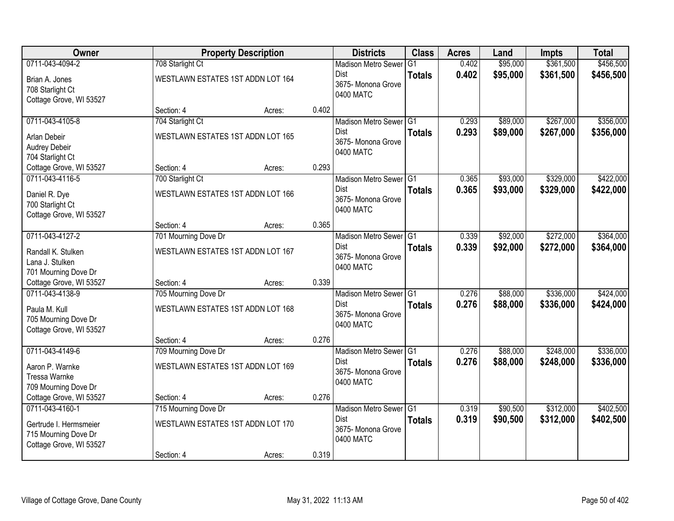| Owner                                                                     |                                   | <b>Property Description</b> |       | <b>Districts</b>                               | <b>Class</b>  | <b>Acres</b> | Land     | <b>Impts</b> | <b>Total</b> |
|---------------------------------------------------------------------------|-----------------------------------|-----------------------------|-------|------------------------------------------------|---------------|--------------|----------|--------------|--------------|
| 0711-043-4094-2                                                           | 708 Starlight Ct                  |                             |       | <b>Madison Metro Sewer</b>                     | G1            | 0.402        | \$95,000 | \$361,500    | \$456,500    |
| Brian A. Jones<br>708 Starlight Ct<br>Cottage Grove, WI 53527             | WESTLAWN ESTATES 1ST ADDN LOT 164 |                             |       | <b>Dist</b><br>3675- Monona Grove<br>0400 MATC | <b>Totals</b> | 0.402        | \$95,000 | \$361,500    | \$456,500    |
|                                                                           | Section: 4                        | Acres:                      | 0.402 |                                                |               |              |          |              |              |
| 0711-043-4105-8                                                           | 704 Starlight Ct                  |                             |       | Madison Metro Sewer G1                         |               | 0.293        | \$89,000 | \$267,000    | \$356,000    |
| Arlan Debeir<br>Audrey Debeir<br>704 Starlight Ct                         | WESTLAWN ESTATES 1ST ADDN LOT 165 |                             |       | <b>Dist</b><br>3675- Monona Grove<br>0400 MATC | <b>Totals</b> | 0.293        | \$89,000 | \$267,000    | \$356,000    |
| Cottage Grove, WI 53527                                                   | Section: 4                        | Acres:                      | 0.293 |                                                |               |              |          |              |              |
| 0711-043-4116-5                                                           | 700 Starlight Ct                  |                             |       | Madison Metro Sewer G1                         |               | 0.365        | \$93,000 | \$329,000    | \$422,000    |
| Daniel R. Dye<br>700 Starlight Ct<br>Cottage Grove, WI 53527              | WESTLAWN ESTATES 1ST ADDN LOT 166 |                             |       | Dist<br>3675- Monona Grove<br>0400 MATC        | <b>Totals</b> | 0.365        | \$93,000 | \$329,000    | \$422,000    |
|                                                                           | Section: 4                        | Acres:                      | 0.365 |                                                |               |              |          |              |              |
| 0711-043-4127-2                                                           | 701 Mourning Dove Dr              |                             |       | Madison Metro Sewer G1                         |               | 0.339        | \$92,000 | \$272,000    | \$364,000    |
| Randall K. Stulken<br>Lana J. Stulken<br>701 Mourning Dove Dr             | WESTLAWN ESTATES 1ST ADDN LOT 167 |                             |       | <b>Dist</b><br>3675- Monona Grove<br>0400 MATC | <b>Totals</b> | 0.339        | \$92,000 | \$272,000    | \$364,000    |
| Cottage Grove, WI 53527                                                   | Section: 4                        | Acres:                      | 0.339 |                                                |               |              |          |              |              |
| 0711-043-4138-9                                                           | 705 Mourning Dove Dr              |                             |       | Madison Metro Sewer <sup>G1</sup>              |               | 0.276        | \$88,000 | \$336,000    | \$424,000    |
| Paula M. Kull<br>705 Mourning Dove Dr<br>Cottage Grove, WI 53527          | WESTLAWN ESTATES 1ST ADDN LOT 168 |                             |       | Dist<br>3675- Monona Grove<br>0400 MATC        | <b>Totals</b> | 0.276        | \$88,000 | \$336,000    | \$424,000    |
|                                                                           | Section: 4                        | Acres:                      | 0.276 |                                                |               |              |          |              |              |
| 0711-043-4149-6                                                           | 709 Mourning Dove Dr              |                             |       | Madison Metro Sewer G1                         |               | 0.276        | \$88,000 | \$248,000    | \$336,000    |
| Aaron P. Warnke<br>Tressa Warnke<br>709 Mourning Dove Dr                  | WESTLAWN ESTATES 1ST ADDN LOT 169 |                             |       | Dist<br>3675- Monona Grove<br>0400 MATC        | <b>Totals</b> | 0.276        | \$88,000 | \$248,000    | \$336,000    |
| Cottage Grove, WI 53527                                                   | Section: 4                        | Acres:                      | 0.276 |                                                |               |              |          |              |              |
| 0711-043-4160-1                                                           | 715 Mourning Dove Dr              |                             |       | Madison Metro Sewer G1                         |               | 0.319        | \$90,500 | \$312,000    | \$402,500    |
| Gertrude I. Hermsmeier<br>715 Mourning Dove Dr<br>Cottage Grove, WI 53527 | WESTLAWN ESTATES 1ST ADDN LOT 170 |                             |       | <b>Dist</b><br>3675- Monona Grove<br>0400 MATC | <b>Totals</b> | 0.319        | \$90,500 | \$312,000    | \$402,500    |
|                                                                           | Section: 4                        | Acres:                      | 0.319 |                                                |               |              |          |              |              |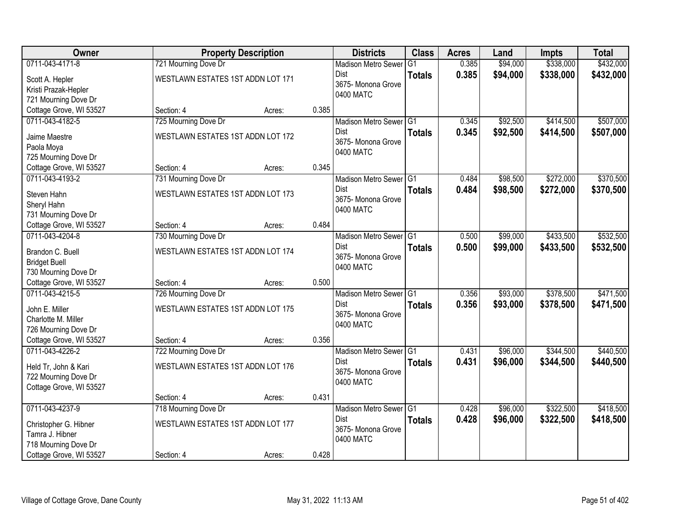| <b>Owner</b>                               |                                   | <b>Property Description</b> |       | <b>Districts</b>                  | <b>Class</b>   | <b>Acres</b> | Land     | <b>Impts</b> | <b>Total</b> |
|--------------------------------------------|-----------------------------------|-----------------------------|-------|-----------------------------------|----------------|--------------|----------|--------------|--------------|
| 0711-043-4171-8                            | 721 Mourning Dove Dr              |                             |       | <b>Madison Metro Sewer</b>        | G <sub>1</sub> | 0.385        | \$94,000 | \$338,000    | \$432,000    |
| Scott A. Hepler                            | WESTLAWN ESTATES 1ST ADDN LOT 171 |                             |       | Dist                              | <b>Totals</b>  | 0.385        | \$94,000 | \$338,000    | \$432,000    |
| Kristi Prazak-Hepler                       |                                   |                             |       | 3675- Monona Grove                |                |              |          |              |              |
| 721 Mourning Dove Dr                       |                                   |                             |       | 0400 MATC                         |                |              |          |              |              |
| Cottage Grove, WI 53527                    | Section: 4                        | Acres:                      | 0.385 |                                   |                |              |          |              |              |
| 0711-043-4182-5                            | 725 Mourning Dove Dr              |                             |       | Madison Metro Sewer G1            |                | 0.345        | \$92,500 | \$414,500    | \$507,000    |
| Jaime Maestre                              | WESTLAWN ESTATES 1ST ADDN LOT 172 |                             |       | <b>Dist</b>                       | <b>Totals</b>  | 0.345        | \$92,500 | \$414,500    | \$507,000    |
| Paola Moya                                 |                                   |                             |       | 3675- Monona Grove                |                |              |          |              |              |
| 725 Mourning Dove Dr                       |                                   |                             |       | 0400 MATC                         |                |              |          |              |              |
| Cottage Grove, WI 53527                    | Section: 4                        | Acres:                      | 0.345 |                                   |                |              |          |              |              |
| 0711-043-4193-2                            | 731 Mourning Dove Dr              |                             |       | Madison Metro Sewer G1            |                | 0.484        | \$98,500 | \$272,000    | \$370,500    |
|                                            |                                   |                             |       | Dist                              | <b>Totals</b>  | 0.484        | \$98,500 | \$272,000    | \$370,500    |
| Steven Hahn                                | WESTLAWN ESTATES 1ST ADDN LOT 173 |                             |       | 3675-Monona Grove                 |                |              |          |              |              |
| Sheryl Hahn                                |                                   |                             |       | 0400 MATC                         |                |              |          |              |              |
| 731 Mourning Dove Dr                       |                                   |                             | 0.484 |                                   |                |              |          |              |              |
| Cottage Grove, WI 53527<br>0711-043-4204-8 | Section: 4                        | Acres:                      |       |                                   |                |              | \$99,000 | \$433,500    | \$532,500    |
|                                            | 730 Mourning Dove Dr              |                             |       | Madison Metro Sewer G1<br>Dist    |                | 0.500        |          |              |              |
| Brandon C. Buell                           | WESTLAWN ESTATES 1ST ADDN LOT 174 |                             |       | 3675- Monona Grove                | <b>Totals</b>  | 0.500        | \$99,000 | \$433,500    | \$532,500    |
| <b>Bridget Buell</b>                       |                                   |                             |       | 0400 MATC                         |                |              |          |              |              |
| 730 Mourning Dove Dr                       |                                   |                             |       |                                   |                |              |          |              |              |
| Cottage Grove, WI 53527                    | Section: 4                        | Acres:                      | 0.500 |                                   |                |              |          |              |              |
| 0711-043-4215-5                            | 726 Mourning Dove Dr              |                             |       | Madison Metro Sewer <sup>G1</sup> |                | 0.356        | \$93,000 | \$378,500    | \$471,500    |
| John E. Miller                             | WESTLAWN ESTATES 1ST ADDN LOT 175 |                             |       | <b>Dist</b>                       | <b>Totals</b>  | 0.356        | \$93,000 | \$378,500    | \$471,500    |
| Charlotte M. Miller                        |                                   |                             |       | 3675- Monona Grove                |                |              |          |              |              |
| 726 Mourning Dove Dr                       |                                   |                             |       | 0400 MATC                         |                |              |          |              |              |
| Cottage Grove, WI 53527                    | Section: 4                        | Acres:                      | 0.356 |                                   |                |              |          |              |              |
| 0711-043-4226-2                            | 722 Mourning Dove Dr              |                             |       | Madison Metro Sewer G1            |                | 0.431        | \$96,000 | \$344,500    | \$440,500    |
| Held Tr, John & Kari                       | WESTLAWN ESTATES 1ST ADDN LOT 176 |                             |       | Dist                              | <b>Totals</b>  | 0.431        | \$96,000 | \$344,500    | \$440,500    |
| 722 Mourning Dove Dr                       |                                   |                             |       | 3675- Monona Grove                |                |              |          |              |              |
| Cottage Grove, WI 53527                    |                                   |                             |       | 0400 MATC                         |                |              |          |              |              |
|                                            | Section: 4                        | Acres:                      | 0.431 |                                   |                |              |          |              |              |
| 0711-043-4237-9                            | 718 Mourning Dove Dr              |                             |       | Madison Metro Sewer G1            |                | 0.428        | \$96,000 | \$322,500    | \$418,500    |
|                                            |                                   |                             |       | <b>Dist</b>                       | <b>Totals</b>  | 0.428        | \$96,000 | \$322,500    | \$418,500    |
| Christopher G. Hibner<br>Tamra J. Hibner   | WESTLAWN ESTATES 1ST ADDN LOT 177 |                             |       | 3675- Monona Grove                |                |              |          |              |              |
| 718 Mourning Dove Dr                       |                                   |                             |       | 0400 MATC                         |                |              |          |              |              |
| Cottage Grove, WI 53527                    | Section: 4                        |                             | 0.428 |                                   |                |              |          |              |              |
|                                            |                                   | Acres:                      |       |                                   |                |              |          |              |              |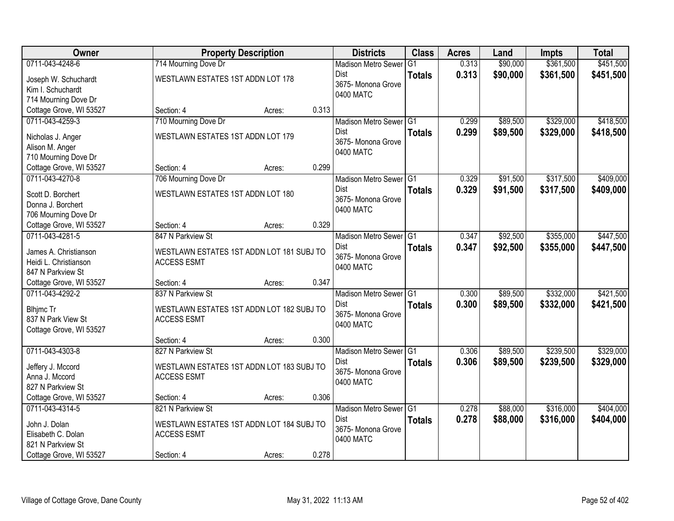| <b>Owner</b>                               |                                           | <b>Property Description</b> |       | <b>Districts</b>                | <b>Class</b>  | <b>Acres</b> | Land     | <b>Impts</b> | <b>Total</b> |
|--------------------------------------------|-------------------------------------------|-----------------------------|-------|---------------------------------|---------------|--------------|----------|--------------|--------------|
| 0711-043-4248-6                            | 714 Mourning Dove Dr                      |                             |       | <b>Madison Metro Sewer</b>      | G1            | 0.313        | \$90,000 | \$361,500    | \$451,500    |
| Joseph W. Schuchardt                       | WESTLAWN ESTATES 1ST ADDN LOT 178         |                             |       | Dist                            | <b>Totals</b> | 0.313        | \$90,000 | \$361,500    | \$451,500    |
| Kim I. Schuchardt                          |                                           |                             |       | 3675-Monona Grove               |               |              |          |              |              |
| 714 Mourning Dove Dr                       |                                           |                             |       | 0400 MATC                       |               |              |          |              |              |
| Cottage Grove, WI 53527                    | Section: 4                                | Acres:                      | 0.313 |                                 |               |              |          |              |              |
| 0711-043-4259-3                            | 710 Mourning Dove Dr                      |                             |       | Madison Metro Sewer G1          |               | 0.299        | \$89,500 | \$329,000    | \$418,500    |
|                                            |                                           |                             |       | Dist                            | <b>Totals</b> | 0.299        | \$89,500 | \$329,000    | \$418,500    |
| Nicholas J. Anger                          | WESTLAWN ESTATES 1ST ADDN LOT 179         |                             |       | 3675- Monona Grove              |               |              |          |              |              |
| Alison M. Anger                            |                                           |                             |       | 0400 MATC                       |               |              |          |              |              |
| 710 Mourning Dove Dr                       |                                           |                             | 0.299 |                                 |               |              |          |              |              |
| Cottage Grove, WI 53527<br>0711-043-4270-8 | Section: 4                                | Acres:                      |       |                                 |               |              |          |              | \$409,000    |
|                                            | 706 Mourning Dove Dr                      |                             |       | Madison Metro Sewer G1          |               | 0.329        | \$91,500 | \$317,500    |              |
| Scott D. Borchert                          | WESTLAWN ESTATES 1ST ADDN LOT 180         |                             |       | <b>Dist</b>                     | <b>Totals</b> | 0.329        | \$91,500 | \$317,500    | \$409,000    |
| Donna J. Borchert                          |                                           |                             |       | 3675- Monona Grove<br>0400 MATC |               |              |          |              |              |
| 706 Mourning Dove Dr                       |                                           |                             |       |                                 |               |              |          |              |              |
| Cottage Grove, WI 53527                    | Section: 4                                | Acres:                      | 0.329 |                                 |               |              |          |              |              |
| 0711-043-4281-5                            | 847 N Parkview St                         |                             |       | Madison Metro Sewer G1          |               | 0.347        | \$92,500 | \$355,000    | \$447,500    |
| James A. Christianson                      | WESTLAWN ESTATES 1ST ADDN LOT 181 SUBJ TO |                             |       | <b>Dist</b>                     | <b>Totals</b> | 0.347        | \$92,500 | \$355,000    | \$447,500    |
| Heidi L. Christianson                      | <b>ACCESS ESMT</b>                        |                             |       | 3675- Monona Grove              |               |              |          |              |              |
| 847 N Parkview St                          |                                           |                             |       | 0400 MATC                       |               |              |          |              |              |
| Cottage Grove, WI 53527                    | Section: 4                                | Acres:                      | 0.347 |                                 |               |              |          |              |              |
| 0711-043-4292-2                            | 837 N Parkview St                         |                             |       | Madison Metro Sewer G1          |               | 0.300        | \$89,500 | \$332,000    | \$421,500    |
|                                            |                                           |                             |       | Dist                            | <b>Totals</b> | 0.300        | \$89,500 | \$332,000    | \$421,500    |
| <b>Blhjmc Tr</b>                           | WESTLAWN ESTATES 1ST ADDN LOT 182 SUBJ TO |                             |       | 3675- Monona Grove              |               |              |          |              |              |
| 837 N Park View St                         | <b>ACCESS ESMT</b>                        |                             |       | 0400 MATC                       |               |              |          |              |              |
| Cottage Grove, WI 53527                    |                                           |                             |       |                                 |               |              |          |              |              |
|                                            | Section: 4                                | Acres:                      | 0.300 |                                 |               |              |          |              |              |
| 0711-043-4303-8                            | 827 N Parkview St                         |                             |       | Madison Metro Sewer G1          |               | 0.306        | \$89,500 | \$239,500    | \$329,000    |
| Jeffery J. Mccord                          | WESTLAWN ESTATES 1ST ADDN LOT 183 SUBJ TO |                             |       | <b>Dist</b>                     | <b>Totals</b> | 0.306        | \$89,500 | \$239,500    | \$329,000    |
| Anna J. Mccord                             | <b>ACCESS ESMT</b>                        |                             |       | 3675- Monona Grove              |               |              |          |              |              |
| 827 N Parkview St                          |                                           |                             |       | 0400 MATC                       |               |              |          |              |              |
| Cottage Grove, WI 53527                    | Section: 4                                | Acres:                      | 0.306 |                                 |               |              |          |              |              |
| 0711-043-4314-5                            | 821 N Parkview St                         |                             |       | Madison Metro Sewer G1          |               | 0.278        | \$88,000 | \$316,000    | \$404,000    |
|                                            |                                           |                             |       | Dist                            | <b>Totals</b> | 0.278        | \$88,000 | \$316,000    | \$404,000    |
| John J. Dolan                              | WESTLAWN ESTATES 1ST ADDN LOT 184 SUBJ TO |                             |       | 3675- Monona Grove              |               |              |          |              |              |
| Elisabeth C. Dolan                         | <b>ACCESS ESMT</b>                        |                             |       | 0400 MATC                       |               |              |          |              |              |
| 821 N Parkview St                          |                                           |                             |       |                                 |               |              |          |              |              |
| Cottage Grove, WI 53527                    | Section: 4                                | Acres:                      | 0.278 |                                 |               |              |          |              |              |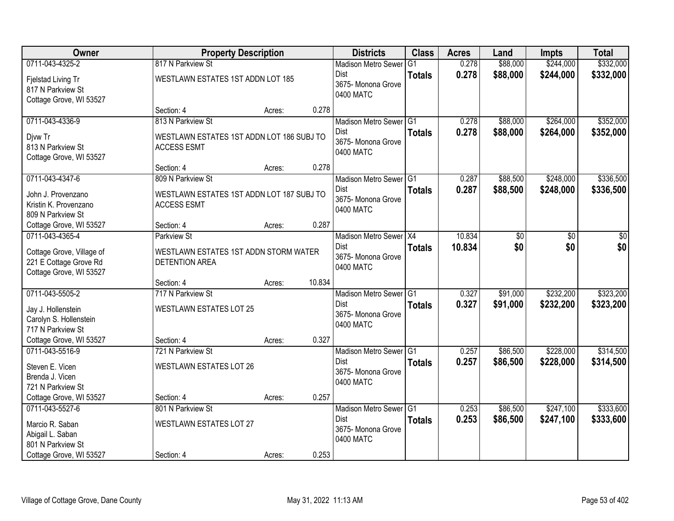| Owner                     | <b>Property Description</b>               |        |        | <b>Districts</b>                | <b>Class</b>  | <b>Acres</b> | Land     | <b>Impts</b> | <b>Total</b> |
|---------------------------|-------------------------------------------|--------|--------|---------------------------------|---------------|--------------|----------|--------------|--------------|
| 0711-043-4325-2           | 817 N Parkview St                         |        |        | <b>Madison Metro Sewer</b>      | G1            | 0.278        | \$88,000 | \$244,000    | \$332,000    |
| Fjelstad Living Tr        | WESTLAWN ESTATES 1ST ADDN LOT 185         |        |        | Dist                            | <b>Totals</b> | 0.278        | \$88,000 | \$244,000    | \$332,000    |
| 817 N Parkview St         |                                           |        |        | 3675- Monona Grove              |               |              |          |              |              |
| Cottage Grove, WI 53527   |                                           |        |        | 0400 MATC                       |               |              |          |              |              |
|                           | Section: 4                                | Acres: | 0.278  |                                 |               |              |          |              |              |
| 0711-043-4336-9           | 813 N Parkview St                         |        |        | Madison Metro Sewer G1          |               | 0.278        | \$88,000 | \$264,000    | \$352,000    |
| Djvw Tr                   | WESTLAWN ESTATES 1ST ADDN LOT 186 SUBJ TO |        |        | Dist                            | <b>Totals</b> | 0.278        | \$88,000 | \$264,000    | \$352,000    |
| 813 N Parkview St         | <b>ACCESS ESMT</b>                        |        |        | 3675- Monona Grove<br>0400 MATC |               |              |          |              |              |
| Cottage Grove, WI 53527   |                                           |        |        |                                 |               |              |          |              |              |
|                           | Section: 4                                | Acres: | 0.278  |                                 |               |              |          |              |              |
| 0711-043-4347-6           | 809 N Parkview St                         |        |        | Madison Metro Sewer G1          |               | 0.287        | \$88,500 | \$248,000    | \$336,500    |
| John J. Provenzano        | WESTLAWN ESTATES 1ST ADDN LOT 187 SUBJ TO |        |        | Dist                            | <b>Totals</b> | 0.287        | \$88,500 | \$248,000    | \$336,500    |
| Kristin K. Provenzano     | <b>ACCESS ESMT</b>                        |        |        | 3675- Monona Grove<br>0400 MATC |               |              |          |              |              |
| 809 N Parkview St         |                                           |        |        |                                 |               |              |          |              |              |
| Cottage Grove, WI 53527   | Section: 4                                | Acres: | 0.287  |                                 |               |              |          |              |              |
| 0711-043-4365-4           | <b>Parkview St</b>                        |        |        | Madison Metro Sewer X4          |               | 10.834       | \$0      | \$0          | \$0          |
| Cottage Grove, Village of | WESTLAWN ESTATES 1ST ADDN STORM WATER     |        |        | Dist                            | <b>Totals</b> | 10.834       | \$0      | \$0          | \$0          |
| 221 E Cottage Grove Rd    | <b>DETENTION AREA</b>                     |        |        | 3675- Monona Grove<br>0400 MATC |               |              |          |              |              |
| Cottage Grove, WI 53527   |                                           |        |        |                                 |               |              |          |              |              |
|                           | Section: 4                                | Acres: | 10.834 |                                 |               |              |          |              |              |
| 0711-043-5505-2           | 717 N Parkview St                         |        |        | Madison Metro Sewer G1          |               | 0.327        | \$91,000 | \$232,200    | \$323,200    |
| Jay J. Hollenstein        | <b>WESTLAWN ESTATES LOT 25</b>            |        |        | <b>Dist</b>                     | <b>Totals</b> | 0.327        | \$91,000 | \$232,200    | \$323,200    |
| Carolyn S. Hollenstein    |                                           |        |        | 3675- Monona Grove<br>0400 MATC |               |              |          |              |              |
| 717 N Parkview St         |                                           |        |        |                                 |               |              |          |              |              |
| Cottage Grove, WI 53527   | Section: 4                                | Acres: | 0.327  |                                 |               |              |          |              |              |
| 0711-043-5516-9           | 721 N Parkview St                         |        |        | Madison Metro Sewer G1          |               | 0.257        | \$86,500 | \$228,000    | \$314,500    |
| Steven E. Vicen           | WESTLAWN ESTATES LOT 26                   |        |        | Dist<br>3675- Monona Grove      | <b>Totals</b> | 0.257        | \$86,500 | \$228,000    | \$314,500    |
| Brenda J. Vicen           |                                           |        |        | 0400 MATC                       |               |              |          |              |              |
| 721 N Parkview St         |                                           |        |        |                                 |               |              |          |              |              |
| Cottage Grove, WI 53527   | Section: 4                                | Acres: | 0.257  |                                 |               |              |          |              |              |
| 0711-043-5527-6           | 801 N Parkview St                         |        |        | Madison Metro Sewer G1          |               | 0.253        | \$86,500 | \$247,100    | \$333,600    |
| Marcio R. Saban           | <b>WESTLAWN ESTATES LOT 27</b>            |        |        | Dist<br>3675- Monona Grove      | <b>Totals</b> | 0.253        | \$86,500 | \$247,100    | \$333,600    |
| Abigail L. Saban          |                                           |        |        | 0400 MATC                       |               |              |          |              |              |
| 801 N Parkview St         |                                           |        |        |                                 |               |              |          |              |              |
| Cottage Grove, WI 53527   | Section: 4                                | Acres: | 0.253  |                                 |               |              |          |              |              |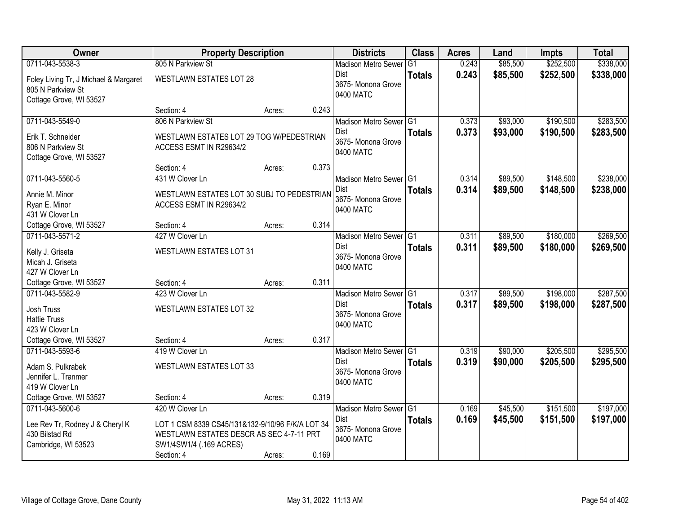| <b>Owner</b>                               | <b>Property Description</b>                      |        |       | <b>Districts</b>           | <b>Class</b>  | <b>Acres</b> | Land     | <b>Impts</b> | <b>Total</b> |
|--------------------------------------------|--------------------------------------------------|--------|-------|----------------------------|---------------|--------------|----------|--------------|--------------|
| 0711-043-5538-3                            | 805 N Parkview St                                |        |       | <b>Madison Metro Sewer</b> | G1            | 0.243        | \$85,500 | \$252,500    | \$338,000    |
| Foley Living Tr, J Michael & Margaret      | <b>WESTLAWN ESTATES LOT 28</b>                   |        |       | Dist                       | <b>Totals</b> | 0.243        | \$85,500 | \$252,500    | \$338,000    |
| 805 N Parkview St                          |                                                  |        |       | 3675-Monona Grove          |               |              |          |              |              |
| Cottage Grove, WI 53527                    |                                                  |        |       | 0400 MATC                  |               |              |          |              |              |
|                                            | Section: 4                                       | Acres: | 0.243 |                            |               |              |          |              |              |
| 0711-043-5549-0                            | 806 N Parkview St                                |        |       | Madison Metro Sewer G1     |               | 0.373        | \$93,000 | \$190,500    | \$283,500    |
| Erik T. Schneider                          | WESTLAWN ESTATES LOT 29 TOG W/PEDESTRIAN         |        |       | Dist                       | <b>Totals</b> | 0.373        | \$93,000 | \$190,500    | \$283,500    |
| 806 N Parkview St                          | ACCESS ESMT IN R29634/2                          |        |       | 3675- Monona Grove         |               |              |          |              |              |
| Cottage Grove, WI 53527                    |                                                  |        |       | 0400 MATC                  |               |              |          |              |              |
|                                            | Section: 4                                       | Acres: | 0.373 |                            |               |              |          |              |              |
| 0711-043-5560-5                            | 431 W Clover Ln                                  |        |       | Madison Metro Sewer G1     |               | 0.314        | \$89,500 | \$148,500    | \$238,000    |
| Annie M. Minor                             | WESTLAWN ESTATES LOT 30 SUBJ TO PEDESTRIAN       |        |       | Dist                       | <b>Totals</b> | 0.314        | \$89,500 | \$148,500    | \$238,000    |
| Ryan E. Minor                              | ACCESS ESMT IN R29634/2                          |        |       | 3675- Monona Grove         |               |              |          |              |              |
| 431 W Clover Ln                            |                                                  |        |       | 0400 MATC                  |               |              |          |              |              |
| Cottage Grove, WI 53527                    | Section: 4                                       | Acres: | 0.314 |                            |               |              |          |              |              |
| 0711-043-5571-2                            | 427 W Clover Ln                                  |        |       | Madison Metro Sewer G1     |               | 0.311        | \$89,500 | \$180,000    | \$269,500    |
| Kelly J. Griseta                           | <b>WESTLAWN ESTATES LOT 31</b>                   |        |       | <b>Dist</b>                | <b>Totals</b> | 0.311        | \$89,500 | \$180,000    | \$269,500    |
| Micah J. Griseta                           |                                                  |        |       | 3675- Monona Grove         |               |              |          |              |              |
| 427 W Clover Ln                            |                                                  |        |       | 0400 MATC                  |               |              |          |              |              |
| Cottage Grove, WI 53527                    | Section: 4                                       | Acres: | 0.311 |                            |               |              |          |              |              |
| 0711-043-5582-9                            | 423 W Clover Ln                                  |        |       | Madison Metro Sewer G1     |               | 0.317        | \$89,500 | \$198,000    | \$287,500    |
|                                            |                                                  |        |       | <b>Dist</b>                | <b>Totals</b> | 0.317        | \$89,500 | \$198,000    | \$287,500    |
| Josh Truss<br><b>Hattie Truss</b>          | WESTLAWN ESTATES LOT 32                          |        |       | 3675- Monona Grove         |               |              |          |              |              |
| 423 W Clover Ln                            |                                                  |        |       | 0400 MATC                  |               |              |          |              |              |
| Cottage Grove, WI 53527                    | Section: 4                                       | Acres: | 0.317 |                            |               |              |          |              |              |
| 0711-043-5593-6                            | 419 W Clover Ln                                  |        |       | Madison Metro Sewer G1     |               | 0.319        | \$90,000 | \$205,500    | \$295,500    |
|                                            |                                                  |        |       | <b>Dist</b>                | <b>Totals</b> | 0.319        | \$90,000 | \$205,500    | \$295,500    |
| Adam S. Pulkrabek                          | <b>WESTLAWN ESTATES LOT 33</b>                   |        |       | 3675- Monona Grove         |               |              |          |              |              |
| Jennifer L. Tranmer                        |                                                  |        |       | 0400 MATC                  |               |              |          |              |              |
| 419 W Clover Ln<br>Cottage Grove, WI 53527 | Section: 4                                       |        | 0.319 |                            |               |              |          |              |              |
| 0711-043-5600-6                            | 420 W Clover Ln                                  | Acres: |       | Madison Metro Sewer G1     |               | 0.169        | \$45,500 | \$151,500    | \$197,000    |
|                                            |                                                  |        |       | Dist                       |               | 0.169        |          |              |              |
| Lee Rev Tr, Rodney J & Cheryl K            | LOT 1 CSM 8339 CS45/131&132-9/10/96 F/K/A LOT 34 |        |       | 3675- Monona Grove         | <b>Totals</b> |              | \$45,500 | \$151,500    | \$197,000    |
| 430 Bilstad Rd                             | WESTLAWN ESTATES DESCR AS SEC 4-7-11 PRT         |        |       | 0400 MATC                  |               |              |          |              |              |
| Cambridge, WI 53523                        | SW1/4SW1/4 (.169 ACRES)                          |        |       |                            |               |              |          |              |              |
|                                            | Section: 4                                       | Acres: | 0.169 |                            |               |              |          |              |              |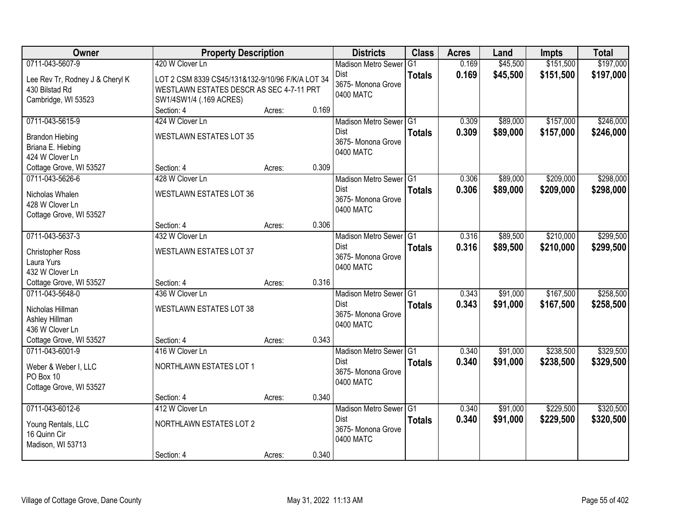| <b>Owner</b>                       | <b>Property Description</b>                      |        |       | <b>Districts</b>           | <b>Class</b>  | <b>Acres</b> | Land     | <b>Impts</b> | <b>Total</b> |
|------------------------------------|--------------------------------------------------|--------|-------|----------------------------|---------------|--------------|----------|--------------|--------------|
| 0711-043-5607-9                    | 420 W Clover Ln                                  |        |       | <b>Madison Metro Sewer</b> | G1            | 0.169        | \$45,500 | \$151,500    | \$197,000    |
| Lee Rev Tr, Rodney J & Cheryl K    | LOT 2 CSM 8339 CS45/131&132-9/10/96 F/K/A LOT 34 |        |       | Dist                       | <b>Totals</b> | 0.169        | \$45,500 | \$151,500    | \$197,000    |
| 430 Bilstad Rd                     | WESTLAWN ESTATES DESCR AS SEC 4-7-11 PRT         |        |       | 3675-Monona Grove          |               |              |          |              |              |
| Cambridge, WI 53523                | SW1/4SW1/4 (.169 ACRES)                          |        |       | 0400 MATC                  |               |              |          |              |              |
|                                    | Section: 4                                       | Acres: | 0.169 |                            |               |              |          |              |              |
| 0711-043-5615-9                    | 424 W Clover Ln                                  |        |       | Madison Metro Sewer G1     |               | 0.309        | \$89,000 | \$157,000    | \$246,000    |
| <b>Brandon Hiebing</b>             | <b>WESTLAWN ESTATES LOT 35</b>                   |        |       | Dist                       | <b>Totals</b> | 0.309        | \$89,000 | \$157,000    | \$246,000    |
| Briana E. Hiebing                  |                                                  |        |       | 3675- Monona Grove         |               |              |          |              |              |
| 424 W Clover Ln                    |                                                  |        |       | 0400 MATC                  |               |              |          |              |              |
| Cottage Grove, WI 53527            | Section: 4                                       | Acres: | 0.309 |                            |               |              |          |              |              |
| 0711-043-5626-6                    | 428 W Clover Ln                                  |        |       | Madison Metro Sewer G1     |               | 0.306        | \$89,000 | \$209,000    | \$298,000    |
| Nicholas Whalen                    | WESTLAWN ESTATES LOT 36                          |        |       | <b>Dist</b>                | <b>Totals</b> | 0.306        | \$89,000 | \$209,000    | \$298,000    |
| 428 W Clover Ln                    |                                                  |        |       | 3675- Monona Grove         |               |              |          |              |              |
| Cottage Grove, WI 53527            |                                                  |        |       | 0400 MATC                  |               |              |          |              |              |
|                                    | Section: 4                                       | Acres: | 0.306 |                            |               |              |          |              |              |
| 0711-043-5637-3                    | 432 W Clover Ln                                  |        |       | Madison Metro Sewer G1     |               | 0.316        | \$89,500 | \$210,000    | \$299,500    |
| <b>Christopher Ross</b>            | <b>WESTLAWN ESTATES LOT 37</b>                   |        |       | Dist                       | <b>Totals</b> | 0.316        | \$89,500 | \$210,000    | \$299,500    |
| Laura Yurs                         |                                                  |        |       | 3675- Monona Grove         |               |              |          |              |              |
| 432 W Clover Ln                    |                                                  |        |       | 0400 MATC                  |               |              |          |              |              |
| Cottage Grove, WI 53527            | Section: 4                                       | Acres: | 0.316 |                            |               |              |          |              |              |
| 0711-043-5648-0                    | 436 W Clover Ln                                  |        |       | Madison Metro Sewer G1     |               | 0.343        | \$91,000 | \$167,500    | \$258,500    |
| Nicholas Hillman                   | <b>WESTLAWN ESTATES LOT 38</b>                   |        |       | <b>Dist</b>                | <b>Totals</b> | 0.343        | \$91,000 | \$167,500    | \$258,500    |
| Ashley Hillman                     |                                                  |        |       | 3675-Monona Grove          |               |              |          |              |              |
| 436 W Clover Ln                    |                                                  |        |       | 0400 MATC                  |               |              |          |              |              |
| Cottage Grove, WI 53527            | Section: 4                                       | Acres: | 0.343 |                            |               |              |          |              |              |
| 0711-043-6001-9                    | 416 W Clover Ln                                  |        |       | Madison Metro Sewer G1     |               | 0.340        | \$91,000 | \$238,500    | \$329,500    |
| Weber & Weber I, LLC               | NORTHLAWN ESTATES LOT 1                          |        |       | Dist                       | <b>Totals</b> | 0.340        | \$91,000 | \$238,500    | \$329,500    |
| PO Box 10                          |                                                  |        |       | 3675- Monona Grove         |               |              |          |              |              |
| Cottage Grove, WI 53527            |                                                  |        |       | 0400 MATC                  |               |              |          |              |              |
|                                    | Section: 4                                       | Acres: | 0.340 |                            |               |              |          |              |              |
| 0711-043-6012-6                    | 412 W Clover Ln                                  |        |       | Madison Metro Sewer G1     |               | 0.340        | \$91,000 | \$229,500    | \$320,500    |
|                                    | NORTHLAWN ESTATES LOT 2                          |        |       | <b>Dist</b>                | <b>Totals</b> | 0.340        | \$91,000 | \$229,500    | \$320,500    |
| Young Rentals, LLC<br>16 Quinn Cir |                                                  |        |       | 3675- Monona Grove         |               |              |          |              |              |
| Madison, WI 53713                  |                                                  |        |       | 0400 MATC                  |               |              |          |              |              |
|                                    | Section: 4                                       | Acres: | 0.340 |                            |               |              |          |              |              |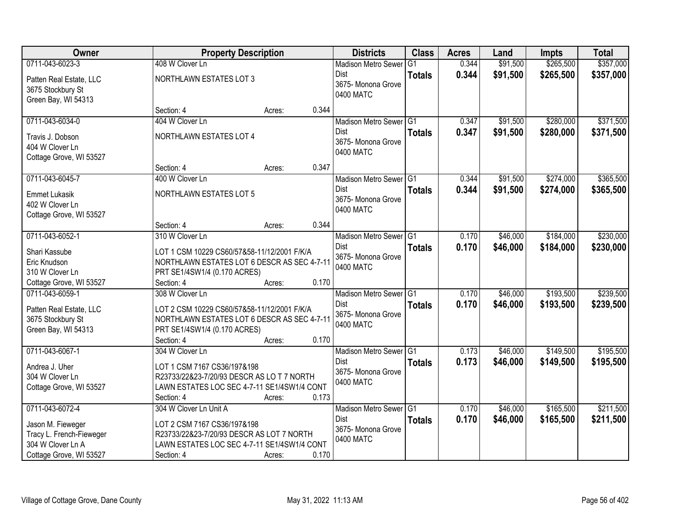| Owner                                         |                                                                                            | <b>Property Description</b> |       | <b>Districts</b>               | <b>Class</b>  | <b>Acres</b> | Land     | <b>Impts</b> | <b>Total</b> |
|-----------------------------------------------|--------------------------------------------------------------------------------------------|-----------------------------|-------|--------------------------------|---------------|--------------|----------|--------------|--------------|
| 0711-043-6023-3                               | 408 W Clover Ln                                                                            |                             |       | <b>Madison Metro Sewer</b>     | G1            | 0.344        | \$91,500 | \$265,500    | \$357,000    |
| Patten Real Estate, LLC                       | NORTHLAWN ESTATES LOT 3                                                                    |                             |       | Dist                           | <b>Totals</b> | 0.344        | \$91,500 | \$265,500    | \$357,000    |
| 3675 Stockbury St                             |                                                                                            |                             |       | 3675-Monona Grove<br>0400 MATC |               |              |          |              |              |
| Green Bay, WI 54313                           |                                                                                            |                             |       |                                |               |              |          |              |              |
|                                               | Section: 4                                                                                 | Acres:                      | 0.344 |                                |               |              |          |              |              |
| 0711-043-6034-0                               | 404 W Clover Ln                                                                            |                             |       | Madison Metro Sewer G1         |               | 0.347        | \$91,500 | \$280,000    | \$371,500    |
| Travis J. Dobson                              | NORTHLAWN ESTATES LOT 4                                                                    |                             |       | <b>Dist</b>                    | <b>Totals</b> | 0.347        | \$91,500 | \$280,000    | \$371,500    |
| 404 W Clover Ln                               |                                                                                            |                             |       | 3675- Monona Grove             |               |              |          |              |              |
| Cottage Grove, WI 53527                       |                                                                                            |                             |       | 0400 MATC                      |               |              |          |              |              |
|                                               | Section: 4                                                                                 | Acres:                      | 0.347 |                                |               |              |          |              |              |
| 0711-043-6045-7                               | 400 W Clover Ln                                                                            |                             |       | Madison Metro Sewer G1         |               | 0.344        | \$91,500 | \$274,000    | \$365,500    |
| <b>Emmet Lukasik</b>                          | NORTHLAWN ESTATES LOT 5                                                                    |                             |       | <b>Dist</b>                    | <b>Totals</b> | 0.344        | \$91,500 | \$274,000    | \$365,500    |
| 402 W Clover Ln                               |                                                                                            |                             |       | 3675- Monona Grove             |               |              |          |              |              |
| Cottage Grove, WI 53527                       |                                                                                            |                             |       | 0400 MATC                      |               |              |          |              |              |
|                                               | Section: 4                                                                                 | Acres:                      | 0.344 |                                |               |              |          |              |              |
| 0711-043-6052-1                               | 310 W Clover Ln                                                                            |                             |       | Madison Metro Sewer G1         |               | 0.170        | \$46,000 | \$184,000    | \$230,000    |
| Shari Kassube                                 | LOT 1 CSM 10229 CS60/57&58-11/12/2001 F/K/A                                                |                             |       | <b>Dist</b>                    | <b>Totals</b> | 0.170        | \$46,000 | \$184,000    | \$230,000    |
| Eric Knudson                                  | NORTHLAWN ESTATES LOT 6 DESCR AS SEC 4-7-11                                                |                             |       | 3675- Monona Grove             |               |              |          |              |              |
| 310 W Clover Ln                               | PRT SE1/4SW1/4 (0.170 ACRES)                                                               |                             |       | 0400 MATC                      |               |              |          |              |              |
| Cottage Grove, WI 53527                       | Section: 4                                                                                 | Acres:                      | 0.170 |                                |               |              |          |              |              |
| 0711-043-6059-1                               | 308 W Clover Ln                                                                            |                             |       | Madison Metro Sewer G1         |               | 0.170        | \$46,000 | \$193,500    | \$239,500    |
|                                               |                                                                                            |                             |       | Dist                           | <b>Totals</b> | 0.170        | \$46,000 | \$193,500    | \$239,500    |
| Patten Real Estate, LLC<br>3675 Stockbury St  | LOT 2 CSM 10229 CS60/57&58-11/12/2001 F/K/A<br>NORTHLAWN ESTATES LOT 6 DESCR AS SEC 4-7-11 |                             |       | 3675- Monona Grove             |               |              |          |              |              |
| Green Bay, WI 54313                           | PRT SE1/4SW1/4 (0.170 ACRES)                                                               |                             |       | 0400 MATC                      |               |              |          |              |              |
|                                               | Section: 4                                                                                 | Acres:                      | 0.170 |                                |               |              |          |              |              |
| 0711-043-6067-1                               | 304 W Clover Ln                                                                            |                             |       | Madison Metro Sewer G1         |               | 0.173        | \$46,000 | \$149,500    | \$195,500    |
|                                               |                                                                                            |                             |       | <b>Dist</b>                    | <b>Totals</b> | 0.173        | \$46,000 | \$149,500    | \$195,500    |
| Andrea J. Uher<br>304 W Clover Ln             | LOT 1 CSM 7167 CS36/197&198<br>R23733/22&23-7/20/93 DESCR AS LO T 7 NORTH                  |                             |       | 3675- Monona Grove             |               |              |          |              |              |
| Cottage Grove, WI 53527                       | LAWN ESTATES LOC SEC 4-7-11 SE1/4SW1/4 CONT                                                |                             |       | 0400 MATC                      |               |              |          |              |              |
|                                               | Section: 4                                                                                 | Acres:                      | 0.173 |                                |               |              |          |              |              |
| 0711-043-6072-4                               | 304 W Clover Ln Unit A                                                                     |                             |       | Madison Metro Sewer G1         |               | 0.170        | \$46,000 | \$165,500    | \$211,500    |
|                                               |                                                                                            |                             |       | Dist                           | <b>Totals</b> | 0.170        | \$46,000 | \$165,500    | \$211,500    |
| Jason M. Fieweger                             | LOT 2 CSM 7167 CS36/197&198                                                                |                             |       | 3675- Monona Grove             |               |              |          |              |              |
| Tracy L. French-Fieweger<br>304 W Clover Ln A | R23733/22&23-7/20/93 DESCR AS LOT 7 NORTH                                                  |                             |       | 0400 MATC                      |               |              |          |              |              |
| Cottage Grove, WI 53527                       | LAWN ESTATES LOC SEC 4-7-11 SE1/4SW1/4 CONT<br>Section: 4                                  | Acres:                      | 0.170 |                                |               |              |          |              |              |
|                                               |                                                                                            |                             |       |                                |               |              |          |              |              |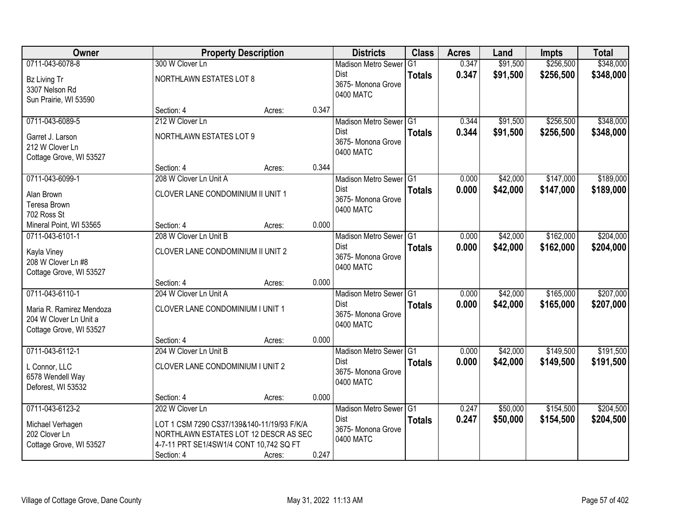| Owner                    |                                            | <b>Property Description</b> |       | <b>Districts</b>           | <b>Class</b>  | <b>Acres</b> | Land     | <b>Impts</b> | <b>Total</b> |
|--------------------------|--------------------------------------------|-----------------------------|-------|----------------------------|---------------|--------------|----------|--------------|--------------|
| 0711-043-6078-8          | 300 W Clover Ln                            |                             |       | <b>Madison Metro Sewer</b> | G1            | 0.347        | \$91,500 | \$256,500    | \$348,000    |
| Bz Living Tr             | NORTHLAWN ESTATES LOT 8                    |                             |       | Dist                       | <b>Totals</b> | 0.347        | \$91,500 | \$256,500    | \$348,000    |
| 3307 Nelson Rd           |                                            |                             |       | 3675-Monona Grove          |               |              |          |              |              |
| Sun Prairie, WI 53590    |                                            |                             |       | 0400 MATC                  |               |              |          |              |              |
|                          | Section: 4                                 | Acres:                      | 0.347 |                            |               |              |          |              |              |
| 0711-043-6089-5          | 212 W Clover Ln                            |                             |       | Madison Metro Sewer G1     |               | 0.344        | \$91,500 | \$256,500    | \$348,000    |
| Garret J. Larson         | NORTHLAWN ESTATES LOT 9                    |                             |       | <b>Dist</b>                | <b>Totals</b> | 0.344        | \$91,500 | \$256,500    | \$348,000    |
| 212 W Clover Ln          |                                            |                             |       | 3675- Monona Grove         |               |              |          |              |              |
| Cottage Grove, WI 53527  |                                            |                             |       | 0400 MATC                  |               |              |          |              |              |
|                          | Section: 4                                 | Acres:                      | 0.344 |                            |               |              |          |              |              |
| 0711-043-6099-1          | 208 W Clover Ln Unit A                     |                             |       | Madison Metro Sewer G1     |               | 0.000        | \$42,000 | \$147,000    | \$189,000    |
| Alan Brown               | CLOVER LANE CONDOMINIUM II UNIT 1          |                             |       | <b>Dist</b>                | <b>Totals</b> | 0.000        | \$42,000 | \$147,000    | \$189,000    |
| Teresa Brown             |                                            |                             |       | 3675- Monona Grove         |               |              |          |              |              |
| 702 Ross St              |                                            |                             |       | 0400 MATC                  |               |              |          |              |              |
| Mineral Point, WI 53565  | Section: 4                                 | Acres:                      | 0.000 |                            |               |              |          |              |              |
| 0711-043-6101-1          | 208 W Clover Ln Unit B                     |                             |       | Madison Metro Sewer G1     |               | 0.000        | \$42,000 | \$162,000    | \$204,000    |
| Kayla Viney              | CLOVER LANE CONDOMINIUM II UNIT 2          |                             |       | <b>Dist</b>                | <b>Totals</b> | 0.000        | \$42,000 | \$162,000    | \$204,000    |
| 208 W Clover Ln #8       |                                            |                             |       | 3675- Monona Grove         |               |              |          |              |              |
| Cottage Grove, WI 53527  |                                            |                             |       | 0400 MATC                  |               |              |          |              |              |
|                          | Section: 4                                 | Acres:                      | 0.000 |                            |               |              |          |              |              |
| 0711-043-6110-1          | 204 W Clover Ln Unit A                     |                             |       | Madison Metro Sewer G1     |               | 0.000        | \$42,000 | \$165,000    | \$207,000    |
| Maria R. Ramirez Mendoza | CLOVER LANE CONDOMINIUM I UNIT 1           |                             |       | <b>Dist</b>                | <b>Totals</b> | 0.000        | \$42,000 | \$165,000    | \$207,000    |
| 204 W Clover Ln Unit a   |                                            |                             |       | 3675- Monona Grove         |               |              |          |              |              |
| Cottage Grove, WI 53527  |                                            |                             |       | 0400 MATC                  |               |              |          |              |              |
|                          | Section: 4                                 | Acres:                      | 0.000 |                            |               |              |          |              |              |
| 0711-043-6112-1          | 204 W Clover Ln Unit B                     |                             |       | Madison Metro Sewer G1     |               | 0.000        | \$42,000 | \$149,500    | \$191,500    |
| L Connor, LLC            | CLOVER LANE CONDOMINIUM I UNIT 2           |                             |       | <b>Dist</b>                | <b>Totals</b> | 0.000        | \$42,000 | \$149,500    | \$191,500    |
| 6578 Wendell Way         |                                            |                             |       | 3675- Monona Grove         |               |              |          |              |              |
| Deforest, WI 53532       |                                            |                             |       | 0400 MATC                  |               |              |          |              |              |
|                          | Section: 4                                 | Acres:                      | 0.000 |                            |               |              |          |              |              |
| 0711-043-6123-2          | 202 W Clover Ln                            |                             |       | Madison Metro Sewer G1     |               | 0.247        | \$50,000 | \$154,500    | \$204,500    |
| Michael Verhagen         | LOT 1 CSM 7290 CS37/139&140-11/19/93 F/K/A |                             |       | Dist                       | <b>Totals</b> | 0.247        | \$50,000 | \$154,500    | \$204,500    |
| 202 Clover Ln            | NORTHLAWN ESTATES LOT 12 DESCR AS SEC      |                             |       | 3675- Monona Grove         |               |              |          |              |              |
| Cottage Grove, WI 53527  | 4-7-11 PRT SE1/4SW1/4 CONT 10,742 SQ FT    |                             |       | 0400 MATC                  |               |              |          |              |              |
|                          | Section: 4                                 | Acres:                      | 0.247 |                            |               |              |          |              |              |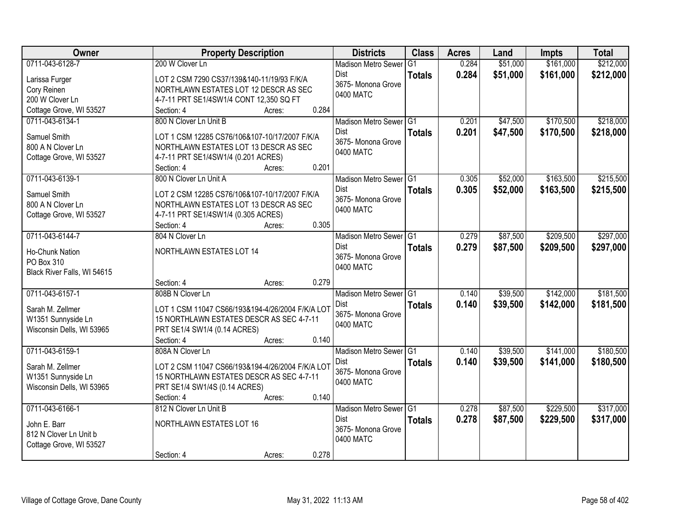| Owner                                     | <b>Property Description</b>                         | <b>Districts</b>                      | <b>Class</b>  | <b>Acres</b>   | Land     | <b>Impts</b> | <b>Total</b> |
|-------------------------------------------|-----------------------------------------------------|---------------------------------------|---------------|----------------|----------|--------------|--------------|
| 0711-043-6128-7                           | 200 W Clover Ln                                     | <b>Madison Metro Sewer</b>            | G1            | 0.284          | \$51,000 | \$161,000    | \$212,000    |
| Larissa Furger                            | LOT 2 CSM 7290 CS37/139&140-11/19/93 F/K/A          | Dist                                  | <b>Totals</b> | 0.284          | \$51,000 | \$161,000    | \$212,000    |
| Cory Reinen                               | NORTHLAWN ESTATES LOT 12 DESCR AS SEC               | 3675- Monona Grove                    |               |                |          |              |              |
| 200 W Clover Ln                           | 4-7-11 PRT SE1/4SW1/4 CONT 12,350 SQ FT             | 0400 MATC                             |               |                |          |              |              |
| Cottage Grove, WI 53527                   | 0.284<br>Section: 4<br>Acres:                       |                                       |               |                |          |              |              |
| 0711-043-6134-1                           | 800 N Clover Ln Unit B                              | Madison Metro Sewer G1                |               | 0.201          | \$47,500 | \$170,500    | \$218,000    |
| Samuel Smith                              | LOT 1 CSM 12285 CS76/106&107-10/17/2007 F/K/A       | Dist                                  | <b>Totals</b> | 0.201          | \$47,500 | \$170,500    | \$218,000    |
| 800 A N Clover Ln                         | NORTHLAWN ESTATES LOT 13 DESCR AS SEC               | 3675- Monona Grove                    |               |                |          |              |              |
| Cottage Grove, WI 53527                   | 4-7-11 PRT SE1/4SW1/4 (0.201 ACRES)                 | 0400 MATC                             |               |                |          |              |              |
|                                           | 0.201<br>Section: 4<br>Acres:                       |                                       |               |                |          |              |              |
| 0711-043-6139-1                           | 800 N Clover Ln Unit A                              | Madison Metro Sewer G1                |               | 0.305          | \$52,000 | \$163,500    | \$215,500    |
| Samuel Smith                              | LOT 2 CSM 12285 CS76/106&107-10/17/2007 F/K/A       | Dist                                  | <b>Totals</b> | 0.305          | \$52,000 | \$163,500    | \$215,500    |
| 800 A N Clover Ln                         | NORTHLAWN ESTATES LOT 13 DESCR AS SEC               | 3675- Monona Grove                    |               |                |          |              |              |
| Cottage Grove, WI 53527                   | 4-7-11 PRT SE1/4SW1/4 (0.305 ACRES)                 | 0400 MATC                             |               |                |          |              |              |
|                                           | 0.305<br>Section: 4<br>Acres:                       |                                       |               |                |          |              |              |
| 0711-043-6144-7                           | 804 N Clover Ln                                     | Madison Metro Sewer G1                |               | 0.279          | \$87,500 | \$209,500    | \$297,000    |
|                                           |                                                     | Dist                                  | <b>Totals</b> | 0.279          | \$87,500 | \$209,500    | \$297,000    |
| Ho-Chunk Nation                           | NORTHLAWN ESTATES LOT 14                            | 3675- Monona Grove                    |               |                |          |              |              |
| PO Box 310<br>Black River Falls, WI 54615 |                                                     | 0400 MATC                             |               |                |          |              |              |
|                                           | 0.279<br>Section: 4<br>Acres:                       |                                       |               |                |          |              |              |
| 0711-043-6157-1                           | 808B N Clover Ln                                    | Madison Metro Sewer G1                |               | 0.140          | \$39,500 | \$142,000    | \$181,500    |
|                                           |                                                     | <b>Dist</b>                           | <b>Totals</b> | 0.140          | \$39,500 | \$142,000    | \$181,500    |
| Sarah M. Zellmer                          | LOT 1 CSM 11047 CS66/193&194-4/26/2004 F/K/A LOT    | 3675-Monona Grove                     |               |                |          |              |              |
| W1351 Sunnyside Ln                        | 15 NORTHLAWN ESTATES DESCR AS SEC 4-7-11            | 0400 MATC                             |               |                |          |              |              |
| Wisconsin Dells, WI 53965                 | PRT SE1/4 SW1/4 (0.14 ACRES)<br>0.140<br>Section: 4 |                                       |               |                |          |              |              |
| 0711-043-6159-1                           | Acres:<br>808A N Clover Ln                          | Madison Metro Sewer G1                |               | 0.140          | \$39,500 | \$141,000    | \$180,500    |
|                                           |                                                     | <b>Dist</b>                           | <b>Totals</b> | 0.140          | \$39,500 | \$141,000    | \$180,500    |
| Sarah M. Zellmer                          | LOT 2 CSM 11047 CS66/193&194-4/26/2004 F/K/A LOT    | 3675- Monona Grove                    |               |                |          |              |              |
| W1351 Sunnyside Ln                        | 15 NORTHLAWN ESTATES DESCR AS SEC 4-7-11            | 0400 MATC                             |               |                |          |              |              |
| Wisconsin Dells, WI 53965                 | PRT SE1/4 SW1/4S (0.14 ACRES)                       |                                       |               |                |          |              |              |
|                                           | 0.140<br>Section: 4<br>Acres:                       |                                       |               |                |          |              |              |
| 0711-043-6166-1                           | 812 N Clover Ln Unit B                              | Madison Metro Sewer G1<br><b>Dist</b> |               | 0.278<br>0.278 | \$87,500 | \$229,500    | \$317,000    |
| John E. Barr                              | <b>NORTHLAWN ESTATES LOT 16</b>                     | 3675- Monona Grove                    | <b>Totals</b> |                | \$87,500 | \$229,500    | \$317,000    |
| 812 N Clover Ln Unit b                    |                                                     | 0400 MATC                             |               |                |          |              |              |
| Cottage Grove, WI 53527                   |                                                     |                                       |               |                |          |              |              |
|                                           | 0.278<br>Section: 4<br>Acres:                       |                                       |               |                |          |              |              |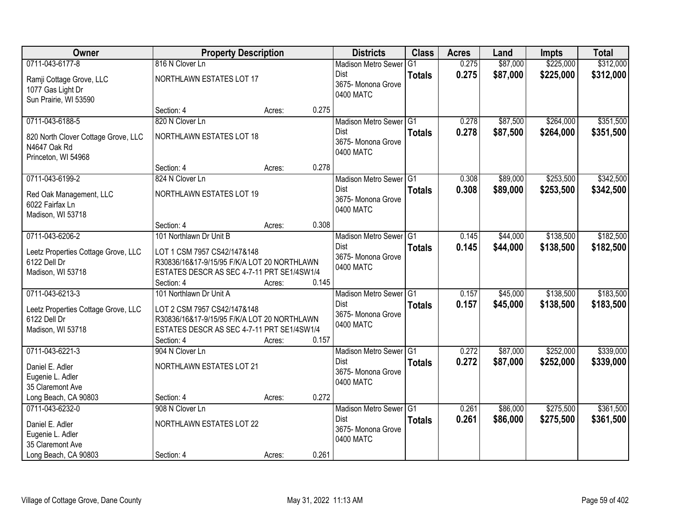| Owner                               | <b>Property Description</b>                 |                 | <b>Districts</b>                  | <b>Class</b>    | <b>Acres</b> | Land     | <b>Impts</b> | <b>Total</b> |
|-------------------------------------|---------------------------------------------|-----------------|-----------------------------------|-----------------|--------------|----------|--------------|--------------|
| 0711-043-6177-8                     | 816 N Clover Ln                             |                 | <b>Madison Metro Sewer</b>        | $\overline{G1}$ | 0.275        | \$87,000 | \$225,000    | \$312,000    |
| Ramji Cottage Grove, LLC            | NORTHLAWN ESTATES LOT 17                    |                 | <b>Dist</b>                       | <b>Totals</b>   | 0.275        | \$87,000 | \$225,000    | \$312,000    |
| 1077 Gas Light Dr                   |                                             |                 | 3675- Monona Grove                |                 |              |          |              |              |
| Sun Prairie, WI 53590               |                                             |                 | 0400 MATC                         |                 |              |          |              |              |
|                                     | Section: 4                                  | 0.275<br>Acres: |                                   |                 |              |          |              |              |
| 0711-043-6188-5                     | 820 N Clover Ln                             |                 | Madison Metro Sewer G1            |                 | 0.278        | \$87,500 | \$264,000    | \$351,500    |
| 820 North Clover Cottage Grove, LLC | <b>NORTHLAWN ESTATES LOT 18</b>             |                 | Dist                              | <b>Totals</b>   | 0.278        | \$87,500 | \$264,000    | \$351,500    |
| N4647 Oak Rd                        |                                             |                 | 3675- Monona Grove<br>0400 MATC   |                 |              |          |              |              |
| Princeton, WI 54968                 |                                             |                 |                                   |                 |              |          |              |              |
|                                     | Section: 4                                  | 0.278<br>Acres: |                                   |                 |              |          |              |              |
| 0711-043-6199-2                     | 824 N Clover Ln                             |                 | Madison Metro Sewer G1            |                 | 0.308        | \$89,000 | \$253,500    | \$342,500    |
| Red Oak Management, LLC             | NORTHLAWN ESTATES LOT 19                    |                 | Dist                              | <b>Totals</b>   | 0.308        | \$89,000 | \$253,500    | \$342,500    |
| 6022 Fairfax Ln                     |                                             |                 | 3675- Monona Grove<br>0400 MATC   |                 |              |          |              |              |
| Madison, WI 53718                   |                                             |                 |                                   |                 |              |          |              |              |
|                                     | Section: 4                                  | 0.308<br>Acres: |                                   |                 |              |          |              |              |
| 0711-043-6206-2                     | 101 Northlawn Dr Unit B                     |                 | Madison Metro Sewer G1            |                 | 0.145        | \$44,000 | \$138,500    | \$182,500    |
| Leetz Properties Cottage Grove, LLC | LOT 1 CSM 7957 CS42/147&148                 |                 | <b>Dist</b>                       | <b>Totals</b>   | 0.145        | \$44,000 | \$138,500    | \$182,500    |
| 6122 Dell Dr                        | R30836/16&17-9/15/95 F/K/A LOT 20 NORTHLAWN |                 | 3675- Monona Grove<br>0400 MATC   |                 |              |          |              |              |
| Madison, WI 53718                   | ESTATES DESCR AS SEC 4-7-11 PRT SE1/4SW1/4  |                 |                                   |                 |              |          |              |              |
|                                     | Section: 4                                  | 0.145<br>Acres: |                                   |                 |              |          |              |              |
| 0711-043-6213-3                     | 101 Northlawn Dr Unit A                     |                 | Madison Metro Sewer <sup>G1</sup> |                 | 0.157        | \$45,000 | \$138,500    | \$183,500    |
| Leetz Properties Cottage Grove, LLC | LOT 2 CSM 7957 CS42/147&148                 |                 | <b>Dist</b>                       | <b>Totals</b>   | 0.157        | \$45,000 | \$138,500    | \$183,500    |
| 6122 Dell Dr                        | R30836/16&17-9/15/95 F/K/A LOT 20 NORTHLAWN |                 | 3675- Monona Grove<br>0400 MATC   |                 |              |          |              |              |
| Madison, WI 53718                   | ESTATES DESCR AS SEC 4-7-11 PRT SE1/4SW1/4  |                 |                                   |                 |              |          |              |              |
|                                     | Section: 4                                  | 0.157<br>Acres: |                                   |                 |              |          |              |              |
| 0711-043-6221-3                     | 904 N Clover Ln                             |                 | Madison Metro Sewer G1            |                 | 0.272        | \$87,000 | \$252,000    | \$339,000    |
| Daniel E. Adler                     | NORTHLAWN ESTATES LOT 21                    |                 | <b>Dist</b><br>3675- Monona Grove | <b>Totals</b>   | 0.272        | \$87,000 | \$252,000    | \$339,000    |
| Eugenie L. Adler                    |                                             |                 | 0400 MATC                         |                 |              |          |              |              |
| 35 Claremont Ave                    |                                             |                 |                                   |                 |              |          |              |              |
| Long Beach, CA 90803                | Section: 4                                  | 0.272<br>Acres: |                                   |                 |              |          |              |              |
| 0711-043-6232-0                     | 908 N Clover Ln                             |                 | Madison Metro Sewer G1            |                 | 0.261        | \$86,000 | \$275,500    | \$361,500    |
| Daniel E. Adler                     | NORTHLAWN ESTATES LOT 22                    |                 | Dist<br>3675- Monona Grove        | <b>Totals</b>   | 0.261        | \$86,000 | \$275,500    | \$361,500    |
| Eugenie L. Adler                    |                                             |                 | 0400 MATC                         |                 |              |          |              |              |
| 35 Claremont Ave                    |                                             |                 |                                   |                 |              |          |              |              |
| Long Beach, CA 90803                | Section: 4                                  | 0.261<br>Acres: |                                   |                 |              |          |              |              |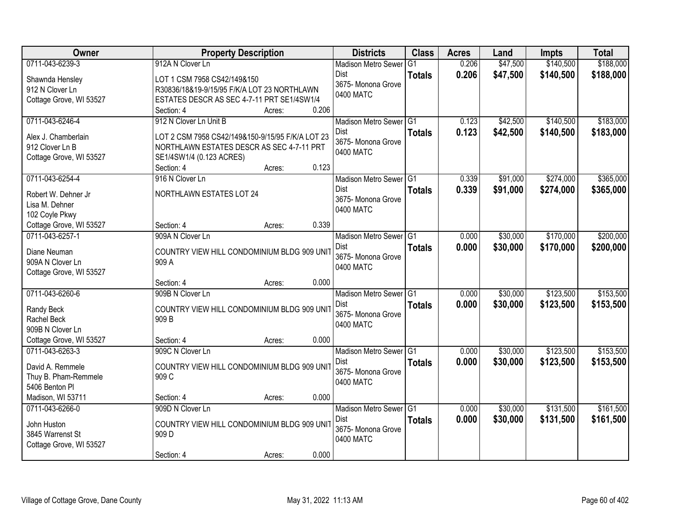| Owner                                      | <b>Property Description</b>                                           | <b>Districts</b>           | <b>Class</b>  | <b>Acres</b> | Land     | <b>Impts</b> | <b>Total</b> |
|--------------------------------------------|-----------------------------------------------------------------------|----------------------------|---------------|--------------|----------|--------------|--------------|
| 0711-043-6239-3                            | 912A N Clover Ln                                                      | <b>Madison Metro Sewer</b> | G1            | 0.206        | \$47,500 | \$140,500    | \$188,000    |
| Shawnda Hensley                            | LOT 1 CSM 7958 CS42/149&150                                           | Dist                       | <b>Totals</b> | 0.206        | \$47,500 | \$140,500    | \$188,000    |
| 912 N Clover Ln                            | R30836/18&19-9/15/95 F/K/A LOT 23 NORTHLAWN                           | 3675- Monona Grove         |               |              |          |              |              |
| Cottage Grove, WI 53527                    | ESTATES DESCR AS SEC 4-7-11 PRT SE1/4SW1/4                            | 0400 MATC                  |               |              |          |              |              |
|                                            | 0.206<br>Section: 4<br>Acres:                                         |                            |               |              |          |              |              |
| 0711-043-6246-4                            | 912 N Clover Ln Unit B                                                | Madison Metro Sewer G1     |               | 0.123        | \$42,500 | \$140,500    | \$183,000    |
|                                            |                                                                       | Dist                       | <b>Totals</b> | 0.123        | \$42,500 | \$140,500    | \$183,000    |
| Alex J. Chamberlain                        | LOT 2 CSM 7958 CS42/149&150-9/15/95 F/K/A LOT 23                      | 3675- Monona Grove         |               |              |          |              |              |
| 912 Clover Ln B<br>Cottage Grove, WI 53527 | NORTHLAWN ESTATES DESCR AS SEC 4-7-11 PRT<br>SE1/4SW1/4 (0.123 ACRES) | 0400 MATC                  |               |              |          |              |              |
|                                            | 0.123<br>Section: 4<br>Acres:                                         |                            |               |              |          |              |              |
| 0711-043-6254-4                            | 916 N Clover Ln                                                       | Madison Metro Sewer G1     |               | 0.339        | \$91,000 | \$274,000    | \$365,000    |
|                                            |                                                                       | <b>Dist</b>                | <b>Totals</b> | 0.339        | \$91,000 | \$274,000    | \$365,000    |
| Robert W. Dehner Jr                        | NORTHLAWN ESTATES LOT 24                                              | 3675- Monona Grove         |               |              |          |              |              |
| Lisa M. Dehner                             |                                                                       | 0400 MATC                  |               |              |          |              |              |
| 102 Coyle Pkwy                             |                                                                       |                            |               |              |          |              |              |
| Cottage Grove, WI 53527                    | 0.339<br>Section: 4<br>Acres:                                         |                            |               |              |          |              |              |
| 0711-043-6257-1                            | 909A N Clover Ln                                                      | Madison Metro Sewer G1     |               | 0.000        | \$30,000 | \$170,000    | \$200,000    |
| Diane Neuman                               | COUNTRY VIEW HILL CONDOMINIUM BLDG 909 UNIT                           | Dist                       | <b>Totals</b> | 0.000        | \$30,000 | \$170,000    | \$200,000    |
| 909A N Clover Ln                           | 909 A                                                                 | 3675- Monona Grove         |               |              |          |              |              |
| Cottage Grove, WI 53527                    |                                                                       | 0400 MATC                  |               |              |          |              |              |
|                                            | 0.000<br>Section: 4<br>Acres:                                         |                            |               |              |          |              |              |
| 0711-043-6260-6                            | 909B N Clover Ln                                                      | Madison Metro Sewer G1     |               | 0.000        | \$30,000 | \$123,500    | \$153,500    |
|                                            |                                                                       | Dist                       | <b>Totals</b> | 0.000        | \$30,000 | \$123,500    | \$153,500    |
| Randy Beck<br>Rachel Beck                  | COUNTRY VIEW HILL CONDOMINIUM BLDG 909 UNIT<br>909 B                  | 3675- Monona Grove         |               |              |          |              |              |
| 909B N Clover Ln                           |                                                                       | 0400 MATC                  |               |              |          |              |              |
| Cottage Grove, WI 53527                    | 0.000<br>Section: 4<br>Acres:                                         |                            |               |              |          |              |              |
| 0711-043-6263-3                            | 909C N Clover Ln                                                      | Madison Metro Sewer G1     |               | 0.000        | \$30,000 | \$123,500    | \$153,500    |
|                                            |                                                                       | Dist                       | <b>Totals</b> | 0.000        | \$30,000 | \$123,500    | \$153,500    |
| David A. Remmele                           | COUNTRY VIEW HILL CONDOMINIUM BLDG 909 UNIT                           | 3675- Monona Grove         |               |              |          |              |              |
| Thuy B. Pham-Remmele                       | 909 C                                                                 | 0400 MATC                  |               |              |          |              |              |
| 5406 Benton Pl                             |                                                                       |                            |               |              |          |              |              |
| Madison, WI 53711                          | 0.000<br>Section: 4<br>Acres:                                         |                            |               |              |          |              |              |
| 0711-043-6266-0                            | 909D N Clover Ln                                                      | Madison Metro Sewer G1     |               | 0.000        | \$30,000 | \$131,500    | \$161,500    |
| John Huston                                | COUNTRY VIEW HILL CONDOMINIUM BLDG 909 UNIT                           | Dist                       | <b>Totals</b> | 0.000        | \$30,000 | \$131,500    | \$161,500    |
| 3845 Warrenst St                           | 909 <sub>D</sub>                                                      | 3675- Monona Grove         |               |              |          |              |              |
| Cottage Grove, WI 53527                    |                                                                       | 0400 MATC                  |               |              |          |              |              |
|                                            | 0.000<br>Section: 4<br>Acres:                                         |                            |               |              |          |              |              |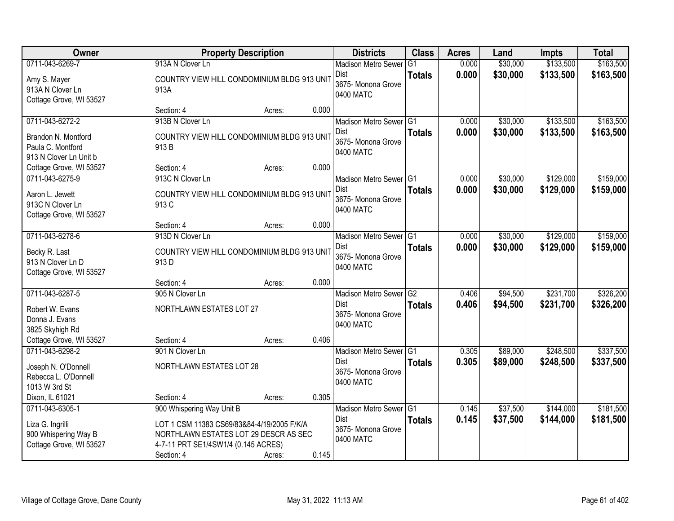| Owner                                                                                  | <b>Property Description</b>                                                                                                                             |                 | <b>Districts</b>                                                      | <b>Class</b>                    | <b>Acres</b>   | Land                 | <b>Impts</b>           | <b>Total</b>           |
|----------------------------------------------------------------------------------------|---------------------------------------------------------------------------------------------------------------------------------------------------------|-----------------|-----------------------------------------------------------------------|---------------------------------|----------------|----------------------|------------------------|------------------------|
| 0711-043-6269-7                                                                        | 913A N Clover Ln                                                                                                                                        |                 | <b>Madison Metro Sewer</b>                                            | G <sub>1</sub>                  | 0.000          | \$30,000             | \$133,500              | \$163,500              |
| Amy S. Mayer<br>913A N Clover Ln<br>Cottage Grove, WI 53527                            | COUNTRY VIEW HILL CONDOMINIUM BLDG 913 UNIT<br>913A                                                                                                     |                 | Dist<br>3675- Monona Grove<br>0400 MATC                               | <b>Totals</b>                   | 0.000          | \$30,000             | \$133,500              | \$163,500              |
|                                                                                        | Section: 4                                                                                                                                              | 0.000<br>Acres: |                                                                       |                                 |                |                      |                        |                        |
| 0711-043-6272-2                                                                        | 913B N Clover Ln                                                                                                                                        |                 | Madison Metro Sewer G1                                                |                                 | 0.000          | \$30,000             | \$133,500              | \$163,500              |
| Brandon N. Montford<br>Paula C. Montford<br>913 N Clover Ln Unit b                     | COUNTRY VIEW HILL CONDOMINIUM BLDG 913 UNIT<br>913 B                                                                                                    |                 | Dist<br>3675- Monona Grove<br>0400 MATC                               | <b>Totals</b>                   | 0.000          | \$30,000             | \$133,500              | \$163,500              |
| Cottage Grove, WI 53527                                                                | Section: 4                                                                                                                                              | 0.000<br>Acres: |                                                                       |                                 |                |                      |                        |                        |
| 0711-043-6275-9                                                                        | 913C N Clover Ln                                                                                                                                        |                 | Madison Metro Sewer G1                                                |                                 | 0.000          | \$30,000             | \$129,000              | \$159,000              |
| Aaron L. Jewett<br>913C N Clover Ln<br>Cottage Grove, WI 53527                         | COUNTRY VIEW HILL CONDOMINIUM BLDG 913 UNIT<br>913 C                                                                                                    |                 | <b>Dist</b><br>3675- Monona Grove<br>0400 MATC                        | <b>Totals</b>                   | 0.000          | \$30,000             | \$129,000              | \$159,000              |
|                                                                                        | Section: 4                                                                                                                                              | 0.000<br>Acres: |                                                                       |                                 |                |                      |                        |                        |
| 0711-043-6278-6                                                                        | 913D N Clover Ln                                                                                                                                        |                 | Madison Metro Sewer G1                                                |                                 | 0.000          | \$30,000             | \$129,000              | \$159,000              |
| Becky R. Last<br>913 N Clover Ln D<br>Cottage Grove, WI 53527                          | COUNTRY VIEW HILL CONDOMINIUM BLDG 913 UNIT<br>913D                                                                                                     |                 | <b>Dist</b><br>3675- Monona Grove<br>0400 MATC                        | <b>Totals</b>                   | 0.000          | \$30,000             | \$129,000              | \$159,000              |
|                                                                                        | Section: 4                                                                                                                                              | 0.000<br>Acres: |                                                                       |                                 |                |                      |                        |                        |
| 0711-043-6287-5<br>Robert W. Evans<br>Donna J. Evans<br>3825 Skyhigh Rd                | 905 N Clover Ln<br>NORTHLAWN ESTATES LOT 27                                                                                                             |                 | <b>Madison Metro Sewer</b><br>Dist<br>3675- Monona Grove<br>0400 MATC | G <sub>2</sub><br><b>Totals</b> | 0.406<br>0.406 | \$94,500<br>\$94,500 | \$231,700<br>\$231,700 | \$326,200<br>\$326,200 |
| Cottage Grove, WI 53527                                                                | Section: 4                                                                                                                                              | 0.406<br>Acres: |                                                                       |                                 |                |                      |                        |                        |
| 0711-043-6298-2                                                                        | 901 N Clover Ln                                                                                                                                         |                 | Madison Metro Sewer G1                                                |                                 | 0.305          | \$89,000             | \$248,500              | \$337,500              |
| Joseph N. O'Donnell<br>Rebecca L. O'Donnell<br>1013 W 3rd St                           | NORTHLAWN ESTATES LOT 28                                                                                                                                |                 | <b>Dist</b><br>3675- Monona Grove<br>0400 MATC                        | <b>Totals</b>                   | 0.305          | \$89,000             | \$248,500              | \$337,500              |
| Dixon, IL 61021                                                                        | Section: 4                                                                                                                                              | 0.305<br>Acres: |                                                                       |                                 |                |                      |                        |                        |
| 0711-043-6305-1<br>Liza G. Ingrilli<br>900 Whispering Way B<br>Cottage Grove, WI 53527 | 900 Whispering Way Unit B<br>LOT 1 CSM 11383 CS69/83&84-4/19/2005 F/K/A<br>NORTHLAWN ESTATES LOT 29 DESCR AS SEC<br>4-7-11 PRT SE1/4SW1/4 (0.145 ACRES) |                 | Madison Metro Sewer G1<br>Dist<br>3675- Monona Grove<br>0400 MATC     | <b>Totals</b>                   | 0.145<br>0.145 | \$37,500<br>\$37,500 | \$144,000<br>\$144,000 | \$181,500<br>\$181,500 |
|                                                                                        | Section: 4                                                                                                                                              | 0.145<br>Acres: |                                                                       |                                 |                |                      |                        |                        |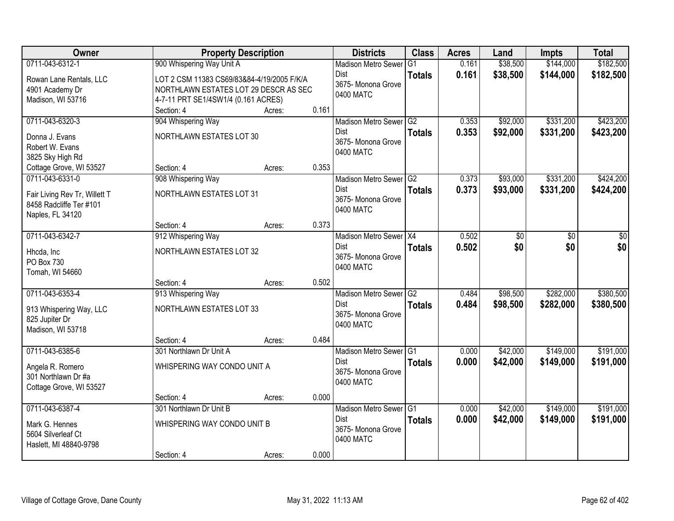| Owner                         |                                            | <b>Property Description</b> |       | <b>Districts</b>           | <b>Class</b>  | <b>Acres</b> | Land     | <b>Impts</b> | <b>Total</b> |
|-------------------------------|--------------------------------------------|-----------------------------|-------|----------------------------|---------------|--------------|----------|--------------|--------------|
| 0711-043-6312-1               | 900 Whispering Way Unit A                  |                             |       | <b>Madison Metro Sewer</b> | G1            | 0.161        | \$38,500 | \$144,000    | \$182,500    |
| Rowan Lane Rentals, LLC       | LOT 2 CSM 11383 CS69/83&84-4/19/2005 F/K/A |                             |       | Dist                       | <b>Totals</b> | 0.161        | \$38,500 | \$144,000    | \$182,500    |
| 4901 Academy Dr               | NORTHLAWN ESTATES LOT 29 DESCR AS SEC      |                             |       | 3675- Monona Grove         |               |              |          |              |              |
| Madison, WI 53716             | 4-7-11 PRT SE1/4SW1/4 (0.161 ACRES)        |                             |       | 0400 MATC                  |               |              |          |              |              |
|                               | Section: 4                                 | Acres:                      | 0.161 |                            |               |              |          |              |              |
| 0711-043-6320-3               | 904 Whispering Way                         |                             |       | Madison Metro Sewer G2     |               | 0.353        | \$92,000 | \$331,200    | \$423,200    |
| Donna J. Evans                | NORTHLAWN ESTATES LOT 30                   |                             |       | Dist                       | <b>Totals</b> | 0.353        | \$92,000 | \$331,200    | \$423,200    |
| Robert W. Evans               |                                            |                             |       | 3675- Monona Grove         |               |              |          |              |              |
| 3825 Sky High Rd              |                                            |                             |       | 0400 MATC                  |               |              |          |              |              |
| Cottage Grove, WI 53527       | Section: 4                                 | Acres:                      | 0.353 |                            |               |              |          |              |              |
| 0711-043-6331-0               | 908 Whispering Way                         |                             |       | Madison Metro Sewer G2     |               | 0.373        | \$93,000 | \$331,200    | \$424,200    |
| Fair Living Rev Tr, Willett T | NORTHLAWN ESTATES LOT 31                   |                             |       | <b>Dist</b>                | <b>Totals</b> | 0.373        | \$93,000 | \$331,200    | \$424,200    |
| 8458 Radcliffe Ter #101       |                                            |                             |       | 3675- Monona Grove         |               |              |          |              |              |
| Naples, FL 34120              |                                            |                             |       | 0400 MATC                  |               |              |          |              |              |
|                               | Section: 4                                 | Acres:                      | 0.373 |                            |               |              |          |              |              |
| 0711-043-6342-7               | 912 Whispering Way                         |                             |       | Madison Metro Sewer X4     |               | 0.502        | \$0      | \$0          | \$0          |
| Hhcda, Inc                    | NORTHLAWN ESTATES LOT 32                   |                             |       | Dist                       | <b>Totals</b> | 0.502        | \$0      | \$0          | \$0          |
| PO Box 730                    |                                            |                             |       | 3675- Monona Grove         |               |              |          |              |              |
| Tomah, WI 54660               |                                            |                             |       | 0400 MATC                  |               |              |          |              |              |
|                               | Section: 4                                 | Acres:                      | 0.502 |                            |               |              |          |              |              |
| 0711-043-6353-4               | 913 Whispering Way                         |                             |       | Madison Metro Sewer G2     |               | 0.484        | \$98,500 | \$282,000    | \$380,500    |
| 913 Whispering Way, LLC       | NORTHLAWN ESTATES LOT 33                   |                             |       | Dist                       | <b>Totals</b> | 0.484        | \$98,500 | \$282,000    | \$380,500    |
| 825 Jupiter Dr                |                                            |                             |       | 3675- Monona Grove         |               |              |          |              |              |
| Madison, WI 53718             |                                            |                             |       | 0400 MATC                  |               |              |          |              |              |
|                               | Section: 4                                 | Acres:                      | 0.484 |                            |               |              |          |              |              |
| 0711-043-6385-6               | 301 Northlawn Dr Unit A                    |                             |       | Madison Metro Sewer G1     |               | 0.000        | \$42,000 | \$149,000    | \$191,000    |
| Angela R. Romero              | WHISPERING WAY CONDO UNIT A                |                             |       | Dist                       | <b>Totals</b> | 0.000        | \$42,000 | \$149,000    | \$191,000    |
| 301 Northlawn Dr #a           |                                            |                             |       | 3675- Monona Grove         |               |              |          |              |              |
| Cottage Grove, WI 53527       |                                            |                             |       | 0400 MATC                  |               |              |          |              |              |
|                               | Section: 4                                 | Acres:                      | 0.000 |                            |               |              |          |              |              |
| 0711-043-6387-4               | 301 Northlawn Dr Unit B                    |                             |       | Madison Metro Sewer G1     |               | 0.000        | \$42,000 | \$149,000    | \$191,000    |
| Mark G. Hennes                | WHISPERING WAY CONDO UNIT B                |                             |       | <b>Dist</b>                | <b>Totals</b> | 0.000        | \$42,000 | \$149,000    | \$191,000    |
| 5604 Silverleaf Ct            |                                            |                             |       | 3675-Monona Grove          |               |              |          |              |              |
| Haslett, MI 48840-9798        |                                            |                             |       | 0400 MATC                  |               |              |          |              |              |
|                               | Section: 4                                 | Acres:                      | 0.000 |                            |               |              |          |              |              |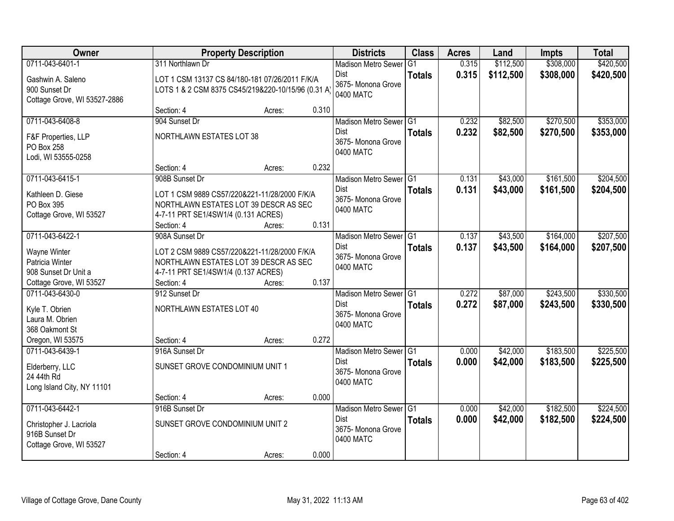| Owner                                                                                   | <b>Property Description</b>                                                                                                                |        |       | <b>Districts</b>                                                         | <b>Class</b>  | <b>Acres</b>   | Land                 | <b>Impts</b>           | <b>Total</b>           |
|-----------------------------------------------------------------------------------------|--------------------------------------------------------------------------------------------------------------------------------------------|--------|-------|--------------------------------------------------------------------------|---------------|----------------|----------------------|------------------------|------------------------|
| 0711-043-6401-1                                                                         | 311 Northlawn Dr                                                                                                                           |        |       | <b>Madison Metro Sewer</b>                                               | G1            | 0.315          | \$112,500            | \$308,000              | \$420,500              |
| Gashwin A. Saleno<br>900 Sunset Dr<br>Cottage Grove, WI 53527-2886                      | LOT 1 CSM 13137 CS 84/180-181 07/26/2011 F/K/A<br>LOTS 1 & 2 CSM 8375 CS45/219&220-10/15/96 (0.31 A)                                       |        |       | Dist<br>3675- Monona Grove<br>0400 MATC                                  | <b>Totals</b> | 0.315          | \$112,500            | \$308,000              | \$420,500              |
|                                                                                         | Section: 4                                                                                                                                 | Acres: | 0.310 |                                                                          |               |                |                      |                        |                        |
| 0711-043-6408-8                                                                         | 904 Sunset Dr                                                                                                                              |        |       | Madison Metro Sewer G1                                                   |               | 0.232          | \$82,500             | \$270,500              | \$353,000              |
| F&F Properties, LLP<br>PO Box 258<br>Lodi, WI 53555-0258                                | <b>NORTHLAWN ESTATES LOT 38</b>                                                                                                            |        |       | <b>Dist</b><br>3675- Monona Grove<br>0400 MATC                           | <b>Totals</b> | 0.232          | \$82,500             | \$270,500              | \$353,000              |
|                                                                                         | Section: 4                                                                                                                                 | Acres: | 0.232 |                                                                          |               |                |                      |                        |                        |
| 0711-043-6415-1                                                                         | 908B Sunset Dr                                                                                                                             |        |       | Madison Metro Sewer G1                                                   |               | 0.131          | \$43,000             | \$161,500              | \$204,500              |
| Kathleen D. Giese<br>PO Box 395<br>Cottage Grove, WI 53527                              | LOT 1 CSM 9889 CS57/220&221-11/28/2000 F/K/A<br>NORTHLAWN ESTATES LOT 39 DESCR AS SEC<br>4-7-11 PRT SE1/4SW1/4 (0.131 ACRES)<br>Section: 4 | Acres: | 0.131 | Dist<br>3675- Monona Grove<br>0400 MATC                                  | <b>Totals</b> | 0.131          | \$43,000             | \$161,500              | \$204,500              |
| 0711-043-6422-1                                                                         | 908A Sunset Dr                                                                                                                             |        |       | Madison Metro Sewer G1                                                   |               | 0.137          | \$43,500             | \$164,000              | \$207,500              |
| Wayne Winter<br>Patricia Winter<br>908 Sunset Dr Unit a                                 | LOT 2 CSM 9889 CS57/220&221-11/28/2000 F/K/A<br>NORTHLAWN ESTATES LOT 39 DESCR AS SEC<br>4-7-11 PRT SE1/4SW1/4 (0.137 ACRES)               |        |       | Dist<br>3675- Monona Grove<br>0400 MATC                                  | <b>Totals</b> | 0.137          | \$43,500             | \$164,000              | \$207,500              |
| Cottage Grove, WI 53527                                                                 | Section: 4                                                                                                                                 | Acres: | 0.137 |                                                                          |               |                |                      |                        |                        |
| 0711-043-6430-0<br>Kyle T. Obrien<br>Laura M. Obrien<br>368 Oakmont St                  | 912 Sunset Dr<br>NORTHLAWN ESTATES LOT 40                                                                                                  |        |       | Madison Metro Sewer G1<br><b>Dist</b><br>3675- Monona Grove<br>0400 MATC | <b>Totals</b> | 0.272<br>0.272 | \$87,000<br>\$87,000 | \$243,500<br>\$243,500 | \$330,500<br>\$330,500 |
| Oregon, WI 53575                                                                        | Section: 4                                                                                                                                 | Acres: | 0.272 |                                                                          |               |                |                      |                        |                        |
| 0711-043-6439-1<br>Elderberry, LLC<br>24 44th Rd<br>Long Island City, NY 11101          | 916A Sunset Dr<br>SUNSET GROVE CONDOMINIUM UNIT 1                                                                                          |        |       | Madison Metro Sewer G1<br>Dist<br>3675- Monona Grove<br>0400 MATC        | <b>Totals</b> | 0.000<br>0.000 | \$42,000<br>\$42,000 | \$183,500<br>\$183,500 | \$225,500<br>\$225,500 |
|                                                                                         | Section: 4                                                                                                                                 | Acres: | 0.000 |                                                                          |               |                |                      |                        |                        |
| 0711-043-6442-1<br>Christopher J. Lacriola<br>916B Sunset Dr<br>Cottage Grove, WI 53527 | 916B Sunset Dr<br>SUNSET GROVE CONDOMINIUM UNIT 2                                                                                          |        |       | Madison Metro Sewer G1<br><b>Dist</b><br>3675- Monona Grove<br>0400 MATC | <b>Totals</b> | 0.000<br>0.000 | \$42,000<br>\$42,000 | \$182,500<br>\$182,500 | \$224,500<br>\$224,500 |
|                                                                                         | Section: 4                                                                                                                                 | Acres: | 0.000 |                                                                          |               |                |                      |                        |                        |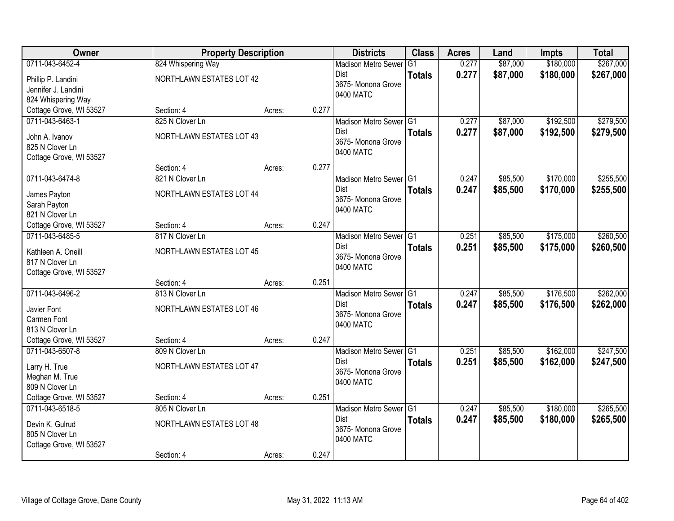| Owner                                      | <b>Property Description</b>   |        |       | <b>Districts</b>           | <b>Class</b>  | <b>Acres</b> | Land     | <b>Impts</b> | <b>Total</b> |
|--------------------------------------------|-------------------------------|--------|-------|----------------------------|---------------|--------------|----------|--------------|--------------|
| 0711-043-6452-4                            | 824 Whispering Way            |        |       | <b>Madison Metro Sewer</b> | G1            | 0.277        | \$87,000 | \$180,000    | \$267,000    |
| Phillip P. Landini                         | NORTHLAWN ESTATES LOT 42      |        |       | Dist                       | <b>Totals</b> | 0.277        | \$87,000 | \$180,000    | \$267,000    |
| Jennifer J. Landini                        |                               |        |       | 3675- Monona Grove         |               |              |          |              |              |
| 824 Whispering Way                         |                               |        |       | 0400 MATC                  |               |              |          |              |              |
| Cottage Grove, WI 53527                    | Section: 4                    | Acres: | 0.277 |                            |               |              |          |              |              |
| 0711-043-6463-1                            | 825 N Clover Ln               |        |       | Madison Metro Sewer G1     |               | 0.277        | \$87,000 | \$192,500    | \$279,500    |
| John A. Ivanov                             | NORTHLAWN ESTATES LOT 43      |        |       | Dist                       | <b>Totals</b> | 0.277        | \$87,000 | \$192,500    | \$279,500    |
| 825 N Clover Ln                            |                               |        |       | 3675- Monona Grove         |               |              |          |              |              |
| Cottage Grove, WI 53527                    |                               |        |       | 0400 MATC                  |               |              |          |              |              |
|                                            | Section: 4                    | Acres: | 0.277 |                            |               |              |          |              |              |
| 0711-043-6474-8                            | 821 N Clover Ln               |        |       | Madison Metro Sewer G1     |               | 0.247        | \$85,500 | \$170,000    | \$255,500    |
| James Payton                               | NORTHLAWN ESTATES LOT 44      |        |       | <b>Dist</b>                | <b>Totals</b> | 0.247        | \$85,500 | \$170,000    | \$255,500    |
| Sarah Payton                               |                               |        |       | 3675- Monona Grove         |               |              |          |              |              |
| 821 N Clover Ln                            |                               |        |       | 0400 MATC                  |               |              |          |              |              |
| Cottage Grove, WI 53527                    | Section: 4                    | Acres: | 0.247 |                            |               |              |          |              |              |
| 0711-043-6485-5                            | 817 N Clover Ln               |        |       | Madison Metro Sewer G1     |               | 0.251        | \$85,500 | \$175,000    | \$260,500    |
|                                            | NORTHLAWN ESTATES LOT 45      |        |       | Dist                       | <b>Totals</b> | 0.251        | \$85,500 | \$175,000    | \$260,500    |
| Kathleen A. Oneill<br>817 N Clover Ln      |                               |        |       | 3675- Monona Grove         |               |              |          |              |              |
| Cottage Grove, WI 53527                    |                               |        |       | 0400 MATC                  |               |              |          |              |              |
|                                            | Section: 4                    | Acres: | 0.251 |                            |               |              |          |              |              |
| 0711-043-6496-2                            | 813 N Clover Ln               |        |       | Madison Metro Sewer G1     |               | 0.247        | \$85,500 | \$176,500    | \$262,000    |
|                                            |                               |        |       | <b>Dist</b>                | <b>Totals</b> | 0.247        | \$85,500 | \$176,500    | \$262,000    |
| Javier Font                                | NORTHLAWN ESTATES LOT 46      |        |       | 3675- Monona Grove         |               |              |          |              |              |
| Carmen Font                                |                               |        |       | 0400 MATC                  |               |              |          |              |              |
| 813 N Clover Ln                            |                               |        |       |                            |               |              |          |              |              |
| Cottage Grove, WI 53527<br>0711-043-6507-8 | Section: 4<br>809 N Clover Ln | Acres: | 0.247 | Madison Metro Sewer G1     |               | 0.251        | \$85,500 | \$162,000    | \$247,500    |
|                                            |                               |        |       | Dist                       |               |              |          |              |              |
| Larry H. True                              | NORTHLAWN ESTATES LOT 47      |        |       | 3675- Monona Grove         | <b>Totals</b> | 0.251        | \$85,500 | \$162,000    | \$247,500    |
| Meghan M. True                             |                               |        |       | 0400 MATC                  |               |              |          |              |              |
| 809 N Clover Ln                            |                               |        |       |                            |               |              |          |              |              |
| Cottage Grove, WI 53527                    | Section: 4                    | Acres: | 0.251 |                            |               |              |          |              |              |
| 0711-043-6518-5                            | 805 N Clover Ln               |        |       | Madison Metro Sewer G1     |               | 0.247        | \$85,500 | \$180,000    | \$265,500    |
| Devin K. Gulrud                            | NORTHLAWN ESTATES LOT 48      |        |       | <b>Dist</b>                | <b>Totals</b> | 0.247        | \$85,500 | \$180,000    | \$265,500    |
| 805 N Clover Ln                            |                               |        |       | 3675-Monona Grove          |               |              |          |              |              |
| Cottage Grove, WI 53527                    |                               |        |       | 0400 MATC                  |               |              |          |              |              |
|                                            | Section: 4                    | Acres: | 0.247 |                            |               |              |          |              |              |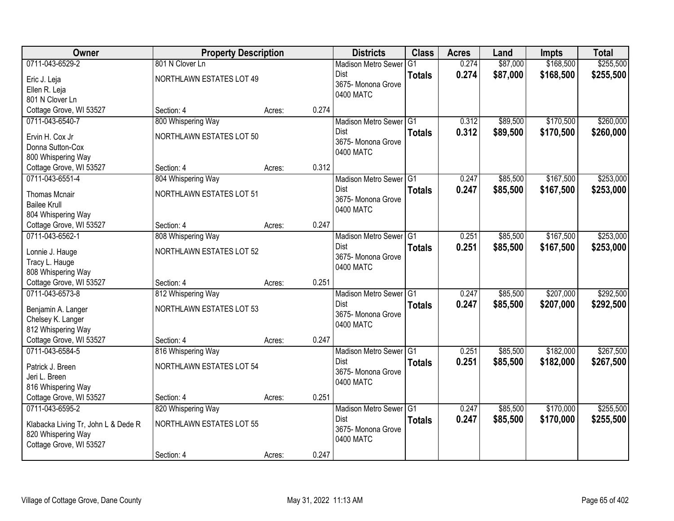| <b>Owner</b>                                | <b>Property Description</b>     |        |       | <b>Districts</b>           | <b>Class</b>   | <b>Acres</b> | Land     | <b>Impts</b> | <b>Total</b> |
|---------------------------------------------|---------------------------------|--------|-------|----------------------------|----------------|--------------|----------|--------------|--------------|
| 0711-043-6529-2                             | 801 N Clover Ln                 |        |       | <b>Madison Metro Sewer</b> | G <sub>1</sub> | 0.274        | \$87,000 | \$168,500    | \$255,500    |
| Eric J. Leja                                | NORTHLAWN ESTATES LOT 49        |        |       | Dist                       | <b>Totals</b>  | 0.274        | \$87,000 | \$168,500    | \$255,500    |
| Ellen R. Leja                               |                                 |        |       | 3675-Monona Grove          |                |              |          |              |              |
| 801 N Clover Ln                             |                                 |        |       | 0400 MATC                  |                |              |          |              |              |
| Cottage Grove, WI 53527                     | Section: 4                      | Acres: | 0.274 |                            |                |              |          |              |              |
| 0711-043-6540-7                             | 800 Whispering Way              |        |       | Madison Metro Sewer G1     |                | 0.312        | \$89,500 | \$170,500    | \$260,000    |
| Ervin H. Cox Jr                             | NORTHLAWN ESTATES LOT 50        |        |       | <b>Dist</b>                | <b>Totals</b>  | 0.312        | \$89,500 | \$170,500    | \$260,000    |
| Donna Sutton-Cox                            |                                 |        |       | 3675- Monona Grove         |                |              |          |              |              |
| 800 Whispering Way                          |                                 |        |       | 0400 MATC                  |                |              |          |              |              |
| Cottage Grove, WI 53527                     | Section: 4                      | Acres: | 0.312 |                            |                |              |          |              |              |
| 0711-043-6551-4                             | 804 Whispering Way              |        |       | Madison Metro Sewer G1     |                | 0.247        | \$85,500 | \$167,500    | \$253,000    |
|                                             | NORTHLAWN ESTATES LOT 51        |        |       | Dist                       | <b>Totals</b>  | 0.247        | \$85,500 | \$167,500    | \$253,000    |
| <b>Thomas Mcnair</b><br><b>Bailee Krull</b> |                                 |        |       | 3675- Monona Grove         |                |              |          |              |              |
| 804 Whispering Way                          |                                 |        |       | 0400 MATC                  |                |              |          |              |              |
| Cottage Grove, WI 53527                     | Section: 4                      | Acres: | 0.247 |                            |                |              |          |              |              |
| 0711-043-6562-1                             | 808 Whispering Way              |        |       | Madison Metro Sewer G1     |                | 0.251        | \$85,500 | \$167,500    | \$253,000    |
|                                             |                                 |        |       | Dist                       | <b>Totals</b>  | 0.251        | \$85,500 | \$167,500    | \$253,000    |
| Lonnie J. Hauge                             | NORTHLAWN ESTATES LOT 52        |        |       | 3675- Monona Grove         |                |              |          |              |              |
| Tracy L. Hauge                              |                                 |        |       | 0400 MATC                  |                |              |          |              |              |
| 808 Whispering Way                          |                                 |        |       |                            |                |              |          |              |              |
| Cottage Grove, WI 53527                     | Section: 4                      | Acres: | 0.251 |                            |                |              |          |              |              |
| 0711-043-6573-8                             | 812 Whispering Way              |        |       | <b>Madison Metro Sewer</b> | TG1            | 0.247        | \$85,500 | \$207,000    | \$292,500    |
| Benjamin A. Langer                          | NORTHLAWN ESTATES LOT 53        |        |       | Dist<br>3675- Monona Grove | <b>Totals</b>  | 0.247        | \$85,500 | \$207,000    | \$292,500    |
| Chelsey K. Langer                           |                                 |        |       | 0400 MATC                  |                |              |          |              |              |
| 812 Whispering Way                          |                                 |        |       |                            |                |              |          |              |              |
| Cottage Grove, WI 53527                     | Section: 4                      | Acres: | 0.247 |                            |                |              |          |              |              |
| 0711-043-6584-5                             | 816 Whispering Way              |        |       | Madison Metro Sewer G1     |                | 0.251        | \$85,500 | \$182,000    | \$267,500    |
| Patrick J. Breen                            | NORTHLAWN ESTATES LOT 54        |        |       | <b>Dist</b>                | <b>Totals</b>  | 0.251        | \$85,500 | \$182,000    | \$267,500    |
| Jeri L. Breen                               |                                 |        |       | 3675- Monona Grove         |                |              |          |              |              |
| 816 Whispering Way                          |                                 |        |       | 0400 MATC                  |                |              |          |              |              |
| Cottage Grove, WI 53527                     | Section: 4                      | Acres: | 0.251 |                            |                |              |          |              |              |
| 0711-043-6595-2                             | 820 Whispering Way              |        |       | Madison Metro Sewer G1     |                | 0.247        | \$85,500 | \$170,000    | \$255,500    |
| Klabacka Living Tr, John L & Dede R         | <b>NORTHLAWN ESTATES LOT 55</b> |        |       | Dist                       | <b>Totals</b>  | 0.247        | \$85,500 | \$170,000    | \$255,500    |
| 820 Whispering Way                          |                                 |        |       | 3675- Monona Grove         |                |              |          |              |              |
| Cottage Grove, WI 53527                     |                                 |        |       | 0400 MATC                  |                |              |          |              |              |
|                                             | Section: 4                      | Acres: | 0.247 |                            |                |              |          |              |              |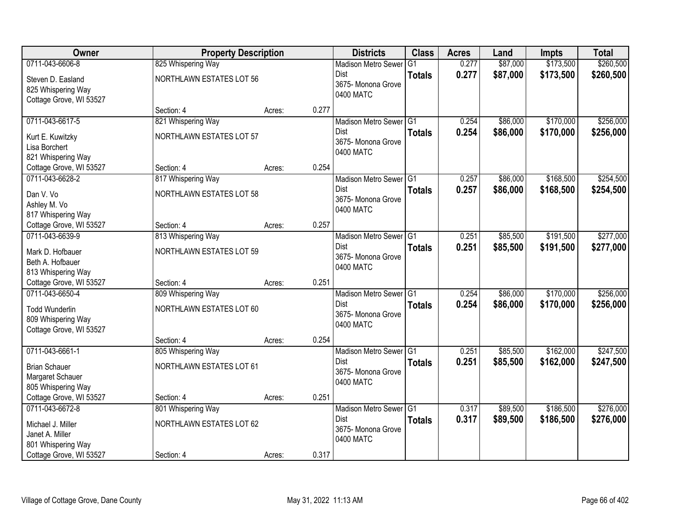| Owner                                                                                                    | <b>Property Description</b>                                         |        |       | <b>Districts</b>                                                                      | <b>Class</b>  | <b>Acres</b>   | Land                 | <b>Impts</b>           | <b>Total</b>           |
|----------------------------------------------------------------------------------------------------------|---------------------------------------------------------------------|--------|-------|---------------------------------------------------------------------------------------|---------------|----------------|----------------------|------------------------|------------------------|
| 0711-043-6606-8                                                                                          | 825 Whispering Way                                                  |        |       | <b>Madison Metro Sewer</b>                                                            | G1            | 0.277          | \$87,000             | \$173,500              | \$260,500              |
| Steven D. Easland<br>825 Whispering Way<br>Cottage Grove, WI 53527                                       | NORTHLAWN ESTATES LOT 56                                            |        |       | Dist<br>3675- Monona Grove<br>0400 MATC                                               | <b>Totals</b> | 0.277          | \$87,000             | \$173,500              | \$260,500              |
|                                                                                                          | Section: 4                                                          | Acres: | 0.277 |                                                                                       |               |                |                      |                        |                        |
| 0711-043-6617-5<br>Kurt E. Kuwitzky<br>Lisa Borchert<br>821 Whispering Way                               | 821 Whispering Way<br>NORTHLAWN ESTATES LOT 57                      |        |       | Madison Metro Sewer G1<br><b>Dist</b><br>3675- Monona Grove<br>0400 MATC              | <b>Totals</b> | 0.254<br>0.254 | \$86,000<br>\$86,000 | \$170,000<br>\$170,000 | \$256,000<br>\$256,000 |
| Cottage Grove, WI 53527                                                                                  | Section: 4                                                          | Acres: | 0.254 |                                                                                       |               |                |                      |                        |                        |
| 0711-043-6628-2<br>Dan V. Vo<br>Ashley M. Vo<br>817 Whispering Way                                       | 817 Whispering Way<br><b>NORTHLAWN ESTATES LOT 58</b>               |        |       | Madison Metro Sewer G1<br>Dist<br>3675-Monona Grove<br>0400 MATC                      | <b>Totals</b> | 0.257<br>0.257 | \$86,000<br>\$86,000 | \$168,500<br>\$168,500 | \$254,500<br>\$254,500 |
| Cottage Grove, WI 53527                                                                                  | Section: 4                                                          | Acres: | 0.257 |                                                                                       |               |                |                      |                        |                        |
| 0711-043-6639-9<br>Mark D. Hofbauer<br>Beth A. Hofbauer<br>813 Whispering Way                            | 813 Whispering Way<br>NORTHLAWN ESTATES LOT 59                      |        |       | Madison Metro Sewer G1<br>Dist<br>3675- Monona Grove<br>0400 MATC                     | <b>Totals</b> | 0.251<br>0.251 | \$85,500<br>\$85,500 | \$191,500<br>\$191,500 | \$277,000<br>\$277,000 |
| Cottage Grove, WI 53527                                                                                  | Section: 4                                                          | Acres: | 0.251 |                                                                                       |               |                |                      |                        |                        |
| 0711-043-6650-4<br><b>Todd Wunderlin</b><br>809 Whispering Way<br>Cottage Grove, WI 53527                | 809 Whispering Way<br>NORTHLAWN ESTATES LOT 60<br>Section: 4        |        | 0.254 | Madison Metro Sewer <sup>1</sup> G1<br><b>Dist</b><br>3675- Monona Grove<br>0400 MATC | <b>Totals</b> | 0.254<br>0.254 | \$86,000<br>\$86,000 | \$170,000<br>\$170,000 | \$256,000<br>\$256,000 |
| 0711-043-6661-1                                                                                          | 805 Whispering Way                                                  | Acres: |       | Madison Metro Sewer G1                                                                |               | 0.251          | \$85,500             | \$162,000              | \$247,500              |
| <b>Brian Schauer</b><br>Margaret Schauer<br>805 Whispering Way                                           | NORTHLAWN ESTATES LOT 61                                            |        |       | <b>Dist</b><br>3675- Monona Grove<br>0400 MATC                                        | <b>Totals</b> | 0.251          | \$85,500             | \$162,000              | \$247,500              |
| Cottage Grove, WI 53527                                                                                  | Section: 4                                                          | Acres: | 0.251 |                                                                                       |               |                |                      |                        |                        |
| 0711-043-6672-8<br>Michael J. Miller<br>Janet A. Miller<br>801 Whispering Way<br>Cottage Grove, WI 53527 | 801 Whispering Way<br><b>NORTHLAWN ESTATES LOT 62</b><br>Section: 4 | Acres: | 0.317 | Madison Metro Sewer G1<br>Dist<br>3675- Monona Grove<br>0400 MATC                     | <b>Totals</b> | 0.317<br>0.317 | \$89,500<br>\$89,500 | \$186,500<br>\$186,500 | \$276,000<br>\$276,000 |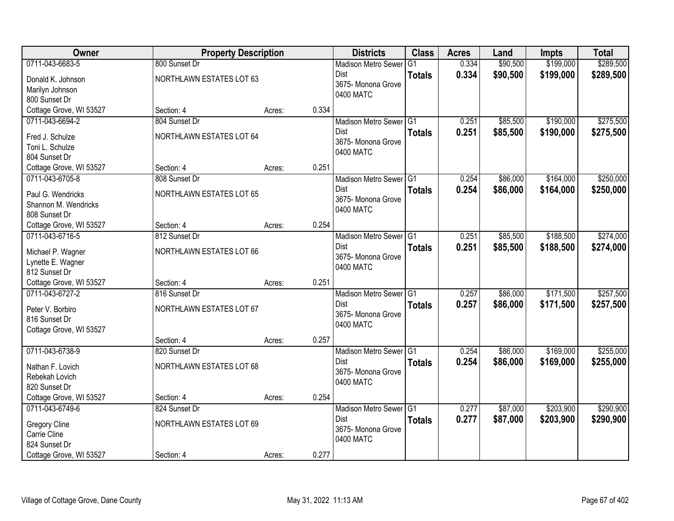| Owner                   | <b>Property Description</b> |        |       | <b>Districts</b>                | <b>Class</b>  | <b>Acres</b> | Land     | <b>Impts</b> | <b>Total</b> |
|-------------------------|-----------------------------|--------|-------|---------------------------------|---------------|--------------|----------|--------------|--------------|
| 0711-043-6683-5         | 800 Sunset Dr               |        |       | <b>Madison Metro Sewer</b>      | G1            | 0.334        | \$90,500 | \$199,000    | \$289,500    |
| Donald K. Johnson       | NORTHLAWN ESTATES LOT 63    |        |       | Dist                            | <b>Totals</b> | 0.334        | \$90,500 | \$199,000    | \$289,500    |
| Marilyn Johnson         |                             |        |       | 3675- Monona Grove              |               |              |          |              |              |
| 800 Sunset Dr           |                             |        |       | 0400 MATC                       |               |              |          |              |              |
| Cottage Grove, WI 53527 | Section: 4                  | Acres: | 0.334 |                                 |               |              |          |              |              |
| 0711-043-6694-2         | 804 Sunset Dr               |        |       | Madison Metro Sewer G1          |               | 0.251        | \$85,500 | \$190,000    | \$275,500    |
| Fred J. Schulze         | NORTHLAWN ESTATES LOT 64    |        |       | <b>Dist</b>                     | <b>Totals</b> | 0.251        | \$85,500 | \$190,000    | \$275,500    |
| Toni L. Schulze         |                             |        |       | 3675- Monona Grove<br>0400 MATC |               |              |          |              |              |
| 804 Sunset Dr           |                             |        |       |                                 |               |              |          |              |              |
| Cottage Grove, WI 53527 | Section: 4                  | Acres: | 0.251 |                                 |               |              |          |              |              |
| 0711-043-6705-8         | 808 Sunset Dr               |        |       | Madison Metro Sewer G1          |               | 0.254        | \$86,000 | \$164,000    | \$250,000    |
| Paul G. Wendricks       | NORTHLAWN ESTATES LOT 65    |        |       | Dist                            | <b>Totals</b> | 0.254        | \$86,000 | \$164,000    | \$250,000    |
| Shannon M. Wendricks    |                             |        |       | 3675- Monona Grove              |               |              |          |              |              |
| 808 Sunset Dr           |                             |        |       | 0400 MATC                       |               |              |          |              |              |
| Cottage Grove, WI 53527 | Section: 4                  | Acres: | 0.254 |                                 |               |              |          |              |              |
| 0711-043-6716-5         | 812 Sunset Dr               |        |       | Madison Metro Sewer G1          |               | 0.251        | \$85,500 | \$188,500    | \$274,000    |
| Michael P. Wagner       | NORTHLAWN ESTATES LOT 66    |        |       | Dist                            | <b>Totals</b> | 0.251        | \$85,500 | \$188,500    | \$274,000    |
| Lynette E. Wagner       |                             |        |       | 3675- Monona Grove              |               |              |          |              |              |
| 812 Sunset Dr           |                             |        |       | 0400 MATC                       |               |              |          |              |              |
| Cottage Grove, WI 53527 | Section: 4                  | Acres: | 0.251 |                                 |               |              |          |              |              |
| 0711-043-6727-2         | 816 Sunset Dr               |        |       | Madison Metro Sewer G1          |               | 0.257        | \$86,000 | \$171,500    | \$257,500    |
| Peter V. Borbiro        | NORTHLAWN ESTATES LOT 67    |        |       | <b>Dist</b>                     | <b>Totals</b> | 0.257        | \$86,000 | \$171,500    | \$257,500    |
| 816 Sunset Dr           |                             |        |       | 3675- Monona Grove              |               |              |          |              |              |
| Cottage Grove, WI 53527 |                             |        |       | 0400 MATC                       |               |              |          |              |              |
|                         | Section: 4                  | Acres: | 0.257 |                                 |               |              |          |              |              |
| 0711-043-6738-9         | 820 Sunset Dr               |        |       | Madison Metro Sewer G1          |               | 0.254        | \$86,000 | \$169,000    | \$255,000    |
| Nathan F. Lovich        | NORTHLAWN ESTATES LOT 68    |        |       | Dist                            | <b>Totals</b> | 0.254        | \$86,000 | \$169,000    | \$255,000    |
| Rebekah Lovich          |                             |        |       | 3675- Monona Grove              |               |              |          |              |              |
| 820 Sunset Dr           |                             |        |       | 0400 MATC                       |               |              |          |              |              |
| Cottage Grove, WI 53527 | Section: 4                  | Acres: | 0.254 |                                 |               |              |          |              |              |
| 0711-043-6749-6         | 824 Sunset Dr               |        |       | Madison Metro Sewer G1          |               | 0.277        | \$87,000 | \$203,900    | \$290,900    |
| <b>Gregory Cline</b>    | NORTHLAWN ESTATES LOT 69    |        |       | <b>Dist</b>                     | <b>Totals</b> | 0.277        | \$87,000 | \$203,900    | \$290,900    |
| Carrie Cline            |                             |        |       | 3675- Monona Grove              |               |              |          |              |              |
| 824 Sunset Dr           |                             |        |       | 0400 MATC                       |               |              |          |              |              |
| Cottage Grove, WI 53527 | Section: 4                  | Acres: | 0.277 |                                 |               |              |          |              |              |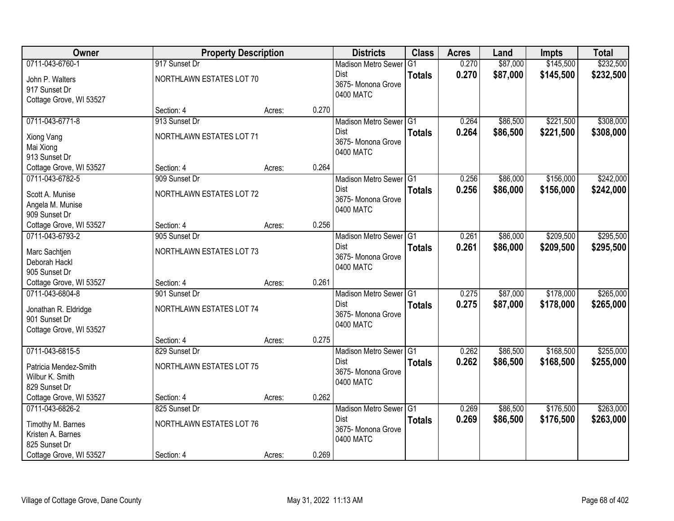| Owner                   | <b>Property Description</b> |        |       | <b>Districts</b>           | <b>Class</b>  | <b>Acres</b> | Land     | <b>Impts</b> | <b>Total</b> |
|-------------------------|-----------------------------|--------|-------|----------------------------|---------------|--------------|----------|--------------|--------------|
| 0711-043-6760-1         | 917 Sunset Dr               |        |       | <b>Madison Metro Sewer</b> | G1            | 0.270        | \$87,000 | \$145,500    | \$232,500    |
| John P. Walters         | NORTHLAWN ESTATES LOT 70    |        |       | Dist                       | <b>Totals</b> | 0.270        | \$87,000 | \$145,500    | \$232,500    |
| 917 Sunset Dr           |                             |        |       | 3675- Monona Grove         |               |              |          |              |              |
| Cottage Grove, WI 53527 |                             |        |       | 0400 MATC                  |               |              |          |              |              |
|                         | Section: 4                  | Acres: | 0.270 |                            |               |              |          |              |              |
| 0711-043-6771-8         | 913 Sunset Dr               |        |       | Madison Metro Sewer G1     |               | 0.264        | \$86,500 | \$221,500    | \$308,000    |
| Xiong Vang              | NORTHLAWN ESTATES LOT 71    |        |       | <b>Dist</b>                | <b>Totals</b> | 0.264        | \$86,500 | \$221,500    | \$308,000    |
| Mai Xiong               |                             |        |       | 3675- Monona Grove         |               |              |          |              |              |
| 913 Sunset Dr           |                             |        |       | 0400 MATC                  |               |              |          |              |              |
| Cottage Grove, WI 53527 | Section: 4                  | Acres: | 0.264 |                            |               |              |          |              |              |
| 0711-043-6782-5         | 909 Sunset Dr               |        |       | Madison Metro Sewer G1     |               | 0.256        | \$86,000 | \$156,000    | \$242,000    |
| Scott A. Munise         | NORTHLAWN ESTATES LOT 72    |        |       | Dist                       | <b>Totals</b> | 0.256        | \$86,000 | \$156,000    | \$242,000    |
| Angela M. Munise        |                             |        |       | 3675- Monona Grove         |               |              |          |              |              |
| 909 Sunset Dr           |                             |        |       | 0400 MATC                  |               |              |          |              |              |
| Cottage Grove, WI 53527 | Section: 4                  | Acres: | 0.256 |                            |               |              |          |              |              |
| 0711-043-6793-2         | 905 Sunset Dr               |        |       | Madison Metro Sewer G1     |               | 0.261        | \$86,000 | \$209,500    | \$295,500    |
| Marc Sachtjen           | NORTHLAWN ESTATES LOT 73    |        |       | Dist                       | <b>Totals</b> | 0.261        | \$86,000 | \$209,500    | \$295,500    |
| Deborah Hackl           |                             |        |       | 3675- Monona Grove         |               |              |          |              |              |
| 905 Sunset Dr           |                             |        |       | 0400 MATC                  |               |              |          |              |              |
| Cottage Grove, WI 53527 | Section: 4                  | Acres: | 0.261 |                            |               |              |          |              |              |
| 0711-043-6804-8         | 901 Sunset Dr               |        |       | Madison Metro Sewer G1     |               | 0.275        | \$87,000 | \$178,000    | \$265,000    |
| Jonathan R. Eldridge    | NORTHLAWN ESTATES LOT 74    |        |       | <b>Dist</b>                | <b>Totals</b> | 0.275        | \$87,000 | \$178,000    | \$265,000    |
| 901 Sunset Dr           |                             |        |       | 3675- Monona Grove         |               |              |          |              |              |
| Cottage Grove, WI 53527 |                             |        |       | 0400 MATC                  |               |              |          |              |              |
|                         | Section: 4                  | Acres: | 0.275 |                            |               |              |          |              |              |
| 0711-043-6815-5         | 829 Sunset Dr               |        |       | Madison Metro Sewer G1     |               | 0.262        | \$86,500 | \$168,500    | \$255,000    |
| Patricia Mendez-Smith   | NORTHLAWN ESTATES LOT 75    |        |       | Dist                       | <b>Totals</b> | 0.262        | \$86,500 | \$168,500    | \$255,000    |
| Wilbur K. Smith         |                             |        |       | 3675- Monona Grove         |               |              |          |              |              |
| 829 Sunset Dr           |                             |        |       | 0400 MATC                  |               |              |          |              |              |
| Cottage Grove, WI 53527 | Section: 4                  | Acres: | 0.262 |                            |               |              |          |              |              |
| 0711-043-6826-2         | 825 Sunset Dr               |        |       | Madison Metro Sewer G1     |               | 0.269        | \$86,500 | \$176,500    | \$263,000    |
| Timothy M. Barnes       | NORTHLAWN ESTATES LOT 76    |        |       | <b>Dist</b>                | <b>Totals</b> | 0.269        | \$86,500 | \$176,500    | \$263,000    |
| Kristen A. Barnes       |                             |        |       | 3675- Monona Grove         |               |              |          |              |              |
| 825 Sunset Dr           |                             |        |       | 0400 MATC                  |               |              |          |              |              |
| Cottage Grove, WI 53527 | Section: 4                  | Acres: | 0.269 |                            |               |              |          |              |              |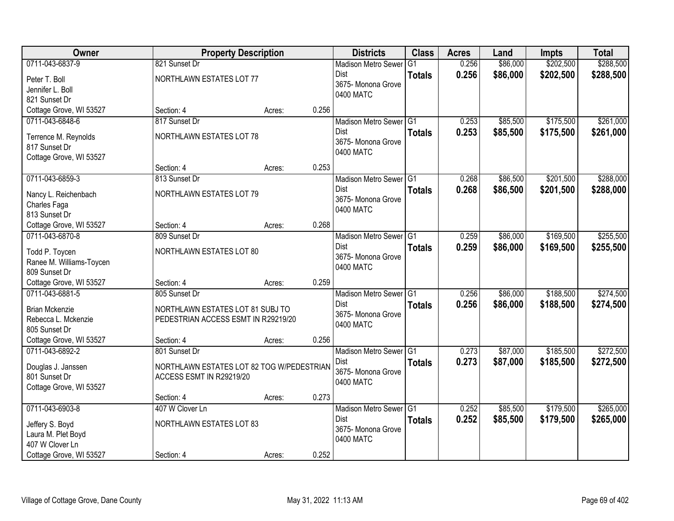| Owner                                      | <b>Property Description</b>               |                 | <b>Districts</b>                      | <b>Class</b>  | <b>Acres</b> | Land     | <b>Impts</b> | <b>Total</b> |
|--------------------------------------------|-------------------------------------------|-----------------|---------------------------------------|---------------|--------------|----------|--------------|--------------|
| 0711-043-6837-9                            | 821 Sunset Dr                             |                 | <b>Madison Metro Sewer</b>            | G1            | 0.256        | \$86,000 | \$202,500    | \$288,500    |
| Peter T. Boll                              | NORTHLAWN ESTATES LOT 77                  |                 | Dist                                  | <b>Totals</b> | 0.256        | \$86,000 | \$202,500    | \$288,500    |
| Jennifer L. Boll                           |                                           |                 | 3675- Monona Grove                    |               |              |          |              |              |
| 821 Sunset Dr                              |                                           |                 | 0400 MATC                             |               |              |          |              |              |
| Cottage Grove, WI 53527                    | Section: 4                                | 0.256<br>Acres: |                                       |               |              |          |              |              |
| 0711-043-6848-6                            | 817 Sunset Dr                             |                 | Madison Metro Sewer G1                |               | 0.253        | \$85,500 | \$175,500    | \$261,000    |
| Terrence M. Reynolds                       | NORTHLAWN ESTATES LOT 78                  |                 | <b>Dist</b>                           | <b>Totals</b> | 0.253        | \$85,500 | \$175,500    | \$261,000    |
| 817 Sunset Dr                              |                                           |                 | 3675- Monona Grove                    |               |              |          |              |              |
| Cottage Grove, WI 53527                    |                                           |                 | 0400 MATC                             |               |              |          |              |              |
|                                            | Section: 4                                | 0.253<br>Acres: |                                       |               |              |          |              |              |
| 0711-043-6859-3                            | 813 Sunset Dr                             |                 | Madison Metro Sewer G1                |               | 0.268        | \$86,500 | \$201,500    | \$288,000    |
|                                            | NORTHLAWN ESTATES LOT 79                  |                 | Dist                                  | <b>Totals</b> | 0.268        | \$86,500 | \$201,500    | \$288,000    |
| Nancy L. Reichenbach<br>Charles Faga       |                                           |                 | 3675- Monona Grove                    |               |              |          |              |              |
| 813 Sunset Dr                              |                                           |                 | 0400 MATC                             |               |              |          |              |              |
| Cottage Grove, WI 53527                    | Section: 4                                | 0.268<br>Acres: |                                       |               |              |          |              |              |
| 0711-043-6870-8                            | 809 Sunset Dr                             |                 | Madison Metro Sewer G1                |               | 0.259        | \$86,000 | \$169,500    | \$255,500    |
|                                            |                                           |                 | Dist                                  | <b>Totals</b> | 0.259        | \$86,000 | \$169,500    | \$255,500    |
| Todd P. Toycen                             | NORTHLAWN ESTATES LOT 80                  |                 | 3675- Monona Grove                    |               |              |          |              |              |
| Ranee M. Williams-Toycen                   |                                           |                 | 0400 MATC                             |               |              |          |              |              |
| 809 Sunset Dr                              | Section: 4                                | 0.259           |                                       |               |              |          |              |              |
| Cottage Grove, WI 53527<br>0711-043-6881-5 | 805 Sunset Dr                             | Acres:          |                                       |               | 0.256        | \$86,000 | \$188,500    | \$274,500    |
|                                            |                                           |                 | Madison Metro Sewer G1<br><b>Dist</b> |               |              |          |              |              |
| <b>Brian Mckenzie</b>                      | NORTHLAWN ESTATES LOT 81 SUBJ TO          |                 | 3675- Monona Grove                    | <b>Totals</b> | 0.256        | \$86,000 | \$188,500    | \$274,500    |
| Rebecca L. Mckenzie                        | PEDESTRIAN ACCESS ESMT IN R29219/20       |                 | 0400 MATC                             |               |              |          |              |              |
| 805 Sunset Dr                              |                                           |                 |                                       |               |              |          |              |              |
| Cottage Grove, WI 53527                    | Section: 4                                | 0.256<br>Acres: |                                       |               |              |          |              |              |
| 0711-043-6892-2                            | 801 Sunset Dr                             |                 | Madison Metro Sewer G1                |               | 0.273        | \$87,000 | \$185,500    | \$272,500    |
| Douglas J. Janssen                         | NORTHLAWN ESTATES LOT 82 TOG W/PEDESTRIAN |                 | Dist                                  | <b>Totals</b> | 0.273        | \$87,000 | \$185,500    | \$272,500    |
| 801 Sunset Dr                              | ACCESS ESMT IN R29219/20                  |                 | 3675- Monona Grove                    |               |              |          |              |              |
| Cottage Grove, WI 53527                    |                                           |                 | 0400 MATC                             |               |              |          |              |              |
|                                            | Section: 4                                | 0.273<br>Acres: |                                       |               |              |          |              |              |
| 0711-043-6903-8                            | 407 W Clover Ln                           |                 | Madison Metro Sewer G1                |               | 0.252        | \$85,500 | \$179,500    | \$265,000    |
| Jeffery S. Boyd                            | NORTHLAWN ESTATES LOT 83                  |                 | <b>Dist</b>                           | <b>Totals</b> | 0.252        | \$85,500 | \$179,500    | \$265,000    |
| Laura M. Plet Boyd                         |                                           |                 | 3675- Monona Grove                    |               |              |          |              |              |
| 407 W Clover Ln                            |                                           |                 | 0400 MATC                             |               |              |          |              |              |
| Cottage Grove, WI 53527                    | Section: 4                                | 0.252<br>Acres: |                                       |               |              |          |              |              |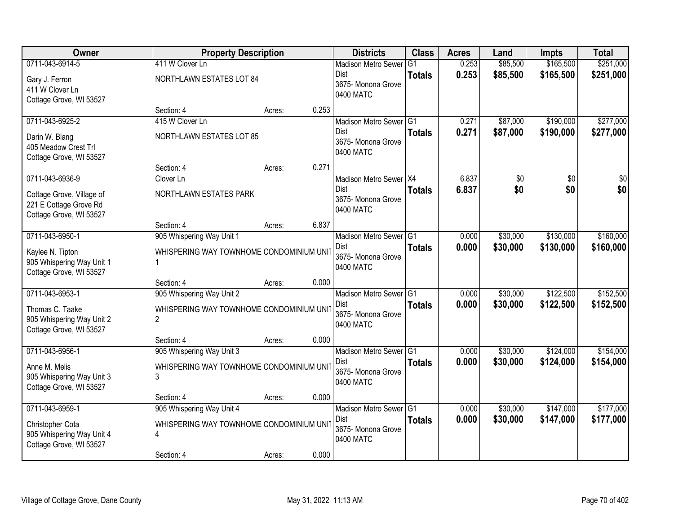| Owner                                                                          | <b>Property Description</b>                               |        |       | <b>Districts</b>                               | <b>Class</b>  | <b>Acres</b> | Land     | <b>Impts</b> | <b>Total</b> |
|--------------------------------------------------------------------------------|-----------------------------------------------------------|--------|-------|------------------------------------------------|---------------|--------------|----------|--------------|--------------|
| 0711-043-6914-5                                                                | 411 W Clover Ln                                           |        |       | <b>Madison Metro Sewer</b>                     | G1            | 0.253        | \$85,500 | \$165,500    | \$251,000    |
| Gary J. Ferron<br>411 W Clover Ln<br>Cottage Grove, WI 53527                   | NORTHLAWN ESTATES LOT 84                                  |        |       | Dist<br>3675- Monona Grove<br>0400 MATC        | <b>Totals</b> | 0.253        | \$85,500 | \$165,500    | \$251,000    |
|                                                                                | Section: 4                                                | Acres: | 0.253 |                                                |               |              |          |              |              |
| 0711-043-6925-2                                                                | 415 W Clover Ln                                           |        |       | Madison Metro Sewer G1                         |               | 0.271        | \$87,000 | \$190,000    | \$277,000    |
| Darin W. Blang<br>405 Meadow Crest Trl<br>Cottage Grove, WI 53527              | <b>NORTHLAWN ESTATES LOT 85</b>                           |        |       | <b>Dist</b><br>3675- Monona Grove<br>0400 MATC | <b>Totals</b> | 0.271        | \$87,000 | \$190,000    | \$277,000    |
|                                                                                | Section: 4                                                | Acres: | 0.271 |                                                |               |              |          |              |              |
| 0711-043-6936-9                                                                | Clover Ln                                                 |        |       | Madison Metro Sewer X4                         |               | 6.837        | \$0      | \$0          | \$0          |
| Cottage Grove, Village of<br>221 E Cottage Grove Rd<br>Cottage Grove, WI 53527 | NORTHLAWN ESTATES PARK                                    |        |       | Dist<br>3675- Monona Grove<br>0400 MATC        | <b>Totals</b> | 6.837        | \$0      | \$0          | \$0          |
|                                                                                | Section: 4                                                | Acres: | 6.837 |                                                |               |              |          |              |              |
| 0711-043-6950-1                                                                | 905 Whispering Way Unit 1                                 |        |       | Madison Metro Sewer G1                         |               | 0.000        | \$30,000 | \$130,000    | \$160,000    |
| Kaylee N. Tipton<br>905 Whispering Way Unit 1<br>Cottage Grove, WI 53527       | WHISPERING WAY TOWNHOME CONDOMINIUM UNIT                  |        |       | Dist<br>3675- Monona Grove<br>0400 MATC        | <b>Totals</b> | 0.000        | \$30,000 | \$130,000    | \$160,000    |
|                                                                                | Section: 4                                                | Acres: | 0.000 |                                                |               |              |          |              |              |
| 0711-043-6953-1                                                                | 905 Whispering Way Unit 2                                 |        |       | Madison Metro Sewer G1                         |               | 0.000        | \$30,000 | \$122,500    | \$152,500    |
| Thomas C. Taake<br>905 Whispering Way Unit 2<br>Cottage Grove, WI 53527        | WHISPERING WAY TOWNHOME CONDOMINIUM UNI<br>$\overline{2}$ |        |       | Dist<br>3675- Monona Grove<br>0400 MATC        | <b>Totals</b> | 0.000        | \$30,000 | \$122,500    | \$152,500    |
|                                                                                | Section: 4                                                | Acres: | 0.000 |                                                |               |              |          |              |              |
| 0711-043-6956-1                                                                | 905 Whispering Way Unit 3                                 |        |       | Madison Metro Sewer G1                         |               | 0.000        | \$30,000 | \$124,000    | \$154,000    |
| Anne M. Melis<br>905 Whispering Way Unit 3<br>Cottage Grove, WI 53527          | WHISPERING WAY TOWNHOME CONDOMINIUM UNI<br>3              |        |       | Dist<br>3675- Monona Grove<br>0400 MATC        | <b>Totals</b> | 0.000        | \$30,000 | \$124,000    | \$154,000    |
|                                                                                | Section: 4                                                | Acres: | 0.000 |                                                |               |              |          |              |              |
| 0711-043-6959-1                                                                | 905 Whispering Way Unit 4                                 |        |       | Madison Metro Sewer G1                         |               | 0.000        | \$30,000 | \$147,000    | \$177,000    |
| Christopher Cota<br>905 Whispering Way Unit 4<br>Cottage Grove, WI 53527       | WHISPERING WAY TOWNHOME CONDOMINIUM UNI<br>4              |        |       | Dist<br>3675- Monona Grove<br>0400 MATC        | <b>Totals</b> | 0.000        | \$30,000 | \$147,000    | \$177,000    |
|                                                                                | Section: 4                                                | Acres: | 0.000 |                                                |               |              |          |              |              |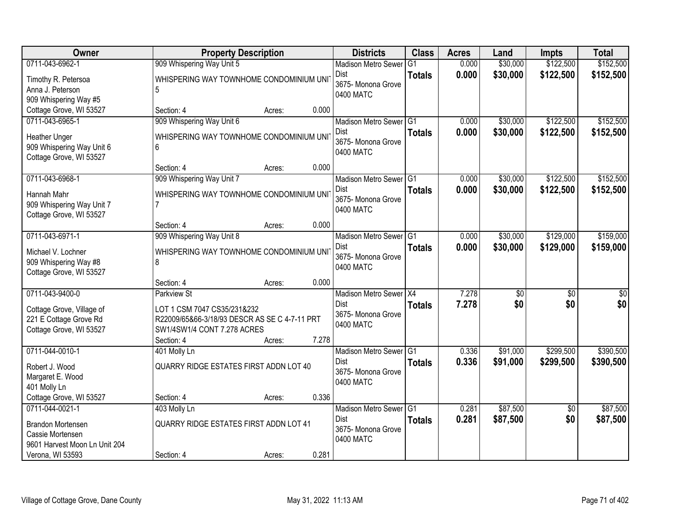| Owner                                                                          |                                                                                                             | <b>Property Description</b> |       | <b>Districts</b>                               | <b>Class</b>  | <b>Acres</b> | Land     | <b>Impts</b>    | <b>Total</b>    |
|--------------------------------------------------------------------------------|-------------------------------------------------------------------------------------------------------------|-----------------------------|-------|------------------------------------------------|---------------|--------------|----------|-----------------|-----------------|
| 0711-043-6962-1                                                                | 909 Whispering Way Unit 5                                                                                   |                             |       | <b>Madison Metro Sewer</b>                     | G1            | 0.000        | \$30,000 | \$122,500       | \$152,500       |
| Timothy R. Petersoa<br>Anna J. Peterson<br>909 Whispering Way #5               | WHISPERING WAY TOWNHOME CONDOMINIUM UNI<br>5                                                                |                             |       | Dist<br>3675-Monona Grove<br>0400 MATC         | <b>Totals</b> | 0.000        | \$30,000 | \$122,500       | \$152,500       |
| Cottage Grove, WI 53527                                                        | Section: 4                                                                                                  | Acres:                      | 0.000 |                                                |               |              |          |                 |                 |
| 0711-043-6965-1                                                                | 909 Whispering Way Unit 6                                                                                   |                             |       | Madison Metro Sewer G1                         |               | 0.000        | \$30,000 | \$122,500       | \$152,500       |
| Heather Unger<br>909 Whispering Way Unit 6<br>Cottage Grove, WI 53527          | WHISPERING WAY TOWNHOME CONDOMINIUM UNI<br>6                                                                |                             |       | Dist<br>3675- Monona Grove<br>0400 MATC        | <b>Totals</b> | 0.000        | \$30,000 | \$122,500       | \$152,500       |
|                                                                                | Section: 4                                                                                                  | Acres:                      | 0.000 |                                                |               |              |          |                 |                 |
| 0711-043-6968-1                                                                | 909 Whispering Way Unit 7                                                                                   |                             |       | Madison Metro Sewer G1                         |               | 0.000        | \$30,000 | \$122,500       | \$152,500       |
| Hannah Mahr<br>909 Whispering Way Unit 7<br>Cottage Grove, WI 53527            | WHISPERING WAY TOWNHOME CONDOMINIUM UNI                                                                     |                             |       | <b>Dist</b><br>3675- Monona Grove<br>0400 MATC | <b>Totals</b> | 0.000        | \$30,000 | \$122,500       | \$152,500       |
|                                                                                | Section: 4                                                                                                  | Acres:                      | 0.000 |                                                |               |              |          |                 |                 |
| 0711-043-6971-1                                                                | 909 Whispering Way Unit 8                                                                                   |                             |       | Madison Metro Sewer G1                         |               | 0.000        | \$30,000 | \$129,000       | \$159,000       |
| Michael V. Lochner<br>909 Whispering Way #8<br>Cottage Grove, WI 53527         | WHISPERING WAY TOWNHOME CONDOMINIUM UNIT<br>8                                                               |                             |       | <b>Dist</b><br>3675-Monona Grove<br>0400 MATC  | <b>Totals</b> | 0.000        | \$30,000 | \$129,000       | \$159,000       |
|                                                                                | Section: 4                                                                                                  | Acres:                      | 0.000 |                                                |               |              |          |                 |                 |
| 0711-043-9400-0                                                                | <b>Parkview St</b>                                                                                          |                             |       | Madison Metro Sewer   X4                       |               | 7.278        | \$0      | $\overline{50}$ | $\overline{50}$ |
| Cottage Grove, Village of<br>221 E Cottage Grove Rd<br>Cottage Grove, WI 53527 | LOT 1 CSM 7047 CS35/231&232<br>R22009/65&66-3/18/93 DESCR AS SE C 4-7-11 PRT<br>SW1/4SW1/4 CONT 7.278 ACRES |                             |       | Dist<br>3675- Monona Grove<br>0400 MATC        | <b>Totals</b> | 7.278        | \$0      | \$0             | \$0             |
|                                                                                | Section: 4                                                                                                  | Acres:                      | 7.278 |                                                |               |              |          |                 |                 |
| 0711-044-0010-1                                                                | 401 Molly Ln                                                                                                |                             |       | Madison Metro Sewer G1<br><b>Dist</b>          |               | 0.336        | \$91,000 | \$299,500       | \$390,500       |
| Robert J. Wood<br>Margaret E. Wood<br>401 Molly Ln                             | <b>QUARRY RIDGE ESTATES FIRST ADDN LOT 40</b>                                                               |                             |       | 3675- Monona Grove<br>0400 MATC                | <b>Totals</b> | 0.336        | \$91,000 | \$299,500       | \$390,500       |
| Cottage Grove, WI 53527                                                        | Section: 4                                                                                                  | Acres:                      | 0.336 |                                                |               |              |          |                 |                 |
| 0711-044-0021-1                                                                | 403 Molly Ln                                                                                                |                             |       | Madison Metro Sewer G1                         |               | 0.281        | \$87,500 | $\overline{50}$ | \$87,500        |
| <b>Brandon Mortensen</b><br>Cassie Mortensen<br>9601 Harvest Moon Ln Unit 204  | QUARRY RIDGE ESTATES FIRST ADDN LOT 41                                                                      |                             |       | <b>Dist</b><br>3675- Monona Grove<br>0400 MATC | <b>Totals</b> | 0.281        | \$87,500 | \$0             | \$87,500        |
| Verona, WI 53593                                                               | Section: 4                                                                                                  | Acres:                      | 0.281 |                                                |               |              |          |                 |                 |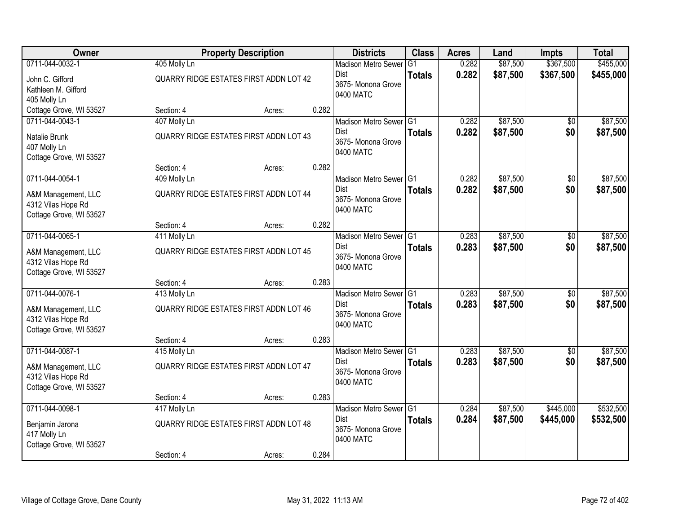| Owner                                                                                   |                            | <b>Property Description</b>                             |       | <b>Districts</b>                                                         | <b>Class</b>  | <b>Acres</b>   | Land                 | <b>Impts</b>           | <b>Total</b>           |
|-----------------------------------------------------------------------------------------|----------------------------|---------------------------------------------------------|-------|--------------------------------------------------------------------------|---------------|----------------|----------------------|------------------------|------------------------|
| 0711-044-0032-1                                                                         | 405 Molly Ln               |                                                         |       | <b>Madison Metro Sewer</b>                                               | G1            | 0.282          | \$87,500             | \$367,500              | \$455,000              |
| John C. Gifford<br>Kathleen M. Gifford<br>405 Molly Ln                                  |                            | QUARRY RIDGE ESTATES FIRST ADDN LOT 42                  |       | <b>Dist</b><br>3675- Monona Grove<br>0400 MATC                           | <b>Totals</b> | 0.282          | \$87,500             | \$367,500              | \$455,000              |
| Cottage Grove, WI 53527                                                                 | Section: 4                 | Acres:                                                  | 0.282 |                                                                          |               |                |                      |                        |                        |
| 0711-044-0043-1<br>Natalie Brunk<br>407 Molly Ln<br>Cottage Grove, WI 53527             | 407 Molly Ln               | <b>QUARRY RIDGE ESTATES FIRST ADDN LOT 43</b>           |       | Madison Metro Sewer G1<br>Dist<br>3675- Monona Grove<br>0400 MATC        | <b>Totals</b> | 0.282<br>0.282 | \$87,500<br>\$87,500 | $\sqrt{$0}$<br>\$0     | \$87,500<br>\$87,500   |
|                                                                                         | Section: 4                 | Acres:                                                  | 0.282 |                                                                          |               |                |                      |                        |                        |
| 0711-044-0054-1<br>A&M Management, LLC<br>4312 Vilas Hope Rd<br>Cottage Grove, WI 53527 | 409 Molly Ln               | <b>QUARRY RIDGE ESTATES FIRST ADDN LOT 44</b>           |       | Madison Metro Sewer G1<br><b>Dist</b><br>3675- Monona Grove<br>0400 MATC | <b>Totals</b> | 0.282<br>0.282 | \$87,500<br>\$87,500 | \$0<br>\$0             | \$87,500<br>\$87,500   |
|                                                                                         | Section: 4                 | Acres:                                                  | 0.282 |                                                                          |               |                |                      |                        |                        |
| 0711-044-0065-1<br>A&M Management, LLC<br>4312 Vilas Hope Rd<br>Cottage Grove, WI 53527 | 411 Molly Ln               | QUARRY RIDGE ESTATES FIRST ADDN LOT 45                  |       | Madison Metro Sewer G1<br>Dist<br>3675- Monona Grove<br>0400 MATC        | <b>Totals</b> | 0.283<br>0.283 | \$87,500<br>\$87,500 | \$0<br>\$0             | \$87,500<br>\$87,500   |
|                                                                                         | Section: 4                 | Acres:                                                  | 0.283 |                                                                          |               |                |                      |                        |                        |
| 0711-044-0076-1<br>A&M Management, LLC<br>4312 Vilas Hope Rd<br>Cottage Grove, WI 53527 | 413 Molly Ln               | QUARRY RIDGE ESTATES FIRST ADDN LOT 46                  |       | Madison Metro Sewer G1<br>Dist<br>3675- Monona Grove<br>0400 MATC        | <b>Totals</b> | 0.283<br>0.283 | \$87,500<br>\$87,500 | $\overline{50}$<br>\$0 | \$87,500<br>\$87,500   |
|                                                                                         | Section: 4                 | Acres:                                                  | 0.283 |                                                                          |               |                |                      |                        |                        |
| 0711-044-0087-1<br>A&M Management, LLC<br>4312 Vilas Hope Rd<br>Cottage Grove, WI 53527 | 415 Molly Ln               | QUARRY RIDGE ESTATES FIRST ADDN LOT 47                  |       | Madison Metro Sewer G1<br><b>Dist</b><br>3675- Monona Grove<br>0400 MATC | <b>Totals</b> | 0.283<br>0.283 | \$87,500<br>\$87,500 | \$0<br>\$0             | \$87,500<br>\$87,500   |
|                                                                                         | Section: 4                 | Acres:                                                  | 0.283 |                                                                          |               |                |                      |                        |                        |
| 0711-044-0098-1<br>Benjamin Jarona<br>417 Molly Ln<br>Cottage Grove, WI 53527           | 417 Molly Ln<br>Section: 4 | <b>QUARRY RIDGE ESTATES FIRST ADDN LOT 48</b><br>Acres: | 0.284 | Madison Metro Sewer G1<br>Dist<br>3675- Monona Grove<br>0400 MATC        | <b>Totals</b> | 0.284<br>0.284 | \$87,500<br>\$87,500 | \$445,000<br>\$445,000 | \$532,500<br>\$532,500 |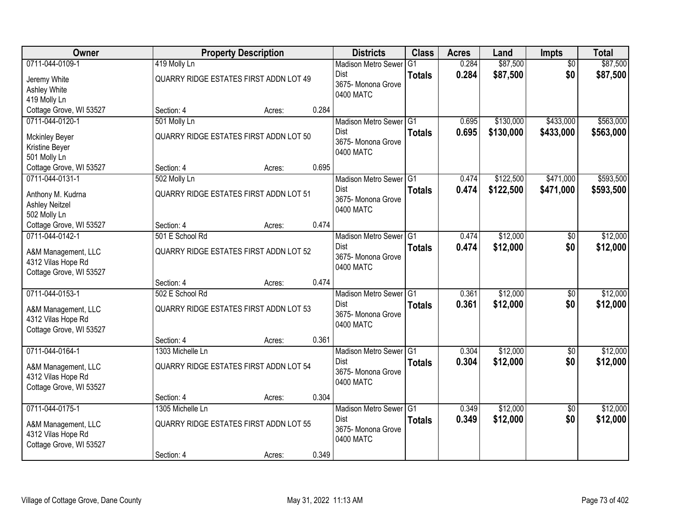| Owner                                                                                   | <b>Property Description</b>                                              |        |       | <b>Districts</b>                                                               | <b>Class</b>                    | <b>Acres</b>   | Land                   | <b>Impts</b>           | <b>Total</b>           |
|-----------------------------------------------------------------------------------------|--------------------------------------------------------------------------|--------|-------|--------------------------------------------------------------------------------|---------------------------------|----------------|------------------------|------------------------|------------------------|
| 0711-044-0109-1<br>Jeremy White<br>Ashley White<br>419 Molly Ln                         | 419 Molly Ln<br>QUARRY RIDGE ESTATES FIRST ADDN LOT 49                   |        |       | <b>Madison Metro Sewer</b><br>Dist<br>3675- Monona Grove<br>0400 MATC          | G <sub>1</sub><br><b>Totals</b> | 0.284<br>0.284 | \$87,500<br>\$87,500   | $\overline{50}$<br>\$0 | \$87,500<br>\$87,500   |
| Cottage Grove, WI 53527                                                                 | Section: 4                                                               | Acres: | 0.284 |                                                                                |                                 |                |                        |                        |                        |
| 0711-044-0120-1<br><b>Mckinley Beyer</b><br>Kristine Beyer<br>501 Molly Ln              | 501 Molly Ln<br>QUARRY RIDGE ESTATES FIRST ADDN LOT 50                   |        |       | Madison Metro Sewer G1<br>Dist<br>3675- Monona Grove<br>0400 MATC              | <b>Totals</b>                   | 0.695<br>0.695 | \$130,000<br>\$130,000 | \$433,000<br>\$433,000 | \$563,000<br>\$563,000 |
| Cottage Grove, WI 53527                                                                 | Section: 4                                                               | Acres: | 0.695 |                                                                                |                                 |                |                        |                        |                        |
| 0711-044-0131-1<br>Anthony M. Kudrna<br><b>Ashley Neitzel</b><br>502 Molly Ln           | 502 Molly Ln<br><b>QUARRY RIDGE ESTATES FIRST ADDN LOT 51</b>            |        |       | Madison Metro Sewer G1<br>Dist<br>3675-Monona Grove<br>0400 MATC               | <b>Totals</b>                   | 0.474<br>0.474 | \$122,500<br>\$122,500 | \$471,000<br>\$471,000 | \$593,500<br>\$593,500 |
| Cottage Grove, WI 53527                                                                 | Section: 4                                                               | Acres: | 0.474 |                                                                                |                                 |                |                        |                        |                        |
| 0711-044-0142-1<br>A&M Management, LLC<br>4312 Vilas Hope Rd<br>Cottage Grove, WI 53527 | 501 E School Rd<br>QUARRY RIDGE ESTATES FIRST ADDN LOT 52                |        |       | Madison Metro Sewer G1<br>Dist<br>3675- Monona Grove<br>0400 MATC              | <b>Totals</b>                   | 0.474<br>0.474 | \$12,000<br>\$12,000   | \$0<br>\$0             | \$12,000<br>\$12,000   |
|                                                                                         | Section: 4                                                               | Acres: | 0.474 |                                                                                |                                 |                |                        |                        |                        |
| 0711-044-0153-1<br>A&M Management, LLC<br>4312 Vilas Hope Rd<br>Cottage Grove, WI 53527 | 502 E School Rd<br><b>QUARRY RIDGE ESTATES FIRST ADDN LOT 53</b>         |        |       | Madison Metro Sewer <sup>1</sup> G1<br>Dist<br>3675- Monona Grove<br>0400 MATC | <b>Totals</b>                   | 0.361<br>0.361 | \$12,000<br>\$12,000   | $\overline{50}$<br>\$0 | \$12,000<br>\$12,000   |
|                                                                                         | Section: 4                                                               | Acres: | 0.361 |                                                                                |                                 |                |                        |                        |                        |
| 0711-044-0164-1<br>A&M Management, LLC<br>4312 Vilas Hope Rd<br>Cottage Grove, WI 53527 | 1303 Michelle Ln<br>QUARRY RIDGE ESTATES FIRST ADDN LOT 54               |        |       | Madison Metro Sewer G1<br>Dist<br>3675- Monona Grove<br>0400 MATC              | <b>Totals</b>                   | 0.304<br>0.304 | \$12,000<br>\$12,000   | $\overline{50}$<br>\$0 | \$12,000<br>\$12,000   |
|                                                                                         | Section: 4                                                               | Acres: | 0.304 |                                                                                |                                 |                |                        |                        |                        |
| 0711-044-0175-1<br>A&M Management, LLC<br>4312 Vilas Hope Rd<br>Cottage Grove, WI 53527 | 1305 Michelle Ln<br>QUARRY RIDGE ESTATES FIRST ADDN LOT 55<br>Section: 4 | Acres: | 0.349 | Madison Metro Sewer G1<br>Dist<br>3675-Monona Grove<br>0400 MATC               | <b>Totals</b>                   | 0.349<br>0.349 | \$12,000<br>\$12,000   | $\overline{50}$<br>\$0 | \$12,000<br>\$12,000   |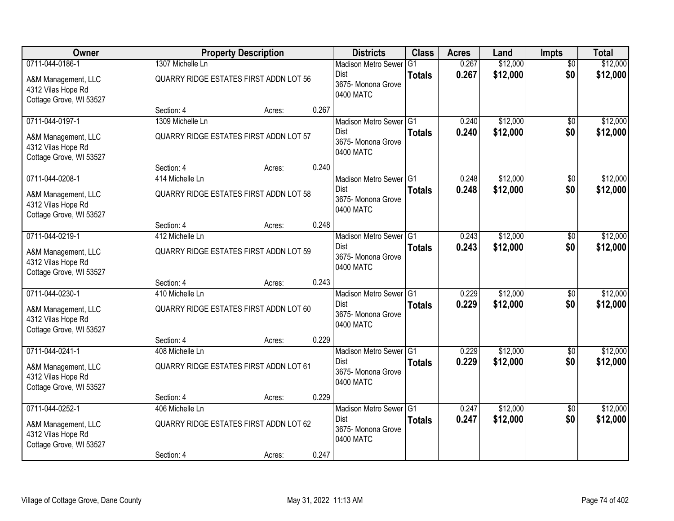| Owner                                                                |                                        | <b>Property Description</b> |       | <b>Districts</b>                               | <b>Class</b>  | <b>Acres</b> | Land     | <b>Impts</b>    | <b>Total</b> |
|----------------------------------------------------------------------|----------------------------------------|-----------------------------|-------|------------------------------------------------|---------------|--------------|----------|-----------------|--------------|
| 0711-044-0186-1                                                      | 1307 Michelle Ln                       |                             |       | <b>Madison Metro Sewer</b>                     | G1            | 0.267        | \$12,000 | $\overline{50}$ | \$12,000     |
| A&M Management, LLC<br>4312 Vilas Hope Rd<br>Cottage Grove, WI 53527 | QUARRY RIDGE ESTATES FIRST ADDN LOT 56 |                             |       | Dist<br>3675- Monona Grove<br>0400 MATC        | <b>Totals</b> | 0.267        | \$12,000 | \$0             | \$12,000     |
|                                                                      | Section: 4                             | Acres:                      | 0.267 |                                                |               |              |          |                 |              |
| 0711-044-0197-1                                                      | 1309 Michelle Ln                       |                             |       | Madison Metro Sewer G1                         |               | 0.240        | \$12,000 | \$0             | \$12,000     |
| A&M Management, LLC<br>4312 Vilas Hope Rd<br>Cottage Grove, WI 53527 | QUARRY RIDGE ESTATES FIRST ADDN LOT 57 |                             |       | <b>Dist</b><br>3675- Monona Grove<br>0400 MATC | <b>Totals</b> | 0.240        | \$12,000 | \$0             | \$12,000     |
|                                                                      | Section: 4                             | Acres:                      | 0.240 |                                                |               |              |          |                 |              |
| 0711-044-0208-1                                                      | 414 Michelle Ln                        |                             |       | Madison Metro Sewer G1                         |               | 0.248        | \$12,000 | \$0             | \$12,000     |
| A&M Management, LLC<br>4312 Vilas Hope Rd<br>Cottage Grove, WI 53527 | QUARRY RIDGE ESTATES FIRST ADDN LOT 58 |                             |       | Dist<br>3675- Monona Grove<br>0400 MATC        | <b>Totals</b> | 0.248        | \$12,000 | \$0             | \$12,000     |
|                                                                      | Section: 4                             | Acres:                      | 0.248 |                                                |               |              |          |                 |              |
| 0711-044-0219-1                                                      | 412 Michelle Ln                        |                             |       | Madison Metro Sewer G1                         |               | 0.243        | \$12,000 | \$0             | \$12,000     |
| A&M Management, LLC<br>4312 Vilas Hope Rd<br>Cottage Grove, WI 53527 | QUARRY RIDGE ESTATES FIRST ADDN LOT 59 |                             |       | Dist<br>3675-Monona Grove<br>0400 MATC         | <b>Totals</b> | 0.243        | \$12,000 | \$0             | \$12,000     |
|                                                                      | Section: 4                             | Acres:                      | 0.243 |                                                |               |              |          |                 |              |
| 0711-044-0230-1                                                      | 410 Michelle Ln                        |                             |       | Madison Metro Sewer G1                         |               | 0.229        | \$12,000 | \$0             | \$12,000     |
| A&M Management, LLC<br>4312 Vilas Hope Rd<br>Cottage Grove, WI 53527 | QUARRY RIDGE ESTATES FIRST ADDN LOT 60 |                             |       | Dist<br>3675- Monona Grove<br>0400 MATC        | <b>Totals</b> | 0.229        | \$12,000 | \$0             | \$12,000     |
|                                                                      | Section: 4                             | Acres:                      | 0.229 |                                                |               |              |          |                 |              |
| 0711-044-0241-1                                                      | 408 Michelle Ln                        |                             |       | Madison Metro Sewer G1                         |               | 0.229        | \$12,000 | $\sqrt{6}$      | \$12,000     |
| A&M Management, LLC<br>4312 Vilas Hope Rd<br>Cottage Grove, WI 53527 | QUARRY RIDGE ESTATES FIRST ADDN LOT 61 |                             |       | Dist<br>3675- Monona Grove<br>0400 MATC        | <b>Totals</b> | 0.229        | \$12,000 | \$0             | \$12,000     |
|                                                                      | Section: 4                             | Acres:                      | 0.229 |                                                |               |              |          |                 |              |
| 0711-044-0252-1                                                      | 406 Michelle Ln                        |                             |       | Madison Metro Sewer G1                         |               | 0.247        | \$12,000 | $\overline{50}$ | \$12,000     |
| A&M Management, LLC<br>4312 Vilas Hope Rd<br>Cottage Grove, WI 53527 | QUARRY RIDGE ESTATES FIRST ADDN LOT 62 |                             |       | Dist<br>3675-Monona Grove<br>0400 MATC         | <b>Totals</b> | 0.247        | \$12,000 | \$0             | \$12,000     |
|                                                                      | Section: 4                             | Acres:                      | 0.247 |                                                |               |              |          |                 |              |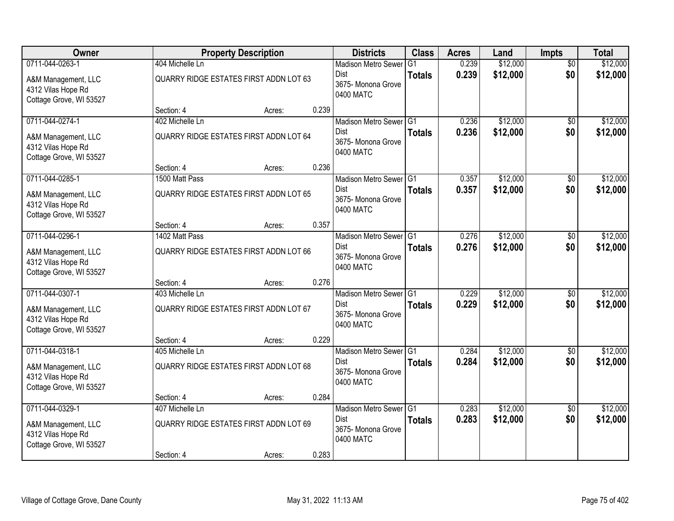| Owner                                                                |                                               | <b>Property Description</b> |       | <b>Districts</b>                               | <b>Class</b>  | <b>Acres</b> | Land     | <b>Impts</b>    | <b>Total</b> |
|----------------------------------------------------------------------|-----------------------------------------------|-----------------------------|-------|------------------------------------------------|---------------|--------------|----------|-----------------|--------------|
| 0711-044-0263-1                                                      | 404 Michelle Ln                               |                             |       | <b>Madison Metro Sewer</b>                     | G1            | 0.239        | \$12,000 | $\overline{50}$ | \$12,000     |
| A&M Management, LLC<br>4312 Vilas Hope Rd<br>Cottage Grove, WI 53527 | QUARRY RIDGE ESTATES FIRST ADDN LOT 63        |                             |       | Dist<br>3675- Monona Grove<br>0400 MATC        | <b>Totals</b> | 0.239        | \$12,000 | \$0             | \$12,000     |
|                                                                      | Section: 4                                    | Acres:                      | 0.239 |                                                |               |              |          |                 |              |
| 0711-044-0274-1                                                      | 402 Michelle Ln                               |                             |       | Madison Metro Sewer G1                         |               | 0.236        | \$12,000 | \$0             | \$12,000     |
| A&M Management, LLC<br>4312 Vilas Hope Rd<br>Cottage Grove, WI 53527 | <b>QUARRY RIDGE ESTATES FIRST ADDN LOT 64</b> |                             |       | <b>Dist</b><br>3675- Monona Grove<br>0400 MATC | <b>Totals</b> | 0.236        | \$12,000 | \$0             | \$12,000     |
|                                                                      | Section: 4                                    | Acres:                      | 0.236 |                                                |               |              |          |                 |              |
| 0711-044-0285-1                                                      | 1500 Matt Pass                                |                             |       | Madison Metro Sewer G1                         |               | 0.357        | \$12,000 | \$0             | \$12,000     |
| A&M Management, LLC<br>4312 Vilas Hope Rd<br>Cottage Grove, WI 53527 | QUARRY RIDGE ESTATES FIRST ADDN LOT 65        |                             |       | Dist<br>3675- Monona Grove<br>0400 MATC        | <b>Totals</b> | 0.357        | \$12,000 | \$0             | \$12,000     |
|                                                                      | Section: 4                                    | Acres:                      | 0.357 |                                                |               |              |          |                 |              |
| 0711-044-0296-1                                                      | 1402 Matt Pass                                |                             |       | Madison Metro Sewer G1                         |               | 0.276        | \$12,000 | \$0             | \$12,000     |
| A&M Management, LLC<br>4312 Vilas Hope Rd<br>Cottage Grove, WI 53527 | QUARRY RIDGE ESTATES FIRST ADDN LOT 66        |                             |       | Dist<br>3675-Monona Grove<br>0400 MATC         | <b>Totals</b> | 0.276        | \$12,000 | \$0             | \$12,000     |
|                                                                      | Section: 4                                    | Acres:                      | 0.276 |                                                |               |              |          |                 |              |
| 0711-044-0307-1                                                      | 403 Michelle Ln                               |                             |       | Madison Metro Sewer G1                         |               | 0.229        | \$12,000 | \$0             | \$12,000     |
| A&M Management, LLC<br>4312 Vilas Hope Rd<br>Cottage Grove, WI 53527 | QUARRY RIDGE ESTATES FIRST ADDN LOT 67        |                             |       | Dist<br>3675- Monona Grove<br>0400 MATC        | <b>Totals</b> | 0.229        | \$12,000 | \$0             | \$12,000     |
|                                                                      | Section: 4                                    | Acres:                      | 0.229 |                                                |               |              |          |                 |              |
| 0711-044-0318-1                                                      | 405 Michelle Ln                               |                             |       | Madison Metro Sewer G1                         |               | 0.284        | \$12,000 | $\sqrt{6}$      | \$12,000     |
| A&M Management, LLC<br>4312 Vilas Hope Rd<br>Cottage Grove, WI 53527 | QUARRY RIDGE ESTATES FIRST ADDN LOT 68        |                             |       | Dist<br>3675- Monona Grove<br>0400 MATC        | <b>Totals</b> | 0.284        | \$12,000 | \$0             | \$12,000     |
|                                                                      | Section: 4                                    | Acres:                      | 0.284 |                                                |               |              |          |                 |              |
| 0711-044-0329-1                                                      | 407 Michelle Ln                               |                             |       | Madison Metro Sewer G1                         |               | 0.283        | \$12,000 | $\overline{50}$ | \$12,000     |
| A&M Management, LLC<br>4312 Vilas Hope Rd<br>Cottage Grove, WI 53527 | QUARRY RIDGE ESTATES FIRST ADDN LOT 69        |                             |       | Dist<br>3675- Monona Grove<br>0400 MATC        | <b>Totals</b> | 0.283        | \$12,000 | \$0             | \$12,000     |
|                                                                      | Section: 4                                    | Acres:                      | 0.283 |                                                |               |              |          |                 |              |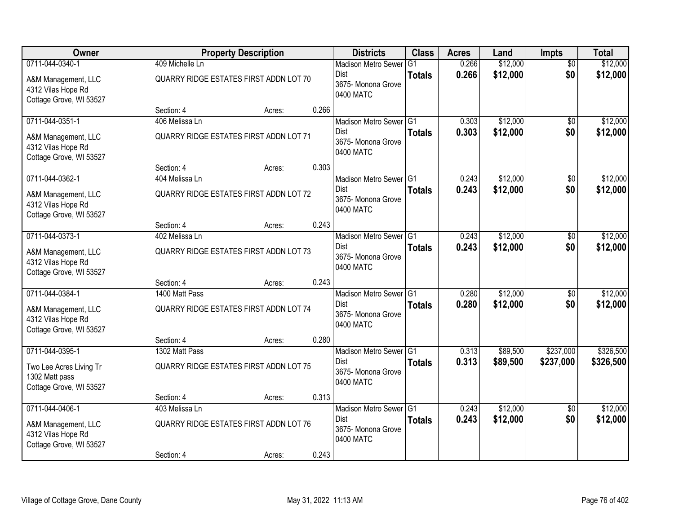| Owner                                                                |                                        | <b>Property Description</b> |       | <b>Districts</b>                               | <b>Class</b>  | <b>Acres</b> | Land     | <b>Impts</b>    | <b>Total</b> |
|----------------------------------------------------------------------|----------------------------------------|-----------------------------|-------|------------------------------------------------|---------------|--------------|----------|-----------------|--------------|
| 0711-044-0340-1                                                      | 409 Michelle Ln                        |                             |       | <b>Madison Metro Sewer</b>                     | G1            | 0.266        | \$12,000 | $\overline{50}$ | \$12,000     |
| A&M Management, LLC<br>4312 Vilas Hope Rd<br>Cottage Grove, WI 53527 | QUARRY RIDGE ESTATES FIRST ADDN LOT 70 |                             |       | Dist<br>3675- Monona Grove<br>0400 MATC        | <b>Totals</b> | 0.266        | \$12,000 | \$0             | \$12,000     |
|                                                                      | Section: 4                             | Acres:                      | 0.266 |                                                |               |              |          |                 |              |
| 0711-044-0351-1                                                      | 406 Melissa Ln                         |                             |       | Madison Metro Sewer G1                         |               | 0.303        | \$12,000 | \$0             | \$12,000     |
| A&M Management, LLC<br>4312 Vilas Hope Rd<br>Cottage Grove, WI 53527 | QUARRY RIDGE ESTATES FIRST ADDN LOT 71 |                             |       | <b>Dist</b><br>3675- Monona Grove<br>0400 MATC | <b>Totals</b> | 0.303        | \$12,000 | \$0             | \$12,000     |
|                                                                      | Section: 4                             | Acres:                      | 0.303 |                                                |               |              |          |                 |              |
| 0711-044-0362-1                                                      | 404 Melissa Ln                         |                             |       | Madison Metro Sewer G1                         |               | 0.243        | \$12,000 | \$0             | \$12,000     |
| A&M Management, LLC<br>4312 Vilas Hope Rd<br>Cottage Grove, WI 53527 | QUARRY RIDGE ESTATES FIRST ADDN LOT 72 |                             |       | Dist<br>3675- Monona Grove<br>0400 MATC        | <b>Totals</b> | 0.243        | \$12,000 | \$0             | \$12,000     |
|                                                                      | Section: 4                             | Acres:                      | 0.243 |                                                |               |              |          |                 |              |
| 0711-044-0373-1                                                      | 402 Melissa Ln                         |                             |       | Madison Metro Sewer G1                         |               | 0.243        | \$12,000 | \$0             | \$12,000     |
| A&M Management, LLC<br>4312 Vilas Hope Rd<br>Cottage Grove, WI 53527 | QUARRY RIDGE ESTATES FIRST ADDN LOT 73 |                             |       | Dist<br>3675-Monona Grove<br>0400 MATC         | <b>Totals</b> | 0.243        | \$12,000 | \$0             | \$12,000     |
|                                                                      | Section: 4                             | Acres:                      | 0.243 |                                                |               |              |          |                 |              |
| 0711-044-0384-1                                                      | 1400 Matt Pass                         |                             |       | Madison Metro Sewer G1                         |               | 0.280        | \$12,000 | \$0             | \$12,000     |
| A&M Management, LLC<br>4312 Vilas Hope Rd<br>Cottage Grove, WI 53527 | QUARRY RIDGE ESTATES FIRST ADDN LOT 74 |                             |       | Dist<br>3675- Monona Grove<br>0400 MATC        | <b>Totals</b> | 0.280        | \$12,000 | \$0             | \$12,000     |
|                                                                      | Section: 4                             | Acres:                      | 0.280 |                                                |               |              |          |                 |              |
| 0711-044-0395-1                                                      | 1302 Matt Pass                         |                             |       | Madison Metro Sewer G1                         |               | 0.313        | \$89,500 | \$237,000       | \$326,500    |
| Two Lee Acres Living Tr<br>1302 Matt pass<br>Cottage Grove, WI 53527 | QUARRY RIDGE ESTATES FIRST ADDN LOT 75 |                             |       | Dist<br>3675- Monona Grove<br>0400 MATC        | <b>Totals</b> | 0.313        | \$89,500 | \$237,000       | \$326,500    |
|                                                                      | Section: 4                             | Acres:                      | 0.313 |                                                |               |              |          |                 |              |
| 0711-044-0406-1                                                      | 403 Melissa Ln                         |                             |       | Madison Metro Sewer G1                         |               | 0.243        | \$12,000 | $\overline{50}$ | \$12,000     |
| A&M Management, LLC<br>4312 Vilas Hope Rd<br>Cottage Grove, WI 53527 | QUARRY RIDGE ESTATES FIRST ADDN LOT 76 |                             |       | Dist<br>3675-Monona Grove<br>0400 MATC         | <b>Totals</b> | 0.243        | \$12,000 | \$0             | \$12,000     |
|                                                                      | Section: 4                             | Acres:                      | 0.243 |                                                |               |              |          |                 |              |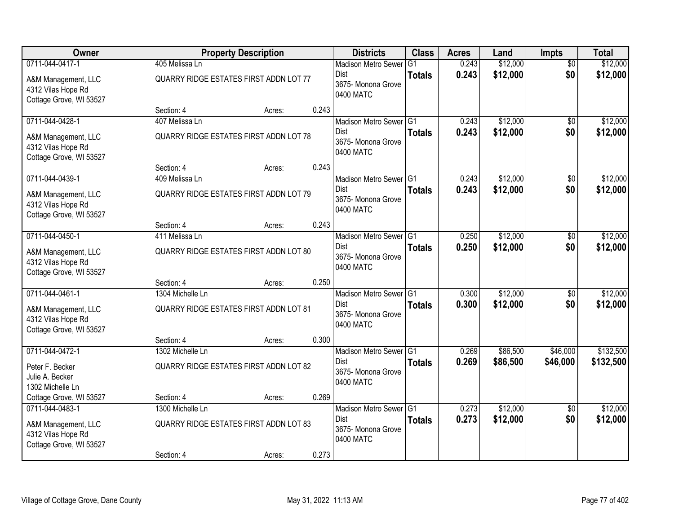| Owner                                                                |                                               | <b>Property Description</b> |       | <b>Districts</b>                               | <b>Class</b>  | <b>Acres</b> | Land     | <b>Impts</b>    | <b>Total</b> |
|----------------------------------------------------------------------|-----------------------------------------------|-----------------------------|-------|------------------------------------------------|---------------|--------------|----------|-----------------|--------------|
| 0711-044-0417-1                                                      | 405 Melissa Ln                                |                             |       | <b>Madison Metro Sewer</b>                     | G1            | 0.243        | \$12,000 | $\overline{50}$ | \$12,000     |
| A&M Management, LLC<br>4312 Vilas Hope Rd<br>Cottage Grove, WI 53527 | QUARRY RIDGE ESTATES FIRST ADDN LOT 77        |                             |       | Dist<br>3675- Monona Grove<br>0400 MATC        | <b>Totals</b> | 0.243        | \$12,000 | \$0             | \$12,000     |
|                                                                      | Section: 4                                    | Acres:                      | 0.243 |                                                |               |              |          |                 |              |
| 0711-044-0428-1                                                      | 407 Melissa Ln                                |                             |       | Madison Metro Sewer G1                         |               | 0.243        | \$12,000 | \$0             | \$12,000     |
| A&M Management, LLC<br>4312 Vilas Hope Rd<br>Cottage Grove, WI 53527 | <b>QUARRY RIDGE ESTATES FIRST ADDN LOT 78</b> |                             |       | <b>Dist</b><br>3675- Monona Grove<br>0400 MATC | <b>Totals</b> | 0.243        | \$12,000 | \$0             | \$12,000     |
|                                                                      | Section: 4                                    | Acres:                      | 0.243 |                                                |               |              |          |                 |              |
| 0711-044-0439-1                                                      | 409 Melissa Ln                                |                             |       | Madison Metro Sewer G1                         |               | 0.243        | \$12,000 | \$0             | \$12,000     |
| A&M Management, LLC<br>4312 Vilas Hope Rd<br>Cottage Grove, WI 53527 | QUARRY RIDGE ESTATES FIRST ADDN LOT 79        |                             |       | Dist<br>3675- Monona Grove<br>0400 MATC        | <b>Totals</b> | 0.243        | \$12,000 | \$0             | \$12,000     |
|                                                                      | Section: 4                                    | Acres:                      | 0.243 |                                                |               |              |          |                 |              |
| 0711-044-0450-1                                                      | 411 Melissa Ln                                |                             |       | Madison Metro Sewer G1                         |               | 0.250        | \$12,000 | \$0             | \$12,000     |
| A&M Management, LLC<br>4312 Vilas Hope Rd<br>Cottage Grove, WI 53527 | QUARRY RIDGE ESTATES FIRST ADDN LOT 80        |                             |       | Dist<br>3675-Monona Grove<br>0400 MATC         | <b>Totals</b> | 0.250        | \$12,000 | \$0             | \$12,000     |
|                                                                      | Section: 4                                    | Acres:                      | 0.250 |                                                |               |              |          |                 |              |
| 0711-044-0461-1                                                      | 1304 Michelle Ln                              |                             |       | Madison Metro Sewer G1                         |               | 0.300        | \$12,000 | \$0             | \$12,000     |
| A&M Management, LLC<br>4312 Vilas Hope Rd<br>Cottage Grove, WI 53527 | <b>QUARRY RIDGE ESTATES FIRST ADDN LOT 81</b> |                             |       | Dist<br>3675-Monona Grove<br>0400 MATC         | <b>Totals</b> | 0.300        | \$12,000 | \$0             | \$12,000     |
|                                                                      | Section: 4                                    | Acres:                      | 0.300 |                                                |               |              |          |                 |              |
| 0711-044-0472-1                                                      | 1302 Michelle Ln                              |                             |       | Madison Metro Sewer G1                         |               | 0.269        | \$86,500 | \$46,000        | \$132,500    |
| Peter F. Becker<br>Julie A. Becker<br>1302 Michelle Ln               | QUARRY RIDGE ESTATES FIRST ADDN LOT 82        |                             |       | Dist<br>3675- Monona Grove<br>0400 MATC        | <b>Totals</b> | 0.269        | \$86,500 | \$46,000        | \$132,500    |
| Cottage Grove, WI 53527                                              | Section: 4                                    | Acres:                      | 0.269 |                                                |               |              |          |                 |              |
| 0711-044-0483-1                                                      | 1300 Michelle Ln                              |                             |       | Madison Metro Sewer G1                         |               | 0.273        | \$12,000 | $\overline{50}$ | \$12,000     |
| A&M Management, LLC<br>4312 Vilas Hope Rd<br>Cottage Grove, WI 53527 | <b>QUARRY RIDGE ESTATES FIRST ADDN LOT 83</b> |                             |       | Dist<br>3675- Monona Grove<br>0400 MATC        | <b>Totals</b> | 0.273        | \$12,000 | \$0             | \$12,000     |
|                                                                      | Section: 4                                    | Acres:                      | 0.273 |                                                |               |              |          |                 |              |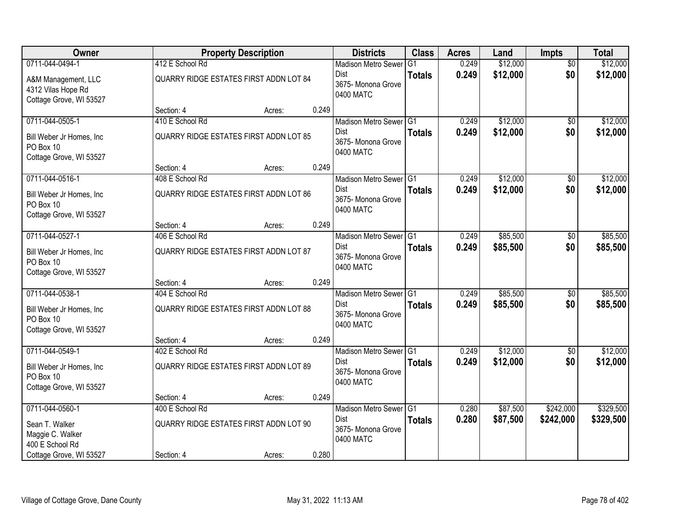| Owner                                                                |                                               | <b>Property Description</b> |       | <b>Districts</b>                               | <b>Class</b>  | <b>Acres</b> | Land     | <b>Impts</b>    | <b>Total</b> |
|----------------------------------------------------------------------|-----------------------------------------------|-----------------------------|-------|------------------------------------------------|---------------|--------------|----------|-----------------|--------------|
| 0711-044-0494-1                                                      | 412 E School Rd                               |                             |       | <b>Madison Metro Sewer</b>                     | G1            | 0.249        | \$12,000 | $\overline{50}$ | \$12,000     |
| A&M Management, LLC<br>4312 Vilas Hope Rd<br>Cottage Grove, WI 53527 | QUARRY RIDGE ESTATES FIRST ADDN LOT 84        |                             |       | Dist<br>3675- Monona Grove<br>0400 MATC        | <b>Totals</b> | 0.249        | \$12,000 | \$0             | \$12,000     |
|                                                                      | Section: 4                                    | Acres:                      | 0.249 |                                                |               |              |          |                 |              |
| 0711-044-0505-1                                                      | 410 E School Rd                               |                             |       | Madison Metro Sewer G1                         |               | 0.249        | \$12,000 | \$0             | \$12,000     |
| Bill Weber Jr Homes, Inc<br>PO Box 10<br>Cottage Grove, WI 53527     | <b>QUARRY RIDGE ESTATES FIRST ADDN LOT 85</b> |                             |       | <b>Dist</b><br>3675- Monona Grove<br>0400 MATC | <b>Totals</b> | 0.249        | \$12,000 | \$0             | \$12,000     |
|                                                                      | Section: 4                                    | Acres:                      | 0.249 |                                                |               |              |          |                 |              |
| 0711-044-0516-1                                                      | 408 E School Rd                               |                             |       | Madison Metro Sewer G1                         |               | 0.249        | \$12,000 | \$0             | \$12,000     |
| Bill Weber Jr Homes, Inc<br>PO Box 10<br>Cottage Grove, WI 53527     | QUARRY RIDGE ESTATES FIRST ADDN LOT 86        |                             |       | Dist<br>3675- Monona Grove<br>0400 MATC        | <b>Totals</b> | 0.249        | \$12,000 | \$0             | \$12,000     |
|                                                                      | Section: 4                                    | Acres:                      | 0.249 |                                                |               |              |          |                 |              |
| 0711-044-0527-1                                                      | 406 E School Rd                               |                             |       | Madison Metro Sewer G1                         |               | 0.249        | \$85,500 | \$0             | \$85,500     |
| Bill Weber Jr Homes, Inc<br>PO Box 10<br>Cottage Grove, WI 53527     | QUARRY RIDGE ESTATES FIRST ADDN LOT 87        |                             |       | Dist<br>3675- Monona Grove<br>0400 MATC        | <b>Totals</b> | 0.249        | \$85,500 | \$0             | \$85,500     |
|                                                                      | Section: 4                                    | Acres:                      | 0.249 |                                                |               |              |          |                 |              |
| 0711-044-0538-1                                                      | 404 E School Rd                               |                             |       | Madison Metro Sewer G1                         |               | 0.249        | \$85,500 | \$0             | \$85,500     |
| Bill Weber Jr Homes, Inc<br>PO Box 10<br>Cottage Grove, WI 53527     | <b>QUARRY RIDGE ESTATES FIRST ADDN LOT 88</b> |                             |       | <b>Dist</b><br>3675- Monona Grove<br>0400 MATC | <b>Totals</b> | 0.249        | \$85,500 | \$0             | \$85,500     |
|                                                                      | Section: 4                                    | Acres:                      | 0.249 |                                                |               |              |          |                 |              |
| 0711-044-0549-1                                                      | 402 E School Rd                               |                             |       | Madison Metro Sewer G1                         |               | 0.249        | \$12,000 | $\sqrt{6}$      | \$12,000     |
| Bill Weber Jr Homes, Inc<br>PO Box 10<br>Cottage Grove, WI 53527     | QUARRY RIDGE ESTATES FIRST ADDN LOT 89        |                             |       | Dist<br>3675- Monona Grove<br>0400 MATC        | <b>Totals</b> | 0.249        | \$12,000 | \$0             | \$12,000     |
|                                                                      | Section: 4                                    | Acres:                      | 0.249 |                                                |               |              |          |                 |              |
| 0711-044-0560-1                                                      | 400 E School Rd                               |                             |       | Madison Metro Sewer G1                         |               | 0.280        | \$87,500 | \$242,000       | \$329,500    |
| Sean T. Walker<br>Maggie C. Walker<br>400 E School Rd                | QUARRY RIDGE ESTATES FIRST ADDN LOT 90        |                             |       | Dist<br>3675- Monona Grove<br>0400 MATC        | <b>Totals</b> | 0.280        | \$87,500 | \$242,000       | \$329,500    |
| Cottage Grove, WI 53527                                              | Section: 4                                    | Acres:                      | 0.280 |                                                |               |              |          |                 |              |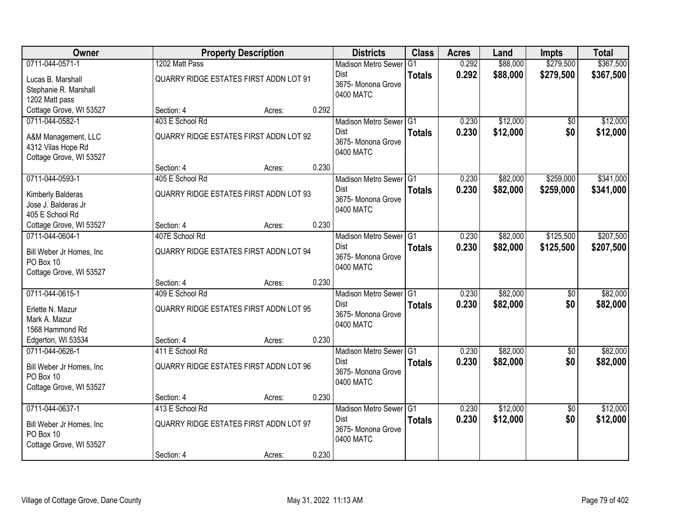| Owner                    |                                               | <b>Property Description</b> |       | <b>Districts</b>                | <b>Class</b>  | <b>Acres</b> | Land     | <b>Impts</b>    | <b>Total</b> |
|--------------------------|-----------------------------------------------|-----------------------------|-------|---------------------------------|---------------|--------------|----------|-----------------|--------------|
| 0711-044-0571-1          | 1202 Matt Pass                                |                             |       | <b>Madison Metro Sewer</b>      | G1            | 0.292        | \$88,000 | \$279,500       | \$367,500    |
| Lucas B. Marshall        | QUARRY RIDGE ESTATES FIRST ADDN LOT 91        |                             |       | Dist                            | <b>Totals</b> | 0.292        | \$88,000 | \$279,500       | \$367,500    |
| Stephanie R. Marshall    |                                               |                             |       | 3675- Monona Grove              |               |              |          |                 |              |
| 1202 Matt pass           |                                               |                             |       | 0400 MATC                       |               |              |          |                 |              |
| Cottage Grove, WI 53527  | Section: 4                                    | Acres:                      | 0.292 |                                 |               |              |          |                 |              |
| 0711-044-0582-1          | 403 E School Rd                               |                             |       | Madison Metro Sewer G1          |               | 0.230        | \$12,000 | \$0             | \$12,000     |
| A&M Management, LLC      | <b>QUARRY RIDGE ESTATES FIRST ADDN LOT 92</b> |                             |       | <b>Dist</b>                     | <b>Totals</b> | 0.230        | \$12,000 | \$0             | \$12,000     |
| 4312 Vilas Hope Rd       |                                               |                             |       | 3675- Monona Grove              |               |              |          |                 |              |
| Cottage Grove, WI 53527  |                                               |                             |       | 0400 MATC                       |               |              |          |                 |              |
|                          | Section: 4                                    | Acres:                      | 0.230 |                                 |               |              |          |                 |              |
| 0711-044-0593-1          | 405 E School Rd                               |                             |       | Madison Metro Sewer G1          |               | 0.230        | \$82,000 | \$259,000       | \$341,000    |
| Kimberly Balderas        | QUARRY RIDGE ESTATES FIRST ADDN LOT 93        |                             |       | Dist                            | <b>Totals</b> | 0.230        | \$82,000 | \$259,000       | \$341,000    |
| Jose J. Balderas Jr      |                                               |                             |       | 3675- Monona Grove              |               |              |          |                 |              |
| 405 E School Rd          |                                               |                             |       | 0400 MATC                       |               |              |          |                 |              |
| Cottage Grove, WI 53527  | Section: 4                                    | Acres:                      | 0.230 |                                 |               |              |          |                 |              |
| 0711-044-0604-1          | 407E School Rd                                |                             |       | Madison Metro Sewer G1          |               | 0.230        | \$82,000 | \$125,500       | \$207,500    |
| Bill Weber Jr Homes, Inc | QUARRY RIDGE ESTATES FIRST ADDN LOT 94        |                             |       | Dist                            | <b>Totals</b> | 0.230        | \$82,000 | \$125,500       | \$207,500    |
| PO Box 10                |                                               |                             |       | 3675- Monona Grove<br>0400 MATC |               |              |          |                 |              |
| Cottage Grove, WI 53527  |                                               |                             |       |                                 |               |              |          |                 |              |
|                          | Section: 4                                    | Acres:                      | 0.230 |                                 |               |              |          |                 |              |
| 0711-044-0615-1          | 409 E School Rd                               |                             |       | Madison Metro Sewer G1          |               | 0.230        | \$82,000 | \$0             | \$82,000     |
| Erlette N. Mazur         | <b>QUARRY RIDGE ESTATES FIRST ADDN LOT 95</b> |                             |       | <b>Dist</b>                     | <b>Totals</b> | 0.230        | \$82,000 | \$0             | \$82,000     |
| Mark A. Mazur            |                                               |                             |       | 3675- Monona Grove<br>0400 MATC |               |              |          |                 |              |
| 1568 Hammond Rd          |                                               |                             |       |                                 |               |              |          |                 |              |
| Edgerton, WI 53534       | Section: 4                                    | Acres:                      | 0.230 |                                 |               |              |          |                 |              |
| 0711-044-0626-1          | 411 E School Rd                               |                             |       | Madison Metro Sewer G1          |               | 0.230        | \$82,000 | $\sqrt{6}$      | \$82,000     |
| Bill Weber Jr Homes, Inc | QUARRY RIDGE ESTATES FIRST ADDN LOT 96        |                             |       | Dist                            | <b>Totals</b> | 0.230        | \$82,000 | \$0             | \$82,000     |
| PO Box 10                |                                               |                             |       | 3675- Monona Grove<br>0400 MATC |               |              |          |                 |              |
| Cottage Grove, WI 53527  |                                               |                             |       |                                 |               |              |          |                 |              |
|                          | Section: 4                                    | Acres:                      | 0.230 |                                 |               |              |          |                 |              |
| 0711-044-0637-1          | 413 E School Rd                               |                             |       | Madison Metro Sewer G1          |               | 0.230        | \$12,000 | $\overline{30}$ | \$12,000     |
| Bill Weber Jr Homes, Inc | QUARRY RIDGE ESTATES FIRST ADDN LOT 97        |                             |       | Dist                            | <b>Totals</b> | 0.230        | \$12,000 | \$0             | \$12,000     |
| PO Box 10                |                                               |                             |       | 3675- Monona Grove<br>0400 MATC |               |              |          |                 |              |
| Cottage Grove, WI 53527  |                                               |                             |       |                                 |               |              |          |                 |              |
|                          | Section: 4                                    | Acres:                      | 0.230 |                                 |               |              |          |                 |              |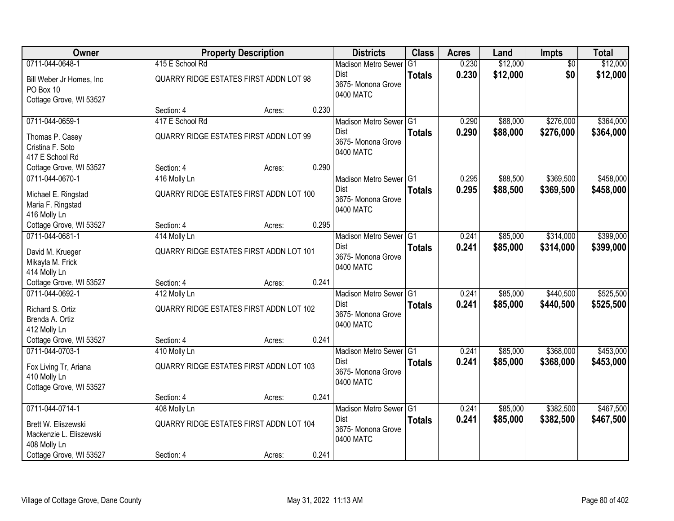| Owner                                                                             |                                                         | <b>Property Description</b> |       | <b>Districts</b>                                                         | <b>Class</b>  | <b>Acres</b>   | Land                 | <b>Impts</b>           | <b>Total</b>           |
|-----------------------------------------------------------------------------------|---------------------------------------------------------|-----------------------------|-------|--------------------------------------------------------------------------|---------------|----------------|----------------------|------------------------|------------------------|
| 0711-044-0648-1                                                                   | 415 E School Rd                                         |                             |       | <b>Madison Metro Sewer</b>                                               | G1            | 0.230          | \$12,000             | $\overline{50}$        | \$12,000               |
| Bill Weber Jr Homes, Inc<br>PO Box 10<br>Cottage Grove, WI 53527                  | QUARRY RIDGE ESTATES FIRST ADDN LOT 98                  |                             |       | <b>Dist</b><br>3675- Monona Grove<br>0400 MATC                           | <b>Totals</b> | 0.230          | \$12,000             | \$0                    | \$12,000               |
|                                                                                   | Section: 4                                              | Acres:                      | 0.230 |                                                                          |               |                |                      |                        |                        |
| 0711-044-0659-1                                                                   | 417 E School Rd                                         |                             |       | Madison Metro Sewer G1                                                   |               | 0.290          | \$88,000             | \$276,000              | \$364,000              |
| Thomas P. Casey<br>Cristina F. Soto<br>417 E School Rd                            | QUARRY RIDGE ESTATES FIRST ADDN LOT 99                  |                             |       | Dist<br>3675- Monona Grove<br>0400 MATC                                  | <b>Totals</b> | 0.290          | \$88,000             | \$276,000              | \$364,000              |
| Cottage Grove, WI 53527                                                           | Section: 4                                              | Acres:                      | 0.290 |                                                                          |               |                |                      |                        |                        |
| 0711-044-0670-1                                                                   | 416 Molly Ln                                            |                             |       | Madison Metro Sewer G1                                                   |               | 0.295          | \$88,500             | \$369,500              | \$458,000              |
| Michael E. Ringstad<br>Maria F. Ringstad<br>416 Molly Ln                          | QUARRY RIDGE ESTATES FIRST ADDN LOT 100                 |                             |       | Dist<br>3675- Monona Grove<br>0400 MATC                                  | <b>Totals</b> | 0.295          | \$88,500             | \$369,500              | \$458,000              |
| Cottage Grove, WI 53527                                                           | Section: 4                                              | Acres:                      | 0.295 |                                                                          |               |                |                      |                        |                        |
| 0711-044-0681-1                                                                   | 414 Molly Ln                                            |                             |       | Madison Metro Sewer G1                                                   |               | 0.241          | \$85,000             | \$314,000              | \$399,000              |
| David M. Krueger<br>Mikayla M. Frick<br>414 Molly Ln                              | QUARRY RIDGE ESTATES FIRST ADDN LOT 101                 |                             |       | <b>Dist</b><br>3675- Monona Grove<br>0400 MATC                           | <b>Totals</b> | 0.241          | \$85,000             | \$314,000              | \$399,000              |
| Cottage Grove, WI 53527                                                           | Section: 4                                              | Acres:                      | 0.241 |                                                                          |               |                |                      |                        |                        |
| 0711-044-0692-1<br>Richard S. Ortiz<br>Brenda A. Ortiz<br>412 Molly Ln            | 412 Molly Ln<br>QUARRY RIDGE ESTATES FIRST ADDN LOT 102 |                             |       | Madison Metro Sewer G1<br><b>Dist</b><br>3675- Monona Grove<br>0400 MATC | <b>Totals</b> | 0.241<br>0.241 | \$85,000<br>\$85,000 | \$440,500<br>\$440,500 | \$525,500<br>\$525,500 |
| Cottage Grove, WI 53527                                                           | Section: 4                                              | Acres:                      | 0.241 |                                                                          |               |                |                      |                        |                        |
| 0711-044-0703-1                                                                   | 410 Molly Ln                                            |                             |       | Madison Metro Sewer G1                                                   |               | 0.241          | \$85,000             | \$368,000              | \$453,000              |
| Fox Living Tr, Ariana<br>410 Molly Ln<br>Cottage Grove, WI 53527                  | QUARRY RIDGE ESTATES FIRST ADDN LOT 103                 |                             |       | Dist<br>3675- Monona Grove<br>0400 MATC                                  | <b>Totals</b> | 0.241          | \$85,000             | \$368,000              | \$453,000              |
|                                                                                   | Section: 4                                              | Acres:                      | 0.241 |                                                                          |               |                |                      |                        |                        |
| 0711-044-0714-1<br>Brett W. Eliszewski<br>Mackenzie L. Eliszewski<br>408 Molly Ln | 408 Molly Ln<br>QUARRY RIDGE ESTATES FIRST ADDN LOT 104 |                             |       | Madison Metro Sewer G1<br><b>Dist</b><br>3675- Monona Grove<br>0400 MATC | <b>Totals</b> | 0.241<br>0.241 | \$85,000<br>\$85,000 | \$382,500<br>\$382,500 | \$467,500<br>\$467,500 |
| Cottage Grove, WI 53527                                                           | Section: 4                                              | Acres:                      | 0.241 |                                                                          |               |                |                      |                        |                        |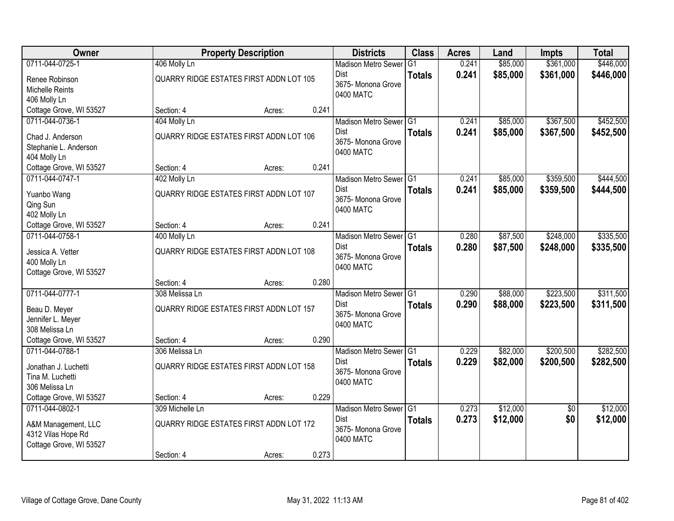| Owner                                      |                                         | <b>Property Description</b> |       | <b>Districts</b>           | <b>Class</b>    | <b>Acres</b> | Land     | <b>Impts</b>    | <b>Total</b> |
|--------------------------------------------|-----------------------------------------|-----------------------------|-------|----------------------------|-----------------|--------------|----------|-----------------|--------------|
| 0711-044-0725-1                            | 406 Molly Ln                            |                             |       | <b>Madison Metro Sewer</b> | $\overline{G1}$ | 0.241        | \$85,000 | \$361,000       | \$446,000    |
| Renee Robinson                             | QUARRY RIDGE ESTATES FIRST ADDN LOT 105 |                             |       | <b>Dist</b>                | <b>Totals</b>   | 0.241        | \$85,000 | \$361,000       | \$446,000    |
| Michelle Reints                            |                                         |                             |       | 3675- Monona Grove         |                 |              |          |                 |              |
| 406 Molly Ln                               |                                         |                             |       | 0400 MATC                  |                 |              |          |                 |              |
| Cottage Grove, WI 53527                    | Section: 4                              | Acres:                      | 0.241 |                            |                 |              |          |                 |              |
| 0711-044-0736-1                            | 404 Molly Ln                            |                             |       | Madison Metro Sewer G1     |                 | 0.241        | \$85,000 | \$367,500       | \$452,500    |
| Chad J. Anderson                           | QUARRY RIDGE ESTATES FIRST ADDN LOT 106 |                             |       | Dist                       | <b>Totals</b>   | 0.241        | \$85,000 | \$367,500       | \$452,500    |
| Stephanie L. Anderson                      |                                         |                             |       | 3675- Monona Grove         |                 |              |          |                 |              |
| 404 Molly Ln                               |                                         |                             |       | 0400 MATC                  |                 |              |          |                 |              |
| Cottage Grove, WI 53527                    | Section: 4                              | Acres:                      | 0.241 |                            |                 |              |          |                 |              |
| 0711-044-0747-1                            | 402 Molly Ln                            |                             |       | Madison Metro Sewer G1     |                 | 0.241        | \$85,000 | \$359,500       | \$444,500    |
| Yuanbo Wang                                | QUARRY RIDGE ESTATES FIRST ADDN LOT 107 |                             |       | <b>Dist</b>                | <b>Totals</b>   | 0.241        | \$85,000 | \$359,500       | \$444,500    |
| Qing Sun                                   |                                         |                             |       | 3675- Monona Grove         |                 |              |          |                 |              |
| 402 Molly Ln                               |                                         |                             |       | 0400 MATC                  |                 |              |          |                 |              |
| Cottage Grove, WI 53527                    | Section: 4                              | Acres:                      | 0.241 |                            |                 |              |          |                 |              |
| 0711-044-0758-1                            | 400 Molly Ln                            |                             |       | Madison Metro Sewer G1     |                 | 0.280        | \$87,500 | \$248,000       | \$335,500    |
|                                            |                                         |                             |       | <b>Dist</b>                | <b>Totals</b>   | 0.280        | \$87,500 | \$248,000       | \$335,500    |
| Jessica A. Vetter                          | QUARRY RIDGE ESTATES FIRST ADDN LOT 108 |                             |       | 3675- Monona Grove         |                 |              |          |                 |              |
| 400 Molly Ln<br>Cottage Grove, WI 53527    |                                         |                             |       | 0400 MATC                  |                 |              |          |                 |              |
|                                            | Section: 4                              | Acres:                      | 0.280 |                            |                 |              |          |                 |              |
| 0711-044-0777-1                            | 308 Melissa Ln                          |                             |       | <b>Madison Metro Sewer</b> | TG1             | 0.290        | \$88,000 | \$223,500       | \$311,500    |
|                                            |                                         |                             |       | Dist                       | <b>Totals</b>   | 0.290        | \$88,000 | \$223,500       | \$311,500    |
| Beau D. Meyer                              | QUARRY RIDGE ESTATES FIRST ADDN LOT 157 |                             |       | 3675- Monona Grove         |                 |              |          |                 |              |
| Jennifer L. Meyer<br>308 Melissa Ln        |                                         |                             |       | 0400 MATC                  |                 |              |          |                 |              |
| Cottage Grove, WI 53527                    | Section: 4                              | Acres:                      | 0.290 |                            |                 |              |          |                 |              |
| 0711-044-0788-1                            | 306 Melissa Ln                          |                             |       | Madison Metro Sewer G1     |                 | 0.229        | \$82,000 | \$200,500       | \$282,500    |
|                                            |                                         |                             |       | <b>Dist</b>                | <b>Totals</b>   | 0.229        | \$82,000 | \$200,500       | \$282,500    |
| Jonathan J. Luchetti                       | QUARRY RIDGE ESTATES FIRST ADDN LOT 158 |                             |       | 3675- Monona Grove         |                 |              |          |                 |              |
| Tina M. Luchetti                           |                                         |                             |       | 0400 MATC                  |                 |              |          |                 |              |
| 306 Melissa Ln                             |                                         |                             |       |                            |                 |              |          |                 |              |
| Cottage Grove, WI 53527<br>0711-044-0802-1 | Section: 4<br>309 Michelle Ln           | Acres:                      | 0.229 | Madison Metro Sewer G1     |                 | 0.273        | \$12,000 | $\overline{50}$ | \$12,000     |
|                                            |                                         |                             |       | <b>Dist</b>                | <b>Totals</b>   | 0.273        | \$12,000 | \$0             | \$12,000     |
| A&M Management, LLC                        | QUARRY RIDGE ESTATES FIRST ADDN LOT 172 |                             |       | 3675- Monona Grove         |                 |              |          |                 |              |
| 4312 Vilas Hope Rd                         |                                         |                             |       | 0400 MATC                  |                 |              |          |                 |              |
| Cottage Grove, WI 53527                    |                                         |                             |       |                            |                 |              |          |                 |              |
|                                            | Section: 4                              | Acres:                      | 0.273 |                            |                 |              |          |                 |              |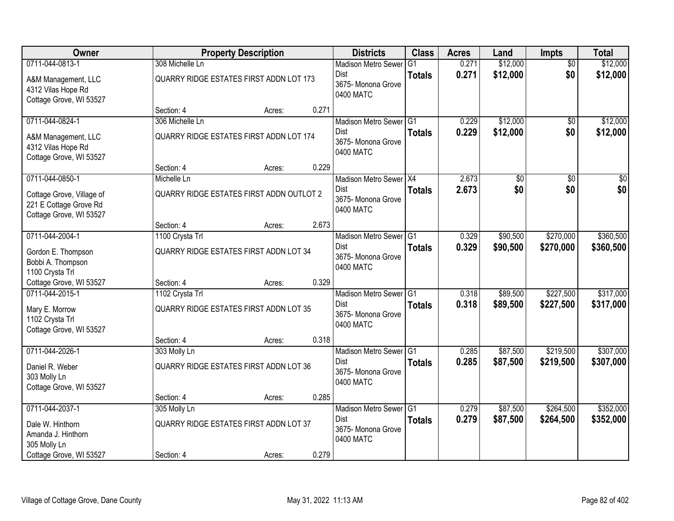| Owner                                                                           |                 | <b>Property Description</b>                   |       | <b>Districts</b>                                                         | <b>Class</b>  | <b>Acres</b>   | Land                 | <b>Impts</b>           | <b>Total</b>           |
|---------------------------------------------------------------------------------|-----------------|-----------------------------------------------|-------|--------------------------------------------------------------------------|---------------|----------------|----------------------|------------------------|------------------------|
| 0711-044-0813-1                                                                 | 308 Michelle Ln |                                               |       | <b>Madison Metro Sewer</b>                                               | G1            | 0.271          | \$12,000             | $\overline{50}$        | \$12,000               |
| A&M Management, LLC<br>4312 Vilas Hope Rd<br>Cottage Grove, WI 53527            |                 | QUARRY RIDGE ESTATES FIRST ADDN LOT 173       |       | Dist<br>3675- Monona Grove<br>0400 MATC                                  | <b>Totals</b> | 0.271          | \$12,000             | \$0                    | \$12,000               |
|                                                                                 | Section: 4      | Acres:                                        | 0.271 |                                                                          |               |                |                      |                        |                        |
| 0711-044-0824-1                                                                 | 306 Michelle Ln |                                               |       | Madison Metro Sewer G1                                                   |               | 0.229          | \$12,000             | \$0                    | \$12,000               |
| A&M Management, LLC<br>4312 Vilas Hope Rd<br>Cottage Grove, WI 53527            |                 | QUARRY RIDGE ESTATES FIRST ADDN LOT 174       |       | <b>Dist</b><br>3675- Monona Grove<br>0400 MATC                           | <b>Totals</b> | 0.229          | \$12,000             | \$0                    | \$12,000               |
|                                                                                 | Section: 4      | Acres:                                        | 0.229 |                                                                          |               |                |                      |                        |                        |
| 0711-044-0850-1                                                                 | Michelle Ln     |                                               |       | Madison Metro Sewer X4                                                   |               | 2.673          | \$0                  | $\overline{50}$        | \$0                    |
| Cottage Grove, Village of<br>221 E Cottage Grove Rd<br>Cottage Grove, WI 53527  |                 | QUARRY RIDGE ESTATES FIRST ADDN OUTLOT 2      |       | Dist<br>3675- Monona Grove<br>0400 MATC                                  | <b>Totals</b> | 2.673          | \$0                  | \$0                    | \$0                    |
|                                                                                 | Section: 4      | Acres:                                        | 2.673 |                                                                          |               |                |                      |                        |                        |
| 0711-044-2004-1                                                                 | 1100 Crysta Trl |                                               |       | Madison Metro Sewer G1                                                   |               | 0.329          | \$90,500             | \$270,000              | \$360,500              |
| Gordon E. Thompson<br>Bobbi A. Thompson<br>1100 Crysta Trl                      |                 | QUARRY RIDGE ESTATES FIRST ADDN LOT 34        |       | Dist<br>3675- Monona Grove<br>0400 MATC                                  | <b>Totals</b> | 0.329          | \$90,500             | \$270,000              | \$360,500              |
| Cottage Grove, WI 53527                                                         | Section: 4      | Acres:                                        | 0.329 |                                                                          |               |                |                      |                        |                        |
| 0711-044-2015-1<br>Mary E. Morrow<br>1102 Crysta Trl<br>Cottage Grove, WI 53527 | 1102 Crysta Trl | <b>QUARRY RIDGE ESTATES FIRST ADDN LOT 35</b> |       | Madison Metro Sewer G1<br><b>Dist</b><br>3675- Monona Grove<br>0400 MATC | <b>Totals</b> | 0.318<br>0.318 | \$89,500<br>\$89,500 | \$227,500<br>\$227,500 | \$317,000<br>\$317,000 |
|                                                                                 | Section: 4      | Acres:                                        | 0.318 |                                                                          |               |                |                      |                        |                        |
| 0711-044-2026-1                                                                 | 303 Molly Ln    |                                               |       | Madison Metro Sewer G1                                                   |               | 0.285          | \$87,500             | \$219,500              | \$307,000              |
| Daniel R. Weber<br>303 Molly Ln<br>Cottage Grove, WI 53527                      |                 | QUARRY RIDGE ESTATES FIRST ADDN LOT 36        |       | Dist<br>3675- Monona Grove<br>0400 MATC                                  | <b>Totals</b> | 0.285          | \$87,500             | \$219,500              | \$307,000              |
|                                                                                 | Section: 4      | Acres:                                        | 0.285 |                                                                          |               |                |                      |                        |                        |
| 0711-044-2037-1                                                                 | 305 Molly Ln    |                                               |       | Madison Metro Sewer G1                                                   |               | 0.279          | \$87,500             | \$264,500              | \$352,000              |
| Dale W. Hinthorn<br>Amanda J. Hinthorn<br>305 Molly Ln                          |                 | QUARRY RIDGE ESTATES FIRST ADDN LOT 37        |       | Dist<br>3675- Monona Grove<br>0400 MATC                                  | <b>Totals</b> | 0.279          | \$87,500             | \$264,500              | \$352,000              |
| Cottage Grove, WI 53527                                                         | Section: 4      | Acres:                                        | 0.279 |                                                                          |               |                |                      |                        |                        |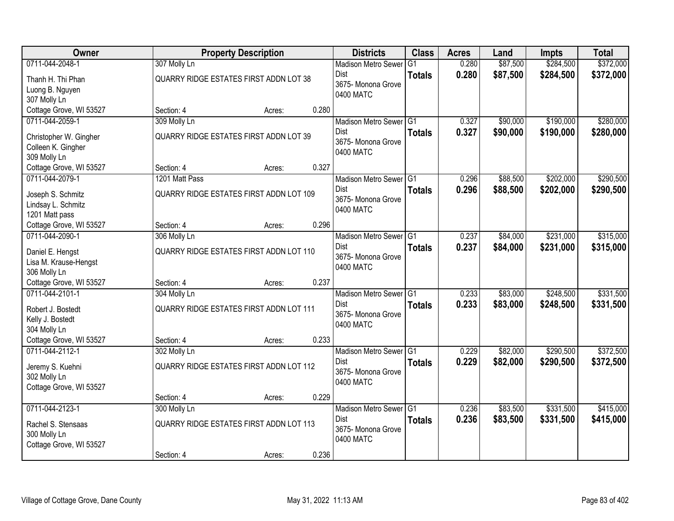| Owner                                      |                                               | <b>Property Description</b> |       | <b>Districts</b>                      | <b>Class</b>  | <b>Acres</b>   | Land     | <b>Impts</b> | <b>Total</b> |
|--------------------------------------------|-----------------------------------------------|-----------------------------|-------|---------------------------------------|---------------|----------------|----------|--------------|--------------|
| 0711-044-2048-1                            | 307 Molly Ln                                  |                             |       | <b>Madison Metro Sewer</b>            | G1            | 0.280          | \$87,500 | \$284,500    | \$372,000    |
| Thanh H. Thi Phan                          | QUARRY RIDGE ESTATES FIRST ADDN LOT 38        |                             |       | <b>Dist</b>                           | <b>Totals</b> | 0.280          | \$87,500 | \$284,500    | \$372,000    |
| Luong B. Nguyen                            |                                               |                             |       | 3675- Monona Grove<br>0400 MATC       |               |                |          |              |              |
| 307 Molly Ln                               |                                               |                             |       |                                       |               |                |          |              |              |
| Cottage Grove, WI 53527                    | Section: 4                                    | Acres:                      | 0.280 |                                       |               |                |          |              |              |
| 0711-044-2059-1                            | 309 Molly Ln                                  |                             |       | Madison Metro Sewer G1                |               | 0.327          | \$90,000 | \$190,000    | \$280,000    |
| Christopher W. Gingher                     | <b>QUARRY RIDGE ESTATES FIRST ADDN LOT 39</b> |                             |       | Dist<br>3675- Monona Grove            | <b>Totals</b> | 0.327          | \$90,000 | \$190,000    | \$280,000    |
| Colleen K. Gingher                         |                                               |                             |       | 0400 MATC                             |               |                |          |              |              |
| 309 Molly Ln                               |                                               |                             |       |                                       |               |                |          |              |              |
| Cottage Grove, WI 53527                    | Section: 4                                    | Acres:                      | 0.327 |                                       |               |                |          |              |              |
| 0711-044-2079-1                            | 1201 Matt Pass                                |                             |       | Madison Metro Sewer G1                |               | 0.296          | \$88,500 | \$202,000    | \$290,500    |
| Joseph S. Schmitz                          | QUARRY RIDGE ESTATES FIRST ADDN LOT 109       |                             |       | <b>Dist</b><br>3675- Monona Grove     | <b>Totals</b> | 0.296          | \$88,500 | \$202,000    | \$290,500    |
| Lindsay L. Schmitz                         |                                               |                             |       | 0400 MATC                             |               |                |          |              |              |
| 1201 Matt pass                             |                                               |                             |       |                                       |               |                |          |              |              |
| Cottage Grove, WI 53527                    | Section: 4                                    | Acres:                      | 0.296 |                                       |               |                |          |              |              |
| 0711-044-2090-1                            | 306 Molly Ln                                  |                             |       | Madison Metro Sewer G1<br><b>Dist</b> |               | 0.237<br>0.237 | \$84,000 | \$231,000    | \$315,000    |
| Daniel E. Hengst                           | QUARRY RIDGE ESTATES FIRST ADDN LOT 110       |                             |       | 3675- Monona Grove                    | <b>Totals</b> |                | \$84,000 | \$231,000    | \$315,000    |
| Lisa M. Krause-Hengst                      |                                               |                             |       | 0400 MATC                             |               |                |          |              |              |
| 306 Molly Ln                               |                                               |                             | 0.237 |                                       |               |                |          |              |              |
| Cottage Grove, WI 53527<br>0711-044-2101-1 | Section: 4<br>304 Molly Ln                    | Acres:                      |       | Madison Metro Sewer G1                |               | 0.233          | \$83,000 | \$248,500    | \$331,500    |
|                                            |                                               |                             |       | Dist                                  | <b>Totals</b> | 0.233          | \$83,000 | \$248,500    | \$331,500    |
| Robert J. Bostedt                          | QUARRY RIDGE ESTATES FIRST ADDN LOT 111       |                             |       | 3675- Monona Grove                    |               |                |          |              |              |
| Kelly J. Bostedt                           |                                               |                             |       | 0400 MATC                             |               |                |          |              |              |
| 304 Molly Ln<br>Cottage Grove, WI 53527    | Section: 4                                    | Acres:                      | 0.233 |                                       |               |                |          |              |              |
| 0711-044-2112-1                            | 302 Molly Ln                                  |                             |       | Madison Metro Sewer G1                |               | 0.229          | \$82,000 | \$290,500    | \$372,500    |
|                                            |                                               |                             |       | <b>Dist</b>                           | <b>Totals</b> | 0.229          | \$82,000 | \$290,500    | \$372,500    |
| Jeremy S. Kuehni                           | QUARRY RIDGE ESTATES FIRST ADDN LOT 112       |                             |       | 3675- Monona Grove                    |               |                |          |              |              |
| 302 Molly Ln<br>Cottage Grove, WI 53527    |                                               |                             |       | 0400 MATC                             |               |                |          |              |              |
|                                            | Section: 4                                    | Acres:                      | 0.229 |                                       |               |                |          |              |              |
| 0711-044-2123-1                            | 300 Molly Ln                                  |                             |       | Madison Metro Sewer G1                |               | 0.236          | \$83,500 | \$331,500    | \$415,000    |
| Rachel S. Stensaas                         | QUARRY RIDGE ESTATES FIRST ADDN LOT 113       |                             |       | Dist                                  | <b>Totals</b> | 0.236          | \$83,500 | \$331,500    | \$415,000    |
| 300 Molly Ln                               |                                               |                             |       | 3675- Monona Grove                    |               |                |          |              |              |
| Cottage Grove, WI 53527                    |                                               |                             |       | 0400 MATC                             |               |                |          |              |              |
|                                            | Section: 4                                    | Acres:                      | 0.236 |                                       |               |                |          |              |              |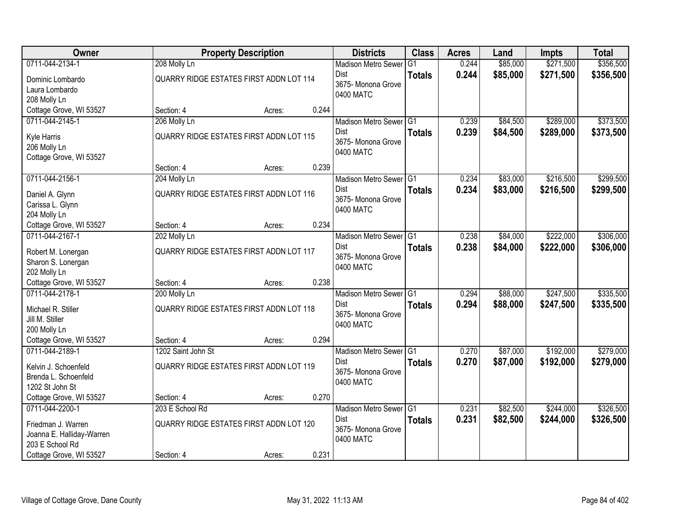| Owner                     |                                                | <b>Property Description</b> |       | <b>Districts</b>           | <b>Class</b>  | <b>Acres</b> | Land     | <b>Impts</b> | <b>Total</b> |
|---------------------------|------------------------------------------------|-----------------------------|-------|----------------------------|---------------|--------------|----------|--------------|--------------|
| 0711-044-2134-1           | 208 Molly Ln                                   |                             |       | <b>Madison Metro Sewer</b> | G1            | 0.244        | \$85,000 | \$271,500    | \$356,500    |
| Dominic Lombardo          | QUARRY RIDGE ESTATES FIRST ADDN LOT 114        |                             |       | Dist                       | <b>Totals</b> | 0.244        | \$85,000 | \$271,500    | \$356,500    |
| Laura Lombardo            |                                                |                             |       | 3675-Monona Grove          |               |              |          |              |              |
| 208 Molly Ln              |                                                |                             |       | 0400 MATC                  |               |              |          |              |              |
| Cottage Grove, WI 53527   | Section: 4                                     | Acres:                      | 0.244 |                            |               |              |          |              |              |
| 0711-044-2145-1           | 206 Molly Ln                                   |                             |       | Madison Metro Sewer G1     |               | 0.239        | \$84,500 | \$289,000    | \$373,500    |
| Kyle Harris               | <b>QUARRY RIDGE ESTATES FIRST ADDN LOT 115</b> |                             |       | Dist                       | <b>Totals</b> | 0.239        | \$84,500 | \$289,000    | \$373,500    |
| 206 Molly Ln              |                                                |                             |       | 3675- Monona Grove         |               |              |          |              |              |
| Cottage Grove, WI 53527   |                                                |                             |       | 0400 MATC                  |               |              |          |              |              |
|                           | Section: 4                                     | Acres:                      | 0.239 |                            |               |              |          |              |              |
| 0711-044-2156-1           | 204 Molly Ln                                   |                             |       | Madison Metro Sewer G1     |               | 0.234        | \$83,000 | \$216,500    | \$299,500    |
| Daniel A. Glynn           | QUARRY RIDGE ESTATES FIRST ADDN LOT 116        |                             |       | Dist                       | <b>Totals</b> | 0.234        | \$83,000 | \$216,500    | \$299,500    |
| Carissa L. Glynn          |                                                |                             |       | 3675- Monona Grove         |               |              |          |              |              |
| 204 Molly Ln              |                                                |                             |       | 0400 MATC                  |               |              |          |              |              |
| Cottage Grove, WI 53527   | Section: 4                                     | Acres:                      | 0.234 |                            |               |              |          |              |              |
| 0711-044-2167-1           | 202 Molly Ln                                   |                             |       | Madison Metro Sewer G1     |               | 0.238        | \$84,000 | \$222,000    | \$306,000    |
| Robert M. Lonergan        | QUARRY RIDGE ESTATES FIRST ADDN LOT 117        |                             |       | Dist                       | <b>Totals</b> | 0.238        | \$84,000 | \$222,000    | \$306,000    |
| Sharon S. Lonergan        |                                                |                             |       | 3675- Monona Grove         |               |              |          |              |              |
| 202 Molly Ln              |                                                |                             |       | 0400 MATC                  |               |              |          |              |              |
| Cottage Grove, WI 53527   | Section: 4                                     | Acres:                      | 0.238 |                            |               |              |          |              |              |
| 0711-044-2178-1           | 200 Molly Ln                                   |                             |       | Madison Metro Sewer G1     |               | 0.294        | \$88,000 | \$247,500    | \$335,500    |
| Michael R. Stiller        | <b>QUARRY RIDGE ESTATES FIRST ADDN LOT 118</b> |                             |       | <b>Dist</b>                | <b>Totals</b> | 0.294        | \$88,000 | \$247,500    | \$335,500    |
| Jill M. Stiller           |                                                |                             |       | 3675-Monona Grove          |               |              |          |              |              |
| 200 Molly Ln              |                                                |                             |       | 0400 MATC                  |               |              |          |              |              |
| Cottage Grove, WI 53527   | Section: 4                                     | Acres:                      | 0.294 |                            |               |              |          |              |              |
| 0711-044-2189-1           | 1202 Saint John St                             |                             |       | Madison Metro Sewer G1     |               | 0.270        | \$87,000 | \$192,000    | \$279,000    |
| Kelvin J. Schoenfeld      | <b>QUARRY RIDGE ESTATES FIRST ADDN LOT 119</b> |                             |       | Dist                       | <b>Totals</b> | 0.270        | \$87,000 | \$192,000    | \$279,000    |
| Brenda L. Schoenfeld      |                                                |                             |       | 3675- Monona Grove         |               |              |          |              |              |
| 1202 St John St           |                                                |                             |       | 0400 MATC                  |               |              |          |              |              |
| Cottage Grove, WI 53527   | Section: 4                                     | Acres:                      | 0.270 |                            |               |              |          |              |              |
| 0711-044-2200-1           | 203 E School Rd                                |                             |       | Madison Metro Sewer G1     |               | 0.231        | \$82,500 | \$244,000    | \$326,500    |
| Friedman J. Warren        | QUARRY RIDGE ESTATES FIRST ADDN LOT 120        |                             |       | Dist                       | <b>Totals</b> | 0.231        | \$82,500 | \$244,000    | \$326,500    |
| Joanna E. Halliday-Warren |                                                |                             |       | 3675- Monona Grove         |               |              |          |              |              |
| 203 E School Rd           |                                                |                             |       | 0400 MATC                  |               |              |          |              |              |
| Cottage Grove, WI 53527   | Section: 4                                     | Acres:                      | 0.231 |                            |               |              |          |              |              |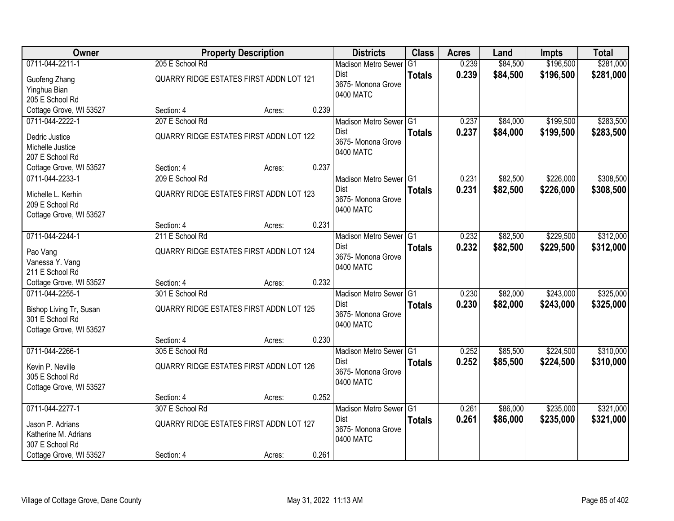| <b>Owner</b>                                                                             |                                                            | <b>Property Description</b> |       | <b>Districts</b>                                                         | <b>Class</b>  | <b>Acres</b>   | Land                 | <b>Impts</b>           | <b>Total</b>           |
|------------------------------------------------------------------------------------------|------------------------------------------------------------|-----------------------------|-------|--------------------------------------------------------------------------|---------------|----------------|----------------------|------------------------|------------------------|
| 0711-044-2211-1                                                                          | 205 E School Rd                                            |                             |       | <b>Madison Metro Sewer</b>                                               | G1            | 0.239          | \$84,500             | \$196,500              | \$281,000              |
| Guofeng Zhang<br>Yinghua Bian                                                            | QUARRY RIDGE ESTATES FIRST ADDN LOT 121                    |                             |       | <b>Dist</b><br>3675- Monona Grove<br>0400 MATC                           | <b>Totals</b> | 0.239          | \$84,500             | \$196,500              | \$281,000              |
| 205 E School Rd                                                                          |                                                            |                             |       |                                                                          |               |                |                      |                        |                        |
| Cottage Grove, WI 53527                                                                  | Section: 4                                                 | Acres:                      | 0.239 |                                                                          |               |                |                      |                        |                        |
| 0711-044-2222-1                                                                          | 207 E School Rd                                            |                             |       | Madison Metro Sewer G1<br><b>Dist</b>                                    |               | 0.237          | \$84,000             | \$199,500              | \$283,500              |
| Dedric Justice<br>Michelle Justice<br>207 E School Rd                                    | QUARRY RIDGE ESTATES FIRST ADDN LOT 122                    |                             |       | 3675- Monona Grove<br>0400 MATC                                          | <b>Totals</b> | 0.237          | \$84,000             | \$199,500              | \$283,500              |
| Cottage Grove, WI 53527                                                                  | Section: 4                                                 | Acres:                      | 0.237 |                                                                          |               |                |                      |                        |                        |
| 0711-044-2233-1                                                                          | 209 E School Rd                                            |                             |       | Madison Metro Sewer G1                                                   |               | 0.231          | \$82,500             | \$226,000              | \$308,500              |
| Michelle L. Kerhin<br>209 E School Rd<br>Cottage Grove, WI 53527                         | QUARRY RIDGE ESTATES FIRST ADDN LOT 123                    |                             |       | <b>Dist</b><br>3675- Monona Grove<br>0400 MATC                           | <b>Totals</b> | 0.231          | \$82,500             | \$226,000              | \$308,500              |
|                                                                                          | Section: 4                                                 | Acres:                      | 0.231 |                                                                          |               |                |                      |                        |                        |
| 0711-044-2244-1                                                                          | 211 E School Rd                                            |                             |       | Madison Metro Sewer G1                                                   |               | 0.232          | \$82,500             | \$229,500              | \$312,000              |
| Pao Vang<br>Vanessa Y. Vang<br>211 E School Rd                                           | QUARRY RIDGE ESTATES FIRST ADDN LOT 124                    |                             |       | <b>Dist</b><br>3675- Monona Grove<br>0400 MATC                           | <b>Totals</b> | 0.232          | \$82,500             | \$229,500              | \$312,000              |
| Cottage Grove, WI 53527                                                                  | Section: 4                                                 | Acres:                      | 0.232 |                                                                          |               |                |                      |                        |                        |
| 0711-044-2255-1<br>Bishop Living Tr, Susan<br>301 E School Rd<br>Cottage Grove, WI 53527 | 301 E School Rd<br>QUARRY RIDGE ESTATES FIRST ADDN LOT 125 |                             |       | Madison Metro Sewer G1<br><b>Dist</b><br>3675- Monona Grove<br>0400 MATC | <b>Totals</b> | 0.230<br>0.230 | \$82,000<br>\$82,000 | \$243,000<br>\$243,000 | \$325,000<br>\$325,000 |
|                                                                                          | Section: 4                                                 | Acres:                      | 0.230 |                                                                          |               |                |                      |                        |                        |
| 0711-044-2266-1                                                                          | 305 E School Rd                                            |                             |       | Madison Metro Sewer G1                                                   |               | 0.252          | \$85,500             | \$224,500              | \$310,000              |
| Kevin P. Neville<br>305 E School Rd<br>Cottage Grove, WI 53527                           | QUARRY RIDGE ESTATES FIRST ADDN LOT 126                    |                             |       | Dist<br>3675- Monona Grove<br>0400 MATC                                  | <b>Totals</b> | 0.252          | \$85,500             | \$224,500              | \$310,000              |
|                                                                                          | Section: 4                                                 | Acres:                      | 0.252 |                                                                          |               |                |                      |                        |                        |
| 0711-044-2277-1                                                                          | 307 E School Rd                                            |                             |       | Madison Metro Sewer G1                                                   |               | 0.261          | \$86,000             | \$235,000              | \$321,000              |
| Jason P. Adrians<br>Katherine M. Adrians<br>307 E School Rd                              | QUARRY RIDGE ESTATES FIRST ADDN LOT 127                    |                             |       | <b>Dist</b><br>3675- Monona Grove<br>0400 MATC                           | <b>Totals</b> | 0.261          | \$86,000             | \$235,000              | \$321,000              |
| Cottage Grove, WI 53527                                                                  | Section: 4                                                 | Acres:                      | 0.261 |                                                                          |               |                |                      |                        |                        |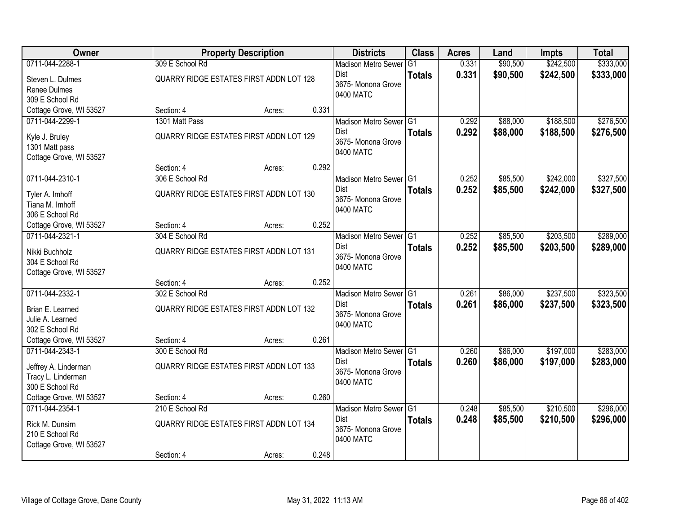| Owner                   |                                         | <b>Property Description</b> |       | <b>Districts</b>           | <b>Class</b>  | <b>Acres</b> | Land     | <b>Impts</b> | <b>Total</b> |
|-------------------------|-----------------------------------------|-----------------------------|-------|----------------------------|---------------|--------------|----------|--------------|--------------|
| 0711-044-2288-1         | 309 E School Rd                         |                             |       | <b>Madison Metro Sewer</b> | G1            | 0.331        | \$90,500 | \$242,500    | \$333,000    |
| Steven L. Dulmes        | QUARRY RIDGE ESTATES FIRST ADDN LOT 128 |                             |       | Dist                       | <b>Totals</b> | 0.331        | \$90,500 | \$242,500    | \$333,000    |
| Renee Dulmes            |                                         |                             |       | 3675- Monona Grove         |               |              |          |              |              |
| 309 E School Rd         |                                         |                             |       | 0400 MATC                  |               |              |          |              |              |
| Cottage Grove, WI 53527 | Section: 4                              | Acres:                      | 0.331 |                            |               |              |          |              |              |
| 0711-044-2299-1         | 1301 Matt Pass                          |                             |       | Madison Metro Sewer G1     |               | 0.292        | \$88,000 | \$188,500    | \$276,500    |
| Kyle J. Bruley          | QUARRY RIDGE ESTATES FIRST ADDN LOT 129 |                             |       | <b>Dist</b>                | <b>Totals</b> | 0.292        | \$88,000 | \$188,500    | \$276,500    |
| 1301 Matt pass          |                                         |                             |       | 3675- Monona Grove         |               |              |          |              |              |
| Cottage Grove, WI 53527 |                                         |                             |       | 0400 MATC                  |               |              |          |              |              |
|                         | Section: 4                              | Acres:                      | 0.292 |                            |               |              |          |              |              |
| 0711-044-2310-1         | 306 E School Rd                         |                             |       | Madison Metro Sewer G1     |               | 0.252        | \$85,500 | \$242,000    | \$327,500    |
| Tyler A. Imhoff         | QUARRY RIDGE ESTATES FIRST ADDN LOT 130 |                             |       | Dist                       | <b>Totals</b> | 0.252        | \$85,500 | \$242,000    | \$327,500    |
| Tiana M. Imhoff         |                                         |                             |       | 3675- Monona Grove         |               |              |          |              |              |
| 306 E School Rd         |                                         |                             |       | 0400 MATC                  |               |              |          |              |              |
| Cottage Grove, WI 53527 | Section: 4                              | Acres:                      | 0.252 |                            |               |              |          |              |              |
| 0711-044-2321-1         | 304 E School Rd                         |                             |       | Madison Metro Sewer G1     |               | 0.252        | \$85,500 | \$203,500    | \$289,000    |
| Nikki Buchholz          | QUARRY RIDGE ESTATES FIRST ADDN LOT 131 |                             |       | Dist                       | <b>Totals</b> | 0.252        | \$85,500 | \$203,500    | \$289,000    |
| 304 E School Rd         |                                         |                             |       | 3675- Monona Grove         |               |              |          |              |              |
| Cottage Grove, WI 53527 |                                         |                             |       | 0400 MATC                  |               |              |          |              |              |
|                         | Section: 4                              | Acres:                      | 0.252 |                            |               |              |          |              |              |
| 0711-044-2332-1         | 302 E School Rd                         |                             |       | Madison Metro Sewer G1     |               | 0.261        | \$86,000 | \$237,500    | \$323,500    |
| Brian E. Learned        | QUARRY RIDGE ESTATES FIRST ADDN LOT 132 |                             |       | <b>Dist</b>                | <b>Totals</b> | 0.261        | \$86,000 | \$237,500    | \$323,500    |
| Julie A. Learned        |                                         |                             |       | 3675- Monona Grove         |               |              |          |              |              |
| 302 E School Rd         |                                         |                             |       | 0400 MATC                  |               |              |          |              |              |
| Cottage Grove, WI 53527 | Section: 4                              | Acres:                      | 0.261 |                            |               |              |          |              |              |
| 0711-044-2343-1         | 300 E School Rd                         |                             |       | Madison Metro Sewer G1     |               | 0.260        | \$86,000 | \$197,000    | \$283,000    |
| Jeffrey A. Linderman    | QUARRY RIDGE ESTATES FIRST ADDN LOT 133 |                             |       | Dist                       | <b>Totals</b> | 0.260        | \$86,000 | \$197,000    | \$283,000    |
| Tracy L. Linderman      |                                         |                             |       | 3675- Monona Grove         |               |              |          |              |              |
| 300 E School Rd         |                                         |                             |       | 0400 MATC                  |               |              |          |              |              |
| Cottage Grove, WI 53527 | Section: 4                              | Acres:                      | 0.260 |                            |               |              |          |              |              |
| 0711-044-2354-1         | 210 E School Rd                         |                             |       | Madison Metro Sewer G1     |               | 0.248        | \$85,500 | \$210,500    | \$296,000    |
| Rick M. Dunsirn         | QUARRY RIDGE ESTATES FIRST ADDN LOT 134 |                             |       | Dist                       | <b>Totals</b> | 0.248        | \$85,500 | \$210,500    | \$296,000    |
| 210 E School Rd         |                                         |                             |       | 3675-Monona Grove          |               |              |          |              |              |
| Cottage Grove, WI 53527 |                                         |                             |       | 0400 MATC                  |               |              |          |              |              |
|                         | Section: 4                              | Acres:                      | 0.248 |                            |               |              |          |              |              |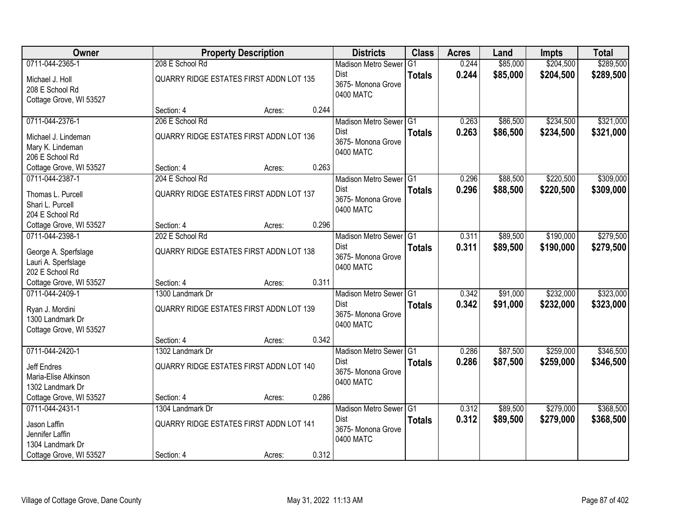| Owner                              |                                                | <b>Property Description</b> |       | <b>Districts</b>           | <b>Class</b>  | <b>Acres</b> | Land     | <b>Impts</b> | <b>Total</b> |
|------------------------------------|------------------------------------------------|-----------------------------|-------|----------------------------|---------------|--------------|----------|--------------|--------------|
| 0711-044-2365-1                    | 208 E School Rd                                |                             |       | <b>Madison Metro Sewer</b> | G1            | 0.244        | \$85,000 | \$204,500    | \$289,500    |
| Michael J. Holl<br>208 E School Rd | QUARRY RIDGE ESTATES FIRST ADDN LOT 135        |                             |       | Dist<br>3675- Monona Grove | <b>Totals</b> | 0.244        | \$85,000 | \$204,500    | \$289,500    |
| Cottage Grove, WI 53527            |                                                |                             |       | 0400 MATC                  |               |              |          |              |              |
|                                    | Section: 4                                     | Acres:                      | 0.244 |                            |               |              |          |              |              |
| 0711-044-2376-1                    | 206 E School Rd                                |                             |       | Madison Metro Sewer G1     |               | 0.263        | \$86,500 | \$234,500    | \$321,000    |
| Michael J. Lindeman                | <b>QUARRY RIDGE ESTATES FIRST ADDN LOT 136</b> |                             |       | <b>Dist</b>                | <b>Totals</b> | 0.263        | \$86,500 | \$234,500    | \$321,000    |
| Mary K. Lindeman                   |                                                |                             |       | 3675- Monona Grove         |               |              |          |              |              |
| 206 E School Rd                    |                                                |                             |       | 0400 MATC                  |               |              |          |              |              |
| Cottage Grove, WI 53527            | Section: 4                                     | Acres:                      | 0.263 |                            |               |              |          |              |              |
| 0711-044-2387-1                    | 204 E School Rd                                |                             |       | Madison Metro Sewer G1     |               | 0.296        | \$88,500 | \$220,500    | \$309,000    |
| Thomas L. Purcell                  | QUARRY RIDGE ESTATES FIRST ADDN LOT 137        |                             |       | Dist                       | <b>Totals</b> | 0.296        | \$88,500 | \$220,500    | \$309,000    |
| Shari L. Purcell                   |                                                |                             |       | 3675- Monona Grove         |               |              |          |              |              |
| 204 E School Rd                    |                                                |                             |       | 0400 MATC                  |               |              |          |              |              |
| Cottage Grove, WI 53527            | Section: 4                                     | Acres:                      | 0.296 |                            |               |              |          |              |              |
| 0711-044-2398-1                    | 202 E School Rd                                |                             |       | Madison Metro Sewer G1     |               | 0.311        | \$89,500 | \$190,000    | \$279,500    |
| George A. Sperfslage               | QUARRY RIDGE ESTATES FIRST ADDN LOT 138        |                             |       | Dist                       | <b>Totals</b> | 0.311        | \$89,500 | \$190,000    | \$279,500    |
| Lauri A. Sperfslage                |                                                |                             |       | 3675- Monona Grove         |               |              |          |              |              |
| 202 E School Rd                    |                                                |                             |       | 0400 MATC                  |               |              |          |              |              |
| Cottage Grove, WI 53527            | Section: 4                                     | Acres:                      | 0.311 |                            |               |              |          |              |              |
| 0711-044-2409-1                    | 1300 Landmark Dr                               |                             |       | Madison Metro Sewer G1     |               | 0.342        | \$91,000 | \$232,000    | \$323,000    |
| Ryan J. Mordini                    | QUARRY RIDGE ESTATES FIRST ADDN LOT 139        |                             |       | <b>Dist</b>                | <b>Totals</b> | 0.342        | \$91,000 | \$232,000    | \$323,000    |
| 1300 Landmark Dr                   |                                                |                             |       | 3675- Monona Grove         |               |              |          |              |              |
| Cottage Grove, WI 53527            |                                                |                             |       | 0400 MATC                  |               |              |          |              |              |
|                                    | Section: 4                                     | Acres:                      | 0.342 |                            |               |              |          |              |              |
| 0711-044-2420-1                    | 1302 Landmark Dr                               |                             |       | Madison Metro Sewer G1     |               | 0.286        | \$87,500 | \$259,000    | \$346,500    |
| Jeff Endres                        | QUARRY RIDGE ESTATES FIRST ADDN LOT 140        |                             |       | Dist                       | <b>Totals</b> | 0.286        | \$87,500 | \$259,000    | \$346,500    |
| Maria-Elise Atkinson               |                                                |                             |       | 3675- Monona Grove         |               |              |          |              |              |
| 1302 Landmark Dr                   |                                                |                             |       | 0400 MATC                  |               |              |          |              |              |
| Cottage Grove, WI 53527            | Section: 4                                     | Acres:                      | 0.286 |                            |               |              |          |              |              |
| 0711-044-2431-1                    | 1304 Landmark Dr                               |                             |       | Madison Metro Sewer G1     |               | 0.312        | \$89,500 | \$279,000    | \$368,500    |
| Jason Laffin                       | QUARRY RIDGE ESTATES FIRST ADDN LOT 141        |                             |       | Dist                       | <b>Totals</b> | 0.312        | \$89,500 | \$279,000    | \$368,500    |
| Jennifer Laffin                    |                                                |                             |       | 3675-Monona Grove          |               |              |          |              |              |
| 1304 Landmark Dr                   |                                                |                             |       | 0400 MATC                  |               |              |          |              |              |
| Cottage Grove, WI 53527            | Section: 4                                     | Acres:                      | 0.312 |                            |               |              |          |              |              |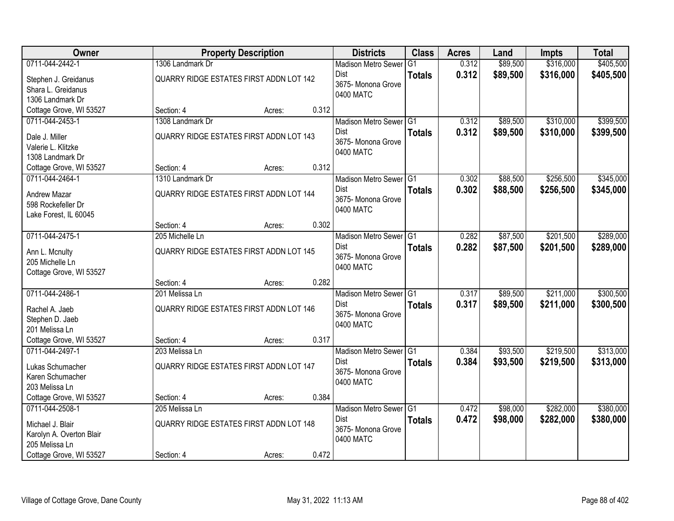| Owner                    |                                                | <b>Property Description</b> |       | <b>Districts</b>           | <b>Class</b>  | <b>Acres</b> | Land     | <b>Impts</b> | <b>Total</b> |
|--------------------------|------------------------------------------------|-----------------------------|-------|----------------------------|---------------|--------------|----------|--------------|--------------|
| 0711-044-2442-1          | 1306 Landmark Dr                               |                             |       | <b>Madison Metro Sewer</b> | G1            | 0.312        | \$89,500 | \$316,000    | \$405,500    |
| Stephen J. Greidanus     | QUARRY RIDGE ESTATES FIRST ADDN LOT 142        |                             |       | Dist                       | <b>Totals</b> | 0.312        | \$89,500 | \$316,000    | \$405,500    |
| Shara L. Greidanus       |                                                |                             |       | 3675- Monona Grove         |               |              |          |              |              |
| 1306 Landmark Dr         |                                                |                             |       | 0400 MATC                  |               |              |          |              |              |
| Cottage Grove, WI 53527  | Section: 4                                     | Acres:                      | 0.312 |                            |               |              |          |              |              |
| 0711-044-2453-1          | 1308 Landmark Dr                               |                             |       | Madison Metro Sewer G1     |               | 0.312        | \$89,500 | \$310,000    | \$399,500    |
| Dale J. Miller           | <b>QUARRY RIDGE ESTATES FIRST ADDN LOT 143</b> |                             |       | <b>Dist</b>                | <b>Totals</b> | 0.312        | \$89,500 | \$310,000    | \$399,500    |
| Valerie L. Klitzke       |                                                |                             |       | 3675- Monona Grove         |               |              |          |              |              |
| 1308 Landmark Dr         |                                                |                             |       | 0400 MATC                  |               |              |          |              |              |
| Cottage Grove, WI 53527  | Section: 4                                     | Acres:                      | 0.312 |                            |               |              |          |              |              |
| 0711-044-2464-1          | 1310 Landmark Dr                               |                             |       | Madison Metro Sewer G1     |               | 0.302        | \$88,500 | \$256,500    | \$345,000    |
| Andrew Mazar             | QUARRY RIDGE ESTATES FIRST ADDN LOT 144        |                             |       | Dist                       | <b>Totals</b> | 0.302        | \$88,500 | \$256,500    | \$345,000    |
| 598 Rockefeller Dr       |                                                |                             |       | 3675- Monona Grove         |               |              |          |              |              |
| Lake Forest, IL 60045    |                                                |                             |       | 0400 MATC                  |               |              |          |              |              |
|                          | Section: 4                                     | Acres:                      | 0.302 |                            |               |              |          |              |              |
| 0711-044-2475-1          | 205 Michelle Ln                                |                             |       | Madison Metro Sewer G1     |               | 0.282        | \$87,500 | \$201,500    | \$289,000    |
| Ann L. Mcnulty           | QUARRY RIDGE ESTATES FIRST ADDN LOT 145        |                             |       | Dist                       | <b>Totals</b> | 0.282        | \$87,500 | \$201,500    | \$289,000    |
| 205 Michelle Ln          |                                                |                             |       | 3675- Monona Grove         |               |              |          |              |              |
| Cottage Grove, WI 53527  |                                                |                             |       | 0400 MATC                  |               |              |          |              |              |
|                          | Section: 4                                     | Acres:                      | 0.282 |                            |               |              |          |              |              |
| 0711-044-2486-1          | 201 Melissa Ln                                 |                             |       | Madison Metro Sewer G1     |               | 0.317        | \$89,500 | \$211,000    | \$300,500    |
| Rachel A. Jaeb           | <b>QUARRY RIDGE ESTATES FIRST ADDN LOT 146</b> |                             |       | <b>Dist</b>                | <b>Totals</b> | 0.317        | \$89,500 | \$211,000    | \$300,500    |
| Stephen D. Jaeb          |                                                |                             |       | 3675- Monona Grove         |               |              |          |              |              |
| 201 Melissa Ln           |                                                |                             |       | 0400 MATC                  |               |              |          |              |              |
| Cottage Grove, WI 53527  | Section: 4                                     | Acres:                      | 0.317 |                            |               |              |          |              |              |
| 0711-044-2497-1          | 203 Melissa Ln                                 |                             |       | Madison Metro Sewer G1     |               | 0.384        | \$93,500 | \$219,500    | \$313,000    |
| Lukas Schumacher         | QUARRY RIDGE ESTATES FIRST ADDN LOT 147        |                             |       | Dist                       | <b>Totals</b> | 0.384        | \$93,500 | \$219,500    | \$313,000    |
| Karen Schumacher         |                                                |                             |       | 3675- Monona Grove         |               |              |          |              |              |
| 203 Melissa Ln           |                                                |                             |       | 0400 MATC                  |               |              |          |              |              |
| Cottage Grove, WI 53527  | Section: 4                                     | Acres:                      | 0.384 |                            |               |              |          |              |              |
| 0711-044-2508-1          | 205 Melissa Ln                                 |                             |       | Madison Metro Sewer G1     |               | 0.472        | \$98,000 | \$282,000    | \$380,000    |
| Michael J. Blair         | QUARRY RIDGE ESTATES FIRST ADDN LOT 148        |                             |       | Dist                       | <b>Totals</b> | 0.472        | \$98,000 | \$282,000    | \$380,000    |
| Karolyn A. Overton Blair |                                                |                             |       | 3675-Monona Grove          |               |              |          |              |              |
| 205 Melissa Ln           |                                                |                             |       | 0400 MATC                  |               |              |          |              |              |
| Cottage Grove, WI 53527  | Section: 4                                     | Acres:                      | 0.472 |                            |               |              |          |              |              |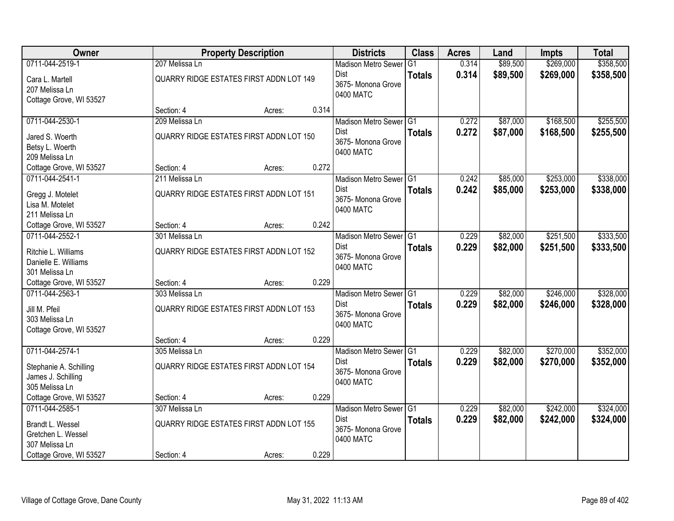| Owner                                      |                                                | <b>Property Description</b> |       | <b>Districts</b>                      | <b>Class</b>  | <b>Acres</b>   | Land     | <b>Impts</b> | <b>Total</b> |
|--------------------------------------------|------------------------------------------------|-----------------------------|-------|---------------------------------------|---------------|----------------|----------|--------------|--------------|
| 0711-044-2519-1                            | 207 Melissa Ln                                 |                             |       | <b>Madison Metro Sewer</b>            | G1            | 0.314          | \$89,500 | \$269,000    | \$358,500    |
| Cara L. Martell                            | QUARRY RIDGE ESTATES FIRST ADDN LOT 149        |                             |       | Dist                                  | <b>Totals</b> | 0.314          | \$89,500 | \$269,000    | \$358,500    |
| 207 Melissa Ln                             |                                                |                             |       | 3675- Monona Grove                    |               |                |          |              |              |
| Cottage Grove, WI 53527                    |                                                |                             |       | 0400 MATC                             |               |                |          |              |              |
|                                            | Section: 4                                     | Acres:                      | 0.314 |                                       |               |                |          |              |              |
| 0711-044-2530-1                            | 209 Melissa Ln                                 |                             |       | Madison Metro Sewer G1                |               | 0.272          | \$87,000 | \$168,500    | \$255,500    |
| Jared S. Woerth                            | QUARRY RIDGE ESTATES FIRST ADDN LOT 150        |                             |       | <b>Dist</b>                           | <b>Totals</b> | 0.272          | \$87,000 | \$168,500    | \$255,500    |
| Betsy L. Woerth                            |                                                |                             |       | 3675- Monona Grove<br>0400 MATC       |               |                |          |              |              |
| 209 Melissa Ln                             |                                                |                             |       |                                       |               |                |          |              |              |
| Cottage Grove, WI 53527                    | Section: 4                                     | Acres:                      | 0.272 |                                       |               |                |          |              |              |
| 0711-044-2541-1                            | 211 Melissa Ln                                 |                             |       | Madison Metro Sewer G1                |               | 0.242          | \$85,000 | \$253,000    | \$338,000    |
| Gregg J. Motelet                           | QUARRY RIDGE ESTATES FIRST ADDN LOT 151        |                             |       | Dist<br>3675- Monona Grove            | <b>Totals</b> | 0.242          | \$85,000 | \$253,000    | \$338,000    |
| Lisa M. Motelet                            |                                                |                             |       | 0400 MATC                             |               |                |          |              |              |
| 211 Melissa Ln                             |                                                |                             |       |                                       |               |                |          |              |              |
| Cottage Grove, WI 53527                    | Section: 4                                     | Acres:                      | 0.242 |                                       |               |                |          |              |              |
| 0711-044-2552-1                            | 301 Melissa Ln                                 |                             |       | Madison Metro Sewer G1<br>Dist        |               | 0.229<br>0.229 | \$82,000 | \$251,500    | \$333,500    |
| Ritchie L. Williams                        | QUARRY RIDGE ESTATES FIRST ADDN LOT 152        |                             |       | 3675- Monona Grove                    | <b>Totals</b> |                | \$82,000 | \$251,500    | \$333,500    |
| Danielle E. Williams                       |                                                |                             |       | 0400 MATC                             |               |                |          |              |              |
| 301 Melissa Ln                             |                                                |                             |       |                                       |               |                |          |              |              |
| Cottage Grove, WI 53527<br>0711-044-2563-1 | Section: 4<br>303 Melissa Ln                   | Acres:                      | 0.229 |                                       |               | 0.229          | \$82,000 | \$246,000    | \$328,000    |
|                                            |                                                |                             |       | Madison Metro Sewer G1<br><b>Dist</b> |               | 0.229          | \$82,000 | \$246,000    | \$328,000    |
| Jill M. Pfeil                              | <b>QUARRY RIDGE ESTATES FIRST ADDN LOT 153</b> |                             |       | 3675- Monona Grove                    | <b>Totals</b> |                |          |              |              |
| 303 Melissa Ln                             |                                                |                             |       | 0400 MATC                             |               |                |          |              |              |
| Cottage Grove, WI 53527                    | Section: 4                                     |                             | 0.229 |                                       |               |                |          |              |              |
| 0711-044-2574-1                            | 305 Melissa Ln                                 | Acres:                      |       | Madison Metro Sewer G1                |               | 0.229          | \$82,000 | \$270,000    | \$352,000    |
|                                            |                                                |                             |       | Dist                                  | <b>Totals</b> | 0.229          | \$82,000 | \$270,000    | \$352,000    |
| Stephanie A. Schilling                     | QUARRY RIDGE ESTATES FIRST ADDN LOT 154        |                             |       | 3675- Monona Grove                    |               |                |          |              |              |
| James J. Schilling<br>305 Melissa Ln       |                                                |                             |       | 0400 MATC                             |               |                |          |              |              |
| Cottage Grove, WI 53527                    | Section: 4                                     | Acres:                      | 0.229 |                                       |               |                |          |              |              |
| 0711-044-2585-1                            | 307 Melissa Ln                                 |                             |       | Madison Metro Sewer G1                |               | 0.229          | \$82,000 | \$242,000    | \$324,000    |
|                                            | QUARRY RIDGE ESTATES FIRST ADDN LOT 155        |                             |       | <b>Dist</b>                           | <b>Totals</b> | 0.229          | \$82,000 | \$242,000    | \$324,000    |
| Brandt L. Wessel<br>Gretchen L. Wessel     |                                                |                             |       | 3675-Monona Grove                     |               |                |          |              |              |
| 307 Melissa Ln                             |                                                |                             |       | 0400 MATC                             |               |                |          |              |              |
| Cottage Grove, WI 53527                    | Section: 4                                     | Acres:                      | 0.229 |                                       |               |                |          |              |              |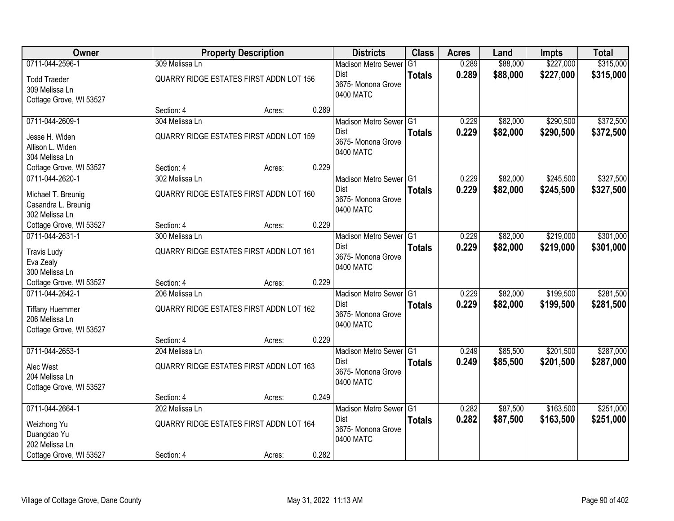| Owner                                     |                                         | <b>Property Description</b> |       | <b>Districts</b>           | <b>Class</b>  | <b>Acres</b> | Land     | <b>Impts</b> | <b>Total</b> |
|-------------------------------------------|-----------------------------------------|-----------------------------|-------|----------------------------|---------------|--------------|----------|--------------|--------------|
| 0711-044-2596-1                           | 309 Melissa Ln                          |                             |       | <b>Madison Metro Sewer</b> | G1            | 0.289        | \$88,000 | \$227,000    | \$315,000    |
| <b>Todd Traeder</b>                       | QUARRY RIDGE ESTATES FIRST ADDN LOT 156 |                             |       | Dist                       | <b>Totals</b> | 0.289        | \$88,000 | \$227,000    | \$315,000    |
| 309 Melissa Ln                            |                                         |                             |       | 3675- Monona Grove         |               |              |          |              |              |
| Cottage Grove, WI 53527                   |                                         |                             |       | 0400 MATC                  |               |              |          |              |              |
|                                           | Section: 4                              | Acres:                      | 0.289 |                            |               |              |          |              |              |
| 0711-044-2609-1                           | 304 Melissa Ln                          |                             |       | Madison Metro Sewer G1     |               | 0.229        | \$82,000 | \$290,500    | \$372,500    |
| Jesse H. Widen                            | QUARRY RIDGE ESTATES FIRST ADDN LOT 159 |                             |       | <b>Dist</b>                | <b>Totals</b> | 0.229        | \$82,000 | \$290,500    | \$372,500    |
| Allison L. Widen                          |                                         |                             |       | 3675- Monona Grove         |               |              |          |              |              |
| 304 Melissa Ln                            |                                         |                             |       | 0400 MATC                  |               |              |          |              |              |
| Cottage Grove, WI 53527                   | Section: 4                              | Acres:                      | 0.229 |                            |               |              |          |              |              |
| 0711-044-2620-1                           | 302 Melissa Ln                          |                             |       | Madison Metro Sewer G1     |               | 0.229        | \$82,000 | \$245,500    | \$327,500    |
| Michael T. Breunig                        | QUARRY RIDGE ESTATES FIRST ADDN LOT 160 |                             |       | Dist                       | <b>Totals</b> | 0.229        | \$82,000 | \$245,500    | \$327,500    |
| Casandra L. Breunig                       |                                         |                             |       | 3675- Monona Grove         |               |              |          |              |              |
| 302 Melissa Ln                            |                                         |                             |       | 0400 MATC                  |               |              |          |              |              |
| Cottage Grove, WI 53527                   | Section: 4                              | Acres:                      | 0.229 |                            |               |              |          |              |              |
| 0711-044-2631-1                           | 300 Melissa Ln                          |                             |       | Madison Metro Sewer G1     |               | 0.229        | \$82,000 | \$219,000    | \$301,000    |
| <b>Travis Ludy</b>                        | QUARRY RIDGE ESTATES FIRST ADDN LOT 161 |                             |       | Dist                       | <b>Totals</b> | 0.229        | \$82,000 | \$219,000    | \$301,000    |
| Eva Zealy                                 |                                         |                             |       | 3675- Monona Grove         |               |              |          |              |              |
| 300 Melissa Ln                            |                                         |                             |       | 0400 MATC                  |               |              |          |              |              |
| Cottage Grove, WI 53527                   | Section: 4                              | Acres:                      | 0.229 |                            |               |              |          |              |              |
| 0711-044-2642-1                           | 206 Melissa Ln                          |                             |       | Madison Metro Sewer G1     |               | 0.229        | \$82,000 | \$199,500    | \$281,500    |
|                                           |                                         |                             |       | <b>Dist</b>                | <b>Totals</b> | 0.229        | \$82,000 | \$199,500    | \$281,500    |
| <b>Tiffany Huemmer</b>                    | QUARRY RIDGE ESTATES FIRST ADDN LOT 162 |                             |       | 3675- Monona Grove         |               |              |          |              |              |
| 206 Melissa Ln<br>Cottage Grove, WI 53527 |                                         |                             |       | 0400 MATC                  |               |              |          |              |              |
|                                           | Section: 4                              | Acres:                      | 0.229 |                            |               |              |          |              |              |
| 0711-044-2653-1                           | 204 Melissa Ln                          |                             |       | Madison Metro Sewer G1     |               | 0.249        | \$85,500 | \$201,500    | \$287,000    |
|                                           |                                         |                             |       | Dist                       | <b>Totals</b> | 0.249        | \$85,500 | \$201,500    | \$287,000    |
| Alec West                                 | QUARRY RIDGE ESTATES FIRST ADDN LOT 163 |                             |       | 3675- Monona Grove         |               |              |          |              |              |
| 204 Melissa Ln                            |                                         |                             |       | 0400 MATC                  |               |              |          |              |              |
| Cottage Grove, WI 53527                   | Section: 4                              | Acres:                      | 0.249 |                            |               |              |          |              |              |
| 0711-044-2664-1                           | 202 Melissa Ln                          |                             |       | Madison Metro Sewer G1     |               | 0.282        | \$87,500 | \$163,500    | \$251,000    |
|                                           |                                         |                             |       | <b>Dist</b>                | <b>Totals</b> | 0.282        | \$87,500 | \$163,500    | \$251,000    |
| Weizhong Yu                               | QUARRY RIDGE ESTATES FIRST ADDN LOT 164 |                             |       | 3675-Monona Grove          |               |              |          |              |              |
| Duangdao Yu                               |                                         |                             |       | 0400 MATC                  |               |              |          |              |              |
| 202 Melissa Ln                            |                                         |                             |       |                            |               |              |          |              |              |
| Cottage Grove, WI 53527                   | Section: 4                              | Acres:                      | 0.282 |                            |               |              |          |              |              |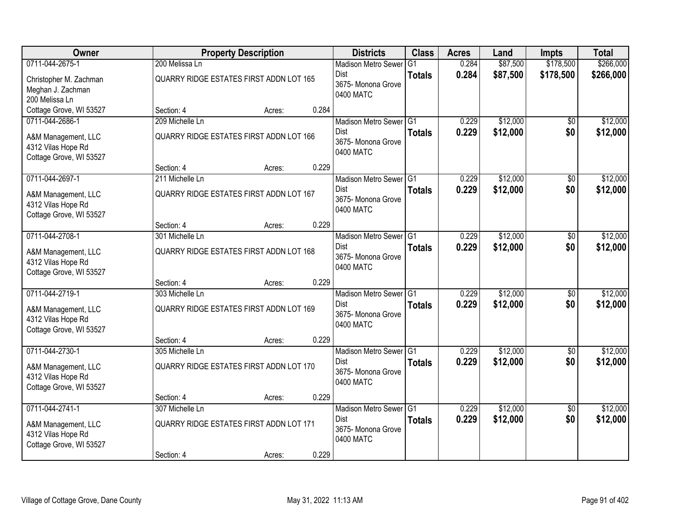| Owner                                                                                   |                                                                          | <b>Property Description</b> |       | <b>Districts</b>                                                         | <b>Class</b>  | <b>Acres</b>   | Land                 | <b>Impts</b>           | <b>Total</b>         |
|-----------------------------------------------------------------------------------------|--------------------------------------------------------------------------|-----------------------------|-------|--------------------------------------------------------------------------|---------------|----------------|----------------------|------------------------|----------------------|
| 0711-044-2675-1                                                                         | 200 Melissa Ln                                                           |                             |       | <b>Madison Metro Sewer</b>                                               | G1            | 0.284          | \$87,500             | \$178,500              | \$266,000            |
| Christopher M. Zachman<br>Meghan J. Zachman<br>200 Melissa Ln                           | QUARRY RIDGE ESTATES FIRST ADDN LOT 165                                  |                             |       | Dist<br>3675- Monona Grove<br>0400 MATC                                  | <b>Totals</b> | 0.284          | \$87,500             | \$178,500              | \$266,000            |
| Cottage Grove, WI 53527                                                                 | Section: 4                                                               | Acres:                      | 0.284 |                                                                          |               |                |                      |                        |                      |
| 0711-044-2686-1<br>A&M Management, LLC<br>4312 Vilas Hope Rd<br>Cottage Grove, WI 53527 | 209 Michelle Ln<br><b>QUARRY RIDGE ESTATES FIRST ADDN LOT 166</b>        |                             |       | Madison Metro Sewer G1<br><b>Dist</b><br>3675- Monona Grove<br>0400 MATC | <b>Totals</b> | 0.229<br>0.229 | \$12,000<br>\$12,000 | \$0<br>\$0             | \$12,000<br>\$12,000 |
| 0711-044-2697-1                                                                         | Section: 4                                                               | Acres:                      | 0.229 |                                                                          |               | 0.229          | \$12,000             |                        |                      |
| A&M Management, LLC<br>4312 Vilas Hope Rd<br>Cottage Grove, WI 53527                    | 211 Michelle Ln<br>QUARRY RIDGE ESTATES FIRST ADDN LOT 167               |                             |       | Madison Metro Sewer G1<br>Dist<br>3675- Monona Grove<br>0400 MATC        | <b>Totals</b> | 0.229          | \$12,000             | \$0<br>\$0             | \$12,000<br>\$12,000 |
|                                                                                         | Section: 4                                                               | Acres:                      | 0.229 |                                                                          |               |                |                      |                        |                      |
| 0711-044-2708-1                                                                         | 301 Michelle Ln                                                          |                             |       | Madison Metro Sewer G1                                                   |               | 0.229          | \$12,000             | \$0                    | \$12,000             |
| A&M Management, LLC<br>4312 Vilas Hope Rd<br>Cottage Grove, WI 53527                    | QUARRY RIDGE ESTATES FIRST ADDN LOT 168                                  |                             |       | Dist<br>3675-Monona Grove<br>0400 MATC                                   | <b>Totals</b> | 0.229          | \$12,000             | \$0                    | \$12,000             |
|                                                                                         | Section: 4                                                               | Acres:                      | 0.229 |                                                                          |               |                |                      |                        |                      |
| 0711-044-2719-1<br>A&M Management, LLC<br>4312 Vilas Hope Rd<br>Cottage Grove, WI 53527 | 303 Michelle Ln<br>QUARRY RIDGE ESTATES FIRST ADDN LOT 169               |                             |       | Madison Metro Sewer G1<br><b>Dist</b><br>3675- Monona Grove<br>0400 MATC | <b>Totals</b> | 0.229<br>0.229 | \$12,000<br>\$12,000 | \$0<br>\$0             | \$12,000<br>\$12,000 |
|                                                                                         | Section: 4                                                               | Acres:                      | 0.229 |                                                                          |               |                |                      |                        |                      |
| 0711-044-2730-1<br>A&M Management, LLC<br>4312 Vilas Hope Rd<br>Cottage Grove, WI 53527 | 305 Michelle Ln<br>QUARRY RIDGE ESTATES FIRST ADDN LOT 170               |                             |       | Madison Metro Sewer G1<br>Dist<br>3675- Monona Grove<br>0400 MATC        | <b>Totals</b> | 0.229<br>0.229 | \$12,000<br>\$12,000 | $\sqrt{6}$<br>\$0      | \$12,000<br>\$12,000 |
|                                                                                         | Section: 4                                                               | Acres:                      | 0.229 |                                                                          |               |                |                      |                        |                      |
| 0711-044-2741-1<br>A&M Management, LLC<br>4312 Vilas Hope Rd<br>Cottage Grove, WI 53527 | 307 Michelle Ln<br>QUARRY RIDGE ESTATES FIRST ADDN LOT 171<br>Section: 4 | Acres:                      | 0.229 | Madison Metro Sewer G1<br>Dist<br>3675-Monona Grove<br>0400 MATC         | <b>Totals</b> | 0.229<br>0.229 | \$12,000<br>\$12,000 | $\overline{50}$<br>\$0 | \$12,000<br>\$12,000 |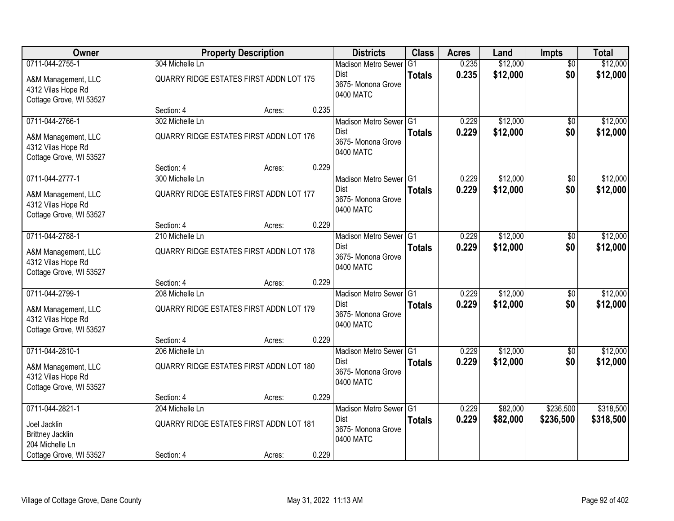| Owner                                                                |                                         | <b>Property Description</b> |       | <b>Districts</b>                               | <b>Class</b>  | <b>Acres</b> | Land     | <b>Impts</b>    | <b>Total</b> |
|----------------------------------------------------------------------|-----------------------------------------|-----------------------------|-------|------------------------------------------------|---------------|--------------|----------|-----------------|--------------|
| 0711-044-2755-1                                                      | 304 Michelle Ln                         |                             |       | <b>Madison Metro Sewer</b>                     | G1            | 0.235        | \$12,000 | $\overline{50}$ | \$12,000     |
| A&M Management, LLC<br>4312 Vilas Hope Rd<br>Cottage Grove, WI 53527 | QUARRY RIDGE ESTATES FIRST ADDN LOT 175 |                             |       | Dist<br>3675- Monona Grove<br>0400 MATC        | <b>Totals</b> | 0.235        | \$12,000 | \$0             | \$12,000     |
|                                                                      | Section: 4                              | Acres:                      | 0.235 |                                                |               |              |          |                 |              |
| 0711-044-2766-1                                                      | 302 Michelle Ln                         |                             |       | Madison Metro Sewer G1                         |               | 0.229        | \$12,000 | $\overline{50}$ | \$12,000     |
| A&M Management, LLC<br>4312 Vilas Hope Rd<br>Cottage Grove, WI 53527 | QUARRY RIDGE ESTATES FIRST ADDN LOT 176 |                             |       | <b>Dist</b><br>3675- Monona Grove<br>0400 MATC | <b>Totals</b> | 0.229        | \$12,000 | \$0             | \$12,000     |
|                                                                      | Section: 4                              | Acres:                      | 0.229 |                                                |               |              |          |                 |              |
| 0711-044-2777-1                                                      | 300 Michelle Ln                         |                             |       | Madison Metro Sewer G1                         |               | 0.229        | \$12,000 | \$0             | \$12,000     |
| A&M Management, LLC<br>4312 Vilas Hope Rd<br>Cottage Grove, WI 53527 | QUARRY RIDGE ESTATES FIRST ADDN LOT 177 |                             |       | Dist<br>3675- Monona Grove<br>0400 MATC        | <b>Totals</b> | 0.229        | \$12,000 | \$0             | \$12,000     |
|                                                                      | Section: 4                              | Acres:                      | 0.229 |                                                |               |              |          |                 |              |
| 0711-044-2788-1                                                      | 210 Michelle Ln                         |                             |       | Madison Metro Sewer G1                         |               | 0.229        | \$12,000 | \$0             | \$12,000     |
| A&M Management, LLC<br>4312 Vilas Hope Rd<br>Cottage Grove, WI 53527 | QUARRY RIDGE ESTATES FIRST ADDN LOT 178 |                             |       | Dist<br>3675- Monona Grove<br>0400 MATC        | <b>Totals</b> | 0.229        | \$12,000 | \$0             | \$12,000     |
|                                                                      | Section: 4                              | Acres:                      | 0.229 |                                                |               |              |          |                 |              |
| 0711-044-2799-1                                                      | 208 Michelle Ln                         |                             |       | Madison Metro Sewer G1                         |               | 0.229        | \$12,000 | $\overline{50}$ | \$12,000     |
| A&M Management, LLC<br>4312 Vilas Hope Rd<br>Cottage Grove, WI 53527 | QUARRY RIDGE ESTATES FIRST ADDN LOT 179 |                             |       | <b>Dist</b><br>3675- Monona Grove<br>0400 MATC | <b>Totals</b> | 0.229        | \$12,000 | \$0             | \$12,000     |
|                                                                      | Section: 4                              | Acres:                      | 0.229 |                                                |               |              |          |                 |              |
| 0711-044-2810-1                                                      | 206 Michelle Ln                         |                             |       | Madison Metro Sewer G1                         |               | 0.229        | \$12,000 | \$0             | \$12,000     |
| A&M Management, LLC<br>4312 Vilas Hope Rd<br>Cottage Grove, WI 53527 | QUARRY RIDGE ESTATES FIRST ADDN LOT 180 |                             |       | Dist<br>3675- Monona Grove<br>0400 MATC        | <b>Totals</b> | 0.229        | \$12,000 | \$0             | \$12,000     |
|                                                                      | Section: 4                              | Acres:                      | 0.229 |                                                |               |              |          |                 |              |
| 0711-044-2821-1                                                      | 204 Michelle Ln                         |                             |       | Madison Metro Sewer G1                         |               | 0.229        | \$82,000 | \$236,500       | \$318,500    |
| Joel Jacklin<br><b>Brittney Jacklin</b><br>204 Michelle Ln           | QUARRY RIDGE ESTATES FIRST ADDN LOT 181 |                             |       | <b>Dist</b><br>3675- Monona Grove<br>0400 MATC | <b>Totals</b> | 0.229        | \$82,000 | \$236,500       | \$318,500    |
| Cottage Grove, WI 53527                                              | Section: 4                              | Acres:                      | 0.229 |                                                |               |              |          |                 |              |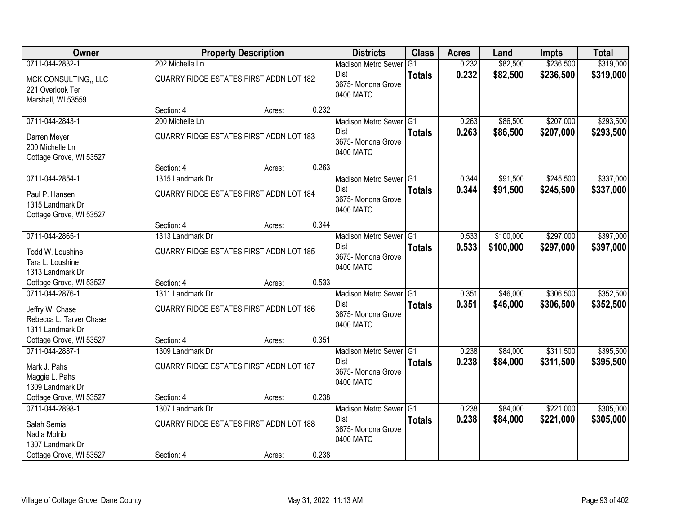| Owner                                                                             |                                                             | <b>Property Description</b> |       | <b>Districts</b>                                                         | <b>Class</b>  | <b>Acres</b>   | Land                 | <b>Impts</b>           | <b>Total</b>           |
|-----------------------------------------------------------------------------------|-------------------------------------------------------------|-----------------------------|-------|--------------------------------------------------------------------------|---------------|----------------|----------------------|------------------------|------------------------|
| 0711-044-2832-1                                                                   | 202 Michelle Ln                                             |                             |       | <b>Madison Metro Sewer</b>                                               | G1            | 0.232          | \$82,500             | \$236,500              | \$319,000              |
| MCK CONSULTING,, LLC<br>221 Overlook Ter<br>Marshall, WI 53559                    | QUARRY RIDGE ESTATES FIRST ADDN LOT 182                     |                             |       | Dist<br>3675- Monona Grove<br>0400 MATC                                  | <b>Totals</b> | 0.232          | \$82,500             | \$236,500              | \$319,000              |
|                                                                                   | Section: 4                                                  | Acres:                      | 0.232 |                                                                          |               |                |                      |                        |                        |
| 0711-044-2843-1                                                                   | 200 Michelle Ln                                             |                             |       | Madison Metro Sewer G1                                                   |               | 0.263          | \$86,500             | \$207,000              | \$293,500              |
| Darren Meyer<br>200 Michelle Ln<br>Cottage Grove, WI 53527                        | QUARRY RIDGE ESTATES FIRST ADDN LOT 183                     |                             |       | <b>Dist</b><br>3675- Monona Grove<br>0400 MATC                           | <b>Totals</b> | 0.263          | \$86,500             | \$207,000              | \$293,500              |
|                                                                                   | Section: 4                                                  | Acres:                      | 0.263 |                                                                          |               |                |                      |                        |                        |
| 0711-044-2854-1                                                                   | 1315 Landmark Dr                                            |                             |       | Madison Metro Sewer G1                                                   |               | 0.344          | \$91,500             | \$245,500              | \$337,000              |
| Paul P. Hansen<br>1315 Landmark Dr<br>Cottage Grove, WI 53527                     | QUARRY RIDGE ESTATES FIRST ADDN LOT 184                     |                             |       | <b>Dist</b><br>3675- Monona Grove<br>0400 MATC                           | <b>Totals</b> | 0.344          | \$91,500             | \$245,500              | \$337,000              |
|                                                                                   | Section: 4                                                  | Acres:                      | 0.344 |                                                                          |               |                |                      |                        |                        |
| 0711-044-2865-1                                                                   | 1313 Landmark Dr                                            |                             |       | Madison Metro Sewer G1                                                   |               | 0.533          | \$100,000            | \$297,000              | \$397,000              |
| Todd W. Loushine<br>Tara L. Loushine<br>1313 Landmark Dr                          | QUARRY RIDGE ESTATES FIRST ADDN LOT 185                     |                             |       | <b>Dist</b><br>3675- Monona Grove<br>0400 MATC                           | <b>Totals</b> | 0.533          | \$100,000            | \$297,000              | \$397,000              |
| Cottage Grove, WI 53527                                                           | Section: 4                                                  | Acres:                      | 0.533 |                                                                          |               |                |                      |                        |                        |
| 0711-044-2876-1<br>Jeffry W. Chase<br>Rebecca L. Tarver Chase<br>1311 Landmark Dr | 1311 Landmark Dr<br>QUARRY RIDGE ESTATES FIRST ADDN LOT 186 |                             |       | Madison Metro Sewer G1<br><b>Dist</b><br>3675- Monona Grove<br>0400 MATC | <b>Totals</b> | 0.351<br>0.351 | \$46,000<br>\$46,000 | \$306,500<br>\$306,500 | \$352,500<br>\$352,500 |
| Cottage Grove, WI 53527                                                           | Section: 4                                                  | Acres:                      | 0.351 |                                                                          |               |                |                      |                        |                        |
| 0711-044-2887-1                                                                   | 1309 Landmark Dr                                            |                             |       | Madison Metro Sewer G1                                                   |               | 0.238          | \$84,000             | \$311,500              | \$395,500              |
| Mark J. Pahs<br>Maggie L. Pahs<br>1309 Landmark Dr                                | QUARRY RIDGE ESTATES FIRST ADDN LOT 187                     |                             |       | Dist<br>3675- Monona Grove<br>0400 MATC                                  | <b>Totals</b> | 0.238          | \$84,000             | \$311,500              | \$395,500              |
| Cottage Grove, WI 53527                                                           | Section: 4                                                  | Acres:                      | 0.238 |                                                                          |               |                |                      |                        |                        |
| 0711-044-2898-1                                                                   | 1307 Landmark Dr                                            |                             |       | Madison Metro Sewer G1                                                   |               | 0.238          | \$84,000             | \$221,000              | \$305,000              |
| Salah Semia<br>Nadia Motrib<br>1307 Landmark Dr                                   | QUARRY RIDGE ESTATES FIRST ADDN LOT 188                     |                             |       | <b>Dist</b><br>3675-Monona Grove<br>0400 MATC                            | <b>Totals</b> | 0.238          | \$84,000             | \$221,000              | \$305,000              |
| Cottage Grove, WI 53527                                                           | Section: 4                                                  | Acres:                      | 0.238 |                                                                          |               |                |                      |                        |                        |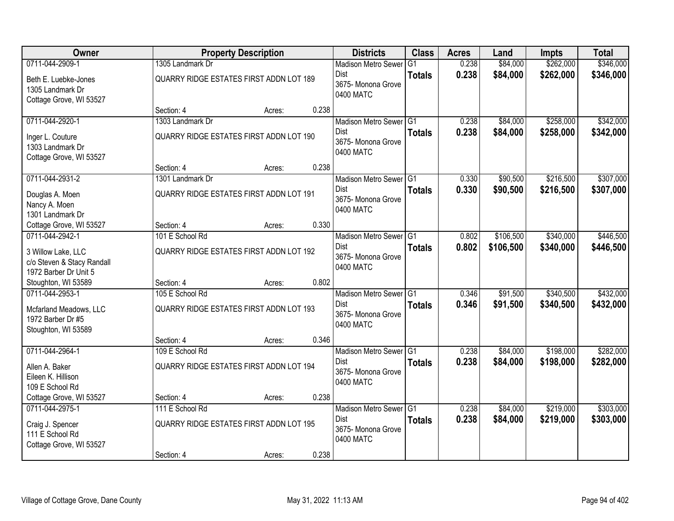| <b>Owner</b>                                                              |                                                            | <b>Property Description</b> |       | <b>Districts</b>                                                         | <b>Class</b>  | <b>Acres</b>   | Land                 | <b>Impts</b>           | <b>Total</b>           |
|---------------------------------------------------------------------------|------------------------------------------------------------|-----------------------------|-------|--------------------------------------------------------------------------|---------------|----------------|----------------------|------------------------|------------------------|
| 0711-044-2909-1                                                           | 1305 Landmark Dr                                           |                             |       | <b>Madison Metro Sewer</b>                                               | G1            | 0.238          | \$84,000             | \$262,000              | \$346,000              |
| Beth E. Luebke-Jones<br>1305 Landmark Dr<br>Cottage Grove, WI 53527       | QUARRY RIDGE ESTATES FIRST ADDN LOT 189                    |                             |       | Dist<br>3675- Monona Grove<br>0400 MATC                                  | <b>Totals</b> | 0.238          | \$84,000             | \$262,000              | \$346,000              |
|                                                                           | Section: 4                                                 | Acres:                      | 0.238 |                                                                          |               |                |                      |                        |                        |
| 0711-044-2920-1                                                           | 1303 Landmark Dr                                           |                             |       | Madison Metro Sewer G1<br>Dist                                           | <b>Totals</b> | 0.238<br>0.238 | \$84,000<br>\$84,000 | \$258,000<br>\$258,000 | \$342,000<br>\$342,000 |
| Inger L. Couture<br>1303 Landmark Dr<br>Cottage Grove, WI 53527           | QUARRY RIDGE ESTATES FIRST ADDN LOT 190                    |                             |       | 3675- Monona Grove<br>0400 MATC                                          |               |                |                      |                        |                        |
|                                                                           | Section: 4                                                 | Acres:                      | 0.238 |                                                                          |               |                |                      |                        |                        |
| 0711-044-2931-2                                                           | 1301 Landmark Dr                                           |                             |       | Madison Metro Sewer G1                                                   |               | 0.330          | \$90,500             | \$216,500              | \$307,000              |
| Douglas A. Moen<br>Nancy A. Moen<br>1301 Landmark Dr                      | QUARRY RIDGE ESTATES FIRST ADDN LOT 191                    |                             |       | Dist<br>3675-Monona Grove<br>0400 MATC                                   | <b>Totals</b> | 0.330          | \$90,500             | \$216,500              | \$307,000              |
| Cottage Grove, WI 53527                                                   | Section: 4                                                 | Acres:                      | 0.330 |                                                                          |               |                |                      |                        |                        |
| 0711-044-2942-1                                                           | 101 E School Rd                                            |                             |       | Madison Metro Sewer G1                                                   |               | 0.802          | \$106,500            | \$340,000              | \$446,500              |
| 3 Willow Lake, LLC<br>c/o Steven & Stacy Randall<br>1972 Barber Dr Unit 5 | QUARRY RIDGE ESTATES FIRST ADDN LOT 192                    |                             |       | Dist<br>3675- Monona Grove<br>0400 MATC                                  | <b>Totals</b> | 0.802          | \$106,500            | \$340,000              | \$446,500              |
| Stoughton, WI 53589                                                       | Section: 4                                                 | Acres:                      | 0.802 |                                                                          |               |                |                      |                        |                        |
| 0711-044-2953-1<br>Mcfarland Meadows, LLC<br>1972 Barber Dr #5            | 105 E School Rd<br>QUARRY RIDGE ESTATES FIRST ADDN LOT 193 |                             |       | Madison Metro Sewer <sup>1</sup> G1<br><b>Dist</b><br>3675- Monona Grove | <b>Totals</b> | 0.346<br>0.346 | \$91,500<br>\$91,500 | \$340,500<br>\$340,500 | \$432,000<br>\$432,000 |
| Stoughton, WI 53589                                                       |                                                            |                             |       | 0400 MATC                                                                |               |                |                      |                        |                        |
|                                                                           | Section: 4                                                 | Acres:                      | 0.346 |                                                                          |               |                |                      |                        |                        |
| 0711-044-2964-1                                                           | 109 E School Rd                                            |                             |       | Madison Metro Sewer G1                                                   |               | 0.238          | \$84,000             | \$198,000              | \$282,000              |
| Allen A. Baker<br>Eileen K. Hillison<br>109 E School Rd                   | QUARRY RIDGE ESTATES FIRST ADDN LOT 194                    |                             |       | Dist<br>3675- Monona Grove<br>0400 MATC                                  | <b>Totals</b> | 0.238          | \$84,000             | \$198,000              | \$282,000              |
| Cottage Grove, WI 53527                                                   | Section: 4                                                 | Acres:                      | 0.238 |                                                                          |               |                |                      |                        |                        |
| 0711-044-2975-1                                                           | 111 E School Rd                                            |                             |       | Madison Metro Sewer G1                                                   |               | 0.238          | \$84,000             | \$219,000              | \$303,000              |
| Craig J. Spencer<br>111 E School Rd<br>Cottage Grove, WI 53527            | QUARRY RIDGE ESTATES FIRST ADDN LOT 195                    |                             |       | Dist<br>3675-Monona Grove<br>0400 MATC                                   | <b>Totals</b> | 0.238          | \$84,000             | \$219,000              | \$303,000              |
|                                                                           | Section: 4                                                 | Acres:                      | 0.238 |                                                                          |               |                |                      |                        |                        |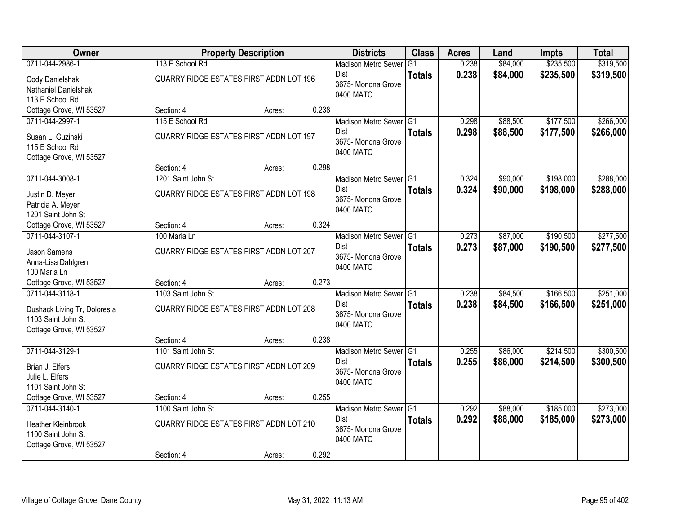| Owner                        |                                         | <b>Property Description</b> |       | <b>Districts</b>           | <b>Class</b>  | <b>Acres</b> | Land     | <b>Impts</b> | <b>Total</b> |
|------------------------------|-----------------------------------------|-----------------------------|-------|----------------------------|---------------|--------------|----------|--------------|--------------|
| 0711-044-2986-1              | 113 E School Rd                         |                             |       | <b>Madison Metro Sewer</b> | G1            | 0.238        | \$84,000 | \$235,500    | \$319,500    |
| Cody Danielshak              | QUARRY RIDGE ESTATES FIRST ADDN LOT 196 |                             |       | Dist                       | <b>Totals</b> | 0.238        | \$84,000 | \$235,500    | \$319,500    |
| Nathaniel Danielshak         |                                         |                             |       | 3675- Monona Grove         |               |              |          |              |              |
| 113 E School Rd              |                                         |                             |       | 0400 MATC                  |               |              |          |              |              |
| Cottage Grove, WI 53527      | Section: 4                              | Acres:                      | 0.238 |                            |               |              |          |              |              |
| 0711-044-2997-1              | 115 E School Rd                         |                             |       | Madison Metro Sewer G1     |               | 0.298        | \$88,500 | \$177,500    | \$266,000    |
| Susan L. Guzinski            | QUARRY RIDGE ESTATES FIRST ADDN LOT 197 |                             |       | <b>Dist</b>                | <b>Totals</b> | 0.298        | \$88,500 | \$177,500    | \$266,000    |
| 115 E School Rd              |                                         |                             |       | 3675- Monona Grove         |               |              |          |              |              |
| Cottage Grove, WI 53527      |                                         |                             |       | 0400 MATC                  |               |              |          |              |              |
|                              | Section: 4                              | Acres:                      | 0.298 |                            |               |              |          |              |              |
| 0711-044-3008-1              | 1201 Saint John St                      |                             |       | Madison Metro Sewer G1     |               | 0.324        | \$90,000 | \$198,000    | \$288,000    |
| Justin D. Meyer              | QUARRY RIDGE ESTATES FIRST ADDN LOT 198 |                             |       | <b>Dist</b>                | <b>Totals</b> | 0.324        | \$90,000 | \$198,000    | \$288,000    |
| Patricia A. Meyer            |                                         |                             |       | 3675- Monona Grove         |               |              |          |              |              |
| 1201 Saint John St           |                                         |                             |       | 0400 MATC                  |               |              |          |              |              |
| Cottage Grove, WI 53527      | Section: 4                              | Acres:                      | 0.324 |                            |               |              |          |              |              |
| 0711-044-3107-1              | 100 Maria Ln                            |                             |       | Madison Metro Sewer G1     |               | 0.273        | \$87,000 | \$190,500    | \$277,500    |
| <b>Jason Samens</b>          | QUARRY RIDGE ESTATES FIRST ADDN LOT 207 |                             |       | <b>Dist</b>                | <b>Totals</b> | 0.273        | \$87,000 | \$190,500    | \$277,500    |
| Anna-Lisa Dahlgren           |                                         |                             |       | 3675- Monona Grove         |               |              |          |              |              |
| 100 Maria Ln                 |                                         |                             |       | 0400 MATC                  |               |              |          |              |              |
| Cottage Grove, WI 53527      | Section: 4                              | Acres:                      | 0.273 |                            |               |              |          |              |              |
| 0711-044-3118-1              | 1103 Saint John St                      |                             |       | Madison Metro Sewer G1     |               | 0.238        | \$84,500 | \$166,500    | \$251,000    |
| Dushack Living Tr, Dolores a | QUARRY RIDGE ESTATES FIRST ADDN LOT 208 |                             |       | <b>Dist</b>                | <b>Totals</b> | 0.238        | \$84,500 | \$166,500    | \$251,000    |
| 1103 Saint John St           |                                         |                             |       | 3675- Monona Grove         |               |              |          |              |              |
| Cottage Grove, WI 53527      |                                         |                             |       | 0400 MATC                  |               |              |          |              |              |
|                              | Section: 4                              | Acres:                      | 0.238 |                            |               |              |          |              |              |
| 0711-044-3129-1              | 1101 Saint John St                      |                             |       | Madison Metro Sewer G1     |               | 0.255        | \$86,000 | \$214,500    | \$300,500    |
| Brian J. Elfers              | QUARRY RIDGE ESTATES FIRST ADDN LOT 209 |                             |       | Dist                       | <b>Totals</b> | 0.255        | \$86,000 | \$214,500    | \$300,500    |
| Julie L. Elfers              |                                         |                             |       | 3675- Monona Grove         |               |              |          |              |              |
| 1101 Saint John St           |                                         |                             |       | 0400 MATC                  |               |              |          |              |              |
| Cottage Grove, WI 53527      | Section: 4                              | Acres:                      | 0.255 |                            |               |              |          |              |              |
| 0711-044-3140-1              | 1100 Saint John St                      |                             |       | Madison Metro Sewer G1     |               | 0.292        | \$88,000 | \$185,000    | \$273,000    |
| Heather Kleinbrook           | QUARRY RIDGE ESTATES FIRST ADDN LOT 210 |                             |       | <b>Dist</b>                | <b>Totals</b> | 0.292        | \$88,000 | \$185,000    | \$273,000    |
| 1100 Saint John St           |                                         |                             |       | 3675-Monona Grove          |               |              |          |              |              |
| Cottage Grove, WI 53527      |                                         |                             |       | 0400 MATC                  |               |              |          |              |              |
|                              | Section: 4                              | Acres:                      | 0.292 |                            |               |              |          |              |              |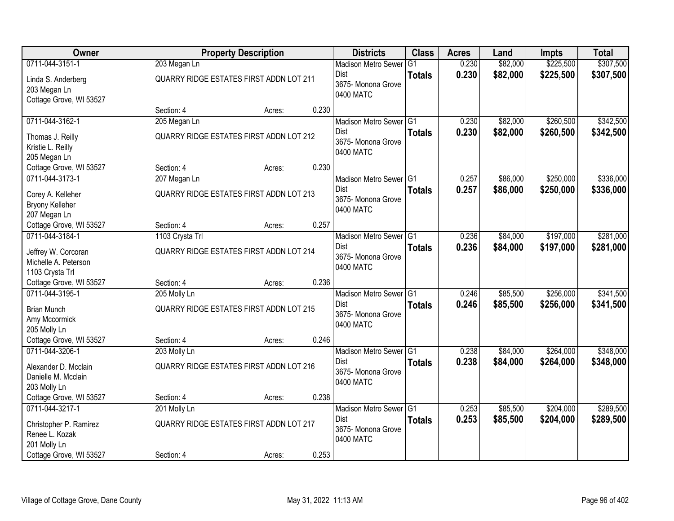| <b>Owner</b>            |                                         | <b>Property Description</b> |       | <b>Districts</b>           | <b>Class</b>   | <b>Acres</b> | Land     | <b>Impts</b> | <b>Total</b> |
|-------------------------|-----------------------------------------|-----------------------------|-------|----------------------------|----------------|--------------|----------|--------------|--------------|
| 0711-044-3151-1         | 203 Megan Ln                            |                             |       | <b>Madison Metro Sewer</b> | G <sub>1</sub> | 0.230        | \$82,000 | \$225,500    | \$307,500    |
| Linda S. Anderberg      | QUARRY RIDGE ESTATES FIRST ADDN LOT 211 |                             |       | Dist                       | <b>Totals</b>  | 0.230        | \$82,000 | \$225,500    | \$307,500    |
| 203 Megan Ln            |                                         |                             |       | 3675-Monona Grove          |                |              |          |              |              |
| Cottage Grove, WI 53527 |                                         |                             |       | 0400 MATC                  |                |              |          |              |              |
|                         | Section: 4                              | Acres:                      | 0.230 |                            |                |              |          |              |              |
| 0711-044-3162-1         | 205 Megan Ln                            |                             |       | Madison Metro Sewer G1     |                | 0.230        | \$82,000 | \$260,500    | \$342,500    |
| Thomas J. Reilly        | QUARRY RIDGE ESTATES FIRST ADDN LOT 212 |                             |       | Dist                       | <b>Totals</b>  | 0.230        | \$82,000 | \$260,500    | \$342,500    |
| Kristie L. Reilly       |                                         |                             |       | 3675- Monona Grove         |                |              |          |              |              |
| 205 Megan Ln            |                                         |                             |       | 0400 MATC                  |                |              |          |              |              |
| Cottage Grove, WI 53527 | Section: 4                              | Acres:                      | 0.230 |                            |                |              |          |              |              |
| 0711-044-3173-1         | 207 Megan Ln                            |                             |       | Madison Metro Sewer G1     |                | 0.257        | \$86,000 | \$250,000    | \$336,000    |
| Corey A. Kelleher       | QUARRY RIDGE ESTATES FIRST ADDN LOT 213 |                             |       | Dist                       | <b>Totals</b>  | 0.257        | \$86,000 | \$250,000    | \$336,000    |
| Bryony Kelleher         |                                         |                             |       | 3675- Monona Grove         |                |              |          |              |              |
| 207 Megan Ln            |                                         |                             |       | 0400 MATC                  |                |              |          |              |              |
| Cottage Grove, WI 53527 | Section: 4                              | Acres:                      | 0.257 |                            |                |              |          |              |              |
| 0711-044-3184-1         | 1103 Crysta Trl                         |                             |       | Madison Metro Sewer G1     |                | 0.236        | \$84,000 | \$197,000    | \$281,000    |
| Jeffrey W. Corcoran     | QUARRY RIDGE ESTATES FIRST ADDN LOT 214 |                             |       | Dist                       | <b>Totals</b>  | 0.236        | \$84,000 | \$197,000    | \$281,000    |
| Michelle A. Peterson    |                                         |                             |       | 3675- Monona Grove         |                |              |          |              |              |
| 1103 Crysta Trl         |                                         |                             |       | 0400 MATC                  |                |              |          |              |              |
| Cottage Grove, WI 53527 | Section: 4                              | Acres:                      | 0.236 |                            |                |              |          |              |              |
| 0711-044-3195-1         | 205 Molly Ln                            |                             |       | <b>Madison Metro Sewer</b> | IG1            | 0.246        | \$85,500 | \$256,000    | \$341,500    |
| <b>Brian Munch</b>      | QUARRY RIDGE ESTATES FIRST ADDN LOT 215 |                             |       | <b>Dist</b>                | <b>Totals</b>  | 0.246        | \$85,500 | \$256,000    | \$341,500    |
| Amy Mccormick           |                                         |                             |       | 3675- Monona Grove         |                |              |          |              |              |
| 205 Molly Ln            |                                         |                             |       | 0400 MATC                  |                |              |          |              |              |
| Cottage Grove, WI 53527 | Section: 4                              | Acres:                      | 0.246 |                            |                |              |          |              |              |
| 0711-044-3206-1         | 203 Molly Ln                            |                             |       | Madison Metro Sewer G1     |                | 0.238        | \$84,000 | \$264,000    | \$348,000    |
| Alexander D. Mcclain    | QUARRY RIDGE ESTATES FIRST ADDN LOT 216 |                             |       | <b>Dist</b>                | <b>Totals</b>  | 0.238        | \$84,000 | \$264,000    | \$348,000    |
| Danielle M. Mcclain     |                                         |                             |       | 3675- Monona Grove         |                |              |          |              |              |
| 203 Molly Ln            |                                         |                             |       | 0400 MATC                  |                |              |          |              |              |
| Cottage Grove, WI 53527 | Section: 4                              | Acres:                      | 0.238 |                            |                |              |          |              |              |
| 0711-044-3217-1         | 201 Molly Ln                            |                             |       | Madison Metro Sewer G1     |                | 0.253        | \$85,500 | \$204,000    | \$289,500    |
| Christopher P. Ramirez  | QUARRY RIDGE ESTATES FIRST ADDN LOT 217 |                             |       | Dist                       | <b>Totals</b>  | 0.253        | \$85,500 | \$204,000    | \$289,500    |
| Renee L. Kozak          |                                         |                             |       | 3675- Monona Grove         |                |              |          |              |              |
| 201 Molly Ln            |                                         |                             |       | 0400 MATC                  |                |              |          |              |              |
| Cottage Grove, WI 53527 | Section: 4                              | Acres:                      | 0.253 |                            |                |              |          |              |              |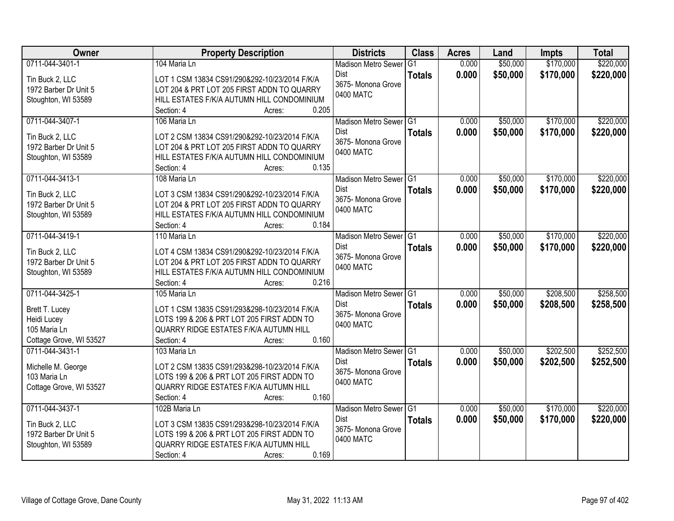| Owner                   | <b>Property Description</b>                                       | <b>Districts</b>           | <b>Class</b>   | <b>Acres</b> | Land     | <b>Impts</b> | <b>Total</b> |
|-------------------------|-------------------------------------------------------------------|----------------------------|----------------|--------------|----------|--------------|--------------|
| 0711-044-3401-1         | 104 Maria Ln                                                      | <b>Madison Metro Sewer</b> | G <sub>1</sub> | 0.000        | \$50,000 | \$170,000    | \$220,000    |
| Tin Buck 2, LLC         | LOT 1 CSM 13834 CS91/290&292-10/23/2014 F/K/A                     | Dist                       | <b>Totals</b>  | 0.000        | \$50,000 | \$170,000    | \$220,000    |
| 1972 Barber Dr Unit 5   | LOT 204 & PRT LOT 205 FIRST ADDN TO QUARRY                        | 3675- Monona Grove         |                |              |          |              |              |
| Stoughton, WI 53589     | HILL ESTATES F/K/A AUTUMN HILL CONDOMINIUM                        | 0400 MATC                  |                |              |          |              |              |
|                         | 0.205<br>Section: 4<br>Acres:                                     |                            |                |              |          |              |              |
| 0711-044-3407-1         | 106 Maria Ln                                                      | Madison Metro Sewer G1     |                | 0.000        | \$50,000 | \$170,000    | \$220,000    |
| Tin Buck 2, LLC         | LOT 2 CSM 13834 CS91/290&292-10/23/2014 F/K/A                     | <b>Dist</b>                | <b>Totals</b>  | 0.000        | \$50,000 | \$170,000    | \$220,000    |
| 1972 Barber Dr Unit 5   | LOT 204 & PRT LOT 205 FIRST ADDN TO QUARRY                        | 3675- Monona Grove         |                |              |          |              |              |
| Stoughton, WI 53589     | HILL ESTATES F/K/A AUTUMN HILL CONDOMINIUM                        | 0400 MATC                  |                |              |          |              |              |
|                         | 0.135<br>Section: 4<br>Acres:                                     |                            |                |              |          |              |              |
| 0711-044-3413-1         | 108 Maria Ln                                                      | Madison Metro Sewer G1     |                | 0.000        | \$50,000 | \$170,000    | \$220,000    |
|                         |                                                                   | Dist                       | <b>Totals</b>  | 0.000        | \$50,000 | \$170,000    | \$220,000    |
| Tin Buck 2, LLC         | LOT 3 CSM 13834 CS91/290&292-10/23/2014 F/K/A                     | 3675- Monona Grove         |                |              |          |              |              |
| 1972 Barber Dr Unit 5   | LOT 204 & PRT LOT 205 FIRST ADDN TO QUARRY                        | 0400 MATC                  |                |              |          |              |              |
| Stoughton, WI 53589     | HILL ESTATES F/K/A AUTUMN HILL CONDOMINIUM<br>0.184<br>Section: 4 |                            |                |              |          |              |              |
| 0711-044-3419-1         | Acres:<br>110 Maria Ln                                            | Madison Metro Sewer G1     |                | 0.000        | \$50,000 | \$170,000    | \$220,000    |
|                         |                                                                   | Dist                       |                |              |          |              |              |
| Tin Buck 2, LLC         | LOT 4 CSM 13834 CS91/290&292-10/23/2014 F/K/A                     | 3675- Monona Grove         | <b>Totals</b>  | 0.000        | \$50,000 | \$170,000    | \$220,000    |
| 1972 Barber Dr Unit 5   | LOT 204 & PRT LOT 205 FIRST ADDN TO QUARRY                        | 0400 MATC                  |                |              |          |              |              |
| Stoughton, WI 53589     | HILL ESTATES F/K/A AUTUMN HILL CONDOMINIUM                        |                            |                |              |          |              |              |
|                         | 0.216<br>Section: 4<br>Acres:                                     |                            |                |              |          |              |              |
| 0711-044-3425-1         | 105 Maria Ln                                                      | Madison Metro Sewer G1     |                | 0.000        | \$50,000 | \$208,500    | \$258,500    |
| Brett T. Lucey          | LOT 1 CSM 13835 CS91/293&298-10/23/2014 F/K/A                     | <b>Dist</b>                | <b>Totals</b>  | 0.000        | \$50,000 | \$208,500    | \$258,500    |
| Heidi Lucey             | LOTS 199 & 206 & PRT LOT 205 FIRST ADDN TO                        | 3675- Monona Grove         |                |              |          |              |              |
| 105 Maria Ln            | QUARRY RIDGE ESTATES F/K/A AUTUMN HILL                            | 0400 MATC                  |                |              |          |              |              |
| Cottage Grove, WI 53527 | 0.160<br>Section: 4<br>Acres:                                     |                            |                |              |          |              |              |
| 0711-044-3431-1         | 103 Maria Ln                                                      | Madison Metro Sewer G1     |                | 0.000        | \$50,000 | \$202,500    | \$252,500    |
| Michelle M. George      | LOT 2 CSM 13835 CS91/293&298-10/23/2014 F/K/A                     | <b>Dist</b>                | <b>Totals</b>  | 0.000        | \$50,000 | \$202,500    | \$252,500    |
| 103 Maria Ln            | LOTS 199 & 206 & PRT LOT 205 FIRST ADDN TO                        | 3675- Monona Grove         |                |              |          |              |              |
| Cottage Grove, WI 53527 | QUARRY RIDGE ESTATES F/K/A AUTUMN HILL                            | 0400 MATC                  |                |              |          |              |              |
|                         | 0.160<br>Section: 4<br>Acres:                                     |                            |                |              |          |              |              |
| 0711-044-3437-1         | 102B Maria Ln                                                     | Madison Metro Sewer G1     |                | 0.000        | \$50,000 | \$170,000    | \$220,000    |
|                         |                                                                   | Dist                       | <b>Totals</b>  | 0.000        | \$50,000 | \$170,000    | \$220,000    |
| Tin Buck 2, LLC         | LOT 3 CSM 13835 CS91/293&298-10/23/2014 F/K/A                     | 3675- Monona Grove         |                |              |          |              |              |
| 1972 Barber Dr Unit 5   | LOTS 199 & 206 & PRT LOT 205 FIRST ADDN TO                        | 0400 MATC                  |                |              |          |              |              |
| Stoughton, WI 53589     | QUARRY RIDGE ESTATES F/K/A AUTUMN HILL<br>0.169                   |                            |                |              |          |              |              |
|                         | Section: 4<br>Acres:                                              |                            |                |              |          |              |              |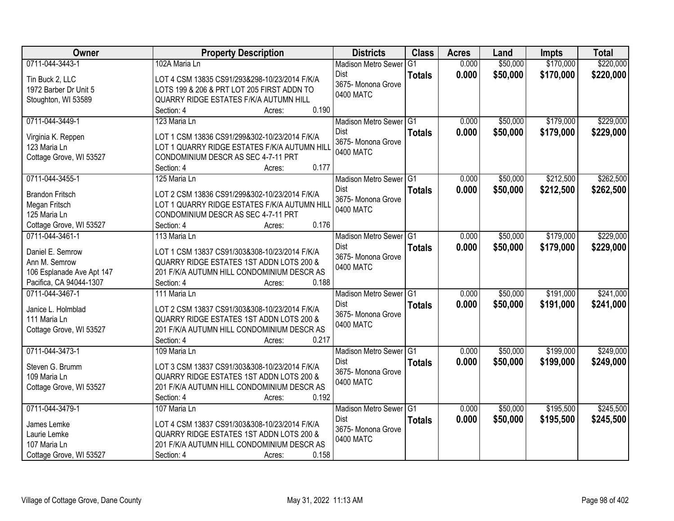| Owner                              | <b>Property Description</b>                         | <b>Districts</b>                  | <b>Class</b>    | <b>Acres</b> | Land     | <b>Impts</b> | <b>Total</b> |
|------------------------------------|-----------------------------------------------------|-----------------------------------|-----------------|--------------|----------|--------------|--------------|
| 0711-044-3443-1                    | 102A Maria Ln                                       | <b>Madison Metro Sewer</b>        | $\overline{G1}$ | 0.000        | \$50,000 | \$170,000    | \$220,000    |
| Tin Buck 2, LLC                    | LOT 4 CSM 13835 CS91/293&298-10/23/2014 F/K/A       | Dist                              | <b>Totals</b>   | 0.000        | \$50,000 | \$170,000    | \$220,000    |
| 1972 Barber Dr Unit 5              | LOTS 199 & 206 & PRT LOT 205 FIRST ADDN TO          | 3675-Monona Grove                 |                 |              |          |              |              |
| Stoughton, WI 53589                | QUARRY RIDGE ESTATES F/K/A AUTUMN HILL              | 0400 MATC                         |                 |              |          |              |              |
|                                    | 0.190<br>Section: 4<br>Acres:                       |                                   |                 |              |          |              |              |
| 0711-044-3449-1                    | 123 Maria Ln                                        | Madison Metro Sewer G1            |                 | 0.000        | \$50,000 | \$179,000    | \$229,000    |
|                                    | LOT 1 CSM 13836 CS91/299&302-10/23/2014 F/K/A       | <b>Dist</b>                       | <b>Totals</b>   | 0.000        | \$50,000 | \$179,000    | \$229,000    |
| Virginia K. Reppen<br>123 Maria Ln | LOT 1 QUARRY RIDGE ESTATES F/K/A AUTUMN HILL        | 3675- Monona Grove                |                 |              |          |              |              |
| Cottage Grove, WI 53527            | CONDOMINIUM DESCR AS SEC 4-7-11 PRT                 | 0400 MATC                         |                 |              |          |              |              |
|                                    | 0.177<br>Section: 4<br>Acres:                       |                                   |                 |              |          |              |              |
| 0711-044-3455-1                    | 125 Maria Ln                                        | Madison Metro Sewer G1            |                 | 0.000        | \$50,000 | \$212,500    | \$262,500    |
|                                    |                                                     | <b>Dist</b>                       | <b>Totals</b>   | 0.000        | \$50,000 | \$212,500    | \$262,500    |
| <b>Brandon Fritsch</b>             | LOT 2 CSM 13836 CS91/299&302-10/23/2014 F/K/A       | 3675- Monona Grove                |                 |              |          |              |              |
| Megan Fritsch                      | LOT 1 QUARRY RIDGE ESTATES F/K/A AUTUMN HILL        | 0400 MATC                         |                 |              |          |              |              |
| 125 Maria Ln                       | CONDOMINIUM DESCR AS SEC 4-7-11 PRT                 |                                   |                 |              |          |              |              |
| Cottage Grove, WI 53527            | 0.176<br>Section: 4<br>Acres:                       |                                   |                 |              |          |              |              |
| 0711-044-3461-1                    | 113 Maria Ln                                        | Madison Metro Sewer G1            |                 | 0.000        | \$50,000 | \$179,000    | \$229,000    |
| Daniel E. Semrow                   | LOT 1 CSM 13837 CS91/303&308-10/23/2014 F/K/A       | <b>Dist</b><br>3675- Monona Grove | <b>Totals</b>   | 0.000        | \$50,000 | \$179,000    | \$229,000    |
| Ann M. Semrow                      | <b>QUARRY RIDGE ESTATES 1ST ADDN LOTS 200 &amp;</b> | 0400 MATC                         |                 |              |          |              |              |
| 106 Esplanade Ave Apt 147          | 201 F/K/A AUTUMN HILL CONDOMINIUM DESCR AS          |                                   |                 |              |          |              |              |
| Pacifica, CA 94044-1307            | 0.188<br>Section: 4<br>Acres:                       |                                   |                 |              |          |              |              |
| 0711-044-3467-1                    | 111 Maria Ln                                        | Madison Metro Sewer G1            |                 | 0.000        | \$50,000 | \$191,000    | \$241,000    |
| Janice L. Holmblad                 | LOT 2 CSM 13837 CS91/303&308-10/23/2014 F/K/A       | Dist                              | <b>Totals</b>   | 0.000        | \$50,000 | \$191,000    | \$241,000    |
| 111 Maria Ln                       | QUARRY RIDGE ESTATES 1ST ADDN LOTS 200 &            | 3675-Monona Grove                 |                 |              |          |              |              |
| Cottage Grove, WI 53527            | 201 F/K/A AUTUMN HILL CONDOMINIUM DESCR AS          | 0400 MATC                         |                 |              |          |              |              |
|                                    | 0.217<br>Section: 4<br>Acres:                       |                                   |                 |              |          |              |              |
| 0711-044-3473-1                    | 109 Maria Ln                                        | Madison Metro Sewer G1            |                 | 0.000        | \$50,000 | \$199,000    | \$249,000    |
| Steven G. Brumm                    | LOT 3 CSM 13837 CS91/303&308-10/23/2014 F/K/A       | <b>Dist</b>                       | <b>Totals</b>   | 0.000        | \$50,000 | \$199,000    | \$249,000    |
| 109 Maria Ln                       | <b>QUARRY RIDGE ESTATES 1ST ADDN LOTS 200 &amp;</b> | 3675- Monona Grove                |                 |              |          |              |              |
| Cottage Grove, WI 53527            | 201 F/K/A AUTUMN HILL CONDOMINIUM DESCR AS          | 0400 MATC                         |                 |              |          |              |              |
|                                    | 0.192<br>Section: 4<br>Acres:                       |                                   |                 |              |          |              |              |
| 0711-044-3479-1                    | 107 Maria Ln                                        | Madison Metro Sewer G1            |                 | 0.000        | \$50,000 | \$195,500    | \$245,500    |
|                                    |                                                     | Dist                              | <b>Totals</b>   | 0.000        | \$50,000 | \$195,500    | \$245,500    |
| James Lemke                        | LOT 4 CSM 13837 CS91/303&308-10/23/2014 F/K/A       | 3675- Monona Grove                |                 |              |          |              |              |
| Laurie Lemke                       | QUARRY RIDGE ESTATES 1ST ADDN LOTS 200 &            | 0400 MATC                         |                 |              |          |              |              |
| 107 Maria Ln                       | 201 F/K/A AUTUMN HILL CONDOMINIUM DESCR AS          |                                   |                 |              |          |              |              |
| Cottage Grove, WI 53527            | 0.158<br>Section: 4<br>Acres:                       |                                   |                 |              |          |              |              |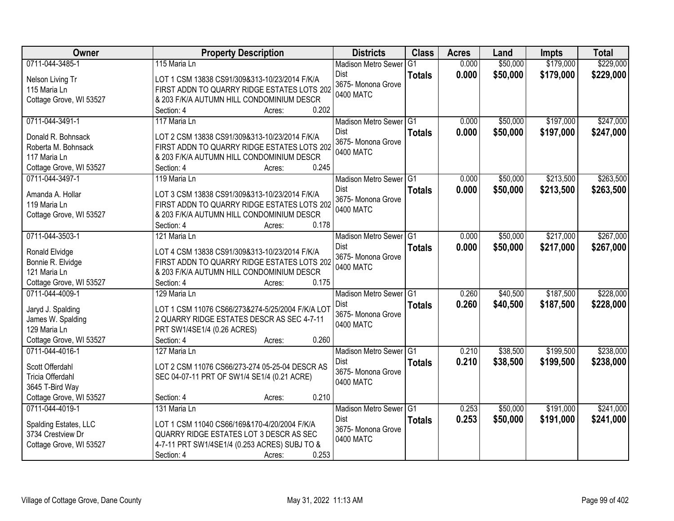| Owner                                        | <b>Property Description</b>                                                              | <b>Districts</b>               | <b>Class</b>    | <b>Acres</b> | Land     | <b>Impts</b> | <b>Total</b> |
|----------------------------------------------|------------------------------------------------------------------------------------------|--------------------------------|-----------------|--------------|----------|--------------|--------------|
| 0711-044-3485-1                              | 115 Maria Ln                                                                             | <b>Madison Metro Sewer</b>     | $\overline{G1}$ | 0.000        | \$50,000 | \$179,000    | \$229,000    |
| Nelson Living Tr                             | LOT 1 CSM 13838 CS91/309&313-10/23/2014 F/K/A                                            | Dist                           | <b>Totals</b>   | 0.000        | \$50,000 | \$179,000    | \$229,000    |
| 115 Maria Ln                                 | FIRST ADDN TO QUARRY RIDGE ESTATES LOTS 202                                              | 3675- Monona Grove             |                 |              |          |              |              |
| Cottage Grove, WI 53527                      | & 203 F/K/A AUTUMN HILL CONDOMINIUM DESCR                                                | 0400 MATC                      |                 |              |          |              |              |
|                                              | 0.202<br>Section: 4<br>Acres:                                                            |                                |                 |              |          |              |              |
| 0711-044-3491-1                              | 117 Maria Ln                                                                             | Madison Metro Sewer G1         |                 | 0.000        | \$50,000 | \$197,000    | \$247,000    |
| Donald R. Bohnsack                           | LOT 2 CSM 13838 CS91/309&313-10/23/2014 F/K/A                                            | Dist                           | <b>Totals</b>   | 0.000        | \$50,000 | \$197,000    | \$247,000    |
| Roberta M. Bohnsack                          | FIRST ADDN TO QUARRY RIDGE ESTATES LOTS 202                                              | 3675- Monona Grove             |                 |              |          |              |              |
| 117 Maria Ln                                 | & 203 F/K/A AUTUMN HILL CONDOMINIUM DESCR                                                | 0400 MATC                      |                 |              |          |              |              |
| Cottage Grove, WI 53527                      | 0.245<br>Section: 4<br>Acres:                                                            |                                |                 |              |          |              |              |
| 0711-044-3497-1                              | 119 Maria Ln                                                                             | Madison Metro Sewer G1         |                 | 0.000        | \$50,000 | \$213,500    | \$263,500    |
|                                              |                                                                                          | <b>Dist</b>                    | <b>Totals</b>   | 0.000        | \$50,000 | \$213,500    | \$263,500    |
| Amanda A. Hollar                             | LOT 3 CSM 13838 CS91/309&313-10/23/2014 F/K/A                                            | 3675- Monona Grove             |                 |              |          |              |              |
| 119 Maria Ln                                 | FIRST ADDN TO QUARRY RIDGE ESTATES LOTS 202                                              | 0400 MATC                      |                 |              |          |              |              |
| Cottage Grove, WI 53527                      | & 203 F/K/A AUTUMN HILL CONDOMINIUM DESCR                                                |                                |                 |              |          |              |              |
|                                              | 0.178<br>Section: 4<br>Acres:<br>121 Maria Ln                                            |                                |                 |              |          | \$217,000    |              |
| 0711-044-3503-1                              |                                                                                          | Madison Metro Sewer G1<br>Dist |                 | 0.000        | \$50,000 |              | \$267,000    |
| Ronald Elvidge                               | LOT 4 CSM 13838 CS91/309&313-10/23/2014 F/K/A                                            | 3675- Monona Grove             | <b>Totals</b>   | 0.000        | \$50,000 | \$217,000    | \$267,000    |
| Bonnie R. Elvidge                            | FIRST ADDN TO QUARRY RIDGE ESTATES LOTS 202                                              | 0400 MATC                      |                 |              |          |              |              |
| 121 Maria Ln                                 | & 203 F/K/A AUTUMN HILL CONDOMINIUM DESCR                                                |                                |                 |              |          |              |              |
| Cottage Grove, WI 53527                      | 0.175<br>Section: 4<br>Acres:                                                            |                                |                 |              |          |              |              |
| 0711-044-4009-1                              | 129 Maria Ln                                                                             | <b>Madison Metro Sewer</b>     | TG1             | 0.260        | \$40,500 | \$187,500    | \$228,000    |
| Jaryd J. Spalding                            | LOT 1 CSM 11076 CS66/273&274-5/25/2004 F/K/A LOT                                         | Dist                           | <b>Totals</b>   | 0.260        | \$40,500 | \$187,500    | \$228,000    |
| James W. Spalding                            | 2 QUARRY RIDGE ESTATES DESCR AS SEC 4-7-11                                               | 3675- Monona Grove             |                 |              |          |              |              |
| 129 Maria Ln                                 | PRT SW1/4SE1/4 (0.26 ACRES)                                                              | 0400 MATC                      |                 |              |          |              |              |
| Cottage Grove, WI 53527                      | Section: 4<br>0.260<br>Acres:                                                            |                                |                 |              |          |              |              |
| 0711-044-4016-1                              | 127 Maria Ln                                                                             | Madison Metro Sewer G1         |                 | 0.210        | \$38,500 | \$199,500    | \$238,000    |
| Scott Offerdahl                              | LOT 2 CSM 11076 CS66/273-274 05-25-04 DESCR AS                                           | <b>Dist</b>                    | <b>Totals</b>   | 0.210        | \$38,500 | \$199,500    | \$238,000    |
| Tricia Offerdahl                             | SEC 04-07-11 PRT OF SW1/4 SE1/4 (0.21 ACRE)                                              | 3675- Monona Grove             |                 |              |          |              |              |
| 3645 T-Bird Way                              |                                                                                          | 0400 MATC                      |                 |              |          |              |              |
| Cottage Grove, WI 53527                      | 0.210<br>Section: 4<br>Acres:                                                            |                                |                 |              |          |              |              |
| 0711-044-4019-1                              | 131 Maria Ln                                                                             | Madison Metro Sewer G1         |                 | 0.253        | \$50,000 | \$191,000    | \$241,000    |
|                                              |                                                                                          | <b>Dist</b>                    | <b>Totals</b>   | 0.253        | \$50,000 | \$191,000    | \$241,000    |
| Spalding Estates, LLC                        | LOT 1 CSM 11040 CS66/169&170-4/20/2004 F/K/A                                             | 3675- Monona Grove             |                 |              |          |              |              |
| 3734 Crestview Dr<br>Cottage Grove, WI 53527 | QUARRY RIDGE ESTATES LOT 3 DESCR AS SEC<br>4-7-11 PRT SW1/4SE1/4 (0.253 ACRES) SUBJ TO & | 0400 MATC                      |                 |              |          |              |              |
|                                              | 0.253<br>Section: 4<br>Acres:                                                            |                                |                 |              |          |              |              |
|                                              |                                                                                          |                                |                 |              |          |              |              |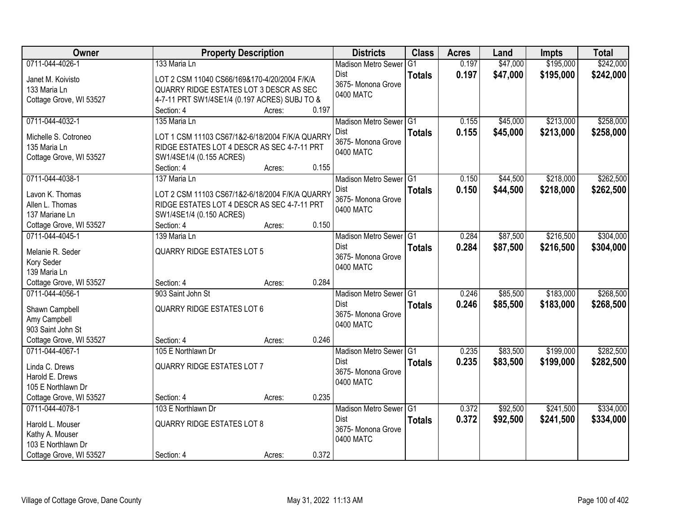| Owner                   | <b>Property Description</b>                     |        |       | <b>Districts</b>           | <b>Class</b>  | <b>Acres</b> | Land     | <b>Impts</b> | <b>Total</b> |
|-------------------------|-------------------------------------------------|--------|-------|----------------------------|---------------|--------------|----------|--------------|--------------|
| 0711-044-4026-1         | 133 Maria Ln                                    |        |       | <b>Madison Metro Sewer</b> | G1            | 0.197        | \$47,000 | \$195,000    | \$242,000    |
| Janet M. Koivisto       | LOT 2 CSM 11040 CS66/169&170-4/20/2004 F/K/A    |        |       | Dist                       | <b>Totals</b> | 0.197        | \$47,000 | \$195,000    | \$242,000    |
| 133 Maria Ln            | QUARRY RIDGE ESTATES LOT 3 DESCR AS SEC         |        |       | 3675- Monona Grove         |               |              |          |              |              |
| Cottage Grove, WI 53527 | 4-7-11 PRT SW1/4SE1/4 (0.197 ACRES) SUBJ TO &   |        |       | 0400 MATC                  |               |              |          |              |              |
|                         | Section: 4                                      | Acres: | 0.197 |                            |               |              |          |              |              |
| 0711-044-4032-1         | 135 Maria Ln                                    |        |       | Madison Metro Sewer G1     |               | 0.155        | \$45,000 | \$213,000    | \$258,000    |
| Michelle S. Cotroneo    | LOT 1 CSM 11103 CS67/1&2-6/18/2004 F/K/A QUARRY |        |       | Dist                       | <b>Totals</b> | 0.155        | \$45,000 | \$213,000    | \$258,000    |
| 135 Maria Ln            | RIDGE ESTATES LOT 4 DESCR AS SEC 4-7-11 PRT     |        |       | 3675- Monona Grove         |               |              |          |              |              |
| Cottage Grove, WI 53527 | SW1/4SE1/4 (0.155 ACRES)                        |        |       | 0400 MATC                  |               |              |          |              |              |
|                         | Section: 4                                      | Acres: | 0.155 |                            |               |              |          |              |              |
| 0711-044-4038-1         | 137 Maria Ln                                    |        |       | Madison Metro Sewer G1     |               | 0.150        | \$44,500 | \$218,000    | \$262,500    |
|                         |                                                 |        |       | Dist                       | <b>Totals</b> | 0.150        | \$44,500 | \$218,000    | \$262,500    |
| Lavon K. Thomas         | LOT 2 CSM 11103 CS67/1&2-6/18/2004 F/K/A QUARRY |        |       | 3675- Monona Grove         |               |              |          |              |              |
| Allen L. Thomas         | RIDGE ESTATES LOT 4 DESCR AS SEC 4-7-11 PRT     |        |       | 0400 MATC                  |               |              |          |              |              |
| 137 Mariane Ln          | SW1/4SE1/4 (0.150 ACRES)                        |        |       |                            |               |              |          |              |              |
| Cottage Grove, WI 53527 | Section: 4                                      | Acres: | 0.150 |                            |               |              |          |              |              |
| 0711-044-4045-1         | 139 Maria Ln                                    |        |       | Madison Metro Sewer G1     |               | 0.284        | \$87,500 | \$216,500    | \$304,000    |
| Melanie R. Seder        | <b>QUARRY RIDGE ESTATES LOT 5</b>               |        |       | Dist<br>3675- Monona Grove | <b>Totals</b> | 0.284        | \$87,500 | \$216,500    | \$304,000    |
| Kory Seder              |                                                 |        |       | 0400 MATC                  |               |              |          |              |              |
| 139 Maria Ln            |                                                 |        |       |                            |               |              |          |              |              |
| Cottage Grove, WI 53527 | Section: 4                                      | Acres: | 0.284 |                            |               |              |          |              |              |
| 0711-044-4056-1         | 903 Saint John St                               |        |       | Madison Metro Sewer G1     |               | 0.246        | \$85,500 | \$183,000    | \$268,500    |
| Shawn Campbell          | <b>QUARRY RIDGE ESTATES LOT 6</b>               |        |       | <b>Dist</b>                | <b>Totals</b> | 0.246        | \$85,500 | \$183,000    | \$268,500    |
| Amy Campbell            |                                                 |        |       | 3675- Monona Grove         |               |              |          |              |              |
| 903 Saint John St       |                                                 |        |       | 0400 MATC                  |               |              |          |              |              |
| Cottage Grove, WI 53527 | Section: 4                                      | Acres: | 0.246 |                            |               |              |          |              |              |
| 0711-044-4067-1         | 105 E Northlawn Dr                              |        |       | Madison Metro Sewer G1     |               | 0.235        | \$83,500 | \$199,000    | \$282,500    |
| Linda C. Drews          | <b>QUARRY RIDGE ESTATES LOT 7</b>               |        |       | Dist                       | <b>Totals</b> | 0.235        | \$83,500 | \$199,000    | \$282,500    |
| Harold E. Drews         |                                                 |        |       | 3675- Monona Grove         |               |              |          |              |              |
| 105 E Northlawn Dr      |                                                 |        |       | 0400 MATC                  |               |              |          |              |              |
| Cottage Grove, WI 53527 | Section: 4                                      | Acres: | 0.235 |                            |               |              |          |              |              |
| 0711-044-4078-1         | 103 E Northlawn Dr                              |        |       | Madison Metro Sewer G1     |               | 0.372        | \$92,500 | \$241,500    | \$334,000    |
|                         |                                                 |        |       | <b>Dist</b>                | <b>Totals</b> | 0.372        | \$92,500 | \$241,500    | \$334,000    |
| Harold L. Mouser        | <b>QUARRY RIDGE ESTATES LOT 8</b>               |        |       | 3675- Monona Grove         |               |              |          |              |              |
| Kathy A. Mouser         |                                                 |        |       | 0400 MATC                  |               |              |          |              |              |
| 103 E Northlawn Dr      |                                                 |        |       |                            |               |              |          |              |              |
| Cottage Grove, WI 53527 | Section: 4                                      | Acres: | 0.372 |                            |               |              |          |              |              |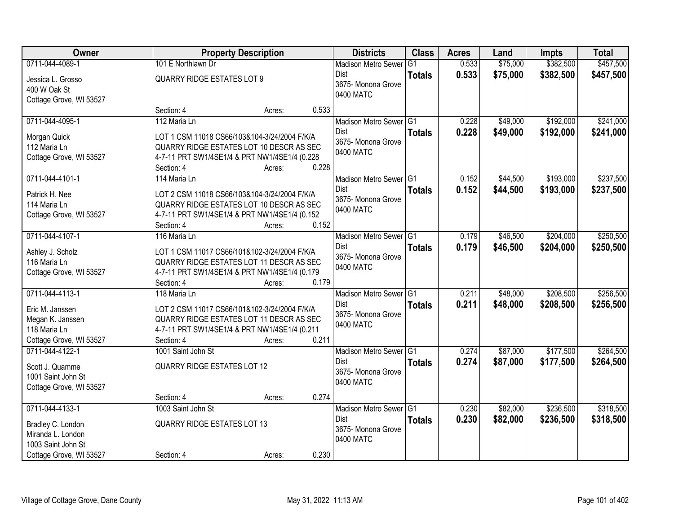| Owner                   |                                               | <b>Property Description</b> |       | <b>Districts</b>                    | <b>Class</b>    | <b>Acres</b> | Land     | <b>Impts</b> | <b>Total</b> |
|-------------------------|-----------------------------------------------|-----------------------------|-------|-------------------------------------|-----------------|--------------|----------|--------------|--------------|
| 0711-044-4089-1         | 101 E Northlawn Dr                            |                             |       | <b>Madison Metro Sewer</b>          | $\overline{G1}$ | 0.533        | \$75,000 | \$382,500    | \$457,500    |
| Jessica L. Grosso       | <b>QUARRY RIDGE ESTATES LOT 9</b>             |                             |       | <b>Dist</b>                         | <b>Totals</b>   | 0.533        | \$75,000 | \$382,500    | \$457,500    |
| 400 W Oak St            |                                               |                             |       | 3675- Monona Grove                  |                 |              |          |              |              |
| Cottage Grove, WI 53527 |                                               |                             |       | 0400 MATC                           |                 |              |          |              |              |
|                         | Section: 4                                    | Acres:                      | 0.533 |                                     |                 |              |          |              |              |
| 0711-044-4095-1         | 112 Maria Ln                                  |                             |       | Madison Metro Sewer G1              |                 | 0.228        | \$49,000 | \$192,000    | \$241,000    |
| Morgan Quick            | LOT 1 CSM 11018 CS66/103&104-3/24/2004 F/K/A  |                             |       | <b>Dist</b>                         | <b>Totals</b>   | 0.228        | \$49,000 | \$192,000    | \$241,000    |
| 112 Maria Ln            | QUARRY RIDGE ESTATES LOT 10 DESCR AS SEC      |                             |       | 3675- Monona Grove                  |                 |              |          |              |              |
| Cottage Grove, WI 53527 | 4-7-11 PRT SW1/4SE1/4 & PRT NW1/4SE1/4 (0.228 |                             |       | 0400 MATC                           |                 |              |          |              |              |
|                         | Section: 4                                    | Acres:                      | 0.228 |                                     |                 |              |          |              |              |
| 0711-044-4101-1         | 114 Maria Ln                                  |                             |       | Madison Metro Sewer G1              |                 | 0.152        | \$44,500 | \$193,000    | \$237,500    |
| Patrick H. Nee          | LOT 2 CSM 11018 CS66/103&104-3/24/2004 F/K/A  |                             |       | <b>Dist</b>                         | <b>Totals</b>   | 0.152        | \$44,500 | \$193,000    | \$237,500    |
| 114 Maria Ln            | QUARRY RIDGE ESTATES LOT 10 DESCR AS SEC      |                             |       | 3675- Monona Grove                  |                 |              |          |              |              |
| Cottage Grove, WI 53527 | 4-7-11 PRT SW1/4SE1/4 & PRT NW1/4SE1/4 (0.152 |                             |       | 0400 MATC                           |                 |              |          |              |              |
|                         | Section: 4                                    | Acres:                      | 0.152 |                                     |                 |              |          |              |              |
| 0711-044-4107-1         | 116 Maria Ln                                  |                             |       | Madison Metro Sewer G1              |                 | 0.179        | \$46,500 | \$204,000    | \$250,500    |
| Ashley J. Scholz        | LOT 1 CSM 11017 CS66/101&102-3/24/2004 F/K/A  |                             |       | <b>Dist</b>                         | <b>Totals</b>   | 0.179        | \$46,500 | \$204,000    | \$250,500    |
| 116 Maria Ln            | QUARRY RIDGE ESTATES LOT 11 DESCR AS SEC      |                             |       | 3675- Monona Grove                  |                 |              |          |              |              |
| Cottage Grove, WI 53527 | 4-7-11 PRT SW1/4SE1/4 & PRT NW1/4SE1/4 (0.179 |                             |       | 0400 MATC                           |                 |              |          |              |              |
|                         | Section: 4                                    | Acres:                      | 0.179 |                                     |                 |              |          |              |              |
| 0711-044-4113-1         | 118 Maria Ln                                  |                             |       | Madison Metro Sewer <sup>1</sup> G1 |                 | 0.211        | \$48,000 | \$208,500    | \$256,500    |
| Eric M. Janssen         | LOT 2 CSM 11017 CS66/101&102-3/24/2004 F/K/A  |                             |       | Dist                                | <b>Totals</b>   | 0.211        | \$48,000 | \$208,500    | \$256,500    |
| Megan K. Janssen        | QUARRY RIDGE ESTATES LOT 11 DESCR AS SEC      |                             |       | 3675- Monona Grove                  |                 |              |          |              |              |
| 118 Maria Ln            | 4-7-11 PRT SW1/4SE1/4 & PRT NW1/4SE1/4 (0.211 |                             |       | 0400 MATC                           |                 |              |          |              |              |
| Cottage Grove, WI 53527 | Section: 4                                    | Acres:                      | 0.211 |                                     |                 |              |          |              |              |
| 0711-044-4122-1         | 1001 Saint John St                            |                             |       | Madison Metro Sewer G1              |                 | 0.274        | \$87,000 | \$177,500    | \$264,500    |
|                         |                                               |                             |       | <b>Dist</b>                         | <b>Totals</b>   | 0.274        | \$87,000 | \$177,500    | \$264,500    |
| Scott J. Quamme         | <b>QUARRY RIDGE ESTATES LOT 12</b>            |                             |       | 3675- Monona Grove                  |                 |              |          |              |              |
| 1001 Saint John St      |                                               |                             |       | 0400 MATC                           |                 |              |          |              |              |
| Cottage Grove, WI 53527 | Section: 4                                    | Acres:                      | 0.274 |                                     |                 |              |          |              |              |
| 0711-044-4133-1         | 1003 Saint John St                            |                             |       | Madison Metro Sewer G1              |                 | 0.230        | \$82,000 | \$236,500    | \$318,500    |
|                         |                                               |                             |       | <b>Dist</b>                         | <b>Totals</b>   | 0.230        | \$82,000 | \$236,500    | \$318,500    |
| Bradley C. London       | <b>QUARRY RIDGE ESTATES LOT 13</b>            |                             |       | 3675- Monona Grove                  |                 |              |          |              |              |
| Miranda L. London       |                                               |                             |       | 0400 MATC                           |                 |              |          |              |              |
| 1003 Saint John St      |                                               |                             |       |                                     |                 |              |          |              |              |
| Cottage Grove, WI 53527 | Section: 4                                    | Acres:                      | 0.230 |                                     |                 |              |          |              |              |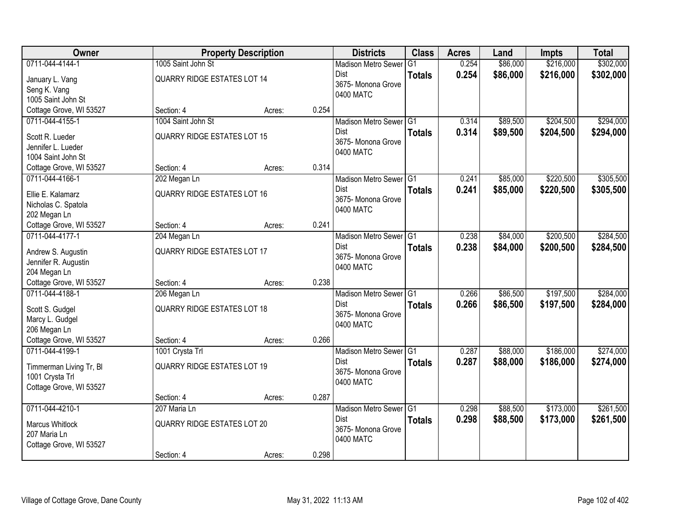| Owner                               |                                    | <b>Property Description</b> |       | <b>Districts</b>                    | <b>Class</b>  | <b>Acres</b> | Land     | <b>Impts</b> | <b>Total</b> |
|-------------------------------------|------------------------------------|-----------------------------|-------|-------------------------------------|---------------|--------------|----------|--------------|--------------|
| 0711-044-4144-1                     | 1005 Saint John St                 |                             |       | <b>Madison Metro Sewer</b>          | G1            | 0.254        | \$86,000 | \$216,000    | \$302,000    |
| January L. Vang                     | <b>QUARRY RIDGE ESTATES LOT 14</b> |                             |       | Dist                                | <b>Totals</b> | 0.254        | \$86,000 | \$216,000    | \$302,000    |
| Seng K. Vang                        |                                    |                             |       | 3675- Monona Grove                  |               |              |          |              |              |
| 1005 Saint John St                  |                                    |                             |       | 0400 MATC                           |               |              |          |              |              |
| Cottage Grove, WI 53527             | Section: 4                         | Acres:                      | 0.254 |                                     |               |              |          |              |              |
| 0711-044-4155-1                     | 1004 Saint John St                 |                             |       | Madison Metro Sewer G1              |               | 0.314        | \$89,500 | \$204,500    | \$294,000    |
| Scott R. Lueder                     | <b>QUARRY RIDGE ESTATES LOT 15</b> |                             |       | <b>Dist</b>                         | <b>Totals</b> | 0.314        | \$89,500 | \$204,500    | \$294,000    |
| Jennifer L. Lueder                  |                                    |                             |       | 3675- Monona Grove                  |               |              |          |              |              |
| 1004 Saint John St                  |                                    |                             |       | 0400 MATC                           |               |              |          |              |              |
| Cottage Grove, WI 53527             | Section: 4                         | Acres:                      | 0.314 |                                     |               |              |          |              |              |
| 0711-044-4166-1                     | 202 Megan Ln                       |                             |       | Madison Metro Sewer G1              |               | 0.241        | \$85,000 | \$220,500    | \$305,500    |
|                                     |                                    |                             |       | Dist                                | <b>Totals</b> | 0.241        | \$85,000 | \$220,500    | \$305,500    |
| Ellie E. Kalamarz                   | <b>QUARRY RIDGE ESTATES LOT 16</b> |                             |       | 3675- Monona Grove                  |               |              |          |              |              |
| Nicholas C. Spatola<br>202 Megan Ln |                                    |                             |       | 0400 MATC                           |               |              |          |              |              |
| Cottage Grove, WI 53527             | Section: 4                         | Acres:                      | 0.241 |                                     |               |              |          |              |              |
| 0711-044-4177-1                     | 204 Megan Ln                       |                             |       | Madison Metro Sewer G1              |               | 0.238        | \$84,000 | \$200,500    | \$284,500    |
|                                     |                                    |                             |       | Dist                                | <b>Totals</b> | 0.238        | \$84,000 | \$200,500    | \$284,500    |
| Andrew S. Augustin                  | <b>QUARRY RIDGE ESTATES LOT 17</b> |                             |       | 3675- Monona Grove                  |               |              |          |              |              |
| Jennifer R. Augustin                |                                    |                             |       | 0400 MATC                           |               |              |          |              |              |
| 204 Megan Ln                        |                                    |                             |       |                                     |               |              |          |              |              |
| Cottage Grove, WI 53527             | Section: 4                         | Acres:                      | 0.238 |                                     |               |              |          |              |              |
| 0711-044-4188-1                     | 206 Megan Ln                       |                             |       | Madison Metro Sewer <sup>1</sup> G1 |               | 0.266        | \$86,500 | \$197,500    | \$284,000    |
| Scott S. Gudgel                     | <b>QUARRY RIDGE ESTATES LOT 18</b> |                             |       | Dist                                | <b>Totals</b> | 0.266        | \$86,500 | \$197,500    | \$284,000    |
| Marcy L. Gudgel                     |                                    |                             |       | 3675- Monona Grove<br>0400 MATC     |               |              |          |              |              |
| 206 Megan Ln                        |                                    |                             |       |                                     |               |              |          |              |              |
| Cottage Grove, WI 53527             | Section: 4                         | Acres:                      | 0.266 |                                     |               |              |          |              |              |
| 0711-044-4199-1                     | 1001 Crysta Trl                    |                             |       | Madison Metro Sewer G1              |               | 0.287        | \$88,000 | \$186,000    | \$274,000    |
| Timmerman Living Tr, Bl             | <b>QUARRY RIDGE ESTATES LOT 19</b> |                             |       | Dist                                | <b>Totals</b> | 0.287        | \$88,000 | \$186,000    | \$274,000    |
| 1001 Crysta Trl                     |                                    |                             |       | 3675- Monona Grove                  |               |              |          |              |              |
| Cottage Grove, WI 53527             |                                    |                             |       | 0400 MATC                           |               |              |          |              |              |
|                                     | Section: 4                         | Acres:                      | 0.287 |                                     |               |              |          |              |              |
| 0711-044-4210-1                     | 207 Maria Ln                       |                             |       | Madison Metro Sewer G1              |               | 0.298        | \$88,500 | \$173,000    | \$261,500    |
| <b>Marcus Whitlock</b>              | <b>QUARRY RIDGE ESTATES LOT 20</b> |                             |       | Dist                                | <b>Totals</b> | 0.298        | \$88,500 | \$173,000    | \$261,500    |
| 207 Maria Ln                        |                                    |                             |       | 3675- Monona Grove                  |               |              |          |              |              |
| Cottage Grove, WI 53527             |                                    |                             |       | 0400 MATC                           |               |              |          |              |              |
|                                     | Section: 4                         | Acres:                      | 0.298 |                                     |               |              |          |              |              |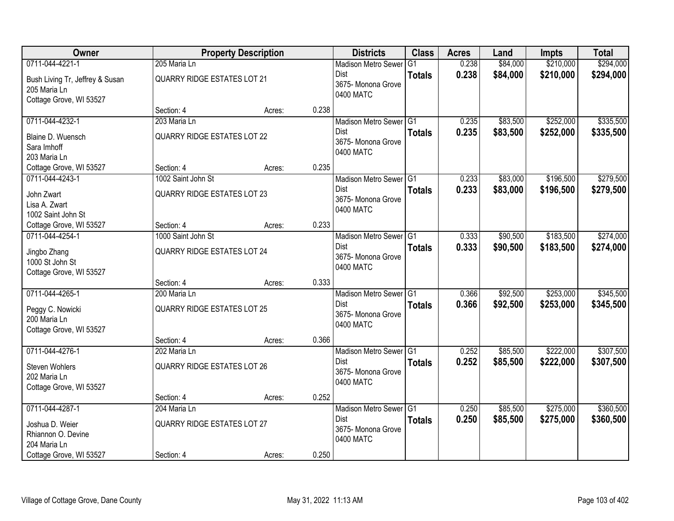| Owner                           |                                    | <b>Property Description</b> |       | <b>Districts</b>                  | <b>Class</b>  | <b>Acres</b> | Land     | <b>Impts</b> | <b>Total</b> |
|---------------------------------|------------------------------------|-----------------------------|-------|-----------------------------------|---------------|--------------|----------|--------------|--------------|
| 0711-044-4221-1                 | 205 Maria Ln                       |                             |       | <b>Madison Metro Sewer</b>        | G1            | 0.238        | \$84,000 | \$210,000    | \$294,000    |
| Bush Living Tr, Jeffrey & Susan | <b>QUARRY RIDGE ESTATES LOT 21</b> |                             |       | Dist                              | <b>Totals</b> | 0.238        | \$84,000 | \$210,000    | \$294,000    |
| 205 Maria Ln                    |                                    |                             |       | 3675- Monona Grove<br>0400 MATC   |               |              |          |              |              |
| Cottage Grove, WI 53527         |                                    |                             |       |                                   |               |              |          |              |              |
|                                 | Section: 4                         | Acres:                      | 0.238 |                                   |               |              |          |              |              |
| 0711-044-4232-1                 | 203 Maria Ln                       |                             |       | Madison Metro Sewer G1            |               | 0.235        | \$83,500 | \$252,000    | \$335,500    |
| Blaine D. Wuensch               | <b>QUARRY RIDGE ESTATES LOT 22</b> |                             |       | Dist                              | <b>Totals</b> | 0.235        | \$83,500 | \$252,000    | \$335,500    |
| Sara Imhoff                     |                                    |                             |       | 3675- Monona Grove<br>0400 MATC   |               |              |          |              |              |
| 203 Maria Ln                    |                                    |                             |       |                                   |               |              |          |              |              |
| Cottage Grove, WI 53527         | Section: 4                         | Acres:                      | 0.235 |                                   |               |              |          |              |              |
| 0711-044-4243-1                 | 1002 Saint John St                 |                             |       | Madison Metro Sewer G1            |               | 0.233        | \$83,000 | \$196,500    | \$279,500    |
| John Zwart                      | <b>QUARRY RIDGE ESTATES LOT 23</b> |                             |       | <b>Dist</b>                       | <b>Totals</b> | 0.233        | \$83,000 | \$196,500    | \$279,500    |
| Lisa A. Zwart                   |                                    |                             |       | 3675- Monona Grove<br>0400 MATC   |               |              |          |              |              |
| 1002 Saint John St              |                                    |                             |       |                                   |               |              |          |              |              |
| Cottage Grove, WI 53527         | Section: 4                         | Acres:                      | 0.233 |                                   |               |              |          |              |              |
| 0711-044-4254-1                 | 1000 Saint John St                 |                             |       | Madison Metro Sewer G1            |               | 0.333        | \$90,500 | \$183,500    | \$274,000    |
| Jingbo Zhang                    | <b>QUARRY RIDGE ESTATES LOT 24</b> |                             |       | Dist                              | <b>Totals</b> | 0.333        | \$90,500 | \$183,500    | \$274,000    |
| 1000 St John St                 |                                    |                             |       | 3675- Monona Grove<br>0400 MATC   |               |              |          |              |              |
| Cottage Grove, WI 53527         |                                    |                             |       |                                   |               |              |          |              |              |
|                                 | Section: 4                         | Acres:                      | 0.333 |                                   |               |              |          |              |              |
| 0711-044-4265-1                 | 200 Maria Ln                       |                             |       | Madison Metro Sewer G1            |               | 0.366        | \$92,500 | \$253,000    | \$345,500    |
| Peggy C. Nowicki                | <b>QUARRY RIDGE ESTATES LOT 25</b> |                             |       | <b>Dist</b>                       | <b>Totals</b> | 0.366        | \$92,500 | \$253,000    | \$345,500    |
| 200 Maria Ln                    |                                    |                             |       | 3675- Monona Grove<br>0400 MATC   |               |              |          |              |              |
| Cottage Grove, WI 53527         |                                    |                             |       |                                   |               |              |          |              |              |
|                                 | Section: 4                         | Acres:                      | 0.366 |                                   |               |              |          |              |              |
| 0711-044-4276-1                 | 202 Maria Ln                       |                             |       | Madison Metro Sewer G1            |               | 0.252        | \$85,500 | \$222,000    | \$307,500    |
| <b>Steven Wohlers</b>           | <b>QUARRY RIDGE ESTATES LOT 26</b> |                             |       | Dist                              | <b>Totals</b> | 0.252        | \$85,500 | \$222,000    | \$307,500    |
| 202 Maria Ln                    |                                    |                             |       | 3675- Monona Grove<br>0400 MATC   |               |              |          |              |              |
| Cottage Grove, WI 53527         |                                    |                             |       |                                   |               |              |          |              |              |
|                                 | Section: 4                         | Acres:                      | 0.252 |                                   |               |              |          |              |              |
| 0711-044-4287-1                 | 204 Maria Ln                       |                             |       | Madison Metro Sewer G1            |               | 0.250        | \$85,500 | \$275,000    | \$360,500    |
| Joshua D. Weier                 | <b>QUARRY RIDGE ESTATES LOT 27</b> |                             |       | <b>Dist</b><br>3675- Monona Grove | <b>Totals</b> | 0.250        | \$85,500 | \$275,000    | \$360,500    |
| Rhiannon O. Devine              |                                    |                             |       | 0400 MATC                         |               |              |          |              |              |
| 204 Maria Ln                    |                                    |                             |       |                                   |               |              |          |              |              |
| Cottage Grove, WI 53527         | Section: 4                         | Acres:                      | 0.250 |                                   |               |              |          |              |              |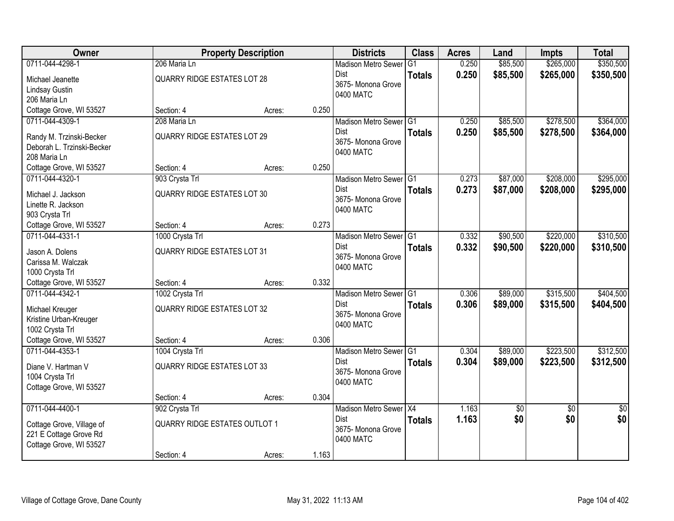| Owner                                                  |                                      | <b>Property Description</b> |       | <b>Districts</b>                  | <b>Class</b>  | <b>Acres</b> | Land       | <b>Impts</b>    | <b>Total</b>    |
|--------------------------------------------------------|--------------------------------------|-----------------------------|-------|-----------------------------------|---------------|--------------|------------|-----------------|-----------------|
| 0711-044-4298-1                                        | 206 Maria Ln                         |                             |       | <b>Madison Metro Sewer</b>        | G1            | 0.250        | \$85,500   | \$265,000       | \$350,500       |
| Michael Jeanette                                       | <b>QUARRY RIDGE ESTATES LOT 28</b>   |                             |       | Dist                              | <b>Totals</b> | 0.250        | \$85,500   | \$265,000       | \$350,500       |
| Lindsay Gustin                                         |                                      |                             |       | 3675- Monona Grove                |               |              |            |                 |                 |
| 206 Maria Ln                                           |                                      |                             |       | 0400 MATC                         |               |              |            |                 |                 |
| Cottage Grove, WI 53527                                | Section: 4                           | Acres:                      | 0.250 |                                   |               |              |            |                 |                 |
| 0711-044-4309-1                                        | 208 Maria Ln                         |                             |       | Madison Metro Sewer G1            |               | 0.250        | \$85,500   | \$278,500       | \$364,000       |
|                                                        | <b>QUARRY RIDGE ESTATES LOT 29</b>   |                             |       | Dist                              | <b>Totals</b> | 0.250        | \$85,500   | \$278,500       | \$364,000       |
| Randy M. Trzinski-Becker<br>Deborah L. Trzinski-Becker |                                      |                             |       | 3675- Monona Grove                |               |              |            |                 |                 |
| 208 Maria Ln                                           |                                      |                             |       | 0400 MATC                         |               |              |            |                 |                 |
| Cottage Grove, WI 53527                                | Section: 4                           | Acres:                      | 0.250 |                                   |               |              |            |                 |                 |
| 0711-044-4320-1                                        | 903 Crysta Trl                       |                             |       | Madison Metro Sewer G1            |               | 0.273        | \$87,000   | \$208,000       | \$295,000       |
|                                                        |                                      |                             |       | Dist                              | <b>Totals</b> | 0.273        | \$87,000   | \$208,000       | \$295,000       |
| Michael J. Jackson                                     | <b>QUARRY RIDGE ESTATES LOT 30</b>   |                             |       | 3675-Monona Grove                 |               |              |            |                 |                 |
| Linette R. Jackson                                     |                                      |                             |       | 0400 MATC                         |               |              |            |                 |                 |
| 903 Crysta Trl                                         |                                      |                             |       |                                   |               |              |            |                 |                 |
| Cottage Grove, WI 53527                                | Section: 4                           | Acres:                      | 0.273 |                                   |               |              |            |                 |                 |
| 0711-044-4331-1                                        | 1000 Crysta Trl                      |                             |       | Madison Metro Sewer G1            |               | 0.332        | \$90,500   | \$220,000       | \$310,500       |
| Jason A. Dolens                                        | <b>QUARRY RIDGE ESTATES LOT 31</b>   |                             |       | Dist<br>3675- Monona Grove        | <b>Totals</b> | 0.332        | \$90,500   | \$220,000       | \$310,500       |
| Carissa M. Walczak                                     |                                      |                             |       | 0400 MATC                         |               |              |            |                 |                 |
| 1000 Crysta Trl                                        |                                      |                             |       |                                   |               |              |            |                 |                 |
| Cottage Grove, WI 53527                                | Section: 4                           | Acres:                      | 0.332 |                                   |               |              |            |                 |                 |
| 0711-044-4342-1                                        | 1002 Crysta Trl                      |                             |       | Madison Metro Sewer <sup>G1</sup> |               | 0.306        | \$89,000   | \$315,500       | \$404,500       |
| Michael Kreuger                                        | <b>QUARRY RIDGE ESTATES LOT 32</b>   |                             |       | Dist                              | <b>Totals</b> | 0.306        | \$89,000   | \$315,500       | \$404,500       |
| Kristine Urban-Kreuger                                 |                                      |                             |       | 3675- Monona Grove                |               |              |            |                 |                 |
| 1002 Crysta Trl                                        |                                      |                             |       | 0400 MATC                         |               |              |            |                 |                 |
| Cottage Grove, WI 53527                                | Section: 4                           | Acres:                      | 0.306 |                                   |               |              |            |                 |                 |
| 0711-044-4353-1                                        | 1004 Crysta Trl                      |                             |       | Madison Metro Sewer G1            |               | 0.304        | \$89,000   | \$223,500       | \$312,500       |
| Diane V. Hartman V                                     | <b>QUARRY RIDGE ESTATES LOT 33</b>   |                             |       | Dist                              | <b>Totals</b> | 0.304        | \$89,000   | \$223,500       | \$312,500       |
| 1004 Crysta Trl                                        |                                      |                             |       | 3675- Monona Grove                |               |              |            |                 |                 |
| Cottage Grove, WI 53527                                |                                      |                             |       | 0400 MATC                         |               |              |            |                 |                 |
|                                                        | Section: 4                           | Acres:                      | 0.304 |                                   |               |              |            |                 |                 |
| 0711-044-4400-1                                        | 902 Crysta Trl                       |                             |       | Madison Metro Sewer X4            |               | 1.163        | $\sqrt{6}$ | $\overline{50}$ | $\overline{50}$ |
|                                                        |                                      |                             |       | Dist                              | <b>Totals</b> | 1.163        | \$0        | \$0             | \$0             |
| Cottage Grove, Village of                              | <b>QUARRY RIDGE ESTATES OUTLOT 1</b> |                             |       | 3675- Monona Grove                |               |              |            |                 |                 |
| 221 E Cottage Grove Rd                                 |                                      |                             |       | 0400 MATC                         |               |              |            |                 |                 |
| Cottage Grove, WI 53527                                |                                      |                             |       |                                   |               |              |            |                 |                 |
|                                                        | Section: 4                           | Acres:                      | 1.163 |                                   |               |              |            |                 |                 |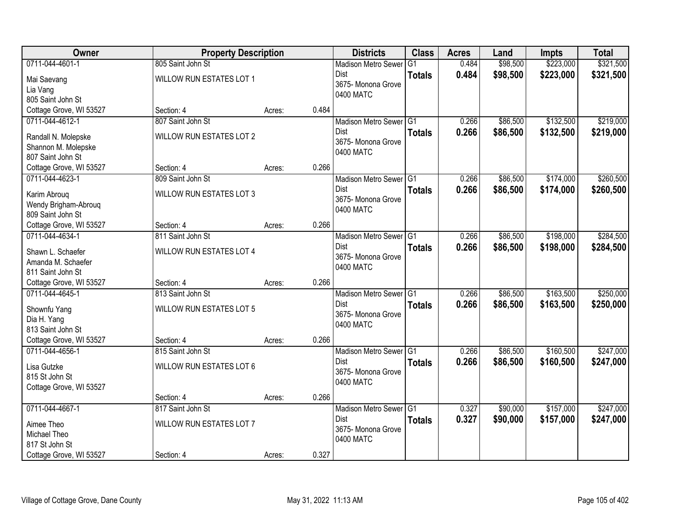| <b>Owner</b>            | <b>Property Description</b>     |        |       | <b>Districts</b>                      | <b>Class</b>    | <b>Acres</b> | Land     | <b>Impts</b> | <b>Total</b> |
|-------------------------|---------------------------------|--------|-------|---------------------------------------|-----------------|--------------|----------|--------------|--------------|
| 0711-044-4601-1         | 805 Saint John St               |        |       | <b>Madison Metro Sewer</b>            | $\overline{G1}$ | 0.484        | \$98,500 | \$223,000    | \$321,500    |
| Mai Saevang             | WILLOW RUN ESTATES LOT 1        |        |       | Dist                                  | <b>Totals</b>   | 0.484        | \$98,500 | \$223,000    | \$321,500    |
| Lia Vang                |                                 |        |       | 3675- Monona Grove                    |                 |              |          |              |              |
| 805 Saint John St       |                                 |        |       | 0400 MATC                             |                 |              |          |              |              |
| Cottage Grove, WI 53527 | Section: 4                      | Acres: | 0.484 |                                       |                 |              |          |              |              |
| 0711-044-4612-1         | 807 Saint John St               |        |       | Madison Metro Sewer G1                |                 | 0.266        | \$86,500 | \$132,500    | \$219,000    |
| Randall N. Molepske     | <b>WILLOW RUN ESTATES LOT 2</b> |        |       | <b>Dist</b>                           | <b>Totals</b>   | 0.266        | \$86,500 | \$132,500    | \$219,000    |
| Shannon M. Molepske     |                                 |        |       | 3675- Monona Grove                    |                 |              |          |              |              |
| 807 Saint John St       |                                 |        |       | 0400 MATC                             |                 |              |          |              |              |
| Cottage Grove, WI 53527 | Section: 4                      | Acres: | 0.266 |                                       |                 |              |          |              |              |
| 0711-044-4623-1         | 809 Saint John St               |        |       | Madison Metro Sewer G1                |                 | 0.266        | \$86,500 | \$174,000    | \$260,500    |
|                         |                                 |        |       | <b>Dist</b>                           | <b>Totals</b>   | 0.266        | \$86,500 | \$174,000    | \$260,500    |
| Karim Abroug            | <b>WILLOW RUN ESTATES LOT 3</b> |        |       | 3675-Monona Grove                     |                 |              |          |              |              |
| Wendy Brigham-Abrouq    |                                 |        |       | 0400 MATC                             |                 |              |          |              |              |
| 809 Saint John St       |                                 |        |       |                                       |                 |              |          |              |              |
| Cottage Grove, WI 53527 | Section: 4                      | Acres: | 0.266 |                                       |                 |              |          |              |              |
| 0711-044-4634-1         | 811 Saint John St               |        |       | Madison Metro Sewer G1                |                 | 0.266        | \$86,500 | \$198,000    | \$284,500    |
| Shawn L. Schaefer       | WILLOW RUN ESTATES LOT 4        |        |       | <b>Dist</b>                           | <b>Totals</b>   | 0.266        | \$86,500 | \$198,000    | \$284,500    |
| Amanda M. Schaefer      |                                 |        |       | 3675- Monona Grove<br>0400 MATC       |                 |              |          |              |              |
| 811 Saint John St       |                                 |        |       |                                       |                 |              |          |              |              |
| Cottage Grove, WI 53527 | Section: 4                      | Acres: | 0.266 |                                       |                 |              |          |              |              |
| 0711-044-4645-1         | 813 Saint John St               |        |       | Madison Metro Sewer <sup>G1</sup>     |                 | 0.266        | \$86,500 | \$163,500    | \$250,000    |
| Shownfu Yang            | <b>WILLOW RUN ESTATES LOT 5</b> |        |       | <b>Dist</b>                           | <b>Totals</b>   | 0.266        | \$86,500 | \$163,500    | \$250,000    |
| Dia H. Yang             |                                 |        |       | 3675- Monona Grove                    |                 |              |          |              |              |
| 813 Saint John St       |                                 |        |       | 0400 MATC                             |                 |              |          |              |              |
| Cottage Grove, WI 53527 | Section: 4                      | Acres: | 0.266 |                                       |                 |              |          |              |              |
| 0711-044-4656-1         | 815 Saint John St               |        |       | Madison Metro Sewer G1                |                 | 0.266        | \$86,500 | \$160,500    | \$247,000    |
|                         |                                 |        |       | Dist                                  | <b>Totals</b>   | 0.266        | \$86,500 | \$160,500    | \$247,000    |
| Lisa Gutzke             | <b>WILLOW RUN ESTATES LOT 6</b> |        |       | 3675- Monona Grove                    |                 |              |          |              |              |
| 815 St John St          |                                 |        |       | 0400 MATC                             |                 |              |          |              |              |
| Cottage Grove, WI 53527 |                                 |        | 0.266 |                                       |                 |              |          |              |              |
| 0711-044-4667-1         | Section: 4<br>817 Saint John St | Acres: |       |                                       |                 | 0.327        | \$90,000 |              | \$247,000    |
|                         |                                 |        |       | Madison Metro Sewer G1<br><b>Dist</b> |                 |              |          | \$157,000    |              |
| Aimee Theo              | <b>WILLOW RUN ESTATES LOT 7</b> |        |       | 3675- Monona Grove                    | <b>Totals</b>   | 0.327        | \$90,000 | \$157,000    | \$247,000    |
| Michael Theo            |                                 |        |       | 0400 MATC                             |                 |              |          |              |              |
| 817 St John St          |                                 |        |       |                                       |                 |              |          |              |              |
| Cottage Grove, WI 53527 | Section: 4                      | Acres: | 0.327 |                                       |                 |              |          |              |              |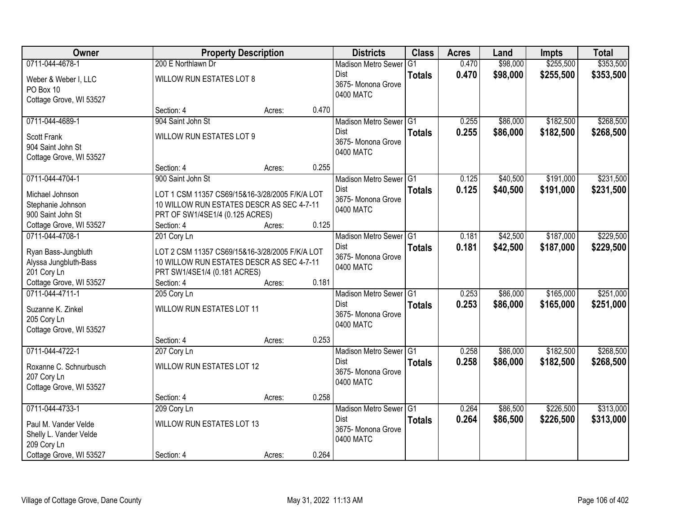| Owner                   | <b>Property Description</b>                    |        |       | <b>Districts</b>           | <b>Class</b>  | <b>Acres</b> | Land     | <b>Impts</b> | <b>Total</b> |
|-------------------------|------------------------------------------------|--------|-------|----------------------------|---------------|--------------|----------|--------------|--------------|
| 0711-044-4678-1         | 200 E Northlawn Dr                             |        |       | <b>Madison Metro Sewer</b> | G1            | 0.470        | \$98,000 | \$255,500    | \$353,500    |
| Weber & Weber I, LLC    | WILLOW RUN ESTATES LOT 8                       |        |       | Dist                       | <b>Totals</b> | 0.470        | \$98,000 | \$255,500    | \$353,500    |
| PO Box 10               |                                                |        |       | 3675- Monona Grove         |               |              |          |              |              |
| Cottage Grove, WI 53527 |                                                |        |       | 0400 MATC                  |               |              |          |              |              |
|                         | Section: 4                                     | Acres: | 0.470 |                            |               |              |          |              |              |
| 0711-044-4689-1         | 904 Saint John St                              |        |       | Madison Metro Sewer G1     |               | 0.255        | \$86,000 | \$182,500    | \$268,500    |
| <b>Scott Frank</b>      | <b>WILLOW RUN ESTATES LOT 9</b>                |        |       | Dist                       | <b>Totals</b> | 0.255        | \$86,000 | \$182,500    | \$268,500    |
| 904 Saint John St       |                                                |        |       | 3675- Monona Grove         |               |              |          |              |              |
| Cottage Grove, WI 53527 |                                                |        |       | 0400 MATC                  |               |              |          |              |              |
|                         | Section: 4                                     | Acres: | 0.255 |                            |               |              |          |              |              |
| 0711-044-4704-1         | 900 Saint John St                              |        |       | Madison Metro Sewer G1     |               | 0.125        | \$40,500 | \$191,000    | \$231,500    |
| Michael Johnson         | LOT 1 CSM 11357 CS69/15&16-3/28/2005 F/K/A LOT |        |       | Dist                       | <b>Totals</b> | 0.125        | \$40,500 | \$191,000    | \$231,500    |
| Stephanie Johnson       | 10 WILLOW RUN ESTATES DESCR AS SEC 4-7-11      |        |       | 3675- Monona Grove         |               |              |          |              |              |
| 900 Saint John St       | PRT OF SW1/4SE1/4 (0.125 ACRES)                |        |       | 0400 MATC                  |               |              |          |              |              |
| Cottage Grove, WI 53527 | Section: 4                                     | Acres: | 0.125 |                            |               |              |          |              |              |
| 0711-044-4708-1         | 201 Cory Ln                                    |        |       | Madison Metro Sewer G1     |               | 0.181        | \$42,500 | \$187,000    | \$229,500    |
| Ryan Bass-Jungbluth     | LOT 2 CSM 11357 CS69/15&16-3/28/2005 F/K/A LOT |        |       | Dist                       | <b>Totals</b> | 0.181        | \$42,500 | \$187,000    | \$229,500    |
| Alyssa Jungbluth-Bass   | 10 WILLOW RUN ESTATES DESCR AS SEC 4-7-11      |        |       | 3675- Monona Grove         |               |              |          |              |              |
| 201 Cory Ln             | PRT SW1/4SE1/4 (0.181 ACRES)                   |        |       | 0400 MATC                  |               |              |          |              |              |
| Cottage Grove, WI 53527 | Section: 4                                     | Acres: | 0.181 |                            |               |              |          |              |              |
| 0711-044-4711-1         | 205 Cory Ln                                    |        |       | Madison Metro Sewer G1     |               | 0.253        | \$86,000 | \$165,000    | \$251,000    |
| Suzanne K. Zinkel       | WILLOW RUN ESTATES LOT 11                      |        |       | Dist                       | <b>Totals</b> | 0.253        | \$86,000 | \$165,000    | \$251,000    |
| 205 Cory Ln             |                                                |        |       | 3675- Monona Grove         |               |              |          |              |              |
| Cottage Grove, WI 53527 |                                                |        |       | 0400 MATC                  |               |              |          |              |              |
|                         | Section: 4                                     | Acres: | 0.253 |                            |               |              |          |              |              |
| 0711-044-4722-1         | 207 Cory Ln                                    |        |       | Madison Metro Sewer G1     |               | 0.258        | \$86,000 | \$182,500    | \$268,500    |
| Roxanne C. Schnurbusch  | WILLOW RUN ESTATES LOT 12                      |        |       | Dist                       | <b>Totals</b> | 0.258        | \$86,000 | \$182,500    | \$268,500    |
| 207 Cory Ln             |                                                |        |       | 3675- Monona Grove         |               |              |          |              |              |
| Cottage Grove, WI 53527 |                                                |        |       | 0400 MATC                  |               |              |          |              |              |
|                         | Section: 4                                     | Acres: | 0.258 |                            |               |              |          |              |              |
| 0711-044-4733-1         | 209 Cory Ln                                    |        |       | Madison Metro Sewer G1     |               | 0.264        | \$86,500 | \$226,500    | \$313,000    |
| Paul M. Vander Velde    | <b>WILLOW RUN ESTATES LOT 13</b>               |        |       | Dist                       | <b>Totals</b> | 0.264        | \$86,500 | \$226,500    | \$313,000    |
| Shelly L. Vander Velde  |                                                |        |       | 3675- Monona Grove         |               |              |          |              |              |
| 209 Cory Ln             |                                                |        |       | 0400 MATC                  |               |              |          |              |              |
| Cottage Grove, WI 53527 | Section: 4                                     | Acres: | 0.264 |                            |               |              |          |              |              |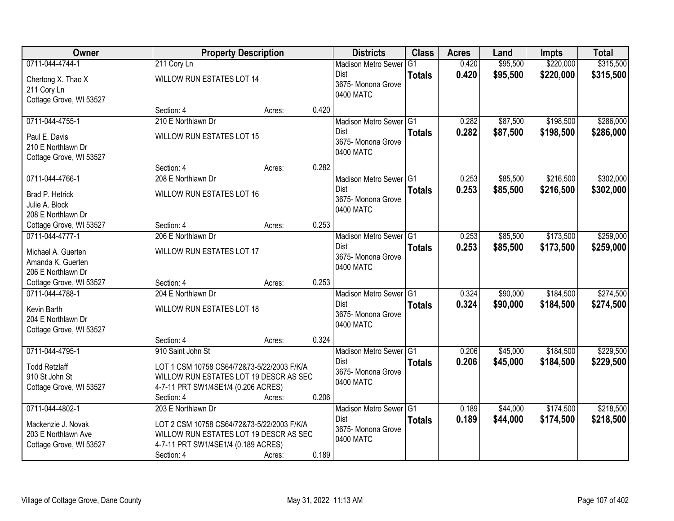| Owner                   |                                            | <b>Property Description</b> |       | <b>Districts</b>                  | <b>Class</b>   | <b>Acres</b> | Land     | <b>Impts</b> | <b>Total</b> |
|-------------------------|--------------------------------------------|-----------------------------|-------|-----------------------------------|----------------|--------------|----------|--------------|--------------|
| 0711-044-4744-1         | 211 Cory Ln                                |                             |       | <b>Madison Metro Sewer</b>        | G <sub>1</sub> | 0.420        | \$95,500 | \$220,000    | \$315,500    |
| Chertong X. Thao X      | WILLOW RUN ESTATES LOT 14                  |                             |       | Dist                              | <b>Totals</b>  | 0.420        | \$95,500 | \$220,000    | \$315,500    |
| 211 Cory Ln             |                                            |                             |       | 3675- Monona Grove                |                |              |          |              |              |
| Cottage Grove, WI 53527 |                                            |                             |       | 0400 MATC                         |                |              |          |              |              |
|                         | Section: 4                                 | Acres:                      | 0.420 |                                   |                |              |          |              |              |
| 0711-044-4755-1         | 210 E Northlawn Dr                         |                             |       | Madison Metro Sewer G1            |                | 0.282        | \$87,500 | \$198,500    | \$286,000    |
| Paul E. Davis           | WILLOW RUN ESTATES LOT 15                  |                             |       | <b>Dist</b>                       | <b>Totals</b>  | 0.282        | \$87,500 | \$198,500    | \$286,000    |
| 210 E Northlawn Dr      |                                            |                             |       | 3675- Monona Grove                |                |              |          |              |              |
| Cottage Grove, WI 53527 |                                            |                             |       | 0400 MATC                         |                |              |          |              |              |
|                         | Section: 4                                 | Acres:                      | 0.282 |                                   |                |              |          |              |              |
| 0711-044-4766-1         | 208 E Northlawn Dr                         |                             |       | Madison Metro Sewer G1            |                | 0.253        | \$85,500 | \$216,500    | \$302,000    |
| Brad P. Hetrick         | <b>WILLOW RUN ESTATES LOT 16</b>           |                             |       | <b>Dist</b>                       | <b>Totals</b>  | 0.253        | \$85,500 | \$216,500    | \$302,000    |
| Julie A. Block          |                                            |                             |       | 3675-Monona Grove                 |                |              |          |              |              |
| 208 E Northlawn Dr      |                                            |                             |       | 0400 MATC                         |                |              |          |              |              |
| Cottage Grove, WI 53527 | Section: 4                                 | Acres:                      | 0.253 |                                   |                |              |          |              |              |
| 0711-044-4777-1         | 206 E Northlawn Dr                         |                             |       | Madison Metro Sewer G1            |                | 0.253        | \$85,500 | \$173,500    | \$259,000    |
| Michael A. Guerten      | WILLOW RUN ESTATES LOT 17                  |                             |       | <b>Dist</b>                       | <b>Totals</b>  | 0.253        | \$85,500 | \$173,500    | \$259,000    |
| Amanda K. Guerten       |                                            |                             |       | 3675- Monona Grove                |                |              |          |              |              |
| 206 E Northlawn Dr      |                                            |                             |       | 0400 MATC                         |                |              |          |              |              |
| Cottage Grove, WI 53527 | Section: 4                                 | Acres:                      | 0.253 |                                   |                |              |          |              |              |
| 0711-044-4788-1         | 204 E Northlawn Dr                         |                             |       | Madison Metro Sewer <sup>G1</sup> |                | 0.324        | \$90,000 | \$184,500    | \$274,500    |
| Kevin Barth             | WILLOW RUN ESTATES LOT 18                  |                             |       | <b>Dist</b>                       | <b>Totals</b>  | 0.324        | \$90,000 | \$184,500    | \$274,500    |
| 204 E Northlawn Dr      |                                            |                             |       | 3675- Monona Grove                |                |              |          |              |              |
| Cottage Grove, WI 53527 |                                            |                             |       | 0400 MATC                         |                |              |          |              |              |
|                         | Section: 4                                 | Acres:                      | 0.324 |                                   |                |              |          |              |              |
| 0711-044-4795-1         | 910 Saint John St                          |                             |       | Madison Metro Sewer G1            |                | 0.206        | \$45,000 | \$184,500    | \$229,500    |
| <b>Todd Retzlaff</b>    | LOT 1 CSM 10758 CS64/72&73-5/22/2003 F/K/A |                             |       | <b>Dist</b>                       | <b>Totals</b>  | 0.206        | \$45,000 | \$184,500    | \$229,500    |
| 910 St John St          | WILLOW RUN ESTATES LOT 19 DESCR AS SEC     |                             |       | 3675- Monona Grove                |                |              |          |              |              |
| Cottage Grove, WI 53527 | 4-7-11 PRT SW1/4SE1/4 (0.206 ACRES)        |                             |       | 0400 MATC                         |                |              |          |              |              |
|                         | Section: 4                                 | Acres:                      | 0.206 |                                   |                |              |          |              |              |
| 0711-044-4802-1         | 203 E Northlawn Dr                         |                             |       | Madison Metro Sewer G1            |                | 0.189        | \$44,000 | \$174,500    | \$218,500    |
| Mackenzie J. Novak      | LOT 2 CSM 10758 CS64/72&73-5/22/2003 F/K/A |                             |       | <b>Dist</b>                       | <b>Totals</b>  | 0.189        | \$44,000 | \$174,500    | \$218,500    |
| 203 E Northlawn Ave     | WILLOW RUN ESTATES LOT 19 DESCR AS SEC     |                             |       | 3675-Monona Grove                 |                |              |          |              |              |
| Cottage Grove, WI 53527 | 4-7-11 PRT SW1/4SE1/4 (0.189 ACRES)        |                             |       | 0400 MATC                         |                |              |          |              |              |
|                         | Section: 4                                 | Acres:                      | 0.189 |                                   |                |              |          |              |              |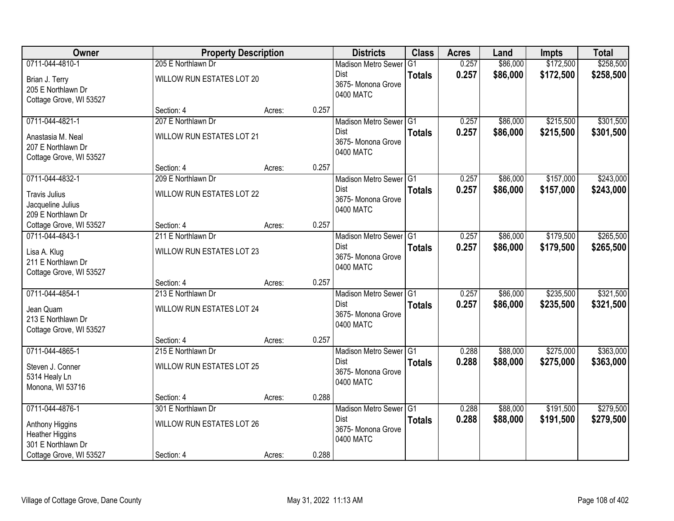| Owner                   | <b>Property Description</b>      |        |       | <b>Districts</b>                      | <b>Class</b>    | <b>Acres</b>   | Land                 | <b>Impts</b> | <b>Total</b> |
|-------------------------|----------------------------------|--------|-------|---------------------------------------|-----------------|----------------|----------------------|--------------|--------------|
| 0711-044-4810-1         | 205 E Northlawn Dr               |        |       | <b>Madison Metro Sewer</b>            | $\overline{G1}$ | 0.257          | \$86,000             | \$172,500    | \$258,500    |
| Brian J. Terry          | WILLOW RUN ESTATES LOT 20        |        |       | <b>Dist</b>                           | <b>Totals</b>   | 0.257          | \$86,000             | \$172,500    | \$258,500    |
| 205 E Northlawn Dr      |                                  |        |       | 3675- Monona Grove<br>0400 MATC       |                 |                |                      |              |              |
| Cottage Grove, WI 53527 |                                  |        |       |                                       |                 |                |                      |              |              |
|                         | Section: 4                       | Acres: | 0.257 |                                       |                 |                |                      |              |              |
| 0711-044-4821-1         | 207 E Northlawn Dr               |        |       | Madison Metro Sewer G1                |                 | 0.257          | \$86,000             | \$215,500    | \$301,500    |
| Anastasia M. Neal       | <b>WILLOW RUN ESTATES LOT 21</b> |        |       | <b>Dist</b>                           | <b>Totals</b>   | 0.257          | \$86,000             | \$215,500    | \$301,500    |
| 207 E Northlawn Dr      |                                  |        |       | 3675- Monona Grove<br>0400 MATC       |                 |                |                      |              |              |
| Cottage Grove, WI 53527 |                                  |        |       |                                       |                 |                |                      |              |              |
|                         | Section: 4                       | Acres: | 0.257 |                                       |                 |                |                      |              |              |
| 0711-044-4832-1         | 209 E Northlawn Dr               |        |       | Madison Metro Sewer G1                |                 | 0.257          | \$86,000             | \$157,000    | \$243,000    |
| <b>Travis Julius</b>    | WILLOW RUN ESTATES LOT 22        |        |       | Dist<br>3675- Monona Grove            | <b>Totals</b>   | 0.257          | \$86,000             | \$157,000    | \$243,000    |
| Jacqueline Julius       |                                  |        |       | 0400 MATC                             |                 |                |                      |              |              |
| 209 E Northlawn Dr      |                                  |        |       |                                       |                 |                |                      |              |              |
| Cottage Grove, WI 53527 | Section: 4                       | Acres: | 0.257 |                                       |                 |                |                      |              |              |
| 0711-044-4843-1         | 211 E Northlawn Dr               |        |       | Madison Metro Sewer G1                |                 | 0.257          | \$86,000             | \$179,500    | \$265,500    |
| Lisa A. Klug            | WILLOW RUN ESTATES LOT 23        |        |       | <b>Dist</b><br>3675- Monona Grove     | <b>Totals</b>   | 0.257          | \$86,000             | \$179,500    | \$265,500    |
| 211 E Northlawn Dr      |                                  |        |       | 0400 MATC                             |                 |                |                      |              |              |
| Cottage Grove, WI 53527 |                                  |        |       |                                       |                 |                |                      |              |              |
|                         | Section: 4                       | Acres: | 0.257 |                                       |                 |                |                      |              |              |
| 0711-044-4854-1         | 213 E Northlawn Dr               |        |       | Madison Metro Sewer G1                |                 | 0.257          | \$86,000             | \$235,500    | \$321,500    |
| Jean Quam               | <b>WILLOW RUN ESTATES LOT 24</b> |        |       | <b>Dist</b><br>3675- Monona Grove     | <b>Totals</b>   | 0.257          | \$86,000             | \$235,500    | \$321,500    |
| 213 E Northlawn Dr      |                                  |        |       | 0400 MATC                             |                 |                |                      |              |              |
| Cottage Grove, WI 53527 |                                  |        |       |                                       |                 |                |                      |              |              |
|                         | Section: 4                       | Acres: | 0.257 |                                       |                 |                |                      |              |              |
| 0711-044-4865-1         | 215 E Northlawn Dr               |        |       | Madison Metro Sewer G1<br><b>Dist</b> |                 | 0.288          | \$88,000             | \$275,000    | \$363,000    |
| Steven J. Conner        | WILLOW RUN ESTATES LOT 25        |        |       | 3675- Monona Grove                    | <b>Totals</b>   | 0.288          | \$88,000             | \$275,000    | \$363,000    |
| 5314 Healy Ln           |                                  |        |       | 0400 MATC                             |                 |                |                      |              |              |
| Monona, WI 53716        |                                  |        |       |                                       |                 |                |                      |              |              |
|                         | Section: 4                       | Acres: | 0.288 |                                       |                 |                |                      |              |              |
| 0711-044-4876-1         | 301 E Northlawn Dr               |        |       | Madison Metro Sewer G1<br><b>Dist</b> |                 | 0.288<br>0.288 | \$88,000<br>\$88,000 | \$191,500    | \$279,500    |
| Anthony Higgins         | WILLOW RUN ESTATES LOT 26        |        |       | 3675- Monona Grove                    | <b>Totals</b>   |                |                      | \$191,500    | \$279,500    |
| <b>Heather Higgins</b>  |                                  |        |       | 0400 MATC                             |                 |                |                      |              |              |
| 301 E Northlawn Dr      |                                  |        |       |                                       |                 |                |                      |              |              |
| Cottage Grove, WI 53527 | Section: 4                       | Acres: | 0.288 |                                       |                 |                |                      |              |              |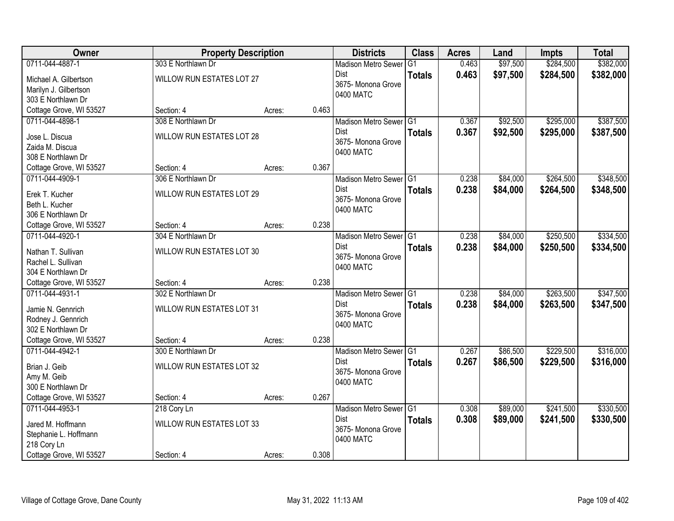| 0711-044-4887-1<br>303 E Northlawn Dr<br>\$97,500<br>\$284,500<br>\$382,000<br>0.463<br><b>Madison Metro Sewer</b><br>G1<br>0.463<br>\$97,500<br>\$284,500<br>\$382,000<br>Dist<br><b>Totals</b><br>WILLOW RUN ESTATES LOT 27<br>Michael A. Gilbertson<br>3675-Monona Grove<br>Marilyn J. Gilbertson<br>0400 MATC<br>303 E Northlawn Dr<br>Cottage Grove, WI 53527<br>0.463<br>Section: 4<br>Acres:<br>\$295,000<br>308 E Northlawn Dr<br>0.367<br>\$92,500<br>0711-044-4898-1<br>Madison Metro Sewer G1<br>0.367<br>\$92,500<br>\$295,000<br>Dist<br>\$387,500<br><b>Totals</b><br><b>WILLOW RUN ESTATES LOT 28</b><br>Jose L. Discua<br>3675- Monona Grove<br>Zaida M. Discua<br>0400 MATC<br>308 E Northlawn Dr<br>0.367<br>Cottage Grove, WI 53527<br>Section: 4<br>Acres:<br>\$264,500<br>0711-044-4909-1<br>306 E Northlawn Dr<br>Madison Metro Sewer G1<br>0.238<br>\$84,000<br><b>Dist</b><br>0.238<br>\$84,000<br>\$264,500<br><b>Totals</b><br><b>WILLOW RUN ESTATES LOT 29</b><br>Erek T. Kucher<br>3675- Monona Grove<br>Beth L. Kucher<br>0400 MATC<br>306 E Northlawn Dr<br>0.238<br>Cottage Grove, WI 53527<br>Section: 4<br>Acres:<br>0711-044-4920-1<br>304 E Northlawn Dr<br>\$84,000<br>\$250,500<br>Madison Metro Sewer G1<br>0.238<br>0.238<br><b>Dist</b><br>\$84,000<br>\$250,500<br>\$334,500<br><b>Totals</b><br>Nathan T. Sullivan<br>WILLOW RUN ESTATES LOT 30<br>3675- Monona Grove<br>Rachel L. Sullivan<br>0400 MATC<br>304 E Northlawn Dr<br>0.238<br>Cottage Grove, WI 53527<br>Section: 4<br>Acres:<br>302 E Northlawn Dr<br>\$263,500<br>0711-044-4931-1<br>Madison Metro Sewer G1<br>0.238<br>\$84,000<br>0.238<br><b>Dist</b><br>\$84,000<br>\$263,500<br>\$347,500<br><b>Totals</b><br>WILLOW RUN ESTATES LOT 31<br>Jamie N. Gennrich<br>3675-Monona Grove<br>Rodney J. Gennrich<br>0400 MATC<br>302 E Northlawn Dr<br>Cottage Grove, WI 53527<br>0.238<br>Section: 4<br>Acres:<br>\$229,500<br>0711-044-4942-1<br>Madison Metro Sewer G1<br>0.267<br>\$86,500<br>300 E Northlawn Dr<br>0.267<br>Dist<br>\$86,500<br>\$229,500<br><b>Totals</b><br>WILLOW RUN ESTATES LOT 32<br>Brian J. Geib<br>3675- Monona Grove<br>Amy M. Geib<br>0400 MATC | Owner              | <b>Property Description</b> | <b>Districts</b> | <b>Class</b> | <b>Acres</b> | Land | <b>Impts</b> | <b>Total</b> |
|--------------------------------------------------------------------------------------------------------------------------------------------------------------------------------------------------------------------------------------------------------------------------------------------------------------------------------------------------------------------------------------------------------------------------------------------------------------------------------------------------------------------------------------------------------------------------------------------------------------------------------------------------------------------------------------------------------------------------------------------------------------------------------------------------------------------------------------------------------------------------------------------------------------------------------------------------------------------------------------------------------------------------------------------------------------------------------------------------------------------------------------------------------------------------------------------------------------------------------------------------------------------------------------------------------------------------------------------------------------------------------------------------------------------------------------------------------------------------------------------------------------------------------------------------------------------------------------------------------------------------------------------------------------------------------------------------------------------------------------------------------------------------------------------------------------------------------------------------------------------------------------------------------------------------------------------------------------------------------------------------------------------------------------------------------------------------------------------------------------------------------------------------------------------------------------|--------------------|-----------------------------|------------------|--------------|--------------|------|--------------|--------------|
|                                                                                                                                                                                                                                                                                                                                                                                                                                                                                                                                                                                                                                                                                                                                                                                                                                                                                                                                                                                                                                                                                                                                                                                                                                                                                                                                                                                                                                                                                                                                                                                                                                                                                                                                                                                                                                                                                                                                                                                                                                                                                                                                                                                      |                    |                             |                  |              |              |      |              |              |
| \$387,500<br>\$348,500<br>\$348,500<br>\$334,500<br>\$347,500<br>\$316,000                                                                                                                                                                                                                                                                                                                                                                                                                                                                                                                                                                                                                                                                                                                                                                                                                                                                                                                                                                                                                                                                                                                                                                                                                                                                                                                                                                                                                                                                                                                                                                                                                                                                                                                                                                                                                                                                                                                                                                                                                                                                                                           |                    |                             |                  |              |              |      |              |              |
|                                                                                                                                                                                                                                                                                                                                                                                                                                                                                                                                                                                                                                                                                                                                                                                                                                                                                                                                                                                                                                                                                                                                                                                                                                                                                                                                                                                                                                                                                                                                                                                                                                                                                                                                                                                                                                                                                                                                                                                                                                                                                                                                                                                      |                    |                             |                  |              |              |      |              |              |
|                                                                                                                                                                                                                                                                                                                                                                                                                                                                                                                                                                                                                                                                                                                                                                                                                                                                                                                                                                                                                                                                                                                                                                                                                                                                                                                                                                                                                                                                                                                                                                                                                                                                                                                                                                                                                                                                                                                                                                                                                                                                                                                                                                                      |                    |                             |                  |              |              |      |              |              |
|                                                                                                                                                                                                                                                                                                                                                                                                                                                                                                                                                                                                                                                                                                                                                                                                                                                                                                                                                                                                                                                                                                                                                                                                                                                                                                                                                                                                                                                                                                                                                                                                                                                                                                                                                                                                                                                                                                                                                                                                                                                                                                                                                                                      |                    |                             |                  |              |              |      |              |              |
|                                                                                                                                                                                                                                                                                                                                                                                                                                                                                                                                                                                                                                                                                                                                                                                                                                                                                                                                                                                                                                                                                                                                                                                                                                                                                                                                                                                                                                                                                                                                                                                                                                                                                                                                                                                                                                                                                                                                                                                                                                                                                                                                                                                      |                    |                             |                  |              |              |      |              |              |
|                                                                                                                                                                                                                                                                                                                                                                                                                                                                                                                                                                                                                                                                                                                                                                                                                                                                                                                                                                                                                                                                                                                                                                                                                                                                                                                                                                                                                                                                                                                                                                                                                                                                                                                                                                                                                                                                                                                                                                                                                                                                                                                                                                                      |                    |                             |                  |              |              |      |              |              |
|                                                                                                                                                                                                                                                                                                                                                                                                                                                                                                                                                                                                                                                                                                                                                                                                                                                                                                                                                                                                                                                                                                                                                                                                                                                                                                                                                                                                                                                                                                                                                                                                                                                                                                                                                                                                                                                                                                                                                                                                                                                                                                                                                                                      |                    |                             |                  |              |              |      |              |              |
|                                                                                                                                                                                                                                                                                                                                                                                                                                                                                                                                                                                                                                                                                                                                                                                                                                                                                                                                                                                                                                                                                                                                                                                                                                                                                                                                                                                                                                                                                                                                                                                                                                                                                                                                                                                                                                                                                                                                                                                                                                                                                                                                                                                      |                    |                             |                  |              |              |      |              |              |
|                                                                                                                                                                                                                                                                                                                                                                                                                                                                                                                                                                                                                                                                                                                                                                                                                                                                                                                                                                                                                                                                                                                                                                                                                                                                                                                                                                                                                                                                                                                                                                                                                                                                                                                                                                                                                                                                                                                                                                                                                                                                                                                                                                                      |                    |                             |                  |              |              |      |              |              |
|                                                                                                                                                                                                                                                                                                                                                                                                                                                                                                                                                                                                                                                                                                                                                                                                                                                                                                                                                                                                                                                                                                                                                                                                                                                                                                                                                                                                                                                                                                                                                                                                                                                                                                                                                                                                                                                                                                                                                                                                                                                                                                                                                                                      |                    |                             |                  |              |              |      |              |              |
|                                                                                                                                                                                                                                                                                                                                                                                                                                                                                                                                                                                                                                                                                                                                                                                                                                                                                                                                                                                                                                                                                                                                                                                                                                                                                                                                                                                                                                                                                                                                                                                                                                                                                                                                                                                                                                                                                                                                                                                                                                                                                                                                                                                      |                    |                             |                  |              |              |      |              |              |
|                                                                                                                                                                                                                                                                                                                                                                                                                                                                                                                                                                                                                                                                                                                                                                                                                                                                                                                                                                                                                                                                                                                                                                                                                                                                                                                                                                                                                                                                                                                                                                                                                                                                                                                                                                                                                                                                                                                                                                                                                                                                                                                                                                                      |                    |                             |                  |              |              |      |              |              |
| \$316,000                                                                                                                                                                                                                                                                                                                                                                                                                                                                                                                                                                                                                                                                                                                                                                                                                                                                                                                                                                                                                                                                                                                                                                                                                                                                                                                                                                                                                                                                                                                                                                                                                                                                                                                                                                                                                                                                                                                                                                                                                                                                                                                                                                            |                    |                             |                  |              |              |      |              |              |
|                                                                                                                                                                                                                                                                                                                                                                                                                                                                                                                                                                                                                                                                                                                                                                                                                                                                                                                                                                                                                                                                                                                                                                                                                                                                                                                                                                                                                                                                                                                                                                                                                                                                                                                                                                                                                                                                                                                                                                                                                                                                                                                                                                                      |                    |                             |                  |              |              |      |              |              |
|                                                                                                                                                                                                                                                                                                                                                                                                                                                                                                                                                                                                                                                                                                                                                                                                                                                                                                                                                                                                                                                                                                                                                                                                                                                                                                                                                                                                                                                                                                                                                                                                                                                                                                                                                                                                                                                                                                                                                                                                                                                                                                                                                                                      |                    |                             |                  |              |              |      |              |              |
|                                                                                                                                                                                                                                                                                                                                                                                                                                                                                                                                                                                                                                                                                                                                                                                                                                                                                                                                                                                                                                                                                                                                                                                                                                                                                                                                                                                                                                                                                                                                                                                                                                                                                                                                                                                                                                                                                                                                                                                                                                                                                                                                                                                      |                    |                             |                  |              |              |      |              |              |
|                                                                                                                                                                                                                                                                                                                                                                                                                                                                                                                                                                                                                                                                                                                                                                                                                                                                                                                                                                                                                                                                                                                                                                                                                                                                                                                                                                                                                                                                                                                                                                                                                                                                                                                                                                                                                                                                                                                                                                                                                                                                                                                                                                                      |                    |                             |                  |              |              |      |              |              |
|                                                                                                                                                                                                                                                                                                                                                                                                                                                                                                                                                                                                                                                                                                                                                                                                                                                                                                                                                                                                                                                                                                                                                                                                                                                                                                                                                                                                                                                                                                                                                                                                                                                                                                                                                                                                                                                                                                                                                                                                                                                                                                                                                                                      |                    |                             |                  |              |              |      |              |              |
|                                                                                                                                                                                                                                                                                                                                                                                                                                                                                                                                                                                                                                                                                                                                                                                                                                                                                                                                                                                                                                                                                                                                                                                                                                                                                                                                                                                                                                                                                                                                                                                                                                                                                                                                                                                                                                                                                                                                                                                                                                                                                                                                                                                      |                    |                             |                  |              |              |      |              |              |
|                                                                                                                                                                                                                                                                                                                                                                                                                                                                                                                                                                                                                                                                                                                                                                                                                                                                                                                                                                                                                                                                                                                                                                                                                                                                                                                                                                                                                                                                                                                                                                                                                                                                                                                                                                                                                                                                                                                                                                                                                                                                                                                                                                                      |                    |                             |                  |              |              |      |              |              |
|                                                                                                                                                                                                                                                                                                                                                                                                                                                                                                                                                                                                                                                                                                                                                                                                                                                                                                                                                                                                                                                                                                                                                                                                                                                                                                                                                                                                                                                                                                                                                                                                                                                                                                                                                                                                                                                                                                                                                                                                                                                                                                                                                                                      |                    |                             |                  |              |              |      |              |              |
|                                                                                                                                                                                                                                                                                                                                                                                                                                                                                                                                                                                                                                                                                                                                                                                                                                                                                                                                                                                                                                                                                                                                                                                                                                                                                                                                                                                                                                                                                                                                                                                                                                                                                                                                                                                                                                                                                                                                                                                                                                                                                                                                                                                      |                    |                             |                  |              |              |      |              |              |
|                                                                                                                                                                                                                                                                                                                                                                                                                                                                                                                                                                                                                                                                                                                                                                                                                                                                                                                                                                                                                                                                                                                                                                                                                                                                                                                                                                                                                                                                                                                                                                                                                                                                                                                                                                                                                                                                                                                                                                                                                                                                                                                                                                                      |                    |                             |                  |              |              |      |              |              |
|                                                                                                                                                                                                                                                                                                                                                                                                                                                                                                                                                                                                                                                                                                                                                                                                                                                                                                                                                                                                                                                                                                                                                                                                                                                                                                                                                                                                                                                                                                                                                                                                                                                                                                                                                                                                                                                                                                                                                                                                                                                                                                                                                                                      |                    |                             |                  |              |              |      |              |              |
|                                                                                                                                                                                                                                                                                                                                                                                                                                                                                                                                                                                                                                                                                                                                                                                                                                                                                                                                                                                                                                                                                                                                                                                                                                                                                                                                                                                                                                                                                                                                                                                                                                                                                                                                                                                                                                                                                                                                                                                                                                                                                                                                                                                      |                    |                             |                  |              |              |      |              |              |
|                                                                                                                                                                                                                                                                                                                                                                                                                                                                                                                                                                                                                                                                                                                                                                                                                                                                                                                                                                                                                                                                                                                                                                                                                                                                                                                                                                                                                                                                                                                                                                                                                                                                                                                                                                                                                                                                                                                                                                                                                                                                                                                                                                                      |                    |                             |                  |              |              |      |              |              |
|                                                                                                                                                                                                                                                                                                                                                                                                                                                                                                                                                                                                                                                                                                                                                                                                                                                                                                                                                                                                                                                                                                                                                                                                                                                                                                                                                                                                                                                                                                                                                                                                                                                                                                                                                                                                                                                                                                                                                                                                                                                                                                                                                                                      |                    |                             |                  |              |              |      |              |              |
|                                                                                                                                                                                                                                                                                                                                                                                                                                                                                                                                                                                                                                                                                                                                                                                                                                                                                                                                                                                                                                                                                                                                                                                                                                                                                                                                                                                                                                                                                                                                                                                                                                                                                                                                                                                                                                                                                                                                                                                                                                                                                                                                                                                      | 300 E Northlawn Dr |                             |                  |              |              |      |              |              |
| Cottage Grove, WI 53527<br>0.267<br>Section: 4<br>Acres:                                                                                                                                                                                                                                                                                                                                                                                                                                                                                                                                                                                                                                                                                                                                                                                                                                                                                                                                                                                                                                                                                                                                                                                                                                                                                                                                                                                                                                                                                                                                                                                                                                                                                                                                                                                                                                                                                                                                                                                                                                                                                                                             |                    |                             |                  |              |              |      |              |              |
| \$241,500<br>\$330,500<br>0711-044-4953-1<br>218 Cory Ln<br>Madison Metro Sewer G1<br>0.308<br>\$89,000                                                                                                                                                                                                                                                                                                                                                                                                                                                                                                                                                                                                                                                                                                                                                                                                                                                                                                                                                                                                                                                                                                                                                                                                                                                                                                                                                                                                                                                                                                                                                                                                                                                                                                                                                                                                                                                                                                                                                                                                                                                                              |                    |                             |                  |              |              |      |              |              |
| <b>Dist</b><br>0.308<br>\$89,000<br>\$241,500<br>\$330,500<br><b>Totals</b>                                                                                                                                                                                                                                                                                                                                                                                                                                                                                                                                                                                                                                                                                                                                                                                                                                                                                                                                                                                                                                                                                                                                                                                                                                                                                                                                                                                                                                                                                                                                                                                                                                                                                                                                                                                                                                                                                                                                                                                                                                                                                                          |                    |                             |                  |              |              |      |              |              |
| <b>WILLOW RUN ESTATES LOT 33</b><br>Jared M. Hoffmann<br>3675- Monona Grove                                                                                                                                                                                                                                                                                                                                                                                                                                                                                                                                                                                                                                                                                                                                                                                                                                                                                                                                                                                                                                                                                                                                                                                                                                                                                                                                                                                                                                                                                                                                                                                                                                                                                                                                                                                                                                                                                                                                                                                                                                                                                                          |                    |                             |                  |              |              |      |              |              |
| Stephanie L. Hoffmann<br>0400 MATC<br>218 Cory Ln                                                                                                                                                                                                                                                                                                                                                                                                                                                                                                                                                                                                                                                                                                                                                                                                                                                                                                                                                                                                                                                                                                                                                                                                                                                                                                                                                                                                                                                                                                                                                                                                                                                                                                                                                                                                                                                                                                                                                                                                                                                                                                                                    |                    |                             |                  |              |              |      |              |              |
| 0.308<br>Cottage Grove, WI 53527<br>Section: 4<br>Acres:                                                                                                                                                                                                                                                                                                                                                                                                                                                                                                                                                                                                                                                                                                                                                                                                                                                                                                                                                                                                                                                                                                                                                                                                                                                                                                                                                                                                                                                                                                                                                                                                                                                                                                                                                                                                                                                                                                                                                                                                                                                                                                                             |                    |                             |                  |              |              |      |              |              |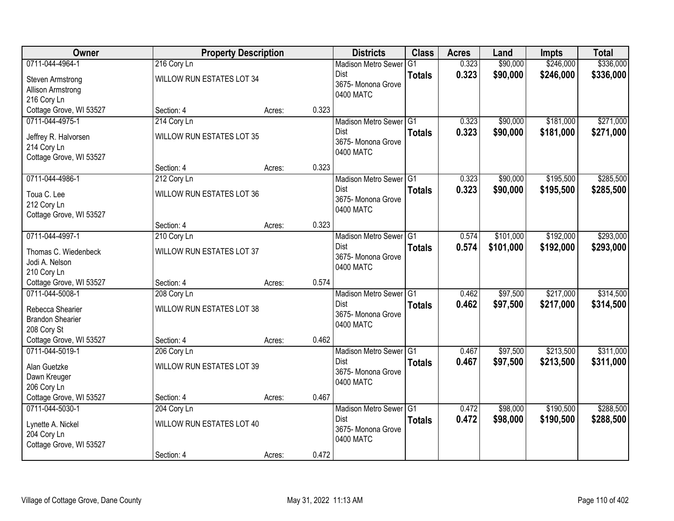| Owner                   | <b>Property Description</b>      |        |       | <b>Districts</b>                  | <b>Class</b>   | <b>Acres</b> | Land      | <b>Impts</b> | <b>Total</b> |
|-------------------------|----------------------------------|--------|-------|-----------------------------------|----------------|--------------|-----------|--------------|--------------|
| 0711-044-4964-1         | 216 Cory Ln                      |        |       | <b>Madison Metro Sewer</b>        | G <sub>1</sub> | 0.323        | \$90,000  | \$246,000    | \$336,000    |
| Steven Armstrong        | WILLOW RUN ESTATES LOT 34        |        |       | Dist                              | <b>Totals</b>  | 0.323        | \$90,000  | \$246,000    | \$336,000    |
| Allison Armstrong       |                                  |        |       | 3675- Monona Grove                |                |              |           |              |              |
| 216 Cory Ln             |                                  |        |       | 0400 MATC                         |                |              |           |              |              |
| Cottage Grove, WI 53527 | Section: 4                       | Acres: | 0.323 |                                   |                |              |           |              |              |
| 0711-044-4975-1         | 214 Cory Ln                      |        |       | Madison Metro Sewer G1            |                | 0.323        | \$90,000  | \$181,000    | \$271,000    |
| Jeffrey R. Halvorsen    | <b>WILLOW RUN ESTATES LOT 35</b> |        |       | Dist                              | <b>Totals</b>  | 0.323        | \$90,000  | \$181,000    | \$271,000    |
| 214 Cory Ln             |                                  |        |       | 3675- Monona Grove                |                |              |           |              |              |
| Cottage Grove, WI 53527 |                                  |        |       | 0400 MATC                         |                |              |           |              |              |
|                         | Section: 4                       | Acres: | 0.323 |                                   |                |              |           |              |              |
| 0711-044-4986-1         | 212 Cory Ln                      |        |       | Madison Metro Sewer G1            |                | 0.323        | \$90,000  | \$195,500    | \$285,500    |
| Toua C. Lee             | WILLOW RUN ESTATES LOT 36        |        |       | Dist                              | <b>Totals</b>  | 0.323        | \$90,000  | \$195,500    | \$285,500    |
| 212 Cory Ln             |                                  |        |       | 3675- Monona Grove                |                |              |           |              |              |
| Cottage Grove, WI 53527 |                                  |        |       | 0400 MATC                         |                |              |           |              |              |
|                         | Section: 4                       | Acres: | 0.323 |                                   |                |              |           |              |              |
| 0711-044-4997-1         | 210 Cory Ln                      |        |       | Madison Metro Sewer G1            |                | 0.574        | \$101,000 | \$192,000    | \$293,000    |
| Thomas C. Wiedenbeck    | WILLOW RUN ESTATES LOT 37        |        |       | Dist                              | <b>Totals</b>  | 0.574        | \$101,000 | \$192,000    | \$293,000    |
| Jodi A. Nelson          |                                  |        |       | 3675- Monona Grove                |                |              |           |              |              |
| 210 Cory Ln             |                                  |        |       | 0400 MATC                         |                |              |           |              |              |
| Cottage Grove, WI 53527 | Section: 4                       | Acres: | 0.574 |                                   |                |              |           |              |              |
| 0711-044-5008-1         | 208 Cory Ln                      |        |       | Madison Metro Sewer <sup>G1</sup> |                | 0.462        | \$97,500  | \$217,000    | \$314,500    |
| Rebecca Shearier        | WILLOW RUN ESTATES LOT 38        |        |       | Dist                              | <b>Totals</b>  | 0.462        | \$97,500  | \$217,000    | \$314,500    |
| <b>Brandon Shearier</b> |                                  |        |       | 3675- Monona Grove                |                |              |           |              |              |
| 208 Cory St             |                                  |        |       | 0400 MATC                         |                |              |           |              |              |
| Cottage Grove, WI 53527 | Section: 4                       | Acres: | 0.462 |                                   |                |              |           |              |              |
| 0711-044-5019-1         | 206 Cory Ln                      |        |       | Madison Metro Sewer G1            |                | 0.467        | \$97,500  | \$213,500    | \$311,000    |
| Alan Guetzke            | WILLOW RUN ESTATES LOT 39        |        |       | Dist                              | <b>Totals</b>  | 0.467        | \$97,500  | \$213,500    | \$311,000    |
| Dawn Kreuger            |                                  |        |       | 3675- Monona Grove                |                |              |           |              |              |
| 206 Cory Ln             |                                  |        |       | 0400 MATC                         |                |              |           |              |              |
| Cottage Grove, WI 53527 | Section: 4                       | Acres: | 0.467 |                                   |                |              |           |              |              |
| 0711-044-5030-1         | 204 Cory Ln                      |        |       | Madison Metro Sewer G1            |                | 0.472        | \$98,000  | \$190,500    | \$288,500    |
| Lynette A. Nickel       | WILLOW RUN ESTATES LOT 40        |        |       | Dist                              | <b>Totals</b>  | 0.472        | \$98,000  | \$190,500    | \$288,500    |
| 204 Cory Ln             |                                  |        |       | 3675- Monona Grove                |                |              |           |              |              |
| Cottage Grove, WI 53527 |                                  |        |       | 0400 MATC                         |                |              |           |              |              |
|                         | Section: 4                       | Acres: | 0.472 |                                   |                |              |           |              |              |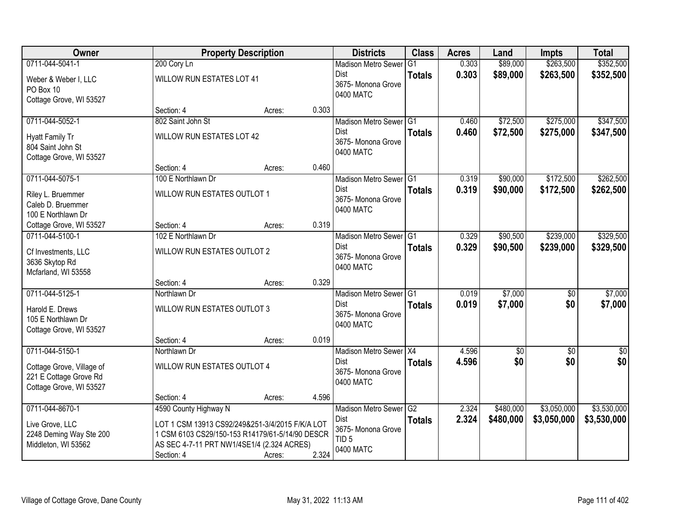| 0711-044-5041-1<br>\$352,500<br>0.303<br>\$89,000<br>\$263,500<br>200 Cory Ln<br><b>Madison Metro Sewer</b><br>G1<br>0.303<br>\$89,000<br>\$263,500<br>\$352,500<br><b>Dist</b><br><b>Totals</b><br><b>WILLOW RUN ESTATES LOT 41</b><br>Weber & Weber I, LLC<br>3675- Monona Grove<br>PO Box 10<br>0400 MATC<br>Cottage Grove, WI 53527<br>0.303<br>Section: 4<br>Acres:<br>\$347,500<br>802 Saint John St<br>\$72,500<br>\$275,000<br>0711-044-5052-1<br>0.460<br><b>Madison Metro Sewer</b><br>G1<br>Dist<br>0.460<br>\$72,500<br>\$275,000<br>\$347,500<br><b>Totals</b><br>WILLOW RUN ESTATES LOT 42<br><b>Hyatt Family Tr</b><br>3675- Monona Grove<br>804 Saint John St<br>0400 MATC<br>Cottage Grove, WI 53527<br>0.460<br>Section: 4<br>Acres:<br>\$262,500<br>0711-044-5075-1<br>\$90,000<br>\$172,500<br>100 E Northlawn Dr<br>Madison Metro Sewer G1<br>0.319<br><b>Dist</b><br>0.319<br>\$90,000<br>\$172,500<br>\$262,500<br><b>Totals</b><br>WILLOW RUN ESTATES OUTLOT 1<br>Riley L. Bruemmer<br>3675- Monona Grove<br>Caleb D. Bruemmer<br>0400 MATC<br>100 E Northlawn Dr<br>0.319<br>Cottage Grove, WI 53527<br>Section: 4<br>Acres:<br>0711-044-5100-1<br>102 E Northlawn Dr<br>\$90,500<br>\$239,000<br>\$329,500<br><b>Madison Metro Sewer</b><br>IG <sub>1</sub><br>0.329<br>0.329<br><b>Dist</b><br>\$90,500<br>\$239,000<br>\$329,500<br><b>Totals</b><br>WILLOW RUN ESTATES OUTLOT 2<br>Cf Investments, LLC<br>3675- Monona Grove<br>3636 Skytop Rd<br>0400 MATC<br>Mcfarland, WI 53558<br>0.329<br>Section: 4<br>Acres:<br>0.019<br>\$7,000<br>0711-044-5125-1<br>Northlawn Dr<br>G1<br>$\overline{30}$<br><b>Madison Metro Sewer</b><br>0.019<br>\$7,000<br>\$0<br>\$7,000<br>Dist<br><b>Totals</b><br>WILLOW RUN ESTATES OUTLOT 3<br>Harold E. Drews<br>3675- Monona Grove<br>105 E Northlawn Dr<br>0400 MATC<br>Cottage Grove, WI 53527<br>0.019<br>Section: 4<br>Acres:<br>0711-044-5150-1<br>Madison Metro Sewer X4<br>4.596<br>$\overline{60}$<br>$\overline{60}$<br>Northlawn Dr<br>\$0<br>\$0<br><b>Dist</b><br>4.596<br>\$0<br><b>Totals</b><br>WILLOW RUN ESTATES OUTLOT 4<br>Cottage Grove, Village of<br>3675- Monona Grove<br>221 E Cottage Grove Rd<br>0400 MATC<br>Cottage Grove, WI 53527<br>4.596<br>Section: 4<br>Acres:<br>0711-044-8670-1<br>4590 County Highway N<br>$\overline{G2}$<br>2.324<br>\$480,000<br>\$3,050,000<br><b>Madison Metro Sewer</b><br>2.324<br>\$3,530,000<br>Dist<br>\$480,000<br>\$3,050,000<br><b>Totals</b><br>Live Grove, LLC<br>LOT 1 CSM 13913 CS92/249&251-3/4/2015 F/K/A LOT<br>3675- Monona Grove<br>2248 Deming Way Ste 200<br>1 CSM 6103 CS29/150-153 R14179/61-5/14/90 DESCR<br>TID <sub>5</sub><br>AS SEC 4-7-11 PRT NW1/4SE1/4 (2.324 ACRES)<br>Middleton, WI 53562<br>0400 MATC | Owner |            | <b>Property Description</b> |       | <b>Districts</b> | <b>Class</b> | <b>Acres</b> | Land | <b>Impts</b> | <b>Total</b> |
|--------------------------------------------------------------------------------------------------------------------------------------------------------------------------------------------------------------------------------------------------------------------------------------------------------------------------------------------------------------------------------------------------------------------------------------------------------------------------------------------------------------------------------------------------------------------------------------------------------------------------------------------------------------------------------------------------------------------------------------------------------------------------------------------------------------------------------------------------------------------------------------------------------------------------------------------------------------------------------------------------------------------------------------------------------------------------------------------------------------------------------------------------------------------------------------------------------------------------------------------------------------------------------------------------------------------------------------------------------------------------------------------------------------------------------------------------------------------------------------------------------------------------------------------------------------------------------------------------------------------------------------------------------------------------------------------------------------------------------------------------------------------------------------------------------------------------------------------------------------------------------------------------------------------------------------------------------------------------------------------------------------------------------------------------------------------------------------------------------------------------------------------------------------------------------------------------------------------------------------------------------------------------------------------------------------------------------------------------------------------------------------------------------------------------------------------------------------------------------------------------------------------------------------------------------------------------------------------------------------------------------------------------------------------------------------------------------------------------------------------------------------------|-------|------------|-----------------------------|-------|------------------|--------------|--------------|------|--------------|--------------|
|                                                                                                                                                                                                                                                                                                                                                                                                                                                                                                                                                                                                                                                                                                                                                                                                                                                                                                                                                                                                                                                                                                                                                                                                                                                                                                                                                                                                                                                                                                                                                                                                                                                                                                                                                                                                                                                                                                                                                                                                                                                                                                                                                                                                                                                                                                                                                                                                                                                                                                                                                                                                                                                                                                                                                                    |       |            |                             |       |                  |              |              |      |              |              |
|                                                                                                                                                                                                                                                                                                                                                                                                                                                                                                                                                                                                                                                                                                                                                                                                                                                                                                                                                                                                                                                                                                                                                                                                                                                                                                                                                                                                                                                                                                                                                                                                                                                                                                                                                                                                                                                                                                                                                                                                                                                                                                                                                                                                                                                                                                                                                                                                                                                                                                                                                                                                                                                                                                                                                                    |       |            |                             |       |                  |              |              |      |              |              |
|                                                                                                                                                                                                                                                                                                                                                                                                                                                                                                                                                                                                                                                                                                                                                                                                                                                                                                                                                                                                                                                                                                                                                                                                                                                                                                                                                                                                                                                                                                                                                                                                                                                                                                                                                                                                                                                                                                                                                                                                                                                                                                                                                                                                                                                                                                                                                                                                                                                                                                                                                                                                                                                                                                                                                                    |       |            |                             |       |                  |              |              |      |              |              |
|                                                                                                                                                                                                                                                                                                                                                                                                                                                                                                                                                                                                                                                                                                                                                                                                                                                                                                                                                                                                                                                                                                                                                                                                                                                                                                                                                                                                                                                                                                                                                                                                                                                                                                                                                                                                                                                                                                                                                                                                                                                                                                                                                                                                                                                                                                                                                                                                                                                                                                                                                                                                                                                                                                                                                                    |       |            |                             |       |                  |              |              |      |              |              |
|                                                                                                                                                                                                                                                                                                                                                                                                                                                                                                                                                                                                                                                                                                                                                                                                                                                                                                                                                                                                                                                                                                                                                                                                                                                                                                                                                                                                                                                                                                                                                                                                                                                                                                                                                                                                                                                                                                                                                                                                                                                                                                                                                                                                                                                                                                                                                                                                                                                                                                                                                                                                                                                                                                                                                                    |       |            |                             |       |                  |              |              |      |              |              |
|                                                                                                                                                                                                                                                                                                                                                                                                                                                                                                                                                                                                                                                                                                                                                                                                                                                                                                                                                                                                                                                                                                                                                                                                                                                                                                                                                                                                                                                                                                                                                                                                                                                                                                                                                                                                                                                                                                                                                                                                                                                                                                                                                                                                                                                                                                                                                                                                                                                                                                                                                                                                                                                                                                                                                                    |       |            |                             |       |                  |              |              |      |              |              |
|                                                                                                                                                                                                                                                                                                                                                                                                                                                                                                                                                                                                                                                                                                                                                                                                                                                                                                                                                                                                                                                                                                                                                                                                                                                                                                                                                                                                                                                                                                                                                                                                                                                                                                                                                                                                                                                                                                                                                                                                                                                                                                                                                                                                                                                                                                                                                                                                                                                                                                                                                                                                                                                                                                                                                                    |       |            |                             |       |                  |              |              |      |              |              |
|                                                                                                                                                                                                                                                                                                                                                                                                                                                                                                                                                                                                                                                                                                                                                                                                                                                                                                                                                                                                                                                                                                                                                                                                                                                                                                                                                                                                                                                                                                                                                                                                                                                                                                                                                                                                                                                                                                                                                                                                                                                                                                                                                                                                                                                                                                                                                                                                                                                                                                                                                                                                                                                                                                                                                                    |       |            |                             |       |                  |              |              |      |              |              |
|                                                                                                                                                                                                                                                                                                                                                                                                                                                                                                                                                                                                                                                                                                                                                                                                                                                                                                                                                                                                                                                                                                                                                                                                                                                                                                                                                                                                                                                                                                                                                                                                                                                                                                                                                                                                                                                                                                                                                                                                                                                                                                                                                                                                                                                                                                                                                                                                                                                                                                                                                                                                                                                                                                                                                                    |       |            |                             |       |                  |              |              |      |              |              |
|                                                                                                                                                                                                                                                                                                                                                                                                                                                                                                                                                                                                                                                                                                                                                                                                                                                                                                                                                                                                                                                                                                                                                                                                                                                                                                                                                                                                                                                                                                                                                                                                                                                                                                                                                                                                                                                                                                                                                                                                                                                                                                                                                                                                                                                                                                                                                                                                                                                                                                                                                                                                                                                                                                                                                                    |       |            |                             |       |                  |              |              |      |              |              |
|                                                                                                                                                                                                                                                                                                                                                                                                                                                                                                                                                                                                                                                                                                                                                                                                                                                                                                                                                                                                                                                                                                                                                                                                                                                                                                                                                                                                                                                                                                                                                                                                                                                                                                                                                                                                                                                                                                                                                                                                                                                                                                                                                                                                                                                                                                                                                                                                                                                                                                                                                                                                                                                                                                                                                                    |       |            |                             |       |                  |              |              |      |              |              |
|                                                                                                                                                                                                                                                                                                                                                                                                                                                                                                                                                                                                                                                                                                                                                                                                                                                                                                                                                                                                                                                                                                                                                                                                                                                                                                                                                                                                                                                                                                                                                                                                                                                                                                                                                                                                                                                                                                                                                                                                                                                                                                                                                                                                                                                                                                                                                                                                                                                                                                                                                                                                                                                                                                                                                                    |       |            |                             |       |                  |              |              |      |              |              |
|                                                                                                                                                                                                                                                                                                                                                                                                                                                                                                                                                                                                                                                                                                                                                                                                                                                                                                                                                                                                                                                                                                                                                                                                                                                                                                                                                                                                                                                                                                                                                                                                                                                                                                                                                                                                                                                                                                                                                                                                                                                                                                                                                                                                                                                                                                                                                                                                                                                                                                                                                                                                                                                                                                                                                                    |       |            |                             |       |                  |              |              |      |              |              |
|                                                                                                                                                                                                                                                                                                                                                                                                                                                                                                                                                                                                                                                                                                                                                                                                                                                                                                                                                                                                                                                                                                                                                                                                                                                                                                                                                                                                                                                                                                                                                                                                                                                                                                                                                                                                                                                                                                                                                                                                                                                                                                                                                                                                                                                                                                                                                                                                                                                                                                                                                                                                                                                                                                                                                                    |       |            |                             |       |                  |              |              |      |              |              |
|                                                                                                                                                                                                                                                                                                                                                                                                                                                                                                                                                                                                                                                                                                                                                                                                                                                                                                                                                                                                                                                                                                                                                                                                                                                                                                                                                                                                                                                                                                                                                                                                                                                                                                                                                                                                                                                                                                                                                                                                                                                                                                                                                                                                                                                                                                                                                                                                                                                                                                                                                                                                                                                                                                                                                                    |       |            |                             |       |                  |              |              |      |              |              |
|                                                                                                                                                                                                                                                                                                                                                                                                                                                                                                                                                                                                                                                                                                                                                                                                                                                                                                                                                                                                                                                                                                                                                                                                                                                                                                                                                                                                                                                                                                                                                                                                                                                                                                                                                                                                                                                                                                                                                                                                                                                                                                                                                                                                                                                                                                                                                                                                                                                                                                                                                                                                                                                                                                                                                                    |       |            |                             |       |                  |              |              |      |              |              |
|                                                                                                                                                                                                                                                                                                                                                                                                                                                                                                                                                                                                                                                                                                                                                                                                                                                                                                                                                                                                                                                                                                                                                                                                                                                                                                                                                                                                                                                                                                                                                                                                                                                                                                                                                                                                                                                                                                                                                                                                                                                                                                                                                                                                                                                                                                                                                                                                                                                                                                                                                                                                                                                                                                                                                                    |       |            |                             |       |                  |              |              |      |              |              |
|                                                                                                                                                                                                                                                                                                                                                                                                                                                                                                                                                                                                                                                                                                                                                                                                                                                                                                                                                                                                                                                                                                                                                                                                                                                                                                                                                                                                                                                                                                                                                                                                                                                                                                                                                                                                                                                                                                                                                                                                                                                                                                                                                                                                                                                                                                                                                                                                                                                                                                                                                                                                                                                                                                                                                                    |       |            |                             |       |                  |              |              |      |              |              |
| \$7,000<br>$\sqrt{50}$<br>\$3,530,000                                                                                                                                                                                                                                                                                                                                                                                                                                                                                                                                                                                                                                                                                                                                                                                                                                                                                                                                                                                                                                                                                                                                                                                                                                                                                                                                                                                                                                                                                                                                                                                                                                                                                                                                                                                                                                                                                                                                                                                                                                                                                                                                                                                                                                                                                                                                                                                                                                                                                                                                                                                                                                                                                                                              |       |            |                             |       |                  |              |              |      |              |              |
|                                                                                                                                                                                                                                                                                                                                                                                                                                                                                                                                                                                                                                                                                                                                                                                                                                                                                                                                                                                                                                                                                                                                                                                                                                                                                                                                                                                                                                                                                                                                                                                                                                                                                                                                                                                                                                                                                                                                                                                                                                                                                                                                                                                                                                                                                                                                                                                                                                                                                                                                                                                                                                                                                                                                                                    |       |            |                             |       |                  |              |              |      |              |              |
|                                                                                                                                                                                                                                                                                                                                                                                                                                                                                                                                                                                                                                                                                                                                                                                                                                                                                                                                                                                                                                                                                                                                                                                                                                                                                                                                                                                                                                                                                                                                                                                                                                                                                                                                                                                                                                                                                                                                                                                                                                                                                                                                                                                                                                                                                                                                                                                                                                                                                                                                                                                                                                                                                                                                                                    |       |            |                             |       |                  |              |              |      |              |              |
|                                                                                                                                                                                                                                                                                                                                                                                                                                                                                                                                                                                                                                                                                                                                                                                                                                                                                                                                                                                                                                                                                                                                                                                                                                                                                                                                                                                                                                                                                                                                                                                                                                                                                                                                                                                                                                                                                                                                                                                                                                                                                                                                                                                                                                                                                                                                                                                                                                                                                                                                                                                                                                                                                                                                                                    |       |            |                             |       |                  |              |              |      |              |              |
|                                                                                                                                                                                                                                                                                                                                                                                                                                                                                                                                                                                                                                                                                                                                                                                                                                                                                                                                                                                                                                                                                                                                                                                                                                                                                                                                                                                                                                                                                                                                                                                                                                                                                                                                                                                                                                                                                                                                                                                                                                                                                                                                                                                                                                                                                                                                                                                                                                                                                                                                                                                                                                                                                                                                                                    |       |            |                             |       |                  |              |              |      |              |              |
|                                                                                                                                                                                                                                                                                                                                                                                                                                                                                                                                                                                                                                                                                                                                                                                                                                                                                                                                                                                                                                                                                                                                                                                                                                                                                                                                                                                                                                                                                                                                                                                                                                                                                                                                                                                                                                                                                                                                                                                                                                                                                                                                                                                                                                                                                                                                                                                                                                                                                                                                                                                                                                                                                                                                                                    |       |            |                             |       |                  |              |              |      |              |              |
|                                                                                                                                                                                                                                                                                                                                                                                                                                                                                                                                                                                                                                                                                                                                                                                                                                                                                                                                                                                                                                                                                                                                                                                                                                                                                                                                                                                                                                                                                                                                                                                                                                                                                                                                                                                                                                                                                                                                                                                                                                                                                                                                                                                                                                                                                                                                                                                                                                                                                                                                                                                                                                                                                                                                                                    |       |            |                             |       |                  |              |              |      |              |              |
|                                                                                                                                                                                                                                                                                                                                                                                                                                                                                                                                                                                                                                                                                                                                                                                                                                                                                                                                                                                                                                                                                                                                                                                                                                                                                                                                                                                                                                                                                                                                                                                                                                                                                                                                                                                                                                                                                                                                                                                                                                                                                                                                                                                                                                                                                                                                                                                                                                                                                                                                                                                                                                                                                                                                                                    |       |            |                             |       |                  |              |              |      |              |              |
|                                                                                                                                                                                                                                                                                                                                                                                                                                                                                                                                                                                                                                                                                                                                                                                                                                                                                                                                                                                                                                                                                                                                                                                                                                                                                                                                                                                                                                                                                                                                                                                                                                                                                                                                                                                                                                                                                                                                                                                                                                                                                                                                                                                                                                                                                                                                                                                                                                                                                                                                                                                                                                                                                                                                                                    |       |            |                             |       |                  |              |              |      |              |              |
|                                                                                                                                                                                                                                                                                                                                                                                                                                                                                                                                                                                                                                                                                                                                                                                                                                                                                                                                                                                                                                                                                                                                                                                                                                                                                                                                                                                                                                                                                                                                                                                                                                                                                                                                                                                                                                                                                                                                                                                                                                                                                                                                                                                                                                                                                                                                                                                                                                                                                                                                                                                                                                                                                                                                                                    |       |            |                             |       |                  |              |              |      |              |              |
|                                                                                                                                                                                                                                                                                                                                                                                                                                                                                                                                                                                                                                                                                                                                                                                                                                                                                                                                                                                                                                                                                                                                                                                                                                                                                                                                                                                                                                                                                                                                                                                                                                                                                                                                                                                                                                                                                                                                                                                                                                                                                                                                                                                                                                                                                                                                                                                                                                                                                                                                                                                                                                                                                                                                                                    |       |            |                             |       |                  |              |              |      |              |              |
|                                                                                                                                                                                                                                                                                                                                                                                                                                                                                                                                                                                                                                                                                                                                                                                                                                                                                                                                                                                                                                                                                                                                                                                                                                                                                                                                                                                                                                                                                                                                                                                                                                                                                                                                                                                                                                                                                                                                                                                                                                                                                                                                                                                                                                                                                                                                                                                                                                                                                                                                                                                                                                                                                                                                                                    |       |            |                             |       |                  |              |              |      |              |              |
|                                                                                                                                                                                                                                                                                                                                                                                                                                                                                                                                                                                                                                                                                                                                                                                                                                                                                                                                                                                                                                                                                                                                                                                                                                                                                                                                                                                                                                                                                                                                                                                                                                                                                                                                                                                                                                                                                                                                                                                                                                                                                                                                                                                                                                                                                                                                                                                                                                                                                                                                                                                                                                                                                                                                                                    |       |            |                             |       |                  |              |              |      |              |              |
|                                                                                                                                                                                                                                                                                                                                                                                                                                                                                                                                                                                                                                                                                                                                                                                                                                                                                                                                                                                                                                                                                                                                                                                                                                                                                                                                                                                                                                                                                                                                                                                                                                                                                                                                                                                                                                                                                                                                                                                                                                                                                                                                                                                                                                                                                                                                                                                                                                                                                                                                                                                                                                                                                                                                                                    |       |            |                             |       |                  |              |              |      |              |              |
|                                                                                                                                                                                                                                                                                                                                                                                                                                                                                                                                                                                                                                                                                                                                                                                                                                                                                                                                                                                                                                                                                                                                                                                                                                                                                                                                                                                                                                                                                                                                                                                                                                                                                                                                                                                                                                                                                                                                                                                                                                                                                                                                                                                                                                                                                                                                                                                                                                                                                                                                                                                                                                                                                                                                                                    |       |            |                             |       |                  |              |              |      |              |              |
|                                                                                                                                                                                                                                                                                                                                                                                                                                                                                                                                                                                                                                                                                                                                                                                                                                                                                                                                                                                                                                                                                                                                                                                                                                                                                                                                                                                                                                                                                                                                                                                                                                                                                                                                                                                                                                                                                                                                                                                                                                                                                                                                                                                                                                                                                                                                                                                                                                                                                                                                                                                                                                                                                                                                                                    |       | Section: 4 | Acres:                      | 2.324 |                  |              |              |      |              |              |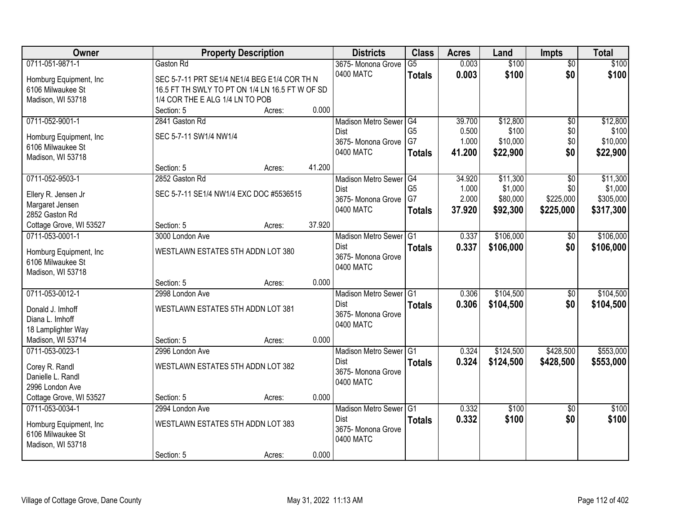| Owner                                 | <b>Property Description</b>                     |        | <b>Districts</b>                  | <b>Class</b>    | <b>Acres</b> | Land      | <b>Impts</b>    | <b>Total</b> |
|---------------------------------------|-------------------------------------------------|--------|-----------------------------------|-----------------|--------------|-----------|-----------------|--------------|
| 0711-051-9871-1<br>Gaston Rd          |                                                 |        | 3675- Monona Grove                | $\overline{G5}$ | 0.003        | \$100     | $\overline{50}$ | \$100        |
| Homburg Equipment, Inc.               | SEC 5-7-11 PRT SE1/4 NE1/4 BEG E1/4 COR TH N    |        | 0400 MATC                         | <b>Totals</b>   | 0.003        | \$100     | \$0             | \$100        |
| 6106 Milwaukee St                     | 16.5 FT TH SWLY TO PT ON 1/4 LN 16.5 FT W OF SD |        |                                   |                 |              |           |                 |              |
| Madison, WI 53718                     | 1/4 COR THE E ALG 1/4 LN TO POB                 |        |                                   |                 |              |           |                 |              |
| Section: 5                            | Acres:                                          | 0.000  |                                   |                 |              |           |                 |              |
| 0711-052-9001-1                       | 2841 Gaston Rd                                  |        | <b>Madison Metro Sewer</b>        | $\overline{G4}$ | 39.700       | \$12,800  | $\overline{50}$ | \$12,800     |
|                                       |                                                 |        | Dist                              | G <sub>5</sub>  | 0.500        | \$100     | \$0             | \$100        |
| Homburg Equipment, Inc                | SEC 5-7-11 SW1/4 NW1/4                          |        | 3675- Monona Grove                | G7              | 1.000        | \$10,000  | \$0             | \$10,000     |
| 6106 Milwaukee St                     |                                                 |        | 0400 MATC                         | <b>Totals</b>   | 41.200       | \$22,900  | \$0             | \$22,900     |
| Madison, WI 53718<br>Section: 5       | Acres:                                          | 41.200 |                                   |                 |              |           |                 |              |
| 0711-052-9503-1<br>2852 Gaston Rd     |                                                 |        | Madison Metro Sewer G4            |                 | 34.920       | \$11,300  | $\overline{50}$ | \$11,300     |
|                                       |                                                 |        | <b>Dist</b>                       | G <sub>5</sub>  | 1.000        | \$1,000   | \$0             | \$1,000      |
| Ellery R. Jensen Jr                   | SEC 5-7-11 SE1/4 NW1/4 EXC DOC #5536515         |        | 3675- Monona Grove                | G7              | 2.000        | \$80,000  | \$225,000       | \$305,000    |
| Margaret Jensen                       |                                                 |        | 0400 MATC                         | <b>Totals</b>   | 37.920       | \$92,300  | \$225,000       | \$317,300    |
| 2852 Gaston Rd                        |                                                 |        |                                   |                 |              |           |                 |              |
| Cottage Grove, WI 53527<br>Section: 5 | Acres:                                          | 37.920 |                                   |                 |              |           |                 |              |
| 0711-053-0001-1                       | 3000 London Ave                                 |        | <b>Madison Metro Sewer</b>        | G <sub>1</sub>  | 0.337        | \$106,000 | $\sqrt[6]{3}$   | \$106,000    |
| Homburg Equipment, Inc.               | WESTLAWN ESTATES 5TH ADDN LOT 380               |        | <b>Dist</b>                       | <b>Totals</b>   | 0.337        | \$106,000 | \$0             | \$106,000    |
| 6106 Milwaukee St                     |                                                 |        | 3675- Monona Grove                |                 |              |           |                 |              |
| Madison, WI 53718                     |                                                 |        | 0400 MATC                         |                 |              |           |                 |              |
| Section: 5                            | Acres:                                          | 0.000  |                                   |                 |              |           |                 |              |
| 0711-053-0012-1                       | 2998 London Ave                                 |        | <b>Madison Metro Sewer</b>        | G1              | 0.306        | \$104,500 | \$0             | \$104,500    |
|                                       |                                                 |        | Dist                              | <b>Totals</b>   | 0.306        | \$104,500 | \$0             | \$104,500    |
| Donald J. Imhoff                      | WESTLAWN ESTATES 5TH ADDN LOT 381               |        | 3675- Monona Grove                |                 |              |           |                 |              |
| Diana L. Imhoff                       |                                                 |        | 0400 MATC                         |                 |              |           |                 |              |
| 18 Lamplighter Way                    |                                                 |        |                                   |                 |              |           |                 |              |
| Madison, WI 53714<br>Section: 5       | Acres:                                          | 0.000  |                                   |                 |              |           |                 |              |
| 0711-053-0023-1                       | 2996 London Ave                                 |        | Madison Metro Sewer G1            |                 | 0.324        | \$124,500 | \$428,500       | \$553,000    |
| Corey R. Randl                        | WESTLAWN ESTATES 5TH ADDN LOT 382               |        | <b>Dist</b><br>3675- Monona Grove | <b>Totals</b>   | 0.324        | \$124,500 | \$428,500       | \$553,000    |
| Danielle L. Randl                     |                                                 |        | 0400 MATC                         |                 |              |           |                 |              |
| 2996 London Ave                       |                                                 |        |                                   |                 |              |           |                 |              |
| Cottage Grove, WI 53527<br>Section: 5 | Acres:                                          | 0.000  |                                   |                 |              |           |                 |              |
| 0711-053-0034-1                       | 2994 London Ave                                 |        | <b>Madison Metro Sewer</b>        | IG1             | 0.332        | \$100     | $\overline{30}$ | \$100        |
| Homburg Equipment, Inc.               | WESTLAWN ESTATES 5TH ADDN LOT 383               |        | <b>Dist</b>                       | <b>Totals</b>   | 0.332        | \$100     | \$0             | \$100        |
| 6106 Milwaukee St                     |                                                 |        | 3675- Monona Grove                |                 |              |           |                 |              |
| Madison, WI 53718                     |                                                 |        | 0400 MATC                         |                 |              |           |                 |              |
| Section: 5                            | Acres:                                          | 0.000  |                                   |                 |              |           |                 |              |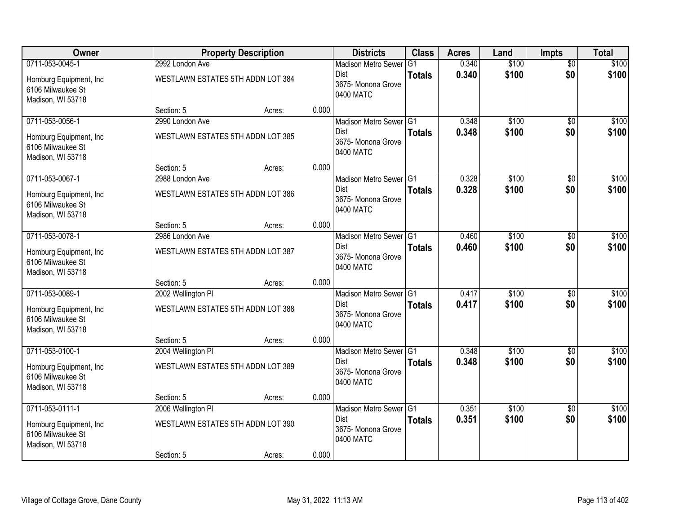| Owner                                                             |                                   | <b>Property Description</b> |       | <b>Districts</b>                               | <b>Class</b>  | <b>Acres</b> | Land  | <b>Impts</b>    | <b>Total</b> |
|-------------------------------------------------------------------|-----------------------------------|-----------------------------|-------|------------------------------------------------|---------------|--------------|-------|-----------------|--------------|
| 0711-053-0045-1                                                   | 2992 London Ave                   |                             |       | <b>Madison Metro Sewer</b>                     | G1            | 0.340        | \$100 | $\overline{50}$ | \$100        |
| Homburg Equipment, Inc.<br>6106 Milwaukee St<br>Madison, WI 53718 | WESTLAWN ESTATES 5TH ADDN LOT 384 |                             |       | Dist<br>3675- Monona Grove<br>0400 MATC        | <b>Totals</b> | 0.340        | \$100 | \$0             | \$100        |
|                                                                   | Section: 5                        | Acres:                      | 0.000 |                                                |               |              |       |                 |              |
| 0711-053-0056-1                                                   | 2990 London Ave                   |                             |       | Madison Metro Sewer G1                         |               | 0.348        | \$100 | $\overline{30}$ | \$100        |
| Homburg Equipment, Inc.<br>6106 Milwaukee St<br>Madison, WI 53718 | WESTLAWN ESTATES 5TH ADDN LOT 385 |                             |       | <b>Dist</b><br>3675- Monona Grove<br>0400 MATC | <b>Totals</b> | 0.348        | \$100 | \$0             | \$100        |
|                                                                   | Section: 5                        | Acres:                      | 0.000 |                                                |               |              |       |                 |              |
| 0711-053-0067-1                                                   | 2988 London Ave                   |                             |       | Madison Metro Sewer G1                         |               | 0.328        | \$100 | \$0             | \$100        |
| Homburg Equipment, Inc.<br>6106 Milwaukee St<br>Madison, WI 53718 | WESTLAWN ESTATES 5TH ADDN LOT 386 |                             |       | <b>Dist</b><br>3675- Monona Grove<br>0400 MATC | <b>Totals</b> | 0.328        | \$100 | \$0             | \$100        |
|                                                                   | Section: 5                        | Acres:                      | 0.000 |                                                |               |              |       |                 |              |
| 0711-053-0078-1                                                   | 2986 London Ave                   |                             |       | Madison Metro Sewer G1                         |               | 0.460        | \$100 | \$0             | \$100        |
| Homburg Equipment, Inc.<br>6106 Milwaukee St<br>Madison, WI 53718 | WESTLAWN ESTATES 5TH ADDN LOT 387 |                             |       | Dist<br>3675- Monona Grove<br>0400 MATC        | <b>Totals</b> | 0.460        | \$100 | \$0             | \$100        |
|                                                                   | Section: 5                        | Acres:                      | 0.000 |                                                |               |              |       |                 |              |
| 0711-053-0089-1                                                   | 2002 Wellington PI                |                             |       | Madison Metro Sewer G1                         |               | 0.417        | \$100 | \$0             | \$100        |
| Homburg Equipment, Inc.<br>6106 Milwaukee St<br>Madison, WI 53718 | WESTLAWN ESTATES 5TH ADDN LOT 388 |                             |       | <b>Dist</b><br>3675- Monona Grove<br>0400 MATC | <b>Totals</b> | 0.417        | \$100 | \$0             | \$100        |
|                                                                   | Section: 5                        | Acres:                      | 0.000 |                                                |               |              |       |                 |              |
| 0711-053-0100-1                                                   | 2004 Wellington PI                |                             |       | Madison Metro Sewer G1                         |               | 0.348        | \$100 | $\overline{50}$ | \$100        |
| Homburg Equipment, Inc.<br>6106 Milwaukee St<br>Madison, WI 53718 | WESTLAWN ESTATES 5TH ADDN LOT 389 |                             |       | Dist<br>3675- Monona Grove<br>0400 MATC        | <b>Totals</b> | 0.348        | \$100 | \$0             | \$100        |
|                                                                   | Section: 5                        | Acres:                      | 0.000 |                                                |               |              |       |                 |              |
| 0711-053-0111-1                                                   | 2006 Wellington PI                |                             |       | Madison Metro Sewer G1                         |               | 0.351        | \$100 | $\overline{30}$ | \$100        |
| Homburg Equipment, Inc.<br>6106 Milwaukee St<br>Madison, WI 53718 | WESTLAWN ESTATES 5TH ADDN LOT 390 |                             |       | <b>Dist</b><br>3675-Monona Grove<br>0400 MATC  | <b>Totals</b> | 0.351        | \$100 | \$0             | \$100        |
|                                                                   | Section: 5                        | Acres:                      | 0.000 |                                                |               |              |       |                 |              |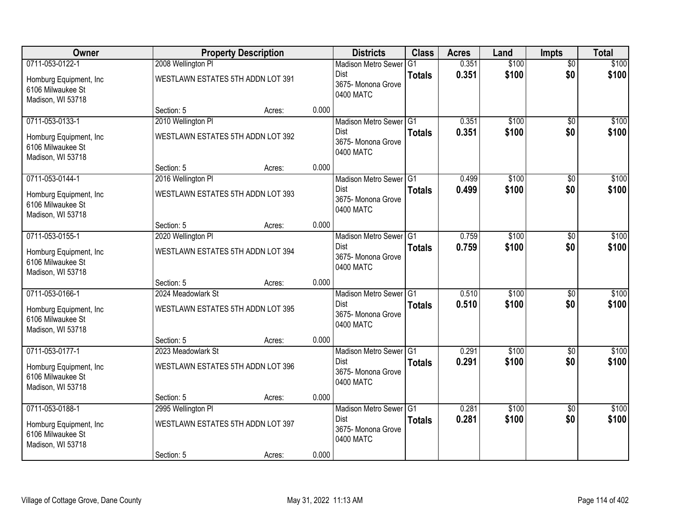| Owner                                                             |                                   | <b>Property Description</b> |       | <b>Districts</b>                               | <b>Class</b>   | <b>Acres</b> | Land  | <b>Impts</b>    | <b>Total</b> |
|-------------------------------------------------------------------|-----------------------------------|-----------------------------|-------|------------------------------------------------|----------------|--------------|-------|-----------------|--------------|
| 0711-053-0122-1                                                   | 2008 Wellington PI                |                             |       | <b>Madison Metro Sewer</b>                     | G <sub>1</sub> | 0.351        | \$100 | $\overline{50}$ | \$100        |
| Homburg Equipment, Inc.<br>6106 Milwaukee St<br>Madison, WI 53718 | WESTLAWN ESTATES 5TH ADDN LOT 391 |                             |       | Dist<br>3675- Monona Grove<br>0400 MATC        | <b>Totals</b>  | 0.351        | \$100 | \$0             | \$100        |
|                                                                   | Section: 5                        | Acres:                      | 0.000 |                                                |                |              |       |                 |              |
| 0711-053-0133-1                                                   | 2010 Wellington PI                |                             |       | Madison Metro Sewer G1                         |                | 0.351        | \$100 | $\overline{50}$ | \$100        |
| Homburg Equipment, Inc.<br>6106 Milwaukee St<br>Madison, WI 53718 | WESTLAWN ESTATES 5TH ADDN LOT 392 |                             |       | <b>Dist</b><br>3675- Monona Grove<br>0400 MATC | <b>Totals</b>  | 0.351        | \$100 | \$0             | \$100        |
|                                                                   | Section: 5                        | Acres:                      | 0.000 |                                                |                |              |       |                 |              |
| 0711-053-0144-1                                                   | 2016 Wellington PI                |                             |       | Madison Metro Sewer G1                         |                | 0.499        | \$100 | \$0             | \$100        |
| Homburg Equipment, Inc.<br>6106 Milwaukee St<br>Madison, WI 53718 | WESTLAWN ESTATES 5TH ADDN LOT 393 |                             |       | <b>Dist</b><br>3675-Monona Grove<br>0400 MATC  | <b>Totals</b>  | 0.499        | \$100 | \$0             | \$100        |
|                                                                   | Section: 5                        | Acres:                      | 0.000 |                                                |                |              |       |                 |              |
| 0711-053-0155-1                                                   | 2020 Wellington PI                |                             |       | Madison Metro Sewer G1                         |                | 0.759        | \$100 | \$0             | \$100        |
| Homburg Equipment, Inc.<br>6106 Milwaukee St<br>Madison, WI 53718 | WESTLAWN ESTATES 5TH ADDN LOT 394 |                             |       | <b>Dist</b><br>3675- Monona Grove<br>0400 MATC | <b>Totals</b>  | 0.759        | \$100 | \$0             | \$100        |
|                                                                   | Section: 5                        | Acres:                      | 0.000 |                                                |                |              |       |                 |              |
| 0711-053-0166-1                                                   | 2024 Meadowlark St                |                             |       | Madison Metro Sewer G1                         |                | 0.510        | \$100 | $\overline{50}$ | \$100        |
| Homburg Equipment, Inc.<br>6106 Milwaukee St<br>Madison, WI 53718 | WESTLAWN ESTATES 5TH ADDN LOT 395 |                             |       | <b>Dist</b><br>3675- Monona Grove<br>0400 MATC | <b>Totals</b>  | 0.510        | \$100 | \$0             | \$100        |
|                                                                   | Section: 5                        | Acres:                      | 0.000 |                                                |                |              |       |                 |              |
| 0711-053-0177-1                                                   | 2023 Meadowlark St                |                             |       | Madison Metro Sewer G1                         |                | 0.291        | \$100 | $\overline{50}$ | \$100        |
| Homburg Equipment, Inc.<br>6106 Milwaukee St<br>Madison, WI 53718 | WESTLAWN ESTATES 5TH ADDN LOT 396 |                             |       | Dist<br>3675- Monona Grove<br>0400 MATC        | <b>Totals</b>  | 0.291        | \$100 | \$0             | \$100        |
|                                                                   | Section: 5                        | Acres:                      | 0.000 |                                                |                |              |       |                 |              |
| 0711-053-0188-1                                                   | 2995 Wellington PI                |                             |       | Madison Metro Sewer G1                         |                | 0.281        | \$100 | $\overline{50}$ | \$100        |
| Homburg Equipment, Inc.<br>6106 Milwaukee St<br>Madison, WI 53718 | WESTLAWN ESTATES 5TH ADDN LOT 397 |                             |       | <b>Dist</b><br>3675-Monona Grove<br>0400 MATC  | <b>Totals</b>  | 0.281        | \$100 | \$0             | \$100        |
|                                                                   | Section: 5                        | Acres:                      | 0.000 |                                                |                |              |       |                 |              |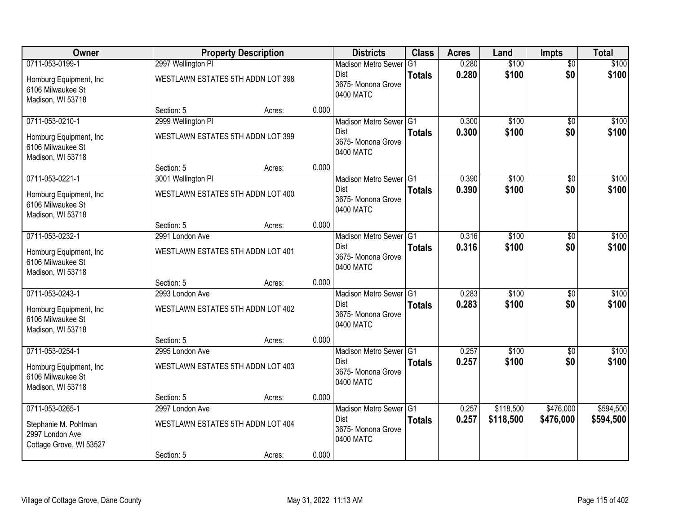| Owner                                                              |                                                         | <b>Property Description</b> |       | <b>Districts</b>                                         | <b>Class</b>                    | <b>Acres</b>   | Land           | <b>Impts</b>           | <b>Total</b>   |
|--------------------------------------------------------------------|---------------------------------------------------------|-----------------------------|-------|----------------------------------------------------------|---------------------------------|----------------|----------------|------------------------|----------------|
| 0711-053-0199-1<br>Homburg Equipment, Inc.                         | 2997 Wellington PI<br>WESTLAWN ESTATES 5TH ADDN LOT 398 |                             |       | <b>Madison Metro Sewer</b><br>Dist<br>3675- Monona Grove | G <sub>1</sub><br><b>Totals</b> | 0.280<br>0.280 | \$100<br>\$100 | $\overline{50}$<br>\$0 | \$100<br>\$100 |
| 6106 Milwaukee St<br>Madison, WI 53718                             |                                                         |                             |       | 0400 MATC                                                |                                 |                |                |                        |                |
|                                                                    | Section: 5                                              | Acres:                      | 0.000 |                                                          |                                 |                |                |                        |                |
| 0711-053-0210-1                                                    | 2999 Wellington PI                                      |                             |       | Madison Metro Sewer G1                                   |                                 | 0.300          | \$100          | $\overline{50}$        | \$100          |
| Homburg Equipment, Inc.<br>6106 Milwaukee St<br>Madison, WI 53718  | WESTLAWN ESTATES 5TH ADDN LOT 399                       |                             |       | Dist<br>3675- Monona Grove<br>0400 MATC                  | <b>Totals</b>                   | 0.300          | \$100          | \$0                    | \$100          |
|                                                                    | Section: 5                                              | Acres:                      | 0.000 |                                                          |                                 |                |                |                        |                |
| 0711-053-0221-1                                                    | 3001 Wellington PI                                      |                             |       | Madison Metro Sewer G1                                   |                                 | 0.390          | \$100          | \$0                    | \$100          |
| Homburg Equipment, Inc.<br>6106 Milwaukee St<br>Madison, WI 53718  | WESTLAWN ESTATES 5TH ADDN LOT 400                       |                             |       | <b>Dist</b><br>3675- Monona Grove<br>0400 MATC           | <b>Totals</b>                   | 0.390          | \$100          | \$0                    | \$100          |
|                                                                    | Section: 5                                              | Acres:                      | 0.000 |                                                          |                                 |                |                |                        |                |
| 0711-053-0232-1                                                    | 2991 London Ave                                         |                             |       | Madison Metro Sewer G1                                   |                                 | 0.316          | \$100          | \$0                    | \$100          |
| Homburg Equipment, Inc.<br>6106 Milwaukee St<br>Madison, WI 53718  | WESTLAWN ESTATES 5TH ADDN LOT 401                       |                             |       | <b>Dist</b><br>3675- Monona Grove<br>0400 MATC           | <b>Totals</b>                   | 0.316          | \$100          | \$0                    | \$100          |
|                                                                    | Section: 5                                              | Acres:                      | 0.000 |                                                          |                                 |                |                |                        |                |
| 0711-053-0243-1                                                    | 2993 London Ave                                         |                             |       | Madison Metro Sewer G1                                   |                                 | 0.283          | \$100          | \$0                    | \$100          |
| Homburg Equipment, Inc.<br>6106 Milwaukee St<br>Madison, WI 53718  | WESTLAWN ESTATES 5TH ADDN LOT 402                       |                             |       | Dist<br>3675- Monona Grove<br>0400 MATC                  | <b>Totals</b>                   | 0.283          | \$100          | \$0                    | \$100          |
|                                                                    | Section: 5                                              | Acres:                      | 0.000 |                                                          |                                 |                |                |                        |                |
| 0711-053-0254-1                                                    | 2995 London Ave                                         |                             |       | Madison Metro Sewer G1                                   |                                 | 0.257          | \$100          | \$0                    | \$100          |
| Homburg Equipment, Inc.<br>6106 Milwaukee St<br>Madison, WI 53718  | WESTLAWN ESTATES 5TH ADDN LOT 403                       |                             |       | Dist<br>3675- Monona Grove<br>0400 MATC                  | <b>Totals</b>                   | 0.257          | \$100          | \$0                    | \$100          |
|                                                                    | Section: 5                                              | Acres:                      | 0.000 |                                                          |                                 |                |                |                        |                |
| 0711-053-0265-1                                                    | 2997 London Ave                                         |                             |       | Madison Metro Sewer G1                                   |                                 | 0.257          | \$118,500      | \$476,000              | \$594,500      |
| Stephanie M. Pohlman<br>2997 London Ave<br>Cottage Grove, WI 53527 | WESTLAWN ESTATES 5TH ADDN LOT 404                       |                             |       | <b>Dist</b><br>3675- Monona Grove<br>0400 MATC           | <b>Totals</b>                   | 0.257          | \$118,500      | \$476,000              | \$594,500      |
|                                                                    | Section: 5                                              | Acres:                      | 0.000 |                                                          |                                 |                |                |                        |                |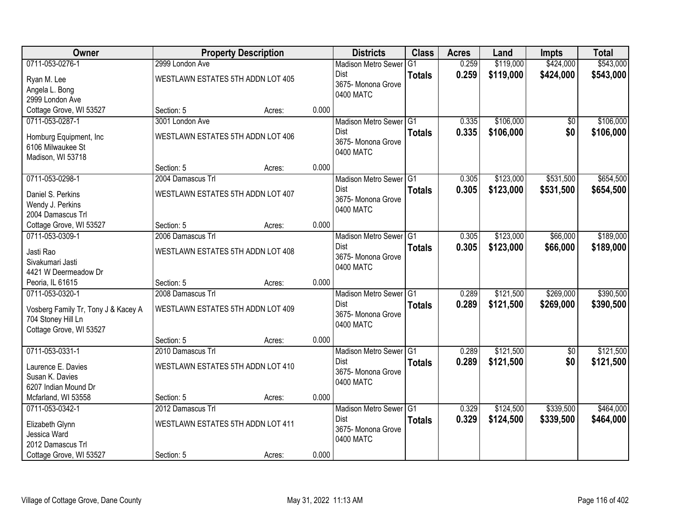| Owner                                        |                                   | <b>Property Description</b> |       | <b>Districts</b>           | <b>Class</b>   | <b>Acres</b> | Land      | <b>Impts</b>    | <b>Total</b> |
|----------------------------------------------|-----------------------------------|-----------------------------|-------|----------------------------|----------------|--------------|-----------|-----------------|--------------|
| 0711-053-0276-1                              | 2999 London Ave                   |                             |       | <b>Madison Metro Sewer</b> | G <sub>1</sub> | 0.259        | \$119,000 | \$424,000       | \$543,000    |
| Ryan M. Lee                                  | WESTLAWN ESTATES 5TH ADDN LOT 405 |                             |       | Dist                       | <b>Totals</b>  | 0.259        | \$119,000 | \$424,000       | \$543,000    |
| Angela L. Bong                               |                                   |                             |       | 3675- Monona Grove         |                |              |           |                 |              |
| 2999 London Ave                              |                                   |                             |       | 0400 MATC                  |                |              |           |                 |              |
| Cottage Grove, WI 53527                      | Section: 5                        | Acres:                      | 0.000 |                            |                |              |           |                 |              |
| 0711-053-0287-1                              | 3001 London Ave                   |                             |       | Madison Metro Sewer G1     |                | 0.335        | \$106,000 | \$0             | \$106,000    |
|                                              | WESTLAWN ESTATES 5TH ADDN LOT 406 |                             |       | <b>Dist</b>                | <b>Totals</b>  | 0.335        | \$106,000 | \$0             | \$106,000    |
| Homburg Equipment, Inc.<br>6106 Milwaukee St |                                   |                             |       | 3675- Monona Grove         |                |              |           |                 |              |
| Madison, WI 53718                            |                                   |                             |       | 0400 MATC                  |                |              |           |                 |              |
|                                              | Section: 5                        | Acres:                      | 0.000 |                            |                |              |           |                 |              |
| 0711-053-0298-1                              | 2004 Damascus Trl                 |                             |       | Madison Metro Sewer G1     |                | 0.305        | \$123,000 | \$531,500       | \$654,500    |
|                                              | WESTLAWN ESTATES 5TH ADDN LOT 407 |                             |       | <b>Dist</b>                | <b>Totals</b>  | 0.305        | \$123,000 | \$531,500       | \$654,500    |
| Daniel S. Perkins<br>Wendy J. Perkins        |                                   |                             |       | 3675-Monona Grove          |                |              |           |                 |              |
| 2004 Damascus Trl                            |                                   |                             |       | 0400 MATC                  |                |              |           |                 |              |
| Cottage Grove, WI 53527                      | Section: 5                        | Acres:                      | 0.000 |                            |                |              |           |                 |              |
| 0711-053-0309-1                              | 2006 Damascus Trl                 |                             |       | Madison Metro Sewer G1     |                | 0.305        | \$123,000 | \$66,000        | \$189,000    |
|                                              |                                   |                             |       | <b>Dist</b>                | <b>Totals</b>  | 0.305        | \$123,000 | \$66,000        | \$189,000    |
| Jasti Rao                                    | WESTLAWN ESTATES 5TH ADDN LOT 408 |                             |       | 3675- Monona Grove         |                |              |           |                 |              |
| Sivakumari Jasti                             |                                   |                             |       | 0400 MATC                  |                |              |           |                 |              |
| 4421 W Deermeadow Dr                         |                                   |                             |       |                            |                |              |           |                 |              |
| Peoria, IL 61615                             | Section: 5                        | Acres:                      | 0.000 |                            |                |              |           |                 |              |
| 0711-053-0320-1                              | 2008 Damascus Trl                 |                             |       | Madison Metro Sewer G1     |                | 0.289        | \$121,500 | \$269,000       | \$390,500    |
| Vosberg Family Tr, Tony J & Kacey A          | WESTLAWN ESTATES 5TH ADDN LOT 409 |                             |       | Dist                       | <b>Totals</b>  | 0.289        | \$121,500 | \$269,000       | \$390,500    |
| 704 Stoney Hill Ln                           |                                   |                             |       | 3675- Monona Grove         |                |              |           |                 |              |
| Cottage Grove, WI 53527                      |                                   |                             |       | 0400 MATC                  |                |              |           |                 |              |
|                                              | Section: 5                        | Acres:                      | 0.000 |                            |                |              |           |                 |              |
| 0711-053-0331-1                              | 2010 Damascus Trl                 |                             |       | Madison Metro Sewer G1     |                | 0.289        | \$121,500 | $\overline{50}$ | \$121,500    |
| Laurence E. Davies                           | WESTLAWN ESTATES 5TH ADDN LOT 410 |                             |       | Dist                       | <b>Totals</b>  | 0.289        | \$121,500 | \$0             | \$121,500    |
| Susan K. Davies                              |                                   |                             |       | 3675- Monona Grove         |                |              |           |                 |              |
| 6207 Indian Mound Dr                         |                                   |                             |       | 0400 MATC                  |                |              |           |                 |              |
| Mcfarland, WI 53558                          | Section: 5                        | Acres:                      | 0.000 |                            |                |              |           |                 |              |
| 0711-053-0342-1                              | 2012 Damascus Trl                 |                             |       | Madison Metro Sewer G1     |                | 0.329        | \$124,500 | \$339,500       | \$464,000    |
| Elizabeth Glynn                              | WESTLAWN ESTATES 5TH ADDN LOT 411 |                             |       | <b>Dist</b>                | <b>Totals</b>  | 0.329        | \$124,500 | \$339,500       | \$464,000    |
| Jessica Ward                                 |                                   |                             |       | 3675-Monona Grove          |                |              |           |                 |              |
| 2012 Damascus Trl                            |                                   |                             |       | 0400 MATC                  |                |              |           |                 |              |
| Cottage Grove, WI 53527                      | Section: 5                        | Acres:                      | 0.000 |                            |                |              |           |                 |              |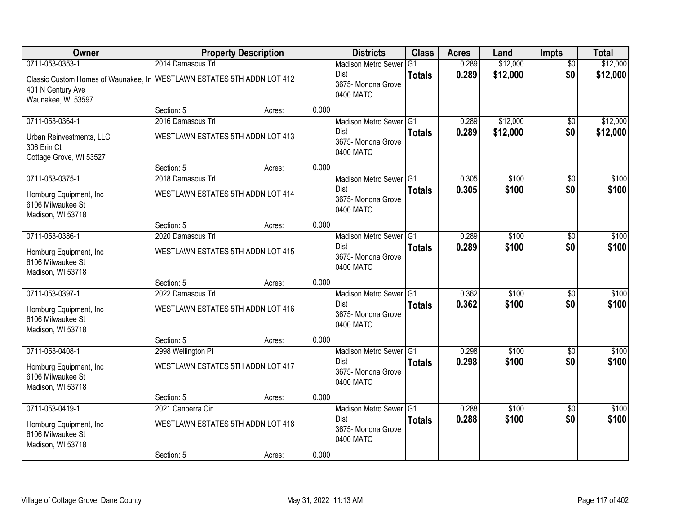| <b>Owner</b>                                                                                                        |                                   | <b>Property Description</b> |       | <b>Districts</b>                               | <b>Class</b>  | <b>Acres</b> | Land     | <b>Impts</b>    | <b>Total</b> |
|---------------------------------------------------------------------------------------------------------------------|-----------------------------------|-----------------------------|-------|------------------------------------------------|---------------|--------------|----------|-----------------|--------------|
| 0711-053-0353-1                                                                                                     | 2014 Damascus Trl                 |                             |       | <b>Madison Metro Sewer</b>                     | G1            | 0.289        | \$12,000 | $\overline{50}$ | \$12,000     |
| Classic Custom Homes of Waunakee, Ir   WESTLAWN ESTATES 5TH ADDN LOT 412<br>401 N Century Ave<br>Waunakee, WI 53597 |                                   |                             |       | Dist<br>3675- Monona Grove<br>0400 MATC        | <b>Totals</b> | 0.289        | \$12,000 | \$0             | \$12,000     |
|                                                                                                                     | Section: 5                        | Acres:                      | 0.000 |                                                |               |              |          |                 |              |
| 0711-053-0364-1                                                                                                     | 2016 Damascus Trl                 |                             |       | Madison Metro Sewer G1                         |               | 0.289        | \$12,000 | \$0             | \$12,000     |
| Urban Reinvestments, LLC<br>306 Erin Ct<br>Cottage Grove, WI 53527                                                  | WESTLAWN ESTATES 5TH ADDN LOT 413 |                             |       | <b>Dist</b><br>3675- Monona Grove<br>0400 MATC | <b>Totals</b> | 0.289        | \$12,000 | \$0             | \$12,000     |
|                                                                                                                     | Section: 5                        | Acres:                      | 0.000 |                                                |               |              |          |                 |              |
| 0711-053-0375-1                                                                                                     | 2018 Damascus Trl                 |                             |       | Madison Metro Sewer G1                         |               | 0.305        | \$100    | \$0             | \$100        |
| Homburg Equipment, Inc.<br>6106 Milwaukee St<br>Madison, WI 53718                                                   | WESTLAWN ESTATES 5TH ADDN LOT 414 |                             |       | <b>Dist</b><br>3675- Monona Grove<br>0400 MATC | <b>Totals</b> | 0.305        | \$100    | \$0             | \$100        |
|                                                                                                                     | Section: 5                        | Acres:                      | 0.000 |                                                |               |              |          |                 |              |
| 0711-053-0386-1                                                                                                     | 2020 Damascus Trl                 |                             |       | Madison Metro Sewer G1                         |               | 0.289        | \$100    | \$0             | \$100        |
| Homburg Equipment, Inc.<br>6106 Milwaukee St<br>Madison, WI 53718                                                   | WESTLAWN ESTATES 5TH ADDN LOT 415 |                             |       | Dist<br>3675- Monona Grove<br>0400 MATC        | <b>Totals</b> | 0.289        | \$100    | \$0             | \$100        |
|                                                                                                                     | Section: 5                        | Acres:                      | 0.000 |                                                |               |              |          |                 |              |
| 0711-053-0397-1                                                                                                     | 2022 Damascus Trl                 |                             |       | Madison Metro Sewer G1                         |               | 0.362        | \$100    | \$0             | \$100        |
| Homburg Equipment, Inc.<br>6106 Milwaukee St<br>Madison, WI 53718                                                   | WESTLAWN ESTATES 5TH ADDN LOT 416 |                             |       | <b>Dist</b><br>3675- Monona Grove<br>0400 MATC | <b>Totals</b> | 0.362        | \$100    | \$0             | \$100        |
|                                                                                                                     | Section: 5                        | Acres:                      | 0.000 |                                                |               |              |          |                 |              |
| 0711-053-0408-1                                                                                                     | 2998 Wellington PI                |                             |       | Madison Metro Sewer G1                         |               | 0.298        | \$100    | $\sqrt{6}$      | \$100        |
| Homburg Equipment, Inc.<br>6106 Milwaukee St<br>Madison, WI 53718                                                   | WESTLAWN ESTATES 5TH ADDN LOT 417 |                             |       | Dist<br>3675- Monona Grove<br>0400 MATC        | <b>Totals</b> | 0.298        | \$100    | \$0             | \$100        |
|                                                                                                                     | Section: 5                        | Acres:                      | 0.000 |                                                |               |              |          |                 |              |
| 0711-053-0419-1                                                                                                     | 2021 Canberra Cir                 |                             |       | Madison Metro Sewer G1                         |               | 0.288        | \$100    | $\overline{30}$ | \$100        |
| Homburg Equipment, Inc.<br>6106 Milwaukee St<br>Madison, WI 53718                                                   | WESTLAWN ESTATES 5TH ADDN LOT 418 |                             |       | <b>Dist</b><br>3675-Monona Grove<br>0400 MATC  | <b>Totals</b> | 0.288        | \$100    | \$0             | \$100        |
|                                                                                                                     | Section: 5                        | Acres:                      | 0.000 |                                                |               |              |          |                 |              |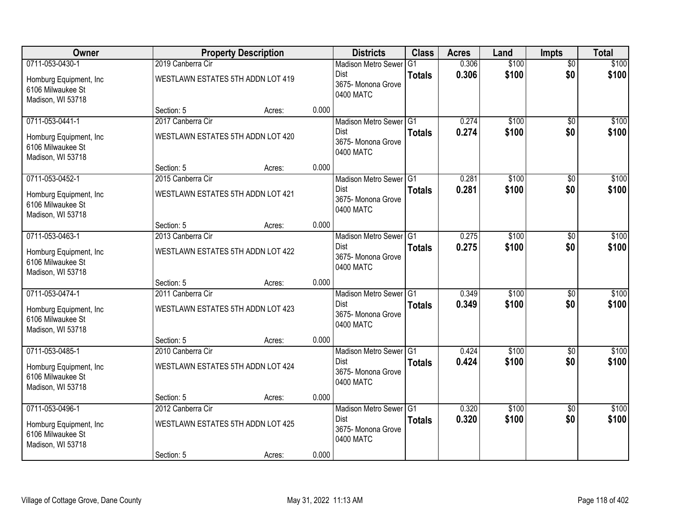| Owner                                                             |                                   | <b>Property Description</b> |       | <b>Districts</b>                               | <b>Class</b>  | <b>Acres</b> | Land  | <b>Impts</b>    | <b>Total</b> |
|-------------------------------------------------------------------|-----------------------------------|-----------------------------|-------|------------------------------------------------|---------------|--------------|-------|-----------------|--------------|
| 0711-053-0430-1                                                   | 2019 Canberra Cir                 |                             |       | <b>Madison Metro Sewer</b>                     | G1            | 0.306        | \$100 | $\overline{50}$ | \$100        |
| Homburg Equipment, Inc.<br>6106 Milwaukee St<br>Madison, WI 53718 | WESTLAWN ESTATES 5TH ADDN LOT 419 |                             |       | Dist<br>3675- Monona Grove<br>0400 MATC        | <b>Totals</b> | 0.306        | \$100 | \$0             | \$100        |
|                                                                   | Section: 5                        | Acres:                      | 0.000 |                                                |               |              |       |                 |              |
| 0711-053-0441-1                                                   | 2017 Canberra Cir                 |                             |       | Madison Metro Sewer G1                         |               | 0.274        | \$100 | $\overline{50}$ | \$100        |
| Homburg Equipment, Inc.<br>6106 Milwaukee St<br>Madison, WI 53718 | WESTLAWN ESTATES 5TH ADDN LOT 420 |                             |       | <b>Dist</b><br>3675- Monona Grove<br>0400 MATC | <b>Totals</b> | 0.274        | \$100 | \$0             | \$100        |
|                                                                   | Section: 5                        | Acres:                      | 0.000 |                                                |               |              |       |                 |              |
| 0711-053-0452-1                                                   | 2015 Canberra Cir                 |                             |       | Madison Metro Sewer G1                         |               | 0.281        | \$100 | \$0             | \$100        |
| Homburg Equipment, Inc.<br>6106 Milwaukee St<br>Madison, WI 53718 | WESTLAWN ESTATES 5TH ADDN LOT 421 |                             |       | <b>Dist</b><br>3675- Monona Grove<br>0400 MATC | <b>Totals</b> | 0.281        | \$100 | \$0             | \$100        |
|                                                                   | Section: 5                        | Acres:                      | 0.000 |                                                |               |              |       |                 |              |
| 0711-053-0463-1                                                   | 2013 Canberra Cir                 |                             |       | Madison Metro Sewer G1                         |               | 0.275        | \$100 | \$0             | \$100        |
| Homburg Equipment, Inc.<br>6106 Milwaukee St<br>Madison, WI 53718 | WESTLAWN ESTATES 5TH ADDN LOT 422 |                             |       | Dist<br>3675- Monona Grove<br>0400 MATC        | <b>Totals</b> | 0.275        | \$100 | \$0             | \$100        |
|                                                                   | Section: 5                        | Acres:                      | 0.000 |                                                |               |              |       |                 |              |
| 0711-053-0474-1                                                   | 2011 Canberra Cir                 |                             |       | Madison Metro Sewer G1                         |               | 0.349        | \$100 | \$0             | \$100        |
| Homburg Equipment, Inc.<br>6106 Milwaukee St<br>Madison, WI 53718 | WESTLAWN ESTATES 5TH ADDN LOT 423 |                             |       | <b>Dist</b><br>3675- Monona Grove<br>0400 MATC | <b>Totals</b> | 0.349        | \$100 | \$0             | \$100        |
|                                                                   | Section: 5                        | Acres:                      | 0.000 |                                                |               |              |       |                 |              |
| 0711-053-0485-1                                                   | 2010 Canberra Cir                 |                             |       | Madison Metro Sewer G1                         |               | 0.424        | \$100 | $\overline{50}$ | \$100        |
| Homburg Equipment, Inc.<br>6106 Milwaukee St<br>Madison, WI 53718 | WESTLAWN ESTATES 5TH ADDN LOT 424 |                             |       | Dist<br>3675- Monona Grove<br>0400 MATC        | <b>Totals</b> | 0.424        | \$100 | \$0             | \$100        |
|                                                                   | Section: 5                        | Acres:                      | 0.000 |                                                |               |              |       |                 |              |
| 0711-053-0496-1                                                   | 2012 Canberra Cir                 |                             |       | Madison Metro Sewer G1                         |               | 0.320        | \$100 | $\overline{30}$ | \$100        |
| Homburg Equipment, Inc.<br>6106 Milwaukee St<br>Madison, WI 53718 | WESTLAWN ESTATES 5TH ADDN LOT 425 |                             |       | <b>Dist</b><br>3675-Monona Grove<br>0400 MATC  | <b>Totals</b> | 0.320        | \$100 | \$0             | \$100        |
|                                                                   | Section: 5                        | Acres:                      | 0.000 |                                                |               |              |       |                 |              |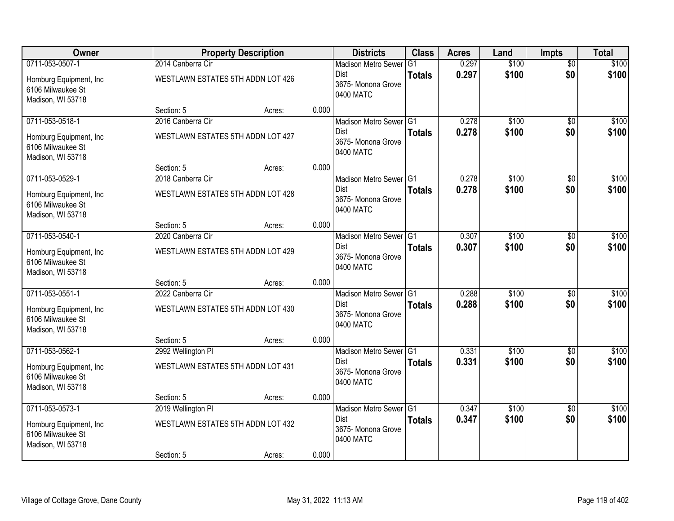| Owner                                                             |                                   | <b>Property Description</b> |       | <b>Districts</b>                               | <b>Class</b>  | <b>Acres</b> | Land  | <b>Impts</b>    | <b>Total</b> |
|-------------------------------------------------------------------|-----------------------------------|-----------------------------|-------|------------------------------------------------|---------------|--------------|-------|-----------------|--------------|
| 0711-053-0507-1                                                   | 2014 Canberra Cir                 |                             |       | <b>Madison Metro Sewer</b>                     | G1            | 0.297        | \$100 | $\overline{50}$ | \$100        |
| Homburg Equipment, Inc.<br>6106 Milwaukee St<br>Madison, WI 53718 | WESTLAWN ESTATES 5TH ADDN LOT 426 |                             |       | Dist<br>3675-Monona Grove<br>0400 MATC         | <b>Totals</b> | 0.297        | \$100 | \$0             | \$100        |
|                                                                   | Section: 5                        | Acres:                      | 0.000 |                                                |               |              |       |                 |              |
| 0711-053-0518-1                                                   | 2016 Canberra Cir                 |                             |       | Madison Metro Sewer G1                         |               | 0.278        | \$100 | $\overline{50}$ | \$100        |
| Homburg Equipment, Inc.<br>6106 Milwaukee St<br>Madison, WI 53718 | WESTLAWN ESTATES 5TH ADDN LOT 427 |                             |       | Dist<br>3675- Monona Grove<br>0400 MATC        | <b>Totals</b> | 0.278        | \$100 | \$0             | \$100        |
|                                                                   | Section: 5                        | Acres:                      | 0.000 |                                                |               |              |       |                 |              |
| 0711-053-0529-1                                                   | 2018 Canberra Cir                 |                             |       | Madison Metro Sewer G1                         |               | 0.278        | \$100 | \$0             | \$100        |
| Homburg Equipment, Inc.<br>6106 Milwaukee St<br>Madison, WI 53718 | WESTLAWN ESTATES 5TH ADDN LOT 428 |                             |       | <b>Dist</b><br>3675- Monona Grove<br>0400 MATC | <b>Totals</b> | 0.278        | \$100 | \$0             | \$100        |
|                                                                   | Section: 5                        | Acres:                      | 0.000 |                                                |               |              |       |                 |              |
| 0711-053-0540-1                                                   | 2020 Canberra Cir                 |                             |       | Madison Metro Sewer G1                         |               | 0.307        | \$100 | \$0             | \$100        |
| Homburg Equipment, Inc.<br>6106 Milwaukee St<br>Madison, WI 53718 | WESTLAWN ESTATES 5TH ADDN LOT 429 |                             |       | Dist<br>3675- Monona Grove<br>0400 MATC        | <b>Totals</b> | 0.307        | \$100 | \$0             | \$100        |
|                                                                   | Section: 5                        | Acres:                      | 0.000 |                                                |               |              |       |                 |              |
| 0711-053-0551-1                                                   | 2022 Canberra Cir                 |                             |       | Madison Metro Sewer G1                         |               | 0.288        | \$100 | $\overline{30}$ | \$100        |
| Homburg Equipment, Inc.<br>6106 Milwaukee St<br>Madison, WI 53718 | WESTLAWN ESTATES 5TH ADDN LOT 430 |                             |       | <b>Dist</b><br>3675-Monona Grove<br>0400 MATC  | <b>Totals</b> | 0.288        | \$100 | \$0             | \$100        |
|                                                                   | Section: 5                        | Acres:                      | 0.000 |                                                |               |              |       |                 |              |
| 0711-053-0562-1                                                   | 2992 Wellington PI                |                             |       | Madison Metro Sewer G1                         |               | 0.331        | \$100 | $\sqrt{6}$      | \$100        |
| Homburg Equipment, Inc.<br>6106 Milwaukee St<br>Madison, WI 53718 | WESTLAWN ESTATES 5TH ADDN LOT 431 |                             |       | Dist<br>3675- Monona Grove<br>0400 MATC        | <b>Totals</b> | 0.331        | \$100 | \$0             | \$100        |
|                                                                   | Section: 5                        | Acres:                      | 0.000 |                                                |               |              |       |                 |              |
| 0711-053-0573-1                                                   | 2019 Wellington PI                |                             |       | Madison Metro Sewer G1                         |               | 0.347        | \$100 | $\overline{50}$ | \$100        |
| Homburg Equipment, Inc.<br>6106 Milwaukee St<br>Madison, WI 53718 | WESTLAWN ESTATES 5TH ADDN LOT 432 |                             |       | Dist<br>3675- Monona Grove<br>0400 MATC        | <b>Totals</b> | 0.347        | \$100 | \$0             | \$100        |
|                                                                   | Section: 5                        | Acres:                      | 0.000 |                                                |               |              |       |                 |              |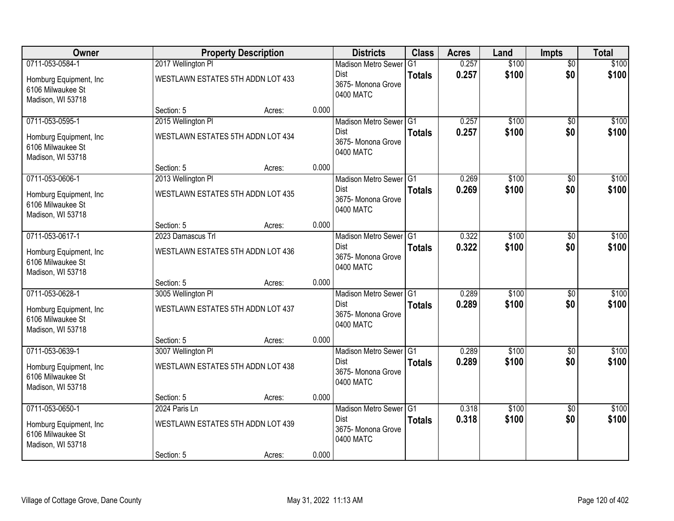| Owner                                                             |                                   | <b>Property Description</b> |       | <b>Districts</b>                               | <b>Class</b>  | <b>Acres</b> | Land  | <b>Impts</b>    | <b>Total</b> |
|-------------------------------------------------------------------|-----------------------------------|-----------------------------|-------|------------------------------------------------|---------------|--------------|-------|-----------------|--------------|
| 0711-053-0584-1                                                   | 2017 Wellington PI                |                             |       | <b>Madison Metro Sewer</b>                     | G1            | 0.257        | \$100 | $\overline{50}$ | \$100        |
| Homburg Equipment, Inc.<br>6106 Milwaukee St<br>Madison, WI 53718 | WESTLAWN ESTATES 5TH ADDN LOT 433 |                             |       | Dist<br>3675- Monona Grove<br>0400 MATC        | <b>Totals</b> | 0.257        | \$100 | \$0             | \$100        |
|                                                                   | Section: 5                        | Acres:                      | 0.000 |                                                |               |              |       |                 |              |
| 0711-053-0595-1                                                   | 2015 Wellington PI                |                             |       | Madison Metro Sewer G1                         |               | 0.257        | \$100 | $\overline{30}$ | \$100        |
| Homburg Equipment, Inc.<br>6106 Milwaukee St<br>Madison, WI 53718 | WESTLAWN ESTATES 5TH ADDN LOT 434 |                             |       | <b>Dist</b><br>3675- Monona Grove<br>0400 MATC | <b>Totals</b> | 0.257        | \$100 | \$0             | \$100        |
|                                                                   | Section: 5                        | Acres:                      | 0.000 |                                                |               |              |       |                 |              |
| 0711-053-0606-1                                                   | 2013 Wellington PI                |                             |       | Madison Metro Sewer G1                         |               | 0.269        | \$100 | \$0             | \$100        |
| Homburg Equipment, Inc.<br>6106 Milwaukee St<br>Madison, WI 53718 | WESTLAWN ESTATES 5TH ADDN LOT 435 |                             |       | <b>Dist</b><br>3675- Monona Grove<br>0400 MATC | <b>Totals</b> | 0.269        | \$100 | \$0             | \$100        |
|                                                                   | Section: 5                        | Acres:                      | 0.000 |                                                |               |              |       |                 |              |
| 0711-053-0617-1                                                   | 2023 Damascus Trl                 |                             |       | Madison Metro Sewer G1                         |               | 0.322        | \$100 | \$0             | \$100        |
| Homburg Equipment, Inc.<br>6106 Milwaukee St<br>Madison, WI 53718 | WESTLAWN ESTATES 5TH ADDN LOT 436 |                             |       | Dist<br>3675- Monona Grove<br>0400 MATC        | <b>Totals</b> | 0.322        | \$100 | \$0             | \$100        |
|                                                                   | Section: 5                        | Acres:                      | 0.000 |                                                |               |              |       |                 |              |
| 0711-053-0628-1                                                   | 3005 Wellington PI                |                             |       | Madison Metro Sewer G1                         |               | 0.289        | \$100 | \$0             | \$100        |
| Homburg Equipment, Inc.<br>6106 Milwaukee St<br>Madison, WI 53718 | WESTLAWN ESTATES 5TH ADDN LOT 437 |                             |       | <b>Dist</b><br>3675- Monona Grove<br>0400 MATC | <b>Totals</b> | 0.289        | \$100 | \$0             | \$100        |
|                                                                   | Section: 5                        | Acres:                      | 0.000 |                                                |               |              |       |                 |              |
| 0711-053-0639-1                                                   | 3007 Wellington PI                |                             |       | Madison Metro Sewer G1                         |               | 0.289        | \$100 | $\overline{50}$ | \$100        |
| Homburg Equipment, Inc.<br>6106 Milwaukee St<br>Madison, WI 53718 | WESTLAWN ESTATES 5TH ADDN LOT 438 |                             |       | Dist<br>3675- Monona Grove<br>0400 MATC        | <b>Totals</b> | 0.289        | \$100 | \$0             | \$100        |
|                                                                   | Section: 5                        | Acres:                      | 0.000 |                                                |               |              |       |                 |              |
| 0711-053-0650-1                                                   | 2024 Paris Ln                     |                             |       | Madison Metro Sewer G1                         |               | 0.318        | \$100 | $\overline{30}$ | \$100        |
| Homburg Equipment, Inc.<br>6106 Milwaukee St<br>Madison, WI 53718 | WESTLAWN ESTATES 5TH ADDN LOT 439 |                             |       | <b>Dist</b><br>3675-Monona Grove<br>0400 MATC  | <b>Totals</b> | 0.318        | \$100 | \$0             | \$100        |
|                                                                   | Section: 5                        | Acres:                      | 0.000 |                                                |               |              |       |                 |              |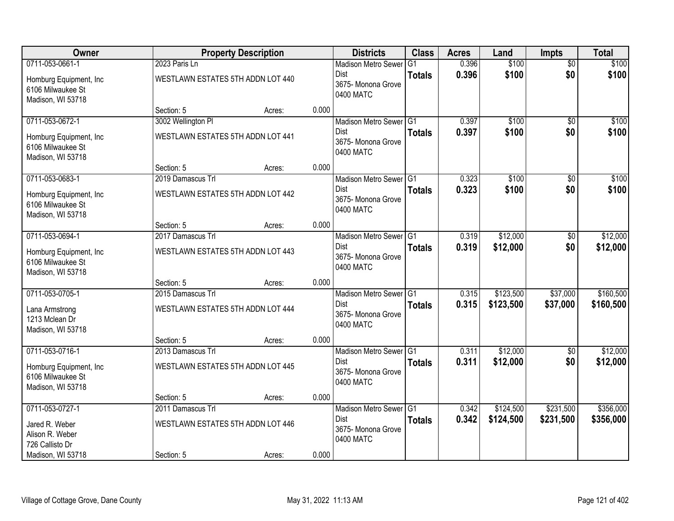| Owner                                                             |                                   | <b>Property Description</b> |       | <b>Districts</b>                               | <b>Class</b>   | <b>Acres</b> | Land      | <b>Impts</b>    | <b>Total</b> |
|-------------------------------------------------------------------|-----------------------------------|-----------------------------|-------|------------------------------------------------|----------------|--------------|-----------|-----------------|--------------|
| 0711-053-0661-1                                                   | 2023 Paris Ln                     |                             |       | <b>Madison Metro Sewer</b>                     | G <sub>1</sub> | 0.396        | \$100     | $\overline{50}$ | \$100        |
| Homburg Equipment, Inc.<br>6106 Milwaukee St<br>Madison, WI 53718 | WESTLAWN ESTATES 5TH ADDN LOT 440 |                             |       | Dist<br>3675- Monona Grove<br>0400 MATC        | <b>Totals</b>  | 0.396        | \$100     | \$0             | \$100        |
|                                                                   | Section: 5                        | Acres:                      | 0.000 |                                                |                |              |           |                 |              |
| 0711-053-0672-1                                                   | 3002 Wellington PI                |                             |       | Madison Metro Sewer G1                         |                | 0.397        | \$100     | $\overline{50}$ | \$100        |
| Homburg Equipment, Inc.<br>6106 Milwaukee St<br>Madison, WI 53718 | WESTLAWN ESTATES 5TH ADDN LOT 441 |                             |       | <b>Dist</b><br>3675- Monona Grove<br>0400 MATC | <b>Totals</b>  | 0.397        | \$100     | \$0             | \$100        |
|                                                                   | Section: 5                        | Acres:                      | 0.000 |                                                |                |              |           |                 |              |
| 0711-053-0683-1                                                   | 2019 Damascus Trl                 |                             |       | Madison Metro Sewer G1                         |                | 0.323        | \$100     | \$0             | \$100        |
| Homburg Equipment, Inc.<br>6106 Milwaukee St<br>Madison, WI 53718 | WESTLAWN ESTATES 5TH ADDN LOT 442 |                             |       | <b>Dist</b><br>3675-Monona Grove<br>0400 MATC  | <b>Totals</b>  | 0.323        | \$100     | \$0             | \$100        |
|                                                                   | Section: 5                        | Acres:                      | 0.000 |                                                |                |              |           |                 |              |
| 0711-053-0694-1                                                   | 2017 Damascus Trl                 |                             |       | Madison Metro Sewer G1                         |                | 0.319        | \$12,000  | \$0             | \$12,000     |
| Homburg Equipment, Inc.<br>6106 Milwaukee St<br>Madison, WI 53718 | WESTLAWN ESTATES 5TH ADDN LOT 443 |                             |       | <b>Dist</b><br>3675- Monona Grove<br>0400 MATC | <b>Totals</b>  | 0.319        | \$12,000  | \$0             | \$12,000     |
|                                                                   | Section: 5                        | Acres:                      | 0.000 |                                                |                |              |           |                 |              |
| 0711-053-0705-1                                                   | 2015 Damascus Trl                 |                             |       | Madison Metro Sewer G1                         |                | 0.315        | \$123,500 | \$37,000        | \$160,500    |
| Lana Armstrong<br>1213 Mclean Dr<br>Madison, WI 53718             | WESTLAWN ESTATES 5TH ADDN LOT 444 |                             |       | Dist<br>3675- Monona Grove<br>0400 MATC        | <b>Totals</b>  | 0.315        | \$123,500 | \$37,000        | \$160,500    |
|                                                                   | Section: 5                        | Acres:                      | 0.000 |                                                |                |              |           |                 |              |
| 0711-053-0716-1                                                   | 2013 Damascus Trl                 |                             |       | Madison Metro Sewer G1                         |                | 0.311        | \$12,000  | $\sqrt{6}$      | \$12,000     |
| Homburg Equipment, Inc.<br>6106 Milwaukee St<br>Madison, WI 53718 | WESTLAWN ESTATES 5TH ADDN LOT 445 |                             |       | Dist<br>3675- Monona Grove<br>0400 MATC        | <b>Totals</b>  | 0.311        | \$12,000  | \$0             | \$12,000     |
|                                                                   | Section: 5                        | Acres:                      | 0.000 |                                                |                |              |           |                 |              |
| 0711-053-0727-1                                                   | 2011 Damascus Trl                 |                             |       | Madison Metro Sewer G1                         |                | 0.342        | \$124,500 | \$231,500       | \$356,000    |
| Jared R. Weber<br>Alison R. Weber<br>726 Callisto Dr              | WESTLAWN ESTATES 5TH ADDN LOT 446 |                             |       | <b>Dist</b><br>3675-Monona Grove<br>0400 MATC  | <b>Totals</b>  | 0.342        | \$124,500 | \$231,500       | \$356,000    |
| Madison, WI 53718                                                 | Section: 5                        | Acres:                      | 0.000 |                                                |                |              |           |                 |              |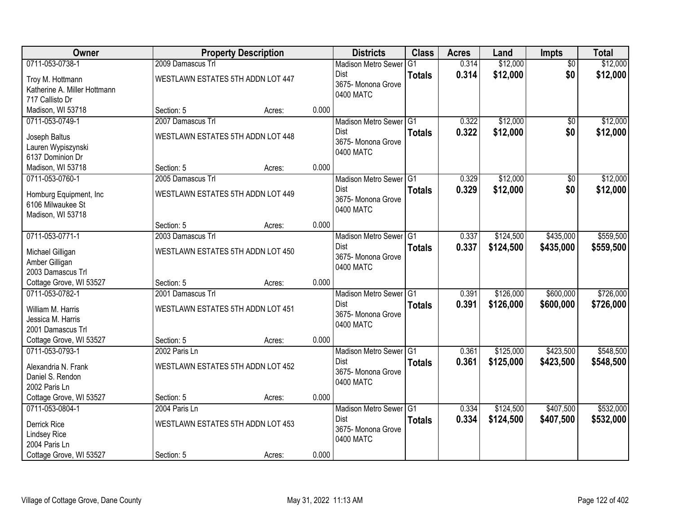| Owner                                        |                                   | <b>Property Description</b> |       | <b>Districts</b>           | <b>Class</b>   | <b>Acres</b> | Land      | Impts           | <b>Total</b> |
|----------------------------------------------|-----------------------------------|-----------------------------|-------|----------------------------|----------------|--------------|-----------|-----------------|--------------|
| 0711-053-0738-1                              | 2009 Damascus Trl                 |                             |       | <b>Madison Metro Sewer</b> | G <sub>1</sub> | 0.314        | \$12,000  | $\overline{50}$ | \$12,000     |
| Troy M. Hottmann                             | WESTLAWN ESTATES 5TH ADDN LOT 447 |                             |       | Dist                       | <b>Totals</b>  | 0.314        | \$12,000  | \$0             | \$12,000     |
| Katherine A. Miller Hottmann                 |                                   |                             |       | 3675- Monona Grove         |                |              |           |                 |              |
| 717 Callisto Dr                              |                                   |                             |       | 0400 MATC                  |                |              |           |                 |              |
| Madison, WI 53718                            | Section: 5                        | Acres:                      | 0.000 |                            |                |              |           |                 |              |
| 0711-053-0749-1                              | 2007 Damascus Trl                 |                             |       | Madison Metro Sewer G1     |                | 0.322        | \$12,000  | $\overline{50}$ | \$12,000     |
| Joseph Baltus                                | WESTLAWN ESTATES 5TH ADDN LOT 448 |                             |       | <b>Dist</b>                | <b>Totals</b>  | 0.322        | \$12,000  | \$0             | \$12,000     |
| Lauren Wypiszynski                           |                                   |                             |       | 3675- Monona Grove         |                |              |           |                 |              |
| 6137 Dominion Dr                             |                                   |                             |       | 0400 MATC                  |                |              |           |                 |              |
| Madison, WI 53718                            | Section: 5                        | Acres:                      | 0.000 |                            |                |              |           |                 |              |
| 0711-053-0760-1                              | 2005 Damascus Trl                 |                             |       | Madison Metro Sewer G1     |                | 0.329        | \$12,000  | \$0             | \$12,000     |
|                                              | WESTLAWN ESTATES 5TH ADDN LOT 449 |                             |       | <b>Dist</b>                | <b>Totals</b>  | 0.329        | \$12,000  | \$0             | \$12,000     |
| Homburg Equipment, Inc.<br>6106 Milwaukee St |                                   |                             |       | 3675-Monona Grove          |                |              |           |                 |              |
| Madison, WI 53718                            |                                   |                             |       | 0400 MATC                  |                |              |           |                 |              |
|                                              | Section: 5                        | Acres:                      | 0.000 |                            |                |              |           |                 |              |
| 0711-053-0771-1                              | 2003 Damascus Trl                 |                             |       | Madison Metro Sewer G1     |                | 0.337        | \$124,500 | \$435,000       | \$559,500    |
|                                              |                                   |                             |       | Dist                       | <b>Totals</b>  | 0.337        | \$124,500 | \$435,000       | \$559,500    |
| Michael Gilligan<br>Amber Gilligan           | WESTLAWN ESTATES 5TH ADDN LOT 450 |                             |       | 3675- Monona Grove         |                |              |           |                 |              |
| 2003 Damascus Trl                            |                                   |                             |       | 0400 MATC                  |                |              |           |                 |              |
| Cottage Grove, WI 53527                      | Section: 5                        | Acres:                      | 0.000 |                            |                |              |           |                 |              |
| 0711-053-0782-1                              | 2001 Damascus Trl                 |                             |       | Madison Metro Sewer G1     |                | 0.391        | \$126,000 | \$600,000       | \$726,000    |
|                                              |                                   |                             |       | <b>Dist</b>                | <b>Totals</b>  | 0.391        | \$126,000 | \$600,000       | \$726,000    |
| William M. Harris                            | WESTLAWN ESTATES 5TH ADDN LOT 451 |                             |       | 3675- Monona Grove         |                |              |           |                 |              |
| Jessica M. Harris<br>2001 Damascus Trl       |                                   |                             |       | 0400 MATC                  |                |              |           |                 |              |
| Cottage Grove, WI 53527                      | Section: 5                        | Acres:                      | 0.000 |                            |                |              |           |                 |              |
| 0711-053-0793-1                              | 2002 Paris Ln                     |                             |       | Madison Metro Sewer G1     |                | 0.361        | \$125,000 | \$423,500       | \$548,500    |
|                                              |                                   |                             |       | Dist                       | <b>Totals</b>  | 0.361        | \$125,000 | \$423,500       | \$548,500    |
| Alexandria N. Frank                          | WESTLAWN ESTATES 5TH ADDN LOT 452 |                             |       | 3675- Monona Grove         |                |              |           |                 |              |
| Daniel S. Rendon                             |                                   |                             |       | 0400 MATC                  |                |              |           |                 |              |
| 2002 Paris Ln<br>Cottage Grove, WI 53527     | Section: 5                        | Acres:                      | 0.000 |                            |                |              |           |                 |              |
| 0711-053-0804-1                              | 2004 Paris Ln                     |                             |       | Madison Metro Sewer G1     |                | 0.334        | \$124,500 | \$407,500       | \$532,000    |
|                                              |                                   |                             |       | <b>Dist</b>                | <b>Totals</b>  | 0.334        | \$124,500 | \$407,500       | \$532,000    |
| Derrick Rice                                 | WESTLAWN ESTATES 5TH ADDN LOT 453 |                             |       | 3675-Monona Grove          |                |              |           |                 |              |
| <b>Lindsey Rice</b>                          |                                   |                             |       | 0400 MATC                  |                |              |           |                 |              |
| 2004 Paris Ln                                |                                   |                             |       |                            |                |              |           |                 |              |
| Cottage Grove, WI 53527                      | Section: 5                        | Acres:                      | 0.000 |                            |                |              |           |                 |              |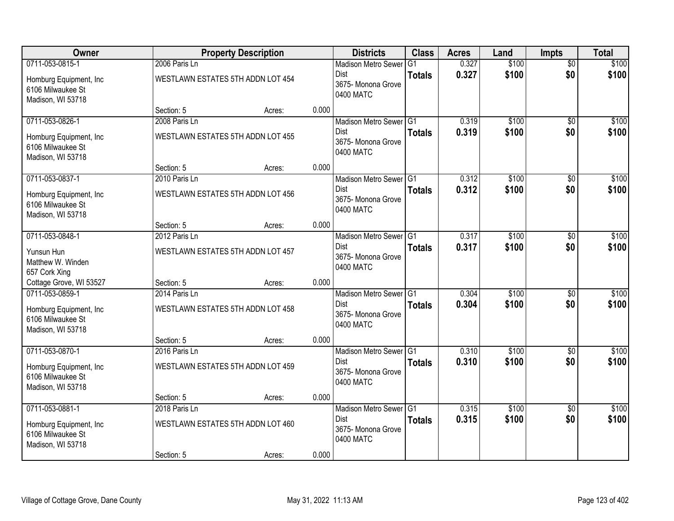| Owner                                                             |                                   | <b>Property Description</b> |       | <b>Districts</b>                               | <b>Class</b>  | <b>Acres</b> | Land  | <b>Impts</b>    | <b>Total</b> |
|-------------------------------------------------------------------|-----------------------------------|-----------------------------|-------|------------------------------------------------|---------------|--------------|-------|-----------------|--------------|
| 0711-053-0815-1                                                   | 2006 Paris Ln                     |                             |       | <b>Madison Metro Sewer</b>                     | G1            | 0.327        | \$100 | $\overline{50}$ | \$100        |
| Homburg Equipment, Inc.<br>6106 Milwaukee St<br>Madison, WI 53718 | WESTLAWN ESTATES 5TH ADDN LOT 454 |                             |       | Dist<br>3675-Monona Grove<br>0400 MATC         | <b>Totals</b> | 0.327        | \$100 | \$0             | \$100        |
|                                                                   | Section: 5                        | Acres:                      | 0.000 |                                                |               |              |       |                 |              |
| 0711-053-0826-1                                                   | 2008 Paris Ln                     |                             |       | Madison Metro Sewer G1                         |               | 0.319        | \$100 | $\overline{50}$ | \$100        |
| Homburg Equipment, Inc.<br>6106 Milwaukee St<br>Madison, WI 53718 | WESTLAWN ESTATES 5TH ADDN LOT 455 |                             |       | Dist<br>3675- Monona Grove<br>0400 MATC        | <b>Totals</b> | 0.319        | \$100 | \$0             | \$100        |
|                                                                   | Section: 5                        | Acres:                      | 0.000 |                                                |               |              |       |                 |              |
| 0711-053-0837-1                                                   | 2010 Paris Ln                     |                             |       | Madison Metro Sewer G1                         |               | 0.312        | \$100 | \$0             | \$100        |
| Homburg Equipment, Inc.<br>6106 Milwaukee St<br>Madison, WI 53718 | WESTLAWN ESTATES 5TH ADDN LOT 456 |                             |       | <b>Dist</b><br>3675- Monona Grove<br>0400 MATC | <b>Totals</b> | 0.312        | \$100 | \$0             | \$100        |
|                                                                   | Section: 5                        | Acres:                      | 0.000 |                                                |               |              |       |                 |              |
| 0711-053-0848-1                                                   | 2012 Paris Ln                     |                             |       | Madison Metro Sewer G1                         |               | 0.317        | \$100 | \$0             | \$100        |
| Yunsun Hun<br>Matthew W. Winden<br>657 Cork Xing                  | WESTLAWN ESTATES 5TH ADDN LOT 457 |                             |       | Dist<br>3675- Monona Grove<br>0400 MATC        | <b>Totals</b> | 0.317        | \$100 | \$0             | \$100        |
| Cottage Grove, WI 53527                                           | Section: 5                        | Acres:                      | 0.000 |                                                |               |              |       |                 |              |
| 0711-053-0859-1                                                   | 2014 Paris Ln                     |                             |       | Madison Metro Sewer G1                         |               | 0.304        | \$100 | $\overline{30}$ | \$100        |
| Homburg Equipment, Inc.<br>6106 Milwaukee St<br>Madison, WI 53718 | WESTLAWN ESTATES 5TH ADDN LOT 458 |                             |       | <b>Dist</b><br>3675-Monona Grove<br>0400 MATC  | <b>Totals</b> | 0.304        | \$100 | \$0             | \$100        |
|                                                                   | Section: 5                        | Acres:                      | 0.000 |                                                |               |              |       |                 |              |
| 0711-053-0870-1                                                   | 2016 Paris Ln                     |                             |       | Madison Metro Sewer G1                         |               | 0.310        | \$100 | $\sqrt{6}$      | \$100        |
| Homburg Equipment, Inc.<br>6106 Milwaukee St<br>Madison, WI 53718 | WESTLAWN ESTATES 5TH ADDN LOT 459 |                             |       | Dist<br>3675- Monona Grove<br>0400 MATC        | <b>Totals</b> | 0.310        | \$100 | \$0             | \$100        |
|                                                                   | Section: 5                        | Acres:                      | 0.000 |                                                |               |              |       |                 |              |
| 0711-053-0881-1                                                   | 2018 Paris Ln                     |                             |       | Madison Metro Sewer G1                         |               | 0.315        | \$100 | $\overline{50}$ | \$100        |
| Homburg Equipment, Inc.<br>6106 Milwaukee St<br>Madison, WI 53718 | WESTLAWN ESTATES 5TH ADDN LOT 460 |                             |       | <b>Dist</b><br>3675- Monona Grove<br>0400 MATC | <b>Totals</b> | 0.315        | \$100 | \$0             | \$100        |
|                                                                   | Section: 5                        | Acres:                      | 0.000 |                                                |               |              |       |                 |              |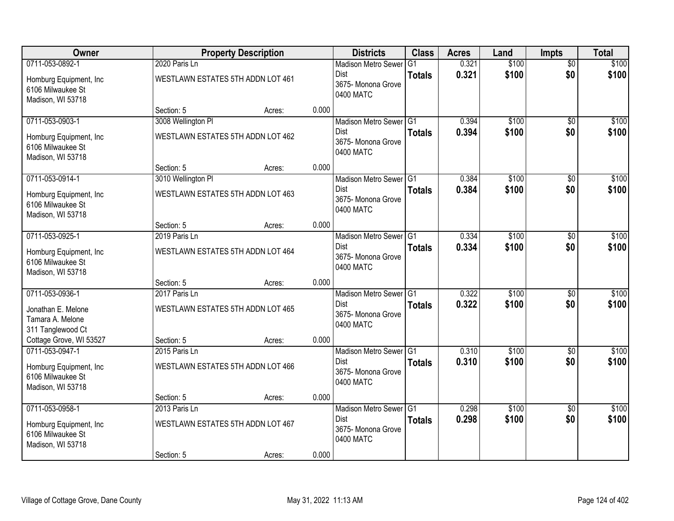| Owner                                                             |                                   | <b>Property Description</b> |       | <b>Districts</b>                               | <b>Class</b>  | <b>Acres</b> | Land  | <b>Impts</b>    | <b>Total</b> |
|-------------------------------------------------------------------|-----------------------------------|-----------------------------|-------|------------------------------------------------|---------------|--------------|-------|-----------------|--------------|
| 0711-053-0892-1                                                   | 2020 Paris Ln                     |                             |       | <b>Madison Metro Sewer</b>                     | G1            | 0.321        | \$100 | $\overline{50}$ | \$100        |
| Homburg Equipment, Inc.<br>6106 Milwaukee St<br>Madison, WI 53718 | WESTLAWN ESTATES 5TH ADDN LOT 461 |                             |       | Dist<br>3675- Monona Grove<br>0400 MATC        | <b>Totals</b> | 0.321        | \$100 | \$0             | \$100        |
|                                                                   | Section: 5                        | Acres:                      | 0.000 |                                                |               |              |       |                 |              |
| 0711-053-0903-1                                                   | 3008 Wellington PI                |                             |       | Madison Metro Sewer G1                         |               | 0.394        | \$100 | $\overline{50}$ | \$100        |
| Homburg Equipment, Inc.<br>6106 Milwaukee St<br>Madison, WI 53718 | WESTLAWN ESTATES 5TH ADDN LOT 462 |                             |       | <b>Dist</b><br>3675- Monona Grove<br>0400 MATC | <b>Totals</b> | 0.394        | \$100 | \$0             | \$100        |
|                                                                   | Section: 5                        | Acres:                      | 0.000 |                                                |               |              |       |                 |              |
| 0711-053-0914-1                                                   | 3010 Wellington PI                |                             |       | Madison Metro Sewer G1                         |               | 0.384        | \$100 | \$0             | \$100        |
| Homburg Equipment, Inc.<br>6106 Milwaukee St<br>Madison, WI 53718 | WESTLAWN ESTATES 5TH ADDN LOT 463 |                             |       | Dist<br>3675- Monona Grove<br>0400 MATC        | <b>Totals</b> | 0.384        | \$100 | \$0             | \$100        |
|                                                                   | Section: 5                        | Acres:                      | 0.000 |                                                |               |              |       |                 |              |
| 0711-053-0925-1                                                   | 2019 Paris Ln                     |                             |       | Madison Metro Sewer G1                         |               | 0.334        | \$100 | \$0             | \$100        |
| Homburg Equipment, Inc.<br>6106 Milwaukee St<br>Madison, WI 53718 | WESTLAWN ESTATES 5TH ADDN LOT 464 |                             |       | Dist<br>3675- Monona Grove<br>0400 MATC        | <b>Totals</b> | 0.334        | \$100 | \$0             | \$100        |
|                                                                   | Section: 5                        | Acres:                      | 0.000 |                                                |               |              |       |                 |              |
| 0711-053-0936-1                                                   | 2017 Paris Ln                     |                             |       | Madison Metro Sewer G1                         |               | 0.322        | \$100 | \$0             | \$100        |
| Jonathan E. Melone<br>Tamara A. Melone<br>311 Tanglewood Ct       | WESTLAWN ESTATES 5TH ADDN LOT 465 |                             |       | <b>Dist</b><br>3675- Monona Grove<br>0400 MATC | <b>Totals</b> | 0.322        | \$100 | \$0             | \$100        |
| Cottage Grove, WI 53527                                           | Section: 5                        | Acres:                      | 0.000 |                                                |               |              |       |                 |              |
| 0711-053-0947-1                                                   | 2015 Paris Ln                     |                             |       | Madison Metro Sewer G1                         |               | 0.310        | \$100 | $\overline{50}$ | \$100        |
| Homburg Equipment, Inc.<br>6106 Milwaukee St<br>Madison, WI 53718 | WESTLAWN ESTATES 5TH ADDN LOT 466 |                             |       | Dist<br>3675- Monona Grove<br>0400 MATC        | <b>Totals</b> | 0.310        | \$100 | \$0             | \$100        |
|                                                                   | Section: 5                        | Acres:                      | 0.000 |                                                |               |              |       |                 |              |
| 0711-053-0958-1                                                   | 2013 Paris Ln                     |                             |       | Madison Metro Sewer G1                         |               | 0.298        | \$100 | $\overline{30}$ | \$100        |
| Homburg Equipment, Inc.<br>6106 Milwaukee St<br>Madison, WI 53718 | WESTLAWN ESTATES 5TH ADDN LOT 467 |                             |       | <b>Dist</b><br>3675-Monona Grove<br>0400 MATC  | <b>Totals</b> | 0.298        | \$100 | \$0             | \$100        |
|                                                                   | Section: 5                        | Acres:                      | 0.000 |                                                |               |              |       |                 |              |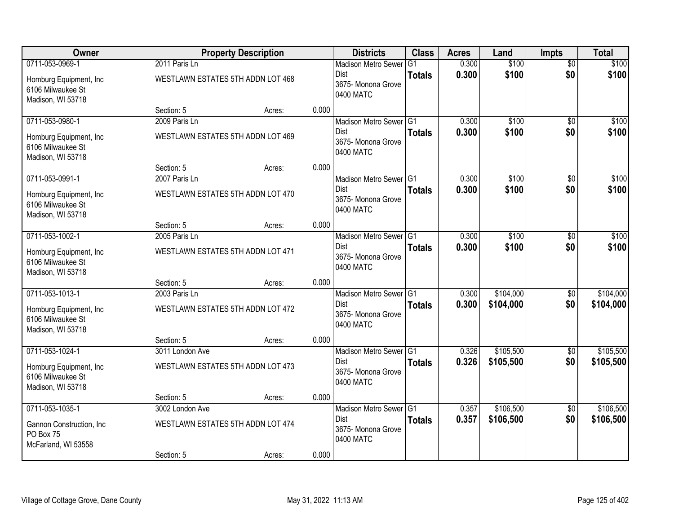| Owner                                                             |                                   | <b>Property Description</b> |       | <b>Districts</b>                               | <b>Class</b>   | <b>Acres</b> | Land      | <b>Impts</b>    | <b>Total</b> |
|-------------------------------------------------------------------|-----------------------------------|-----------------------------|-------|------------------------------------------------|----------------|--------------|-----------|-----------------|--------------|
| 0711-053-0969-1                                                   | 2011 Paris Ln                     |                             |       | <b>Madison Metro Sewer</b>                     | G <sub>1</sub> | 0.300        | \$100     | $\overline{50}$ | \$100        |
| Homburg Equipment, Inc.<br>6106 Milwaukee St<br>Madison, WI 53718 | WESTLAWN ESTATES 5TH ADDN LOT 468 |                             |       | Dist<br>3675- Monona Grove<br>0400 MATC        | <b>Totals</b>  | 0.300        | \$100     | \$0             | \$100        |
|                                                                   | Section: 5                        | Acres:                      | 0.000 |                                                |                |              |           |                 |              |
| 0711-053-0980-1                                                   | 2009 Paris Ln                     |                             |       | Madison Metro Sewer G1                         |                | 0.300        | \$100     | $\overline{50}$ | \$100        |
| Homburg Equipment, Inc.<br>6106 Milwaukee St<br>Madison, WI 53718 | WESTLAWN ESTATES 5TH ADDN LOT 469 |                             |       | <b>Dist</b><br>3675- Monona Grove<br>0400 MATC | <b>Totals</b>  | 0.300        | \$100     | \$0             | \$100        |
|                                                                   | Section: 5                        | Acres:                      | 0.000 |                                                |                |              |           |                 |              |
| 0711-053-0991-1                                                   | 2007 Paris Ln                     |                             |       | Madison Metro Sewer G1                         |                | 0.300        | \$100     | \$0             | \$100        |
| Homburg Equipment, Inc.<br>6106 Milwaukee St<br>Madison, WI 53718 | WESTLAWN ESTATES 5TH ADDN LOT 470 |                             |       | Dist<br>3675- Monona Grove<br>0400 MATC        | <b>Totals</b>  | 0.300        | \$100     | \$0             | \$100        |
|                                                                   | Section: 5                        | Acres:                      | 0.000 |                                                |                |              |           |                 |              |
| 0711-053-1002-1                                                   | 2005 Paris Ln                     |                             |       | Madison Metro Sewer G1                         |                | 0.300        | \$100     | \$0             | \$100        |
| Homburg Equipment, Inc.<br>6106 Milwaukee St<br>Madison, WI 53718 | WESTLAWN ESTATES 5TH ADDN LOT 471 |                             |       | Dist<br>3675- Monona Grove<br>0400 MATC        | <b>Totals</b>  | 0.300        | \$100     | \$0             | \$100        |
|                                                                   | Section: 5                        | Acres:                      | 0.000 |                                                |                |              |           |                 |              |
| 0711-053-1013-1                                                   | 2003 Paris Ln                     |                             |       | Madison Metro Sewer G1                         |                | 0.300        | \$104,000 | \$0             | \$104,000    |
| Homburg Equipment, Inc.<br>6106 Milwaukee St<br>Madison, WI 53718 | WESTLAWN ESTATES 5TH ADDN LOT 472 |                             |       | Dist<br>3675- Monona Grove<br>0400 MATC        | <b>Totals</b>  | 0.300        | \$104,000 | \$0             | \$104,000    |
|                                                                   | Section: 5                        | Acres:                      | 0.000 |                                                |                |              |           |                 |              |
| 0711-053-1024-1                                                   | 3011 London Ave                   |                             |       | Madison Metro Sewer G1                         |                | 0.326        | \$105,500 | $\sqrt{6}$      | \$105,500    |
| Homburg Equipment, Inc.<br>6106 Milwaukee St<br>Madison, WI 53718 | WESTLAWN ESTATES 5TH ADDN LOT 473 |                             |       | Dist<br>3675- Monona Grove<br>0400 MATC        | <b>Totals</b>  | 0.326        | \$105,500 | \$0             | \$105,500    |
|                                                                   | Section: 5                        | Acres:                      | 0.000 |                                                |                |              |           |                 |              |
| 0711-053-1035-1                                                   | 3002 London Ave                   |                             |       | Madison Metro Sewer G1                         |                | 0.357        | \$106,500 | $\overline{50}$ | \$106,500    |
| Gannon Construction, Inc<br>PO Box 75<br>McFarland, WI 53558      | WESTLAWN ESTATES 5TH ADDN LOT 474 |                             |       | <b>Dist</b><br>3675-Monona Grove<br>0400 MATC  | <b>Totals</b>  | 0.357        | \$106,500 | \$0             | \$106,500    |
|                                                                   | Section: 5                        | Acres:                      | 0.000 |                                                |                |              |           |                 |              |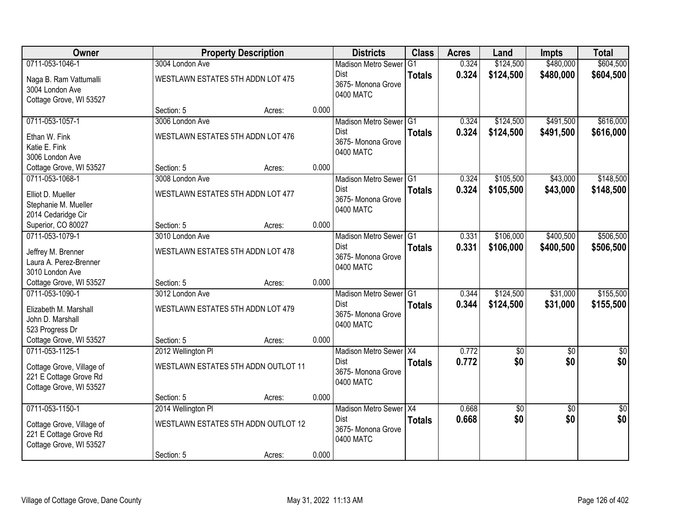| Owner                     |                                   | <b>Property Description</b>         |       | <b>Districts</b>               | <b>Class</b>  | <b>Acres</b>   | Land            | <b>Impts</b>    | <b>Total</b>    |
|---------------------------|-----------------------------------|-------------------------------------|-------|--------------------------------|---------------|----------------|-----------------|-----------------|-----------------|
| 0711-053-1046-1           | 3004 London Ave                   |                                     |       | <b>Madison Metro Sewer</b>     | G1            | 0.324          | \$124,500       | \$480,000       | \$604,500       |
| Naga B. Ram Vattumalli    | WESTLAWN ESTATES 5TH ADDN LOT 475 |                                     |       | Dist<br>3675- Monona Grove     | <b>Totals</b> | 0.324          | \$124,500       | \$480,000       | \$604,500       |
| 3004 London Ave           |                                   |                                     |       | 0400 MATC                      |               |                |                 |                 |                 |
| Cottage Grove, WI 53527   |                                   |                                     |       |                                |               |                |                 |                 |                 |
|                           | Section: 5                        | Acres:                              | 0.000 |                                |               |                |                 |                 |                 |
| 0711-053-1057-1           | 3006 London Ave                   |                                     |       | Madison Metro Sewer G1<br>Dist |               | 0.324<br>0.324 | \$124,500       | \$491,500       | \$616,000       |
| Ethan W. Fink             | WESTLAWN ESTATES 5TH ADDN LOT 476 |                                     |       | 3675- Monona Grove             | <b>Totals</b> |                | \$124,500       | \$491,500       | \$616,000       |
| Katie E. Fink             |                                   |                                     |       | 0400 MATC                      |               |                |                 |                 |                 |
| 3006 London Ave           |                                   |                                     |       |                                |               |                |                 |                 |                 |
| Cottage Grove, WI 53527   | Section: 5                        | Acres:                              | 0.000 |                                |               |                |                 |                 |                 |
| 0711-053-1068-1           | 3008 London Ave                   |                                     |       | Madison Metro Sewer G1<br>Dist |               | 0.324          | \$105,500       | \$43,000        | \$148,500       |
| Elliot D. Mueller         | WESTLAWN ESTATES 5TH ADDN LOT 477 |                                     |       | 3675- Monona Grove             | <b>Totals</b> | 0.324          | \$105,500       | \$43,000        | \$148,500       |
| Stephanie M. Mueller      |                                   |                                     |       | 0400 MATC                      |               |                |                 |                 |                 |
| 2014 Cedaridge Cir        |                                   |                                     |       |                                |               |                |                 |                 |                 |
| Superior, CO 80027        | Section: 5                        | Acres:                              | 0.000 |                                |               |                |                 |                 |                 |
| 0711-053-1079-1           | 3010 London Ave                   |                                     |       | Madison Metro Sewer G1         |               | 0.331          | \$106,000       | \$400,500       | \$506,500       |
| Jeffrey M. Brenner        | WESTLAWN ESTATES 5TH ADDN LOT 478 |                                     |       | Dist<br>3675- Monona Grove     | <b>Totals</b> | 0.331          | \$106,000       | \$400,500       | \$506,500       |
| Laura A. Perez-Brenner    |                                   |                                     |       | 0400 MATC                      |               |                |                 |                 |                 |
| 3010 London Ave           |                                   |                                     |       |                                |               |                |                 |                 |                 |
| Cottage Grove, WI 53527   | Section: 5                        | Acres:                              | 0.000 |                                |               |                |                 |                 |                 |
| 0711-053-1090-1           | 3012 London Ave                   |                                     |       | Madison Metro Sewer G1         |               | 0.344          | \$124,500       | \$31,000        | \$155,500       |
| Elizabeth M. Marshall     | WESTLAWN ESTATES 5TH ADDN LOT 479 |                                     |       | Dist<br>3675- Monona Grove     | <b>Totals</b> | 0.344          | \$124,500       | \$31,000        | \$155,500       |
| John D. Marshall          |                                   |                                     |       | 0400 MATC                      |               |                |                 |                 |                 |
| 523 Progress Dr           |                                   |                                     |       |                                |               |                |                 |                 |                 |
| Cottage Grove, WI 53527   | Section: 5                        | Acres:                              | 0.000 |                                |               |                |                 |                 |                 |
| 0711-053-1125-1           | 2012 Wellington PI                |                                     |       | Madison Metro Sewer X4         |               | 0.772          | \$0             | $\overline{50}$ | \$0             |
| Cottage Grove, Village of |                                   | WESTLAWN ESTATES 5TH ADDN OUTLOT 11 |       | Dist<br>3675- Monona Grove     | <b>Totals</b> | 0.772          | \$0             | \$0             | \$0             |
| 221 E Cottage Grove Rd    |                                   |                                     |       | 0400 MATC                      |               |                |                 |                 |                 |
| Cottage Grove, WI 53527   |                                   |                                     |       |                                |               |                |                 |                 |                 |
|                           | Section: 5                        | Acres:                              | 0.000 |                                |               |                |                 |                 |                 |
| 0711-053-1150-1           | 2014 Wellington PI                |                                     |       | Madison Metro Sewer X4         |               | 0.668          | $\overline{50}$ | $\overline{50}$ | $\overline{50}$ |
| Cottage Grove, Village of |                                   | WESTLAWN ESTATES 5TH ADDN OUTLOT 12 |       | Dist<br>3675- Monona Grove     | <b>Totals</b> | 0.668          | \$0             | \$0             | \$0             |
| 221 E Cottage Grove Rd    |                                   |                                     |       | 0400 MATC                      |               |                |                 |                 |                 |
| Cottage Grove, WI 53527   |                                   |                                     |       |                                |               |                |                 |                 |                 |
|                           | Section: 5                        | Acres:                              | 0.000 |                                |               |                |                 |                 |                 |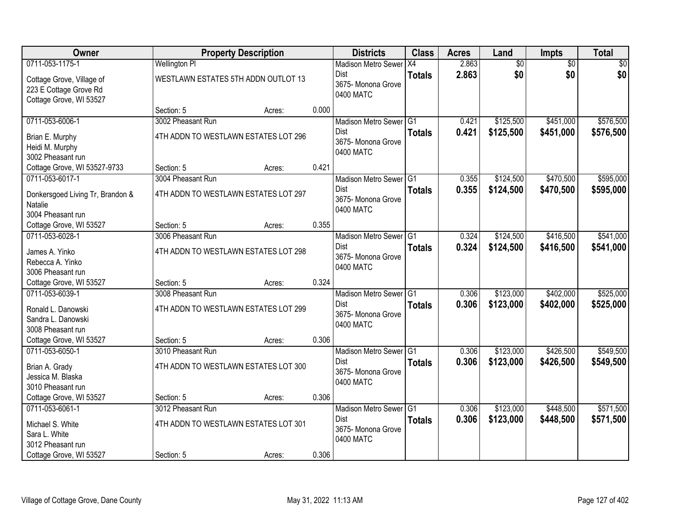| Owner                                                                            |                                                           | <b>Property Description</b> |       | <b>Districts</b>                                                                    | <b>Class</b>  | <b>Acres</b>   | Land                   | <b>Impts</b>           | <b>Total</b>           |
|----------------------------------------------------------------------------------|-----------------------------------------------------------|-----------------------------|-------|-------------------------------------------------------------------------------------|---------------|----------------|------------------------|------------------------|------------------------|
| 0711-053-1175-1                                                                  | <b>Wellington PI</b>                                      |                             |       | <b>Madison Metro Sewer</b>                                                          | X4            | 2.863          | $\overline{60}$        | $\overline{50}$        | \$0                    |
| Cottage Grove, Village of<br>223 E Cottage Grove Rd<br>Cottage Grove, WI 53527   | WESTLAWN ESTATES 5TH ADDN OUTLOT 13                       |                             |       | Dist<br>3675- Monona Grove<br>0400 MATC                                             | <b>Totals</b> | 2.863          | \$0                    | \$0                    | \$0                    |
|                                                                                  | Section: 5                                                | Acres:                      | 0.000 |                                                                                     |               |                |                        |                        |                        |
| 0711-053-6006-1                                                                  | 3002 Pheasant Run                                         |                             |       | Madison Metro Sewer G1                                                              |               | 0.421          | \$125,500              | \$451,000              | \$576,500              |
| Brian E. Murphy<br>Heidi M. Murphy<br>3002 Pheasant run                          | 4TH ADDN TO WESTLAWN ESTATES LOT 296                      |                             |       | <b>Dist</b><br>3675- Monona Grove<br>0400 MATC                                      | <b>Totals</b> | 0.421          | \$125,500              | \$451,000              | \$576,500              |
| Cottage Grove, WI 53527-9733                                                     | Section: 5                                                | Acres:                      | 0.421 |                                                                                     |               |                |                        |                        |                        |
| 0711-053-6017-1                                                                  | 3004 Pheasant Run                                         |                             |       | Madison Metro Sewer G1                                                              |               | 0.355          | \$124,500              | \$470,500              | \$595,000              |
| Donkersgoed Living Tr, Brandon &<br>Natalie<br>3004 Pheasant run                 | 4TH ADDN TO WESTLAWN ESTATES LOT 297                      |                             |       | Dist<br>3675- Monona Grove<br>0400 MATC                                             | <b>Totals</b> | 0.355          | \$124,500              | \$470,500              | \$595,000              |
| Cottage Grove, WI 53527                                                          | Section: 5                                                | Acres:                      | 0.355 |                                                                                     |               |                |                        |                        |                        |
| 0711-053-6028-1                                                                  | 3006 Pheasant Run                                         |                             |       | Madison Metro Sewer G1                                                              |               | 0.324          | \$124,500              | \$416,500              | \$541,000              |
| James A. Yinko<br>Rebecca A. Yinko<br>3006 Pheasant run                          | 4TH ADDN TO WESTLAWN ESTATES LOT 298                      |                             |       | Dist<br>3675- Monona Grove<br>0400 MATC                                             | <b>Totals</b> | 0.324          | \$124,500              | \$416,500              | \$541,000              |
| Cottage Grove, WI 53527                                                          | Section: 5                                                | Acres:                      | 0.324 |                                                                                     |               |                |                        |                        |                        |
| 0711-053-6039-1<br>Ronald L. Danowski<br>Sandra L. Danowski<br>3008 Pheasant run | 3008 Pheasant Run<br>4TH ADDN TO WESTLAWN ESTATES LOT 299 |                             |       | Madison Metro Sewer <sup>G1</sup><br><b>Dist</b><br>3675- Monona Grove<br>0400 MATC | <b>Totals</b> | 0.306<br>0.306 | \$123,000<br>\$123,000 | \$402,000<br>\$402,000 | \$525,000<br>\$525,000 |
| Cottage Grove, WI 53527                                                          | Section: 5                                                | Acres:                      | 0.306 |                                                                                     |               |                |                        |                        |                        |
| 0711-053-6050-1                                                                  | 3010 Pheasant Run                                         |                             |       | Madison Metro Sewer G1                                                              |               | 0.306          | \$123,000              | \$426,500              | \$549,500              |
| Brian A. Grady<br>Jessica M. Blaska<br>3010 Pheasant run                         | 4TH ADDN TO WESTLAWN ESTATES LOT 300                      |                             |       | Dist<br>3675- Monona Grove<br>0400 MATC                                             | <b>Totals</b> | 0.306          | \$123,000              | \$426,500              | \$549,500              |
| Cottage Grove, WI 53527                                                          | Section: 5                                                | Acres:                      | 0.306 |                                                                                     |               |                |                        |                        |                        |
| 0711-053-6061-1                                                                  | 3012 Pheasant Run                                         |                             |       | Madison Metro Sewer G1                                                              |               | 0.306          | \$123,000              | \$448,500              | \$571,500              |
| Michael S. White<br>Sara L. White<br>3012 Pheasant run                           | 4TH ADDN TO WESTLAWN ESTATES LOT 301                      |                             |       | <b>Dist</b><br>3675-Monona Grove<br>0400 MATC                                       | <b>Totals</b> | 0.306          | \$123,000              | \$448,500              | \$571,500              |
| Cottage Grove, WI 53527                                                          | Section: 5                                                | Acres:                      | 0.306 |                                                                                     |               |                |                        |                        |                        |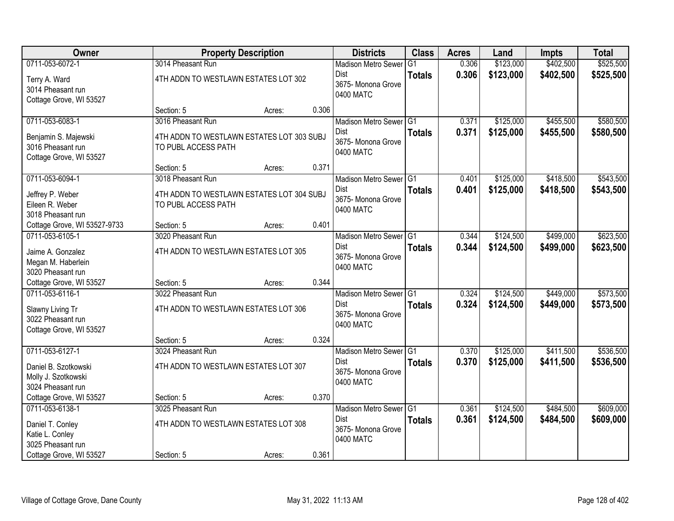| Owner                        |                                           | <b>Property Description</b> |       | <b>Districts</b>                  | <b>Class</b>  | <b>Acres</b> | Land      | <b>Impts</b> | <b>Total</b> |
|------------------------------|-------------------------------------------|-----------------------------|-------|-----------------------------------|---------------|--------------|-----------|--------------|--------------|
| 0711-053-6072-1              | 3014 Pheasant Run                         |                             |       | <b>Madison Metro Sewer</b>        | G1            | 0.306        | \$123,000 | \$402,500    | \$525,500    |
| Terry A. Ward                | 4TH ADDN TO WESTLAWN ESTATES LOT 302      |                             |       | Dist                              | <b>Totals</b> | 0.306        | \$123,000 | \$402,500    | \$525,500    |
| 3014 Pheasant run            |                                           |                             |       | 3675- Monona Grove                |               |              |           |              |              |
| Cottage Grove, WI 53527      |                                           |                             |       | 0400 MATC                         |               |              |           |              |              |
|                              | Section: 5                                | Acres:                      | 0.306 |                                   |               |              |           |              |              |
| 0711-053-6083-1              | 3016 Pheasant Run                         |                             |       | Madison Metro Sewer G1            |               | 0.371        | \$125,000 | \$455,500    | \$580,500    |
| Benjamin S. Majewski         | 4TH ADDN TO WESTLAWN ESTATES LOT 303 SUBJ |                             |       | <b>Dist</b>                       | <b>Totals</b> | 0.371        | \$125,000 | \$455,500    | \$580,500    |
| 3016 Pheasant run            | TO PUBL ACCESS PATH                       |                             |       | 3675- Monona Grove<br>0400 MATC   |               |              |           |              |              |
| Cottage Grove, WI 53527      |                                           |                             |       |                                   |               |              |           |              |              |
|                              | Section: 5                                | Acres:                      | 0.371 |                                   |               |              |           |              |              |
| 0711-053-6094-1              | 3018 Pheasant Run                         |                             |       | Madison Metro Sewer G1            |               | 0.401        | \$125,000 | \$418,500    | \$543,500    |
| Jeffrey P. Weber             | 4TH ADDN TO WESTLAWN ESTATES LOT 304 SUBJ |                             |       | <b>Dist</b>                       | <b>Totals</b> | 0.401        | \$125,000 | \$418,500    | \$543,500    |
| Eileen R. Weber              | TO PUBL ACCESS PATH                       |                             |       | 3675- Monona Grove                |               |              |           |              |              |
| 3018 Pheasant run            |                                           |                             |       | 0400 MATC                         |               |              |           |              |              |
| Cottage Grove, WI 53527-9733 | Section: 5                                | Acres:                      | 0.401 |                                   |               |              |           |              |              |
| 0711-053-6105-1              | 3020 Pheasant Run                         |                             |       | Madison Metro Sewer G1            |               | 0.344        | \$124,500 | \$499,000    | \$623,500    |
| Jaime A. Gonzalez            | 4TH ADDN TO WESTLAWN ESTATES LOT 305      |                             |       | Dist                              | <b>Totals</b> | 0.344        | \$124,500 | \$499,000    | \$623,500    |
| Megan M. Haberlein           |                                           |                             |       | 3675- Monona Grove                |               |              |           |              |              |
| 3020 Pheasant run            |                                           |                             |       | 0400 MATC                         |               |              |           |              |              |
| Cottage Grove, WI 53527      | Section: 5                                | Acres:                      | 0.344 |                                   |               |              |           |              |              |
| 0711-053-6116-1              | 3022 Pheasant Run                         |                             |       | Madison Metro Sewer <sup>G1</sup> |               | 0.324        | \$124,500 | \$449,000    | \$573,500    |
| Slawny Living Tr             | 4TH ADDN TO WESTLAWN ESTATES LOT 306      |                             |       | <b>Dist</b>                       | <b>Totals</b> | 0.324        | \$124,500 | \$449,000    | \$573,500    |
| 3022 Pheasant run            |                                           |                             |       | 3675- Monona Grove                |               |              |           |              |              |
| Cottage Grove, WI 53527      |                                           |                             |       | 0400 MATC                         |               |              |           |              |              |
|                              | Section: 5                                | Acres:                      | 0.324 |                                   |               |              |           |              |              |
| 0711-053-6127-1              | 3024 Pheasant Run                         |                             |       | Madison Metro Sewer G1            |               | 0.370        | \$125,000 | \$411,500    | \$536,500    |
| Daniel B. Szotkowski         | 4TH ADDN TO WESTLAWN ESTATES LOT 307      |                             |       | Dist                              | <b>Totals</b> | 0.370        | \$125,000 | \$411,500    | \$536,500    |
| Molly J. Szotkowski          |                                           |                             |       | 3675- Monona Grove                |               |              |           |              |              |
| 3024 Pheasant run            |                                           |                             |       | 0400 MATC                         |               |              |           |              |              |
| Cottage Grove, WI 53527      | Section: 5                                | Acres:                      | 0.370 |                                   |               |              |           |              |              |
| 0711-053-6138-1              | 3025 Pheasant Run                         |                             |       | Madison Metro Sewer G1            |               | 0.361        | \$124,500 | \$484,500    | \$609,000    |
| Daniel T. Conley             | 4TH ADDN TO WESTLAWN ESTATES LOT 308      |                             |       | <b>Dist</b>                       | <b>Totals</b> | 0.361        | \$124,500 | \$484,500    | \$609,000    |
| Katie L. Conley              |                                           |                             |       | 3675-Monona Grove                 |               |              |           |              |              |
| 3025 Pheasant run            |                                           |                             |       | 0400 MATC                         |               |              |           |              |              |
| Cottage Grove, WI 53527      | Section: 5                                | Acres:                      | 0.361 |                                   |               |              |           |              |              |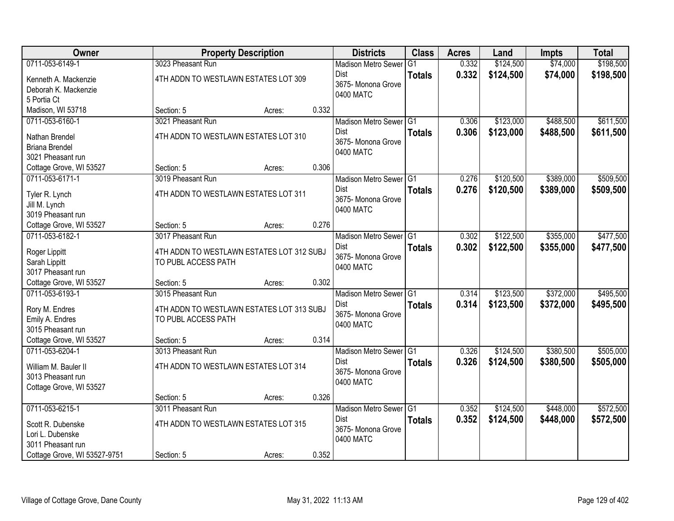| Owner                                |                                                                  | <b>Property Description</b> |       | <b>Districts</b>           | <b>Class</b>    | <b>Acres</b> | Land      | Impts     | <b>Total</b> |
|--------------------------------------|------------------------------------------------------------------|-----------------------------|-------|----------------------------|-----------------|--------------|-----------|-----------|--------------|
| 0711-053-6149-1                      | 3023 Pheasant Run                                                |                             |       | <b>Madison Metro Sewer</b> | $\overline{G1}$ | 0.332        | \$124,500 | \$74,000  | \$198,500    |
| Kenneth A. Mackenzie                 | 4TH ADDN TO WESTLAWN ESTATES LOT 309                             |                             |       | Dist                       | <b>Totals</b>   | 0.332        | \$124,500 | \$74,000  | \$198,500    |
| Deborah K. Mackenzie                 |                                                                  |                             |       | 3675- Monona Grove         |                 |              |           |           |              |
| 5 Portia Ct                          |                                                                  |                             |       | 0400 MATC                  |                 |              |           |           |              |
| Madison, WI 53718                    | Section: 5                                                       | Acres:                      | 0.332 |                            |                 |              |           |           |              |
| 0711-053-6160-1                      | 3021 Pheasant Run                                                |                             |       | Madison Metro Sewer G1     |                 | 0.306        | \$123,000 | \$488,500 | \$611,500    |
| Nathan Brendel                       | 4TH ADDN TO WESTLAWN ESTATES LOT 310                             |                             |       | Dist                       | <b>Totals</b>   | 0.306        | \$123,000 | \$488,500 | \$611,500    |
| <b>Briana Brendel</b>                |                                                                  |                             |       | 3675- Monona Grove         |                 |              |           |           |              |
| 3021 Pheasant run                    |                                                                  |                             |       | 0400 MATC                  |                 |              |           |           |              |
| Cottage Grove, WI 53527              | Section: 5                                                       | Acres:                      | 0.306 |                            |                 |              |           |           |              |
| 0711-053-6171-1                      | 3019 Pheasant Run                                                |                             |       | Madison Metro Sewer G1     |                 | 0.276        | \$120,500 | \$389,000 | \$509,500    |
| Tyler R. Lynch                       | 4TH ADDN TO WESTLAWN ESTATES LOT 311                             |                             |       | <b>Dist</b>                | <b>Totals</b>   | 0.276        | \$120,500 | \$389,000 | \$509,500    |
| Jill M. Lynch                        |                                                                  |                             |       | 3675- Monona Grove         |                 |              |           |           |              |
| 3019 Pheasant run                    |                                                                  |                             |       | 0400 MATC                  |                 |              |           |           |              |
| Cottage Grove, WI 53527              | Section: 5                                                       | Acres:                      | 0.276 |                            |                 |              |           |           |              |
| 0711-053-6182-1                      | 3017 Pheasant Run                                                |                             |       | Madison Metro Sewer G1     |                 | 0.302        | \$122,500 | \$355,000 | \$477,500    |
|                                      |                                                                  |                             |       | <b>Dist</b>                | <b>Totals</b>   | 0.302        | \$122,500 | \$355,000 | \$477,500    |
| Roger Lippitt                        | 4TH ADDN TO WESTLAWN ESTATES LOT 312 SUBJ<br>TO PUBL ACCESS PATH |                             |       | 3675-Monona Grove          |                 |              |           |           |              |
| Sarah Lippitt<br>3017 Pheasant run   |                                                                  |                             |       | 0400 MATC                  |                 |              |           |           |              |
| Cottage Grove, WI 53527              | Section: 5                                                       | Acres:                      | 0.302 |                            |                 |              |           |           |              |
| 0711-053-6193-1                      | 3015 Pheasant Run                                                |                             |       | Madison Metro Sewer G1     |                 | 0.314        | \$123,500 | \$372,000 | \$495,500    |
|                                      |                                                                  |                             |       | <b>Dist</b>                | <b>Totals</b>   | 0.314        | \$123,500 | \$372,000 | \$495,500    |
| Rory M. Endres                       | 4TH ADDN TO WESTLAWN ESTATES LOT 313 SUBJ                        |                             |       | 3675-Monona Grove          |                 |              |           |           |              |
| Emily A. Endres<br>3015 Pheasant run | TO PUBL ACCESS PATH                                              |                             |       | 0400 MATC                  |                 |              |           |           |              |
| Cottage Grove, WI 53527              | Section: 5                                                       | Acres:                      | 0.314 |                            |                 |              |           |           |              |
| 0711-053-6204-1                      | 3013 Pheasant Run                                                |                             |       | Madison Metro Sewer G1     |                 | 0.326        | \$124,500 | \$380,500 | \$505,000    |
|                                      |                                                                  |                             |       | Dist                       | <b>Totals</b>   | 0.326        | \$124,500 | \$380,500 | \$505,000    |
| William M. Bauler II                 | 4TH ADDN TO WESTLAWN ESTATES LOT 314                             |                             |       | 3675- Monona Grove         |                 |              |           |           |              |
| 3013 Pheasant run                    |                                                                  |                             |       | 0400 MATC                  |                 |              |           |           |              |
| Cottage Grove, WI 53527              | Section: 5                                                       |                             | 0.326 |                            |                 |              |           |           |              |
| 0711-053-6215-1                      | 3011 Pheasant Run                                                | Acres:                      |       | Madison Metro Sewer G1     |                 | 0.352        | \$124,500 | \$448,000 | \$572,500    |
|                                      |                                                                  |                             |       | Dist                       | <b>Totals</b>   | 0.352        | \$124,500 | \$448,000 | \$572,500    |
| Scott R. Dubenske                    | 4TH ADDN TO WESTLAWN ESTATES LOT 315                             |                             |       | 3675- Monona Grove         |                 |              |           |           |              |
| Lori L. Dubenske                     |                                                                  |                             |       | 0400 MATC                  |                 |              |           |           |              |
| 3011 Pheasant run                    |                                                                  |                             |       |                            |                 |              |           |           |              |
| Cottage Grove, WI 53527-9751         | Section: 5                                                       | Acres:                      | 0.352 |                            |                 |              |           |           |              |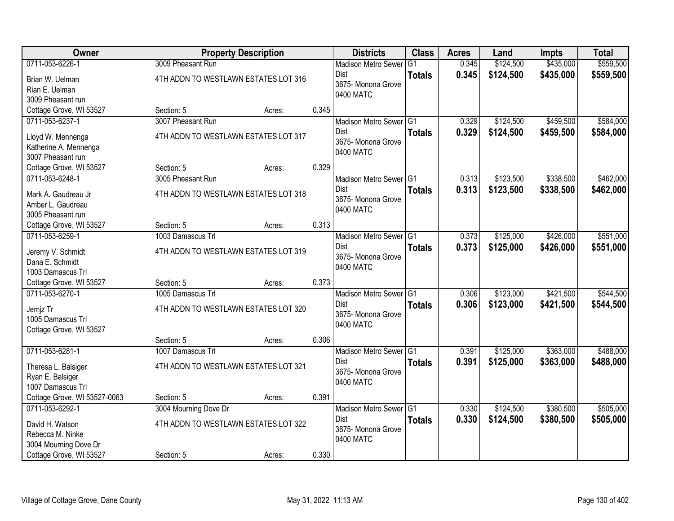| Owner                        |                                      | <b>Property Description</b> |       | <b>Districts</b>                | <b>Class</b>  | <b>Acres</b> | Land      | <b>Impts</b> | <b>Total</b> |
|------------------------------|--------------------------------------|-----------------------------|-------|---------------------------------|---------------|--------------|-----------|--------------|--------------|
| 0711-053-6226-1              | 3009 Pheasant Run                    |                             |       | <b>Madison Metro Sewer</b>      | G1            | 0.345        | \$124,500 | \$435,000    | \$559,500    |
| Brian W. Uelman              | 4TH ADDN TO WESTLAWN ESTATES LOT 316 |                             |       | Dist                            | <b>Totals</b> | 0.345        | \$124,500 | \$435,000    | \$559,500    |
| Rian E. Uelman               |                                      |                             |       | 3675- Monona Grove              |               |              |           |              |              |
| 3009 Pheasant run            |                                      |                             |       | 0400 MATC                       |               |              |           |              |              |
| Cottage Grove, WI 53527      | Section: 5                           | Acres:                      | 0.345 |                                 |               |              |           |              |              |
| 0711-053-6237-1              | 3007 Pheasant Run                    |                             |       | Madison Metro Sewer G1          |               | 0.329        | \$124,500 | \$459,500    | \$584,000    |
| Lloyd W. Mennenga            | 4TH ADDN TO WESTLAWN ESTATES LOT 317 |                             |       | <b>Dist</b>                     | <b>Totals</b> | 0.329        | \$124,500 | \$459,500    | \$584,000    |
| Katherine A. Mennenga        |                                      |                             |       | 3675- Monona Grove<br>0400 MATC |               |              |           |              |              |
| 3007 Pheasant run            |                                      |                             |       |                                 |               |              |           |              |              |
| Cottage Grove, WI 53527      | Section: 5                           | Acres:                      | 0.329 |                                 |               |              |           |              |              |
| 0711-053-6248-1              | 3005 Pheasant Run                    |                             |       | Madison Metro Sewer G1          |               | 0.313        | \$123,500 | \$338,500    | \$462,000    |
| Mark A. Gaudreau Jr          | 4TH ADDN TO WESTLAWN ESTATES LOT 318 |                             |       | Dist                            | <b>Totals</b> | 0.313        | \$123,500 | \$338,500    | \$462,000    |
| Amber L. Gaudreau            |                                      |                             |       | 3675- Monona Grove              |               |              |           |              |              |
| 3005 Pheasant run            |                                      |                             |       | 0400 MATC                       |               |              |           |              |              |
| Cottage Grove, WI 53527      | Section: 5                           | Acres:                      | 0.313 |                                 |               |              |           |              |              |
| 0711-053-6259-1              | 1003 Damascus Trl                    |                             |       | Madison Metro Sewer G1          |               | 0.373        | \$125,000 | \$426,000    | \$551,000    |
| Jeremy V. Schmidt            | 4TH ADDN TO WESTLAWN ESTATES LOT 319 |                             |       | Dist                            | <b>Totals</b> | 0.373        | \$125,000 | \$426,000    | \$551,000    |
| Dana E. Schmidt              |                                      |                             |       | 3675- Monona Grove              |               |              |           |              |              |
| 1003 Damascus Trl            |                                      |                             |       | 0400 MATC                       |               |              |           |              |              |
| Cottage Grove, WI 53527      | Section: 5                           | Acres:                      | 0.373 |                                 |               |              |           |              |              |
| 0711-053-6270-1              | 1005 Damascus Trl                    |                             |       | Madison Metro Sewer G1          |               | 0.306        | \$123,000 | \$421,500    | \$544,500    |
| Jemjz Tr                     | 4TH ADDN TO WESTLAWN ESTATES LOT 320 |                             |       | Dist                            | <b>Totals</b> | 0.306        | \$123,000 | \$421,500    | \$544,500    |
| 1005 Damascus Trl            |                                      |                             |       | 3675- Monona Grove              |               |              |           |              |              |
| Cottage Grove, WI 53527      |                                      |                             |       | 0400 MATC                       |               |              |           |              |              |
|                              | Section: 5                           | Acres:                      | 0.306 |                                 |               |              |           |              |              |
| 0711-053-6281-1              | 1007 Damascus Trl                    |                             |       | Madison Metro Sewer G1          |               | 0.391        | \$125,000 | \$363,000    | \$488,000    |
| Theresa L. Balsiger          | 4TH ADDN TO WESTLAWN ESTATES LOT 321 |                             |       | Dist                            | <b>Totals</b> | 0.391        | \$125,000 | \$363,000    | \$488,000    |
| Ryan E. Balsiger             |                                      |                             |       | 3675- Monona Grove              |               |              |           |              |              |
| 1007 Damascus Trl            |                                      |                             |       | 0400 MATC                       |               |              |           |              |              |
| Cottage Grove, WI 53527-0063 | Section: 5                           | Acres:                      | 0.391 |                                 |               |              |           |              |              |
| 0711-053-6292-1              | 3004 Mourning Dove Dr                |                             |       | Madison Metro Sewer G1          |               | 0.330        | \$124,500 | \$380,500    | \$505,000    |
| David H. Watson              | 4TH ADDN TO WESTLAWN ESTATES LOT 322 |                             |       | Dist                            | <b>Totals</b> | 0.330        | \$124,500 | \$380,500    | \$505,000    |
| Rebecca M. Ninke             |                                      |                             |       | 3675- Monona Grove              |               |              |           |              |              |
| 3004 Mourning Dove Dr        |                                      |                             |       | 0400 MATC                       |               |              |           |              |              |
| Cottage Grove, WI 53527      | Section: 5                           | Acres:                      | 0.330 |                                 |               |              |           |              |              |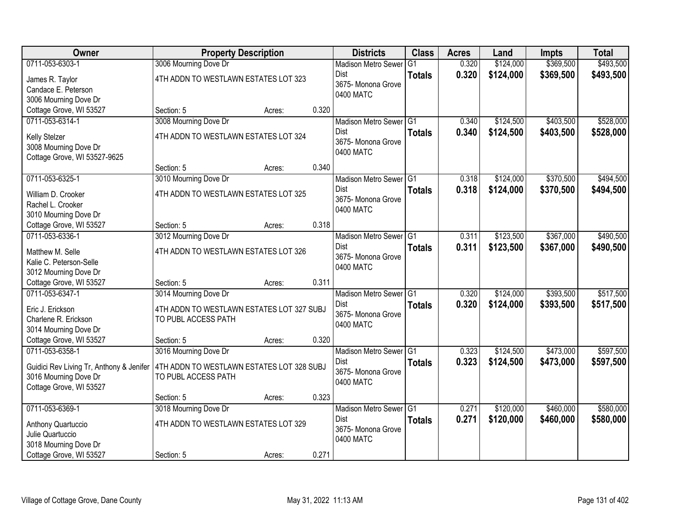| Owner                                    | <b>Property Description</b>               |        |       | <b>Districts</b>                  | <b>Class</b>  | <b>Acres</b> | Land      | <b>Impts</b> | <b>Total</b> |
|------------------------------------------|-------------------------------------------|--------|-------|-----------------------------------|---------------|--------------|-----------|--------------|--------------|
| 0711-053-6303-1                          | 3006 Mourning Dove Dr                     |        |       | <b>Madison Metro Sewer</b>        | G1            | 0.320        | \$124,000 | \$369,500    | \$493,500    |
| James R. Taylor                          | 4TH ADDN TO WESTLAWN ESTATES LOT 323      |        |       | Dist                              | <b>Totals</b> | 0.320        | \$124,000 | \$369,500    | \$493,500    |
| Candace E. Peterson                      |                                           |        |       | 3675- Monona Grove                |               |              |           |              |              |
| 3006 Mourning Dove Dr                    |                                           |        |       | 0400 MATC                         |               |              |           |              |              |
| Cottage Grove, WI 53527                  | Section: 5                                | Acres: | 0.320 |                                   |               |              |           |              |              |
| 0711-053-6314-1                          | 3008 Mourning Dove Dr                     |        |       | Madison Metro Sewer G1            |               | 0.340        | \$124,500 | \$403,500    | \$528,000    |
| Kelly Stelzer                            | 4TH ADDN TO WESTLAWN ESTATES LOT 324      |        |       | <b>Dist</b>                       | <b>Totals</b> | 0.340        | \$124,500 | \$403,500    | \$528,000    |
| 3008 Mourning Dove Dr                    |                                           |        |       | 3675- Monona Grove                |               |              |           |              |              |
| Cottage Grove, WI 53527-9625             |                                           |        |       | 0400 MATC                         |               |              |           |              |              |
|                                          | Section: 5                                | Acres: | 0.340 |                                   |               |              |           |              |              |
| 0711-053-6325-1                          | 3010 Mourning Dove Dr                     |        |       | Madison Metro Sewer G1            |               | 0.318        | \$124,000 | \$370,500    | \$494,500    |
| William D. Crooker                       | 4TH ADDN TO WESTLAWN ESTATES LOT 325      |        |       | <b>Dist</b>                       | <b>Totals</b> | 0.318        | \$124,000 | \$370,500    | \$494,500    |
| Rachel L. Crooker                        |                                           |        |       | 3675- Monona Grove                |               |              |           |              |              |
| 3010 Mourning Dove Dr                    |                                           |        |       | 0400 MATC                         |               |              |           |              |              |
| Cottage Grove, WI 53527                  | Section: 5                                | Acres: | 0.318 |                                   |               |              |           |              |              |
| 0711-053-6336-1                          | 3012 Mourning Dove Dr                     |        |       | Madison Metro Sewer G1            |               | 0.311        | \$123,500 | \$367,000    | \$490,500    |
| Matthew M. Selle                         | 4TH ADDN TO WESTLAWN ESTATES LOT 326      |        |       | <b>Dist</b>                       | <b>Totals</b> | 0.311        | \$123,500 | \$367,000    | \$490,500    |
| Kalie C. Peterson-Selle                  |                                           |        |       | 3675- Monona Grove                |               |              |           |              |              |
| 3012 Mourning Dove Dr                    |                                           |        |       | 0400 MATC                         |               |              |           |              |              |
| Cottage Grove, WI 53527                  | Section: 5                                | Acres: | 0.311 |                                   |               |              |           |              |              |
| 0711-053-6347-1                          | 3014 Mourning Dove Dr                     |        |       | Madison Metro Sewer <sup>G1</sup> |               | 0.320        | \$124,000 | \$393,500    | \$517,500    |
| Eric J. Erickson                         | 4TH ADDN TO WESTLAWN ESTATES LOT 327 SUBJ |        |       | <b>Dist</b>                       | <b>Totals</b> | 0.320        | \$124,000 | \$393,500    | \$517,500    |
| Charlene R. Erickson                     | TO PUBL ACCESS PATH                       |        |       | 3675- Monona Grove                |               |              |           |              |              |
| 3014 Mourning Dove Dr                    |                                           |        |       | 0400 MATC                         |               |              |           |              |              |
| Cottage Grove, WI 53527                  | Section: 5                                | Acres: | 0.320 |                                   |               |              |           |              |              |
| 0711-053-6358-1                          | 3016 Mourning Dove Dr                     |        |       | Madison Metro Sewer G1            |               | 0.323        | \$124,500 | \$473,000    | \$597,500    |
| Guidici Rev Living Tr, Anthony & Jenifer | 4TH ADDN TO WESTLAWN ESTATES LOT 328 SUBJ |        |       | Dist                              | <b>Totals</b> | 0.323        | \$124,500 | \$473,000    | \$597,500    |
| 3016 Mourning Dove Dr                    | TO PUBL ACCESS PATH                       |        |       | 3675- Monona Grove                |               |              |           |              |              |
| Cottage Grove, WI 53527                  |                                           |        |       | 0400 MATC                         |               |              |           |              |              |
|                                          | Section: 5                                | Acres: | 0.323 |                                   |               |              |           |              |              |
| 0711-053-6369-1                          | 3018 Mourning Dove Dr                     |        |       | Madison Metro Sewer G1            |               | 0.271        | \$120,000 | \$460,000    | \$580,000    |
| Anthony Quartuccio                       | 4TH ADDN TO WESTLAWN ESTATES LOT 329      |        |       | Dist                              | <b>Totals</b> | 0.271        | \$120,000 | \$460,000    | \$580,000    |
| Julie Quartuccio                         |                                           |        |       | 3675- Monona Grove                |               |              |           |              |              |
| 3018 Mourning Dove Dr                    |                                           |        |       | 0400 MATC                         |               |              |           |              |              |
| Cottage Grove, WI 53527                  | Section: 5                                | Acres: | 0.271 |                                   |               |              |           |              |              |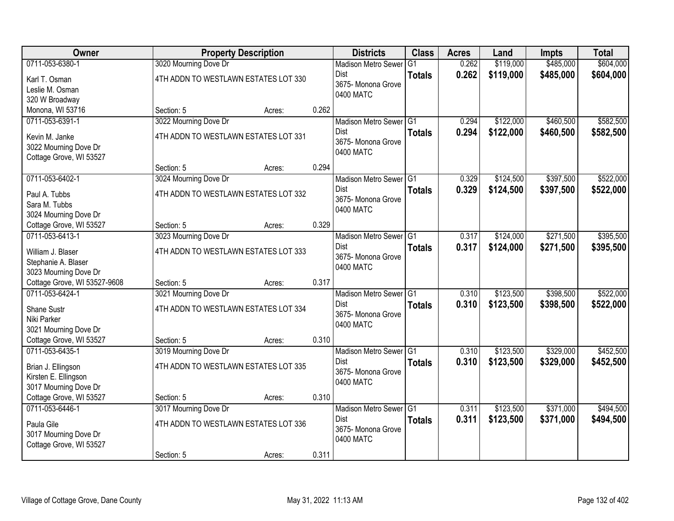| Owner                        |                                      | <b>Property Description</b> |       | <b>Districts</b>                  | <b>Class</b>  | <b>Acres</b> | Land      | <b>Impts</b> | <b>Total</b> |
|------------------------------|--------------------------------------|-----------------------------|-------|-----------------------------------|---------------|--------------|-----------|--------------|--------------|
| 0711-053-6380-1              | 3020 Mourning Dove Dr                |                             |       | <b>Madison Metro Sewer</b>        | G1            | 0.262        | \$119,000 | \$485,000    | \$604,000    |
| Karl T. Osman                | 4TH ADDN TO WESTLAWN ESTATES LOT 330 |                             |       | Dist                              | <b>Totals</b> | 0.262        | \$119,000 | \$485,000    | \$604,000    |
| Leslie M. Osman              |                                      |                             |       | 3675- Monona Grove<br>0400 MATC   |               |              |           |              |              |
| 320 W Broadway               |                                      |                             |       |                                   |               |              |           |              |              |
| Monona, WI 53716             | Section: 5                           | Acres:                      | 0.262 |                                   |               |              |           |              |              |
| 0711-053-6391-1              | 3022 Mourning Dove Dr                |                             |       | Madison Metro Sewer G1            |               | 0.294        | \$122,000 | \$460,500    | \$582,500    |
| Kevin M. Janke               | 4TH ADDN TO WESTLAWN ESTATES LOT 331 |                             |       | <b>Dist</b>                       | <b>Totals</b> | 0.294        | \$122,000 | \$460,500    | \$582,500    |
| 3022 Mourning Dove Dr        |                                      |                             |       | 3675- Monona Grove<br>0400 MATC   |               |              |           |              |              |
| Cottage Grove, WI 53527      |                                      |                             |       |                                   |               |              |           |              |              |
|                              | Section: 5                           | Acres:                      | 0.294 |                                   |               |              |           |              |              |
| 0711-053-6402-1              | 3024 Mourning Dove Dr                |                             |       | Madison Metro Sewer G1            |               | 0.329        | \$124,500 | \$397,500    | \$522,000    |
| Paul A. Tubbs                | 4TH ADDN TO WESTLAWN ESTATES LOT 332 |                             |       | <b>Dist</b>                       | <b>Totals</b> | 0.329        | \$124,500 | \$397,500    | \$522,000    |
| Sara M. Tubbs                |                                      |                             |       | 3675- Monona Grove<br>0400 MATC   |               |              |           |              |              |
| 3024 Mourning Dove Dr        |                                      |                             |       |                                   |               |              |           |              |              |
| Cottage Grove, WI 53527      | Section: 5                           | Acres:                      | 0.329 |                                   |               |              |           |              |              |
| 0711-053-6413-1              | 3023 Mourning Dove Dr                |                             |       | Madison Metro Sewer G1            |               | 0.317        | \$124,000 | \$271,500    | \$395,500    |
| William J. Blaser            | 4TH ADDN TO WESTLAWN ESTATES LOT 333 |                             |       | <b>Dist</b>                       | <b>Totals</b> | 0.317        | \$124,000 | \$271,500    | \$395,500    |
| Stephanie A. Blaser          |                                      |                             |       | 3675- Monona Grove<br>0400 MATC   |               |              |           |              |              |
| 3023 Mourning Dove Dr        |                                      |                             |       |                                   |               |              |           |              |              |
| Cottage Grove, WI 53527-9608 | Section: 5                           | Acres:                      | 0.317 |                                   |               |              |           |              |              |
| 0711-053-6424-1              | 3021 Mourning Dove Dr                |                             |       | Madison Metro Sewer <sup>G1</sup> |               | 0.310        | \$123,500 | \$398,500    | \$522,000    |
| Shane Sustr                  | 4TH ADDN TO WESTLAWN ESTATES LOT 334 |                             |       | <b>Dist</b>                       | <b>Totals</b> | 0.310        | \$123,500 | \$398,500    | \$522,000    |
| Niki Parker                  |                                      |                             |       | 3675-Monona Grove<br>0400 MATC    |               |              |           |              |              |
| 3021 Mourning Dove Dr        |                                      |                             |       |                                   |               |              |           |              |              |
| Cottage Grove, WI 53527      | Section: 5                           | Acres:                      | 0.310 |                                   |               |              |           |              |              |
| 0711-053-6435-1              | 3019 Mourning Dove Dr                |                             |       | Madison Metro Sewer G1            |               | 0.310        | \$123,500 | \$329,000    | \$452,500    |
| Brian J. Ellingson           | 4TH ADDN TO WESTLAWN ESTATES LOT 335 |                             |       | <b>Dist</b><br>3675- Monona Grove | <b>Totals</b> | 0.310        | \$123,500 | \$329,000    | \$452,500    |
| Kirsten E. Ellingson         |                                      |                             |       | 0400 MATC                         |               |              |           |              |              |
| 3017 Mourning Dove Dr        |                                      |                             |       |                                   |               |              |           |              |              |
| Cottage Grove, WI 53527      | Section: 5                           | Acres:                      | 0.310 |                                   |               |              |           |              |              |
| 0711-053-6446-1              | 3017 Mourning Dove Dr                |                             |       | Madison Metro Sewer G1            |               | 0.311        | \$123,500 | \$371,000    | \$494,500    |
| Paula Gile                   | 4TH ADDN TO WESTLAWN ESTATES LOT 336 |                             |       | Dist                              | <b>Totals</b> | 0.311        | \$123,500 | \$371,000    | \$494,500    |
| 3017 Mourning Dove Dr        |                                      |                             |       | 3675- Monona Grove<br>0400 MATC   |               |              |           |              |              |
| Cottage Grove, WI 53527      |                                      |                             |       |                                   |               |              |           |              |              |
|                              | Section: 5                           | Acres:                      | 0.311 |                                   |               |              |           |              |              |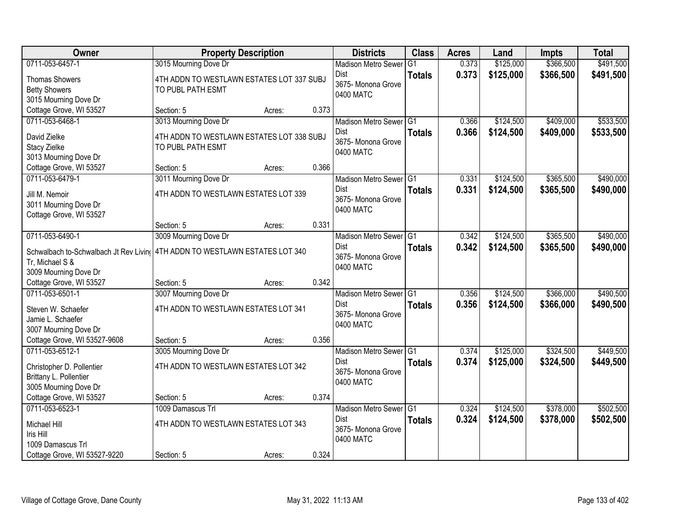| <b>Owner</b>                                              | <b>Property Description</b>               |        |       | <b>Districts</b>                  | <b>Class</b>   | <b>Acres</b> | Land      | <b>Impts</b> | <b>Total</b> |
|-----------------------------------------------------------|-------------------------------------------|--------|-------|-----------------------------------|----------------|--------------|-----------|--------------|--------------|
| 0711-053-6457-1                                           | 3015 Mourning Dove Dr                     |        |       | <b>Madison Metro Sewer</b>        | G <sub>1</sub> | 0.373        | \$125,000 | \$366,500    | \$491,500    |
| <b>Thomas Showers</b>                                     | 4TH ADDN TO WESTLAWN ESTATES LOT 337 SUBJ |        |       | Dist                              | <b>Totals</b>  | 0.373        | \$125,000 | \$366,500    | \$491,500    |
| <b>Betty Showers</b>                                      | TO PUBL PATH ESMT                         |        |       | 3675- Monona Grove                |                |              |           |              |              |
| 3015 Mourning Dove Dr                                     |                                           |        |       | 0400 MATC                         |                |              |           |              |              |
| Cottage Grove, WI 53527                                   | Section: 5                                | Acres: | 0.373 |                                   |                |              |           |              |              |
| 0711-053-6468-1                                           | 3013 Mourning Dove Dr                     |        |       | Madison Metro Sewer G1            |                | 0.366        | \$124,500 | \$409,000    | \$533,500    |
| David Zielke                                              | 4TH ADDN TO WESTLAWN ESTATES LOT 338 SUBJ |        |       | Dist                              | <b>Totals</b>  | 0.366        | \$124,500 | \$409,000    | \$533,500    |
| Stacy Zielke                                              | TO PUBL PATH ESMT                         |        |       | 3675- Monona Grove                |                |              |           |              |              |
| 3013 Mourning Dove Dr                                     |                                           |        |       | 0400 MATC                         |                |              |           |              |              |
| Cottage Grove, WI 53527                                   | Section: 5                                | Acres: | 0.366 |                                   |                |              |           |              |              |
| 0711-053-6479-1                                           | 3011 Mourning Dove Dr                     |        |       | Madison Metro Sewer G1            |                | 0.331        | \$124,500 | \$365,500    | \$490,000    |
| Jill M. Nemoir                                            | 4TH ADDN TO WESTLAWN ESTATES LOT 339      |        |       | Dist                              | <b>Totals</b>  | 0.331        | \$124,500 | \$365,500    | \$490,000    |
| 3011 Mourning Dove Dr                                     |                                           |        |       | 3675- Monona Grove                |                |              |           |              |              |
| Cottage Grove, WI 53527                                   |                                           |        |       | 0400 MATC                         |                |              |           |              |              |
|                                                           | Section: 5                                | Acres: | 0.331 |                                   |                |              |           |              |              |
| 0711-053-6490-1                                           | 3009 Mourning Dove Dr                     |        |       | Madison Metro Sewer G1            |                | 0.342        | \$124,500 | \$365,500    | \$490,000    |
|                                                           |                                           |        |       | Dist                              | <b>Totals</b>  | 0.342        | \$124,500 | \$365,500    | \$490,000    |
| Schwalbach to-Schwalbach Jt Rev Living<br>Tr, Michael S & | 4TH ADDN TO WESTLAWN ESTATES LOT 340      |        |       | 3675- Monona Grove                |                |              |           |              |              |
| 3009 Mourning Dove Dr                                     |                                           |        |       | 0400 MATC                         |                |              |           |              |              |
| Cottage Grove, WI 53527                                   | Section: 5                                | Acres: | 0.342 |                                   |                |              |           |              |              |
| 0711-053-6501-1                                           | 3007 Mourning Dove Dr                     |        |       | Madison Metro Sewer <sup>G1</sup> |                | 0.356        | \$124,500 | \$366,000    | \$490,500    |
|                                                           |                                           |        |       | Dist                              | <b>Totals</b>  | 0.356        | \$124,500 | \$366,000    | \$490,500    |
| Steven W. Schaefer                                        | 4TH ADDN TO WESTLAWN ESTATES LOT 341      |        |       | 3675- Monona Grove                |                |              |           |              |              |
| Jamie L. Schaefer                                         |                                           |        |       | 0400 MATC                         |                |              |           |              |              |
| 3007 Mourning Dove Dr                                     |                                           |        |       |                                   |                |              |           |              |              |
| Cottage Grove, WI 53527-9608                              | Section: 5                                | Acres: | 0.356 |                                   |                |              |           |              |              |
| 0711-053-6512-1                                           | 3005 Mourning Dove Dr                     |        |       | Madison Metro Sewer G1            |                | 0.374        | \$125,000 | \$324,500    | \$449,500    |
| Christopher D. Pollentier                                 | 4TH ADDN TO WESTLAWN ESTATES LOT 342      |        |       | Dist<br>3675- Monona Grove        | <b>Totals</b>  | 0.374        | \$125,000 | \$324,500    | \$449,500    |
| Brittany L. Pollentier                                    |                                           |        |       | 0400 MATC                         |                |              |           |              |              |
| 3005 Mourning Dove Dr                                     |                                           |        |       |                                   |                |              |           |              |              |
| Cottage Grove, WI 53527                                   | Section: 5                                | Acres: | 0.374 |                                   |                |              |           |              |              |
| 0711-053-6523-1                                           | 1009 Damascus Trl                         |        |       | Madison Metro Sewer G1            |                | 0.324        | \$124,500 | \$378,000    | \$502,500    |
| Michael Hill                                              | 4TH ADDN TO WESTLAWN ESTATES LOT 343      |        |       | Dist                              | <b>Totals</b>  | 0.324        | \$124,500 | \$378,000    | \$502,500    |
| Iris Hill                                                 |                                           |        |       | 3675- Monona Grove                |                |              |           |              |              |
| 1009 Damascus Trl                                         |                                           |        |       | 0400 MATC                         |                |              |           |              |              |
| Cottage Grove, WI 53527-9220                              | Section: 5                                | Acres: | 0.324 |                                   |                |              |           |              |              |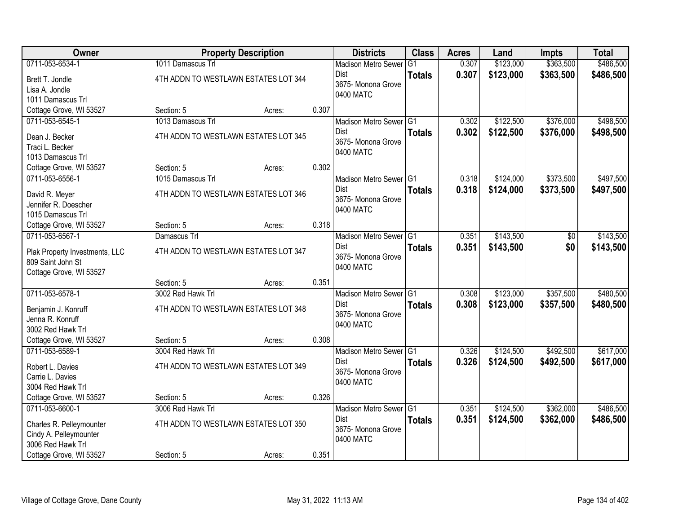| Owner                          |                                      | <b>Property Description</b> |       | <b>Districts</b>           | <b>Class</b>  | <b>Acres</b> | Land      | <b>Impts</b> | <b>Total</b> |
|--------------------------------|--------------------------------------|-----------------------------|-------|----------------------------|---------------|--------------|-----------|--------------|--------------|
| 0711-053-6534-1                | 1011 Damascus Trl                    |                             |       | <b>Madison Metro Sewer</b> | G1            | 0.307        | \$123,000 | \$363,500    | \$486,500    |
| Brett T. Jondle                | 4TH ADDN TO WESTLAWN ESTATES LOT 344 |                             |       | Dist                       | <b>Totals</b> | 0.307        | \$123,000 | \$363,500    | \$486,500    |
| Lisa A. Jondle                 |                                      |                             |       | 3675- Monona Grove         |               |              |           |              |              |
| 1011 Damascus Trl              |                                      |                             |       | 0400 MATC                  |               |              |           |              |              |
| Cottage Grove, WI 53527        | Section: 5                           | Acres:                      | 0.307 |                            |               |              |           |              |              |
| 0711-053-6545-1                | 1013 Damascus Trl                    |                             |       | Madison Metro Sewer G1     |               | 0.302        | \$122,500 | \$376,000    | \$498,500    |
| Dean J. Becker                 | 4TH ADDN TO WESTLAWN ESTATES LOT 345 |                             |       | Dist                       | <b>Totals</b> | 0.302        | \$122,500 | \$376,000    | \$498,500    |
| Traci L. Becker                |                                      |                             |       | 3675- Monona Grove         |               |              |           |              |              |
| 1013 Damascus Trl              |                                      |                             |       | 0400 MATC                  |               |              |           |              |              |
| Cottage Grove, WI 53527        | Section: 5                           | Acres:                      | 0.302 |                            |               |              |           |              |              |
| 0711-053-6556-1                | 1015 Damascus Trl                    |                             |       | Madison Metro Sewer G1     |               | 0.318        | \$124,000 | \$373,500    | \$497,500    |
| David R. Meyer                 | 4TH ADDN TO WESTLAWN ESTATES LOT 346 |                             |       | Dist                       | <b>Totals</b> | 0.318        | \$124,000 | \$373,500    | \$497,500    |
| Jennifer R. Doescher           |                                      |                             |       | 3675- Monona Grove         |               |              |           |              |              |
| 1015 Damascus Trl              |                                      |                             |       | 0400 MATC                  |               |              |           |              |              |
| Cottage Grove, WI 53527        | Section: 5                           | Acres:                      | 0.318 |                            |               |              |           |              |              |
| 0711-053-6567-1                | Damascus Trl                         |                             |       | Madison Metro Sewer G1     |               | 0.351        | \$143,500 | \$0          | \$143,500    |
| Plak Property Investments, LLC | 4TH ADDN TO WESTLAWN ESTATES LOT 347 |                             |       | Dist                       | <b>Totals</b> | 0.351        | \$143,500 | \$0          | \$143,500    |
| 809 Saint John St              |                                      |                             |       | 3675- Monona Grove         |               |              |           |              |              |
| Cottage Grove, WI 53527        |                                      |                             |       | 0400 MATC                  |               |              |           |              |              |
|                                | Section: 5                           | Acres:                      | 0.351 |                            |               |              |           |              |              |
| 0711-053-6578-1                | 3002 Red Hawk Trl                    |                             |       | Madison Metro Sewer G1     |               | 0.308        | \$123,000 | \$357,500    | \$480,500    |
| Benjamin J. Konruff            | 4TH ADDN TO WESTLAWN ESTATES LOT 348 |                             |       | <b>Dist</b>                | <b>Totals</b> | 0.308        | \$123,000 | \$357,500    | \$480,500    |
| Jenna R. Konruff               |                                      |                             |       | 3675- Monona Grove         |               |              |           |              |              |
| 3002 Red Hawk Trl              |                                      |                             |       | 0400 MATC                  |               |              |           |              |              |
| Cottage Grove, WI 53527        | Section: 5                           | Acres:                      | 0.308 |                            |               |              |           |              |              |
| 0711-053-6589-1                | 3004 Red Hawk Trl                    |                             |       | Madison Metro Sewer G1     |               | 0.326        | \$124,500 | \$492,500    | \$617,000    |
| Robert L. Davies               | 4TH ADDN TO WESTLAWN ESTATES LOT 349 |                             |       | Dist                       | <b>Totals</b> | 0.326        | \$124,500 | \$492,500    | \$617,000    |
| Carrie L. Davies               |                                      |                             |       | 3675- Monona Grove         |               |              |           |              |              |
| 3004 Red Hawk Trl              |                                      |                             |       | 0400 MATC                  |               |              |           |              |              |
| Cottage Grove, WI 53527        | Section: 5                           | Acres:                      | 0.326 |                            |               |              |           |              |              |
| 0711-053-6600-1                | 3006 Red Hawk Trl                    |                             |       | Madison Metro Sewer G1     |               | 0.351        | \$124,500 | \$362,000    | \$486,500    |
| Charles R. Pelleymounter       | 4TH ADDN TO WESTLAWN ESTATES LOT 350 |                             |       | Dist                       | <b>Totals</b> | 0.351        | \$124,500 | \$362,000    | \$486,500    |
| Cindy A. Pelleymounter         |                                      |                             |       | 3675- Monona Grove         |               |              |           |              |              |
| 3006 Red Hawk Trl              |                                      |                             |       | 0400 MATC                  |               |              |           |              |              |
| Cottage Grove, WI 53527        | Section: 5                           | Acres:                      | 0.351 |                            |               |              |           |              |              |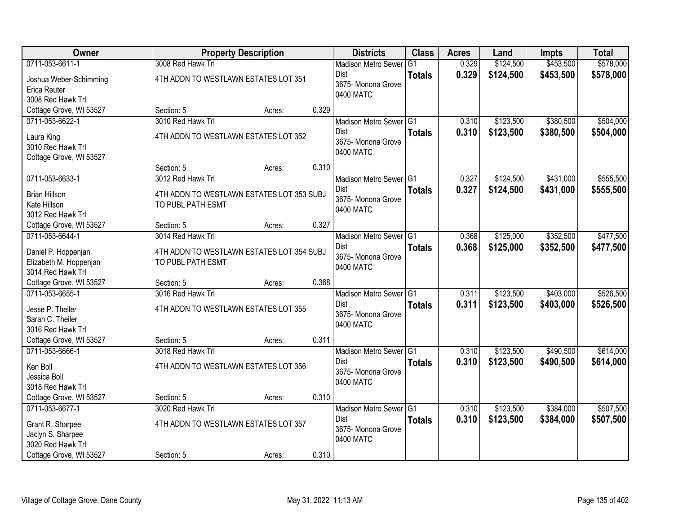| Owner                   |                                           | <b>Property Description</b> |       | <b>Districts</b>                | <b>Class</b>  | <b>Acres</b> | Land      | <b>Impts</b> | <b>Total</b> |
|-------------------------|-------------------------------------------|-----------------------------|-------|---------------------------------|---------------|--------------|-----------|--------------|--------------|
| 0711-053-6611-1         | 3008 Red Hawk Trl                         |                             |       | <b>Madison Metro Sewer</b>      | G1            | 0.329        | \$124,500 | \$453,500    | \$578,000    |
| Joshua Weber-Schimming  | 4TH ADDN TO WESTLAWN ESTATES LOT 351      |                             |       | Dist                            | <b>Totals</b> | 0.329        | \$124,500 | \$453,500    | \$578,000    |
| Erica Reuter            |                                           |                             |       | 3675- Monona Grove              |               |              |           |              |              |
| 3008 Red Hawk Trl       |                                           |                             |       | 0400 MATC                       |               |              |           |              |              |
| Cottage Grove, WI 53527 | Section: 5                                | Acres:                      | 0.329 |                                 |               |              |           |              |              |
| 0711-053-6622-1         | 3010 Red Hawk Trl                         |                             |       | Madison Metro Sewer G1          |               | 0.310        | \$123,500 | \$380,500    | \$504,000    |
| Laura King              | 4TH ADDN TO WESTLAWN ESTATES LOT 352      |                             |       | <b>Dist</b>                     | <b>Totals</b> | 0.310        | \$123,500 | \$380,500    | \$504,000    |
| 3010 Red Hawk Trl       |                                           |                             |       | 3675- Monona Grove              |               |              |           |              |              |
| Cottage Grove, WI 53527 |                                           |                             |       | 0400 MATC                       |               |              |           |              |              |
|                         | Section: 5                                | Acres:                      | 0.310 |                                 |               |              |           |              |              |
| 0711-053-6633-1         | 3012 Red Hawk Trl                         |                             |       | Madison Metro Sewer G1          |               | 0.327        | \$124,500 | \$431,000    | \$555,500    |
| <b>Brian Hillson</b>    | 4TH ADDN TO WESTLAWN ESTATES LOT 353 SUBJ |                             |       | <b>Dist</b>                     | <b>Totals</b> | 0.327        | \$124,500 | \$431,000    | \$555,500    |
| Kate Hillson            | TO PUBL PATH ESMT                         |                             |       | 3675- Monona Grove              |               |              |           |              |              |
| 3012 Red Hawk Trl       |                                           |                             |       | 0400 MATC                       |               |              |           |              |              |
| Cottage Grove, WI 53527 | Section: 5                                | Acres:                      | 0.327 |                                 |               |              |           |              |              |
| 0711-053-6644-1         | 3014 Red Hawk Trl                         |                             |       | Madison Metro Sewer G1          |               | 0.368        | \$125,000 | \$352,500    | \$477,500    |
| Daniel P. Hoppenjan     | 4TH ADDN TO WESTLAWN ESTATES LOT 354 SUBJ |                             |       | <b>Dist</b>                     | <b>Totals</b> | 0.368        | \$125,000 | \$352,500    | \$477,500    |
| Elizabeth M. Hoppenjan  | TO PUBL PATH ESMT                         |                             |       | 3675- Monona Grove              |               |              |           |              |              |
| 3014 Red Hawk Trl       |                                           |                             |       | 0400 MATC                       |               |              |           |              |              |
| Cottage Grove, WI 53527 | Section: 5                                | Acres:                      | 0.368 |                                 |               |              |           |              |              |
| 0711-053-6655-1         | 3016 Red Hawk Trl                         |                             |       | Madison Metro Sewer G1          |               | 0.311        | \$123,500 | \$403,000    | \$526,500    |
| Jesse P. Theiler        | 4TH ADDN TO WESTLAWN ESTATES LOT 355      |                             |       | <b>Dist</b>                     | <b>Totals</b> | 0.311        | \$123,500 | \$403,000    | \$526,500    |
| Sarah C. Theiler        |                                           |                             |       | 3675- Monona Grove              |               |              |           |              |              |
| 3016 Red Hawk Trl       |                                           |                             |       | 0400 MATC                       |               |              |           |              |              |
| Cottage Grove, WI 53527 | Section: 5                                | Acres:                      | 0.311 |                                 |               |              |           |              |              |
| 0711-053-6666-1         | 3018 Red Hawk Trl                         |                             |       | Madison Metro Sewer G1          |               | 0.310        | \$123,500 | \$490,500    | \$614,000    |
| Ken Boll                | 4TH ADDN TO WESTLAWN ESTATES LOT 356      |                             |       | Dist                            | <b>Totals</b> | 0.310        | \$123,500 | \$490,500    | \$614,000    |
| Jessica Boll            |                                           |                             |       | 3675- Monona Grove<br>0400 MATC |               |              |           |              |              |
| 3018 Red Hawk Trl       |                                           |                             |       |                                 |               |              |           |              |              |
| Cottage Grove, WI 53527 | Section: 5                                | Acres:                      | 0.310 |                                 |               |              |           |              |              |
| 0711-053-6677-1         | 3020 Red Hawk Trl                         |                             |       | Madison Metro Sewer G1          |               | 0.310        | \$123,500 | \$384,000    | \$507,500    |
| Grant R. Sharpee        | 4TH ADDN TO WESTLAWN ESTATES LOT 357      |                             |       | <b>Dist</b>                     | <b>Totals</b> | 0.310        | \$123,500 | \$384,000    | \$507,500    |
| Jaclyn S. Sharpee       |                                           |                             |       | 3675-Monona Grove               |               |              |           |              |              |
| 3020 Red Hawk Trl       |                                           |                             |       | 0400 MATC                       |               |              |           |              |              |
| Cottage Grove, WI 53527 | Section: 5                                | Acres:                      | 0.310 |                                 |               |              |           |              |              |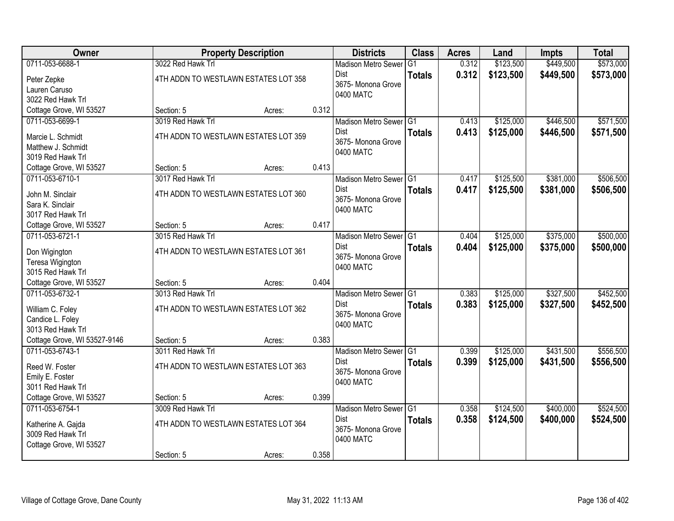| \$449,500<br>0711-053-6688-1<br>3022 Red Hawk Trl<br>\$123,500<br><b>Madison Metro Sewer</b><br>G <sub>1</sub><br>0.312<br>0.312<br>\$123,500<br>\$449,500<br>Dist<br><b>Totals</b><br>4TH ADDN TO WESTLAWN ESTATES LOT 358<br>Peter Zepke<br>3675- Monona Grove<br>Lauren Caruso | \$573,000<br>\$573,000 |
|-----------------------------------------------------------------------------------------------------------------------------------------------------------------------------------------------------------------------------------------------------------------------------------|------------------------|
|                                                                                                                                                                                                                                                                                   |                        |
|                                                                                                                                                                                                                                                                                   |                        |
|                                                                                                                                                                                                                                                                                   |                        |
| 0400 MATC<br>3022 Red Hawk Trl                                                                                                                                                                                                                                                    |                        |
| Cottage Grove, WI 53527<br>Section: 5<br>0.312<br>Acres:                                                                                                                                                                                                                          |                        |
| 3019 Red Hawk Trl<br>\$125,000<br>\$446,500<br>0711-053-6699-1<br>Madison Metro Sewer G1<br>0.413                                                                                                                                                                                 | \$571,500              |
| 0.413<br><b>Dist</b><br>\$125,000<br>\$446,500<br><b>Totals</b><br>4TH ADDN TO WESTLAWN ESTATES LOT 359<br>Marcie L. Schmidt                                                                                                                                                      | \$571,500              |
| 3675- Monona Grove<br>Matthew J. Schmidt                                                                                                                                                                                                                                          |                        |
| 0400 MATC<br>3019 Red Hawk Trl                                                                                                                                                                                                                                                    |                        |
| 0.413<br>Cottage Grove, WI 53527<br>Section: 5<br>Acres:                                                                                                                                                                                                                          |                        |
| \$381,000<br>0711-053-6710-1<br>3017 Red Hawk Trl<br>Madison Metro Sewer G1<br>\$125,500<br>0.417                                                                                                                                                                                 | \$506,500              |
| <b>Dist</b><br>0.417<br>\$125,500<br>\$381,000<br><b>Totals</b><br>4TH ADDN TO WESTLAWN ESTATES LOT 360<br>John M. Sinclair                                                                                                                                                       | \$506,500              |
| 3675-Monona Grove<br>Sara K. Sinclair                                                                                                                                                                                                                                             |                        |
| 0400 MATC<br>3017 Red Hawk Trl                                                                                                                                                                                                                                                    |                        |
| 0.417<br>Section: 5<br>Cottage Grove, WI 53527<br>Acres:                                                                                                                                                                                                                          |                        |
| 0711-053-6721-1<br>3015 Red Hawk Trl<br>\$125,000<br>\$375,000<br>Madison Metro Sewer G1<br>0.404                                                                                                                                                                                 | \$500,000              |
| Dist<br>0.404<br>\$125,000<br>\$375,000<br><b>Totals</b><br>4TH ADDN TO WESTLAWN ESTATES LOT 361                                                                                                                                                                                  | \$500,000              |
| Don Wigington<br>3675- Monona Grove<br>Teresa Wigington                                                                                                                                                                                                                           |                        |
| 0400 MATC<br>3015 Red Hawk Trl                                                                                                                                                                                                                                                    |                        |
| 0.404<br>Cottage Grove, WI 53527<br>Section: 5<br>Acres:                                                                                                                                                                                                                          |                        |
| \$327,500<br>0711-053-6732-1<br>3013 Red Hawk Trl<br>0.383<br>\$125,000<br>Madison Metro Sewer G1                                                                                                                                                                                 | \$452,500              |
| 0.383<br>\$125,000<br>\$327,500<br>Dist<br><b>Totals</b><br>4TH ADDN TO WESTLAWN ESTATES LOT 362                                                                                                                                                                                  | \$452,500              |
| William C. Foley<br>3675- Monona Grove<br>Candice L. Foley                                                                                                                                                                                                                        |                        |
| 0400 MATC<br>3013 Red Hawk Trl                                                                                                                                                                                                                                                    |                        |
| Cottage Grove, WI 53527-9146<br>0.383<br>Section: 5<br>Acres:                                                                                                                                                                                                                     |                        |
| 0711-053-6743-1<br>\$431,500<br>3011 Red Hawk Trl<br>Madison Metro Sewer G1<br>0.399<br>\$125,000                                                                                                                                                                                 | \$556,500              |
| 0.399<br>\$125,000<br>\$431,500<br>Dist<br><b>Totals</b><br>Reed W. Foster<br>4TH ADDN TO WESTLAWN ESTATES LOT 363                                                                                                                                                                | \$556,500              |
| 3675- Monona Grove<br>Emily E. Foster                                                                                                                                                                                                                                             |                        |
| 0400 MATC<br>3011 Red Hawk Trl                                                                                                                                                                                                                                                    |                        |
| Cottage Grove, WI 53527<br>0.399<br>Section: 5<br>Acres:                                                                                                                                                                                                                          |                        |
| 0711-053-6754-1<br>3009 Red Hawk Trl<br>\$124,500<br>\$400,000<br>Madison Metro Sewer G1<br>0.358                                                                                                                                                                                 | \$524,500              |
| <b>Dist</b><br>0.358<br>\$400,000<br>\$124,500<br><b>Totals</b>                                                                                                                                                                                                                   | \$524,500              |
| 4TH ADDN TO WESTLAWN ESTATES LOT 364<br>Katherine A. Gajda<br>3675-Monona Grove                                                                                                                                                                                                   |                        |
| 3009 Red Hawk Trl<br>0400 MATC<br>Cottage Grove, WI 53527                                                                                                                                                                                                                         |                        |
| 0.358<br>Section: 5<br>Acres:                                                                                                                                                                                                                                                     |                        |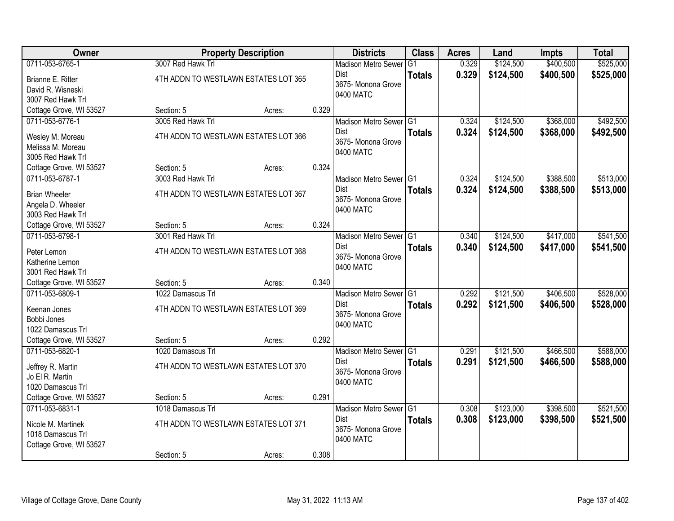| <b>Owner</b>                         |                                      | <b>Property Description</b>          |       | <b>Districts</b>                  | <b>Class</b>  | <b>Acres</b> | Land      | <b>Impts</b> | <b>Total</b> |
|--------------------------------------|--------------------------------------|--------------------------------------|-------|-----------------------------------|---------------|--------------|-----------|--------------|--------------|
| 0711-053-6765-1                      | 3007 Red Hawk Trl                    |                                      |       | <b>Madison Metro Sewer</b>        | G1            | 0.329        | \$124,500 | \$400,500    | \$525,000    |
| Brianne E. Ritter                    | 4TH ADDN TO WESTLAWN ESTATES LOT 365 |                                      |       | Dist                              | <b>Totals</b> | 0.329        | \$124,500 | \$400,500    | \$525,000    |
| David R. Wisneski                    |                                      |                                      |       | 3675- Monona Grove                |               |              |           |              |              |
| 3007 Red Hawk Trl                    |                                      |                                      |       | 0400 MATC                         |               |              |           |              |              |
| Cottage Grove, WI 53527              | Section: 5                           | Acres:                               | 0.329 |                                   |               |              |           |              |              |
| 0711-053-6776-1                      | 3005 Red Hawk Trl                    |                                      |       | Madison Metro Sewer G1            |               | 0.324        | \$124,500 | \$368,000    | \$492,500    |
| Wesley M. Moreau                     | 4TH ADDN TO WESTLAWN ESTATES LOT 366 |                                      |       | <b>Dist</b>                       | <b>Totals</b> | 0.324        | \$124,500 | \$368,000    | \$492,500    |
| Melissa M. Moreau                    |                                      |                                      |       | 3675- Monona Grove                |               |              |           |              |              |
| 3005 Red Hawk Trl                    |                                      |                                      |       | 0400 MATC                         |               |              |           |              |              |
| Cottage Grove, WI 53527              | Section: 5                           | Acres:                               | 0.324 |                                   |               |              |           |              |              |
| 0711-053-6787-1                      | 3003 Red Hawk Trl                    |                                      |       | Madison Metro Sewer G1            |               | 0.324        | \$124,500 | \$388,500    | \$513,000    |
| <b>Brian Wheeler</b>                 | 4TH ADDN TO WESTLAWN ESTATES LOT 367 |                                      |       | Dist                              | <b>Totals</b> | 0.324        | \$124,500 | \$388,500    | \$513,000    |
| Angela D. Wheeler                    |                                      |                                      |       | 3675- Monona Grove                |               |              |           |              |              |
| 3003 Red Hawk Trl                    |                                      |                                      |       | 0400 MATC                         |               |              |           |              |              |
| Cottage Grove, WI 53527              | Section: 5                           | Acres:                               | 0.324 |                                   |               |              |           |              |              |
| 0711-053-6798-1                      | 3001 Red Hawk Trl                    |                                      |       | Madison Metro Sewer G1            |               | 0.340        | \$124,500 | \$417,000    | \$541,500    |
| Peter Lemon                          | 4TH ADDN TO WESTLAWN ESTATES LOT 368 |                                      |       | <b>Dist</b>                       | <b>Totals</b> | 0.340        | \$124,500 | \$417,000    | \$541,500    |
| Katherine Lemon                      |                                      |                                      |       | 3675- Monona Grove                |               |              |           |              |              |
| 3001 Red Hawk Trl                    |                                      |                                      |       | 0400 MATC                         |               |              |           |              |              |
| Cottage Grove, WI 53527              | Section: 5                           | Acres:                               | 0.340 |                                   |               |              |           |              |              |
| 0711-053-6809-1                      | 1022 Damascus Trl                    |                                      |       | Madison Metro Sewer <sup>G1</sup> |               | 0.292        | \$121,500 | \$406,500    | \$528,000    |
|                                      | 4TH ADDN TO WESTLAWN ESTATES LOT 369 |                                      |       | <b>Dist</b>                       | <b>Totals</b> | 0.292        | \$121,500 | \$406,500    | \$528,000    |
| Keenan Jones<br>Bobbi Jones          |                                      |                                      |       | 3675- Monona Grove                |               |              |           |              |              |
| 1022 Damascus Trl                    |                                      |                                      |       | 0400 MATC                         |               |              |           |              |              |
| Cottage Grove, WI 53527              | Section: 5                           | Acres:                               | 0.292 |                                   |               |              |           |              |              |
| 0711-053-6820-1                      | 1020 Damascus Trl                    |                                      |       | Madison Metro Sewer G1            |               | 0.291        | \$121,500 | \$466,500    | \$588,000    |
|                                      |                                      |                                      |       | <b>Dist</b>                       | <b>Totals</b> | 0.291        | \$121,500 | \$466,500    | \$588,000    |
| Jeffrey R. Martin                    | 4TH ADDN TO WESTLAWN ESTATES LOT 370 |                                      |       | 3675- Monona Grove                |               |              |           |              |              |
| Jo El R. Martin<br>1020 Damascus Trl |                                      |                                      |       | 0400 MATC                         |               |              |           |              |              |
| Cottage Grove, WI 53527              | Section: 5                           | Acres:                               | 0.291 |                                   |               |              |           |              |              |
| 0711-053-6831-1                      | 1018 Damascus Trl                    |                                      |       | Madison Metro Sewer G1            |               | 0.308        | \$123,000 | \$398,500    | \$521,500    |
|                                      |                                      |                                      |       | <b>Dist</b>                       | <b>Totals</b> | 0.308        | \$123,000 | \$398,500    | \$521,500    |
| Nicole M. Martinek                   |                                      | 4TH ADDN TO WESTLAWN ESTATES LOT 371 |       |                                   |               |              |           |              |              |
| 1018 Damascus Trl                    |                                      |                                      |       | 3675- Monona Grove<br>0400 MATC   |               |              |           |              |              |
| Cottage Grove, WI 53527              | Section: 5                           | Acres:                               | 0.308 |                                   |               |              |           |              |              |
|                                      |                                      |                                      |       |                                   |               |              |           |              |              |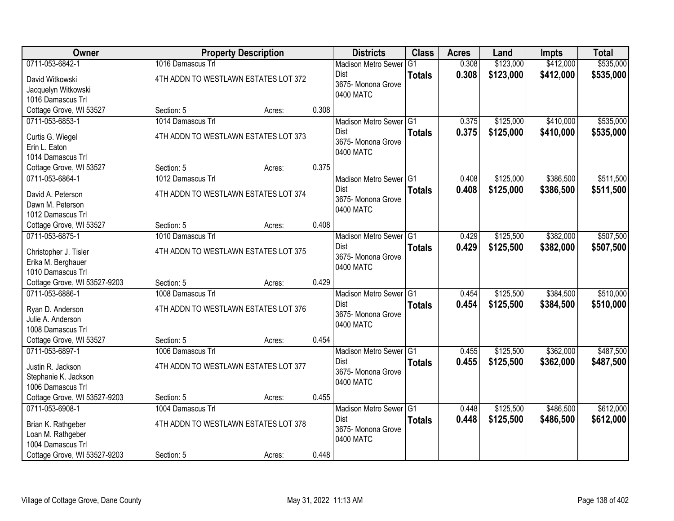| Owner                                   |                                      | <b>Property Description</b> |       | <b>Districts</b>                  | <b>Class</b>  | <b>Acres</b> | Land      | <b>Impts</b> | <b>Total</b> |
|-----------------------------------------|--------------------------------------|-----------------------------|-------|-----------------------------------|---------------|--------------|-----------|--------------|--------------|
| 0711-053-6842-1                         | 1016 Damascus Trl                    |                             |       | <b>Madison Metro Sewer</b>        | G1            | 0.308        | \$123,000 | \$412,000    | \$535,000    |
| David Witkowski                         | 4TH ADDN TO WESTLAWN ESTATES LOT 372 |                             |       | Dist                              | <b>Totals</b> | 0.308        | \$123,000 | \$412,000    | \$535,000    |
| Jacquelyn Witkowski                     |                                      |                             |       | 3675- Monona Grove                |               |              |           |              |              |
| 1016 Damascus Trl                       |                                      |                             |       | 0400 MATC                         |               |              |           |              |              |
| Cottage Grove, WI 53527                 | Section: 5                           | Acres:                      | 0.308 |                                   |               |              |           |              |              |
| 0711-053-6853-1                         | 1014 Damascus Trl                    |                             |       | Madison Metro Sewer G1            |               | 0.375        | \$125,000 | \$410,000    | \$535,000    |
| Curtis G. Wiegel                        | 4TH ADDN TO WESTLAWN ESTATES LOT 373 |                             |       | <b>Dist</b>                       | <b>Totals</b> | 0.375        | \$125,000 | \$410,000    | \$535,000    |
| Erin L. Eaton                           |                                      |                             |       | 3675- Monona Grove                |               |              |           |              |              |
| 1014 Damascus Trl                       |                                      |                             |       | 0400 MATC                         |               |              |           |              |              |
| Cottage Grove, WI 53527                 | Section: 5                           | Acres:                      | 0.375 |                                   |               |              |           |              |              |
| 0711-053-6864-1                         | 1012 Damascus Trl                    |                             |       | Madison Metro Sewer G1            |               | 0.408        | \$125,000 | \$386,500    | \$511,500    |
| David A. Peterson                       | 4TH ADDN TO WESTLAWN ESTATES LOT 374 |                             |       | <b>Dist</b>                       | <b>Totals</b> | 0.408        | \$125,000 | \$386,500    | \$511,500    |
| Dawn M. Peterson                        |                                      |                             |       | 3675- Monona Grove                |               |              |           |              |              |
| 1012 Damascus Trl                       |                                      |                             |       | 0400 MATC                         |               |              |           |              |              |
| Cottage Grove, WI 53527                 | Section: 5                           | Acres:                      | 0.408 |                                   |               |              |           |              |              |
| 0711-053-6875-1                         | 1010 Damascus Trl                    |                             |       | Madison Metro Sewer G1            |               | 0.429        | \$125,500 | \$382,000    | \$507,500    |
| Christopher J. Tisler                   | 4TH ADDN TO WESTLAWN ESTATES LOT 375 |                             |       | Dist                              | <b>Totals</b> | 0.429        | \$125,500 | \$382,000    | \$507,500    |
| Erika M. Berghauer                      |                                      |                             |       | 3675- Monona Grove                |               |              |           |              |              |
| 1010 Damascus Trl                       |                                      |                             |       | 0400 MATC                         |               |              |           |              |              |
| Cottage Grove, WI 53527-9203            | Section: 5                           | Acres:                      | 0.429 |                                   |               |              |           |              |              |
| 0711-053-6886-1                         | 1008 Damascus Trl                    |                             |       | Madison Metro Sewer <sup>G1</sup> |               | 0.454        | \$125,500 | \$384,500    | \$510,000    |
| Ryan D. Anderson                        | 4TH ADDN TO WESTLAWN ESTATES LOT 376 |                             |       | <b>Dist</b>                       | <b>Totals</b> | 0.454        | \$125,500 | \$384,500    | \$510,000    |
| Julie A. Anderson                       |                                      |                             |       | 3675- Monona Grove                |               |              |           |              |              |
| 1008 Damascus Trl                       |                                      |                             |       | 0400 MATC                         |               |              |           |              |              |
| Cottage Grove, WI 53527                 | Section: 5                           | Acres:                      | 0.454 |                                   |               |              |           |              |              |
| 0711-053-6897-1                         | 1006 Damascus Trl                    |                             |       | Madison Metro Sewer G1            |               | 0.455        | \$125,500 | \$362,000    | \$487,500    |
| Justin R. Jackson                       | 4TH ADDN TO WESTLAWN ESTATES LOT 377 |                             |       | Dist                              | <b>Totals</b> | 0.455        | \$125,500 | \$362,000    | \$487,500    |
| Stephanie K. Jackson                    |                                      |                             |       | 3675- Monona Grove                |               |              |           |              |              |
| 1006 Damascus Trl                       |                                      |                             |       | 0400 MATC                         |               |              |           |              |              |
| Cottage Grove, WI 53527-9203            | Section: 5                           | Acres:                      | 0.455 |                                   |               |              |           |              |              |
| 0711-053-6908-1                         | 1004 Damascus Trl                    |                             |       | Madison Metro Sewer G1            |               | 0.448        | \$125,500 | \$486,500    | \$612,000    |
|                                         | 4TH ADDN TO WESTLAWN ESTATES LOT 378 |                             |       | <b>Dist</b>                       | <b>Totals</b> | 0.448        | \$125,500 | \$486,500    | \$612,000    |
| Brian K. Rathgeber<br>Loan M. Rathgeber |                                      |                             |       | 3675-Monona Grove                 |               |              |           |              |              |
| 1004 Damascus Trl                       |                                      |                             |       | 0400 MATC                         |               |              |           |              |              |
| Cottage Grove, WI 53527-9203            | Section: 5                           | Acres:                      | 0.448 |                                   |               |              |           |              |              |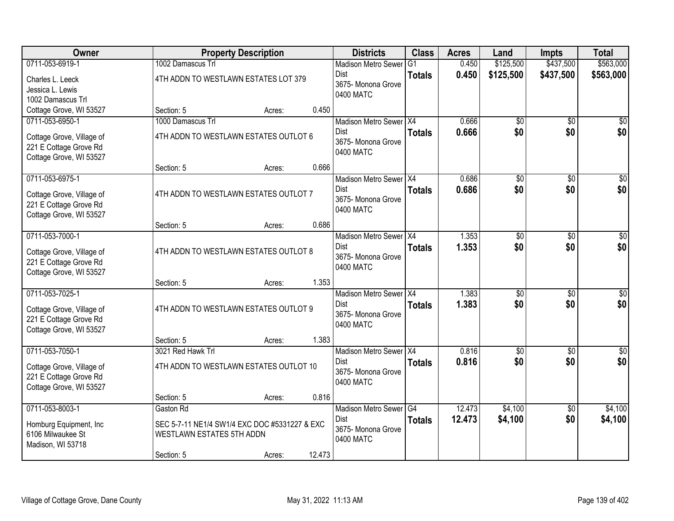| Owner                     | <b>Property Description</b>                   |        |        | <b>Districts</b>           | <b>Class</b>  | <b>Acres</b> | Land        | <b>Impts</b>    | <b>Total</b>    |
|---------------------------|-----------------------------------------------|--------|--------|----------------------------|---------------|--------------|-------------|-----------------|-----------------|
| 0711-053-6919-1           | 1002 Damascus Trl                             |        |        | <b>Madison Metro Sewer</b> | G1            | 0.450        | \$125,500   | \$437,500       | \$563,000       |
| Charles L. Leeck          | 4TH ADDN TO WESTLAWN ESTATES LOT 379          |        |        | Dist                       | <b>Totals</b> | 0.450        | \$125,500   | \$437,500       | \$563,000       |
| Jessica L. Lewis          |                                               |        |        | 3675- Monona Grove         |               |              |             |                 |                 |
| 1002 Damascus Trl         |                                               |        |        | 0400 MATC                  |               |              |             |                 |                 |
| Cottage Grove, WI 53527   | Section: 5                                    | Acres: | 0.450  |                            |               |              |             |                 |                 |
| 0711-053-6950-1           | 1000 Damascus Trl                             |        |        | Madison Metro Sewer X4     |               | 0.666        | $\sqrt{$0}$ | $\overline{50}$ | $\overline{50}$ |
| Cottage Grove, Village of | 4TH ADDN TO WESTLAWN ESTATES OUTLOT 6         |        |        | <b>Dist</b>                | <b>Totals</b> | 0.666        | \$0         | \$0             | \$0             |
| 221 E Cottage Grove Rd    |                                               |        |        | 3675- Monona Grove         |               |              |             |                 |                 |
| Cottage Grove, WI 53527   |                                               |        |        | 0400 MATC                  |               |              |             |                 |                 |
|                           | Section: 5                                    | Acres: | 0.666  |                            |               |              |             |                 |                 |
| 0711-053-6975-1           |                                               |        |        | Madison Metro Sewer X4     |               | 0.686        | \$0         | $\overline{50}$ | \$0             |
| Cottage Grove, Village of | 4TH ADDN TO WESTLAWN ESTATES OUTLOT 7         |        |        | Dist                       | <b>Totals</b> | 0.686        | \$0         | \$0             | \$0             |
| 221 E Cottage Grove Rd    |                                               |        |        | 3675- Monona Grove         |               |              |             |                 |                 |
| Cottage Grove, WI 53527   |                                               |        |        | 0400 MATC                  |               |              |             |                 |                 |
|                           | Section: 5                                    | Acres: | 0.686  |                            |               |              |             |                 |                 |
| 0711-053-7000-1           |                                               |        |        | Madison Metro Sewer   X4   |               | 1.353        | \$0         | \$0             | \$0             |
| Cottage Grove, Village of | 4TH ADDN TO WESTLAWN ESTATES OUTLOT 8         |        |        | Dist                       | <b>Totals</b> | 1.353        | \$0         | \$0             | \$0             |
| 221 E Cottage Grove Rd    |                                               |        |        | 3675-Monona Grove          |               |              |             |                 |                 |
| Cottage Grove, WI 53527   |                                               |        |        | 0400 MATC                  |               |              |             |                 |                 |
|                           | Section: 5                                    | Acres: | 1.353  |                            |               |              |             |                 |                 |
| 0711-053-7025-1           |                                               |        |        | Madison Metro Sewer X4     |               | 1.383        | \$0         | \$0             | \$0             |
| Cottage Grove, Village of | 4TH ADDN TO WESTLAWN ESTATES OUTLOT 9         |        |        | <b>Dist</b>                | <b>Totals</b> | 1.383        | \$0         | \$0             | \$0             |
| 221 E Cottage Grove Rd    |                                               |        |        | 3675-Monona Grove          |               |              |             |                 |                 |
| Cottage Grove, WI 53527   |                                               |        |        | 0400 MATC                  |               |              |             |                 |                 |
|                           | Section: 5                                    | Acres: | 1.383  |                            |               |              |             |                 |                 |
| 0711-053-7050-1           | 3021 Red Hawk Trl                             |        |        | Madison Metro Sewer X4     |               | 0.816        | \$0         | $\overline{50}$ | \$0             |
| Cottage Grove, Village of | 4TH ADDN TO WESTLAWN ESTATES OUTLOT 10        |        |        | Dist                       | <b>Totals</b> | 0.816        | \$0         | \$0             | \$0             |
| 221 E Cottage Grove Rd    |                                               |        |        | 3675- Monona Grove         |               |              |             |                 |                 |
| Cottage Grove, WI 53527   |                                               |        |        | 0400 MATC                  |               |              |             |                 |                 |
|                           | Section: 5                                    | Acres: | 0.816  |                            |               |              |             |                 |                 |
| 0711-053-8003-1           | Gaston Rd                                     |        |        | Madison Metro Sewer G4     |               | 12.473       | \$4,100     | $\overline{50}$ | \$4,100         |
| Homburg Equipment, Inc.   | SEC 5-7-11 NE1/4 SW1/4 EXC DOC #5331227 & EXC |        |        | Dist                       | <b>Totals</b> | 12.473       | \$4,100     | \$0             | \$4,100         |
| 6106 Milwaukee St         | WESTLAWN ESTATES 5TH ADDN                     |        |        | 3675- Monona Grove         |               |              |             |                 |                 |
| Madison, WI 53718         |                                               |        |        | 0400 MATC                  |               |              |             |                 |                 |
|                           | Section: 5                                    | Acres: | 12.473 |                            |               |              |             |                 |                 |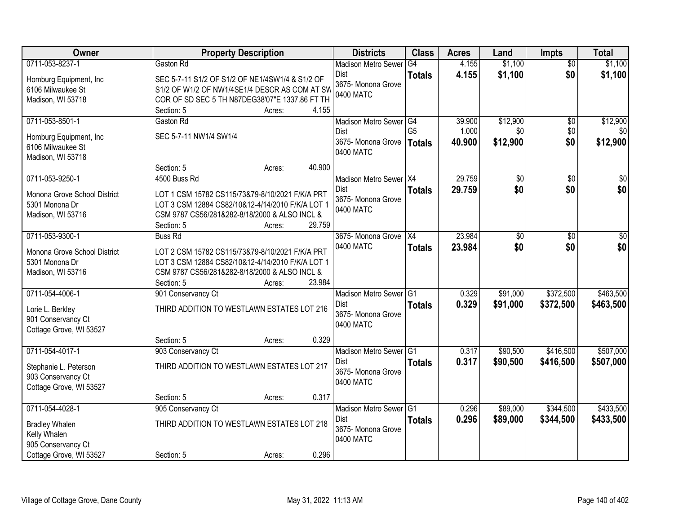| Owner                                        | <b>Property Description</b>                                                                      | <b>Districts</b>                        | <b>Class</b>   | <b>Acres</b> | Land     | Impts           | <b>Total</b> |
|----------------------------------------------|--------------------------------------------------------------------------------------------------|-----------------------------------------|----------------|--------------|----------|-----------------|--------------|
| 0711-053-8237-1                              | Gaston Rd                                                                                        | <b>Madison Metro Sewer</b>              | G4             | 4.155        | \$1,100  | $\overline{50}$ | \$1,100      |
| Homburg Equipment, Inc.<br>6106 Milwaukee St | SEC 5-7-11 S1/2 OF S1/2 OF NE1/4SW1/4 & S1/2 OF<br>S1/2 OF W1/2 OF NW1/4SE1/4 DESCR AS COM AT SW | Dist<br>3675- Monona Grove<br>0400 MATC | <b>Totals</b>  | 4.155        | \$1,100  | \$0             | \$1,100      |
| Madison, WI 53718                            | COR OF SD SEC 5 TH N87DEG38'07"E 1337.86 FT TH<br>4.155<br>Section: 5<br>Acres:                  |                                         |                |              |          |                 |              |
| 0711-053-8501-1                              | Gaston Rd                                                                                        | Madison Metro Sewer G4                  |                | 39.900       | \$12,900 | $\overline{50}$ | \$12,900     |
|                                              |                                                                                                  | <b>Dist</b>                             | G <sub>5</sub> | 1.000        | \$0      | \$0             | \$0          |
| Homburg Equipment, Inc.                      | SEC 5-7-11 NW1/4 SW1/4                                                                           | 3675- Monona Grove   Totals             |                | 40.900       | \$12,900 | \$0             | \$12,900     |
| 6106 Milwaukee St                            |                                                                                                  | 0400 MATC                               |                |              |          |                 |              |
| Madison, WI 53718                            |                                                                                                  |                                         |                |              |          |                 |              |
|                                              | 40.900<br>Section: 5<br>Acres:                                                                   |                                         |                |              |          |                 |              |
| 0711-053-9250-1                              | 4500 Buss Rd                                                                                     | Madison Metro Sewer X4                  |                | 29.759       | \$0      | \$0             | \$0          |
| Monona Grove School District                 | LOT 1 CSM 15782 CS115/73&79-8/10/2021 F/K/A PRT                                                  | <b>Dist</b><br>3675-Monona Grove        | <b>Totals</b>  | 29.759       | \$0      | \$0             | \$0          |
| 5301 Monona Dr                               | LOT 3 CSM 12884 CS82/10&12-4/14/2010 F/K/A LOT 1                                                 | 0400 MATC                               |                |              |          |                 |              |
| Madison, WI 53716                            | CSM 9787 CS56/281&282-8/18/2000 & ALSO INCL &                                                    |                                         |                |              |          |                 |              |
|                                              | 29.759<br>Section: 5<br>Acres:                                                                   |                                         |                |              |          |                 |              |
| 0711-053-9300-1                              | <b>Buss Rd</b>                                                                                   | 3675- Monona Grove                      | X4             | 23.984       | \$0      | \$0             | \$0          |
| Monona Grove School District                 | LOT 2 CSM 15782 CS115/73&79-8/10/2021 F/K/A PRT                                                  | 0400 MATC                               | <b>Totals</b>  | 23.984       | \$0      | \$0             | \$0          |
| 5301 Monona Dr                               | LOT 3 CSM 12884 CS82/10&12-4/14/2010 F/K/A LOT 1                                                 |                                         |                |              |          |                 |              |
| Madison, WI 53716                            | CSM 9787 CS56/281&282-8/18/2000 & ALSO INCL &                                                    |                                         |                |              |          |                 |              |
|                                              | 23.984<br>Section: 5<br>Acres:                                                                   |                                         |                |              |          |                 |              |
| 0711-054-4006-1                              | 901 Conservancy Ct                                                                               | <b>Madison Metro Sewer</b>              | TG1            | 0.329        | \$91,000 | \$372,500       | \$463,500    |
| Lorie L. Berkley                             | THIRD ADDITION TO WESTLAWN ESTATES LOT 216                                                       | <b>Dist</b>                             | <b>Totals</b>  | 0.329        | \$91,000 | \$372,500       | \$463,500    |
| 901 Conservancy Ct                           |                                                                                                  | 3675-Monona Grove                       |                |              |          |                 |              |
| Cottage Grove, WI 53527                      |                                                                                                  | 0400 MATC                               |                |              |          |                 |              |
|                                              | Section: 5<br>0.329<br>Acres:                                                                    |                                         |                |              |          |                 |              |
| 0711-054-4017-1                              | 903 Conservancy Ct                                                                               | Madison Metro Sewer G1                  |                | 0.317        | \$90,500 | \$416,500       | \$507,000    |
| Stephanie L. Peterson                        | THIRD ADDITION TO WESTLAWN ESTATES LOT 217                                                       | Dist                                    | <b>Totals</b>  | 0.317        | \$90,500 | \$416,500       | \$507,000    |
| 903 Conservancy Ct                           |                                                                                                  | 3675- Monona Grove                      |                |              |          |                 |              |
| Cottage Grove, WI 53527                      |                                                                                                  | 0400 MATC                               |                |              |          |                 |              |
|                                              | 0.317<br>Section: 5<br>Acres:                                                                    |                                         |                |              |          |                 |              |
| 0711-054-4028-1                              | 905 Conservancy Ct                                                                               | Madison Metro Sewer G1                  |                | 0.296        | \$89,000 | \$344,500       | \$433,500    |
| <b>Bradley Whalen</b>                        | THIRD ADDITION TO WESTLAWN ESTATES LOT 218                                                       | <b>Dist</b>                             | <b>Totals</b>  | 0.296        | \$89,000 | \$344,500       | \$433,500    |
| Kelly Whalen                                 |                                                                                                  | 3675-Monona Grove                       |                |              |          |                 |              |
| 905 Conservancy Ct                           |                                                                                                  | 0400 MATC                               |                |              |          |                 |              |
| Cottage Grove, WI 53527                      | 0.296<br>Section: 5<br>Acres:                                                                    |                                         |                |              |          |                 |              |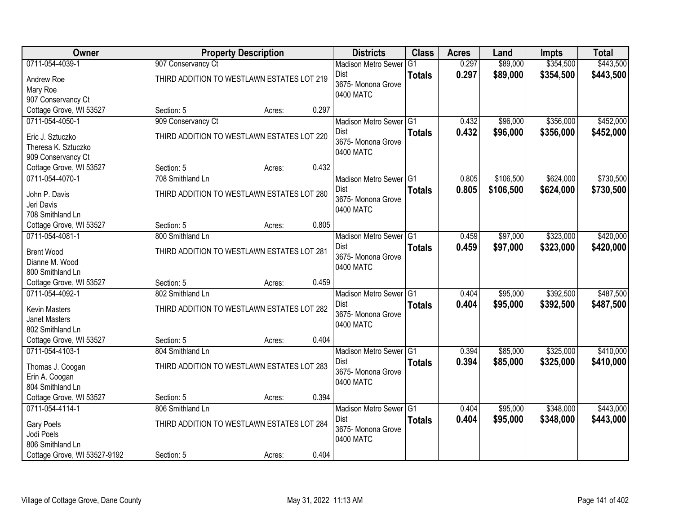| Owner                          |                                            | <b>Property Description</b> |       | <b>Districts</b>                        | <b>Class</b>   | <b>Acres</b> | Land      | Impts     | <b>Total</b> |
|--------------------------------|--------------------------------------------|-----------------------------|-------|-----------------------------------------|----------------|--------------|-----------|-----------|--------------|
| 0711-054-4039-1                | 907 Conservancy Ct                         |                             |       | <b>Madison Metro Sewer</b>              | G <sub>1</sub> | 0.297        | \$89,000  | \$354,500 | \$443,500    |
| Andrew Roe<br>Mary Roe         | THIRD ADDITION TO WESTLAWN ESTATES LOT 219 |                             |       | Dist<br>3675- Monona Grove<br>0400 MATC | <b>Totals</b>  | 0.297        | \$89,000  | \$354,500 | \$443,500    |
| 907 Conservancy Ct             |                                            |                             |       |                                         |                |              |           |           |              |
| Cottage Grove, WI 53527        | Section: 5                                 | Acres:                      | 0.297 |                                         |                |              |           |           |              |
| 0711-054-4050-1                | 909 Conservancy Ct                         |                             |       | Madison Metro Sewer G1                  |                | 0.432        | \$96,000  | \$356,000 | \$452,000    |
| Eric J. Sztuczko               | THIRD ADDITION TO WESTLAWN ESTATES LOT 220 |                             |       | Dist                                    | <b>Totals</b>  | 0.432        | \$96,000  | \$356,000 | \$452,000    |
| Theresa K. Sztuczko            |                                            |                             |       | 3675- Monona Grove                      |                |              |           |           |              |
| 909 Conservancy Ct             |                                            |                             |       | 0400 MATC                               |                |              |           |           |              |
| Cottage Grove, WI 53527        | Section: 5                                 | Acres:                      | 0.432 |                                         |                |              |           |           |              |
| 0711-054-4070-1                | 708 Smithland Ln                           |                             |       | Madison Metro Sewer G1                  |                | 0.805        | \$106,500 | \$624,000 | \$730,500    |
|                                |                                            |                             |       | Dist                                    | <b>Totals</b>  | 0.805        | \$106,500 | \$624,000 | \$730,500    |
| John P. Davis                  | THIRD ADDITION TO WESTLAWN ESTATES LOT 280 |                             |       | 3675- Monona Grove                      |                |              |           |           |              |
| Jeri Davis<br>708 Smithland Ln |                                            |                             |       | 0400 MATC                               |                |              |           |           |              |
| Cottage Grove, WI 53527        | Section: 5                                 | Acres:                      | 0.805 |                                         |                |              |           |           |              |
| 0711-054-4081-1                | 800 Smithland Ln                           |                             |       | Madison Metro Sewer G1                  |                | 0.459        | \$97,000  | \$323,000 | \$420,000    |
|                                |                                            |                             |       | Dist                                    |                | 0.459        | \$97,000  | \$323,000 | \$420,000    |
| <b>Brent Wood</b>              | THIRD ADDITION TO WESTLAWN ESTATES LOT 281 |                             |       | 3675- Monona Grove                      | <b>Totals</b>  |              |           |           |              |
| Dianne M. Wood                 |                                            |                             |       | 0400 MATC                               |                |              |           |           |              |
| 800 Smithland Ln               |                                            |                             |       |                                         |                |              |           |           |              |
| Cottage Grove, WI 53527        | Section: 5                                 | Acres:                      | 0.459 |                                         |                |              |           |           |              |
| 0711-054-4092-1                | 802 Smithland Ln                           |                             |       | Madison Metro Sewer G1                  |                | 0.404        | \$95,000  | \$392,500 | \$487,500    |
| <b>Kevin Masters</b>           | THIRD ADDITION TO WESTLAWN ESTATES LOT 282 |                             |       | <b>Dist</b>                             | <b>Totals</b>  | 0.404        | \$95,000  | \$392,500 | \$487,500    |
| <b>Janet Masters</b>           |                                            |                             |       | 3675- Monona Grove                      |                |              |           |           |              |
| 802 Smithland Ln               |                                            |                             |       | 0400 MATC                               |                |              |           |           |              |
| Cottage Grove, WI 53527        | Section: 5                                 | Acres:                      | 0.404 |                                         |                |              |           |           |              |
| 0711-054-4103-1                | 804 Smithland Ln                           |                             |       | Madison Metro Sewer G1                  |                | 0.394        | \$85,000  | \$325,000 | \$410,000    |
| Thomas J. Coogan               | THIRD ADDITION TO WESTLAWN ESTATES LOT 283 |                             |       | Dist                                    | <b>Totals</b>  | 0.394        | \$85,000  | \$325,000 | \$410,000    |
| Erin A. Coogan                 |                                            |                             |       | 3675- Monona Grove                      |                |              |           |           |              |
| 804 Smithland Ln               |                                            |                             |       | 0400 MATC                               |                |              |           |           |              |
| Cottage Grove, WI 53527        | Section: 5                                 | Acres:                      | 0.394 |                                         |                |              |           |           |              |
| 0711-054-4114-1                | 806 Smithland Ln                           |                             |       | Madison Metro Sewer G1                  |                | 0.404        | \$95,000  | \$348,000 | \$443,000    |
|                                |                                            |                             |       | Dist                                    | <b>Totals</b>  | 0.404        | \$95,000  | \$348,000 | \$443,000    |
| <b>Gary Poels</b>              | THIRD ADDITION TO WESTLAWN ESTATES LOT 284 |                             |       | 3675- Monona Grove                      |                |              |           |           |              |
| Jodi Poels                     |                                            |                             |       | 0400 MATC                               |                |              |           |           |              |
| 806 Smithland Ln               |                                            |                             |       |                                         |                |              |           |           |              |
| Cottage Grove, WI 53527-9192   | Section: 5                                 | Acres:                      | 0.404 |                                         |                |              |           |           |              |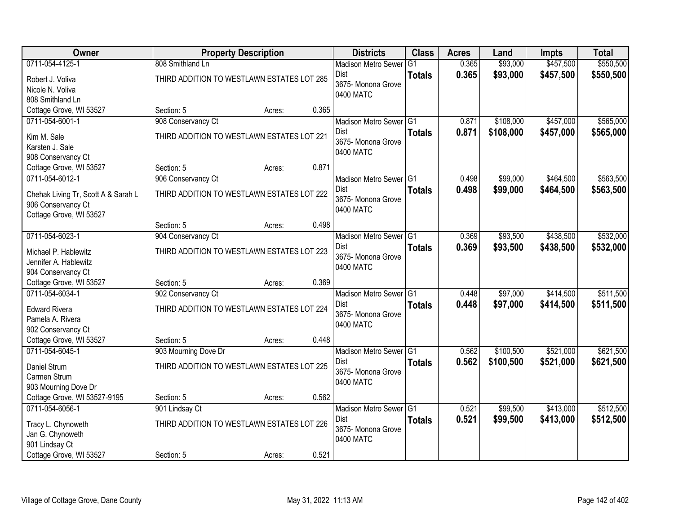| Owner                               |                                            | <b>Property Description</b> |       | <b>Districts</b>                  | <b>Class</b>  | <b>Acres</b> | Land      | <b>Impts</b> | <b>Total</b> |
|-------------------------------------|--------------------------------------------|-----------------------------|-------|-----------------------------------|---------------|--------------|-----------|--------------|--------------|
| 0711-054-4125-1                     | 808 Smithland Ln                           |                             |       | <b>Madison Metro Sewer</b>        | G1            | 0.365        | \$93,000  | \$457,500    | \$550,500    |
| Robert J. Voliva                    | THIRD ADDITION TO WESTLAWN ESTATES LOT 285 |                             |       | Dist                              | <b>Totals</b> | 0.365        | \$93,000  | \$457,500    | \$550,500    |
| Nicole N. Voliva                    |                                            |                             |       | 3675- Monona Grove                |               |              |           |              |              |
| 808 Smithland Ln                    |                                            |                             |       | 0400 MATC                         |               |              |           |              |              |
| Cottage Grove, WI 53527             | Section: 5                                 | Acres:                      | 0.365 |                                   |               |              |           |              |              |
| 0711-054-6001-1                     | 908 Conservancy Ct                         |                             |       | Madison Metro Sewer G1            |               | 0.871        | \$108,000 | \$457,000    | \$565,000    |
| Kim M. Sale                         | THIRD ADDITION TO WESTLAWN ESTATES LOT 221 |                             |       | <b>Dist</b>                       | <b>Totals</b> | 0.871        | \$108,000 | \$457,000    | \$565,000    |
| Karsten J. Sale                     |                                            |                             |       | 3675- Monona Grove<br>0400 MATC   |               |              |           |              |              |
| 908 Conservancy Ct                  |                                            |                             |       |                                   |               |              |           |              |              |
| Cottage Grove, WI 53527             | Section: 5                                 | Acres:                      | 0.871 |                                   |               |              |           |              |              |
| 0711-054-6012-1                     | 906 Conservancy Ct                         |                             |       | Madison Metro Sewer G1            |               | 0.498        | \$99,000  | \$464,500    | \$563,500    |
| Chehak Living Tr, Scott A & Sarah L | THIRD ADDITION TO WESTLAWN ESTATES LOT 222 |                             |       | Dist<br>3675- Monona Grove        | <b>Totals</b> | 0.498        | \$99,000  | \$464,500    | \$563,500    |
| 906 Conservancy Ct                  |                                            |                             |       | 0400 MATC                         |               |              |           |              |              |
| Cottage Grove, WI 53527             |                                            |                             |       |                                   |               |              |           |              |              |
|                                     | Section: 5                                 | Acres:                      | 0.498 |                                   |               |              |           |              |              |
| 0711-054-6023-1                     | 904 Conservancy Ct                         |                             |       | Madison Metro Sewer G1            |               | 0.369        | \$93,500  | \$438,500    | \$532,000    |
| Michael P. Hablewitz                | THIRD ADDITION TO WESTLAWN ESTATES LOT 223 |                             |       | Dist<br>3675- Monona Grove        | <b>Totals</b> | 0.369        | \$93,500  | \$438,500    | \$532,000    |
| Jennifer A. Hablewitz               |                                            |                             |       | 0400 MATC                         |               |              |           |              |              |
| 904 Conservancy Ct                  |                                            |                             |       |                                   |               |              |           |              |              |
| Cottage Grove, WI 53527             | Section: 5                                 | Acres:                      | 0.369 |                                   |               |              |           |              |              |
| 0711-054-6034-1                     | 902 Conservancy Ct                         |                             |       | Madison Metro Sewer G1            |               | 0.448        | \$97,000  | \$414,500    | \$511,500    |
| <b>Edward Rivera</b>                | THIRD ADDITION TO WESTLAWN ESTATES LOT 224 |                             |       | <b>Dist</b><br>3675- Monona Grove | <b>Totals</b> | 0.448        | \$97,000  | \$414,500    | \$511,500    |
| Pamela A. Rivera                    |                                            |                             |       | 0400 MATC                         |               |              |           |              |              |
| 902 Conservancy Ct                  |                                            |                             |       |                                   |               |              |           |              |              |
| Cottage Grove, WI 53527             | Section: 5                                 | Acres:                      | 0.448 |                                   |               |              |           |              |              |
| 0711-054-6045-1                     | 903 Mourning Dove Dr                       |                             |       | Madison Metro Sewer G1            |               | 0.562        | \$100,500 | \$521,000    | \$621,500    |
| Daniel Strum                        | THIRD ADDITION TO WESTLAWN ESTATES LOT 225 |                             |       | Dist<br>3675- Monona Grove        | <b>Totals</b> | 0.562        | \$100,500 | \$521,000    | \$621,500    |
| Carmen Strum                        |                                            |                             |       | 0400 MATC                         |               |              |           |              |              |
| 903 Mourning Dove Dr                |                                            |                             |       |                                   |               |              |           |              |              |
| Cottage Grove, WI 53527-9195        | Section: 5                                 | Acres:                      | 0.562 |                                   |               |              |           |              |              |
| 0711-054-6056-1                     | 901 Lindsay Ct                             |                             |       | Madison Metro Sewer G1<br>Dist    |               | 0.521        | \$99,500  | \$413,000    | \$512,500    |
| Tracy L. Chynoweth                  | THIRD ADDITION TO WESTLAWN ESTATES LOT 226 |                             |       | 3675- Monona Grove                | <b>Totals</b> | 0.521        | \$99,500  | \$413,000    | \$512,500    |
| Jan G. Chynoweth                    |                                            |                             |       | 0400 MATC                         |               |              |           |              |              |
| 901 Lindsay Ct                      |                                            |                             |       |                                   |               |              |           |              |              |
| Cottage Grove, WI 53527             | Section: 5                                 | Acres:                      | 0.521 |                                   |               |              |           |              |              |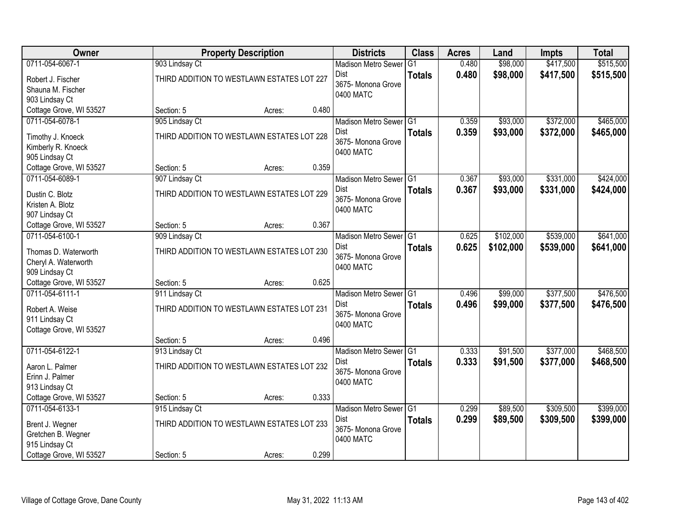| Owner                                 |                                            | <b>Property Description</b> |       | <b>Districts</b>                  | <b>Class</b>    | <b>Acres</b> | Land      | <b>Impts</b> | <b>Total</b> |
|---------------------------------------|--------------------------------------------|-----------------------------|-------|-----------------------------------|-----------------|--------------|-----------|--------------|--------------|
| 0711-054-6067-1                       | 903 Lindsay Ct                             |                             |       | <b>Madison Metro Sewer</b>        | $\overline{G1}$ | 0.480        | \$98,000  | \$417,500    | \$515,500    |
| Robert J. Fischer                     | THIRD ADDITION TO WESTLAWN ESTATES LOT 227 |                             |       | Dist                              | <b>Totals</b>   | 0.480        | \$98,000  | \$417,500    | \$515,500    |
| Shauna M. Fischer                     |                                            |                             |       | 3675- Monona Grove                |                 |              |           |              |              |
| 903 Lindsay Ct                        |                                            |                             |       | 0400 MATC                         |                 |              |           |              |              |
| Cottage Grove, WI 53527               | Section: 5                                 | Acres:                      | 0.480 |                                   |                 |              |           |              |              |
| 0711-054-6078-1                       | 905 Lindsay Ct                             |                             |       | Madison Metro Sewer G1            |                 | 0.359        | \$93,000  | \$372,000    | \$465,000    |
| Timothy J. Knoeck                     | THIRD ADDITION TO WESTLAWN ESTATES LOT 228 |                             |       | Dist                              | <b>Totals</b>   | 0.359        | \$93,000  | \$372,000    | \$465,000    |
| Kimberly R. Knoeck                    |                                            |                             |       | 3675- Monona Grove                |                 |              |           |              |              |
| 905 Lindsay Ct                        |                                            |                             |       | 0400 MATC                         |                 |              |           |              |              |
| Cottage Grove, WI 53527               | Section: 5                                 | Acres:                      | 0.359 |                                   |                 |              |           |              |              |
| 0711-054-6089-1                       | 907 Lindsay Ct                             |                             |       | Madison Metro Sewer G1            |                 | 0.367        | \$93,000  | \$331,000    | \$424,000    |
| Dustin C. Blotz                       | THIRD ADDITION TO WESTLAWN ESTATES LOT 229 |                             |       | <b>Dist</b>                       | <b>Totals</b>   | 0.367        | \$93,000  | \$331,000    | \$424,000    |
| Kristen A. Blotz                      |                                            |                             |       | 3675- Monona Grove                |                 |              |           |              |              |
| 907 Lindsay Ct                        |                                            |                             |       | 0400 MATC                         |                 |              |           |              |              |
| Cottage Grove, WI 53527               | Section: 5                                 | Acres:                      | 0.367 |                                   |                 |              |           |              |              |
| 0711-054-6100-1                       | 909 Lindsay Ct                             |                             |       | Madison Metro Sewer G1            |                 | 0.625        | \$102,000 | \$539,000    | \$641,000    |
| Thomas D. Waterworth                  | THIRD ADDITION TO WESTLAWN ESTATES LOT 230 |                             |       | Dist                              | <b>Totals</b>   | 0.625        | \$102,000 | \$539,000    | \$641,000    |
| Cheryl A. Waterworth                  |                                            |                             |       | 3675- Monona Grove                |                 |              |           |              |              |
| 909 Lindsay Ct                        |                                            |                             |       | 0400 MATC                         |                 |              |           |              |              |
| Cottage Grove, WI 53527               | Section: 5                                 | Acres:                      | 0.625 |                                   |                 |              |           |              |              |
| 0711-054-6111-1                       | 911 Lindsay Ct                             |                             |       | Madison Metro Sewer <sup>G1</sup> |                 | 0.496        | \$99,000  | \$377,500    | \$476,500    |
| Robert A. Weise                       | THIRD ADDITION TO WESTLAWN ESTATES LOT 231 |                             |       | Dist                              | <b>Totals</b>   | 0.496        | \$99,000  | \$377,500    | \$476,500    |
| 911 Lindsay Ct                        |                                            |                             |       | 3675- Monona Grove                |                 |              |           |              |              |
| Cottage Grove, WI 53527               |                                            |                             |       | 0400 MATC                         |                 |              |           |              |              |
|                                       | Section: 5                                 | Acres:                      | 0.496 |                                   |                 |              |           |              |              |
| 0711-054-6122-1                       | 913 Lindsay Ct                             |                             |       | Madison Metro Sewer G1            |                 | 0.333        | \$91,500  | \$377,000    | \$468,500    |
| Aaron L. Palmer                       | THIRD ADDITION TO WESTLAWN ESTATES LOT 232 |                             |       | <b>Dist</b>                       | <b>Totals</b>   | 0.333        | \$91,500  | \$377,000    | \$468,500    |
| Erinn J. Palmer                       |                                            |                             |       | 3675- Monona Grove                |                 |              |           |              |              |
| 913 Lindsay Ct                        |                                            |                             |       | 0400 MATC                         |                 |              |           |              |              |
| Cottage Grove, WI 53527               | Section: 5                                 | Acres:                      | 0.333 |                                   |                 |              |           |              |              |
| 0711-054-6133-1                       | 915 Lindsay Ct                             |                             |       | Madison Metro Sewer G1            |                 | 0.299        | \$89,500  | \$309,500    | \$399,000    |
|                                       | THIRD ADDITION TO WESTLAWN ESTATES LOT 233 |                             |       | Dist                              | <b>Totals</b>   | 0.299        | \$89,500  | \$309,500    | \$399,000    |
| Brent J. Wegner<br>Gretchen B. Wegner |                                            |                             |       | 3675- Monona Grove                |                 |              |           |              |              |
| 915 Lindsay Ct                        |                                            |                             |       | 0400 MATC                         |                 |              |           |              |              |
| Cottage Grove, WI 53527               | Section: 5                                 | Acres:                      | 0.299 |                                   |                 |              |           |              |              |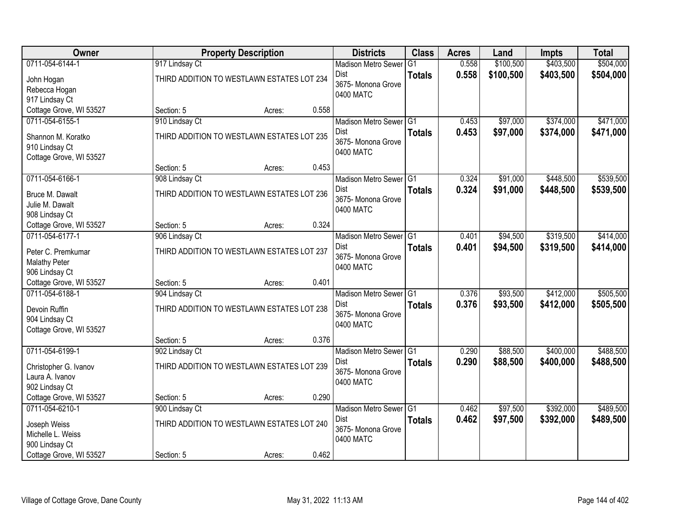| Owner                                     |                | <b>Property Description</b>                |       | <b>Districts</b>                  | <b>Class</b>    | <b>Acres</b> | Land      | <b>Impts</b> | <b>Total</b> |
|-------------------------------------------|----------------|--------------------------------------------|-------|-----------------------------------|-----------------|--------------|-----------|--------------|--------------|
| 0711-054-6144-1                           | 917 Lindsay Ct |                                            |       | <b>Madison Metro Sewer</b>        | $\overline{G1}$ | 0.558        | \$100,500 | \$403,500    | \$504,000    |
| John Hogan                                |                | THIRD ADDITION TO WESTLAWN ESTATES LOT 234 |       | Dist                              | <b>Totals</b>   | 0.558        | \$100,500 | \$403,500    | \$504,000    |
| Rebecca Hogan                             |                |                                            |       | 3675- Monona Grove                |                 |              |           |              |              |
| 917 Lindsay Ct                            |                |                                            |       | 0400 MATC                         |                 |              |           |              |              |
| Cottage Grove, WI 53527                   | Section: 5     | Acres:                                     | 0.558 |                                   |                 |              |           |              |              |
| 0711-054-6155-1                           | 910 Lindsay Ct |                                            |       | Madison Metro Sewer G1            |                 | 0.453        | \$97,000  | \$374,000    | \$471,000    |
| Shannon M. Koratko                        |                | THIRD ADDITION TO WESTLAWN ESTATES LOT 235 |       | Dist                              | <b>Totals</b>   | 0.453        | \$97,000  | \$374,000    | \$471,000    |
| 910 Lindsay Ct                            |                |                                            |       | 3675- Monona Grove                |                 |              |           |              |              |
| Cottage Grove, WI 53527                   |                |                                            |       | 0400 MATC                         |                 |              |           |              |              |
|                                           | Section: 5     | Acres:                                     | 0.453 |                                   |                 |              |           |              |              |
| 0711-054-6166-1                           | 908 Lindsay Ct |                                            |       | Madison Metro Sewer G1            |                 | 0.324        | \$91,000  | \$448,500    | \$539,500    |
|                                           |                | THIRD ADDITION TO WESTLAWN ESTATES LOT 236 |       | Dist                              | <b>Totals</b>   | 0.324        | \$91,000  | \$448,500    | \$539,500    |
| Bruce M. Dawalt<br>Julie M. Dawalt        |                |                                            |       | 3675- Monona Grove                |                 |              |           |              |              |
| 908 Lindsay Ct                            |                |                                            |       | 0400 MATC                         |                 |              |           |              |              |
| Cottage Grove, WI 53527                   | Section: 5     | Acres:                                     | 0.324 |                                   |                 |              |           |              |              |
| 0711-054-6177-1                           | 906 Lindsay Ct |                                            |       | Madison Metro Sewer G1            |                 | 0.401        | \$94,500  | \$319,500    | \$414,000    |
|                                           |                |                                            |       | Dist                              | <b>Totals</b>   | 0.401        | \$94,500  | \$319,500    | \$414,000    |
| Peter C. Premkumar                        |                | THIRD ADDITION TO WESTLAWN ESTATES LOT 237 |       | 3675- Monona Grove                |                 |              |           |              |              |
| <b>Malathy Peter</b>                      |                |                                            |       | 0400 MATC                         |                 |              |           |              |              |
| 906 Lindsay Ct<br>Cottage Grove, WI 53527 | Section: 5     |                                            | 0.401 |                                   |                 |              |           |              |              |
| 0711-054-6188-1                           | 904 Lindsay Ct | Acres:                                     |       | Madison Metro Sewer <sup>G1</sup> |                 | 0.376        | \$93,500  | \$412,000    | \$505,500    |
|                                           |                |                                            |       | Dist                              |                 | 0.376        | \$93,500  | \$412,000    | \$505,500    |
| Devoin Ruffin                             |                | THIRD ADDITION TO WESTLAWN ESTATES LOT 238 |       | 3675- Monona Grove                | <b>Totals</b>   |              |           |              |              |
| 904 Lindsay Ct                            |                |                                            |       | 0400 MATC                         |                 |              |           |              |              |
| Cottage Grove, WI 53527                   |                |                                            |       |                                   |                 |              |           |              |              |
|                                           | Section: 5     | Acres:                                     | 0.376 |                                   |                 |              |           |              |              |
| 0711-054-6199-1                           | 902 Lindsay Ct |                                            |       | Madison Metro Sewer G1            |                 | 0.290        | \$88,500  | \$400,000    | \$488,500    |
| Christopher G. Ivanov                     |                | THIRD ADDITION TO WESTLAWN ESTATES LOT 239 |       | Dist                              | <b>Totals</b>   | 0.290        | \$88,500  | \$400,000    | \$488,500    |
| Laura A. Ivanov                           |                |                                            |       | 3675- Monona Grove<br>0400 MATC   |                 |              |           |              |              |
| 902 Lindsay Ct                            |                |                                            |       |                                   |                 |              |           |              |              |
| Cottage Grove, WI 53527                   | Section: 5     | Acres:                                     | 0.290 |                                   |                 |              |           |              |              |
| 0711-054-6210-1                           | 900 Lindsay Ct |                                            |       | Madison Metro Sewer G1            |                 | 0.462        | \$97,500  | \$392,000    | \$489,500    |
| Joseph Weiss                              |                | THIRD ADDITION TO WESTLAWN ESTATES LOT 240 |       | Dist                              | <b>Totals</b>   | 0.462        | \$97,500  | \$392,000    | \$489,500    |
| Michelle L. Weiss                         |                |                                            |       | 3675- Monona Grove                |                 |              |           |              |              |
| 900 Lindsay Ct                            |                |                                            |       | 0400 MATC                         |                 |              |           |              |              |
| Cottage Grove, WI 53527                   | Section: 5     | Acres:                                     | 0.462 |                                   |                 |              |           |              |              |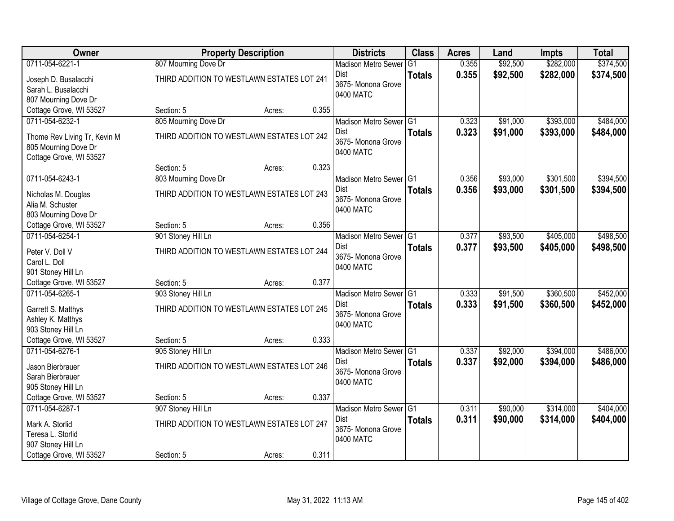| Owner                        |                                            | <b>Property Description</b> |       | <b>Districts</b>           | <b>Class</b>    | <b>Acres</b> | Land     | <b>Impts</b> | <b>Total</b> |
|------------------------------|--------------------------------------------|-----------------------------|-------|----------------------------|-----------------|--------------|----------|--------------|--------------|
| 0711-054-6221-1              | 807 Mourning Dove Dr                       |                             |       | <b>Madison Metro Sewer</b> | $\overline{G1}$ | 0.355        | \$92,500 | \$282,000    | \$374,500    |
| Joseph D. Busalacchi         | THIRD ADDITION TO WESTLAWN ESTATES LOT 241 |                             |       | Dist                       | <b>Totals</b>   | 0.355        | \$92,500 | \$282,000    | \$374,500    |
| Sarah L. Busalacchi          |                                            |                             |       | 3675- Monona Grove         |                 |              |          |              |              |
| 807 Mourning Dove Dr         |                                            |                             |       | 0400 MATC                  |                 |              |          |              |              |
| Cottage Grove, WI 53527      | Section: 5                                 | Acres:                      | 0.355 |                            |                 |              |          |              |              |
| 0711-054-6232-1              | 805 Mourning Dove Dr                       |                             |       | Madison Metro Sewer G1     |                 | 0.323        | \$91,000 | \$393,000    | \$484,000    |
| Thome Rev Living Tr, Kevin M | THIRD ADDITION TO WESTLAWN ESTATES LOT 242 |                             |       | Dist                       | <b>Totals</b>   | 0.323        | \$91,000 | \$393,000    | \$484,000    |
| 805 Mourning Dove Dr         |                                            |                             |       | 3675- Monona Grove         |                 |              |          |              |              |
| Cottage Grove, WI 53527      |                                            |                             |       | 0400 MATC                  |                 |              |          |              |              |
|                              | Section: 5                                 | Acres:                      | 0.323 |                            |                 |              |          |              |              |
| 0711-054-6243-1              | 803 Mourning Dove Dr                       |                             |       | Madison Metro Sewer G1     |                 | 0.356        | \$93,000 | \$301,500    | \$394,500    |
| Nicholas M. Douglas          | THIRD ADDITION TO WESTLAWN ESTATES LOT 243 |                             |       | Dist                       | <b>Totals</b>   | 0.356        | \$93,000 | \$301,500    | \$394,500    |
| Alia M. Schuster             |                                            |                             |       | 3675- Monona Grove         |                 |              |          |              |              |
| 803 Mourning Dove Dr         |                                            |                             |       | 0400 MATC                  |                 |              |          |              |              |
| Cottage Grove, WI 53527      | Section: 5                                 | Acres:                      | 0.356 |                            |                 |              |          |              |              |
| 0711-054-6254-1              | 901 Stoney Hill Ln                         |                             |       | Madison Metro Sewer G1     |                 | 0.377        | \$93,500 | \$405,000    | \$498,500    |
| Peter V. Doll V              | THIRD ADDITION TO WESTLAWN ESTATES LOT 244 |                             |       | Dist                       | <b>Totals</b>   | 0.377        | \$93,500 | \$405,000    | \$498,500    |
| Carol L. Doll                |                                            |                             |       | 3675-Monona Grove          |                 |              |          |              |              |
| 901 Stoney Hill Ln           |                                            |                             |       | 0400 MATC                  |                 |              |          |              |              |
| Cottage Grove, WI 53527      | Section: 5                                 | Acres:                      | 0.377 |                            |                 |              |          |              |              |
| 0711-054-6265-1              | 903 Stoney Hill Ln                         |                             |       | Madison Metro Sewer G1     |                 | 0.333        | \$91,500 | \$360,500    | \$452,000    |
| Garrett S. Matthys           | THIRD ADDITION TO WESTLAWN ESTATES LOT 245 |                             |       | Dist                       | <b>Totals</b>   | 0.333        | \$91,500 | \$360,500    | \$452,000    |
| Ashley K. Matthys            |                                            |                             |       | 3675- Monona Grove         |                 |              |          |              |              |
| 903 Stoney Hill Ln           |                                            |                             |       | 0400 MATC                  |                 |              |          |              |              |
| Cottage Grove, WI 53527      | Section: 5                                 | Acres:                      | 0.333 |                            |                 |              |          |              |              |
| 0711-054-6276-1              | 905 Stoney Hill Ln                         |                             |       | Madison Metro Sewer G1     |                 | 0.337        | \$92,000 | \$394,000    | \$486,000    |
| Jason Bierbrauer             | THIRD ADDITION TO WESTLAWN ESTATES LOT 246 |                             |       | Dist                       | <b>Totals</b>   | 0.337        | \$92,000 | \$394,000    | \$486,000    |
| Sarah Bierbrauer             |                                            |                             |       | 3675- Monona Grove         |                 |              |          |              |              |
| 905 Stoney Hill Ln           |                                            |                             |       | 0400 MATC                  |                 |              |          |              |              |
| Cottage Grove, WI 53527      | Section: 5                                 | Acres:                      | 0.337 |                            |                 |              |          |              |              |
| 0711-054-6287-1              | 907 Stoney Hill Ln                         |                             |       | Madison Metro Sewer G1     |                 | 0.311        | \$90,000 | \$314,000    | \$404,000    |
| Mark A. Storlid              | THIRD ADDITION TO WESTLAWN ESTATES LOT 247 |                             |       | Dist                       | <b>Totals</b>   | 0.311        | \$90,000 | \$314,000    | \$404,000    |
| Teresa L. Storlid            |                                            |                             |       | 3675-Monona Grove          |                 |              |          |              |              |
| 907 Stoney Hill Ln           |                                            |                             |       | 0400 MATC                  |                 |              |          |              |              |
| Cottage Grove, WI 53527      | Section: 5                                 | Acres:                      | 0.311 |                            |                 |              |          |              |              |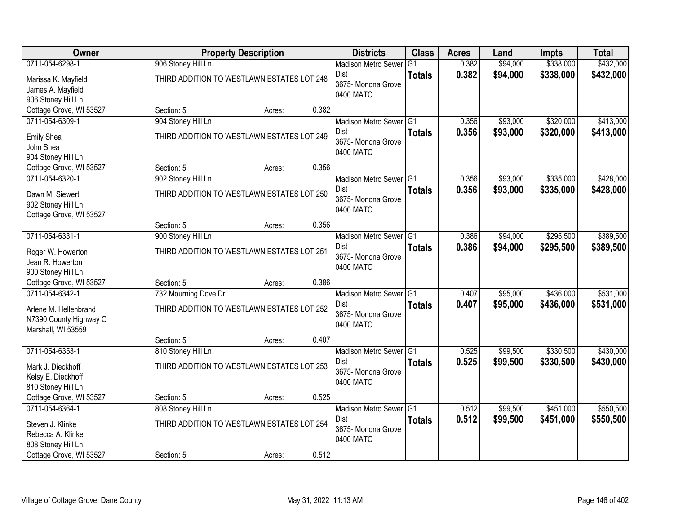| Owner                   |                                            | <b>Property Description</b> |       | <b>Districts</b>                  | <b>Class</b>  | <b>Acres</b>   | Land     | <b>Impts</b> | <b>Total</b> |
|-------------------------|--------------------------------------------|-----------------------------|-------|-----------------------------------|---------------|----------------|----------|--------------|--------------|
| 0711-054-6298-1         | 906 Stoney Hill Ln                         |                             |       | <b>Madison Metro Sewer</b>        | G1            | 0.382          | \$94,000 | \$338,000    | \$432,000    |
| Marissa K. Mayfield     | THIRD ADDITION TO WESTLAWN ESTATES LOT 248 |                             |       | Dist                              | <b>Totals</b> | 0.382          | \$94,000 | \$338,000    | \$432,000    |
| James A. Mayfield       |                                            |                             |       | 3675- Monona Grove                |               |                |          |              |              |
| 906 Stoney Hill Ln      |                                            |                             |       | 0400 MATC                         |               |                |          |              |              |
| Cottage Grove, WI 53527 | Section: 5                                 | Acres:                      | 0.382 |                                   |               |                |          |              |              |
| 0711-054-6309-1         | 904 Stoney Hill Ln                         |                             |       | Madison Metro Sewer G1            |               | 0.356          | \$93,000 | \$320,000    | \$413,000    |
| <b>Emily Shea</b>       | THIRD ADDITION TO WESTLAWN ESTATES LOT 249 |                             |       | <b>Dist</b>                       | <b>Totals</b> | 0.356          | \$93,000 | \$320,000    | \$413,000    |
| John Shea               |                                            |                             |       | 3675- Monona Grove<br>0400 MATC   |               |                |          |              |              |
| 904 Stoney Hill Ln      |                                            |                             |       |                                   |               |                |          |              |              |
| Cottage Grove, WI 53527 | Section: 5                                 | Acres:                      | 0.356 |                                   |               |                |          |              |              |
| 0711-054-6320-1         | 902 Stoney Hill Ln                         |                             |       | Madison Metro Sewer G1            |               | 0.356          | \$93,000 | \$335,000    | \$428,000    |
| Dawn M. Siewert         | THIRD ADDITION TO WESTLAWN ESTATES LOT 250 |                             |       | Dist<br>3675- Monona Grove        | <b>Totals</b> | 0.356          | \$93,000 | \$335,000    | \$428,000    |
| 902 Stoney Hill Ln      |                                            |                             |       | 0400 MATC                         |               |                |          |              |              |
| Cottage Grove, WI 53527 |                                            |                             |       |                                   |               |                |          |              |              |
|                         | Section: 5                                 | Acres:                      | 0.356 |                                   |               |                |          |              |              |
| 0711-054-6331-1         | 900 Stoney Hill Ln                         |                             |       | Madison Metro Sewer G1            |               | 0.386          | \$94,000 | \$295,500    | \$389,500    |
| Roger W. Howerton       | THIRD ADDITION TO WESTLAWN ESTATES LOT 251 |                             |       | Dist<br>3675- Monona Grove        | <b>Totals</b> | 0.386          | \$94,000 | \$295,500    | \$389,500    |
| Jean R. Howerton        |                                            |                             |       | 0400 MATC                         |               |                |          |              |              |
| 900 Stoney Hill Ln      |                                            |                             |       |                                   |               |                |          |              |              |
| Cottage Grove, WI 53527 | Section: 5                                 | Acres:                      | 0.386 |                                   |               |                |          |              |              |
| 0711-054-6342-1         | 732 Mourning Dove Dr                       |                             |       | Madison Metro Sewer G1            |               | 0.407          | \$95,000 | \$436,000    | \$531,000    |
| Arlene M. Hellenbrand   | THIRD ADDITION TO WESTLAWN ESTATES LOT 252 |                             |       | <b>Dist</b><br>3675- Monona Grove | <b>Totals</b> | 0.407          | \$95,000 | \$436,000    | \$531,000    |
| N7390 County Highway O  |                                            |                             |       | 0400 MATC                         |               |                |          |              |              |
| Marshall, WI 53559      |                                            |                             |       |                                   |               |                |          |              |              |
|                         | Section: 5                                 | Acres:                      | 0.407 |                                   |               |                |          |              |              |
| 0711-054-6353-1         | 810 Stoney Hill Ln                         |                             |       | Madison Metro Sewer G1            |               | 0.525          | \$99,500 | \$330,500    | \$430,000    |
| Mark J. Dieckhoff       | THIRD ADDITION TO WESTLAWN ESTATES LOT 253 |                             |       | Dist<br>3675- Monona Grove        | <b>Totals</b> | 0.525          | \$99,500 | \$330,500    | \$430,000    |
| Kelsy E. Dieckhoff      |                                            |                             |       | 0400 MATC                         |               |                |          |              |              |
| 810 Stoney Hill Ln      |                                            |                             |       |                                   |               |                |          |              |              |
| Cottage Grove, WI 53527 | Section: 5                                 | Acres:                      | 0.525 |                                   |               |                |          |              |              |
| 0711-054-6364-1         | 808 Stoney Hill Ln                         |                             |       | Madison Metro Sewer G1<br>Dist    |               | 0.512<br>0.512 | \$99,500 | \$451,000    | \$550,500    |
| Steven J. Klinke        | THIRD ADDITION TO WESTLAWN ESTATES LOT 254 |                             |       | 3675- Monona Grove                | <b>Totals</b> |                | \$99,500 | \$451,000    | \$550,500    |
| Rebecca A. Klinke       |                                            |                             |       | 0400 MATC                         |               |                |          |              |              |
| 808 Stoney Hill Ln      |                                            |                             |       |                                   |               |                |          |              |              |
| Cottage Grove, WI 53527 | Section: 5                                 | Acres:                      | 0.512 |                                   |               |                |          |              |              |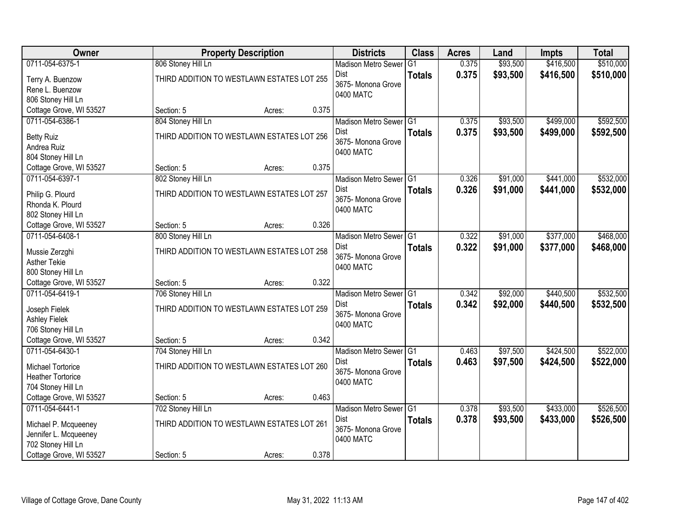| Owner                                      |                    | <b>Property Description</b>                |       | <b>Districts</b>                  | <b>Class</b>    | <b>Acres</b> | Land     | <b>Impts</b> | <b>Total</b> |
|--------------------------------------------|--------------------|--------------------------------------------|-------|-----------------------------------|-----------------|--------------|----------|--------------|--------------|
| 0711-054-6375-1                            | 806 Stoney Hill Ln |                                            |       | <b>Madison Metro Sewer</b>        | $\overline{G1}$ | 0.375        | \$93,500 | \$416,500    | \$510,000    |
| Terry A. Buenzow                           |                    | THIRD ADDITION TO WESTLAWN ESTATES LOT 255 |       | Dist                              | <b>Totals</b>   | 0.375        | \$93,500 | \$416,500    | \$510,000    |
| Rene L. Buenzow                            |                    |                                            |       | 3675- Monona Grove                |                 |              |          |              |              |
| 806 Stoney Hill Ln                         |                    |                                            |       | 0400 MATC                         |                 |              |          |              |              |
| Cottage Grove, WI 53527                    | Section: 5         | Acres:                                     | 0.375 |                                   |                 |              |          |              |              |
| 0711-054-6386-1                            | 804 Stoney Hill Ln |                                            |       | Madison Metro Sewer G1            |                 | 0.375        | \$93,500 | \$499,000    | \$592,500    |
|                                            |                    | THIRD ADDITION TO WESTLAWN ESTATES LOT 256 |       | Dist                              | <b>Totals</b>   | 0.375        | \$93,500 | \$499,000    | \$592,500    |
| <b>Betty Ruiz</b><br>Andrea Ruiz           |                    |                                            |       | 3675- Monona Grove                |                 |              |          |              |              |
| 804 Stoney Hill Ln                         |                    |                                            |       | 0400 MATC                         |                 |              |          |              |              |
| Cottage Grove, WI 53527                    | Section: 5         | Acres:                                     | 0.375 |                                   |                 |              |          |              |              |
| 0711-054-6397-1                            | 802 Stoney Hill Ln |                                            |       | Madison Metro Sewer G1            |                 | 0.326        | \$91,000 | \$441,000    | \$532,000    |
|                                            |                    |                                            |       | Dist                              | <b>Totals</b>   | 0.326        | \$91,000 | \$441,000    | \$532,000    |
| Philip G. Plourd                           |                    | THIRD ADDITION TO WESTLAWN ESTATES LOT 257 |       | 3675- Monona Grove                |                 |              |          |              |              |
| Rhonda K. Plourd                           |                    |                                            |       | 0400 MATC                         |                 |              |          |              |              |
| 802 Stoney Hill Ln                         |                    |                                            | 0.326 |                                   |                 |              |          |              |              |
| Cottage Grove, WI 53527<br>0711-054-6408-1 | Section: 5         | Acres:                                     |       |                                   |                 |              | \$91,000 |              | \$468,000    |
|                                            | 800 Stoney Hill Ln |                                            |       | Madison Metro Sewer G1<br>Dist    |                 | 0.322        |          | \$377,000    |              |
| Mussie Zerzghi                             |                    | THIRD ADDITION TO WESTLAWN ESTATES LOT 258 |       | 3675- Monona Grove                | <b>Totals</b>   | 0.322        | \$91,000 | \$377,000    | \$468,000    |
| <b>Asther Tekie</b>                        |                    |                                            |       | 0400 MATC                         |                 |              |          |              |              |
| 800 Stoney Hill Ln                         |                    |                                            |       |                                   |                 |              |          |              |              |
| Cottage Grove, WI 53527                    | Section: 5         | Acres:                                     | 0.322 |                                   |                 |              |          |              |              |
| 0711-054-6419-1                            | 706 Stoney Hill Ln |                                            |       | Madison Metro Sewer <sup>G1</sup> |                 | 0.342        | \$92,000 | \$440,500    | \$532,500    |
| Joseph Fielek                              |                    | THIRD ADDITION TO WESTLAWN ESTATES LOT 259 |       | Dist                              | <b>Totals</b>   | 0.342        | \$92,000 | \$440,500    | \$532,500    |
| <b>Ashley Fielek</b>                       |                    |                                            |       | 3675- Monona Grove                |                 |              |          |              |              |
| 706 Stoney Hill Ln                         |                    |                                            |       | 0400 MATC                         |                 |              |          |              |              |
| Cottage Grove, WI 53527                    | Section: 5         | Acres:                                     | 0.342 |                                   |                 |              |          |              |              |
| 0711-054-6430-1                            | 704 Stoney Hill Ln |                                            |       | Madison Metro Sewer G1            |                 | 0.463        | \$97,500 | \$424,500    | \$522,000    |
| Michael Tortorice                          |                    | THIRD ADDITION TO WESTLAWN ESTATES LOT 260 |       | Dist                              | <b>Totals</b>   | 0.463        | \$97,500 | \$424,500    | \$522,000    |
| <b>Heather Tortorice</b>                   |                    |                                            |       | 3675- Monona Grove                |                 |              |          |              |              |
| 704 Stoney Hill Ln                         |                    |                                            |       | 0400 MATC                         |                 |              |          |              |              |
| Cottage Grove, WI 53527                    | Section: 5         | Acres:                                     | 0.463 |                                   |                 |              |          |              |              |
| 0711-054-6441-1                            | 702 Stoney Hill Ln |                                            |       | Madison Metro Sewer G1            |                 | 0.378        | \$93,500 | \$433,000    | \$526,500    |
|                                            |                    |                                            |       | <b>Dist</b>                       | <b>Totals</b>   | 0.378        | \$93,500 | \$433,000    | \$526,500    |
| Michael P. Mcqueeney                       |                    | THIRD ADDITION TO WESTLAWN ESTATES LOT 261 |       | 3675-Monona Grove                 |                 |              |          |              |              |
| Jennifer L. Mcqueeney                      |                    |                                            |       | 0400 MATC                         |                 |              |          |              |              |
| 702 Stoney Hill Ln                         |                    |                                            | 0.378 |                                   |                 |              |          |              |              |
| Cottage Grove, WI 53527                    | Section: 5         | Acres:                                     |       |                                   |                 |              |          |              |              |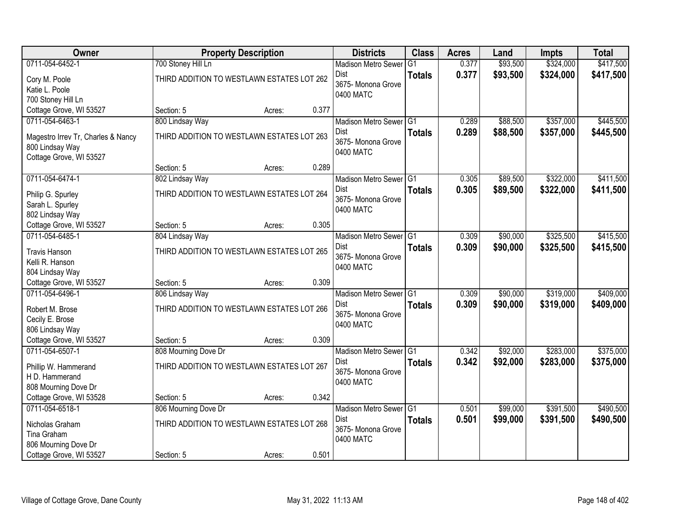| Owner                              |                                            | <b>Property Description</b> |       | <b>Districts</b>                  | <b>Class</b>  | <b>Acres</b> | Land     | <b>Impts</b> | <b>Total</b> |
|------------------------------------|--------------------------------------------|-----------------------------|-------|-----------------------------------|---------------|--------------|----------|--------------|--------------|
| 0711-054-6452-1                    | 700 Stoney Hill Ln                         |                             |       | <b>Madison Metro Sewer</b>        | G1            | 0.377        | \$93,500 | \$324,000    | \$417,500    |
| Cory M. Poole                      | THIRD ADDITION TO WESTLAWN ESTATES LOT 262 |                             |       | Dist                              | <b>Totals</b> | 0.377        | \$93,500 | \$324,000    | \$417,500    |
| Katie L. Poole                     |                                            |                             |       | 3675- Monona Grove                |               |              |          |              |              |
| 700 Stoney Hill Ln                 |                                            |                             |       | 0400 MATC                         |               |              |          |              |              |
| Cottage Grove, WI 53527            | Section: 5                                 | Acres:                      | 0.377 |                                   |               |              |          |              |              |
| 0711-054-6463-1                    | 800 Lindsay Way                            |                             |       | Madison Metro Sewer G1            |               | 0.289        | \$88,500 | \$357,000    | \$445,500    |
|                                    |                                            |                             |       | <b>Dist</b>                       | <b>Totals</b> | 0.289        | \$88,500 | \$357,000    | \$445,500    |
| Magestro Irrev Tr, Charles & Nancy | THIRD ADDITION TO WESTLAWN ESTATES LOT 263 |                             |       | 3675- Monona Grove                |               |              |          |              |              |
| 800 Lindsay Way                    |                                            |                             |       | 0400 MATC                         |               |              |          |              |              |
| Cottage Grove, WI 53527            |                                            |                             | 0.289 |                                   |               |              |          |              |              |
|                                    | Section: 5                                 | Acres:                      |       |                                   |               |              |          |              |              |
| 0711-054-6474-1                    | 802 Lindsay Way                            |                             |       | Madison Metro Sewer G1            |               | 0.305        | \$89,500 | \$322,000    | \$411,500    |
| Philip G. Spurley                  | THIRD ADDITION TO WESTLAWN ESTATES LOT 264 |                             |       | Dist<br>3675- Monona Grove        | <b>Totals</b> | 0.305        | \$89,500 | \$322,000    | \$411,500    |
| Sarah L. Spurley                   |                                            |                             |       | 0400 MATC                         |               |              |          |              |              |
| 802 Lindsay Way                    |                                            |                             |       |                                   |               |              |          |              |              |
| Cottage Grove, WI 53527            | Section: 5                                 | Acres:                      | 0.305 |                                   |               |              |          |              |              |
| 0711-054-6485-1                    | 804 Lindsay Way                            |                             |       | <b>Madison Metro Sewer</b>        | G1            | 0.309        | \$90,000 | \$325,500    | \$415,500    |
| <b>Travis Hanson</b>               | THIRD ADDITION TO WESTLAWN ESTATES LOT 265 |                             |       | Dist                              | <b>Totals</b> | 0.309        | \$90,000 | \$325,500    | \$415,500    |
| Kelli R. Hanson                    |                                            |                             |       | 3675- Monona Grove                |               |              |          |              |              |
| 804 Lindsay Way                    |                                            |                             |       | 0400 MATC                         |               |              |          |              |              |
| Cottage Grove, WI 53527            | Section: 5                                 | Acres:                      | 0.309 |                                   |               |              |          |              |              |
| 0711-054-6496-1                    | 806 Lindsay Way                            |                             |       | Madison Metro Sewer <sup>G1</sup> |               | 0.309        | \$90,000 | \$319,000    | \$409,000    |
|                                    |                                            |                             |       | Dist                              | <b>Totals</b> | 0.309        | \$90,000 | \$319,000    | \$409,000    |
| Robert M. Brose                    | THIRD ADDITION TO WESTLAWN ESTATES LOT 266 |                             |       | 3675- Monona Grove                |               |              |          |              |              |
| Cecily E. Brose                    |                                            |                             |       | 0400 MATC                         |               |              |          |              |              |
| 806 Lindsay Way                    |                                            |                             |       |                                   |               |              |          |              |              |
| Cottage Grove, WI 53527            | Section: 5                                 | Acres:                      | 0.309 |                                   |               |              |          |              |              |
| 0711-054-6507-1                    | 808 Mourning Dove Dr                       |                             |       | Madison Metro Sewer G1            |               | 0.342        | \$92,000 | \$283,000    | \$375,000    |
| Phillip W. Hammerand               | THIRD ADDITION TO WESTLAWN ESTATES LOT 267 |                             |       | <b>Dist</b>                       | <b>Totals</b> | 0.342        | \$92,000 | \$283,000    | \$375,000    |
| H D. Hammerand                     |                                            |                             |       | 3675- Monona Grove                |               |              |          |              |              |
| 808 Mourning Dove Dr               |                                            |                             |       | 0400 MATC                         |               |              |          |              |              |
| Cottage Grove, WI 53528            | Section: 5                                 | Acres:                      | 0.342 |                                   |               |              |          |              |              |
| 0711-054-6518-1                    | 806 Mourning Dove Dr                       |                             |       | Madison Metro Sewer G1            |               | 0.501        | \$99,000 | \$391,500    | \$490,500    |
|                                    |                                            |                             |       | Dist                              | <b>Totals</b> | 0.501        | \$99,000 | \$391,500    | \$490,500    |
| Nicholas Graham                    | THIRD ADDITION TO WESTLAWN ESTATES LOT 268 |                             |       | 3675- Monona Grove                |               |              |          |              |              |
| Tina Graham                        |                                            |                             |       | 0400 MATC                         |               |              |          |              |              |
| 806 Mourning Dove Dr               |                                            |                             |       |                                   |               |              |          |              |              |
| Cottage Grove, WI 53527            | Section: 5                                 | Acres:                      | 0.501 |                                   |               |              |          |              |              |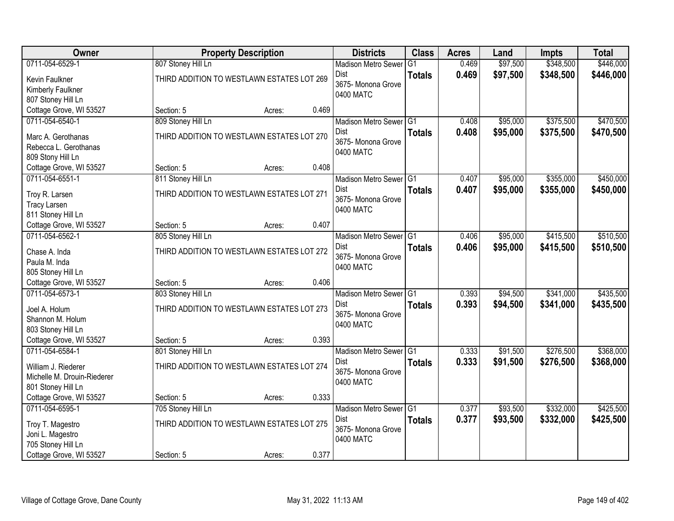| \$348,500<br>\$446,000<br>0711-054-6529-1<br>807 Stoney Hill Ln<br>0.469<br>\$97,500<br>$\overline{G1}$<br><b>Madison Metro Sewer</b><br>0.469<br>\$97,500<br>\$348,500<br>\$446,000<br>Dist<br><b>Totals</b><br>THIRD ADDITION TO WESTLAWN ESTATES LOT 269<br>Kevin Faulkner<br>3675- Monona Grove<br>Kimberly Faulkner<br>0400 MATC<br>807 Stoney Hill Ln<br>Cottage Grove, WI 53527<br>0.469<br>Section: 5<br>Acres:<br>809 Stoney Hill Ln<br>\$95,000<br>\$375,500<br>0711-054-6540-1<br>Madison Metro Sewer G1<br>0.408<br>0.408<br>\$95,000<br>\$375,500<br>Dist<br><b>Totals</b><br>THIRD ADDITION TO WESTLAWN ESTATES LOT 270<br>Marc A. Gerothanas<br>3675- Monona Grove<br>Rebecca L. Gerothanas<br>0400 MATC<br>809 Stony Hill Ln<br>0.408<br>Cottage Grove, WI 53527<br>Section: 5<br>Acres:<br>\$355,000<br>0711-054-6551-1<br>811 Stoney Hill Ln<br>Madison Metro Sewer G1<br>0.407<br>\$95,000<br><b>Dist</b><br>0.407<br>\$95,000<br>\$355,000<br><b>Totals</b><br>THIRD ADDITION TO WESTLAWN ESTATES LOT 271<br>Troy R. Larsen<br>3675- Monona Grove<br><b>Tracy Larsen</b><br>0400 MATC<br>811 Stoney Hill Ln<br>Cottage Grove, WI 53527<br>0.407<br>Section: 5<br>Acres:<br>0711-054-6562-1<br>805 Stoney Hill Ln<br>\$95,000<br>\$415,500<br>Madison Metro Sewer G1<br>0.406<br>0.406<br>Dist<br>\$95,000<br>\$415,500<br><b>Totals</b><br>THIRD ADDITION TO WESTLAWN ESTATES LOT 272<br>Chase A. Inda<br>3675- Monona Grove<br>Paula M. Inda<br>0400 MATC<br>805 Stoney Hill Ln<br>0.406<br>Cottage Grove, WI 53527<br>Section: 5<br>Acres:<br>\$341,000<br>0711-054-6573-1<br>803 Stoney Hill Ln<br>Madison Metro Sewer <sup>G1</sup><br>0.393<br>\$94,500<br>Dist<br>0.393<br>\$94,500<br>\$341,000<br><b>Totals</b><br>THIRD ADDITION TO WESTLAWN ESTATES LOT 273<br>Joel A. Holum<br>3675- Monona Grove<br>Shannon M. Holum<br>0400 MATC<br>803 Stoney Hill Ln<br>Cottage Grove, WI 53527<br>0.393<br>Section: 5<br>Acres:<br>0711-054-6584-1<br>\$91,500<br>\$276,500<br>801 Stoney Hill Ln<br>Madison Metro Sewer G1<br>0.333<br>0.333<br>\$91,500<br>\$276,500<br>Dist<br><b>Totals</b><br>THIRD ADDITION TO WESTLAWN ESTATES LOT 274<br>William J. Riederer<br>3675- Monona Grove<br>Michelle M. Drouin-Riederer<br>0400 MATC<br>801 Stoney Hill Ln<br>0.333<br>Cottage Grove, WI 53527<br>Section: 5<br>Acres:<br>0711-054-6595-1<br>705 Stoney Hill Ln<br>\$93,500<br>\$332,000<br>Madison Metro Sewer G1<br>0.377<br>0.377<br>\$93,500<br>\$332,000<br>Dist<br><b>Totals</b><br>THIRD ADDITION TO WESTLAWN ESTATES LOT 275<br>Troy T. Magestro<br>3675-Monona Grove<br>Joni L. Magestro<br>0400 MATC<br>705 Stoney Hill Ln | Owner                   |            | <b>Property Description</b> |       | <b>Districts</b> | <b>Class</b> | <b>Acres</b> | Land | Impts | <b>Total</b> |
|------------------------------------------------------------------------------------------------------------------------------------------------------------------------------------------------------------------------------------------------------------------------------------------------------------------------------------------------------------------------------------------------------------------------------------------------------------------------------------------------------------------------------------------------------------------------------------------------------------------------------------------------------------------------------------------------------------------------------------------------------------------------------------------------------------------------------------------------------------------------------------------------------------------------------------------------------------------------------------------------------------------------------------------------------------------------------------------------------------------------------------------------------------------------------------------------------------------------------------------------------------------------------------------------------------------------------------------------------------------------------------------------------------------------------------------------------------------------------------------------------------------------------------------------------------------------------------------------------------------------------------------------------------------------------------------------------------------------------------------------------------------------------------------------------------------------------------------------------------------------------------------------------------------------------------------------------------------------------------------------------------------------------------------------------------------------------------------------------------------------------------------------------------------------------------------------------------------------------------------------------------------------------------------------------------------------------------------------------------------------------------------------------------------------------------------------------------------------------------------------------------------------------------------------------------------------------------------------------------------------------------------------------------|-------------------------|------------|-----------------------------|-------|------------------|--------------|--------------|------|-------|--------------|
|                                                                                                                                                                                                                                                                                                                                                                                                                                                                                                                                                                                                                                                                                                                                                                                                                                                                                                                                                                                                                                                                                                                                                                                                                                                                                                                                                                                                                                                                                                                                                                                                                                                                                                                                                                                                                                                                                                                                                                                                                                                                                                                                                                                                                                                                                                                                                                                                                                                                                                                                                                                                                                                            |                         |            |                             |       |                  |              |              |      |       |              |
|                                                                                                                                                                                                                                                                                                                                                                                                                                                                                                                                                                                                                                                                                                                                                                                                                                                                                                                                                                                                                                                                                                                                                                                                                                                                                                                                                                                                                                                                                                                                                                                                                                                                                                                                                                                                                                                                                                                                                                                                                                                                                                                                                                                                                                                                                                                                                                                                                                                                                                                                                                                                                                                            |                         |            |                             |       |                  |              |              |      |       |              |
|                                                                                                                                                                                                                                                                                                                                                                                                                                                                                                                                                                                                                                                                                                                                                                                                                                                                                                                                                                                                                                                                                                                                                                                                                                                                                                                                                                                                                                                                                                                                                                                                                                                                                                                                                                                                                                                                                                                                                                                                                                                                                                                                                                                                                                                                                                                                                                                                                                                                                                                                                                                                                                                            |                         |            |                             |       |                  |              |              |      |       |              |
|                                                                                                                                                                                                                                                                                                                                                                                                                                                                                                                                                                                                                                                                                                                                                                                                                                                                                                                                                                                                                                                                                                                                                                                                                                                                                                                                                                                                                                                                                                                                                                                                                                                                                                                                                                                                                                                                                                                                                                                                                                                                                                                                                                                                                                                                                                                                                                                                                                                                                                                                                                                                                                                            |                         |            |                             |       |                  |              |              |      |       |              |
| \$470,500<br>\$470,500<br>\$450,000<br>\$450,000<br>\$510,500<br>\$510,500<br>\$435,500<br>\$435,500<br>\$368,000<br>\$425,500<br>\$425,500                                                                                                                                                                                                                                                                                                                                                                                                                                                                                                                                                                                                                                                                                                                                                                                                                                                                                                                                                                                                                                                                                                                                                                                                                                                                                                                                                                                                                                                                                                                                                                                                                                                                                                                                                                                                                                                                                                                                                                                                                                                                                                                                                                                                                                                                                                                                                                                                                                                                                                                |                         |            |                             |       |                  |              |              |      |       |              |
|                                                                                                                                                                                                                                                                                                                                                                                                                                                                                                                                                                                                                                                                                                                                                                                                                                                                                                                                                                                                                                                                                                                                                                                                                                                                                                                                                                                                                                                                                                                                                                                                                                                                                                                                                                                                                                                                                                                                                                                                                                                                                                                                                                                                                                                                                                                                                                                                                                                                                                                                                                                                                                                            |                         |            |                             |       |                  |              |              |      |       |              |
|                                                                                                                                                                                                                                                                                                                                                                                                                                                                                                                                                                                                                                                                                                                                                                                                                                                                                                                                                                                                                                                                                                                                                                                                                                                                                                                                                                                                                                                                                                                                                                                                                                                                                                                                                                                                                                                                                                                                                                                                                                                                                                                                                                                                                                                                                                                                                                                                                                                                                                                                                                                                                                                            |                         |            |                             |       |                  |              |              |      |       |              |
|                                                                                                                                                                                                                                                                                                                                                                                                                                                                                                                                                                                                                                                                                                                                                                                                                                                                                                                                                                                                                                                                                                                                                                                                                                                                                                                                                                                                                                                                                                                                                                                                                                                                                                                                                                                                                                                                                                                                                                                                                                                                                                                                                                                                                                                                                                                                                                                                                                                                                                                                                                                                                                                            |                         |            |                             |       |                  |              |              |      |       |              |
|                                                                                                                                                                                                                                                                                                                                                                                                                                                                                                                                                                                                                                                                                                                                                                                                                                                                                                                                                                                                                                                                                                                                                                                                                                                                                                                                                                                                                                                                                                                                                                                                                                                                                                                                                                                                                                                                                                                                                                                                                                                                                                                                                                                                                                                                                                                                                                                                                                                                                                                                                                                                                                                            |                         |            |                             |       |                  |              |              |      |       |              |
|                                                                                                                                                                                                                                                                                                                                                                                                                                                                                                                                                                                                                                                                                                                                                                                                                                                                                                                                                                                                                                                                                                                                                                                                                                                                                                                                                                                                                                                                                                                                                                                                                                                                                                                                                                                                                                                                                                                                                                                                                                                                                                                                                                                                                                                                                                                                                                                                                                                                                                                                                                                                                                                            |                         |            |                             |       |                  |              |              |      |       |              |
|                                                                                                                                                                                                                                                                                                                                                                                                                                                                                                                                                                                                                                                                                                                                                                                                                                                                                                                                                                                                                                                                                                                                                                                                                                                                                                                                                                                                                                                                                                                                                                                                                                                                                                                                                                                                                                                                                                                                                                                                                                                                                                                                                                                                                                                                                                                                                                                                                                                                                                                                                                                                                                                            |                         |            |                             |       |                  |              |              |      |       |              |
|                                                                                                                                                                                                                                                                                                                                                                                                                                                                                                                                                                                                                                                                                                                                                                                                                                                                                                                                                                                                                                                                                                                                                                                                                                                                                                                                                                                                                                                                                                                                                                                                                                                                                                                                                                                                                                                                                                                                                                                                                                                                                                                                                                                                                                                                                                                                                                                                                                                                                                                                                                                                                                                            |                         |            |                             |       |                  |              |              |      |       |              |
|                                                                                                                                                                                                                                                                                                                                                                                                                                                                                                                                                                                                                                                                                                                                                                                                                                                                                                                                                                                                                                                                                                                                                                                                                                                                                                                                                                                                                                                                                                                                                                                                                                                                                                                                                                                                                                                                                                                                                                                                                                                                                                                                                                                                                                                                                                                                                                                                                                                                                                                                                                                                                                                            |                         |            |                             |       |                  |              |              |      |       |              |
|                                                                                                                                                                                                                                                                                                                                                                                                                                                                                                                                                                                                                                                                                                                                                                                                                                                                                                                                                                                                                                                                                                                                                                                                                                                                                                                                                                                                                                                                                                                                                                                                                                                                                                                                                                                                                                                                                                                                                                                                                                                                                                                                                                                                                                                                                                                                                                                                                                                                                                                                                                                                                                                            |                         |            |                             |       |                  |              |              |      |       |              |
|                                                                                                                                                                                                                                                                                                                                                                                                                                                                                                                                                                                                                                                                                                                                                                                                                                                                                                                                                                                                                                                                                                                                                                                                                                                                                                                                                                                                                                                                                                                                                                                                                                                                                                                                                                                                                                                                                                                                                                                                                                                                                                                                                                                                                                                                                                                                                                                                                                                                                                                                                                                                                                                            |                         |            |                             |       |                  |              |              |      |       |              |
|                                                                                                                                                                                                                                                                                                                                                                                                                                                                                                                                                                                                                                                                                                                                                                                                                                                                                                                                                                                                                                                                                                                                                                                                                                                                                                                                                                                                                                                                                                                                                                                                                                                                                                                                                                                                                                                                                                                                                                                                                                                                                                                                                                                                                                                                                                                                                                                                                                                                                                                                                                                                                                                            |                         |            |                             |       |                  |              |              |      |       |              |
|                                                                                                                                                                                                                                                                                                                                                                                                                                                                                                                                                                                                                                                                                                                                                                                                                                                                                                                                                                                                                                                                                                                                                                                                                                                                                                                                                                                                                                                                                                                                                                                                                                                                                                                                                                                                                                                                                                                                                                                                                                                                                                                                                                                                                                                                                                                                                                                                                                                                                                                                                                                                                                                            |                         |            |                             |       |                  |              |              |      |       |              |
|                                                                                                                                                                                                                                                                                                                                                                                                                                                                                                                                                                                                                                                                                                                                                                                                                                                                                                                                                                                                                                                                                                                                                                                                                                                                                                                                                                                                                                                                                                                                                                                                                                                                                                                                                                                                                                                                                                                                                                                                                                                                                                                                                                                                                                                                                                                                                                                                                                                                                                                                                                                                                                                            |                         |            |                             |       |                  |              |              |      |       |              |
| \$368,000                                                                                                                                                                                                                                                                                                                                                                                                                                                                                                                                                                                                                                                                                                                                                                                                                                                                                                                                                                                                                                                                                                                                                                                                                                                                                                                                                                                                                                                                                                                                                                                                                                                                                                                                                                                                                                                                                                                                                                                                                                                                                                                                                                                                                                                                                                                                                                                                                                                                                                                                                                                                                                                  |                         |            |                             |       |                  |              |              |      |       |              |
|                                                                                                                                                                                                                                                                                                                                                                                                                                                                                                                                                                                                                                                                                                                                                                                                                                                                                                                                                                                                                                                                                                                                                                                                                                                                                                                                                                                                                                                                                                                                                                                                                                                                                                                                                                                                                                                                                                                                                                                                                                                                                                                                                                                                                                                                                                                                                                                                                                                                                                                                                                                                                                                            |                         |            |                             |       |                  |              |              |      |       |              |
|                                                                                                                                                                                                                                                                                                                                                                                                                                                                                                                                                                                                                                                                                                                                                                                                                                                                                                                                                                                                                                                                                                                                                                                                                                                                                                                                                                                                                                                                                                                                                                                                                                                                                                                                                                                                                                                                                                                                                                                                                                                                                                                                                                                                                                                                                                                                                                                                                                                                                                                                                                                                                                                            |                         |            |                             |       |                  |              |              |      |       |              |
|                                                                                                                                                                                                                                                                                                                                                                                                                                                                                                                                                                                                                                                                                                                                                                                                                                                                                                                                                                                                                                                                                                                                                                                                                                                                                                                                                                                                                                                                                                                                                                                                                                                                                                                                                                                                                                                                                                                                                                                                                                                                                                                                                                                                                                                                                                                                                                                                                                                                                                                                                                                                                                                            |                         |            |                             |       |                  |              |              |      |       |              |
|                                                                                                                                                                                                                                                                                                                                                                                                                                                                                                                                                                                                                                                                                                                                                                                                                                                                                                                                                                                                                                                                                                                                                                                                                                                                                                                                                                                                                                                                                                                                                                                                                                                                                                                                                                                                                                                                                                                                                                                                                                                                                                                                                                                                                                                                                                                                                                                                                                                                                                                                                                                                                                                            |                         |            |                             |       |                  |              |              |      |       |              |
|                                                                                                                                                                                                                                                                                                                                                                                                                                                                                                                                                                                                                                                                                                                                                                                                                                                                                                                                                                                                                                                                                                                                                                                                                                                                                                                                                                                                                                                                                                                                                                                                                                                                                                                                                                                                                                                                                                                                                                                                                                                                                                                                                                                                                                                                                                                                                                                                                                                                                                                                                                                                                                                            |                         |            |                             |       |                  |              |              |      |       |              |
|                                                                                                                                                                                                                                                                                                                                                                                                                                                                                                                                                                                                                                                                                                                                                                                                                                                                                                                                                                                                                                                                                                                                                                                                                                                                                                                                                                                                                                                                                                                                                                                                                                                                                                                                                                                                                                                                                                                                                                                                                                                                                                                                                                                                                                                                                                                                                                                                                                                                                                                                                                                                                                                            |                         |            |                             |       |                  |              |              |      |       |              |
|                                                                                                                                                                                                                                                                                                                                                                                                                                                                                                                                                                                                                                                                                                                                                                                                                                                                                                                                                                                                                                                                                                                                                                                                                                                                                                                                                                                                                                                                                                                                                                                                                                                                                                                                                                                                                                                                                                                                                                                                                                                                                                                                                                                                                                                                                                                                                                                                                                                                                                                                                                                                                                                            |                         |            |                             |       |                  |              |              |      |       |              |
|                                                                                                                                                                                                                                                                                                                                                                                                                                                                                                                                                                                                                                                                                                                                                                                                                                                                                                                                                                                                                                                                                                                                                                                                                                                                                                                                                                                                                                                                                                                                                                                                                                                                                                                                                                                                                                                                                                                                                                                                                                                                                                                                                                                                                                                                                                                                                                                                                                                                                                                                                                                                                                                            |                         |            |                             |       |                  |              |              |      |       |              |
|                                                                                                                                                                                                                                                                                                                                                                                                                                                                                                                                                                                                                                                                                                                                                                                                                                                                                                                                                                                                                                                                                                                                                                                                                                                                                                                                                                                                                                                                                                                                                                                                                                                                                                                                                                                                                                                                                                                                                                                                                                                                                                                                                                                                                                                                                                                                                                                                                                                                                                                                                                                                                                                            |                         |            |                             |       |                  |              |              |      |       |              |
|                                                                                                                                                                                                                                                                                                                                                                                                                                                                                                                                                                                                                                                                                                                                                                                                                                                                                                                                                                                                                                                                                                                                                                                                                                                                                                                                                                                                                                                                                                                                                                                                                                                                                                                                                                                                                                                                                                                                                                                                                                                                                                                                                                                                                                                                                                                                                                                                                                                                                                                                                                                                                                                            |                         |            |                             |       |                  |              |              |      |       |              |
|                                                                                                                                                                                                                                                                                                                                                                                                                                                                                                                                                                                                                                                                                                                                                                                                                                                                                                                                                                                                                                                                                                                                                                                                                                                                                                                                                                                                                                                                                                                                                                                                                                                                                                                                                                                                                                                                                                                                                                                                                                                                                                                                                                                                                                                                                                                                                                                                                                                                                                                                                                                                                                                            |                         |            |                             |       |                  |              |              |      |       |              |
|                                                                                                                                                                                                                                                                                                                                                                                                                                                                                                                                                                                                                                                                                                                                                                                                                                                                                                                                                                                                                                                                                                                                                                                                                                                                                                                                                                                                                                                                                                                                                                                                                                                                                                                                                                                                                                                                                                                                                                                                                                                                                                                                                                                                                                                                                                                                                                                                                                                                                                                                                                                                                                                            |                         |            |                             |       |                  |              |              |      |       |              |
|                                                                                                                                                                                                                                                                                                                                                                                                                                                                                                                                                                                                                                                                                                                                                                                                                                                                                                                                                                                                                                                                                                                                                                                                                                                                                                                                                                                                                                                                                                                                                                                                                                                                                                                                                                                                                                                                                                                                                                                                                                                                                                                                                                                                                                                                                                                                                                                                                                                                                                                                                                                                                                                            |                         |            |                             |       |                  |              |              |      |       |              |
|                                                                                                                                                                                                                                                                                                                                                                                                                                                                                                                                                                                                                                                                                                                                                                                                                                                                                                                                                                                                                                                                                                                                                                                                                                                                                                                                                                                                                                                                                                                                                                                                                                                                                                                                                                                                                                                                                                                                                                                                                                                                                                                                                                                                                                                                                                                                                                                                                                                                                                                                                                                                                                                            |                         |            |                             |       |                  |              |              |      |       |              |
|                                                                                                                                                                                                                                                                                                                                                                                                                                                                                                                                                                                                                                                                                                                                                                                                                                                                                                                                                                                                                                                                                                                                                                                                                                                                                                                                                                                                                                                                                                                                                                                                                                                                                                                                                                                                                                                                                                                                                                                                                                                                                                                                                                                                                                                                                                                                                                                                                                                                                                                                                                                                                                                            |                         |            |                             |       |                  |              |              |      |       |              |
|                                                                                                                                                                                                                                                                                                                                                                                                                                                                                                                                                                                                                                                                                                                                                                                                                                                                                                                                                                                                                                                                                                                                                                                                                                                                                                                                                                                                                                                                                                                                                                                                                                                                                                                                                                                                                                                                                                                                                                                                                                                                                                                                                                                                                                                                                                                                                                                                                                                                                                                                                                                                                                                            |                         |            |                             |       |                  |              |              |      |       |              |
| Acres:                                                                                                                                                                                                                                                                                                                                                                                                                                                                                                                                                                                                                                                                                                                                                                                                                                                                                                                                                                                                                                                                                                                                                                                                                                                                                                                                                                                                                                                                                                                                                                                                                                                                                                                                                                                                                                                                                                                                                                                                                                                                                                                                                                                                                                                                                                                                                                                                                                                                                                                                                                                                                                                     | Cottage Grove, WI 53527 | Section: 5 |                             | 0.377 |                  |              |              |      |       |              |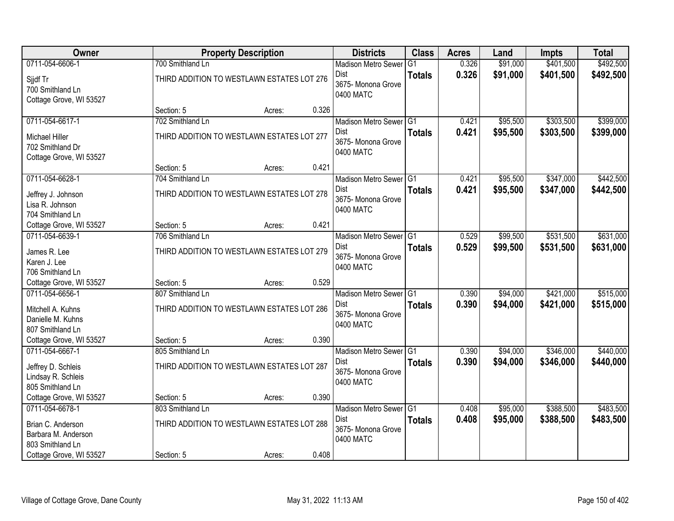| Owner                   |                                            | <b>Property Description</b> |       | <b>Districts</b>           | <b>Class</b>  | <b>Acres</b> | Land     | <b>Impts</b> | <b>Total</b> |
|-------------------------|--------------------------------------------|-----------------------------|-------|----------------------------|---------------|--------------|----------|--------------|--------------|
| 0711-054-6606-1         | 700 Smithland Ln                           |                             |       | <b>Madison Metro Sewer</b> | G1            | 0.326        | \$91,000 | \$401,500    | \$492,500    |
| Sjidf Tr                | THIRD ADDITION TO WESTLAWN ESTATES LOT 276 |                             |       | Dist                       | <b>Totals</b> | 0.326        | \$91,000 | \$401,500    | \$492,500    |
| 700 Smithland Ln        |                                            |                             |       | 3675- Monona Grove         |               |              |          |              |              |
| Cottage Grove, WI 53527 |                                            |                             |       | 0400 MATC                  |               |              |          |              |              |
|                         | Section: 5                                 | Acres:                      | 0.326 |                            |               |              |          |              |              |
| 0711-054-6617-1         | 702 Smithland Ln                           |                             |       | Madison Metro Sewer G1     |               | 0.421        | \$95,500 | \$303,500    | \$399,000    |
| <b>Michael Hiller</b>   | THIRD ADDITION TO WESTLAWN ESTATES LOT 277 |                             |       | <b>Dist</b>                | <b>Totals</b> | 0.421        | \$95,500 | \$303,500    | \$399,000    |
| 702 Smithland Dr        |                                            |                             |       | 3675- Monona Grove         |               |              |          |              |              |
| Cottage Grove, WI 53527 |                                            |                             |       | 0400 MATC                  |               |              |          |              |              |
|                         | Section: 5                                 | Acres:                      | 0.421 |                            |               |              |          |              |              |
| 0711-054-6628-1         | 704 Smithland Ln                           |                             |       | Madison Metro Sewer G1     |               | 0.421        | \$95,500 | \$347,000    | \$442,500    |
| Jeffrey J. Johnson      | THIRD ADDITION TO WESTLAWN ESTATES LOT 278 |                             |       | Dist                       | <b>Totals</b> | 0.421        | \$95,500 | \$347,000    | \$442,500    |
| Lisa R. Johnson         |                                            |                             |       | 3675- Monona Grove         |               |              |          |              |              |
| 704 Smithland Ln        |                                            |                             |       | 0400 MATC                  |               |              |          |              |              |
| Cottage Grove, WI 53527 | Section: 5                                 | Acres:                      | 0.421 |                            |               |              |          |              |              |
| 0711-054-6639-1         | 706 Smithland Ln                           |                             |       | Madison Metro Sewer G1     |               | 0.529        | \$99,500 | \$531,500    | \$631,000    |
| James R. Lee            | THIRD ADDITION TO WESTLAWN ESTATES LOT 279 |                             |       | Dist                       | <b>Totals</b> | 0.529        | \$99,500 | \$531,500    | \$631,000    |
| Karen J. Lee            |                                            |                             |       | 3675- Monona Grove         |               |              |          |              |              |
| 706 Smithland Ln        |                                            |                             |       | 0400 MATC                  |               |              |          |              |              |
| Cottage Grove, WI 53527 | Section: 5                                 | Acres:                      | 0.529 |                            |               |              |          |              |              |
| 0711-054-6656-1         | 807 Smithland Ln                           |                             |       | Madison Metro Sewer G1     |               | 0.390        | \$94,000 | \$421,000    | \$515,000    |
| Mitchell A. Kuhns       | THIRD ADDITION TO WESTLAWN ESTATES LOT 286 |                             |       | <b>Dist</b>                | <b>Totals</b> | 0.390        | \$94,000 | \$421,000    | \$515,000    |
| Danielle M. Kuhns       |                                            |                             |       | 3675- Monona Grove         |               |              |          |              |              |
| 807 Smithland Ln        |                                            |                             |       | 0400 MATC                  |               |              |          |              |              |
| Cottage Grove, WI 53527 | Section: 5                                 | Acres:                      | 0.390 |                            |               |              |          |              |              |
| 0711-054-6667-1         | 805 Smithland Ln                           |                             |       | Madison Metro Sewer G1     |               | 0.390        | \$94,000 | \$346,000    | \$440,000    |
| Jeffrey D. Schleis      | THIRD ADDITION TO WESTLAWN ESTATES LOT 287 |                             |       | Dist                       | <b>Totals</b> | 0.390        | \$94,000 | \$346,000    | \$440,000    |
| Lindsay R. Schleis      |                                            |                             |       | 3675- Monona Grove         |               |              |          |              |              |
| 805 Smithland Ln        |                                            |                             |       | 0400 MATC                  |               |              |          |              |              |
| Cottage Grove, WI 53527 | Section: 5                                 | Acres:                      | 0.390 |                            |               |              |          |              |              |
| 0711-054-6678-1         | 803 Smithland Ln                           |                             |       | Madison Metro Sewer G1     |               | 0.408        | \$95,000 | \$388,500    | \$483,500    |
| Brian C. Anderson       | THIRD ADDITION TO WESTLAWN ESTATES LOT 288 |                             |       | Dist                       | <b>Totals</b> | 0.408        | \$95,000 | \$388,500    | \$483,500    |
| Barbara M. Anderson     |                                            |                             |       | 3675- Monona Grove         |               |              |          |              |              |
| 803 Smithland Ln        |                                            |                             |       | 0400 MATC                  |               |              |          |              |              |
| Cottage Grove, WI 53527 | Section: 5                                 | Acres:                      | 0.408 |                            |               |              |          |              |              |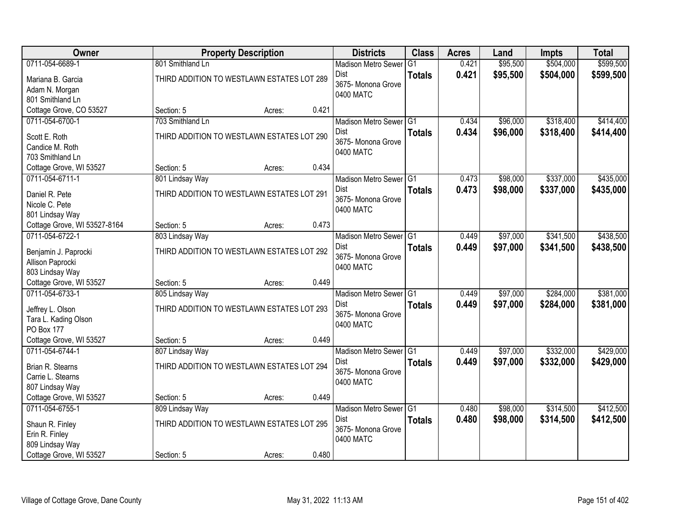| Owner                        |                                            | <b>Property Description</b> |       | <b>Districts</b>                | <b>Class</b>  | <b>Acres</b> | Land     | <b>Impts</b> | <b>Total</b> |
|------------------------------|--------------------------------------------|-----------------------------|-------|---------------------------------|---------------|--------------|----------|--------------|--------------|
| 0711-054-6689-1              | 801 Smithland Ln                           |                             |       | <b>Madison Metro Sewer</b>      | G1            | 0.421        | \$95,500 | \$504,000    | \$599,500    |
| Mariana B. Garcia            | THIRD ADDITION TO WESTLAWN ESTATES LOT 289 |                             |       | Dist                            | <b>Totals</b> | 0.421        | \$95,500 | \$504,000    | \$599,500    |
| Adam N. Morgan               |                                            |                             |       | 3675- Monona Grove              |               |              |          |              |              |
| 801 Smithland Ln             |                                            |                             |       | 0400 MATC                       |               |              |          |              |              |
| Cottage Grove, CO 53527      | Section: 5                                 | Acres:                      | 0.421 |                                 |               |              |          |              |              |
| 0711-054-6700-1              | 703 Smithland Ln                           |                             |       | Madison Metro Sewer G1          |               | 0.434        | \$96,000 | \$318,400    | \$414,400    |
| Scott E. Roth                | THIRD ADDITION TO WESTLAWN ESTATES LOT 290 |                             |       | <b>Dist</b>                     | <b>Totals</b> | 0.434        | \$96,000 | \$318,400    | \$414,400    |
| Candice M. Roth              |                                            |                             |       | 3675- Monona Grove<br>0400 MATC |               |              |          |              |              |
| 703 Smithland Ln             |                                            |                             |       |                                 |               |              |          |              |              |
| Cottage Grove, WI 53527      | Section: 5                                 | Acres:                      | 0.434 |                                 |               |              |          |              |              |
| 0711-054-6711-1              | 801 Lindsay Way                            |                             |       | Madison Metro Sewer G1          |               | 0.473        | \$98,000 | \$337,000    | \$435,000    |
| Daniel R. Pete               | THIRD ADDITION TO WESTLAWN ESTATES LOT 291 |                             |       | Dist                            | <b>Totals</b> | 0.473        | \$98,000 | \$337,000    | \$435,000    |
| Nicole C. Pete               |                                            |                             |       | 3675- Monona Grove              |               |              |          |              |              |
| 801 Lindsay Way              |                                            |                             |       | 0400 MATC                       |               |              |          |              |              |
| Cottage Grove, WI 53527-8164 | Section: 5                                 | Acres:                      | 0.473 |                                 |               |              |          |              |              |
| 0711-054-6722-1              | 803 Lindsay Way                            |                             |       | Madison Metro Sewer G1          |               | 0.449        | \$97,000 | \$341,500    | \$438,500    |
| Benjamin J. Paprocki         | THIRD ADDITION TO WESTLAWN ESTATES LOT 292 |                             |       | Dist                            | <b>Totals</b> | 0.449        | \$97,000 | \$341,500    | \$438,500    |
| Allison Paprocki             |                                            |                             |       | 3675- Monona Grove              |               |              |          |              |              |
| 803 Lindsay Way              |                                            |                             |       | 0400 MATC                       |               |              |          |              |              |
| Cottage Grove, WI 53527      | Section: 5                                 | Acres:                      | 0.449 |                                 |               |              |          |              |              |
| 0711-054-6733-1              | 805 Lindsay Way                            |                             |       | Madison Metro Sewer G1          |               | 0.449        | \$97,000 | \$284,000    | \$381,000    |
| Jeffrey L. Olson             | THIRD ADDITION TO WESTLAWN ESTATES LOT 293 |                             |       | <b>Dist</b>                     | <b>Totals</b> | 0.449        | \$97,000 | \$284,000    | \$381,000    |
| Tara L. Kading Olson         |                                            |                             |       | 3675- Monona Grove              |               |              |          |              |              |
| PO Box 177                   |                                            |                             |       | 0400 MATC                       |               |              |          |              |              |
| Cottage Grove, WI 53527      | Section: 5                                 | Acres:                      | 0.449 |                                 |               |              |          |              |              |
| 0711-054-6744-1              | 807 Lindsay Way                            |                             |       | Madison Metro Sewer G1          |               | 0.449        | \$97,000 | \$332,000    | \$429,000    |
| Brian R. Stearns             | THIRD ADDITION TO WESTLAWN ESTATES LOT 294 |                             |       | Dist                            | <b>Totals</b> | 0.449        | \$97,000 | \$332,000    | \$429,000    |
| Carrie L. Stearns            |                                            |                             |       | 3675- Monona Grove              |               |              |          |              |              |
| 807 Lindsay Way              |                                            |                             |       | 0400 MATC                       |               |              |          |              |              |
| Cottage Grove, WI 53527      | Section: 5                                 | Acres:                      | 0.449 |                                 |               |              |          |              |              |
| 0711-054-6755-1              | 809 Lindsay Way                            |                             |       | Madison Metro Sewer G1          |               | 0.480        | \$98,000 | \$314,500    | \$412,500    |
| Shaun R. Finley              | THIRD ADDITION TO WESTLAWN ESTATES LOT 295 |                             |       | Dist                            | <b>Totals</b> | 0.480        | \$98,000 | \$314,500    | \$412,500    |
| Erin R. Finley               |                                            |                             |       | 3675- Monona Grove              |               |              |          |              |              |
| 809 Lindsay Way              |                                            |                             |       | 0400 MATC                       |               |              |          |              |              |
| Cottage Grove, WI 53527      | Section: 5                                 | Acres:                      | 0.480 |                                 |               |              |          |              |              |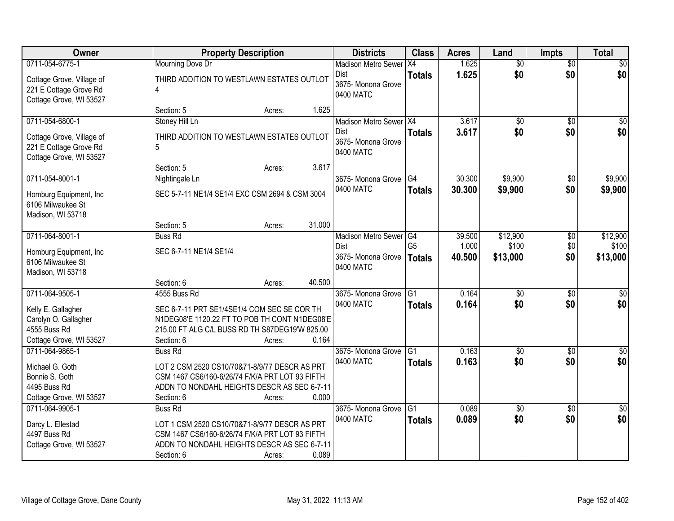| Owner                                                                          |                                                                                                 | <b>Property Description</b> |        | <b>Districts</b>                               | <b>Class</b>    | <b>Acres</b> | Land            | <b>Impts</b>    | <b>Total</b>    |
|--------------------------------------------------------------------------------|-------------------------------------------------------------------------------------------------|-----------------------------|--------|------------------------------------------------|-----------------|--------------|-----------------|-----------------|-----------------|
| 0711-054-6775-1                                                                | Mourning Dove Dr                                                                                |                             |        | <b>Madison Metro Sewer</b>                     | X4              | 1.625        | $\overline{50}$ | $\overline{50}$ | \$0             |
| Cottage Grove, Village of<br>221 E Cottage Grove Rd<br>Cottage Grove, WI 53527 | THIRD ADDITION TO WESTLAWN ESTATES OUTLOT                                                       |                             |        | <b>Dist</b><br>3675- Monona Grove<br>0400 MATC | <b>Totals</b>   | 1.625        | \$0             | \$0             | \$0             |
|                                                                                | Section: 5                                                                                      | Acres:                      | 1.625  |                                                |                 |              |                 |                 |                 |
| 0711-054-6800-1                                                                | Stoney Hill Ln                                                                                  |                             |        | Madison Metro Sewer   X4                       |                 | 3.617        | \$0             | $\overline{50}$ | \$0             |
| Cottage Grove, Village of<br>221 E Cottage Grove Rd<br>Cottage Grove, WI 53527 | THIRD ADDITION TO WESTLAWN ESTATES OUTLOT<br>5                                                  |                             |        | <b>Dist</b><br>3675- Monona Grove<br>0400 MATC | <b>Totals</b>   | 3.617        | \$0             | \$0             | \$0             |
|                                                                                | Section: 5                                                                                      | Acres:                      | 3.617  |                                                |                 |              |                 |                 |                 |
| 0711-054-8001-1                                                                | Nightingale Ln                                                                                  |                             |        | 3675- Monona Grove                             | G4              | 30.300       | \$9,900         | \$0             | \$9,900         |
| Homburg Equipment, Inc.<br>6106 Milwaukee St<br>Madison, WI 53718              | SEC 5-7-11 NE1/4 SE1/4 EXC CSM 2694 & CSM 3004                                                  |                             |        | 0400 MATC                                      | <b>Totals</b>   | 30.300       | \$9,900         | \$0             | \$9,900         |
|                                                                                | Section: 5                                                                                      | Acres:                      | 31.000 |                                                |                 |              |                 |                 |                 |
| 0711-064-8001-1                                                                | <b>Buss Rd</b>                                                                                  |                             |        | <b>Madison Metro Sewer</b>                     | G4              | 39.500       | \$12,900        | \$0             | \$12,900        |
| Homburg Equipment, Inc.                                                        | SEC 6-7-11 NE1/4 SE1/4                                                                          |                             |        | Dist                                           | G <sub>5</sub>  | 1.000        | \$100           | \$0             | \$100           |
| 6106 Milwaukee St<br>Madison, WI 53718                                         |                                                                                                 |                             |        | 3675- Monona Grove<br>0400 MATC                | <b>Totals</b>   | 40.500       | \$13,000        | \$0             | \$13,000        |
|                                                                                | Section: 6                                                                                      | Acres:                      | 40.500 |                                                |                 |              |                 |                 |                 |
| 0711-064-9505-1                                                                | 4555 Buss Rd                                                                                    |                             |        | 3675- Monona Grove                             | $\overline{G1}$ | 0.164        | $\overline{50}$ | $\overline{50}$ | $\overline{50}$ |
|                                                                                |                                                                                                 |                             |        | 0400 MATC                                      | <b>Totals</b>   | 0.164        | \$0             | \$0             | \$0             |
| Kelly E. Gallagher                                                             | SEC 6-7-11 PRT SE1/4SE1/4 COM SEC SE COR TH                                                     |                             |        |                                                |                 |              |                 |                 |                 |
| Carolyn O. Gallagher<br>4555 Buss Rd                                           | N1DEG08'E 1120.22 FT TO POB TH CONT N1DEG08'E<br>215.00 FT ALG C/L BUSS RD TH S87DEG19'W 825.00 |                             |        |                                                |                 |              |                 |                 |                 |
| Cottage Grove, WI 53527                                                        | Section: 6                                                                                      | Acres:                      | 0.164  |                                                |                 |              |                 |                 |                 |
| 0711-064-9865-1                                                                | Buss Rd                                                                                         |                             |        | 3675-Monona Grove                              | $\overline{G1}$ | 0.163        | $\sqrt{$0}$     | \$0             | $\sqrt{30}$     |
|                                                                                |                                                                                                 |                             |        | 0400 MATC                                      | <b>Totals</b>   | 0.163        | \$0             | \$0             | \$0             |
| Michael G. Goth                                                                | LOT 2 CSM 2520 CS10/70&71-8/9/77 DESCR AS PRT                                                   |                             |        |                                                |                 |              |                 |                 |                 |
| Bonnie S. Goth                                                                 | CSM 1467 CS6/160-6/26/74 F/K/A PRT LOT 93 FIFTH                                                 |                             |        |                                                |                 |              |                 |                 |                 |
| 4495 Buss Rd                                                                   | ADDN TO NONDAHL HEIGHTS DESCR AS SEC 6-7-11                                                     |                             |        |                                                |                 |              |                 |                 |                 |
| Cottage Grove, WI 53527                                                        | Section: 6                                                                                      | Acres:                      | 0.000  |                                                |                 |              |                 |                 |                 |
| 0711-064-9905-1                                                                | <b>Buss Rd</b>                                                                                  |                             |        | 3675- Monona Grove                             | G1              | 0.089        | $\overline{50}$ | $\overline{50}$ | $\overline{50}$ |
| Darcy L. Ellestad                                                              | LOT 1 CSM 2520 CS10/70&71-8/9/77 DESCR AS PRT                                                   |                             |        | 0400 MATC                                      | <b>Totals</b>   | 0.089        | \$0             | \$0             | \$0             |
| 4497 Buss Rd                                                                   | CSM 1467 CS6/160-6/26/74 F/K/A PRT LOT 93 FIFTH                                                 |                             |        |                                                |                 |              |                 |                 |                 |
| Cottage Grove, WI 53527                                                        | ADDN TO NONDAHL HEIGHTS DESCR AS SEC 6-7-11                                                     |                             |        |                                                |                 |              |                 |                 |                 |
|                                                                                | Section: 6                                                                                      | Acres:                      | 0.089  |                                                |                 |              |                 |                 |                 |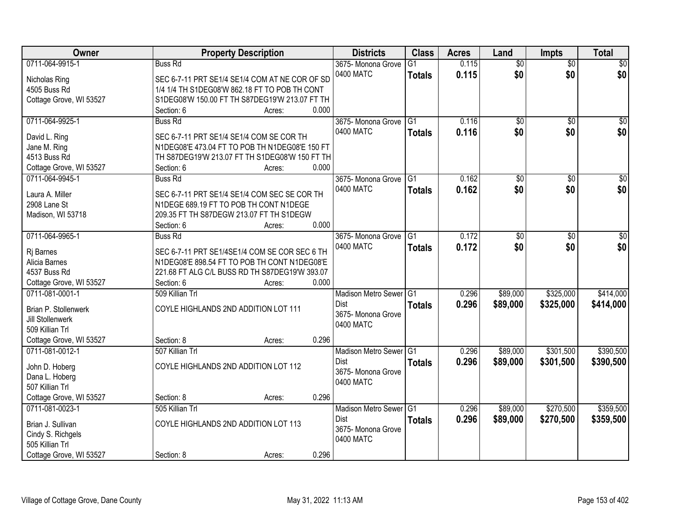| Owner                        | <b>Property Description</b>                                                                | <b>Districts</b>           | <b>Class</b>    | <b>Acres</b> | Land            | Impts           | <b>Total</b>     |
|------------------------------|--------------------------------------------------------------------------------------------|----------------------------|-----------------|--------------|-----------------|-----------------|------------------|
| 0711-064-9915-1              | <b>Buss Rd</b>                                                                             | 3675- Monona Grove         | $\overline{G1}$ | 0.115        | $\overline{50}$ | $\overline{50}$ | \$0              |
| Nicholas Ring                | SEC 6-7-11 PRT SE1/4 SE1/4 COM AT NE COR OF SD                                             | 0400 MATC                  | <b>Totals</b>   | 0.115        | \$0             | \$0             | \$0              |
| 4505 Buss Rd                 | 1/4 1/4 TH S1DEG08'W 862.18 FT TO POB TH CONT                                              |                            |                 |              |                 |                 |                  |
| Cottage Grove, WI 53527      | S1DEG08'W 150.00 FT TH S87DEG19'W 213.07 FT TH                                             |                            |                 |              |                 |                 |                  |
|                              | 0.000<br>Section: 6<br>Acres:                                                              |                            |                 |              |                 |                 |                  |
| 0711-064-9925-1              | <b>Buss Rd</b>                                                                             | 3675- Monona Grove         | $\overline{G1}$ | 0.116        | $\overline{50}$ | $\overline{50}$ | \$0              |
|                              |                                                                                            | 0400 MATC                  | <b>Totals</b>   | 0.116        | \$0             | \$0             | \$0              |
| David L. Ring                | SEC 6-7-11 PRT SE1/4 SE1/4 COM SE COR TH<br>N1DEG08'E 473.04 FT TO POB TH N1DEG08'E 150 FT |                            |                 |              |                 |                 |                  |
| Jane M. Ring<br>4513 Buss Rd | TH S87DEG19'W 213.07 FT TH S1DEG08'W 150 FT TH                                             |                            |                 |              |                 |                 |                  |
| Cottage Grove, WI 53527      | 0.000<br>Section: 6<br>Acres:                                                              |                            |                 |              |                 |                 |                  |
| 0711-064-9945-1              | <b>Buss Rd</b>                                                                             | 3675- Monona Grove         | G1              | 0.162        | \$0             | $\sqrt[6]{}$    | $\overline{\$0}$ |
|                              |                                                                                            | 0400 MATC                  |                 | 0.162        | \$0             | \$0             | \$0              |
| Laura A. Miller              | SEC 6-7-11 PRT SE1/4 SE1/4 COM SEC SE COR TH                                               |                            | <b>Totals</b>   |              |                 |                 |                  |
| 2908 Lane St                 | N1DEGE 689.19 FT TO POB TH CONT N1DEGE                                                     |                            |                 |              |                 |                 |                  |
| Madison, WI 53718            | 209.35 FT TH S87DEGW 213.07 FT TH S1DEGW                                                   |                            |                 |              |                 |                 |                  |
|                              | 0.000<br>Section: 6<br>Acres:                                                              |                            |                 |              |                 |                 |                  |
| 0711-064-9965-1              | <b>Buss Rd</b>                                                                             | 3675- Monona Grove         | G1              | 0.172        | \$0             | \$0             | $\sqrt{50}$      |
| Rj Barnes                    | SEC 6-7-11 PRT SE1/4SE1/4 COM SE COR SEC 6 TH                                              | 0400 MATC                  | <b>Totals</b>   | 0.172        | \$0             | \$0             | \$0              |
| Alicia Barnes                | N1DEG08'E 898.54 FT TO POB TH CONT N1DEG08'E                                               |                            |                 |              |                 |                 |                  |
| 4537 Buss Rd                 | 221.68 FT ALG C/L BUSS RD TH S87DEG19'W 393.07                                             |                            |                 |              |                 |                 |                  |
| Cottage Grove, WI 53527      | 0.000<br>Section: 6<br>Acres:                                                              |                            |                 |              |                 |                 |                  |
| 0711-081-0001-1              | 509 Killian Trl                                                                            | <b>Madison Metro Sewer</b> | G1              | 0.296        | \$89,000        | \$325,000       | \$414,000        |
|                              |                                                                                            | Dist                       | <b>Totals</b>   | 0.296        | \$89,000        | \$325,000       | \$414,000        |
| Brian P. Stollenwerk         | COYLE HIGHLANDS 2ND ADDITION LOT 111                                                       | 3675- Monona Grove         |                 |              |                 |                 |                  |
| Jill Stollenwerk             |                                                                                            | 0400 MATC                  |                 |              |                 |                 |                  |
| 509 Killian Trl              |                                                                                            |                            |                 |              |                 |                 |                  |
| Cottage Grove, WI 53527      | 0.296<br>Section: 8<br>Acres:                                                              |                            |                 |              |                 |                 |                  |
| 0711-081-0012-1              | 507 Killian Trl                                                                            | Madison Metro Sewer G1     |                 | 0.296        | \$89,000        | \$301,500       | \$390,500        |
| John D. Hoberg               | COYLE HIGHLANDS 2ND ADDITION LOT 112                                                       | <b>Dist</b>                | <b>Totals</b>   | 0.296        | \$89,000        | \$301,500       | \$390,500        |
| Dana L. Hoberg               |                                                                                            | 3675- Monona Grove         |                 |              |                 |                 |                  |
| 507 Killian Trl              |                                                                                            | 0400 MATC                  |                 |              |                 |                 |                  |
| Cottage Grove, WI 53527      | 0.296<br>Section: 8<br>Acres:                                                              |                            |                 |              |                 |                 |                  |
| 0711-081-0023-1              | 505 Killian Trl                                                                            | Madison Metro Sewer G1     |                 | 0.296        | \$89,000        | \$270,500       | \$359,500        |
|                              |                                                                                            | <b>Dist</b>                | <b>Totals</b>   | 0.296        | \$89,000        | \$270,500       | \$359,500        |
| Brian J. Sullivan            | COYLE HIGHLANDS 2ND ADDITION LOT 113                                                       | 3675- Monona Grove         |                 |              |                 |                 |                  |
| Cindy S. Richgels            |                                                                                            | 0400 MATC                  |                 |              |                 |                 |                  |
| 505 Killian Trl              |                                                                                            |                            |                 |              |                 |                 |                  |
| Cottage Grove, WI 53527      | 0.296<br>Section: 8<br>Acres:                                                              |                            |                 |              |                 |                 |                  |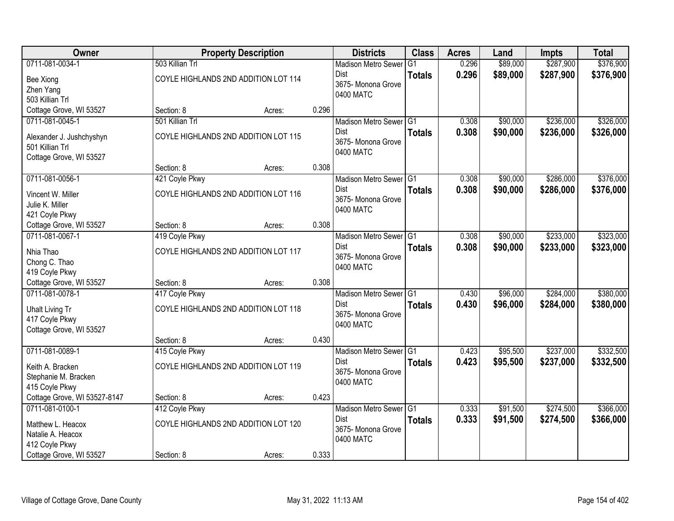| Owner                        |                 | <b>Property Description</b>          |       | <b>Districts</b>           | <b>Class</b>  | <b>Acres</b> | Land     | <b>Impts</b> | <b>Total</b> |
|------------------------------|-----------------|--------------------------------------|-------|----------------------------|---------------|--------------|----------|--------------|--------------|
| 0711-081-0034-1              | 503 Killian Trl |                                      |       | <b>Madison Metro Sewer</b> | G1            | 0.296        | \$89,000 | \$287,900    | \$376,900    |
| Bee Xiong                    |                 | COYLE HIGHLANDS 2ND ADDITION LOT 114 |       | Dist                       | <b>Totals</b> | 0.296        | \$89,000 | \$287,900    | \$376,900    |
| Zhen Yang                    |                 |                                      |       | 3675-Monona Grove          |               |              |          |              |              |
| 503 Killian Trl              |                 |                                      |       | 0400 MATC                  |               |              |          |              |              |
| Cottage Grove, WI 53527      | Section: 8      | Acres:                               | 0.296 |                            |               |              |          |              |              |
| 0711-081-0045-1              | 501 Killian Trl |                                      |       | Madison Metro Sewer G1     |               | 0.308        | \$90,000 | \$236,000    | \$326,000    |
| Alexander J. Jushchyshyn     |                 | COYLE HIGHLANDS 2ND ADDITION LOT 115 |       | Dist                       | <b>Totals</b> | 0.308        | \$90,000 | \$236,000    | \$326,000    |
| 501 Killian Trl              |                 |                                      |       | 3675- Monona Grove         |               |              |          |              |              |
| Cottage Grove, WI 53527      |                 |                                      |       | 0400 MATC                  |               |              |          |              |              |
|                              | Section: 8      | Acres:                               | 0.308 |                            |               |              |          |              |              |
| 0711-081-0056-1              | 421 Coyle Pkwy  |                                      |       | Madison Metro Sewer G1     |               | 0.308        | \$90,000 | \$286,000    | \$376,000    |
| Vincent W. Miller            |                 | COYLE HIGHLANDS 2ND ADDITION LOT 116 |       | Dist                       | <b>Totals</b> | 0.308        | \$90,000 | \$286,000    | \$376,000    |
| Julie K. Miller              |                 |                                      |       | 3675- Monona Grove         |               |              |          |              |              |
| 421 Coyle Pkwy               |                 |                                      |       | 0400 MATC                  |               |              |          |              |              |
| Cottage Grove, WI 53527      | Section: 8      | Acres:                               | 0.308 |                            |               |              |          |              |              |
| 0711-081-0067-1              | 419 Coyle Pkwy  |                                      |       | Madison Metro Sewer G1     |               | 0.308        | \$90,000 | \$233,000    | \$323,000    |
| Nhia Thao                    |                 | COYLE HIGHLANDS 2ND ADDITION LOT 117 |       | Dist                       | <b>Totals</b> | 0.308        | \$90,000 | \$233,000    | \$323,000    |
| Chong C. Thao                |                 |                                      |       | 3675- Monona Grove         |               |              |          |              |              |
| 419 Coyle Pkwy               |                 |                                      |       | 0400 MATC                  |               |              |          |              |              |
| Cottage Grove, WI 53527      | Section: 8      | Acres:                               | 0.308 |                            |               |              |          |              |              |
| 0711-081-0078-1              | 417 Coyle Pkwy  |                                      |       | <b>Madison Metro Sewer</b> | IG1           | 0.430        | \$96,000 | \$284,000    | \$380,000    |
| <b>Uhalt Living Tr</b>       |                 | COYLE HIGHLANDS 2ND ADDITION LOT 118 |       | <b>Dist</b>                | <b>Totals</b> | 0.430        | \$96,000 | \$284,000    | \$380,000    |
| 417 Coyle Pkwy               |                 |                                      |       | 3675- Monona Grove         |               |              |          |              |              |
| Cottage Grove, WI 53527      |                 |                                      |       | 0400 MATC                  |               |              |          |              |              |
|                              | Section: 8      | Acres:                               | 0.430 |                            |               |              |          |              |              |
| 0711-081-0089-1              | 415 Coyle Pkwy  |                                      |       | Madison Metro Sewer G1     |               | 0.423        | \$95,500 | \$237,000    | \$332,500    |
| Keith A. Bracken             |                 | COYLE HIGHLANDS 2ND ADDITION LOT 119 |       | Dist                       | <b>Totals</b> | 0.423        | \$95,500 | \$237,000    | \$332,500    |
| Stephanie M. Bracken         |                 |                                      |       | 3675- Monona Grove         |               |              |          |              |              |
| 415 Coyle Pkwy               |                 |                                      |       | 0400 MATC                  |               |              |          |              |              |
| Cottage Grove, WI 53527-8147 | Section: 8      | Acres:                               | 0.423 |                            |               |              |          |              |              |
| 0711-081-0100-1              | 412 Coyle Pkwy  |                                      |       | Madison Metro Sewer G1     |               | 0.333        | \$91,500 | \$274,500    | \$366,000    |
| Matthew L. Heacox            |                 | COYLE HIGHLANDS 2ND ADDITION LOT 120 |       | Dist                       | <b>Totals</b> | 0.333        | \$91,500 | \$274,500    | \$366,000    |
| Natalie A. Heacox            |                 |                                      |       | 3675- Monona Grove         |               |              |          |              |              |
| 412 Coyle Pkwy               |                 |                                      |       | 0400 MATC                  |               |              |          |              |              |
| Cottage Grove, WI 53527      | Section: 8      | Acres:                               | 0.333 |                            |               |              |          |              |              |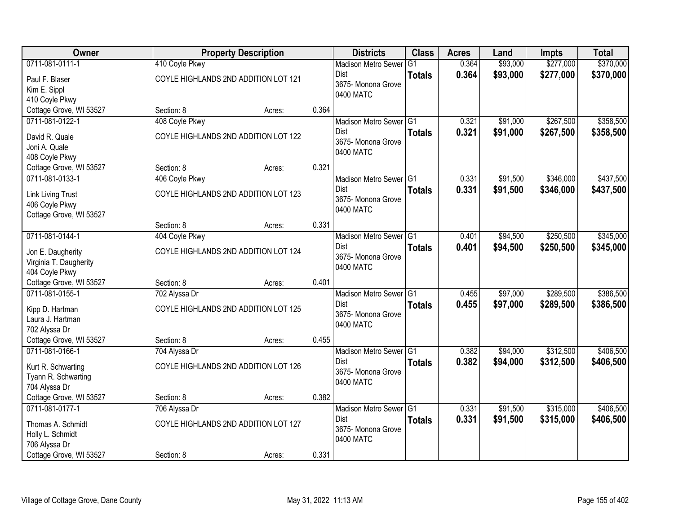| Owner                    |                | <b>Property Description</b>          |       | <b>Districts</b>           | <b>Class</b>  | <b>Acres</b> | Land     | <b>Impts</b> | <b>Total</b> |
|--------------------------|----------------|--------------------------------------|-------|----------------------------|---------------|--------------|----------|--------------|--------------|
| 0711-081-0111-1          | 410 Coyle Pkwy |                                      |       | <b>Madison Metro Sewer</b> | G1            | 0.364        | \$93,000 | \$277,000    | \$370,000    |
| Paul F. Blaser           |                | COYLE HIGHLANDS 2ND ADDITION LOT 121 |       | <b>Dist</b>                | <b>Totals</b> | 0.364        | \$93,000 | \$277,000    | \$370,000    |
| Kim E. Sippl             |                |                                      |       | 3675- Monona Grove         |               |              |          |              |              |
| 410 Coyle Pkwy           |                |                                      |       | 0400 MATC                  |               |              |          |              |              |
| Cottage Grove, WI 53527  | Section: 8     | Acres:                               | 0.364 |                            |               |              |          |              |              |
| 0711-081-0122-1          | 408 Coyle Pkwy |                                      |       | Madison Metro Sewer G1     |               | 0.321        | \$91,000 | \$267,500    | \$358,500    |
| David R. Quale           |                | COYLE HIGHLANDS 2ND ADDITION LOT 122 |       | Dist                       | <b>Totals</b> | 0.321        | \$91,000 | \$267,500    | \$358,500    |
| Joni A. Quale            |                |                                      |       | 3675- Monona Grove         |               |              |          |              |              |
| 408 Coyle Pkwy           |                |                                      |       | 0400 MATC                  |               |              |          |              |              |
| Cottage Grove, WI 53527  | Section: 8     | Acres:                               | 0.321 |                            |               |              |          |              |              |
| 0711-081-0133-1          | 406 Coyle Pkwy |                                      |       | Madison Metro Sewer G1     |               | 0.331        | \$91,500 | \$346,000    | \$437,500    |
| <b>Link Living Trust</b> |                | COYLE HIGHLANDS 2ND ADDITION LOT 123 |       | <b>Dist</b>                | <b>Totals</b> | 0.331        | \$91,500 | \$346,000    | \$437,500    |
| 406 Coyle Pkwy           |                |                                      |       | 3675- Monona Grove         |               |              |          |              |              |
| Cottage Grove, WI 53527  |                |                                      |       | 0400 MATC                  |               |              |          |              |              |
|                          | Section: 8     | Acres:                               | 0.331 |                            |               |              |          |              |              |
| 0711-081-0144-1          | 404 Coyle Pkwy |                                      |       | Madison Metro Sewer G1     |               | 0.401        | \$94,500 | \$250,500    | \$345,000    |
| Jon E. Daugherity        |                | COYLE HIGHLANDS 2ND ADDITION LOT 124 |       | <b>Dist</b>                | <b>Totals</b> | 0.401        | \$94,500 | \$250,500    | \$345,000    |
| Virginia T. Daugherity   |                |                                      |       | 3675- Monona Grove         |               |              |          |              |              |
| 404 Coyle Pkwy           |                |                                      |       | 0400 MATC                  |               |              |          |              |              |
| Cottage Grove, WI 53527  | Section: 8     | Acres:                               | 0.401 |                            |               |              |          |              |              |
| 0711-081-0155-1          | 702 Alyssa Dr  |                                      |       | <b>Madison Metro Sewer</b> | IG1           | 0.455        | \$97,000 | \$289,500    | \$386,500    |
| Kipp D. Hartman          |                | COYLE HIGHLANDS 2ND ADDITION LOT 125 |       | Dist                       | <b>Totals</b> | 0.455        | \$97,000 | \$289,500    | \$386,500    |
| Laura J. Hartman         |                |                                      |       | 3675- Monona Grove         |               |              |          |              |              |
| 702 Alyssa Dr            |                |                                      |       | 0400 MATC                  |               |              |          |              |              |
| Cottage Grove, WI 53527  | Section: 8     | Acres:                               | 0.455 |                            |               |              |          |              |              |
| 0711-081-0166-1          | 704 Alyssa Dr  |                                      |       | Madison Metro Sewer G1     |               | 0.382        | \$94,000 | \$312,500    | \$406,500    |
| Kurt R. Schwarting       |                | COYLE HIGHLANDS 2ND ADDITION LOT 126 |       | <b>Dist</b>                | <b>Totals</b> | 0.382        | \$94,000 | \$312,500    | \$406,500    |
| Tyann R. Schwarting      |                |                                      |       | 3675- Monona Grove         |               |              |          |              |              |
| 704 Alyssa Dr            |                |                                      |       | 0400 MATC                  |               |              |          |              |              |
| Cottage Grove, WI 53527  | Section: 8     | Acres:                               | 0.382 |                            |               |              |          |              |              |
| 0711-081-0177-1          | 706 Alyssa Dr  |                                      |       | Madison Metro Sewer G1     |               | 0.331        | \$91,500 | \$315,000    | \$406,500    |
| Thomas A. Schmidt        |                | COYLE HIGHLANDS 2ND ADDITION LOT 127 |       | <b>Dist</b>                | <b>Totals</b> | 0.331        | \$91,500 | \$315,000    | \$406,500    |
| Holly L. Schmidt         |                |                                      |       | 3675- Monona Grove         |               |              |          |              |              |
| 706 Alyssa Dr            |                |                                      |       | 0400 MATC                  |               |              |          |              |              |
| Cottage Grove, WI 53527  | Section: 8     | Acres:                               | 0.331 |                            |               |              |          |              |              |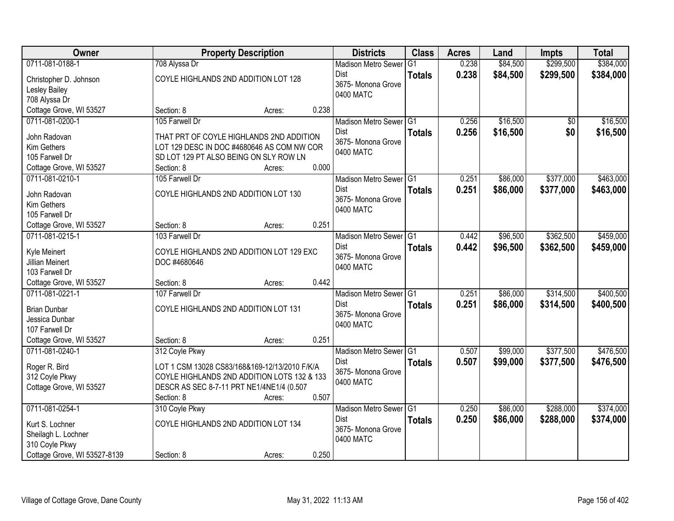| Owner                                      | <b>Property Description</b>                   |       | <b>Districts</b>           | <b>Class</b>  | <b>Acres</b> | Land     | Impts     | <b>Total</b> |
|--------------------------------------------|-----------------------------------------------|-------|----------------------------|---------------|--------------|----------|-----------|--------------|
| 0711-081-0188-1                            | 708 Alyssa Dr                                 |       | <b>Madison Metro Sewer</b> | G1            | 0.238        | \$84,500 | \$299,500 | \$384,000    |
| Christopher D. Johnson                     | COYLE HIGHLANDS 2ND ADDITION LOT 128          |       | Dist                       | <b>Totals</b> | 0.238        | \$84,500 | \$299,500 | \$384,000    |
| Lesley Bailey                              |                                               |       | 3675- Monona Grove         |               |              |          |           |              |
| 708 Alyssa Dr                              |                                               |       | 0400 MATC                  |               |              |          |           |              |
| Cottage Grove, WI 53527                    | Section: 8<br>Acres:                          | 0.238 |                            |               |              |          |           |              |
| 0711-081-0200-1                            | 105 Farwell Dr                                |       | Madison Metro Sewer G1     |               | 0.256        | \$16,500 | \$0       | \$16,500     |
|                                            |                                               |       | Dist                       | <b>Totals</b> | 0.256        | \$16,500 | \$0       | \$16,500     |
| John Radovan                               | THAT PRT OF COYLE HIGHLANDS 2ND ADDITION      |       | 3675- Monona Grove         |               |              |          |           |              |
| Kim Gethers                                | LOT 129 DESC IN DOC #4680646 AS COM NW COR    |       | 0400 MATC                  |               |              |          |           |              |
| 105 Farwell Dr                             | SD LOT 129 PT ALSO BEING ON SLY ROW LN        |       |                            |               |              |          |           |              |
| Cottage Grove, WI 53527                    | Section: 8<br>Acres:                          | 0.000 |                            |               |              |          |           |              |
| 0711-081-0210-1                            | 105 Farwell Dr                                |       | Madison Metro Sewer G1     |               | 0.251        | \$86,000 | \$377,000 | \$463,000    |
| John Radovan                               | COYLE HIGHLANDS 2ND ADDITION LOT 130          |       | Dist                       | <b>Totals</b> | 0.251        | \$86,000 | \$377,000 | \$463,000    |
| Kim Gethers                                |                                               |       | 3675- Monona Grove         |               |              |          |           |              |
| 105 Farwell Dr                             |                                               |       | 0400 MATC                  |               |              |          |           |              |
| Cottage Grove, WI 53527                    | Section: 8<br>Acres:                          | 0.251 |                            |               |              |          |           |              |
| 0711-081-0215-1                            | 103 Farwell Dr                                |       | Madison Metro Sewer G1     |               | 0.442        | \$96,500 | \$362,500 | \$459,000    |
|                                            |                                               |       | Dist                       | <b>Totals</b> | 0.442        | \$96,500 | \$362,500 | \$459,000    |
| Kyle Meinert                               | COYLE HIGHLANDS 2ND ADDITION LOT 129 EXC      |       | 3675- Monona Grove         |               |              |          |           |              |
| Jillian Meinert<br>103 Farwell Dr          | DOC #4680646                                  |       | 0400 MATC                  |               |              |          |           |              |
|                                            |                                               | 0.442 |                            |               |              |          |           |              |
| Cottage Grove, WI 53527<br>0711-081-0221-1 | Section: 8<br>Acres:<br>107 Farwell Dr        |       | Madison Metro Sewer G1     |               | 0.251        | \$86,000 | \$314,500 | \$400,500    |
|                                            |                                               |       | <b>Dist</b>                |               |              |          |           |              |
| <b>Brian Dunbar</b>                        | COYLE HIGHLANDS 2ND ADDITION LOT 131          |       | 3675-Monona Grove          | <b>Totals</b> | 0.251        | \$86,000 | \$314,500 | \$400,500    |
| Jessica Dunbar                             |                                               |       | 0400 MATC                  |               |              |          |           |              |
| 107 Farwell Dr                             |                                               |       |                            |               |              |          |           |              |
| Cottage Grove, WI 53527                    | Section: 8<br>Acres:                          | 0.251 |                            |               |              |          |           |              |
| 0711-081-0240-1                            | 312 Coyle Pkwy                                |       | Madison Metro Sewer G1     |               | 0.507        | \$99,000 | \$377,500 | \$476,500    |
| Roger R. Bird                              | LOT 1 CSM 13028 CS83/168&169-12/13/2010 F/K/A |       | <b>Dist</b>                | <b>Totals</b> | 0.507        | \$99,000 | \$377,500 | \$476,500    |
| 312 Coyle Pkwy                             | COYLE HIGHLANDS 2ND ADDITION LOTS 132 & 133   |       | 3675- Monona Grove         |               |              |          |           |              |
| Cottage Grove, WI 53527                    | DESCR AS SEC 8-7-11 PRT NE1/4NE1/4 (0.507     |       | 0400 MATC                  |               |              |          |           |              |
|                                            | Section: 8<br>Acres:                          | 0.507 |                            |               |              |          |           |              |
| 0711-081-0254-1                            | 310 Coyle Pkwy                                |       | Madison Metro Sewer G1     |               | 0.250        | \$86,000 | \$288,000 | \$374,000    |
|                                            |                                               |       | <b>Dist</b>                | <b>Totals</b> | 0.250        | \$86,000 | \$288,000 | \$374,000    |
| Kurt S. Lochner                            | COYLE HIGHLANDS 2ND ADDITION LOT 134          |       | 3675- Monona Grove         |               |              |          |           |              |
| Sheilagh L. Lochner                        |                                               |       | 0400 MATC                  |               |              |          |           |              |
| 310 Coyle Pkwy                             |                                               |       |                            |               |              |          |           |              |
| Cottage Grove, WI 53527-8139               | Section: 8<br>Acres:                          | 0.250 |                            |               |              |          |           |              |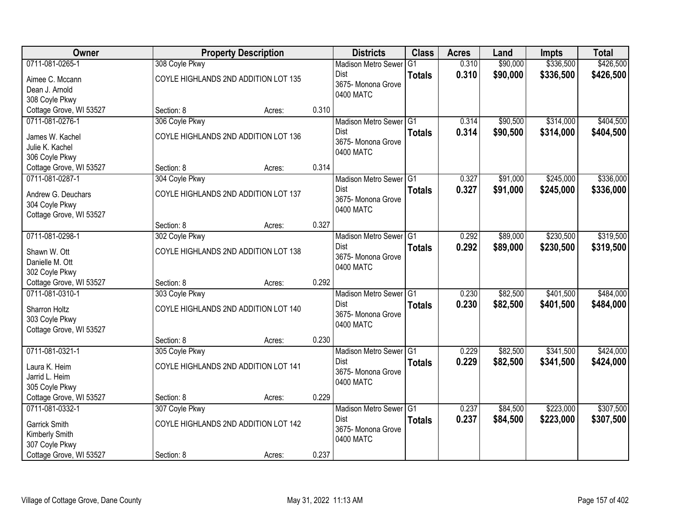| Owner                   |                | <b>Property Description</b>          |       | <b>Districts</b>                  | <b>Class</b>  | <b>Acres</b> | Land     | <b>Impts</b> | <b>Total</b> |
|-------------------------|----------------|--------------------------------------|-------|-----------------------------------|---------------|--------------|----------|--------------|--------------|
| 0711-081-0265-1         | 308 Coyle Pkwy |                                      |       | <b>Madison Metro Sewer</b>        | G1            | 0.310        | \$90,000 | \$336,500    | \$426,500    |
| Aimee C. Mccann         |                | COYLE HIGHLANDS 2ND ADDITION LOT 135 |       | Dist                              | <b>Totals</b> | 0.310        | \$90,000 | \$336,500    | \$426,500    |
| Dean J. Arnold          |                |                                      |       | 3675- Monona Grove                |               |              |          |              |              |
| 308 Coyle Pkwy          |                |                                      |       | 0400 MATC                         |               |              |          |              |              |
| Cottage Grove, WI 53527 | Section: 8     | Acres:                               | 0.310 |                                   |               |              |          |              |              |
| 0711-081-0276-1         | 306 Coyle Pkwy |                                      |       | Madison Metro Sewer G1            |               | 0.314        | \$90,500 | \$314,000    | \$404,500    |
| James W. Kachel         |                | COYLE HIGHLANDS 2ND ADDITION LOT 136 |       | Dist                              | <b>Totals</b> | 0.314        | \$90,500 | \$314,000    | \$404,500    |
| Julie K. Kachel         |                |                                      |       | 3675- Monona Grove                |               |              |          |              |              |
| 306 Coyle Pkwy          |                |                                      |       | 0400 MATC                         |               |              |          |              |              |
| Cottage Grove, WI 53527 | Section: 8     | Acres:                               | 0.314 |                                   |               |              |          |              |              |
| 0711-081-0287-1         | 304 Coyle Pkwy |                                      |       | Madison Metro Sewer G1            |               | 0.327        | \$91,000 | \$245,000    | \$336,000    |
| Andrew G. Deuchars      |                | COYLE HIGHLANDS 2ND ADDITION LOT 137 |       | <b>Dist</b>                       | <b>Totals</b> | 0.327        | \$91,000 | \$245,000    | \$336,000    |
| 304 Coyle Pkwy          |                |                                      |       | 3675- Monona Grove                |               |              |          |              |              |
| Cottage Grove, WI 53527 |                |                                      |       | 0400 MATC                         |               |              |          |              |              |
|                         | Section: 8     | Acres:                               | 0.327 |                                   |               |              |          |              |              |
| 0711-081-0298-1         | 302 Coyle Pkwy |                                      |       | Madison Metro Sewer G1            |               | 0.292        | \$89,000 | \$230,500    | \$319,500    |
| Shawn W. Ott            |                | COYLE HIGHLANDS 2ND ADDITION LOT 138 |       | <b>Dist</b>                       | <b>Totals</b> | 0.292        | \$89,000 | \$230,500    | \$319,500    |
| Danielle M. Ott         |                |                                      |       | 3675- Monona Grove                |               |              |          |              |              |
| 302 Coyle Pkwy          |                |                                      |       | 0400 MATC                         |               |              |          |              |              |
| Cottage Grove, WI 53527 | Section: 8     | Acres:                               | 0.292 |                                   |               |              |          |              |              |
| 0711-081-0310-1         | 303 Coyle Pkwy |                                      |       | <b>Madison Metro Sewer</b>        | IG1           | 0.230        | \$82,500 | \$401,500    | \$484,000    |
| Sharron Holtz           |                | COYLE HIGHLANDS 2ND ADDITION LOT 140 |       | Dist                              | <b>Totals</b> | 0.230        | \$82,500 | \$401,500    | \$484,000    |
| 303 Coyle Pkwy          |                |                                      |       | 3675- Monona Grove                |               |              |          |              |              |
| Cottage Grove, WI 53527 |                |                                      |       | 0400 MATC                         |               |              |          |              |              |
|                         | Section: 8     | Acres:                               | 0.230 |                                   |               |              |          |              |              |
| 0711-081-0321-1         | 305 Coyle Pkwy |                                      |       | Madison Metro Sewer <sup>G1</sup> |               | 0.229        | \$82,500 | \$341,500    | \$424,000    |
| Laura K. Heim           |                | COYLE HIGHLANDS 2ND ADDITION LOT 141 |       | <b>Dist</b>                       | <b>Totals</b> | 0.229        | \$82,500 | \$341,500    | \$424,000    |
| Jarrid L. Heim          |                |                                      |       | 3675- Monona Grove                |               |              |          |              |              |
| 305 Coyle Pkwy          |                |                                      |       | 0400 MATC                         |               |              |          |              |              |
| Cottage Grove, WI 53527 | Section: 8     | Acres:                               | 0.229 |                                   |               |              |          |              |              |
| 0711-081-0332-1         | 307 Coyle Pkwy |                                      |       | Madison Metro Sewer G1            |               | 0.237        | \$84,500 | \$223,000    | \$307,500    |
| <b>Garrick Smith</b>    |                | COYLE HIGHLANDS 2ND ADDITION LOT 142 |       | <b>Dist</b>                       | <b>Totals</b> | 0.237        | \$84,500 | \$223,000    | \$307,500    |
| Kimberly Smith          |                |                                      |       | 3675- Monona Grove                |               |              |          |              |              |
| 307 Coyle Pkwy          |                |                                      |       | 0400 MATC                         |               |              |          |              |              |
| Cottage Grove, WI 53527 | Section: 8     | Acres:                               | 0.237 |                                   |               |              |          |              |              |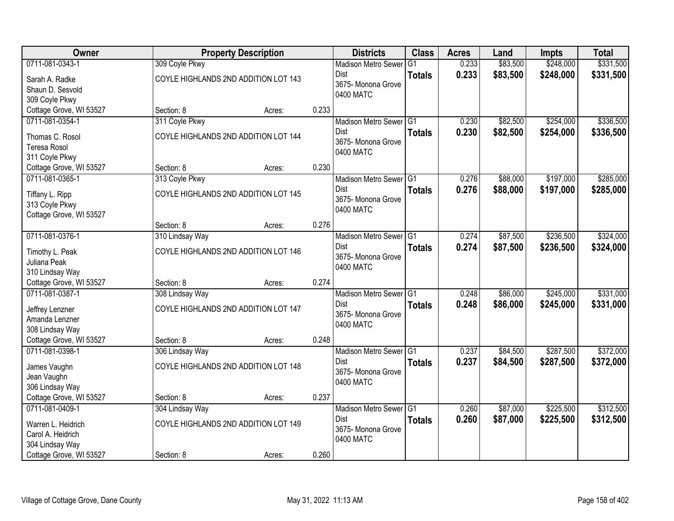| <b>Owner</b>                      |                                      | <b>Property Description</b> |       | <b>Districts</b>                  | <b>Class</b>  | <b>Acres</b> | Land     | Impts     | <b>Total</b> |
|-----------------------------------|--------------------------------------|-----------------------------|-------|-----------------------------------|---------------|--------------|----------|-----------|--------------|
| 0711-081-0343-1                   | 309 Coyle Pkwy                       |                             |       | <b>Madison Metro Sewer</b>        | G1            | 0.233        | \$83,500 | \$248,000 | \$331,500    |
| Sarah A. Radke                    | COYLE HIGHLANDS 2ND ADDITION LOT 143 |                             |       | Dist                              | <b>Totals</b> | 0.233        | \$83,500 | \$248,000 | \$331,500    |
| Shaun D. Sesvold                  |                                      |                             |       | 3675- Monona Grove                |               |              |          |           |              |
| 309 Coyle Pkwy                    |                                      |                             |       | 0400 MATC                         |               |              |          |           |              |
| Cottage Grove, WI 53527           | Section: 8                           | Acres:                      | 0.233 |                                   |               |              |          |           |              |
| 0711-081-0354-1                   | 311 Coyle Pkwy                       |                             |       | Madison Metro Sewer G1            |               | 0.230        | \$82,500 | \$254,000 | \$336,500    |
| Thomas C. Rosol                   | COYLE HIGHLANDS 2ND ADDITION LOT 144 |                             |       | <b>Dist</b>                       | <b>Totals</b> | 0.230        | \$82,500 | \$254,000 | \$336,500    |
| <b>Teresa Rosol</b>               |                                      |                             |       | 3675- Monona Grove                |               |              |          |           |              |
| 311 Coyle Pkwy                    |                                      |                             |       | 0400 MATC                         |               |              |          |           |              |
| Cottage Grove, WI 53527           | Section: 8                           | Acres:                      | 0.230 |                                   |               |              |          |           |              |
| 0711-081-0365-1                   | 313 Coyle Pkwy                       |                             |       | Madison Metro Sewer G1            |               | 0.276        | \$88,000 | \$197,000 | \$285,000    |
|                                   |                                      |                             |       | Dist                              | <b>Totals</b> | 0.276        | \$88,000 | \$197,000 | \$285,000    |
| Tiffany L. Ripp                   | COYLE HIGHLANDS 2ND ADDITION LOT 145 |                             |       | 3675-Monona Grove                 |               |              |          |           |              |
| 313 Coyle Pkwy                    |                                      |                             |       | 0400 MATC                         |               |              |          |           |              |
| Cottage Grove, WI 53527           |                                      |                             |       |                                   |               |              |          |           |              |
|                                   | Section: 8                           | Acres:                      | 0.276 |                                   |               |              |          |           |              |
| 0711-081-0376-1                   | 310 Lindsay Way                      |                             |       | Madison Metro Sewer G1            |               | 0.274        | \$87,500 | \$236,500 | \$324,000    |
| Timothy L. Peak                   | COYLE HIGHLANDS 2ND ADDITION LOT 146 |                             |       | Dist                              | <b>Totals</b> | 0.274        | \$87,500 | \$236,500 | \$324,000    |
| Juliana Peak                      |                                      |                             |       | 3675- Monona Grove                |               |              |          |           |              |
| 310 Lindsay Way                   |                                      |                             |       | 0400 MATC                         |               |              |          |           |              |
| Cottage Grove, WI 53527           | Section: 8                           | Acres:                      | 0.274 |                                   |               |              |          |           |              |
| 0711-081-0387-1                   | 308 Lindsay Way                      |                             |       | Madison Metro Sewer <sup>G1</sup> |               | 0.248        | \$86,000 | \$245,000 | \$331,000    |
|                                   | COYLE HIGHLANDS 2ND ADDITION LOT 147 |                             |       | Dist                              | <b>Totals</b> | 0.248        | \$86,000 | \$245,000 | \$331,000    |
| Jeffrey Lenzner<br>Amanda Lenzner |                                      |                             |       | 3675- Monona Grove                |               |              |          |           |              |
| 308 Lindsay Way                   |                                      |                             |       | 0400 MATC                         |               |              |          |           |              |
| Cottage Grove, WI 53527           | Section: 8                           | Acres:                      | 0.248 |                                   |               |              |          |           |              |
| 0711-081-0398-1                   | 306 Lindsay Way                      |                             |       | Madison Metro Sewer G1            |               | 0.237        | \$84,500 | \$287,500 | \$372,000    |
|                                   |                                      |                             |       | Dist                              | <b>Totals</b> | 0.237        | \$84,500 | \$287,500 | \$372,000    |
| James Vaughn                      | COYLE HIGHLANDS 2ND ADDITION LOT 148 |                             |       | 3675- Monona Grove                |               |              |          |           |              |
| Jean Vaughn                       |                                      |                             |       | 0400 MATC                         |               |              |          |           |              |
| 306 Lindsay Way                   |                                      |                             |       |                                   |               |              |          |           |              |
| Cottage Grove, WI 53527           | Section: 8                           | Acres:                      | 0.237 |                                   |               |              |          |           |              |
| 0711-081-0409-1                   | 304 Lindsay Way                      |                             |       | Madison Metro Sewer G1            |               | 0.260        | \$87,000 | \$225,500 | \$312,500    |
| Warren L. Heidrich                | COYLE HIGHLANDS 2ND ADDITION LOT 149 |                             |       | <b>Dist</b>                       | <b>Totals</b> | 0.260        | \$87,000 | \$225,500 | \$312,500    |
| Carol A. Heidrich                 |                                      |                             |       | 3675- Monona Grove                |               |              |          |           |              |
| 304 Lindsay Way                   |                                      |                             |       | 0400 MATC                         |               |              |          |           |              |
| Cottage Grove, WI 53527           | Section: 8                           | Acres:                      | 0.260 |                                   |               |              |          |           |              |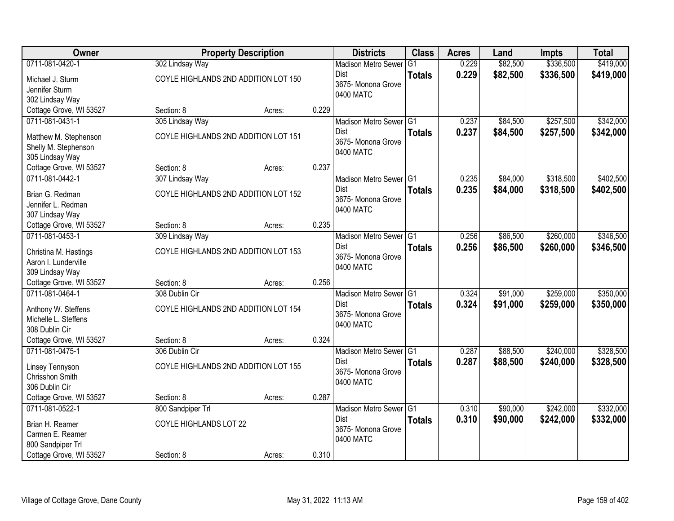| <b>Owner</b>                               | <b>Property Description</b>          |        |             | <b>Districts</b>                  | <b>Class</b>  | <b>Acres</b> | Land     | Impts     | <b>Total</b> |
|--------------------------------------------|--------------------------------------|--------|-------------|-----------------------------------|---------------|--------------|----------|-----------|--------------|
| 0711-081-0420-1                            | 302 Lindsay Way                      |        |             | <b>Madison Metro Sewer</b>        | G1            | 0.229        | \$82,500 | \$336,500 | \$419,000    |
| Michael J. Sturm                           | COYLE HIGHLANDS 2ND ADDITION LOT 150 |        | Dist        |                                   | <b>Totals</b> | 0.229        | \$82,500 | \$336,500 | \$419,000    |
| Jennifer Sturm                             |                                      |        |             | 3675- Monona Grove                |               |              |          |           |              |
| 302 Lindsay Way                            |                                      |        |             | 0400 MATC                         |               |              |          |           |              |
| Cottage Grove, WI 53527                    | Section: 8                           | Acres: | 0.229       |                                   |               |              |          |           |              |
| 0711-081-0431-1                            | 305 Lindsay Way                      |        |             | Madison Metro Sewer G1            |               | 0.237        | \$84,500 | \$257,500 | \$342,000    |
|                                            |                                      |        | <b>Dist</b> |                                   | <b>Totals</b> | 0.237        | \$84,500 | \$257,500 | \$342,000    |
| Matthew M. Stephenson                      | COYLE HIGHLANDS 2ND ADDITION LOT 151 |        |             | 3675- Monona Grove                |               |              |          |           |              |
| Shelly M. Stephenson                       |                                      |        |             | 0400 MATC                         |               |              |          |           |              |
| 305 Lindsay Way<br>Cottage Grove, WI 53527 | Section: 8                           | Acres: | 0.237       |                                   |               |              |          |           |              |
| 0711-081-0442-1                            | 307 Lindsay Way                      |        |             | Madison Metro Sewer G1            |               | 0.235        | \$84,000 | \$318,500 | \$402,500    |
|                                            |                                      |        | Dist        |                                   |               |              |          |           |              |
| Brian G. Redman                            | COYLE HIGHLANDS 2ND ADDITION LOT 152 |        |             | 3675-Monona Grove                 | <b>Totals</b> | 0.235        | \$84,000 | \$318,500 | \$402,500    |
| Jennifer L. Redman                         |                                      |        |             | 0400 MATC                         |               |              |          |           |              |
| 307 Lindsay Way                            |                                      |        |             |                                   |               |              |          |           |              |
| Cottage Grove, WI 53527                    | Section: 8                           | Acres: | 0.235       |                                   |               |              |          |           |              |
| 0711-081-0453-1                            | 309 Lindsay Way                      |        |             | Madison Metro Sewer G1            |               | 0.256        | \$86,500 | \$260,000 | \$346,500    |
| Christina M. Hastings                      | COYLE HIGHLANDS 2ND ADDITION LOT 153 |        | Dist        |                                   | <b>Totals</b> | 0.256        | \$86,500 | \$260,000 | \$346,500    |
| Aaron I. Lunderville                       |                                      |        |             | 3675- Monona Grove                |               |              |          |           |              |
| 309 Lindsay Way                            |                                      |        |             | 0400 MATC                         |               |              |          |           |              |
| Cottage Grove, WI 53527                    | Section: 8                           | Acres: | 0.256       |                                   |               |              |          |           |              |
| 0711-081-0464-1                            | 308 Dublin Cir                       |        |             | Madison Metro Sewer <sup>G1</sup> |               | 0.324        | \$91,000 | \$259,000 | \$350,000    |
|                                            |                                      |        | Dist        |                                   | <b>Totals</b> | 0.324        | \$91,000 | \$259,000 | \$350,000    |
| Anthony W. Steffens                        | COYLE HIGHLANDS 2ND ADDITION LOT 154 |        |             | 3675- Monona Grove                |               |              |          |           |              |
| Michelle L. Steffens                       |                                      |        |             | 0400 MATC                         |               |              |          |           |              |
| 308 Dublin Cir                             |                                      |        |             |                                   |               |              |          |           |              |
| Cottage Grove, WI 53527                    | Section: 8                           | Acres: | 0.324       |                                   |               |              |          |           |              |
| 0711-081-0475-1                            | 306 Dublin Cir                       |        |             | Madison Metro Sewer G1            |               | 0.287        | \$88,500 | \$240,000 | \$328,500    |
| Linsey Tennyson                            | COYLE HIGHLANDS 2ND ADDITION LOT 155 |        | Dist        |                                   | <b>Totals</b> | 0.287        | \$88,500 | \$240,000 | \$328,500    |
| Chrisshon Smith                            |                                      |        |             | 3675- Monona Grove                |               |              |          |           |              |
| 306 Dublin Cir                             |                                      |        |             | 0400 MATC                         |               |              |          |           |              |
| Cottage Grove, WI 53527                    | Section: 8                           | Acres: | 0.287       |                                   |               |              |          |           |              |
| 0711-081-0522-1                            | 800 Sandpiper Trl                    |        |             | Madison Metro Sewer G1            |               | 0.310        | \$90,000 | \$242,000 | \$332,000    |
| Brian H. Reamer                            | COYLE HIGHLANDS LOT 22               |        | <b>Dist</b> |                                   | <b>Totals</b> | 0.310        | \$90,000 | \$242,000 | \$332,000    |
| Carmen E. Reamer                           |                                      |        |             | 3675- Monona Grove                |               |              |          |           |              |
| 800 Sandpiper Trl                          |                                      |        |             | 0400 MATC                         |               |              |          |           |              |
| Cottage Grove, WI 53527                    | Section: 8                           | Acres: | 0.310       |                                   |               |              |          |           |              |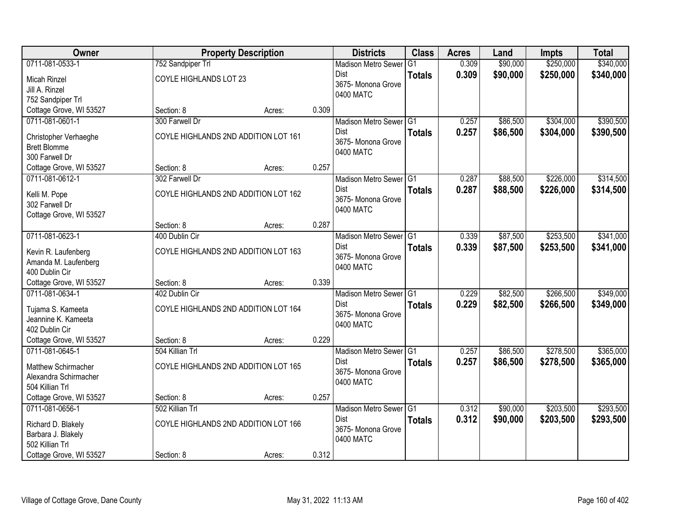| Owner                                 |                        | <b>Property Description</b>          |       | <b>Districts</b>                  | <b>Class</b>  | <b>Acres</b> | Land     | <b>Impts</b> | <b>Total</b> |
|---------------------------------------|------------------------|--------------------------------------|-------|-----------------------------------|---------------|--------------|----------|--------------|--------------|
| 0711-081-0533-1                       | 752 Sandpiper Trl      |                                      |       | <b>Madison Metro Sewer</b>        | G1            | 0.309        | \$90,000 | \$250,000    | \$340,000    |
| Micah Rinzel                          | COYLE HIGHLANDS LOT 23 |                                      |       | Dist                              | <b>Totals</b> | 0.309        | \$90,000 | \$250,000    | \$340,000    |
| Jill A. Rinzel                        |                        |                                      |       | 3675- Monona Grove                |               |              |          |              |              |
| 752 Sandpiper Trl                     |                        |                                      |       | 0400 MATC                         |               |              |          |              |              |
| Cottage Grove, WI 53527               | Section: 8             | Acres:                               | 0.309 |                                   |               |              |          |              |              |
| 0711-081-0601-1                       | 300 Farwell Dr         |                                      |       | Madison Metro Sewer G1            |               | 0.257        | \$86,500 | \$304,000    | \$390,500    |
|                                       |                        |                                      |       | <b>Dist</b>                       | <b>Totals</b> | 0.257        | \$86,500 | \$304,000    | \$390,500    |
| Christopher Verhaeghe                 |                        | COYLE HIGHLANDS 2ND ADDITION LOT 161 |       | 3675- Monona Grove                |               |              |          |              |              |
| <b>Brett Blomme</b><br>300 Farwell Dr |                        |                                      |       | 0400 MATC                         |               |              |          |              |              |
| Cottage Grove, WI 53527               | Section: 8             | Acres:                               | 0.257 |                                   |               |              |          |              |              |
| 0711-081-0612-1                       | 302 Farwell Dr         |                                      |       | Madison Metro Sewer G1            |               | 0.287        | \$88,500 | \$226,000    | \$314,500    |
|                                       |                        |                                      |       | Dist                              | <b>Totals</b> | 0.287        | \$88,500 | \$226,000    | \$314,500    |
| Kelli M. Pope                         |                        | COYLE HIGHLANDS 2ND ADDITION LOT 162 |       | 3675-Monona Grove                 |               |              |          |              |              |
| 302 Farwell Dr                        |                        |                                      |       | 0400 MATC                         |               |              |          |              |              |
| Cottage Grove, WI 53527               |                        |                                      |       |                                   |               |              |          |              |              |
|                                       | Section: 8             | Acres:                               | 0.287 |                                   |               |              |          |              |              |
| 0711-081-0623-1                       | 400 Dublin Cir         |                                      |       | Madison Metro Sewer G1            |               | 0.339        | \$87,500 | \$253,500    | \$341,000    |
| Kevin R. Laufenberg                   |                        | COYLE HIGHLANDS 2ND ADDITION LOT 163 |       | Dist                              | <b>Totals</b> | 0.339        | \$87,500 | \$253,500    | \$341,000    |
| Amanda M. Laufenberg                  |                        |                                      |       | 3675- Monona Grove<br>0400 MATC   |               |              |          |              |              |
| 400 Dublin Cir                        |                        |                                      |       |                                   |               |              |          |              |              |
| Cottage Grove, WI 53527               | Section: 8             | Acres:                               | 0.339 |                                   |               |              |          |              |              |
| 0711-081-0634-1                       | 402 Dublin Cir         |                                      |       | Madison Metro Sewer <sup>G1</sup> |               | 0.229        | \$82,500 | \$266,500    | \$349,000    |
| Tujama S. Kameeta                     |                        | COYLE HIGHLANDS 2ND ADDITION LOT 164 |       | Dist                              | <b>Totals</b> | 0.229        | \$82,500 | \$266,500    | \$349,000    |
| Jeannine K. Kameeta                   |                        |                                      |       | 3675- Monona Grove                |               |              |          |              |              |
| 402 Dublin Cir                        |                        |                                      |       | 0400 MATC                         |               |              |          |              |              |
| Cottage Grove, WI 53527               | Section: 8             | Acres:                               | 0.229 |                                   |               |              |          |              |              |
| 0711-081-0645-1                       | 504 Killian Trl        |                                      |       | Madison Metro Sewer G1            |               | 0.257        | \$86,500 | \$278,500    | \$365,000    |
| Matthew Schirmacher                   |                        | COYLE HIGHLANDS 2ND ADDITION LOT 165 |       | Dist                              | <b>Totals</b> | 0.257        | \$86,500 | \$278,500    | \$365,000    |
| Alexandra Schirmacher                 |                        |                                      |       | 3675- Monona Grove                |               |              |          |              |              |
| 504 Killian Trl                       |                        |                                      |       | 0400 MATC                         |               |              |          |              |              |
| Cottage Grove, WI 53527               | Section: 8             | Acres:                               | 0.257 |                                   |               |              |          |              |              |
| 0711-081-0656-1                       | 502 Killian Trl        |                                      |       | Madison Metro Sewer G1            |               | 0.312        | \$90,000 | \$203,500    | \$293,500    |
|                                       |                        |                                      |       | <b>Dist</b>                       | <b>Totals</b> | 0.312        | \$90,000 | \$203,500    | \$293,500    |
| Richard D. Blakely                    |                        | COYLE HIGHLANDS 2ND ADDITION LOT 166 |       | 3675-Monona Grove                 |               |              |          |              |              |
| Barbara J. Blakely                    |                        |                                      |       | 0400 MATC                         |               |              |          |              |              |
| 502 Killian Trl                       |                        |                                      |       |                                   |               |              |          |              |              |
| Cottage Grove, WI 53527               | Section: 8             | Acres:                               | 0.312 |                                   |               |              |          |              |              |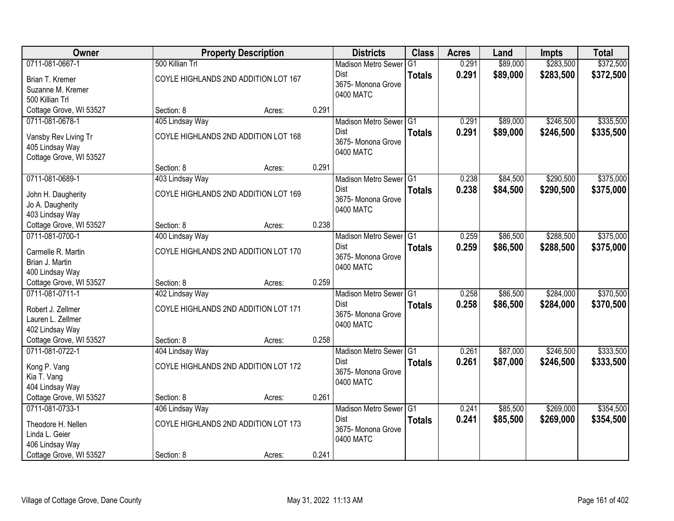| Owner                   |                                      | <b>Property Description</b> |       | <b>Districts</b>           | <b>Class</b>  | <b>Acres</b> | Land     | <b>Impts</b> | <b>Total</b> |
|-------------------------|--------------------------------------|-----------------------------|-------|----------------------------|---------------|--------------|----------|--------------|--------------|
| 0711-081-0667-1         | 500 Killian Trl                      |                             |       | <b>Madison Metro Sewer</b> | G1            | 0.291        | \$89,000 | \$283,500    | \$372,500    |
| Brian T. Kremer         | COYLE HIGHLANDS 2ND ADDITION LOT 167 |                             |       | Dist                       | <b>Totals</b> | 0.291        | \$89,000 | \$283,500    | \$372,500    |
| Suzanne M. Kremer       |                                      |                             |       | 3675-Monona Grove          |               |              |          |              |              |
| 500 Killian Trl         |                                      |                             |       | 0400 MATC                  |               |              |          |              |              |
| Cottage Grove, WI 53527 | Section: 8                           | Acres:                      | 0.291 |                            |               |              |          |              |              |
| 0711-081-0678-1         | 405 Lindsay Way                      |                             |       | Madison Metro Sewer G1     |               | 0.291        | \$89,000 | \$246,500    | \$335,500    |
| Vansby Rev Living Tr    | COYLE HIGHLANDS 2ND ADDITION LOT 168 |                             |       | Dist                       | <b>Totals</b> | 0.291        | \$89,000 | \$246,500    | \$335,500    |
| 405 Lindsay Way         |                                      |                             |       | 3675- Monona Grove         |               |              |          |              |              |
| Cottage Grove, WI 53527 |                                      |                             |       | 0400 MATC                  |               |              |          |              |              |
|                         | Section: 8                           | Acres:                      | 0.291 |                            |               |              |          |              |              |
| 0711-081-0689-1         | 403 Lindsay Way                      |                             |       | Madison Metro Sewer G1     |               | 0.238        | \$84,500 | \$290,500    | \$375,000    |
| John H. Daugherity      | COYLE HIGHLANDS 2ND ADDITION LOT 169 |                             |       | Dist                       | <b>Totals</b> | 0.238        | \$84,500 | \$290,500    | \$375,000    |
| Jo A. Daugherity        |                                      |                             |       | 3675- Monona Grove         |               |              |          |              |              |
| 403 Lindsay Way         |                                      |                             |       | 0400 MATC                  |               |              |          |              |              |
| Cottage Grove, WI 53527 | Section: 8                           | Acres:                      | 0.238 |                            |               |              |          |              |              |
| 0711-081-0700-1         | 400 Lindsay Way                      |                             |       | Madison Metro Sewer G1     |               | 0.259        | \$86,500 | \$288,500    | \$375,000    |
| Carmelle R. Martin      | COYLE HIGHLANDS 2ND ADDITION LOT 170 |                             |       | Dist                       | <b>Totals</b> | 0.259        | \$86,500 | \$288,500    | \$375,000    |
| Brian J. Martin         |                                      |                             |       | 3675- Monona Grove         |               |              |          |              |              |
| 400 Lindsay Way         |                                      |                             |       | 0400 MATC                  |               |              |          |              |              |
| Cottage Grove, WI 53527 | Section: 8                           | Acres:                      | 0.259 |                            |               |              |          |              |              |
| 0711-081-0711-1         | 402 Lindsay Way                      |                             |       | <b>Madison Metro Sewer</b> | TG1           | 0.258        | \$86,500 | \$284,000    | \$370,500    |
| Robert J. Zellmer       | COYLE HIGHLANDS 2ND ADDITION LOT 171 |                             |       | <b>Dist</b>                | <b>Totals</b> | 0.258        | \$86,500 | \$284,000    | \$370,500    |
| Lauren L. Zellmer       |                                      |                             |       | 3675- Monona Grove         |               |              |          |              |              |
| 402 Lindsay Way         |                                      |                             |       | 0400 MATC                  |               |              |          |              |              |
| Cottage Grove, WI 53527 | Section: 8                           | Acres:                      | 0.258 |                            |               |              |          |              |              |
| 0711-081-0722-1         | 404 Lindsay Way                      |                             |       | Madison Metro Sewer G1     |               | 0.261        | \$87,000 | \$246,500    | \$333,500    |
| Kong P. Vang            | COYLE HIGHLANDS 2ND ADDITION LOT 172 |                             |       | Dist                       | <b>Totals</b> | 0.261        | \$87,000 | \$246,500    | \$333,500    |
| Kia T. Vang             |                                      |                             |       | 3675- Monona Grove         |               |              |          |              |              |
| 404 Lindsay Way         |                                      |                             |       | 0400 MATC                  |               |              |          |              |              |
| Cottage Grove, WI 53527 | Section: 8                           | Acres:                      | 0.261 |                            |               |              |          |              |              |
| 0711-081-0733-1         | 406 Lindsay Way                      |                             |       | Madison Metro Sewer G1     |               | 0.241        | \$85,500 | \$269,000    | \$354,500    |
| Theodore H. Nellen      | COYLE HIGHLANDS 2ND ADDITION LOT 173 |                             |       | Dist                       | <b>Totals</b> | 0.241        | \$85,500 | \$269,000    | \$354,500    |
| Linda L. Geier          |                                      |                             |       | 3675- Monona Grove         |               |              |          |              |              |
| 406 Lindsay Way         |                                      |                             |       | 0400 MATC                  |               |              |          |              |              |
| Cottage Grove, WI 53527 | Section: 8                           | Acres:                      | 0.241 |                            |               |              |          |              |              |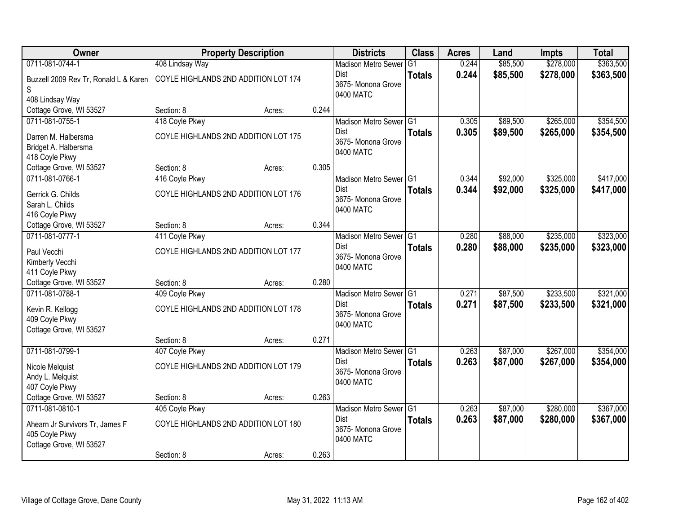| Owner                                 |                                      | <b>Property Description</b> |       | <b>Districts</b>           | <b>Class</b>  | <b>Acres</b> | Land     | Impts     | <b>Total</b> |
|---------------------------------------|--------------------------------------|-----------------------------|-------|----------------------------|---------------|--------------|----------|-----------|--------------|
| 0711-081-0744-1                       | 408 Lindsay Way                      |                             |       | <b>Madison Metro Sewer</b> | G1            | 0.244        | \$85,500 | \$278,000 | \$363,500    |
| Buzzell 2009 Rev Tr, Ronald L & Karen | COYLE HIGHLANDS 2ND ADDITION LOT 174 |                             |       | <b>Dist</b>                | <b>Totals</b> | 0.244        | \$85,500 | \$278,000 | \$363,500    |
| S                                     |                                      |                             |       | 3675-Monona Grove          |               |              |          |           |              |
| 408 Lindsay Way                       |                                      |                             |       | 0400 MATC                  |               |              |          |           |              |
| Cottage Grove, WI 53527               | Section: 8                           | Acres:                      | 0.244 |                            |               |              |          |           |              |
| 0711-081-0755-1                       | 418 Coyle Pkwy                       |                             |       | Madison Metro Sewer G1     |               | 0.305        | \$89,500 | \$265,000 | \$354,500    |
| Darren M. Halbersma                   | COYLE HIGHLANDS 2ND ADDITION LOT 175 |                             |       | Dist                       | <b>Totals</b> | 0.305        | \$89,500 | \$265,000 | \$354,500    |
| Bridget A. Halbersma                  |                                      |                             |       | 3675- Monona Grove         |               |              |          |           |              |
| 418 Coyle Pkwy                        |                                      |                             |       | 0400 MATC                  |               |              |          |           |              |
| Cottage Grove, WI 53527               | Section: 8                           | Acres:                      | 0.305 |                            |               |              |          |           |              |
| 0711-081-0766-1                       | 416 Coyle Pkwy                       |                             |       | Madison Metro Sewer G1     |               | 0.344        | \$92,000 | \$325,000 | \$417,000    |
| Gerrick G. Childs                     | COYLE HIGHLANDS 2ND ADDITION LOT 176 |                             |       | <b>Dist</b>                | <b>Totals</b> | 0.344        | \$92,000 | \$325,000 | \$417,000    |
| Sarah L. Childs                       |                                      |                             |       | 3675- Monona Grove         |               |              |          |           |              |
| 416 Coyle Pkwy                        |                                      |                             |       | 0400 MATC                  |               |              |          |           |              |
| Cottage Grove, WI 53527               | Section: 8                           | Acres:                      | 0.344 |                            |               |              |          |           |              |
| 0711-081-0777-1                       | 411 Coyle Pkwy                       |                             |       | <b>Madison Metro Sewer</b> | G1            | 0.280        | \$88,000 | \$235,000 | \$323,000    |
| Paul Vecchi                           | COYLE HIGHLANDS 2ND ADDITION LOT 177 |                             |       | <b>Dist</b>                | <b>Totals</b> | 0.280        | \$88,000 | \$235,000 | \$323,000    |
| Kimberly Vecchi                       |                                      |                             |       | 3675-Monona Grove          |               |              |          |           |              |
| 411 Coyle Pkwy                        |                                      |                             |       | 0400 MATC                  |               |              |          |           |              |
| Cottage Grove, WI 53527               | Section: 8                           | Acres:                      | 0.280 |                            |               |              |          |           |              |
| 0711-081-0788-1                       | 409 Coyle Pkwy                       |                             |       | Madison Metro Sewer G1     |               | 0.271        | \$87,500 | \$233,500 | \$321,000    |
| Kevin R. Kellogg                      | COYLE HIGHLANDS 2ND ADDITION LOT 178 |                             |       | Dist                       | <b>Totals</b> | 0.271        | \$87,500 | \$233,500 | \$321,000    |
| 409 Coyle Pkwy                        |                                      |                             |       | 3675-Monona Grove          |               |              |          |           |              |
| Cottage Grove, WI 53527               |                                      |                             |       | 0400 MATC                  |               |              |          |           |              |
|                                       | Section: 8                           | Acres:                      | 0.271 |                            |               |              |          |           |              |
| 0711-081-0799-1                       | 407 Coyle Pkwy                       |                             |       | Madison Metro Sewer G1     |               | 0.263        | \$87,000 | \$267,000 | \$354,000    |
| Nicole Melquist                       | COYLE HIGHLANDS 2ND ADDITION LOT 179 |                             |       | Dist                       | <b>Totals</b> | 0.263        | \$87,000 | \$267,000 | \$354,000    |
| Andy L. Melquist                      |                                      |                             |       | 3675- Monona Grove         |               |              |          |           |              |
| 407 Coyle Pkwy                        |                                      |                             |       | 0400 MATC                  |               |              |          |           |              |
| Cottage Grove, WI 53527               | Section: 8                           | Acres:                      | 0.263 |                            |               |              |          |           |              |
| 0711-081-0810-1                       | 405 Coyle Pkwy                       |                             |       | Madison Metro Sewer G1     |               | 0.263        | \$87,000 | \$280,000 | \$367,000    |
| Ahearn Jr Survivors Tr, James F       | COYLE HIGHLANDS 2ND ADDITION LOT 180 |                             |       | <b>Dist</b>                | <b>Totals</b> | 0.263        | \$87,000 | \$280,000 | \$367,000    |
| 405 Coyle Pkwy                        |                                      |                             |       | 3675- Monona Grove         |               |              |          |           |              |
| Cottage Grove, WI 53527               |                                      |                             |       | 0400 MATC                  |               |              |          |           |              |
|                                       | Section: 8                           | Acres:                      | 0.263 |                            |               |              |          |           |              |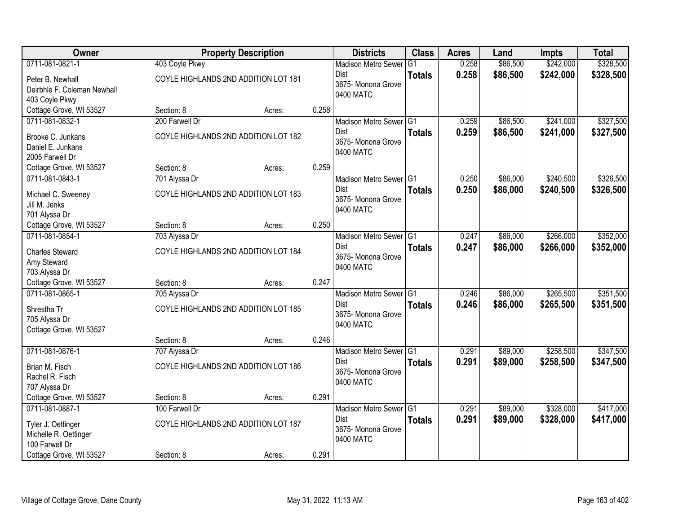| <b>Owner</b>                             |                | <b>Property Description</b>          |       | <b>Districts</b>           | <b>Class</b>  | <b>Acres</b> | Land     | Impts     | <b>Total</b> |
|------------------------------------------|----------------|--------------------------------------|-------|----------------------------|---------------|--------------|----------|-----------|--------------|
| 0711-081-0821-1                          | 403 Coyle Pkwy |                                      |       | <b>Madison Metro Sewer</b> | G1            | 0.258        | \$86,500 | \$242,000 | \$328,500    |
| Peter B. Newhall                         |                | COYLE HIGHLANDS 2ND ADDITION LOT 181 |       | Dist                       | <b>Totals</b> | 0.258        | \$86,500 | \$242,000 | \$328,500    |
| Deirbhle F. Coleman Newhall              |                |                                      |       | 3675- Monona Grove         |               |              |          |           |              |
| 403 Coyle Pkwy                           |                |                                      |       | 0400 MATC                  |               |              |          |           |              |
| Cottage Grove, WI 53527                  | Section: 8     | Acres:                               | 0.258 |                            |               |              |          |           |              |
| 0711-081-0832-1                          | 200 Farwell Dr |                                      |       | Madison Metro Sewer G1     |               | 0.259        | \$86,500 | \$241,000 | \$327,500    |
| Brooke C. Junkans                        |                | COYLE HIGHLANDS 2ND ADDITION LOT 182 |       | <b>Dist</b>                | <b>Totals</b> | 0.259        | \$86,500 | \$241,000 | \$327,500    |
| Daniel E. Junkans                        |                |                                      |       | 3675- Monona Grove         |               |              |          |           |              |
| 2005 Farwell Dr                          |                |                                      |       | 0400 MATC                  |               |              |          |           |              |
| Cottage Grove, WI 53527                  | Section: 8     | Acres:                               | 0.259 |                            |               |              |          |           |              |
| 0711-081-0843-1                          | 701 Alyssa Dr  |                                      |       | Madison Metro Sewer G1     |               | 0.250        | \$86,000 | \$240,500 | \$326,500    |
|                                          |                | COYLE HIGHLANDS 2ND ADDITION LOT 183 |       | Dist                       | <b>Totals</b> | 0.250        | \$86,000 | \$240,500 | \$326,500    |
| Michael C. Sweeney<br>Jill M. Jenks      |                |                                      |       | 3675-Monona Grove          |               |              |          |           |              |
| 701 Alyssa Dr                            |                |                                      |       | 0400 MATC                  |               |              |          |           |              |
| Cottage Grove, WI 53527                  | Section: 8     | Acres:                               | 0.250 |                            |               |              |          |           |              |
| 0711-081-0854-1                          | 703 Alyssa Dr  |                                      |       | Madison Metro Sewer G1     |               | 0.247        | \$86,000 | \$266,000 | \$352,000    |
|                                          |                |                                      |       | Dist                       | <b>Totals</b> | 0.247        | \$86,000 | \$266,000 | \$352,000    |
| <b>Charles Steward</b>                   |                | COYLE HIGHLANDS 2ND ADDITION LOT 184 |       | 3675- Monona Grove         |               |              |          |           |              |
| Amy Steward                              |                |                                      |       | 0400 MATC                  |               |              |          |           |              |
| 703 Alyssa Dr<br>Cottage Grove, WI 53527 | Section: 8     |                                      | 0.247 |                            |               |              |          |           |              |
| 0711-081-0865-1                          | 705 Alyssa Dr  | Acres:                               |       | <b>Madison Metro Sewer</b> | TG1           | 0.246        | \$86,000 | \$265,500 | \$351,500    |
|                                          |                |                                      |       | Dist                       | <b>Totals</b> | 0.246        | \$86,000 | \$265,500 | \$351,500    |
| Shrestha Tr                              |                | COYLE HIGHLANDS 2ND ADDITION LOT 185 |       | 3675- Monona Grove         |               |              |          |           |              |
| 705 Alyssa Dr                            |                |                                      |       | 0400 MATC                  |               |              |          |           |              |
| Cottage Grove, WI 53527                  |                |                                      |       |                            |               |              |          |           |              |
|                                          | Section: 8     | Acres:                               | 0.246 |                            |               |              |          |           |              |
| 0711-081-0876-1                          | 707 Alyssa Dr  |                                      |       | Madison Metro Sewer G1     |               | 0.291        | \$89,000 | \$258,500 | \$347,500    |
| Brian M. Fisch                           |                | COYLE HIGHLANDS 2ND ADDITION LOT 186 |       | Dist<br>3675- Monona Grove | <b>Totals</b> | 0.291        | \$89,000 | \$258,500 | \$347,500    |
| Rachel R. Fisch                          |                |                                      |       | 0400 MATC                  |               |              |          |           |              |
| 707 Alyssa Dr                            |                |                                      |       |                            |               |              |          |           |              |
| Cottage Grove, WI 53527                  | Section: 8     | Acres:                               | 0.291 |                            |               |              |          |           |              |
| 0711-081-0887-1                          | 100 Farwell Dr |                                      |       | Madison Metro Sewer G1     |               | 0.291        | \$89,000 | \$328,000 | \$417,000    |
| Tyler J. Oettinger                       |                | COYLE HIGHLANDS 2ND ADDITION LOT 187 |       | <b>Dist</b>                | <b>Totals</b> | 0.291        | \$89,000 | \$328,000 | \$417,000    |
| Michelle R. Oettinger                    |                |                                      |       | 3675- Monona Grove         |               |              |          |           |              |
| 100 Farwell Dr                           |                |                                      |       | 0400 MATC                  |               |              |          |           |              |
| Cottage Grove, WI 53527                  | Section: 8     | Acres:                               | 0.291 |                            |               |              |          |           |              |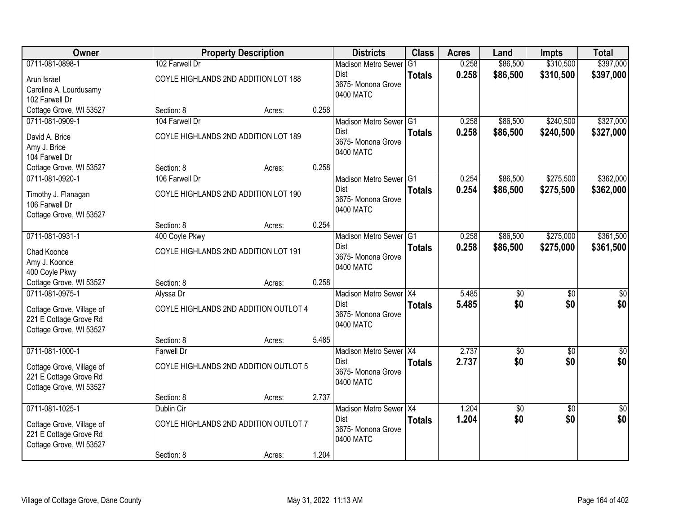| Owner                     |                   | <b>Property Description</b>           |       | <b>Districts</b>                | <b>Class</b>  | <b>Acres</b> | Land            | <b>Impts</b>    | <b>Total</b>    |
|---------------------------|-------------------|---------------------------------------|-------|---------------------------------|---------------|--------------|-----------------|-----------------|-----------------|
| 0711-081-0898-1           | 102 Farwell Dr    |                                       |       | <b>Madison Metro Sewer</b>      | G1            | 0.258        | \$86,500        | \$310,500       | \$397,000       |
| Arun Israel               |                   | COYLE HIGHLANDS 2ND ADDITION LOT 188  |       | Dist                            | <b>Totals</b> | 0.258        | \$86,500        | \$310,500       | \$397,000       |
| Caroline A. Lourdusamy    |                   |                                       |       | 3675- Monona Grove<br>0400 MATC |               |              |                 |                 |                 |
| 102 Farwell Dr            |                   |                                       |       |                                 |               |              |                 |                 |                 |
| Cottage Grove, WI 53527   | Section: 8        | Acres:                                | 0.258 |                                 |               |              |                 |                 |                 |
| 0711-081-0909-1           | 104 Farwell Dr    |                                       |       | Madison Metro Sewer G1          |               | 0.258        | \$86,500        | \$240,500       | \$327,000       |
| David A. Brice            |                   | COYLE HIGHLANDS 2ND ADDITION LOT 189  |       | Dist                            | <b>Totals</b> | 0.258        | \$86,500        | \$240,500       | \$327,000       |
| Amy J. Brice              |                   |                                       |       | 3675- Monona Grove<br>0400 MATC |               |              |                 |                 |                 |
| 104 Farwell Dr            |                   |                                       |       |                                 |               |              |                 |                 |                 |
| Cottage Grove, WI 53527   | Section: 8        | Acres:                                | 0.258 |                                 |               |              |                 |                 |                 |
| 0711-081-0920-1           | 106 Farwell Dr    |                                       |       | Madison Metro Sewer G1          |               | 0.254        | \$86,500        | \$275,500       | \$362,000       |
| Timothy J. Flanagan       |                   | COYLE HIGHLANDS 2ND ADDITION LOT 190  |       | <b>Dist</b>                     | <b>Totals</b> | 0.254        | \$86,500        | \$275,500       | \$362,000       |
| 106 Farwell Dr            |                   |                                       |       | 3675- Monona Grove              |               |              |                 |                 |                 |
| Cottage Grove, WI 53527   |                   |                                       |       | 0400 MATC                       |               |              |                 |                 |                 |
|                           | Section: 8        | Acres:                                | 0.254 |                                 |               |              |                 |                 |                 |
| 0711-081-0931-1           | 400 Coyle Pkwy    |                                       |       | Madison Metro Sewer G1          |               | 0.258        | \$86,500        | \$275,000       | \$361,500       |
| Chad Koonce               |                   | COYLE HIGHLANDS 2ND ADDITION LOT 191  |       | <b>Dist</b>                     | <b>Totals</b> | 0.258        | \$86,500        | \$275,000       | \$361,500       |
| Amy J. Koonce             |                   |                                       |       | 3675- Monona Grove              |               |              |                 |                 |                 |
| 400 Coyle Pkwy            |                   |                                       |       | 0400 MATC                       |               |              |                 |                 |                 |
| Cottage Grove, WI 53527   | Section: 8        | Acres:                                | 0.258 |                                 |               |              |                 |                 |                 |
| 0711-081-0975-1           | Alyssa Dr         |                                       |       | Madison Metro Sewer X4          |               | 5.485        | \$0             | \$0             | \$0             |
| Cottage Grove, Village of |                   | COYLE HIGHLANDS 2ND ADDITION OUTLOT 4 |       | <b>Dist</b>                     | <b>Totals</b> | 5.485        | \$0             | \$0             | \$0             |
| 221 E Cottage Grove Rd    |                   |                                       |       | 3675- Monona Grove              |               |              |                 |                 |                 |
| Cottage Grove, WI 53527   |                   |                                       |       | 0400 MATC                       |               |              |                 |                 |                 |
|                           | Section: 8        | Acres:                                | 5.485 |                                 |               |              |                 |                 |                 |
| 0711-081-1000-1           | <b>Farwell Dr</b> |                                       |       | Madison Metro Sewer X4          |               | 2.737        | $\overline{50}$ | $\overline{50}$ | \$0             |
| Cottage Grove, Village of |                   | COYLE HIGHLANDS 2ND ADDITION OUTLOT 5 |       | Dist                            | <b>Totals</b> | 2.737        | \$0             | \$0             | \$0             |
| 221 E Cottage Grove Rd    |                   |                                       |       | 3675- Monona Grove              |               |              |                 |                 |                 |
| Cottage Grove, WI 53527   |                   |                                       |       | 0400 MATC                       |               |              |                 |                 |                 |
|                           | Section: 8        | Acres:                                | 2.737 |                                 |               |              |                 |                 |                 |
| 0711-081-1025-1           | Dublin Cir        |                                       |       | Madison Metro Sewer X4          |               | 1.204        | $\overline{50}$ | $\overline{50}$ | $\overline{50}$ |
| Cottage Grove, Village of |                   | COYLE HIGHLANDS 2ND ADDITION OUTLOT 7 |       | <b>Dist</b>                     | <b>Totals</b> | 1.204        | \$0             | \$0             | \$0             |
| 221 E Cottage Grove Rd    |                   |                                       |       | 3675- Monona Grove              |               |              |                 |                 |                 |
| Cottage Grove, WI 53527   |                   |                                       |       | 0400 MATC                       |               |              |                 |                 |                 |
|                           | Section: 8        | Acres:                                | 1.204 |                                 |               |              |                 |                 |                 |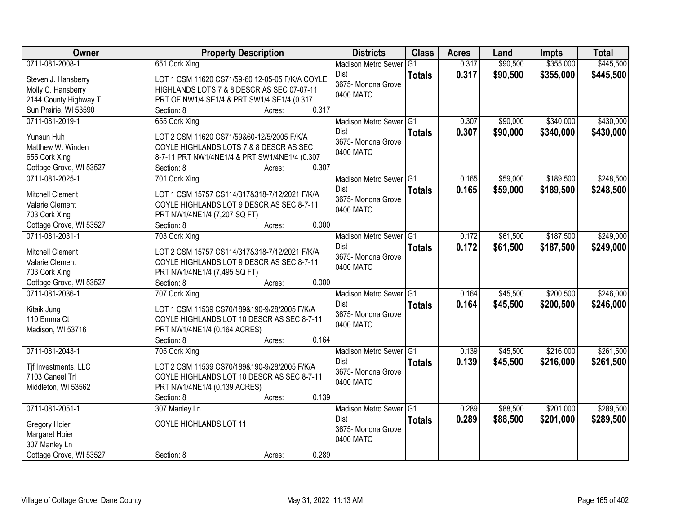| Owner                                    | <b>Property Description</b>                                                    | <b>Districts</b>                | <b>Class</b>   | <b>Acres</b> | Land     | Impts     | <b>Total</b> |
|------------------------------------------|--------------------------------------------------------------------------------|---------------------------------|----------------|--------------|----------|-----------|--------------|
| 0711-081-2008-1                          | 651 Cork Xing                                                                  | <b>Madison Metro Sewer</b>      | G <sub>1</sub> | 0.317        | \$90,500 | \$355,000 | \$445,500    |
| Steven J. Hansberry                      | LOT 1 CSM 11620 CS71/59-60 12-05-05 F/K/A COYLE                                | <b>Dist</b>                     | <b>Totals</b>  | 0.317        | \$90,500 | \$355,000 | \$445,500    |
| Molly C. Hansberry                       | HIGHLANDS LOTS 7 & 8 DESCR AS SEC 07-07-11                                     | 3675- Monona Grove              |                |              |          |           |              |
| 2144 County Highway T                    | PRT OF NW1/4 SE1/4 & PRT SW1/4 SE1/4 (0.317                                    | 0400 MATC                       |                |              |          |           |              |
| Sun Prairie, WI 53590                    | 0.317<br>Section: 8<br>Acres:                                                  |                                 |                |              |          |           |              |
| 0711-081-2019-1                          | 655 Cork Xing                                                                  | Madison Metro Sewer G1          |                | 0.307        | \$90,000 | \$340,000 | \$430,000    |
|                                          |                                                                                | <b>Dist</b>                     | <b>Totals</b>  | 0.307        | \$90,000 | \$340,000 | \$430,000    |
| Yunsun Huh                               | LOT 2 CSM 11620 CS71/59&60-12/5/2005 F/K/A                                     | 3675- Monona Grove              |                |              |          |           |              |
| Matthew W. Winden                        | COYLE HIGHLANDS LOTS 7 & 8 DESCR AS SEC                                        | 0400 MATC                       |                |              |          |           |              |
| 655 Cork Xing<br>Cottage Grove, WI 53527 | 8-7-11 PRT NW1/4NE1/4 & PRT SW1/4NE1/4 (0.307<br>0.307<br>Section: 8<br>Acres: |                                 |                |              |          |           |              |
| 0711-081-2025-1                          |                                                                                | Madison Metro Sewer G1          |                | 0.165        | \$59,000 | \$189,500 | \$248,500    |
|                                          | 701 Cork Xing                                                                  | <b>Dist</b>                     |                |              |          |           |              |
| <b>Mitchell Clement</b>                  | LOT 1 CSM 15757 CS114/317&318-7/12/2021 F/K/A                                  | 3675-Monona Grove               | <b>Totals</b>  | 0.165        | \$59,000 | \$189,500 | \$248,500    |
| Valarie Clement                          | COYLE HIGHLANDS LOT 9 DESCR AS SEC 8-7-11                                      | 0400 MATC                       |                |              |          |           |              |
| 703 Cork Xing                            | PRT NW1/4NE1/4 (7,207 SQ FT)                                                   |                                 |                |              |          |           |              |
| Cottage Grove, WI 53527                  | 0.000<br>Section: 8<br>Acres:                                                  |                                 |                |              |          |           |              |
| 0711-081-2031-1                          | 703 Cork Xing                                                                  | Madison Metro Sewer G1          |                | 0.172        | \$61,500 | \$187,500 | \$249,000    |
| <b>Mitchell Clement</b>                  | LOT 2 CSM 15757 CS114/317&318-7/12/2021 F/K/A                                  | <b>Dist</b>                     | <b>Totals</b>  | 0.172        | \$61,500 | \$187,500 | \$249,000    |
| Valarie Clement                          | COYLE HIGHLANDS LOT 9 DESCR AS SEC 8-7-11                                      | 3675- Monona Grove              |                |              |          |           |              |
| 703 Cork Xing                            | PRT NW1/4NE1/4 (7,495 SQ FT)                                                   | 0400 MATC                       |                |              |          |           |              |
| Cottage Grove, WI 53527                  | 0.000<br>Section: 8<br>Acres:                                                  |                                 |                |              |          |           |              |
| 0711-081-2036-1                          | 707 Cork Xing                                                                  | Madison Metro Sewer G1          |                | 0.164        | \$45,500 | \$200,500 | \$246,000    |
|                                          |                                                                                | <b>Dist</b>                     | <b>Totals</b>  | 0.164        | \$45,500 | \$200,500 | \$246,000    |
| Kitaik Jung                              | LOT 1 CSM 11539 CS70/189&190-9/28/2005 F/K/A                                   | 3675- Monona Grove              |                |              |          |           |              |
| 110 Emma Ct                              | COYLE HIGHLANDS LOT 10 DESCR AS SEC 8-7-11                                     | 0400 MATC                       |                |              |          |           |              |
| Madison, WI 53716                        | PRT NW1/4NE1/4 (0.164 ACRES)                                                   |                                 |                |              |          |           |              |
|                                          | 0.164<br>Section: 8<br>Acres:                                                  |                                 |                |              |          |           |              |
| 0711-081-2043-1                          | 705 Cork Xing                                                                  | Madison Metro Sewer G1          |                | 0.139        | \$45,500 | \$216,000 | \$261,500    |
| Tjf Investments, LLC                     | LOT 2 CSM 11539 CS70/189&190-9/28/2005 F/K/A                                   | Dist                            | <b>Totals</b>  | 0.139        | \$45,500 | \$216,000 | \$261,500    |
| 7103 Caneel Trl                          | COYLE HIGHLANDS LOT 10 DESCR AS SEC 8-7-11                                     | 3675- Monona Grove<br>0400 MATC |                |              |          |           |              |
| Middleton, WI 53562                      | PRT NW1/4NE1/4 (0.139 ACRES)                                                   |                                 |                |              |          |           |              |
|                                          | 0.139<br>Section: 8<br>Acres:                                                  |                                 |                |              |          |           |              |
| 0711-081-2051-1                          | 307 Manley Ln                                                                  | Madison Metro Sewer G1          |                | 0.289        | \$88,500 | \$201,000 | \$289,500    |
| Gregory Hoier                            | COYLE HIGHLANDS LOT 11                                                         | <b>Dist</b>                     | <b>Totals</b>  | 0.289        | \$88,500 | \$201,000 | \$289,500    |
| Margaret Hoier                           |                                                                                | 3675-Monona Grove               |                |              |          |           |              |
| 307 Manley Ln                            |                                                                                | 0400 MATC                       |                |              |          |           |              |
| Cottage Grove, WI 53527                  | 0.289<br>Section: 8<br>Acres:                                                  |                                 |                |              |          |           |              |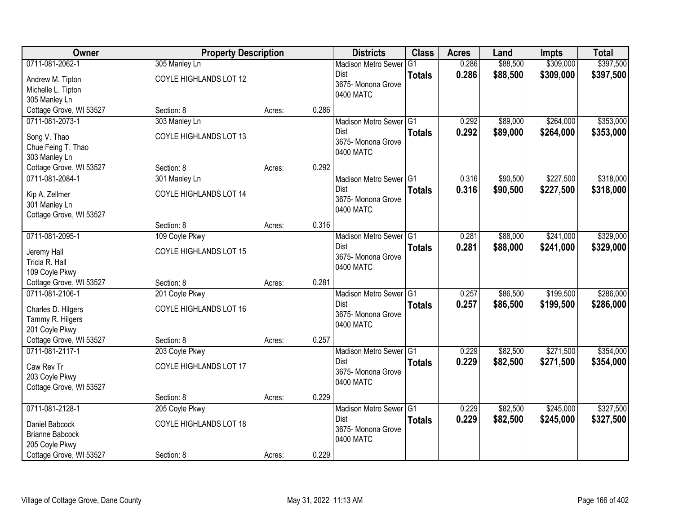| Owner                   | <b>Property Description</b> |        |       | <b>Districts</b>           | <b>Class</b>  | <b>Acres</b> | Land     | <b>Impts</b> | <b>Total</b> |
|-------------------------|-----------------------------|--------|-------|----------------------------|---------------|--------------|----------|--------------|--------------|
| 0711-081-2062-1         | 305 Manley Ln               |        |       | <b>Madison Metro Sewer</b> | G1            | 0.286        | \$88,500 | \$309,000    | \$397,500    |
| Andrew M. Tipton        | COYLE HIGHLANDS LOT 12      |        |       | Dist                       | <b>Totals</b> | 0.286        | \$88,500 | \$309,000    | \$397,500    |
| Michelle L. Tipton      |                             |        |       | 3675- Monona Grove         |               |              |          |              |              |
| 305 Manley Ln           |                             |        |       | 0400 MATC                  |               |              |          |              |              |
| Cottage Grove, WI 53527 | Section: 8                  | Acres: | 0.286 |                            |               |              |          |              |              |
| 0711-081-2073-1         | 303 Manley Ln               |        |       | Madison Metro Sewer G1     |               | 0.292        | \$89,000 | \$264,000    | \$353,000    |
| Song V. Thao            | COYLE HIGHLANDS LOT 13      |        |       | <b>Dist</b>                | <b>Totals</b> | 0.292        | \$89,000 | \$264,000    | \$353,000    |
| Chue Feing T. Thao      |                             |        |       | 3675- Monona Grove         |               |              |          |              |              |
| 303 Manley Ln           |                             |        |       | 0400 MATC                  |               |              |          |              |              |
| Cottage Grove, WI 53527 | Section: 8                  | Acres: | 0.292 |                            |               |              |          |              |              |
| 0711-081-2084-1         | 301 Manley Ln               |        |       | Madison Metro Sewer G1     |               | 0.316        | \$90,500 | \$227,500    | \$318,000    |
| Kip A. Zellmer          | COYLE HIGHLANDS LOT 14      |        |       | Dist                       | <b>Totals</b> | 0.316        | \$90,500 | \$227,500    | \$318,000    |
| 301 Manley Ln           |                             |        |       | 3675- Monona Grove         |               |              |          |              |              |
| Cottage Grove, WI 53527 |                             |        |       | 0400 MATC                  |               |              |          |              |              |
|                         | Section: 8                  | Acres: | 0.316 |                            |               |              |          |              |              |
| 0711-081-2095-1         | 109 Coyle Pkwy              |        |       | Madison Metro Sewer G1     |               | 0.281        | \$88,000 | \$241,000    | \$329,000    |
| Jeremy Hall             | COYLE HIGHLANDS LOT 15      |        |       | Dist                       | <b>Totals</b> | 0.281        | \$88,000 | \$241,000    | \$329,000    |
| Tricia R. Hall          |                             |        |       | 3675- Monona Grove         |               |              |          |              |              |
| 109 Coyle Pkwy          |                             |        |       | 0400 MATC                  |               |              |          |              |              |
| Cottage Grove, WI 53527 | Section: 8                  | Acres: | 0.281 |                            |               |              |          |              |              |
| 0711-081-2106-1         | 201 Coyle Pkwy              |        |       | Madison Metro Sewer G1     |               | 0.257        | \$86,500 | \$199,500    | \$286,000    |
| Charles D. Hilgers      | COYLE HIGHLANDS LOT 16      |        |       | <b>Dist</b>                | <b>Totals</b> | 0.257        | \$86,500 | \$199,500    | \$286,000    |
| Tammy R. Hilgers        |                             |        |       | 3675- Monona Grove         |               |              |          |              |              |
| 201 Coyle Pkwy          |                             |        |       | 0400 MATC                  |               |              |          |              |              |
| Cottage Grove, WI 53527 | Section: 8                  | Acres: | 0.257 |                            |               |              |          |              |              |
| 0711-081-2117-1         | 203 Coyle Pkwy              |        |       | Madison Metro Sewer G1     |               | 0.229        | \$82,500 | \$271,500    | \$354,000    |
| Caw Rev Tr              | COYLE HIGHLANDS LOT 17      |        |       | Dist                       | <b>Totals</b> | 0.229        | \$82,500 | \$271,500    | \$354,000    |
| 203 Coyle Pkwy          |                             |        |       | 3675- Monona Grove         |               |              |          |              |              |
| Cottage Grove, WI 53527 |                             |        |       | 0400 MATC                  |               |              |          |              |              |
|                         | Section: 8                  | Acres: | 0.229 |                            |               |              |          |              |              |
| 0711-081-2128-1         | 205 Coyle Pkwy              |        |       | Madison Metro Sewer G1     |               | 0.229        | \$82,500 | \$245,000    | \$327,500    |
| Daniel Babcock          | COYLE HIGHLANDS LOT 18      |        |       | <b>Dist</b>                | <b>Totals</b> | 0.229        | \$82,500 | \$245,000    | \$327,500    |
| <b>Brianne Babcock</b>  |                             |        |       | 3675- Monona Grove         |               |              |          |              |              |
| 205 Coyle Pkwy          |                             |        |       | 0400 MATC                  |               |              |          |              |              |
| Cottage Grove, WI 53527 | Section: 8                  | Acres: | 0.229 |                            |               |              |          |              |              |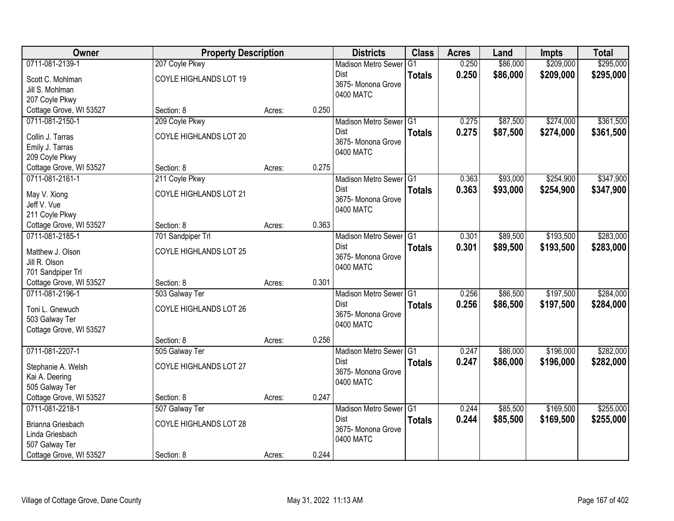| <b>Owner</b>                  | <b>Property Description</b> |        |       | <b>Districts</b>                  | <b>Class</b>   | <b>Acres</b> | Land     | Impts     | <b>Total</b> |
|-------------------------------|-----------------------------|--------|-------|-----------------------------------|----------------|--------------|----------|-----------|--------------|
| 0711-081-2139-1               | 207 Coyle Pkwy              |        |       | <b>Madison Metro Sewer</b>        | G <sub>1</sub> | 0.250        | \$86,000 | \$209,000 | \$295,000    |
| Scott C. Mohlman              | COYLE HIGHLANDS LOT 19      |        |       | Dist                              | <b>Totals</b>  | 0.250        | \$86,000 | \$209,000 | \$295,000    |
| Jill S. Mohlman               |                             |        |       | 3675- Monona Grove                |                |              |          |           |              |
| 207 Coyle Pkwy                |                             |        |       | 0400 MATC                         |                |              |          |           |              |
| Cottage Grove, WI 53527       | Section: 8                  | Acres: | 0.250 |                                   |                |              |          |           |              |
| 0711-081-2150-1               | 209 Coyle Pkwy              |        |       | Madison Metro Sewer G1            |                | 0.275        | \$87,500 | \$274,000 | \$361,500    |
| Collin J. Tarras              | COYLE HIGHLANDS LOT 20      |        |       | <b>Dist</b>                       | <b>Totals</b>  | 0.275        | \$87,500 | \$274,000 | \$361,500    |
| Emily J. Tarras               |                             |        |       | 3675- Monona Grove                |                |              |          |           |              |
| 209 Coyle Pkwy                |                             |        |       | 0400 MATC                         |                |              |          |           |              |
| Cottage Grove, WI 53527       | Section: 8                  | Acres: | 0.275 |                                   |                |              |          |           |              |
| 0711-081-2161-1               | 211 Coyle Pkwy              |        |       | Madison Metro Sewer G1            |                | 0.363        | \$93,000 | \$254,900 | \$347,900    |
|                               |                             |        |       | Dist                              | <b>Totals</b>  | 0.363        | \$93,000 | \$254,900 | \$347,900    |
| May V. Xiong                  | COYLE HIGHLANDS LOT 21      |        |       | 3675- Monona Grove                |                |              |          |           |              |
| Jeff V. Vue<br>211 Coyle Pkwy |                             |        |       | 0400 MATC                         |                |              |          |           |              |
| Cottage Grove, WI 53527       | Section: 8                  | Acres: | 0.363 |                                   |                |              |          |           |              |
| 0711-081-2185-1               | 701 Sandpiper Trl           |        |       | Madison Metro Sewer G1            |                | 0.301        | \$89,500 | \$193,500 | \$283,000    |
|                               |                             |        |       | Dist                              | <b>Totals</b>  | 0.301        | \$89,500 | \$193,500 | \$283,000    |
| Matthew J. Olson              | COYLE HIGHLANDS LOT 25      |        |       | 3675- Monona Grove                |                |              |          |           |              |
| Jill R. Olson                 |                             |        |       | 0400 MATC                         |                |              |          |           |              |
| 701 Sandpiper Trl             |                             |        |       |                                   |                |              |          |           |              |
| Cottage Grove, WI 53527       | Section: 8                  | Acres: | 0.301 |                                   |                |              |          |           |              |
| 0711-081-2196-1               | 503 Galway Ter              |        |       | <b>Madison Metro Sewer</b>        | TG1            | 0.256        | \$86,500 | \$197,500 | \$284,000    |
| Toni L. Gnewuch               | COYLE HIGHLANDS LOT 26      |        |       | <b>Dist</b><br>3675- Monona Grove | <b>Totals</b>  | 0.256        | \$86,500 | \$197,500 | \$284,000    |
| 503 Galway Ter                |                             |        |       | 0400 MATC                         |                |              |          |           |              |
| Cottage Grove, WI 53527       |                             |        |       |                                   |                |              |          |           |              |
|                               | Section: 8                  | Acres: | 0.256 |                                   |                |              |          |           |              |
| 0711-081-2207-1               | 505 Galway Ter              |        |       | Madison Metro Sewer G1            |                | 0.247        | \$86,000 | \$196,000 | \$282,000    |
| Stephanie A. Welsh            | COYLE HIGHLANDS LOT 27      |        |       | <b>Dist</b>                       | <b>Totals</b>  | 0.247        | \$86,000 | \$196,000 | \$282,000    |
| Kai A. Deering                |                             |        |       | 3675- Monona Grove                |                |              |          |           |              |
| 505 Galway Ter                |                             |        |       | 0400 MATC                         |                |              |          |           |              |
| Cottage Grove, WI 53527       | Section: 8                  | Acres: | 0.247 |                                   |                |              |          |           |              |
| 0711-081-2218-1               | 507 Galway Ter              |        |       | Madison Metro Sewer G1            |                | 0.244        | \$85,500 | \$169,500 | \$255,000    |
| Brianna Griesbach             | COYLE HIGHLANDS LOT 28      |        |       | Dist                              | <b>Totals</b>  | 0.244        | \$85,500 | \$169,500 | \$255,000    |
| Linda Griesbach               |                             |        |       | 3675- Monona Grove                |                |              |          |           |              |
| 507 Galway Ter                |                             |        |       | 0400 MATC                         |                |              |          |           |              |
| Cottage Grove, WI 53527       | Section: 8                  | Acres: | 0.244 |                                   |                |              |          |           |              |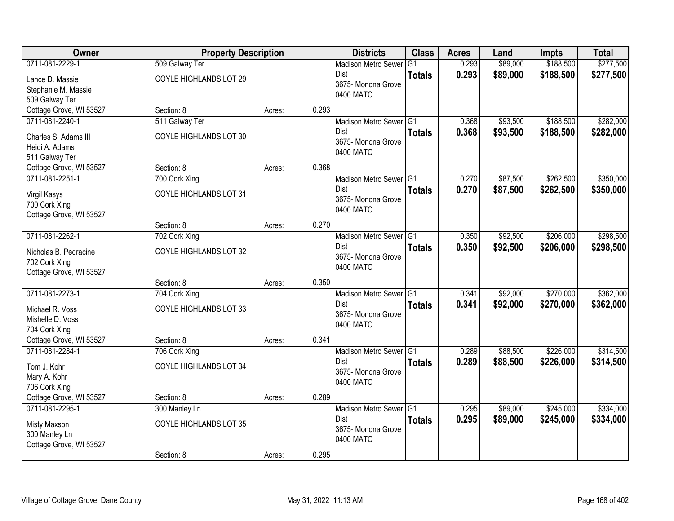| Owner                   | <b>Property Description</b> |        |       | <b>Districts</b>           | <b>Class</b>  | <b>Acres</b> | Land     | <b>Impts</b> | <b>Total</b> |
|-------------------------|-----------------------------|--------|-------|----------------------------|---------------|--------------|----------|--------------|--------------|
| 0711-081-2229-1         | 509 Galway Ter              |        |       | <b>Madison Metro Sewer</b> | G1            | 0.293        | \$89,000 | \$188,500    | \$277,500    |
| Lance D. Massie         | COYLE HIGHLANDS LOT 29      |        |       | Dist                       | <b>Totals</b> | 0.293        | \$89,000 | \$188,500    | \$277,500    |
| Stephanie M. Massie     |                             |        |       | 3675-Monona Grove          |               |              |          |              |              |
| 509 Galway Ter          |                             |        |       | 0400 MATC                  |               |              |          |              |              |
| Cottage Grove, WI 53527 | Section: 8                  | Acres: | 0.293 |                            |               |              |          |              |              |
| 0711-081-2240-1         | 511 Galway Ter              |        |       | Madison Metro Sewer G1     |               | 0.368        | \$93,500 | \$188,500    | \$282,000    |
| Charles S. Adams III    | COYLE HIGHLANDS LOT 30      |        |       | Dist                       | <b>Totals</b> | 0.368        | \$93,500 | \$188,500    | \$282,000    |
| Heidi A. Adams          |                             |        |       | 3675- Monona Grove         |               |              |          |              |              |
| 511 Galway Ter          |                             |        |       | 0400 MATC                  |               |              |          |              |              |
| Cottage Grove, WI 53527 | Section: 8                  | Acres: | 0.368 |                            |               |              |          |              |              |
| 0711-081-2251-1         | 700 Cork Xing               |        |       | Madison Metro Sewer G1     |               | 0.270        | \$87,500 | \$262,500    | \$350,000    |
| Virgil Kasys            | COYLE HIGHLANDS LOT 31      |        |       | Dist                       | <b>Totals</b> | 0.270        | \$87,500 | \$262,500    | \$350,000    |
| 700 Cork Xing           |                             |        |       | 3675- Monona Grove         |               |              |          |              |              |
| Cottage Grove, WI 53527 |                             |        |       | 0400 MATC                  |               |              |          |              |              |
|                         | Section: 8                  | Acres: | 0.270 |                            |               |              |          |              |              |
| 0711-081-2262-1         | 702 Cork Xing               |        |       | Madison Metro Sewer G1     |               | 0.350        | \$92,500 | \$206,000    | \$298,500    |
| Nicholas B. Pedracine   | COYLE HIGHLANDS LOT 32      |        |       | Dist                       | <b>Totals</b> | 0.350        | \$92,500 | \$206,000    | \$298,500    |
| 702 Cork Xing           |                             |        |       | 3675- Monona Grove         |               |              |          |              |              |
| Cottage Grove, WI 53527 |                             |        |       | 0400 MATC                  |               |              |          |              |              |
|                         | Section: 8                  | Acres: | 0.350 |                            |               |              |          |              |              |
| 0711-081-2273-1         | 704 Cork Xing               |        |       | Madison Metro Sewer G1     |               | 0.341        | \$92,000 | \$270,000    | \$362,000    |
| Michael R. Voss         | COYLE HIGHLANDS LOT 33      |        |       | <b>Dist</b>                | <b>Totals</b> | 0.341        | \$92,000 | \$270,000    | \$362,000    |
| Mishelle D. Voss        |                             |        |       | 3675- Monona Grove         |               |              |          |              |              |
| 704 Cork Xing           |                             |        |       | 0400 MATC                  |               |              |          |              |              |
| Cottage Grove, WI 53527 | Section: 8                  | Acres: | 0.341 |                            |               |              |          |              |              |
| 0711-081-2284-1         | 706 Cork Xing               |        |       | Madison Metro Sewer G1     |               | 0.289        | \$88,500 | \$226,000    | \$314,500    |
| Tom J. Kohr             | COYLE HIGHLANDS LOT 34      |        |       | Dist                       | <b>Totals</b> | 0.289        | \$88,500 | \$226,000    | \$314,500    |
| Mary A. Kohr            |                             |        |       | 3675- Monona Grove         |               |              |          |              |              |
| 706 Cork Xing           |                             |        |       | 0400 MATC                  |               |              |          |              |              |
| Cottage Grove, WI 53527 | Section: 8                  | Acres: | 0.289 |                            |               |              |          |              |              |
| 0711-081-2295-1         | 300 Manley Ln               |        |       | Madison Metro Sewer G1     |               | 0.295        | \$89,000 | \$245,000    | \$334,000    |
| Misty Maxson            | COYLE HIGHLANDS LOT 35      |        |       | <b>Dist</b>                | <b>Totals</b> | 0.295        | \$89,000 | \$245,000    | \$334,000    |
| 300 Manley Ln           |                             |        |       | 3675- Monona Grove         |               |              |          |              |              |
| Cottage Grove, WI 53527 |                             |        |       | 0400 MATC                  |               |              |          |              |              |
|                         | Section: 8                  | Acres: | 0.295 |                            |               |              |          |              |              |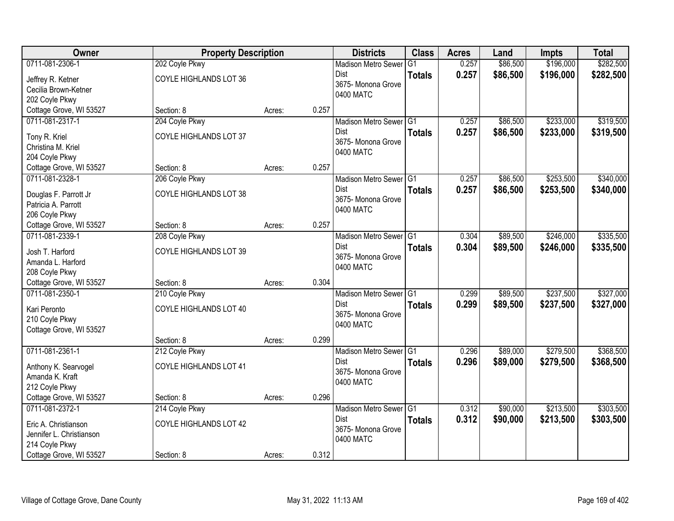| Owner                    | <b>Property Description</b> |        |       | <b>Districts</b>                    | <b>Class</b>  | <b>Acres</b> | Land     | <b>Impts</b> | <b>Total</b> |
|--------------------------|-----------------------------|--------|-------|-------------------------------------|---------------|--------------|----------|--------------|--------------|
| 0711-081-2306-1          | 202 Coyle Pkwy              |        |       | <b>Madison Metro Sewer</b>          | G1            | 0.257        | \$86,500 | \$196,000    | \$282,500    |
| Jeffrey R. Ketner        | COYLE HIGHLANDS LOT 36      |        |       | Dist                                | <b>Totals</b> | 0.257        | \$86,500 | \$196,000    | \$282,500    |
| Cecilia Brown-Ketner     |                             |        |       | 3675-Monona Grove                   |               |              |          |              |              |
| 202 Coyle Pkwy           |                             |        |       | 0400 MATC                           |               |              |          |              |              |
| Cottage Grove, WI 53527  | Section: 8                  | Acres: | 0.257 |                                     |               |              |          |              |              |
| 0711-081-2317-1          | 204 Coyle Pkwy              |        |       | Madison Metro Sewer G1              |               | 0.257        | \$86,500 | \$233,000    | \$319,500    |
| Tony R. Kriel            | COYLE HIGHLANDS LOT 37      |        |       | Dist                                | <b>Totals</b> | 0.257        | \$86,500 | \$233,000    | \$319,500    |
| Christina M. Kriel       |                             |        |       | 3675- Monona Grove                  |               |              |          |              |              |
| 204 Coyle Pkwy           |                             |        |       | 0400 MATC                           |               |              |          |              |              |
| Cottage Grove, WI 53527  | Section: 8                  | Acres: | 0.257 |                                     |               |              |          |              |              |
| 0711-081-2328-1          | 206 Coyle Pkwy              |        |       | Madison Metro Sewer G1              |               | 0.257        | \$86,500 | \$253,500    | \$340,000    |
| Douglas F. Parrott Jr    | COYLE HIGHLANDS LOT 38      |        |       | Dist                                | <b>Totals</b> | 0.257        | \$86,500 | \$253,500    | \$340,000    |
| Patricia A. Parrott      |                             |        |       | 3675- Monona Grove                  |               |              |          |              |              |
| 206 Coyle Pkwy           |                             |        |       | 0400 MATC                           |               |              |          |              |              |
| Cottage Grove, WI 53527  | Section: 8                  | Acres: | 0.257 |                                     |               |              |          |              |              |
| 0711-081-2339-1          | 208 Coyle Pkwy              |        |       | Madison Metro Sewer G1              |               | 0.304        | \$89,500 | \$246,000    | \$335,500    |
| Josh T. Harford          | COYLE HIGHLANDS LOT 39      |        |       | Dist                                | <b>Totals</b> | 0.304        | \$89,500 | \$246,000    | \$335,500    |
| Amanda L. Harford        |                             |        |       | 3675- Monona Grove                  |               |              |          |              |              |
| 208 Coyle Pkwy           |                             |        |       | 0400 MATC                           |               |              |          |              |              |
| Cottage Grove, WI 53527  | Section: 8                  | Acres: | 0.304 |                                     |               |              |          |              |              |
| 0711-081-2350-1          | 210 Coyle Pkwy              |        |       | Madison Metro Sewer G1              |               | 0.299        | \$89,500 | \$237,500    | \$327,000    |
| Kari Peronto             | COYLE HIGHLANDS LOT 40      |        |       | <b>Dist</b>                         | <b>Totals</b> | 0.299        | \$89,500 | \$237,500    | \$327,000    |
| 210 Coyle Pkwy           |                             |        |       | 3675- Monona Grove                  |               |              |          |              |              |
| Cottage Grove, WI 53527  |                             |        |       | 0400 MATC                           |               |              |          |              |              |
|                          | Section: 8                  | Acres: | 0.299 |                                     |               |              |          |              |              |
| 0711-081-2361-1          | 212 Coyle Pkwy              |        |       | Madison Metro Sewer <sup>1</sup> G1 |               | 0.296        | \$89,000 | \$279,500    | \$368,500    |
| Anthony K. Searvogel     | COYLE HIGHLANDS LOT 41      |        |       | Dist                                | <b>Totals</b> | 0.296        | \$89,000 | \$279,500    | \$368,500    |
| Amanda K. Kraft          |                             |        |       | 3675- Monona Grove                  |               |              |          |              |              |
| 212 Coyle Pkwy           |                             |        |       | 0400 MATC                           |               |              |          |              |              |
| Cottage Grove, WI 53527  | Section: 8                  | Acres: | 0.296 |                                     |               |              |          |              |              |
| 0711-081-2372-1          | 214 Coyle Pkwy              |        |       | Madison Metro Sewer G1              |               | 0.312        | \$90,000 | \$213,500    | \$303,500    |
| Eric A. Christianson     | COYLE HIGHLANDS LOT 42      |        |       | <b>Dist</b>                         | <b>Totals</b> | 0.312        | \$90,000 | \$213,500    | \$303,500    |
| Jennifer L. Christianson |                             |        |       | 3675- Monona Grove                  |               |              |          |              |              |
| 214 Coyle Pkwy           |                             |        |       | 0400 MATC                           |               |              |          |              |              |
| Cottage Grove, WI 53527  | Section: 8                  | Acres: | 0.312 |                                     |               |              |          |              |              |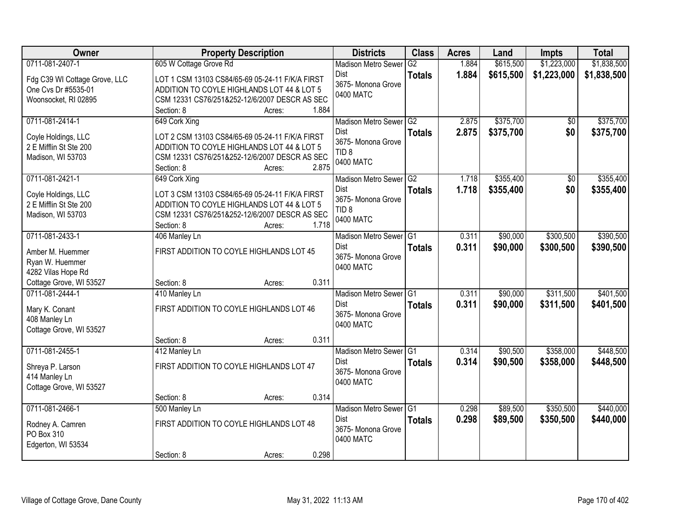| Owner                           | <b>Property Description</b>                     | <b>Districts</b>           | <b>Class</b>    | <b>Acres</b> | Land      | <b>Impts</b> | <b>Total</b> |
|---------------------------------|-------------------------------------------------|----------------------------|-----------------|--------------|-----------|--------------|--------------|
| 0711-081-2407-1                 | 605 W Cottage Grove Rd                          | <b>Madison Metro Sewer</b> | G2              | 1.884        | \$615,500 | \$1,223,000  | \$1,838,500  |
| Fdg C39 WI Cottage Grove, LLC   | LOT 1 CSM 13103 CS84/65-69 05-24-11 F/K/A FIRST | Dist                       | <b>Totals</b>   | 1.884        | \$615,500 | \$1,223,000  | \$1,838,500  |
| One Cvs Dr #5535-01             | ADDITION TO COYLE HIGHLANDS LOT 44 & LOT 5      | 3675- Monona Grove         |                 |              |           |              |              |
| Woonsocket, RI 02895            | CSM 12331 CS76/251&252-12/6/2007 DESCR AS SEC   | 0400 MATC                  |                 |              |           |              |              |
|                                 | 1.884<br>Section: 8<br>Acres:                   |                            |                 |              |           |              |              |
| 0711-081-2414-1                 | 649 Cork Xing                                   | <b>Madison Metro Sewer</b> | $\overline{G2}$ | 2.875        | \$375,700 | \$0          | \$375,700    |
| Coyle Holdings, LLC             | LOT 2 CSM 13103 CS84/65-69 05-24-11 F/K/A FIRST | Dist                       | <b>Totals</b>   | 2.875        | \$375,700 | \$0          | \$375,700    |
| 2 E Mifflin St Ste 200          | ADDITION TO COYLE HIGHLANDS LOT 44 & LOT 5      | 3675- Monona Grove         |                 |              |           |              |              |
| Madison, WI 53703               | CSM 12331 CS76/251&252-12/6/2007 DESCR AS SEC   | TID <sub>8</sub>           |                 |              |           |              |              |
|                                 | 2.875<br>Section: 8<br>Acres:                   | 0400 MATC                  |                 |              |           |              |              |
| 0711-081-2421-1                 | 649 Cork Xing                                   | Madison Metro Sewer G2     |                 | 1.718        | \$355,400 | \$0          | \$355,400    |
| Coyle Holdings, LLC             | LOT 3 CSM 13103 CS84/65-69 05-24-11 F/K/A FIRST | <b>Dist</b>                | <b>Totals</b>   | 1.718        | \$355,400 | \$0          | \$355,400    |
| 2 E Mifflin St Ste 200          | ADDITION TO COYLE HIGHLANDS LOT 44 & LOT 5      | 3675- Monona Grove         |                 |              |           |              |              |
| Madison, WI 53703               | CSM 12331 CS76/251&252-12/6/2007 DESCR AS SEC   | TID <sub>8</sub>           |                 |              |           |              |              |
|                                 | 1.718<br>Section: 8<br>Acres:                   | 0400 MATC                  |                 |              |           |              |              |
| 0711-081-2433-1                 | 406 Manley Ln                                   | Madison Metro Sewer G1     |                 | 0.311        | \$90,000  | \$300,500    | \$390,500    |
| Amber M. Huemmer                | FIRST ADDITION TO COYLE HIGHLANDS LOT 45        | <b>Dist</b>                | <b>Totals</b>   | 0.311        | \$90,000  | \$300,500    | \$390,500    |
| Ryan W. Huemmer                 |                                                 | 3675- Monona Grove         |                 |              |           |              |              |
| 4282 Vilas Hope Rd              |                                                 | 0400 MATC                  |                 |              |           |              |              |
| Cottage Grove, WI 53527         | 0.311<br>Section: 8<br>Acres:                   |                            |                 |              |           |              |              |
| 0711-081-2444-1                 | 410 Manley Ln                                   | <b>Madison Metro Sewer</b> | IG1             | 0.311        | \$90,000  | \$311,500    | \$401,500    |
|                                 | FIRST ADDITION TO COYLE HIGHLANDS LOT 46        | Dist                       | <b>Totals</b>   | 0.311        | \$90,000  | \$311,500    | \$401,500    |
| Mary K. Conant<br>408 Manley Ln |                                                 | 3675- Monona Grove         |                 |              |           |              |              |
| Cottage Grove, WI 53527         |                                                 | 0400 MATC                  |                 |              |           |              |              |
|                                 | 0.311<br>Section: 8<br>Acres:                   |                            |                 |              |           |              |              |
| 0711-081-2455-1                 | 412 Manley Ln                                   | Madison Metro Sewer G1     |                 | 0.314        | \$90,500  | \$358,000    | \$448,500    |
| Shreya P. Larson                | FIRST ADDITION TO COYLE HIGHLANDS LOT 47        | Dist                       | <b>Totals</b>   | 0.314        | \$90,500  | \$358,000    | \$448,500    |
| 414 Manley Ln                   |                                                 | 3675- Monona Grove         |                 |              |           |              |              |
| Cottage Grove, WI 53527         |                                                 | 0400 MATC                  |                 |              |           |              |              |
|                                 | 0.314<br>Section: 8<br>Acres:                   |                            |                 |              |           |              |              |
| 0711-081-2466-1                 | 500 Manley Ln                                   | Madison Metro Sewer G1     |                 | 0.298        | \$89,500  | \$350,500    | \$440,000    |
| Rodney A. Camren                | FIRST ADDITION TO COYLE HIGHLANDS LOT 48        | <b>Dist</b>                | <b>Totals</b>   | 0.298        | \$89,500  | \$350,500    | \$440,000    |
| PO Box 310                      |                                                 | 3675- Monona Grove         |                 |              |           |              |              |
| Edgerton, WI 53534              |                                                 | 0400 MATC                  |                 |              |           |              |              |
|                                 | 0.298<br>Section: 8<br>Acres:                   |                            |                 |              |           |              |              |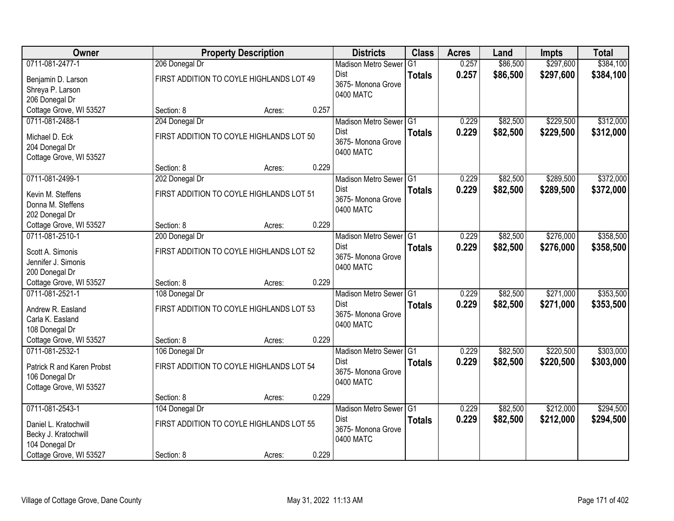| Owner                      |                | <b>Property Description</b>              |       | <b>Districts</b>                  | <b>Class</b>    | <b>Acres</b> | Land     | <b>Impts</b> | <b>Total</b> |
|----------------------------|----------------|------------------------------------------|-------|-----------------------------------|-----------------|--------------|----------|--------------|--------------|
| 0711-081-2477-1            | 206 Donegal Dr |                                          |       | <b>Madison Metro Sewer</b>        | $\overline{G1}$ | 0.257        | \$86,500 | \$297,600    | \$384,100    |
| Benjamin D. Larson         |                | FIRST ADDITION TO COYLE HIGHLANDS LOT 49 |       | Dist                              | <b>Totals</b>   | 0.257        | \$86,500 | \$297,600    | \$384,100    |
| Shreya P. Larson           |                |                                          |       | 3675- Monona Grove                |                 |              |          |              |              |
| 206 Donegal Dr             |                |                                          |       | 0400 MATC                         |                 |              |          |              |              |
| Cottage Grove, WI 53527    | Section: 8     | Acres:                                   | 0.257 |                                   |                 |              |          |              |              |
| 0711-081-2488-1            | 204 Donegal Dr |                                          |       | Madison Metro Sewer G1            |                 | 0.229        | \$82,500 | \$229,500    | \$312,000    |
| Michael D. Eck             |                | FIRST ADDITION TO COYLE HIGHLANDS LOT 50 |       | <b>Dist</b>                       | <b>Totals</b>   | 0.229        | \$82,500 | \$229,500    | \$312,000    |
| 204 Donegal Dr             |                |                                          |       | 3675- Monona Grove                |                 |              |          |              |              |
| Cottage Grove, WI 53527    |                |                                          |       | 0400 MATC                         |                 |              |          |              |              |
|                            | Section: 8     | Acres:                                   | 0.229 |                                   |                 |              |          |              |              |
| 0711-081-2499-1            | 202 Donegal Dr |                                          |       | Madison Metro Sewer G1            |                 | 0.229        | \$82,500 | \$289,500    | \$372,000    |
| Kevin M. Steffens          |                | FIRST ADDITION TO COYLE HIGHLANDS LOT 51 |       | <b>Dist</b>                       | <b>Totals</b>   | 0.229        | \$82,500 | \$289,500    | \$372,000    |
| Donna M. Steffens          |                |                                          |       | 3675- Monona Grove                |                 |              |          |              |              |
| 202 Donegal Dr             |                |                                          |       | 0400 MATC                         |                 |              |          |              |              |
| Cottage Grove, WI 53527    | Section: 8     | Acres:                                   | 0.229 |                                   |                 |              |          |              |              |
| 0711-081-2510-1            | 200 Donegal Dr |                                          |       | Madison Metro Sewer G1            |                 | 0.229        | \$82,500 | \$276,000    | \$358,500    |
| Scott A. Simonis           |                | FIRST ADDITION TO COYLE HIGHLANDS LOT 52 |       | <b>Dist</b>                       | <b>Totals</b>   | 0.229        | \$82,500 | \$276,000    | \$358,500    |
| Jennifer J. Simonis        |                |                                          |       | 3675- Monona Grove                |                 |              |          |              |              |
| 200 Donegal Dr             |                |                                          |       | 0400 MATC                         |                 |              |          |              |              |
| Cottage Grove, WI 53527    | Section: 8     | Acres:                                   | 0.229 |                                   |                 |              |          |              |              |
| 0711-081-2521-1            | 108 Donegal Dr |                                          |       | Madison Metro Sewer <sup>G1</sup> |                 | 0.229        | \$82,500 | \$271,000    | \$353,500    |
| Andrew R. Easland          |                | FIRST ADDITION TO COYLE HIGHLANDS LOT 53 |       | <b>Dist</b>                       | <b>Totals</b>   | 0.229        | \$82,500 | \$271,000    | \$353,500    |
| Carla K. Easland           |                |                                          |       | 3675- Monona Grove                |                 |              |          |              |              |
| 108 Donegal Dr             |                |                                          |       | 0400 MATC                         |                 |              |          |              |              |
| Cottage Grove, WI 53527    | Section: 8     | Acres:                                   | 0.229 |                                   |                 |              |          |              |              |
| 0711-081-2532-1            | 106 Donegal Dr |                                          |       | Madison Metro Sewer G1            |                 | 0.229        | \$82,500 | \$220,500    | \$303,000    |
| Patrick R and Karen Probst |                | FIRST ADDITION TO COYLE HIGHLANDS LOT 54 |       | Dist                              | <b>Totals</b>   | 0.229        | \$82,500 | \$220,500    | \$303,000    |
| 106 Donegal Dr             |                |                                          |       | 3675- Monona Grove                |                 |              |          |              |              |
| Cottage Grove, WI 53527    |                |                                          |       | 0400 MATC                         |                 |              |          |              |              |
|                            | Section: 8     | Acres:                                   | 0.229 |                                   |                 |              |          |              |              |
| 0711-081-2543-1            | 104 Donegal Dr |                                          |       | Madison Metro Sewer G1            |                 | 0.229        | \$82,500 | \$212,000    | \$294,500    |
| Daniel L. Kratochwill      |                | FIRST ADDITION TO COYLE HIGHLANDS LOT 55 |       | <b>Dist</b>                       | <b>Totals</b>   | 0.229        | \$82,500 | \$212,000    | \$294,500    |
| Becky J. Kratochwill       |                |                                          |       | 3675-Monona Grove                 |                 |              |          |              |              |
| 104 Donegal Dr             |                |                                          |       | 0400 MATC                         |                 |              |          |              |              |
| Cottage Grove, WI 53527    | Section: 8     | Acres:                                   | 0.229 |                                   |                 |              |          |              |              |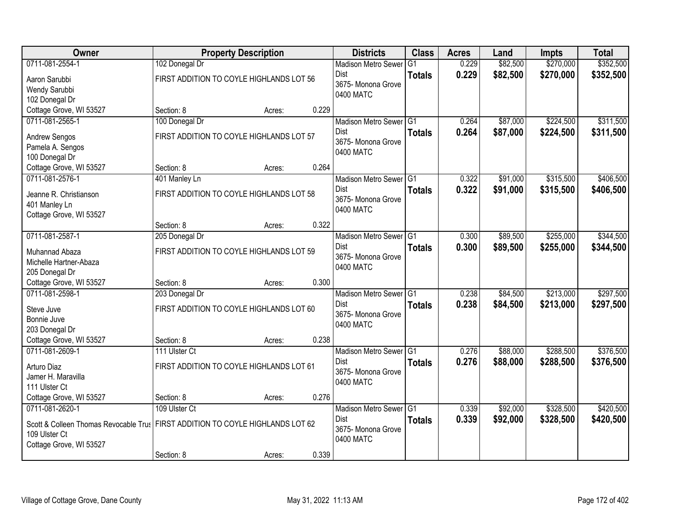| Owner                                                                                                |                                                            | <b>Property Description</b> |       | <b>Districts</b>                                                  | <b>Class</b>  | <b>Acres</b>   | Land                 | <b>Impts</b>           | <b>Total</b>           |
|------------------------------------------------------------------------------------------------------|------------------------------------------------------------|-----------------------------|-------|-------------------------------------------------------------------|---------------|----------------|----------------------|------------------------|------------------------|
| 0711-081-2554-1                                                                                      | 102 Donegal Dr                                             |                             |       | <b>Madison Metro Sewer</b>                                        | G1            | 0.229          | \$82,500             | \$270,000              | \$352,500              |
| Aaron Sarubbi<br>Wendy Sarubbi<br>102 Donegal Dr                                                     | FIRST ADDITION TO COYLE HIGHLANDS LOT 56                   |                             |       | <b>Dist</b><br>3675- Monona Grove<br>0400 MATC                    | <b>Totals</b> | 0.229          | \$82,500             | \$270,000              | \$352,500              |
| Cottage Grove, WI 53527                                                                              | Section: 8                                                 | Acres:                      | 0.229 |                                                                   |               |                |                      |                        |                        |
| 0711-081-2565-1                                                                                      | 100 Donegal Dr                                             |                             |       | Madison Metro Sewer G1                                            |               | 0.264          | \$87,000             | \$224,500              | \$311,500              |
| <b>Andrew Sengos</b><br>Pamela A. Sengos<br>100 Donegal Dr                                           | FIRST ADDITION TO COYLE HIGHLANDS LOT 57                   |                             |       | Dist<br>3675- Monona Grove<br>0400 MATC                           | <b>Totals</b> | 0.264          | \$87,000             | \$224,500              | \$311,500              |
| Cottage Grove, WI 53527                                                                              | Section: 8                                                 | Acres:                      | 0.264 |                                                                   |               |                |                      |                        |                        |
| 0711-081-2576-1                                                                                      | 401 Manley Ln                                              |                             |       | Madison Metro Sewer G1                                            |               | 0.322          | \$91,000             | \$315,500              | \$406,500              |
| Jeanne R. Christianson<br>401 Manley Ln<br>Cottage Grove, WI 53527                                   | FIRST ADDITION TO COYLE HIGHLANDS LOT 58                   |                             |       | <b>Dist</b><br>3675- Monona Grove<br>0400 MATC                    | <b>Totals</b> | 0.322          | \$91,000             | \$315,500              | \$406,500              |
|                                                                                                      | Section: 8                                                 | Acres:                      | 0.322 |                                                                   |               |                |                      |                        |                        |
| 0711-081-2587-1                                                                                      | 205 Donegal Dr                                             |                             |       | Madison Metro Sewer G1                                            |               | 0.300          | \$89,500             | \$255,000              | \$344,500              |
| Muhannad Abaza<br>Michelle Hartner-Abaza<br>205 Donegal Dr                                           | FIRST ADDITION TO COYLE HIGHLANDS LOT 59                   |                             |       | <b>Dist</b><br>3675- Monona Grove<br>0400 MATC                    | <b>Totals</b> | 0.300          | \$89,500             | \$255,000              | \$344,500              |
| Cottage Grove, WI 53527                                                                              | Section: 8                                                 | Acres:                      | 0.300 |                                                                   |               |                |                      |                        |                        |
| 0711-081-2598-1<br>Steve Juve<br>Bonnie Juve<br>203 Donegal Dr                                       | 203 Donegal Dr<br>FIRST ADDITION TO COYLE HIGHLANDS LOT 60 |                             |       | Madison Metro Sewer G1<br>Dist<br>3675- Monona Grove<br>0400 MATC | <b>Totals</b> | 0.238<br>0.238 | \$84,500<br>\$84,500 | \$213,000<br>\$213,000 | \$297,500<br>\$297,500 |
| Cottage Grove, WI 53527                                                                              | Section: 8                                                 | Acres:                      | 0.238 |                                                                   |               |                |                      |                        |                        |
| 0711-081-2609-1                                                                                      | 111 Ulster Ct                                              |                             |       | Madison Metro Sewer G1                                            |               | 0.276          | \$88,000             | \$288,500              | \$376,500              |
| Arturo Diaz<br>Jamer H. Maravilla<br>111 Ulster Ct                                                   | FIRST ADDITION TO COYLE HIGHLANDS LOT 61                   |                             |       | <b>Dist</b><br>3675- Monona Grove<br>0400 MATC                    | <b>Totals</b> | 0.276          | \$88,000             | \$288,500              | \$376,500              |
| Cottage Grove, WI 53527                                                                              | Section: 8                                                 | Acres:                      | 0.276 |                                                                   |               |                |                      |                        |                        |
| 0711-081-2620-1<br>Scott & Colleen Thomas Revocable Trus<br>109 Ulster Ct<br>Cottage Grove, WI 53527 | 109 Ulster Ct<br>FIRST ADDITION TO COYLE HIGHLANDS LOT 62  |                             |       | Madison Metro Sewer G1<br>Dist<br>3675- Monona Grove<br>0400 MATC | <b>Totals</b> | 0.339<br>0.339 | \$92,000<br>\$92,000 | \$328,500<br>\$328,500 | \$420,500<br>\$420,500 |
|                                                                                                      | Section: 8                                                 | Acres:                      | 0.339 |                                                                   |               |                |                      |                        |                        |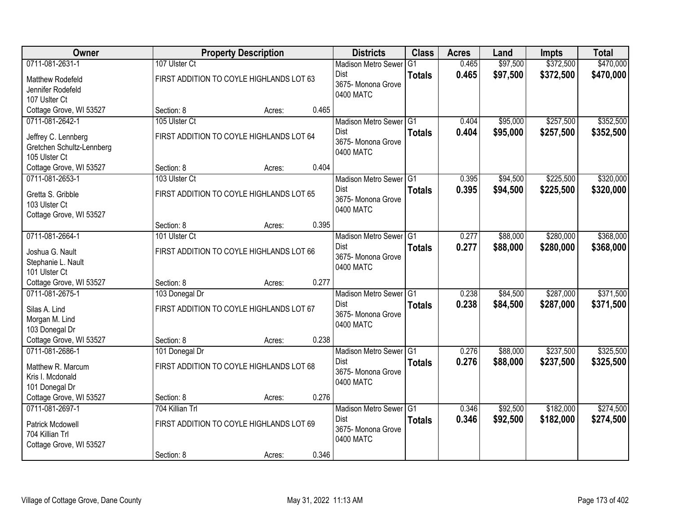| 0711-081-2631-1<br>Matthew Rodefeld<br>Jennifer Rodefeld<br>107 Uslter Ct            | 107 Ulster Ct<br>FIRST ADDITION TO COYLE HIGHLANDS LOT 63<br>Section: 8<br>105 Ulster Ct<br>FIRST ADDITION TO COYLE HIGHLANDS LOT 64 | Acres: | 0.465 | <b>Madison Metro Sewer</b><br>Dist<br>3675- Monona Grove<br>0400 MATC    | G <sub>1</sub><br><b>Totals</b> | 0.465<br>0.465 | \$97,500<br>\$97,500 | \$372,500<br>\$372,500 | \$470,000<br>\$470,000 |
|--------------------------------------------------------------------------------------|--------------------------------------------------------------------------------------------------------------------------------------|--------|-------|--------------------------------------------------------------------------|---------------------------------|----------------|----------------------|------------------------|------------------------|
|                                                                                      |                                                                                                                                      |        |       |                                                                          |                                 |                |                      |                        |                        |
|                                                                                      |                                                                                                                                      |        |       |                                                                          |                                 |                |                      |                        |                        |
| Cottage Grove, WI 53527                                                              |                                                                                                                                      |        |       |                                                                          |                                 |                |                      |                        |                        |
| 0711-081-2642-1<br>Jeffrey C. Lennberg<br>Gretchen Schultz-Lennberg<br>105 Ulster Ct |                                                                                                                                      |        |       | Madison Metro Sewer G1<br>Dist<br>3675- Monona Grove<br>0400 MATC        | <b>Totals</b>                   | 0.404<br>0.404 | \$95,000<br>\$95,000 | \$257,500<br>\$257,500 | \$352,500<br>\$352,500 |
| Cottage Grove, WI 53527                                                              | Section: 8                                                                                                                           | Acres: | 0.404 |                                                                          |                                 |                |                      |                        |                        |
| 0711-081-2653-1<br>Gretta S. Gribble<br>103 Ulster Ct<br>Cottage Grove, WI 53527     | 103 Ulster Ct<br>FIRST ADDITION TO COYLE HIGHLANDS LOT 65                                                                            |        |       | Madison Metro Sewer G1<br><b>Dist</b><br>3675- Monona Grove<br>0400 MATC | <b>Totals</b>                   | 0.395<br>0.395 | \$94,500<br>\$94,500 | \$225,500<br>\$225,500 | \$320,000<br>\$320,000 |
|                                                                                      | Section: 8                                                                                                                           | Acres: | 0.395 |                                                                          |                                 |                |                      |                        |                        |
| 0711-081-2664-1<br>Joshua G. Nault<br>Stephanie L. Nault<br>101 Ulster Ct            | 101 Ulster Ct<br>FIRST ADDITION TO COYLE HIGHLANDS LOT 66                                                                            |        |       | Madison Metro Sewer G1<br><b>Dist</b><br>3675- Monona Grove<br>0400 MATC | <b>Totals</b>                   | 0.277<br>0.277 | \$88,000<br>\$88,000 | \$280,000<br>\$280,000 | \$368,000<br>\$368,000 |
| Cottage Grove, WI 53527                                                              | Section: 8                                                                                                                           | Acres: | 0.277 |                                                                          |                                 |                |                      |                        |                        |
| 0711-081-2675-1<br>Silas A. Lind<br>Morgan M. Lind<br>103 Donegal Dr                 | 103 Donegal Dr<br>FIRST ADDITION TO COYLE HIGHLANDS LOT 67                                                                           |        |       | <b>Madison Metro Sewer</b><br>Dist<br>3675- Monona Grove<br>0400 MATC    | TG1<br><b>Totals</b>            | 0.238<br>0.238 | \$84,500<br>\$84,500 | \$287,000<br>\$287,000 | \$371,500<br>\$371,500 |
| Cottage Grove, WI 53527                                                              | Section: 8                                                                                                                           | Acres: | 0.238 |                                                                          |                                 |                |                      |                        |                        |
| 0711-081-2686-1<br>Matthew R. Marcum<br>Kris I. Mcdonald<br>101 Donegal Dr           | 101 Donegal Dr<br>FIRST ADDITION TO COYLE HIGHLANDS LOT 68                                                                           |        |       | Madison Metro Sewer G1<br><b>Dist</b><br>3675- Monona Grove<br>0400 MATC | <b>Totals</b>                   | 0.276<br>0.276 | \$88,000<br>\$88,000 | \$237,500<br>\$237,500 | \$325,500<br>\$325,500 |
| Cottage Grove, WI 53527                                                              | Section: 8                                                                                                                           | Acres: | 0.276 |                                                                          |                                 |                |                      |                        |                        |
| 0711-081-2697-1<br>Patrick Mcdowell<br>704 Killian Trl<br>Cottage Grove, WI 53527    | 704 Killian Trl<br>FIRST ADDITION TO COYLE HIGHLANDS LOT 69<br>Section: 8                                                            | Acres: | 0.346 | Madison Metro Sewer G1<br><b>Dist</b><br>3675- Monona Grove<br>0400 MATC | <b>Totals</b>                   | 0.346<br>0.346 | \$92,500<br>\$92,500 | \$182,000<br>\$182,000 | \$274,500<br>\$274,500 |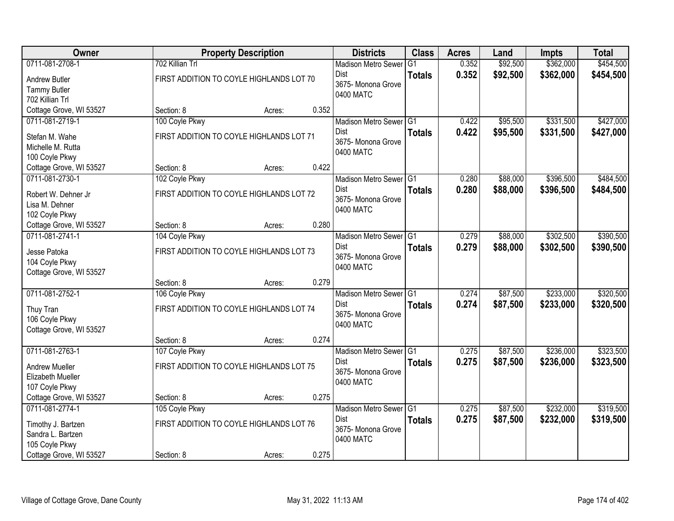| Owner                                |                                          | <b>Property Description</b> |       | <b>Districts</b>                        | <b>Class</b>   | <b>Acres</b> | Land     | <b>Impts</b> | <b>Total</b> |
|--------------------------------------|------------------------------------------|-----------------------------|-------|-----------------------------------------|----------------|--------------|----------|--------------|--------------|
| 0711-081-2708-1                      | 702 Killian Trl                          |                             |       | <b>Madison Metro Sewer</b>              | G <sub>1</sub> | 0.352        | \$92,500 | \$362,000    | \$454,500    |
| Andrew Butler<br><b>Tammy Butler</b> | FIRST ADDITION TO COYLE HIGHLANDS LOT 70 |                             |       | Dist<br>3675- Monona Grove<br>0400 MATC | <b>Totals</b>  | 0.352        | \$92,500 | \$362,000    | \$454,500    |
| 702 Killian Trl                      |                                          |                             |       |                                         |                |              |          |              |              |
| Cottage Grove, WI 53527              | Section: 8                               | Acres:                      | 0.352 |                                         |                |              |          |              |              |
| 0711-081-2719-1                      | 100 Coyle Pkwy                           |                             |       | Madison Metro Sewer G1                  |                | 0.422        | \$95,500 | \$331,500    | \$427,000    |
| Stefan M. Wahe                       | FIRST ADDITION TO COYLE HIGHLANDS LOT 71 |                             |       | Dist                                    | <b>Totals</b>  | 0.422        | \$95,500 | \$331,500    | \$427,000    |
| Michelle M. Rutta                    |                                          |                             |       | 3675- Monona Grove                      |                |              |          |              |              |
| 100 Coyle Pkwy                       |                                          |                             |       | 0400 MATC                               |                |              |          |              |              |
| Cottage Grove, WI 53527              | Section: 8                               | Acres:                      | 0.422 |                                         |                |              |          |              |              |
| 0711-081-2730-1                      | 102 Coyle Pkwy                           |                             |       | Madison Metro Sewer G1                  |                | 0.280        | \$88,000 | \$396,500    | \$484,500    |
| Robert W. Dehner Jr                  | FIRST ADDITION TO COYLE HIGHLANDS LOT 72 |                             |       | <b>Dist</b>                             | <b>Totals</b>  | 0.280        | \$88,000 | \$396,500    | \$484,500    |
| Lisa M. Dehner                       |                                          |                             |       | 3675- Monona Grove                      |                |              |          |              |              |
| 102 Coyle Pkwy                       |                                          |                             |       | 0400 MATC                               |                |              |          |              |              |
| Cottage Grove, WI 53527              | Section: 8                               | Acres:                      | 0.280 |                                         |                |              |          |              |              |
| 0711-081-2741-1                      | 104 Coyle Pkwy                           |                             |       | Madison Metro Sewer G1                  |                | 0.279        | \$88,000 | \$302,500    | \$390,500    |
| Jesse Patoka                         | FIRST ADDITION TO COYLE HIGHLANDS LOT 73 |                             |       | Dist                                    | <b>Totals</b>  | 0.279        | \$88,000 | \$302,500    | \$390,500    |
| 104 Coyle Pkwy                       |                                          |                             |       | 3675- Monona Grove                      |                |              |          |              |              |
| Cottage Grove, WI 53527              |                                          |                             |       | 0400 MATC                               |                |              |          |              |              |
|                                      | Section: 8                               | Acres:                      | 0.279 |                                         |                |              |          |              |              |
| 0711-081-2752-1                      | 106 Coyle Pkwy                           |                             |       | <b>Madison Metro Sewer</b>              | TG1            | 0.274        | \$87,500 | \$233,000    | \$320,500    |
|                                      | FIRST ADDITION TO COYLE HIGHLANDS LOT 74 |                             |       | Dist                                    | <b>Totals</b>  | 0.274        | \$87,500 | \$233,000    | \$320,500    |
| Thuy Tran<br>106 Coyle Pkwy          |                                          |                             |       | 3675- Monona Grove                      |                |              |          |              |              |
| Cottage Grove, WI 53527              |                                          |                             |       | 0400 MATC                               |                |              |          |              |              |
|                                      | Section: 8                               | Acres:                      | 0.274 |                                         |                |              |          |              |              |
| 0711-081-2763-1                      | 107 Coyle Pkwy                           |                             |       | Madison Metro Sewer G1                  |                | 0.275        | \$87,500 | \$236,000    | \$323,500    |
| <b>Andrew Mueller</b>                | FIRST ADDITION TO COYLE HIGHLANDS LOT 75 |                             |       | <b>Dist</b>                             | <b>Totals</b>  | 0.275        | \$87,500 | \$236,000    | \$323,500    |
| Elizabeth Mueller                    |                                          |                             |       | 3675- Monona Grove                      |                |              |          |              |              |
| 107 Coyle Pkwy                       |                                          |                             |       | 0400 MATC                               |                |              |          |              |              |
| Cottage Grove, WI 53527              | Section: 8                               | Acres:                      | 0.275 |                                         |                |              |          |              |              |
| 0711-081-2774-1                      | 105 Coyle Pkwy                           |                             |       | Madison Metro Sewer G1                  |                | 0.275        | \$87,500 | \$232,000    | \$319,500    |
| Timothy J. Bartzen                   | FIRST ADDITION TO COYLE HIGHLANDS LOT 76 |                             |       | Dist                                    | <b>Totals</b>  | 0.275        | \$87,500 | \$232,000    | \$319,500    |
| Sandra L. Bartzen                    |                                          |                             |       | 3675- Monona Grove                      |                |              |          |              |              |
| 105 Coyle Pkwy                       |                                          |                             |       | 0400 MATC                               |                |              |          |              |              |
| Cottage Grove, WI 53527              | Section: 8                               | Acres:                      | 0.275 |                                         |                |              |          |              |              |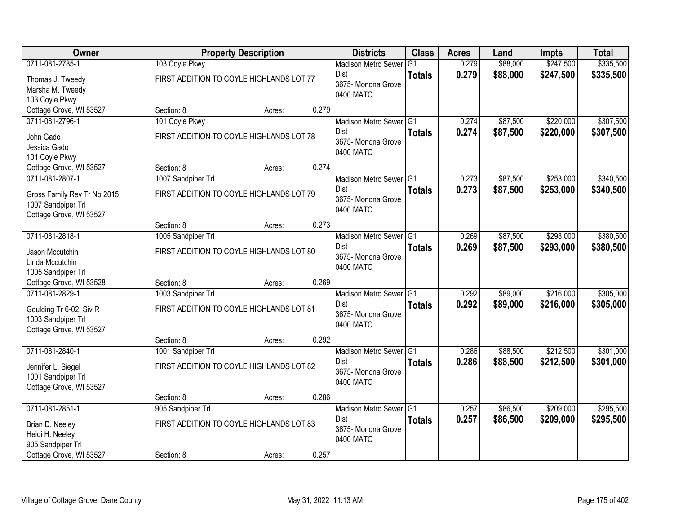| Owner                                                                                       |                                                                | <b>Property Description</b> |       | <b>Districts</b>                                                         | <b>Class</b>  | <b>Acres</b>   | Land                 | <b>Impts</b>           | <b>Total</b>           |
|---------------------------------------------------------------------------------------------|----------------------------------------------------------------|-----------------------------|-------|--------------------------------------------------------------------------|---------------|----------------|----------------------|------------------------|------------------------|
| 0711-081-2785-1                                                                             | 103 Coyle Pkwy                                                 |                             |       | <b>Madison Metro Sewer</b>                                               | G1            | 0.279          | \$88,000             | \$247,500              | \$335,500              |
| Thomas J. Tweedy<br>Marsha M. Tweedy<br>103 Coyle Pkwy                                      | FIRST ADDITION TO COYLE HIGHLANDS LOT 77                       |                             |       | Dist<br>3675- Monona Grove<br>0400 MATC                                  | <b>Totals</b> | 0.279          | \$88,000             | \$247,500              | \$335,500              |
| Cottage Grove, WI 53527                                                                     | Section: 8                                                     | Acres:                      | 0.279 |                                                                          |               |                |                      |                        |                        |
| 0711-081-2796-1                                                                             | 101 Coyle Pkwy                                                 |                             |       | Madison Metro Sewer G1                                                   |               | 0.274          | \$87,500             | \$220,000              | \$307,500              |
| John Gado<br>Jessica Gado<br>101 Coyle Pkwy                                                 | FIRST ADDITION TO COYLE HIGHLANDS LOT 78                       |                             |       | Dist<br>3675- Monona Grove<br>0400 MATC                                  | <b>Totals</b> | 0.274          | \$87,500             | \$220,000              | \$307,500              |
| Cottage Grove, WI 53527                                                                     | Section: 8                                                     | Acres:                      | 0.274 |                                                                          |               |                |                      |                        |                        |
| 0711-081-2807-1                                                                             | 1007 Sandpiper Trl                                             |                             |       | Madison Metro Sewer G1                                                   |               | 0.273          | \$87,500             | \$253,000              | \$340,500              |
| Gross Family Rev Tr No 2015<br>1007 Sandpiper Trl<br>Cottage Grove, WI 53527                | FIRST ADDITION TO COYLE HIGHLANDS LOT 79                       |                             |       | Dist<br>3675- Monona Grove<br>0400 MATC                                  | <b>Totals</b> | 0.273          | \$87,500             | \$253,000              | \$340,500              |
|                                                                                             | Section: 8                                                     | Acres:                      | 0.273 |                                                                          |               |                |                      |                        |                        |
| 0711-081-2818-1                                                                             | 1005 Sandpiper Trl                                             |                             |       | Madison Metro Sewer G1                                                   |               | 0.269          | \$87,500             | \$293,000              | \$380,500              |
| Jason Mccutchin<br>Linda Mccutchin<br>1005 Sandpiper Trl                                    | FIRST ADDITION TO COYLE HIGHLANDS LOT 80                       |                             |       | <b>Dist</b><br>3675- Monona Grove<br>0400 MATC                           | <b>Totals</b> | 0.269          | \$87,500             | \$293,000              | \$380,500              |
| Cottage Grove, WI 53528                                                                     | Section: 8                                                     | Acres:                      | 0.269 |                                                                          |               |                |                      |                        |                        |
| 0711-081-2829-1<br>Goulding Tr 6-02, Siv R<br>1003 Sandpiper Trl<br>Cottage Grove, WI 53527 | 1003 Sandpiper Trl<br>FIRST ADDITION TO COYLE HIGHLANDS LOT 81 |                             |       | Madison Metro Sewer G1<br><b>Dist</b><br>3675- Monona Grove<br>0400 MATC | <b>Totals</b> | 0.292<br>0.292 | \$89,000<br>\$89,000 | \$216,000<br>\$216,000 | \$305,000<br>\$305,000 |
|                                                                                             | Section: 8                                                     | Acres:                      | 0.292 |                                                                          |               |                |                      |                        |                        |
| 0711-081-2840-1                                                                             | 1001 Sandpiper Trl                                             |                             |       | Madison Metro Sewer G1                                                   |               | 0.286          | \$88,500             | \$212,500              | \$301,000              |
| Jennifer L. Siegel<br>1001 Sandpiper Trl<br>Cottage Grove, WI 53527                         | FIRST ADDITION TO COYLE HIGHLANDS LOT 82                       |                             |       | Dist<br>3675- Monona Grove<br>0400 MATC                                  | <b>Totals</b> | 0.286          | \$88,500             | \$212,500              | \$301,000              |
|                                                                                             | Section: 8                                                     | Acres:                      | 0.286 |                                                                          |               |                |                      |                        |                        |
| 0711-081-2851-1                                                                             | 905 Sandpiper Trl                                              |                             |       | Madison Metro Sewer G1                                                   |               | 0.257          | \$86,500             | \$209,000              | \$295,500              |
| Brian D. Neeley<br>Heidi H. Neeley<br>905 Sandpiper Trl                                     | FIRST ADDITION TO COYLE HIGHLANDS LOT 83                       |                             |       | <b>Dist</b><br>3675- Monona Grove<br>0400 MATC                           | <b>Totals</b> | 0.257          | \$86,500             | \$209,000              | \$295,500              |
| Cottage Grove, WI 53527                                                                     | Section: 8                                                     | Acres:                      | 0.257 |                                                                          |               |                |                      |                        |                        |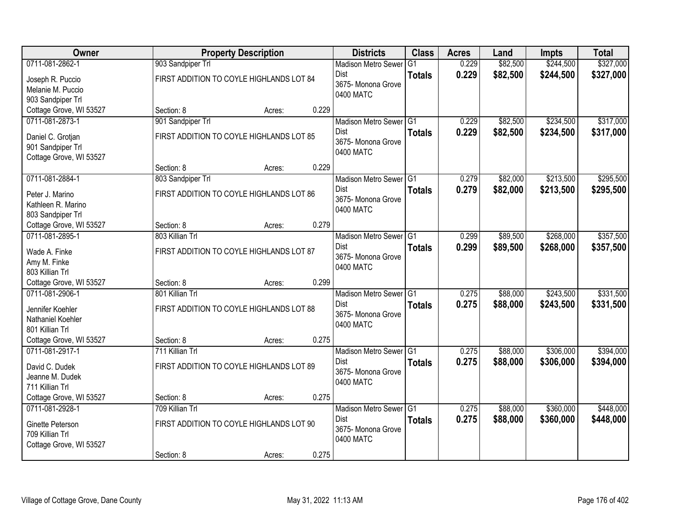| Owner                   |                   | <b>Property Description</b>              |       | <b>Districts</b>                  | <b>Class</b>  | <b>Acres</b> | Land     | <b>Impts</b> | <b>Total</b> |
|-------------------------|-------------------|------------------------------------------|-------|-----------------------------------|---------------|--------------|----------|--------------|--------------|
| 0711-081-2862-1         | 903 Sandpiper Trl |                                          |       | <b>Madison Metro Sewer</b>        | G1            | 0.229        | \$82,500 | \$244,500    | \$327,000    |
| Joseph R. Puccio        |                   | FIRST ADDITION TO COYLE HIGHLANDS LOT 84 |       | Dist                              | <b>Totals</b> | 0.229        | \$82,500 | \$244,500    | \$327,000    |
| Melanie M. Puccio       |                   |                                          |       | 3675- Monona Grove                |               |              |          |              |              |
| 903 Sandpiper Trl       |                   |                                          |       | 0400 MATC                         |               |              |          |              |              |
| Cottage Grove, WI 53527 | Section: 8        | Acres:                                   | 0.229 |                                   |               |              |          |              |              |
| 0711-081-2873-1         | 901 Sandpiper Trl |                                          |       | Madison Metro Sewer G1            |               | 0.229        | \$82,500 | \$234,500    | \$317,000    |
| Daniel C. Grotjan       |                   | FIRST ADDITION TO COYLE HIGHLANDS LOT 85 |       | <b>Dist</b>                       | <b>Totals</b> | 0.229        | \$82,500 | \$234,500    | \$317,000    |
| 901 Sandpiper Trl       |                   |                                          |       | 3675- Monona Grove<br>0400 MATC   |               |              |          |              |              |
| Cottage Grove, WI 53527 |                   |                                          |       |                                   |               |              |          |              |              |
|                         | Section: 8        | Acres:                                   | 0.229 |                                   |               |              |          |              |              |
| 0711-081-2884-1         | 803 Sandpiper Trl |                                          |       | Madison Metro Sewer G1            |               | 0.279        | \$82,000 | \$213,500    | \$295,500    |
| Peter J. Marino         |                   | FIRST ADDITION TO COYLE HIGHLANDS LOT 86 |       | Dist                              | <b>Totals</b> | 0.279        | \$82,000 | \$213,500    | \$295,500    |
| Kathleen R. Marino      |                   |                                          |       | 3675- Monona Grove<br>0400 MATC   |               |              |          |              |              |
| 803 Sandpiper Trl       |                   |                                          |       |                                   |               |              |          |              |              |
| Cottage Grove, WI 53527 | Section: 8        | Acres:                                   | 0.279 |                                   |               |              |          |              |              |
| 0711-081-2895-1         | 803 Killian Trl   |                                          |       | Madison Metro Sewer G1            |               | 0.299        | \$89,500 | \$268,000    | \$357,500    |
| Wade A. Finke           |                   | FIRST ADDITION TO COYLE HIGHLANDS LOT 87 |       | Dist                              | <b>Totals</b> | 0.299        | \$89,500 | \$268,000    | \$357,500    |
| Amy M. Finke            |                   |                                          |       | 3675- Monona Grove<br>0400 MATC   |               |              |          |              |              |
| 803 Killian Trl         |                   |                                          |       |                                   |               |              |          |              |              |
| Cottage Grove, WI 53527 | Section: 8        | Acres:                                   | 0.299 |                                   |               |              |          |              |              |
| 0711-081-2906-1         | 801 Killian Trl   |                                          |       | Madison Metro Sewer G1            |               | 0.275        | \$88,000 | \$243,500    | \$331,500    |
| Jennifer Koehler        |                   | FIRST ADDITION TO COYLE HIGHLANDS LOT 88 |       | <b>Dist</b>                       | <b>Totals</b> | 0.275        | \$88,000 | \$243,500    | \$331,500    |
| Nathaniel Koehler       |                   |                                          |       | 3675- Monona Grove<br>0400 MATC   |               |              |          |              |              |
| 801 Killian Trl         |                   |                                          |       |                                   |               |              |          |              |              |
| Cottage Grove, WI 53527 | Section: 8        | Acres:                                   | 0.275 |                                   |               |              |          |              |              |
| 0711-081-2917-1         | 711 Killian Trl   |                                          |       | Madison Metro Sewer G1            |               | 0.275        | \$88,000 | \$306,000    | \$394,000    |
| David C. Dudek          |                   | FIRST ADDITION TO COYLE HIGHLANDS LOT 89 |       | Dist<br>3675- Monona Grove        | <b>Totals</b> | 0.275        | \$88,000 | \$306,000    | \$394,000    |
| Jeanne M. Dudek         |                   |                                          |       | 0400 MATC                         |               |              |          |              |              |
| 711 Killian Trl         |                   |                                          |       |                                   |               |              |          |              |              |
| Cottage Grove, WI 53527 | Section: 8        | Acres:                                   | 0.275 |                                   |               |              |          |              |              |
| 0711-081-2928-1         | 709 Killian Trl   |                                          |       | Madison Metro Sewer G1            |               | 0.275        | \$88,000 | \$360,000    | \$448,000    |
| Ginette Peterson        |                   | FIRST ADDITION TO COYLE HIGHLANDS LOT 90 |       | <b>Dist</b><br>3675- Monona Grove | <b>Totals</b> | 0.275        | \$88,000 | \$360,000    | \$448,000    |
| 709 Killian Trl         |                   |                                          |       | 0400 MATC                         |               |              |          |              |              |
| Cottage Grove, WI 53527 |                   |                                          |       |                                   |               |              |          |              |              |
|                         | Section: 8        | Acres:                                   | 0.275 |                                   |               |              |          |              |              |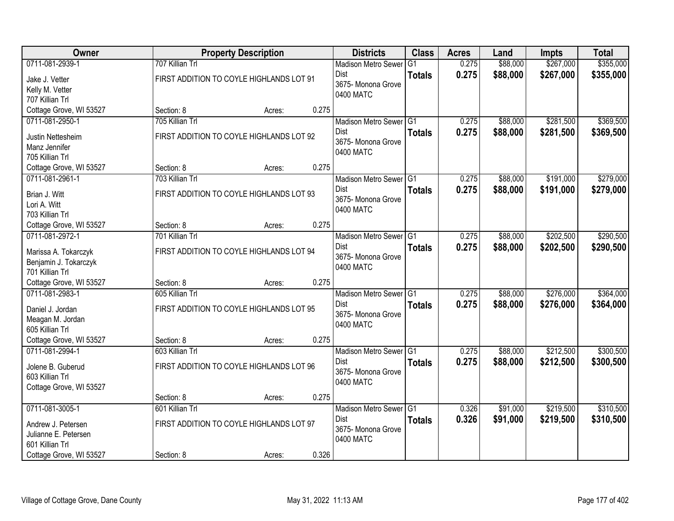| <b>Owner</b>                                  |                               | <b>Property Description</b>              |       | <b>Districts</b>                | <b>Class</b>  | <b>Acres</b> | Land     | <b>Impts</b> | <b>Total</b> |
|-----------------------------------------------|-------------------------------|------------------------------------------|-------|---------------------------------|---------------|--------------|----------|--------------|--------------|
| 0711-081-2939-1                               | 707 Killian Trl               |                                          |       | <b>Madison Metro Sewer</b>      | G1            | 0.275        | \$88,000 | \$267,000    | \$355,000    |
| Jake J. Vetter                                |                               | FIRST ADDITION TO COYLE HIGHLANDS LOT 91 |       | Dist<br>3675- Monona Grove      | <b>Totals</b> | 0.275        | \$88,000 | \$267,000    | \$355,000    |
| Kelly M. Vetter                               |                               |                                          |       | 0400 MATC                       |               |              |          |              |              |
| 707 Killian Trl                               |                               |                                          |       |                                 |               |              |          |              |              |
| Cottage Grove, WI 53527<br>0711-081-2950-1    | Section: 8<br>705 Killian Trl | Acres:                                   | 0.275 | Madison Metro Sewer G1          |               | 0.275        | \$88,000 | \$281,500    | \$369,500    |
|                                               |                               |                                          |       | Dist                            | <b>Totals</b> | 0.275        | \$88,000 | \$281,500    | \$369,500    |
| Justin Nettesheim                             |                               | FIRST ADDITION TO COYLE HIGHLANDS LOT 92 |       | 3675- Monona Grove              |               |              |          |              |              |
| Manz Jennifer                                 |                               |                                          |       | 0400 MATC                       |               |              |          |              |              |
| 705 Killian Trl<br>Cottage Grove, WI 53527    | Section: 8                    | Acres:                                   | 0.275 |                                 |               |              |          |              |              |
| 0711-081-2961-1                               | 703 Killian Trl               |                                          |       | Madison Metro Sewer G1          |               | 0.275        | \$88,000 | \$191,000    | \$279,000    |
|                                               |                               |                                          |       | <b>Dist</b>                     | <b>Totals</b> | 0.275        | \$88,000 | \$191,000    | \$279,000    |
| Brian J. Witt                                 |                               | FIRST ADDITION TO COYLE HIGHLANDS LOT 93 |       | 3675- Monona Grove              |               |              |          |              |              |
| Lori A. Witt<br>703 Killian Trl               |                               |                                          |       | 0400 MATC                       |               |              |          |              |              |
| Cottage Grove, WI 53527                       | Section: 8                    | Acres:                                   | 0.275 |                                 |               |              |          |              |              |
| 0711-081-2972-1                               | 701 Killian Trl               |                                          |       | Madison Metro Sewer G1          |               | 0.275        | \$88,000 | \$202,500    | \$290,500    |
|                                               |                               | FIRST ADDITION TO COYLE HIGHLANDS LOT 94 |       | <b>Dist</b>                     | <b>Totals</b> | 0.275        | \$88,000 | \$202,500    | \$290,500    |
| Marissa A. Tokarczyk<br>Benjamin J. Tokarczyk |                               |                                          |       | 3675- Monona Grove              |               |              |          |              |              |
| 701 Killian Trl                               |                               |                                          |       | 0400 MATC                       |               |              |          |              |              |
| Cottage Grove, WI 53527                       | Section: 8                    | Acres:                                   | 0.275 |                                 |               |              |          |              |              |
| 0711-081-2983-1                               | 605 Killian Trl               |                                          |       | Madison Metro Sewer G1          |               | 0.275        | \$88,000 | \$276,000    | \$364,000    |
| Daniel J. Jordan                              |                               | FIRST ADDITION TO COYLE HIGHLANDS LOT 95 |       | Dist                            | <b>Totals</b> | 0.275        | \$88,000 | \$276,000    | \$364,000    |
| Meagan M. Jordan                              |                               |                                          |       | 3675- Monona Grove              |               |              |          |              |              |
| 605 Killian Trl                               |                               |                                          |       | 0400 MATC                       |               |              |          |              |              |
| Cottage Grove, WI 53527                       | Section: 8                    | Acres:                                   | 0.275 |                                 |               |              |          |              |              |
| 0711-081-2994-1                               | 603 Killian Trl               |                                          |       | Madison Metro Sewer G1          |               | 0.275        | \$88,000 | \$212,500    | \$300,500    |
| Jolene B. Guberud                             |                               | FIRST ADDITION TO COYLE HIGHLANDS LOT 96 |       | Dist                            | <b>Totals</b> | 0.275        | \$88,000 | \$212,500    | \$300,500    |
| 603 Killian Trl                               |                               |                                          |       | 3675- Monona Grove<br>0400 MATC |               |              |          |              |              |
| Cottage Grove, WI 53527                       |                               |                                          |       |                                 |               |              |          |              |              |
|                                               | Section: 8                    | Acres:                                   | 0.275 |                                 |               |              |          |              |              |
| 0711-081-3005-1                               | 601 Killian Trl               |                                          |       | Madison Metro Sewer G1          |               | 0.326        | \$91,000 | \$219,500    | \$310,500    |
| Andrew J. Petersen                            |                               | FIRST ADDITION TO COYLE HIGHLANDS LOT 97 |       | Dist<br>3675- Monona Grove      | <b>Totals</b> | 0.326        | \$91,000 | \$219,500    | \$310,500    |
| Julianne E. Petersen                          |                               |                                          |       | 0400 MATC                       |               |              |          |              |              |
| 601 Killian Trl                               |                               |                                          |       |                                 |               |              |          |              |              |
| Cottage Grove, WI 53527                       | Section: 8                    | Acres:                                   | 0.326 |                                 |               |              |          |              |              |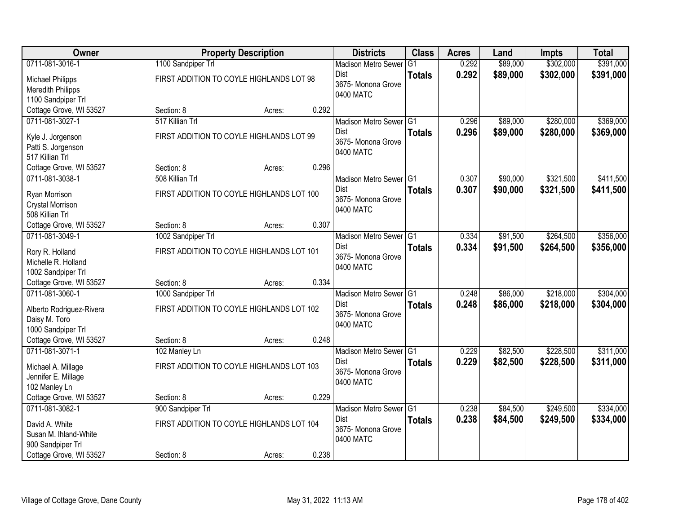| Owner                    |                    | <b>Property Description</b>               |       | <b>Districts</b>           | <b>Class</b>  | <b>Acres</b> | Land     | <b>Impts</b> | <b>Total</b> |
|--------------------------|--------------------|-------------------------------------------|-------|----------------------------|---------------|--------------|----------|--------------|--------------|
| 0711-081-3016-1          | 1100 Sandpiper Trl |                                           |       | <b>Madison Metro Sewer</b> | G1            | 0.292        | \$89,000 | \$302,000    | \$391,000    |
| <b>Michael Philipps</b>  |                    | FIRST ADDITION TO COYLE HIGHLANDS LOT 98  |       | Dist                       | <b>Totals</b> | 0.292        | \$89,000 | \$302,000    | \$391,000    |
| <b>Meredith Philipps</b> |                    |                                           |       | 3675- Monona Grove         |               |              |          |              |              |
| 1100 Sandpiper Trl       |                    |                                           |       | 0400 MATC                  |               |              |          |              |              |
| Cottage Grove, WI 53527  | Section: 8         | Acres:                                    | 0.292 |                            |               |              |          |              |              |
| 0711-081-3027-1          | 517 Killian Trl    |                                           |       | Madison Metro Sewer G1     |               | 0.296        | \$89,000 | \$280,000    | \$369,000    |
| Kyle J. Jorgenson        |                    | FIRST ADDITION TO COYLE HIGHLANDS LOT 99  |       | <b>Dist</b>                | <b>Totals</b> | 0.296        | \$89,000 | \$280,000    | \$369,000    |
| Patti S. Jorgenson       |                    |                                           |       | 3675- Monona Grove         |               |              |          |              |              |
| 517 Killian Trl          |                    |                                           |       | 0400 MATC                  |               |              |          |              |              |
| Cottage Grove, WI 53527  | Section: 8         | Acres:                                    | 0.296 |                            |               |              |          |              |              |
| 0711-081-3038-1          | 508 Killian Trl    |                                           |       | Madison Metro Sewer G1     |               | 0.307        | \$90,000 | \$321,500    | \$411,500    |
| Ryan Morrison            |                    | FIRST ADDITION TO COYLE HIGHLANDS LOT 100 |       | Dist                       | <b>Totals</b> | 0.307        | \$90,000 | \$321,500    | \$411,500    |
| Crystal Morrison         |                    |                                           |       | 3675- Monona Grove         |               |              |          |              |              |
| 508 Killian Trl          |                    |                                           |       | 0400 MATC                  |               |              |          |              |              |
| Cottage Grove, WI 53527  | Section: 8         | Acres:                                    | 0.307 |                            |               |              |          |              |              |
| 0711-081-3049-1          | 1002 Sandpiper Trl |                                           |       | Madison Metro Sewer G1     |               | 0.334        | \$91,500 | \$264,500    | \$356,000    |
| Rory R. Holland          |                    | FIRST ADDITION TO COYLE HIGHLANDS LOT 101 |       | Dist                       | <b>Totals</b> | 0.334        | \$91,500 | \$264,500    | \$356,000    |
| Michelle R. Holland      |                    |                                           |       | 3675- Monona Grove         |               |              |          |              |              |
| 1002 Sandpiper Trl       |                    |                                           |       | 0400 MATC                  |               |              |          |              |              |
| Cottage Grove, WI 53527  | Section: 8         | Acres:                                    | 0.334 |                            |               |              |          |              |              |
| 0711-081-3060-1          | 1000 Sandpiper Trl |                                           |       | Madison Metro Sewer G1     |               | 0.248        | \$86,000 | \$218,000    | \$304,000    |
| Alberto Rodriguez-Rivera |                    | FIRST ADDITION TO COYLE HIGHLANDS LOT 102 |       | <b>Dist</b>                | <b>Totals</b> | 0.248        | \$86,000 | \$218,000    | \$304,000    |
| Daisy M. Toro            |                    |                                           |       | 3675- Monona Grove         |               |              |          |              |              |
| 1000 Sandpiper Trl       |                    |                                           |       | 0400 MATC                  |               |              |          |              |              |
| Cottage Grove, WI 53527  | Section: 8         | Acres:                                    | 0.248 |                            |               |              |          |              |              |
| 0711-081-3071-1          | 102 Manley Ln      |                                           |       | Madison Metro Sewer G1     |               | 0.229        | \$82,500 | \$228,500    | \$311,000    |
| Michael A. Millage       |                    | FIRST ADDITION TO COYLE HIGHLANDS LOT 103 |       | Dist                       | <b>Totals</b> | 0.229        | \$82,500 | \$228,500    | \$311,000    |
| Jennifer E. Millage      |                    |                                           |       | 3675- Monona Grove         |               |              |          |              |              |
| 102 Manley Ln            |                    |                                           |       | 0400 MATC                  |               |              |          |              |              |
| Cottage Grove, WI 53527  | Section: 8         | Acres:                                    | 0.229 |                            |               |              |          |              |              |
| 0711-081-3082-1          | 900 Sandpiper Trl  |                                           |       | Madison Metro Sewer G1     |               | 0.238        | \$84,500 | \$249,500    | \$334,000    |
| David A. White           |                    | FIRST ADDITION TO COYLE HIGHLANDS LOT 104 |       | <b>Dist</b>                | <b>Totals</b> | 0.238        | \$84,500 | \$249,500    | \$334,000    |
| Susan M. Ihland-White    |                    |                                           |       | 3675-Monona Grove          |               |              |          |              |              |
| 900 Sandpiper Trl        |                    |                                           |       | 0400 MATC                  |               |              |          |              |              |
| Cottage Grove, WI 53527  | Section: 8         | Acres:                                    | 0.238 |                            |               |              |          |              |              |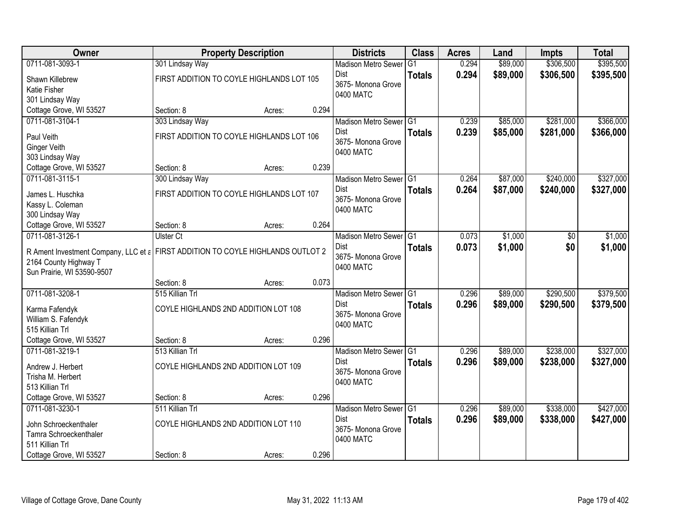| Owner                                                                                                    |                                           | <b>Property Description</b> |       | <b>Districts</b>           | <b>Class</b>  | <b>Acres</b> | Land     | <b>Impts</b> | <b>Total</b> |
|----------------------------------------------------------------------------------------------------------|-------------------------------------------|-----------------------------|-------|----------------------------|---------------|--------------|----------|--------------|--------------|
| 0711-081-3093-1                                                                                          | 301 Lindsay Way                           |                             |       | <b>Madison Metro Sewer</b> | G1            | 0.294        | \$89,000 | \$306,500    | \$395,500    |
| Shawn Killebrew                                                                                          | FIRST ADDITION TO COYLE HIGHLANDS LOT 105 |                             |       | Dist                       | <b>Totals</b> | 0.294        | \$89,000 | \$306,500    | \$395,500    |
| Katie Fisher                                                                                             |                                           |                             |       | 3675- Monona Grove         |               |              |          |              |              |
| 301 Lindsay Way                                                                                          |                                           |                             |       | 0400 MATC                  |               |              |          |              |              |
| Cottage Grove, WI 53527                                                                                  | Section: 8                                | Acres:                      | 0.294 |                            |               |              |          |              |              |
| 0711-081-3104-1                                                                                          | 303 Lindsay Way                           |                             |       | Madison Metro Sewer G1     |               | 0.239        | \$85,000 | \$281,000    | \$366,000    |
| Paul Veith                                                                                               | FIRST ADDITION TO COYLE HIGHLANDS LOT 106 |                             |       | Dist                       | <b>Totals</b> | 0.239        | \$85,000 | \$281,000    | \$366,000    |
| <b>Ginger Veith</b>                                                                                      |                                           |                             |       | 3675- Monona Grove         |               |              |          |              |              |
| 303 Lindsay Way                                                                                          |                                           |                             |       | 0400 MATC                  |               |              |          |              |              |
| Cottage Grove, WI 53527                                                                                  | Section: 8                                | Acres:                      | 0.239 |                            |               |              |          |              |              |
| 0711-081-3115-1                                                                                          | 300 Lindsay Way                           |                             |       | Madison Metro Sewer G1     |               | 0.264        | \$87,000 | \$240,000    | \$327,000    |
| James L. Huschka                                                                                         | FIRST ADDITION TO COYLE HIGHLANDS LOT 107 |                             |       | <b>Dist</b>                | <b>Totals</b> | 0.264        | \$87,000 | \$240,000    | \$327,000    |
| Kassy L. Coleman                                                                                         |                                           |                             |       | 3675- Monona Grove         |               |              |          |              |              |
| 300 Lindsay Way                                                                                          |                                           |                             |       | 0400 MATC                  |               |              |          |              |              |
| Cottage Grove, WI 53527                                                                                  | Section: 8                                | Acres:                      | 0.264 |                            |               |              |          |              |              |
| 0711-081-3126-1                                                                                          | <b>Ulster Ct</b>                          |                             |       | Madison Metro Sewer G1     |               | 0.073        | \$1,000  | $\sqrt[6]{}$ | \$1,000      |
|                                                                                                          |                                           |                             |       | Dist                       | <b>Totals</b> | 0.073        | \$1,000  | \$0          | \$1,000      |
| R Ament Investment Company, LLC et a FIRST ADDITION TO COYLE HIGHLANDS OUTLOT 2<br>2164 County Highway T |                                           |                             |       | 3675- Monona Grove         |               |              |          |              |              |
| Sun Prairie, WI 53590-9507                                                                               |                                           |                             |       | 0400 MATC                  |               |              |          |              |              |
|                                                                                                          | Section: 8                                | Acres:                      | 0.073 |                            |               |              |          |              |              |
| 0711-081-3208-1                                                                                          | 515 Killian Trl                           |                             |       | <b>Madison Metro Sewer</b> | TG1           | 0.296        | \$89,000 | \$290,500    | \$379,500    |
|                                                                                                          |                                           |                             |       | Dist                       | <b>Totals</b> | 0.296        | \$89,000 | \$290,500    | \$379,500    |
| Karma Fafendyk                                                                                           | COYLE HIGHLANDS 2ND ADDITION LOT 108      |                             |       | 3675- Monona Grove         |               |              |          |              |              |
| William S. Fafendyk<br>515 Killian Trl                                                                   |                                           |                             |       | 0400 MATC                  |               |              |          |              |              |
| Cottage Grove, WI 53527                                                                                  | Section: 8                                | Acres:                      | 0.296 |                            |               |              |          |              |              |
| 0711-081-3219-1                                                                                          | 513 Killian Trl                           |                             |       | Madison Metro Sewer G1     |               | 0.296        | \$89,000 | \$238,000    | \$327,000    |
|                                                                                                          |                                           |                             |       | Dist                       | <b>Totals</b> | 0.296        | \$89,000 | \$238,000    | \$327,000    |
| Andrew J. Herbert                                                                                        | COYLE HIGHLANDS 2ND ADDITION LOT 109      |                             |       | 3675- Monona Grove         |               |              |          |              |              |
| Trisha M. Herbert<br>513 Killian Trl                                                                     |                                           |                             |       | 0400 MATC                  |               |              |          |              |              |
| Cottage Grove, WI 53527                                                                                  | Section: 8                                | Acres:                      | 0.296 |                            |               |              |          |              |              |
| 0711-081-3230-1                                                                                          | 511 Killian Trl                           |                             |       | Madison Metro Sewer G1     |               | 0.296        | \$89,000 | \$338,000    | \$427,000    |
|                                                                                                          |                                           |                             |       | <b>Dist</b>                | <b>Totals</b> | 0.296        | \$89,000 | \$338,000    | \$427,000    |
| John Schroeckenthaler                                                                                    | COYLE HIGHLANDS 2ND ADDITION LOT 110      |                             |       | 3675- Monona Grove         |               |              |          |              |              |
| Tamra Schroeckenthaler                                                                                   |                                           |                             |       | 0400 MATC                  |               |              |          |              |              |
| 511 Killian Trl                                                                                          |                                           |                             |       |                            |               |              |          |              |              |
| Cottage Grove, WI 53527                                                                                  | Section: 8                                | Acres:                      | 0.296 |                            |               |              |          |              |              |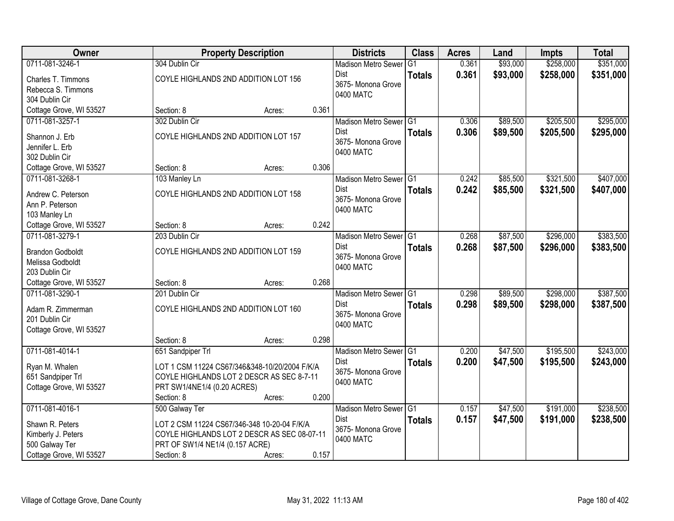| Owner                                      |                                               | <b>Property Description</b> |       | <b>Districts</b>                          | <b>Class</b>   | <b>Acres</b> | Land     | <b>Impts</b> | <b>Total</b> |
|--------------------------------------------|-----------------------------------------------|-----------------------------|-------|-------------------------------------------|----------------|--------------|----------|--------------|--------------|
| 0711-081-3246-1                            | 304 Dublin Cir                                |                             |       | <b>Madison Metro Sewer</b>                | G <sub>1</sub> | 0.361        | \$93,000 | \$258,000    | \$351,000    |
| Charles T. Timmons                         | COYLE HIGHLANDS 2ND ADDITION LOT 156          |                             |       | Dist                                      | <b>Totals</b>  | 0.361        | \$93,000 | \$258,000    | \$351,000    |
| Rebecca S. Timmons                         |                                               |                             |       | 3675- Monona Grove                        |                |              |          |              |              |
| 304 Dublin Cir                             |                                               |                             |       | 0400 MATC                                 |                |              |          |              |              |
| Cottage Grove, WI 53527                    | Section: 8                                    | Acres:                      | 0.361 |                                           |                |              |          |              |              |
| 0711-081-3257-1                            | 302 Dublin Cir                                |                             |       | Madison Metro Sewer G1                    |                | 0.306        | \$89,500 | \$205,500    | \$295,000    |
| Shannon J. Erb                             | COYLE HIGHLANDS 2ND ADDITION LOT 157          |                             |       | <b>Dist</b>                               | <b>Totals</b>  | 0.306        | \$89,500 | \$205,500    | \$295,000    |
| Jennifer L. Erb                            |                                               |                             |       | 3675- Monona Grove                        |                |              |          |              |              |
| 302 Dublin Cir                             |                                               |                             |       | 0400 MATC                                 |                |              |          |              |              |
| Cottage Grove, WI 53527                    | Section: 8                                    | Acres:                      | 0.306 |                                           |                |              |          |              |              |
| 0711-081-3268-1                            | 103 Manley Ln                                 |                             |       | Madison Metro Sewer G1                    |                | 0.242        | \$85,500 | \$321,500    | \$407,000    |
|                                            |                                               |                             |       | Dist                                      | <b>Totals</b>  | 0.242        | \$85,500 | \$321,500    | \$407,000    |
| Andrew C. Peterson                         | COYLE HIGHLANDS 2ND ADDITION LOT 158          |                             |       | 3675- Monona Grove                        |                |              |          |              |              |
| Ann P. Peterson<br>103 Manley Ln           |                                               |                             |       | 0400 MATC                                 |                |              |          |              |              |
| Cottage Grove, WI 53527                    | Section: 8                                    | Acres:                      | 0.242 |                                           |                |              |          |              |              |
| 0711-081-3279-1                            | 203 Dublin Cir                                |                             |       | Madison Metro Sewer G1                    |                | 0.268        | \$87,500 | \$296,000    | \$383,500    |
|                                            |                                               |                             |       | Dist                                      | <b>Totals</b>  | 0.268        | \$87,500 | \$296,000    | \$383,500    |
| <b>Brandon Godboldt</b>                    | COYLE HIGHLANDS 2ND ADDITION LOT 159          |                             |       | 3675- Monona Grove                        |                |              |          |              |              |
| Melissa Godboldt                           |                                               |                             |       | 0400 MATC                                 |                |              |          |              |              |
| 203 Dublin Cir                             |                                               |                             |       |                                           |                |              |          |              |              |
| Cottage Grove, WI 53527<br>0711-081-3290-1 | Section: 8                                    | Acres:                      | 0.268 |                                           | TG1            |              | \$89,500 | \$298,000    |              |
|                                            | 201 Dublin Cir                                |                             |       | <b>Madison Metro Sewer</b><br><b>Dist</b> |                | 0.298        |          |              | \$387,500    |
| Adam R. Zimmerman                          | COYLE HIGHLANDS 2ND ADDITION LOT 160          |                             |       | 3675- Monona Grove                        | <b>Totals</b>  | 0.298        | \$89,500 | \$298,000    | \$387,500    |
| 201 Dublin Cir                             |                                               |                             |       | 0400 MATC                                 |                |              |          |              |              |
| Cottage Grove, WI 53527                    |                                               |                             |       |                                           |                |              |          |              |              |
|                                            | Section: 8                                    | Acres:                      | 0.298 |                                           |                |              |          |              |              |
| 0711-081-4014-1                            | 651 Sandpiper Trl                             |                             |       | Madison Metro Sewer G1                    |                | 0.200        | \$47,500 | \$195,500    | \$243,000    |
| Ryan M. Whalen                             | LOT 1 CSM 11224 CS67/346&348-10/20/2004 F/K/A |                             |       | <b>Dist</b>                               | <b>Totals</b>  | 0.200        | \$47,500 | \$195,500    | \$243,000    |
| 651 Sandpiper Trl                          | COYLE HIGHLANDS LOT 2 DESCR AS SEC 8-7-11     |                             |       | 3675- Monona Grove<br>0400 MATC           |                |              |          |              |              |
| Cottage Grove, WI 53527                    | PRT SW1/4NE1/4 (0.20 ACRES)                   |                             |       |                                           |                |              |          |              |              |
|                                            | Section: 8                                    | Acres:                      | 0.200 |                                           |                |              |          |              |              |
| 0711-081-4016-1                            | 500 Galway Ter                                |                             |       | Madison Metro Sewer G1                    |                | 0.157        | \$47,500 | \$191,000    | \$238,500    |
| Shawn R. Peters                            | LOT 2 CSM 11224 CS67/346-348 10-20-04 F/K/A   |                             |       | Dist                                      | <b>Totals</b>  | 0.157        | \$47,500 | \$191,000    | \$238,500    |
| Kimberly J. Peters                         | COYLE HIGHLANDS LOT 2 DESCR AS SEC 08-07-11   |                             |       | 3675- Monona Grove                        |                |              |          |              |              |
| 500 Galway Ter                             | PRT OF SW1/4 NE1/4 (0.157 ACRE)               |                             |       | 0400 MATC                                 |                |              |          |              |              |
| Cottage Grove, WI 53527                    | Section: 8                                    | Acres:                      | 0.157 |                                           |                |              |          |              |              |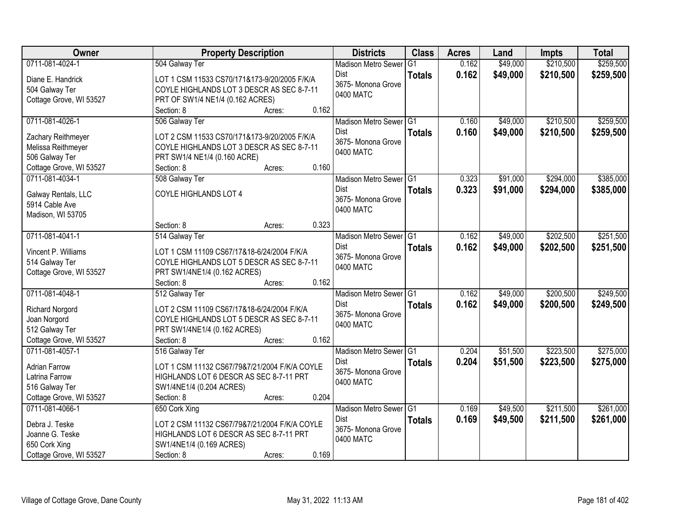| Owner                   | <b>Property Description</b>                   | <b>Districts</b>           | <b>Class</b>  | <b>Acres</b> | Land     | <b>Impts</b> | <b>Total</b> |
|-------------------------|-----------------------------------------------|----------------------------|---------------|--------------|----------|--------------|--------------|
| 0711-081-4024-1         | 504 Galway Ter                                | <b>Madison Metro Sewer</b> | G1            | 0.162        | \$49,000 | \$210,500    | \$259,500    |
| Diane E. Handrick       | LOT 1 CSM 11533 CS70/171&173-9/20/2005 F/K/A  | Dist                       | <b>Totals</b> | 0.162        | \$49,000 | \$210,500    | \$259,500    |
| 504 Galway Ter          | COYLE HIGHLANDS LOT 3 DESCR AS SEC 8-7-11     | 3675- Monona Grove         |               |              |          |              |              |
| Cottage Grove, WI 53527 | PRT OF SW1/4 NE1/4 (0.162 ACRES)              | 0400 MATC                  |               |              |          |              |              |
|                         | 0.162<br>Section: 8<br>Acres:                 |                            |               |              |          |              |              |
| 0711-081-4026-1         | 506 Galway Ter                                | Madison Metro Sewer G1     |               | 0.160        | \$49,000 | \$210,500    | \$259,500    |
|                         |                                               | <b>Dist</b>                | <b>Totals</b> | 0.160        | \$49,000 | \$210,500    | \$259,500    |
| Zachary Reithmeyer      | LOT 2 CSM 11533 CS70/171&173-9/20/2005 F/K/A  | 3675- Monona Grove         |               |              |          |              |              |
| Melissa Reithmeyer      | COYLE HIGHLANDS LOT 3 DESCR AS SEC 8-7-11     | 0400 MATC                  |               |              |          |              |              |
| 506 Galway Ter          | PRT SW1/4 NE1/4 (0.160 ACRE)                  |                            |               |              |          |              |              |
| Cottage Grove, WI 53527 | 0.160<br>Section: 8<br>Acres:                 |                            |               |              |          |              |              |
| 0711-081-4034-1         | 508 Galway Ter                                | Madison Metro Sewer G1     |               | 0.323        | \$91,000 | \$294,000    | \$385,000    |
| Galway Rentals, LLC     | COYLE HIGHLANDS LOT 4                         | Dist                       | <b>Totals</b> | 0.323        | \$91,000 | \$294,000    | \$385,000    |
| 5914 Cable Ave          |                                               | 3675- Monona Grove         |               |              |          |              |              |
| Madison, WI 53705       |                                               | 0400 MATC                  |               |              |          |              |              |
|                         | 0.323<br>Section: 8<br>Acres:                 |                            |               |              |          |              |              |
| 0711-081-4041-1         | 514 Galway Ter                                | Madison Metro Sewer G1     |               | 0.162        | \$49,000 | \$202,500    | \$251,500    |
| Vincent P. Williams     | LOT 1 CSM 11109 CS67/17&18-6/24/2004 F/K/A    | <b>Dist</b>                | <b>Totals</b> | 0.162        | \$49,000 | \$202,500    | \$251,500    |
| 514 Galway Ter          | COYLE HIGHLANDS LOT 5 DESCR AS SEC 8-7-11     | 3675- Monona Grove         |               |              |          |              |              |
| Cottage Grove, WI 53527 | PRT SW1/4NE1/4 (0.162 ACRES)                  | 0400 MATC                  |               |              |          |              |              |
|                         | 0.162<br>Section: 8<br>Acres:                 |                            |               |              |          |              |              |
| 0711-081-4048-1         | 512 Galway Ter                                | <b>Madison Metro Sewer</b> | IG1           | 0.162        | \$49,000 | \$200,500    | \$249,500    |
|                         |                                               | Dist                       |               |              |          |              |              |
| <b>Richard Norgord</b>  | LOT 2 CSM 11109 CS67/17&18-6/24/2004 F/K/A    | 3675- Monona Grove         | <b>Totals</b> | 0.162        | \$49,000 | \$200,500    | \$249,500    |
| Joan Norgord            | COYLE HIGHLANDS LOT 5 DESCR AS SEC 8-7-11     | 0400 MATC                  |               |              |          |              |              |
| 512 Galway Ter          | PRT SW1/4NE1/4 (0.162 ACRES)                  |                            |               |              |          |              |              |
| Cottage Grove, WI 53527 | Section: 8<br>0.162<br>Acres:                 |                            |               |              |          |              |              |
| 0711-081-4057-1         | 516 Galway Ter                                | Madison Metro Sewer G1     |               | 0.204        | \$51,500 | \$223,500    | \$275,000    |
| <b>Adrian Farrow</b>    | LOT 1 CSM 11132 CS67/79&7/21/2004 F/K/A COYLE | Dist                       | <b>Totals</b> | 0.204        | \$51,500 | \$223,500    | \$275,000    |
| Latrina Farrow          | HIGHLANDS LOT 6 DESCR AS SEC 8-7-11 PRT       | 3675- Monona Grove         |               |              |          |              |              |
| 516 Galway Ter          | SW1/4NE1/4 (0.204 ACRES)                      | 0400 MATC                  |               |              |          |              |              |
| Cottage Grove, WI 53527 | 0.204<br>Section: 8<br>Acres:                 |                            |               |              |          |              |              |
| 0711-081-4066-1         | 650 Cork Xing                                 | Madison Metro Sewer G1     |               | 0.169        | \$49,500 | \$211,500    | \$261,000    |
|                         |                                               | Dist                       | <b>Totals</b> | 0.169        | \$49,500 | \$211,500    | \$261,000    |
| Debra J. Teske          | LOT 2 CSM 11132 CS67/79&7/21/2004 F/K/A COYLE | 3675- Monona Grove         |               |              |          |              |              |
| Joanne G. Teske         | HIGHLANDS LOT 6 DESCR AS SEC 8-7-11 PRT       | 0400 MATC                  |               |              |          |              |              |
| 650 Cork Xing           | SW1/4NE1/4 (0.169 ACRES)                      |                            |               |              |          |              |              |
| Cottage Grove, WI 53527 | 0.169<br>Section: 8<br>Acres:                 |                            |               |              |          |              |              |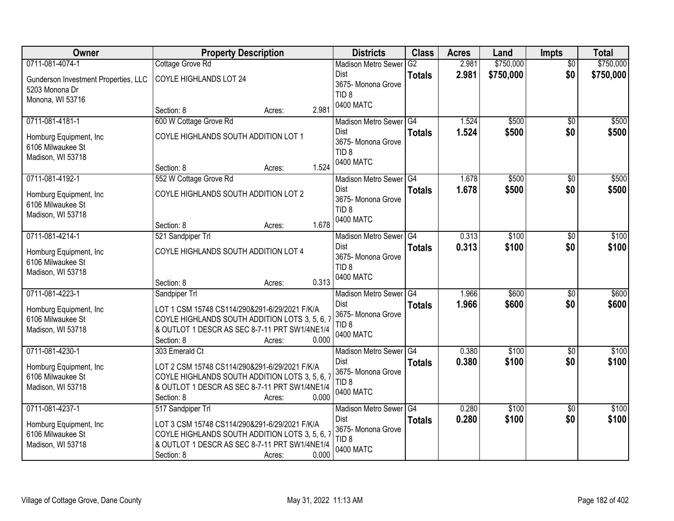| Owner                                | <b>Property Description</b>                    | <b>Districts</b>                       | <b>Class</b>  | <b>Acres</b> | Land      | Impts           | <b>Total</b> |
|--------------------------------------|------------------------------------------------|----------------------------------------|---------------|--------------|-----------|-----------------|--------------|
| 0711-081-4074-1                      | Cottage Grove Rd                               | <b>Madison Metro Sewer</b>             | G2            | 2.981        | \$750,000 | $\overline{50}$ | \$750,000    |
| Gunderson Investment Properties, LLC | COYLE HIGHLANDS LOT 24                         | Dist                                   | <b>Totals</b> | 2.981        | \$750,000 | \$0             | \$750,000    |
| 5203 Monona Dr                       |                                                | 3675- Monona Grove<br>TID <sub>8</sub> |               |              |           |                 |              |
| Monona, WI 53716                     |                                                | 0400 MATC                              |               |              |           |                 |              |
|                                      | 2.981<br>Section: 8<br>Acres:                  |                                        |               |              |           |                 |              |
| 0711-081-4181-1                      | 600 W Cottage Grove Rd                         | Madison Metro Sewer G4                 |               | 1.524        | \$500     | $\overline{50}$ | \$500        |
| Homburg Equipment, Inc.              | COYLE HIGHLANDS SOUTH ADDITION LOT 1           | Dist                                   | <b>Totals</b> | 1.524        | \$500     | \$0             | \$500        |
| 6106 Milwaukee St                    |                                                | 3675- Monona Grove<br>TID <sub>8</sub> |               |              |           |                 |              |
| Madison, WI 53718                    |                                                | 0400 MATC                              |               |              |           |                 |              |
|                                      | 1.524<br>Section: 8<br>Acres:                  |                                        |               |              |           |                 |              |
| 0711-081-4192-1                      | 552 W Cottage Grove Rd                         | Madison Metro Sewer G4                 |               | 1.678        | \$500     | $\overline{50}$ | \$500        |
| Homburg Equipment, Inc.              | COYLE HIGHLANDS SOUTH ADDITION LOT 2           | Dist                                   | <b>Totals</b> | 1.678        | \$500     | \$0             | \$500        |
| 6106 Milwaukee St                    |                                                | 3675- Monona Grove<br>TID <sub>8</sub> |               |              |           |                 |              |
| Madison, WI 53718                    |                                                | 0400 MATC                              |               |              |           |                 |              |
|                                      | 1.678<br>Section: 8<br>Acres:                  |                                        |               |              |           |                 |              |
| 0711-081-4214-1                      | 521 Sandpiper Trl                              | Madison Metro Sewer G4                 |               | 0.313        | \$100     | \$0             | \$100        |
| Homburg Equipment, Inc.              | COYLE HIGHLANDS SOUTH ADDITION LOT 4           | Dist                                   | <b>Totals</b> | 0.313        | \$100     | \$0             | \$100        |
| 6106 Milwaukee St                    |                                                | 3675- Monona Grove<br>TID <sub>8</sub> |               |              |           |                 |              |
| Madison, WI 53718                    |                                                | 0400 MATC                              |               |              |           |                 |              |
|                                      | 0.313<br>Section: 8<br>Acres:                  |                                        |               |              |           |                 |              |
| 0711-081-4223-1                      | Sandpiper Trl                                  | <b>Madison Metro Sewer</b>             | G4            | 1.966        | \$600     | $\overline{50}$ | \$600        |
| Homburg Equipment, Inc.              | LOT 1 CSM 15748 CS114/290&291-6/29/2021 F/K/A  | Dist                                   | <b>Totals</b> | 1.966        | \$600     | \$0             | \$600        |
| 6106 Milwaukee St                    | COYLE HIGHLANDS SOUTH ADDITION LOTS 3, 5, 6, 7 | 3675- Monona Grove                     |               |              |           |                 |              |
| Madison, WI 53718                    | & OUTLOT 1 DESCR AS SEC 8-7-11 PRT SW1/4NE1/4  | TID <sub>8</sub><br>0400 MATC          |               |              |           |                 |              |
|                                      | 0.000<br>Section: 8<br>Acres:                  |                                        |               |              |           |                 |              |
| 0711-081-4230-1                      | 303 Emerald Ct                                 | Madison Metro Sewer G4                 |               | 0.380        | \$100     | $\sqrt{6}$      | \$100        |
| Homburg Equipment, Inc.              | LOT 2 CSM 15748 CS114/290&291-6/29/2021 F/K/A  | Dist                                   | <b>Totals</b> | 0.380        | \$100     | \$0             | \$100        |
| 6106 Milwaukee St                    | COYLE HIGHLANDS SOUTH ADDITION LOTS 3, 5, 6, 7 | 3675- Monona Grove                     |               |              |           |                 |              |
| Madison, WI 53718                    | & OUTLOT 1 DESCR AS SEC 8-7-11 PRT SW1/4NE1/4  | TID <sub>8</sub><br>0400 MATC          |               |              |           |                 |              |
|                                      | 0.000<br>Section: 8<br>Acres:                  |                                        |               |              |           |                 |              |
| 0711-081-4237-1                      | 517 Sandpiper Trl                              | Madison Metro Sewer G4                 |               | 0.280        | \$100     | $\overline{50}$ | \$100        |
| Homburg Equipment, Inc.              | LOT 3 CSM 15748 CS114/290&291-6/29/2021 F/K/A  | Dist                                   | <b>Totals</b> | 0.280        | \$100     | \$0             | \$100        |
| 6106 Milwaukee St                    | COYLE HIGHLANDS SOUTH ADDITION LOTS 3, 5, 6, 7 | 3675- Monona Grove                     |               |              |           |                 |              |
| Madison, WI 53718                    | & OUTLOT 1 DESCR AS SEC 8-7-11 PRT SW1/4NE1/4  | TID <sub>8</sub>                       |               |              |           |                 |              |
|                                      | 0.000<br>Section: 8<br>Acres:                  | 0400 MATC                              |               |              |           |                 |              |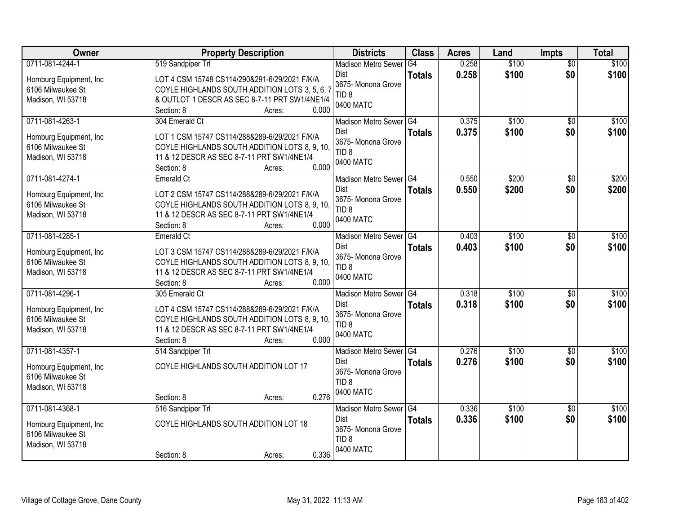| Owner                                        | <b>Property Description</b>                                                                    | <b>Districts</b>              | <b>Class</b>  | <b>Acres</b> | Land  | Impts           | <b>Total</b> |
|----------------------------------------------|------------------------------------------------------------------------------------------------|-------------------------------|---------------|--------------|-------|-----------------|--------------|
| 0711-081-4244-1                              | 519 Sandpiper Trl                                                                              | <b>Madison Metro Sewer</b>    | G4            | 0.258        | \$100 | $\overline{50}$ | \$100        |
| Homburg Equipment, Inc.                      | LOT 4 CSM 15748 CS114/290&291-6/29/2021 F/K/A                                                  | <b>Dist</b>                   | <b>Totals</b> | 0.258        | \$100 | \$0             | \$100        |
| 6106 Milwaukee St                            | COYLE HIGHLANDS SOUTH ADDITION LOTS 3, 5, 6, 7                                                 | 3675- Monona Grove            |               |              |       |                 |              |
| Madison, WI 53718                            | & OUTLOT 1 DESCR AS SEC 8-7-11 PRT SW1/4NE1/4                                                  | TID <sub>8</sub><br>0400 MATC |               |              |       |                 |              |
|                                              | 0.000<br>Section: 8<br>Acres:                                                                  |                               |               |              |       |                 |              |
| 0711-081-4263-1                              | 304 Emerald Ct                                                                                 | Madison Metro Sewer G4        |               | 0.375        | \$100 | \$0             | \$100        |
| Homburg Equipment, Inc.                      | LOT 1 CSM 15747 CS114/288&289-6/29/2021 F/K/A                                                  | <b>Dist</b>                   | <b>Totals</b> | 0.375        | \$100 | \$0             | \$100        |
| 6106 Milwaukee St                            | COYLE HIGHLANDS SOUTH ADDITION LOTS 8, 9, 10,                                                  | 3675- Monona Grove            |               |              |       |                 |              |
| Madison, WI 53718                            | 11 & 12 DESCR AS SEC 8-7-11 PRT SW1/4NE1/4                                                     | TID <sub>8</sub>              |               |              |       |                 |              |
|                                              | 0.000<br>Section: 8<br>Acres:                                                                  | 0400 MATC                     |               |              |       |                 |              |
| 0711-081-4274-1                              | Emerald Ct                                                                                     | Madison Metro Sewer G4        |               | 0.550        | \$200 | $\overline{50}$ | \$200        |
| Homburg Equipment, Inc.                      | LOT 2 CSM 15747 CS114/288&289-6/29/2021 F/K/A                                                  | <b>Dist</b>                   | <b>Totals</b> | 0.550        | \$200 | \$0             | \$200        |
| 6106 Milwaukee St                            | COYLE HIGHLANDS SOUTH ADDITION LOTS 8, 9, 10,                                                  | 3675- Monona Grove            |               |              |       |                 |              |
| Madison, WI 53718                            | 11 & 12 DESCR AS SEC 8-7-11 PRT SW1/4NE1/4                                                     | TID <sub>8</sub>              |               |              |       |                 |              |
|                                              | 0.000<br>Section: 8<br>Acres:                                                                  | 0400 MATC                     |               |              |       |                 |              |
| 0711-081-4285-1                              | Emerald Ct                                                                                     | Madison Metro Sewer G4        |               | 0.403        | \$100 | \$0             | \$100        |
| Homburg Equipment, Inc.                      | LOT 3 CSM 15747 CS114/288&289-6/29/2021 F/K/A                                                  | <b>Dist</b>                   | <b>Totals</b> | 0.403        | \$100 | \$0             | \$100        |
| 6106 Milwaukee St                            | COYLE HIGHLANDS SOUTH ADDITION LOTS 8, 9, 10,                                                  | 3675- Monona Grove            |               |              |       |                 |              |
| Madison, WI 53718                            | 11 & 12 DESCR AS SEC 8-7-11 PRT SW1/4NE1/4                                                     | TID <sub>8</sub>              |               |              |       |                 |              |
|                                              | 0.000<br>Section: 8<br>Acres:                                                                  | 0400 MATC                     |               |              |       |                 |              |
| 0711-081-4296-1                              | 305 Emerald Ct                                                                                 | <b>Madison Metro Sewer</b>    | G4            | 0.318        | \$100 | $\overline{50}$ | \$100        |
|                                              |                                                                                                | <b>Dist</b>                   | <b>Totals</b> | 0.318        | \$100 | \$0             | \$100        |
| Homburg Equipment, Inc.<br>6106 Milwaukee St | LOT 4 CSM 15747 CS114/288&289-6/29/2021 F/K/A<br>COYLE HIGHLANDS SOUTH ADDITION LOTS 8, 9, 10, | 3675-Monona Grove             |               |              |       |                 |              |
| Madison, WI 53718                            | 11 & 12 DESCR AS SEC 8-7-11 PRT SW1/4NE1/4                                                     | TID <sub>8</sub>              |               |              |       |                 |              |
|                                              | Section: 8<br>0.000<br>Acres:                                                                  | 0400 MATC                     |               |              |       |                 |              |
| 0711-081-4357-1                              | 514 Sandpiper Trl                                                                              | Madison Metro Sewer G4        |               | 0.276        | \$100 | $\sqrt{6}$      | \$100        |
|                                              |                                                                                                | Dist                          | <b>Totals</b> | 0.276        | \$100 | \$0             | \$100        |
| Homburg Equipment, Inc.                      | COYLE HIGHLANDS SOUTH ADDITION LOT 17                                                          | 3675-Monona Grove             |               |              |       |                 |              |
| 6106 Milwaukee St<br>Madison, WI 53718       |                                                                                                | TID <sub>8</sub>              |               |              |       |                 |              |
|                                              | 0.276<br>Section: 8<br>Acres:                                                                  | 0400 MATC                     |               |              |       |                 |              |
| 0711-081-4368-1                              | 516 Sandpiper Trl                                                                              | Madison Metro Sewer G4        |               | 0.336        | \$100 | $\overline{50}$ | \$100        |
|                                              |                                                                                                | Dist                          | <b>Totals</b> | 0.336        | \$100 | \$0             | \$100        |
| Homburg Equipment, Inc.                      | COYLE HIGHLANDS SOUTH ADDITION LOT 18                                                          | 3675- Monona Grove            |               |              |       |                 |              |
| 6106 Milwaukee St                            |                                                                                                | TID <sub>8</sub>              |               |              |       |                 |              |
| Madison, WI 53718                            | 0.336                                                                                          | 0400 MATC                     |               |              |       |                 |              |
|                                              | Section: 8<br>Acres:                                                                           |                               |               |              |       |                 |              |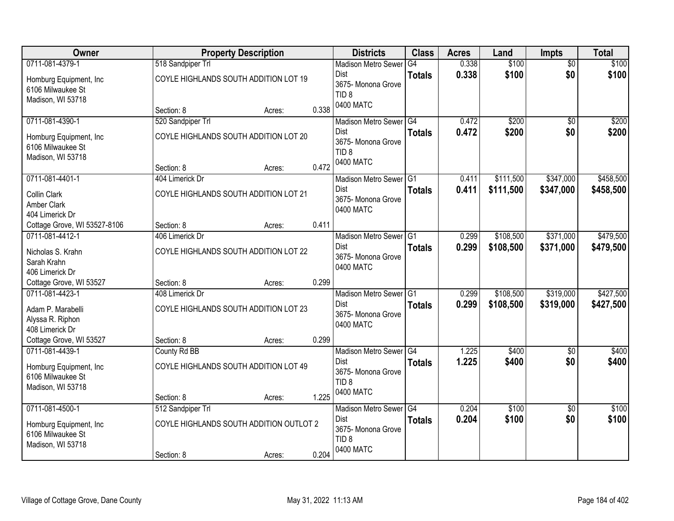| Owner                                  |                                         | <b>Property Description</b> |       | <b>Districts</b>                  | <b>Class</b>  | <b>Acres</b> | Land      | Impts           | <b>Total</b> |
|----------------------------------------|-----------------------------------------|-----------------------------|-------|-----------------------------------|---------------|--------------|-----------|-----------------|--------------|
| 0711-081-4379-1                        | 518 Sandpiper Trl                       |                             |       | <b>Madison Metro Sewer</b>        | G4            | 0.338        | \$100     | $\overline{50}$ | \$100        |
| Homburg Equipment, Inc.                | COYLE HIGHLANDS SOUTH ADDITION LOT 19   |                             |       | Dist<br>3675- Monona Grove        | <b>Totals</b> | 0.338        | \$100     | \$0             | \$100        |
| 6106 Milwaukee St                      |                                         |                             |       | TID <sub>8</sub>                  |               |              |           |                 |              |
| Madison, WI 53718                      | Section: 8                              | Acres:                      | 0.338 | 0400 MATC                         |               |              |           |                 |              |
| 0711-081-4390-1                        | 520 Sandpiper Trl                       |                             |       | Madison Metro Sewer G4            |               | 0.472        | \$200     | $\overline{50}$ | \$200        |
|                                        |                                         |                             |       | Dist                              | <b>Totals</b> | 0.472        | \$200     | \$0             | \$200        |
| Homburg Equipment, Inc.                | COYLE HIGHLANDS SOUTH ADDITION LOT 20   |                             |       | 3675- Monona Grove                |               |              |           |                 |              |
| 6106 Milwaukee St<br>Madison, WI 53718 |                                         |                             |       | TID <sub>8</sub>                  |               |              |           |                 |              |
|                                        | Section: 8                              | Acres:                      | 0.472 | 0400 MATC                         |               |              |           |                 |              |
| 0711-081-4401-1                        | 404 Limerick Dr                         |                             |       | Madison Metro Sewer G1            |               | 0.411        | \$111,500 | \$347,000       | \$458,500    |
| Collin Clark                           | COYLE HIGHLANDS SOUTH ADDITION LOT 21   |                             |       | Dist                              | <b>Totals</b> | 0.411        | \$111,500 | \$347,000       | \$458,500    |
| Amber Clark                            |                                         |                             |       | 3675-Monona Grove                 |               |              |           |                 |              |
| 404 Limerick Dr                        |                                         |                             |       | 0400 MATC                         |               |              |           |                 |              |
| Cottage Grove, WI 53527-8106           | Section: 8                              | Acres:                      | 0.411 |                                   |               |              |           |                 |              |
| 0711-081-4412-1                        | 406 Limerick Dr                         |                             |       | Madison Metro Sewer G1            |               | 0.299        | \$108,500 | \$371,000       | \$479,500    |
| Nicholas S. Krahn                      | COYLE HIGHLANDS SOUTH ADDITION LOT 22   |                             |       | Dist                              | <b>Totals</b> | 0.299        | \$108,500 | \$371,000       | \$479,500    |
| Sarah Krahn                            |                                         |                             |       | 3675- Monona Grove                |               |              |           |                 |              |
| 406 Limerick Dr                        |                                         |                             |       | 0400 MATC                         |               |              |           |                 |              |
| Cottage Grove, WI 53527                | Section: 8                              | Acres:                      | 0.299 |                                   |               |              |           |                 |              |
| 0711-081-4423-1                        | 408 Limerick Dr                         |                             |       | Madison Metro Sewer G1            |               | 0.299        | \$108,500 | \$319,000       | \$427,500    |
| Adam P. Marabelli                      | COYLE HIGHLANDS SOUTH ADDITION LOT 23   |                             |       | Dist                              | <b>Totals</b> | 0.299        | \$108,500 | \$319,000       | \$427,500    |
| Alyssa R. Riphon                       |                                         |                             |       | 3675- Monona Grove                |               |              |           |                 |              |
| 408 Limerick Dr                        |                                         |                             |       | 0400 MATC                         |               |              |           |                 |              |
| Cottage Grove, WI 53527                | Section: 8                              | Acres:                      | 0.299 |                                   |               |              |           |                 |              |
| 0711-081-4439-1                        | County Rd BB                            |                             |       | Madison Metro Sewer <sup>G4</sup> |               | 1.225        | \$400     | $\overline{50}$ | \$400        |
| Homburg Equipment, Inc.                | COYLE HIGHLANDS SOUTH ADDITION LOT 49   |                             |       | Dist                              | <b>Totals</b> | 1.225        | \$400     | \$0             | \$400        |
| 6106 Milwaukee St                      |                                         |                             |       | 3675- Monona Grove                |               |              |           |                 |              |
| Madison, WI 53718                      |                                         |                             |       | TID <sub>8</sub><br>0400 MATC     |               |              |           |                 |              |
|                                        | Section: 8                              | Acres:                      | 1.225 |                                   |               |              |           |                 |              |
| 0711-081-4500-1                        | 512 Sandpiper Trl                       |                             |       | Madison Metro Sewer G4            |               | 0.204        | \$100     | $\overline{50}$ | \$100        |
| Homburg Equipment, Inc.                | COYLE HIGHLANDS SOUTH ADDITION OUTLOT 2 |                             |       | Dist                              | <b>Totals</b> | 0.204        | \$100     | \$0             | \$100        |
| 6106 Milwaukee St                      |                                         |                             |       | 3675-Monona Grove                 |               |              |           |                 |              |
| Madison, WI 53718                      |                                         |                             |       | TID <sub>8</sub><br>0400 MATC     |               |              |           |                 |              |
|                                        | Section: 8                              | Acres:                      | 0.204 |                                   |               |              |           |                 |              |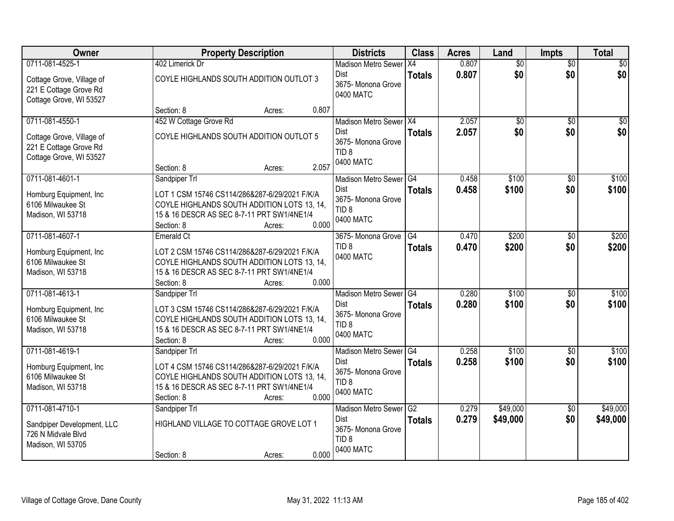| Owner                                                                                             | <b>Property Description</b>                                                                                                                                                                  | <b>Districts</b>                                                                             | <b>Class</b>        | <b>Acres</b>   | Land                   | <b>Impts</b>           | <b>Total</b>            |
|---------------------------------------------------------------------------------------------------|----------------------------------------------------------------------------------------------------------------------------------------------------------------------------------------------|----------------------------------------------------------------------------------------------|---------------------|----------------|------------------------|------------------------|-------------------------|
| 0711-081-4525-1<br>Cottage Grove, Village of<br>221 E Cottage Grove Rd<br>Cottage Grove, WI 53527 | 402 Limerick Dr<br>COYLE HIGHLANDS SOUTH ADDITION OUTLOT 3                                                                                                                                   | <b>Madison Metro Sewer</b><br>Dist<br>3675- Monona Grove<br>0400 MATC                        | X4<br><b>Totals</b> | 0.807<br>0.807 | $\overline{50}$<br>\$0 | $\overline{50}$<br>\$0 | $\frac{1}{2}$<br>\$0    |
|                                                                                                   | 0.807<br>Section: 8<br>Acres:                                                                                                                                                                |                                                                                              |                     |                |                        |                        |                         |
| 0711-081-4550-1<br>Cottage Grove, Village of<br>221 E Cottage Grove Rd<br>Cottage Grove, WI 53527 | 452 W Cottage Grove Rd<br>COYLE HIGHLANDS SOUTH ADDITION OUTLOT 5<br>2.057<br>Section: 8<br>Acres:                                                                                           | Madison Metro Sewer X4<br>Dist<br>3675- Monona Grove<br>TID <sub>8</sub><br>0400 MATC        | <b>Totals</b>       | 2.057<br>2.057 | $\overline{50}$<br>\$0 | $\overline{50}$<br>\$0 | $\overline{\$0}$<br>\$0 |
| 0711-081-4601-1<br>Homburg Equipment, Inc.<br>6106 Milwaukee St<br>Madison, WI 53718              | Sandpiper Trl<br>LOT 1 CSM 15746 CS114/286&287-6/29/2021 F/K/A<br>COYLE HIGHLANDS SOUTH ADDITION LOTS 13, 14,<br>15 & 16 DESCR AS SEC 8-7-11 PRT SW1/4NE1/4<br>0.000<br>Section: 8<br>Acres: | Madison Metro Sewer G4<br><b>Dist</b><br>3675-Monona Grove<br>TID <sub>8</sub><br>0400 MATC  | <b>Totals</b>       | 0.458<br>0.458 | \$100<br>\$100         | \$0<br>\$0             | \$100<br>\$100          |
| 0711-081-4607-1<br>Homburg Equipment, Inc<br>6106 Milwaukee St<br>Madison, WI 53718               | Emerald Ct<br>LOT 2 CSM 15746 CS114/286&287-6/29/2021 F/K/A<br>COYLE HIGHLANDS SOUTH ADDITION LOTS 13, 14,<br>15 & 16 DESCR AS SEC 8-7-11 PRT SW1/4NE1/4<br>0.000<br>Section: 8<br>Acres:    | 3675- Monona Grove<br>TID <sub>8</sub><br>0400 MATC                                          | G4<br><b>Totals</b> | 0.470<br>0.470 | \$200<br>\$200         | $\sqrt{6}$<br>\$0      | \$200<br>\$200          |
| 0711-081-4613-1<br>Homburg Equipment, Inc.<br>6106 Milwaukee St<br>Madison, WI 53718              | Sandpiper Trl<br>LOT 3 CSM 15746 CS114/286&287-6/29/2021 F/K/A<br>COYLE HIGHLANDS SOUTH ADDITION LOTS 13, 14,<br>15 & 16 DESCR AS SEC 8-7-11 PRT SW1/4NE1/4<br>0.000<br>Section: 8<br>Acres: | Madison Metro Sewer G4<br><b>Dist</b><br>3675- Monona Grove<br>TID <sub>8</sub><br>0400 MATC | <b>Totals</b>       | 0.280<br>0.280 | \$100<br>\$100         | $\overline{50}$<br>\$0 | \$100<br>\$100          |
| 0711-081-4619-1<br>Homburg Equipment, Inc.<br>6106 Milwaukee St<br>Madison, WI 53718              | Sandpiper Trl<br>LOT 4 CSM 15746 CS114/286&287-6/29/2021 F/K/A<br>COYLE HIGHLANDS SOUTH ADDITION LOTS 13, 14,<br>15 & 16 DESCR AS SEC 8-7-11 PRT SW1/4NE1/4<br>0.000<br>Section: 8<br>Acres: | Madison Metro Sewer G4<br>Dist<br>3675- Monona Grove<br>TID <sub>8</sub><br>0400 MATC        | <b>Totals</b>       | 0.258<br>0.258 | \$100<br>\$100         | $\overline{50}$<br>\$0 | \$100<br>\$100          |
| 0711-081-4710-1<br>Sandpiper Development, LLC<br>726 N Midvale Blvd<br>Madison, WI 53705          | Sandpiper Trl<br>HIGHLAND VILLAGE TO COTTAGE GROVE LOT 1<br>0.000<br>Section: 8<br>Acres:                                                                                                    | Madison Metro Sewer G2<br><b>Dist</b><br>3675-Monona Grove<br>TID <sub>8</sub><br>0400 MATC  | <b>Totals</b>       | 0.279<br>0.279 | \$49,000<br>\$49,000   | $\overline{50}$<br>\$0 | \$49,000<br>\$49,000    |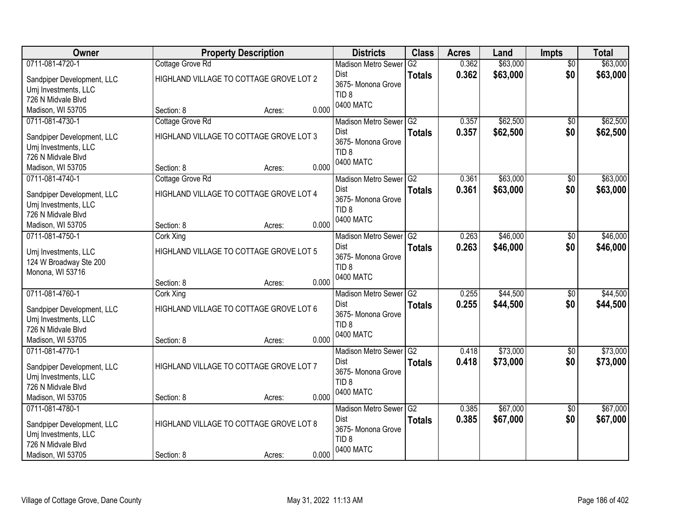| Owner                      |                                         | <b>Property Description</b>             |       | <b>Districts</b>              | <b>Class</b>    | <b>Acres</b> | Land     | <b>Impts</b>    | <b>Total</b> |
|----------------------------|-----------------------------------------|-----------------------------------------|-------|-------------------------------|-----------------|--------------|----------|-----------------|--------------|
| 0711-081-4720-1            | Cottage Grove Rd                        |                                         |       | <b>Madison Metro Sewer</b>    | $\overline{G2}$ | 0.362        | \$63,000 | $\overline{50}$ | \$63,000     |
| Sandpiper Development, LLC | HIGHLAND VILLAGE TO COTTAGE GROVE LOT 2 |                                         |       | Dist                          | <b>Totals</b>   | 0.362        | \$63,000 | \$0             | \$63,000     |
| Umj Investments, LLC       |                                         |                                         |       | 3675-Monona Grove             |                 |              |          |                 |              |
| 726 N Midvale Blvd         |                                         |                                         |       | TID <sub>8</sub><br>0400 MATC |                 |              |          |                 |              |
| Madison, WI 53705          | Section: 8                              | Acres:                                  | 0.000 |                               |                 |              |          |                 |              |
| 0711-081-4730-1            | Cottage Grove Rd                        |                                         |       | Madison Metro Sewer G2        |                 | 0.357        | \$62,500 | \$0             | \$62,500     |
| Sandpiper Development, LLC | HIGHLAND VILLAGE TO COTTAGE GROVE LOT 3 |                                         |       | Dist                          | <b>Totals</b>   | 0.357        | \$62,500 | \$0             | \$62,500     |
| Umj Investments, LLC       |                                         |                                         |       | 3675- Monona Grove            |                 |              |          |                 |              |
| 726 N Midvale Blvd         |                                         |                                         |       | TID <sub>8</sub><br>0400 MATC |                 |              |          |                 |              |
| Madison, WI 53705          | Section: 8                              | Acres:                                  | 0.000 |                               |                 |              |          |                 |              |
| 0711-081-4740-1            | Cottage Grove Rd                        |                                         |       | Madison Metro Sewer G2        |                 | 0.361        | \$63,000 | \$0             | \$63,000     |
| Sandpiper Development, LLC | HIGHLAND VILLAGE TO COTTAGE GROVE LOT 4 |                                         |       | <b>Dist</b>                   | <b>Totals</b>   | 0.361        | \$63,000 | \$0             | \$63,000     |
| Umj Investments, LLC       |                                         |                                         |       | 3675- Monona Grove            |                 |              |          |                 |              |
| 726 N Midvale Blvd         |                                         |                                         |       | TID <sub>8</sub>              |                 |              |          |                 |              |
| Madison, WI 53705          | Section: 8                              | Acres:                                  | 0.000 | 0400 MATC                     |                 |              |          |                 |              |
| 0711-081-4750-1            | <b>Cork Xing</b>                        |                                         |       | <b>Madison Metro Sewer</b>    | G2              | 0.263        | \$46,000 | \$0             | \$46,000     |
| Umj Investments, LLC       | HIGHLAND VILLAGE TO COTTAGE GROVE LOT 5 |                                         |       | Dist                          | <b>Totals</b>   | 0.263        | \$46,000 | \$0             | \$46,000     |
| 124 W Broadway Ste 200     |                                         |                                         |       | 3675- Monona Grove            |                 |              |          |                 |              |
| Monona, WI 53716           |                                         |                                         |       | TID <sub>8</sub>              |                 |              |          |                 |              |
|                            | Section: 8                              | Acres:                                  | 0.000 | 0400 MATC                     |                 |              |          |                 |              |
| 0711-081-4760-1            | <b>Cork Xing</b>                        |                                         |       | <b>Madison Metro Sewer</b>    | $\overline{G2}$ | 0.255        | \$44,500 | $\overline{50}$ | \$44,500     |
| Sandpiper Development, LLC | HIGHLAND VILLAGE TO COTTAGE GROVE LOT 6 |                                         |       | Dist                          | <b>Totals</b>   | 0.255        | \$44,500 | \$0             | \$44,500     |
| Umj Investments, LLC       |                                         |                                         |       | 3675- Monona Grove            |                 |              |          |                 |              |
| 726 N Midvale Blvd         |                                         |                                         |       | TID <sub>8</sub>              |                 |              |          |                 |              |
| Madison, WI 53705          | Section: 8                              | Acres:                                  | 0.000 | 0400 MATC                     |                 |              |          |                 |              |
| 0711-081-4770-1            |                                         |                                         |       | Madison Metro Sewer G2        |                 | 0.418        | \$73,000 | $\overline{60}$ | \$73,000     |
| Sandpiper Development, LLC | HIGHLAND VILLAGE TO COTTAGE GROVE LOT 7 |                                         |       | Dist                          | <b>Totals</b>   | 0.418        | \$73,000 | \$0             | \$73,000     |
| Umj Investments, LLC       |                                         |                                         |       | 3675- Monona Grove            |                 |              |          |                 |              |
| 726 N Midvale Blvd         |                                         |                                         |       | TID <sub>8</sub>              |                 |              |          |                 |              |
| Madison, WI 53705          | Section: 8                              | Acres:                                  | 0.000 | 0400 MATC                     |                 |              |          |                 |              |
| 0711-081-4780-1            |                                         |                                         |       | Madison Metro Sewer G2        |                 | 0.385        | \$67,000 | $\overline{50}$ | \$67,000     |
| Sandpiper Development, LLC |                                         |                                         |       | <b>Dist</b>                   | <b>Totals</b>   | 0.385        | \$67,000 | \$0             | \$67,000     |
| Umj Investments, LLC       |                                         | HIGHLAND VILLAGE TO COTTAGE GROVE LOT 8 |       | 3675- Monona Grove            |                 |              |          |                 |              |
| 726 N Midvale Blvd         |                                         |                                         |       | TID <sub>8</sub>              |                 |              |          |                 |              |
| Madison, WI 53705          | Section: 8                              | Acres:                                  | 0.000 | 0400 MATC                     |                 |              |          |                 |              |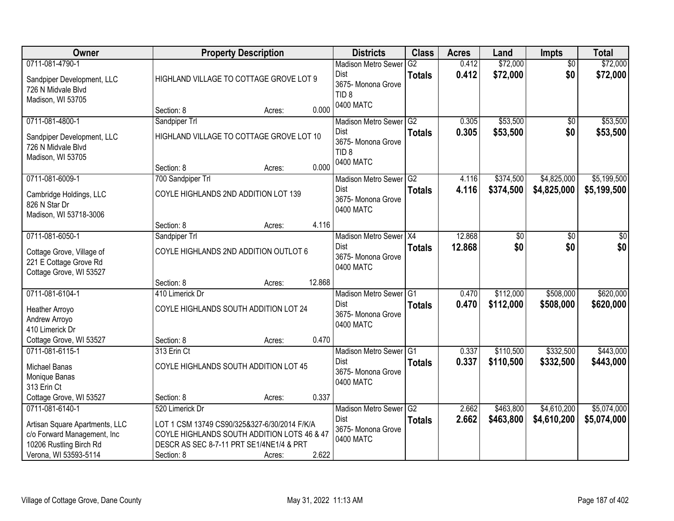| <b>Owner</b>                                                                                                                         |                                                                                                                                                                          | <b>Property Description</b> |        | <b>Districts</b>                                                                      | <b>Class</b>                     | <b>Acres</b>     | Land                   | Impts                      | <b>Total</b>               |
|--------------------------------------------------------------------------------------------------------------------------------------|--------------------------------------------------------------------------------------------------------------------------------------------------------------------------|-----------------------------|--------|---------------------------------------------------------------------------------------|----------------------------------|------------------|------------------------|----------------------------|----------------------------|
| 0711-081-4790-1<br>Sandpiper Development, LLC<br>726 N Midvale Blvd<br>Madison, WI 53705                                             | HIGHLAND VILLAGE TO COTTAGE GROVE LOT 9                                                                                                                                  |                             |        | <b>Madison Metro Sewer</b><br>Dist<br>3675- Monona Grove<br>TID <sub>8</sub>          | G2<br><b>Totals</b>              | 0.412<br>0.412   | \$72,000<br>\$72,000   | $\overline{50}$<br>\$0     | \$72,000<br>\$72,000       |
|                                                                                                                                      | Section: 8                                                                                                                                                               | Acres:                      | 0.000  | 0400 MATC                                                                             |                                  |                  |                        |                            |                            |
| 0711-081-4800-1<br>Sandpiper Development, LLC<br>726 N Midvale Blvd<br>Madison, WI 53705                                             | Sandpiper Trl<br>HIGHLAND VILLAGE TO COTTAGE GROVE LOT 10<br>Section: 8                                                                                                  | Acres:                      | 0.000  | Madison Metro Sewer G2<br>Dist<br>3675- Monona Grove<br>TID <sub>8</sub><br>0400 MATC | <b>Totals</b>                    | 0.305<br>0.305   | \$53,500<br>\$53,500   | $\overline{50}$<br>\$0     | \$53,500<br>\$53,500       |
| 0711-081-6009-1                                                                                                                      | 700 Sandpiper Trl                                                                                                                                                        |                             |        | Madison Metro Sewer G2                                                                |                                  | 4.116            | \$374,500              | \$4,825,000                | \$5,199,500                |
| Cambridge Holdings, LLC<br>826 N Star Dr<br>Madison, WI 53718-3006                                                                   | COYLE HIGHLANDS 2ND ADDITION LOT 139                                                                                                                                     |                             |        | Dist<br>3675- Monona Grove<br>0400 MATC                                               | <b>Totals</b>                    | 4.116            | \$374,500              | \$4,825,000                | \$5,199,500                |
|                                                                                                                                      | Section: 8                                                                                                                                                               | Acres:                      | 4.116  |                                                                                       |                                  |                  |                        |                            |                            |
| 0711-081-6050-1<br>Cottage Grove, Village of<br>221 E Cottage Grove Rd<br>Cottage Grove, WI 53527                                    | Sandpiper Trl<br>COYLE HIGHLANDS 2ND ADDITION OUTLOT 6                                                                                                                   |                             |        | Madison Metro Sewer X4<br>Dist<br>3675- Monona Grove<br>0400 MATC                     | <b>Totals</b>                    | 12.868<br>12.868 | \$0<br>\$0             | \$0<br>\$0                 | \$0<br>\$0                 |
|                                                                                                                                      | Section: 8                                                                                                                                                               | Acres:                      | 12.868 |                                                                                       |                                  |                  |                        |                            |                            |
| 0711-081-6104-1<br>Heather Arroyo<br>Andrew Arroyo<br>410 Limerick Dr                                                                | 410 Limerick Dr<br>COYLE HIGHLANDS SOUTH ADDITION LOT 24                                                                                                                 |                             |        | <b>Madison Metro Sewer</b><br>Dist<br>3675- Monona Grove<br>0400 MATC                 | IG <sub>1</sub><br><b>Totals</b> | 0.470<br>0.470   | \$112,000<br>\$112,000 | \$508,000<br>\$508,000     | \$620,000<br>\$620,000     |
| Cottage Grove, WI 53527                                                                                                              | Section: 8                                                                                                                                                               | Acres:                      | 0.470  |                                                                                       |                                  |                  |                        |                            |                            |
| 0711-081-6115-1<br>Michael Banas<br>Monique Banas<br>313 Erin Ct                                                                     | 313 Erin Ct<br>COYLE HIGHLANDS SOUTH ADDITION LOT 45                                                                                                                     |                             |        | Madison Metro Sewer G1<br><b>Dist</b><br>3675- Monona Grove<br>0400 MATC              | <b>Totals</b>                    | 0.337<br>0.337   | \$110,500<br>\$110,500 | \$332,500<br>\$332,500     | \$443,000<br>\$443,000     |
| Cottage Grove, WI 53527                                                                                                              | Section: 8                                                                                                                                                               | Acres:                      | 0.337  |                                                                                       |                                  |                  |                        |                            |                            |
| 0711-081-6140-1<br>Artisan Square Apartments, LLC<br>c/o Forward Management, Inc<br>10206 Rustling Birch Rd<br>Verona, WI 53593-5114 | 520 Limerick Dr<br>LOT 1 CSM 13749 CS90/325&327-6/30/2014 F/K/A<br>COYLE HIGHLANDS SOUTH ADDITION LOTS 46 & 47<br>DESCR AS SEC 8-7-11 PRT SE1/4NE1/4 & PRT<br>Section: 8 | Acres:                      | 2.622  | Madison Metro Sewer G2<br>Dist<br>3675- Monona Grove<br>0400 MATC                     | <b>Totals</b>                    | 2.662<br>2.662   | \$463,800<br>\$463,800 | \$4,610,200<br>\$4,610,200 | \$5,074,000<br>\$5,074,000 |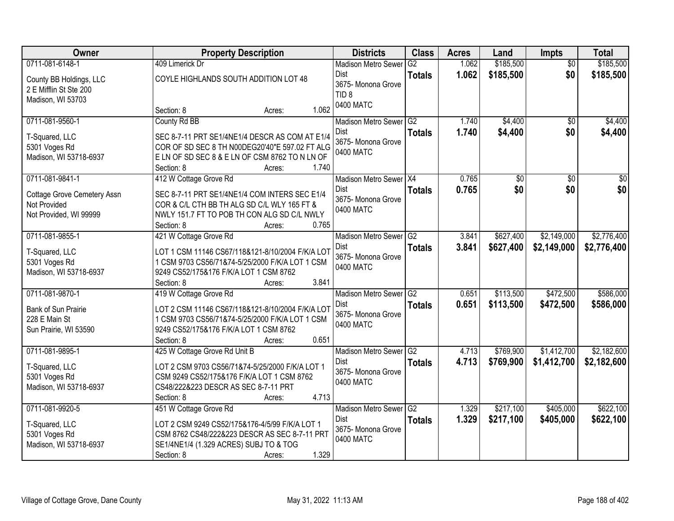| Owner                                   | <b>Property Description</b>                                                             |                                   |                             |                 | <b>Acres</b> | Land      | <b>Impts</b>    | <b>Total</b>    |
|-----------------------------------------|-----------------------------------------------------------------------------------------|-----------------------------------|-----------------------------|-----------------|--------------|-----------|-----------------|-----------------|
| 0711-081-6148-1                         | 409 Limerick Dr                                                                         |                                   | <b>Madison Metro Sewer</b>  | G2              | 1.062        | \$185,500 | $\overline{30}$ | \$185,500       |
| County BB Holdings, LLC                 | COYLE HIGHLANDS SOUTH ADDITION LOT 48                                                   | <b>Dist</b><br>3675- Monona Grove | <b>Totals</b>               | 1.062           | \$185,500    | \$0       | \$185,500       |                 |
| 2 E Mifflin St Ste 200                  |                                                                                         |                                   | TID <sub>8</sub>            |                 |              |           |                 |                 |
| Madison, WI 53703                       | Section: 8                                                                              | 1.062                             | 0400 MATC                   |                 |              |           |                 |                 |
| 0711-081-9560-1                         | Acres:<br>County Rd BB                                                                  |                                   |                             | G2              | 1.740        | \$4,400   | $\overline{50}$ | \$4,400         |
|                                         |                                                                                         |                                   | Madison Metro Sewer<br>Dist |                 | 1.740        | \$4,400   | \$0             | \$4,400         |
| T-Squared, LLC                          | SEC 8-7-11 PRT SE1/4NE1/4 DESCR AS COM AT E1/4                                          |                                   | 3675- Monona Grove          | <b>Totals</b>   |              |           |                 |                 |
| 5301 Voges Rd                           | COR OF SD SEC 8 TH N00DEG20'40"E 597.02 FT ALG                                          |                                   | 0400 MATC                   |                 |              |           |                 |                 |
| Madison, WI 53718-6937                  | ELN OF SD SEC 8 & ELN OF CSM 8762 TO N LN OF                                            |                                   |                             |                 |              |           |                 |                 |
|                                         | Section: 8<br>Acres:                                                                    | 1.740                             |                             |                 |              |           |                 |                 |
| 0711-081-9841-1                         | 412 W Cottage Grove Rd                                                                  |                                   | Madison Metro Sewer   X4    |                 | 0.765        | \$0       | \$0             | $\overline{50}$ |
| Cottage Grove Cemetery Assn             | SEC 8-7-11 PRT SE1/4NE1/4 COM INTERS SEC E1/4                                           |                                   | Dist<br>3675- Monona Grove  | <b>Totals</b>   | 0.765        | \$0       | \$0             | \$0             |
| Not Provided                            | COR & C/L CTH BB TH ALG SD C/L WLY 165 FT &                                             |                                   | 0400 MATC                   |                 |              |           |                 |                 |
| Not Provided, WI 99999                  | NWLY 151.7 FT TO POB TH CON ALG SD C/L NWLY                                             |                                   |                             |                 |              |           |                 |                 |
|                                         | Section: 8<br>Acres:                                                                    | 0.765                             |                             |                 |              |           |                 |                 |
| 0711-081-9855-1                         | 421 W Cottage Grove Rd                                                                  |                                   | <b>Madison Metro Sewer</b>  | G2              | 3.841        | \$627,400 | \$2,149,000     | \$2,776,400     |
| T-Squared, LLC                          | LOT 1 CSM 11146 CS67/118&121-8/10/2004 F/K/A LOT                                        |                                   | Dist                        | <b>Totals</b>   | 3.841        | \$627,400 | \$2,149,000     | \$2,776,400     |
| 5301 Voges Rd                           | 1 CSM 9703 CS56/71&74-5/25/2000 F/K/A LOT 1 CSM                                         |                                   | 3675- Monona Grove          |                 |              |           |                 |                 |
| Madison, WI 53718-6937                  | 9249 CS52/175&176 F/K/A LOT 1 CSM 8762                                                  |                                   | 0400 MATC                   |                 |              |           |                 |                 |
|                                         | Section: 8<br>Acres:                                                                    | 3.841                             |                             |                 |              |           |                 |                 |
| 0711-081-9870-1                         | 419 W Cottage Grove Rd                                                                  |                                   | <b>Madison Metro Sewer</b>  | $\overline{G2}$ | 0.651        | \$113,500 | \$472,500       | \$586,000       |
| Bank of Sun Prairie                     | LOT 2 CSM 11146 CS67/118&121-8/10/2004 F/K/A LOT                                        |                                   | Dist                        | <b>Totals</b>   | 0.651        | \$113,500 | \$472,500       | \$586,000       |
| 228 E Main St                           | 1 CSM 9703 CS56/71&74-5/25/2000 F/K/A LOT 1 CSM                                         |                                   | 3675- Monona Grove          |                 |              |           |                 |                 |
| Sun Prairie, WI 53590                   | 9249 CS52/175&176 F/K/A LOT 1 CSM 8762                                                  |                                   | 0400 MATC                   |                 |              |           |                 |                 |
|                                         | Section: 8<br>Acres:                                                                    | 0.651                             |                             |                 |              |           |                 |                 |
| 0711-081-9895-1                         | 425 W Cottage Grove Rd Unit B                                                           |                                   | Madison Metro Sewer G2      |                 | 4.713        | \$769,900 | \$1,412,700     | \$2,182,600     |
|                                         | LOT 2 CSM 9703 CS56/71&74-5/25/2000 F/K/A LOT 1                                         |                                   | Dist                        | <b>Totals</b>   | 4.713        | \$769,900 | \$1,412,700     | \$2,182,600     |
| T-Squared, LLC<br>5301 Voges Rd         | CSM 9249 CS52/175&176 F/K/A LOT 1 CSM 8762                                              |                                   | 3675- Monona Grove          |                 |              |           |                 |                 |
| Madison, WI 53718-6937                  | CS48/222&223 DESCR AS SEC 8-7-11 PRT                                                    |                                   | 0400 MATC                   |                 |              |           |                 |                 |
|                                         | Section: 8<br>Acres:                                                                    | 4.713                             |                             |                 |              |           |                 |                 |
| 0711-081-9920-5                         | 451 W Cottage Grove Rd                                                                  |                                   | <b>Madison Metro Sewer</b>  | $\overline{G2}$ | 1.329        | \$217,100 | \$405,000       | \$622,100       |
|                                         |                                                                                         |                                   | <b>Dist</b>                 | <b>Totals</b>   | 1.329        | \$217,100 | \$405,000       | \$622,100       |
| T-Squared, LLC                          | LOT 2 CSM 9249 CS52/175&176-4/5/99 F/K/A LOT 1                                          |                                   | 3675- Monona Grove          |                 |              |           |                 |                 |
| 5301 Voges Rd<br>Madison, WI 53718-6937 | CSM 8762 CS48/222&223 DESCR AS SEC 8-7-11 PRT<br>SE1/4NE1/4 (1.329 ACRES) SUBJ TO & TOG |                                   | 0400 MATC                   |                 |              |           |                 |                 |
|                                         | Section: 8<br>Acres:                                                                    | 1.329                             |                             |                 |              |           |                 |                 |
|                                         |                                                                                         |                                   |                             |                 |              |           |                 |                 |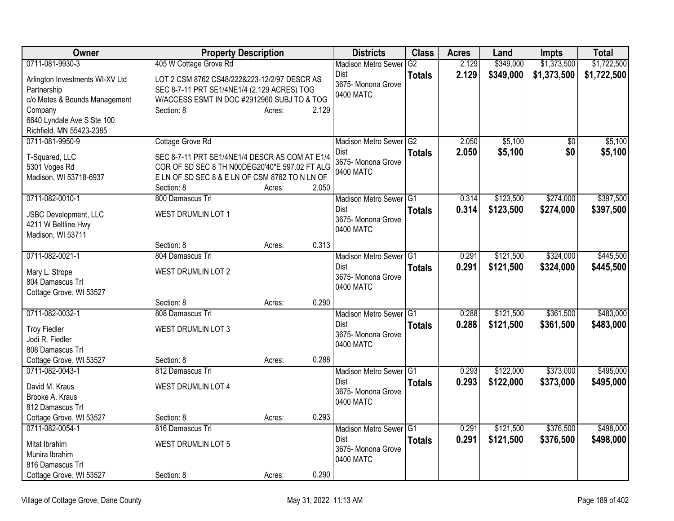| Owner                                        | <b>Property Description</b>                    |                 | <b>Districts</b>           | <b>Class</b>  | <b>Acres</b> | Land      | <b>Impts</b>    | <b>Total</b> |
|----------------------------------------------|------------------------------------------------|-----------------|----------------------------|---------------|--------------|-----------|-----------------|--------------|
| 0711-081-9930-3                              | 405 W Cottage Grove Rd                         |                 | <b>Madison Metro Sewer</b> | G2            | 2.129        | \$349,000 | \$1,373,500     | \$1,722,500  |
| Arlington Investments WI-XV Ltd              | LOT 2 CSM 8762 CS48/222&223-12/2/97 DESCR AS   |                 | <b>Dist</b>                | <b>Totals</b> | 2.129        | \$349,000 | \$1,373,500     | \$1,722,500  |
| Partnership                                  | SEC 8-7-11 PRT SE1/4NE1/4 (2.129 ACRES) TOG    |                 | 3675- Monona Grove         |               |              |           |                 |              |
| c/o Metes & Bounds Management                | W/ACCESS ESMT IN DOC #2912960 SUBJ TO & TOG    |                 | 0400 MATC                  |               |              |           |                 |              |
| Company                                      | Section: 8                                     | 2.129<br>Acres: |                            |               |              |           |                 |              |
| 6640 Lyndale Ave S Ste 100                   |                                                |                 |                            |               |              |           |                 |              |
| Richfield, MN 55423-2385                     |                                                |                 |                            |               |              |           |                 |              |
| 0711-081-9950-9                              | Cottage Grove Rd                               |                 | Madison Metro Sewer G2     |               | 2.050        | \$5,100   | $\overline{50}$ | \$5,100      |
| T-Squared, LLC                               | SEC 8-7-11 PRT SE1/4NE1/4 DESCR AS COM AT E1/4 |                 | Dist                       | <b>Totals</b> | 2.050        | \$5,100   | \$0             | \$5,100      |
| 5301 Voges Rd                                | COR OF SD SEC 8 TH N00DEG20'40"E 597.02 FT ALG |                 | 3675- Monona Grove         |               |              |           |                 |              |
| Madison, WI 53718-6937                       | ELN OF SD SEC 8 & ELN OF CSM 8762 TO N LN OF   |                 | 0400 MATC                  |               |              |           |                 |              |
|                                              | Section: 8                                     | 2.050<br>Acres: |                            |               |              |           |                 |              |
| 0711-082-0010-1                              | 800 Damascus Trl                               |                 | Madison Metro Sewer G1     |               | 0.314        | \$123,500 | \$274,000       | \$397,500    |
|                                              | WEST DRUMLIN LOT 1                             |                 | Dist                       | <b>Totals</b> | 0.314        | \$123,500 | \$274,000       | \$397,500    |
| JSBC Development, LLC<br>4211 W Beltline Hwy |                                                |                 | 3675-Monona Grove          |               |              |           |                 |              |
| Madison, WI 53711                            |                                                |                 | 0400 MATC                  |               |              |           |                 |              |
|                                              | Section: 8                                     | 0.313<br>Acres: |                            |               |              |           |                 |              |
| 0711-082-0021-1                              | 804 Damascus Trl                               |                 | Madison Metro Sewer G1     |               | 0.291        | \$121,500 | \$324,000       | \$445,500    |
| Mary L. Strope                               | <b>WEST DRUMLIN LOT 2</b>                      |                 | Dist                       | <b>Totals</b> | 0.291        | \$121,500 | \$324,000       | \$445,500    |
| 804 Damascus Trl                             |                                                |                 | 3675- Monona Grove         |               |              |           |                 |              |
| Cottage Grove, WI 53527                      |                                                |                 | 0400 MATC                  |               |              |           |                 |              |
|                                              | Section: 8                                     | 0.290<br>Acres: |                            |               |              |           |                 |              |
| 0711-082-0032-1                              | 808 Damascus Trl                               |                 | Madison Metro Sewer G1     |               | 0.288        | \$121,500 | \$361,500       | \$483,000    |
|                                              |                                                |                 | <b>Dist</b>                | <b>Totals</b> | 0.288        | \$121,500 | \$361,500       | \$483,000    |
| <b>Troy Fiedler</b>                          | <b>WEST DRUMLIN LOT 3</b>                      |                 | 3675- Monona Grove         |               |              |           |                 |              |
| Jodi R. Fiedler                              |                                                |                 | 0400 MATC                  |               |              |           |                 |              |
| 808 Damascus Trl                             | Section: 8                                     | 0.288           |                            |               |              |           |                 |              |
| Cottage Grove, WI 53527<br>0711-082-0043-1   | 812 Damascus Trl                               | Acres:          | Madison Metro Sewer G1     |               | 0.293        | \$122,000 | \$373,000       | \$495,000    |
|                                              |                                                |                 | Dist                       | <b>Totals</b> | 0.293        | \$122,000 | \$373,000       | \$495,000    |
| David M. Kraus                               | <b>WEST DRUMLIN LOT 4</b>                      |                 | 3675- Monona Grove         |               |              |           |                 |              |
| Brooke A. Kraus                              |                                                |                 | 0400 MATC                  |               |              |           |                 |              |
| 812 Damascus Trl                             |                                                |                 |                            |               |              |           |                 |              |
| Cottage Grove, WI 53527                      | Section: 8                                     | 0.293<br>Acres: |                            |               |              |           |                 |              |
| 0711-082-0054-1                              | 816 Damascus Trl                               |                 | Madison Metro Sewer G1     |               | 0.291        | \$121,500 | \$376,500       | \$498,000    |
| Mitat Ibrahim                                | <b>WEST DRUMLIN LOT 5</b>                      |                 | Dist<br>3675- Monona Grove | <b>Totals</b> | 0.291        | \$121,500 | \$376,500       | \$498,000    |
| Munira Ibrahim                               |                                                |                 | 0400 MATC                  |               |              |           |                 |              |
| 816 Damascus Trl                             |                                                |                 |                            |               |              |           |                 |              |
| Cottage Grove, WI 53527                      | Section: 8                                     | 0.290<br>Acres: |                            |               |              |           |                 |              |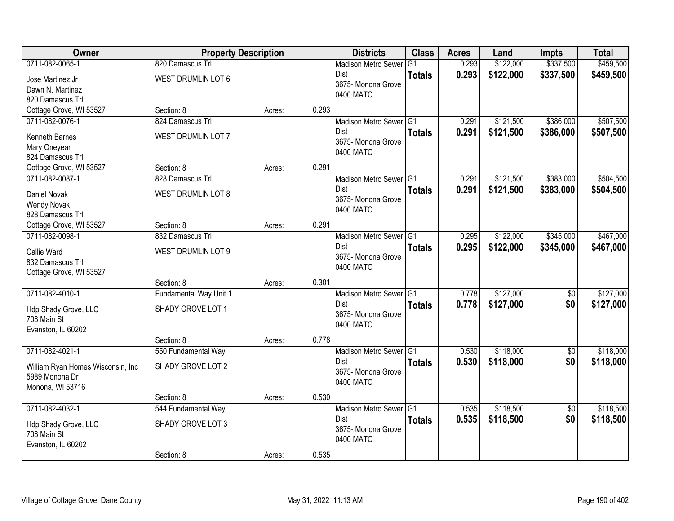| Owner                              | <b>Property Description</b> |        |       | <b>Districts</b>           | <b>Class</b>  | <b>Acres</b> | Land      | <b>Impts</b>    | <b>Total</b> |
|------------------------------------|-----------------------------|--------|-------|----------------------------|---------------|--------------|-----------|-----------------|--------------|
| 0711-082-0065-1                    | 820 Damascus Trl            |        |       | <b>Madison Metro Sewer</b> | G1            | 0.293        | \$122,000 | \$337,500       | \$459,500    |
| Jose Martinez Jr                   | <b>WEST DRUMLIN LOT 6</b>   |        |       | Dist                       | <b>Totals</b> | 0.293        | \$122,000 | \$337,500       | \$459,500    |
| Dawn N. Martinez                   |                             |        |       | 3675- Monona Grove         |               |              |           |                 |              |
| 820 Damascus Trl                   |                             |        |       | 0400 MATC                  |               |              |           |                 |              |
| Cottage Grove, WI 53527            | Section: 8                  | Acres: | 0.293 |                            |               |              |           |                 |              |
| 0711-082-0076-1                    | 824 Damascus Trl            |        |       | Madison Metro Sewer G1     |               | 0.291        | \$121,500 | \$386,000       | \$507,500    |
| Kenneth Barnes                     | WEST DRUMLIN LOT 7          |        |       | <b>Dist</b>                | <b>Totals</b> | 0.291        | \$121,500 | \$386,000       | \$507,500    |
| Mary Oneyear                       |                             |        |       | 3675- Monona Grove         |               |              |           |                 |              |
| 824 Damascus Trl                   |                             |        |       | 0400 MATC                  |               |              |           |                 |              |
| Cottage Grove, WI 53527            | Section: 8                  | Acres: | 0.291 |                            |               |              |           |                 |              |
| 0711-082-0087-1                    | 828 Damascus Trl            |        |       | Madison Metro Sewer G1     |               | 0.291        | \$121,500 | \$383,000       | \$504,500    |
| Daniel Novak                       | <b>WEST DRUMLIN LOT 8</b>   |        |       | Dist                       | <b>Totals</b> | 0.291        | \$121,500 | \$383,000       | \$504,500    |
| <b>Wendy Novak</b>                 |                             |        |       | 3675- Monona Grove         |               |              |           |                 |              |
| 828 Damascus Trl                   |                             |        |       | 0400 MATC                  |               |              |           |                 |              |
| Cottage Grove, WI 53527            | Section: 8                  | Acres: | 0.291 |                            |               |              |           |                 |              |
| 0711-082-0098-1                    | 832 Damascus Trl            |        |       | Madison Metro Sewer G1     |               | 0.295        | \$122,000 | \$345,000       | \$467,000    |
|                                    |                             |        |       | Dist                       | <b>Totals</b> | 0.295        | \$122,000 | \$345,000       | \$467,000    |
| Callie Ward<br>832 Damascus Trl    | <b>WEST DRUMLIN LOT 9</b>   |        |       | 3675- Monona Grove         |               |              |           |                 |              |
| Cottage Grove, WI 53527            |                             |        |       | 0400 MATC                  |               |              |           |                 |              |
|                                    | Section: 8                  | Acres: | 0.301 |                            |               |              |           |                 |              |
| 0711-082-4010-1                    | Fundamental Way Unit 1      |        |       | Madison Metro Sewer G1     |               | 0.778        | \$127,000 | \$0             | \$127,000    |
|                                    |                             |        |       | <b>Dist</b>                | <b>Totals</b> | 0.778        | \$127,000 | \$0             | \$127,000    |
| Hdp Shady Grove, LLC               | SHADY GROVE LOT 1           |        |       | 3675- Monona Grove         |               |              |           |                 |              |
| 708 Main St<br>Evanston, IL 60202  |                             |        |       | 0400 MATC                  |               |              |           |                 |              |
|                                    | Section: 8                  | Acres: | 0.778 |                            |               |              |           |                 |              |
| 0711-082-4021-1                    | 550 Fundamental Way         |        |       | Madison Metro Sewer G1     |               | 0.530        | \$118,000 | $\overline{50}$ | \$118,000    |
|                                    |                             |        |       | Dist                       | <b>Totals</b> | 0.530        | \$118,000 | \$0             | \$118,000    |
| William Ryan Homes Wisconsin, Inc  | SHADY GROVE LOT 2           |        |       | 3675- Monona Grove         |               |              |           |                 |              |
| 5989 Monona Dr<br>Monona, WI 53716 |                             |        |       | 0400 MATC                  |               |              |           |                 |              |
|                                    | Section: 8                  | Acres: | 0.530 |                            |               |              |           |                 |              |
| 0711-082-4032-1                    | 544 Fundamental Way         |        |       | Madison Metro Sewer G1     |               | 0.535        | \$118,500 | $\overline{50}$ | \$118,500    |
|                                    |                             |        |       | Dist                       | <b>Totals</b> | 0.535        | \$118,500 | \$0             | \$118,500    |
| Hdp Shady Grove, LLC               | SHADY GROVE LOT 3           |        |       | 3675- Monona Grove         |               |              |           |                 |              |
| 708 Main St                        |                             |        |       | 0400 MATC                  |               |              |           |                 |              |
| Evanston, IL 60202                 | Section: 8                  |        | 0.535 |                            |               |              |           |                 |              |
|                                    |                             | Acres: |       |                            |               |              |           |                 |              |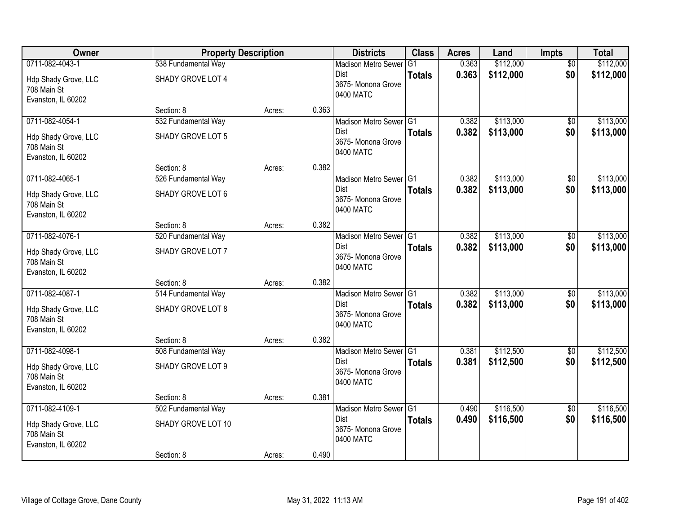| Owner                               | <b>Property Description</b> |        |       | <b>Districts</b>                  | <b>Class</b>  | <b>Acres</b>   | Land                   | <b>Impts</b>           | <b>Total</b> |
|-------------------------------------|-----------------------------|--------|-------|-----------------------------------|---------------|----------------|------------------------|------------------------|--------------|
| 0711-082-4043-1                     | 538 Fundamental Way         |        |       | <b>Madison Metro Sewer</b>        | G1            | 0.363          | \$112,000              | $\overline{50}$        | \$112,000    |
| Hdp Shady Grove, LLC                | SHADY GROVE LOT 4           |        |       | Dist<br>3675- Monona Grove        | <b>Totals</b> | 0.363          | \$112,000              | \$0                    | \$112,000    |
| 708 Main St                         |                             |        |       | 0400 MATC                         |               |                |                        |                        |              |
| Evanston, IL 60202                  |                             |        |       |                                   |               |                |                        |                        |              |
|                                     | Section: 8                  | Acres: | 0.363 |                                   |               |                |                        |                        |              |
| 0711-082-4054-1                     | 532 Fundamental Way         |        |       | Madison Metro Sewer G1<br>Dist    |               | 0.382<br>0.382 | \$113,000<br>\$113,000 | \$0<br>\$0             | \$113,000    |
| Hdp Shady Grove, LLC                | SHADY GROVE LOT 5           |        |       | 3675- Monona Grove                | <b>Totals</b> |                |                        |                        | \$113,000    |
| 708 Main St                         |                             |        |       | 0400 MATC                         |               |                |                        |                        |              |
| Evanston, IL 60202                  | Section: 8                  | Acres: | 0.382 |                                   |               |                |                        |                        |              |
| 0711-082-4065-1                     | 526 Fundamental Way         |        |       | Madison Metro Sewer G1            |               | 0.382          | \$113,000              | \$0                    | \$113,000    |
|                                     |                             |        |       | Dist                              | <b>Totals</b> | 0.382          | \$113,000              | \$0                    | \$113,000    |
| Hdp Shady Grove, LLC<br>708 Main St | SHADY GROVE LOT 6           |        |       | 3675- Monona Grove                |               |                |                        |                        |              |
| Evanston, IL 60202                  |                             |        |       | 0400 MATC                         |               |                |                        |                        |              |
|                                     | Section: 8                  | Acres: | 0.382 |                                   |               |                |                        |                        |              |
| 0711-082-4076-1                     | 520 Fundamental Way         |        |       | Madison Metro Sewer G1            |               | 0.382          | \$113,000              | \$0                    | \$113,000    |
| Hdp Shady Grove, LLC                | SHADY GROVE LOT 7           |        |       | Dist                              | <b>Totals</b> | 0.382          | \$113,000              | \$0                    | \$113,000    |
| 708 Main St                         |                             |        |       | 3675- Monona Grove                |               |                |                        |                        |              |
| Evanston, IL 60202                  |                             |        |       | 0400 MATC                         |               |                |                        |                        |              |
|                                     | Section: 8                  | Acres: | 0.382 |                                   |               |                |                        |                        |              |
| 0711-082-4087-1                     | 514 Fundamental Way         |        |       | Madison Metro Sewer G1            |               | 0.382          | \$113,000              | $\overline{50}$        | \$113,000    |
| Hdp Shady Grove, LLC                | SHADY GROVE LOT 8           |        |       | <b>Dist</b><br>3675- Monona Grove | <b>Totals</b> | 0.382          | \$113,000              | \$0                    | \$113,000    |
| 708 Main St                         |                             |        |       | 0400 MATC                         |               |                |                        |                        |              |
| Evanston, IL 60202                  |                             |        |       |                                   |               |                |                        |                        |              |
| 0711-082-4098-1                     | Section: 8                  | Acres: | 0.382 |                                   |               |                | \$112,500              |                        | \$112,500    |
|                                     | 508 Fundamental Way         |        |       | Madison Metro Sewer G1<br>Dist    | <b>Totals</b> | 0.381<br>0.381 | \$112,500              | $\overline{50}$<br>\$0 | \$112,500    |
| Hdp Shady Grove, LLC                | SHADY GROVE LOT 9           |        |       | 3675- Monona Grove                |               |                |                        |                        |              |
| 708 Main St<br>Evanston, IL 60202   |                             |        |       | 0400 MATC                         |               |                |                        |                        |              |
|                                     | Section: 8                  | Acres: | 0.381 |                                   |               |                |                        |                        |              |
| 0711-082-4109-1                     | 502 Fundamental Way         |        |       | Madison Metro Sewer G1            |               | 0.490          | \$116,500              | $\overline{50}$        | \$116,500    |
| Hdp Shady Grove, LLC                | SHADY GROVE LOT 10          |        |       | Dist                              | <b>Totals</b> | 0.490          | \$116,500              | \$0                    | \$116,500    |
| 708 Main St                         |                             |        |       | 3675- Monona Grove                |               |                |                        |                        |              |
| Evanston, IL 60202                  |                             |        |       | 0400 MATC                         |               |                |                        |                        |              |
|                                     | Section: 8                  | Acres: | 0.490 |                                   |               |                |                        |                        |              |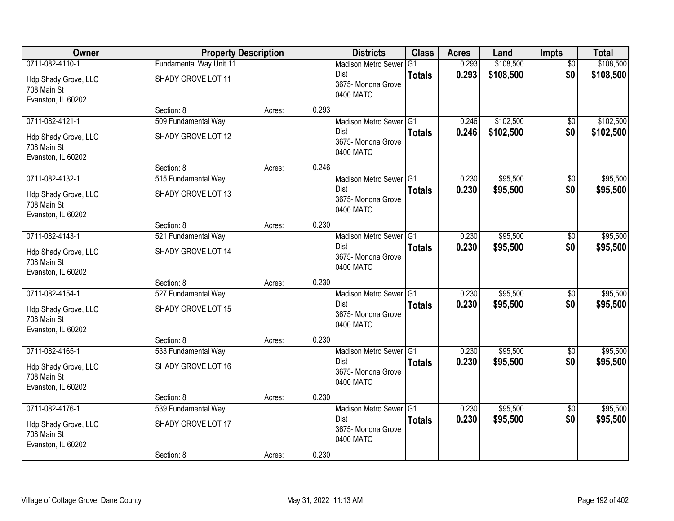| Owner                                                                        | <b>Property Description</b>               |        |       | <b>Districts</b>                                                         | <b>Class</b>   | <b>Acres</b>   | Land                   | <b>Impts</b>           | <b>Total</b>           |
|------------------------------------------------------------------------------|-------------------------------------------|--------|-------|--------------------------------------------------------------------------|----------------|----------------|------------------------|------------------------|------------------------|
| 0711-082-4110-1                                                              | Fundamental Way Unit 11                   |        |       | <b>Madison Metro Sewer</b>                                               | G <sub>1</sub> | 0.293          | \$108,500              | $\overline{50}$        | \$108,500              |
| Hdp Shady Grove, LLC<br>708 Main St<br>Evanston, IL 60202                    | SHADY GROVE LOT 11                        |        |       | Dist<br>3675- Monona Grove<br>0400 MATC                                  | <b>Totals</b>  | 0.293          | \$108,500              | \$0                    | \$108,500              |
|                                                                              | Section: 8                                | Acres: | 0.293 |                                                                          |                |                |                        |                        |                        |
| 0711-082-4121-1<br>Hdp Shady Grove, LLC<br>708 Main St<br>Evanston, IL 60202 | 509 Fundamental Way<br>SHADY GROVE LOT 12 |        |       | Madison Metro Sewer G1<br>Dist<br>3675- Monona Grove<br>0400 MATC        | <b>Totals</b>  | 0.246<br>0.246 | \$102,500<br>\$102,500 | \$0<br>\$0             | \$102,500<br>\$102,500 |
|                                                                              | Section: 8                                | Acres: | 0.246 |                                                                          |                |                |                        |                        |                        |
| 0711-082-4132-1<br>Hdp Shady Grove, LLC<br>708 Main St<br>Evanston, IL 60202 | 515 Fundamental Way<br>SHADY GROVE LOT 13 |        |       | Madison Metro Sewer G1<br><b>Dist</b><br>3675- Monona Grove<br>0400 MATC | <b>Totals</b>  | 0.230<br>0.230 | \$95,500<br>\$95,500   | \$0<br>\$0             | \$95,500<br>\$95,500   |
|                                                                              | Section: 8                                | Acres: | 0.230 |                                                                          |                |                |                        |                        |                        |
| 0711-082-4143-1<br>Hdp Shady Grove, LLC<br>708 Main St<br>Evanston, IL 60202 | 521 Fundamental Way<br>SHADY GROVE LOT 14 |        |       | Madison Metro Sewer G1<br><b>Dist</b><br>3675- Monona Grove<br>0400 MATC | <b>Totals</b>  | 0.230<br>0.230 | \$95,500<br>\$95,500   | \$0<br>\$0             | \$95,500<br>\$95,500   |
|                                                                              | Section: 8                                | Acres: | 0.230 |                                                                          |                |                |                        |                        |                        |
| 0711-082-4154-1<br>Hdp Shady Grove, LLC<br>708 Main St<br>Evanston, IL 60202 | 527 Fundamental Way<br>SHADY GROVE LOT 15 |        |       | Madison Metro Sewer G1<br>Dist<br>3675- Monona Grove<br>0400 MATC        | <b>Totals</b>  | 0.230<br>0.230 | \$95,500<br>\$95,500   | \$0<br>\$0             | \$95,500<br>\$95,500   |
|                                                                              | Section: 8                                | Acres: | 0.230 |                                                                          |                |                |                        |                        |                        |
| 0711-082-4165-1<br>Hdp Shady Grove, LLC<br>708 Main St<br>Evanston, IL 60202 | 533 Fundamental Way<br>SHADY GROVE LOT 16 |        |       | Madison Metro Sewer G1<br><b>Dist</b><br>3675- Monona Grove<br>0400 MATC | <b>Totals</b>  | 0.230<br>0.230 | \$95,500<br>\$95,500   | $\overline{60}$<br>\$0 | \$95,500<br>\$95,500   |
|                                                                              | Section: 8                                | Acres: | 0.230 |                                                                          |                |                |                        |                        |                        |
| 0711-082-4176-1<br>Hdp Shady Grove, LLC<br>708 Main St<br>Evanston, IL 60202 | 539 Fundamental Way<br>SHADY GROVE LOT 17 |        |       | Madison Metro Sewer G1<br>Dist<br>3675- Monona Grove<br>0400 MATC        | <b>Totals</b>  | 0.230<br>0.230 | \$95,500<br>\$95,500   | $\overline{50}$<br>\$0 | \$95,500<br>\$95,500   |
|                                                                              | Section: 8                                | Acres: | 0.230 |                                                                          |                |                |                        |                        |                        |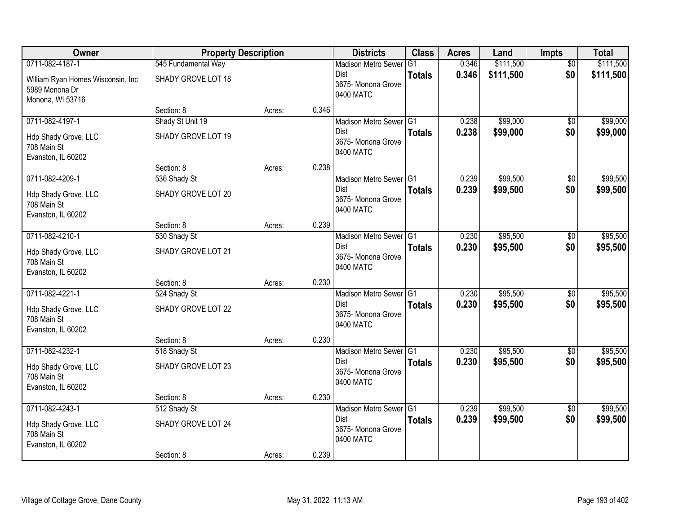| Owner                                                                   | <b>Property Description</b>            |        |       | <b>Districts</b>                               | <b>Class</b>   | <b>Acres</b>   | Land                 | Impts           | <b>Total</b>         |
|-------------------------------------------------------------------------|----------------------------------------|--------|-------|------------------------------------------------|----------------|----------------|----------------------|-----------------|----------------------|
| 0711-082-4187-1                                                         | 545 Fundamental Way                    |        |       | <b>Madison Metro Sewer</b>                     | G <sub>1</sub> | 0.346          | \$111,500            | $\overline{50}$ | \$111,500            |
| William Ryan Homes Wisconsin, Inc<br>5989 Monona Dr<br>Monona, WI 53716 | SHADY GROVE LOT 18                     |        |       | Dist<br>3675- Monona Grove<br>0400 MATC        | <b>Totals</b>  | 0.346          | \$111,500            | \$0             | \$111,500            |
|                                                                         | Section: 8                             | Acres: | 0.346 |                                                |                |                |                      |                 |                      |
| 0711-082-4197-1<br>Hdp Shady Grove, LLC                                 | Shady St Unit 19<br>SHADY GROVE LOT 19 |        |       | Madison Metro Sewer G1<br><b>Dist</b>          | <b>Totals</b>  | 0.238<br>0.238 | \$99,000<br>\$99,000 | \$0<br>\$0      | \$99,000<br>\$99,000 |
| 708 Main St<br>Evanston, IL 60202                                       |                                        |        |       | 3675- Monona Grove<br>0400 MATC                |                |                |                      |                 |                      |
|                                                                         | Section: 8                             | Acres: | 0.238 |                                                |                |                |                      |                 |                      |
| 0711-082-4209-1                                                         | 536 Shady St                           |        |       | Madison Metro Sewer G1                         |                | 0.239          | \$99,500             | $\overline{50}$ | \$99,500             |
| Hdp Shady Grove, LLC<br>708 Main St<br>Evanston, IL 60202               | SHADY GROVE LOT 20                     |        |       | Dist<br>3675- Monona Grove<br>0400 MATC        | <b>Totals</b>  | 0.239          | \$99,500             | \$0             | \$99,500             |
|                                                                         | Section: 8                             | Acres: | 0.239 |                                                |                |                |                      |                 |                      |
| 0711-082-4210-1                                                         | 530 Shady St                           |        |       | Madison Metro Sewer G1                         |                | 0.230          | \$95,500             | \$0             | \$95,500             |
| Hdp Shady Grove, LLC<br>708 Main St<br>Evanston, IL 60202               | SHADY GROVE LOT 21                     |        |       | Dist<br>3675- Monona Grove<br>0400 MATC        | <b>Totals</b>  | 0.230          | \$95,500             | \$0             | \$95,500             |
|                                                                         | Section: 8                             | Acres: | 0.230 |                                                |                |                |                      |                 |                      |
| 0711-082-4221-1                                                         | 524 Shady St                           |        |       | Madison Metro Sewer <sup>G1</sup>              |                | 0.230          | \$95,500             | $\overline{50}$ | \$95,500             |
| Hdp Shady Grove, LLC<br>708 Main St<br>Evanston, IL 60202               | SHADY GROVE LOT 22                     |        |       | <b>Dist</b><br>3675- Monona Grove<br>0400 MATC | <b>Totals</b>  | 0.230          | \$95,500             | \$0             | \$95,500             |
|                                                                         | Section: 8                             | Acres: | 0.230 |                                                |                |                |                      |                 |                      |
| 0711-082-4232-1                                                         | 518 Shady St                           |        |       | Madison Metro Sewer G1                         |                | 0.230          | \$95,500             | $\sqrt{6}$      | \$95,500             |
| Hdp Shady Grove, LLC<br>708 Main St<br>Evanston, IL 60202               | SHADY GROVE LOT 23                     |        |       | <b>Dist</b><br>3675- Monona Grove<br>0400 MATC | <b>Totals</b>  | 0.230          | \$95,500             | \$0             | \$95,500             |
|                                                                         | Section: 8                             | Acres: | 0.230 |                                                |                |                |                      |                 |                      |
| 0711-082-4243-1                                                         | 512 Shady St                           |        |       | Madison Metro Sewer G1                         |                | 0.239          | \$99,500             | $\overline{50}$ | \$99,500             |
| Hdp Shady Grove, LLC<br>708 Main St<br>Evanston, IL 60202               | SHADY GROVE LOT 24                     |        |       | Dist<br>3675- Monona Grove<br>0400 MATC        | <b>Totals</b>  | 0.239          | \$99,500             | \$0             | \$99,500             |
|                                                                         | Section: 8                             | Acres: | 0.239 |                                                |                |                |                      |                 |                      |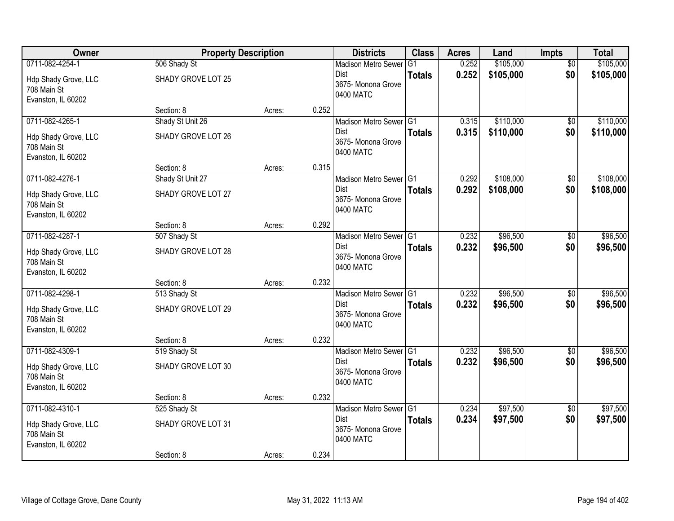| Owner                                                                        | <b>Property Description</b>                      |        |       | <b>Districts</b>                                                                    | <b>Class</b>   | <b>Acres</b>   | Land                   | Impts                  | <b>Total</b>           |
|------------------------------------------------------------------------------|--------------------------------------------------|--------|-------|-------------------------------------------------------------------------------------|----------------|----------------|------------------------|------------------------|------------------------|
| 0711-082-4254-1                                                              | 506 Shady St                                     |        |       | <b>Madison Metro Sewer</b>                                                          | G <sub>1</sub> | 0.252          | \$105,000              | $\overline{50}$        | \$105,000              |
| Hdp Shady Grove, LLC<br>708 Main St<br>Evanston, IL 60202                    | SHADY GROVE LOT 25                               |        |       | Dist<br>3675- Monona Grove<br>0400 MATC                                             | <b>Totals</b>  | 0.252          | \$105,000              | \$0                    | \$105,000              |
|                                                                              | Section: 8                                       | Acres: | 0.252 |                                                                                     |                |                |                        |                        |                        |
| 0711-082-4265-1<br>Hdp Shady Grove, LLC<br>708 Main St<br>Evanston, IL 60202 | Shady St Unit 26<br>SHADY GROVE LOT 26           |        |       | Madison Metro Sewer G1<br><b>Dist</b><br>3675- Monona Grove<br>0400 MATC            | <b>Totals</b>  | 0.315<br>0.315 | \$110,000<br>\$110,000 | \$0<br>\$0             | \$110,000<br>\$110,000 |
|                                                                              | Section: 8                                       | Acres: | 0.315 |                                                                                     |                |                |                        |                        |                        |
| 0711-082-4276-1<br>Hdp Shady Grove, LLC<br>708 Main St<br>Evanston, IL 60202 | Shady St Unit 27<br>SHADY GROVE LOT 27           |        |       | Madison Metro Sewer G1<br>Dist<br>3675- Monona Grove<br>0400 MATC                   | <b>Totals</b>  | 0.292<br>0.292 | \$108,000<br>\$108,000 | $\overline{50}$<br>\$0 | \$108,000<br>\$108,000 |
|                                                                              | Section: 8                                       | Acres: | 0.292 |                                                                                     |                |                |                        |                        |                        |
| 0711-082-4287-1<br>Hdp Shady Grove, LLC<br>708 Main St<br>Evanston, IL 60202 | 507 Shady St<br>SHADY GROVE LOT 28               |        |       | Madison Metro Sewer G1<br>Dist<br>3675- Monona Grove<br>0400 MATC                   | <b>Totals</b>  | 0.232<br>0.232 | \$96,500<br>\$96,500   | $\sqrt[6]{3}$<br>\$0   | \$96,500<br>\$96,500   |
|                                                                              | Section: 8                                       | Acres: | 0.232 |                                                                                     |                |                |                        |                        |                        |
| 0711-082-4298-1<br>Hdp Shady Grove, LLC<br>708 Main St<br>Evanston, IL 60202 | 513 Shady St<br>SHADY GROVE LOT 29               |        |       | Madison Metro Sewer <sup>G1</sup><br><b>Dist</b><br>3675- Monona Grove<br>0400 MATC | <b>Totals</b>  | 0.232<br>0.232 | \$96,500<br>\$96,500   | $\overline{50}$<br>\$0 | \$96,500<br>\$96,500   |
|                                                                              | Section: 8                                       | Acres: | 0.232 |                                                                                     |                |                |                        |                        |                        |
| 0711-082-4309-1<br>Hdp Shady Grove, LLC<br>708 Main St<br>Evanston, IL 60202 | 519 Shady St<br>SHADY GROVE LOT 30               |        |       | Madison Metro Sewer G1<br><b>Dist</b><br>3675- Monona Grove<br>0400 MATC            | <b>Totals</b>  | 0.232<br>0.232 | \$96,500<br>\$96,500   | $\sqrt{6}$<br>\$0      | \$96,500<br>\$96,500   |
|                                                                              | Section: 8                                       | Acres: | 0.232 |                                                                                     |                |                |                        |                        |                        |
| 0711-082-4310-1<br>Hdp Shady Grove, LLC<br>708 Main St<br>Evanston, IL 60202 | 525 Shady St<br>SHADY GROVE LOT 31<br>Section: 8 | Acres: | 0.234 | Madison Metro Sewer G1<br>Dist<br>3675- Monona Grove<br>0400 MATC                   | <b>Totals</b>  | 0.234<br>0.234 | \$97,500<br>\$97,500   | $\overline{50}$<br>\$0 | \$97,500<br>\$97,500   |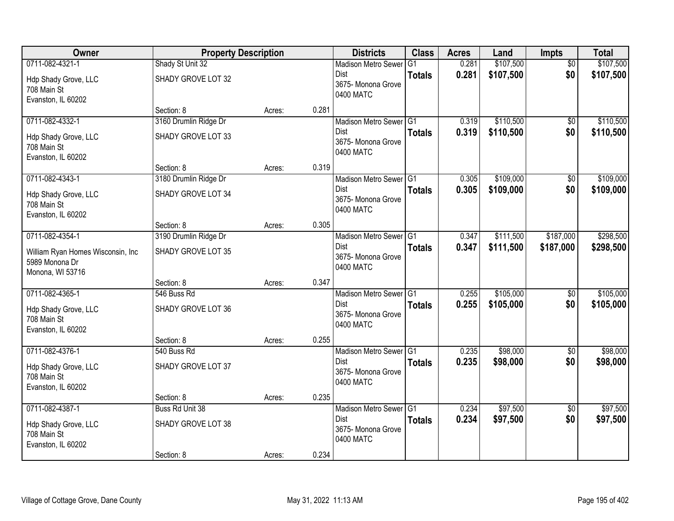| Owner                               | <b>Property Description</b> |        |       | <b>Districts</b>                | <b>Class</b>  | <b>Acres</b>   | Land                   | <b>Impts</b>    | <b>Total</b> |
|-------------------------------------|-----------------------------|--------|-------|---------------------------------|---------------|----------------|------------------------|-----------------|--------------|
| 0711-082-4321-1                     | Shady St Unit 32            |        |       | <b>Madison Metro Sewer</b>      | G1            | 0.281          | \$107,500              | $\overline{50}$ | \$107,500    |
| Hdp Shady Grove, LLC                | SHADY GROVE LOT 32          |        |       | Dist                            | <b>Totals</b> | 0.281          | \$107,500              | \$0             | \$107,500    |
| 708 Main St                         |                             |        |       | 3675- Monona Grove<br>0400 MATC |               |                |                        |                 |              |
| Evanston, IL 60202                  |                             |        |       |                                 |               |                |                        |                 |              |
|                                     | Section: 8                  | Acres: | 0.281 |                                 |               |                |                        |                 |              |
| 0711-082-4332-1                     | 3160 Drumlin Ridge Dr       |        |       | Madison Metro Sewer G1          |               | 0.319          | \$110,500              | \$0             | \$110,500    |
| Hdp Shady Grove, LLC                | SHADY GROVE LOT 33          |        |       | Dist<br>3675- Monona Grove      | <b>Totals</b> | 0.319          | \$110,500              | \$0             | \$110,500    |
| 708 Main St                         |                             |        |       | 0400 MATC                       |               |                |                        |                 |              |
| Evanston, IL 60202                  |                             |        |       |                                 |               |                |                        |                 |              |
|                                     | Section: 8                  | Acres: | 0.319 |                                 |               |                |                        |                 | \$109,000    |
| 0711-082-4343-1                     | 3180 Drumlin Ridge Dr       |        |       | Madison Metro Sewer G1<br>Dist  |               | 0.305<br>0.305 | \$109,000<br>\$109,000 | \$0<br>\$0      |              |
| Hdp Shady Grove, LLC                | SHADY GROVE LOT 34          |        |       | 3675- Monona Grove              | <b>Totals</b> |                |                        |                 | \$109,000    |
| 708 Main St                         |                             |        |       | 0400 MATC                       |               |                |                        |                 |              |
| Evanston, IL 60202                  | Section: 8                  |        | 0.305 |                                 |               |                |                        |                 |              |
| 0711-082-4354-1                     | 3190 Drumlin Ridge Dr       | Acres: |       | Madison Metro Sewer G1          |               | 0.347          | \$111,500              | \$187,000       | \$298,500    |
|                                     |                             |        |       | Dist                            | <b>Totals</b> | 0.347          | \$111,500              | \$187,000       | \$298,500    |
| William Ryan Homes Wisconsin, Inc   | SHADY GROVE LOT 35          |        |       | 3675- Monona Grove              |               |                |                        |                 |              |
| 5989 Monona Dr<br>Monona, WI 53716  |                             |        |       | 0400 MATC                       |               |                |                        |                 |              |
|                                     | Section: 8                  | Acres: | 0.347 |                                 |               |                |                        |                 |              |
| 0711-082-4365-1                     | 546 Buss Rd                 |        |       | Madison Metro Sewer G1          |               | 0.255          | \$105,000              | \$0             | \$105,000    |
|                                     |                             |        |       | <b>Dist</b>                     | <b>Totals</b> | 0.255          | \$105,000              | \$0             | \$105,000    |
| Hdp Shady Grove, LLC<br>708 Main St | SHADY GROVE LOT 36          |        |       | 3675- Monona Grove              |               |                |                        |                 |              |
| Evanston, IL 60202                  |                             |        |       | 0400 MATC                       |               |                |                        |                 |              |
|                                     | Section: 8                  | Acres: | 0.255 |                                 |               |                |                        |                 |              |
| 0711-082-4376-1                     | 540 Buss Rd                 |        |       | Madison Metro Sewer G1          |               | 0.235          | \$98,000               | $\overline{60}$ | \$98,000     |
| Hdp Shady Grove, LLC                | SHADY GROVE LOT 37          |        |       | <b>Dist</b>                     | <b>Totals</b> | 0.235          | \$98,000               | \$0             | \$98,000     |
| 708 Main St                         |                             |        |       | 3675- Monona Grove              |               |                |                        |                 |              |
| Evanston, IL 60202                  |                             |        |       | 0400 MATC                       |               |                |                        |                 |              |
|                                     | Section: 8                  | Acres: | 0.235 |                                 |               |                |                        |                 |              |
| 0711-082-4387-1                     | Buss Rd Unit 38             |        |       | Madison Metro Sewer G1          |               | 0.234          | \$97,500               | $\overline{50}$ | \$97,500     |
| Hdp Shady Grove, LLC                | SHADY GROVE LOT 38          |        |       | Dist                            | <b>Totals</b> | 0.234          | \$97,500               | \$0             | \$97,500     |
| 708 Main St                         |                             |        |       | 3675- Monona Grove<br>0400 MATC |               |                |                        |                 |              |
| Evanston, IL 60202                  |                             |        |       |                                 |               |                |                        |                 |              |
|                                     | Section: 8                  | Acres: | 0.234 |                                 |               |                |                        |                 |              |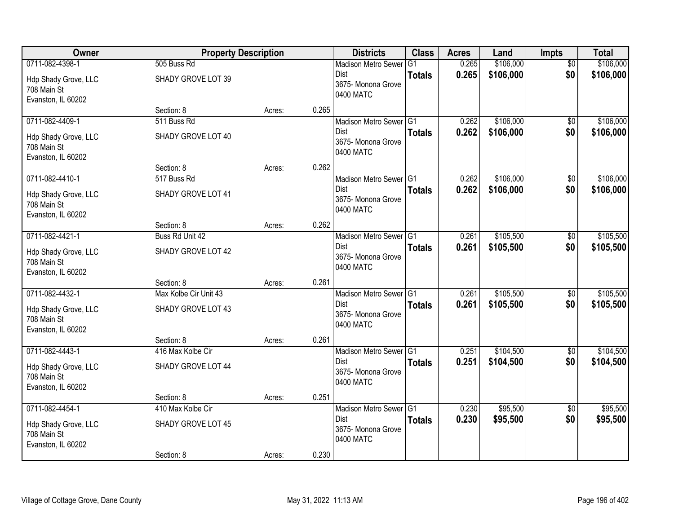| Owner                                                                        | <b>Property Description</b>                           |        |       | <b>Districts</b>                                                                    | <b>Class</b>   | <b>Acres</b>   | Land                   | Impts                  | <b>Total</b>           |
|------------------------------------------------------------------------------|-------------------------------------------------------|--------|-------|-------------------------------------------------------------------------------------|----------------|----------------|------------------------|------------------------|------------------------|
| 0711-082-4398-1                                                              | 505 Buss Rd                                           |        |       | <b>Madison Metro Sewer</b>                                                          | G <sub>1</sub> | 0.265          | \$106,000              | $\overline{50}$        | \$106,000              |
| Hdp Shady Grove, LLC<br>708 Main St<br>Evanston, IL 60202                    | SHADY GROVE LOT 39                                    |        |       | Dist<br>3675- Monona Grove<br>0400 MATC                                             | <b>Totals</b>  | 0.265          | \$106,000              | \$0                    | \$106,000              |
|                                                                              | Section: 8                                            | Acres: | 0.265 |                                                                                     |                |                |                        |                        |                        |
| 0711-082-4409-1<br>Hdp Shady Grove, LLC<br>708 Main St<br>Evanston, IL 60202 | 511 Buss Rd<br>SHADY GROVE LOT 40                     |        |       | Madison Metro Sewer G1<br>Dist<br>3675- Monona Grove<br>0400 MATC                   | <b>Totals</b>  | 0.262<br>0.262 | \$106,000<br>\$106,000 | \$0<br>\$0             | \$106,000<br>\$106,000 |
|                                                                              | Section: 8                                            | Acres: | 0.262 |                                                                                     |                |                |                        |                        |                        |
| 0711-082-4410-1<br>Hdp Shady Grove, LLC<br>708 Main St<br>Evanston, IL 60202 | 517 Buss Rd<br>SHADY GROVE LOT 41                     |        |       | Madison Metro Sewer G1<br>Dist<br>3675- Monona Grove<br>0400 MATC                   | <b>Totals</b>  | 0.262<br>0.262 | \$106,000<br>\$106,000 | $\overline{50}$<br>\$0 | \$106,000<br>\$106,000 |
|                                                                              | Section: 8                                            | Acres: | 0.262 |                                                                                     |                |                |                        |                        |                        |
| 0711-082-4421-1<br>Hdp Shady Grove, LLC<br>708 Main St                       | Buss Rd Unit 42<br>SHADY GROVE LOT 42                 |        |       | Madison Metro Sewer G1<br>Dist<br>3675- Monona Grove<br>0400 MATC                   | <b>Totals</b>  | 0.261<br>0.261 | \$105,500<br>\$105,500 | \$0<br>\$0             | \$105,500<br>\$105,500 |
| Evanston, IL 60202                                                           | Section: 8                                            | Acres: | 0.261 |                                                                                     |                |                |                        |                        |                        |
| 0711-082-4432-1<br>Hdp Shady Grove, LLC<br>708 Main St<br>Evanston, IL 60202 | Max Kolbe Cir Unit 43<br>SHADY GROVE LOT 43           |        |       | Madison Metro Sewer <sup>G1</sup><br><b>Dist</b><br>3675- Monona Grove<br>0400 MATC | <b>Totals</b>  | 0.261<br>0.261 | \$105,500<br>\$105,500 | $\overline{50}$<br>\$0 | \$105,500<br>\$105,500 |
|                                                                              | Section: 8                                            | Acres: | 0.261 |                                                                                     |                |                |                        |                        |                        |
| 0711-082-4443-1<br>Hdp Shady Grove, LLC<br>708 Main St<br>Evanston, IL 60202 | 416 Max Kolbe Cir<br>SHADY GROVE LOT 44               |        |       | Madison Metro Sewer G1<br><b>Dist</b><br>3675- Monona Grove<br>0400 MATC            | <b>Totals</b>  | 0.251<br>0.251 | \$104,500<br>\$104,500 | $\sqrt{6}$<br>\$0      | \$104,500<br>\$104,500 |
|                                                                              | Section: 8                                            | Acres: | 0.251 |                                                                                     |                |                |                        |                        |                        |
| 0711-082-4454-1<br>Hdp Shady Grove, LLC<br>708 Main St<br>Evanston, IL 60202 | 410 Max Kolbe Cir<br>SHADY GROVE LOT 45<br>Section: 8 | Acres: | 0.230 | Madison Metro Sewer G1<br>Dist<br>3675- Monona Grove<br>0400 MATC                   | <b>Totals</b>  | 0.230<br>0.230 | \$95,500<br>\$95,500   | $\overline{50}$<br>\$0 | \$95,500<br>\$95,500   |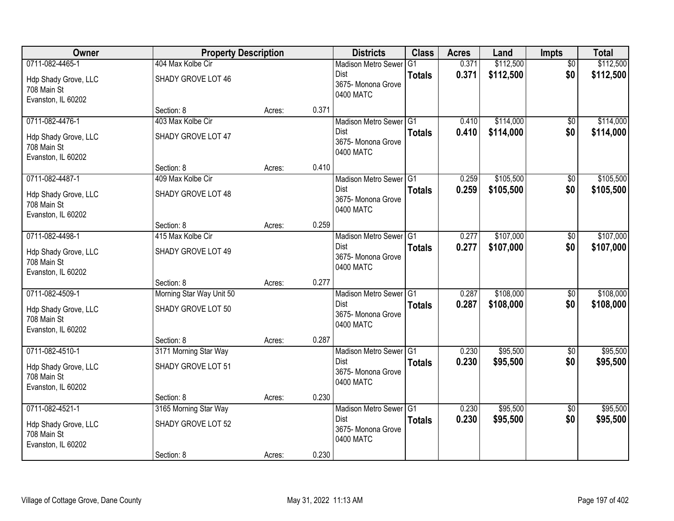| Owner                             | <b>Property Description</b>     |        |       | <b>Districts</b>               | <b>Class</b>  | <b>Acres</b> | Land      | <b>Impts</b>    | <b>Total</b> |
|-----------------------------------|---------------------------------|--------|-------|--------------------------------|---------------|--------------|-----------|-----------------|--------------|
| 0711-082-4465-1                   | 404 Max Kolbe Cir               |        |       | <b>Madison Metro Sewer</b>     | G1            | 0.371        | \$112,500 | $\overline{50}$ | \$112,500    |
| Hdp Shady Grove, LLC              | SHADY GROVE LOT 46              |        |       | Dist                           | <b>Totals</b> | 0.371        | \$112,500 | \$0             | \$112,500    |
| 708 Main St                       |                                 |        |       | 3675-Monona Grove<br>0400 MATC |               |              |           |                 |              |
| Evanston, IL 60202                |                                 |        |       |                                |               |              |           |                 |              |
|                                   | Section: 8                      | Acres: | 0.371 |                                |               |              |           |                 |              |
| 0711-082-4476-1                   | 403 Max Kolbe Cir               |        |       | Madison Metro Sewer G1         |               | 0.410        | \$114,000 | \$0             | \$114,000    |
| Hdp Shady Grove, LLC              | SHADY GROVE LOT 47              |        |       | Dist<br>3675- Monona Grove     | <b>Totals</b> | 0.410        | \$114,000 | \$0             | \$114,000    |
| 708 Main St                       |                                 |        |       | 0400 MATC                      |               |              |           |                 |              |
| Evanston, IL 60202                |                                 |        |       |                                |               |              |           |                 |              |
|                                   | Section: 8                      | Acres: | 0.410 |                                |               |              |           |                 |              |
| 0711-082-4487-1                   | 409 Max Kolbe Cir               |        |       | Madison Metro Sewer G1<br>Dist |               | 0.259        | \$105,500 | \$0<br>\$0      | \$105,500    |
| Hdp Shady Grove, LLC              | SHADY GROVE LOT 48              |        |       | 3675- Monona Grove             | <b>Totals</b> | 0.259        | \$105,500 |                 | \$105,500    |
| 708 Main St                       |                                 |        |       | 0400 MATC                      |               |              |           |                 |              |
| Evanston, IL 60202                |                                 |        | 0.259 |                                |               |              |           |                 |              |
| 0711-082-4498-1                   | Section: 8<br>415 Max Kolbe Cir | Acres: |       | Madison Metro Sewer G1         |               | 0.277        | \$107,000 | \$0             | \$107,000    |
|                                   |                                 |        |       | Dist                           | <b>Totals</b> | 0.277        | \$107,000 | \$0             | \$107,000    |
| Hdp Shady Grove, LLC              | SHADY GROVE LOT 49              |        |       | 3675- Monona Grove             |               |              |           |                 |              |
| 708 Main St                       |                                 |        |       | 0400 MATC                      |               |              |           |                 |              |
| Evanston, IL 60202                | Section: 8                      | Acres: | 0.277 |                                |               |              |           |                 |              |
| 0711-082-4509-1                   | Morning Star Way Unit 50        |        |       | Madison Metro Sewer G1         |               | 0.287        | \$108,000 | \$0             | \$108,000    |
|                                   |                                 |        |       | Dist                           | <b>Totals</b> | 0.287        | \$108,000 | \$0             | \$108,000    |
| Hdp Shady Grove, LLC              | SHADY GROVE LOT 50              |        |       | 3675- Monona Grove             |               |              |           |                 |              |
| 708 Main St<br>Evanston, IL 60202 |                                 |        |       | 0400 MATC                      |               |              |           |                 |              |
|                                   | Section: 8                      | Acres: | 0.287 |                                |               |              |           |                 |              |
| 0711-082-4510-1                   | 3171 Morning Star Way           |        |       | Madison Metro Sewer G1         |               | 0.230        | \$95,500  | $\overline{60}$ | \$95,500     |
| Hdp Shady Grove, LLC              | SHADY GROVE LOT 51              |        |       | <b>Dist</b>                    | <b>Totals</b> | 0.230        | \$95,500  | \$0             | \$95,500     |
| 708 Main St                       |                                 |        |       | 3675- Monona Grove             |               |              |           |                 |              |
| Evanston, IL 60202                |                                 |        |       | 0400 MATC                      |               |              |           |                 |              |
|                                   | Section: 8                      | Acres: | 0.230 |                                |               |              |           |                 |              |
| 0711-082-4521-1                   | 3165 Morning Star Way           |        |       | Madison Metro Sewer G1         |               | 0.230        | \$95,500  | $\overline{50}$ | \$95,500     |
| Hdp Shady Grove, LLC              | SHADY GROVE LOT 52              |        |       | Dist                           | <b>Totals</b> | 0.230        | \$95,500  | \$0             | \$95,500     |
| 708 Main St                       |                                 |        |       | 3675- Monona Grove             |               |              |           |                 |              |
| Evanston, IL 60202                |                                 |        |       | 0400 MATC                      |               |              |           |                 |              |
|                                   | Section: 8                      | Acres: | 0.230 |                                |               |              |           |                 |              |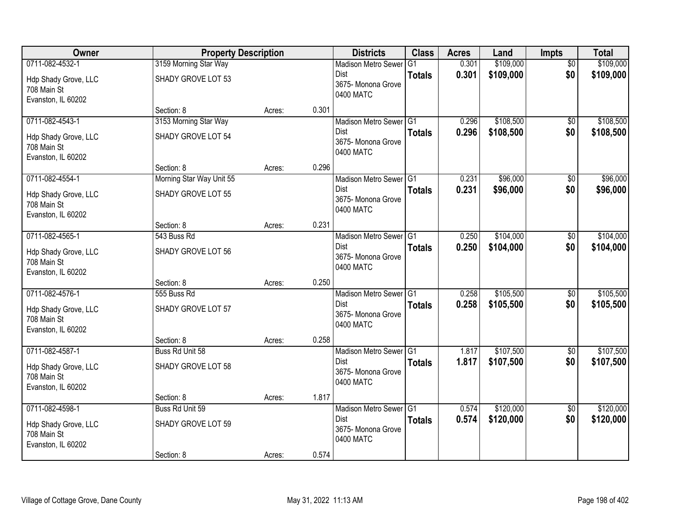| Owner                                                                        | <b>Property Description</b>                         |        |       | <b>Districts</b>                                                         | <b>Class</b>  | <b>Acres</b>   | Land                   | <b>Impts</b>           | <b>Total</b>           |
|------------------------------------------------------------------------------|-----------------------------------------------------|--------|-------|--------------------------------------------------------------------------|---------------|----------------|------------------------|------------------------|------------------------|
| 0711-082-4532-1                                                              | 3159 Morning Star Way                               |        |       | <b>Madison Metro Sewer</b>                                               | G1            | 0.301          | \$109,000              | $\overline{50}$        | \$109,000              |
| Hdp Shady Grove, LLC<br>708 Main St<br>Evanston, IL 60202                    | SHADY GROVE LOT 53                                  |        |       | Dist<br>3675- Monona Grove<br>0400 MATC                                  | <b>Totals</b> | 0.301          | \$109,000              | \$0                    | \$109,000              |
|                                                                              | Section: 8                                          | Acres: | 0.301 |                                                                          |               |                |                        |                        |                        |
| 0711-082-4543-1<br>Hdp Shady Grove, LLC<br>708 Main St<br>Evanston, IL 60202 | 3153 Morning Star Way<br>SHADY GROVE LOT 54         |        |       | Madison Metro Sewer G1<br>Dist<br>3675- Monona Grove<br>0400 MATC        | <b>Totals</b> | 0.296<br>0.296 | \$108,500<br>\$108,500 | \$0<br>\$0             | \$108,500<br>\$108,500 |
|                                                                              | Section: 8                                          | Acres: | 0.296 |                                                                          |               |                |                        |                        |                        |
| 0711-082-4554-1<br>Hdp Shady Grove, LLC<br>708 Main St<br>Evanston, IL 60202 | Morning Star Way Unit 55<br>SHADY GROVE LOT 55      |        |       | Madison Metro Sewer G1<br>Dist<br>3675- Monona Grove<br>0400 MATC        | <b>Totals</b> | 0.231<br>0.231 | \$96,000<br>\$96,000   | \$0<br>\$0             | \$96,000<br>\$96,000   |
|                                                                              | Section: 8                                          | Acres: | 0.231 |                                                                          |               |                |                        |                        |                        |
| 0711-082-4565-1<br>Hdp Shady Grove, LLC<br>708 Main St<br>Evanston, IL 60202 | 543 Buss Rd<br>SHADY GROVE LOT 56                   |        |       | Madison Metro Sewer G1<br>Dist<br>3675- Monona Grove<br>0400 MATC        | <b>Totals</b> | 0.250<br>0.250 | \$104,000<br>\$104,000 | \$0<br>\$0             | \$104,000<br>\$104,000 |
|                                                                              | Section: 8                                          | Acres: | 0.250 |                                                                          |               |                |                        |                        |                        |
| 0711-082-4576-1<br>Hdp Shady Grove, LLC<br>708 Main St<br>Evanston, IL 60202 | 555 Buss Rd<br>SHADY GROVE LOT 57                   |        |       | Madison Metro Sewer G1<br><b>Dist</b><br>3675- Monona Grove<br>0400 MATC | <b>Totals</b> | 0.258<br>0.258 | \$105,500<br>\$105,500 | $\overline{50}$<br>\$0 | \$105,500<br>\$105,500 |
|                                                                              | Section: 8                                          | Acres: | 0.258 |                                                                          |               |                |                        |                        |                        |
| 0711-082-4587-1<br>Hdp Shady Grove, LLC<br>708 Main St<br>Evanston, IL 60202 | Buss Rd Unit 58<br>SHADY GROVE LOT 58               |        |       | Madison Metro Sewer G1<br>Dist<br>3675- Monona Grove<br>0400 MATC        | <b>Totals</b> | 1.817<br>1.817 | \$107,500<br>\$107,500 | $\overline{50}$<br>\$0 | \$107,500<br>\$107,500 |
|                                                                              | Section: 8                                          | Acres: | 1.817 |                                                                          |               |                |                        |                        |                        |
| 0711-082-4598-1<br>Hdp Shady Grove, LLC<br>708 Main St<br>Evanston, IL 60202 | Buss Rd Unit 59<br>SHADY GROVE LOT 59<br>Section: 8 | Acres: | 0.574 | Madison Metro Sewer G1<br>Dist<br>3675- Monona Grove<br>0400 MATC        | <b>Totals</b> | 0.574<br>0.574 | \$120,000<br>\$120,000 | $\overline{50}$<br>\$0 | \$120,000<br>\$120,000 |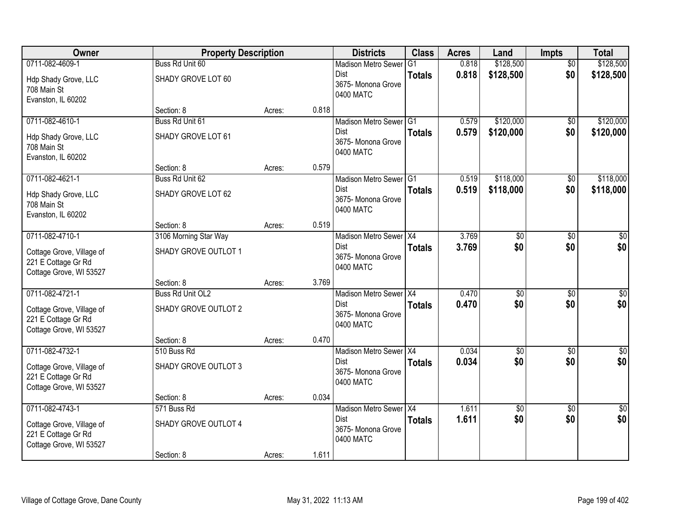| Owner                                                                                          | <b>Property Description</b>                       |        |       | <b>Districts</b>                                                         | <b>Class</b>   | <b>Acres</b>   | Land                   | <b>Impts</b>           | <b>Total</b>           |
|------------------------------------------------------------------------------------------------|---------------------------------------------------|--------|-------|--------------------------------------------------------------------------|----------------|----------------|------------------------|------------------------|------------------------|
| 0711-082-4609-1                                                                                | Buss Rd Unit 60                                   |        |       | <b>Madison Metro Sewer</b>                                               | G <sub>1</sub> | 0.818          | \$128,500              | $\overline{50}$        | \$128,500              |
| Hdp Shady Grove, LLC<br>708 Main St<br>Evanston, IL 60202                                      | SHADY GROVE LOT 60                                |        |       | Dist<br>3675- Monona Grove<br>0400 MATC                                  | <b>Totals</b>  | 0.818          | \$128,500              | \$0                    | \$128,500              |
|                                                                                                | Section: 8                                        | Acres: | 0.818 |                                                                          |                |                |                        |                        |                        |
| 0711-082-4610-1<br>Hdp Shady Grove, LLC<br>708 Main St<br>Evanston, IL 60202                   | Buss Rd Unit 61<br>SHADY GROVE LOT 61             |        |       | Madison Metro Sewer G1<br><b>Dist</b><br>3675- Monona Grove<br>0400 MATC | <b>Totals</b>  | 0.579<br>0.579 | \$120,000<br>\$120,000 | \$0<br>\$0             | \$120,000<br>\$120,000 |
|                                                                                                | Section: 8                                        | Acres: | 0.579 |                                                                          |                |                |                        |                        |                        |
| 0711-082-4621-1<br>Hdp Shady Grove, LLC<br>708 Main St<br>Evanston, IL 60202                   | Buss Rd Unit 62<br>SHADY GROVE LOT 62             |        |       | Madison Metro Sewer G1<br><b>Dist</b><br>3675- Monona Grove<br>0400 MATC | <b>Totals</b>  | 0.519<br>0.519 | \$118,000<br>\$118,000 | \$0<br>\$0             | \$118,000<br>\$118,000 |
|                                                                                                | Section: 8                                        | Acres: | 0.519 |                                                                          |                |                |                        |                        |                        |
| 0711-082-4710-1                                                                                | 3106 Morning Star Way                             |        |       | Madison Metro Sewer X4                                                   |                | 3.769          | \$0                    | \$0                    | \$0                    |
| Cottage Grove, Village of<br>221 E Cottage Gr Rd<br>Cottage Grove, WI 53527                    | SHADY GROVE OUTLOT 1                              |        |       | <b>Dist</b><br>3675- Monona Grove<br>0400 MATC                           | <b>Totals</b>  | 3.769          | \$0                    | \$0                    | \$0                    |
|                                                                                                | Section: 8                                        | Acres: | 3.769 |                                                                          |                |                |                        |                        |                        |
| 0711-082-4721-1<br>Cottage Grove, Village of<br>221 E Cottage Gr Rd<br>Cottage Grove, WI 53527 | Buss Rd Unit OL2<br>SHADY GROVE OUTLOT 2          |        |       | Madison Metro Sewer   X4<br>Dist<br>3675-Monona Grove<br>0400 MATC       | <b>Totals</b>  | 0.470<br>0.470 | \$0<br>\$0             | \$0<br>\$0             | \$0<br>\$0             |
|                                                                                                | Section: 8                                        | Acres: | 0.470 |                                                                          |                |                |                        |                        |                        |
| 0711-082-4732-1<br>Cottage Grove, Village of<br>221 E Cottage Gr Rd<br>Cottage Grove, WI 53527 | 510 Buss Rd<br>SHADY GROVE OUTLOT 3               |        |       | Madison Metro Sewer X4<br>Dist<br>3675- Monona Grove<br>0400 MATC        | <b>Totals</b>  | 0.034<br>0.034 | $\overline{50}$<br>\$0 | $\overline{50}$<br>\$0 | $\overline{50}$<br>\$0 |
|                                                                                                | Section: 8                                        | Acres: | 0.034 |                                                                          |                |                |                        |                        |                        |
| 0711-082-4743-1<br>Cottage Grove, Village of<br>221 E Cottage Gr Rd<br>Cottage Grove, WI 53527 | 571 Buss Rd<br>SHADY GROVE OUTLOT 4<br>Section: 8 | Acres: | 1.611 | Madison Metro Sewer X4<br><b>Dist</b><br>3675- Monona Grove<br>0400 MATC | <b>Totals</b>  | 1.611<br>1.611 | $\overline{60}$<br>\$0 | $\overline{30}$<br>\$0 | $\overline{50}$<br>\$0 |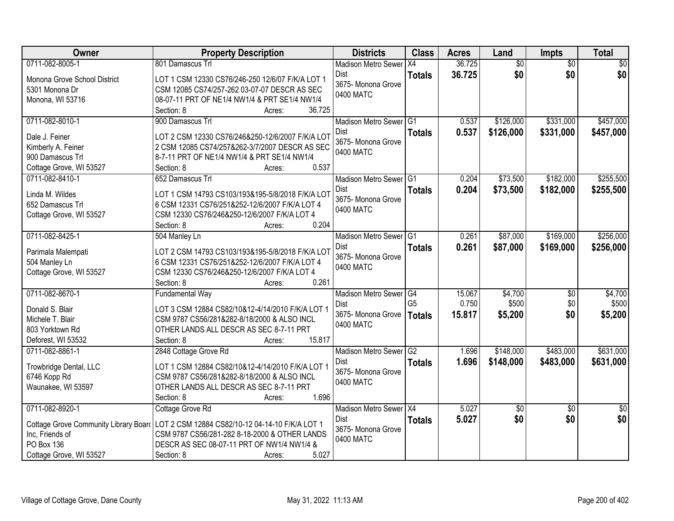| Owner                                 | <b>Property Description</b>                                                                     | <b>Districts</b>           | <b>Class</b>   | <b>Acres</b> | Land            | Impts           | <b>Total</b>    |
|---------------------------------------|-------------------------------------------------------------------------------------------------|----------------------------|----------------|--------------|-----------------|-----------------|-----------------|
| 0711-082-8005-1                       | 801 Damascus Trl                                                                                | <b>Madison Metro Sewer</b> | IX4            | 36.725       | $\overline{50}$ | $\overline{50}$ | $\overline{50}$ |
| Monona Grove School District          | LOT 1 CSM 12330 CS76/246-250 12/6/07 F/K/A LOT 1                                                | Dist                       | <b>Totals</b>  | 36.725       | \$0             | \$0             | \$0             |
| 5301 Monona Dr                        | CSM 12085 CS74/257-262 03-07-07 DESCR AS SEC                                                    | 3675- Monona Grove         |                |              |                 |                 |                 |
| Monona, WI 53716                      | 08-07-11 PRT OF NE1/4 NW1/4 & PRT SE1/4 NW1/4                                                   | 0400 MATC                  |                |              |                 |                 |                 |
|                                       | 36.725<br>Section: 8<br>Acres:                                                                  |                            |                |              |                 |                 |                 |
| 0711-082-8010-1                       | 900 Damascus Trl                                                                                | Madison Metro Sewer G1     |                | 0.537        | \$126,000       | \$331,000       | \$457,000       |
| Dale J. Feiner                        | LOT 2 CSM 12330 CS76/246&250-12/6/2007 F/K/A LOT                                                | Dist                       | <b>Totals</b>  | 0.537        | \$126,000       | \$331,000       | \$457,000       |
| Kimberly A. Feiner                    | 2 CSM 12085 CS74/257&262-3/7/2007 DESCR AS SEC                                                  | 3675- Monona Grove         |                |              |                 |                 |                 |
| 900 Damascus Trl                      | 8-7-11 PRT OF NE1/4 NW1/4 & PRT SE1/4 NW1/4                                                     | 0400 MATC                  |                |              |                 |                 |                 |
| Cottage Grove, WI 53527               | 0.537<br>Section: 8<br>Acres:                                                                   |                            |                |              |                 |                 |                 |
| 0711-082-8410-1                       | 652 Damascus Trl                                                                                | Madison Metro Sewer G1     |                | 0.204        | \$73,500        | \$182,000       | \$255,500       |
|                                       |                                                                                                 | Dist                       | <b>Totals</b>  | 0.204        | \$73,500        | \$182,000       | \$255,500       |
| Linda M. Wildes                       | LOT 1 CSM 14793 CS103/193&195-5/8/2018 F/K/A LOT                                                | 3675- Monona Grove         |                |              |                 |                 |                 |
| 652 Damascus Trl                      | 6 CSM 12331 CS76/251&252-12/6/2007 F/K/A LOT 4                                                  | 0400 MATC                  |                |              |                 |                 |                 |
| Cottage Grove, WI 53527               | CSM 12330 CS76/246&250-12/6/2007 F/K/A LOT 4                                                    |                            |                |              |                 |                 |                 |
|                                       | 0.204<br>Section: 8<br>Acres:                                                                   |                            |                |              |                 |                 |                 |
| 0711-082-8425-1                       | 504 Manley Ln                                                                                   | Madison Metro Sewer G1     |                | 0.261        | \$87,000        | \$169,000       | \$256,000       |
| Parimala Malempati                    | LOT 2 CSM 14793 CS103/193&195-5/8/2018 F/K/A LOT                                                | Dist<br>3675-Monona Grove  | <b>Totals</b>  | 0.261        | \$87,000        | \$169,000       | \$256,000       |
| 504 Manley Ln                         | 6 CSM 12331 CS76/251&252-12/6/2007 F/K/A LOT 4                                                  | 0400 MATC                  |                |              |                 |                 |                 |
| Cottage Grove, WI 53527               | CSM 12330 CS76/246&250-12/6/2007 F/K/A LOT 4                                                    |                            |                |              |                 |                 |                 |
|                                       | 0.261<br>Section: 8<br>Acres:                                                                   |                            |                |              |                 |                 |                 |
| 0711-082-8670-1                       | <b>Fundamental Way</b>                                                                          | <b>Madison Metro Sewer</b> | G4             | 15.067       | \$4,700         | \$0             | \$4,700         |
| Donald S. Blair                       | LOT 3 CSM 12884 CS82/10&12-4/14/2010 F/K/A LOT 1                                                | Dist                       | G <sub>5</sub> | 0.750        | \$500           | \$0             | \$500           |
| Michele T. Blair                      | CSM 9787 CS56/281&282-8/18/2000 & ALSO INCL                                                     | 3675- Monona Grove         | <b>Totals</b>  | 15.817       | \$5,200         | \$0             | \$5,200         |
| 803 Yorktown Rd                       | OTHER LANDS ALL DESCR AS SEC 8-7-11 PRT                                                         | 0400 MATC                  |                |              |                 |                 |                 |
| Deforest, WI 53532                    | 15.817<br>Section: 8<br>Acres:                                                                  |                            |                |              |                 |                 |                 |
| 0711-082-8861-1                       | 2848 Cottage Grove Rd                                                                           | Madison Metro Sewer G2     |                | 1.696        | \$148,000       | \$483,000       | \$631,000       |
|                                       |                                                                                                 | Dist                       | <b>Totals</b>  | 1.696        | \$148,000       | \$483,000       | \$631,000       |
| Trowbridge Dental, LLC                | LOT 1 CSM 12884 CS82/10&12-4/14/2010 F/K/A LOT 1<br>CSM 9787 CS56/281&282-8/18/2000 & ALSO INCL | 3675-Monona Grove          |                |              |                 |                 |                 |
| 6746 Kopp Rd<br>Waunakee, WI 53597    | OTHER LANDS ALL DESCR AS SEC 8-7-11 PRT                                                         | 0400 MATC                  |                |              |                 |                 |                 |
|                                       | 1.696<br>Section: 8<br>Acres:                                                                   |                            |                |              |                 |                 |                 |
| 0711-082-8920-1                       | Cottage Grove Rd                                                                                | Madison Metro Sewer X4     |                | 5.027        | $\overline{50}$ | $\overline{50}$ | $\overline{50}$ |
|                                       |                                                                                                 | Dist                       | <b>Totals</b>  | 5.027        | \$0             | \$0             | \$0             |
| Cottage Grove Community Library Board | LOT 2 CSM 12884 CS82/10-12 04-14-10 F/K/A LOT 1                                                 | 3675- Monona Grove         |                |              |                 |                 |                 |
| Inc, Friends of                       | CSM 9787 CS56/281-282 8-18-2000 & OTHER LANDS                                                   | 0400 MATC                  |                |              |                 |                 |                 |
| PO Box 136                            | DESCR AS SEC 08-07-11 PRT OF NW1/4 NW1/4 &                                                      |                            |                |              |                 |                 |                 |
| Cottage Grove, WI 53527               | 5.027<br>Section: 8<br>Acres:                                                                   |                            |                |              |                 |                 |                 |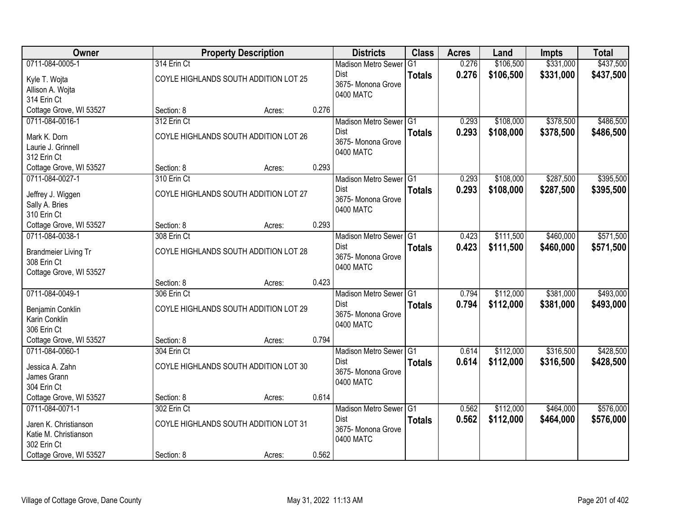| Owner                             |             | <b>Property Description</b>           |       | <b>Districts</b>           | <b>Class</b>  | <b>Acres</b> | Land      | <b>Impts</b> | <b>Total</b> |
|-----------------------------------|-------------|---------------------------------------|-------|----------------------------|---------------|--------------|-----------|--------------|--------------|
| 0711-084-0005-1                   | 314 Erin Ct |                                       |       | <b>Madison Metro Sewer</b> | G1            | 0.276        | \$106,500 | \$331,000    | \$437,500    |
| Kyle T. Wojta                     |             | COYLE HIGHLANDS SOUTH ADDITION LOT 25 |       | Dist                       | <b>Totals</b> | 0.276        | \$106,500 | \$331,000    | \$437,500    |
| Allison A. Wojta                  |             |                                       |       | 3675- Monona Grove         |               |              |           |              |              |
| 314 Erin Ct                       |             |                                       |       | 0400 MATC                  |               |              |           |              |              |
| Cottage Grove, WI 53527           | Section: 8  | Acres:                                | 0.276 |                            |               |              |           |              |              |
| 0711-084-0016-1                   | 312 Erin Ct |                                       |       | Madison Metro Sewer G1     |               | 0.293        | \$108,000 | \$378,500    | \$486,500    |
| Mark K. Dorn                      |             | COYLE HIGHLANDS SOUTH ADDITION LOT 26 |       | <b>Dist</b>                | <b>Totals</b> | 0.293        | \$108,000 | \$378,500    | \$486,500    |
| Laurie J. Grinnell                |             |                                       |       | 3675- Monona Grove         |               |              |           |              |              |
| 312 Erin Ct                       |             |                                       |       | 0400 MATC                  |               |              |           |              |              |
| Cottage Grove, WI 53527           | Section: 8  | Acres:                                | 0.293 |                            |               |              |           |              |              |
| 0711-084-0027-1                   | 310 Erin Ct |                                       |       | Madison Metro Sewer G1     |               | 0.293        | \$108,000 | \$287,500    | \$395,500    |
| Jeffrey J. Wiggen                 |             | COYLE HIGHLANDS SOUTH ADDITION LOT 27 |       | Dist                       | <b>Totals</b> | 0.293        | \$108,000 | \$287,500    | \$395,500    |
| Sally A. Bries                    |             |                                       |       | 3675- Monona Grove         |               |              |           |              |              |
| 310 Erin Ct                       |             |                                       |       | 0400 MATC                  |               |              |           |              |              |
| Cottage Grove, WI 53527           | Section: 8  | Acres:                                | 0.293 |                            |               |              |           |              |              |
| 0711-084-0038-1                   | 308 Erin Ct |                                       |       | Madison Metro Sewer G1     |               | 0.423        | \$111,500 | \$460,000    | \$571,500    |
| <b>Brandmeier Living Tr</b>       |             | COYLE HIGHLANDS SOUTH ADDITION LOT 28 |       | Dist                       | <b>Totals</b> | 0.423        | \$111,500 | \$460,000    | \$571,500    |
| 308 Erin Ct                       |             |                                       |       | 3675- Monona Grove         |               |              |           |              |              |
| Cottage Grove, WI 53527           |             |                                       |       | 0400 MATC                  |               |              |           |              |              |
|                                   | Section: 8  | Acres:                                | 0.423 |                            |               |              |           |              |              |
| 0711-084-0049-1                   | 306 Erin Ct |                                       |       | Madison Metro Sewer G1     |               | 0.794        | \$112,000 | \$381,000    | \$493,000    |
|                                   |             | COYLE HIGHLANDS SOUTH ADDITION LOT 29 |       | <b>Dist</b>                | <b>Totals</b> | 0.794        | \$112,000 | \$381,000    | \$493,000    |
| Benjamin Conklin<br>Karin Conklin |             |                                       |       | 3675- Monona Grove         |               |              |           |              |              |
| 306 Erin Ct                       |             |                                       |       | 0400 MATC                  |               |              |           |              |              |
| Cottage Grove, WI 53527           | Section: 8  | Acres:                                | 0.794 |                            |               |              |           |              |              |
| 0711-084-0060-1                   | 304 Erin Ct |                                       |       | Madison Metro Sewer G1     |               | 0.614        | \$112,000 | \$316,500    | \$428,500    |
| Jessica A. Zahn                   |             | COYLE HIGHLANDS SOUTH ADDITION LOT 30 |       | Dist                       | <b>Totals</b> | 0.614        | \$112,000 | \$316,500    | \$428,500    |
| James Grann                       |             |                                       |       | 3675- Monona Grove         |               |              |           |              |              |
| 304 Erin Ct                       |             |                                       |       | 0400 MATC                  |               |              |           |              |              |
| Cottage Grove, WI 53527           | Section: 8  | Acres:                                | 0.614 |                            |               |              |           |              |              |
| 0711-084-0071-1                   | 302 Erin Ct |                                       |       | Madison Metro Sewer G1     |               | 0.562        | \$112,000 | \$464,000    | \$576,000    |
| Jaren K. Christianson             |             | COYLE HIGHLANDS SOUTH ADDITION LOT 31 |       | <b>Dist</b>                | <b>Totals</b> | 0.562        | \$112,000 | \$464,000    | \$576,000    |
| Katie M. Christianson             |             |                                       |       | 3675- Monona Grove         |               |              |           |              |              |
| 302 Erin Ct                       |             |                                       |       | 0400 MATC                  |               |              |           |              |              |
| Cottage Grove, WI 53527           | Section: 8  | Acres:                                | 0.562 |                            |               |              |           |              |              |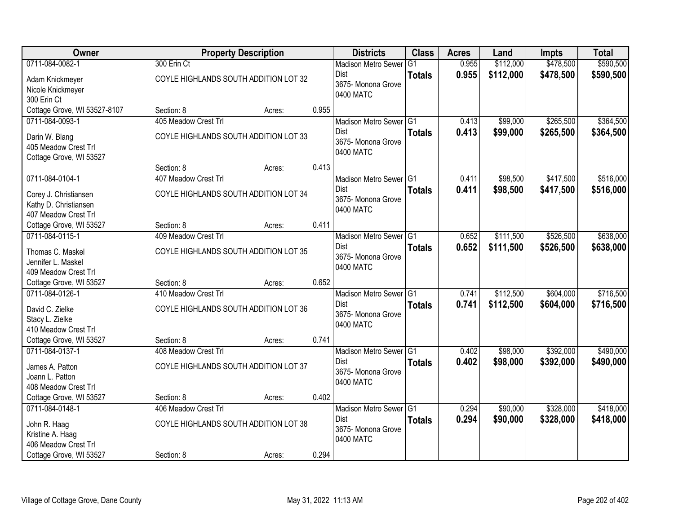| Owner                            |                                       | <b>Property Description</b> |       | <b>Districts</b>           | <b>Class</b>    | <b>Acres</b> | Land      | <b>Impts</b> | <b>Total</b> |
|----------------------------------|---------------------------------------|-----------------------------|-------|----------------------------|-----------------|--------------|-----------|--------------|--------------|
| 0711-084-0082-1                  | 300 Erin Ct                           |                             |       | <b>Madison Metro Sewer</b> | $\overline{G1}$ | 0.955        | \$112,000 | \$478,500    | \$590,500    |
| Adam Knickmeyer                  | COYLE HIGHLANDS SOUTH ADDITION LOT 32 |                             |       | Dist                       | <b>Totals</b>   | 0.955        | \$112,000 | \$478,500    | \$590,500    |
| Nicole Knickmeyer                |                                       |                             |       | 3675- Monona Grove         |                 |              |           |              |              |
| 300 Erin Ct                      |                                       |                             |       | 0400 MATC                  |                 |              |           |              |              |
| Cottage Grove, WI 53527-8107     | Section: 8                            | Acres:                      | 0.955 |                            |                 |              |           |              |              |
| 0711-084-0093-1                  | 405 Meadow Crest Trl                  |                             |       | Madison Metro Sewer G1     |                 | 0.413        | \$99,000  | \$265,500    | \$364,500    |
| Darin W. Blang                   | COYLE HIGHLANDS SOUTH ADDITION LOT 33 |                             |       | <b>Dist</b>                | <b>Totals</b>   | 0.413        | \$99,000  | \$265,500    | \$364,500    |
| 405 Meadow Crest Trl             |                                       |                             |       | 3675- Monona Grove         |                 |              |           |              |              |
| Cottage Grove, WI 53527          |                                       |                             |       | 0400 MATC                  |                 |              |           |              |              |
|                                  | Section: 8                            | Acres:                      | 0.413 |                            |                 |              |           |              |              |
| 0711-084-0104-1                  | 407 Meadow Crest Trl                  |                             |       | Madison Metro Sewer G1     |                 | 0.411        | \$98,500  | \$417,500    | \$516,000    |
| Corey J. Christiansen            | COYLE HIGHLANDS SOUTH ADDITION LOT 34 |                             |       | <b>Dist</b>                | <b>Totals</b>   | 0.411        | \$98,500  | \$417,500    | \$516,000    |
| Kathy D. Christiansen            |                                       |                             |       | 3675-Monona Grove          |                 |              |           |              |              |
| 407 Meadow Crest Trl             |                                       |                             |       | 0400 MATC                  |                 |              |           |              |              |
| Cottage Grove, WI 53527          | Section: 8                            | Acres:                      | 0.411 |                            |                 |              |           |              |              |
| 0711-084-0115-1                  | 409 Meadow Crest Trl                  |                             |       | Madison Metro Sewer G1     |                 | 0.652        | \$111,500 | \$526,500    | \$638,000    |
| Thomas C. Maskel                 | COYLE HIGHLANDS SOUTH ADDITION LOT 35 |                             |       | <b>Dist</b>                | <b>Totals</b>   | 0.652        | \$111,500 | \$526,500    | \$638,000    |
| Jennifer L. Maskel               |                                       |                             |       | 3675- Monona Grove         |                 |              |           |              |              |
| 409 Meadow Crest Trl             |                                       |                             |       | 0400 MATC                  |                 |              |           |              |              |
| Cottage Grove, WI 53527          | Section: 8                            | Acres:                      | 0.652 |                            |                 |              |           |              |              |
| 0711-084-0126-1                  | 410 Meadow Crest Trl                  |                             |       | Madison Metro Sewer G1     |                 | 0.741        | \$112,500 | \$604,000    | \$716,500    |
| David C. Zielke                  | COYLE HIGHLANDS SOUTH ADDITION LOT 36 |                             |       | Dist                       | <b>Totals</b>   | 0.741        | \$112,500 | \$604,000    | \$716,500    |
| Stacy L. Zielke                  |                                       |                             |       | 3675- Monona Grove         |                 |              |           |              |              |
| 410 Meadow Crest Trl             |                                       |                             |       | 0400 MATC                  |                 |              |           |              |              |
| Cottage Grove, WI 53527          | Section: 8                            | Acres:                      | 0.741 |                            |                 |              |           |              |              |
| 0711-084-0137-1                  | 408 Meadow Crest Trl                  |                             |       | Madison Metro Sewer G1     |                 | 0.402        | \$98,000  | \$392,000    | \$490,000    |
| James A. Patton                  | COYLE HIGHLANDS SOUTH ADDITION LOT 37 |                             |       | Dist                       | <b>Totals</b>   | 0.402        | \$98,000  | \$392,000    | \$490,000    |
| Joann L. Patton                  |                                       |                             |       | 3675- Monona Grove         |                 |              |           |              |              |
| 408 Meadow Crest Trl             |                                       |                             |       | 0400 MATC                  |                 |              |           |              |              |
| Cottage Grove, WI 53527          | Section: 8                            | Acres:                      | 0.402 |                            |                 |              |           |              |              |
| 0711-084-0148-1                  | 406 Meadow Crest Trl                  |                             |       | Madison Metro Sewer G1     |                 | 0.294        | \$90,000  | \$328,000    | \$418,000    |
|                                  | COYLE HIGHLANDS SOUTH ADDITION LOT 38 |                             |       | <b>Dist</b>                | <b>Totals</b>   | 0.294        | \$90,000  | \$328,000    | \$418,000    |
| John R. Haag<br>Kristine A. Haag |                                       |                             |       | 3675-Monona Grove          |                 |              |           |              |              |
| 406 Meadow Crest Trl             |                                       |                             |       | 0400 MATC                  |                 |              |           |              |              |
| Cottage Grove, WI 53527          | Section: 8                            | Acres:                      | 0.294 |                            |                 |              |           |              |              |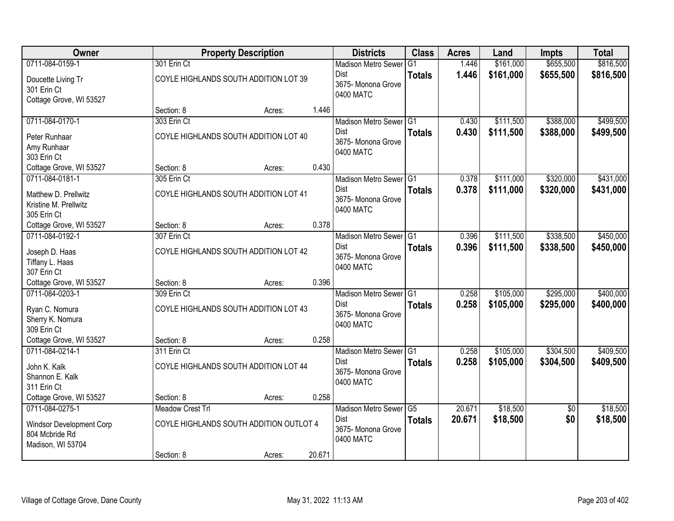| Owner                    |                         | <b>Property Description</b>             |        | <b>Districts</b>                    | <b>Class</b>    | <b>Acres</b> | Land      | <b>Impts</b>    | <b>Total</b> |
|--------------------------|-------------------------|-----------------------------------------|--------|-------------------------------------|-----------------|--------------|-----------|-----------------|--------------|
| 0711-084-0159-1          | 301 Erin Ct             |                                         |        | <b>Madison Metro Sewer</b>          | G1              | 1.446        | \$161,000 | \$655,500       | \$816,500    |
| Doucette Living Tr       |                         | COYLE HIGHLANDS SOUTH ADDITION LOT 39   |        | Dist                                | <b>Totals</b>   | 1.446        | \$161,000 | \$655,500       | \$816,500    |
| 301 Erin Ct              |                         |                                         |        | 3675-Monona Grove<br>0400 MATC      |                 |              |           |                 |              |
| Cottage Grove, WI 53527  |                         |                                         |        |                                     |                 |              |           |                 |              |
|                          | Section: 8              | Acres:                                  | 1.446  |                                     |                 |              |           |                 |              |
| 0711-084-0170-1          | 303 Erin Ct             |                                         |        | Madison Metro Sewer G1              |                 | 0.430        | \$111,500 | \$388,000       | \$499,500    |
| Peter Runhaar            |                         | COYLE HIGHLANDS SOUTH ADDITION LOT 40   |        | Dist                                | <b>Totals</b>   | 0.430        | \$111,500 | \$388,000       | \$499,500    |
| Amy Runhaar              |                         |                                         |        | 3675- Monona Grove<br>0400 MATC     |                 |              |           |                 |              |
| 303 Erin Ct              |                         |                                         |        |                                     |                 |              |           |                 |              |
| Cottage Grove, WI 53527  | Section: 8              | Acres:                                  | 0.430  |                                     |                 |              |           |                 |              |
| 0711-084-0181-1          | 305 Erin Ct             |                                         |        | Madison Metro Sewer G1              |                 | 0.378        | \$111,000 | \$320,000       | \$431,000    |
| Matthew D. Prellwitz     |                         | COYLE HIGHLANDS SOUTH ADDITION LOT 41   |        | Dist<br>3675- Monona Grove          | <b>Totals</b>   | 0.378        | \$111,000 | \$320,000       | \$431,000    |
| Kristine M. Prellwitz    |                         |                                         |        | 0400 MATC                           |                 |              |           |                 |              |
| 305 Erin Ct              |                         |                                         |        |                                     |                 |              |           |                 |              |
| Cottage Grove, WI 53527  | Section: 8              | Acres:                                  | 0.378  |                                     |                 |              |           |                 |              |
| 0711-084-0192-1          | 307 Erin Ct             |                                         |        | Madison Metro Sewer G1              |                 | 0.396        | \$111,500 | \$338,500       | \$450,000    |
| Joseph D. Haas           |                         | COYLE HIGHLANDS SOUTH ADDITION LOT 42   |        | Dist                                | <b>Totals</b>   | 0.396        | \$111,500 | \$338,500       | \$450,000    |
| Tiffany L. Haas          |                         |                                         |        | 3675- Monona Grove<br>0400 MATC     |                 |              |           |                 |              |
| 307 Erin Ct              |                         |                                         |        |                                     |                 |              |           |                 |              |
| Cottage Grove, WI 53527  | Section: 8              | Acres:                                  | 0.396  |                                     |                 |              |           |                 |              |
| 0711-084-0203-1          | 309 Erin Ct             |                                         |        | Madison Metro Sewer G1              |                 | 0.258        | \$105,000 | \$295,000       | \$400,000    |
| Ryan C. Nomura           |                         | COYLE HIGHLANDS SOUTH ADDITION LOT 43   |        | <b>Dist</b><br>3675-Monona Grove    | <b>Totals</b>   | 0.258        | \$105,000 | \$295,000       | \$400,000    |
| Sherry K. Nomura         |                         |                                         |        | 0400 MATC                           |                 |              |           |                 |              |
| 309 Erin Ct              |                         |                                         |        |                                     |                 |              |           |                 |              |
| Cottage Grove, WI 53527  | Section: 8              | Acres:                                  | 0.258  |                                     |                 |              |           |                 |              |
| 0711-084-0214-1          | 311 Erin Ct             |                                         |        | Madison Metro Sewer <sup>1</sup> G1 |                 | 0.258        | \$105,000 | \$304,500       | \$409,500    |
| John K. Kalk             |                         | COYLE HIGHLANDS SOUTH ADDITION LOT 44   |        | Dist<br>3675- Monona Grove          | <b>Totals</b>   | 0.258        | \$105,000 | \$304,500       | \$409,500    |
| Shannon E. Kalk          |                         |                                         |        | 0400 MATC                           |                 |              |           |                 |              |
| 311 Erin Ct              |                         |                                         |        |                                     |                 |              |           |                 |              |
| Cottage Grove, WI 53527  | Section: 8              | Acres:                                  | 0.258  |                                     |                 |              |           |                 |              |
| 0711-084-0275-1          | <b>Meadow Crest Trl</b> |                                         |        | <b>Madison Metro Sewer</b>          | $\overline{G5}$ | 20.671       | \$18,500  | $\overline{50}$ | \$18,500     |
| Windsor Development Corp |                         | COYLE HIGHLANDS SOUTH ADDITION OUTLOT 4 |        | Dist<br>3675- Monona Grove          | <b>Totals</b>   | 20.671       | \$18,500  | \$0             | \$18,500     |
| 804 Mcbride Rd           |                         |                                         |        | 0400 MATC                           |                 |              |           |                 |              |
| Madison, WI 53704        |                         |                                         |        |                                     |                 |              |           |                 |              |
|                          | Section: 8              | Acres:                                  | 20.671 |                                     |                 |              |           |                 |              |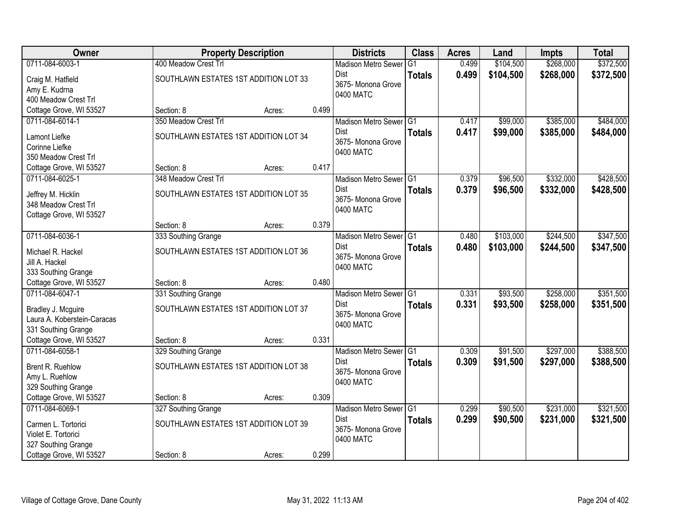| Owner                       |                                       | <b>Property Description</b> |       | <b>Districts</b>           | <b>Class</b>  | <b>Acres</b> | Land      | <b>Impts</b> | <b>Total</b> |
|-----------------------------|---------------------------------------|-----------------------------|-------|----------------------------|---------------|--------------|-----------|--------------|--------------|
| 0711-084-6003-1             | 400 Meadow Crest Trl                  |                             |       | <b>Madison Metro Sewer</b> | G1            | 0.499        | \$104,500 | \$268,000    | \$372,500    |
| Craig M. Hatfield           | SOUTHLAWN ESTATES 1ST ADDITION LOT 33 |                             |       | Dist                       | <b>Totals</b> | 0.499        | \$104,500 | \$268,000    | \$372,500    |
| Amy E. Kudrna               |                                       |                             |       | 3675- Monona Grove         |               |              |           |              |              |
| 400 Meadow Crest Trl        |                                       |                             |       | 0400 MATC                  |               |              |           |              |              |
| Cottage Grove, WI 53527     | Section: 8                            | Acres:                      | 0.499 |                            |               |              |           |              |              |
| 0711-084-6014-1             | 350 Meadow Crest Trl                  |                             |       | Madison Metro Sewer G1     |               | 0.417        | \$99,000  | \$385,000    | \$484,000    |
| Lamont Liefke               | SOUTHLAWN ESTATES 1ST ADDITION LOT 34 |                             |       | Dist                       | <b>Totals</b> | 0.417        | \$99,000  | \$385,000    | \$484,000    |
| Corinne Liefke              |                                       |                             |       | 3675- Monona Grove         |               |              |           |              |              |
| 350 Meadow Crest Trl        |                                       |                             |       | 0400 MATC                  |               |              |           |              |              |
| Cottage Grove, WI 53527     | Section: 8                            | Acres:                      | 0.417 |                            |               |              |           |              |              |
| 0711-084-6025-1             | 348 Meadow Crest Trl                  |                             |       | Madison Metro Sewer G1     |               | 0.379        | \$96,500  | \$332,000    | \$428,500    |
| Jeffrey M. Hicklin          | SOUTHLAWN ESTATES 1ST ADDITION LOT 35 |                             |       | Dist                       | <b>Totals</b> | 0.379        | \$96,500  | \$332,000    | \$428,500    |
| 348 Meadow Crest Trl        |                                       |                             |       | 3675- Monona Grove         |               |              |           |              |              |
| Cottage Grove, WI 53527     |                                       |                             |       | 0400 MATC                  |               |              |           |              |              |
|                             | Section: 8                            | Acres:                      | 0.379 |                            |               |              |           |              |              |
| 0711-084-6036-1             | 333 Southing Grange                   |                             |       | Madison Metro Sewer G1     |               | 0.480        | \$103,000 | \$244,500    | \$347,500    |
| Michael R. Hackel           | SOUTHLAWN ESTATES 1ST ADDITION LOT 36 |                             |       | Dist                       | <b>Totals</b> | 0.480        | \$103,000 | \$244,500    | \$347,500    |
| Jill A. Hackel              |                                       |                             |       | 3675- Monona Grove         |               |              |           |              |              |
| 333 Southing Grange         |                                       |                             |       | 0400 MATC                  |               |              |           |              |              |
| Cottage Grove, WI 53527     | Section: 8                            | Acres:                      | 0.480 |                            |               |              |           |              |              |
| 0711-084-6047-1             | 331 Southing Grange                   |                             |       | Madison Metro Sewer G1     |               | 0.331        | \$93,500  | \$258,000    | \$351,500    |
| Bradley J. Mcguire          | SOUTHLAWN ESTATES 1ST ADDITION LOT 37 |                             |       | <b>Dist</b>                | <b>Totals</b> | 0.331        | \$93,500  | \$258,000    | \$351,500    |
| Laura A. Koberstein-Caracas |                                       |                             |       | 3675- Monona Grove         |               |              |           |              |              |
| 331 Southing Grange         |                                       |                             |       | 0400 MATC                  |               |              |           |              |              |
| Cottage Grove, WI 53527     | Section: 8                            | Acres:                      | 0.331 |                            |               |              |           |              |              |
| 0711-084-6058-1             | 329 Southing Grange                   |                             |       | Madison Metro Sewer G1     |               | 0.309        | \$91,500  | \$297,000    | \$388,500    |
| <b>Brent R. Ruehlow</b>     | SOUTHLAWN ESTATES 1ST ADDITION LOT 38 |                             |       | Dist                       | <b>Totals</b> | 0.309        | \$91,500  | \$297,000    | \$388,500    |
| Amy L. Ruehlow              |                                       |                             |       | 3675- Monona Grove         |               |              |           |              |              |
| 329 Southing Grange         |                                       |                             |       | 0400 MATC                  |               |              |           |              |              |
| Cottage Grove, WI 53527     | Section: 8                            | Acres:                      | 0.309 |                            |               |              |           |              |              |
| 0711-084-6069-1             | 327 Southing Grange                   |                             |       | Madison Metro Sewer G1     |               | 0.299        | \$90,500  | \$231,000    | \$321,500    |
| Carmen L. Tortorici         | SOUTHLAWN ESTATES 1ST ADDITION LOT 39 |                             |       | <b>Dist</b>                | <b>Totals</b> | 0.299        | \$90,500  | \$231,000    | \$321,500    |
| Violet E. Tortorici         |                                       |                             |       | 3675- Monona Grove         |               |              |           |              |              |
| 327 Southing Grange         |                                       |                             |       | 0400 MATC                  |               |              |           |              |              |
| Cottage Grove, WI 53527     | Section: 8                            | Acres:                      | 0.299 |                            |               |              |           |              |              |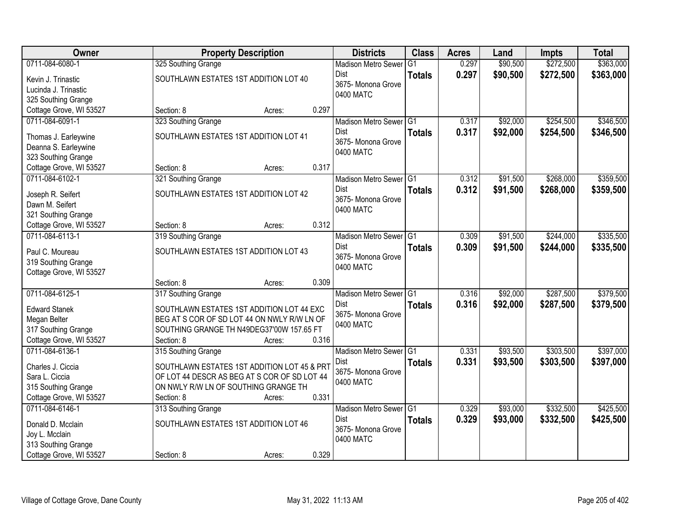| Owner                                | <b>Property Description</b>                  |                 | <b>Districts</b>                          | <b>Class</b>  | <b>Acres</b> | Land     | <b>Impts</b> | <b>Total</b> |
|--------------------------------------|----------------------------------------------|-----------------|-------------------------------------------|---------------|--------------|----------|--------------|--------------|
| 0711-084-6080-1                      | 325 Southing Grange                          |                 | <b>Madison Metro Sewer</b>                | G1            | 0.297        | \$90,500 | \$272,500    | \$363,000    |
| Kevin J. Trinastic                   | SOUTHLAWN ESTATES 1ST ADDITION LOT 40        |                 | Dist                                      | <b>Totals</b> | 0.297        | \$90,500 | \$272,500    | \$363,000    |
| Lucinda J. Trinastic                 |                                              |                 | 3675- Monona Grove                        |               |              |          |              |              |
| 325 Southing Grange                  |                                              |                 | 0400 MATC                                 |               |              |          |              |              |
| Cottage Grove, WI 53527              | Section: 8                                   | 0.297<br>Acres: |                                           |               |              |          |              |              |
| 0711-084-6091-1                      | 323 Southing Grange                          |                 | Madison Metro Sewer G1                    |               | 0.317        | \$92,000 | \$254,500    | \$346,500    |
| Thomas J. Earleywine                 | SOUTHLAWN ESTATES 1ST ADDITION LOT 41        |                 | <b>Dist</b>                               | <b>Totals</b> | 0.317        | \$92,000 | \$254,500    | \$346,500    |
| Deanna S. Earleywine                 |                                              |                 | 3675- Monona Grove                        |               |              |          |              |              |
| 323 Southing Grange                  |                                              |                 | 0400 MATC                                 |               |              |          |              |              |
| Cottage Grove, WI 53527              | Section: 8                                   | 0.317<br>Acres: |                                           |               |              |          |              |              |
| 0711-084-6102-1                      | 321 Southing Grange                          |                 | Madison Metro Sewer G1                    |               | 0.312        | \$91,500 | \$268,000    | \$359,500    |
|                                      | SOUTHLAWN ESTATES 1ST ADDITION LOT 42        |                 | Dist                                      | <b>Totals</b> | 0.312        | \$91,500 | \$268,000    | \$359,500    |
| Joseph R. Seifert<br>Dawn M. Seifert |                                              |                 | 3675- Monona Grove                        |               |              |          |              |              |
| 321 Southing Grange                  |                                              |                 | 0400 MATC                                 |               |              |          |              |              |
| Cottage Grove, WI 53527              | Section: 8                                   | 0.312<br>Acres: |                                           |               |              |          |              |              |
| 0711-084-6113-1                      | 319 Southing Grange                          |                 | Madison Metro Sewer G1                    |               | 0.309        | \$91,500 | \$244,000    | \$335,500    |
|                                      |                                              |                 | Dist                                      | <b>Totals</b> | 0.309        | \$91,500 | \$244,000    | \$335,500    |
| Paul C. Moureau                      | SOUTHLAWN ESTATES 1ST ADDITION LOT 43        |                 | 3675- Monona Grove                        |               |              |          |              |              |
| 319 Southing Grange                  |                                              |                 | 0400 MATC                                 |               |              |          |              |              |
| Cottage Grove, WI 53527              |                                              | 0.309           |                                           |               |              |          |              |              |
| 0711-084-6125-1                      | Section: 8<br>317 Southing Grange            | Acres:          |                                           | TG1           | 0.316        | \$92,000 | \$287,500    | \$379,500    |
|                                      |                                              |                 | <b>Madison Metro Sewer</b><br><b>Dist</b> |               |              |          |              |              |
| <b>Edward Stanek</b>                 | SOUTHLAWN ESTATES 1ST ADDITION LOT 44 EXC    |                 | 3675- Monona Grove                        | <b>Totals</b> | 0.316        | \$92,000 | \$287,500    | \$379,500    |
| Megan Belter                         | BEG AT S COR OF SD LOT 44 ON NWLY R/W LN OF  |                 | 0400 MATC                                 |               |              |          |              |              |
| 317 Southing Grange                  | SOUTHING GRANGE TH N49DEG37'00W 157.65 FT    |                 |                                           |               |              |          |              |              |
| Cottage Grove, WI 53527              | Section: 8                                   | 0.316<br>Acres: |                                           |               |              |          |              |              |
| 0711-084-6136-1                      | 315 Southing Grange                          |                 | Madison Metro Sewer G1                    |               | 0.331        | \$93,500 | \$303,500    | \$397,000    |
| Charles J. Ciccia                    | SOUTHLAWN ESTATES 1ST ADDITION LOT 45 & PRT  |                 | Dist                                      | <b>Totals</b> | 0.331        | \$93,500 | \$303,500    | \$397,000    |
| Sara L. Ciccia                       | OF LOT 44 DESCR AS BEG AT S COR OF SD LOT 44 |                 | 3675- Monona Grove<br>0400 MATC           |               |              |          |              |              |
| 315 Southing Grange                  | ON NWLY R/W LN OF SOUTHING GRANGE TH         |                 |                                           |               |              |          |              |              |
| Cottage Grove, WI 53527              | Section: 8                                   | 0.331<br>Acres: |                                           |               |              |          |              |              |
| 0711-084-6146-1                      | 313 Southing Grange                          |                 | Madison Metro Sewer G1                    |               | 0.329        | \$93,000 | \$332,500    | \$425,500    |
| Donald D. Mcclain                    | SOUTHLAWN ESTATES 1ST ADDITION LOT 46        |                 | <b>Dist</b>                               | <b>Totals</b> | 0.329        | \$93,000 | \$332,500    | \$425,500    |
| Joy L. Mcclain                       |                                              |                 | 3675- Monona Grove                        |               |              |          |              |              |
| 313 Southing Grange                  |                                              |                 | 0400 MATC                                 |               |              |          |              |              |
| Cottage Grove, WI 53527              | Section: 8                                   | 0.329<br>Acres: |                                           |               |              |          |              |              |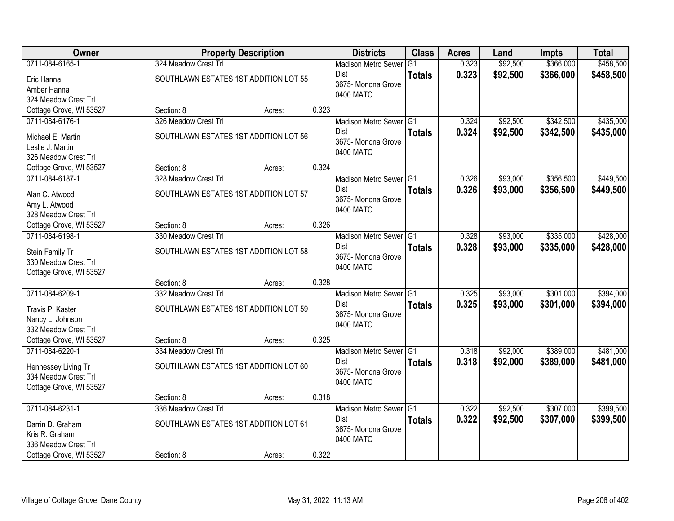| <b>Owner</b>                             |                                       | <b>Property Description</b> |       | <b>Districts</b>                      | <b>Class</b>   | <b>Acres</b> | Land     | <b>Impts</b> | <b>Total</b> |
|------------------------------------------|---------------------------------------|-----------------------------|-------|---------------------------------------|----------------|--------------|----------|--------------|--------------|
| 0711-084-6165-1                          | 324 Meadow Crest Trl                  |                             |       | <b>Madison Metro Sewer</b>            | G <sub>1</sub> | 0.323        | \$92,500 | \$366,000    | \$458,500    |
| Eric Hanna                               | SOUTHLAWN ESTATES 1ST ADDITION LOT 55 |                             |       | Dist                                  | <b>Totals</b>  | 0.323        | \$92,500 | \$366,000    | \$458,500    |
| Amber Hanna                              |                                       |                             |       | 3675- Monona Grove                    |                |              |          |              |              |
| 324 Meadow Crest Trl                     |                                       |                             |       | 0400 MATC                             |                |              |          |              |              |
| Cottage Grove, WI 53527                  | Section: 8                            | Acres:                      | 0.323 |                                       |                |              |          |              |              |
| 0711-084-6176-1                          | 326 Meadow Crest Trl                  |                             |       | Madison Metro Sewer G1                |                | 0.324        | \$92,500 | \$342,500    | \$435,000    |
|                                          | SOUTHLAWN ESTATES 1ST ADDITION LOT 56 |                             |       | <b>Dist</b>                           | <b>Totals</b>  | 0.324        | \$92,500 | \$342,500    | \$435,000    |
| Michael E. Martin                        |                                       |                             |       | 3675- Monona Grove                    |                |              |          |              |              |
| Leslie J. Martin<br>326 Meadow Crest Trl |                                       |                             |       | 0400 MATC                             |                |              |          |              |              |
| Cottage Grove, WI 53527                  | Section: 8                            | Acres:                      | 0.324 |                                       |                |              |          |              |              |
| 0711-084-6187-1                          | 328 Meadow Crest Trl                  |                             |       | Madison Metro Sewer G1                |                | 0.326        | \$93,000 | \$356,500    | \$449,500    |
|                                          |                                       |                             |       | Dist                                  | <b>Totals</b>  | 0.326        | \$93,000 | \$356,500    | \$449,500    |
| Alan C. Atwood                           | SOUTHLAWN ESTATES 1ST ADDITION LOT 57 |                             |       | 3675- Monona Grove                    |                |              |          |              |              |
| Amy L. Atwood                            |                                       |                             |       | 0400 MATC                             |                |              |          |              |              |
| 328 Meadow Crest Trl                     |                                       |                             |       |                                       |                |              |          |              |              |
| Cottage Grove, WI 53527                  | Section: 8                            | Acres:                      | 0.326 |                                       |                |              |          |              |              |
| 0711-084-6198-1                          | 330 Meadow Crest Trl                  |                             |       | Madison Metro Sewer G1                |                | 0.328        | \$93,000 | \$335,000    | \$428,000    |
| Stein Family Tr                          | SOUTHLAWN ESTATES 1ST ADDITION LOT 58 |                             |       | Dist                                  | <b>Totals</b>  | 0.328        | \$93,000 | \$335,000    | \$428,000    |
| 330 Meadow Crest Trl                     |                                       |                             |       | 3675- Monona Grove                    |                |              |          |              |              |
| Cottage Grove, WI 53527                  |                                       |                             |       | 0400 MATC                             |                |              |          |              |              |
|                                          | Section: 8                            | Acres:                      | 0.328 |                                       |                |              |          |              |              |
| 0711-084-6209-1                          | 332 Meadow Crest Trl                  |                             |       | Madison Metro Sewer <sup>G1</sup>     |                | 0.325        | \$93,000 | \$301,000    | \$394,000    |
| Travis P. Kaster                         | SOUTHLAWN ESTATES 1ST ADDITION LOT 59 |                             |       | Dist                                  | <b>Totals</b>  | 0.325        | \$93,000 | \$301,000    | \$394,000    |
| Nancy L. Johnson                         |                                       |                             |       | 3675- Monona Grove                    |                |              |          |              |              |
| 332 Meadow Crest Trl                     |                                       |                             |       | 0400 MATC                             |                |              |          |              |              |
| Cottage Grove, WI 53527                  | Section: 8                            | Acres:                      | 0.325 |                                       |                |              |          |              |              |
| 0711-084-6220-1                          | 334 Meadow Crest Trl                  |                             |       | Madison Metro Sewer G1                |                | 0.318        | \$92,000 | \$389,000    | \$481,000    |
|                                          |                                       |                             |       | Dist                                  | <b>Totals</b>  | 0.318        | \$92,000 | \$389,000    | \$481,000    |
| Hennessey Living Tr                      | SOUTHLAWN ESTATES 1ST ADDITION LOT 60 |                             |       | 3675- Monona Grove                    |                |              |          |              |              |
| 334 Meadow Crest Trl                     |                                       |                             |       | 0400 MATC                             |                |              |          |              |              |
| Cottage Grove, WI 53527                  |                                       |                             |       |                                       |                |              |          |              |              |
| 0711-084-6231-1                          | Section: 8<br>336 Meadow Crest Trl    | Acres:                      | 0.318 |                                       |                | 0.322        | \$92,500 | \$307,000    |              |
|                                          |                                       |                             |       | Madison Metro Sewer G1<br><b>Dist</b> |                |              |          |              | \$399,500    |
| Darrin D. Graham                         | SOUTHLAWN ESTATES 1ST ADDITION LOT 61 |                             |       | 3675- Monona Grove                    | <b>Totals</b>  | 0.322        | \$92,500 | \$307,000    | \$399,500    |
| Kris R. Graham                           |                                       |                             |       | 0400 MATC                             |                |              |          |              |              |
| 336 Meadow Crest Trl                     |                                       |                             |       |                                       |                |              |          |              |              |
| Cottage Grove, WI 53527                  | Section: 8                            | Acres:                      | 0.322 |                                       |                |              |          |              |              |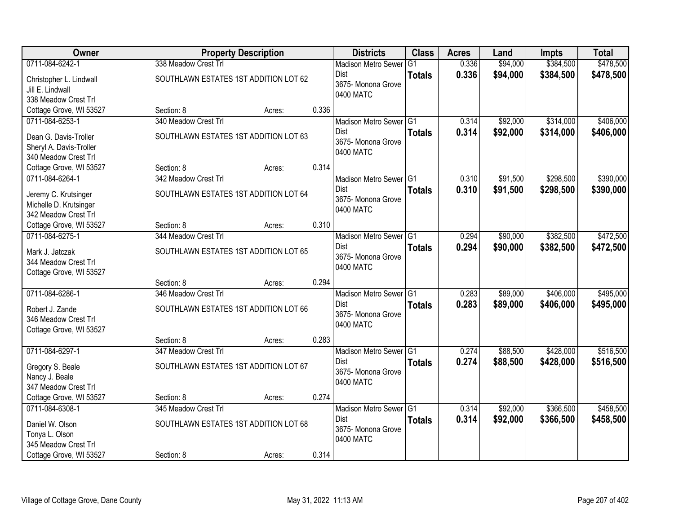| Owner                                           |                                       | <b>Property Description</b> |       | <b>Districts</b>           | <b>Class</b>   | <b>Acres</b> | Land     | <b>Impts</b> | <b>Total</b> |
|-------------------------------------------------|---------------------------------------|-----------------------------|-------|----------------------------|----------------|--------------|----------|--------------|--------------|
| 0711-084-6242-1                                 | 338 Meadow Crest Trl                  |                             |       | <b>Madison Metro Sewer</b> | G <sub>1</sub> | 0.336        | \$94,000 | \$384,500    | \$478,500    |
| Christopher L. Lindwall                         | SOUTHLAWN ESTATES 1ST ADDITION LOT 62 |                             |       | Dist                       | <b>Totals</b>  | 0.336        | \$94,000 | \$384,500    | \$478,500    |
| Jill E. Lindwall                                |                                       |                             |       | 3675- Monona Grove         |                |              |          |              |              |
| 338 Meadow Crest Trl                            |                                       |                             |       | 0400 MATC                  |                |              |          |              |              |
| Cottage Grove, WI 53527                         | Section: 8                            | Acres:                      | 0.336 |                            |                |              |          |              |              |
| 0711-084-6253-1                                 | 340 Meadow Crest Trl                  |                             |       | Madison Metro Sewer G1     |                | 0.314        | \$92,000 | \$314,000    | \$406,000    |
| Dean G. Davis-Troller                           | SOUTHLAWN ESTATES 1ST ADDITION LOT 63 |                             |       | <b>Dist</b>                | <b>Totals</b>  | 0.314        | \$92,000 | \$314,000    | \$406,000    |
| Sheryl A. Davis-Troller                         |                                       |                             |       | 3675- Monona Grove         |                |              |          |              |              |
| 340 Meadow Crest Trl                            |                                       |                             |       | 0400 MATC                  |                |              |          |              |              |
| Cottage Grove, WI 53527                         | Section: 8                            | Acres:                      | 0.314 |                            |                |              |          |              |              |
| 0711-084-6264-1                                 | 342 Meadow Crest Trl                  |                             |       | Madison Metro Sewer G1     |                | 0.310        | \$91,500 | \$298,500    | \$390,000    |
|                                                 | SOUTHLAWN ESTATES 1ST ADDITION LOT 64 |                             |       | Dist                       | <b>Totals</b>  | 0.310        | \$91,500 | \$298,500    | \$390,000    |
| Jeremy C. Krutsinger<br>Michelle D. Krutsinger  |                                       |                             |       | 3675- Monona Grove         |                |              |          |              |              |
| 342 Meadow Crest Trl                            |                                       |                             |       | 0400 MATC                  |                |              |          |              |              |
| Cottage Grove, WI 53527                         | Section: 8                            | Acres:                      | 0.310 |                            |                |              |          |              |              |
| 0711-084-6275-1                                 | 344 Meadow Crest Trl                  |                             |       | Madison Metro Sewer G1     |                | 0.294        | \$90,000 | \$382,500    | \$472,500    |
|                                                 |                                       |                             |       | Dist                       | <b>Totals</b>  | 0.294        | \$90,000 | \$382,500    | \$472,500    |
| Mark J. Jatczak                                 | SOUTHLAWN ESTATES 1ST ADDITION LOT 65 |                             |       | 3675- Monona Grove         |                |              |          |              |              |
| 344 Meadow Crest Trl<br>Cottage Grove, WI 53527 |                                       |                             |       | 0400 MATC                  |                |              |          |              |              |
|                                                 | Section: 8                            | Acres:                      | 0.294 |                            |                |              |          |              |              |
| 0711-084-6286-1                                 | 346 Meadow Crest Trl                  |                             |       | Madison Metro Sewer G1     |                | 0.283        | \$89,000 | \$406,000    | \$495,000    |
|                                                 |                                       |                             |       | Dist                       | <b>Totals</b>  | 0.283        | \$89,000 | \$406,000    | \$495,000    |
| Robert J. Zande                                 | SOUTHLAWN ESTATES 1ST ADDITION LOT 66 |                             |       | 3675- Monona Grove         |                |              |          |              |              |
| 346 Meadow Crest Trl                            |                                       |                             |       | 0400 MATC                  |                |              |          |              |              |
| Cottage Grove, WI 53527                         | Section: 8                            | Acres:                      | 0.283 |                            |                |              |          |              |              |
| 0711-084-6297-1                                 | 347 Meadow Crest Trl                  |                             |       | Madison Metro Sewer G1     |                | 0.274        | \$88,500 | \$428,000    | \$516,500    |
|                                                 |                                       |                             |       | Dist                       | <b>Totals</b>  | 0.274        | \$88,500 | \$428,000    | \$516,500    |
| Gregory S. Beale                                | SOUTHLAWN ESTATES 1ST ADDITION LOT 67 |                             |       | 3675- Monona Grove         |                |              |          |              |              |
| Nancy J. Beale                                  |                                       |                             |       | 0400 MATC                  |                |              |          |              |              |
| 347 Meadow Crest Trl                            | Section: 8                            |                             | 0.274 |                            |                |              |          |              |              |
| Cottage Grove, WI 53527<br>0711-084-6308-1      | 345 Meadow Crest Trl                  | Acres:                      |       | Madison Metro Sewer G1     |                | 0.314        | \$92,000 | \$366,500    | \$458,500    |
|                                                 |                                       |                             |       | <b>Dist</b>                | <b>Totals</b>  | 0.314        | \$92,000 | \$366,500    | \$458,500    |
| Daniel W. Olson                                 | SOUTHLAWN ESTATES 1ST ADDITION LOT 68 |                             |       | 3675- Monona Grove         |                |              |          |              |              |
| Tonya L. Olson                                  |                                       |                             |       | 0400 MATC                  |                |              |          |              |              |
| 345 Meadow Crest Trl                            |                                       |                             |       |                            |                |              |          |              |              |
| Cottage Grove, WI 53527                         | Section: 8                            | Acres:                      | 0.314 |                            |                |              |          |              |              |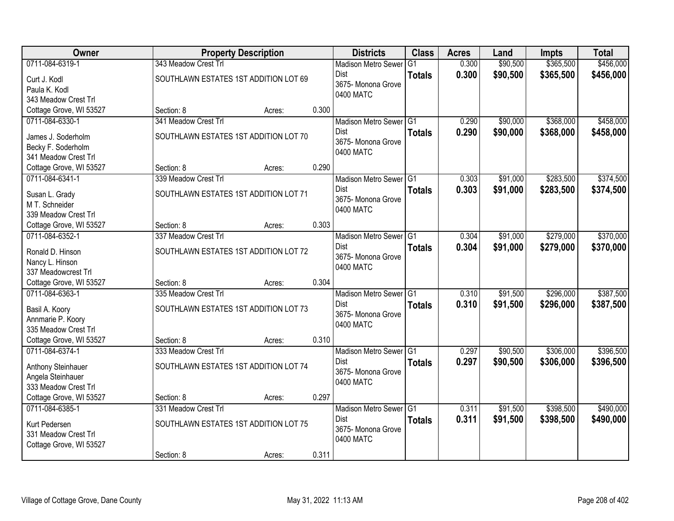| Owner                                      |                                       | <b>Property Description</b> |       | <b>Districts</b>                    | <b>Class</b>   | <b>Acres</b> | Land     | <b>Impts</b> | <b>Total</b> |
|--------------------------------------------|---------------------------------------|-----------------------------|-------|-------------------------------------|----------------|--------------|----------|--------------|--------------|
| 0711-084-6319-1                            | 343 Meadow Crest Trl                  |                             |       | <b>Madison Metro Sewer</b>          | G <sub>1</sub> | 0.300        | \$90,500 | \$365,500    | \$456,000    |
| Curt J. Kodl                               | SOUTHLAWN ESTATES 1ST ADDITION LOT 69 |                             |       | Dist                                | <b>Totals</b>  | 0.300        | \$90,500 | \$365,500    | \$456,000    |
| Paula K. Kodl                              |                                       |                             |       | 3675- Monona Grove                  |                |              |          |              |              |
| 343 Meadow Crest Trl                       |                                       |                             |       | 0400 MATC                           |                |              |          |              |              |
| Cottage Grove, WI 53527                    | Section: 8                            | Acres:                      | 0.300 |                                     |                |              |          |              |              |
| 0711-084-6330-1                            | 341 Meadow Crest Trl                  |                             |       | Madison Metro Sewer G1              |                | 0.290        | \$90,000 | \$368,000    | \$458,000    |
| James J. Soderholm                         | SOUTHLAWN ESTATES 1ST ADDITION LOT 70 |                             |       | <b>Dist</b>                         | <b>Totals</b>  | 0.290        | \$90,000 | \$368,000    | \$458,000    |
| Becky F. Soderholm                         |                                       |                             |       | 3675- Monona Grove                  |                |              |          |              |              |
| 341 Meadow Crest Trl                       |                                       |                             |       | 0400 MATC                           |                |              |          |              |              |
| Cottage Grove, WI 53527                    | Section: 8                            | Acres:                      | 0.290 |                                     |                |              |          |              |              |
| 0711-084-6341-1                            | 339 Meadow Crest Trl                  |                             |       | Madison Metro Sewer G1              |                | 0.303        | \$91,000 | \$283,500    | \$374,500    |
|                                            | SOUTHLAWN ESTATES 1ST ADDITION LOT 71 |                             |       | Dist                                | <b>Totals</b>  | 0.303        | \$91,000 | \$283,500    | \$374,500    |
| Susan L. Grady<br>M T. Schneider           |                                       |                             |       | 3675-Monona Grove                   |                |              |          |              |              |
| 339 Meadow Crest Trl                       |                                       |                             |       | 0400 MATC                           |                |              |          |              |              |
| Cottage Grove, WI 53527                    | Section: 8                            | Acres:                      | 0.303 |                                     |                |              |          |              |              |
| 0711-084-6352-1                            | 337 Meadow Crest Trl                  |                             |       | Madison Metro Sewer G1              |                | 0.304        | \$91,000 | \$279,000    | \$370,000    |
|                                            |                                       |                             |       | Dist                                | <b>Totals</b>  | 0.304        | \$91,000 | \$279,000    | \$370,000    |
| Ronald D. Hinson                           | SOUTHLAWN ESTATES 1ST ADDITION LOT 72 |                             |       | 3675- Monona Grove                  |                |              |          |              |              |
| Nancy L. Hinson<br>337 Meadowcrest Trl     |                                       |                             |       | 0400 MATC                           |                |              |          |              |              |
| Cottage Grove, WI 53527                    | Section: 8                            | Acres:                      | 0.304 |                                     |                |              |          |              |              |
| 0711-084-6363-1                            | 335 Meadow Crest Trl                  |                             |       | Madison Metro Sewer <sup>1</sup> G1 |                | 0.310        | \$91,500 | \$296,000    | \$387,500    |
|                                            |                                       |                             |       | Dist                                | <b>Totals</b>  | 0.310        | \$91,500 | \$296,000    | \$387,500    |
| Basil A. Koory                             | SOUTHLAWN ESTATES 1ST ADDITION LOT 73 |                             |       | 3675- Monona Grove                  |                |              |          |              |              |
| Annmarie P. Koory                          |                                       |                             |       | 0400 MATC                           |                |              |          |              |              |
| 335 Meadow Crest Trl                       |                                       |                             | 0.310 |                                     |                |              |          |              |              |
| Cottage Grove, WI 53527<br>0711-084-6374-1 | Section: 8<br>333 Meadow Crest Trl    | Acres:                      |       | Madison Metro Sewer G1              |                | 0.297        | \$90,500 | \$306,000    | \$396,500    |
|                                            |                                       |                             |       | Dist                                |                | 0.297        | \$90,500 | \$306,000    | \$396,500    |
| Anthony Steinhauer                         | SOUTHLAWN ESTATES 1ST ADDITION LOT 74 |                             |       | 3675- Monona Grove                  | <b>Totals</b>  |              |          |              |              |
| Angela Steinhauer                          |                                       |                             |       | 0400 MATC                           |                |              |          |              |              |
| 333 Meadow Crest Trl                       |                                       |                             |       |                                     |                |              |          |              |              |
| Cottage Grove, WI 53527                    | Section: 8                            | Acres:                      | 0.297 |                                     |                |              |          |              |              |
| 0711-084-6385-1                            | 331 Meadow Crest Trl                  |                             |       | Madison Metro Sewer G1              |                | 0.311        | \$91,500 | \$398,500    | \$490,000    |
| Kurt Pedersen                              | SOUTHLAWN ESTATES 1ST ADDITION LOT 75 |                             |       | Dist<br>3675- Monona Grove          | <b>Totals</b>  | 0.311        | \$91,500 | \$398,500    | \$490,000    |
| 331 Meadow Crest Trl                       |                                       |                             |       | 0400 MATC                           |                |              |          |              |              |
| Cottage Grove, WI 53527                    |                                       |                             |       |                                     |                |              |          |              |              |
|                                            | Section: 8                            | Acres:                      | 0.311 |                                     |                |              |          |              |              |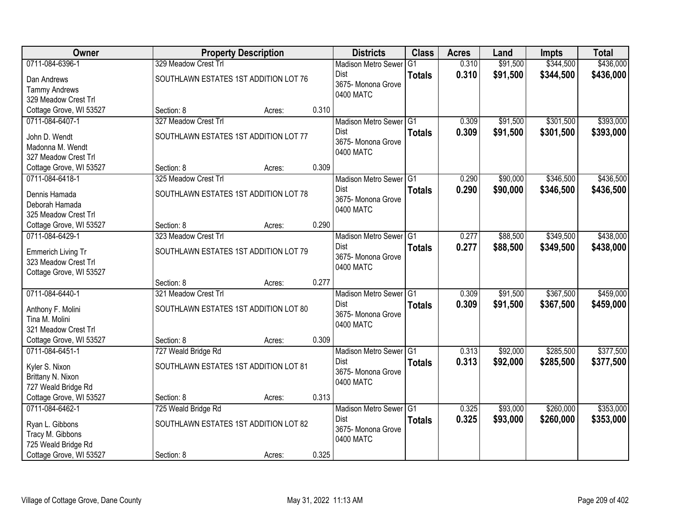| <b>Owner</b>                               |                                       | <b>Property Description</b> |       | <b>Districts</b>                  | <b>Class</b>  | <b>Acres</b> | Land     | <b>Impts</b> | <b>Total</b> |
|--------------------------------------------|---------------------------------------|-----------------------------|-------|-----------------------------------|---------------|--------------|----------|--------------|--------------|
| 0711-084-6396-1                            | 329 Meadow Crest Trl                  |                             |       | <b>Madison Metro Sewer</b>        | G1            | 0.310        | \$91,500 | \$344,500    | \$436,000    |
| Dan Andrews                                | SOUTHLAWN ESTATES 1ST ADDITION LOT 76 |                             |       | Dist                              | <b>Totals</b> | 0.310        | \$91,500 | \$344,500    | \$436,000    |
| <b>Tammy Andrews</b>                       |                                       |                             |       | 3675- Monona Grove                |               |              |          |              |              |
| 329 Meadow Crest Trl                       |                                       |                             |       | 0400 MATC                         |               |              |          |              |              |
| Cottage Grove, WI 53527                    | Section: 8                            | Acres:                      | 0.310 |                                   |               |              |          |              |              |
| 0711-084-6407-1                            | 327 Meadow Crest Trl                  |                             |       | Madison Metro Sewer G1            |               | 0.309        | \$91,500 | \$301,500    | \$393,000    |
| John D. Wendt                              | SOUTHLAWN ESTATES 1ST ADDITION LOT 77 |                             |       | Dist                              | <b>Totals</b> | 0.309        | \$91,500 | \$301,500    | \$393,000    |
| Madonna M. Wendt                           |                                       |                             |       | 3675- Monona Grove                |               |              |          |              |              |
| 327 Meadow Crest Trl                       |                                       |                             |       | 0400 MATC                         |               |              |          |              |              |
| Cottage Grove, WI 53527                    | Section: 8                            | Acres:                      | 0.309 |                                   |               |              |          |              |              |
| 0711-084-6418-1                            | 325 Meadow Crest Trl                  |                             |       | Madison Metro Sewer G1            |               | 0.290        | \$90,000 | \$346,500    | \$436,500    |
|                                            |                                       |                             |       | Dist                              | <b>Totals</b> | 0.290        | \$90,000 | \$346,500    | \$436,500    |
| Dennis Hamada                              | SOUTHLAWN ESTATES 1ST ADDITION LOT 78 |                             |       | 3675- Monona Grove                |               |              |          |              |              |
| Deborah Hamada                             |                                       |                             |       | 0400 MATC                         |               |              |          |              |              |
| 325 Meadow Crest Trl                       |                                       |                             | 0.290 |                                   |               |              |          |              |              |
| Cottage Grove, WI 53527<br>0711-084-6429-1 | Section: 8<br>323 Meadow Crest Trl    | Acres:                      |       |                                   |               | 0.277        | \$88,500 | \$349,500    | \$438,000    |
|                                            |                                       |                             |       | Madison Metro Sewer G1<br>Dist    |               |              |          |              |              |
| Emmerich Living Tr                         | SOUTHLAWN ESTATES 1ST ADDITION LOT 79 |                             |       | 3675- Monona Grove                | <b>Totals</b> | 0.277        | \$88,500 | \$349,500    | \$438,000    |
| 323 Meadow Crest Trl                       |                                       |                             |       | 0400 MATC                         |               |              |          |              |              |
| Cottage Grove, WI 53527                    |                                       |                             |       |                                   |               |              |          |              |              |
|                                            | Section: 8                            | Acres:                      | 0.277 |                                   |               |              |          |              |              |
| 0711-084-6440-1                            | 321 Meadow Crest Trl                  |                             |       | Madison Metro Sewer <sup>G1</sup> |               | 0.309        | \$91,500 | \$367,500    | \$459,000    |
| Anthony F. Molini                          | SOUTHLAWN ESTATES 1ST ADDITION LOT 80 |                             |       | Dist                              | <b>Totals</b> | 0.309        | \$91,500 | \$367,500    | \$459,000    |
| Tina M. Molini                             |                                       |                             |       | 3675- Monona Grove                |               |              |          |              |              |
| 321 Meadow Crest Trl                       |                                       |                             |       | 0400 MATC                         |               |              |          |              |              |
| Cottage Grove, WI 53527                    | Section: 8                            | Acres:                      | 0.309 |                                   |               |              |          |              |              |
| 0711-084-6451-1                            | 727 Weald Bridge Rd                   |                             |       | Madison Metro Sewer G1            |               | 0.313        | \$92,000 | \$285,500    | \$377,500    |
| Kyler S. Nixon                             | SOUTHLAWN ESTATES 1ST ADDITION LOT 81 |                             |       | Dist                              | <b>Totals</b> | 0.313        | \$92,000 | \$285,500    | \$377,500    |
| Brittany N. Nixon                          |                                       |                             |       | 3675- Monona Grove                |               |              |          |              |              |
| 727 Weald Bridge Rd                        |                                       |                             |       | 0400 MATC                         |               |              |          |              |              |
| Cottage Grove, WI 53527                    | Section: 8                            | Acres:                      | 0.313 |                                   |               |              |          |              |              |
| 0711-084-6462-1                            | 725 Weald Bridge Rd                   |                             |       | Madison Metro Sewer G1            |               | 0.325        | \$93,000 | \$260,000    | \$353,000    |
|                                            |                                       |                             |       | <b>Dist</b>                       | <b>Totals</b> | 0.325        | \$93,000 | \$260,000    | \$353,000    |
| Ryan L. Gibbons                            | SOUTHLAWN ESTATES 1ST ADDITION LOT 82 |                             |       | 3675- Monona Grove                |               |              |          |              |              |
| Tracy M. Gibbons                           |                                       |                             |       | 0400 MATC                         |               |              |          |              |              |
| 725 Weald Bridge Rd                        |                                       |                             |       |                                   |               |              |          |              |              |
| Cottage Grove, WI 53527                    | Section: 8                            | Acres:                      | 0.325 |                                   |               |              |          |              |              |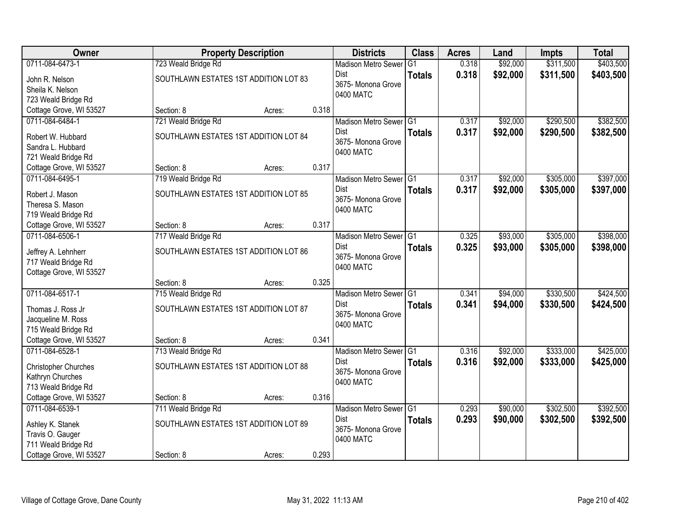| Owner                   |                                       | <b>Property Description</b> |       | <b>Districts</b>           | <b>Class</b>  | <b>Acres</b> | Land     | <b>Impts</b> | <b>Total</b> |
|-------------------------|---------------------------------------|-----------------------------|-------|----------------------------|---------------|--------------|----------|--------------|--------------|
| 0711-084-6473-1         | 723 Weald Bridge Rd                   |                             |       | <b>Madison Metro Sewer</b> | G1            | 0.318        | \$92,000 | \$311,500    | \$403,500    |
| John R. Nelson          | SOUTHLAWN ESTATES 1ST ADDITION LOT 83 |                             |       | Dist                       | <b>Totals</b> | 0.318        | \$92,000 | \$311,500    | \$403,500    |
| Sheila K. Nelson        |                                       |                             |       | 3675- Monona Grove         |               |              |          |              |              |
| 723 Weald Bridge Rd     |                                       |                             |       | 0400 MATC                  |               |              |          |              |              |
| Cottage Grove, WI 53527 | Section: 8                            | Acres:                      | 0.318 |                            |               |              |          |              |              |
| 0711-084-6484-1         | 721 Weald Bridge Rd                   |                             |       | Madison Metro Sewer G1     |               | 0.317        | \$92,000 | \$290,500    | \$382,500    |
| Robert W. Hubbard       | SOUTHLAWN ESTATES 1ST ADDITION LOT 84 |                             |       | <b>Dist</b>                | <b>Totals</b> | 0.317        | \$92,000 | \$290,500    | \$382,500    |
| Sandra L. Hubbard       |                                       |                             |       | 3675- Monona Grove         |               |              |          |              |              |
| 721 Weald Bridge Rd     |                                       |                             |       | 0400 MATC                  |               |              |          |              |              |
| Cottage Grove, WI 53527 | Section: 8                            | Acres:                      | 0.317 |                            |               |              |          |              |              |
| 0711-084-6495-1         | 719 Weald Bridge Rd                   |                             |       | Madison Metro Sewer G1     |               | 0.317        | \$92,000 | \$305,000    | \$397,000    |
| Robert J. Mason         | SOUTHLAWN ESTATES 1ST ADDITION LOT 85 |                             |       | Dist                       | <b>Totals</b> | 0.317        | \$92,000 | \$305,000    | \$397,000    |
| Theresa S. Mason        |                                       |                             |       | 3675- Monona Grove         |               |              |          |              |              |
| 719 Weald Bridge Rd     |                                       |                             |       | 0400 MATC                  |               |              |          |              |              |
| Cottage Grove, WI 53527 | Section: 8                            | Acres:                      | 0.317 |                            |               |              |          |              |              |
| 0711-084-6506-1         | 717 Weald Bridge Rd                   |                             |       | Madison Metro Sewer G1     |               | 0.325        | \$93,000 | \$305,000    | \$398,000    |
| Jeffrey A. Lehnherr     | SOUTHLAWN ESTATES 1ST ADDITION LOT 86 |                             |       | Dist                       | <b>Totals</b> | 0.325        | \$93,000 | \$305,000    | \$398,000    |
| 717 Weald Bridge Rd     |                                       |                             |       | 3675- Monona Grove         |               |              |          |              |              |
| Cottage Grove, WI 53527 |                                       |                             |       | 0400 MATC                  |               |              |          |              |              |
|                         | Section: 8                            | Acres:                      | 0.325 |                            |               |              |          |              |              |
| 0711-084-6517-1         | 715 Weald Bridge Rd                   |                             |       | Madison Metro Sewer G1     |               | 0.341        | \$94,000 | \$330,500    | \$424,500    |
| Thomas J. Ross Jr       | SOUTHLAWN ESTATES 1ST ADDITION LOT 87 |                             |       | <b>Dist</b>                | <b>Totals</b> | 0.341        | \$94,000 | \$330,500    | \$424,500    |
| Jacqueline M. Ross      |                                       |                             |       | 3675- Monona Grove         |               |              |          |              |              |
| 715 Weald Bridge Rd     |                                       |                             |       | 0400 MATC                  |               |              |          |              |              |
| Cottage Grove, WI 53527 | Section: 8                            | Acres:                      | 0.341 |                            |               |              |          |              |              |
| 0711-084-6528-1         | 713 Weald Bridge Rd                   |                             |       | Madison Metro Sewer G1     |               | 0.316        | \$92,000 | \$333,000    | \$425,000    |
| Christopher Churches    | SOUTHLAWN ESTATES 1ST ADDITION LOT 88 |                             |       | Dist                       | <b>Totals</b> | 0.316        | \$92,000 | \$333,000    | \$425,000    |
| Kathryn Churches        |                                       |                             |       | 3675- Monona Grove         |               |              |          |              |              |
| 713 Weald Bridge Rd     |                                       |                             |       | 0400 MATC                  |               |              |          |              |              |
| Cottage Grove, WI 53527 | Section: 8                            | Acres:                      | 0.316 |                            |               |              |          |              |              |
| 0711-084-6539-1         | 711 Weald Bridge Rd                   |                             |       | Madison Metro Sewer G1     |               | 0.293        | \$90,000 | \$302,500    | \$392,500    |
| Ashley K. Stanek        | SOUTHLAWN ESTATES 1ST ADDITION LOT 89 |                             |       | <b>Dist</b>                | <b>Totals</b> | 0.293        | \$90,000 | \$302,500    | \$392,500    |
| Travis O. Gauger        |                                       |                             |       | 3675- Monona Grove         |               |              |          |              |              |
| 711 Weald Bridge Rd     |                                       |                             |       | 0400 MATC                  |               |              |          |              |              |
| Cottage Grove, WI 53527 | Section: 8                            | Acres:                      | 0.293 |                            |               |              |          |              |              |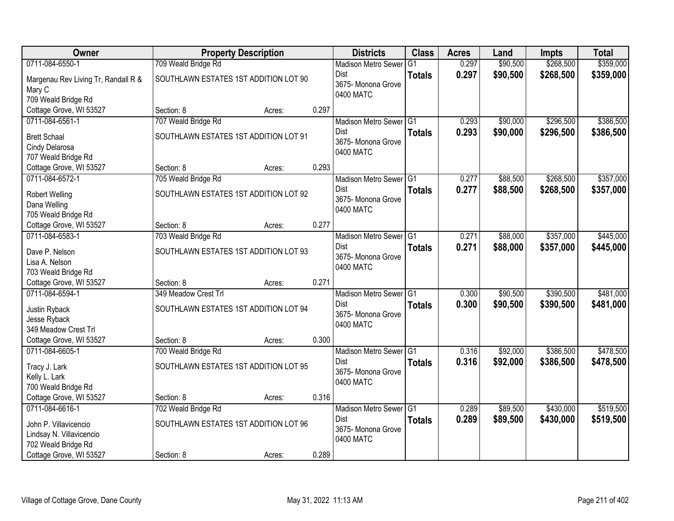| Owner                               |                                       | <b>Property Description</b> |       | <b>Districts</b>                  | <b>Class</b>    | <b>Acres</b> | Land     | <b>Impts</b> | <b>Total</b> |
|-------------------------------------|---------------------------------------|-----------------------------|-------|-----------------------------------|-----------------|--------------|----------|--------------|--------------|
| 0711-084-6550-1                     | 709 Weald Bridge Rd                   |                             |       | <b>Madison Metro Sewer</b>        | $\overline{G1}$ | 0.297        | \$90,500 | \$268,500    | \$359,000    |
| Margenau Rev Living Tr, Randall R & | SOUTHLAWN ESTATES 1ST ADDITION LOT 90 |                             |       | Dist                              | <b>Totals</b>   | 0.297        | \$90,500 | \$268,500    | \$359,000    |
| Mary C                              |                                       |                             |       | 3675- Monona Grove                |                 |              |          |              |              |
| 709 Weald Bridge Rd                 |                                       |                             |       | 0400 MATC                         |                 |              |          |              |              |
| Cottage Grove, WI 53527             | Section: 8                            | Acres:                      | 0.297 |                                   |                 |              |          |              |              |
| 0711-084-6561-1                     | 707 Weald Bridge Rd                   |                             |       | Madison Metro Sewer G1            |                 | 0.293        | \$90,000 | \$296,500    | \$386,500    |
| <b>Brett Schaal</b>                 | SOUTHLAWN ESTATES 1ST ADDITION LOT 91 |                             |       | <b>Dist</b>                       | <b>Totals</b>   | 0.293        | \$90,000 | \$296,500    | \$386,500    |
| Cindy Delarosa                      |                                       |                             |       | 3675- Monona Grove                |                 |              |          |              |              |
| 707 Weald Bridge Rd                 |                                       |                             |       | 0400 MATC                         |                 |              |          |              |              |
| Cottage Grove, WI 53527             | Section: 8                            | Acres:                      | 0.293 |                                   |                 |              |          |              |              |
| 0711-084-6572-1                     | 705 Weald Bridge Rd                   |                             |       | Madison Metro Sewer G1            |                 | 0.277        | \$88,500 | \$268,500    | \$357,000    |
| <b>Robert Welling</b>               | SOUTHLAWN ESTATES 1ST ADDITION LOT 92 |                             |       | <b>Dist</b>                       | <b>Totals</b>   | 0.277        | \$88,500 | \$268,500    | \$357,000    |
| Dana Welling                        |                                       |                             |       | 3675- Monona Grove                |                 |              |          |              |              |
| 705 Weald Bridge Rd                 |                                       |                             |       | 0400 MATC                         |                 |              |          |              |              |
| Cottage Grove, WI 53527             | Section: 8                            | Acres:                      | 0.277 |                                   |                 |              |          |              |              |
| 0711-084-6583-1                     | 703 Weald Bridge Rd                   |                             |       | Madison Metro Sewer G1            |                 | 0.271        | \$88,000 | \$357,000    | \$445,000    |
| Dave P. Nelson                      | SOUTHLAWN ESTATES 1ST ADDITION LOT 93 |                             |       | Dist                              | <b>Totals</b>   | 0.271        | \$88,000 | \$357,000    | \$445,000    |
| Lisa A. Nelson                      |                                       |                             |       | 3675- Monona Grove                |                 |              |          |              |              |
| 703 Weald Bridge Rd                 |                                       |                             |       | 0400 MATC                         |                 |              |          |              |              |
| Cottage Grove, WI 53527             | Section: 8                            | Acres:                      | 0.271 |                                   |                 |              |          |              |              |
| 0711-084-6594-1                     | 349 Meadow Crest Trl                  |                             |       | Madison Metro Sewer <sup>G1</sup> |                 | 0.300        | \$90,500 | \$390,500    | \$481,000    |
| Justin Ryback                       | SOUTHLAWN ESTATES 1ST ADDITION LOT 94 |                             |       | <b>Dist</b>                       | <b>Totals</b>   | 0.300        | \$90,500 | \$390,500    | \$481,000    |
| Jesse Ryback                        |                                       |                             |       | 3675- Monona Grove                |                 |              |          |              |              |
| 349 Meadow Crest Trl                |                                       |                             |       | 0400 MATC                         |                 |              |          |              |              |
| Cottage Grove, WI 53527             | Section: 8                            | Acres:                      | 0.300 |                                   |                 |              |          |              |              |
| 0711-084-6605-1                     | 700 Weald Bridge Rd                   |                             |       | Madison Metro Sewer G1            |                 | 0.316        | \$92,000 | \$386,500    | \$478,500    |
| Tracy J. Lark                       | SOUTHLAWN ESTATES 1ST ADDITION LOT 95 |                             |       | Dist                              | <b>Totals</b>   | 0.316        | \$92,000 | \$386,500    | \$478,500    |
| Kelly L. Lark                       |                                       |                             |       | 3675- Monona Grove                |                 |              |          |              |              |
| 700 Weald Bridge Rd                 |                                       |                             |       | 0400 MATC                         |                 |              |          |              |              |
| Cottage Grove, WI 53527             | Section: 8                            | Acres:                      | 0.316 |                                   |                 |              |          |              |              |
| 0711-084-6616-1                     | 702 Weald Bridge Rd                   |                             |       | Madison Metro Sewer G1            |                 | 0.289        | \$89,500 | \$430,000    | \$519,500    |
| John P. Villavicencio               | SOUTHLAWN ESTATES 1ST ADDITION LOT 96 |                             |       | <b>Dist</b>                       | <b>Totals</b>   | 0.289        | \$89,500 | \$430,000    | \$519,500    |
| Lindsay N. Villavicencio            |                                       |                             |       | 3675-Monona Grove                 |                 |              |          |              |              |
| 702 Weald Bridge Rd                 |                                       |                             |       | 0400 MATC                         |                 |              |          |              |              |
| Cottage Grove, WI 53527             | Section: 8                            | Acres:                      | 0.289 |                                   |                 |              |          |              |              |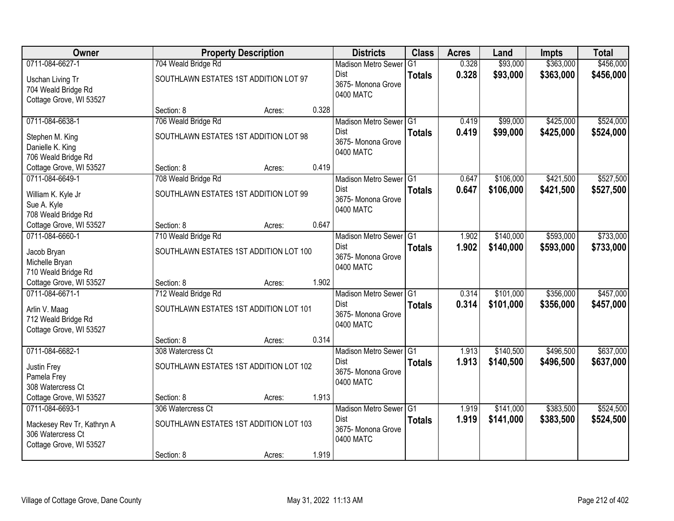| Owner                                                                              |                                                               | <b>Property Description</b> |       | <b>Districts</b>                                                         | <b>Class</b>  | <b>Acres</b>   | Land                   | <b>Impts</b>           | <b>Total</b>           |
|------------------------------------------------------------------------------------|---------------------------------------------------------------|-----------------------------|-------|--------------------------------------------------------------------------|---------------|----------------|------------------------|------------------------|------------------------|
| 0711-084-6627-1                                                                    | 704 Weald Bridge Rd                                           |                             |       | <b>Madison Metro Sewer</b>                                               | G1            | 0.328          | \$93,000               | \$363,000              | \$456,000              |
| Uschan Living Tr<br>704 Weald Bridge Rd<br>Cottage Grove, WI 53527                 | SOUTHLAWN ESTATES 1ST ADDITION LOT 97                         |                             |       | <b>Dist</b><br>3675- Monona Grove<br>0400 MATC                           | <b>Totals</b> | 0.328          | \$93,000               | \$363,000              | \$456,000              |
|                                                                                    | Section: 8                                                    | Acres:                      | 0.328 |                                                                          |               |                |                        |                        |                        |
| 0711-084-6638-1                                                                    | 706 Weald Bridge Rd                                           |                             |       | Madison Metro Sewer G1                                                   |               | 0.419          | \$99,000               | \$425,000              | \$524,000              |
| Stephen M. King<br>Danielle K. King<br>706 Weald Bridge Rd                         | SOUTHLAWN ESTATES 1ST ADDITION LOT 98                         |                             |       | Dist<br>3675- Monona Grove<br>0400 MATC                                  | <b>Totals</b> | 0.419          | \$99,000               | \$425,000              | \$524,000              |
| Cottage Grove, WI 53527                                                            | Section: 8                                                    | Acres:                      | 0.419 |                                                                          |               |                |                        |                        |                        |
| 0711-084-6649-1                                                                    | 708 Weald Bridge Rd                                           |                             |       | Madison Metro Sewer G1                                                   |               | 0.647          | \$106,000              | \$421,500              | \$527,500              |
| William K. Kyle Jr<br>Sue A. Kyle<br>708 Weald Bridge Rd                           | SOUTHLAWN ESTATES 1ST ADDITION LOT 99                         |                             |       | <b>Dist</b><br>3675- Monona Grove<br>0400 MATC                           | <b>Totals</b> | 0.647          | \$106,000              | \$421,500              | \$527,500              |
| Cottage Grove, WI 53527                                                            | Section: 8                                                    | Acres:                      | 0.647 |                                                                          |               |                |                        |                        |                        |
| 0711-084-6660-1                                                                    | 710 Weald Bridge Rd                                           |                             |       | Madison Metro Sewer G1                                                   |               | 1.902          | \$140,000              | \$593,000              | \$733,000              |
| Jacob Bryan<br>Michelle Bryan<br>710 Weald Bridge Rd                               | SOUTHLAWN ESTATES 1ST ADDITION LOT 100                        |                             |       | <b>Dist</b><br>3675- Monona Grove<br>0400 MATC                           | <b>Totals</b> | 1.902          | \$140,000              | \$593,000              | \$733,000              |
| Cottage Grove, WI 53527                                                            | Section: 8                                                    | Acres:                      | 1.902 |                                                                          |               |                |                        |                        |                        |
| 0711-084-6671-1<br>Arlin V. Maag<br>712 Weald Bridge Rd<br>Cottage Grove, WI 53527 | 712 Weald Bridge Rd<br>SOUTHLAWN ESTATES 1ST ADDITION LOT 101 |                             |       | Madison Metro Sewer G1<br><b>Dist</b><br>3675- Monona Grove<br>0400 MATC | <b>Totals</b> | 0.314<br>0.314 | \$101,000<br>\$101,000 | \$356,000<br>\$356,000 | \$457,000<br>\$457,000 |
|                                                                                    | Section: 8                                                    | Acres:                      | 0.314 |                                                                          |               |                |                        |                        |                        |
| 0711-084-6682-1                                                                    | 308 Watercress Ct                                             |                             |       | Madison Metro Sewer G1                                                   |               | 1.913          | \$140,500              | \$496,500              | \$637,000              |
| Justin Frey<br>Pamela Frey<br>308 Watercress Ct                                    | SOUTHLAWN ESTATES 1ST ADDITION LOT 102                        |                             |       | Dist<br>3675- Monona Grove<br>0400 MATC                                  | <b>Totals</b> | 1.913          | \$140,500              | \$496,500              | \$637,000              |
| Cottage Grove, WI 53527                                                            | Section: 8                                                    | Acres:                      | 1.913 |                                                                          |               |                |                        |                        |                        |
| 0711-084-6693-1                                                                    | 306 Watercress Ct                                             |                             |       | Madison Metro Sewer G1                                                   |               | 1.919          | \$141,000              | \$383,500              | \$524,500              |
| Mackesey Rev Tr, Kathryn A<br>306 Watercress Ct<br>Cottage Grove, WI 53527         | SOUTHLAWN ESTATES 1ST ADDITION LOT 103                        |                             |       | <b>Dist</b><br>3675- Monona Grove<br>0400 MATC                           | <b>Totals</b> | 1.919          | \$141,000              | \$383,500              | \$524,500              |
|                                                                                    | Section: 8                                                    | Acres:                      | 1.919 |                                                                          |               |                |                        |                        |                        |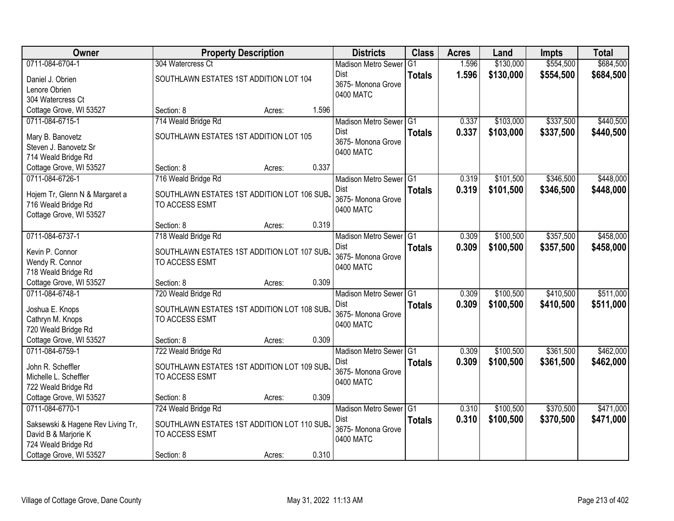| Owner                                          |                                             | <b>Property Description</b> |       | <b>Districts</b>                          | <b>Class</b>   | <b>Acres</b> | Land      | <b>Impts</b> | <b>Total</b> |
|------------------------------------------------|---------------------------------------------|-----------------------------|-------|-------------------------------------------|----------------|--------------|-----------|--------------|--------------|
| 0711-084-6704-1                                | 304 Watercress Ct                           |                             |       | <b>Madison Metro Sewer</b>                | G <sub>1</sub> | 1.596        | \$130,000 | \$554,500    | \$684,500    |
| Daniel J. Obrien                               | SOUTHLAWN ESTATES 1ST ADDITION LOT 104      |                             |       | Dist                                      | <b>Totals</b>  | 1.596        | \$130,000 | \$554,500    | \$684,500    |
| Lenore Obrien                                  |                                             |                             |       | 3675- Monona Grove                        |                |              |           |              |              |
| 304 Watercress Ct                              |                                             |                             |       | 0400 MATC                                 |                |              |           |              |              |
| Cottage Grove, WI 53527                        | Section: 8                                  | Acres:                      | 1.596 |                                           |                |              |           |              |              |
| 0711-084-6715-1                                | 714 Weald Bridge Rd                         |                             |       | Madison Metro Sewer G1                    |                | 0.337        | \$103,000 | \$337,500    | \$440,500    |
| Mary B. Banovetz                               | SOUTHLAWN ESTATES 1ST ADDITION LOT 105      |                             |       | <b>Dist</b>                               | <b>Totals</b>  | 0.337        | \$103,000 | \$337,500    | \$440,500    |
| Steven J. Banovetz Sr                          |                                             |                             |       | 3675- Monona Grove                        |                |              |           |              |              |
| 714 Weald Bridge Rd                            |                                             |                             |       | 0400 MATC                                 |                |              |           |              |              |
| Cottage Grove, WI 53527                        | Section: 8                                  | Acres:                      | 0.337 |                                           |                |              |           |              |              |
| 0711-084-6726-1                                | 716 Weald Bridge Rd                         |                             |       | Madison Metro Sewer G1                    |                | 0.319        | \$101,500 | \$346,500    | \$448,000    |
|                                                |                                             |                             |       | Dist                                      | <b>Totals</b>  | 0.319        | \$101,500 | \$346,500    | \$448,000    |
| Hojem Tr, Glenn N & Margaret a                 | SOUTHLAWN ESTATES 1ST ADDITION LOT 106 SUB. |                             |       | 3675- Monona Grove                        |                |              |           |              |              |
| 716 Weald Bridge Rd<br>Cottage Grove, WI 53527 | TO ACCESS ESMT                              |                             |       | 0400 MATC                                 |                |              |           |              |              |
|                                                | Section: 8                                  | Acres:                      | 0.319 |                                           |                |              |           |              |              |
| 0711-084-6737-1                                | 718 Weald Bridge Rd                         |                             |       | Madison Metro Sewer G1                    |                | 0.309        | \$100,500 | \$357,500    | \$458,000    |
|                                                |                                             |                             |       | Dist                                      | <b>Totals</b>  | 0.309        | \$100,500 | \$357,500    | \$458,000    |
| Kevin P. Connor                                | SOUTHLAWN ESTATES 1ST ADDITION LOT 107 SUBJ |                             |       | 3675- Monona Grove                        |                |              |           |              |              |
| Wendy R. Connor                                | TO ACCESS ESMT                              |                             |       | 0400 MATC                                 |                |              |           |              |              |
| 718 Weald Bridge Rd                            |                                             |                             | 0.309 |                                           |                |              |           |              |              |
| Cottage Grove, WI 53527<br>0711-084-6748-1     | Section: 8<br>720 Weald Bridge Rd           | Acres:                      |       |                                           | TG1            | 0.309        | \$100,500 | \$410,500    | \$511,000    |
|                                                |                                             |                             |       | <b>Madison Metro Sewer</b><br><b>Dist</b> |                |              |           |              |              |
| Joshua E. Knops                                | SOUTHLAWN ESTATES 1ST ADDITION LOT 108 SUBJ |                             |       | 3675- Monona Grove                        | <b>Totals</b>  | 0.309        | \$100,500 | \$410,500    | \$511,000    |
| Cathryn M. Knops                               | TO ACCESS ESMT                              |                             |       | 0400 MATC                                 |                |              |           |              |              |
| 720 Weald Bridge Rd                            |                                             |                             |       |                                           |                |              |           |              |              |
| Cottage Grove, WI 53527                        | Section: 8                                  | Acres:                      | 0.309 |                                           |                |              |           |              |              |
| 0711-084-6759-1                                | 722 Weald Bridge Rd                         |                             |       | Madison Metro Sewer G1                    |                | 0.309        | \$100,500 | \$361,500    | \$462,000    |
| John R. Scheffler                              | SOUTHLAWN ESTATES 1ST ADDITION LOT 109 SUB. |                             |       | Dist                                      | <b>Totals</b>  | 0.309        | \$100,500 | \$361,500    | \$462,000    |
| Michelle L. Scheffler                          | TO ACCESS ESMT                              |                             |       | 3675- Monona Grove<br>0400 MATC           |                |              |           |              |              |
| 722 Weald Bridge Rd                            |                                             |                             |       |                                           |                |              |           |              |              |
| Cottage Grove, WI 53527                        | Section: 8                                  | Acres:                      | 0.309 |                                           |                |              |           |              |              |
| 0711-084-6770-1                                | 724 Weald Bridge Rd                         |                             |       | Madison Metro Sewer G1                    |                | 0.310        | \$100,500 | \$370,500    | \$471,000    |
| Saksewski & Hagene Rev Living Tr,              | SOUTHLAWN ESTATES 1ST ADDITION LOT 110 SUBJ |                             |       | Dist                                      | <b>Totals</b>  | 0.310        | \$100,500 | \$370,500    | \$471,000    |
| David B & Marjorie K                           | TO ACCESS ESMT                              |                             |       | 3675- Monona Grove                        |                |              |           |              |              |
| 724 Weald Bridge Rd                            |                                             |                             |       | 0400 MATC                                 |                |              |           |              |              |
| Cottage Grove, WI 53527                        | Section: 8                                  | Acres:                      | 0.310 |                                           |                |              |           |              |              |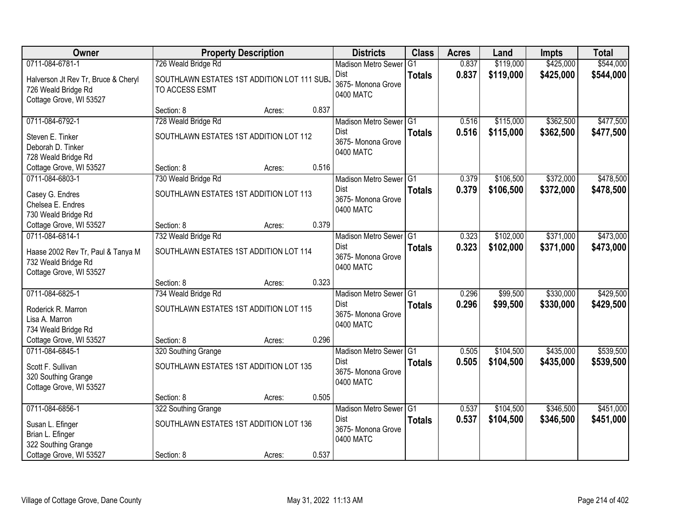| <b>Owner</b>                                                                                              |                                                                             | <b>Property Description</b> |       | <b>Districts</b>                                                             | <b>Class</b>   | <b>Acres</b>   | Land                   | <b>Impts</b>           | <b>Total</b>           |
|-----------------------------------------------------------------------------------------------------------|-----------------------------------------------------------------------------|-----------------------------|-------|------------------------------------------------------------------------------|----------------|----------------|------------------------|------------------------|------------------------|
| 0711-084-6781-1                                                                                           | 726 Weald Bridge Rd                                                         |                             |       | <b>Madison Metro Sewer</b>                                                   | G <sub>1</sub> | 0.837          | \$119,000              | \$425,000              | \$544,000              |
| Halverson Jt Rev Tr, Bruce & Cheryl<br>726 Weald Bridge Rd<br>Cottage Grove, WI 53527                     | SOUTHLAWN ESTATES 1ST ADDITION LOT 111 SUBJ<br>TO ACCESS ESMT               |                             |       | Dist<br>3675- Monona Grove<br>0400 MATC                                      | <b>Totals</b>  | 0.837          | \$119,000              | \$425,000              | \$544,000              |
|                                                                                                           | Section: 8                                                                  | Acres:                      | 0.837 |                                                                              |                |                |                        |                        |                        |
| 0711-084-6792-1<br>Steven E. Tinker<br>Deborah D. Tinker<br>728 Weald Bridge Rd                           | 728 Weald Bridge Rd<br>SOUTHLAWN ESTATES 1ST ADDITION LOT 112               |                             |       | Madison Metro Sewer G1<br><b>Dist</b><br>3675- Monona Grove<br>0400 MATC     | <b>Totals</b>  | 0.516<br>0.516 | \$115,000<br>\$115,000 | \$362,500<br>\$362,500 | \$477,500<br>\$477,500 |
| Cottage Grove, WI 53527                                                                                   | Section: 8                                                                  | Acres:                      | 0.516 |                                                                              |                |                |                        |                        |                        |
| 0711-084-6803-1<br>Casey G. Endres<br>Chelsea E. Endres<br>730 Weald Bridge Rd                            | 730 Weald Bridge Rd<br>SOUTHLAWN ESTATES 1ST ADDITION LOT 113               |                             |       | Madison Metro Sewer G1<br>Dist<br>3675-Monona Grove<br>0400 MATC             | <b>Totals</b>  | 0.379<br>0.379 | \$106,500<br>\$106,500 | \$372,000<br>\$372,000 | \$478,500<br>\$478,500 |
| Cottage Grove, WI 53527                                                                                   | Section: 8                                                                  | Acres:                      | 0.379 |                                                                              |                |                |                        |                        |                        |
| 0711-084-6814-1<br>Haase 2002 Rev Tr, Paul & Tanya M<br>732 Weald Bridge Rd<br>Cottage Grove, WI 53527    | 732 Weald Bridge Rd<br>SOUTHLAWN ESTATES 1ST ADDITION LOT 114               |                             |       | Madison Metro Sewer G1<br>Dist<br>3675- Monona Grove<br>0400 MATC            | <b>Totals</b>  | 0.323<br>0.323 | \$102,000<br>\$102,000 | \$371,000<br>\$371,000 | \$473,000<br>\$473,000 |
|                                                                                                           | Section: 8                                                                  | Acres:                      | 0.323 |                                                                              |                |                |                        |                        |                        |
| 0711-084-6825-1<br>Roderick R. Marron<br>Lisa A. Marron<br>734 Weald Bridge Rd                            | 734 Weald Bridge Rd<br>SOUTHLAWN ESTATES 1ST ADDITION LOT 115               |                             |       | Madison Metro Sewer <sup>G1</sup><br>Dist<br>3675- Monona Grove<br>0400 MATC | <b>Totals</b>  | 0.296<br>0.296 | \$99,500<br>\$99,500   | \$330,000<br>\$330,000 | \$429,500<br>\$429,500 |
| Cottage Grove, WI 53527                                                                                   | Section: 8                                                                  | Acres:                      | 0.296 |                                                                              |                |                |                        |                        |                        |
| 0711-084-6845-1<br>Scott F. Sullivan<br>320 Southing Grange<br>Cottage Grove, WI 53527                    | 320 Southing Grange<br>SOUTHLAWN ESTATES 1ST ADDITION LOT 135               |                             |       | Madison Metro Sewer G1<br>Dist<br>3675- Monona Grove<br>0400 MATC            | <b>Totals</b>  | 0.505<br>0.505 | \$104,500<br>\$104,500 | \$435,000<br>\$435,000 | \$539,500<br>\$539,500 |
|                                                                                                           | Section: 8                                                                  | Acres:                      | 0.505 |                                                                              |                |                |                        |                        |                        |
| 0711-084-6856-1<br>Susan L. Efinger<br>Brian L. Efinger<br>322 Southing Grange<br>Cottage Grove, WI 53527 | 322 Southing Grange<br>SOUTHLAWN ESTATES 1ST ADDITION LOT 136<br>Section: 8 | Acres:                      | 0.537 | Madison Metro Sewer G1<br><b>Dist</b><br>3675- Monona Grove<br>0400 MATC     | <b>Totals</b>  | 0.537<br>0.537 | \$104,500<br>\$104,500 | \$346,500<br>\$346,500 | \$451,000<br>\$451,000 |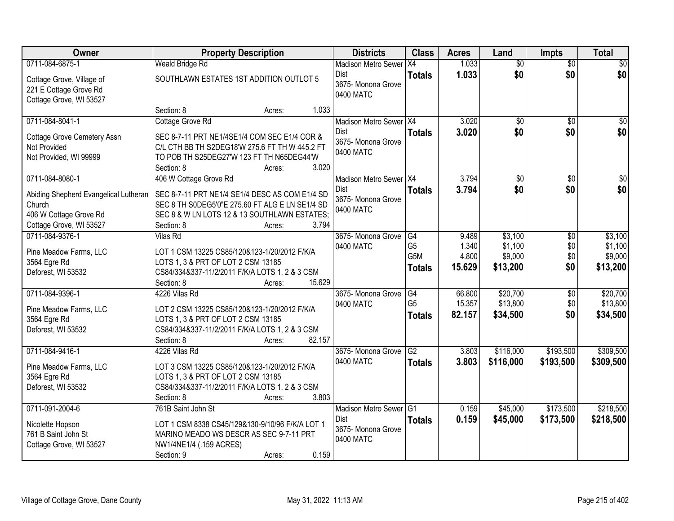| Owner                                  | <b>Property Description</b>                                                        |                  | <b>Districts</b>           | <b>Class</b>   | <b>Acres</b> | Land            | <b>Impts</b>    | <b>Total</b> |
|----------------------------------------|------------------------------------------------------------------------------------|------------------|----------------------------|----------------|--------------|-----------------|-----------------|--------------|
| 0711-084-6875-1                        | <b>Weald Bridge Rd</b>                                                             |                  | <b>Madison Metro Sewer</b> | X4             | 1.033        | $\overline{50}$ | $\overline{50}$ | \$0          |
| Cottage Grove, Village of              | SOUTHLAWN ESTATES 1ST ADDITION OUTLOT 5                                            |                  | Dist                       | <b>Totals</b>  | 1.033        | \$0             | \$0             | \$0          |
| 221 E Cottage Grove Rd                 |                                                                                    |                  | 3675- Monona Grove         |                |              |                 |                 |              |
| Cottage Grove, WI 53527                |                                                                                    |                  | 0400 MATC                  |                |              |                 |                 |              |
|                                        | Section: 8                                                                         | 1.033<br>Acres:  |                            |                |              |                 |                 |              |
| 0711-084-8041-1                        | Cottage Grove Rd                                                                   |                  | Madison Metro Sewer X4     |                | 3.020        | \$0             | \$0             | \$0          |
| <b>Cottage Grove Cemetery Assn</b>     | SEC 8-7-11 PRT NE1/4SE1/4 COM SEC E1/4 COR &                                       |                  | <b>Dist</b>                | <b>Totals</b>  | 3.020        | \$0             | \$0             | \$0          |
| Not Provided                           | C/L CTH BB TH S2DEG18'W 275.6 FT TH W 445.2 FT                                     |                  | 3675- Monona Grove         |                |              |                 |                 |              |
| Not Provided, WI 99999                 | TO POB TH S25DEG27'W 123 FT TH N65DEG44'W                                          |                  | 0400 MATC                  |                |              |                 |                 |              |
|                                        | Section: 8                                                                         | 3.020<br>Acres:  |                            |                |              |                 |                 |              |
| 0711-084-8080-1                        | 406 W Cottage Grove Rd                                                             |                  | Madison Metro Sewer   X4   |                | 3.794        | $\overline{50}$ | \$0             | $\sqrt{50}$  |
| Abiding Shepherd Evangelical Lutheran  | SEC 8-7-11 PRT NE1/4 SE1/4 DESC AS COM E1/4 SD                                     |                  | Dist                       | <b>Totals</b>  | 3.794        | \$0             | \$0             | \$0          |
| Church                                 | SEC 8 TH S0DEG5'0"E 275.60 FT ALG E LN SE1/4 SD                                    |                  | 3675- Monona Grove         |                |              |                 |                 |              |
| 406 W Cottage Grove Rd                 | SEC 8 & W LN LOTS 12 & 13 SOUTHLAWN ESTATES;                                       |                  | 0400 MATC                  |                |              |                 |                 |              |
| Cottage Grove, WI 53527                | Section: 8                                                                         | 3.794<br>Acres:  |                            |                |              |                 |                 |              |
| 0711-084-9376-1                        | Vilas Rd                                                                           |                  | 3675- Monona Grove         | G4             | 9.489        | \$3,100         | $\sqrt[6]{3}$   | \$3,100      |
|                                        |                                                                                    |                  | 0400 MATC                  | G <sub>5</sub> | 1.340        | \$1,100         | \$0             | \$1,100      |
| Pine Meadow Farms, LLC<br>3564 Egre Rd | LOT 1 CSM 13225 CS85/120&123-1/20/2012 F/K/A<br>LOTS 1, 3 & PRT OF LOT 2 CSM 13185 |                  |                            | G5M            | 4.800        | \$9,000         | \$0             | \$9,000      |
| Deforest, WI 53532                     | CS84/334&337-11/2/2011 F/K/A LOTS 1, 2 & 3 CSM                                     |                  |                            | <b>Totals</b>  | 15.629       | \$13,200        | \$0             | \$13,200     |
|                                        | Section: 8                                                                         | 15.629<br>Acres: |                            |                |              |                 |                 |              |
| 0711-084-9396-1                        | 4226 Vilas Rd                                                                      |                  | 3675- Monona Grove         | G4             | 66.800       | \$20,700        | \$0             | \$20,700     |
|                                        |                                                                                    |                  | 0400 MATC                  | G <sub>5</sub> | 15.357       | \$13,800        | \$0             | \$13,800     |
| Pine Meadow Farms, LLC                 | LOT 2 CSM 13225 CS85/120&123-1/20/2012 F/K/A                                       |                  |                            | <b>Totals</b>  | 82.157       | \$34,500        | \$0             | \$34,500     |
| 3564 Egre Rd                           | LOTS 1, 3 & PRT OF LOT 2 CSM 13185                                                 |                  |                            |                |              |                 |                 |              |
| Deforest, WI 53532                     | CS84/334&337-11/2/2011 F/K/A LOTS 1, 2 & 3 CSM                                     |                  |                            |                |              |                 |                 |              |
|                                        | Section: 8                                                                         | 82.157<br>Acres: |                            |                |              |                 |                 |              |
| 0711-084-9416-1                        | 4226 Vilas Rd                                                                      |                  | 3675- Monona Grove         | G2             | 3.803        | \$116,000       | \$193,500       | \$309,500    |
| Pine Meadow Farms, LLC                 | LOT 3 CSM 13225 CS85/120&123-1/20/2012 F/K/A                                       |                  | 0400 MATC                  | <b>Totals</b>  | 3.803        | \$116,000       | \$193,500       | \$309,500    |
| 3564 Egre Rd                           | LOTS 1, 3 & PRT OF LOT 2 CSM 13185                                                 |                  |                            |                |              |                 |                 |              |
| Deforest, WI 53532                     | CS84/334&337-11/2/2011 F/K/A LOTS 1, 2 & 3 CSM                                     |                  |                            |                |              |                 |                 |              |
|                                        | Section: 8                                                                         | 3.803<br>Acres:  |                            |                |              |                 |                 |              |
| 0711-091-2004-6                        | 761B Saint John St                                                                 |                  | <b>Madison Metro Sewer</b> | G1             | 0.159        | \$45,000        | \$173,500       | \$218,500    |
| Nicolette Hopson                       | LOT 1 CSM 8338 CS45/129&130-9/10/96 F/K/A LOT 1                                    |                  | Dist                       | <b>Totals</b>  | 0.159        | \$45,000        | \$173,500       | \$218,500    |
| 761 B Saint John St                    | MARINO MEADO WS DESCR AS SEC 9-7-11 PRT                                            |                  | 3675- Monona Grove         |                |              |                 |                 |              |
| Cottage Grove, WI 53527                | NW1/4NE1/4 (.159 ACRES)                                                            |                  | 0400 MATC                  |                |              |                 |                 |              |
|                                        | Section: 9                                                                         | 0.159<br>Acres:  |                            |                |              |                 |                 |              |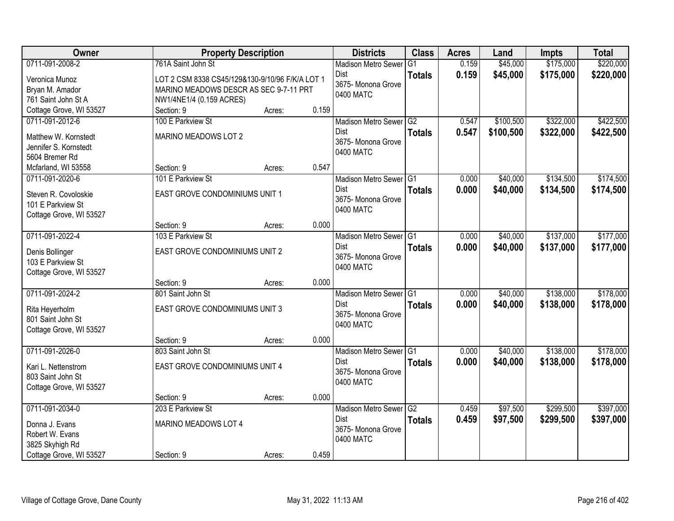| Owner                   |                                                 | <b>Property Description</b> |       | <b>Districts</b>                | <b>Class</b>  | <b>Acres</b> | Land      | <b>Impts</b> | <b>Total</b> |
|-------------------------|-------------------------------------------------|-----------------------------|-------|---------------------------------|---------------|--------------|-----------|--------------|--------------|
| 0711-091-2008-2         | 761A Saint John St                              |                             |       | <b>Madison Metro Sewer</b>      | G1            | 0.159        | \$45,000  | \$175,000    | \$220,000    |
| Veronica Munoz          | LOT 2 CSM 8338 CS45/129&130-9/10/96 F/K/A LOT 1 |                             |       | <b>Dist</b>                     | <b>Totals</b> | 0.159        | \$45,000  | \$175,000    | \$220,000    |
| Bryan M. Amador         | MARINO MEADOWS DESCR AS SEC 9-7-11 PRT          |                             |       | 3675- Monona Grove              |               |              |           |              |              |
| 761 Saint John St A     | NW1/4NE1/4 (0.159 ACRES)                        |                             |       | 0400 MATC                       |               |              |           |              |              |
| Cottage Grove, WI 53527 | Section: 9                                      | Acres:                      | 0.159 |                                 |               |              |           |              |              |
| 0711-091-2012-6         | 100 E Parkview St                               |                             |       | Madison Metro Sewer G2          |               | 0.547        | \$100,500 | \$322,000    | \$422,500    |
| Matthew W. Kornstedt    | MARINO MEADOWS LOT 2                            |                             |       | <b>Dist</b>                     | <b>Totals</b> | 0.547        | \$100,500 | \$322,000    | \$422,500    |
| Jennifer S. Kornstedt   |                                                 |                             |       | 3675- Monona Grove              |               |              |           |              |              |
| 5604 Bremer Rd          |                                                 |                             |       | 0400 MATC                       |               |              |           |              |              |
| Mcfarland, WI 53558     | Section: 9                                      | Acres:                      | 0.547 |                                 |               |              |           |              |              |
| 0711-091-2020-6         | 101 E Parkview St                               |                             |       | Madison Metro Sewer G1          |               | 0.000        | \$40,000  | \$134,500    | \$174,500    |
|                         |                                                 |                             |       | <b>Dist</b>                     | <b>Totals</b> | 0.000        | \$40,000  | \$134,500    | \$174,500    |
| Steven R. Covoloskie    | EAST GROVE CONDOMINIUMS UNIT 1                  |                             |       | 3675- Monona Grove              |               |              |           |              |              |
| 101 E Parkview St       |                                                 |                             |       | 0400 MATC                       |               |              |           |              |              |
| Cottage Grove, WI 53527 | Section: 9                                      | Acres:                      | 0.000 |                                 |               |              |           |              |              |
| 0711-091-2022-4         | 103 E Parkview St                               |                             |       | Madison Metro Sewer G1          |               | 0.000        | \$40,000  | \$137,000    | \$177,000    |
|                         |                                                 |                             |       | <b>Dist</b>                     | <b>Totals</b> | 0.000        | \$40,000  | \$137,000    | \$177,000    |
| Denis Bollinger         | EAST GROVE CONDOMINIUMS UNIT 2                  |                             |       | 3675- Monona Grove              |               |              |           |              |              |
| 103 E Parkview St       |                                                 |                             |       | 0400 MATC                       |               |              |           |              |              |
| Cottage Grove, WI 53527 |                                                 |                             |       |                                 |               |              |           |              |              |
|                         | Section: 9                                      | Acres:                      | 0.000 |                                 |               |              |           |              |              |
| 0711-091-2024-2         | 801 Saint John St                               |                             |       | Madison Metro Sewer G1          |               | 0.000        | \$40,000  | \$138,000    | \$178,000    |
| Rita Heyerholm          | EAST GROVE CONDOMINIUMS UNIT 3                  |                             |       | Dist                            | <b>Totals</b> | 0.000        | \$40,000  | \$138,000    | \$178,000    |
| 801 Saint John St       |                                                 |                             |       | 3675- Monona Grove<br>0400 MATC |               |              |           |              |              |
| Cottage Grove, WI 53527 |                                                 |                             |       |                                 |               |              |           |              |              |
|                         | Section: 9                                      | Acres:                      | 0.000 |                                 |               |              |           |              |              |
| 0711-091-2026-0         | 803 Saint John St                               |                             |       | Madison Metro Sewer G1          |               | 0.000        | \$40,000  | \$138,000    | \$178,000    |
| Kari L. Nettenstrom     | EAST GROVE CONDOMINIUMS UNIT 4                  |                             |       | Dist                            | <b>Totals</b> | 0.000        | \$40,000  | \$138,000    | \$178,000    |
| 803 Saint John St       |                                                 |                             |       | 3675- Monona Grove              |               |              |           |              |              |
| Cottage Grove, WI 53527 |                                                 |                             |       | 0400 MATC                       |               |              |           |              |              |
|                         | Section: 9                                      | Acres:                      | 0.000 |                                 |               |              |           |              |              |
| 0711-091-2034-0         | 203 E Parkview St                               |                             |       | Madison Metro Sewer G2          |               | 0.459        | \$97,500  | \$299,500    | \$397,000    |
| Donna J. Evans          | MARINO MEADOWS LOT 4                            |                             |       | <b>Dist</b>                     | <b>Totals</b> | 0.459        | \$97,500  | \$299,500    | \$397,000    |
| Robert W. Evans         |                                                 |                             |       | 3675- Monona Grove              |               |              |           |              |              |
| 3825 Skyhigh Rd         |                                                 |                             |       | 0400 MATC                       |               |              |           |              |              |
| Cottage Grove, WI 53527 | Section: 9                                      | Acres:                      | 0.459 |                                 |               |              |           |              |              |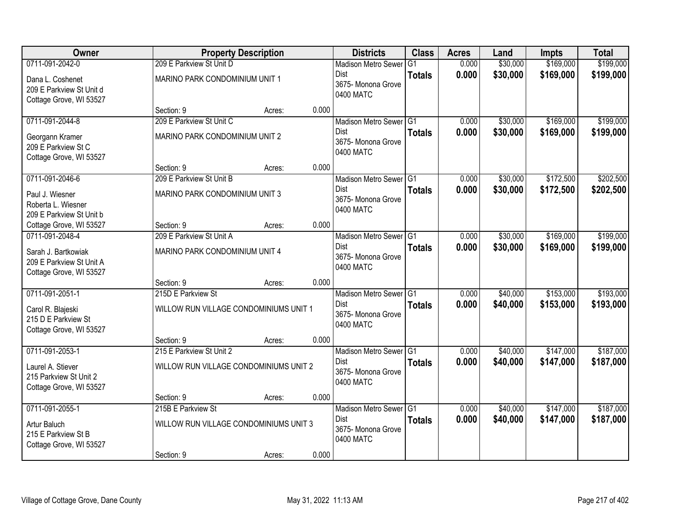| <b>Owner</b>                                                               |                                | <b>Property Description</b>            |       | <b>Districts</b>                               | <b>Class</b>  | <b>Acres</b> | Land     | <b>Impts</b> | <b>Total</b> |
|----------------------------------------------------------------------------|--------------------------------|----------------------------------------|-------|------------------------------------------------|---------------|--------------|----------|--------------|--------------|
| 0711-091-2042-0                                                            | 209 E Parkview St Unit D       |                                        |       | <b>Madison Metro Sewer</b>                     | G1            | 0.000        | \$30,000 | \$169,000    | \$199,000    |
| Dana L. Coshenet<br>209 E Parkview St Unit d<br>Cottage Grove, WI 53527    | MARINO PARK CONDOMINIUM UNIT 1 |                                        |       | Dist<br>3675- Monona Grove<br>0400 MATC        | <b>Totals</b> | 0.000        | \$30,000 | \$169,000    | \$199,000    |
|                                                                            | Section: 9                     | Acres:                                 | 0.000 |                                                |               |              |          |              |              |
| 0711-091-2044-8                                                            | 209 E Parkview St Unit C       |                                        |       | Madison Metro Sewer G1                         |               | 0.000        | \$30,000 | \$169,000    | \$199,000    |
| Georgann Kramer<br>209 E Parkview St C<br>Cottage Grove, WI 53527          | MARINO PARK CONDOMINIUM UNIT 2 |                                        |       | Dist<br>3675- Monona Grove<br>0400 MATC        | <b>Totals</b> | 0.000        | \$30,000 | \$169,000    | \$199,000    |
|                                                                            | Section: 9                     | Acres:                                 | 0.000 |                                                |               |              |          |              |              |
| 0711-091-2046-6                                                            | 209 E Parkview St Unit B       |                                        |       | Madison Metro Sewer G1                         |               | 0.000        | \$30,000 | \$172,500    | \$202,500    |
| Paul J. Wiesner<br>Roberta L. Wiesner<br>209 E Parkview St Unit b          | MARINO PARK CONDOMINIUM UNIT 3 |                                        |       | <b>Dist</b><br>3675- Monona Grove<br>0400 MATC | <b>Totals</b> | 0.000        | \$30,000 | \$172,500    | \$202,500    |
| Cottage Grove, WI 53527                                                    | Section: 9                     | Acres:                                 | 0.000 |                                                |               |              |          |              |              |
| 0711-091-2048-4                                                            | 209 E Parkview St Unit A       |                                        |       | Madison Metro Sewer G1                         |               | 0.000        | \$30,000 | \$169,000    | \$199,000    |
| Sarah J. Bartkowiak<br>209 E Parkview St Unit A<br>Cottage Grove, WI 53527 | MARINO PARK CONDOMINIUM UNIT 4 |                                        |       | Dist<br>3675- Monona Grove<br>0400 MATC        | <b>Totals</b> | 0.000        | \$30,000 | \$169,000    | \$199,000    |
|                                                                            | Section: 9                     | Acres:                                 | 0.000 |                                                |               |              |          |              |              |
| 0711-091-2051-1                                                            | 215D E Parkview St             |                                        |       | Madison Metro Sewer G1                         |               | 0.000        | \$40,000 | \$153,000    | \$193,000    |
| Carol R. Blajeski<br>215 D E Parkview St<br>Cottage Grove, WI 53527        |                                | WILLOW RUN VILLAGE CONDOMINIUMS UNIT 1 |       | <b>Dist</b><br>3675- Monona Grove<br>0400 MATC | <b>Totals</b> | 0.000        | \$40,000 | \$153,000    | \$193,000    |
|                                                                            | Section: 9                     | Acres:                                 | 0.000 |                                                |               |              |          |              |              |
| 0711-091-2053-1                                                            | 215 E Parkview St Unit 2       |                                        |       | Madison Metro Sewer G1                         |               | 0.000        | \$40,000 | \$147,000    | \$187,000    |
| Laurel A. Stiever<br>215 Parkview St Unit 2<br>Cottage Grove, WI 53527     |                                | WILLOW RUN VILLAGE CONDOMINIUMS UNIT 2 |       | Dist<br>3675- Monona Grove<br>0400 MATC        | <b>Totals</b> | 0.000        | \$40,000 | \$147,000    | \$187,000    |
|                                                                            | Section: 9                     | Acres:                                 | 0.000 |                                                |               |              |          |              |              |
| 0711-091-2055-1                                                            | 215B E Parkview St             |                                        |       | Madison Metro Sewer G1                         |               | 0.000        | \$40,000 | \$147,000    | \$187,000    |
| Artur Baluch<br>215 E Parkview St B<br>Cottage Grove, WI 53527             |                                | WILLOW RUN VILLAGE CONDOMINIUMS UNIT 3 |       | <b>Dist</b><br>3675-Monona Grove<br>0400 MATC  | <b>Totals</b> | 0.000        | \$40,000 | \$147,000    | \$187,000    |
|                                                                            | Section: 9                     | Acres:                                 | 0.000 |                                                |               |              |          |              |              |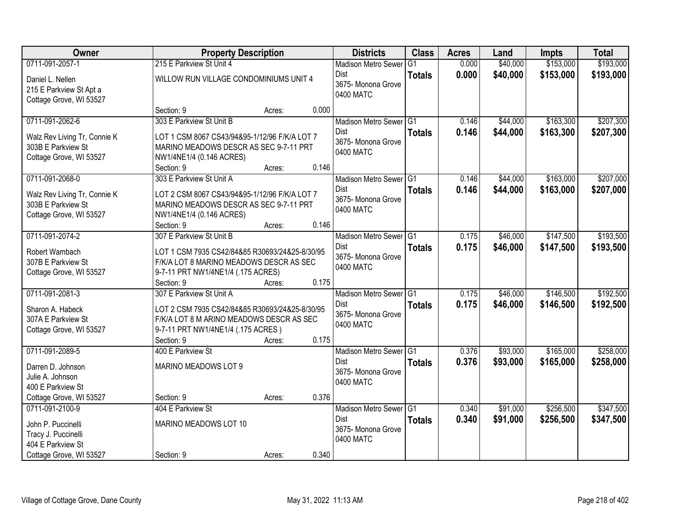| Owner                                                                                                        | <b>Property Description</b>                                                                                                                                                |        |       | <b>Districts</b>                                                         | <b>Class</b>  | <b>Acres</b>   | Land                 | <b>Impts</b>           | <b>Total</b>           |
|--------------------------------------------------------------------------------------------------------------|----------------------------------------------------------------------------------------------------------------------------------------------------------------------------|--------|-------|--------------------------------------------------------------------------|---------------|----------------|----------------------|------------------------|------------------------|
| 0711-091-2057-1                                                                                              | 215 E Parkview St Unit 4                                                                                                                                                   |        |       | <b>Madison Metro Sewer</b>                                               | G1            | 0.000          | \$40,000             | \$153,000              | \$193,000              |
| Daniel L. Nellen<br>215 E Parkview St Apt a<br>Cottage Grove, WI 53527                                       | WILLOW RUN VILLAGE CONDOMINIUMS UNIT 4                                                                                                                                     |        |       | Dist<br>3675- Monona Grove<br>0400 MATC                                  | <b>Totals</b> | 0.000          | \$40,000             | \$153,000              | \$193,000              |
|                                                                                                              | Section: 9                                                                                                                                                                 | Acres: | 0.000 |                                                                          |               |                |                      |                        |                        |
| 0711-091-2062-6<br>Walz Rev Living Tr, Connie K<br>303B E Parkview St<br>Cottage Grove, WI 53527             | 303 E Parkview St Unit B<br>LOT 1 CSM 8067 CS43/94&95-1/12/96 F/K/A LOT 7<br>MARINO MEADOWS DESCR AS SEC 9-7-11 PRT<br>NW1/4NE1/4 (0.146 ACRES)<br>Section: 9              | Acres: | 0.146 | Madison Metro Sewer G1<br><b>Dist</b><br>3675- Monona Grove<br>0400 MATC | <b>Totals</b> | 0.146<br>0.146 | \$44,000<br>\$44,000 | \$163,300<br>\$163,300 | \$207,300<br>\$207,300 |
| 0711-091-2068-0                                                                                              | 303 E Parkview St Unit A                                                                                                                                                   |        |       | Madison Metro Sewer G1                                                   |               | 0.146          | \$44,000             | \$163,000              | \$207,000              |
| Walz Rev Living Tr, Connie K<br>303B E Parkview St<br>Cottage Grove, WI 53527                                | LOT 2 CSM 8067 CS43/94&95-1/12/96 F/K/A LOT 7<br>MARINO MEADOWS DESCR AS SEC 9-7-11 PRT<br>NW1/4NE1/4 (0.146 ACRES)<br>Section: 9                                          | Acres: | 0.146 | Dist<br>3675- Monona Grove<br>0400 MATC                                  | <b>Totals</b> | 0.146          | \$44,000             | \$163,000              | \$207,000              |
| 0711-091-2074-2                                                                                              | 307 E Parkview St Unit B                                                                                                                                                   |        |       | Madison Metro Sewer G1                                                   |               | 0.175          | \$46,000             | \$147,500              | \$193,500              |
| Robert Wambach<br>307B E Parkview St<br>Cottage Grove, WI 53527                                              | LOT 1 CSM 7935 CS42/84&85 R30693/24&25-8/30/95<br>F/K/A LOT 8 MARINO MEADOWS DESCR AS SEC<br>9-7-11 PRT NW1/4NE1/4 (.175 ACRES)<br>Section: 9                              | Acres: | 0.175 | Dist<br>3675- Monona Grove<br>0400 MATC                                  | <b>Totals</b> | 0.175          | \$46,000             | \$147,500              | \$193,500              |
| 0711-091-2081-3<br>Sharon A. Habeck<br>307A E Parkview St<br>Cottage Grove, WI 53527                         | 307 E Parkview St Unit A<br>LOT 2 CSM 7935 CS42/84&85 R30693/24&25-8/30/95<br>F/K/A LOT 8 M ARINO MEADOWS DESCR AS SEC<br>9-7-11 PRT NW1/4NE1/4 (.175 ACRES)<br>Section: 9 | Acres: | 0.175 | Madison Metro Sewer G1<br><b>Dist</b><br>3675- Monona Grove<br>0400 MATC | <b>Totals</b> | 0.175<br>0.175 | \$46,000<br>\$46,000 | \$146,500<br>\$146,500 | \$192,500<br>\$192,500 |
| 0711-091-2089-5<br>Darren D. Johnson<br>Julie A. Johnson<br>400 E Parkview St<br>Cottage Grove, WI 53527     | 400 E Parkview St<br>MARINO MEADOWS LOT 9<br>Section: 9                                                                                                                    | Acres: | 0.376 | Madison Metro Sewer G1<br><b>Dist</b><br>3675- Monona Grove<br>0400 MATC | <b>Totals</b> | 0.376<br>0.376 | \$93,000<br>\$93,000 | \$165,000<br>\$165,000 | \$258,000<br>\$258,000 |
| 0711-091-2100-9<br>John P. Puccinelli<br>Tracy J. Puccinelli<br>404 E Parkview St<br>Cottage Grove, WI 53527 | 404 E Parkview St<br>MARINO MEADOWS LOT 10<br>Section: 9                                                                                                                   | Acres: | 0.340 | Madison Metro Sewer G1<br>Dist<br>3675- Monona Grove<br>0400 MATC        | <b>Totals</b> | 0.340<br>0.340 | \$91,000<br>\$91,000 | \$256,500<br>\$256,500 | \$347,500<br>\$347,500 |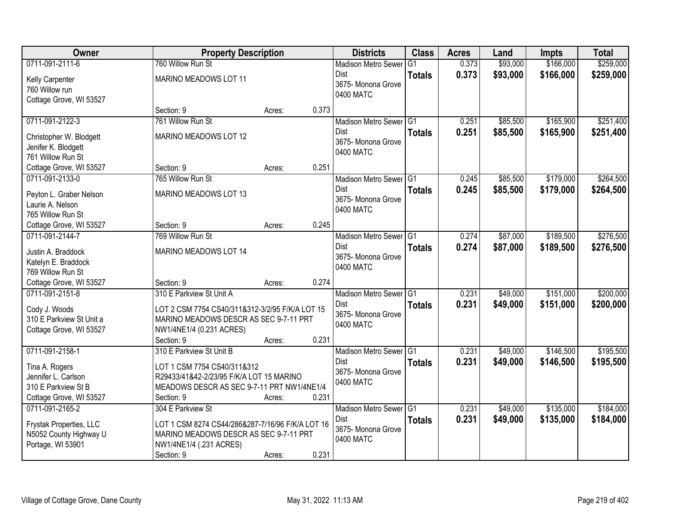| Owner                                    | <b>Property Description</b>                      |        |       | <b>Districts</b>           | <b>Class</b>  | <b>Acres</b> | Land     | <b>Impts</b> | <b>Total</b> |
|------------------------------------------|--------------------------------------------------|--------|-------|----------------------------|---------------|--------------|----------|--------------|--------------|
| 0711-091-2111-6                          | 760 Willow Run St                                |        |       | <b>Madison Metro Sewer</b> | G1            | 0.373        | \$93,000 | \$166,000    | \$259,000    |
| Kelly Carpenter                          | MARINO MEADOWS LOT 11                            |        |       | Dist                       | <b>Totals</b> | 0.373        | \$93,000 | \$166,000    | \$259,000    |
| 760 Willow run                           |                                                  |        |       | 3675-Monona Grove          |               |              |          |              |              |
| Cottage Grove, WI 53527                  |                                                  |        |       | 0400 MATC                  |               |              |          |              |              |
|                                          | Section: 9                                       | Acres: | 0.373 |                            |               |              |          |              |              |
| 0711-091-2122-3                          | 761 Willow Run St                                |        |       | Madison Metro Sewer G1     |               | 0.251        | \$85,500 | \$165,900    | \$251,400    |
| Christopher W. Blodgett                  | MARINO MEADOWS LOT 12                            |        |       | Dist                       | <b>Totals</b> | 0.251        | \$85,500 | \$165,900    | \$251,400    |
| Jenifer K. Blodgett                      |                                                  |        |       | 3675- Monona Grove         |               |              |          |              |              |
| 761 Willow Run St                        |                                                  |        |       | 0400 MATC                  |               |              |          |              |              |
| Cottage Grove, WI 53527                  | Section: 9                                       | Acres: | 0.251 |                            |               |              |          |              |              |
| 0711-091-2133-0                          | 765 Willow Run St                                |        |       | Madison Metro Sewer G1     |               | 0.245        | \$85,500 | \$179,000    | \$264,500    |
| Peyton L. Graber Nelson                  | MARINO MEADOWS LOT 13                            |        |       | Dist                       | <b>Totals</b> | 0.245        | \$85,500 | \$179,000    | \$264,500    |
| Laurie A. Nelson                         |                                                  |        |       | 3675- Monona Grove         |               |              |          |              |              |
| 765 Willow Run St                        |                                                  |        |       | 0400 MATC                  |               |              |          |              |              |
| Cottage Grove, WI 53527                  | Section: 9                                       | Acres: | 0.245 |                            |               |              |          |              |              |
| 0711-091-2144-7                          | 769 Willow Run St                                |        |       | Madison Metro Sewer G1     |               | 0.274        | \$87,000 | \$189,500    | \$276,500    |
|                                          |                                                  |        |       | Dist                       | <b>Totals</b> | 0.274        | \$87,000 | \$189,500    | \$276,500    |
| Justin A. Braddock                       | MARINO MEADOWS LOT 14                            |        |       | 3675- Monona Grove         |               |              |          |              |              |
| Katelyn E. Braddock<br>769 Willow Run St |                                                  |        |       | 0400 MATC                  |               |              |          |              |              |
| Cottage Grove, WI 53527                  | Section: 9                                       |        | 0.274 |                            |               |              |          |              |              |
| 0711-091-2151-8                          | 310 E Parkview St Unit A                         | Acres: |       | Madison Metro Sewer G1     |               | 0.231        | \$49,000 | \$151,000    | \$200,000    |
|                                          |                                                  |        |       | <b>Dist</b>                |               |              |          |              |              |
| Cody J. Woods                            | LOT 2 CSM 7754 CS40/311&312-3/2/95 F/K/A LOT 15  |        |       | 3675- Monona Grove         | <b>Totals</b> | 0.231        | \$49,000 | \$151,000    | \$200,000    |
| 310 E Parkview St Unit a                 | MARINO MEADOWS DESCR AS SEC 9-7-11 PRT           |        |       | 0400 MATC                  |               |              |          |              |              |
| Cottage Grove, WI 53527                  | NW1/4NE1/4 (0.231 ACRES)                         |        |       |                            |               |              |          |              |              |
|                                          | Section: 9                                       | Acres: | 0.231 |                            |               |              |          |              |              |
| 0711-091-2158-1                          | 310 E Parkview St Unit B                         |        |       | Madison Metro Sewer G1     |               | 0.231        | \$49,000 | \$146,500    | \$195,500    |
| Tina A. Rogers                           | LOT 1 CSM 7754 CS40/311&312                      |        |       | <b>Dist</b>                | <b>Totals</b> | 0.231        | \$49,000 | \$146,500    | \$195,500    |
| Jennifer L. Carlson                      | R29433/41&42-2/23/95 F/K/A LOT 15 MARINO         |        |       | 3675- Monona Grove         |               |              |          |              |              |
| 310 E Parkview St B                      | MEADOWS DESCR AS SEC 9-7-11 PRT NW1/4NE1/4       |        |       | 0400 MATC                  |               |              |          |              |              |
| Cottage Grove, WI 53527                  | Section: 9                                       | Acres: | 0.231 |                            |               |              |          |              |              |
| 0711-091-2165-2                          | 304 E Parkview St                                |        |       | Madison Metro Sewer G1     |               | 0.231        | \$49,000 | \$135,000    | \$184,000    |
| Frystak Properties, LLC                  | LOT 1 CSM 8274 CS44/286&287-7/16/96 F/K/A LOT 16 |        |       | Dist                       | <b>Totals</b> | 0.231        | \$49,000 | \$135,000    | \$184,000    |
| N5052 County Highway U                   | MARINO MEADOWS DESCR AS SEC 9-7-11 PRT           |        |       | 3675- Monona Grove         |               |              |          |              |              |
| Portage, WI 53901                        | NW1/4NE1/4 (.231 ACRES)                          |        |       | 0400 MATC                  |               |              |          |              |              |
|                                          | Section: 9                                       | Acres: | 0.231 |                            |               |              |          |              |              |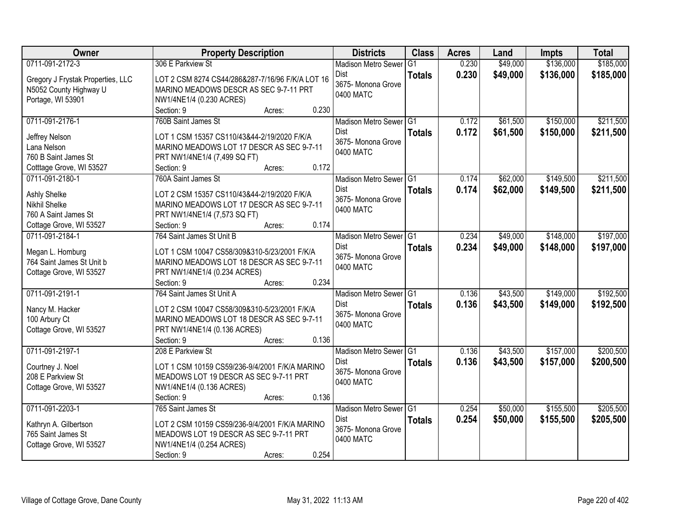| Owner                             | <b>Property Description</b>                      | <b>Districts</b>           | <b>Class</b>  | <b>Acres</b> | Land     | <b>Impts</b> | <b>Total</b> |
|-----------------------------------|--------------------------------------------------|----------------------------|---------------|--------------|----------|--------------|--------------|
| 0711-091-2172-3                   | 306 E Parkview St                                | <b>Madison Metro Sewer</b> | G1            | 0.230        | \$49,000 | \$136,000    | \$185,000    |
| Gregory J Frystak Properties, LLC | LOT 2 CSM 8274 CS44/286&287-7/16/96 F/K/A LOT 16 | Dist                       | <b>Totals</b> | 0.230        | \$49,000 | \$136,000    | \$185,000    |
| N5052 County Highway U            | MARINO MEADOWS DESCR AS SEC 9-7-11 PRT           | 3675- Monona Grove         |               |              |          |              |              |
| Portage, WI 53901                 | NW1/4NE1/4 (0.230 ACRES)                         | 0400 MATC                  |               |              |          |              |              |
|                                   | 0.230<br>Section: 9<br>Acres:                    |                            |               |              |          |              |              |
| 0711-091-2176-1                   | 760B Saint James St                              | Madison Metro Sewer G1     |               | 0.172        | \$61,500 | \$150,000    | \$211,500    |
| Jeffrey Nelson                    | LOT 1 CSM 15357 CS110/43&44-2/19/2020 F/K/A      | <b>Dist</b>                | <b>Totals</b> | 0.172        | \$61,500 | \$150,000    | \$211,500    |
| Lana Nelson                       | MARINO MEADOWS LOT 17 DESCR AS SEC 9-7-11        | 3675- Monona Grove         |               |              |          |              |              |
| 760 B Saint James St              | PRT NW1/4NE1/4 (7,499 SQ FT)                     | 0400 MATC                  |               |              |          |              |              |
| Cotttage Grove, WI 53527          | 0.172<br>Section: 9<br>Acres:                    |                            |               |              |          |              |              |
| 0711-091-2180-1                   | 760A Saint James St                              | Madison Metro Sewer G1     |               | 0.174        | \$62,000 | \$149,500    | \$211,500    |
|                                   |                                                  | Dist                       | <b>Totals</b> | 0.174        | \$62,000 | \$149,500    | \$211,500    |
| Ashly Shelke                      | LOT 2 CSM 15357 CS110/43&44-2/19/2020 F/K/A      | 3675- Monona Grove         |               |              |          |              |              |
| <b>Nikhil Shelke</b>              | MARINO MEADOWS LOT 17 DESCR AS SEC 9-7-11        | 0400 MATC                  |               |              |          |              |              |
| 760 A Saint James St              | PRT NW1/4NE1/4 (7,573 SQ FT)                     |                            |               |              |          |              |              |
| Cottage Grove, WI 53527           | 0.174<br>Section: 9<br>Acres:                    |                            |               |              |          |              |              |
| 0711-091-2184-1                   | 764 Saint James St Unit B                        | Madison Metro Sewer G1     |               | 0.234        | \$49,000 | \$148,000    | \$197,000    |
| Megan L. Homburg                  | LOT 1 CSM 10047 CS58/309&310-5/23/2001 F/K/A     | Dist<br>3675- Monona Grove | <b>Totals</b> | 0.234        | \$49,000 | \$148,000    | \$197,000    |
| 764 Saint James St Unit b         | MARINO MEADOWS LOT 18 DESCR AS SEC 9-7-11        | 0400 MATC                  |               |              |          |              |              |
| Cottage Grove, WI 53527           | PRT NW1/4NE1/4 (0.234 ACRES)                     |                            |               |              |          |              |              |
|                                   | 0.234<br>Section: 9<br>Acres:                    |                            |               |              |          |              |              |
| 0711-091-2191-1                   | 764 Saint James St Unit A                        | Madison Metro Sewer G1     |               | 0.136        | \$43,500 | \$149,000    | \$192,500    |
| Nancy M. Hacker                   | LOT 2 CSM 10047 CS58/309&310-5/23/2001 F/K/A     | <b>Dist</b>                | <b>Totals</b> | 0.136        | \$43,500 | \$149,000    | \$192,500    |
| 100 Arbury Ct                     | MARINO MEADOWS LOT 18 DESCR AS SEC 9-7-11        | 3675- Monona Grove         |               |              |          |              |              |
| Cottage Grove, WI 53527           | PRT NW1/4NE1/4 (0.136 ACRES)                     | 0400 MATC                  |               |              |          |              |              |
|                                   | Section: 9<br>0.136<br>Acres:                    |                            |               |              |          |              |              |
| 0711-091-2197-1                   | 208 E Parkview St                                | Madison Metro Sewer G1     |               | 0.136        | \$43,500 | \$157,000    | \$200,500    |
| Courtney J. Noel                  | LOT 1 CSM 10159 CS59/236-9/4/2001 F/K/A MARINO   | <b>Dist</b>                | <b>Totals</b> | 0.136        | \$43,500 | \$157,000    | \$200,500    |
| 208 E Parkview St                 | MEADOWS LOT 19 DESCR AS SEC 9-7-11 PRT           | 3675- Monona Grove         |               |              |          |              |              |
| Cottage Grove, WI 53527           | NW1/4NE1/4 (0.136 ACRES)                         | 0400 MATC                  |               |              |          |              |              |
|                                   | 0.136<br>Section: 9<br>Acres:                    |                            |               |              |          |              |              |
| 0711-091-2203-1                   | 765 Saint James St                               | Madison Metro Sewer G1     |               | 0.254        | \$50,000 | \$155,500    | \$205,500    |
|                                   |                                                  | Dist                       | <b>Totals</b> | 0.254        | \$50,000 | \$155,500    | \$205,500    |
| Kathryn A. Gilbertson             | LOT 2 CSM 10159 CS59/236-9/4/2001 F/K/A MARINO   | 3675- Monona Grove         |               |              |          |              |              |
| 765 Saint James St                | MEADOWS LOT 19 DESCR AS SEC 9-7-11 PRT           | 0400 MATC                  |               |              |          |              |              |
| Cottage Grove, WI 53527           | NW1/4NE1/4 (0.254 ACRES)<br>0.254                |                            |               |              |          |              |              |
|                                   | Section: 9<br>Acres:                             |                            |               |              |          |              |              |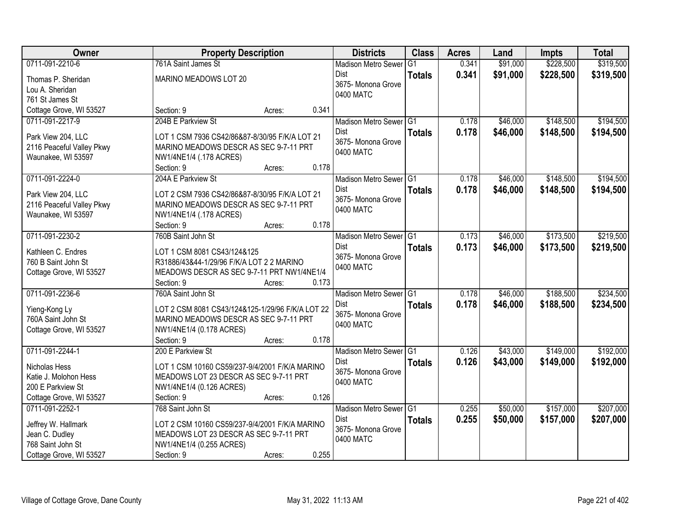| Owner                                      | <b>Property Description</b>                      |                 | <b>Districts</b>           | <b>Class</b>    | <b>Acres</b> | Land     | <b>Impts</b> | <b>Total</b> |
|--------------------------------------------|--------------------------------------------------|-----------------|----------------------------|-----------------|--------------|----------|--------------|--------------|
| 0711-091-2210-6                            | 761A Saint James St                              |                 | <b>Madison Metro Sewer</b> | $\overline{G1}$ | 0.341        | \$91,000 | \$228,500    | \$319,500    |
| Thomas P. Sheridan                         | MARINO MEADOWS LOT 20                            |                 | <b>Dist</b>                | <b>Totals</b>   | 0.341        | \$91,000 | \$228,500    | \$319,500    |
| Lou A. Sheridan                            |                                                  |                 | 3675- Monona Grove         |                 |              |          |              |              |
| 761 St James St                            |                                                  |                 | 0400 MATC                  |                 |              |          |              |              |
| Cottage Grove, WI 53527                    | Section: 9                                       | 0.341<br>Acres: |                            |                 |              |          |              |              |
| 0711-091-2217-9                            | 204B E Parkview St                               |                 | Madison Metro Sewer G1     |                 | 0.178        | \$46,000 | \$148,500    | \$194,500    |
|                                            |                                                  |                 | <b>Dist</b>                | <b>Totals</b>   | 0.178        | \$46,000 | \$148,500    | \$194,500    |
| Park View 204, LLC                         | LOT 1 CSM 7936 CS42/86&87-8/30/95 F/K/A LOT 21   |                 | 3675- Monona Grove         |                 |              |          |              |              |
| 2116 Peaceful Valley Pkwy                  | MARINO MEADOWS DESCR AS SEC 9-7-11 PRT           |                 | 0400 MATC                  |                 |              |          |              |              |
| Waunakee, WI 53597                         | NW1/4NE1/4 (.178 ACRES)<br>Section: 9            | 0.178<br>Acres: |                            |                 |              |          |              |              |
| 0711-091-2224-0                            | 204A E Parkview St                               |                 | Madison Metro Sewer G1     |                 | 0.178        | \$46,000 | \$148,500    | \$194,500    |
|                                            |                                                  |                 | <b>Dist</b>                |                 | 0.178        | \$46,000 | \$148,500    | \$194,500    |
| Park View 204, LLC                         | LOT 2 CSM 7936 CS42/86&87-8/30/95 F/K/A LOT 21   |                 | 3675- Monona Grove         | <b>Totals</b>   |              |          |              |              |
| 2116 Peaceful Valley Pkwy                  | MARINO MEADOWS DESCR AS SEC 9-7-11 PRT           |                 | 0400 MATC                  |                 |              |          |              |              |
| Waunakee, WI 53597                         | NW1/4NE1/4 (.178 ACRES)                          |                 |                            |                 |              |          |              |              |
|                                            | Section: 9                                       | 0.178<br>Acres: |                            |                 |              |          |              |              |
| 0711-091-2230-2                            | 760B Saint John St                               |                 | Madison Metro Sewer G1     |                 | 0.173        | \$46,000 | \$173,500    | \$219,500    |
| Kathleen C. Endres                         | LOT 1 CSM 8081 CS43/124&125                      |                 | <b>Dist</b>                | <b>Totals</b>   | 0.173        | \$46,000 | \$173,500    | \$219,500    |
| 760 B Saint John St                        | R31886/43&44-1/29/96 F/K/A LOT 2 2 MARINO        |                 | 3675- Monona Grove         |                 |              |          |              |              |
| Cottage Grove, WI 53527                    | MEADOWS DESCR AS SEC 9-7-11 PRT NW1/4NE1/4       |                 | 0400 MATC                  |                 |              |          |              |              |
|                                            | Section: 9                                       | 0.173<br>Acres: |                            |                 |              |          |              |              |
| 0711-091-2236-6                            | 760A Saint John St                               |                 | Madison Metro Sewer G1     |                 | 0.178        | \$46,000 | \$188,500    | \$234,500    |
| Yieng-Kong Ly                              | LOT 2 CSM 8081 CS43/124&125-1/29/96 F/K/A LOT 22 |                 | Dist                       | <b>Totals</b>   | 0.178        | \$46,000 | \$188,500    | \$234,500    |
| 760A Saint John St                         | MARINO MEADOWS DESCR AS SEC 9-7-11 PRT           |                 | 3675- Monona Grove         |                 |              |          |              |              |
| Cottage Grove, WI 53527                    | NW1/4NE1/4 (0.178 ACRES)                         |                 | 0400 MATC                  |                 |              |          |              |              |
|                                            | Section: 9                                       | 0.178<br>Acres: |                            |                 |              |          |              |              |
| 0711-091-2244-1                            | 200 E Parkview St                                |                 | Madison Metro Sewer G1     |                 | 0.126        | \$43,000 | \$149,000    | \$192,000    |
|                                            |                                                  |                 | Dist                       | <b>Totals</b>   | 0.126        | \$43,000 | \$149,000    | \$192,000    |
| Nicholas Hess                              | LOT 1 CSM 10160 CS59/237-9/4/2001 F/K/A MARINO   |                 | 3675- Monona Grove         |                 |              |          |              |              |
| Katie J. Molohon Hess                      | MEADOWS LOT 23 DESCR AS SEC 9-7-11 PRT           |                 | 0400 MATC                  |                 |              |          |              |              |
| 200 E Parkview St                          | NW1/4NE1/4 (0.126 ACRES)                         | 0.126           |                            |                 |              |          |              |              |
| Cottage Grove, WI 53527<br>0711-091-2252-1 | Section: 9                                       | Acres:          |                            |                 |              |          | \$157,000    |              |
|                                            | 768 Saint John St                                |                 | Madison Metro Sewer G1     |                 | 0.255        | \$50,000 |              | \$207,000    |
| Jeffrey W. Hallmark                        | LOT 2 CSM 10160 CS59/237-9/4/2001 F/K/A MARINO   |                 | Dist<br>3675- Monona Grove | <b>Totals</b>   | 0.255        | \$50,000 | \$157,000    | \$207,000    |
| Jean C. Dudley                             | MEADOWS LOT 23 DESCR AS SEC 9-7-11 PRT           |                 | 0400 MATC                  |                 |              |          |              |              |
| 768 Saint John St                          | NW1/4NE1/4 (0.255 ACRES)                         |                 |                            |                 |              |          |              |              |
| Cottage Grove, WI 53527                    | Section: 9                                       | 0.255<br>Acres: |                            |                 |              |          |              |              |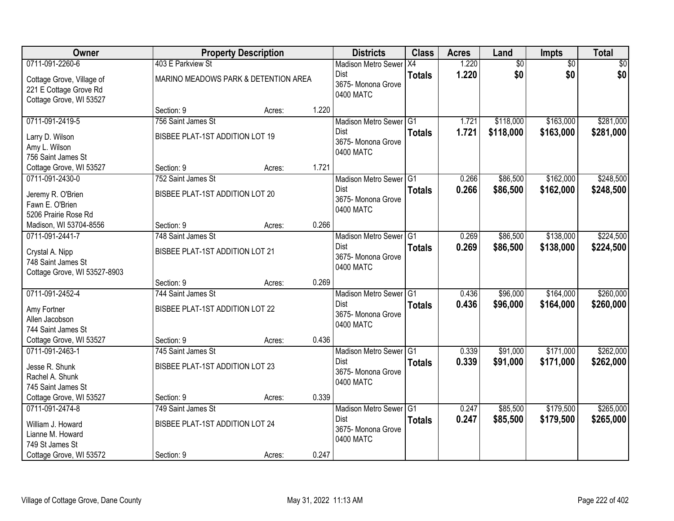| Owner                                                                          |                                      | <b>Property Description</b> |       | <b>Districts</b>                               | <b>Class</b>  | <b>Acres</b>   | Land                 | Impts                  | <b>Total</b>           |
|--------------------------------------------------------------------------------|--------------------------------------|-----------------------------|-------|------------------------------------------------|---------------|----------------|----------------------|------------------------|------------------------|
| 0711-091-2260-6                                                                | 403 E Parkview St                    |                             |       | <b>Madison Metro Sewer</b>                     | X4            | 1.220          | $\overline{50}$      | $\overline{50}$        | \$0                    |
| Cottage Grove, Village of<br>221 E Cottage Grove Rd<br>Cottage Grove, WI 53527 | MARINO MEADOWS PARK & DETENTION AREA |                             |       | Dist<br>3675-Monona Grove<br>0400 MATC         | <b>Totals</b> | 1.220          | \$0                  | \$0                    | \$0                    |
|                                                                                | Section: 9                           | Acres:                      | 1.220 |                                                |               |                |                      |                        |                        |
| 0711-091-2419-5                                                                | 756 Saint James St                   |                             |       | Madison Metro Sewer G1                         |               | 1.721          | \$118,000            | \$163,000              | \$281,000              |
| Larry D. Wilson<br>Amy L. Wilson<br>756 Saint James St                         | BISBEE PLAT-1ST ADDITION LOT 19      |                             |       | Dist<br>3675- Monona Grove<br>0400 MATC        | <b>Totals</b> | 1.721          | \$118,000            | \$163,000              | \$281,000              |
| Cottage Grove, WI 53527                                                        | Section: 9                           | Acres:                      | 1.721 |                                                |               |                |                      |                        |                        |
| 0711-091-2430-0                                                                | 752 Saint James St                   |                             |       | Madison Metro Sewer G1                         |               | 0.266          | \$86,500             | \$162,000              | \$248,500              |
| Jeremy R. O'Brien<br>Fawn E. O'Brien<br>5206 Prairie Rose Rd                   | BISBEE PLAT-1ST ADDITION LOT 20      |                             |       | Dist<br>3675- Monona Grove<br>0400 MATC        | <b>Totals</b> | 0.266          | \$86,500             | \$162,000              | \$248,500              |
| Madison, WI 53704-8556                                                         | Section: 9                           | Acres:                      | 0.266 |                                                |               |                |                      |                        |                        |
| 0711-091-2441-7                                                                | 748 Saint James St                   |                             |       | Madison Metro Sewer G1                         |               | 0.269          | \$86,500             | \$138,000              | \$224,500              |
| Crystal A. Nipp<br>748 Saint James St<br>Cottage Grove, WI 53527-8903          | BISBEE PLAT-1ST ADDITION LOT 21      |                             |       | Dist<br>3675- Monona Grove<br>0400 MATC        | <b>Totals</b> | 0.269          | \$86,500             | \$138,000              | \$224,500              |
|                                                                                | Section: 9                           | Acres:                      | 0.269 |                                                |               |                |                      |                        |                        |
| 0711-091-2452-4                                                                | 744 Saint James St                   |                             |       | Madison Metro Sewer G1<br>Dist                 |               | 0.436<br>0.436 | \$96,000<br>\$96,000 | \$164,000<br>\$164,000 | \$260,000<br>\$260,000 |
| Amy Fortner<br>Allen Jacobson<br>744 Saint James St                            | BISBEE PLAT-1ST ADDITION LOT 22      |                             |       | 3675- Monona Grove<br>0400 MATC                | <b>Totals</b> |                |                      |                        |                        |
| Cottage Grove, WI 53527                                                        | Section: 9                           | Acres:                      | 0.436 |                                                |               |                |                      |                        |                        |
| 0711-091-2463-1                                                                | 745 Saint James St                   |                             |       | Madison Metro Sewer G1                         |               | 0.339          | \$91,000             | \$171,000              | \$262,000              |
| Jesse R. Shunk<br>Rachel A. Shunk<br>745 Saint James St                        | BISBEE PLAT-1ST ADDITION LOT 23      |                             |       | <b>Dist</b><br>3675- Monona Grove<br>0400 MATC | <b>Totals</b> | 0.339          | \$91,000             | \$171,000              | \$262,000              |
| Cottage Grove, WI 53527                                                        | Section: 9                           | Acres:                      | 0.339 |                                                |               |                |                      |                        |                        |
| 0711-091-2474-8                                                                | 749 Saint James St                   |                             |       | Madison Metro Sewer G1                         |               | 0.247          | \$85,500             | \$179,500              | \$265,000              |
| William J. Howard<br>Lianne M. Howard<br>749 St James St                       | BISBEE PLAT-1ST ADDITION LOT 24      |                             |       | Dist<br>3675- Monona Grove<br>0400 MATC        | <b>Totals</b> | 0.247          | \$85,500             | \$179,500              | \$265,000              |
| Cottage Grove, WI 53572                                                        | Section: 9                           | Acres:                      | 0.247 |                                                |               |                |                      |                        |                        |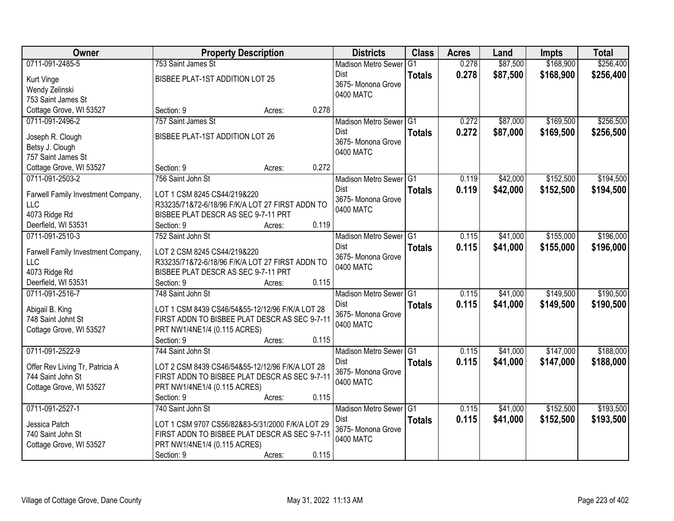| Owner                                | <b>Property Description</b>                                                            |                 | <b>Districts</b>               | <b>Class</b>   | <b>Acres</b> | Land     | <b>Impts</b> | <b>Total</b> |
|--------------------------------------|----------------------------------------------------------------------------------------|-----------------|--------------------------------|----------------|--------------|----------|--------------|--------------|
| 0711-091-2485-5                      | 753 Saint James St                                                                     |                 | <b>Madison Metro Sewer</b>     | G <sub>1</sub> | 0.278        | \$87,500 | \$168,900    | \$256,400    |
| Kurt Vinge                           | BISBEE PLAT-1ST ADDITION LOT 25                                                        |                 | Dist                           | <b>Totals</b>  | 0.278        | \$87,500 | \$168,900    | \$256,400    |
| Wendy Zelinski                       |                                                                                        |                 | 3675- Monona Grove             |                |              |          |              |              |
| 753 Saint James St                   |                                                                                        |                 | 0400 MATC                      |                |              |          |              |              |
| Cottage Grove, WI 53527              | Section: 9                                                                             | 0.278<br>Acres: |                                |                |              |          |              |              |
| 0711-091-2496-2                      | 757 Saint James St                                                                     |                 | Madison Metro Sewer G1         |                | 0.272        | \$87,000 | \$169,500    | \$256,500    |
|                                      |                                                                                        |                 | <b>Dist</b>                    | <b>Totals</b>  | 0.272        | \$87,000 | \$169,500    | \$256,500    |
| Joseph R. Clough                     | BISBEE PLAT-1ST ADDITION LOT 26                                                        |                 | 3675- Monona Grove             |                |              |          |              |              |
| Betsy J. Clough                      |                                                                                        |                 | 0400 MATC                      |                |              |          |              |              |
| 757 Saint James St                   |                                                                                        |                 |                                |                |              |          |              |              |
| Cottage Grove, WI 53527              | Section: 9                                                                             | 0.272<br>Acres: |                                |                |              |          |              |              |
| 0711-091-2503-2                      | 756 Saint John St                                                                      |                 | Madison Metro Sewer G1         |                | 0.119        | \$42,000 | \$152,500    | \$194,500    |
| Farwell Family Investment Company,   | LOT 1 CSM 8245 CS44/219&220                                                            |                 | <b>Dist</b>                    | <b>Totals</b>  | 0.119        | \$42,000 | \$152,500    | \$194,500    |
| LLC                                  | R33235/71&72-6/18/96 F/K/A LOT 27 FIRST ADDN TO                                        |                 | 3675- Monona Grove             |                |              |          |              |              |
| 4073 Ridge Rd                        | BISBEE PLAT DESCR AS SEC 9-7-11 PRT                                                    |                 | 0400 MATC                      |                |              |          |              |              |
| Deerfield, WI 53531                  | Section: 9                                                                             | 0.119<br>Acres: |                                |                |              |          |              |              |
| 0711-091-2510-3                      | 752 Saint John St                                                                      |                 | Madison Metro Sewer G1         |                | 0.115        | \$41,000 | \$155,000    | \$196,000    |
|                                      |                                                                                        |                 | <b>Dist</b>                    | <b>Totals</b>  | 0.115        | \$41,000 | \$155,000    | \$196,000    |
| Farwell Family Investment Company,   | LOT 2 CSM 8245 CS44/219&220                                                            |                 | 3675- Monona Grove             |                |              |          |              |              |
| <b>LLC</b>                           | R33235/71&72-6/18/96 F/K/A LOT 27 FIRST ADDN TO<br>BISBEE PLAT DESCR AS SEC 9-7-11 PRT |                 | 0400 MATC                      |                |              |          |              |              |
| 4073 Ridge Rd<br>Deerfield, WI 53531 | Section: 9                                                                             | 0.115<br>Acres: |                                |                |              |          |              |              |
| 0711-091-2516-7                      | 748 Saint John St                                                                      |                 |                                |                | 0.115        | \$41,000 | \$149,500    | \$190,500    |
|                                      |                                                                                        |                 | Madison Metro Sewer G1<br>Dist |                |              |          |              |              |
| Abigail B. King                      | LOT 1 CSM 8439 CS46/54&55-12/12/96 F/K/A LOT 28                                        |                 | 3675- Monona Grove             | <b>Totals</b>  | 0.115        | \$41,000 | \$149,500    | \$190,500    |
| 748 Saint Johnt St                   | FIRST ADDN TO BISBEE PLAT DESCR AS SEC 9-7-11                                          |                 | 0400 MATC                      |                |              |          |              |              |
| Cottage Grove, WI 53527              | PRT NW1/4NE1/4 (0.115 ACRES)                                                           |                 |                                |                |              |          |              |              |
|                                      | Section: 9                                                                             | 0.115<br>Acres: |                                |                |              |          |              |              |
| 0711-091-2522-9                      | 744 Saint John St                                                                      |                 | Madison Metro Sewer G1         |                | 0.115        | \$41,000 | \$147,000    | \$188,000    |
| Offer Rev Living Tr, Patricia A      | LOT 2 CSM 8439 CS46/54&55-12/12/96 F/K/A LOT 28                                        |                 | Dist                           | <b>Totals</b>  | 0.115        | \$41,000 | \$147,000    | \$188,000    |
| 744 Saint John St                    | FIRST ADDN TO BISBEE PLAT DESCR AS SEC 9-7-11                                          |                 | 3675- Monona Grove             |                |              |          |              |              |
| Cottage Grove, WI 53527              | PRT NW1/4NE1/4 (0.115 ACRES)                                                           |                 | 0400 MATC                      |                |              |          |              |              |
|                                      | Section: 9                                                                             | 0.115<br>Acres: |                                |                |              |          |              |              |
| 0711-091-2527-1                      | 740 Saint John St                                                                      |                 | Madison Metro Sewer G1         |                | 0.115        | \$41,000 | \$152,500    | \$193,500    |
|                                      |                                                                                        |                 | Dist                           | <b>Totals</b>  | 0.115        | \$41,000 | \$152,500    | \$193,500    |
| Jessica Patch                        | LOT 1 CSM 9707 CS56/82&83-5/31/2000 F/K/A LOT 29                                       |                 | 3675- Monona Grove             |                |              |          |              |              |
| 740 Saint John St                    | FIRST ADDN TO BISBEE PLAT DESCR AS SEC 9-7-11                                          |                 | 0400 MATC                      |                |              |          |              |              |
| Cottage Grove, WI 53527              | PRT NW1/4NE1/4 (0.115 ACRES)                                                           |                 |                                |                |              |          |              |              |
|                                      | Section: 9                                                                             | 0.115<br>Acres: |                                |                |              |          |              |              |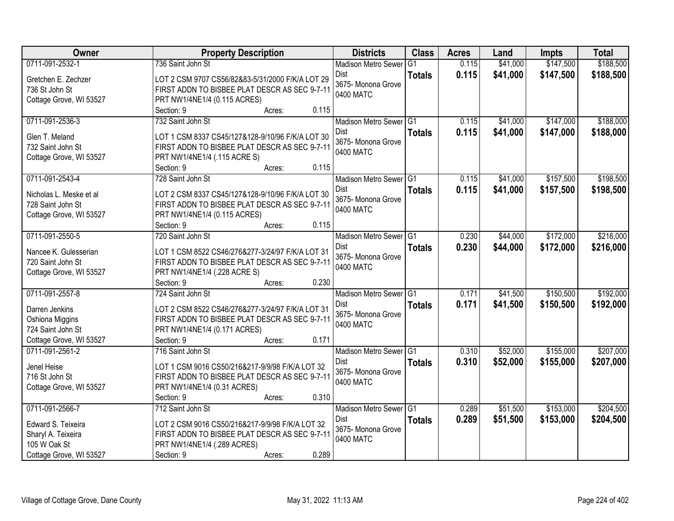| Owner                   | <b>Property Description</b>                      | <b>Districts</b>           | <b>Class</b>    | <b>Acres</b> | Land     | <b>Impts</b> | <b>Total</b> |
|-------------------------|--------------------------------------------------|----------------------------|-----------------|--------------|----------|--------------|--------------|
| 0711-091-2532-1         | 736 Saint John St                                | <b>Madison Metro Sewer</b> | $\overline{G1}$ | 0.115        | \$41,000 | \$147,500    | \$188,500    |
| Gretchen E. Zechzer     | LOT 2 CSM 9707 CS56/82&83-5/31/2000 F/K/A LOT 29 | <b>Dist</b>                | <b>Totals</b>   | 0.115        | \$41,000 | \$147,500    | \$188,500    |
| 736 St John St          | FIRST ADDN TO BISBEE PLAT DESCR AS SEC 9-7-11    | 3675- Monona Grove         |                 |              |          |              |              |
| Cottage Grove, WI 53527 | PRT NW1/4NE1/4 (0.115 ACRES)                     | 0400 MATC                  |                 |              |          |              |              |
|                         | 0.115<br>Section: 9<br>Acres:                    |                            |                 |              |          |              |              |
| 0711-091-2536-3         | 732 Saint John St                                | Madison Metro Sewer G1     |                 | 0.115        | \$41,000 | \$147,000    | \$188,000    |
| Glen T. Meland          | LOT 1 CSM 8337 CS45/127&128-9/10/96 F/K/A LOT 30 | Dist                       | <b>Totals</b>   | 0.115        | \$41,000 | \$147,000    | \$188,000    |
| 732 Saint John St       | FIRST ADDN TO BISBEE PLAT DESCR AS SEC 9-7-11    | 3675- Monona Grove         |                 |              |          |              |              |
| Cottage Grove, WI 53527 | PRT NW1/4NE1/4 (.115 ACRE S)                     | 0400 MATC                  |                 |              |          |              |              |
|                         | 0.115<br>Section: 9<br>Acres:                    |                            |                 |              |          |              |              |
| 0711-091-2543-4         | 728 Saint John St                                | Madison Metro Sewer G1     |                 | 0.115        | \$41,000 | \$157,500    | \$198,500    |
|                         |                                                  | <b>Dist</b>                | <b>Totals</b>   | 0.115        | \$41,000 | \$157,500    | \$198,500    |
| Nicholas L. Meske et al | LOT 2 CSM 8337 CS45/127&128-9/10/96 F/K/A LOT 30 | 3675- Monona Grove         |                 |              |          |              |              |
| 728 Saint John St       | FIRST ADDN TO BISBEE PLAT DESCR AS SEC 9-7-11    | 0400 MATC                  |                 |              |          |              |              |
| Cottage Grove, WI 53527 | PRT NW1/4NE1/4 (0.115 ACRES)                     |                            |                 |              |          |              |              |
|                         | 0.115<br>Section: 9<br>Acres:                    |                            |                 |              |          |              |              |
| 0711-091-2550-5         | 720 Saint John St                                | Madison Metro Sewer G1     |                 | 0.230        | \$44,000 | \$172,000    | \$216,000    |
| Nancee K. Gulesserian   | LOT 1 CSM 8522 CS46/276&277-3/24/97 F/K/A LOT 31 | <b>Dist</b>                | <b>Totals</b>   | 0.230        | \$44,000 | \$172,000    | \$216,000    |
| 720 Saint John St       | FIRST ADDN TO BISBEE PLAT DESCR AS SEC 9-7-11    | 3675- Monona Grove         |                 |              |          |              |              |
| Cottage Grove, WI 53527 | PRT NW1/4NE1/4 (.228 ACRE S)                     | 0400 MATC                  |                 |              |          |              |              |
|                         | 0.230<br>Section: 9<br>Acres:                    |                            |                 |              |          |              |              |
| 0711-091-2557-8         | 724 Saint John St                                | <b>Madison Metro Sewer</b> | IG <sub>1</sub> | 0.171        | \$41,500 | \$150,500    | \$192,000    |
| Darren Jenkins          | LOT 2 CSM 8522 CS46/276&277-3/24/97 F/K/A LOT 31 | Dist                       | <b>Totals</b>   | 0.171        | \$41,500 | \$150,500    | \$192,000    |
| Oshiona Miggins         | FIRST ADDN TO BISBEE PLAT DESCR AS SEC 9-7-11    | 3675- Monona Grove         |                 |              |          |              |              |
| 724 Saint John St       | PRT NW1/4NE1/4 (0.171 ACRES)                     | 0400 MATC                  |                 |              |          |              |              |
| Cottage Grove, WI 53527 | Section: 9<br>0.171<br>Acres:                    |                            |                 |              |          |              |              |
| 0711-091-2561-2         | 716 Saint John St                                | Madison Metro Sewer G1     |                 | 0.310        | \$52,000 | \$155,000    | \$207,000    |
|                         |                                                  | <b>Dist</b>                | <b>Totals</b>   | 0.310        | \$52,000 | \$155,000    | \$207,000    |
| Jenel Heise             | LOT 1 CSM 9016 CS50/216&217-9/9/98 F/K/A LOT 32  | 3675- Monona Grove         |                 |              |          |              |              |
| 716 St John St          | FIRST ADDN TO BISBEE PLAT DESCR AS SEC 9-7-11    | 0400 MATC                  |                 |              |          |              |              |
| Cottage Grove, WI 53527 | PRT NW1/4NE1/4 (0.31 ACRES)                      |                            |                 |              |          |              |              |
|                         | 0.310<br>Section: 9<br>Acres:                    |                            |                 |              |          |              |              |
| 0711-091-2566-7         | 712 Saint John St                                | Madison Metro Sewer G1     |                 | 0.289        | \$51,500 | \$153,000    | \$204,500    |
| Edward S. Teixeira      | LOT 2 CSM 9016 CS50/216&217-9/9/98 F/K/A LOT 32  | <b>Dist</b>                | <b>Totals</b>   | 0.289        | \$51,500 | \$153,000    | \$204,500    |
| Sharyl A. Teixeira      | FIRST ADDN TO BISBEE PLAT DESCR AS SEC 9-7-11    | 3675- Monona Grove         |                 |              |          |              |              |
| 105 W Oak St            | PRT NW1/4NE1/4 (.289 ACRES)                      | 0400 MATC                  |                 |              |          |              |              |
| Cottage Grove, WI 53527 | 0.289<br>Section: 9<br>Acres:                    |                            |                 |              |          |              |              |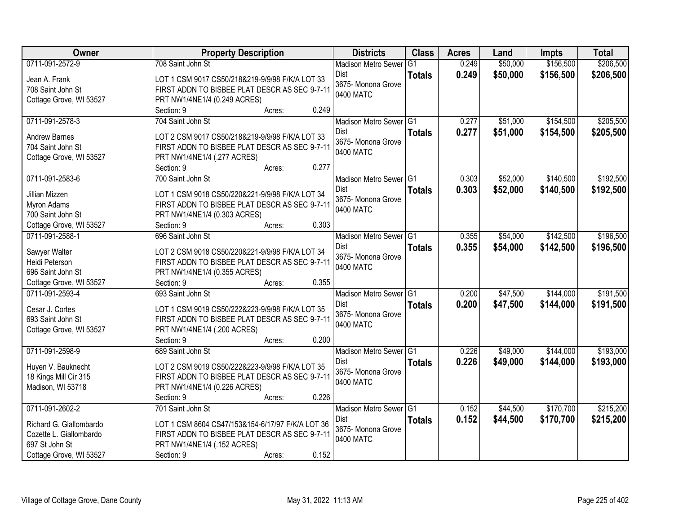| <b>Owner</b>                    | <b>Property Description</b>                                                                      | <b>Districts</b>           | <b>Class</b>  | <b>Acres</b> | Land     | <b>Impts</b> | <b>Total</b> |
|---------------------------------|--------------------------------------------------------------------------------------------------|----------------------------|---------------|--------------|----------|--------------|--------------|
| 0711-091-2572-9                 | 708 Saint John St                                                                                | <b>Madison Metro Sewer</b> | G1            | 0.249        | \$50,000 | \$156,500    | \$206,500    |
| Jean A. Frank                   | LOT 1 CSM 9017 CS50/218&219-9/9/98 F/K/A LOT 33                                                  | Dist                       | <b>Totals</b> | 0.249        | \$50,000 | \$156,500    | \$206,500    |
| 708 Saint John St               | FIRST ADDN TO BISBEE PLAT DESCR AS SEC 9-7-11                                                    | 3675- Monona Grove         |               |              |          |              |              |
| Cottage Grove, WI 53527         | PRT NW1/4NE1/4 (0.249 ACRES)                                                                     | 0400 MATC                  |               |              |          |              |              |
|                                 | 0.249<br>Section: 9<br>Acres:                                                                    |                            |               |              |          |              |              |
| 0711-091-2578-3                 | 704 Saint John St                                                                                | Madison Metro Sewer G1     |               | 0.277        | \$51,000 | \$154,500    | \$205,500    |
|                                 |                                                                                                  | Dist                       | <b>Totals</b> | 0.277        | \$51,000 | \$154,500    | \$205,500    |
| <b>Andrew Barnes</b>            | LOT 2 CSM 9017 CS50/218&219-9/9/98 F/K/A LOT 33                                                  | 3675- Monona Grove         |               |              |          |              |              |
| 704 Saint John St               | FIRST ADDN TO BISBEE PLAT DESCR AS SEC 9-7-11                                                    | 0400 MATC                  |               |              |          |              |              |
| Cottage Grove, WI 53527         | PRT NW1/4NE1/4 (.277 ACRES)<br>0.277                                                             |                            |               |              |          |              |              |
| 0711-091-2583-6                 | Section: 9<br>Acres:                                                                             |                            |               |              | \$52,000 | \$140,500    | \$192,500    |
|                                 | 700 Saint John St                                                                                | Madison Metro Sewer G1     |               | 0.303        |          |              |              |
| Jillian Mizzen                  | LOT 1 CSM 9018 CS50/220&221-9/9/98 F/K/A LOT 34                                                  | Dist<br>3675- Monona Grove | <b>Totals</b> | 0.303        | \$52,000 | \$140,500    | \$192,500    |
| Myron Adams                     | FIRST ADDN TO BISBEE PLAT DESCR AS SEC 9-7-11                                                    | 0400 MATC                  |               |              |          |              |              |
| 700 Saint John St               | PRT NW1/4NE1/4 (0.303 ACRES)                                                                     |                            |               |              |          |              |              |
| Cottage Grove, WI 53527         | 0.303<br>Section: 9<br>Acres:                                                                    |                            |               |              |          |              |              |
| 0711-091-2588-1                 | 696 Saint John St                                                                                | Madison Metro Sewer G1     |               | 0.355        | \$54,000 | \$142,500    | \$196,500    |
|                                 |                                                                                                  | Dist                       | <b>Totals</b> | 0.355        | \$54,000 | \$142,500    | \$196,500    |
| Sawyer Walter<br>Heidi Peterson | LOT 2 CSM 9018 CS50/220&221-9/9/98 F/K/A LOT 34<br>FIRST ADDN TO BISBEE PLAT DESCR AS SEC 9-7-11 | 3675- Monona Grove         |               |              |          |              |              |
| 696 Saint John St               |                                                                                                  | 0400 MATC                  |               |              |          |              |              |
| Cottage Grove, WI 53527         | PRT NW1/4NE1/4 (0.355 ACRES)<br>0.355<br>Section: 9                                              |                            |               |              |          |              |              |
| 0711-091-2593-4                 | Acres:<br>693 Saint John St                                                                      | Madison Metro Sewer G1     |               | 0.200        | \$47,500 | \$144,000    | \$191,500    |
|                                 |                                                                                                  | Dist                       |               |              |          |              |              |
| Cesar J. Cortes                 | LOT 1 CSM 9019 CS50/222&223-9/9/98 F/K/A LOT 35                                                  | 3675- Monona Grove         | <b>Totals</b> | 0.200        | \$47,500 | \$144,000    | \$191,500    |
| 693 Saint John St               | FIRST ADDN TO BISBEE PLAT DESCR AS SEC 9-7-11                                                    | 0400 MATC                  |               |              |          |              |              |
| Cottage Grove, WI 53527         | PRT NW1/4NE1/4 (.200 ACRES)                                                                      |                            |               |              |          |              |              |
|                                 | 0.200<br>Section: 9<br>Acres:                                                                    |                            |               |              |          |              |              |
| 0711-091-2598-9                 | 689 Saint John St                                                                                | Madison Metro Sewer G1     |               | 0.226        | \$49,000 | \$144,000    | \$193,000    |
| Huyen V. Bauknecht              | LOT 2 CSM 9019 CS50/222&223-9/9/98 F/K/A LOT 35                                                  | Dist                       | <b>Totals</b> | 0.226        | \$49,000 | \$144,000    | \$193,000    |
| 18 Kings Mill Cir 315           | FIRST ADDN TO BISBEE PLAT DESCR AS SEC 9-7-11                                                    | 3675- Monona Grove         |               |              |          |              |              |
| Madison, WI 53718               | PRT NW1/4NE1/4 (0.226 ACRES)                                                                     | 0400 MATC                  |               |              |          |              |              |
|                                 | 0.226<br>Section: 9<br>Acres:                                                                    |                            |               |              |          |              |              |
| 0711-091-2602-2                 | 701 Saint John St                                                                                | Madison Metro Sewer G1     |               | 0.152        | \$44,500 | \$170,700    | \$215,200    |
|                                 |                                                                                                  | Dist                       | <b>Totals</b> | 0.152        | \$44,500 | \$170,700    | \$215,200    |
| Richard G. Giallombardo         | LOT 1 CSM 8604 CS47/153&154-6/17/97 F/K/A LOT 36                                                 | 3675- Monona Grove         |               |              |          |              |              |
| Cozette L. Giallombardo         | FIRST ADDN TO BISBEE PLAT DESCR AS SEC 9-7-11                                                    | 0400 MATC                  |               |              |          |              |              |
| 697 St John St                  | PRT NW1/4NE1/4 (.152 ACRES)                                                                      |                            |               |              |          |              |              |
| Cottage Grove, WI 53527         | 0.152<br>Section: 9<br>Acres:                                                                    |                            |               |              |          |              |              |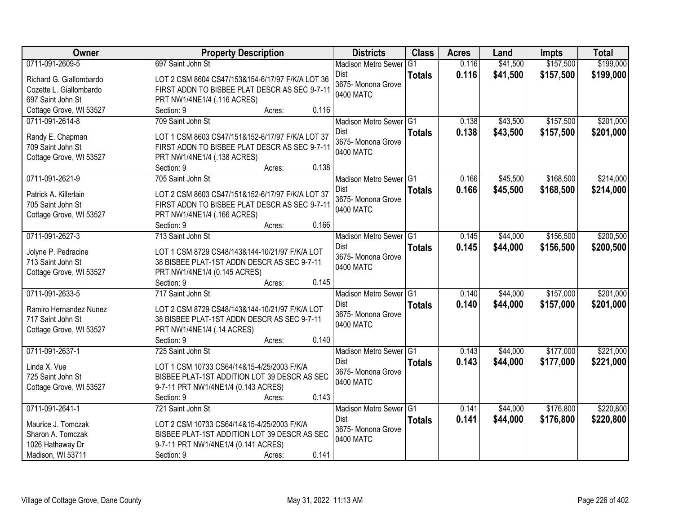| Owner                                 | <b>Property Description</b>                                                  | <b>Districts</b>                | <b>Class</b>  | <b>Acres</b> | Land     | <b>Impts</b> | <b>Total</b> |
|---------------------------------------|------------------------------------------------------------------------------|---------------------------------|---------------|--------------|----------|--------------|--------------|
| 0711-091-2609-5                       | 697 Saint John St                                                            | <b>Madison Metro Sewer</b>      | G1            | 0.116        | \$41,500 | \$157,500    | \$199,000    |
| Richard G. Giallombardo               | LOT 2 CSM 8604 CS47/153&154-6/17/97 F/K/A LOT 36                             | Dist                            | <b>Totals</b> | 0.116        | \$41,500 | \$157,500    | \$199,000    |
| Cozette L. Giallombardo               | FIRST ADDN TO BISBEE PLAT DESCR AS SEC 9-7-11                                | 3675- Monona Grove              |               |              |          |              |              |
| 697 Saint John St                     | PRT NW1/4NE1/4 (.116 ACRES)                                                  | 0400 MATC                       |               |              |          |              |              |
| Cottage Grove, WI 53527               | Section: 9<br>0.116<br>Acres:                                                |                                 |               |              |          |              |              |
| 0711-091-2614-8                       | 709 Saint John St                                                            | Madison Metro Sewer G1          |               | 0.138        | \$43,500 | \$157,500    | \$201,000    |
|                                       |                                                                              | Dist                            | <b>Totals</b> | 0.138        | \$43,500 | \$157,500    | \$201,000    |
| Randy E. Chapman<br>709 Saint John St | LOT 1 CSM 8603 CS47/151&152-6/17/97 F/K/A LOT 37                             | 3675- Monona Grove              |               |              |          |              |              |
| Cottage Grove, WI 53527               | FIRST ADDN TO BISBEE PLAT DESCR AS SEC 9-7-11<br>PRT NW1/4NE1/4 (.138 ACRES) | 0400 MATC                       |               |              |          |              |              |
|                                       | 0.138<br>Section: 9<br>Acres:                                                |                                 |               |              |          |              |              |
| 0711-091-2621-9                       | 705 Saint John St                                                            | Madison Metro Sewer G1          |               | 0.166        | \$45,500 | \$168,500    | \$214,000    |
|                                       |                                                                              | Dist                            | <b>Totals</b> | 0.166        | \$45,500 | \$168,500    | \$214,000    |
| Patrick A. Killerlain                 | LOT 2 CSM 8603 CS47/151&152-6/17/97 F/K/A LOT 37                             | 3675- Monona Grove              |               |              |          |              |              |
| 705 Saint John St                     | FIRST ADDN TO BISBEE PLAT DESCR AS SEC 9-7-11                                | 0400 MATC                       |               |              |          |              |              |
| Cottage Grove, WI 53527               | PRT NW1/4NE1/4 (.166 ACRES)                                                  |                                 |               |              |          |              |              |
|                                       | 0.166<br>Section: 9<br>Acres:                                                |                                 |               |              |          |              |              |
| 0711-091-2627-3                       | 713 Saint John St                                                            | Madison Metro Sewer G1          |               | 0.145        | \$44,000 | \$156,500    | \$200,500    |
| Jolyne P. Pedracine                   | LOT 1 CSM 8729 CS48/143&144-10/21/97 F/K/A LOT                               | Dist                            | <b>Totals</b> | 0.145        | \$44,000 | \$156,500    | \$200,500    |
| 713 Saint John St                     | 38 BISBEE PLAT-1ST ADDN DESCR AS SEC 9-7-11                                  | 3675- Monona Grove<br>0400 MATC |               |              |          |              |              |
| Cottage Grove, WI 53527               | PRT NW1/4NE1/4 (0.145 ACRES)                                                 |                                 |               |              |          |              |              |
|                                       | Section: 9<br>0.145<br>Acres:                                                |                                 |               |              |          |              |              |
| 0711-091-2633-5                       | 717 Saint John St                                                            | Madison Metro Sewer G1          |               | 0.140        | \$44,000 | \$157,000    | \$201,000    |
| Ramiro Hernandez Nunez                | LOT 2 CSM 8729 CS48/143&144-10/21/97 F/K/A LOT                               | <b>Dist</b>                     | <b>Totals</b> | 0.140        | \$44,000 | \$157,000    | \$201,000    |
| 717 Saint John St                     | 38 BISBEE PLAT-1ST ADDN DESCR AS SEC 9-7-11                                  | 3675- Monona Grove              |               |              |          |              |              |
| Cottage Grove, WI 53527               | PRT NW1/4NE1/4 (.14 ACRES)                                                   | 0400 MATC                       |               |              |          |              |              |
|                                       | Section: 9<br>0.140<br>Acres:                                                |                                 |               |              |          |              |              |
| 0711-091-2637-1                       | 725 Saint John St                                                            | Madison Metro Sewer G1          |               | 0.143        | \$44,000 | \$177,000    | \$221,000    |
| Linda X. Vue                          | LOT 1 CSM 10733 CS64/14&15-4/25/2003 F/K/A                                   | <b>Dist</b>                     | <b>Totals</b> | 0.143        | \$44,000 | \$177,000    | \$221,000    |
| 725 Saint John St                     | BISBEE PLAT-1ST ADDITION LOT 39 DESCR AS SEC                                 | 3675- Monona Grove              |               |              |          |              |              |
| Cottage Grove, WI 53527               | 9-7-11 PRT NW1/4NE1/4 (0.143 ACRES)                                          | 0400 MATC                       |               |              |          |              |              |
|                                       | 0.143<br>Section: 9<br>Acres:                                                |                                 |               |              |          |              |              |
| 0711-091-2641-1                       | 721 Saint John St                                                            | Madison Metro Sewer G1          |               | 0.141        | \$44,000 | \$176,800    | \$220,800    |
|                                       |                                                                              | Dist                            | <b>Totals</b> | 0.141        | \$44,000 | \$176,800    | \$220,800    |
| Maurice J. Tomczak                    | LOT 2 CSM 10733 CS64/14&15-4/25/2003 F/K/A                                   | 3675- Monona Grove              |               |              |          |              |              |
| Sharon A. Tomczak                     | BISBEE PLAT-1ST ADDITION LOT 39 DESCR AS SEC                                 | 0400 MATC                       |               |              |          |              |              |
| 1026 Hathaway Dr                      | 9-7-11 PRT NW1/4NE1/4 (0.141 ACRES)<br>0.141                                 |                                 |               |              |          |              |              |
| Madison, WI 53711                     | Section: 9<br>Acres:                                                         |                                 |               |              |          |              |              |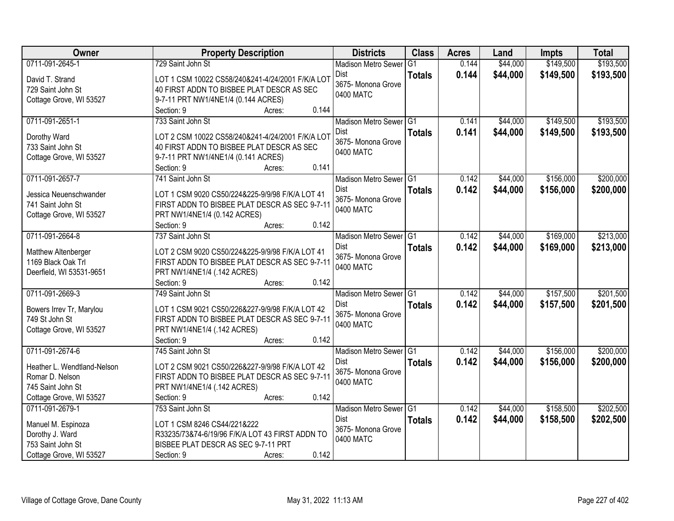| Owner                       | <b>Property Description</b>                        | <b>Districts</b>                   | <b>Class</b>    | <b>Acres</b> | Land     | <b>Impts</b> | <b>Total</b> |
|-----------------------------|----------------------------------------------------|------------------------------------|-----------------|--------------|----------|--------------|--------------|
| 0711-091-2645-1             | 729 Saint John St                                  | <b>Madison Metro Sewer</b>         | $\overline{G1}$ | 0.144        | \$44,000 | \$149,500    | \$193,500    |
| David T. Strand             | LOT 1 CSM 10022 CS58/240&241-4/24/2001 F/K/A LOT   | Dist                               | <b>Totals</b>   | 0.144        | \$44,000 | \$149,500    | \$193,500    |
| 729 Saint John St           | 40 FIRST ADDN TO BISBEE PLAT DESCR AS SEC          | 3675- Monona Grove                 |                 |              |          |              |              |
| Cottage Grove, WI 53527     | 9-7-11 PRT NW1/4NE1/4 (0.144 ACRES)                | 0400 MATC                          |                 |              |          |              |              |
|                             | 0.144<br>Section: 9<br>Acres:                      |                                    |                 |              |          |              |              |
| 0711-091-2651-1             | 733 Saint John St                                  | Madison Metro Sewer G1             |                 | 0.141        | \$44,000 | \$149,500    | \$193,500    |
|                             |                                                    | Dist                               | <b>Totals</b>   | 0.141        | \$44,000 | \$149,500    | \$193,500    |
| Dorothy Ward                | LOT 2 CSM 10022 CS58/240&241-4/24/2001 F/K/A LOT   | 3675- Monona Grove                 |                 |              |          |              |              |
| 733 Saint John St           | 40 FIRST ADDN TO BISBEE PLAT DESCR AS SEC          | 0400 MATC                          |                 |              |          |              |              |
| Cottage Grove, WI 53527     | 9-7-11 PRT NW1/4NE1/4 (0.141 ACRES)<br>0.141       |                                    |                 |              |          |              |              |
|                             | Section: 9<br>Acres:                               |                                    |                 |              |          |              |              |
| 0711-091-2657-7             | 741 Saint John St                                  | Madison Metro Sewer G1             |                 | 0.142        | \$44,000 | \$156,000    | \$200,000    |
| Jessica Neuenschwander      | LOT 1 CSM 9020 CS50/224&225-9/9/98 F/K/A LOT 41    | Dist                               | <b>Totals</b>   | 0.142        | \$44,000 | \$156,000    | \$200,000    |
| 741 Saint John St           | FIRST ADDN TO BISBEE PLAT DESCR AS SEC 9-7-11      | 3675- Monona Grove                 |                 |              |          |              |              |
| Cottage Grove, WI 53527     | PRT NW1/4NE1/4 (0.142 ACRES)                       | 0400 MATC                          |                 |              |          |              |              |
|                             | 0.142<br>Section: 9<br>Acres:                      |                                    |                 |              |          |              |              |
| 0711-091-2664-8             | 737 Saint John St                                  | Madison Metro Sewer G1             |                 | 0.142        | \$44,000 | \$169,000    | \$213,000    |
|                             |                                                    | Dist                               | <b>Totals</b>   | 0.142        | \$44,000 | \$169,000    | \$213,000    |
| Matthew Altenberger         | LOT 2 CSM 9020 CS50/224&225-9/9/98 F/K/A LOT 41    | 3675- Monona Grove                 |                 |              |          |              |              |
| 1169 Black Oak Trl          | FIRST ADDN TO BISBEE PLAT DESCR AS SEC 9-7-11      | 0400 MATC                          |                 |              |          |              |              |
| Deerfield, WI 53531-9651    | PRT NW1/4NE1/4 (.142 ACRES)<br>0.142<br>Section: 9 |                                    |                 |              |          |              |              |
| 0711-091-2669-3             | Acres:<br>749 Saint John St                        |                                    | TG1             | 0.142        | \$44,000 | \$157,500    | \$201,500    |
|                             |                                                    | <b>Madison Metro Sewer</b><br>Dist |                 |              |          |              |              |
| Bowers Irrev Tr, Marylou    | LOT 1 CSM 9021 CS50/226&227-9/9/98 F/K/A LOT 42    |                                    | <b>Totals</b>   | 0.142        | \$44,000 | \$157,500    | \$201,500    |
| 749 St John St              | FIRST ADDN TO BISBEE PLAT DESCR AS SEC 9-7-11      | 3675- Monona Grove<br>0400 MATC    |                 |              |          |              |              |
| Cottage Grove, WI 53527     | PRT NW1/4NE1/4 (.142 ACRES)                        |                                    |                 |              |          |              |              |
|                             | 0.142<br>Section: 9<br>Acres:                      |                                    |                 |              |          |              |              |
| 0711-091-2674-6             | 745 Saint John St                                  | Madison Metro Sewer G1             |                 | 0.142        | \$44,000 | \$156,000    | \$200,000    |
| Heather L. Wendtland-Nelson | LOT 2 CSM 9021 CS50/226&227-9/9/98 F/K/A LOT 42    | <b>Dist</b>                        | <b>Totals</b>   | 0.142        | \$44,000 | \$156,000    | \$200,000    |
| Romar D. Nelson             | FIRST ADDN TO BISBEE PLAT DESCR AS SEC 9-7-11      | 3675- Monona Grove                 |                 |              |          |              |              |
| 745 Saint John St           | PRT NW1/4NE1/4 (.142 ACRES)                        | 0400 MATC                          |                 |              |          |              |              |
| Cottage Grove, WI 53527     | 0.142<br>Section: 9<br>Acres:                      |                                    |                 |              |          |              |              |
| 0711-091-2679-1             | 753 Saint John St                                  | Madison Metro Sewer G1             |                 | 0.142        | \$44,000 | \$158,500    | \$202,500    |
|                             |                                                    | <b>Dist</b>                        | <b>Totals</b>   | 0.142        | \$44,000 | \$158,500    | \$202,500    |
| Manuel M. Espinoza          | LOT 1 CSM 8246 CS44/221&222                        | 3675- Monona Grove                 |                 |              |          |              |              |
| Dorothy J. Ward             | R33235/73&74-6/19/96 F/K/A LOT 43 FIRST ADDN TO    | 0400 MATC                          |                 |              |          |              |              |
| 753 Saint John St           | BISBEE PLAT DESCR AS SEC 9-7-11 PRT                |                                    |                 |              |          |              |              |
| Cottage Grove, WI 53527     | 0.142<br>Section: 9<br>Acres:                      |                                    |                 |              |          |              |              |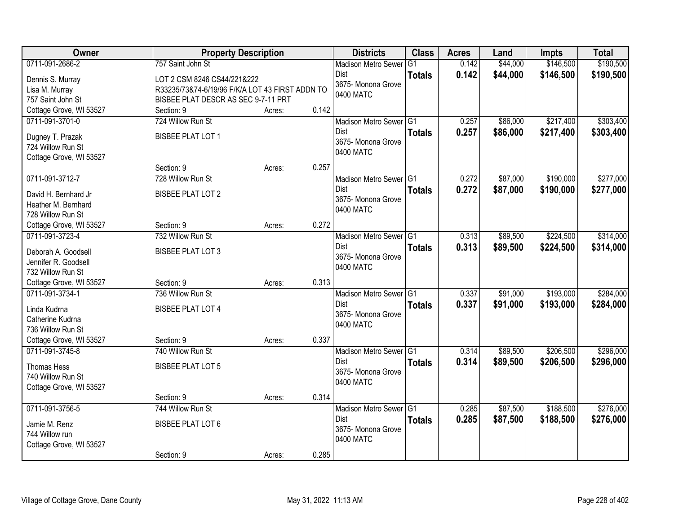| <b>Owner</b>                                | <b>Property Description</b>                     |        |       | <b>Districts</b>                  | <b>Class</b>  | <b>Acres</b> | Land     | <b>Impts</b> | <b>Total</b> |
|---------------------------------------------|-------------------------------------------------|--------|-------|-----------------------------------|---------------|--------------|----------|--------------|--------------|
| 0711-091-2686-2                             | 757 Saint John St                               |        |       | <b>Madison Metro Sewer</b>        | G1            | 0.142        | \$44,000 | \$146,500    | \$190,500    |
| Dennis S. Murray                            | LOT 2 CSM 8246 CS44/221&222                     |        |       | Dist                              | <b>Totals</b> | 0.142        | \$44,000 | \$146,500    | \$190,500    |
| Lisa M. Murray                              | R33235/73&74-6/19/96 F/K/A LOT 43 FIRST ADDN TO |        |       | 3675- Monona Grove                |               |              |          |              |              |
| 757 Saint John St                           | BISBEE PLAT DESCR AS SEC 9-7-11 PRT             |        |       | 0400 MATC                         |               |              |          |              |              |
| Cottage Grove, WI 53527                     | Section: 9                                      | Acres: | 0.142 |                                   |               |              |          |              |              |
| 0711-091-3701-0                             | 724 Willow Run St                               |        |       | Madison Metro Sewer G1            |               | 0.257        | \$86,000 | \$217,400    | \$303,400    |
| Dugney T. Prazak                            | <b>BISBEE PLAT LOT 1</b>                        |        |       | <b>Dist</b>                       | <b>Totals</b> | 0.257        | \$86,000 | \$217,400    | \$303,400    |
| 724 Willow Run St                           |                                                 |        |       | 3675- Monona Grove                |               |              |          |              |              |
| Cottage Grove, WI 53527                     |                                                 |        |       | 0400 MATC                         |               |              |          |              |              |
|                                             | Section: 9                                      | Acres: | 0.257 |                                   |               |              |          |              |              |
| 0711-091-3712-7                             | 728 Willow Run St                               |        |       | Madison Metro Sewer G1            |               | 0.272        | \$87,000 | \$190,000    | \$277,000    |
|                                             | <b>BISBEE PLAT LOT 2</b>                        |        |       | Dist                              | <b>Totals</b> | 0.272        | \$87,000 | \$190,000    | \$277,000    |
| David H. Bernhard Jr<br>Heather M. Bernhard |                                                 |        |       | 3675-Monona Grove                 |               |              |          |              |              |
| 728 Willow Run St                           |                                                 |        |       | 0400 MATC                         |               |              |          |              |              |
| Cottage Grove, WI 53527                     | Section: 9                                      | Acres: | 0.272 |                                   |               |              |          |              |              |
| 0711-091-3723-4                             | 732 Willow Run St                               |        |       | Madison Metro Sewer G1            |               | 0.313        | \$89,500 | \$224,500    | \$314,000    |
|                                             |                                                 |        |       | Dist                              | <b>Totals</b> | 0.313        | \$89,500 | \$224,500    | \$314,000    |
| Deborah A. Goodsell                         | <b>BISBEE PLAT LOT 3</b>                        |        |       | 3675- Monona Grove                |               |              |          |              |              |
| Jennifer R. Goodsell                        |                                                 |        |       | 0400 MATC                         |               |              |          |              |              |
| 732 Willow Run St                           |                                                 |        |       |                                   |               |              |          |              |              |
| Cottage Grove, WI 53527                     | Section: 9                                      | Acres: | 0.313 |                                   |               |              |          |              |              |
| 0711-091-3734-1                             | 736 Willow Run St                               |        |       | Madison Metro Sewer G1            |               | 0.337        | \$91,000 | \$193,000    | \$284,000    |
| Linda Kudrna                                | <b>BISBEE PLAT LOT 4</b>                        |        |       | <b>Dist</b><br>3675- Monona Grove | <b>Totals</b> | 0.337        | \$91,000 | \$193,000    | \$284,000    |
| Catherine Kudrna                            |                                                 |        |       | 0400 MATC                         |               |              |          |              |              |
| 736 Willow Run St                           |                                                 |        |       |                                   |               |              |          |              |              |
| Cottage Grove, WI 53527                     | Section: 9                                      | Acres: | 0.337 |                                   |               |              |          |              |              |
| 0711-091-3745-8                             | 740 Willow Run St                               |        |       | Madison Metro Sewer G1            |               | 0.314        | \$89,500 | \$206,500    | \$296,000    |
| Thomas Hess                                 | <b>BISBEE PLAT LOT 5</b>                        |        |       | Dist                              | <b>Totals</b> | 0.314        | \$89,500 | \$206,500    | \$296,000    |
| 740 Willow Run St                           |                                                 |        |       | 3675- Monona Grove                |               |              |          |              |              |
| Cottage Grove, WI 53527                     |                                                 |        |       | 0400 MATC                         |               |              |          |              |              |
|                                             | Section: 9                                      | Acres: | 0.314 |                                   |               |              |          |              |              |
| 0711-091-3756-5                             | 744 Willow Run St                               |        |       | Madison Metro Sewer G1            |               | 0.285        | \$87,500 | \$188,500    | \$276,000    |
| Jamie M. Renz                               | <b>BISBEE PLAT LOT 6</b>                        |        |       | Dist                              | <b>Totals</b> | 0.285        | \$87,500 | \$188,500    | \$276,000    |
| 744 Willow run                              |                                                 |        |       | 3675- Monona Grove                |               |              |          |              |              |
| Cottage Grove, WI 53527                     |                                                 |        |       | 0400 MATC                         |               |              |          |              |              |
|                                             | Section: 9                                      | Acres: | 0.285 |                                   |               |              |          |              |              |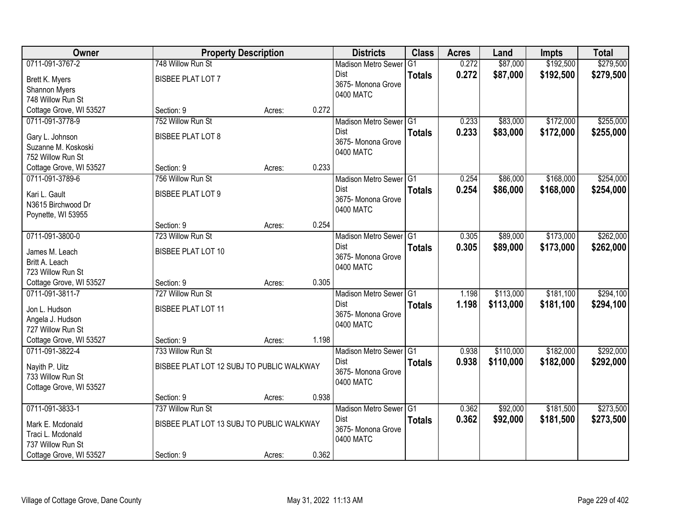| \$192,500<br>\$279,500<br>0711-091-3767-2<br>748 Willow Run St<br>0.272<br>\$87,000<br>G1<br><b>Madison Metro Sewer</b><br>0.272<br>\$87,000<br>\$192,500<br>Dist<br>\$279,500<br><b>Totals</b><br><b>BISBEE PLAT LOT 7</b><br>Brett K. Myers<br>3675- Monona Grove<br>Shannon Myers<br>0400 MATC<br>748 Willow Run St<br>0.272<br>Cottage Grove, WI 53527<br>Section: 9<br>Acres:<br>0711-091-3778-9<br>752 Willow Run St<br>\$83,000<br>\$172,000<br>Madison Metro Sewer G1<br>0.233<br>0.233<br>Dist<br>\$83,000<br>\$172,000<br><b>Totals</b><br><b>BISBEE PLAT LOT 8</b><br>Gary L. Johnson<br>3675- Monona Grove<br>Suzanne M. Koskoski<br>0400 MATC<br>752 Willow Run St<br>0.233<br>Section: 9<br>Cottage Grove, WI 53527<br>Acres:<br>\$168,000<br>0711-091-3789-6<br>756 Willow Run St<br>Madison Metro Sewer G1<br>0.254<br>\$86,000<br>Dist<br>0.254<br>\$86,000<br>\$168,000<br><b>Totals</b><br><b>BISBEE PLAT LOT 9</b><br>Kari L. Gault<br>3675-Monona Grove<br>N3615 Birchwood Dr<br>0400 MATC<br>Poynette, WI 53955<br>0.254<br>Section: 9<br>Acres:<br>0711-091-3800-0<br>723 Willow Run St<br>\$89,000<br>\$173,000<br>Madison Metro Sewer G1<br>0.305<br>Dist<br>0.305<br>\$89,000<br>\$173,000<br><b>Totals</b><br><b>BISBEE PLAT LOT 10</b><br>James M. Leach<br>3675- Monona Grove<br>Britt A. Leach<br>0400 MATC<br>723 Willow Run St<br>0.305<br>Cottage Grove, WI 53527<br>Section: 9<br>Acres:<br>\$181,100<br>0711-091-3811-7<br>727 Willow Run St<br>Madison Metro Sewer <sup>G1</sup><br>1.198<br>\$113,000<br>Dist<br>1.198<br>\$113,000<br>\$181,100<br><b>Totals</b><br><b>BISBEE PLAT LOT 11</b><br>Jon L. Hudson<br>3675- Monona Grove<br>Angela J. Hudson<br>0400 MATC<br>727 Willow Run St<br>Cottage Grove, WI 53527<br>Section: 9<br>1.198<br>Acres:<br>0711-091-3822-4<br>\$110,000<br>\$182,000<br>733 Willow Run St<br>Madison Metro Sewer G1<br>0.938<br>0.938<br>\$110,000<br>\$182,000<br>Dist<br><b>Totals</b><br>Nayith P. Uitz<br>BISBEE PLAT LOT 12 SUBJ TO PUBLIC WALKWAY<br>3675- Monona Grove<br>733 Willow Run St<br>0400 MATC<br>Cottage Grove, WI 53527<br>0.938<br>Section: 9<br>Acres:<br>0711-091-3833-1<br>737 Willow Run St<br>\$92,000<br>\$181,500<br>Madison Metro Sewer G1<br>0.362<br>Dist<br>0.362<br>\$92,000<br>\$181,500<br><b>Totals</b><br>BISBEE PLAT LOT 13 SUBJ TO PUBLIC WALKWAY<br>Mark E. Mcdonald<br>3675-Monona Grove<br>Traci L. Mcdonald | Owner | <b>Property Description</b> | <b>Districts</b> | <b>Class</b> | <b>Acres</b> | Land | <b>Impts</b> | <b>Total</b> |
|----------------------------------------------------------------------------------------------------------------------------------------------------------------------------------------------------------------------------------------------------------------------------------------------------------------------------------------------------------------------------------------------------------------------------------------------------------------------------------------------------------------------------------------------------------------------------------------------------------------------------------------------------------------------------------------------------------------------------------------------------------------------------------------------------------------------------------------------------------------------------------------------------------------------------------------------------------------------------------------------------------------------------------------------------------------------------------------------------------------------------------------------------------------------------------------------------------------------------------------------------------------------------------------------------------------------------------------------------------------------------------------------------------------------------------------------------------------------------------------------------------------------------------------------------------------------------------------------------------------------------------------------------------------------------------------------------------------------------------------------------------------------------------------------------------------------------------------------------------------------------------------------------------------------------------------------------------------------------------------------------------------------------------------------------------------------------------------------------------------------------------------------------------------------------------------------------------------------------------------------------------------------------------------------------------------------------------------------------------------------------------------------------------------------------|-------|-----------------------------|------------------|--------------|--------------|------|--------------|--------------|
|                                                                                                                                                                                                                                                                                                                                                                                                                                                                                                                                                                                                                                                                                                                                                                                                                                                                                                                                                                                                                                                                                                                                                                                                                                                                                                                                                                                                                                                                                                                                                                                                                                                                                                                                                                                                                                                                                                                                                                                                                                                                                                                                                                                                                                                                                                                                                                                                                            |       |                             |                  |              |              |      |              |              |
|                                                                                                                                                                                                                                                                                                                                                                                                                                                                                                                                                                                                                                                                                                                                                                                                                                                                                                                                                                                                                                                                                                                                                                                                                                                                                                                                                                                                                                                                                                                                                                                                                                                                                                                                                                                                                                                                                                                                                                                                                                                                                                                                                                                                                                                                                                                                                                                                                            |       |                             |                  |              |              |      |              |              |
| \$255,000<br>\$255,000<br>\$254,000<br>\$254,000<br>\$262,000<br>\$273,500                                                                                                                                                                                                                                                                                                                                                                                                                                                                                                                                                                                                                                                                                                                                                                                                                                                                                                                                                                                                                                                                                                                                                                                                                                                                                                                                                                                                                                                                                                                                                                                                                                                                                                                                                                                                                                                                                                                                                                                                                                                                                                                                                                                                                                                                                                                                                 |       |                             |                  |              |              |      |              |              |
|                                                                                                                                                                                                                                                                                                                                                                                                                                                                                                                                                                                                                                                                                                                                                                                                                                                                                                                                                                                                                                                                                                                                                                                                                                                                                                                                                                                                                                                                                                                                                                                                                                                                                                                                                                                                                                                                                                                                                                                                                                                                                                                                                                                                                                                                                                                                                                                                                            |       |                             |                  |              |              |      |              |              |
|                                                                                                                                                                                                                                                                                                                                                                                                                                                                                                                                                                                                                                                                                                                                                                                                                                                                                                                                                                                                                                                                                                                                                                                                                                                                                                                                                                                                                                                                                                                                                                                                                                                                                                                                                                                                                                                                                                                                                                                                                                                                                                                                                                                                                                                                                                                                                                                                                            |       |                             |                  |              |              |      |              |              |
|                                                                                                                                                                                                                                                                                                                                                                                                                                                                                                                                                                                                                                                                                                                                                                                                                                                                                                                                                                                                                                                                                                                                                                                                                                                                                                                                                                                                                                                                                                                                                                                                                                                                                                                                                                                                                                                                                                                                                                                                                                                                                                                                                                                                                                                                                                                                                                                                                            |       |                             |                  |              |              |      |              |              |
|                                                                                                                                                                                                                                                                                                                                                                                                                                                                                                                                                                                                                                                                                                                                                                                                                                                                                                                                                                                                                                                                                                                                                                                                                                                                                                                                                                                                                                                                                                                                                                                                                                                                                                                                                                                                                                                                                                                                                                                                                                                                                                                                                                                                                                                                                                                                                                                                                            |       |                             |                  |              |              |      |              |              |
|                                                                                                                                                                                                                                                                                                                                                                                                                                                                                                                                                                                                                                                                                                                                                                                                                                                                                                                                                                                                                                                                                                                                                                                                                                                                                                                                                                                                                                                                                                                                                                                                                                                                                                                                                                                                                                                                                                                                                                                                                                                                                                                                                                                                                                                                                                                                                                                                                            |       |                             |                  |              |              |      |              |              |
|                                                                                                                                                                                                                                                                                                                                                                                                                                                                                                                                                                                                                                                                                                                                                                                                                                                                                                                                                                                                                                                                                                                                                                                                                                                                                                                                                                                                                                                                                                                                                                                                                                                                                                                                                                                                                                                                                                                                                                                                                                                                                                                                                                                                                                                                                                                                                                                                                            |       |                             |                  |              |              |      |              |              |
|                                                                                                                                                                                                                                                                                                                                                                                                                                                                                                                                                                                                                                                                                                                                                                                                                                                                                                                                                                                                                                                                                                                                                                                                                                                                                                                                                                                                                                                                                                                                                                                                                                                                                                                                                                                                                                                                                                                                                                                                                                                                                                                                                                                                                                                                                                                                                                                                                            |       |                             |                  |              |              |      |              |              |
|                                                                                                                                                                                                                                                                                                                                                                                                                                                                                                                                                                                                                                                                                                                                                                                                                                                                                                                                                                                                                                                                                                                                                                                                                                                                                                                                                                                                                                                                                                                                                                                                                                                                                                                                                                                                                                                                                                                                                                                                                                                                                                                                                                                                                                                                                                                                                                                                                            |       |                             |                  |              |              |      |              |              |
|                                                                                                                                                                                                                                                                                                                                                                                                                                                                                                                                                                                                                                                                                                                                                                                                                                                                                                                                                                                                                                                                                                                                                                                                                                                                                                                                                                                                                                                                                                                                                                                                                                                                                                                                                                                                                                                                                                                                                                                                                                                                                                                                                                                                                                                                                                                                                                                                                            |       |                             |                  |              |              |      |              |              |
|                                                                                                                                                                                                                                                                                                                                                                                                                                                                                                                                                                                                                                                                                                                                                                                                                                                                                                                                                                                                                                                                                                                                                                                                                                                                                                                                                                                                                                                                                                                                                                                                                                                                                                                                                                                                                                                                                                                                                                                                                                                                                                                                                                                                                                                                                                                                                                                                                            |       |                             |                  |              |              |      |              |              |
|                                                                                                                                                                                                                                                                                                                                                                                                                                                                                                                                                                                                                                                                                                                                                                                                                                                                                                                                                                                                                                                                                                                                                                                                                                                                                                                                                                                                                                                                                                                                                                                                                                                                                                                                                                                                                                                                                                                                                                                                                                                                                                                                                                                                                                                                                                                                                                                                                            |       |                             |                  |              |              |      |              |              |
| \$262,000<br>\$294,100<br>\$294,100<br>\$292,000<br>\$292,000<br>\$273,500                                                                                                                                                                                                                                                                                                                                                                                                                                                                                                                                                                                                                                                                                                                                                                                                                                                                                                                                                                                                                                                                                                                                                                                                                                                                                                                                                                                                                                                                                                                                                                                                                                                                                                                                                                                                                                                                                                                                                                                                                                                                                                                                                                                                                                                                                                                                                 |       |                             |                  |              |              |      |              |              |
|                                                                                                                                                                                                                                                                                                                                                                                                                                                                                                                                                                                                                                                                                                                                                                                                                                                                                                                                                                                                                                                                                                                                                                                                                                                                                                                                                                                                                                                                                                                                                                                                                                                                                                                                                                                                                                                                                                                                                                                                                                                                                                                                                                                                                                                                                                                                                                                                                            |       |                             |                  |              |              |      |              |              |
|                                                                                                                                                                                                                                                                                                                                                                                                                                                                                                                                                                                                                                                                                                                                                                                                                                                                                                                                                                                                                                                                                                                                                                                                                                                                                                                                                                                                                                                                                                                                                                                                                                                                                                                                                                                                                                                                                                                                                                                                                                                                                                                                                                                                                                                                                                                                                                                                                            |       |                             |                  |              |              |      |              |              |
|                                                                                                                                                                                                                                                                                                                                                                                                                                                                                                                                                                                                                                                                                                                                                                                                                                                                                                                                                                                                                                                                                                                                                                                                                                                                                                                                                                                                                                                                                                                                                                                                                                                                                                                                                                                                                                                                                                                                                                                                                                                                                                                                                                                                                                                                                                                                                                                                                            |       |                             |                  |              |              |      |              |              |
|                                                                                                                                                                                                                                                                                                                                                                                                                                                                                                                                                                                                                                                                                                                                                                                                                                                                                                                                                                                                                                                                                                                                                                                                                                                                                                                                                                                                                                                                                                                                                                                                                                                                                                                                                                                                                                                                                                                                                                                                                                                                                                                                                                                                                                                                                                                                                                                                                            |       |                             |                  |              |              |      |              |              |
|                                                                                                                                                                                                                                                                                                                                                                                                                                                                                                                                                                                                                                                                                                                                                                                                                                                                                                                                                                                                                                                                                                                                                                                                                                                                                                                                                                                                                                                                                                                                                                                                                                                                                                                                                                                                                                                                                                                                                                                                                                                                                                                                                                                                                                                                                                                                                                                                                            |       |                             |                  |              |              |      |              |              |
|                                                                                                                                                                                                                                                                                                                                                                                                                                                                                                                                                                                                                                                                                                                                                                                                                                                                                                                                                                                                                                                                                                                                                                                                                                                                                                                                                                                                                                                                                                                                                                                                                                                                                                                                                                                                                                                                                                                                                                                                                                                                                                                                                                                                                                                                                                                                                                                                                            |       |                             |                  |              |              |      |              |              |
|                                                                                                                                                                                                                                                                                                                                                                                                                                                                                                                                                                                                                                                                                                                                                                                                                                                                                                                                                                                                                                                                                                                                                                                                                                                                                                                                                                                                                                                                                                                                                                                                                                                                                                                                                                                                                                                                                                                                                                                                                                                                                                                                                                                                                                                                                                                                                                                                                            |       |                             |                  |              |              |      |              |              |
|                                                                                                                                                                                                                                                                                                                                                                                                                                                                                                                                                                                                                                                                                                                                                                                                                                                                                                                                                                                                                                                                                                                                                                                                                                                                                                                                                                                                                                                                                                                                                                                                                                                                                                                                                                                                                                                                                                                                                                                                                                                                                                                                                                                                                                                                                                                                                                                                                            |       |                             |                  |              |              |      |              |              |
|                                                                                                                                                                                                                                                                                                                                                                                                                                                                                                                                                                                                                                                                                                                                                                                                                                                                                                                                                                                                                                                                                                                                                                                                                                                                                                                                                                                                                                                                                                                                                                                                                                                                                                                                                                                                                                                                                                                                                                                                                                                                                                                                                                                                                                                                                                                                                                                                                            |       |                             |                  |              |              |      |              |              |
|                                                                                                                                                                                                                                                                                                                                                                                                                                                                                                                                                                                                                                                                                                                                                                                                                                                                                                                                                                                                                                                                                                                                                                                                                                                                                                                                                                                                                                                                                                                                                                                                                                                                                                                                                                                                                                                                                                                                                                                                                                                                                                                                                                                                                                                                                                                                                                                                                            |       |                             |                  |              |              |      |              |              |
|                                                                                                                                                                                                                                                                                                                                                                                                                                                                                                                                                                                                                                                                                                                                                                                                                                                                                                                                                                                                                                                                                                                                                                                                                                                                                                                                                                                                                                                                                                                                                                                                                                                                                                                                                                                                                                                                                                                                                                                                                                                                                                                                                                                                                                                                                                                                                                                                                            |       |                             |                  |              |              |      |              |              |
|                                                                                                                                                                                                                                                                                                                                                                                                                                                                                                                                                                                                                                                                                                                                                                                                                                                                                                                                                                                                                                                                                                                                                                                                                                                                                                                                                                                                                                                                                                                                                                                                                                                                                                                                                                                                                                                                                                                                                                                                                                                                                                                                                                                                                                                                                                                                                                                                                            |       |                             |                  |              |              |      |              |              |
|                                                                                                                                                                                                                                                                                                                                                                                                                                                                                                                                                                                                                                                                                                                                                                                                                                                                                                                                                                                                                                                                                                                                                                                                                                                                                                                                                                                                                                                                                                                                                                                                                                                                                                                                                                                                                                                                                                                                                                                                                                                                                                                                                                                                                                                                                                                                                                                                                            |       |                             |                  |              |              |      |              |              |
|                                                                                                                                                                                                                                                                                                                                                                                                                                                                                                                                                                                                                                                                                                                                                                                                                                                                                                                                                                                                                                                                                                                                                                                                                                                                                                                                                                                                                                                                                                                                                                                                                                                                                                                                                                                                                                                                                                                                                                                                                                                                                                                                                                                                                                                                                                                                                                                                                            |       |                             |                  |              |              |      |              |              |
|                                                                                                                                                                                                                                                                                                                                                                                                                                                                                                                                                                                                                                                                                                                                                                                                                                                                                                                                                                                                                                                                                                                                                                                                                                                                                                                                                                                                                                                                                                                                                                                                                                                                                                                                                                                                                                                                                                                                                                                                                                                                                                                                                                                                                                                                                                                                                                                                                            |       |                             |                  |              |              |      |              |              |
|                                                                                                                                                                                                                                                                                                                                                                                                                                                                                                                                                                                                                                                                                                                                                                                                                                                                                                                                                                                                                                                                                                                                                                                                                                                                                                                                                                                                                                                                                                                                                                                                                                                                                                                                                                                                                                                                                                                                                                                                                                                                                                                                                                                                                                                                                                                                                                                                                            |       |                             |                  |              |              |      |              |              |
|                                                                                                                                                                                                                                                                                                                                                                                                                                                                                                                                                                                                                                                                                                                                                                                                                                                                                                                                                                                                                                                                                                                                                                                                                                                                                                                                                                                                                                                                                                                                                                                                                                                                                                                                                                                                                                                                                                                                                                                                                                                                                                                                                                                                                                                                                                                                                                                                                            |       |                             |                  |              |              |      |              |              |
|                                                                                                                                                                                                                                                                                                                                                                                                                                                                                                                                                                                                                                                                                                                                                                                                                                                                                                                                                                                                                                                                                                                                                                                                                                                                                                                                                                                                                                                                                                                                                                                                                                                                                                                                                                                                                                                                                                                                                                                                                                                                                                                                                                                                                                                                                                                                                                                                                            |       |                             |                  |              |              |      |              |              |
|                                                                                                                                                                                                                                                                                                                                                                                                                                                                                                                                                                                                                                                                                                                                                                                                                                                                                                                                                                                                                                                                                                                                                                                                                                                                                                                                                                                                                                                                                                                                                                                                                                                                                                                                                                                                                                                                                                                                                                                                                                                                                                                                                                                                                                                                                                                                                                                                                            |       |                             |                  |              |              |      |              |              |
| 737 Willow Run St                                                                                                                                                                                                                                                                                                                                                                                                                                                                                                                                                                                                                                                                                                                                                                                                                                                                                                                                                                                                                                                                                                                                                                                                                                                                                                                                                                                                                                                                                                                                                                                                                                                                                                                                                                                                                                                                                                                                                                                                                                                                                                                                                                                                                                                                                                                                                                                                          |       |                             | 0400 MATC        |              |              |      |              |              |
| 0.362<br>Cottage Grove, WI 53527<br>Section: 9<br>Acres:                                                                                                                                                                                                                                                                                                                                                                                                                                                                                                                                                                                                                                                                                                                                                                                                                                                                                                                                                                                                                                                                                                                                                                                                                                                                                                                                                                                                                                                                                                                                                                                                                                                                                                                                                                                                                                                                                                                                                                                                                                                                                                                                                                                                                                                                                                                                                                   |       |                             |                  |              |              |      |              |              |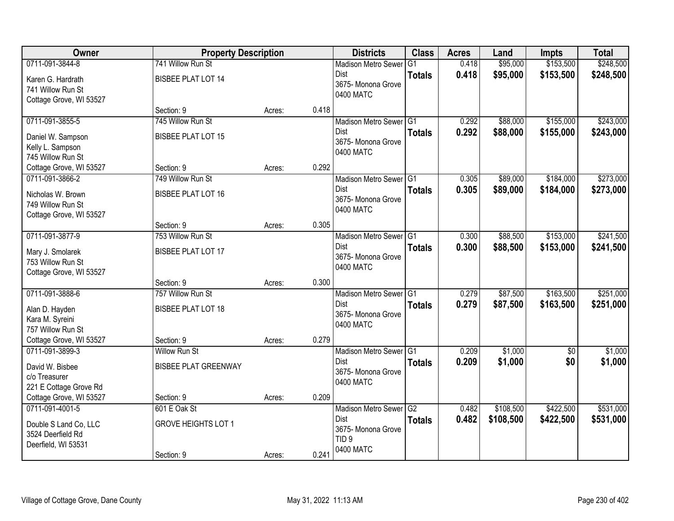| Owner                                      | <b>Property Description</b> |        |       | <b>Districts</b>                | <b>Class</b>  | <b>Acres</b>   | Land               | <b>Impts</b>           | <b>Total</b> |
|--------------------------------------------|-----------------------------|--------|-------|---------------------------------|---------------|----------------|--------------------|------------------------|--------------|
| 0711-091-3844-8                            | 741 Willow Run St           |        |       | <b>Madison Metro Sewer</b>      | G1            | 0.418          | \$95,000           | \$153,500              | \$248,500    |
| Karen G. Hardrath                          | <b>BISBEE PLAT LOT 14</b>   |        |       | Dist                            | <b>Totals</b> | 0.418          | \$95,000           | \$153,500              | \$248,500    |
| 741 Willow Run St                          |                             |        |       | 3675-Monona Grove<br>0400 MATC  |               |                |                    |                        |              |
| Cottage Grove, WI 53527                    |                             |        |       |                                 |               |                |                    |                        |              |
|                                            | Section: 9                  | Acres: | 0.418 |                                 |               |                |                    |                        |              |
| 0711-091-3855-5                            | 745 Willow Run St           |        |       | Madison Metro Sewer G1          |               | 0.292          | \$88,000           | \$155,000              | \$243,000    |
| Daniel W. Sampson                          | <b>BISBEE PLAT LOT 15</b>   |        |       | Dist                            | <b>Totals</b> | 0.292          | \$88,000           | \$155,000              | \$243,000    |
| Kelly L. Sampson                           |                             |        |       | 3675- Monona Grove<br>0400 MATC |               |                |                    |                        |              |
| 745 Willow Run St                          |                             |        |       |                                 |               |                |                    |                        |              |
| Cottage Grove, WI 53527                    | Section: 9                  | Acres: | 0.292 |                                 |               |                |                    |                        |              |
| 0711-091-3866-2                            | 749 Willow Run St           |        |       | Madison Metro Sewer G1          |               | 0.305          | \$89,000           | \$184,000              | \$273,000    |
| Nicholas W. Brown                          | <b>BISBEE PLAT LOT 16</b>   |        |       | Dist<br>3675- Monona Grove      | <b>Totals</b> | 0.305          | \$89,000           | \$184,000              | \$273,000    |
| 749 Willow Run St                          |                             |        |       | 0400 MATC                       |               |                |                    |                        |              |
| Cottage Grove, WI 53527                    |                             |        |       |                                 |               |                |                    |                        |              |
|                                            | Section: 9                  | Acres: | 0.305 |                                 |               |                |                    |                        |              |
| 0711-091-3877-9                            | 753 Willow Run St           |        |       | Madison Metro Sewer G1          |               | 0.300          | \$88,500           | \$153,000              | \$241,500    |
| Mary J. Smolarek                           | <b>BISBEE PLAT LOT 17</b>   |        |       | Dist<br>3675- Monona Grove      | <b>Totals</b> | 0.300          | \$88,500           | \$153,000              | \$241,500    |
| 753 Willow Run St                          |                             |        |       | 0400 MATC                       |               |                |                    |                        |              |
| Cottage Grove, WI 53527                    |                             |        |       |                                 |               |                |                    |                        |              |
|                                            | Section: 9                  | Acres: | 0.300 |                                 |               |                |                    |                        |              |
| 0711-091-3888-6                            | 757 Willow Run St           |        |       | Madison Metro Sewer G1<br>Dist  |               | 0.279          | \$87,500           | \$163,500              | \$251,000    |
| Alan D. Hayden                             | <b>BISBEE PLAT LOT 18</b>   |        |       | 3675- Monona Grove              | <b>Totals</b> | 0.279          | \$87,500           | \$163,500              | \$251,000    |
| Kara M. Syreini                            |                             |        |       | 0400 MATC                       |               |                |                    |                        |              |
| 757 Willow Run St                          |                             |        |       |                                 |               |                |                    |                        |              |
| Cottage Grove, WI 53527<br>0711-091-3899-3 | Section: 9                  | Acres: | 0.279 |                                 |               |                |                    |                        |              |
|                                            | <b>Willow Run St</b>        |        |       | Madison Metro Sewer G1<br>Dist  |               | 0.209<br>0.209 | \$1,000<br>\$1,000 | $\overline{60}$<br>\$0 | \$1,000      |
| David W. Bisbee                            | <b>BISBEE PLAT GREENWAY</b> |        |       | 3675- Monona Grove              | <b>Totals</b> |                |                    |                        | \$1,000      |
| c/o Treasurer                              |                             |        |       | 0400 MATC                       |               |                |                    |                        |              |
| 221 E Cottage Grove Rd                     |                             |        |       |                                 |               |                |                    |                        |              |
| Cottage Grove, WI 53527<br>0711-091-4001-5 | Section: 9                  | Acres: | 0.209 |                                 |               | 0.482          | \$108,500          | \$422,500              | \$531,000    |
|                                            | 601 E Oak St                |        |       | Madison Metro Sewer G2<br>Dist  |               | 0.482          | \$108,500          | \$422,500              | \$531,000    |
| Double S Land Co, LLC                      | <b>GROVE HEIGHTS LOT 1</b>  |        |       | 3675- Monona Grove              | <b>Totals</b> |                |                    |                        |              |
| 3524 Deerfield Rd                          |                             |        |       | TID <sub>9</sub>                |               |                |                    |                        |              |
| Deerfield, WI 53531                        |                             |        | 0.241 | 0400 MATC                       |               |                |                    |                        |              |
|                                            | Section: 9                  | Acres: |       |                                 |               |                |                    |                        |              |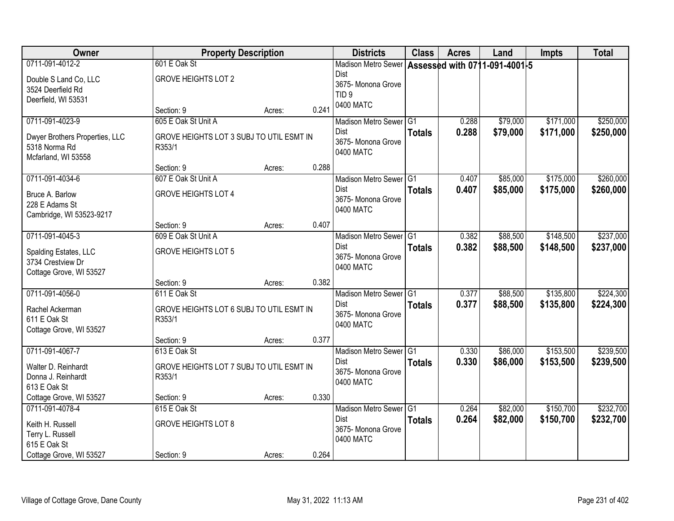| Owner                                                                                     | <b>Property Description</b>                                               |        |       | <b>Districts</b>                                                                                           | <b>Class</b>  | <b>Acres</b>   | Land                 | <b>Impts</b>           | <b>Total</b>           |
|-------------------------------------------------------------------------------------------|---------------------------------------------------------------------------|--------|-------|------------------------------------------------------------------------------------------------------------|---------------|----------------|----------------------|------------------------|------------------------|
| 0711-091-4012-2<br>Double S Land Co, LLC<br>3524 Deerfield Rd<br>Deerfield, WI 53531      | 601 E Oak St<br><b>GROVE HEIGHTS LOT 2</b>                                |        |       | Madison Metro Sewer Assessed with 0711-091-4001-5<br><b>Dist</b><br>3675- Monona Grove<br>TID <sub>9</sub> |               |                |                      |                        |                        |
|                                                                                           | Section: 9                                                                | Acres: | 0.241 | 0400 MATC                                                                                                  |               |                |                      |                        |                        |
| 0711-091-4023-9<br>Dwyer Brothers Properties, LLC<br>5318 Norma Rd<br>Mcfarland, WI 53558 | 605 E Oak St Unit A<br>GROVE HEIGHTS LOT 3 SUBJ TO UTIL ESMT IN<br>R353/1 |        |       | Madison Metro Sewer G1<br>Dist<br>3675- Monona Grove<br>0400 MATC                                          | <b>Totals</b> | 0.288<br>0.288 | \$79,000<br>\$79,000 | \$171,000<br>\$171,000 | \$250,000<br>\$250,000 |
|                                                                                           | Section: 9                                                                | Acres: | 0.288 |                                                                                                            |               |                |                      |                        |                        |
| 0711-091-4034-6<br>Bruce A. Barlow<br>228 E Adams St<br>Cambridge, WI 53523-9217          | 607 E Oak St Unit A<br><b>GROVE HEIGHTS LOT 4</b>                         |        |       | Madison Metro Sewer G1<br>Dist<br>3675- Monona Grove<br>0400 MATC                                          | <b>Totals</b> | 0.407<br>0.407 | \$85,000<br>\$85,000 | \$175,000<br>\$175,000 | \$260,000<br>\$260,000 |
|                                                                                           | Section: 9                                                                | Acres: | 0.407 |                                                                                                            |               |                |                      |                        |                        |
| 0711-091-4045-3<br>Spalding Estates, LLC<br>3734 Crestview Dr<br>Cottage Grove, WI 53527  | 609 E Oak St Unit A<br><b>GROVE HEIGHTS LOT 5</b>                         |        |       | Madison Metro Sewer G1<br><b>Dist</b><br>3675- Monona Grove<br>0400 MATC                                   | <b>Totals</b> | 0.382<br>0.382 | \$88,500<br>\$88,500 | \$148,500<br>\$148,500 | \$237,000<br>\$237,000 |
|                                                                                           | Section: 9                                                                | Acres: | 0.382 |                                                                                                            |               |                |                      |                        |                        |
| 0711-091-4056-0<br>Rachel Ackerman<br>611 E Oak St<br>Cottage Grove, WI 53527             | 611 E Oak St<br>GROVE HEIGHTS LOT 6 SUBJ TO UTIL ESMT IN<br>R353/1        |        |       | Madison Metro Sewer G1<br><b>Dist</b><br>3675- Monona Grove<br>0400 MATC                                   | <b>Totals</b> | 0.377<br>0.377 | \$88,500<br>\$88,500 | \$135,800<br>\$135,800 | \$224,300<br>\$224,300 |
|                                                                                           | Section: 9                                                                | Acres: | 0.377 |                                                                                                            |               |                |                      |                        |                        |
| 0711-091-4067-7<br>Walter D. Reinhardt<br>Donna J. Reinhardt<br>613 E Oak St              | 613 E Oak St<br>GROVE HEIGHTS LOT 7 SUBJ TO UTIL ESMT IN<br>R353/1        |        |       | Madison Metro Sewer G1<br>Dist<br>3675- Monona Grove<br>0400 MATC                                          | <b>Totals</b> | 0.330<br>0.330 | \$86,000<br>\$86,000 | \$153,500<br>\$153,500 | \$239,500<br>\$239,500 |
| Cottage Grove, WI 53527                                                                   | Section: 9                                                                | Acres: | 0.330 |                                                                                                            |               |                |                      |                        |                        |
| 0711-091-4078-4<br>Keith H. Russell<br>Terry L. Russell<br>615 E Oak St                   | 615 E Oak St<br><b>GROVE HEIGHTS LOT 8</b>                                |        |       | Madison Metro Sewer G1<br>Dist<br>3675- Monona Grove<br>0400 MATC                                          | <b>Totals</b> | 0.264<br>0.264 | \$82,000<br>\$82,000 | \$150,700<br>\$150,700 | \$232,700<br>\$232,700 |
| Cottage Grove, WI 53527                                                                   | Section: 9                                                                | Acres: | 0.264 |                                                                                                            |               |                |                      |                        |                        |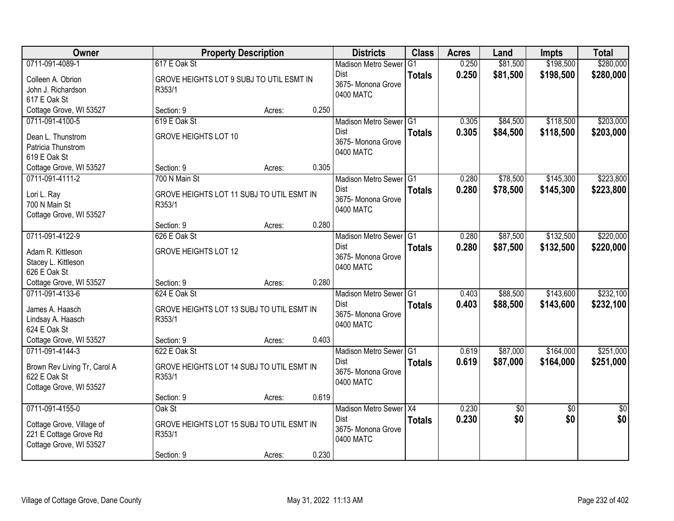| Owner                        | <b>Property Description</b>               |        |       | <b>Districts</b>           | <b>Class</b>  | <b>Acres</b> | Land     | <b>Impts</b>    | <b>Total</b>    |
|------------------------------|-------------------------------------------|--------|-------|----------------------------|---------------|--------------|----------|-----------------|-----------------|
| 0711-091-4089-1              | 617 E Oak St                              |        |       | <b>Madison Metro Sewer</b> | G1            | 0.250        | \$81,500 | \$198,500       | \$280,000       |
| Colleen A. Obrion            | GROVE HEIGHTS LOT 9 SUBJ TO UTIL ESMT IN  |        |       | Dist                       | <b>Totals</b> | 0.250        | \$81,500 | \$198,500       | \$280,000       |
| John J. Richardson           | R353/1                                    |        |       | 3675-Monona Grove          |               |              |          |                 |                 |
| 617 E Oak St                 |                                           |        |       | 0400 MATC                  |               |              |          |                 |                 |
| Cottage Grove, WI 53527      | Section: 9                                | Acres: | 0.250 |                            |               |              |          |                 |                 |
| 0711-091-4100-5              | 619 E Oak St                              |        |       | Madison Metro Sewer G1     |               | 0.305        | \$84,500 | \$118,500       | \$203,000       |
| Dean L. Thunstrom            | <b>GROVE HEIGHTS LOT 10</b>               |        |       | Dist                       | <b>Totals</b> | 0.305        | \$84,500 | \$118,500       | \$203,000       |
| Patricia Thunstrom           |                                           |        |       | 3675- Monona Grove         |               |              |          |                 |                 |
| 619 E Oak St                 |                                           |        |       | 0400 MATC                  |               |              |          |                 |                 |
| Cottage Grove, WI 53527      | Section: 9                                | Acres: | 0.305 |                            |               |              |          |                 |                 |
| 0711-091-4111-2              | 700 N Main St                             |        |       | Madison Metro Sewer G1     |               | 0.280        | \$78,500 | \$145,300       | \$223,800       |
| Lori L. Ray                  | GROVE HEIGHTS LOT 11 SUBJ TO UTIL ESMT IN |        |       | Dist                       | <b>Totals</b> | 0.280        | \$78,500 | \$145,300       | \$223,800       |
| 700 N Main St                | R353/1                                    |        |       | 3675- Monona Grove         |               |              |          |                 |                 |
| Cottage Grove, WI 53527      |                                           |        |       | 0400 MATC                  |               |              |          |                 |                 |
|                              | Section: 9                                | Acres: | 0.280 |                            |               |              |          |                 |                 |
| 0711-091-4122-9              | 626 E Oak St                              |        |       | Madison Metro Sewer G1     |               | 0.280        | \$87,500 | \$132,500       | \$220,000       |
| Adam R. Kittleson            | <b>GROVE HEIGHTS LOT 12</b>               |        |       | Dist                       | <b>Totals</b> | 0.280        | \$87,500 | \$132,500       | \$220,000       |
| Stacey L. Kittleson          |                                           |        |       | 3675- Monona Grove         |               |              |          |                 |                 |
| 626 E Oak St                 |                                           |        |       | 0400 MATC                  |               |              |          |                 |                 |
| Cottage Grove, WI 53527      | Section: 9                                | Acres: | 0.280 |                            |               |              |          |                 |                 |
| 0711-091-4133-6              | 624 E Oak St                              |        |       | Madison Metro Sewer G1     |               | 0.403        | \$88,500 | \$143,600       | \$232,100       |
| James A. Haasch              | GROVE HEIGHTS LOT 13 SUBJ TO UTIL ESMT IN |        |       | Dist                       | <b>Totals</b> | 0.403        | \$88,500 | \$143,600       | \$232,100       |
| Lindsay A. Haasch            | R353/1                                    |        |       | 3675- Monona Grove         |               |              |          |                 |                 |
| 624 E Oak St                 |                                           |        |       | 0400 MATC                  |               |              |          |                 |                 |
| Cottage Grove, WI 53527      | Section: 9                                | Acres: | 0.403 |                            |               |              |          |                 |                 |
| 0711-091-4144-3              | 622 E Oak St                              |        |       | Madison Metro Sewer G1     |               | 0.619        | \$87,000 | \$164,000       | \$251,000       |
| Brown Rev Living Tr, Carol A | GROVE HEIGHTS LOT 14 SUBJ TO UTIL ESMT IN |        |       | Dist                       | <b>Totals</b> | 0.619        | \$87,000 | \$164,000       | \$251,000       |
| 622 E Oak St                 | R353/1                                    |        |       | 3675- Monona Grove         |               |              |          |                 |                 |
| Cottage Grove, WI 53527      |                                           |        |       | 0400 MATC                  |               |              |          |                 |                 |
|                              | Section: 9                                | Acres: | 0.619 |                            |               |              |          |                 |                 |
| 0711-091-4155-0              | Oak St                                    |        |       | Madison Metro Sewer X4     |               | 0.230        | \$0      | $\overline{30}$ | $\overline{50}$ |
| Cottage Grove, Village of    | GROVE HEIGHTS LOT 15 SUBJ TO UTIL ESMT IN |        |       | Dist                       | <b>Totals</b> | 0.230        | \$0      | \$0             | \$0             |
| 221 E Cottage Grove Rd       | R353/1                                    |        |       | 3675- Monona Grove         |               |              |          |                 |                 |
| Cottage Grove, WI 53527      |                                           |        |       | 0400 MATC                  |               |              |          |                 |                 |
|                              | Section: 9                                | Acres: | 0.230 |                            |               |              |          |                 |                 |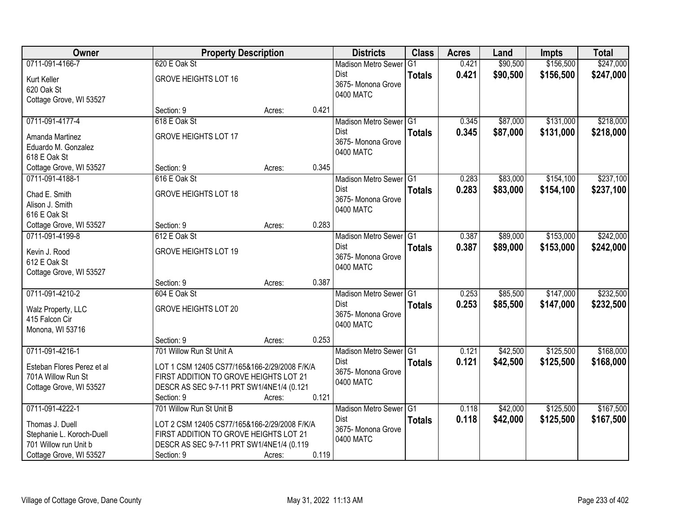| Owner                      | <b>Property Description</b>                  |        |       | <b>Districts</b>           | <b>Class</b>  | <b>Acres</b> | Land     | <b>Impts</b> | <b>Total</b> |
|----------------------------|----------------------------------------------|--------|-------|----------------------------|---------------|--------------|----------|--------------|--------------|
| 0711-091-4166-7            | 620 E Oak St                                 |        |       | <b>Madison Metro Sewer</b> | G1            | 0.421        | \$90,500 | \$156,500    | \$247,000    |
| Kurt Keller                | <b>GROVE HEIGHTS LOT 16</b>                  |        |       | Dist                       | <b>Totals</b> | 0.421        | \$90,500 | \$156,500    | \$247,000    |
| 620 Oak St                 |                                              |        |       | 3675-Monona Grove          |               |              |          |              |              |
| Cottage Grove, WI 53527    |                                              |        |       | 0400 MATC                  |               |              |          |              |              |
|                            | Section: 9                                   | Acres: | 0.421 |                            |               |              |          |              |              |
| 0711-091-4177-4            | 618 E Oak St                                 |        |       | Madison Metro Sewer G1     |               | 0.345        | \$87,000 | \$131,000    | \$218,000    |
| Amanda Martinez            | <b>GROVE HEIGHTS LOT 17</b>                  |        |       | Dist                       | <b>Totals</b> | 0.345        | \$87,000 | \$131,000    | \$218,000    |
| Eduardo M. Gonzalez        |                                              |        |       | 3675- Monona Grove         |               |              |          |              |              |
| 618 E Oak St               |                                              |        |       | 0400 MATC                  |               |              |          |              |              |
| Cottage Grove, WI 53527    | Section: 9                                   | Acres: | 0.345 |                            |               |              |          |              |              |
| 0711-091-4188-1            | 616 E Oak St                                 |        |       | Madison Metro Sewer G1     |               | 0.283        | \$83,000 | \$154,100    | \$237,100    |
| Chad E. Smith              | <b>GROVE HEIGHTS LOT 18</b>                  |        |       | <b>Dist</b>                | <b>Totals</b> | 0.283        | \$83,000 | \$154,100    | \$237,100    |
| Alison J. Smith            |                                              |        |       | 3675- Monona Grove         |               |              |          |              |              |
| 616 E Oak St               |                                              |        |       | 0400 MATC                  |               |              |          |              |              |
| Cottage Grove, WI 53527    | Section: 9                                   | Acres: | 0.283 |                            |               |              |          |              |              |
| 0711-091-4199-8            | 612 E Oak St                                 |        |       | Madison Metro Sewer G1     |               | 0.387        | \$89,000 | \$153,000    | \$242,000    |
| Kevin J. Rood              | <b>GROVE HEIGHTS LOT 19</b>                  |        |       | <b>Dist</b>                | <b>Totals</b> | 0.387        | \$89,000 | \$153,000    | \$242,000    |
| 612 E Oak St               |                                              |        |       | 3675- Monona Grove         |               |              |          |              |              |
| Cottage Grove, WI 53527    |                                              |        |       | 0400 MATC                  |               |              |          |              |              |
|                            | Section: 9                                   | Acres: | 0.387 |                            |               |              |          |              |              |
| 0711-091-4210-2            | 604 E Oak St                                 |        |       | Madison Metro Sewer G1     |               | 0.253        | \$85,500 | \$147,000    | \$232,500    |
|                            |                                              |        |       | <b>Dist</b>                | <b>Totals</b> | 0.253        | \$85,500 | \$147,000    | \$232,500    |
| Walz Property, LLC         | <b>GROVE HEIGHTS LOT 20</b>                  |        |       | 3675- Monona Grove         |               |              |          |              |              |
| 415 Falcon Cir             |                                              |        |       | 0400 MATC                  |               |              |          |              |              |
| Monona, WI 53716           | Section: 9                                   |        | 0.253 |                            |               |              |          |              |              |
| 0711-091-4216-1            | 701 Willow Run St Unit A                     | Acres: |       | Madison Metro Sewer G1     |               | 0.121        | \$42,500 | \$125,500    | \$168,000    |
|                            |                                              |        |       | <b>Dist</b>                | <b>Totals</b> | 0.121        | \$42,500 | \$125,500    | \$168,000    |
| Esteban Flores Perez et al | LOT 1 CSM 12405 CS77/165&166-2/29/2008 F/K/A |        |       | 3675- Monona Grove         |               |              |          |              |              |
| 701A Willow Run St         | FIRST ADDITION TO GROVE HEIGHTS LOT 21       |        |       | 0400 MATC                  |               |              |          |              |              |
| Cottage Grove, WI 53527    | DESCR AS SEC 9-7-11 PRT SW1/4NE1/4 (0.121    |        |       |                            |               |              |          |              |              |
|                            | Section: 9                                   | Acres: | 0.121 |                            |               |              |          |              |              |
| 0711-091-4222-1            | 701 Willow Run St Unit B                     |        |       | Madison Metro Sewer G1     |               | 0.118        | \$42,000 | \$125,500    | \$167,500    |
| Thomas J. Duell            | LOT 2 CSM 12405 CS77/165&166-2/29/2008 F/K/A |        |       | Dist                       | <b>Totals</b> | 0.118        | \$42,000 | \$125,500    | \$167,500    |
| Stephanie L. Koroch-Duell  | FIRST ADDITION TO GROVE HEIGHTS LOT 21       |        |       | 3675- Monona Grove         |               |              |          |              |              |
| 701 Willow run Unit b      | DESCR AS SEC 9-7-11 PRT SW1/4NE1/4 (0.119    |        |       | 0400 MATC                  |               |              |          |              |              |
| Cottage Grove, WI 53527    | Section: 9                                   | Acres: | 0.119 |                            |               |              |          |              |              |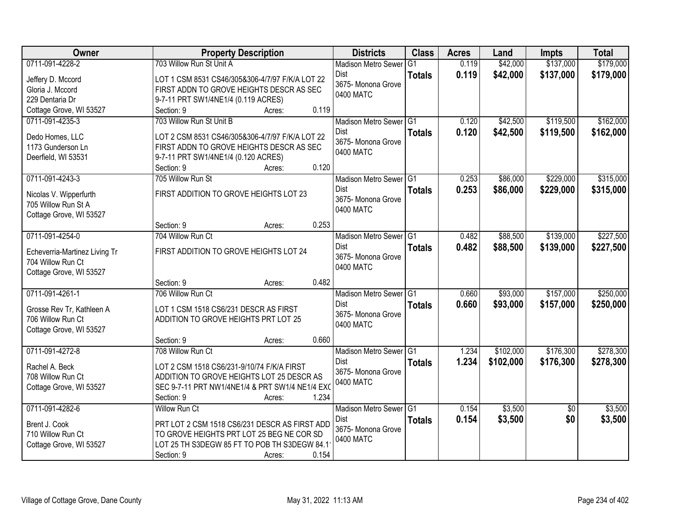| Owner                         | <b>Property Description</b>                     | <b>Districts</b>           | <b>Class</b>    | <b>Acres</b> | Land      | <b>Impts</b>    | <b>Total</b> |
|-------------------------------|-------------------------------------------------|----------------------------|-----------------|--------------|-----------|-----------------|--------------|
| 0711-091-4228-2               | 703 Willow Run St Unit A                        | <b>Madison Metro Sewer</b> | $\overline{G1}$ | 0.119        | \$42,000  | \$137,000       | \$179,000    |
| Jeffery D. Mccord             | LOT 1 CSM 8531 CS46/305&306-4/7/97 F/K/A LOT 22 | <b>Dist</b>                | <b>Totals</b>   | 0.119        | \$42,000  | \$137,000       | \$179,000    |
| Gloria J. Mccord              | FIRST ADDN TO GROVE HEIGHTS DESCR AS SEC        | 3675- Monona Grove         |                 |              |           |                 |              |
| 229 Dentaria Dr               | 9-7-11 PRT SW1/4NE1/4 (0.119 ACRES)             | 0400 MATC                  |                 |              |           |                 |              |
| Cottage Grove, WI 53527       | 0.119<br>Section: 9<br>Acres:                   |                            |                 |              |           |                 |              |
| 0711-091-4235-3               | 703 Willow Run St Unit B                        | Madison Metro Sewer G1     |                 | 0.120        | \$42,500  | \$119,500       | \$162,000    |
| Dedo Homes, LLC               | LOT 2 CSM 8531 CS46/305&306-4/7/97 F/K/A LOT 22 | Dist                       | <b>Totals</b>   | 0.120        | \$42,500  | \$119,500       | \$162,000    |
| 1173 Gunderson Ln             | FIRST ADDN TO GROVE HEIGHTS DESCR AS SEC        | 3675- Monona Grove         |                 |              |           |                 |              |
| Deerfield, WI 53531           | 9-7-11 PRT SW1/4NE1/4 (0.120 ACRES)             | 0400 MATC                  |                 |              |           |                 |              |
|                               | 0.120<br>Section: 9<br>Acres:                   |                            |                 |              |           |                 |              |
| 0711-091-4243-3               | 705 Willow Run St                               | Madison Metro Sewer G1     |                 | 0.253        | \$86,000  | \$229,000       | \$315,000    |
| Nicolas V. Wipperfurth        | FIRST ADDITION TO GROVE HEIGHTS LOT 23          | <b>Dist</b>                | <b>Totals</b>   | 0.253        | \$86,000  | \$229,000       | \$315,000    |
| 705 Willow Run St A           |                                                 | 3675- Monona Grove         |                 |              |           |                 |              |
| Cottage Grove, WI 53527       |                                                 | 0400 MATC                  |                 |              |           |                 |              |
|                               | 0.253<br>Section: 9<br>Acres:                   |                            |                 |              |           |                 |              |
| 0711-091-4254-0               | 704 Willow Run Ct                               | Madison Metro Sewer G1     |                 | 0.482        | \$88,500  | \$139,000       | \$227,500    |
| Echeverria-Martinez Living Tr | FIRST ADDITION TO GROVE HEIGHTS LOT 24          | <b>Dist</b>                | <b>Totals</b>   | 0.482        | \$88,500  | \$139,000       | \$227,500    |
| 704 Willow Run Ct             |                                                 | 3675- Monona Grove         |                 |              |           |                 |              |
| Cottage Grove, WI 53527       |                                                 | 0400 MATC                  |                 |              |           |                 |              |
|                               | 0.482<br>Section: 9<br>Acres:                   |                            |                 |              |           |                 |              |
| 0711-091-4261-1               | 706 Willow Run Ct                               | <b>Madison Metro Sewer</b> | TG1             | 0.660        | \$93,000  | \$157,000       | \$250,000    |
| Grosse Rev Tr, Kathleen A     | LOT 1 CSM 1518 CS6/231 DESCR AS FIRST           | Dist                       | <b>Totals</b>   | 0.660        | \$93,000  | \$157,000       | \$250,000    |
| 706 Willow Run Ct             | ADDITION TO GROVE HEIGHTS PRT LOT 25            | 3675- Monona Grove         |                 |              |           |                 |              |
| Cottage Grove, WI 53527       |                                                 | 0400 MATC                  |                 |              |           |                 |              |
|                               | 0.660<br>Section: 9<br>Acres:                   |                            |                 |              |           |                 |              |
| 0711-091-4272-8               | 708 Willow Run Ct                               | Madison Metro Sewer G1     |                 | 1.234        | \$102,000 | \$176,300       | \$278,300    |
| Rachel A. Beck                | LOT 2 CSM 1518 CS6/231-9/10/74 F/K/A FIRST      | <b>Dist</b>                | <b>Totals</b>   | 1.234        | \$102,000 | \$176,300       | \$278,300    |
| 708 Willow Run Ct             | ADDITION TO GROVE HEIGHTS LOT 25 DESCR AS       | 3675- Monona Grove         |                 |              |           |                 |              |
| Cottage Grove, WI 53527       | SEC 9-7-11 PRT NW1/4NE1/4 & PRT SW1/4 NE1/4 EXO | 0400 MATC                  |                 |              |           |                 |              |
|                               | 1.234<br>Section: 9<br>Acres:                   |                            |                 |              |           |                 |              |
| 0711-091-4282-6               | <b>Willow Run Ct</b>                            | Madison Metro Sewer G1     |                 | 0.154        | \$3,500   | $\overline{30}$ | \$3,500      |
| Brent J. Cook                 | PRT LOT 2 CSM 1518 CS6/231 DESCR AS FIRST ADD   | Dist                       | <b>Totals</b>   | 0.154        | \$3,500   | \$0             | \$3,500      |
| 710 Willow Run Ct             | TO GROVE HEIGHTS PRT LOT 25 BEG NE COR SD       | 3675- Monona Grove         |                 |              |           |                 |              |
| Cottage Grove, WI 53527       | LOT 25 TH S3DEGW 85 FT TO POB TH S3DEGW 84.1    | 0400 MATC                  |                 |              |           |                 |              |
|                               | 0.154<br>Section: 9<br>Acres:                   |                            |                 |              |           |                 |              |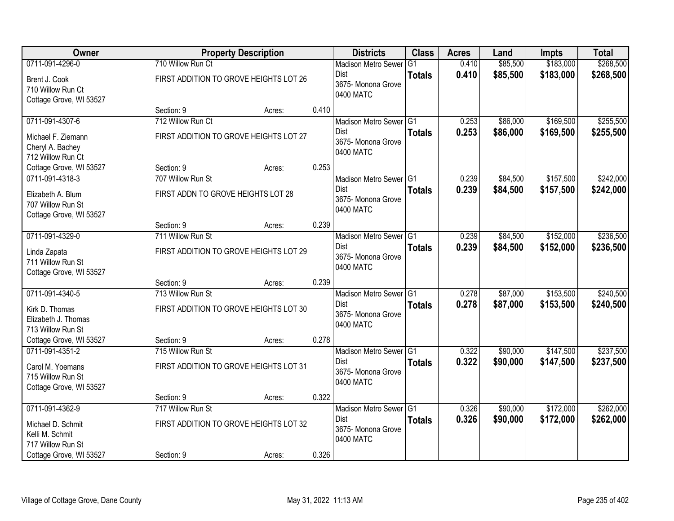| Owner                                                                               |                                    | <b>Property Description</b>            |       | <b>Districts</b>                                                         | <b>Class</b>  | <b>Acres</b>   | Land                 | <b>Impts</b>           | <b>Total</b>           |
|-------------------------------------------------------------------------------------|------------------------------------|----------------------------------------|-------|--------------------------------------------------------------------------|---------------|----------------|----------------------|------------------------|------------------------|
| 0711-091-4296-0                                                                     | 710 Willow Run Ct                  |                                        |       | <b>Madison Metro Sewer</b>                                               | G1            | 0.410          | \$85,500             | \$183,000              | \$268,500              |
| Brent J. Cook<br>710 Willow Run Ct<br>Cottage Grove, WI 53527                       |                                    | FIRST ADDITION TO GROVE HEIGHTS LOT 26 |       | Dist<br>3675- Monona Grove<br>0400 MATC                                  | <b>Totals</b> | 0.410          | \$85,500             | \$183,000              | \$268,500              |
|                                                                                     | Section: 9                         | Acres:                                 | 0.410 |                                                                          |               |                |                      |                        |                        |
| 0711-091-4307-6                                                                     | 712 Willow Run Ct                  |                                        |       | Madison Metro Sewer G1                                                   |               | 0.253          | \$86,000             | \$169,500              | \$255,500              |
| Michael F. Ziemann<br>Cheryl A. Bachey<br>712 Willow Run Ct                         |                                    | FIRST ADDITION TO GROVE HEIGHTS LOT 27 |       | <b>Dist</b><br>3675- Monona Grove<br>0400 MATC                           | <b>Totals</b> | 0.253          | \$86,000             | \$169,500              | \$255,500              |
| Cottage Grove, WI 53527                                                             | Section: 9                         | Acres:                                 | 0.253 |                                                                          |               |                |                      |                        |                        |
| 0711-091-4318-3                                                                     | 707 Willow Run St                  |                                        |       | Madison Metro Sewer G1                                                   |               | 0.239          | \$84,500             | \$157,500              | \$242,000              |
| Elizabeth A. Blum<br>707 Willow Run St<br>Cottage Grove, WI 53527                   | FIRST ADDN TO GROVE HEIGHTS LOT 28 |                                        |       | Dist<br>3675- Monona Grove<br>0400 MATC                                  | <b>Totals</b> | 0.239          | \$84,500             | \$157,500              | \$242,000              |
|                                                                                     | Section: 9                         | Acres:                                 | 0.239 |                                                                          |               |                |                      |                        |                        |
| 0711-091-4329-0                                                                     | 711 Willow Run St                  |                                        |       | Madison Metro Sewer G1                                                   |               | 0.239          | \$84,500             | \$152,000              | \$236,500              |
| Linda Zapata<br>711 Willow Run St<br>Cottage Grove, WI 53527                        |                                    | FIRST ADDITION TO GROVE HEIGHTS LOT 29 |       | Dist<br>3675- Monona Grove<br>0400 MATC                                  | <b>Totals</b> | 0.239          | \$84,500             | \$152,000              | \$236,500              |
|                                                                                     | Section: 9                         | Acres:                                 | 0.239 |                                                                          |               |                |                      |                        |                        |
| 0711-091-4340-5<br>Kirk D. Thomas<br>Elizabeth J. Thomas                            | 713 Willow Run St                  | FIRST ADDITION TO GROVE HEIGHTS LOT 30 |       | Madison Metro Sewer G1<br>Dist<br>3675- Monona Grove<br>0400 MATC        | <b>Totals</b> | 0.278<br>0.278 | \$87,000<br>\$87,000 | \$153,500<br>\$153,500 | \$240,500<br>\$240,500 |
| 713 Willow Run St                                                                   |                                    |                                        |       |                                                                          |               |                |                      |                        |                        |
| Cottage Grove, WI 53527                                                             | Section: 9                         | Acres:                                 | 0.278 |                                                                          |               |                |                      |                        |                        |
| 0711-091-4351-2<br>Carol M. Yoemans<br>715 Willow Run St<br>Cottage Grove, WI 53527 | 715 Willow Run St                  | FIRST ADDITION TO GROVE HEIGHTS LOT 31 |       | Madison Metro Sewer G1<br><b>Dist</b><br>3675- Monona Grove<br>0400 MATC | <b>Totals</b> | 0.322<br>0.322 | \$90,000<br>\$90,000 | \$147,500<br>\$147,500 | \$237,500<br>\$237,500 |
|                                                                                     | Section: 9                         | Acres:                                 | 0.322 |                                                                          |               |                |                      |                        |                        |
| 0711-091-4362-9                                                                     | 717 Willow Run St                  |                                        |       | Madison Metro Sewer G1                                                   |               | 0.326          | \$90,000             | \$172,000              | \$262,000              |
| Michael D. Schmit<br>Kelli M. Schmit<br>717 Willow Run St                           |                                    | FIRST ADDITION TO GROVE HEIGHTS LOT 32 |       | <b>Dist</b><br>3675- Monona Grove<br>0400 MATC                           | <b>Totals</b> | 0.326          | \$90,000             | \$172,000              | \$262,000              |
| Cottage Grove, WI 53527                                                             | Section: 9                         | Acres:                                 | 0.326 |                                                                          |               |                |                      |                        |                        |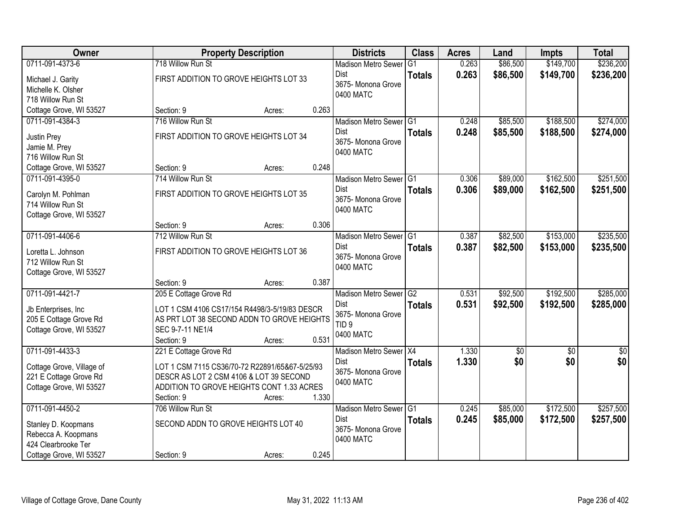| <b>Owner</b>                                                                                 |                                                                                                                                                         | <b>Property Description</b> |       | <b>Districts</b>                                                                             | <b>Class</b>  | <b>Acres</b>   | Land                 | <b>Impts</b>           | <b>Total</b>           |
|----------------------------------------------------------------------------------------------|---------------------------------------------------------------------------------------------------------------------------------------------------------|-----------------------------|-------|----------------------------------------------------------------------------------------------|---------------|----------------|----------------------|------------------------|------------------------|
| 0711-091-4373-6                                                                              | 718 Willow Run St                                                                                                                                       |                             |       | <b>Madison Metro Sewer</b>                                                                   | G1            | 0.263          | \$86,500             | \$149,700              | \$236,200              |
| Michael J. Garity<br>Michelle K. Olsher<br>718 Willow Run St                                 | FIRST ADDITION TO GROVE HEIGHTS LOT 33                                                                                                                  |                             |       | Dist<br>3675- Monona Grove<br>0400 MATC                                                      | <b>Totals</b> | 0.263          | \$86,500             | \$149,700              | \$236,200              |
| Cottage Grove, WI 53527                                                                      | Section: 9                                                                                                                                              | Acres:                      | 0.263 |                                                                                              |               |                |                      |                        |                        |
| 0711-091-4384-3                                                                              | 716 Willow Run St                                                                                                                                       |                             |       | Madison Metro Sewer G1                                                                       |               | 0.248          | \$85,500             | \$188,500              | \$274,000              |
| Justin Prey<br>Jamie M. Prey<br>716 Willow Run St                                            | FIRST ADDITION TO GROVE HEIGHTS LOT 34                                                                                                                  |                             |       | Dist<br>3675- Monona Grove<br>0400 MATC                                                      | <b>Totals</b> | 0.248          | \$85,500             | \$188,500              | \$274,000              |
| Cottage Grove, WI 53527                                                                      | Section: 9                                                                                                                                              | Acres:                      | 0.248 |                                                                                              |               |                |                      |                        |                        |
| 0711-091-4395-0                                                                              | 714 Willow Run St                                                                                                                                       |                             |       | Madison Metro Sewer G1                                                                       |               | 0.306          | \$89,000             | \$162,500              | \$251,500              |
| Carolyn M. Pohlman<br>714 Willow Run St<br>Cottage Grove, WI 53527                           | FIRST ADDITION TO GROVE HEIGHTS LOT 35                                                                                                                  |                             |       | <b>Dist</b><br>3675- Monona Grove<br>0400 MATC                                               | <b>Totals</b> | 0.306          | \$89,000             | \$162,500              | \$251,500              |
|                                                                                              | Section: 9                                                                                                                                              | Acres:                      | 0.306 |                                                                                              |               |                |                      |                        |                        |
| 0711-091-4406-6                                                                              | 712 Willow Run St                                                                                                                                       |                             |       | Madison Metro Sewer G1                                                                       |               | 0.387          | \$82,500             | \$153,000              | \$235,500              |
| Loretta L. Johnson<br>712 Willow Run St<br>Cottage Grove, WI 53527                           | FIRST ADDITION TO GROVE HEIGHTS LOT 36                                                                                                                  |                             |       | <b>Dist</b><br>3675- Monona Grove<br>0400 MATC                                               | <b>Totals</b> | 0.387          | \$82,500             | \$153,000              | \$235,500              |
|                                                                                              | Section: 9                                                                                                                                              | Acres:                      | 0.387 |                                                                                              |               |                |                      |                        |                        |
| 0711-091-4421-7<br>Jb Enterprises, Inc.<br>205 E Cottage Grove Rd<br>Cottage Grove, WI 53527 | 205 E Cottage Grove Rd<br>LOT 1 CSM 4106 CS17/154 R4498/3-5/19/83 DESCR<br>AS PRT LOT 38 SECOND ADDN TO GROVE HEIGHTS<br>SEC 9-7-11 NE1/4<br>Section: 9 | Acres:                      | 0.531 | Madison Metro Sewer G2<br><b>Dist</b><br>3675- Monona Grove<br>TID <sub>9</sub><br>0400 MATC | <b>Totals</b> | 0.531<br>0.531 | \$92,500<br>\$92,500 | \$192,500<br>\$192,500 | \$285,000<br>\$285,000 |
| 0711-091-4433-3                                                                              | 221 E Cottage Grove Rd                                                                                                                                  |                             |       | Madison Metro Sewer X4                                                                       |               | 1.330          | \$0                  | \$0                    | \$0                    |
| Cottage Grove, Village of<br>221 E Cottage Grove Rd<br>Cottage Grove, WI 53527               | LOT 1 CSM 7115 CS36/70-72 R22891/65&67-5/25/93<br>DESCR AS LOT 2 CSM 4106 & LOT 39 SECOND<br>ADDITION TO GROVE HEIGHTS CONT 1.33 ACRES<br>Section: 9    | Acres:                      | 1.330 | <b>Dist</b><br>3675- Monona Grove<br>0400 MATC                                               | <b>Totals</b> | 1.330          | \$0                  | \$0                    | \$0                    |
| 0711-091-4450-2                                                                              | 706 Willow Run St                                                                                                                                       |                             |       | Madison Metro Sewer G1                                                                       |               | 0.245          | \$85,000             | \$172,500              | \$257,500              |
| Stanley D. Koopmans<br>Rebecca A. Koopmans<br>424 Clearbrooke Ter<br>Cottage Grove, WI 53527 | SECOND ADDN TO GROVE HEIGHTS LOT 40<br>Section: 9                                                                                                       | Acres:                      | 0.245 | Dist<br>3675- Monona Grove<br>0400 MATC                                                      | <b>Totals</b> | 0.245          | \$85,000             | \$172,500              | \$257,500              |
|                                                                                              |                                                                                                                                                         |                             |       |                                                                                              |               |                |                      |                        |                        |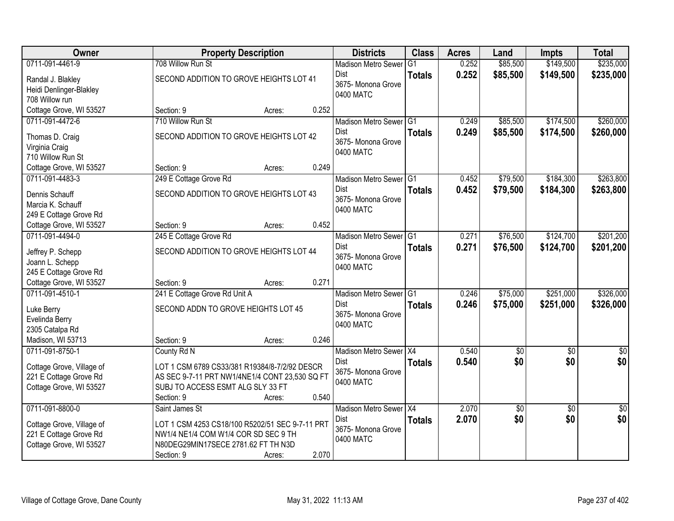| <b>Owner</b>              | <b>Property Description</b>                     |                 | <b>Districts</b>           | <b>Class</b>  | <b>Acres</b> | Land            | <b>Impts</b>    | <b>Total</b>    |
|---------------------------|-------------------------------------------------|-----------------|----------------------------|---------------|--------------|-----------------|-----------------|-----------------|
| 0711-091-4461-9           | 708 Willow Run St                               |                 | <b>Madison Metro Sewer</b> | G1            | 0.252        | \$85,500        | \$149,500       | \$235,000       |
| Randal J. Blakley         | SECOND ADDITION TO GROVE HEIGHTS LOT 41         |                 | Dist                       | <b>Totals</b> | 0.252        | \$85,500        | \$149,500       | \$235,000       |
| Heidi Denlinger-Blakley   |                                                 |                 | 3675-Monona Grove          |               |              |                 |                 |                 |
| 708 Willow run            |                                                 |                 | 0400 MATC                  |               |              |                 |                 |                 |
| Cottage Grove, WI 53527   | Section: 9                                      | 0.252<br>Acres: |                            |               |              |                 |                 |                 |
| 0711-091-4472-6           | 710 Willow Run St                               |                 | Madison Metro Sewer G1     |               | 0.249        | \$85,500        | \$174,500       | \$260,000       |
| Thomas D. Craig           | SECOND ADDITION TO GROVE HEIGHTS LOT 42         |                 | Dist                       | <b>Totals</b> | 0.249        | \$85,500        | \$174,500       | \$260,000       |
| Virginia Craig            |                                                 |                 | 3675- Monona Grove         |               |              |                 |                 |                 |
| 710 Willow Run St         |                                                 |                 | 0400 MATC                  |               |              |                 |                 |                 |
| Cottage Grove, WI 53527   | Section: 9                                      | 0.249<br>Acres: |                            |               |              |                 |                 |                 |
| 0711-091-4483-3           | 249 E Cottage Grove Rd                          |                 | Madison Metro Sewer G1     |               | 0.452        | \$79,500        | \$184,300       | \$263,800       |
| Dennis Schauff            | SECOND ADDITION TO GROVE HEIGHTS LOT 43         |                 | <b>Dist</b>                | <b>Totals</b> | 0.452        | \$79,500        | \$184,300       | \$263,800       |
| Marcia K. Schauff         |                                                 |                 | 3675- Monona Grove         |               |              |                 |                 |                 |
| 249 E Cottage Grove Rd    |                                                 |                 | 0400 MATC                  |               |              |                 |                 |                 |
| Cottage Grove, WI 53527   | Section: 9                                      | 0.452<br>Acres: |                            |               |              |                 |                 |                 |
| 0711-091-4494-0           | 245 E Cottage Grove Rd                          |                 | Madison Metro Sewer G1     |               | 0.271        | \$76,500        | \$124,700       | \$201,200       |
| Jeffrey P. Schepp         | SECOND ADDITION TO GROVE HEIGHTS LOT 44         |                 | Dist                       | <b>Totals</b> | 0.271        | \$76,500        | \$124,700       | \$201,200       |
| Joann L. Schepp           |                                                 |                 | 3675- Monona Grove         |               |              |                 |                 |                 |
| 245 E Cottage Grove Rd    |                                                 |                 | 0400 MATC                  |               |              |                 |                 |                 |
| Cottage Grove, WI 53527   | Section: 9                                      | 0.271<br>Acres: |                            |               |              |                 |                 |                 |
| 0711-091-4510-1           | 241 E Cottage Grove Rd Unit A                   |                 | Madison Metro Sewer G1     |               | 0.246        | \$75,000        | \$251,000       | \$326,000       |
| Luke Berry                | SECOND ADDN TO GROVE HEIGHTS LOT 45             |                 | <b>Dist</b>                | <b>Totals</b> | 0.246        | \$75,000        | \$251,000       | \$326,000       |
| Evelinda Berry            |                                                 |                 | 3675-Monona Grove          |               |              |                 |                 |                 |
| 2305 Catalpa Rd           |                                                 |                 | 0400 MATC                  |               |              |                 |                 |                 |
| Madison, WI 53713         | Section: 9                                      | 0.246<br>Acres: |                            |               |              |                 |                 |                 |
| 0711-091-8750-1           | County Rd N                                     |                 | Madison Metro Sewer X4     |               | 0.540        | $\sqrt{50}$     | $\sqrt{6}$      | \$0             |
| Cottage Grove, Village of | LOT 1 CSM 6789 CS33/381 R19384/8-7/2/92 DESCR   |                 | Dist                       | <b>Totals</b> | 0.540        | \$0             | \$0             | \$0             |
| 221 E Cottage Grove Rd    | AS SEC 9-7-11 PRT NW1/4NE1/4 CONT 23,530 SQ FT  |                 | 3675- Monona Grove         |               |              |                 |                 |                 |
| Cottage Grove, WI 53527   | SUBJ TO ACCESS ESMT ALG SLY 33 FT               |                 | 0400 MATC                  |               |              |                 |                 |                 |
|                           | Section: 9                                      | 0.540<br>Acres: |                            |               |              |                 |                 |                 |
| 0711-091-8800-0           | Saint James St                                  |                 | Madison Metro Sewer X4     |               | 2.070        | $\overline{60}$ | $\overline{50}$ | $\overline{50}$ |
| Cottage Grove, Village of | LOT 1 CSM 4253 CS18/100 R5202/51 SEC 9-7-11 PRT |                 | <b>Dist</b>                | <b>Totals</b> | 2.070        | \$0             | \$0             | \$0             |
| 221 E Cottage Grove Rd    | NW1/4 NE1/4 COM W1/4 COR SD SEC 9 TH            |                 | 3675- Monona Grove         |               |              |                 |                 |                 |
| Cottage Grove, WI 53527   | N80DEG29MIN17SECE 2781.62 FT TH N3D             |                 | 0400 MATC                  |               |              |                 |                 |                 |
|                           | Section: 9                                      | 2.070<br>Acres: |                            |               |              |                 |                 |                 |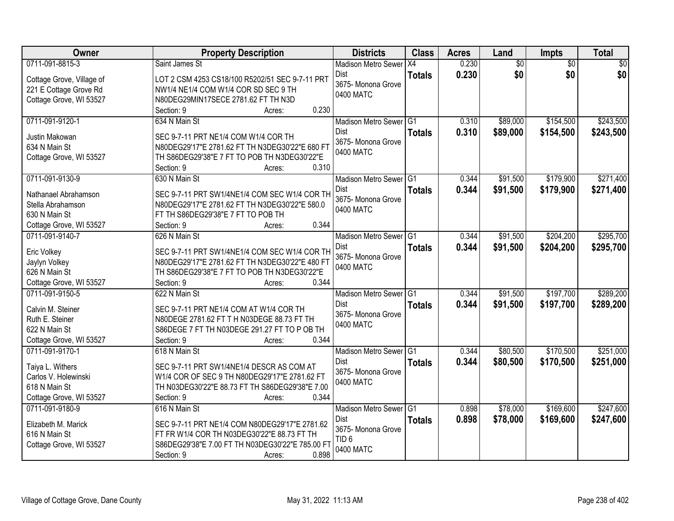| Owner                           | <b>Property Description</b>                                                                     | <b>Districts</b>           | <b>Class</b>  | <b>Acres</b> | Land            | Impts           | <b>Total</b>    |
|---------------------------------|-------------------------------------------------------------------------------------------------|----------------------------|---------------|--------------|-----------------|-----------------|-----------------|
| 0711-091-8815-3                 | Saint James St                                                                                  | <b>Madison Metro Sewer</b> | X4            | 0.230        | $\overline{50}$ | $\overline{50}$ | $\overline{50}$ |
| Cottage Grove, Village of       | LOT 2 CSM 4253 CS18/100 R5202/51 SEC 9-7-11 PRT                                                 | Dist                       | <b>Totals</b> | 0.230        | \$0             | \$0             | \$0             |
| 221 E Cottage Grove Rd          | NW1/4 NE1/4 COM W1/4 COR SD SEC 9 TH                                                            | 3675- Monona Grove         |               |              |                 |                 |                 |
| Cottage Grove, WI 53527         | N80DEG29MIN17SECE 2781.62 FT TH N3D                                                             | 0400 MATC                  |               |              |                 |                 |                 |
|                                 | 0.230<br>Section: 9<br>Acres:                                                                   |                            |               |              |                 |                 |                 |
| 0711-091-9120-1                 | 634 N Main St                                                                                   | Madison Metro Sewer G1     |               | 0.310        | \$89,000        | \$154,500       | \$243,500       |
|                                 |                                                                                                 | <b>Dist</b>                | <b>Totals</b> | 0.310        | \$89,000        | \$154,500       | \$243,500       |
| Justin Makowan<br>634 N Main St | SEC 9-7-11 PRT NE1/4 COM W1/4 COR TH<br>N80DEG29'17"E 2781.62 FT TH N3DEG30'22"E 680 FT         | 3675- Monona Grove         |               |              |                 |                 |                 |
|                                 | TH S86DEG29'38"E 7 FT TO POB TH N3DEG30'22"E                                                    | 0400 MATC                  |               |              |                 |                 |                 |
| Cottage Grove, WI 53527         | 0.310<br>Section: 9<br>Acres:                                                                   |                            |               |              |                 |                 |                 |
| 0711-091-9130-9                 | 630 N Main St                                                                                   | Madison Metro Sewer G1     |               | 0.344        | \$91,500        | \$179,900       | \$271,400       |
|                                 |                                                                                                 | Dist                       | <b>Totals</b> | 0.344        | \$91,500        | \$179,900       | \$271,400       |
| Nathanael Abrahamson            | SEC 9-7-11 PRT SW1/4NE1/4 COM SEC W1/4 COR TH                                                   | 3675- Monona Grove         |               |              |                 |                 |                 |
| Stella Abrahamson               | N80DEG29'17"E 2781.62 FT TH N3DEG30'22"E 580.0                                                  | 0400 MATC                  |               |              |                 |                 |                 |
| 630 N Main St                   | FT TH S86DEG29'38"E 7 FT TO POB TH                                                              |                            |               |              |                 |                 |                 |
| Cottage Grove, WI 53527         | 0.344<br>Section: 9<br>Acres:                                                                   |                            |               |              |                 |                 |                 |
| 0711-091-9140-7                 | 626 N Main St                                                                                   | Madison Metro Sewer G1     |               | 0.344        | \$91,500        | \$204,200       | \$295,700       |
| Eric Volkey                     | SEC 9-7-11 PRT SW1/4NE1/4 COM SEC W1/4 COR TH                                                   | Dist                       | <b>Totals</b> | 0.344        | \$91,500        | \$204,200       | \$295,700       |
| Jaylyn Volkey                   | N80DEG29'17"E 2781.62 FT TH N3DEG30'22"E 480 FT                                                 | 3675- Monona Grove         |               |              |                 |                 |                 |
| 626 N Main St                   | TH S86DEG29'38"E 7 FT TO POB TH N3DEG30'22"E                                                    | 0400 MATC                  |               |              |                 |                 |                 |
| Cottage Grove, WI 53527         | 0.344<br>Section: 9<br>Acres:                                                                   |                            |               |              |                 |                 |                 |
| 0711-091-9150-5                 | 622 N Main St                                                                                   | <b>Madison Metro Sewer</b> | IG1           | 0.344        | \$91,500        | \$197,700       | \$289,200       |
|                                 |                                                                                                 | Dist                       | <b>Totals</b> | 0.344        | \$91,500        | \$197,700       | \$289,200       |
| Calvin M. Steiner               | SEC 9-7-11 PRT NE1/4 COM AT W1/4 COR TH                                                         | 3675- Monona Grove         |               |              |                 |                 |                 |
| Ruth E. Steiner                 | N80DEGE 2781.62 FT T H N03DEGE 88.73 FT TH                                                      | 0400 MATC                  |               |              |                 |                 |                 |
| 622 N Main St                   | S86DEGE 7 FT TH N03DEGE 291.27 FT TO P OB TH                                                    |                            |               |              |                 |                 |                 |
| Cottage Grove, WI 53527         | 0.344<br>Section: 9<br>Acres:                                                                   |                            |               |              |                 |                 |                 |
| 0711-091-9170-1                 | 618 N Main St                                                                                   | Madison Metro Sewer G1     |               | 0.344        | \$80,500        | \$170,500       | \$251,000       |
| Taiya L. Withers                | SEC 9-7-11 PRT SW1/4NE1/4 DESCR AS COM AT                                                       | Dist                       | <b>Totals</b> | 0.344        | \$80,500        | \$170,500       | \$251,000       |
| Carlos V. Holewinski            | W1/4 COR OF SEC 9 TH N80DEG29'17"E 2781.62 FT                                                   | 3675- Monona Grove         |               |              |                 |                 |                 |
| 618 N Main St                   | TH N03DEG30'22"E 88.73 FT TH S86DEG29'38"E 7.00                                                 | 0400 MATC                  |               |              |                 |                 |                 |
| Cottage Grove, WI 53527         | 0.344<br>Section: 9<br>Acres:                                                                   |                            |               |              |                 |                 |                 |
| 0711-091-9180-9                 | 616 N Main St                                                                                   | Madison Metro Sewer G1     |               | 0.898        | \$78,000        | \$169,600       | \$247,600       |
|                                 |                                                                                                 | Dist                       | <b>Totals</b> | 0.898        | \$78,000        | \$169,600       | \$247,600       |
| Elizabeth M. Marick             | SEC 9-7-11 PRT NE1/4 COM N80DEG29'17"E 2781.62                                                  | 3675- Monona Grove         |               |              |                 |                 |                 |
| 616 N Main St                   | FT FR W1/4 COR TH N03DEG30'22"E 88.73 FT TH<br>S86DEG29'38"E 7.00 FT TH N03DEG30'22"E 785.00 F1 | TID <sub>6</sub>           |               |              |                 |                 |                 |
| Cottage Grove, WI 53527         | 0.898                                                                                           | 0400 MATC                  |               |              |                 |                 |                 |
|                                 | Section: 9<br>Acres:                                                                            |                            |               |              |                 |                 |                 |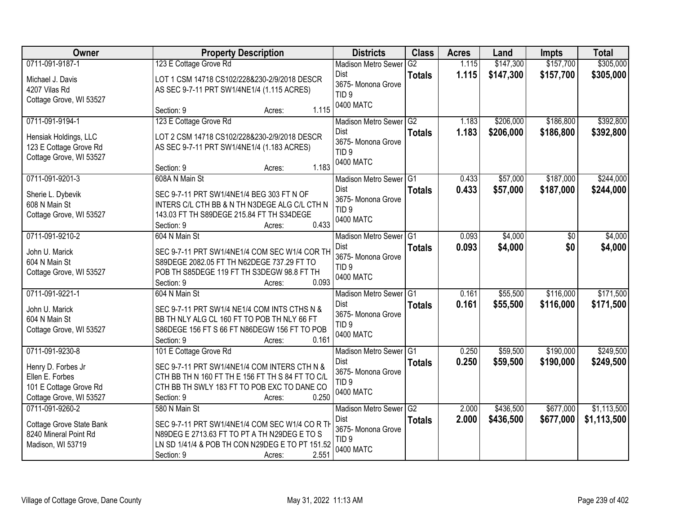| <b>Owner</b>             | <b>Property Description</b>                      | <b>Districts</b>              | <b>Class</b>    | <b>Acres</b> | Land      | <b>Impts</b> | <b>Total</b> |
|--------------------------|--------------------------------------------------|-------------------------------|-----------------|--------------|-----------|--------------|--------------|
| 0711-091-9187-1          | 123 E Cottage Grove Rd                           | <b>Madison Metro Sewer</b>    | G2              | 1.115        | \$147,300 | \$157,700    | \$305,000    |
| Michael J. Davis         | LOT 1 CSM 14718 CS102/228&230-2/9/2018 DESCR     | Dist                          | <b>Totals</b>   | 1.115        | \$147,300 | \$157,700    | \$305,000    |
| 4207 Vilas Rd            | AS SEC 9-7-11 PRT SW1/4NE1/4 (1.115 ACRES)       | 3675- Monona Grove            |                 |              |           |              |              |
| Cottage Grove, WI 53527  |                                                  | TID <sub>9</sub><br>0400 MATC |                 |              |           |              |              |
|                          | 1.115<br>Section: 9<br>Acres:                    |                               |                 |              |           |              |              |
| 0711-091-9194-1          | 123 E Cottage Grove Rd                           | <b>Madison Metro Sewer</b>    | G2              | 1.183        | \$206,000 | \$186,800    | \$392,800    |
| Hensiak Holdings, LLC    | LOT 2 CSM 14718 CS102/228&230-2/9/2018 DESCR     | Dist                          | <b>Totals</b>   | 1.183        | \$206,000 | \$186,800    | \$392,800    |
| 123 E Cottage Grove Rd   | AS SEC 9-7-11 PRT SW1/4NE1/4 (1.183 ACRES)       | 3675- Monona Grove            |                 |              |           |              |              |
| Cottage Grove, WI 53527  |                                                  | TID <sub>9</sub>              |                 |              |           |              |              |
|                          | 1.183<br>Section: 9<br>Acres:                    | 0400 MATC                     |                 |              |           |              |              |
| 0711-091-9201-3          | 608A N Main St                                   | Madison Metro Sewer G1        |                 | 0.433        | \$57,000  | \$187,000    | \$244,000    |
| Sherie L. Dybevik        | SEC 9-7-11 PRT SW1/4NE1/4 BEG 303 FT N OF        | Dist                          | <b>Totals</b>   | 0.433        | \$57,000  | \$187,000    | \$244,000    |
| 608 N Main St            | INTERS C/L CTH BB & N TH N3DEGE ALG C/L CTH N    | 3675- Monona Grove            |                 |              |           |              |              |
| Cottage Grove, WI 53527  | 143.03 FT TH S89DEGE 215.84 FT TH S34DEGE        | TID <sub>9</sub>              |                 |              |           |              |              |
|                          | 0.433<br>Section: 9<br>Acres:                    | 0400 MATC                     |                 |              |           |              |              |
| 0711-091-9210-2          | 604 N Main St                                    | Madison Metro Sewer G1        |                 | 0.093        | \$4,000   | $\sqrt[6]{}$ | \$4,000      |
| John U. Marick           | SEC 9-7-11 PRT SW1/4NE1/4 COM SEC W1/4 COR TH    | Dist                          | <b>Totals</b>   | 0.093        | \$4,000   | \$0          | \$4,000      |
| 604 N Main St            | S89DEGE 2082.05 FT TH N62DEGE 737.29 FT TO       | 3675- Monona Grove            |                 |              |           |              |              |
| Cottage Grove, WI 53527  | POB TH S85DEGE 119 FT TH S3DEGW 98.8 FT TH       | TID <sub>9</sub>              |                 |              |           |              |              |
|                          | 0.093<br>Section: 9<br>Acres:                    | 0400 MATC                     |                 |              |           |              |              |
| 0711-091-9221-1          | 604 N Main St                                    | <b>Madison Metro Sewer</b>    | IG <sub>1</sub> | 0.161        | \$55,500  | \$116,000    | \$171,500    |
| John U. Marick           | SEC 9-7-11 PRT SW1/4 NE1/4 COM INTS CTHS N &     | Dist                          | <b>Totals</b>   | 0.161        | \$55,500  | \$116,000    | \$171,500    |
| 604 N Main St            | BB TH NLY ALG CL 160 FT TO POB TH NLY 66 FT      | 3675- Monona Grove            |                 |              |           |              |              |
| Cottage Grove, WI 53527  | S86DEGE 156 FT S 66 FT N86DEGW 156 FT TO POB     | TID <sub>9</sub>              |                 |              |           |              |              |
|                          | Section: 9<br>0.161<br>Acres:                    | 0400 MATC                     |                 |              |           |              |              |
| 0711-091-9230-8          | 101 E Cottage Grove Rd                           | Madison Metro Sewer G1        |                 | 0.250        | \$59,500  | \$190,000    | \$249,500    |
| Henry D. Forbes Jr       | SEC 9-7-11 PRT SW1/4NE1/4 COM INTERS CTH N &     | <b>Dist</b>                   | <b>Totals</b>   | 0.250        | \$59,500  | \$190,000    | \$249,500    |
| Ellen E. Forbes          | CTH BB TH N 160 FT TH E 156 FT TH S 84 FT TO C/L | 3675- Monona Grove            |                 |              |           |              |              |
| 101 E Cottage Grove Rd   | CTH BB TH SWLY 183 FT TO POB EXC TO DANE CO      | TID <sub>9</sub><br>0400 MATC |                 |              |           |              |              |
| Cottage Grove, WI 53527  | 0.250<br>Section: 9<br>Acres:                    |                               |                 |              |           |              |              |
| 0711-091-9260-2          | 580 N Main St                                    | Madison Metro Sewer G2        |                 | 2.000        | \$436,500 | \$677,000    | \$1,113,500  |
| Cottage Grove State Bank | SEC 9-7-11 PRT SW1/4NE1/4 COM SEC W1/4 CORTH     | Dist                          | <b>Totals</b>   | 2.000        | \$436,500 | \$677,000    | \$1,113,500  |
| 8240 Mineral Point Rd    | N89DEG E 2713.63 FT TO PT A TH N29DEG E TO S     | 3675- Monona Grove            |                 |              |           |              |              |
| Madison, WI 53719        | LN SD 1/41/4 & POB TH CON N29DEG E TO PT 151.52  | TID <sub>9</sub>              |                 |              |           |              |              |
|                          | 2.551<br>Section: 9<br>Acres:                    | 0400 MATC                     |                 |              |           |              |              |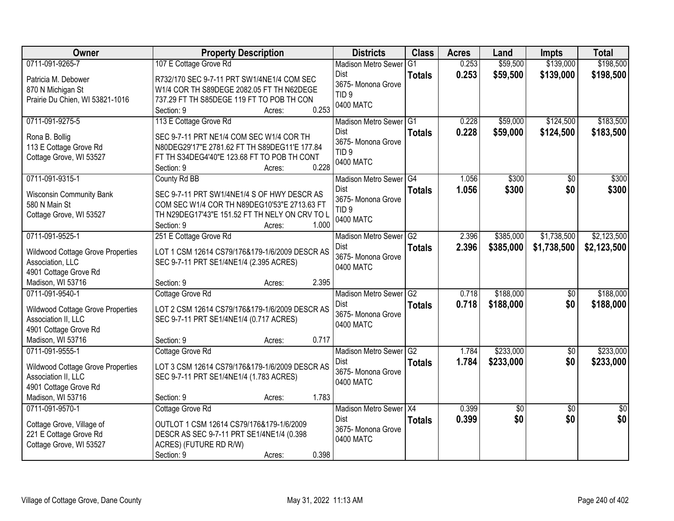| Owner                                    | <b>Property Description</b>                    | <b>Districts</b>           | <b>Class</b>   | <b>Acres</b> | Land       | <b>Impts</b>    | <b>Total</b>    |
|------------------------------------------|------------------------------------------------|----------------------------|----------------|--------------|------------|-----------------|-----------------|
| 0711-091-9265-7                          | 107 E Cottage Grove Rd                         | <b>Madison Metro Sewer</b> | G <sub>1</sub> | 0.253        | \$59,500   | \$139,000       | \$198,500       |
| Patricia M. Debower                      | R732/170 SEC 9-7-11 PRT SW1/4NE1/4 COM SEC     | Dist                       | <b>Totals</b>  | 0.253        | \$59,500   | \$139,000       | \$198,500       |
| 870 N Michigan St                        | W1/4 COR TH S89DEGE 2082.05 FT TH N62DEGE      | 3675- Monona Grove         |                |              |            |                 |                 |
| Prairie Du Chien, WI 53821-1016          | 737.29 FT TH S85DEGE 119 FT TO POB TH CON      | TID <sub>9</sub>           |                |              |            |                 |                 |
|                                          | 0.253<br>Section: 9<br>Acres:                  | 0400 MATC                  |                |              |            |                 |                 |
| 0711-091-9275-5                          | 113 E Cottage Grove Rd                         | Madison Metro Sewer G1     |                | 0.228        | \$59,000   | \$124,500       | \$183,500       |
| Rona B. Bollig                           | SEC 9-7-11 PRT NE1/4 COM SEC W1/4 COR TH       | Dist                       | <b>Totals</b>  | 0.228        | \$59,000   | \$124,500       | \$183,500       |
| 113 E Cottage Grove Rd                   | N80DEG29'17"E 2781.62 FT TH S89DEG11'E 177.84  | 3675- Monona Grove         |                |              |            |                 |                 |
| Cottage Grove, WI 53527                  | FT TH S34DEG4'40"E 123.68 FT TO POB TH CONT    | TID <sub>9</sub>           |                |              |            |                 |                 |
|                                          | 0.228<br>Section: 9<br>Acres:                  | 0400 MATC                  |                |              |            |                 |                 |
| 0711-091-9315-1                          | County Rd BB                                   | Madison Metro Sewer G4     |                | 1.056        | \$300      | $\overline{50}$ | \$300           |
| <b>Wisconsin Community Bank</b>          | SEC 9-7-11 PRT SW1/4NE1/4 S OF HWY DESCR AS    | Dist                       | <b>Totals</b>  | 1.056        | \$300      | \$0             | \$300           |
| 580 N Main St                            | COM SEC W1/4 COR TH N89DEG10'53"E 2713.63 FT   | 3675- Monona Grove         |                |              |            |                 |                 |
| Cottage Grove, WI 53527                  | TH N29DEG17'43"E 151.52 FT TH NELY ON CRV TO L | TID <sub>9</sub>           |                |              |            |                 |                 |
|                                          | Section: 9<br>1.000<br>Acres:                  | 0400 MATC                  |                |              |            |                 |                 |
| 0711-091-9525-1                          | 251 E Cottage Grove Rd                         | Madison Metro Sewer G2     |                | 2.396        | \$385,000  | \$1,738,500     | \$2,123,500     |
| <b>Wildwood Cottage Grove Properties</b> | LOT 1 CSM 12614 CS79/176&179-1/6/2009 DESCR AS | Dist                       | <b>Totals</b>  | 2.396        | \$385,000  | \$1,738,500     | \$2,123,500     |
| Association, LLC                         | SEC 9-7-11 PRT SE1/4NE1/4 (2.395 ACRES)        | 3675- Monona Grove         |                |              |            |                 |                 |
| 4901 Cottage Grove Rd                    |                                                | 0400 MATC                  |                |              |            |                 |                 |
| Madison, WI 53716                        | 2.395<br>Section: 9<br>Acres:                  |                            |                |              |            |                 |                 |
| 0711-091-9540-1                          | Cottage Grove Rd                               | <b>Madison Metro Sewer</b> | G2             | 0.718        | \$188,000  | $\overline{50}$ | \$188,000       |
| Wildwood Cottage Grove Properties        | LOT 2 CSM 12614 CS79/176&179-1/6/2009 DESCR AS | Dist                       | <b>Totals</b>  | 0.718        | \$188,000  | \$0             | \$188,000       |
| Association II, LLC                      | SEC 9-7-11 PRT SE1/4NE1/4 (0.717 ACRES)        | 3675- Monona Grove         |                |              |            |                 |                 |
| 4901 Cottage Grove Rd                    |                                                | 0400 MATC                  |                |              |            |                 |                 |
| Madison, WI 53716                        | 0.717<br>Section: 9<br>Acres:                  |                            |                |              |            |                 |                 |
| 0711-091-9555-1                          | Cottage Grove Rd                               | Madison Metro Sewer G2     |                | 1.784        | \$233,000  | $\overline{60}$ | \$233,000       |
| <b>Wildwood Cottage Grove Properties</b> | LOT 3 CSM 12614 CS79/176&179-1/6/2009 DESCR AS | Dist                       | <b>Totals</b>  | 1.784        | \$233,000  | \$0             | \$233,000       |
| Association II, LLC                      | SEC 9-7-11 PRT SE1/4NE1/4 (1.783 ACRES)        | 3675- Monona Grove         |                |              |            |                 |                 |
| 4901 Cottage Grove Rd                    |                                                | 0400 MATC                  |                |              |            |                 |                 |
| Madison, WI 53716                        | 1.783<br>Section: 9<br>Acres:                  |                            |                |              |            |                 |                 |
| 0711-091-9570-1                          | Cottage Grove Rd                               | Madison Metro Sewer X4     |                | 0.399        | $\sqrt{6}$ | $\overline{30}$ | $\overline{50}$ |
| Cottage Grove, Village of                | OUTLOT 1 CSM 12614 CS79/176&179-1/6/2009       | Dist                       | <b>Totals</b>  | 0.399        | \$0        | \$0             | \$0             |
| 221 E Cottage Grove Rd                   | DESCR AS SEC 9-7-11 PRT SE1/4NE1/4 (0.398      | 3675- Monona Grove         |                |              |            |                 |                 |
| Cottage Grove, WI 53527                  | ACRES) (FUTURE RD R/W)                         | 0400 MATC                  |                |              |            |                 |                 |
|                                          | 0.398<br>Section: 9<br>Acres:                  |                            |                |              |            |                 |                 |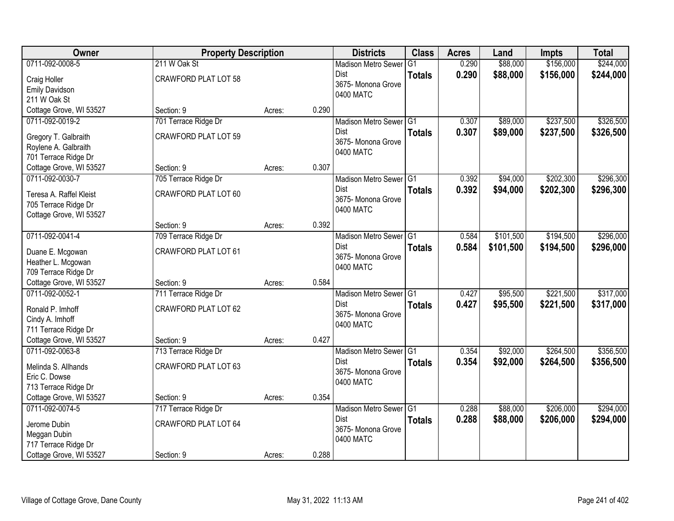| <b>Owner</b>                               | <b>Property Description</b> |        |       | <b>Districts</b>                  | <b>Class</b>   | <b>Acres</b> | Land      | <b>Impts</b> | <b>Total</b> |
|--------------------------------------------|-----------------------------|--------|-------|-----------------------------------|----------------|--------------|-----------|--------------|--------------|
| 0711-092-0008-5                            | 211 W Oak St                |        |       | <b>Madison Metro Sewer</b>        | G <sub>1</sub> | 0.290        | \$88,000  | \$156,000    | \$244,000    |
| Craig Holler                               | <b>CRAWFORD PLAT LOT 58</b> |        |       | Dist                              | <b>Totals</b>  | 0.290        | \$88,000  | \$156,000    | \$244,000    |
| <b>Emily Davidson</b>                      |                             |        |       | 3675- Monona Grove                |                |              |           |              |              |
| 211 W Oak St                               |                             |        |       | 0400 MATC                         |                |              |           |              |              |
| Cottage Grove, WI 53527                    | Section: 9                  | Acres: | 0.290 |                                   |                |              |           |              |              |
| 0711-092-0019-2                            | 701 Terrace Ridge Dr        |        |       | Madison Metro Sewer G1            |                | 0.307        | \$89,000  | \$237,500    | \$326,500    |
| Gregory T. Galbraith                       | <b>CRAWFORD PLAT LOT 59</b> |        |       | <b>Dist</b>                       | <b>Totals</b>  | 0.307        | \$89,000  | \$237,500    | \$326,500    |
| Roylene A. Galbraith                       |                             |        |       | 3675- Monona Grove                |                |              |           |              |              |
| 701 Terrace Ridge Dr                       |                             |        |       | 0400 MATC                         |                |              |           |              |              |
| Cottage Grove, WI 53527                    | Section: 9                  | Acres: | 0.307 |                                   |                |              |           |              |              |
| 0711-092-0030-7                            | 705 Terrace Ridge Dr        |        |       | Madison Metro Sewer G1            |                | 0.392        | \$94,000  | \$202,300    | \$296,300    |
| Teresa A. Raffel Kleist                    | CRAWFORD PLAT LOT 60        |        |       | Dist                              | <b>Totals</b>  | 0.392        | \$94,000  | \$202,300    | \$296,300    |
| 705 Terrace Ridge Dr                       |                             |        |       | 3675-Monona Grove                 |                |              |           |              |              |
| Cottage Grove, WI 53527                    |                             |        |       | 0400 MATC                         |                |              |           |              |              |
|                                            | Section: 9                  | Acres: | 0.392 |                                   |                |              |           |              |              |
| 0711-092-0041-4                            | 709 Terrace Ridge Dr        |        |       | Madison Metro Sewer G1            |                | 0.584        | \$101,500 | \$194,500    | \$296,000    |
|                                            |                             |        |       | Dist                              | <b>Totals</b>  | 0.584        | \$101,500 | \$194,500    | \$296,000    |
| Duane E. Mcgowan                           | CRAWFORD PLAT LOT 61        |        |       | 3675- Monona Grove                |                |              |           |              |              |
| Heather L. Mcgowan<br>709 Terrace Ridge Dr |                             |        |       | 0400 MATC                         |                |              |           |              |              |
| Cottage Grove, WI 53527                    | Section: 9                  | Acres: | 0.584 |                                   |                |              |           |              |              |
| 0711-092-0052-1                            | 711 Terrace Ridge Dr        |        |       | Madison Metro Sewer <sup>G1</sup> |                | 0.427        | \$95,500  | \$221,500    | \$317,000    |
|                                            |                             |        |       | <b>Dist</b>                       | <b>Totals</b>  | 0.427        | \$95,500  | \$221,500    | \$317,000    |
| Ronald P. Imhoff                           | CRAWFORD PLAT LOT 62        |        |       | 3675- Monona Grove                |                |              |           |              |              |
| Cindy A. Imhoff                            |                             |        |       | 0400 MATC                         |                |              |           |              |              |
| 711 Terrace Ridge Dr                       |                             |        |       |                                   |                |              |           |              |              |
| Cottage Grove, WI 53527                    | Section: 9                  | Acres: | 0.427 |                                   |                |              |           |              |              |
| 0711-092-0063-8                            | 713 Terrace Ridge Dr        |        |       | Madison Metro Sewer G1            |                | 0.354        | \$92,000  | \$264,500    | \$356,500    |
| Melinda S. Allhands                        | <b>CRAWFORD PLAT LOT 63</b> |        |       | Dist<br>3675- Monona Grove        | <b>Totals</b>  | 0.354        | \$92,000  | \$264,500    | \$356,500    |
| Eric C. Dowse                              |                             |        |       | 0400 MATC                         |                |              |           |              |              |
| 713 Terrace Ridge Dr                       |                             |        |       |                                   |                |              |           |              |              |
| Cottage Grove, WI 53527                    | Section: 9                  | Acres: | 0.354 |                                   |                |              |           |              |              |
| 0711-092-0074-5                            | 717 Terrace Ridge Dr        |        |       | Madison Metro Sewer G1            |                | 0.288        | \$88,000  | \$206,000    | \$294,000    |
| Jerome Dubin                               | <b>CRAWFORD PLAT LOT 64</b> |        |       | <b>Dist</b>                       | <b>Totals</b>  | 0.288        | \$88,000  | \$206,000    | \$294,000    |
| Meggan Dubin                               |                             |        |       | 3675- Monona Grove                |                |              |           |              |              |
| 717 Terrace Ridge Dr                       |                             |        |       | 0400 MATC                         |                |              |           |              |              |
| Cottage Grove, WI 53527                    | Section: 9                  | Acres: | 0.288 |                                   |                |              |           |              |              |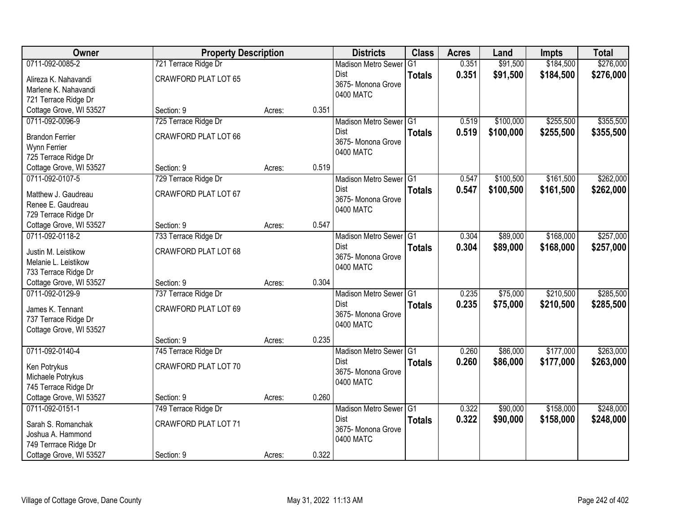| Owner                                    | <b>Property Description</b> |        |       | <b>Districts</b>           | <b>Class</b>  | <b>Acres</b> | Land      | <b>Impts</b> | <b>Total</b> |
|------------------------------------------|-----------------------------|--------|-------|----------------------------|---------------|--------------|-----------|--------------|--------------|
| 0711-092-0085-2                          | 721 Terrace Ridge Dr        |        |       | <b>Madison Metro Sewer</b> | G1            | 0.351        | \$91,500  | \$184,500    | \$276,000    |
| Alireza K. Nahavandi                     | <b>CRAWFORD PLAT LOT 65</b> |        |       | Dist                       | <b>Totals</b> | 0.351        | \$91,500  | \$184,500    | \$276,000    |
| Marlene K. Nahavandi                     |                             |        |       | 3675- Monona Grove         |               |              |           |              |              |
| 721 Terrace Ridge Dr                     |                             |        |       | 0400 MATC                  |               |              |           |              |              |
| Cottage Grove, WI 53527                  | Section: 9                  | Acres: | 0.351 |                            |               |              |           |              |              |
| 0711-092-0096-9                          | 725 Terrace Ridge Dr        |        |       | Madison Metro Sewer G1     |               | 0.519        | \$100,000 | \$255,500    | \$355,500    |
| <b>Brandon Ferrier</b>                   | <b>CRAWFORD PLAT LOT 66</b> |        |       | <b>Dist</b>                | <b>Totals</b> | 0.519        | \$100,000 | \$255,500    | \$355,500    |
| Wynn Ferrier                             |                             |        |       | 3675- Monona Grove         |               |              |           |              |              |
| 725 Terrace Ridge Dr                     |                             |        |       | 0400 MATC                  |               |              |           |              |              |
| Cottage Grove, WI 53527                  | Section: 9                  | Acres: | 0.519 |                            |               |              |           |              |              |
| 0711-092-0107-5                          | 729 Terrace Ridge Dr        |        |       | Madison Metro Sewer G1     |               | 0.547        | \$100,500 | \$161,500    | \$262,000    |
| Matthew J. Gaudreau                      | CRAWFORD PLAT LOT 67        |        |       | Dist                       | <b>Totals</b> | 0.547        | \$100,500 | \$161,500    | \$262,000    |
| Renee E. Gaudreau                        |                             |        |       | 3675- Monona Grove         |               |              |           |              |              |
| 729 Terrace Ridge Dr                     |                             |        |       | 0400 MATC                  |               |              |           |              |              |
| Cottage Grove, WI 53527                  | Section: 9                  | Acres: | 0.547 |                            |               |              |           |              |              |
| 0711-092-0118-2                          | 733 Terrace Ridge Dr        |        |       | Madison Metro Sewer G1     |               | 0.304        | \$89,000  | \$168,000    | \$257,000    |
| Justin M. Leistikow                      | <b>CRAWFORD PLAT LOT 68</b> |        |       | Dist                       | <b>Totals</b> | 0.304        | \$89,000  | \$168,000    | \$257,000    |
| Melanie L. Leistikow                     |                             |        |       | 3675- Monona Grove         |               |              |           |              |              |
| 733 Terrace Ridge Dr                     |                             |        |       | 0400 MATC                  |               |              |           |              |              |
| Cottage Grove, WI 53527                  | Section: 9                  | Acres: | 0.304 |                            |               |              |           |              |              |
| 0711-092-0129-9                          | 737 Terrace Ridge Dr        |        |       | Madison Metro Sewer G1     |               | 0.235        | \$75,000  | \$210,500    | \$285,500    |
|                                          | CRAWFORD PLAT LOT 69        |        |       | <b>Dist</b>                | <b>Totals</b> | 0.235        | \$75,000  | \$210,500    | \$285,500    |
| James K. Tennant<br>737 Terrace Ridge Dr |                             |        |       | 3675- Monona Grove         |               |              |           |              |              |
| Cottage Grove, WI 53527                  |                             |        |       | 0400 MATC                  |               |              |           |              |              |
|                                          | Section: 9                  | Acres: | 0.235 |                            |               |              |           |              |              |
| 0711-092-0140-4                          | 745 Terrace Ridge Dr        |        |       | Madison Metro Sewer G1     |               | 0.260        | \$86,000  | \$177,000    | \$263,000    |
| Ken Potrykus                             | CRAWFORD PLAT LOT 70        |        |       | Dist                       | <b>Totals</b> | 0.260        | \$86,000  | \$177,000    | \$263,000    |
| Michaele Potrykus                        |                             |        |       | 3675- Monona Grove         |               |              |           |              |              |
| 745 Terrace Ridge Dr                     |                             |        |       | 0400 MATC                  |               |              |           |              |              |
| Cottage Grove, WI 53527                  | Section: 9                  | Acres: | 0.260 |                            |               |              |           |              |              |
| 0711-092-0151-1                          | 749 Terrace Ridge Dr        |        |       | Madison Metro Sewer G1     |               | 0.322        | \$90,000  | \$158,000    | \$248,000    |
| Sarah S. Romanchak                       | <b>CRAWFORD PLAT LOT 71</b> |        |       | <b>Dist</b>                | <b>Totals</b> | 0.322        | \$90,000  | \$158,000    | \$248,000    |
| Joshua A. Hammond                        |                             |        |       | 3675- Monona Grove         |               |              |           |              |              |
| 749 Terrrace Ridge Dr                    |                             |        |       | 0400 MATC                  |               |              |           |              |              |
| Cottage Grove, WI 53527                  | Section: 9                  | Acres: | 0.322 |                            |               |              |           |              |              |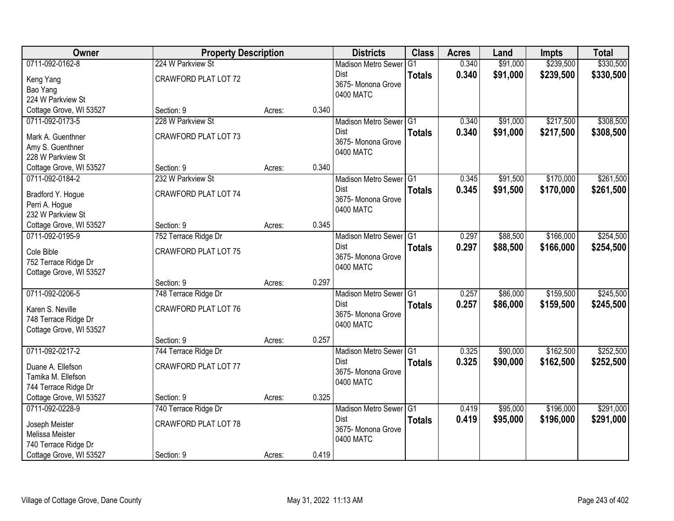| <b>Owner</b>                       | <b>Property Description</b>        |        |       | <b>Districts</b>                  | <b>Class</b>  | <b>Acres</b> | Land     | <b>Impts</b> | <b>Total</b> |
|------------------------------------|------------------------------------|--------|-------|-----------------------------------|---------------|--------------|----------|--------------|--------------|
| 0711-092-0162-8                    | 224 W Parkview St                  |        |       | <b>Madison Metro Sewer</b>        | G1            | 0.340        | \$91,000 | \$239,500    | \$330,500    |
| Keng Yang                          | <b>CRAWFORD PLAT LOT 72</b>        |        |       | Dist<br>3675- Monona Grove        | <b>Totals</b> | 0.340        | \$91,000 | \$239,500    | \$330,500    |
| Bao Yang                           |                                    |        |       | 0400 MATC                         |               |              |          |              |              |
| 224 W Parkview St                  |                                    |        |       |                                   |               |              |          |              |              |
| Cottage Grove, WI 53527            | Section: 9                         | Acres: | 0.340 |                                   |               |              |          |              |              |
| 0711-092-0173-5                    | 228 W Parkview St                  |        |       | Madison Metro Sewer G1            |               | 0.340        | \$91,000 | \$217,500    | \$308,500    |
| Mark A. Guenthner                  | <b>CRAWFORD PLAT LOT 73</b>        |        |       | <b>Dist</b>                       | <b>Totals</b> | 0.340        | \$91,000 | \$217,500    | \$308,500    |
| Amy S. Guenthner                   |                                    |        |       | 3675- Monona Grove                |               |              |          |              |              |
| 228 W Parkview St                  |                                    |        |       | 0400 MATC                         |               |              |          |              |              |
| Cottage Grove, WI 53527            | Section: 9                         | Acres: | 0.340 |                                   |               |              |          |              |              |
| 0711-092-0184-2                    | 232 W Parkview St                  |        |       | Madison Metro Sewer G1            |               | 0.345        | \$91,500 | \$170,000    | \$261,500    |
| Bradford Y. Hogue                  | <b>CRAWFORD PLAT LOT 74</b>        |        |       | Dist                              | <b>Totals</b> | 0.345        | \$91,500 | \$170,000    | \$261,500    |
| Perri A. Hogue                     |                                    |        |       | 3675-Monona Grove                 |               |              |          |              |              |
| 232 W Parkview St                  |                                    |        |       | 0400 MATC                         |               |              |          |              |              |
| Cottage Grove, WI 53527            | Section: 9                         | Acres: | 0.345 |                                   |               |              |          |              |              |
| 0711-092-0195-9                    | 752 Terrace Ridge Dr               |        |       | Madison Metro Sewer G1            |               | 0.297        | \$88,500 | \$166,000    | \$254,500    |
|                                    |                                    |        |       | Dist                              | <b>Totals</b> | 0.297        | \$88,500 | \$166,000    | \$254,500    |
| Cole Bible<br>752 Terrace Ridge Dr | <b>CRAWFORD PLAT LOT 75</b>        |        |       | 3675- Monona Grove                |               |              |          |              |              |
| Cottage Grove, WI 53527            |                                    |        |       | 0400 MATC                         |               |              |          |              |              |
|                                    | Section: 9                         | Acres: | 0.297 |                                   |               |              |          |              |              |
| 0711-092-0206-5                    | 748 Terrace Ridge Dr               |        |       | Madison Metro Sewer <sup>G1</sup> |               | 0.257        | \$86,000 | \$159,500    | \$245,500    |
|                                    |                                    |        |       | <b>Dist</b>                       | <b>Totals</b> | 0.257        | \$86,000 | \$159,500    | \$245,500    |
| Karen S. Neville                   | <b>CRAWFORD PLAT LOT 76</b>        |        |       | 3675- Monona Grove                |               |              |          |              |              |
| 748 Terrace Ridge Dr               |                                    |        |       | 0400 MATC                         |               |              |          |              |              |
| Cottage Grove, WI 53527            |                                    |        | 0.257 |                                   |               |              |          |              |              |
| 0711-092-0217-2                    | Section: 9<br>744 Terrace Ridge Dr | Acres: |       | Madison Metro Sewer G1            |               | 0.325        | \$90,000 | \$162,500    | \$252,500    |
|                                    |                                    |        |       | Dist                              | <b>Totals</b> | 0.325        | \$90,000 | \$162,500    | \$252,500    |
| Duane A. Ellefson                  | <b>CRAWFORD PLAT LOT 77</b>        |        |       | 3675- Monona Grove                |               |              |          |              |              |
| Tamika M. Ellefson                 |                                    |        |       | 0400 MATC                         |               |              |          |              |              |
| 744 Terrace Ridge Dr               |                                    |        |       |                                   |               |              |          |              |              |
| Cottage Grove, WI 53527            | Section: 9                         | Acres: | 0.325 |                                   |               |              |          |              |              |
| 0711-092-0228-9                    | 740 Terrace Ridge Dr               |        |       | Madison Metro Sewer G1            |               | 0.419        | \$95,000 | \$196,000    | \$291,000    |
| Joseph Meister                     | <b>CRAWFORD PLAT LOT 78</b>        |        |       | <b>Dist</b>                       | <b>Totals</b> | 0.419        | \$95,000 | \$196,000    | \$291,000    |
| Melissa Meister                    |                                    |        |       | 3675- Monona Grove<br>0400 MATC   |               |              |          |              |              |
| 740 Terrace Ridge Dr               |                                    |        |       |                                   |               |              |          |              |              |
| Cottage Grove, WI 53527            | Section: 9                         | Acres: | 0.419 |                                   |               |              |          |              |              |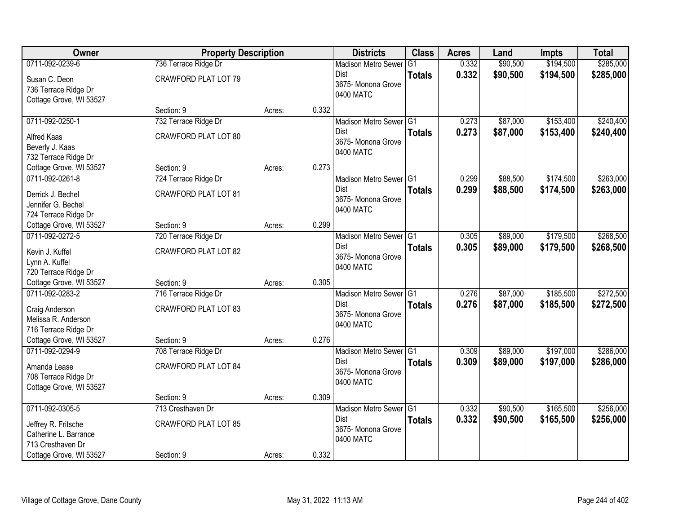| Owner                   | <b>Property Description</b> |        |       | <b>Districts</b>                | <b>Class</b>  | <b>Acres</b> | Land     | <b>Impts</b> | <b>Total</b> |
|-------------------------|-----------------------------|--------|-------|---------------------------------|---------------|--------------|----------|--------------|--------------|
| 0711-092-0239-6         | 736 Terrace Ridge Dr        |        |       | <b>Madison Metro Sewer</b>      | G1            | 0.332        | \$90,500 | \$194,500    | \$285,000    |
| Susan C. Deon           | <b>CRAWFORD PLAT LOT 79</b> |        |       | Dist                            | <b>Totals</b> | 0.332        | \$90,500 | \$194,500    | \$285,000    |
| 736 Terrace Ridge Dr    |                             |        |       | 3675- Monona Grove              |               |              |          |              |              |
| Cottage Grove, WI 53527 |                             |        |       | 0400 MATC                       |               |              |          |              |              |
|                         | Section: 9                  | Acres: | 0.332 |                                 |               |              |          |              |              |
| 0711-092-0250-1         | 732 Terrace Ridge Dr        |        |       | Madison Metro Sewer G1          |               | 0.273        | \$87,000 | \$153,400    | \$240,400    |
| <b>Alfred Kaas</b>      | CRAWFORD PLAT LOT 80        |        |       | <b>Dist</b>                     | <b>Totals</b> | 0.273        | \$87,000 | \$153,400    | \$240,400    |
| Beverly J. Kaas         |                             |        |       | 3675- Monona Grove<br>0400 MATC |               |              |          |              |              |
| 732 Terrace Ridge Dr    |                             |        |       |                                 |               |              |          |              |              |
| Cottage Grove, WI 53527 | Section: 9                  | Acres: | 0.273 |                                 |               |              |          |              |              |
| 0711-092-0261-8         | 724 Terrace Ridge Dr        |        |       | Madison Metro Sewer G1          |               | 0.299        | \$88,500 | \$174,500    | \$263,000    |
| Derrick J. Bechel       | CRAWFORD PLAT LOT 81        |        |       | Dist                            | <b>Totals</b> | 0.299        | \$88,500 | \$174,500    | \$263,000    |
| Jennifer G. Bechel      |                             |        |       | 3675- Monona Grove              |               |              |          |              |              |
| 724 Terrace Ridge Dr    |                             |        |       | 0400 MATC                       |               |              |          |              |              |
| Cottage Grove, WI 53527 | Section: 9                  | Acres: | 0.299 |                                 |               |              |          |              |              |
| 0711-092-0272-5         | 720 Terrace Ridge Dr        |        |       | Madison Metro Sewer G1          |               | 0.305        | \$89,000 | \$179,500    | \$268,500    |
| Kevin J. Kuffel         | <b>CRAWFORD PLAT LOT 82</b> |        |       | Dist                            | <b>Totals</b> | 0.305        | \$89,000 | \$179,500    | \$268,500    |
| Lynn A. Kuffel          |                             |        |       | 3675- Monona Grove              |               |              |          |              |              |
| 720 Terrace Ridge Dr    |                             |        |       | 0400 MATC                       |               |              |          |              |              |
| Cottage Grove, WI 53527 | Section: 9                  | Acres: | 0.305 |                                 |               |              |          |              |              |
| 0711-092-0283-2         | 716 Terrace Ridge Dr        |        |       | Madison Metro Sewer G1          |               | 0.276        | \$87,000 | \$185,500    | \$272,500    |
| Craig Anderson          | <b>CRAWFORD PLAT LOT 83</b> |        |       | <b>Dist</b>                     | <b>Totals</b> | 0.276        | \$87,000 | \$185,500    | \$272,500    |
| Melissa R. Anderson     |                             |        |       | 3675- Monona Grove              |               |              |          |              |              |
| 716 Terrace Ridge Dr    |                             |        |       | 0400 MATC                       |               |              |          |              |              |
| Cottage Grove, WI 53527 | Section: 9                  | Acres: | 0.276 |                                 |               |              |          |              |              |
| 0711-092-0294-9         | 708 Terrace Ridge Dr        |        |       | Madison Metro Sewer G1          |               | 0.309        | \$89,000 | \$197,000    | \$286,000    |
| Amanda Lease            | <b>CRAWFORD PLAT LOT 84</b> |        |       | Dist                            | <b>Totals</b> | 0.309        | \$89,000 | \$197,000    | \$286,000    |
| 708 Terrace Ridge Dr    |                             |        |       | 3675- Monona Grove              |               |              |          |              |              |
| Cottage Grove, WI 53527 |                             |        |       | 0400 MATC                       |               |              |          |              |              |
|                         | Section: 9                  | Acres: | 0.309 |                                 |               |              |          |              |              |
| 0711-092-0305-5         | 713 Cresthaven Dr           |        |       | Madison Metro Sewer G1          |               | 0.332        | \$90,500 | \$165,500    | \$256,000    |
| Jeffrey R. Fritsche     | <b>CRAWFORD PLAT LOT 85</b> |        |       | <b>Dist</b>                     | <b>Totals</b> | 0.332        | \$90,500 | \$165,500    | \$256,000    |
| Catherine L. Barrance   |                             |        |       | 3675- Monona Grove              |               |              |          |              |              |
| 713 Cresthaven Dr       |                             |        |       | 0400 MATC                       |               |              |          |              |              |
| Cottage Grove, WI 53527 | Section: 9                  | Acres: | 0.332 |                                 |               |              |          |              |              |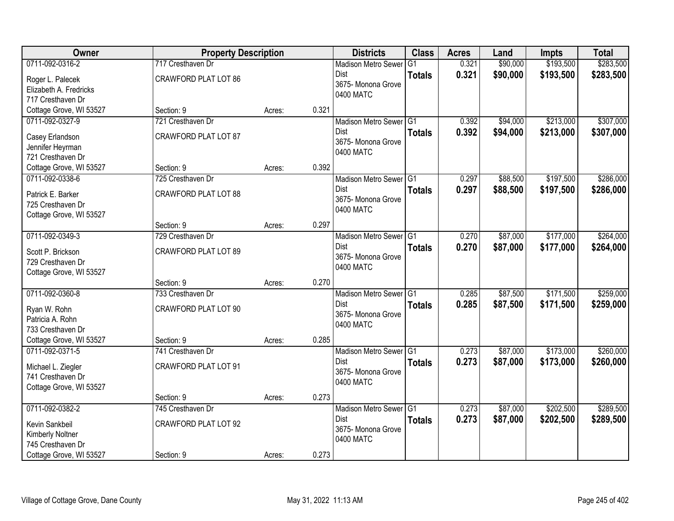| Owner                   | <b>Property Description</b> |        |       | <b>Districts</b>                  | <b>Class</b>  | <b>Acres</b> | Land     | <b>Impts</b> | <b>Total</b> |
|-------------------------|-----------------------------|--------|-------|-----------------------------------|---------------|--------------|----------|--------------|--------------|
| 0711-092-0316-2         | 717 Cresthaven Dr           |        |       | <b>Madison Metro Sewer</b>        | G1            | 0.321        | \$90,000 | \$193,500    | \$283,500    |
| Roger L. Palecek        | <b>CRAWFORD PLAT LOT 86</b> |        |       | Dist                              | <b>Totals</b> | 0.321        | \$90,000 | \$193,500    | \$283,500    |
| Elizabeth A. Fredricks  |                             |        |       | 3675- Monona Grove                |               |              |          |              |              |
| 717 Cresthaven Dr       |                             |        |       | 0400 MATC                         |               |              |          |              |              |
| Cottage Grove, WI 53527 | Section: 9                  | Acres: | 0.321 |                                   |               |              |          |              |              |
| 0711-092-0327-9         | 721 Cresthaven Dr           |        |       | Madison Metro Sewer G1            |               | 0.392        | \$94,000 | \$213,000    | \$307,000    |
| Casey Erlandson         | <b>CRAWFORD PLAT LOT 87</b> |        |       | <b>Dist</b>                       | <b>Totals</b> | 0.392        | \$94,000 | \$213,000    | \$307,000    |
| Jennifer Heyrman        |                             |        |       | 3675- Monona Grove                |               |              |          |              |              |
| 721 Cresthaven Dr       |                             |        |       | 0400 MATC                         |               |              |          |              |              |
| Cottage Grove, WI 53527 | Section: 9                  | Acres: | 0.392 |                                   |               |              |          |              |              |
| 0711-092-0338-6         | 725 Cresthaven Dr           |        |       | Madison Metro Sewer G1            |               | 0.297        | \$88,500 | \$197,500    | \$286,000    |
| Patrick E. Barker       | <b>CRAWFORD PLAT LOT 88</b> |        |       | Dist                              | <b>Totals</b> | 0.297        | \$88,500 | \$197,500    | \$286,000    |
| 725 Cresthaven Dr       |                             |        |       | 3675-Monona Grove                 |               |              |          |              |              |
| Cottage Grove, WI 53527 |                             |        |       | 0400 MATC                         |               |              |          |              |              |
|                         | Section: 9                  | Acres: | 0.297 |                                   |               |              |          |              |              |
| 0711-092-0349-3         | 729 Cresthaven Dr           |        |       | Madison Metro Sewer G1            |               | 0.270        | \$87,000 | \$177,000    | \$264,000    |
|                         |                             |        |       | Dist                              | <b>Totals</b> | 0.270        | \$87,000 | \$177,000    | \$264,000    |
| Scott P. Brickson       | <b>CRAWFORD PLAT LOT 89</b> |        |       | 3675- Monona Grove                |               |              |          |              |              |
| 729 Cresthaven Dr       |                             |        |       | 0400 MATC                         |               |              |          |              |              |
| Cottage Grove, WI 53527 | Section: 9                  | Acres: | 0.270 |                                   |               |              |          |              |              |
| 0711-092-0360-8         | 733 Cresthaven Dr           |        |       | Madison Metro Sewer <sup>G1</sup> |               | 0.285        | \$87,500 | \$171,500    | \$259,000    |
|                         |                             |        |       | <b>Dist</b>                       | <b>Totals</b> | 0.285        | \$87,500 | \$171,500    | \$259,000    |
| Ryan W. Rohn            | CRAWFORD PLAT LOT 90        |        |       | 3675- Monona Grove                |               |              |          |              |              |
| Patricia A. Rohn        |                             |        |       | 0400 MATC                         |               |              |          |              |              |
| 733 Cresthaven Dr       |                             |        |       |                                   |               |              |          |              |              |
| Cottage Grove, WI 53527 | Section: 9                  | Acres: | 0.285 |                                   |               |              |          |              |              |
| 0711-092-0371-5         | 741 Cresthaven Dr           |        |       | Madison Metro Sewer G1            |               | 0.273        | \$87,000 | \$173,000    | \$260,000    |
| Michael L. Ziegler      | CRAWFORD PLAT LOT 91        |        |       | <b>Dist</b>                       | <b>Totals</b> | 0.273        | \$87,000 | \$173,000    | \$260,000    |
| 741 Cresthaven Dr       |                             |        |       | 3675- Monona Grove<br>0400 MATC   |               |              |          |              |              |
| Cottage Grove, WI 53527 |                             |        |       |                                   |               |              |          |              |              |
|                         | Section: 9                  | Acres: | 0.273 |                                   |               |              |          |              |              |
| 0711-092-0382-2         | 745 Cresthaven Dr           |        |       | Madison Metro Sewer G1            |               | 0.273        | \$87,000 | \$202,500    | \$289,500    |
| Kevin Sankbeil          | CRAWFORD PLAT LOT 92        |        |       | <b>Dist</b>                       | <b>Totals</b> | 0.273        | \$87,000 | \$202,500    | \$289,500    |
| Kimberly Noltner        |                             |        |       | 3675- Monona Grove                |               |              |          |              |              |
| 745 Cresthaven Dr       |                             |        |       | 0400 MATC                         |               |              |          |              |              |
| Cottage Grove, WI 53527 | Section: 9                  | Acres: | 0.273 |                                   |               |              |          |              |              |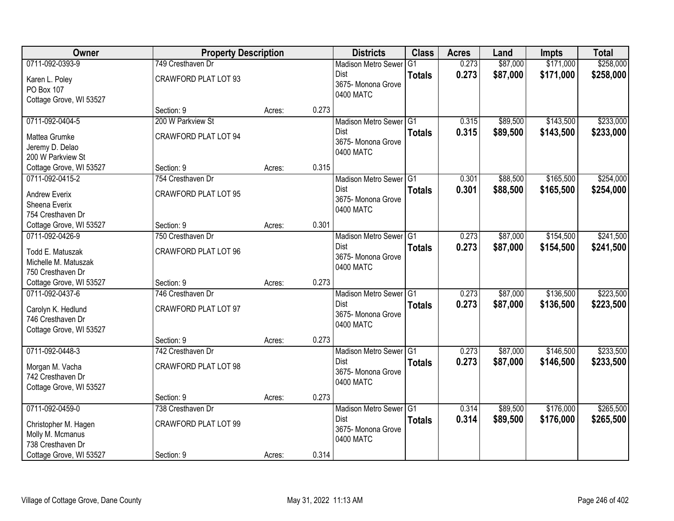| Owner                   | <b>Property Description</b> |        |       | <b>Districts</b>                | <b>Class</b>  | <b>Acres</b> | Land     | <b>Impts</b> | <b>Total</b> |
|-------------------------|-----------------------------|--------|-------|---------------------------------|---------------|--------------|----------|--------------|--------------|
| 0711-092-0393-9         | 749 Cresthaven Dr           |        |       | <b>Madison Metro Sewer</b>      | G1            | 0.273        | \$87,000 | \$171,000    | \$258,000    |
| Karen L. Poley          | <b>CRAWFORD PLAT LOT 93</b> |        |       | Dist                            | <b>Totals</b> | 0.273        | \$87,000 | \$171,000    | \$258,000    |
| PO Box 107              |                             |        |       | 3675- Monona Grove              |               |              |          |              |              |
| Cottage Grove, WI 53527 |                             |        |       | 0400 MATC                       |               |              |          |              |              |
|                         | Section: 9                  | Acres: | 0.273 |                                 |               |              |          |              |              |
| 0711-092-0404-5         | 200 W Parkview St           |        |       | Madison Metro Sewer G1          |               | 0.315        | \$89,500 | \$143,500    | \$233,000    |
| Mattea Grumke           | <b>CRAWFORD PLAT LOT 94</b> |        |       | <b>Dist</b>                     | <b>Totals</b> | 0.315        | \$89,500 | \$143,500    | \$233,000    |
| Jeremy D. Delao         |                             |        |       | 3675- Monona Grove<br>0400 MATC |               |              |          |              |              |
| 200 W Parkview St       |                             |        |       |                                 |               |              |          |              |              |
| Cottage Grove, WI 53527 | Section: 9                  | Acres: | 0.315 |                                 |               |              |          |              |              |
| 0711-092-0415-2         | 754 Cresthaven Dr           |        |       | Madison Metro Sewer G1          |               | 0.301        | \$88,500 | \$165,500    | \$254,000    |
| <b>Andrew Everix</b>    | <b>CRAWFORD PLAT LOT 95</b> |        |       | Dist                            | <b>Totals</b> | 0.301        | \$88,500 | \$165,500    | \$254,000    |
| Sheena Everix           |                             |        |       | 3675- Monona Grove              |               |              |          |              |              |
| 754 Cresthaven Dr       |                             |        |       | 0400 MATC                       |               |              |          |              |              |
| Cottage Grove, WI 53527 | Section: 9                  | Acres: | 0.301 |                                 |               |              |          |              |              |
| 0711-092-0426-9         | 750 Cresthaven Dr           |        |       | Madison Metro Sewer G1          |               | 0.273        | \$87,000 | \$154,500    | \$241,500    |
| Todd E. Matuszak        | <b>CRAWFORD PLAT LOT 96</b> |        |       | Dist                            | <b>Totals</b> | 0.273        | \$87,000 | \$154,500    | \$241,500    |
| Michelle M. Matuszak    |                             |        |       | 3675- Monona Grove              |               |              |          |              |              |
| 750 Cresthaven Dr       |                             |        |       | 0400 MATC                       |               |              |          |              |              |
| Cottage Grove, WI 53527 | Section: 9                  | Acres: | 0.273 |                                 |               |              |          |              |              |
| 0711-092-0437-6         | 746 Cresthaven Dr           |        |       | Madison Metro Sewer G1          |               | 0.273        | \$87,000 | \$136,500    | \$223,500    |
| Carolyn K. Hedlund      | <b>CRAWFORD PLAT LOT 97</b> |        |       | Dist                            | <b>Totals</b> | 0.273        | \$87,000 | \$136,500    | \$223,500    |
| 746 Cresthaven Dr       |                             |        |       | 3675- Monona Grove              |               |              |          |              |              |
| Cottage Grove, WI 53527 |                             |        |       | 0400 MATC                       |               |              |          |              |              |
|                         | Section: 9                  | Acres: | 0.273 |                                 |               |              |          |              |              |
| 0711-092-0448-3         | 742 Cresthaven Dr           |        |       | Madison Metro Sewer G1          |               | 0.273        | \$87,000 | \$146,500    | \$233,500    |
| Morgan M. Vacha         | <b>CRAWFORD PLAT LOT 98</b> |        |       | Dist                            | <b>Totals</b> | 0.273        | \$87,000 | \$146,500    | \$233,500    |
| 742 Cresthaven Dr       |                             |        |       | 3675- Monona Grove              |               |              |          |              |              |
| Cottage Grove, WI 53527 |                             |        |       | 0400 MATC                       |               |              |          |              |              |
|                         | Section: 9                  | Acres: | 0.273 |                                 |               |              |          |              |              |
| 0711-092-0459-0         | 738 Cresthaven Dr           |        |       | Madison Metro Sewer G1          |               | 0.314        | \$89,500 | \$176,000    | \$265,500    |
| Christopher M. Hagen    | <b>CRAWFORD PLAT LOT 99</b> |        |       | <b>Dist</b>                     | <b>Totals</b> | 0.314        | \$89,500 | \$176,000    | \$265,500    |
| Molly M. Mcmanus        |                             |        |       | 3675- Monona Grove              |               |              |          |              |              |
| 738 Cresthaven Dr       |                             |        |       | 0400 MATC                       |               |              |          |              |              |
| Cottage Grove, WI 53527 | Section: 9                  | Acres: | 0.314 |                                 |               |              |          |              |              |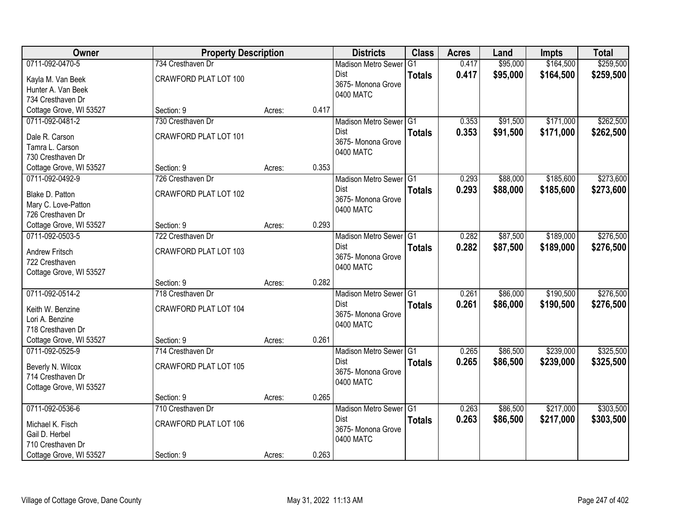| Owner                                                                       | <b>Property Description</b>                |        |       | <b>Districts</b>                                                                    | <b>Class</b>  | <b>Acres</b>   | Land                 | <b>Impts</b>           | <b>Total</b>           |
|-----------------------------------------------------------------------------|--------------------------------------------|--------|-------|-------------------------------------------------------------------------------------|---------------|----------------|----------------------|------------------------|------------------------|
| 0711-092-0470-5                                                             | 734 Cresthaven Dr                          |        |       | <b>Madison Metro Sewer</b>                                                          | G1            | 0.417          | \$95,000             | \$164,500              | \$259,500              |
| Kayla M. Van Beek<br>Hunter A. Van Beek<br>734 Cresthaven Dr                | CRAWFORD PLAT LOT 100                      |        |       | Dist<br>3675- Monona Grove<br>0400 MATC                                             | <b>Totals</b> | 0.417          | \$95,000             | \$164,500              | \$259,500              |
| Cottage Grove, WI 53527                                                     | Section: 9                                 | Acres: | 0.417 |                                                                                     |               |                |                      |                        |                        |
| 0711-092-0481-2                                                             | 730 Cresthaven Dr                          |        |       | Madison Metro Sewer G1                                                              |               | 0.353          | \$91,500             | \$171,000              | \$262,500              |
| Dale R. Carson<br>Tamra L. Carson<br>730 Cresthaven Dr                      | CRAWFORD PLAT LOT 101                      |        |       | Dist<br>3675- Monona Grove<br>0400 MATC                                             | <b>Totals</b> | 0.353          | \$91,500             | \$171,000              | \$262,500              |
| Cottage Grove, WI 53527                                                     | Section: 9                                 | Acres: | 0.353 |                                                                                     |               |                |                      |                        |                        |
| 0711-092-0492-9                                                             | 726 Cresthaven Dr                          |        |       | Madison Metro Sewer G1                                                              |               | 0.293          | \$88,000             | \$185,600              | \$273,600              |
| Blake D. Patton<br>Mary C. Love-Patton<br>726 Cresthaven Dr                 | CRAWFORD PLAT LOT 102                      |        |       | <b>Dist</b><br>3675- Monona Grove<br>0400 MATC                                      | <b>Totals</b> | 0.293          | \$88,000             | \$185,600              | \$273,600              |
| Cottage Grove, WI 53527                                                     | Section: 9                                 | Acres: | 0.293 |                                                                                     |               |                |                      |                        |                        |
| 0711-092-0503-5                                                             | 722 Cresthaven Dr                          |        |       | Madison Metro Sewer G1                                                              |               | 0.282          | \$87,500             | \$189,000              | \$276,500              |
| Andrew Fritsch<br>722 Cresthaven<br>Cottage Grove, WI 53527                 | CRAWFORD PLAT LOT 103                      |        |       | Dist<br>3675- Monona Grove<br>0400 MATC                                             | <b>Totals</b> | 0.282          | \$87,500             | \$189,000              | \$276,500              |
|                                                                             | Section: 9                                 | Acres: | 0.282 |                                                                                     |               |                |                      |                        |                        |
| 0711-092-0514-2<br>Keith W. Benzine<br>Lori A. Benzine<br>718 Cresthaven Dr | 718 Cresthaven Dr<br>CRAWFORD PLAT LOT 104 |        |       | Madison Metro Sewer <sup>G1</sup><br><b>Dist</b><br>3675- Monona Grove<br>0400 MATC | <b>Totals</b> | 0.261<br>0.261 | \$86,000<br>\$86,000 | \$190,500<br>\$190,500 | \$276,500<br>\$276,500 |
| Cottage Grove, WI 53527                                                     | Section: 9                                 | Acres: | 0.261 |                                                                                     |               |                |                      |                        |                        |
| 0711-092-0525-9                                                             | 714 Cresthaven Dr                          |        |       | Madison Metro Sewer G1                                                              |               | 0.265          | \$86,500             | \$239,000              | \$325,500              |
| Beverly N. Wilcox<br>714 Cresthaven Dr<br>Cottage Grove, WI 53527           | CRAWFORD PLAT LOT 105                      |        |       | Dist<br>3675- Monona Grove<br>0400 MATC                                             | <b>Totals</b> | 0.265          | \$86,500             | \$239,000              | \$325,500              |
|                                                                             | Section: 9                                 | Acres: | 0.265 |                                                                                     |               |                |                      |                        |                        |
| 0711-092-0536-6                                                             | 710 Cresthaven Dr                          |        |       | Madison Metro Sewer G1                                                              |               | 0.263          | \$86,500             | \$217,000              | \$303,500              |
| Michael K. Fisch<br>Gail D. Herbel<br>710 Cresthaven Dr                     | CRAWFORD PLAT LOT 106                      |        |       | <b>Dist</b><br>3675-Monona Grove<br>0400 MATC                                       | <b>Totals</b> | 0.263          | \$86,500             | \$217,000              | \$303,500              |
| Cottage Grove, WI 53527                                                     | Section: 9                                 | Acres: | 0.263 |                                                                                     |               |                |                      |                        |                        |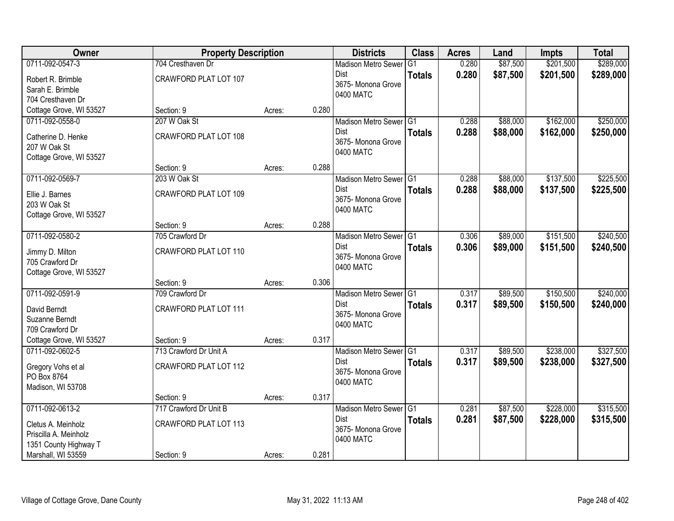| Owner                   | <b>Property Description</b>  |        |       | <b>Districts</b>           | <b>Class</b>  | <b>Acres</b> | Land     | <b>Impts</b> | <b>Total</b> |
|-------------------------|------------------------------|--------|-------|----------------------------|---------------|--------------|----------|--------------|--------------|
| 0711-092-0547-3         | 704 Cresthaven Dr            |        |       | <b>Madison Metro Sewer</b> | G1            | 0.280        | \$87,500 | \$201,500    | \$289,000    |
| Robert R. Brimble       | CRAWFORD PLAT LOT 107        |        |       | Dist                       | <b>Totals</b> | 0.280        | \$87,500 | \$201,500    | \$289,000    |
| Sarah E. Brimble        |                              |        |       | 3675- Monona Grove         |               |              |          |              |              |
| 704 Cresthaven Dr       |                              |        |       | 0400 MATC                  |               |              |          |              |              |
| Cottage Grove, WI 53527 | Section: 9                   | Acres: | 0.280 |                            |               |              |          |              |              |
| 0711-092-0558-0         | 207 W Oak St                 |        |       | Madison Metro Sewer G1     |               | 0.288        | \$88,000 | \$162,000    | \$250,000    |
| Catherine D. Henke      | CRAWFORD PLAT LOT 108        |        |       | <b>Dist</b>                | <b>Totals</b> | 0.288        | \$88,000 | \$162,000    | \$250,000    |
| 207 W Oak St            |                              |        |       | 3675- Monona Grove         |               |              |          |              |              |
| Cottage Grove, WI 53527 |                              |        |       | 0400 MATC                  |               |              |          |              |              |
|                         | Section: 9                   | Acres: | 0.288 |                            |               |              |          |              |              |
| 0711-092-0569-7         | 203 W Oak St                 |        |       | Madison Metro Sewer G1     |               | 0.288        | \$88,000 | \$137,500    | \$225,500    |
| Ellie J. Barnes         | CRAWFORD PLAT LOT 109        |        |       | Dist                       | <b>Totals</b> | 0.288        | \$88,000 | \$137,500    | \$225,500    |
| 203 W Oak St            |                              |        |       | 3675- Monona Grove         |               |              |          |              |              |
| Cottage Grove, WI 53527 |                              |        |       | 0400 MATC                  |               |              |          |              |              |
|                         | Section: 9                   | Acres: | 0.288 |                            |               |              |          |              |              |
| 0711-092-0580-2         | 705 Crawford Dr              |        |       | Madison Metro Sewer G1     |               | 0.306        | \$89,000 | \$151,500    | \$240,500    |
| Jimmy D. Milton         | CRAWFORD PLAT LOT 110        |        |       | Dist                       | <b>Totals</b> | 0.306        | \$89,000 | \$151,500    | \$240,500    |
| 705 Crawford Dr         |                              |        |       | 3675- Monona Grove         |               |              |          |              |              |
| Cottage Grove, WI 53527 |                              |        |       | 0400 MATC                  |               |              |          |              |              |
|                         | Section: 9                   | Acres: | 0.306 |                            |               |              |          |              |              |
| 0711-092-0591-9         | 709 Crawford Dr              |        |       | Madison Metro Sewer G1     |               | 0.317        | \$89,500 | \$150,500    | \$240,000    |
| David Berndt            | <b>CRAWFORD PLAT LOT 111</b> |        |       | <b>Dist</b>                | <b>Totals</b> | 0.317        | \$89,500 | \$150,500    | \$240,000    |
| Suzanne Berndt          |                              |        |       | 3675- Monona Grove         |               |              |          |              |              |
| 709 Crawford Dr         |                              |        |       | 0400 MATC                  |               |              |          |              |              |
| Cottage Grove, WI 53527 | Section: 9                   | Acres: | 0.317 |                            |               |              |          |              |              |
| 0711-092-0602-5         | 713 Crawford Dr Unit A       |        |       | Madison Metro Sewer G1     |               | 0.317        | \$89,500 | \$238,000    | \$327,500    |
| Gregory Vohs et al      | CRAWFORD PLAT LOT 112        |        |       | Dist                       | <b>Totals</b> | 0.317        | \$89,500 | \$238,000    | \$327,500    |
| PO Box 8764             |                              |        |       | 3675- Monona Grove         |               |              |          |              |              |
| Madison, WI 53708       |                              |        |       | 0400 MATC                  |               |              |          |              |              |
|                         | Section: 9                   | Acres: | 0.317 |                            |               |              |          |              |              |
| 0711-092-0613-2         | 717 Crawford Dr Unit B       |        |       | Madison Metro Sewer G1     |               | 0.281        | \$87,500 | \$228,000    | \$315,500    |
| Cletus A. Meinholz      | <b>CRAWFORD PLAT LOT 113</b> |        |       | <b>Dist</b>                | <b>Totals</b> | 0.281        | \$87,500 | \$228,000    | \$315,500    |
| Priscilla A. Meinholz   |                              |        |       | 3675- Monona Grove         |               |              |          |              |              |
| 1351 County Highway T   |                              |        |       | 0400 MATC                  |               |              |          |              |              |
| Marshall, WI 53559      | Section: 9                   | Acres: | 0.281 |                            |               |              |          |              |              |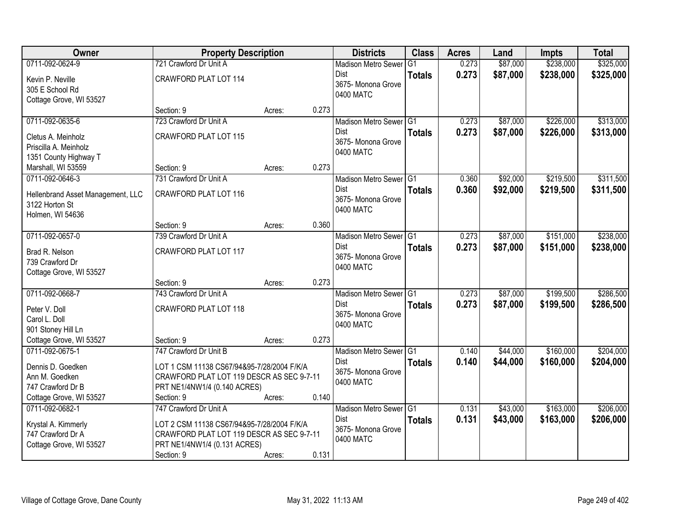| <b>Owner</b>                                  | <b>Property Description</b>                |        |       | <b>Districts</b>           | <b>Class</b>  | <b>Acres</b> | Land     | <b>Impts</b> | <b>Total</b> |
|-----------------------------------------------|--------------------------------------------|--------|-------|----------------------------|---------------|--------------|----------|--------------|--------------|
| 0711-092-0624-9                               | 721 Crawford Dr Unit A                     |        |       | <b>Madison Metro Sewer</b> | G1            | 0.273        | \$87,000 | \$238,000    | \$325,000    |
| Kevin P. Neville                              | CRAWFORD PLAT LOT 114                      |        |       | Dist                       | <b>Totals</b> | 0.273        | \$87,000 | \$238,000    | \$325,000    |
| 305 E School Rd                               |                                            |        |       | 3675-Monona Grove          |               |              |          |              |              |
| Cottage Grove, WI 53527                       |                                            |        |       | 0400 MATC                  |               |              |          |              |              |
|                                               | Section: 9                                 | Acres: | 0.273 |                            |               |              |          |              |              |
| 0711-092-0635-6                               | 723 Crawford Dr Unit A                     |        |       | Madison Metro Sewer G1     |               | 0.273        | \$87,000 | \$226,000    | \$313,000    |
| Cletus A. Meinholz                            | CRAWFORD PLAT LOT 115                      |        |       | Dist                       | <b>Totals</b> | 0.273        | \$87,000 | \$226,000    | \$313,000    |
| Priscilla A. Meinholz                         |                                            |        |       | 3675- Monona Grove         |               |              |          |              |              |
| 1351 County Highway T                         |                                            |        |       | 0400 MATC                  |               |              |          |              |              |
| Marshall, WI 53559                            | Section: 9                                 | Acres: | 0.273 |                            |               |              |          |              |              |
| 0711-092-0646-3                               | 731 Crawford Dr Unit A                     |        |       | Madison Metro Sewer G1     |               | 0.360        | \$92,000 | \$219,500    | \$311,500    |
| Hellenbrand Asset Management, LLC             | CRAWFORD PLAT LOT 116                      |        |       | <b>Dist</b>                | <b>Totals</b> | 0.360        | \$92,000 | \$219,500    | \$311,500    |
| 3122 Horton St                                |                                            |        |       | 3675- Monona Grove         |               |              |          |              |              |
| Holmen, WI 54636                              |                                            |        |       | 0400 MATC                  |               |              |          |              |              |
|                                               | Section: 9                                 | Acres: | 0.360 |                            |               |              |          |              |              |
| 0711-092-0657-0                               | 739 Crawford Dr Unit A                     |        |       | Madison Metro Sewer G1     |               | 0.273        | \$87,000 | \$151,000    | \$238,000    |
| Brad R. Nelson                                | CRAWFORD PLAT LOT 117                      |        |       | <b>Dist</b>                | <b>Totals</b> | 0.273        | \$87,000 | \$151,000    | \$238,000    |
| 739 Crawford Dr                               |                                            |        |       | 3675- Monona Grove         |               |              |          |              |              |
| Cottage Grove, WI 53527                       |                                            |        |       | 0400 MATC                  |               |              |          |              |              |
|                                               | Section: 9                                 | Acres: | 0.273 |                            |               |              |          |              |              |
| 0711-092-0668-7                               | 743 Crawford Dr Unit A                     |        |       | Madison Metro Sewer G1     |               | 0.273        | \$87,000 | \$199,500    | \$286,500    |
|                                               |                                            |        |       | <b>Dist</b>                | <b>Totals</b> | 0.273        | \$87,000 | \$199,500    | \$286,500    |
| Peter V. Doll                                 | CRAWFORD PLAT LOT 118                      |        |       | 3675- Monona Grove         |               |              |          |              |              |
| Carol L. Doll                                 |                                            |        |       | 0400 MATC                  |               |              |          |              |              |
| 901 Stoney Hill Ln<br>Cottage Grove, WI 53527 | Section: 9                                 | Acres: | 0.273 |                            |               |              |          |              |              |
| 0711-092-0675-1                               | 747 Crawford Dr Unit B                     |        |       | Madison Metro Sewer G1     |               | 0.140        | \$44,000 | \$160,000    | \$204,000    |
|                                               |                                            |        |       | <b>Dist</b>                | <b>Totals</b> | 0.140        | \$44,000 | \$160,000    | \$204,000    |
| Dennis D. Goedken                             | LOT 1 CSM 11138 CS67/94&95-7/28/2004 F/K/A |        |       | 3675- Monona Grove         |               |              |          |              |              |
| Ann M. Goedken                                | CRAWFORD PLAT LOT 119 DESCR AS SEC 9-7-11  |        |       | 0400 MATC                  |               |              |          |              |              |
| 747 Crawford Dr B                             | PRT NE1/4NW1/4 (0.140 ACRES)               |        |       |                            |               |              |          |              |              |
| Cottage Grove, WI 53527                       | Section: 9                                 | Acres: | 0.140 |                            |               |              |          |              |              |
| 0711-092-0682-1                               | 747 Crawford Dr Unit A                     |        |       | Madison Metro Sewer G1     |               | 0.131        | \$43,000 | \$163,000    | \$206,000    |
| Krystal A. Kimmerly                           | LOT 2 CSM 11138 CS67/94&95-7/28/2004 F/K/A |        |       | Dist                       | <b>Totals</b> | 0.131        | \$43,000 | \$163,000    | \$206,000    |
| 747 Crawford Dr A                             | CRAWFORD PLAT LOT 119 DESCR AS SEC 9-7-11  |        |       | 3675- Monona Grove         |               |              |          |              |              |
| Cottage Grove, WI 53527                       | PRT NE1/4NW1/4 (0.131 ACRES)               |        |       | 0400 MATC                  |               |              |          |              |              |
|                                               | Section: 9                                 | Acres: | 0.131 |                            |               |              |          |              |              |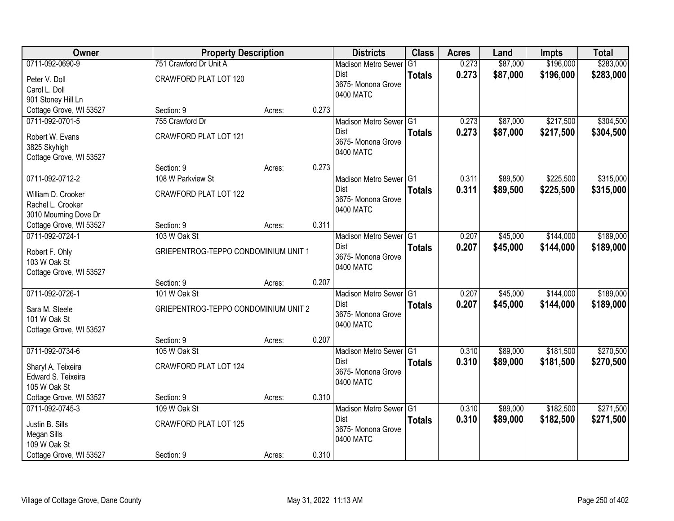| \$196,000<br>0711-092-0690-9<br>751 Crawford Dr Unit A<br>0.273<br>\$87,000<br><b>Madison Metro Sewer</b><br>G <sub>1</sub><br>0.273<br>\$87,000<br>\$196,000<br>Dist<br><b>Totals</b><br>CRAWFORD PLAT LOT 120<br>Peter V. Doll<br>3675- Monona Grove<br>Carol L. Doll<br>0400 MATC<br>901 Stoney Hill Ln<br>Cottage Grove, WI 53527<br>Section: 9<br>0.273<br>Acres:<br>0711-092-0701-5<br>\$87,000<br>\$217,500<br>755 Crawford Dr<br>Madison Metro Sewer G1<br>0.273<br>0.273<br><b>Dist</b><br>\$87,000<br>\$217,500<br><b>Totals</b><br>CRAWFORD PLAT LOT 121<br>Robert W. Evans<br>3675- Monona Grove<br>3825 Skyhigh<br>0400 MATC<br>Cottage Grove, WI 53527<br>0.273<br>Section: 9<br>Acres:<br>0711-092-0712-2<br>\$225,500<br>108 W Parkview St<br>Madison Metro Sewer G1<br>0.311<br>\$89,500<br><b>Dist</b><br>\$89,500<br>\$225,500<br>0.311<br><b>Totals</b><br>CRAWFORD PLAT LOT 122<br>William D. Crooker<br>3675-Monona Grove<br>Rachel L. Crooker<br>0400 MATC<br>3010 Mourning Dove Dr<br>0.311<br>Cottage Grove, WI 53527<br>Section: 9<br>Acres:<br>0711-092-0724-1<br>\$45,000<br>\$144,000<br>103 W Oak St<br>Madison Metro Sewer G1<br>0.207 | Owner | <b>Property Description</b> |  | <b>Districts</b> | <b>Class</b>  | <b>Acres</b> | Land     | <b>Impts</b> | <b>Total</b> |
|-----------------------------------------------------------------------------------------------------------------------------------------------------------------------------------------------------------------------------------------------------------------------------------------------------------------------------------------------------------------------------------------------------------------------------------------------------------------------------------------------------------------------------------------------------------------------------------------------------------------------------------------------------------------------------------------------------------------------------------------------------------------------------------------------------------------------------------------------------------------------------------------------------------------------------------------------------------------------------------------------------------------------------------------------------------------------------------------------------------------------------------------------------------------------|-------|-----------------------------|--|------------------|---------------|--------------|----------|--------------|--------------|
| \$283,000<br>\$304,500<br>\$304,500<br>\$315,000<br>\$315,000<br>\$189,000                                                                                                                                                                                                                                                                                                                                                                                                                                                                                                                                                                                                                                                                                                                                                                                                                                                                                                                                                                                                                                                                                            |       |                             |  |                  |               |              |          |              | \$283,000    |
|                                                                                                                                                                                                                                                                                                                                                                                                                                                                                                                                                                                                                                                                                                                                                                                                                                                                                                                                                                                                                                                                                                                                                                       |       |                             |  |                  |               |              |          |              |              |
|                                                                                                                                                                                                                                                                                                                                                                                                                                                                                                                                                                                                                                                                                                                                                                                                                                                                                                                                                                                                                                                                                                                                                                       |       |                             |  |                  |               |              |          |              |              |
|                                                                                                                                                                                                                                                                                                                                                                                                                                                                                                                                                                                                                                                                                                                                                                                                                                                                                                                                                                                                                                                                                                                                                                       |       |                             |  |                  |               |              |          |              |              |
|                                                                                                                                                                                                                                                                                                                                                                                                                                                                                                                                                                                                                                                                                                                                                                                                                                                                                                                                                                                                                                                                                                                                                                       |       |                             |  |                  |               |              |          |              |              |
|                                                                                                                                                                                                                                                                                                                                                                                                                                                                                                                                                                                                                                                                                                                                                                                                                                                                                                                                                                                                                                                                                                                                                                       |       |                             |  |                  |               |              |          |              |              |
|                                                                                                                                                                                                                                                                                                                                                                                                                                                                                                                                                                                                                                                                                                                                                                                                                                                                                                                                                                                                                                                                                                                                                                       |       |                             |  |                  |               |              |          |              |              |
|                                                                                                                                                                                                                                                                                                                                                                                                                                                                                                                                                                                                                                                                                                                                                                                                                                                                                                                                                                                                                                                                                                                                                                       |       |                             |  |                  |               |              |          |              |              |
|                                                                                                                                                                                                                                                                                                                                                                                                                                                                                                                                                                                                                                                                                                                                                                                                                                                                                                                                                                                                                                                                                                                                                                       |       |                             |  |                  |               |              |          |              |              |
|                                                                                                                                                                                                                                                                                                                                                                                                                                                                                                                                                                                                                                                                                                                                                                                                                                                                                                                                                                                                                                                                                                                                                                       |       |                             |  |                  |               |              |          |              |              |
|                                                                                                                                                                                                                                                                                                                                                                                                                                                                                                                                                                                                                                                                                                                                                                                                                                                                                                                                                                                                                                                                                                                                                                       |       |                             |  |                  |               |              |          |              |              |
|                                                                                                                                                                                                                                                                                                                                                                                                                                                                                                                                                                                                                                                                                                                                                                                                                                                                                                                                                                                                                                                                                                                                                                       |       |                             |  |                  |               |              |          |              |              |
|                                                                                                                                                                                                                                                                                                                                                                                                                                                                                                                                                                                                                                                                                                                                                                                                                                                                                                                                                                                                                                                                                                                                                                       |       |                             |  |                  |               |              |          |              |              |
|                                                                                                                                                                                                                                                                                                                                                                                                                                                                                                                                                                                                                                                                                                                                                                                                                                                                                                                                                                                                                                                                                                                                                                       |       |                             |  |                  |               |              |          |              |              |
|                                                                                                                                                                                                                                                                                                                                                                                                                                                                                                                                                                                                                                                                                                                                                                                                                                                                                                                                                                                                                                                                                                                                                                       |       |                             |  |                  |               |              |          |              |              |
|                                                                                                                                                                                                                                                                                                                                                                                                                                                                                                                                                                                                                                                                                                                                                                                                                                                                                                                                                                                                                                                                                                                                                                       |       |                             |  |                  |               |              |          |              |              |
|                                                                                                                                                                                                                                                                                                                                                                                                                                                                                                                                                                                                                                                                                                                                                                                                                                                                                                                                                                                                                                                                                                                                                                       |       |                             |  |                  |               |              |          |              |              |
| Robert F. Ohly<br>GRIEPENTROG-TEPPO CONDOMINIUM UNIT 1<br>3675- Monona Grove                                                                                                                                                                                                                                                                                                                                                                                                                                                                                                                                                                                                                                                                                                                                                                                                                                                                                                                                                                                                                                                                                          |       |                             |  | <b>Dist</b>      | <b>Totals</b> | 0.207        | \$45,000 | \$144,000    | \$189,000    |
| 103 W Oak St<br>0400 MATC                                                                                                                                                                                                                                                                                                                                                                                                                                                                                                                                                                                                                                                                                                                                                                                                                                                                                                                                                                                                                                                                                                                                             |       |                             |  |                  |               |              |          |              |              |
| Cottage Grove, WI 53527                                                                                                                                                                                                                                                                                                                                                                                                                                                                                                                                                                                                                                                                                                                                                                                                                                                                                                                                                                                                                                                                                                                                               |       |                             |  |                  |               |              |          |              |              |
| 0.207<br>Section: 9<br>Acres:                                                                                                                                                                                                                                                                                                                                                                                                                                                                                                                                                                                                                                                                                                                                                                                                                                                                                                                                                                                                                                                                                                                                         |       |                             |  |                  |               |              |          |              |              |
| 101 W Oak St<br>\$189,000<br>0711-092-0726-1<br>Madison Metro Sewer <sup>1</sup> G1<br>0.207<br>\$45,000<br>\$144,000                                                                                                                                                                                                                                                                                                                                                                                                                                                                                                                                                                                                                                                                                                                                                                                                                                                                                                                                                                                                                                                 |       |                             |  |                  |               |              |          |              |              |
| 0.207<br><b>Dist</b><br>\$45,000<br>\$144,000<br>\$189,000<br><b>Totals</b><br>GRIEPENTROG-TEPPO CONDOMINIUM UNIT 2<br>Sara M. Steele                                                                                                                                                                                                                                                                                                                                                                                                                                                                                                                                                                                                                                                                                                                                                                                                                                                                                                                                                                                                                                 |       |                             |  |                  |               |              |          |              |              |
| 3675- Monona Grove<br>101 W Oak St                                                                                                                                                                                                                                                                                                                                                                                                                                                                                                                                                                                                                                                                                                                                                                                                                                                                                                                                                                                                                                                                                                                                    |       |                             |  |                  |               |              |          |              |              |
| 0400 MATC<br>Cottage Grove, WI 53527                                                                                                                                                                                                                                                                                                                                                                                                                                                                                                                                                                                                                                                                                                                                                                                                                                                                                                                                                                                                                                                                                                                                  |       |                             |  |                  |               |              |          |              |              |
| 0.207<br>Section: 9<br>Acres:                                                                                                                                                                                                                                                                                                                                                                                                                                                                                                                                                                                                                                                                                                                                                                                                                                                                                                                                                                                                                                                                                                                                         |       |                             |  |                  |               |              |          |              |              |
| 0711-092-0734-6<br>\$181,500<br>105 W Oak St<br>Madison Metro Sewer G1<br>0.310<br>\$89,000                                                                                                                                                                                                                                                                                                                                                                                                                                                                                                                                                                                                                                                                                                                                                                                                                                                                                                                                                                                                                                                                           |       |                             |  |                  |               |              |          |              | \$270,500    |
| Dist<br>0.310<br>\$89,000<br>\$181,500<br>\$270,500<br><b>Totals</b><br>CRAWFORD PLAT LOT 124<br>Sharyl A. Teixeira                                                                                                                                                                                                                                                                                                                                                                                                                                                                                                                                                                                                                                                                                                                                                                                                                                                                                                                                                                                                                                                   |       |                             |  |                  |               |              |          |              |              |
| 3675- Monona Grove<br>Edward S. Teixeira                                                                                                                                                                                                                                                                                                                                                                                                                                                                                                                                                                                                                                                                                                                                                                                                                                                                                                                                                                                                                                                                                                                              |       |                             |  |                  |               |              |          |              |              |
| 0400 MATC<br>105 W Oak St                                                                                                                                                                                                                                                                                                                                                                                                                                                                                                                                                                                                                                                                                                                                                                                                                                                                                                                                                                                                                                                                                                                                             |       |                             |  |                  |               |              |          |              |              |
| Cottage Grove, WI 53527<br>0.310<br>Section: 9<br>Acres:                                                                                                                                                                                                                                                                                                                                                                                                                                                                                                                                                                                                                                                                                                                                                                                                                                                                                                                                                                                                                                                                                                              |       |                             |  |                  |               |              |          |              |              |
| 0711-092-0745-3<br>109 W Oak St<br>\$89,000<br>\$182,500<br>\$271,500<br>Madison Metro Sewer G1<br>0.310                                                                                                                                                                                                                                                                                                                                                                                                                                                                                                                                                                                                                                                                                                                                                                                                                                                                                                                                                                                                                                                              |       |                             |  |                  |               |              |          |              |              |
| <b>Dist</b><br>0.310<br>\$89,000<br>\$182,500<br>\$271,500<br><b>Totals</b>                                                                                                                                                                                                                                                                                                                                                                                                                                                                                                                                                                                                                                                                                                                                                                                                                                                                                                                                                                                                                                                                                           |       |                             |  |                  |               |              |          |              |              |
| <b>CRAWFORD PLAT LOT 125</b><br>Justin B. Sills<br>3675-Monona Grove<br>Megan Sills                                                                                                                                                                                                                                                                                                                                                                                                                                                                                                                                                                                                                                                                                                                                                                                                                                                                                                                                                                                                                                                                                   |       |                             |  |                  |               |              |          |              |              |
| 0400 MATC<br>109 W Oak St                                                                                                                                                                                                                                                                                                                                                                                                                                                                                                                                                                                                                                                                                                                                                                                                                                                                                                                                                                                                                                                                                                                                             |       |                             |  |                  |               |              |          |              |              |
| 0.310<br>Cottage Grove, WI 53527<br>Section: 9<br>Acres:                                                                                                                                                                                                                                                                                                                                                                                                                                                                                                                                                                                                                                                                                                                                                                                                                                                                                                                                                                                                                                                                                                              |       |                             |  |                  |               |              |          |              |              |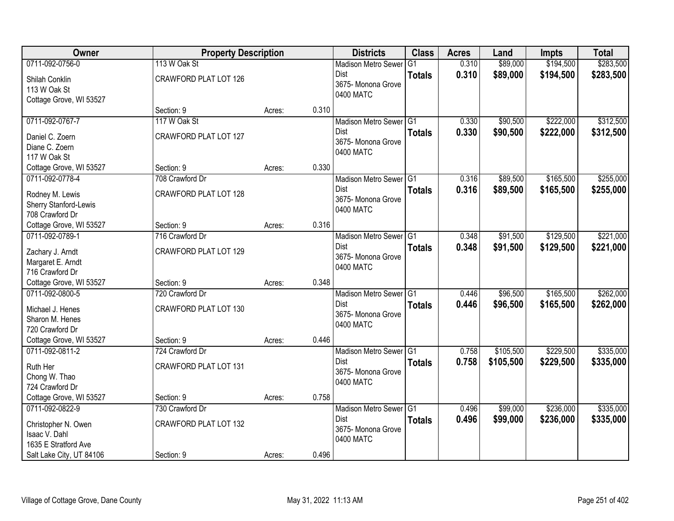| Owner                    | <b>Property Description</b> |        |       | <b>Districts</b>           | <b>Class</b>  | <b>Acres</b> | Land      | <b>Impts</b> | <b>Total</b> |
|--------------------------|-----------------------------|--------|-------|----------------------------|---------------|--------------|-----------|--------------|--------------|
| 0711-092-0756-0          | 113 W Oak St                |        |       | <b>Madison Metro Sewer</b> | G1            | 0.310        | \$89,000  | \$194,500    | \$283,500    |
| Shilah Conklin           | CRAWFORD PLAT LOT 126       |        |       | Dist                       | <b>Totals</b> | 0.310        | \$89,000  | \$194,500    | \$283,500    |
| 113 W Oak St             |                             |        |       | 3675- Monona Grove         |               |              |           |              |              |
| Cottage Grove, WI 53527  |                             |        |       | 0400 MATC                  |               |              |           |              |              |
|                          | Section: 9                  | Acres: | 0.310 |                            |               |              |           |              |              |
| 0711-092-0767-7          | 117 W Oak St                |        |       | Madison Metro Sewer G1     |               | 0.330        | \$90,500  | \$222,000    | \$312,500    |
| Daniel C. Zoern          | CRAWFORD PLAT LOT 127       |        |       | Dist                       | <b>Totals</b> | 0.330        | \$90,500  | \$222,000    | \$312,500    |
| Diane C. Zoern           |                             |        |       | 3675- Monona Grove         |               |              |           |              |              |
| 117 W Oak St             |                             |        |       | 0400 MATC                  |               |              |           |              |              |
| Cottage Grove, WI 53527  | Section: 9                  | Acres: | 0.330 |                            |               |              |           |              |              |
| 0711-092-0778-4          | 708 Crawford Dr             |        |       | Madison Metro Sewer G1     |               | 0.316        | \$89,500  | \$165,500    | \$255,000    |
| Rodney M. Lewis          | CRAWFORD PLAT LOT 128       |        |       | <b>Dist</b>                | <b>Totals</b> | 0.316        | \$89,500  | \$165,500    | \$255,000    |
| Sherry Stanford-Lewis    |                             |        |       | 3675- Monona Grove         |               |              |           |              |              |
| 708 Crawford Dr          |                             |        |       | 0400 MATC                  |               |              |           |              |              |
| Cottage Grove, WI 53527  | Section: 9                  | Acres: | 0.316 |                            |               |              |           |              |              |
| 0711-092-0789-1          | 716 Crawford Dr             |        |       | Madison Metro Sewer G1     |               | 0.348        | \$91,500  | \$129,500    | \$221,000    |
| Zachary J. Arndt         | CRAWFORD PLAT LOT 129       |        |       | <b>Dist</b>                | <b>Totals</b> | 0.348        | \$91,500  | \$129,500    | \$221,000    |
| Margaret E. Arndt        |                             |        |       | 3675- Monona Grove         |               |              |           |              |              |
| 716 Crawford Dr          |                             |        |       | 0400 MATC                  |               |              |           |              |              |
| Cottage Grove, WI 53527  | Section: 9                  | Acres: | 0.348 |                            |               |              |           |              |              |
| 0711-092-0800-5          | 720 Crawford Dr             |        |       | Madison Metro Sewer G1     |               | 0.446        | \$96,500  | \$165,500    | \$262,000    |
| Michael J. Henes         | CRAWFORD PLAT LOT 130       |        |       | <b>Dist</b>                | <b>Totals</b> | 0.446        | \$96,500  | \$165,500    | \$262,000    |
| Sharon M. Henes          |                             |        |       | 3675- Monona Grove         |               |              |           |              |              |
| 720 Crawford Dr          |                             |        |       | 0400 MATC                  |               |              |           |              |              |
| Cottage Grove, WI 53527  | Section: 9                  | Acres: | 0.446 |                            |               |              |           |              |              |
| 0711-092-0811-2          | 724 Crawford Dr             |        |       | Madison Metro Sewer G1     |               | 0.758        | \$105,500 | \$229,500    | \$335,000    |
| Ruth Her                 | CRAWFORD PLAT LOT 131       |        |       | <b>Dist</b>                | <b>Totals</b> | 0.758        | \$105,500 | \$229,500    | \$335,000    |
| Chong W. Thao            |                             |        |       | 3675- Monona Grove         |               |              |           |              |              |
| 724 Crawford Dr          |                             |        |       | 0400 MATC                  |               |              |           |              |              |
| Cottage Grove, WI 53527  | Section: 9                  | Acres: | 0.758 |                            |               |              |           |              |              |
| 0711-092-0822-9          | 730 Crawford Dr             |        |       | Madison Metro Sewer G1     |               | 0.496        | \$99,000  | \$236,000    | \$335,000    |
| Christopher N. Owen      | CRAWFORD PLAT LOT 132       |        |       | <b>Dist</b>                | <b>Totals</b> | 0.496        | \$99,000  | \$236,000    | \$335,000    |
| Isaac V. Dahl            |                             |        |       | 3675- Monona Grove         |               |              |           |              |              |
| 1635 E Stratford Ave     |                             |        |       | 0400 MATC                  |               |              |           |              |              |
| Salt Lake City, UT 84106 | Section: 9                  | Acres: | 0.496 |                            |               |              |           |              |              |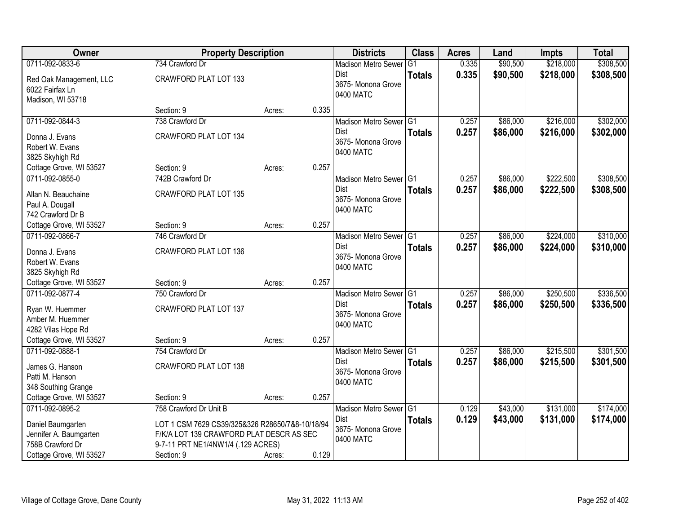| <b>Owner</b>            | <b>Property Description</b>                     |        |       | <b>Districts</b>                    | <b>Class</b>  | <b>Acres</b> | Land     | <b>Impts</b> | <b>Total</b> |
|-------------------------|-------------------------------------------------|--------|-------|-------------------------------------|---------------|--------------|----------|--------------|--------------|
| 0711-092-0833-6         | 734 Crawford Dr                                 |        |       | <b>Madison Metro Sewer</b>          | G1            | 0.335        | \$90,500 | \$218,000    | \$308,500    |
| Red Oak Management, LLC | CRAWFORD PLAT LOT 133                           |        |       | Dist                                | <b>Totals</b> | 0.335        | \$90,500 | \$218,000    | \$308,500    |
| 6022 Fairfax Ln         |                                                 |        |       | 3675-Monona Grove                   |               |              |          |              |              |
| Madison, WI 53718       |                                                 |        |       | 0400 MATC                           |               |              |          |              |              |
|                         | Section: 9                                      | Acres: | 0.335 |                                     |               |              |          |              |              |
| 0711-092-0844-3         | 738 Crawford Dr                                 |        |       | Madison Metro Sewer G1              |               | 0.257        | \$86,000 | \$216,000    | \$302,000    |
| Donna J. Evans          | CRAWFORD PLAT LOT 134                           |        |       | Dist                                | <b>Totals</b> | 0.257        | \$86,000 | \$216,000    | \$302,000    |
| Robert W. Evans         |                                                 |        |       | 3675- Monona Grove                  |               |              |          |              |              |
| 3825 Skyhigh Rd         |                                                 |        |       | 0400 MATC                           |               |              |          |              |              |
| Cottage Grove, WI 53527 | Section: 9                                      | Acres: | 0.257 |                                     |               |              |          |              |              |
| 0711-092-0855-0         | 742B Crawford Dr                                |        |       | Madison Metro Sewer G1              |               | 0.257        | \$86,000 | \$222,500    | \$308,500    |
| Allan N. Beauchaine     | <b>CRAWFORD PLAT LOT 135</b>                    |        |       | <b>Dist</b>                         | <b>Totals</b> | 0.257        | \$86,000 | \$222,500    | \$308,500    |
| Paul A. Dougall         |                                                 |        |       | 3675- Monona Grove                  |               |              |          |              |              |
| 742 Crawford Dr B       |                                                 |        |       | 0400 MATC                           |               |              |          |              |              |
| Cottage Grove, WI 53527 | Section: 9                                      | Acres: | 0.257 |                                     |               |              |          |              |              |
| 0711-092-0866-7         | 746 Crawford Dr                                 |        |       | Madison Metro Sewer G1              |               | 0.257        | \$86,000 | \$224,000    | \$310,000    |
| Donna J. Evans          | CRAWFORD PLAT LOT 136                           |        |       | Dist                                | <b>Totals</b> | 0.257        | \$86,000 | \$224,000    | \$310,000    |
| Robert W. Evans         |                                                 |        |       | 3675- Monona Grove                  |               |              |          |              |              |
| 3825 Skyhigh Rd         |                                                 |        |       | 0400 MATC                           |               |              |          |              |              |
| Cottage Grove, WI 53527 | Section: 9                                      | Acres: | 0.257 |                                     |               |              |          |              |              |
| 0711-092-0877-4         | 750 Crawford Dr                                 |        |       | Madison Metro Sewer <sup>1</sup> G1 |               | 0.257        | \$86,000 | \$250,500    | \$336,500    |
| Ryan W. Huemmer         | CRAWFORD PLAT LOT 137                           |        |       | <b>Dist</b>                         | <b>Totals</b> | 0.257        | \$86,000 | \$250,500    | \$336,500    |
| Amber M. Huemmer        |                                                 |        |       | 3675- Monona Grove                  |               |              |          |              |              |
| 4282 Vilas Hope Rd      |                                                 |        |       | 0400 MATC                           |               |              |          |              |              |
| Cottage Grove, WI 53527 | Section: 9                                      | Acres: | 0.257 |                                     |               |              |          |              |              |
| 0711-092-0888-1         | 754 Crawford Dr                                 |        |       | Madison Metro Sewer G1              |               | 0.257        | \$86,000 | \$215,500    | \$301,500    |
| James G. Hanson         | CRAWFORD PLAT LOT 138                           |        |       | <b>Dist</b>                         | <b>Totals</b> | 0.257        | \$86,000 | \$215,500    | \$301,500    |
| Patti M. Hanson         |                                                 |        |       | 3675- Monona Grove                  |               |              |          |              |              |
| 348 Southing Grange     |                                                 |        |       | 0400 MATC                           |               |              |          |              |              |
| Cottage Grove, WI 53527 | Section: 9                                      | Acres: | 0.257 |                                     |               |              |          |              |              |
| 0711-092-0895-2         | 758 Crawford Dr Unit B                          |        |       | Madison Metro Sewer G1              |               | 0.129        | \$43,000 | \$131,000    | \$174,000    |
| Daniel Baumgarten       | LOT 1 CSM 7629 CS39/325&326 R28650/7&8-10/18/94 |        |       | Dist                                | <b>Totals</b> | 0.129        | \$43,000 | \$131,000    | \$174,000    |
| Jennifer A. Baumgarten  | F/K/A LOT 139 CRAWFORD PLAT DESCR AS SEC        |        |       | 3675- Monona Grove                  |               |              |          |              |              |
| 758B Crawford Dr        | 9-7-11 PRT NE1/4NW1/4 (.129 ACRES)              |        |       | 0400 MATC                           |               |              |          |              |              |
| Cottage Grove, WI 53527 | Section: 9                                      | Acres: | 0.129 |                                     |               |              |          |              |              |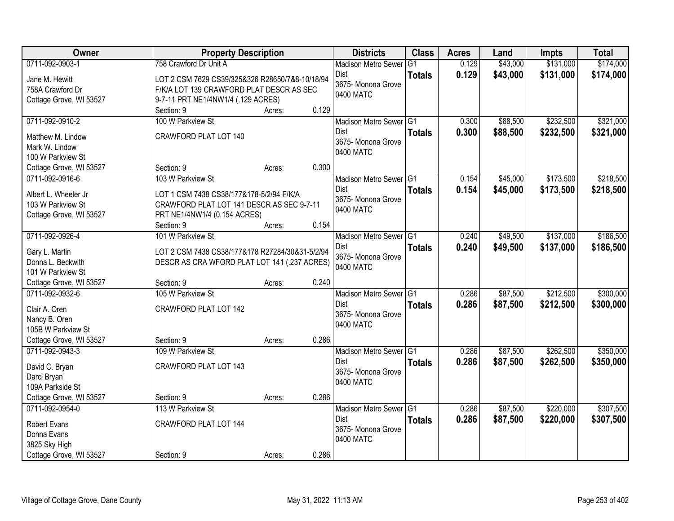| Owner                                                                                   | <b>Property Description</b>                                                                                                       |                 | <b>Districts</b>                                                         | <b>Class</b>   | <b>Acres</b>   | Land                 | <b>Impts</b>           | <b>Total</b>           |
|-----------------------------------------------------------------------------------------|-----------------------------------------------------------------------------------------------------------------------------------|-----------------|--------------------------------------------------------------------------|----------------|----------------|----------------------|------------------------|------------------------|
| 0711-092-0903-1                                                                         | 758 Crawford Dr Unit A                                                                                                            |                 | <b>Madison Metro Sewer</b>                                               | G <sub>1</sub> | 0.129          | \$43,000             | \$131,000              | \$174,000              |
| Jane M. Hewitt<br>758A Crawford Dr<br>Cottage Grove, WI 53527                           | LOT 2 CSM 7629 CS39/325&326 R28650/7&8-10/18/94<br>F/K/A LOT 139 CRAWFORD PLAT DESCR AS SEC<br>9-7-11 PRT NE1/4NW1/4 (.129 ACRES) |                 | Dist<br>3675- Monona Grove<br>0400 MATC                                  | <b>Totals</b>  | 0.129          | \$43,000             | \$131,000              | \$174,000              |
|                                                                                         | Section: 9                                                                                                                        | 0.129<br>Acres: |                                                                          |                |                |                      |                        |                        |
| 0711-092-0910-2<br>Matthew M. Lindow                                                    | 100 W Parkview St<br>CRAWFORD PLAT LOT 140                                                                                        |                 | Madison Metro Sewer G1<br>Dist                                           | <b>Totals</b>  | 0.300<br>0.300 | \$88,500<br>\$88,500 | \$232,500<br>\$232,500 | \$321,000<br>\$321,000 |
| Mark W. Lindow<br>100 W Parkview St                                                     |                                                                                                                                   |                 | 3675- Monona Grove<br>0400 MATC                                          |                |                |                      |                        |                        |
| Cottage Grove, WI 53527                                                                 | Section: 9<br>103 W Parkview St                                                                                                   | 0.300<br>Acres: |                                                                          |                |                |                      |                        |                        |
| 0711-092-0916-6<br>Albert L. Wheeler Jr<br>103 W Parkview St<br>Cottage Grove, WI 53527 | LOT 1 CSM 7438 CS38/177&178-5/2/94 F/K/A<br>CRAWFORD PLAT LOT 141 DESCR AS SEC 9-7-11<br>PRT NE1/4NW1/4 (0.154 ACRES)             |                 | Madison Metro Sewer G1<br><b>Dist</b><br>3675- Monona Grove<br>0400 MATC | <b>Totals</b>  | 0.154<br>0.154 | \$45,000<br>\$45,000 | \$173,500<br>\$173,500 | \$218,500<br>\$218,500 |
|                                                                                         | Section: 9                                                                                                                        | 0.154<br>Acres: |                                                                          |                |                |                      |                        |                        |
| 0711-092-0926-4<br>Gary L. Martin                                                       | 101 W Parkview St<br>LOT 2 CSM 7438 CS38/177&178 R27284/30&31-5/2/94                                                              |                 | Madison Metro Sewer G1<br>Dist                                           | <b>Totals</b>  | 0.240<br>0.240 | \$49,500<br>\$49,500 | \$137,000<br>\$137,000 | \$186,500<br>\$186,500 |
| Donna L. Beckwith<br>101 W Parkview St                                                  | DESCR AS CRA WFORD PLAT LOT 141 (.237 ACRES)                                                                                      |                 | 3675- Monona Grove<br>0400 MATC                                          |                |                |                      |                        |                        |
| Cottage Grove, WI 53527                                                                 | Section: 9                                                                                                                        | 0.240<br>Acres: |                                                                          |                |                |                      |                        |                        |
| 0711-092-0932-6                                                                         | 105 W Parkview St                                                                                                                 |                 | Madison Metro Sewer <sup>G1</sup>                                        |                | 0.286          | \$87,500             | \$212,500              | \$300,000              |
| Clair A. Oren                                                                           | CRAWFORD PLAT LOT 142                                                                                                             |                 | <b>Dist</b><br>3675- Monona Grove                                        | <b>Totals</b>  | 0.286          | \$87,500             | \$212,500              | \$300,000              |
| Nancy B. Oren                                                                           |                                                                                                                                   |                 | 0400 MATC                                                                |                |                |                      |                        |                        |
| 105B W Parkview St                                                                      |                                                                                                                                   |                 |                                                                          |                |                |                      |                        |                        |
| Cottage Grove, WI 53527                                                                 | Section: 9                                                                                                                        | 0.286<br>Acres: |                                                                          |                |                |                      |                        |                        |
| 0711-092-0943-3                                                                         | 109 W Parkview St                                                                                                                 |                 | Madison Metro Sewer G1                                                   |                | 0.286          | \$87,500             | \$262,500              | \$350,000              |
| David C. Bryan                                                                          | CRAWFORD PLAT LOT 143                                                                                                             |                 | <b>Dist</b><br>3675- Monona Grove                                        | <b>Totals</b>  | 0.286          | \$87,500             | \$262,500              | \$350,000              |
| Darci Bryan                                                                             |                                                                                                                                   |                 | 0400 MATC                                                                |                |                |                      |                        |                        |
| 109A Parkside St                                                                        |                                                                                                                                   |                 |                                                                          |                |                |                      |                        |                        |
| Cottage Grove, WI 53527                                                                 | Section: 9                                                                                                                        | 0.286<br>Acres: |                                                                          |                |                |                      |                        |                        |
| 0711-092-0954-0                                                                         | 113 W Parkview St                                                                                                                 |                 | Madison Metro Sewer G1                                                   |                | 0.286          | \$87,500             | \$220,000              | \$307,500              |
| <b>Robert Evans</b>                                                                     | CRAWFORD PLAT LOT 144                                                                                                             |                 | <b>Dist</b><br>3675- Monona Grove                                        | <b>Totals</b>  | 0.286          | \$87,500             | \$220,000              | \$307,500              |
| Donna Evans                                                                             |                                                                                                                                   |                 | 0400 MATC                                                                |                |                |                      |                        |                        |
| 3825 Sky High                                                                           |                                                                                                                                   |                 |                                                                          |                |                |                      |                        |                        |
| Cottage Grove, WI 53527                                                                 | Section: 9                                                                                                                        | 0.286<br>Acres: |                                                                          |                |                |                      |                        |                        |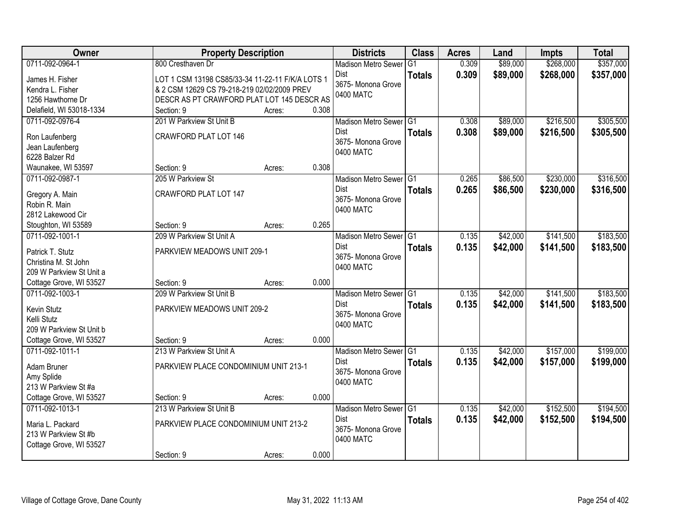| \$268,000<br>0711-092-0964-1<br>800 Cresthaven Dr<br>0.309<br>\$89,000<br><b>Madison Metro Sewer</b><br>G <sub>1</sub><br>0.309<br>\$89,000<br>\$268,000<br>Dist<br><b>Totals</b><br>James H. Fisher<br>LOT 1 CSM 13198 CS85/33-34 11-22-11 F/K/A LOTS 1<br>3675- Monona Grove<br>& 2 CSM 12629 CS 79-218-219 02/02/2009 PREV<br>Kendra L. Fisher<br>0400 MATC<br>DESCR AS PT CRAWFORD PLAT LOT 145 DESCR AS<br>1256 Hawthorne Dr<br>Delafield, WI 53018-1334<br>0.308<br>Section: 9<br>Acres:<br>201 W Parkview St Unit B<br>\$89,000<br>\$216,500<br>0711-092-0976-4<br>Madison Metro Sewer G1<br>0.308<br>0.308<br><b>Dist</b><br>\$89,000<br>\$216,500<br><b>Totals</b><br>CRAWFORD PLAT LOT 146<br>Ron Laufenberg<br>3675- Monona Grove<br>Jean Laufenberg<br>0400 MATC<br>6228 Balzer Rd<br>0.308<br>Section: 9<br>Waunakee, WI 53597<br>Acres:<br>\$230,000<br>0711-092-0987-1<br>205 W Parkview St<br>Madison Metro Sewer G1<br>0.265<br>\$86,500 | Owner | <b>Property Description</b> |  | <b>Districts</b> | <b>Class</b>  | <b>Acres</b> | Land     | Impts     | <b>Total</b> |
|-----------------------------------------------------------------------------------------------------------------------------------------------------------------------------------------------------------------------------------------------------------------------------------------------------------------------------------------------------------------------------------------------------------------------------------------------------------------------------------------------------------------------------------------------------------------------------------------------------------------------------------------------------------------------------------------------------------------------------------------------------------------------------------------------------------------------------------------------------------------------------------------------------------------------------------------------------------|-------|-----------------------------|--|------------------|---------------|--------------|----------|-----------|--------------|
|                                                                                                                                                                                                                                                                                                                                                                                                                                                                                                                                                                                                                                                                                                                                                                                                                                                                                                                                                           |       |                             |  |                  |               |              |          |           | \$357,000    |
|                                                                                                                                                                                                                                                                                                                                                                                                                                                                                                                                                                                                                                                                                                                                                                                                                                                                                                                                                           |       |                             |  |                  |               |              |          |           | \$357,000    |
|                                                                                                                                                                                                                                                                                                                                                                                                                                                                                                                                                                                                                                                                                                                                                                                                                                                                                                                                                           |       |                             |  |                  |               |              |          |           |              |
|                                                                                                                                                                                                                                                                                                                                                                                                                                                                                                                                                                                                                                                                                                                                                                                                                                                                                                                                                           |       |                             |  |                  |               |              |          |           |              |
|                                                                                                                                                                                                                                                                                                                                                                                                                                                                                                                                                                                                                                                                                                                                                                                                                                                                                                                                                           |       |                             |  |                  |               |              |          |           |              |
|                                                                                                                                                                                                                                                                                                                                                                                                                                                                                                                                                                                                                                                                                                                                                                                                                                                                                                                                                           |       |                             |  |                  |               |              |          |           | \$305,500    |
|                                                                                                                                                                                                                                                                                                                                                                                                                                                                                                                                                                                                                                                                                                                                                                                                                                                                                                                                                           |       |                             |  |                  |               |              |          |           | \$305,500    |
|                                                                                                                                                                                                                                                                                                                                                                                                                                                                                                                                                                                                                                                                                                                                                                                                                                                                                                                                                           |       |                             |  |                  |               |              |          |           |              |
|                                                                                                                                                                                                                                                                                                                                                                                                                                                                                                                                                                                                                                                                                                                                                                                                                                                                                                                                                           |       |                             |  |                  |               |              |          |           |              |
|                                                                                                                                                                                                                                                                                                                                                                                                                                                                                                                                                                                                                                                                                                                                                                                                                                                                                                                                                           |       |                             |  |                  |               |              |          |           |              |
|                                                                                                                                                                                                                                                                                                                                                                                                                                                                                                                                                                                                                                                                                                                                                                                                                                                                                                                                                           |       |                             |  |                  |               |              |          |           | \$316,500    |
|                                                                                                                                                                                                                                                                                                                                                                                                                                                                                                                                                                                                                                                                                                                                                                                                                                                                                                                                                           |       |                             |  | Dist             | <b>Totals</b> | 0.265        | \$86,500 | \$230,000 | \$316,500    |
| CRAWFORD PLAT LOT 147<br>Gregory A. Main<br>3675-Monona Grove<br>Robin R. Main                                                                                                                                                                                                                                                                                                                                                                                                                                                                                                                                                                                                                                                                                                                                                                                                                                                                            |       |                             |  |                  |               |              |          |           |              |
| 0400 MATC<br>2812 Lakewood Cir                                                                                                                                                                                                                                                                                                                                                                                                                                                                                                                                                                                                                                                                                                                                                                                                                                                                                                                            |       |                             |  |                  |               |              |          |           |              |
| 0.265<br>Section: 9<br>Stoughton, WI 53589<br>Acres:                                                                                                                                                                                                                                                                                                                                                                                                                                                                                                                                                                                                                                                                                                                                                                                                                                                                                                      |       |                             |  |                  |               |              |          |           |              |
| 209 W Parkview St Unit A<br>\$42,000<br>\$141,500<br>0711-092-1001-1<br>Madison Metro Sewer G1<br>0.135                                                                                                                                                                                                                                                                                                                                                                                                                                                                                                                                                                                                                                                                                                                                                                                                                                                   |       |                             |  |                  |               |              |          |           | \$183,500    |
| 0.135<br>Dist<br>\$42,000<br>\$141,500<br><b>Totals</b>                                                                                                                                                                                                                                                                                                                                                                                                                                                                                                                                                                                                                                                                                                                                                                                                                                                                                                   |       |                             |  |                  |               |              |          |           | \$183,500    |
| Patrick T. Stutz<br>PARKVIEW MEADOWS UNIT 209-1<br>3675- Monona Grove                                                                                                                                                                                                                                                                                                                                                                                                                                                                                                                                                                                                                                                                                                                                                                                                                                                                                     |       |                             |  |                  |               |              |          |           |              |
| Christina M. St John<br>0400 MATC                                                                                                                                                                                                                                                                                                                                                                                                                                                                                                                                                                                                                                                                                                                                                                                                                                                                                                                         |       |                             |  |                  |               |              |          |           |              |
| 209 W Parkview St Unit a                                                                                                                                                                                                                                                                                                                                                                                                                                                                                                                                                                                                                                                                                                                                                                                                                                                                                                                                  |       |                             |  |                  |               |              |          |           |              |
| 0.000<br>Cottage Grove, WI 53527<br>Section: 9<br>Acres:                                                                                                                                                                                                                                                                                                                                                                                                                                                                                                                                                                                                                                                                                                                                                                                                                                                                                                  |       |                             |  |                  |               |              |          |           |              |
| 0711-092-1003-1<br>209 W Parkview St Unit B<br>0.135<br>\$42,000<br>\$141,500<br>Madison Metro Sewer G1                                                                                                                                                                                                                                                                                                                                                                                                                                                                                                                                                                                                                                                                                                                                                                                                                                                   |       |                             |  |                  |               |              |          |           | \$183,500    |
| <b>Dist</b><br>0.135<br>\$42,000<br>\$141,500<br><b>Totals</b><br>PARKVIEW MEADOWS UNIT 209-2<br>Kevin Stutz                                                                                                                                                                                                                                                                                                                                                                                                                                                                                                                                                                                                                                                                                                                                                                                                                                              |       |                             |  |                  |               |              |          |           | \$183,500    |
| 3675- Monona Grove<br>Kelli Stutz                                                                                                                                                                                                                                                                                                                                                                                                                                                                                                                                                                                                                                                                                                                                                                                                                                                                                                                         |       |                             |  |                  |               |              |          |           |              |
| 0400 MATC<br>209 W Parkview St Unit b                                                                                                                                                                                                                                                                                                                                                                                                                                                                                                                                                                                                                                                                                                                                                                                                                                                                                                                     |       |                             |  |                  |               |              |          |           |              |
| Cottage Grove, WI 53527<br>Section: 9<br>0.000<br>Acres:                                                                                                                                                                                                                                                                                                                                                                                                                                                                                                                                                                                                                                                                                                                                                                                                                                                                                                  |       |                             |  |                  |               |              |          |           |              |
| 213 W Parkview St Unit A<br>\$157,000<br>0711-092-1011-1<br>Madison Metro Sewer G1<br>0.135<br>\$42,000                                                                                                                                                                                                                                                                                                                                                                                                                                                                                                                                                                                                                                                                                                                                                                                                                                                   |       |                             |  |                  |               |              |          |           | \$199,000    |
| 0.135<br>\$42,000<br>\$157,000<br>Dist<br><b>Totals</b><br>Adam Bruner<br>PARKVIEW PLACE CONDOMINIUM UNIT 213-1                                                                                                                                                                                                                                                                                                                                                                                                                                                                                                                                                                                                                                                                                                                                                                                                                                           |       |                             |  |                  |               |              |          |           | \$199,000    |
| 3675- Monona Grove<br>Amy Splide                                                                                                                                                                                                                                                                                                                                                                                                                                                                                                                                                                                                                                                                                                                                                                                                                                                                                                                          |       |                             |  |                  |               |              |          |           |              |
| 0400 MATC<br>213 W Parkview St #a                                                                                                                                                                                                                                                                                                                                                                                                                                                                                                                                                                                                                                                                                                                                                                                                                                                                                                                         |       |                             |  |                  |               |              |          |           |              |
| Cottage Grove, WI 53527<br>0.000<br>Section: 9<br>Acres:                                                                                                                                                                                                                                                                                                                                                                                                                                                                                                                                                                                                                                                                                                                                                                                                                                                                                                  |       |                             |  |                  |               |              |          |           |              |
| 0711-092-1013-1<br>213 W Parkview St Unit B<br>\$42,000<br>\$152,500<br>Madison Metro Sewer G1<br>0.135                                                                                                                                                                                                                                                                                                                                                                                                                                                                                                                                                                                                                                                                                                                                                                                                                                                   |       |                             |  |                  |               |              |          |           | \$194,500    |
| <b>Dist</b><br>0.135<br>\$42,000<br>\$152,500<br><b>Totals</b><br>PARKVIEW PLACE CONDOMINIUM UNIT 213-2<br>Maria L. Packard                                                                                                                                                                                                                                                                                                                                                                                                                                                                                                                                                                                                                                                                                                                                                                                                                               |       |                             |  |                  |               |              |          |           | \$194,500    |
| 3675-Monona Grove<br>213 W Parkview St #b                                                                                                                                                                                                                                                                                                                                                                                                                                                                                                                                                                                                                                                                                                                                                                                                                                                                                                                 |       |                             |  |                  |               |              |          |           |              |
| 0400 MATC<br>Cottage Grove, WI 53527                                                                                                                                                                                                                                                                                                                                                                                                                                                                                                                                                                                                                                                                                                                                                                                                                                                                                                                      |       |                             |  |                  |               |              |          |           |              |
| 0.000<br>Section: 9<br>Acres:                                                                                                                                                                                                                                                                                                                                                                                                                                                                                                                                                                                                                                                                                                                                                                                                                                                                                                                             |       |                             |  |                  |               |              |          |           |              |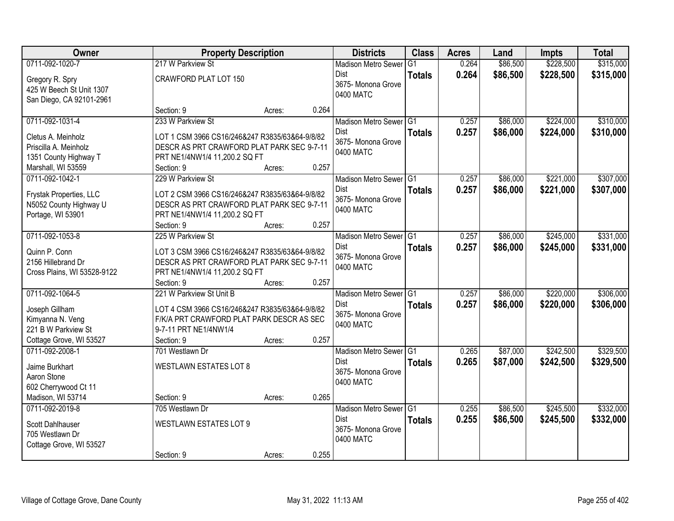| Owner                                                                                      |                                                                                                                                             | <b>Property Description</b> |       | <b>Districts</b>                                                  | <b>Class</b>   | <b>Acres</b>   | Land                 | Impts                  | <b>Total</b>           |
|--------------------------------------------------------------------------------------------|---------------------------------------------------------------------------------------------------------------------------------------------|-----------------------------|-------|-------------------------------------------------------------------|----------------|----------------|----------------------|------------------------|------------------------|
| 0711-092-1020-7                                                                            | 217 W Parkview St                                                                                                                           |                             |       | <b>Madison Metro Sewer</b>                                        | G <sub>1</sub> | 0.264          | \$86,500             | \$228,500              | \$315,000              |
| Gregory R. Spry<br>425 W Beech St Unit 1307<br>San Diego, CA 92101-2961                    | CRAWFORD PLAT LOT 150                                                                                                                       |                             |       | Dist<br>3675- Monona Grove<br>0400 MATC                           | <b>Totals</b>  | 0.264          | \$86,500             | \$228,500              | \$315,000              |
|                                                                                            | Section: 9                                                                                                                                  | Acres:                      | 0.264 |                                                                   |                |                |                      |                        |                        |
| 0711-092-1031-4                                                                            | 233 W Parkview St                                                                                                                           |                             |       | Madison Metro Sewer G1<br>Dist                                    | <b>Totals</b>  | 0.257<br>0.257 | \$86,000<br>\$86,000 | \$224,000<br>\$224,000 | \$310,000<br>\$310,000 |
| Cletus A. Meinholz<br>Priscilla A. Meinholz<br>1351 County Highway T<br>Marshall, WI 53559 | LOT 1 CSM 3966 CS16/246&247 R3835/63&64-9/8/82<br>DESCR AS PRT CRAWFORD PLAT PARK SEC 9-7-11<br>PRT NE1/4NW1/4 11,200.2 SQ FT<br>Section: 9 | Acres:                      | 0.257 | 3675- Monona Grove<br>0400 MATC                                   |                |                |                      |                        |                        |
| 0711-092-1042-1                                                                            | 229 W Parkview St                                                                                                                           |                             |       | Madison Metro Sewer G1                                            |                | 0.257          | \$86,000             | \$221,000              | \$307,000              |
| Frystak Properties, LLC<br>N5052 County Highway U<br>Portage, WI 53901                     | LOT 2 CSM 3966 CS16/246&247 R3835/63&64-9/8/82<br>DESCR AS PRT CRAWFORD PLAT PARK SEC 9-7-11<br>PRT NE1/4NW1/4 11,200.2 SQ FT               |                             |       | Dist<br>3675-Monona Grove<br>0400 MATC                            | <b>Totals</b>  | 0.257          | \$86,000             | \$221,000              | \$307,000              |
| 0711-092-1053-8                                                                            | Section: 9<br>225 W Parkview St                                                                                                             | Acres:                      | 0.257 |                                                                   |                | 0.257          | \$86,000             | \$245,000              | \$331,000              |
| Quinn P. Conn<br>2156 Hillebrand Dr<br>Cross Plains, WI 53528-9122                         | LOT 3 CSM 3966 CS16/246&247 R3835/63&64-9/8/82<br>DESCR AS PRT CRAWFORD PLAT PARK SEC 9-7-11<br>PRT NE1/4NW1/4 11,200.2 SQ FT               |                             |       | Madison Metro Sewer G1<br>Dist<br>3675- Monona Grove<br>0400 MATC | <b>Totals</b>  | 0.257          | \$86,000             | \$245,000              | \$331,000              |
| 0711-092-1064-5                                                                            | Section: 9<br>221 W Parkview St Unit B                                                                                                      | Acres:                      | 0.257 |                                                                   |                | 0.257          |                      | \$220,000              | \$306,000              |
| Joseph Gillham<br>Kimyanna N. Veng<br>221 B W Parkview St<br>Cottage Grove, WI 53527       | LOT 4 CSM 3966 CS16/246&247 R3835/63&64-9/8/82<br>F/K/A PRT CRAWFORD PLAT PARK DESCR AS SEC<br>9-7-11 PRT NE1/4NW1/4<br>Section: 9          | Acres:                      | 0.257 | Madison Metro Sewer G1<br>Dist<br>3675- Monona Grove<br>0400 MATC | <b>Totals</b>  | 0.257          | \$86,000<br>\$86,000 | \$220,000              | \$306,000              |
| 0711-092-2008-1                                                                            | 701 Westlawn Dr                                                                                                                             |                             |       | Madison Metro Sewer G1                                            |                | 0.265          | \$87,000             | \$242,500              | \$329,500              |
| Jaime Burkhart<br>Aaron Stone<br>602 Cherrywood Ct 11<br>Madison, WI 53714                 | <b>WESTLAWN ESTATES LOT 8</b><br>Section: 9                                                                                                 | Acres:                      | 0.265 | <b>Dist</b><br>3675- Monona Grove<br>0400 MATC                    | <b>Totals</b>  | 0.265          | \$87,000             | \$242,500              | \$329,500              |
| 0711-092-2019-8                                                                            | 705 Westlawn Dr                                                                                                                             |                             |       | Madison Metro Sewer G1                                            |                | 0.255          | \$86,500             | \$245,500              | \$332,000              |
| Scott Dahlhauser<br>705 Westlawn Dr<br>Cottage Grove, WI 53527                             | <b>WESTLAWN ESTATES LOT 9</b><br>Section: 9                                                                                                 | Acres:                      | 0.255 | <b>Dist</b><br>3675- Monona Grove<br>0400 MATC                    | <b>Totals</b>  | 0.255          | \$86,500             | \$245,500              | \$332,000              |
|                                                                                            |                                                                                                                                             |                             |       |                                                                   |                |                |                      |                        |                        |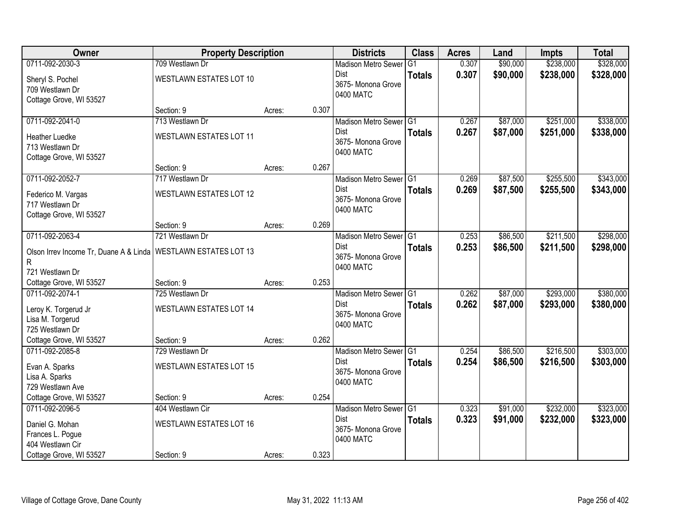| Owner                                                            | <b>Property Description</b>    |                 | <b>Districts</b>           | <b>Class</b>  | <b>Acres</b> | Land     | <b>Impts</b> | <b>Total</b> |
|------------------------------------------------------------------|--------------------------------|-----------------|----------------------------|---------------|--------------|----------|--------------|--------------|
| 0711-092-2030-3                                                  | 709 Westlawn Dr                |                 | <b>Madison Metro Sewer</b> | G1            | 0.307        | \$90,000 | \$238,000    | \$328,000    |
| Sheryl S. Pochel                                                 | WESTLAWN ESTATES LOT 10        |                 | Dist                       | <b>Totals</b> | 0.307        | \$90,000 | \$238,000    | \$328,000    |
| 709 Westlawn Dr                                                  |                                |                 | 3675- Monona Grove         |               |              |          |              |              |
| Cottage Grove, WI 53527                                          |                                |                 | 0400 MATC                  |               |              |          |              |              |
|                                                                  | Section: 9                     | 0.307<br>Acres: |                            |               |              |          |              |              |
| 0711-092-2041-0                                                  | 713 Westlawn Dr                |                 | Madison Metro Sewer G1     |               | 0.267        | \$87,000 | \$251,000    | \$338,000    |
| <b>Heather Luedke</b>                                            | <b>WESTLAWN ESTATES LOT 11</b> |                 | Dist                       | <b>Totals</b> | 0.267        | \$87,000 | \$251,000    | \$338,000    |
| 713 Westlawn Dr                                                  |                                |                 | 3675- Monona Grove         |               |              |          |              |              |
| Cottage Grove, WI 53527                                          |                                |                 | 0400 MATC                  |               |              |          |              |              |
|                                                                  | Section: 9                     | 0.267<br>Acres: |                            |               |              |          |              |              |
| 0711-092-2052-7                                                  | 717 Westlawn Dr                |                 | Madison Metro Sewer G1     |               | 0.269        | \$87,500 | \$255,500    | \$343,000    |
| Federico M. Vargas                                               | <b>WESTLAWN ESTATES LOT 12</b> |                 | Dist                       | <b>Totals</b> | 0.269        | \$87,500 | \$255,500    | \$343,000    |
| 717 Westlawn Dr                                                  |                                |                 | 3675- Monona Grove         |               |              |          |              |              |
| Cottage Grove, WI 53527                                          |                                |                 | 0400 MATC                  |               |              |          |              |              |
|                                                                  | Section: 9                     | 0.269<br>Acres: |                            |               |              |          |              |              |
| 0711-092-2063-4                                                  | 721 Westlawn Dr                |                 | Madison Metro Sewer G1     |               | 0.253        | \$86,500 | \$211,500    | \$298,000    |
| Olson Irrev Income Tr, Duane A & Linda   WESTLAWN ESTATES LOT 13 |                                |                 | Dist                       | <b>Totals</b> | 0.253        | \$86,500 | \$211,500    | \$298,000    |
| R                                                                |                                |                 | 3675- Monona Grove         |               |              |          |              |              |
| 721 Westlawn Dr                                                  |                                |                 | 0400 MATC                  |               |              |          |              |              |
| Cottage Grove, WI 53527                                          | Section: 9                     | 0.253<br>Acres: |                            |               |              |          |              |              |
| 0711-092-2074-1                                                  | 725 Westlawn Dr                |                 | Madison Metro Sewer G1     |               | 0.262        | \$87,000 | \$293,000    | \$380,000    |
| Leroy K. Torgerud Jr                                             | <b>WESTLAWN ESTATES LOT 14</b> |                 | <b>Dist</b>                | <b>Totals</b> | 0.262        | \$87,000 | \$293,000    | \$380,000    |
| Lisa M. Torgerud                                                 |                                |                 | 3675- Monona Grove         |               |              |          |              |              |
| 725 Westlawn Dr                                                  |                                |                 | 0400 MATC                  |               |              |          |              |              |
| Cottage Grove, WI 53527                                          | Section: 9                     | 0.262<br>Acres: |                            |               |              |          |              |              |
| 0711-092-2085-8                                                  | 729 Westlawn Dr                |                 | Madison Metro Sewer G1     |               | 0.254        | \$86,500 | \$216,500    | \$303,000    |
| Evan A. Sparks                                                   | <b>WESTLAWN ESTATES LOT 15</b> |                 | Dist                       | <b>Totals</b> | 0.254        | \$86,500 | \$216,500    | \$303,000    |
| Lisa A. Sparks                                                   |                                |                 | 3675- Monona Grove         |               |              |          |              |              |
| 729 Westlawn Ave                                                 |                                |                 | 0400 MATC                  |               |              |          |              |              |
| Cottage Grove, WI 53527                                          | Section: 9                     | 0.254<br>Acres: |                            |               |              |          |              |              |
| 0711-092-2096-5                                                  | 404 Westlawn Cir               |                 | Madison Metro Sewer G1     |               | 0.323        | \$91,000 | \$232,000    | \$323,000    |
| Daniel G. Mohan                                                  | <b>WESTLAWN ESTATES LOT 16</b> |                 | <b>Dist</b>                | <b>Totals</b> | 0.323        | \$91,000 | \$232,000    | \$323,000    |
| Frances L. Pogue                                                 |                                |                 | 3675- Monona Grove         |               |              |          |              |              |
| 404 Westlawn Cir                                                 |                                |                 | 0400 MATC                  |               |              |          |              |              |
| Cottage Grove, WI 53527                                          | Section: 9                     | 0.323<br>Acres: |                            |               |              |          |              |              |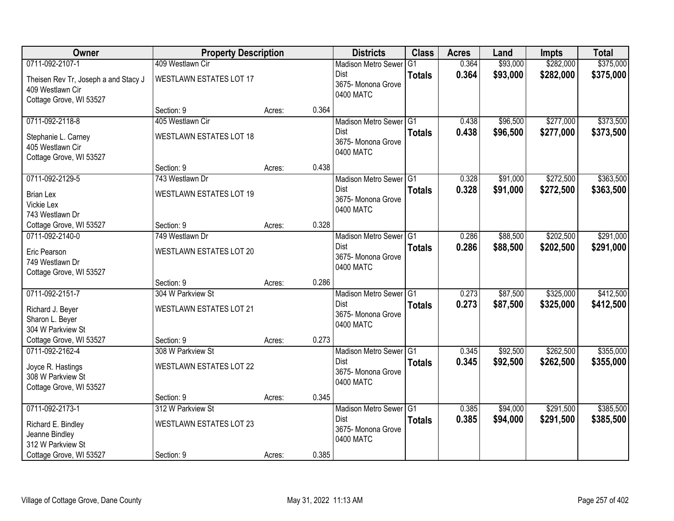| Owner                                        | <b>Property Description</b>     |        |       | <b>Districts</b>                  | <b>Class</b>    | <b>Acres</b> | Land     | <b>Impts</b> | <b>Total</b> |
|----------------------------------------------|---------------------------------|--------|-------|-----------------------------------|-----------------|--------------|----------|--------------|--------------|
| 0711-092-2107-1                              | 409 Westlawn Cir                |        |       | <b>Madison Metro Sewer</b>        | $\overline{G1}$ | 0.364        | \$93,000 | \$282,000    | \$375,000    |
| Theisen Rev Tr, Joseph a and Stacy J         | <b>WESTLAWN ESTATES LOT 17</b>  |        |       | <b>Dist</b>                       | <b>Totals</b>   | 0.364        | \$93,000 | \$282,000    | \$375,000    |
| 409 Westlawn Cir                             |                                 |        |       | 3675- Monona Grove<br>0400 MATC   |                 |              |          |              |              |
| Cottage Grove, WI 53527                      |                                 |        |       |                                   |                 |              |          |              |              |
|                                              | Section: 9                      | Acres: | 0.364 |                                   |                 |              |          |              |              |
| 0711-092-2118-8                              | 405 Westlawn Cir                |        |       | Madison Metro Sewer G1            |                 | 0.438        | \$96,500 | \$277,000    | \$373,500    |
| Stephanie L. Carney                          | WESTLAWN ESTATES LOT 18         |        |       | Dist<br>3675- Monona Grove        | <b>Totals</b>   | 0.438        | \$96,500 | \$277,000    | \$373,500    |
| 405 Westlawn Cir                             |                                 |        |       | 0400 MATC                         |                 |              |          |              |              |
| Cottage Grove, WI 53527                      |                                 |        |       |                                   |                 |              |          |              |              |
|                                              | Section: 9                      | Acres: | 0.438 |                                   |                 |              |          |              |              |
| 0711-092-2129-5                              | 743 Westlawn Dr                 |        |       | Madison Metro Sewer G1            |                 | 0.328        | \$91,000 | \$272,500    | \$363,500    |
| <b>Brian Lex</b>                             | <b>WESTLAWN ESTATES LOT 19</b>  |        |       | <b>Dist</b><br>3675- Monona Grove | <b>Totals</b>   | 0.328        | \$91,000 | \$272,500    | \$363,500    |
| Vickie Lex                                   |                                 |        |       | 0400 MATC                         |                 |              |          |              |              |
| 743 Westlawn Dr                              |                                 |        |       |                                   |                 |              |          |              |              |
| Cottage Grove, WI 53527                      | Section: 9                      | Acres: | 0.328 |                                   |                 |              |          |              |              |
| 0711-092-2140-0                              | 749 Westlawn Dr                 |        |       | Madison Metro Sewer G1<br>Dist    |                 | 0.286        | \$88,500 | \$202,500    | \$291,000    |
| Eric Pearson                                 | WESTLAWN ESTATES LOT 20         |        |       | 3675- Monona Grove                | <b>Totals</b>   | 0.286        | \$88,500 | \$202,500    | \$291,000    |
| 749 Westlawn Dr                              |                                 |        |       | 0400 MATC                         |                 |              |          |              |              |
| Cottage Grove, WI 53527                      |                                 |        |       |                                   |                 |              |          |              |              |
| 0711-092-2151-7                              | Section: 9<br>304 W Parkview St | Acres: | 0.286 | Madison Metro Sewer G1            |                 | 0.273        | \$87,500 | \$325,000    | \$412,500    |
|                                              |                                 |        |       | <b>Dist</b>                       | <b>Totals</b>   | 0.273        | \$87,500 | \$325,000    | \$412,500    |
| Richard J. Beyer                             | <b>WESTLAWN ESTATES LOT 21</b>  |        |       | 3675-Monona Grove                 |                 |              |          |              |              |
| Sharon L. Beyer                              |                                 |        |       | 0400 MATC                         |                 |              |          |              |              |
| 304 W Parkview St<br>Cottage Grove, WI 53527 | Section: 9                      |        | 0.273 |                                   |                 |              |          |              |              |
| 0711-092-2162-4                              | 308 W Parkview St               | Acres: |       | Madison Metro Sewer G1            |                 | 0.345        | \$92,500 | \$262,500    | \$355,000    |
|                                              |                                 |        |       | Dist                              | <b>Totals</b>   | 0.345        | \$92,500 | \$262,500    | \$355,000    |
| Joyce R. Hastings                            | WESTLAWN ESTATES LOT 22         |        |       | 3675- Monona Grove                |                 |              |          |              |              |
| 308 W Parkview St                            |                                 |        |       | 0400 MATC                         |                 |              |          |              |              |
| Cottage Grove, WI 53527                      | Section: 9                      | Acres: | 0.345 |                                   |                 |              |          |              |              |
| 0711-092-2173-1                              | 312 W Parkview St               |        |       | Madison Metro Sewer G1            |                 | 0.385        | \$94,000 | \$291,500    | \$385,500    |
|                                              |                                 |        |       | Dist                              | <b>Totals</b>   | 0.385        | \$94,000 | \$291,500    | \$385,500    |
| Richard E. Bindley                           | <b>WESTLAWN ESTATES LOT 23</b>  |        |       | 3675- Monona Grove                |                 |              |          |              |              |
| Jeanne Bindley<br>312 W Parkview St          |                                 |        |       | 0400 MATC                         |                 |              |          |              |              |
| Cottage Grove, WI 53527                      | Section: 9                      | Acres: | 0.385 |                                   |                 |              |          |              |              |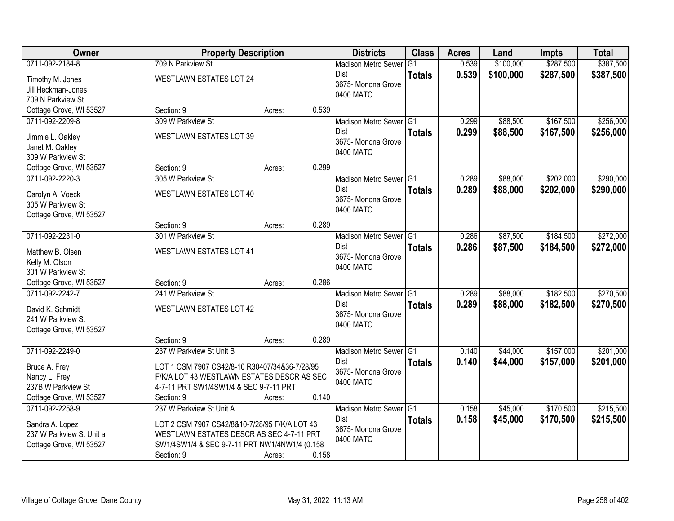| <b>Owner</b>                          | <b>Property Description</b>                   |                 | <b>Districts</b>           | <b>Class</b>  | <b>Acres</b> | Land      | <b>Impts</b> | <b>Total</b> |
|---------------------------------------|-----------------------------------------------|-----------------|----------------------------|---------------|--------------|-----------|--------------|--------------|
| 0711-092-2184-8                       | 709 N Parkview St                             |                 | <b>Madison Metro Sewer</b> | G1            | 0.539        | \$100,000 | \$287,500    | \$387,500    |
| Timothy M. Jones                      | <b>WESTLAWN ESTATES LOT 24</b>                |                 | Dist                       | <b>Totals</b> | 0.539        | \$100,000 | \$287,500    | \$387,500    |
| Jill Heckman-Jones                    |                                               |                 | 3675-Monona Grove          |               |              |           |              |              |
| 709 N Parkview St                     |                                               |                 | 0400 MATC                  |               |              |           |              |              |
| Cottage Grove, WI 53527               | Section: 9                                    | 0.539<br>Acres: |                            |               |              |           |              |              |
| 0711-092-2209-8                       | 309 W Parkview St                             |                 | Madison Metro Sewer G1     |               | 0.299        | \$88,500  | \$167,500    | \$256,000    |
|                                       | WESTLAWN ESTATES LOT 39                       |                 | Dist                       | <b>Totals</b> | 0.299        | \$88,500  | \$167,500    | \$256,000    |
| Jimmie L. Oakley                      |                                               |                 | 3675- Monona Grove         |               |              |           |              |              |
| Janet M. Oakley<br>309 W Parkview St  |                                               |                 | 0400 MATC                  |               |              |           |              |              |
| Cottage Grove, WI 53527               | Section: 9                                    | 0.299<br>Acres: |                            |               |              |           |              |              |
| 0711-092-2220-3                       | 305 W Parkview St                             |                 | Madison Metro Sewer G1     |               | 0.289        | \$88,000  | \$202,000    | \$290,000    |
|                                       |                                               |                 | <b>Dist</b>                | <b>Totals</b> | 0.289        | \$88,000  | \$202,000    | \$290,000    |
| Carolyn A. Voeck                      | <b>WESTLAWN ESTATES LOT 40</b>                |                 | 3675- Monona Grove         |               |              |           |              |              |
| 305 W Parkview St                     |                                               |                 | 0400 MATC                  |               |              |           |              |              |
| Cottage Grove, WI 53527               |                                               |                 |                            |               |              |           |              |              |
|                                       | Section: 9                                    | 0.289<br>Acres: |                            |               |              |           |              |              |
| 0711-092-2231-0                       | 301 W Parkview St                             |                 | Madison Metro Sewer G1     |               | 0.286        | \$87,500  | \$184,500    | \$272,000    |
| Matthew B. Olsen                      | <b>WESTLAWN ESTATES LOT 41</b>                |                 | Dist                       | <b>Totals</b> | 0.286        | \$87,500  | \$184,500    | \$272,000    |
| Kelly M. Olson                        |                                               |                 | 3675- Monona Grove         |               |              |           |              |              |
| 301 W Parkview St                     |                                               |                 | 0400 MATC                  |               |              |           |              |              |
| Cottage Grove, WI 53527               | Section: 9                                    | 0.286<br>Acres: |                            |               |              |           |              |              |
| 0711-092-2242-7                       | 241 W Parkview St                             |                 | Madison Metro Sewer G1     |               | 0.289        | \$88,000  | \$182,500    | \$270,500    |
|                                       |                                               |                 | <b>Dist</b>                | <b>Totals</b> | 0.289        | \$88,000  | \$182,500    | \$270,500    |
| David K. Schmidt<br>241 W Parkview St | WESTLAWN ESTATES LOT 42                       |                 | 3675- Monona Grove         |               |              |           |              |              |
| Cottage Grove, WI 53527               |                                               |                 | 0400 MATC                  |               |              |           |              |              |
|                                       | Section: 9                                    | 0.289<br>Acres: |                            |               |              |           |              |              |
| 0711-092-2249-0                       | 237 W Parkview St Unit B                      |                 | Madison Metro Sewer G1     |               | 0.140        | \$44,000  | \$157,000    | \$201,000    |
|                                       |                                               |                 | <b>Dist</b>                | <b>Totals</b> | 0.140        | \$44,000  | \$157,000    | \$201,000    |
| Bruce A. Frey                         | LOT 1 CSM 7907 CS42/8-10 R30407/34&36-7/28/95 |                 | 3675- Monona Grove         |               |              |           |              |              |
| Nancy L. Frey                         | F/K/A LOT 43 WESTLAWN ESTATES DESCR AS SEC    |                 | 0400 MATC                  |               |              |           |              |              |
| 237B W Parkview St                    | 4-7-11 PRT SW1/4SW1/4 & SEC 9-7-11 PRT        |                 |                            |               |              |           |              |              |
| Cottage Grove, WI 53527               | Section: 9                                    | 0.140<br>Acres: |                            |               |              |           |              |              |
| 0711-092-2258-9                       | 237 W Parkview St Unit A                      |                 | Madison Metro Sewer G1     |               | 0.158        | \$45,000  | \$170,500    | \$215,500    |
| Sandra A. Lopez                       | LOT 2 CSM 7907 CS42/8&10-7/28/95 F/K/A LOT 43 |                 | <b>Dist</b>                | <b>Totals</b> | 0.158        | \$45,000  | \$170,500    | \$215,500    |
| 237 W Parkview St Unit a              | WESTLAWN ESTATES DESCR AS SEC 4-7-11 PRT      |                 | 3675- Monona Grove         |               |              |           |              |              |
| Cottage Grove, WI 53527               | SW1/4SW1/4 & SEC 9-7-11 PRT NW1/4NW1/4 (0.158 |                 | 0400 MATC                  |               |              |           |              |              |
|                                       | Section: 9                                    | 0.158<br>Acres: |                            |               |              |           |              |              |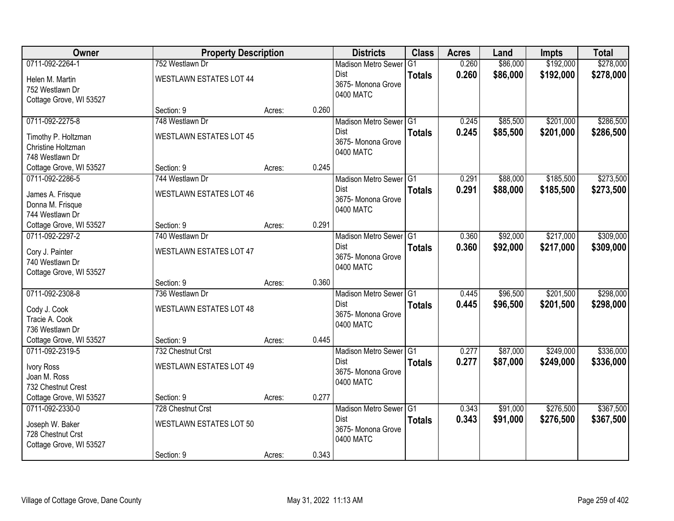| Owner                   | <b>Property Description</b>    |                 | <b>Districts</b>                | <b>Class</b>   | <b>Acres</b> | Land     | <b>Impts</b> | <b>Total</b> |
|-------------------------|--------------------------------|-----------------|---------------------------------|----------------|--------------|----------|--------------|--------------|
| 0711-092-2264-1         | 752 Westlawn Dr                |                 | <b>Madison Metro Sewer</b>      | G <sub>1</sub> | 0.260        | \$86,000 | \$192,000    | \$278,000    |
| Helen M. Martin         | <b>WESTLAWN ESTATES LOT 44</b> |                 | Dist<br>3675- Monona Grove      | <b>Totals</b>  | 0.260        | \$86,000 | \$192,000    | \$278,000    |
| 752 Westlawn Dr         |                                |                 | 0400 MATC                       |                |              |          |              |              |
| Cottage Grove, WI 53527 |                                |                 |                                 |                |              |          |              |              |
|                         | Section: 9                     | 0.260<br>Acres: |                                 |                |              |          |              |              |
| 0711-092-2275-8         | 748 Westlawn Dr                |                 | Madison Metro Sewer G1          |                | 0.245        | \$85,500 | \$201,000    | \$286,500    |
| Timothy P. Holtzman     | <b>WESTLAWN ESTATES LOT 45</b> |                 | <b>Dist</b>                     | <b>Totals</b>  | 0.245        | \$85,500 | \$201,000    | \$286,500    |
| Christine Holtzman      |                                |                 | 3675- Monona Grove<br>0400 MATC |                |              |          |              |              |
| 748 Westlawn Dr         |                                |                 |                                 |                |              |          |              |              |
| Cottage Grove, WI 53527 | Section: 9                     | 0.245<br>Acres: |                                 |                |              |          |              |              |
| 0711-092-2286-5         | 744 Westlawn Dr                |                 | Madison Metro Sewer G1          |                | 0.291        | \$88,000 | \$185,500    | \$273,500    |
| James A. Frisque        | <b>WESTLAWN ESTATES LOT 46</b> |                 | <b>Dist</b>                     | <b>Totals</b>  | 0.291        | \$88,000 | \$185,500    | \$273,500    |
| Donna M. Frisque        |                                |                 | 3675- Monona Grove              |                |              |          |              |              |
| 744 Westlawn Dr         |                                |                 | 0400 MATC                       |                |              |          |              |              |
| Cottage Grove, WI 53527 | Section: 9                     | 0.291<br>Acres: |                                 |                |              |          |              |              |
| 0711-092-2297-2         | 740 Westlawn Dr                |                 | Madison Metro Sewer G1          |                | 0.360        | \$92,000 | \$217,000    | \$309,000    |
| Cory J. Painter         | <b>WESTLAWN ESTATES LOT 47</b> |                 | <b>Dist</b>                     | <b>Totals</b>  | 0.360        | \$92,000 | \$217,000    | \$309,000    |
| 740 Westlawn Dr         |                                |                 | 3675- Monona Grove              |                |              |          |              |              |
| Cottage Grove, WI 53527 |                                |                 | 0400 MATC                       |                |              |          |              |              |
|                         | Section: 9                     | 0.360<br>Acres: |                                 |                |              |          |              |              |
| 0711-092-2308-8         | 736 Westlawn Dr                |                 | Madison Metro Sewer G1          |                | 0.445        | \$96,500 | \$201,500    | \$298,000    |
| Cody J. Cook            | <b>WESTLAWN ESTATES LOT 48</b> |                 | <b>Dist</b>                     | <b>Totals</b>  | 0.445        | \$96,500 | \$201,500    | \$298,000    |
| Tracie A. Cook          |                                |                 | 3675- Monona Grove              |                |              |          |              |              |
| 736 Westlawn Dr         |                                |                 | 0400 MATC                       |                |              |          |              |              |
| Cottage Grove, WI 53527 | Section: 9                     | 0.445<br>Acres: |                                 |                |              |          |              |              |
| 0711-092-2319-5         | 732 Chestnut Crst              |                 | Madison Metro Sewer G1          |                | 0.277        | \$87,000 | \$249,000    | \$336,000    |
| Ivory Ross              | WESTLAWN ESTATES LOT 49        |                 | Dist                            | <b>Totals</b>  | 0.277        | \$87,000 | \$249,000    | \$336,000    |
| Joan M. Ross            |                                |                 | 3675- Monona Grove              |                |              |          |              |              |
| 732 Chestnut Crest      |                                |                 | 0400 MATC                       |                |              |          |              |              |
| Cottage Grove, WI 53527 | Section: 9                     | 0.277<br>Acres: |                                 |                |              |          |              |              |
| 0711-092-2330-0         | 728 Chestnut Crst              |                 | Madison Metro Sewer G1          |                | 0.343        | \$91,000 | \$276,500    | \$367,500    |
| Joseph W. Baker         | <b>WESTLAWN ESTATES LOT 50</b> |                 | <b>Dist</b>                     | <b>Totals</b>  | 0.343        | \$91,000 | \$276,500    | \$367,500    |
| 728 Chestnut Crst       |                                |                 | 3675- Monona Grove              |                |              |          |              |              |
| Cottage Grove, WI 53527 |                                |                 | 0400 MATC                       |                |              |          |              |              |
|                         | Section: 9                     | 0.343<br>Acres: |                                 |                |              |          |              |              |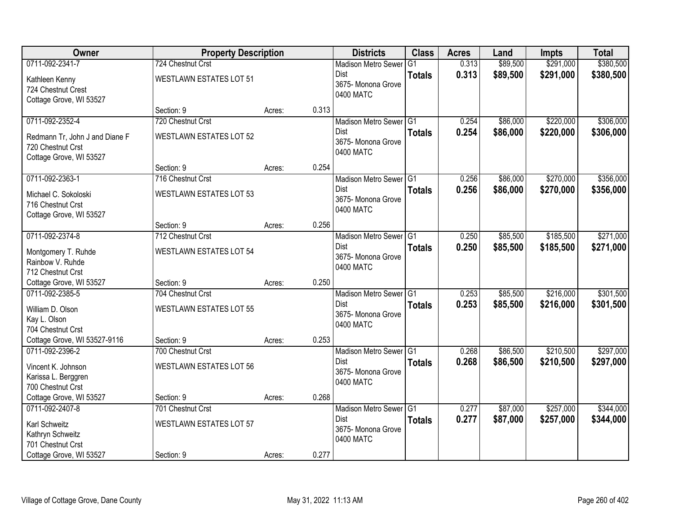| Owner                          | <b>Property Description</b>    |        |       | <b>Districts</b>                  | <b>Class</b>  | <b>Acres</b> | Land     | <b>Impts</b> | <b>Total</b> |
|--------------------------------|--------------------------------|--------|-------|-----------------------------------|---------------|--------------|----------|--------------|--------------|
| 0711-092-2341-7                | 724 Chestnut Crst              |        |       | <b>Madison Metro Sewer</b>        | G1            | 0.313        | \$89,500 | \$291,000    | \$380,500    |
| Kathleen Kenny                 | <b>WESTLAWN ESTATES LOT 51</b> |        |       | Dist                              | <b>Totals</b> | 0.313        | \$89,500 | \$291,000    | \$380,500    |
| 724 Chestnut Crest             |                                |        |       | 3675-Monona Grove                 |               |              |          |              |              |
| Cottage Grove, WI 53527        |                                |        |       | 0400 MATC                         |               |              |          |              |              |
|                                | Section: 9                     | Acres: | 0.313 |                                   |               |              |          |              |              |
| 0711-092-2352-4                | 720 Chestnut Crst              |        |       | Madison Metro Sewer G1            |               | 0.254        | \$86,000 | \$220,000    | \$306,000    |
| Redmann Tr, John J and Diane F | <b>WESTLAWN ESTATES LOT 52</b> |        |       | Dist                              | <b>Totals</b> | 0.254        | \$86,000 | \$220,000    | \$306,000    |
| 720 Chestnut Crst              |                                |        |       | 3675- Monona Grove<br>0400 MATC   |               |              |          |              |              |
| Cottage Grove, WI 53527        |                                |        |       |                                   |               |              |          |              |              |
|                                | Section: 9                     | Acres: | 0.254 |                                   |               |              |          |              |              |
| 0711-092-2363-1                | 716 Chestnut Crst              |        |       | Madison Metro Sewer G1            |               | 0.256        | \$86,000 | \$270,000    | \$356,000    |
| Michael C. Sokoloski           | <b>WESTLAWN ESTATES LOT 53</b> |        |       | <b>Dist</b>                       | <b>Totals</b> | 0.256        | \$86,000 | \$270,000    | \$356,000    |
| 716 Chestnut Crst              |                                |        |       | 3675- Monona Grove<br>0400 MATC   |               |              |          |              |              |
| Cottage Grove, WI 53527        |                                |        |       |                                   |               |              |          |              |              |
|                                | Section: 9                     | Acres: | 0.256 |                                   |               |              |          |              |              |
| 0711-092-2374-8                | 712 Chestnut Crst              |        |       | Madison Metro Sewer G1            |               | 0.250        | \$85,500 | \$185,500    | \$271,000    |
| Montgomery T. Ruhde            | <b>WESTLAWN ESTATES LOT 54</b> |        |       | <b>Dist</b>                       | <b>Totals</b> | 0.250        | \$85,500 | \$185,500    | \$271,000    |
| Rainbow V. Ruhde               |                                |        |       | 3675- Monona Grove<br>0400 MATC   |               |              |          |              |              |
| 712 Chestnut Crst              |                                |        |       |                                   |               |              |          |              |              |
| Cottage Grove, WI 53527        | Section: 9                     | Acres: | 0.250 |                                   |               |              |          |              |              |
| 0711-092-2385-5                | 704 Chestnut Crst              |        |       | Madison Metro Sewer G1            |               | 0.253        | \$85,500 | \$216,000    | \$301,500    |
| William D. Olson               | <b>WESTLAWN ESTATES LOT 55</b> |        |       | <b>Dist</b>                       | <b>Totals</b> | 0.253        | \$85,500 | \$216,000    | \$301,500    |
| Kay L. Olson                   |                                |        |       | 3675-Monona Grove<br>0400 MATC    |               |              |          |              |              |
| 704 Chestnut Crst              |                                |        |       |                                   |               |              |          |              |              |
| Cottage Grove, WI 53527-9116   | Section: 9                     | Acres: | 0.253 |                                   |               |              |          |              |              |
| 0711-092-2396-2                | 700 Chestnut Crst              |        |       | Madison Metro Sewer G1            |               | 0.268        | \$86,500 | \$210,500    | \$297,000    |
| Vincent K. Johnson             | WESTLAWN ESTATES LOT 56        |        |       | Dist<br>3675- Monona Grove        | <b>Totals</b> | 0.268        | \$86,500 | \$210,500    | \$297,000    |
| Karissa L. Berggren            |                                |        |       | 0400 MATC                         |               |              |          |              |              |
| 700 Chestnut Crst              |                                |        |       |                                   |               |              |          |              |              |
| Cottage Grove, WI 53527        | Section: 9                     | Acres: | 0.268 |                                   |               |              |          |              |              |
| 0711-092-2407-8                | 701 Chestnut Crst              |        |       | Madison Metro Sewer G1            |               | 0.277        | \$87,000 | \$257,000    | \$344,000    |
| Karl Schweitz                  | <b>WESTLAWN ESTATES LOT 57</b> |        |       | <b>Dist</b><br>3675- Monona Grove | <b>Totals</b> | 0.277        | \$87,000 | \$257,000    | \$344,000    |
| Kathryn Schweitz               |                                |        |       | 0400 MATC                         |               |              |          |              |              |
| 701 Chestnut Crst              |                                |        |       |                                   |               |              |          |              |              |
| Cottage Grove, WI 53527        | Section: 9                     | Acres: | 0.277 |                                   |               |              |          |              |              |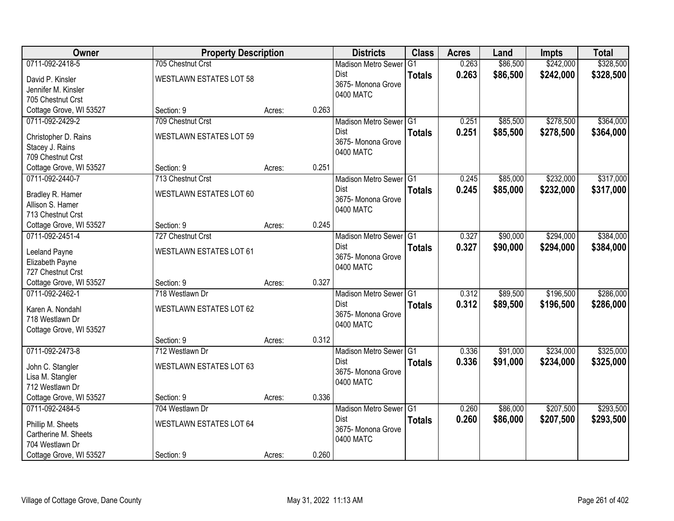| Owner                   | <b>Property Description</b>    |        |       | <b>Districts</b>                  | <b>Class</b>  | <b>Acres</b> | Land     | <b>Impts</b> | <b>Total</b> |
|-------------------------|--------------------------------|--------|-------|-----------------------------------|---------------|--------------|----------|--------------|--------------|
| 0711-092-2418-5         | 705 Chestnut Crst              |        |       | <b>Madison Metro Sewer</b>        | G1            | 0.263        | \$86,500 | \$242,000    | \$328,500    |
| David P. Kinsler        | <b>WESTLAWN ESTATES LOT 58</b> |        |       | Dist                              | <b>Totals</b> | 0.263        | \$86,500 | \$242,000    | \$328,500    |
| Jennifer M. Kinsler     |                                |        |       | 3675- Monona Grove                |               |              |          |              |              |
| 705 Chestnut Crst       |                                |        |       | 0400 MATC                         |               |              |          |              |              |
| Cottage Grove, WI 53527 | Section: 9                     | Acres: | 0.263 |                                   |               |              |          |              |              |
| 0711-092-2429-2         | 709 Chestnut Crst              |        |       | Madison Metro Sewer G1            |               | 0.251        | \$85,500 | \$278,500    | \$364,000    |
| Christopher D. Rains    | WESTLAWN ESTATES LOT 59        |        |       | Dist                              | <b>Totals</b> | 0.251        | \$85,500 | \$278,500    | \$364,000    |
| Stacey J. Rains         |                                |        |       | 3675- Monona Grove                |               |              |          |              |              |
| 709 Chestnut Crst       |                                |        |       | 0400 MATC                         |               |              |          |              |              |
| Cottage Grove, WI 53527 | Section: 9                     | Acres: | 0.251 |                                   |               |              |          |              |              |
| 0711-092-2440-7         | 713 Chestnut Crst              |        |       | Madison Metro Sewer G1            |               | 0.245        | \$85,000 | \$232,000    | \$317,000    |
| Bradley R. Hamer        | <b>WESTLAWN ESTATES LOT 60</b> |        |       | Dist                              | <b>Totals</b> | 0.245        | \$85,000 | \$232,000    | \$317,000    |
| Allison S. Hamer        |                                |        |       | 3675- Monona Grove                |               |              |          |              |              |
| 713 Chestnut Crst       |                                |        |       | 0400 MATC                         |               |              |          |              |              |
| Cottage Grove, WI 53527 | Section: 9                     | Acres: | 0.245 |                                   |               |              |          |              |              |
| 0711-092-2451-4         | 727 Chestnut Crst              |        |       | Madison Metro Sewer G1            |               | 0.327        | \$90,000 | \$294,000    | \$384,000    |
| Leeland Payne           | <b>WESTLAWN ESTATES LOT 61</b> |        |       | Dist                              | <b>Totals</b> | 0.327        | \$90,000 | \$294,000    | \$384,000    |
| Elizabeth Payne         |                                |        |       | 3675- Monona Grove                |               |              |          |              |              |
| 727 Chestnut Crst       |                                |        |       | 0400 MATC                         |               |              |          |              |              |
| Cottage Grove, WI 53527 | Section: 9                     | Acres: | 0.327 |                                   |               |              |          |              |              |
| 0711-092-2462-1         | 718 Westlawn Dr                |        |       | Madison Metro Sewer <sup>G1</sup> |               | 0.312        | \$89,500 | \$196,500    | \$286,000    |
| Karen A. Nondahl        | WESTLAWN ESTATES LOT 62        |        |       | <b>Dist</b>                       | <b>Totals</b> | 0.312        | \$89,500 | \$196,500    | \$286,000    |
| 718 Westlawn Dr         |                                |        |       | 3675- Monona Grove                |               |              |          |              |              |
| Cottage Grove, WI 53527 |                                |        |       | 0400 MATC                         |               |              |          |              |              |
|                         | Section: 9                     | Acres: | 0.312 |                                   |               |              |          |              |              |
| 0711-092-2473-8         | 712 Westlawn Dr                |        |       | Madison Metro Sewer G1            |               | 0.336        | \$91,000 | \$234,000    | \$325,000    |
| John C. Stangler        | WESTLAWN ESTATES LOT 63        |        |       | Dist                              | <b>Totals</b> | 0.336        | \$91,000 | \$234,000    | \$325,000    |
| Lisa M. Stangler        |                                |        |       | 3675- Monona Grove                |               |              |          |              |              |
| 712 Westlawn Dr         |                                |        |       | 0400 MATC                         |               |              |          |              |              |
| Cottage Grove, WI 53527 | Section: 9                     | Acres: | 0.336 |                                   |               |              |          |              |              |
| 0711-092-2484-5         | 704 Westlawn Dr                |        |       | Madison Metro Sewer G1            |               | 0.260        | \$86,000 | \$207,500    | \$293,500    |
| Phillip M. Sheets       | <b>WESTLAWN ESTATES LOT 64</b> |        |       | <b>Dist</b>                       | <b>Totals</b> | 0.260        | \$86,000 | \$207,500    | \$293,500    |
| Cartherine M. Sheets    |                                |        |       | 3675-Monona Grove                 |               |              |          |              |              |
| 704 Westlawn Dr         |                                |        |       | 0400 MATC                         |               |              |          |              |              |
| Cottage Grove, WI 53527 | Section: 9                     | Acres: | 0.260 |                                   |               |              |          |              |              |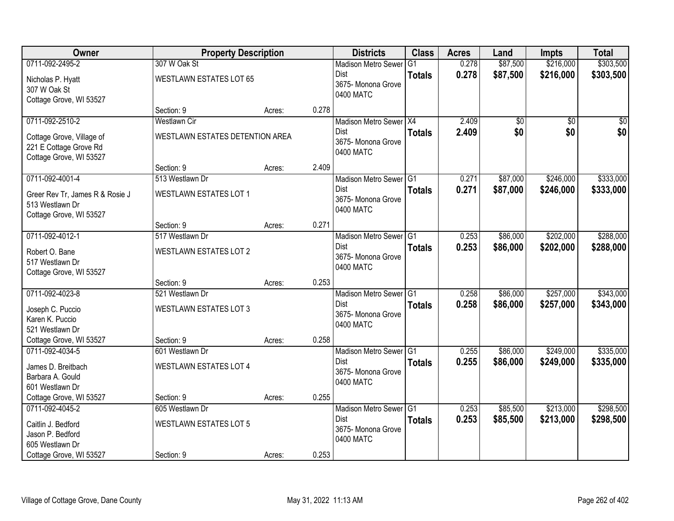| Owner                           | <b>Property Description</b>     |        |       | <b>Districts</b>           | <b>Class</b>  | <b>Acres</b> | Land            | <b>Impts</b>    | <b>Total</b>    |
|---------------------------------|---------------------------------|--------|-------|----------------------------|---------------|--------------|-----------------|-----------------|-----------------|
| 0711-092-2495-2                 | 307 W Oak St                    |        |       | <b>Madison Metro Sewer</b> | G1            | 0.278        | \$87,500        | \$216,000       | \$303,500       |
| Nicholas P. Hyatt               | <b>WESTLAWN ESTATES LOT 65</b>  |        |       | Dist                       | <b>Totals</b> | 0.278        | \$87,500        | \$216,000       | \$303,500       |
| 307 W Oak St                    |                                 |        |       | 3675- Monona Grove         |               |              |                 |                 |                 |
| Cottage Grove, WI 53527         |                                 |        |       | 0400 MATC                  |               |              |                 |                 |                 |
|                                 | Section: 9                      | Acres: | 0.278 |                            |               |              |                 |                 |                 |
| 0711-092-2510-2                 | <b>Westlawn Cir</b>             |        |       | Madison Metro Sewer X4     |               | 2.409        | $\overline{50}$ | $\overline{50}$ | $\overline{50}$ |
| Cottage Grove, Village of       | WESTLAWN ESTATES DETENTION AREA |        |       | Dist                       | <b>Totals</b> | 2.409        | \$0             | \$0             | \$0             |
| 221 E Cottage Grove Rd          |                                 |        |       | 3675- Monona Grove         |               |              |                 |                 |                 |
| Cottage Grove, WI 53527         |                                 |        |       | 0400 MATC                  |               |              |                 |                 |                 |
|                                 | Section: 9                      | Acres: | 2.409 |                            |               |              |                 |                 |                 |
| 0711-092-4001-4                 | 513 Westlawn Dr                 |        |       | Madison Metro Sewer G1     |               | 0.271        | \$87,000        | \$246,000       | \$333,000       |
| Greer Rev Tr, James R & Rosie J | <b>WESTLAWN ESTATES LOT 1</b>   |        |       | Dist                       | <b>Totals</b> | 0.271        | \$87,000        | \$246,000       | \$333,000       |
| 513 Westlawn Dr                 |                                 |        |       | 3675- Monona Grove         |               |              |                 |                 |                 |
| Cottage Grove, WI 53527         |                                 |        |       | 0400 MATC                  |               |              |                 |                 |                 |
|                                 | Section: 9                      | Acres: | 0.271 |                            |               |              |                 |                 |                 |
| 0711-092-4012-1                 | 517 Westlawn Dr                 |        |       | Madison Metro Sewer G1     |               | 0.253        | \$86,000        | \$202,000       | \$288,000       |
| Robert O. Bane                  | <b>WESTLAWN ESTATES LOT 2</b>   |        |       | Dist                       | <b>Totals</b> | 0.253        | \$86,000        | \$202,000       | \$288,000       |
| 517 Westlawn Dr                 |                                 |        |       | 3675- Monona Grove         |               |              |                 |                 |                 |
| Cottage Grove, WI 53527         |                                 |        |       | 0400 MATC                  |               |              |                 |                 |                 |
|                                 | Section: 9                      | Acres: | 0.253 |                            |               |              |                 |                 |                 |
| 0711-092-4023-8                 | 521 Westlawn Dr                 |        |       | Madison Metro Sewer G1     |               | 0.258        | \$86,000        | \$257,000       | \$343,000       |
| Joseph C. Puccio                | <b>WESTLAWN ESTATES LOT 3</b>   |        |       | Dist                       | <b>Totals</b> | 0.258        | \$86,000        | \$257,000       | \$343,000       |
| Karen K. Puccio                 |                                 |        |       | 3675- Monona Grove         |               |              |                 |                 |                 |
| 521 Westlawn Dr                 |                                 |        |       | 0400 MATC                  |               |              |                 |                 |                 |
| Cottage Grove, WI 53527         | Section: 9                      | Acres: | 0.258 |                            |               |              |                 |                 |                 |
| 0711-092-4034-5                 | 601 Westlawn Dr                 |        |       | Madison Metro Sewer G1     |               | 0.255        | \$86,000        | \$249,000       | \$335,000       |
| James D. Breitbach              | <b>WESTLAWN ESTATES LOT 4</b>   |        |       | Dist                       | <b>Totals</b> | 0.255        | \$86,000        | \$249,000       | \$335,000       |
| Barbara A. Gould                |                                 |        |       | 3675- Monona Grove         |               |              |                 |                 |                 |
| 601 Westlawn Dr                 |                                 |        |       | 0400 MATC                  |               |              |                 |                 |                 |
| Cottage Grove, WI 53527         | Section: 9                      | Acres: | 0.255 |                            |               |              |                 |                 |                 |
| 0711-092-4045-2                 | 605 Westlawn Dr                 |        |       | Madison Metro Sewer G1     |               | 0.253        | \$85,500        | \$213,000       | \$298,500       |
| Caitlin J. Bedford              | <b>WESTLAWN ESTATES LOT 5</b>   |        |       | <b>Dist</b>                | <b>Totals</b> | 0.253        | \$85,500        | \$213,000       | \$298,500       |
| Jason P. Bedford                |                                 |        |       | 3675- Monona Grove         |               |              |                 |                 |                 |
| 605 Westlawn Dr                 |                                 |        |       | 0400 MATC                  |               |              |                 |                 |                 |
| Cottage Grove, WI 53527         | Section: 9                      | Acres: | 0.253 |                            |               |              |                 |                 |                 |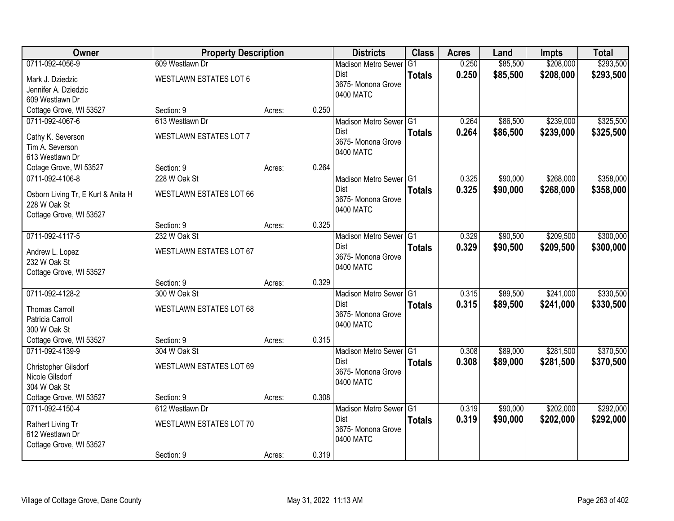| <b>Owner</b>                       | <b>Property Description</b>    |        |       | <b>Districts</b>                | <b>Class</b>  | <b>Acres</b> | Land     | <b>Impts</b> | <b>Total</b> |
|------------------------------------|--------------------------------|--------|-------|---------------------------------|---------------|--------------|----------|--------------|--------------|
| 0711-092-4056-9                    | 609 Westlawn Dr                |        |       | <b>Madison Metro Sewer</b>      | G1            | 0.250        | \$85,500 | \$208,000    | \$293,500    |
| Mark J. Dziedzic                   | <b>WESTLAWN ESTATES LOT 6</b>  |        |       | Dist                            | <b>Totals</b> | 0.250        | \$85,500 | \$208,000    | \$293,500    |
| Jennifer A. Dziedzic               |                                |        |       | 3675- Monona Grove              |               |              |          |              |              |
| 609 Westlawn Dr                    |                                |        |       | 0400 MATC                       |               |              |          |              |              |
| Cottage Grove, WI 53527            | Section: 9                     | Acres: | 0.250 |                                 |               |              |          |              |              |
| 0711-092-4067-6                    | 613 Westlawn Dr                |        |       | Madison Metro Sewer G1          |               | 0.264        | \$86,500 | \$239,000    | \$325,500    |
| Cathy K. Severson                  | <b>WESTLAWN ESTATES LOT 7</b>  |        |       | Dist                            | <b>Totals</b> | 0.264        | \$86,500 | \$239,000    | \$325,500    |
| Tim A. Severson                    |                                |        |       | 3675- Monona Grove<br>0400 MATC |               |              |          |              |              |
| 613 Westlawn Dr                    |                                |        |       |                                 |               |              |          |              |              |
| Cotage Grove, WI 53527             | Section: 9                     | Acres: | 0.264 |                                 |               |              |          |              |              |
| 0711-092-4106-8                    | 228 W Oak St                   |        |       | Madison Metro Sewer G1          |               | 0.325        | \$90,000 | \$268,000    | \$358,000    |
| Osborn Living Tr, E Kurt & Anita H | <b>WESTLAWN ESTATES LOT 66</b> |        |       | Dist                            | <b>Totals</b> | 0.325        | \$90,000 | \$268,000    | \$358,000    |
| 228 W Oak St                       |                                |        |       | 3675- Monona Grove              |               |              |          |              |              |
| Cottage Grove, WI 53527            |                                |        |       | 0400 MATC                       |               |              |          |              |              |
|                                    | Section: 9                     | Acres: | 0.325 |                                 |               |              |          |              |              |
| 0711-092-4117-5                    | 232 W Oak St                   |        |       | Madison Metro Sewer G1          |               | 0.329        | \$90,500 | \$209,500    | \$300,000    |
| Andrew L. Lopez                    | <b>WESTLAWN ESTATES LOT 67</b> |        |       | Dist                            | <b>Totals</b> | 0.329        | \$90,500 | \$209,500    | \$300,000    |
| 232 W Oak St                       |                                |        |       | 3675- Monona Grove              |               |              |          |              |              |
| Cottage Grove, WI 53527            |                                |        |       | 0400 MATC                       |               |              |          |              |              |
|                                    | Section: 9                     | Acres: | 0.329 |                                 |               |              |          |              |              |
| 0711-092-4128-2                    | 300 W Oak St                   |        |       | Madison Metro Sewer G1          |               | 0.315        | \$89,500 | \$241,000    | \$330,500    |
| <b>Thomas Carroll</b>              | WESTLAWN ESTATES LOT 68        |        |       | <b>Dist</b>                     | <b>Totals</b> | 0.315        | \$89,500 | \$241,000    | \$330,500    |
| Patricia Carroll                   |                                |        |       | 3675- Monona Grove              |               |              |          |              |              |
| 300 W Oak St                       |                                |        |       | 0400 MATC                       |               |              |          |              |              |
| Cottage Grove, WI 53527            | Section: 9                     | Acres: | 0.315 |                                 |               |              |          |              |              |
| 0711-092-4139-9                    | 304 W Oak St                   |        |       | Madison Metro Sewer G1          |               | 0.308        | \$89,000 | \$281,500    | \$370,500    |
| Christopher Gilsdorf               | WESTLAWN ESTATES LOT 69        |        |       | Dist                            | <b>Totals</b> | 0.308        | \$89,000 | \$281,500    | \$370,500    |
| Nicole Gilsdorf                    |                                |        |       | 3675- Monona Grove              |               |              |          |              |              |
| 304 W Oak St                       |                                |        |       | 0400 MATC                       |               |              |          |              |              |
| Cottage Grove, WI 53527            | Section: 9                     | Acres: | 0.308 |                                 |               |              |          |              |              |
| 0711-092-4150-4                    | 612 Westlawn Dr                |        |       | Madison Metro Sewer G1          |               | 0.319        | \$90,000 | \$202,000    | \$292,000    |
| Rathert Living Tr                  | <b>WESTLAWN ESTATES LOT 70</b> |        |       | <b>Dist</b>                     | <b>Totals</b> | 0.319        | \$90,000 | \$202,000    | \$292,000    |
| 612 Westlawn Dr                    |                                |        |       | 3675-Monona Grove               |               |              |          |              |              |
| Cottage Grove, WI 53527            |                                |        |       | 0400 MATC                       |               |              |          |              |              |
|                                    | Section: 9                     | Acres: | 0.319 |                                 |               |              |          |              |              |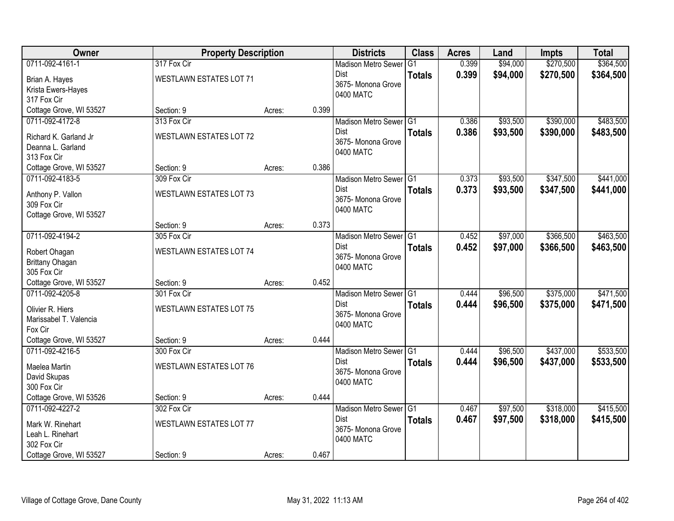| Owner                                                                                             | <b>Property Description</b>                                 |        |       | <b>Districts</b>                                                                    | <b>Class</b>                    | <b>Acres</b>   | Land                 | <b>Impts</b>           | <b>Total</b>           |
|---------------------------------------------------------------------------------------------------|-------------------------------------------------------------|--------|-------|-------------------------------------------------------------------------------------|---------------------------------|----------------|----------------------|------------------------|------------------------|
| 0711-092-4161-1                                                                                   | 317 Fox Cir                                                 |        |       | <b>Madison Metro Sewer</b><br>Dist                                                  | G <sub>1</sub><br><b>Totals</b> | 0.399<br>0.399 | \$94,000<br>\$94,000 | \$270,500<br>\$270,500 | \$364,500<br>\$364,500 |
| Brian A. Hayes<br>Krista Ewers-Hayes<br>317 Fox Cir                                               | WESTLAWN ESTATES LOT 71                                     |        |       | 3675- Monona Grove<br>0400 MATC                                                     |                                 |                |                      |                        |                        |
| Cottage Grove, WI 53527                                                                           | Section: 9                                                  | Acres: | 0.399 |                                                                                     |                                 |                |                      |                        |                        |
| 0711-092-4172-8<br>Richard K. Garland Jr<br>Deanna L. Garland<br>313 Fox Cir                      | 313 Fox Cir<br>WESTLAWN ESTATES LOT 72                      |        |       | Madison Metro Sewer G1<br><b>Dist</b><br>3675- Monona Grove<br>0400 MATC            | <b>Totals</b>                   | 0.386<br>0.386 | \$93,500<br>\$93,500 | \$390,000<br>\$390,000 | \$483,500<br>\$483,500 |
| Cottage Grove, WI 53527                                                                           | Section: 9                                                  | Acres: | 0.386 |                                                                                     |                                 |                |                      |                        |                        |
| 0711-092-4183-5<br>Anthony P. Vallon<br>309 Fox Cir<br>Cottage Grove, WI 53527                    | 309 Fox Cir<br><b>WESTLAWN ESTATES LOT 73</b>               |        |       | Madison Metro Sewer G1<br><b>Dist</b><br>3675-Monona Grove<br>0400 MATC             | <b>Totals</b>                   | 0.373<br>0.373 | \$93,500<br>\$93,500 | \$347,500<br>\$347,500 | \$441,000<br>\$441,000 |
|                                                                                                   | Section: 9                                                  | Acres: | 0.373 |                                                                                     |                                 |                |                      |                        |                        |
| 0711-092-4194-2<br>Robert Ohagan<br>Brittany Ohagan<br>305 Fox Cir                                | 305 Fox Cir<br>WESTLAWN ESTATES LOT 74                      |        |       | Madison Metro Sewer G1<br>Dist<br>3675- Monona Grove<br>0400 MATC                   | <b>Totals</b>                   | 0.452<br>0.452 | \$97,000<br>\$97,000 | \$366,500<br>\$366,500 | \$463,500<br>\$463,500 |
| Cottage Grove, WI 53527                                                                           | Section: 9                                                  | Acres: | 0.452 |                                                                                     |                                 |                |                      |                        |                        |
| 0711-092-4205-8<br>Olivier R. Hiers<br>Marissabel T. Valencia<br>Fox Cir                          | 301 Fox Cir<br><b>WESTLAWN ESTATES LOT 75</b>               |        |       | Madison Metro Sewer <sup>G1</sup><br><b>Dist</b><br>3675- Monona Grove<br>0400 MATC | <b>Totals</b>                   | 0.444<br>0.444 | \$96,500<br>\$96,500 | \$375,000<br>\$375,000 | \$471,500<br>\$471,500 |
| Cottage Grove, WI 53527                                                                           | Section: 9                                                  | Acres: | 0.444 |                                                                                     |                                 |                |                      |                        |                        |
| 0711-092-4216-5<br>Maelea Martin<br>David Skupas<br>300 Fox Cir                                   | 300 Fox Cir<br><b>WESTLAWN ESTATES LOT 76</b>               |        |       | Madison Metro Sewer G1<br>Dist<br>3675- Monona Grove<br>0400 MATC                   | <b>Totals</b>                   | 0.444<br>0.444 | \$96,500<br>\$96,500 | \$437,000<br>\$437,000 | \$533,500<br>\$533,500 |
| Cottage Grove, WI 53526                                                                           | Section: 9                                                  | Acres: | 0.444 |                                                                                     |                                 |                |                      |                        |                        |
| 0711-092-4227-2<br>Mark W. Rinehart<br>Leah L. Rinehart<br>302 Fox Cir<br>Cottage Grove, WI 53527 | 302 Fox Cir<br><b>WESTLAWN ESTATES LOT 77</b><br>Section: 9 | Acres: | 0.467 | Madison Metro Sewer G1<br><b>Dist</b><br>3675-Monona Grove<br>0400 MATC             | <b>Totals</b>                   | 0.467<br>0.467 | \$97,500<br>\$97,500 | \$318,000<br>\$318,000 | \$415,500<br>\$415,500 |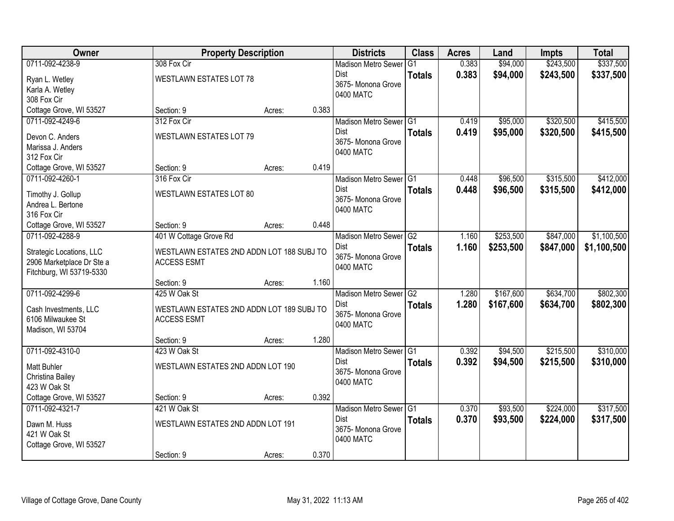| Owner                     |                                           | <b>Property Description</b> |       | <b>Districts</b>                  | <b>Class</b>  | <b>Acres</b> | Land      | <b>Impts</b> | <b>Total</b> |
|---------------------------|-------------------------------------------|-----------------------------|-------|-----------------------------------|---------------|--------------|-----------|--------------|--------------|
| 0711-092-4238-9           | 308 Fox Cir                               |                             |       | <b>Madison Metro Sewer</b>        | G1            | 0.383        | \$94,000  | \$243,500    | \$337,500    |
| Ryan L. Wetley            | <b>WESTLAWN ESTATES LOT 78</b>            |                             |       | Dist                              | <b>Totals</b> | 0.383        | \$94,000  | \$243,500    | \$337,500    |
| Karla A. Wetley           |                                           |                             |       | 3675- Monona Grove                |               |              |           |              |              |
| 308 Fox Cir               |                                           |                             |       | 0400 MATC                         |               |              |           |              |              |
| Cottage Grove, WI 53527   | Section: 9                                | Acres:                      | 0.383 |                                   |               |              |           |              |              |
| 0711-092-4249-6           | 312 Fox Cir                               |                             |       | Madison Metro Sewer G1            |               | 0.419        | \$95,000  | \$320,500    | \$415,500    |
| Devon C. Anders           | <b>WESTLAWN ESTATES LOT 79</b>            |                             |       | <b>Dist</b>                       | <b>Totals</b> | 0.419        | \$95,000  | \$320,500    | \$415,500    |
| Marissa J. Anders         |                                           |                             |       | 3675- Monona Grove                |               |              |           |              |              |
| 312 Fox Cir               |                                           |                             |       | 0400 MATC                         |               |              |           |              |              |
| Cottage Grove, WI 53527   | Section: 9                                | Acres:                      | 0.419 |                                   |               |              |           |              |              |
| 0711-092-4260-1           | 316 Fox Cir                               |                             |       | Madison Metro Sewer G1            |               | 0.448        | \$96,500  | \$315,500    | \$412,000    |
| Timothy J. Gollup         | WESTLAWN ESTATES LOT 80                   |                             |       | <b>Dist</b>                       | <b>Totals</b> | 0.448        | \$96,500  | \$315,500    | \$412,000    |
| Andrea L. Bertone         |                                           |                             |       | 3675- Monona Grove                |               |              |           |              |              |
| 316 Fox Cir               |                                           |                             |       | 0400 MATC                         |               |              |           |              |              |
| Cottage Grove, WI 53527   | Section: 9                                | Acres:                      | 0.448 |                                   |               |              |           |              |              |
| 0711-092-4288-9           | 401 W Cottage Grove Rd                    |                             |       | Madison Metro Sewer <sup>G2</sup> |               | 1.160        | \$253,500 | \$847,000    | \$1,100,500  |
| Strategic Locations, LLC  | WESTLAWN ESTATES 2ND ADDN LOT 188 SUBJ TO |                             |       | Dist                              | <b>Totals</b> | 1.160        | \$253,500 | \$847,000    | \$1,100,500  |
| 2906 Marketplace Dr Ste a | <b>ACCESS ESMT</b>                        |                             |       | 3675- Monona Grove                |               |              |           |              |              |
| Fitchburg, WI 53719-5330  |                                           |                             |       | 0400 MATC                         |               |              |           |              |              |
|                           | Section: 9                                | Acres:                      | 1.160 |                                   |               |              |           |              |              |
| 0711-092-4299-6           | 425 W Oak St                              |                             |       | Madison Metro Sewer G2            |               | 1.280        | \$167,600 | \$634,700    | \$802,300    |
| Cash Investments, LLC     | WESTLAWN ESTATES 2ND ADDN LOT 189 SUBJ TO |                             |       | <b>Dist</b>                       | <b>Totals</b> | 1.280        | \$167,600 | \$634,700    | \$802,300    |
| 6106 Milwaukee St         | <b>ACCESS ESMT</b>                        |                             |       | 3675- Monona Grove                |               |              |           |              |              |
| Madison, WI 53704         |                                           |                             |       | 0400 MATC                         |               |              |           |              |              |
|                           | Section: 9                                | Acres:                      | 1.280 |                                   |               |              |           |              |              |
| 0711-092-4310-0           | 423 W Oak St                              |                             |       | Madison Metro Sewer G1            |               | 0.392        | \$94,500  | \$215,500    | \$310,000    |
| Matt Buhler               | WESTLAWN ESTATES 2ND ADDN LOT 190         |                             |       | <b>Dist</b>                       | <b>Totals</b> | 0.392        | \$94,500  | \$215,500    | \$310,000    |
| Christina Bailey          |                                           |                             |       | 3675- Monona Grove                |               |              |           |              |              |
| 423 W Oak St              |                                           |                             |       | 0400 MATC                         |               |              |           |              |              |
| Cottage Grove, WI 53527   | Section: 9                                | Acres:                      | 0.392 |                                   |               |              |           |              |              |
| 0711-092-4321-7           | 421 W Oak St                              |                             |       | Madison Metro Sewer G1            |               | 0.370        | \$93,500  | \$224,000    | \$317,500    |
| Dawn M. Huss              | WESTLAWN ESTATES 2ND ADDN LOT 191         |                             |       | <b>Dist</b>                       | <b>Totals</b> | 0.370        | \$93,500  | \$224,000    | \$317,500    |
| 421 W Oak St              |                                           |                             |       | 3675- Monona Grove                |               |              |           |              |              |
| Cottage Grove, WI 53527   |                                           |                             |       | 0400 MATC                         |               |              |           |              |              |
|                           | Section: 9                                | Acres:                      | 0.370 |                                   |               |              |           |              |              |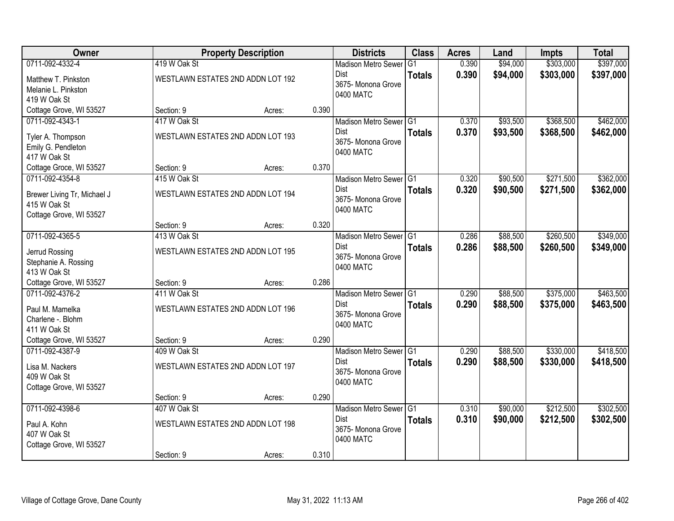| <b>Owner</b>                |              | <b>Property Description</b>       |       | <b>Districts</b>                | <b>Class</b>  | <b>Acres</b> | Land     | <b>Impts</b> | <b>Total</b> |
|-----------------------------|--------------|-----------------------------------|-------|---------------------------------|---------------|--------------|----------|--------------|--------------|
| 0711-092-4332-4             | 419 W Oak St |                                   |       | <b>Madison Metro Sewer</b>      | G1            | 0.390        | \$94,000 | \$303,000    | \$397,000    |
| Matthew T. Pinkston         |              | WESTLAWN ESTATES 2ND ADDN LOT 192 |       | Dist                            | <b>Totals</b> | 0.390        | \$94,000 | \$303,000    | \$397,000    |
| Melanie L. Pinkston         |              |                                   |       | 3675- Monona Grove              |               |              |          |              |              |
| 419 W Oak St                |              |                                   |       | 0400 MATC                       |               |              |          |              |              |
| Cottage Grove, WI 53527     | Section: 9   | Acres:                            | 0.390 |                                 |               |              |          |              |              |
| 0711-092-4343-1             | 417 W Oak St |                                   |       | Madison Metro Sewer G1          |               | 0.370        | \$93,500 | \$368,500    | \$462,000    |
| Tyler A. Thompson           |              | WESTLAWN ESTATES 2ND ADDN LOT 193 |       | <b>Dist</b>                     | <b>Totals</b> | 0.370        | \$93,500 | \$368,500    | \$462,000    |
| Emily G. Pendleton          |              |                                   |       | 3675- Monona Grove<br>0400 MATC |               |              |          |              |              |
| 417 W Oak St                |              |                                   |       |                                 |               |              |          |              |              |
| Cottage Groce, WI 53527     | Section: 9   | Acres:                            | 0.370 |                                 |               |              |          |              |              |
| 0711-092-4354-8             | 415 W Oak St |                                   |       | Madison Metro Sewer G1          |               | 0.320        | \$90,500 | \$271,500    | \$362,000    |
| Brewer Living Tr, Michael J |              | WESTLAWN ESTATES 2ND ADDN LOT 194 |       | Dist                            | <b>Totals</b> | 0.320        | \$90,500 | \$271,500    | \$362,000    |
| 415 W Oak St                |              |                                   |       | 3675-Monona Grove<br>0400 MATC  |               |              |          |              |              |
| Cottage Grove, WI 53527     |              |                                   |       |                                 |               |              |          |              |              |
|                             | Section: 9   | Acres:                            | 0.320 |                                 |               |              |          |              |              |
| 0711-092-4365-5             | 413 W Oak St |                                   |       | Madison Metro Sewer G1          |               | 0.286        | \$88,500 | \$260,500    | \$349,000    |
| Jerrud Rossing              |              | WESTLAWN ESTATES 2ND ADDN LOT 195 |       | Dist                            | <b>Totals</b> | 0.286        | \$88,500 | \$260,500    | \$349,000    |
| Stephanie A. Rossing        |              |                                   |       | 3675- Monona Grove<br>0400 MATC |               |              |          |              |              |
| 413 W Oak St                |              |                                   |       |                                 |               |              |          |              |              |
| Cottage Grove, WI 53527     | Section: 9   | Acres:                            | 0.286 |                                 |               |              |          |              |              |
| 0711-092-4376-2             | 411 W Oak St |                                   |       | Madison Metro Sewer G1          |               | 0.290        | \$88,500 | \$375,000    | \$463,500    |
| Paul M. Mamelka             |              | WESTLAWN ESTATES 2ND ADDN LOT 196 |       | Dist                            | <b>Totals</b> | 0.290        | \$88,500 | \$375,000    | \$463,500    |
| Charlene -. Blohm           |              |                                   |       | 3675- Monona Grove<br>0400 MATC |               |              |          |              |              |
| 411 W Oak St                |              |                                   |       |                                 |               |              |          |              |              |
| Cottage Grove, WI 53527     | Section: 9   | Acres:                            | 0.290 |                                 |               |              |          |              |              |
| 0711-092-4387-9             | 409 W Oak St |                                   |       | Madison Metro Sewer G1          |               | 0.290        | \$88,500 | \$330,000    | \$418,500    |
| Lisa M. Nackers             |              | WESTLAWN ESTATES 2ND ADDN LOT 197 |       | Dist                            | <b>Totals</b> | 0.290        | \$88,500 | \$330,000    | \$418,500    |
| 409 W Oak St                |              |                                   |       | 3675- Monona Grove<br>0400 MATC |               |              |          |              |              |
| Cottage Grove, WI 53527     |              |                                   |       |                                 |               |              |          |              |              |
|                             | Section: 9   | Acres:                            | 0.290 |                                 |               |              |          |              |              |
| 0711-092-4398-6             | 407 W Oak St |                                   |       | Madison Metro Sewer G1          |               | 0.310        | \$90,000 | \$212,500    | \$302,500    |
| Paul A. Kohn                |              | WESTLAWN ESTATES 2ND ADDN LOT 198 |       | <b>Dist</b>                     | <b>Totals</b> | 0.310        | \$90,000 | \$212,500    | \$302,500    |
| 407 W Oak St                |              |                                   |       | 3675- Monona Grove              |               |              |          |              |              |
| Cottage Grove, WI 53527     |              |                                   |       | 0400 MATC                       |               |              |          |              |              |
|                             | Section: 9   | Acres:                            | 0.310 |                                 |               |              |          |              |              |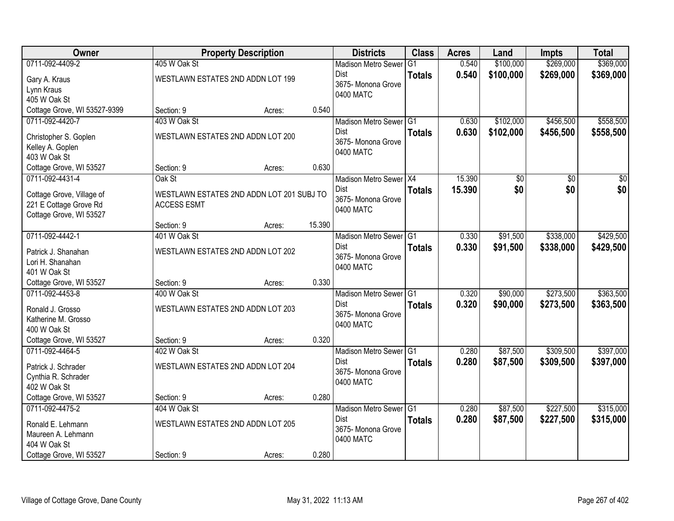| <b>Owner</b>                 |                                   | <b>Property Description</b>               |        | <b>Districts</b>           | <b>Class</b>  | <b>Acres</b> | Land      | <b>Impts</b>    | <b>Total</b>    |
|------------------------------|-----------------------------------|-------------------------------------------|--------|----------------------------|---------------|--------------|-----------|-----------------|-----------------|
| 0711-092-4409-2              | 405 W Oak St                      |                                           |        | <b>Madison Metro Sewer</b> | G1            | 0.540        | \$100,000 | \$269,000       | \$369,000       |
| Gary A. Kraus                | WESTLAWN ESTATES 2ND ADDN LOT 199 |                                           |        | Dist                       | <b>Totals</b> | 0.540        | \$100,000 | \$269,000       | \$369,000       |
| Lynn Kraus                   |                                   |                                           |        | 3675- Monona Grove         |               |              |           |                 |                 |
| 405 W Oak St                 |                                   |                                           |        | 0400 MATC                  |               |              |           |                 |                 |
| Cottage Grove, WI 53527-9399 | Section: 9                        | Acres:                                    | 0.540  |                            |               |              |           |                 |                 |
| 0711-092-4420-7              | 403 W Oak St                      |                                           |        | Madison Metro Sewer G1     |               | 0.630        | \$102,000 | \$456,500       | \$558,500       |
| Christopher S. Goplen        | WESTLAWN ESTATES 2ND ADDN LOT 200 |                                           |        | <b>Dist</b>                | <b>Totals</b> | 0.630        | \$102,000 | \$456,500       | \$558,500       |
| Kelley A. Goplen             |                                   |                                           |        | 3675- Monona Grove         |               |              |           |                 |                 |
| 403 W Oak St                 |                                   |                                           |        | 0400 MATC                  |               |              |           |                 |                 |
| Cottage Grove, WI 53527      | Section: 9                        | Acres:                                    | 0.630  |                            |               |              |           |                 |                 |
| 0711-092-4431-4              | Oak St                            |                                           |        | Madison Metro Sewer X4     |               | 15.390       | \$0       | $\overline{50}$ | $\overline{50}$ |
| Cottage Grove, Village of    |                                   | WESTLAWN ESTATES 2ND ADDN LOT 201 SUBJ TO |        | Dist                       | <b>Totals</b> | 15.390       | \$0       | \$0             | \$0             |
| 221 E Cottage Grove Rd       | <b>ACCESS ESMT</b>                |                                           |        | 3675- Monona Grove         |               |              |           |                 |                 |
| Cottage Grove, WI 53527      |                                   |                                           |        | 0400 MATC                  |               |              |           |                 |                 |
|                              | Section: 9                        | Acres:                                    | 15.390 |                            |               |              |           |                 |                 |
| 0711-092-4442-1              | 401 W Oak St                      |                                           |        | Madison Metro Sewer G1     |               | 0.330        | \$91,500  | \$338,000       | \$429,500       |
| Patrick J. Shanahan          | WESTLAWN ESTATES 2ND ADDN LOT 202 |                                           |        | Dist                       | <b>Totals</b> | 0.330        | \$91,500  | \$338,000       | \$429,500       |
| Lori H. Shanahan             |                                   |                                           |        | 3675- Monona Grove         |               |              |           |                 |                 |
| 401 W Oak St                 |                                   |                                           |        | 0400 MATC                  |               |              |           |                 |                 |
| Cottage Grove, WI 53527      | Section: 9                        | Acres:                                    | 0.330  |                            |               |              |           |                 |                 |
| 0711-092-4453-8              | 400 W Oak St                      |                                           |        | Madison Metro Sewer G1     |               | 0.320        | \$90,000  | \$273,500       | \$363,500       |
| Ronald J. Grosso             | WESTLAWN ESTATES 2ND ADDN LOT 203 |                                           |        | <b>Dist</b>                | <b>Totals</b> | 0.320        | \$90,000  | \$273,500       | \$363,500       |
| Katherine M. Grosso          |                                   |                                           |        | 3675- Monona Grove         |               |              |           |                 |                 |
| 400 W Oak St                 |                                   |                                           |        | 0400 MATC                  |               |              |           |                 |                 |
| Cottage Grove, WI 53527      | Section: 9                        | Acres:                                    | 0.320  |                            |               |              |           |                 |                 |
| 0711-092-4464-5              | 402 W Oak St                      |                                           |        | Madison Metro Sewer G1     |               | 0.280        | \$87,500  | \$309,500       | \$397,000       |
| Patrick J. Schrader          | WESTLAWN ESTATES 2ND ADDN LOT 204 |                                           |        | <b>Dist</b>                | <b>Totals</b> | 0.280        | \$87,500  | \$309,500       | \$397,000       |
| Cynthia R. Schrader          |                                   |                                           |        | 3675- Monona Grove         |               |              |           |                 |                 |
| 402 W Oak St                 |                                   |                                           |        | 0400 MATC                  |               |              |           |                 |                 |
| Cottage Grove, WI 53527      | Section: 9                        | Acres:                                    | 0.280  |                            |               |              |           |                 |                 |
| 0711-092-4475-2              | 404 W Oak St                      |                                           |        | Madison Metro Sewer G1     |               | 0.280        | \$87,500  | \$227,500       | \$315,000       |
| Ronald E. Lehmann            | WESTLAWN ESTATES 2ND ADDN LOT 205 |                                           |        | Dist                       | <b>Totals</b> | 0.280        | \$87,500  | \$227,500       | \$315,000       |
| Maureen A. Lehmann           |                                   |                                           |        | 3675- Monona Grove         |               |              |           |                 |                 |
| 404 W Oak St                 |                                   |                                           |        | 0400 MATC                  |               |              |           |                 |                 |
| Cottage Grove, WI 53527      | Section: 9                        | Acres:                                    | 0.280  |                            |               |              |           |                 |                 |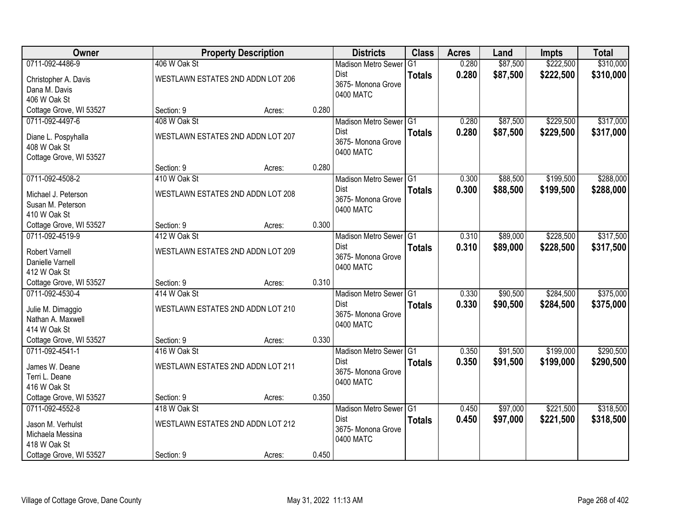| <b>Owner</b>            |              | <b>Property Description</b>       |       | <b>Districts</b>                  | <b>Class</b>  | <b>Acres</b> | Land     | <b>Impts</b> | <b>Total</b> |
|-------------------------|--------------|-----------------------------------|-------|-----------------------------------|---------------|--------------|----------|--------------|--------------|
| 0711-092-4486-9         | 406 W Oak St |                                   |       | <b>Madison Metro Sewer</b>        | G1            | 0.280        | \$87,500 | \$222,500    | \$310,000    |
| Christopher A. Davis    |              | WESTLAWN ESTATES 2ND ADDN LOT 206 |       | Dist                              | <b>Totals</b> | 0.280        | \$87,500 | \$222,500    | \$310,000    |
| Dana M. Davis           |              |                                   |       | 3675- Monona Grove                |               |              |          |              |              |
| 406 W Oak St            |              |                                   |       | 0400 MATC                         |               |              |          |              |              |
| Cottage Grove, WI 53527 | Section: 9   | Acres:                            | 0.280 |                                   |               |              |          |              |              |
| 0711-092-4497-6         | 408 W Oak St |                                   |       | Madison Metro Sewer G1            |               | 0.280        | \$87,500 | \$229,500    | \$317,000    |
| Diane L. Pospyhalla     |              | WESTLAWN ESTATES 2ND ADDN LOT 207 |       | Dist                              | <b>Totals</b> | 0.280        | \$87,500 | \$229,500    | \$317,000    |
| 408 W Oak St            |              |                                   |       | 3675- Monona Grove                |               |              |          |              |              |
| Cottage Grove, WI 53527 |              |                                   |       | 0400 MATC                         |               |              |          |              |              |
|                         | Section: 9   | Acres:                            | 0.280 |                                   |               |              |          |              |              |
| 0711-092-4508-2         | 410 W Oak St |                                   |       | Madison Metro Sewer <sup>G1</sup> |               | 0.300        | \$88,500 | \$199,500    | \$288,000    |
| Michael J. Peterson     |              | WESTLAWN ESTATES 2ND ADDN LOT 208 |       | <b>Dist</b>                       | <b>Totals</b> | 0.300        | \$88,500 | \$199,500    | \$288,000    |
| Susan M. Peterson       |              |                                   |       | 3675- Monona Grove                |               |              |          |              |              |
| 410 W Oak St            |              |                                   |       | 0400 MATC                         |               |              |          |              |              |
| Cottage Grove, WI 53527 | Section: 9   | Acres:                            | 0.300 |                                   |               |              |          |              |              |
| 0711-092-4519-9         | 412 W Oak St |                                   |       | Madison Metro Sewer G1            |               | 0.310        | \$89,000 | \$228,500    | \$317,500    |
| Robert Varnell          |              | WESTLAWN ESTATES 2ND ADDN LOT 209 |       | <b>Dist</b>                       | <b>Totals</b> | 0.310        | \$89,000 | \$228,500    | \$317,500    |
| Danielle Varnell        |              |                                   |       | 3675- Monona Grove                |               |              |          |              |              |
| 412 W Oak St            |              |                                   |       | 0400 MATC                         |               |              |          |              |              |
| Cottage Grove, WI 53527 | Section: 9   | Acres:                            | 0.310 |                                   |               |              |          |              |              |
| 0711-092-4530-4         | 414 W Oak St |                                   |       | Madison Metro Sewer G1            |               | 0.330        | \$90,500 | \$284,500    | \$375,000    |
| Julie M. Dimaggio       |              | WESTLAWN ESTATES 2ND ADDN LOT 210 |       | <b>Dist</b>                       | <b>Totals</b> | 0.330        | \$90,500 | \$284,500    | \$375,000    |
| Nathan A. Maxwell       |              |                                   |       | 3675- Monona Grove                |               |              |          |              |              |
| 414 W Oak St            |              |                                   |       | 0400 MATC                         |               |              |          |              |              |
| Cottage Grove, WI 53527 | Section: 9   | Acres:                            | 0.330 |                                   |               |              |          |              |              |
| 0711-092-4541-1         | 416 W Oak St |                                   |       | Madison Metro Sewer G1            |               | 0.350        | \$91,500 | \$199,000    | \$290,500    |
| James W. Deane          |              | WESTLAWN ESTATES 2ND ADDN LOT 211 |       | Dist                              | <b>Totals</b> | 0.350        | \$91,500 | \$199,000    | \$290,500    |
| Terri L. Deane          |              |                                   |       | 3675- Monona Grove                |               |              |          |              |              |
| 416 W Oak St            |              |                                   |       | 0400 MATC                         |               |              |          |              |              |
| Cottage Grove, WI 53527 | Section: 9   | Acres:                            | 0.350 |                                   |               |              |          |              |              |
| 0711-092-4552-8         | 418 W Oak St |                                   |       | Madison Metro Sewer G1            |               | 0.450        | \$97,000 | \$221,500    | \$318,500    |
| Jason M. Verhulst       |              | WESTLAWN ESTATES 2ND ADDN LOT 212 |       | Dist                              | <b>Totals</b> | 0.450        | \$97,000 | \$221,500    | \$318,500    |
| Michaela Messina        |              |                                   |       | 3675- Monona Grove                |               |              |          |              |              |
| 418 W Oak St            |              |                                   |       | 0400 MATC                         |               |              |          |              |              |
| Cottage Grove, WI 53527 | Section: 9   | Acres:                            | 0.450 |                                   |               |              |          |              |              |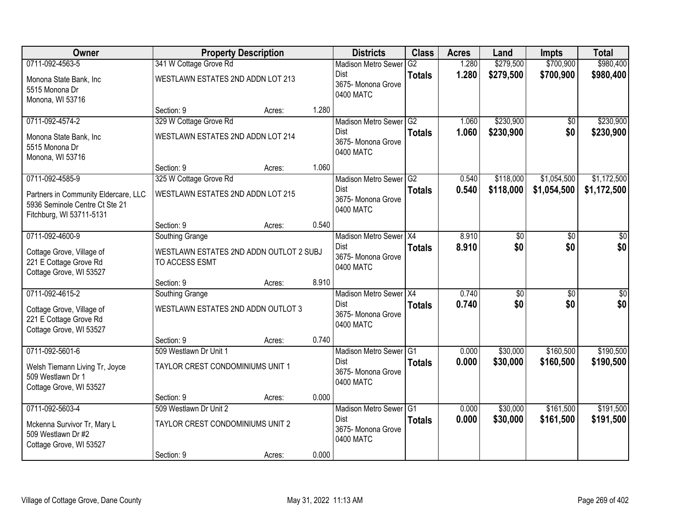| Owner                                                                                              |                                                           | <b>Property Description</b> |       | <b>Districts</b>                               | <b>Class</b>  | <b>Acres</b> | Land      | <b>Impts</b>    | <b>Total</b> |
|----------------------------------------------------------------------------------------------------|-----------------------------------------------------------|-----------------------------|-------|------------------------------------------------|---------------|--------------|-----------|-----------------|--------------|
| 0711-092-4563-5                                                                                    | 341 W Cottage Grove Rd                                    |                             |       | <b>Madison Metro Sewer</b>                     | G2            | 1.280        | \$279,500 | \$700,900       | \$980,400    |
| Monona State Bank, Inc<br>5515 Monona Dr<br>Monona, WI 53716                                       | WESTLAWN ESTATES 2ND ADDN LOT 213                         |                             |       | Dist<br>3675- Monona Grove<br>0400 MATC        | <b>Totals</b> | 1.280        | \$279,500 | \$700,900       | \$980,400    |
|                                                                                                    | Section: 9                                                | Acres:                      | 1.280 |                                                |               |              |           |                 |              |
| 0711-092-4574-2                                                                                    | 329 W Cottage Grove Rd                                    |                             |       | Madison Metro Sewer G2                         |               | 1.060        | \$230,900 | \$0             | \$230,900    |
| Monona State Bank, Inc<br>5515 Monona Dr<br>Monona, WI 53716                                       | WESTLAWN ESTATES 2ND ADDN LOT 214                         |                             |       | <b>Dist</b><br>3675- Monona Grove<br>0400 MATC | <b>Totals</b> | 1.060        | \$230,900 | \$0             | \$230,900    |
|                                                                                                    | Section: 9                                                | Acres:                      | 1.060 |                                                |               |              |           |                 |              |
| 0711-092-4585-9                                                                                    | 325 W Cottage Grove Rd                                    |                             |       | Madison Metro Sewer G2                         |               | 0.540        | \$118,000 | \$1,054,500     | \$1,172,500  |
| Partners in Community Eldercare, LLC<br>5936 Seminole Centre Ct Ste 21<br>Fitchburg, WI 53711-5131 | WESTLAWN ESTATES 2ND ADDN LOT 215                         |                             |       | Dist<br>3675- Monona Grove<br>0400 MATC        | <b>Totals</b> | 0.540        | \$118,000 | \$1,054,500     | \$1,172,500  |
|                                                                                                    | Section: 9                                                | Acres:                      | 0.540 |                                                |               |              |           |                 |              |
| 0711-092-4600-9                                                                                    | Southing Grange                                           |                             |       | Madison Metro Sewer X4                         |               | 8.910        | \$0       | \$0             | \$0          |
| Cottage Grove, Village of<br>221 E Cottage Grove Rd<br>Cottage Grove, WI 53527                     | WESTLAWN ESTATES 2ND ADDN OUTLOT 2 SUBJ<br>TO ACCESS ESMT |                             |       | Dist<br>3675-Monona Grove<br>0400 MATC         | <b>Totals</b> | 8.910        | \$0       | \$0             | \$0          |
|                                                                                                    | Section: 9                                                | Acres:                      | 8.910 |                                                |               |              |           |                 |              |
| 0711-092-4615-2                                                                                    | Southing Grange                                           |                             |       | Madison Metro Sewer X4                         |               | 0.740        | \$0       | $\overline{60}$ | \$0          |
| Cottage Grove, Village of<br>221 E Cottage Grove Rd<br>Cottage Grove, WI 53527                     | WESTLAWN ESTATES 2ND ADDN OUTLOT 3                        |                             |       | Dist<br>3675- Monona Grove<br>0400 MATC        | <b>Totals</b> | 0.740        | \$0       | \$0             | \$0          |
|                                                                                                    | Section: 9                                                | Acres:                      | 0.740 |                                                |               |              |           |                 |              |
| 0711-092-5601-6                                                                                    | 509 Westlawn Dr Unit 1                                    |                             |       | Madison Metro Sewer G1                         |               | 0.000        | \$30,000  | \$160,500       | \$190,500    |
| Welsh Tiemann Living Tr, Joyce<br>509 Westlawn Dr 1<br>Cottage Grove, WI 53527                     | TAYLOR CREST CONDOMINIUMS UNIT 1                          |                             |       | Dist<br>3675- Monona Grove<br>0400 MATC        | <b>Totals</b> | 0.000        | \$30,000  | \$160,500       | \$190,500    |
|                                                                                                    | Section: 9                                                | Acres:                      | 0.000 |                                                |               |              |           |                 |              |
| 0711-092-5603-4                                                                                    | 509 Westlawn Dr Unit 2                                    |                             |       | Madison Metro Sewer G1                         |               | 0.000        | \$30,000  | \$161,500       | \$191,500    |
| Mckenna Survivor Tr, Mary L<br>509 Westlawn Dr #2<br>Cottage Grove, WI 53527                       | TAYLOR CREST CONDOMINIUMS UNIT 2                          |                             |       | <b>Dist</b><br>3675- Monona Grove<br>0400 MATC | <b>Totals</b> | 0.000        | \$30,000  | \$161,500       | \$191,500    |
|                                                                                                    | Section: 9                                                | Acres:                      | 0.000 |                                                |               |              |           |                 |              |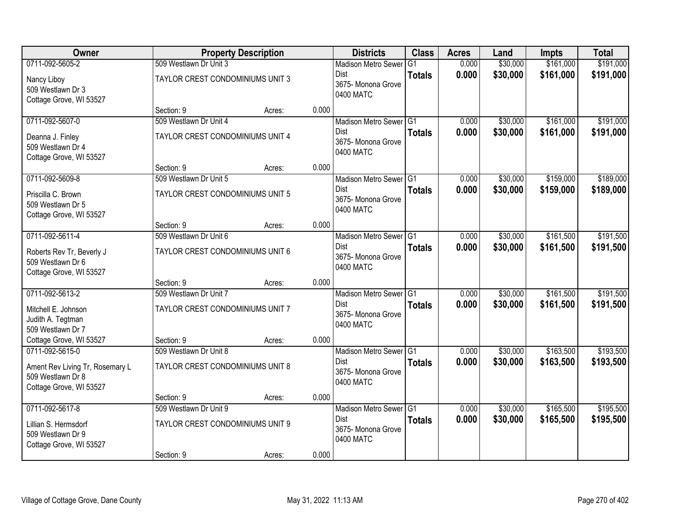| Owner                                                                                              |                                                            | <b>Property Description</b> |       | <b>Districts</b>                                                         | <b>Class</b>   | <b>Acres</b>   | Land                 | <b>Impts</b>           | <b>Total</b>           |
|----------------------------------------------------------------------------------------------------|------------------------------------------------------------|-----------------------------|-------|--------------------------------------------------------------------------|----------------|----------------|----------------------|------------------------|------------------------|
| 0711-092-5605-2                                                                                    | 509 Westlawn Dr Unit 3                                     |                             |       | <b>Madison Metro Sewer</b>                                               | G <sub>1</sub> | 0.000          | \$30,000             | \$161,000              | \$191,000              |
| Nancy Liboy<br>509 Westlawn Dr 3<br>Cottage Grove, WI 53527                                        | TAYLOR CREST CONDOMINIUMS UNIT 3                           |                             |       | Dist<br>3675- Monona Grove<br>0400 MATC                                  | <b>Totals</b>  | 0.000          | \$30,000             | \$161,000              | \$191,000              |
|                                                                                                    | Section: 9                                                 | Acres:                      | 0.000 |                                                                          |                |                |                      |                        |                        |
| 0711-092-5607-0<br>Deanna J. Finley<br>509 Westlawn Dr 4<br>Cottage Grove, WI 53527                | 509 Westlawn Dr Unit 4<br>TAYLOR CREST CONDOMINIUMS UNIT 4 |                             |       | Madison Metro Sewer G1<br><b>Dist</b><br>3675- Monona Grove<br>0400 MATC | <b>Totals</b>  | 0.000<br>0.000 | \$30,000<br>\$30,000 | \$161,000<br>\$161,000 | \$191,000<br>\$191,000 |
|                                                                                                    | Section: 9                                                 | Acres:                      | 0.000 |                                                                          |                |                |                      |                        |                        |
| 0711-092-5609-8<br>Priscilla C. Brown<br>509 Westlawn Dr 5<br>Cottage Grove, WI 53527              | 509 Westlawn Dr Unit 5<br>TAYLOR CREST CONDOMINIUMS UNIT 5 |                             |       | Madison Metro Sewer G1<br>Dist<br>3675-Monona Grove<br>0400 MATC         | <b>Totals</b>  | 0.000<br>0.000 | \$30,000<br>\$30,000 | \$159,000<br>\$159,000 | \$189,000<br>\$189,000 |
|                                                                                                    | Section: 9                                                 | Acres:                      | 0.000 |                                                                          |                |                |                      |                        |                        |
| 0711-092-5611-4<br>Roberts Rev Tr, Beverly J                                                       | 509 Westlawn Dr Unit 6<br>TAYLOR CREST CONDOMINIUMS UNIT 6 |                             |       | Madison Metro Sewer G1<br>Dist<br>3675- Monona Grove                     | <b>Totals</b>  | 0.000<br>0.000 | \$30,000<br>\$30,000 | \$161,500<br>\$161,500 | \$191,500<br>\$191,500 |
| 509 Westlawn Dr 6<br>Cottage Grove, WI 53527                                                       |                                                            |                             |       | 0400 MATC                                                                |                |                |                      |                        |                        |
| 0711-092-5613-2                                                                                    | Section: 9<br>509 Westlawn Dr Unit 7                       | Acres:                      | 0.000 | Madison Metro Sewer <sup>G1</sup>                                        |                | 0.000          | \$30,000             | \$161,500              | \$191,500              |
| Mitchell E. Johnson<br>Judith A. Tegtman<br>509 Westlawn Dr 7                                      | TAYLOR CREST CONDOMINIUMS UNIT 7                           |                             |       | Dist<br>3675- Monona Grove<br>0400 MATC                                  | <b>Totals</b>  | 0.000          | \$30,000             | \$161,500              | \$191,500              |
| Cottage Grove, WI 53527                                                                            | Section: 9                                                 | Acres:                      | 0.000 |                                                                          |                |                |                      |                        |                        |
| 0711-092-5615-0<br>Ament Rev Living Tr, Rosemary L<br>509 Westlawn Dr 8<br>Cottage Grove, WI 53527 | 509 Westlawn Dr Unit 8<br>TAYLOR CREST CONDOMINIUMS UNIT 8 |                             |       | Madison Metro Sewer G1<br>Dist<br>3675- Monona Grove<br>0400 MATC        | <b>Totals</b>  | 0.000<br>0.000 | \$30,000<br>\$30,000 | \$163,500<br>\$163,500 | \$193,500<br>\$193,500 |
|                                                                                                    | Section: 9                                                 | Acres:                      | 0.000 |                                                                          |                |                |                      |                        |                        |
| 0711-092-5617-8<br>Lillian S. Hermsdorf<br>509 Westlawn Dr 9<br>Cottage Grove, WI 53527            | 509 Westlawn Dr Unit 9<br>TAYLOR CREST CONDOMINIUMS UNIT 9 |                             |       | Madison Metro Sewer G1<br><b>Dist</b><br>3675- Monona Grove<br>0400 MATC | <b>Totals</b>  | 0.000<br>0.000 | \$30,000<br>\$30,000 | \$165,500<br>\$165,500 | \$195,500<br>\$195,500 |
|                                                                                                    | Section: 9                                                 | Acres:                      | 0.000 |                                                                          |                |                |                      |                        |                        |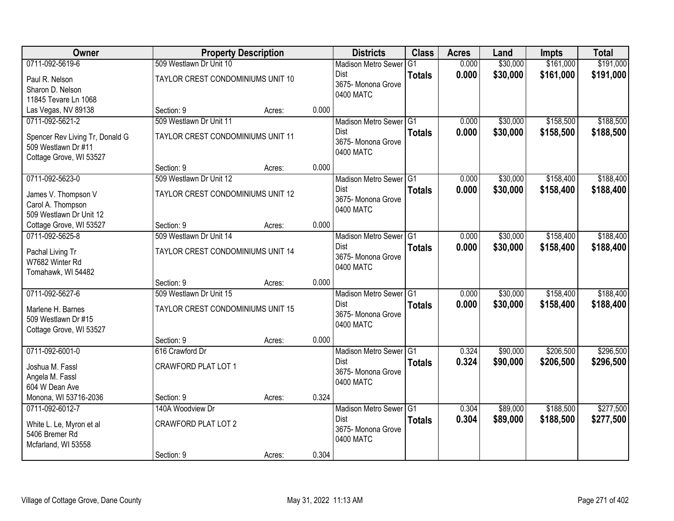| Owner                           |                                   | <b>Property Description</b> |       | <b>Districts</b>           | <b>Class</b>   | <b>Acres</b> | Land     | <b>Impts</b> | <b>Total</b> |
|---------------------------------|-----------------------------------|-----------------------------|-------|----------------------------|----------------|--------------|----------|--------------|--------------|
| 0711-092-5619-6                 | 509 Westlawn Dr Unit 10           |                             |       | <b>Madison Metro Sewer</b> | G <sub>1</sub> | 0.000        | \$30,000 | \$161,000    | \$191,000    |
| Paul R. Nelson                  | TAYLOR CREST CONDOMINIUMS UNIT 10 |                             |       | Dist                       | <b>Totals</b>  | 0.000        | \$30,000 | \$161,000    | \$191,000    |
| Sharon D. Nelson                |                                   |                             |       | 3675- Monona Grove         |                |              |          |              |              |
| 11845 Tevare Ln 1068            |                                   |                             |       | 0400 MATC                  |                |              |          |              |              |
| Las Vegas, NV 89138             | Section: 9                        | Acres:                      | 0.000 |                            |                |              |          |              |              |
| 0711-092-5621-2                 | 509 Westlawn Dr Unit 11           |                             |       | Madison Metro Sewer G1     |                | 0.000        | \$30,000 | \$158,500    | \$188,500    |
| Spencer Rev Living Tr, Donald G | TAYLOR CREST CONDOMINIUMS UNIT 11 |                             |       | <b>Dist</b>                | <b>Totals</b>  | 0.000        | \$30,000 | \$158,500    | \$188,500    |
| 509 Westlawn Dr #11             |                                   |                             |       | 3675- Monona Grove         |                |              |          |              |              |
| Cottage Grove, WI 53527         |                                   |                             |       | 0400 MATC                  |                |              |          |              |              |
|                                 | Section: 9                        | Acres:                      | 0.000 |                            |                |              |          |              |              |
| 0711-092-5623-0                 | 509 Westlawn Dr Unit 12           |                             |       | Madison Metro Sewer G1     |                | 0.000        | \$30,000 | \$158,400    | \$188,400    |
| James V. Thompson V             | TAYLOR CREST CONDOMINIUMS UNIT 12 |                             |       | <b>Dist</b>                | <b>Totals</b>  | 0.000        | \$30,000 | \$158,400    | \$188,400    |
| Carol A. Thompson               |                                   |                             |       | 3675-Monona Grove          |                |              |          |              |              |
| 509 Westlawn Dr Unit 12         |                                   |                             |       | 0400 MATC                  |                |              |          |              |              |
| Cottage Grove, WI 53527         | Section: 9                        | Acres:                      | 0.000 |                            |                |              |          |              |              |
| 0711-092-5625-8                 | 509 Westlawn Dr Unit 14           |                             |       | Madison Metro Sewer G1     |                | 0.000        | \$30,000 | \$158,400    | \$188,400    |
| Pachal Living Tr                | TAYLOR CREST CONDOMINIUMS UNIT 14 |                             |       | Dist                       | <b>Totals</b>  | 0.000        | \$30,000 | \$158,400    | \$188,400    |
| W7682 Winter Rd                 |                                   |                             |       | 3675- Monona Grove         |                |              |          |              |              |
| Tomahawk, WI 54482              |                                   |                             |       | 0400 MATC                  |                |              |          |              |              |
|                                 | Section: 9                        | Acres:                      | 0.000 |                            |                |              |          |              |              |
| 0711-092-5627-6                 | 509 Westlawn Dr Unit 15           |                             |       | Madison Metro Sewer G1     |                | 0.000        | \$30,000 | \$158,400    | \$188,400    |
| Marlene H. Barnes               | TAYLOR CREST CONDOMINIUMS UNIT 15 |                             |       | Dist                       | <b>Totals</b>  | 0.000        | \$30,000 | \$158,400    | \$188,400    |
| 509 Westlawn Dr #15             |                                   |                             |       | 3675- Monona Grove         |                |              |          |              |              |
| Cottage Grove, WI 53527         |                                   |                             |       | 0400 MATC                  |                |              |          |              |              |
|                                 | Section: 9                        | Acres:                      | 0.000 |                            |                |              |          |              |              |
| 0711-092-6001-0                 | 616 Crawford Dr                   |                             |       | Madison Metro Sewer G1     |                | 0.324        | \$90,000 | \$206,500    | \$296,500    |
| Joshua M. Fassl                 | <b>CRAWFORD PLAT LOT 1</b>        |                             |       | Dist                       | <b>Totals</b>  | 0.324        | \$90,000 | \$206,500    | \$296,500    |
| Angela M. Fassl                 |                                   |                             |       | 3675- Monona Grove         |                |              |          |              |              |
| 604 W Dean Ave                  |                                   |                             |       | 0400 MATC                  |                |              |          |              |              |
| Monona, WI 53716-2036           | Section: 9                        | Acres:                      | 0.324 |                            |                |              |          |              |              |
| 0711-092-6012-7                 | 140A Woodview Dr                  |                             |       | Madison Metro Sewer G1     |                | 0.304        | \$89,000 | \$188,500    | \$277,500    |
| White L. Le, Myron et al        | <b>CRAWFORD PLAT LOT 2</b>        |                             |       | <b>Dist</b>                | <b>Totals</b>  | 0.304        | \$89,000 | \$188,500    | \$277,500    |
| 5406 Bremer Rd                  |                                   |                             |       | 3675-Monona Grove          |                |              |          |              |              |
| Mcfarland, WI 53558             |                                   |                             |       | 0400 MATC                  |                |              |          |              |              |
|                                 | Section: 9                        | Acres:                      | 0.304 |                            |                |              |          |              |              |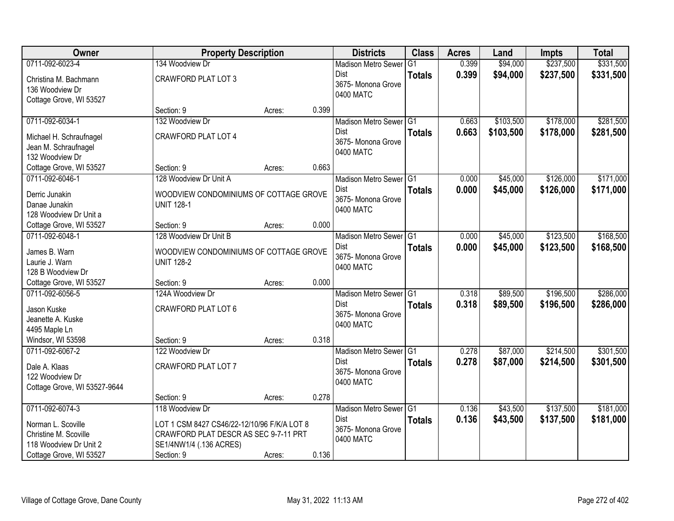| Owner                        | <b>Property Description</b>                 |        |       | <b>Districts</b>           | <b>Class</b>  | <b>Acres</b> | Land      | <b>Impts</b> | <b>Total</b> |
|------------------------------|---------------------------------------------|--------|-------|----------------------------|---------------|--------------|-----------|--------------|--------------|
| 0711-092-6023-4              | 134 Woodview Dr                             |        |       | <b>Madison Metro Sewer</b> | G1            | 0.399        | \$94,000  | \$237,500    | \$331,500    |
| Christina M. Bachmann        | <b>CRAWFORD PLAT LOT 3</b>                  |        |       | Dist                       | <b>Totals</b> | 0.399        | \$94,000  | \$237,500    | \$331,500    |
| 136 Woodview Dr              |                                             |        |       | 3675- Monona Grove         |               |              |           |              |              |
| Cottage Grove, WI 53527      |                                             |        |       | 0400 MATC                  |               |              |           |              |              |
|                              | Section: 9                                  | Acres: | 0.399 |                            |               |              |           |              |              |
| 0711-092-6034-1              | 132 Woodview Dr                             |        |       | Madison Metro Sewer G1     |               | 0.663        | \$103,500 | \$178,000    | \$281,500    |
| Michael H. Schraufnagel      | <b>CRAWFORD PLAT LOT 4</b>                  |        |       | Dist                       | <b>Totals</b> | 0.663        | \$103,500 | \$178,000    | \$281,500    |
| Jean M. Schraufnagel         |                                             |        |       | 3675- Monona Grove         |               |              |           |              |              |
| 132 Woodview Dr              |                                             |        |       | 0400 MATC                  |               |              |           |              |              |
| Cottage Grove, WI 53527      | Section: 9                                  | Acres: | 0.663 |                            |               |              |           |              |              |
| 0711-092-6046-1              | 128 Woodview Dr Unit A                      |        |       | Madison Metro Sewer G1     |               | 0.000        | \$45,000  | \$126,000    | \$171,000    |
| Derric Junakin               | WOODVIEW CONDOMINIUMS OF COTTAGE GROVE      |        |       | Dist                       | <b>Totals</b> | 0.000        | \$45,000  | \$126,000    | \$171,000    |
| Danae Junakin                | <b>UNIT 128-1</b>                           |        |       | 3675- Monona Grove         |               |              |           |              |              |
| 128 Woodview Dr Unit a       |                                             |        |       | 0400 MATC                  |               |              |           |              |              |
| Cottage Grove, WI 53527      | Section: 9                                  | Acres: | 0.000 |                            |               |              |           |              |              |
| 0711-092-6048-1              | 128 Woodview Dr Unit B                      |        |       | Madison Metro Sewer G1     |               | 0.000        | \$45,000  | \$123,500    | \$168,500    |
|                              |                                             |        |       | Dist                       | <b>Totals</b> | 0.000        | \$45,000  | \$123,500    | \$168,500    |
| James B. Warn                | WOODVIEW CONDOMINIUMS OF COTTAGE GROVE      |        |       | 3675- Monona Grove         |               |              |           |              |              |
| Laurie J. Warn               | <b>UNIT 128-2</b>                           |        |       | 0400 MATC                  |               |              |           |              |              |
| 128 B Woodview Dr            |                                             |        |       |                            |               |              |           |              |              |
| Cottage Grove, WI 53527      | Section: 9                                  | Acres: | 0.000 |                            |               |              |           |              |              |
| 0711-092-6056-5              | 124A Woodview Dr                            |        |       | Madison Metro Sewer G1     |               | 0.318        | \$89,500  | \$196,500    | \$286,000    |
| Jason Kuske                  | CRAWFORD PLAT LOT 6                         |        |       | Dist<br>3675- Monona Grove | <b>Totals</b> | 0.318        | \$89,500  | \$196,500    | \$286,000    |
| Jeanette A. Kuske            |                                             |        |       | 0400 MATC                  |               |              |           |              |              |
| 4495 Maple Ln                |                                             |        |       |                            |               |              |           |              |              |
| Windsor, WI 53598            | Section: 9                                  | Acres: | 0.318 |                            |               |              |           |              |              |
| 0711-092-6067-2              | 122 Woodview Dr                             |        |       | Madison Metro Sewer G1     |               | 0.278        | \$87,000  | \$214,500    | \$301,500    |
| Dale A. Klaas                | CRAWFORD PLAT LOT 7                         |        |       | <b>Dist</b>                | <b>Totals</b> | 0.278        | \$87,000  | \$214,500    | \$301,500    |
| 122 Woodview Dr              |                                             |        |       | 3675- Monona Grove         |               |              |           |              |              |
| Cottage Grove, WI 53527-9644 |                                             |        |       | 0400 MATC                  |               |              |           |              |              |
|                              | Section: 9                                  | Acres: | 0.278 |                            |               |              |           |              |              |
| 0711-092-6074-3              | 118 Woodview Dr                             |        |       | Madison Metro Sewer G1     |               | 0.136        | \$43,500  | \$137,500    | \$181,000    |
| Norman L. Scoville           | LOT 1 CSM 8427 CS46/22-12/10/96 F/K/A LOT 8 |        |       | Dist                       | <b>Totals</b> | 0.136        | \$43,500  | \$137,500    | \$181,000    |
| Christine M. Scoville        | CRAWFORD PLAT DESCR AS SEC 9-7-11 PRT       |        |       | 3675- Monona Grove         |               |              |           |              |              |
| 118 Woodview Dr Unit 2       | SE1/4NW1/4 (.136 ACRES)                     |        |       | 0400 MATC                  |               |              |           |              |              |
| Cottage Grove, WI 53527      | Section: 9                                  | Acres: | 0.136 |                            |               |              |           |              |              |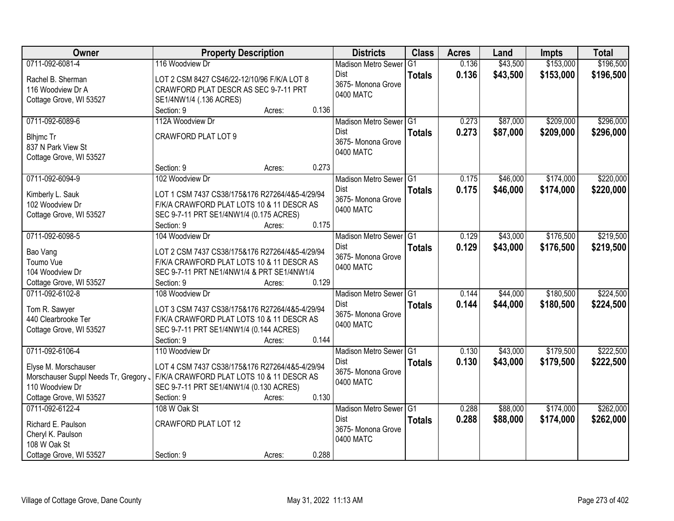| <b>Owner</b>                                                                                                | <b>Property Description</b>                                                                                                                                                                | <b>Districts</b>                                                         | <b>Class</b>  | <b>Acres</b>   | Land                 | <b>Impts</b>           | <b>Total</b>           |
|-------------------------------------------------------------------------------------------------------------|--------------------------------------------------------------------------------------------------------------------------------------------------------------------------------------------|--------------------------------------------------------------------------|---------------|----------------|----------------------|------------------------|------------------------|
| 0711-092-6081-4                                                                                             | 116 Woodview Dr                                                                                                                                                                            | <b>Madison Metro Sewer</b>                                               | G1            | 0.136          | \$43,500             | \$153,000              | \$196,500              |
| Rachel B. Sherman<br>116 Woodview Dr A<br>Cottage Grove, WI 53527                                           | LOT 2 CSM 8427 CS46/22-12/10/96 F/K/A LOT 8<br>CRAWFORD PLAT DESCR AS SEC 9-7-11 PRT<br>SE1/4NW1/4 (.136 ACRES)                                                                            | Dist<br>3675- Monona Grove<br>0400 MATC                                  | <b>Totals</b> | 0.136          | \$43,500             | \$153,000              | \$196,500              |
|                                                                                                             | 0.136<br>Section: 9<br>Acres:                                                                                                                                                              |                                                                          |               |                |                      |                        |                        |
| 0711-092-6089-6<br><b>Blhjmc Tr</b>                                                                         | 112A Woodview Dr<br><b>CRAWFORD PLAT LOT 9</b>                                                                                                                                             | Madison Metro Sewer G1<br>Dist<br>3675- Monona Grove                     | <b>Totals</b> | 0.273<br>0.273 | \$87,000<br>\$87,000 | \$209,000<br>\$209,000 | \$296,000<br>\$296,000 |
| 837 N Park View St<br>Cottage Grove, WI 53527                                                               | 0.273<br>Section: 9                                                                                                                                                                        | 0400 MATC                                                                |               |                |                      |                        |                        |
| 0711-092-6094-9                                                                                             | Acres:<br>102 Woodview Dr                                                                                                                                                                  | Madison Metro Sewer G1                                                   |               | 0.175          | \$46,000             | \$174,000              | \$220,000              |
| Kimberly L. Sauk<br>102 Woodview Dr<br>Cottage Grove, WI 53527                                              | LOT 1 CSM 7437 CS38/175&176 R27264/4&5-4/29/94<br>F/K/A CRAWFORD PLAT LOTS 10 & 11 DESCR AS<br>SEC 9-7-11 PRT SE1/4NW1/4 (0.175 ACRES)                                                     | Dist<br>3675- Monona Grove<br>0400 MATC                                  | <b>Totals</b> | 0.175          | \$46,000             | \$174,000              | \$220,000              |
|                                                                                                             | 0.175<br>Section: 9<br>Acres:                                                                                                                                                              |                                                                          |               |                |                      |                        |                        |
| 0711-092-6098-5<br>Bao Vang<br>Toumo Vue<br>104 Woodview Dr                                                 | 104 Woodview Dr<br>LOT 2 CSM 7437 CS38/175&176 R27264/4&5-4/29/94<br>F/K/A CRAWFORD PLAT LOTS 10 & 11 DESCR AS<br>SEC 9-7-11 PRT NE1/4NW1/4 & PRT SE1/4NW1/4                               | Madison Metro Sewer G1<br>Dist<br>3675- Monona Grove<br>0400 MATC        | <b>Totals</b> | 0.129<br>0.129 | \$43,000<br>\$43,000 | \$176,500<br>\$176,500 | \$219,500<br>\$219,500 |
| Cottage Grove, WI 53527                                                                                     | 0.129<br>Section: 9<br>Acres:                                                                                                                                                              |                                                                          |               |                |                      |                        |                        |
| 0711-092-6102-8<br>Tom R. Sawyer<br>440 Clearbrooke Ter<br>Cottage Grove, WI 53527                          | 108 Woodview Dr<br>LOT 3 CSM 7437 CS38/175&176 R27264/4&5-4/29/94<br>F/K/A CRAWFORD PLAT LOTS 10 & 11 DESCR AS<br>SEC 9-7-11 PRT SE1/4NW1/4 (0.144 ACRES)<br>Section: 9<br>0.144<br>Acres: | Madison Metro Sewer G1<br><b>Dist</b><br>3675- Monona Grove<br>0400 MATC | <b>Totals</b> | 0.144<br>0.144 | \$44,000<br>\$44,000 | \$180,500<br>\$180,500 | \$224,500<br>\$224,500 |
| 0711-092-6106-4                                                                                             | 110 Woodview Dr                                                                                                                                                                            | Madison Metro Sewer G1                                                   |               | 0.130          | \$43,000             | \$179,500              | \$222,500              |
| Elyse M. Morschauser<br>Morschauser Suppl Needs Tr, Gregory .<br>110 Woodview Dr<br>Cottage Grove, WI 53527 | LOT 4 CSM 7437 CS38/175&176 R27264/4&5-4/29/94<br>F/K/A CRAWFORD PLAT LOTS 10 & 11 DESCR AS<br>SEC 9-7-11 PRT SE1/4NW1/4 (0.130 ACRES)<br>0.130<br>Section: 9<br>Acres:                    | Dist<br>3675- Monona Grove<br>0400 MATC                                  | <b>Totals</b> | 0.130          | \$43,000             | \$179,500              | \$222,500              |
| 0711-092-6122-4<br>Richard E. Paulson<br>Cheryl K. Paulson<br>108 W Oak St                                  | 108 W Oak St<br><b>CRAWFORD PLAT LOT 12</b>                                                                                                                                                | Madison Metro Sewer G1<br><b>Dist</b><br>3675-Monona Grove<br>0400 MATC  | <b>Totals</b> | 0.288<br>0.288 | \$88,000<br>\$88,000 | \$174,000<br>\$174,000 | \$262,000<br>\$262,000 |
| Cottage Grove, WI 53527                                                                                     | 0.288<br>Section: 9<br>Acres:                                                                                                                                                              |                                                                          |               |                |                      |                        |                        |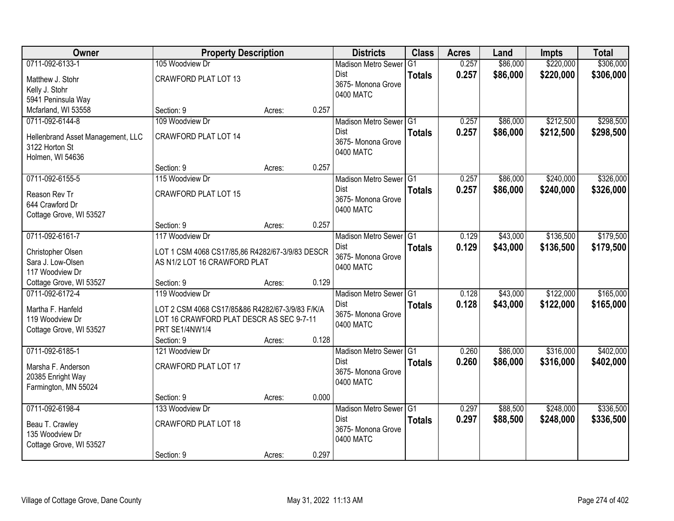| Owner                             | <b>Property Description</b>                     |        |       | <b>Districts</b>           | <b>Class</b>  | <b>Acres</b> | Land     | <b>Impts</b> | <b>Total</b> |
|-----------------------------------|-------------------------------------------------|--------|-------|----------------------------|---------------|--------------|----------|--------------|--------------|
| 0711-092-6133-1                   | 105 Woodview Dr                                 |        |       | <b>Madison Metro Sewer</b> | G1            | 0.257        | \$86,000 | \$220,000    | \$306,000    |
| Matthew J. Stohr                  | <b>CRAWFORD PLAT LOT 13</b>                     |        |       | Dist                       | <b>Totals</b> | 0.257        | \$86,000 | \$220,000    | \$306,000    |
| Kelly J. Stohr                    |                                                 |        |       | 3675- Monona Grove         |               |              |          |              |              |
| 5941 Peninsula Way                |                                                 |        |       | 0400 MATC                  |               |              |          |              |              |
| Mcfarland, WI 53558               | Section: 9                                      | Acres: | 0.257 |                            |               |              |          |              |              |
| 0711-092-6144-8                   | 109 Woodview Dr                                 |        |       | Madison Metro Sewer G1     |               | 0.257        | \$86,000 | \$212,500    | \$298,500    |
| Hellenbrand Asset Management, LLC | <b>CRAWFORD PLAT LOT 14</b>                     |        |       | Dist                       | <b>Totals</b> | 0.257        | \$86,000 | \$212,500    | \$298,500    |
| 3122 Horton St                    |                                                 |        |       | 3675- Monona Grove         |               |              |          |              |              |
| Holmen, WI 54636                  |                                                 |        |       | 0400 MATC                  |               |              |          |              |              |
|                                   | Section: 9                                      | Acres: | 0.257 |                            |               |              |          |              |              |
| 0711-092-6155-5                   | 115 Woodview Dr                                 |        |       | Madison Metro Sewer G1     |               | 0.257        | \$86,000 | \$240,000    | \$326,000    |
| Reason Rev Tr                     | <b>CRAWFORD PLAT LOT 15</b>                     |        |       | Dist                       | <b>Totals</b> | 0.257        | \$86,000 | \$240,000    | \$326,000    |
| 644 Crawford Dr                   |                                                 |        |       | 3675- Monona Grove         |               |              |          |              |              |
| Cottage Grove, WI 53527           |                                                 |        |       | 0400 MATC                  |               |              |          |              |              |
|                                   | Section: 9                                      | Acres: | 0.257 |                            |               |              |          |              |              |
| 0711-092-6161-7                   | 117 Woodview Dr                                 |        |       | Madison Metro Sewer G1     |               | 0.129        | \$43,000 | \$136,500    | \$179,500    |
| Christopher Olsen                 | LOT 1 CSM 4068 CS17/85,86 R4282/67-3/9/83 DESCR |        |       | <b>Dist</b>                | <b>Totals</b> | 0.129        | \$43,000 | \$136,500    | \$179,500    |
| Sara J. Low-Olsen                 | AS N1/2 LOT 16 CRAWFORD PLAT                    |        |       | 3675- Monona Grove         |               |              |          |              |              |
| 117 Woodview Dr                   |                                                 |        |       | 0400 MATC                  |               |              |          |              |              |
| Cottage Grove, WI 53527           | Section: 9                                      | Acres: | 0.129 |                            |               |              |          |              |              |
| 0711-092-6172-4                   | 119 Woodview Dr                                 |        |       | Madison Metro Sewer G1     |               | 0.128        | \$43,000 | \$122,000    | \$165,000    |
| Martha F. Hanfeld                 | LOT 2 CSM 4068 CS17/85&86 R4282/67-3/9/83 F/K/A |        |       | <b>Dist</b>                | <b>Totals</b> | 0.128        | \$43,000 | \$122,000    | \$165,000    |
| 119 Woodview Dr                   | LOT 16 CRAWFORD PLAT DESCR AS SEC 9-7-11        |        |       | 3675- Monona Grove         |               |              |          |              |              |
| Cottage Grove, WI 53527           | PRT SE1/4NW1/4                                  |        |       | 0400 MATC                  |               |              |          |              |              |
|                                   | Section: 9                                      | Acres: | 0.128 |                            |               |              |          |              |              |
| 0711-092-6185-1                   | 121 Woodview Dr                                 |        |       | Madison Metro Sewer G1     |               | 0.260        | \$86,000 | \$316,000    | \$402,000    |
| Marsha F. Anderson                | <b>CRAWFORD PLAT LOT 17</b>                     |        |       | <b>Dist</b>                | <b>Totals</b> | 0.260        | \$86,000 | \$316,000    | \$402,000    |
| 20385 Enright Way                 |                                                 |        |       | 3675- Monona Grove         |               |              |          |              |              |
| Farmington, MN 55024              |                                                 |        |       | 0400 MATC                  |               |              |          |              |              |
|                                   | Section: 9                                      | Acres: | 0.000 |                            |               |              |          |              |              |
| 0711-092-6198-4                   | 133 Woodview Dr                                 |        |       | Madison Metro Sewer G1     |               | 0.297        | \$88,500 | \$248,000    | \$336,500    |
| Beau T. Crawley                   | <b>CRAWFORD PLAT LOT 18</b>                     |        |       | <b>Dist</b>                | <b>Totals</b> | 0.297        | \$88,500 | \$248,000    | \$336,500    |
| 135 Woodview Dr                   |                                                 |        |       | 3675- Monona Grove         |               |              |          |              |              |
| Cottage Grove, WI 53527           |                                                 |        |       | 0400 MATC                  |               |              |          |              |              |
|                                   | Section: 9                                      | Acres: | 0.297 |                            |               |              |          |              |              |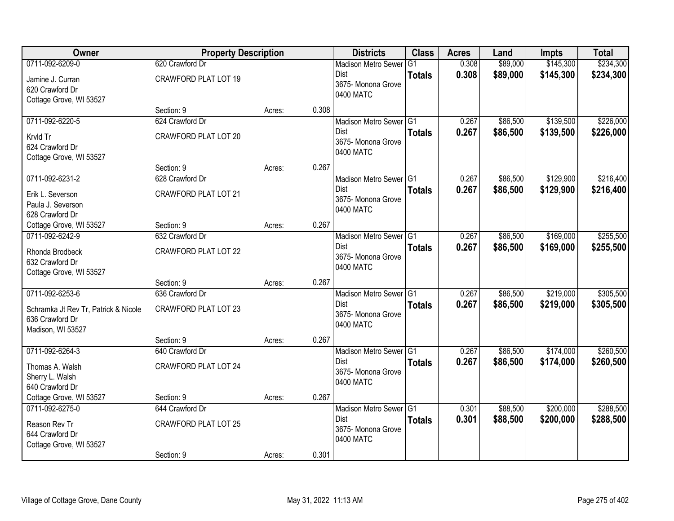| Owner                                | <b>Property Description</b> |        |       | <b>Districts</b>                  | <b>Class</b>  | <b>Acres</b> | Land     | <b>Impts</b> | <b>Total</b> |
|--------------------------------------|-----------------------------|--------|-------|-----------------------------------|---------------|--------------|----------|--------------|--------------|
| 0711-092-6209-0                      | 620 Crawford Dr             |        |       | <b>Madison Metro Sewer</b>        | G1            | 0.308        | \$89,000 | \$145,300    | \$234,300    |
| Jamine J. Curran                     | <b>CRAWFORD PLAT LOT 19</b> |        |       | Dist<br>3675- Monona Grove        | <b>Totals</b> | 0.308        | \$89,000 | \$145,300    | \$234,300    |
| 620 Crawford Dr                      |                             |        |       | 0400 MATC                         |               |              |          |              |              |
| Cottage Grove, WI 53527              |                             |        |       |                                   |               |              |          |              |              |
|                                      | Section: 9                  | Acres: | 0.308 |                                   |               |              |          |              |              |
| 0711-092-6220-5                      | 624 Crawford Dr             |        |       | Madison Metro Sewer G1            |               | 0.267        | \$86,500 | \$139,500    | \$226,000    |
| Krvld Tr                             | CRAWFORD PLAT LOT 20        |        |       | Dist<br>3675- Monona Grove        | <b>Totals</b> | 0.267        | \$86,500 | \$139,500    | \$226,000    |
| 624 Crawford Dr                      |                             |        |       | 0400 MATC                         |               |              |          |              |              |
| Cottage Grove, WI 53527              |                             |        |       |                                   |               |              |          |              |              |
|                                      | Section: 9                  | Acres: | 0.267 |                                   |               |              |          |              |              |
| 0711-092-6231-2                      | 628 Crawford Dr             |        |       | Madison Metro Sewer G1            |               | 0.267        | \$86,500 | \$129,900    | \$216,400    |
| Erik L. Severson                     | <b>CRAWFORD PLAT LOT 21</b> |        |       | <b>Dist</b><br>3675- Monona Grove | <b>Totals</b> | 0.267        | \$86,500 | \$129,900    | \$216,400    |
| Paula J. Severson                    |                             |        |       | 0400 MATC                         |               |              |          |              |              |
| 628 Crawford Dr                      |                             |        |       |                                   |               |              |          |              |              |
| Cottage Grove, WI 53527              | Section: 9                  | Acres: | 0.267 |                                   |               |              |          |              |              |
| 0711-092-6242-9                      | 632 Crawford Dr             |        |       | Madison Metro Sewer G1            |               | 0.267        | \$86,500 | \$169,000    | \$255,500    |
| Rhonda Brodbeck                      | <b>CRAWFORD PLAT LOT 22</b> |        |       | Dist<br>3675- Monona Grove        | <b>Totals</b> | 0.267        | \$86,500 | \$169,000    | \$255,500    |
| 632 Crawford Dr                      |                             |        |       | 0400 MATC                         |               |              |          |              |              |
| Cottage Grove, WI 53527              |                             |        |       |                                   |               |              |          |              |              |
|                                      | Section: 9                  | Acres: | 0.267 |                                   |               |              |          |              |              |
| 0711-092-6253-6                      | 636 Crawford Dr             |        |       | Madison Metro Sewer G1            |               | 0.267        | \$86,500 | \$219,000    | \$305,500    |
| Schramka Jt Rev Tr, Patrick & Nicole | <b>CRAWFORD PLAT LOT 23</b> |        |       | <b>Dist</b><br>3675- Monona Grove | <b>Totals</b> | 0.267        | \$86,500 | \$219,000    | \$305,500    |
| 636 Crawford Dr                      |                             |        |       | 0400 MATC                         |               |              |          |              |              |
| Madison, WI 53527                    |                             |        |       |                                   |               |              |          |              |              |
|                                      | Section: 9                  | Acres: | 0.267 |                                   |               |              |          |              |              |
| 0711-092-6264-3                      | 640 Crawford Dr             |        |       | Madison Metro Sewer G1            |               | 0.267        | \$86,500 | \$174,000    | \$260,500    |
| Thomas A. Walsh                      | <b>CRAWFORD PLAT LOT 24</b> |        |       | Dist<br>3675- Monona Grove        | <b>Totals</b> | 0.267        | \$86,500 | \$174,000    | \$260,500    |
| Sherry L. Walsh                      |                             |        |       | 0400 MATC                         |               |              |          |              |              |
| 640 Crawford Dr                      |                             |        |       |                                   |               |              |          |              |              |
| Cottage Grove, WI 53527              | Section: 9                  | Acres: | 0.267 |                                   |               |              |          |              |              |
| 0711-092-6275-0                      | 644 Crawford Dr             |        |       | Madison Metro Sewer G1            |               | 0.301        | \$88,500 | \$200,000    | \$288,500    |
| Reason Rev Tr                        | <b>CRAWFORD PLAT LOT 25</b> |        |       | <b>Dist</b><br>3675-Monona Grove  | <b>Totals</b> | 0.301        | \$88,500 | \$200,000    | \$288,500    |
| 644 Crawford Dr                      |                             |        |       | 0400 MATC                         |               |              |          |              |              |
| Cottage Grove, WI 53527              |                             |        |       |                                   |               |              |          |              |              |
|                                      | Section: 9                  | Acres: | 0.301 |                                   |               |              |          |              |              |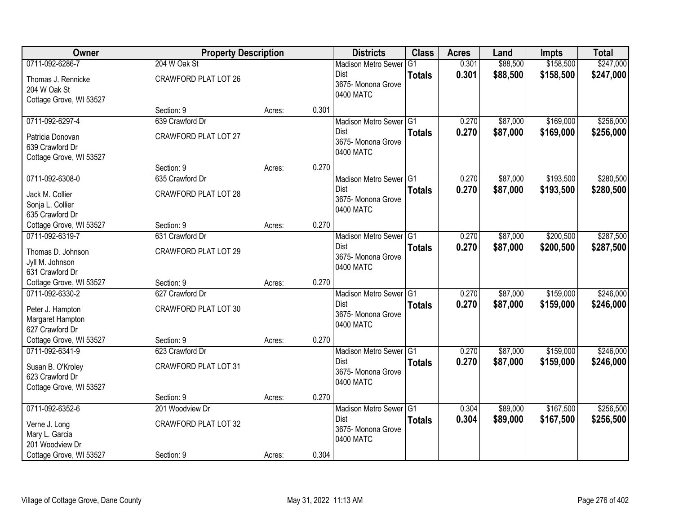| Owner                                | <b>Property Description</b> |        |       | <b>Districts</b>                               | <b>Class</b>  | <b>Acres</b> | Land     | <b>Impts</b> | <b>Total</b> |
|--------------------------------------|-----------------------------|--------|-------|------------------------------------------------|---------------|--------------|----------|--------------|--------------|
| 0711-092-6286-7                      | 204 W Oak St                |        |       | <b>Madison Metro Sewer</b>                     | G1            | 0.301        | \$88,500 | \$158,500    | \$247,000    |
| Thomas J. Rennicke<br>204 W Oak St   | <b>CRAWFORD PLAT LOT 26</b> |        |       | Dist<br>3675- Monona Grove                     | <b>Totals</b> | 0.301        | \$88,500 | \$158,500    | \$247,000    |
| Cottage Grove, WI 53527              |                             |        |       | 0400 MATC                                      |               |              |          |              |              |
|                                      | Section: 9                  | Acres: | 0.301 |                                                |               |              |          |              |              |
| 0711-092-6297-4                      | 639 Crawford Dr             |        |       | Madison Metro Sewer G1                         |               | 0.270        | \$87,000 | \$169,000    | \$256,000    |
| Patricia Donovan<br>639 Crawford Dr  | <b>CRAWFORD PLAT LOT 27</b> |        |       | <b>Dist</b><br>3675- Monona Grove<br>0400 MATC | <b>Totals</b> | 0.270        | \$87,000 | \$169,000    | \$256,000    |
| Cottage Grove, WI 53527              | Section: 9                  | Acres: | 0.270 |                                                |               |              |          |              |              |
| 0711-092-6308-0                      | 635 Crawford Dr             |        |       | Madison Metro Sewer G1                         |               | 0.270        | \$87,000 | \$193,500    | \$280,500    |
|                                      |                             |        |       | Dist                                           | <b>Totals</b> | 0.270        | \$87,000 | \$193,500    | \$280,500    |
| Jack M. Collier                      | <b>CRAWFORD PLAT LOT 28</b> |        |       | 3675- Monona Grove                             |               |              |          |              |              |
| Sonja L. Collier<br>635 Crawford Dr  |                             |        |       | 0400 MATC                                      |               |              |          |              |              |
| Cottage Grove, WI 53527              | Section: 9                  | Acres: | 0.270 |                                                |               |              |          |              |              |
| 0711-092-6319-7                      | 631 Crawford Dr             |        |       | Madison Metro Sewer G1                         |               | 0.270        | \$87,000 | \$200,500    | \$287,500    |
|                                      |                             |        |       | Dist                                           | <b>Totals</b> | 0.270        | \$87,000 | \$200,500    | \$287,500    |
| Thomas D. Johnson<br>Jyll M. Johnson | <b>CRAWFORD PLAT LOT 29</b> |        |       | 3675- Monona Grove                             |               |              |          |              |              |
| 631 Crawford Dr                      |                             |        |       | 0400 MATC                                      |               |              |          |              |              |
| Cottage Grove, WI 53527              | Section: 9                  | Acres: | 0.270 |                                                |               |              |          |              |              |
| 0711-092-6330-2                      | 627 Crawford Dr             |        |       | Madison Metro Sewer G1                         |               | 0.270        | \$87,000 | \$159,000    | \$246,000    |
|                                      | <b>CRAWFORD PLAT LOT 30</b> |        |       | <b>Dist</b>                                    | <b>Totals</b> | 0.270        | \$87,000 | \$159,000    | \$246,000    |
| Peter J. Hampton<br>Margaret Hampton |                             |        |       | 3675- Monona Grove                             |               |              |          |              |              |
| 627 Crawford Dr                      |                             |        |       | 0400 MATC                                      |               |              |          |              |              |
| Cottage Grove, WI 53527              | Section: 9                  | Acres: | 0.270 |                                                |               |              |          |              |              |
| 0711-092-6341-9                      | 623 Crawford Dr             |        |       | Madison Metro Sewer G1                         |               | 0.270        | \$87,000 | \$159,000    | \$246,000    |
| Susan B. O'Kroley                    | <b>CRAWFORD PLAT LOT 31</b> |        |       | Dist                                           | <b>Totals</b> | 0.270        | \$87,000 | \$159,000    | \$246,000    |
| 623 Crawford Dr                      |                             |        |       | 3675- Monona Grove                             |               |              |          |              |              |
| Cottage Grove, WI 53527              |                             |        |       | 0400 MATC                                      |               |              |          |              |              |
|                                      | Section: 9                  | Acres: | 0.270 |                                                |               |              |          |              |              |
| 0711-092-6352-6                      | 201 Woodview Dr             |        |       | Madison Metro Sewer G1                         |               | 0.304        | \$89,000 | \$167,500    | \$256,500    |
| Verne J. Long                        | CRAWFORD PLAT LOT 32        |        |       | <b>Dist</b>                                    | <b>Totals</b> | 0.304        | \$89,000 | \$167,500    | \$256,500    |
| Mary L. Garcia                       |                             |        |       | 3675- Monona Grove                             |               |              |          |              |              |
| 201 Woodview Dr                      |                             |        |       | 0400 MATC                                      |               |              |          |              |              |
| Cottage Grove, WI 53527              | Section: 9                  | Acres: | 0.304 |                                                |               |              |          |              |              |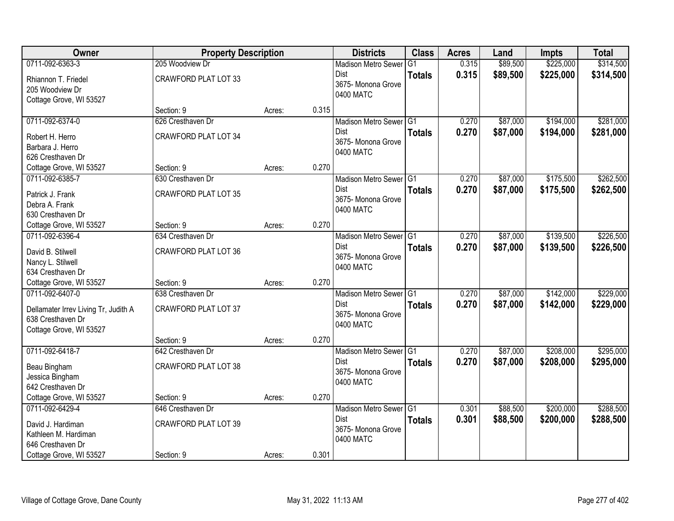| Owner                                | <b>Property Description</b> |        |       | <b>Districts</b>                    | <b>Class</b>  | <b>Acres</b> | Land     | <b>Impts</b> | <b>Total</b> |
|--------------------------------------|-----------------------------|--------|-------|-------------------------------------|---------------|--------------|----------|--------------|--------------|
| 0711-092-6363-3                      | 205 Woodview Dr             |        |       | <b>Madison Metro Sewer</b>          | G1            | 0.315        | \$89,500 | \$225,000    | \$314,500    |
| Rhiannon T. Friedel                  | <b>CRAWFORD PLAT LOT 33</b> |        |       | Dist                                | <b>Totals</b> | 0.315        | \$89,500 | \$225,000    | \$314,500    |
| 205 Woodview Dr                      |                             |        |       | 3675- Monona Grove                  |               |              |          |              |              |
| Cottage Grove, WI 53527              |                             |        |       | 0400 MATC                           |               |              |          |              |              |
|                                      | Section: 9                  | Acres: | 0.315 |                                     |               |              |          |              |              |
| 0711-092-6374-0                      | 626 Cresthaven Dr           |        |       | Madison Metro Sewer G1              |               | 0.270        | \$87,000 | \$194,000    | \$281,000    |
| Robert H. Herro                      | <b>CRAWFORD PLAT LOT 34</b> |        |       | Dist                                | <b>Totals</b> | 0.270        | \$87,000 | \$194,000    | \$281,000    |
| Barbara J. Herro                     |                             |        |       | 3675- Monona Grove<br>0400 MATC     |               |              |          |              |              |
| 626 Cresthaven Dr                    |                             |        |       |                                     |               |              |          |              |              |
| Cottage Grove, WI 53527              | Section: 9                  | Acres: | 0.270 |                                     |               |              |          |              |              |
| 0711-092-6385-7                      | 630 Cresthaven Dr           |        |       | Madison Metro Sewer G1              |               | 0.270        | \$87,000 | \$175,500    | \$262,500    |
| Patrick J. Frank                     | <b>CRAWFORD PLAT LOT 35</b> |        |       | Dist                                | <b>Totals</b> | 0.270        | \$87,000 | \$175,500    | \$262,500    |
| Debra A. Frank                       |                             |        |       | 3675- Monona Grove                  |               |              |          |              |              |
| 630 Cresthaven Dr                    |                             |        |       | 0400 MATC                           |               |              |          |              |              |
| Cottage Grove, WI 53527              | Section: 9                  | Acres: | 0.270 |                                     |               |              |          |              |              |
| 0711-092-6396-4                      | 634 Cresthaven Dr           |        |       | Madison Metro Sewer G1              |               | 0.270        | \$87,000 | \$139,500    | \$226,500    |
| David B. Stilwell                    | <b>CRAWFORD PLAT LOT 36</b> |        |       | Dist                                | <b>Totals</b> | 0.270        | \$87,000 | \$139,500    | \$226,500    |
| Nancy L. Stilwell                    |                             |        |       | 3675- Monona Grove                  |               |              |          |              |              |
| 634 Cresthaven Dr                    |                             |        |       | 0400 MATC                           |               |              |          |              |              |
| Cottage Grove, WI 53527              | Section: 9                  | Acres: | 0.270 |                                     |               |              |          |              |              |
| 0711-092-6407-0                      | 638 Cresthaven Dr           |        |       | Madison Metro Sewer G1              |               | 0.270        | \$87,000 | \$142,000    | \$229,000    |
| Dellamater Irrev Living Tr, Judith A | CRAWFORD PLAT LOT 37        |        |       | <b>Dist</b>                         | <b>Totals</b> | 0.270        | \$87,000 | \$142,000    | \$229,000    |
| 638 Cresthaven Dr                    |                             |        |       | 3675- Monona Grove                  |               |              |          |              |              |
| Cottage Grove, WI 53527              |                             |        |       | 0400 MATC                           |               |              |          |              |              |
|                                      | Section: 9                  | Acres: | 0.270 |                                     |               |              |          |              |              |
| 0711-092-6418-7                      | 642 Cresthaven Dr           |        |       | Madison Metro Sewer <sup>1</sup> G1 |               | 0.270        | \$87,000 | \$208,000    | \$295,000    |
| Beau Bingham                         | <b>CRAWFORD PLAT LOT 38</b> |        |       | Dist                                | <b>Totals</b> | 0.270        | \$87,000 | \$208,000    | \$295,000    |
| Jessica Bingham                      |                             |        |       | 3675- Monona Grove                  |               |              |          |              |              |
| 642 Cresthaven Dr                    |                             |        |       | 0400 MATC                           |               |              |          |              |              |
| Cottage Grove, WI 53527              | Section: 9                  | Acres: | 0.270 |                                     |               |              |          |              |              |
| 0711-092-6429-4                      | 646 Cresthaven Dr           |        |       | Madison Metro Sewer G1              |               | 0.301        | \$88,500 | \$200,000    | \$288,500    |
| David J. Hardiman                    | <b>CRAWFORD PLAT LOT 39</b> |        |       | Dist                                | <b>Totals</b> | 0.301        | \$88,500 | \$200,000    | \$288,500    |
| Kathleen M. Hardiman                 |                             |        |       | 3675- Monona Grove                  |               |              |          |              |              |
| 646 Cresthaven Dr                    |                             |        |       | 0400 MATC                           |               |              |          |              |              |
| Cottage Grove, WI 53527              | Section: 9                  | Acres: | 0.301 |                                     |               |              |          |              |              |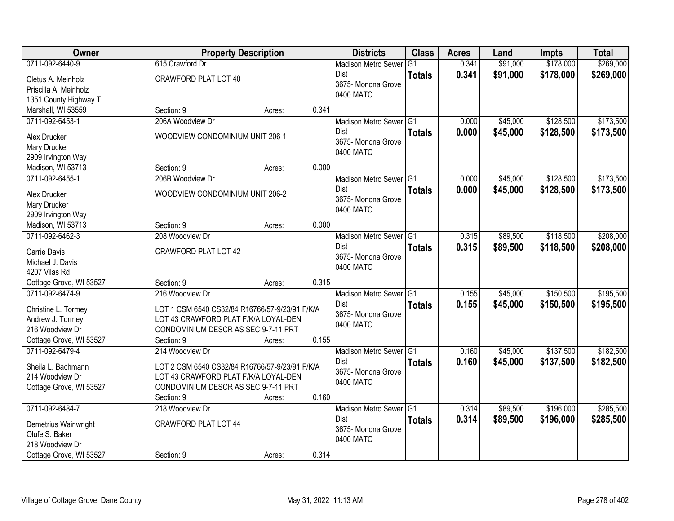| <b>Class</b><br>Owner<br><b>Property Description</b><br><b>Districts</b><br><b>Acres</b><br>Land<br><b>Impts</b>                 | <b>Total</b> |
|----------------------------------------------------------------------------------------------------------------------------------|--------------|
| \$178,000<br>0711-092-6440-9<br>615 Crawford Dr<br>\$91,000<br>$\overline{G1}$<br>0.341<br><b>Madison Metro Sewer</b>            | \$269,000    |
| 0.341<br>\$91,000<br>\$178,000<br><b>Dist</b><br><b>Totals</b><br>CRAWFORD PLAT LOT 40<br>Cletus A. Meinholz                     | \$269,000    |
| 3675- Monona Grove<br>Priscilla A. Meinholz                                                                                      |              |
| 0400 MATC<br>1351 County Highway T                                                                                               |              |
| Marshall, WI 53559<br>0.341<br>Section: 9<br>Acres:                                                                              |              |
| \$128,500<br>0711-092-6453-1<br>206A Woodview Dr<br>Madison Metro Sewer G1<br>\$45,000<br>0.000                                  | \$173,500    |
| Dist<br>0.000<br>\$45,000<br>\$128,500<br><b>Totals</b><br>WOODVIEW CONDOMINIUM UNIT 206-1<br>Alex Drucker                       | \$173,500    |
| 3675- Monona Grove<br>Mary Drucker                                                                                               |              |
| 0400 MATC<br>2909 Irvington Way                                                                                                  |              |
| 0.000<br>Madison, WI 53713<br>Section: 9<br>Acres:                                                                               |              |
| \$45,000<br>\$128,500<br>0711-092-6455-1<br>206B Woodview Dr<br>Madison Metro Sewer G1<br>0.000                                  | \$173,500    |
| <b>Dist</b><br>0.000<br>\$45,000<br>\$128,500<br><b>Totals</b>                                                                   | \$173,500    |
| WOODVIEW CONDOMINIUM UNIT 206-2<br>Alex Drucker<br>3675- Monona Grove                                                            |              |
| Mary Drucker<br>0400 MATC                                                                                                        |              |
| 2909 Irvington Way<br>0.000<br>Madison, WI 53713<br>Section: 9<br>Acres:                                                         |              |
| \$118,500<br>0.315<br>\$89,500<br>0711-092-6462-3<br>208 Woodview Dr<br>Madison Metro Sewer G1                                   | \$208,000    |
| Dist<br>0.315<br>\$89,500<br>\$118,500                                                                                           | \$208,000    |
| <b>Totals</b><br><b>CRAWFORD PLAT LOT 42</b><br>Carrie Davis<br>3675- Monona Grove                                               |              |
| Michael J. Davis<br>0400 MATC                                                                                                    |              |
| 4207 Vilas Rd                                                                                                                    |              |
| Section: 9<br>0.315<br>Cottage Grove, WI 53527<br>Acres:                                                                         |              |
| 0711-092-6474-9<br>\$150,500<br>Madison Metro Sewer <sup>G1</sup><br>\$45,000<br>216 Woodview Dr<br>0.155                        | \$195,500    |
| Dist<br>0.155<br>\$150,500<br>\$45,000<br><b>Totals</b><br>LOT 1 CSM 6540 CS32/84 R16766/57-9/23/91 F/K/A<br>Christine L. Tormey | \$195,500    |
| 3675- Monona Grove<br>Andrew J. Tormey<br>LOT 43 CRAWFORD PLAT F/K/A LOYAL-DEN                                                   |              |
| 0400 MATC<br>216 Woodview Dr<br>CONDOMINIUM DESCR AS SEC 9-7-11 PRT                                                              |              |
| Cottage Grove, WI 53527<br>0.155<br>Section: 9<br>Acres:                                                                         |              |
| 0711-092-6479-4<br>\$137,500<br>214 Woodview Dr<br>\$45,000<br>Madison Metro Sewer G1<br>0.160                                   | \$182,500    |
| 0.160<br>\$45,000<br>\$137,500<br>Dist<br><b>Totals</b><br>Sheila L. Bachmann<br>LOT 2 CSM 6540 CS32/84 R16766/57-9/23/91 F/K/A  | \$182,500    |
| 3675- Monona Grove<br>214 Woodview Dr<br>LOT 43 CRAWFORD PLAT F/K/A LOYAL-DEN                                                    |              |
| 0400 MATC<br>CONDOMINIUM DESCR AS SEC 9-7-11 PRT<br>Cottage Grove, WI 53527                                                      |              |
| 0.160<br>Section: 9<br>Acres:                                                                                                    |              |
| 0711-092-6484-7<br>\$196,000<br>218 Woodview Dr<br>Madison Metro Sewer G1<br>0.314<br>\$89,500                                   | \$285,500    |
| 0.314<br>Dist<br>\$89,500<br>\$196,000<br><b>Totals</b><br><b>CRAWFORD PLAT LOT 44</b>                                           | \$285,500    |
| Demetrius Wainwright<br>3675- Monona Grove<br>Olufe S. Baker                                                                     |              |
| 0400 MATC<br>218 Woodview Dr                                                                                                     |              |
| 0.314<br>Cottage Grove, WI 53527<br>Section: 9<br>Acres:                                                                         |              |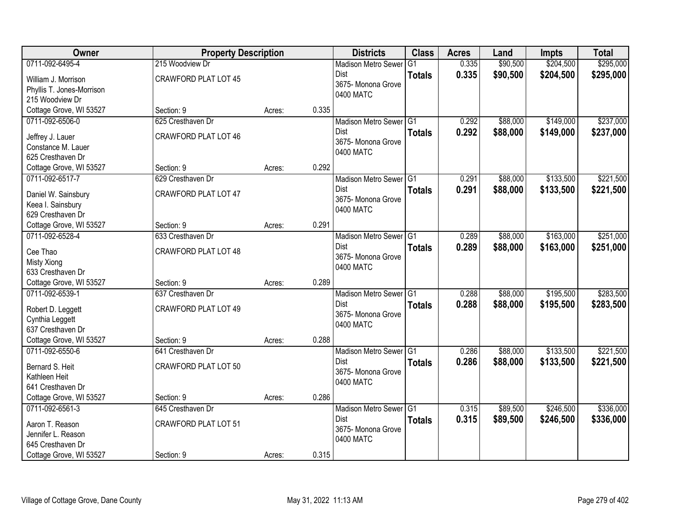| Owner                     | <b>Property Description</b> |        |       | <b>Districts</b>           | <b>Class</b>  | <b>Acres</b> | Land     | <b>Impts</b> | <b>Total</b> |
|---------------------------|-----------------------------|--------|-------|----------------------------|---------------|--------------|----------|--------------|--------------|
| 0711-092-6495-4           | 215 Woodview Dr             |        |       | <b>Madison Metro Sewer</b> | G1            | 0.335        | \$90,500 | \$204,500    | \$295,000    |
| William J. Morrison       | <b>CRAWFORD PLAT LOT 45</b> |        |       | Dist                       | <b>Totals</b> | 0.335        | \$90,500 | \$204,500    | \$295,000    |
| Phyllis T. Jones-Morrison |                             |        |       | 3675-Monona Grove          |               |              |          |              |              |
| 215 Woodview Dr           |                             |        |       | 0400 MATC                  |               |              |          |              |              |
| Cottage Grove, WI 53527   | Section: 9                  | Acres: | 0.335 |                            |               |              |          |              |              |
| 0711-092-6506-0           | 625 Cresthaven Dr           |        |       | Madison Metro Sewer G1     |               | 0.292        | \$88,000 | \$149,000    | \$237,000    |
| Jeffrey J. Lauer          | <b>CRAWFORD PLAT LOT 46</b> |        |       | Dist                       | <b>Totals</b> | 0.292        | \$88,000 | \$149,000    | \$237,000    |
| Constance M. Lauer        |                             |        |       | 3675- Monona Grove         |               |              |          |              |              |
| 625 Cresthaven Dr         |                             |        |       | 0400 MATC                  |               |              |          |              |              |
| Cottage Grove, WI 53527   | Section: 9                  | Acres: | 0.292 |                            |               |              |          |              |              |
| 0711-092-6517-7           | 629 Cresthaven Dr           |        |       | Madison Metro Sewer G1     |               | 0.291        | \$88,000 | \$133,500    | \$221,500    |
| Daniel W. Sainsbury       | CRAWFORD PLAT LOT 47        |        |       | <b>Dist</b>                | <b>Totals</b> | 0.291        | \$88,000 | \$133,500    | \$221,500    |
| Keea I. Sainsbury         |                             |        |       | 3675- Monona Grove         |               |              |          |              |              |
| 629 Cresthaven Dr         |                             |        |       | 0400 MATC                  |               |              |          |              |              |
| Cottage Grove, WI 53527   | Section: 9                  | Acres: | 0.291 |                            |               |              |          |              |              |
| 0711-092-6528-4           | 633 Cresthaven Dr           |        |       | Madison Metro Sewer G1     |               | 0.289        | \$88,000 | \$163,000    | \$251,000    |
| Cee Thao                  | <b>CRAWFORD PLAT LOT 48</b> |        |       | <b>Dist</b>                | <b>Totals</b> | 0.289        | \$88,000 | \$163,000    | \$251,000    |
| Misty Xiong               |                             |        |       | 3675- Monona Grove         |               |              |          |              |              |
| 633 Cresthaven Dr         |                             |        |       | 0400 MATC                  |               |              |          |              |              |
| Cottage Grove, WI 53527   | Section: 9                  | Acres: | 0.289 |                            |               |              |          |              |              |
| 0711-092-6539-1           | 637 Cresthaven Dr           |        |       | Madison Metro Sewer G1     |               | 0.288        | \$88,000 | \$195,500    | \$283,500    |
| Robert D. Leggett         | <b>CRAWFORD PLAT LOT 49</b> |        |       | <b>Dist</b>                | <b>Totals</b> | 0.288        | \$88,000 | \$195,500    | \$283,500    |
| Cynthia Leggett           |                             |        |       | 3675-Monona Grove          |               |              |          |              |              |
| 637 Cresthaven Dr         |                             |        |       | 0400 MATC                  |               |              |          |              |              |
| Cottage Grove, WI 53527   | Section: 9                  | Acres: | 0.288 |                            |               |              |          |              |              |
| 0711-092-6550-6           | 641 Cresthaven Dr           |        |       | Madison Metro Sewer G1     |               | 0.286        | \$88,000 | \$133,500    | \$221,500    |
| Bernard S. Heit           | <b>CRAWFORD PLAT LOT 50</b> |        |       | Dist                       | <b>Totals</b> | 0.286        | \$88,000 | \$133,500    | \$221,500    |
| Kathleen Heit             |                             |        |       | 3675- Monona Grove         |               |              |          |              |              |
| 641 Cresthaven Dr         |                             |        |       | 0400 MATC                  |               |              |          |              |              |
| Cottage Grove, WI 53527   | Section: 9                  | Acres: | 0.286 |                            |               |              |          |              |              |
| 0711-092-6561-3           | 645 Cresthaven Dr           |        |       | Madison Metro Sewer G1     |               | 0.315        | \$89,500 | \$246,500    | \$336,000    |
| Aaron T. Reason           | <b>CRAWFORD PLAT LOT 51</b> |        |       | <b>Dist</b>                | <b>Totals</b> | 0.315        | \$89,500 | \$246,500    | \$336,000    |
| Jennifer L. Reason        |                             |        |       | 3675- Monona Grove         |               |              |          |              |              |
| 645 Cresthaven Dr         |                             |        |       | 0400 MATC                  |               |              |          |              |              |
| Cottage Grove, WI 53527   | Section: 9                  | Acres: | 0.315 |                            |               |              |          |              |              |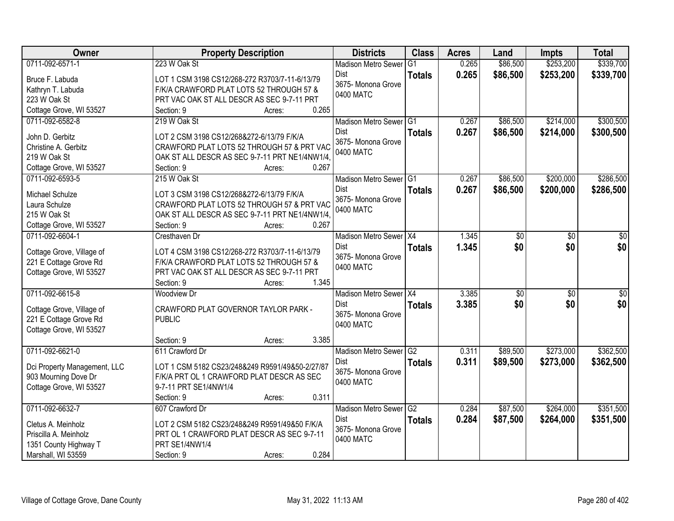| Owner                                               | <b>Property Description</b>                             | <b>Districts</b>                  | <b>Class</b>   | <b>Acres</b> | Land            | <b>Impts</b>    | <b>Total</b> |
|-----------------------------------------------------|---------------------------------------------------------|-----------------------------------|----------------|--------------|-----------------|-----------------|--------------|
| 0711-092-6571-1                                     | 223 W Oak St                                            | <b>Madison Metro Sewer</b>        | G <sub>1</sub> | 0.265        | \$86,500        | \$253,200       | \$339,700    |
| Bruce F. Labuda                                     | LOT 1 CSM 3198 CS12/268-272 R3703/7-11-6/13/79          | Dist                              | <b>Totals</b>  | 0.265        | \$86,500        | \$253,200       | \$339,700    |
| Kathryn T. Labuda                                   | F/K/A CRAWFORD PLAT LOTS 52 THROUGH 57 &                | 3675- Monona Grove                |                |              |                 |                 |              |
| 223 W Oak St                                        | PRT VAC OAK ST ALL DESCR AS SEC 9-7-11 PRT              | 0400 MATC                         |                |              |                 |                 |              |
| Cottage Grove, WI 53527                             | 0.265<br>Section: 9<br>Acres:                           |                                   |                |              |                 |                 |              |
| 0711-092-6582-8                                     | 219 W Oak St                                            | Madison Metro Sewer G1            |                | 0.267        | \$86,500        | \$214,000       | \$300,500    |
|                                                     |                                                         | Dist                              | <b>Totals</b>  | 0.267        | \$86,500        | \$214,000       | \$300,500    |
| John D. Gerbitz                                     | LOT 2 CSM 3198 CS12/268&272-6/13/79 F/K/A               | 3675- Monona Grove                |                |              |                 |                 |              |
| Christine A. Gerbitz                                | CRAWFORD PLAT LOTS 52 THROUGH 57 & PRT VAC              | 0400 MATC                         |                |              |                 |                 |              |
| 219 W Oak St                                        | OAK ST ALL DESCR AS SEC 9-7-11 PRT NE1/4NW1/4,<br>0.267 |                                   |                |              |                 |                 |              |
| Cottage Grove, WI 53527<br>0711-092-6593-5          | Section: 9<br>Acres:                                    |                                   |                | 0.267        |                 |                 |              |
|                                                     | 215 W Oak St                                            | Madison Metro Sewer G1            |                |              | \$86,500        | \$200,000       | \$286,500    |
| Michael Schulze                                     | LOT 3 CSM 3198 CS12/268&272-6/13/79 F/K/A               | <b>Dist</b><br>3675- Monona Grove | <b>Totals</b>  | 0.267        | \$86,500        | \$200,000       | \$286,500    |
| Laura Schulze                                       | CRAWFORD PLAT LOTS 52 THROUGH 57 & PRT VAC              | 0400 MATC                         |                |              |                 |                 |              |
| 215 W Oak St                                        | OAK ST ALL DESCR AS SEC 9-7-11 PRT NE1/4NW1/4.          |                                   |                |              |                 |                 |              |
| Cottage Grove, WI 53527                             | Section: 9<br>0.267<br>Acres:                           |                                   |                |              |                 |                 |              |
| 0711-092-6604-1                                     | Cresthaven Dr                                           | Madison Metro Sewer X4            |                | 1.345        | $\sqrt[6]{3}$   | \$0             | \$0          |
|                                                     | LOT 4 CSM 3198 CS12/268-272 R3703/7-11-6/13/79          | <b>Dist</b>                       | <b>Totals</b>  | 1.345        | \$0             | \$0             | \$0          |
| Cottage Grove, Village of<br>221 E Cottage Grove Rd | F/K/A CRAWFORD PLAT LOTS 52 THROUGH 57 &                | 3675- Monona Grove                |                |              |                 |                 |              |
| Cottage Grove, WI 53527                             | PRT VAC OAK ST ALL DESCR AS SEC 9-7-11 PRT              | 0400 MATC                         |                |              |                 |                 |              |
|                                                     | 1.345<br>Section: 9<br>Acres:                           |                                   |                |              |                 |                 |              |
| 0711-092-6615-8                                     | <b>Woodview Dr</b>                                      | Madison Metro Sewer   X4          |                | 3.385        | $\overline{50}$ | $\overline{50}$ | \$0          |
|                                                     |                                                         | Dist                              | <b>Totals</b>  | 3.385        | \$0             | \$0             | \$0          |
| Cottage Grove, Village of                           | CRAWFORD PLAT GOVERNOR TAYLOR PARK -                    | 3675- Monona Grove                |                |              |                 |                 |              |
| 221 E Cottage Grove Rd                              | <b>PUBLIC</b>                                           | 0400 MATC                         |                |              |                 |                 |              |
| Cottage Grove, WI 53527                             |                                                         |                                   |                |              |                 |                 |              |
|                                                     | 3.385<br>Section: 9<br>Acres:                           |                                   |                |              |                 |                 |              |
| 0711-092-6621-0                                     | 611 Crawford Dr                                         | Madison Metro Sewer G2            |                | 0.311        | \$89,500        | \$273,000       | \$362,500    |
| Dci Property Management, LLC                        | LOT 1 CSM 5182 CS23/248&249 R9591/49&50-2/27/87         | <b>Dist</b>                       | <b>Totals</b>  | 0.311        | \$89,500        | \$273,000       | \$362,500    |
| 903 Mourning Dove Dr                                | F/K/A PRT OL 1 CRAWFORD PLAT DESCR AS SEC               | 3675- Monona Grove                |                |              |                 |                 |              |
| Cottage Grove, WI 53527                             | 9-7-11 PRT SE1/4NW1/4                                   | 0400 MATC                         |                |              |                 |                 |              |
|                                                     | 0.311<br>Section: 9<br>Acres:                           |                                   |                |              |                 |                 |              |
| 0711-092-6632-7                                     | 607 Crawford Dr                                         | Madison Metro Sewer G2            |                | 0.284        | \$87,500        | \$264,000       | \$351,500    |
|                                                     |                                                         | Dist                              | <b>Totals</b>  | 0.284        | \$87,500        | \$264,000       | \$351,500    |
| Cletus A. Meinholz                                  | LOT 2 CSM 5182 CS23/248&249 R9591/49&50 F/K/A           | 3675- Monona Grove                |                |              |                 |                 |              |
| Priscilla A. Meinholz                               | PRT OL 1 CRAWFORD PLAT DESCR AS SEC 9-7-11              | 0400 MATC                         |                |              |                 |                 |              |
| 1351 County Highway T                               | PRT SE1/4NW1/4                                          |                                   |                |              |                 |                 |              |
| Marshall, WI 53559                                  | 0.284<br>Section: 9<br>Acres:                           |                                   |                |              |                 |                 |              |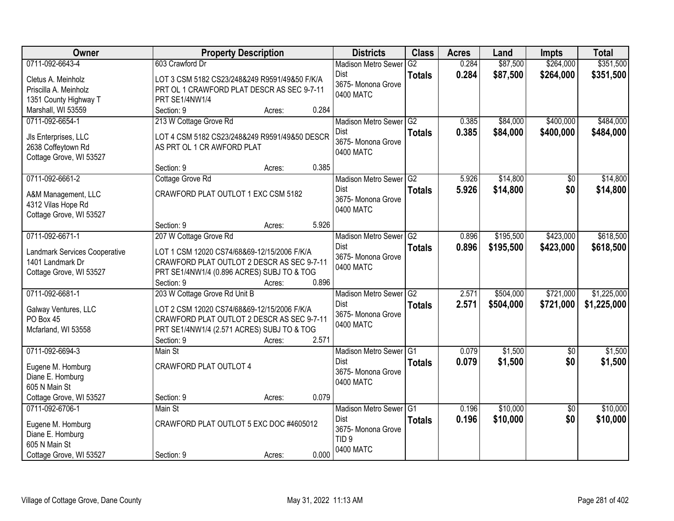| Owner                                      | <b>Property Description</b>                                                 |        |       | <b>Districts</b>           | <b>Class</b>  | <b>Acres</b> | Land      | <b>Impts</b>    | <b>Total</b> |
|--------------------------------------------|-----------------------------------------------------------------------------|--------|-------|----------------------------|---------------|--------------|-----------|-----------------|--------------|
| 0711-092-6643-4                            | 603 Crawford Dr                                                             |        |       | <b>Madison Metro Sewer</b> | G2            | 0.284        | \$87,500  | \$264,000       | \$351,500    |
| Cletus A. Meinholz                         | LOT 3 CSM 5182 CS23/248&249 R9591/49&50 F/K/A                               |        |       | Dist                       | <b>Totals</b> | 0.284        | \$87,500  | \$264,000       | \$351,500    |
| Priscilla A. Meinholz                      | PRT OL 1 CRAWFORD PLAT DESCR AS SEC 9-7-11                                  |        |       | 3675- Monona Grove         |               |              |           |                 |              |
| 1351 County Highway T                      | PRT SE1/4NW1/4                                                              |        |       | 0400 MATC                  |               |              |           |                 |              |
| Marshall, WI 53559                         | Section: 9                                                                  | Acres: | 0.284 |                            |               |              |           |                 |              |
| 0711-092-6654-1                            | 213 W Cottage Grove Rd                                                      |        |       | Madison Metro Sewer G2     |               | 0.385        | \$84,000  | \$400,000       | \$484,000    |
|                                            |                                                                             |        |       | Dist                       | <b>Totals</b> | 0.385        | \$84,000  | \$400,000       | \$484,000    |
| Jls Enterprises, LLC<br>2638 Coffeytown Rd | LOT 4 CSM 5182 CS23/248&249 R9591/49&50 DESCR<br>AS PRT OL 1 CR AWFORD PLAT |        |       | 3675- Monona Grove         |               |              |           |                 |              |
| Cottage Grove, WI 53527                    |                                                                             |        |       | 0400 MATC                  |               |              |           |                 |              |
|                                            | Section: 9                                                                  | Acres: | 0.385 |                            |               |              |           |                 |              |
| 0711-092-6661-2                            | Cottage Grove Rd                                                            |        |       | Madison Metro Sewer G2     |               | 5.926        | \$14,800  | \$0             | \$14,800     |
| A&M Management, LLC                        | CRAWFORD PLAT OUTLOT 1 EXC CSM 5182                                         |        |       | <b>Dist</b>                | <b>Totals</b> | 5.926        | \$14,800  | \$0             | \$14,800     |
| 4312 Vilas Hope Rd                         |                                                                             |        |       | 3675- Monona Grove         |               |              |           |                 |              |
| Cottage Grove, WI 53527                    |                                                                             |        |       | 0400 MATC                  |               |              |           |                 |              |
|                                            | Section: 9                                                                  | Acres: | 5.926 |                            |               |              |           |                 |              |
| 0711-092-6671-1                            | 207 W Cottage Grove Rd                                                      |        |       | Madison Metro Sewer        | G2            | 0.896        | \$195,500 | \$423,000       | \$618,500    |
|                                            |                                                                             |        |       | <b>Dist</b>                | <b>Totals</b> | 0.896        | \$195,500 | \$423,000       | \$618,500    |
| Landmark Services Cooperative              | LOT 1 CSM 12020 CS74/68&69-12/15/2006 F/K/A                                 |        |       | 3675- Monona Grove         |               |              |           |                 |              |
| 1401 Landmark Dr                           | CRAWFORD PLAT OUTLOT 2 DESCR AS SEC 9-7-11                                  |        |       | 0400 MATC                  |               |              |           |                 |              |
| Cottage Grove, WI 53527                    | PRT SE1/4NW1/4 (0.896 ACRES) SUBJ TO & TOG<br>Section: 9                    | Acres: | 0.896 |                            |               |              |           |                 |              |
| 0711-092-6681-1                            | 203 W Cottage Grove Rd Unit B                                               |        |       | Madison Metro Sewer        | G2            | 2.571        | \$504,000 | \$721,000       | \$1,225,000  |
|                                            |                                                                             |        |       | <b>Dist</b>                | <b>Totals</b> | 2.571        | \$504,000 | \$721,000       | \$1,225,000  |
| Galway Ventures, LLC                       | LOT 2 CSM 12020 CS74/68&69-12/15/2006 F/K/A                                 |        |       | 3675- Monona Grove         |               |              |           |                 |              |
| PO Box 45                                  | CRAWFORD PLAT OUTLOT 2 DESCR AS SEC 9-7-11                                  |        |       | 0400 MATC                  |               |              |           |                 |              |
| Mcfarland, WI 53558                        | PRT SE1/4NW1/4 (2.571 ACRES) SUBJ TO & TOG                                  |        |       |                            |               |              |           |                 |              |
|                                            | Section: 9                                                                  | Acres: | 2.571 |                            |               |              |           |                 |              |
| 0711-092-6694-3                            | Main St                                                                     |        |       | Madison Metro Sewer G1     |               | 0.079        | \$1,500   | $\sqrt{6}$      | \$1,500      |
| Eugene M. Homburg                          | CRAWFORD PLAT OUTLOT 4                                                      |        |       | Dist                       | <b>Totals</b> | 0.079        | \$1,500   | \$0             | \$1,500      |
| Diane E. Homburg                           |                                                                             |        |       | 3675- Monona Grove         |               |              |           |                 |              |
| 605 N Main St                              |                                                                             |        |       | 0400 MATC                  |               |              |           |                 |              |
| Cottage Grove, WI 53527                    | Section: 9                                                                  | Acres: | 0.079 |                            |               |              |           |                 |              |
| 0711-092-6706-1                            | Main St                                                                     |        |       | Madison Metro Sewer G1     |               | 0.196        | \$10,000  | $\overline{50}$ | \$10,000     |
| Eugene M. Homburg                          | CRAWFORD PLAT OUTLOT 5 EXC DOC #4605012                                     |        |       | <b>Dist</b>                | <b>Totals</b> | 0.196        | \$10,000  | \$0             | \$10,000     |
| Diane E. Homburg                           |                                                                             |        |       | 3675- Monona Grove         |               |              |           |                 |              |
| 605 N Main St                              |                                                                             |        |       | TID <sub>9</sub>           |               |              |           |                 |              |
| Cottage Grove, WI 53527                    | Section: 9                                                                  | Acres: | 0.000 | 0400 MATC                  |               |              |           |                 |              |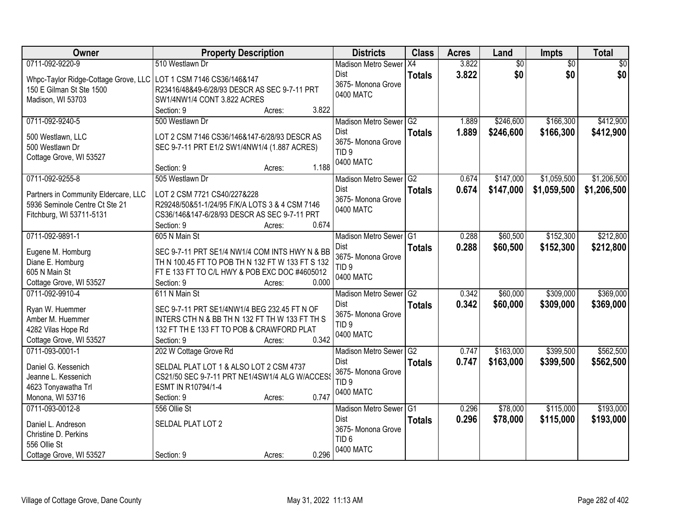| 0711-092-9220-9<br>3.822<br>$\overline{60}$<br>510 Westlawn Dr<br>$\overline{50}$<br>$\overline{50}$<br><b>Madison Metro Sewer</b><br>X4<br>\$0<br>\$0<br>\$0<br>3.822<br><b>Dist</b><br><b>Totals</b><br>Whpc-Taylor Ridge-Cottage Grove, LLC LOT 1 CSM 7146 CS36/146&147<br>3675- Monona Grove<br>150 E Gilman St Ste 1500<br>R23416/48&49-6/28/93 DESCR AS SEC 9-7-11 PRT<br>0400 MATC<br>Madison, WI 53703<br>SW1/4NW1/4 CONT 3.822 ACRES<br>Section: 9<br>3.822<br>Acres:<br>\$246,600<br>\$166,300<br>\$412,900<br>0711-092-9240-5<br>500 Westlawn Dr<br>Madison Metro Sewer G2<br>1.889<br>1.889<br>Dist<br>\$246,600<br>\$166,300<br>\$412,900<br><b>Totals</b><br>LOT 2 CSM 7146 CS36/146&147-6/28/93 DESCR AS<br>500 Westlawn, LLC<br>3675- Monona Grove<br>500 Westlawn Dr<br>SEC 9-7-11 PRT E1/2 SW1/4NW1/4 (1.887 ACRES)<br>TID <sub>9</sub><br>Cottage Grove, WI 53527<br>0400 MATC<br>1.188<br>Section: 9<br>Acres:<br>\$1,206,500<br>0711-092-9255-8<br>Madison Metro Sewer G2<br>0.674<br>\$147,000<br>\$1,059,500<br>505 Westlawn Dr<br><b>Dist</b><br>0.674<br>\$147,000<br>\$1,059,500<br>\$1,206,500<br><b>Totals</b><br>LOT 2 CSM 7721 CS40/227&228<br>Partners in Community Eldercare, LLC<br>3675- Monona Grove<br>5936 Seminole Centre Ct Ste 21<br>R29248/50&51-1/24/95 F/K/A LOTS 3 & 4 CSM 7146<br>0400 MATC<br>Fitchburg, WI 53711-5131<br>CS36/146&147-6/28/93 DESCR AS SEC 9-7-11 PRT<br>0.674<br>Section: 9<br>Acres:<br>0711-092-9891-1<br>\$60,500<br>\$152,300<br>\$212,800<br>605 N Main St<br><b>Madison Metro Sewer</b><br>IG1<br>0.288<br>0.288<br><b>Dist</b><br>\$60,500<br>\$152,300<br><b>Totals</b><br>SEC 9-7-11 PRT SE1/4 NW1/4 COM INTS HWY N & BB<br>Eugene M. Homburg<br>3675- Monona Grove<br>Diane E. Homburg<br>TH N 100.45 FT TO POB TH N 132 FT W 133 FT S 132<br>TID <sub>9</sub><br>605 N Main St<br>FT E 133 FT TO C/L HWY & POB EXC DOC #4605012<br>0400 MATC<br>0.000<br>Cottage Grove, WI 53527<br>Section: 9<br>Acres:<br>\$309,000<br>\$369,000<br>0711-092-9910-4<br>0.342<br>\$60,000<br>611 N Main St<br>G2<br><b>Madison Metro Sewer</b><br>0.342<br>Dist<br>\$60,000<br>\$309,000<br>\$369,000<br><b>Totals</b><br>Ryan W. Huemmer<br>SEC 9-7-11 PRT SE1/4NW1/4 BEG 232.45 FT N OF<br>3675-Monona Grove<br>Amber M. Huemmer<br>INTERS CTH N & BB TH N 132 FT TH W 133 FT TH S<br>TID <sub>9</sub><br>4282 Vilas Hope Rd<br>132 FT TH E 133 FT TO POB & CRAWFORD PLAT<br>0400 MATC<br>0.342<br>Cottage Grove, WI 53527<br>Section: 9<br>Acres:<br>\$399,500<br>0711-093-0001-1<br>202 W Cottage Grove Rd<br>Madison Metro Sewer G2<br>\$163,000<br>0.747<br>0.747<br>\$163,000<br>\$399,500<br>Dist<br><b>Totals</b><br>SELDAL PLAT LOT 1 & ALSO LOT 2 CSM 4737<br>Daniel G. Kessenich<br>3675- Monona Grove<br>CS21/50 SEC 9-7-11 PRT NE1/4SW1/4 ALG W/ACCESS<br>Jeanne L. Kessenich<br>TID <sub>9</sub><br>ESMT IN R10794/1-4<br>4623 Tonyawatha Trl<br>0400 MATC<br>0.747<br>Monona, WI 53716<br>Section: 9<br>Acres:<br>\$193,000<br>0711-093-0012-8<br>\$78,000<br>\$115,000<br>556 Ollie St<br>Madison Metro Sewer G1<br>0.296<br>0.296<br>\$78,000<br><b>Dist</b><br>\$115,000<br>\$193,000<br><b>Totals</b><br>SELDAL PLAT LOT 2<br>Daniel L. Andreson<br>3675- Monona Grove<br>Christine D. Perkins<br>TID <sub>6</sub><br>556 Ollie St | Owner | <b>Property Description</b> | <b>Districts</b> | <b>Class</b> | <b>Acres</b> | Land | Impts | <b>Total</b> |
|--------------------------------------------------------------------------------------------------------------------------------------------------------------------------------------------------------------------------------------------------------------------------------------------------------------------------------------------------------------------------------------------------------------------------------------------------------------------------------------------------------------------------------------------------------------------------------------------------------------------------------------------------------------------------------------------------------------------------------------------------------------------------------------------------------------------------------------------------------------------------------------------------------------------------------------------------------------------------------------------------------------------------------------------------------------------------------------------------------------------------------------------------------------------------------------------------------------------------------------------------------------------------------------------------------------------------------------------------------------------------------------------------------------------------------------------------------------------------------------------------------------------------------------------------------------------------------------------------------------------------------------------------------------------------------------------------------------------------------------------------------------------------------------------------------------------------------------------------------------------------------------------------------------------------------------------------------------------------------------------------------------------------------------------------------------------------------------------------------------------------------------------------------------------------------------------------------------------------------------------------------------------------------------------------------------------------------------------------------------------------------------------------------------------------------------------------------------------------------------------------------------------------------------------------------------------------------------------------------------------------------------------------------------------------------------------------------------------------------------------------------------------------------------------------------------------------------------------------------------------------------------------------------------------------------------------------------------------------------------------------------------------------------------------------------------------------------------------------------------------------------------------------------------------------------------------------------------------------------------------------------------------------------------------------------------------|-------|-----------------------------|------------------|--------------|--------------|------|-------|--------------|
|                                                                                                                                                                                                                                                                                                                                                                                                                                                                                                                                                                                                                                                                                                                                                                                                                                                                                                                                                                                                                                                                                                                                                                                                                                                                                                                                                                                                                                                                                                                                                                                                                                                                                                                                                                                                                                                                                                                                                                                                                                                                                                                                                                                                                                                                                                                                                                                                                                                                                                                                                                                                                                                                                                                                                                                                                                                                                                                                                                                                                                                                                                                                                                                                                                                                                                                    |       |                             |                  |              |              |      |       |              |
|                                                                                                                                                                                                                                                                                                                                                                                                                                                                                                                                                                                                                                                                                                                                                                                                                                                                                                                                                                                                                                                                                                                                                                                                                                                                                                                                                                                                                                                                                                                                                                                                                                                                                                                                                                                                                                                                                                                                                                                                                                                                                                                                                                                                                                                                                                                                                                                                                                                                                                                                                                                                                                                                                                                                                                                                                                                                                                                                                                                                                                                                                                                                                                                                                                                                                                                    |       |                             |                  |              |              |      |       |              |
| \$212,800<br>\$562,500<br>\$562,500                                                                                                                                                                                                                                                                                                                                                                                                                                                                                                                                                                                                                                                                                                                                                                                                                                                                                                                                                                                                                                                                                                                                                                                                                                                                                                                                                                                                                                                                                                                                                                                                                                                                                                                                                                                                                                                                                                                                                                                                                                                                                                                                                                                                                                                                                                                                                                                                                                                                                                                                                                                                                                                                                                                                                                                                                                                                                                                                                                                                                                                                                                                                                                                                                                                                                |       |                             |                  |              |              |      |       |              |
|                                                                                                                                                                                                                                                                                                                                                                                                                                                                                                                                                                                                                                                                                                                                                                                                                                                                                                                                                                                                                                                                                                                                                                                                                                                                                                                                                                                                                                                                                                                                                                                                                                                                                                                                                                                                                                                                                                                                                                                                                                                                                                                                                                                                                                                                                                                                                                                                                                                                                                                                                                                                                                                                                                                                                                                                                                                                                                                                                                                                                                                                                                                                                                                                                                                                                                                    |       |                             |                  |              |              |      |       |              |
|                                                                                                                                                                                                                                                                                                                                                                                                                                                                                                                                                                                                                                                                                                                                                                                                                                                                                                                                                                                                                                                                                                                                                                                                                                                                                                                                                                                                                                                                                                                                                                                                                                                                                                                                                                                                                                                                                                                                                                                                                                                                                                                                                                                                                                                                                                                                                                                                                                                                                                                                                                                                                                                                                                                                                                                                                                                                                                                                                                                                                                                                                                                                                                                                                                                                                                                    |       |                             |                  |              |              |      |       |              |
|                                                                                                                                                                                                                                                                                                                                                                                                                                                                                                                                                                                                                                                                                                                                                                                                                                                                                                                                                                                                                                                                                                                                                                                                                                                                                                                                                                                                                                                                                                                                                                                                                                                                                                                                                                                                                                                                                                                                                                                                                                                                                                                                                                                                                                                                                                                                                                                                                                                                                                                                                                                                                                                                                                                                                                                                                                                                                                                                                                                                                                                                                                                                                                                                                                                                                                                    |       |                             |                  |              |              |      |       |              |
|                                                                                                                                                                                                                                                                                                                                                                                                                                                                                                                                                                                                                                                                                                                                                                                                                                                                                                                                                                                                                                                                                                                                                                                                                                                                                                                                                                                                                                                                                                                                                                                                                                                                                                                                                                                                                                                                                                                                                                                                                                                                                                                                                                                                                                                                                                                                                                                                                                                                                                                                                                                                                                                                                                                                                                                                                                                                                                                                                                                                                                                                                                                                                                                                                                                                                                                    |       |                             |                  |              |              |      |       |              |
|                                                                                                                                                                                                                                                                                                                                                                                                                                                                                                                                                                                                                                                                                                                                                                                                                                                                                                                                                                                                                                                                                                                                                                                                                                                                                                                                                                                                                                                                                                                                                                                                                                                                                                                                                                                                                                                                                                                                                                                                                                                                                                                                                                                                                                                                                                                                                                                                                                                                                                                                                                                                                                                                                                                                                                                                                                                                                                                                                                                                                                                                                                                                                                                                                                                                                                                    |       |                             |                  |              |              |      |       |              |
|                                                                                                                                                                                                                                                                                                                                                                                                                                                                                                                                                                                                                                                                                                                                                                                                                                                                                                                                                                                                                                                                                                                                                                                                                                                                                                                                                                                                                                                                                                                                                                                                                                                                                                                                                                                                                                                                                                                                                                                                                                                                                                                                                                                                                                                                                                                                                                                                                                                                                                                                                                                                                                                                                                                                                                                                                                                                                                                                                                                                                                                                                                                                                                                                                                                                                                                    |       |                             |                  |              |              |      |       |              |
|                                                                                                                                                                                                                                                                                                                                                                                                                                                                                                                                                                                                                                                                                                                                                                                                                                                                                                                                                                                                                                                                                                                                                                                                                                                                                                                                                                                                                                                                                                                                                                                                                                                                                                                                                                                                                                                                                                                                                                                                                                                                                                                                                                                                                                                                                                                                                                                                                                                                                                                                                                                                                                                                                                                                                                                                                                                                                                                                                                                                                                                                                                                                                                                                                                                                                                                    |       |                             |                  |              |              |      |       |              |
|                                                                                                                                                                                                                                                                                                                                                                                                                                                                                                                                                                                                                                                                                                                                                                                                                                                                                                                                                                                                                                                                                                                                                                                                                                                                                                                                                                                                                                                                                                                                                                                                                                                                                                                                                                                                                                                                                                                                                                                                                                                                                                                                                                                                                                                                                                                                                                                                                                                                                                                                                                                                                                                                                                                                                                                                                                                                                                                                                                                                                                                                                                                                                                                                                                                                                                                    |       |                             |                  |              |              |      |       |              |
|                                                                                                                                                                                                                                                                                                                                                                                                                                                                                                                                                                                                                                                                                                                                                                                                                                                                                                                                                                                                                                                                                                                                                                                                                                                                                                                                                                                                                                                                                                                                                                                                                                                                                                                                                                                                                                                                                                                                                                                                                                                                                                                                                                                                                                                                                                                                                                                                                                                                                                                                                                                                                                                                                                                                                                                                                                                                                                                                                                                                                                                                                                                                                                                                                                                                                                                    |       |                             |                  |              |              |      |       |              |
|                                                                                                                                                                                                                                                                                                                                                                                                                                                                                                                                                                                                                                                                                                                                                                                                                                                                                                                                                                                                                                                                                                                                                                                                                                                                                                                                                                                                                                                                                                                                                                                                                                                                                                                                                                                                                                                                                                                                                                                                                                                                                                                                                                                                                                                                                                                                                                                                                                                                                                                                                                                                                                                                                                                                                                                                                                                                                                                                                                                                                                                                                                                                                                                                                                                                                                                    |       |                             |                  |              |              |      |       |              |
|                                                                                                                                                                                                                                                                                                                                                                                                                                                                                                                                                                                                                                                                                                                                                                                                                                                                                                                                                                                                                                                                                                                                                                                                                                                                                                                                                                                                                                                                                                                                                                                                                                                                                                                                                                                                                                                                                                                                                                                                                                                                                                                                                                                                                                                                                                                                                                                                                                                                                                                                                                                                                                                                                                                                                                                                                                                                                                                                                                                                                                                                                                                                                                                                                                                                                                                    |       |                             |                  |              |              |      |       |              |
|                                                                                                                                                                                                                                                                                                                                                                                                                                                                                                                                                                                                                                                                                                                                                                                                                                                                                                                                                                                                                                                                                                                                                                                                                                                                                                                                                                                                                                                                                                                                                                                                                                                                                                                                                                                                                                                                                                                                                                                                                                                                                                                                                                                                                                                                                                                                                                                                                                                                                                                                                                                                                                                                                                                                                                                                                                                                                                                                                                                                                                                                                                                                                                                                                                                                                                                    |       |                             |                  |              |              |      |       |              |
|                                                                                                                                                                                                                                                                                                                                                                                                                                                                                                                                                                                                                                                                                                                                                                                                                                                                                                                                                                                                                                                                                                                                                                                                                                                                                                                                                                                                                                                                                                                                                                                                                                                                                                                                                                                                                                                                                                                                                                                                                                                                                                                                                                                                                                                                                                                                                                                                                                                                                                                                                                                                                                                                                                                                                                                                                                                                                                                                                                                                                                                                                                                                                                                                                                                                                                                    |       |                             |                  |              |              |      |       |              |
|                                                                                                                                                                                                                                                                                                                                                                                                                                                                                                                                                                                                                                                                                                                                                                                                                                                                                                                                                                                                                                                                                                                                                                                                                                                                                                                                                                                                                                                                                                                                                                                                                                                                                                                                                                                                                                                                                                                                                                                                                                                                                                                                                                                                                                                                                                                                                                                                                                                                                                                                                                                                                                                                                                                                                                                                                                                                                                                                                                                                                                                                                                                                                                                                                                                                                                                    |       |                             |                  |              |              |      |       |              |
|                                                                                                                                                                                                                                                                                                                                                                                                                                                                                                                                                                                                                                                                                                                                                                                                                                                                                                                                                                                                                                                                                                                                                                                                                                                                                                                                                                                                                                                                                                                                                                                                                                                                                                                                                                                                                                                                                                                                                                                                                                                                                                                                                                                                                                                                                                                                                                                                                                                                                                                                                                                                                                                                                                                                                                                                                                                                                                                                                                                                                                                                                                                                                                                                                                                                                                                    |       |                             |                  |              |              |      |       |              |
|                                                                                                                                                                                                                                                                                                                                                                                                                                                                                                                                                                                                                                                                                                                                                                                                                                                                                                                                                                                                                                                                                                                                                                                                                                                                                                                                                                                                                                                                                                                                                                                                                                                                                                                                                                                                                                                                                                                                                                                                                                                                                                                                                                                                                                                                                                                                                                                                                                                                                                                                                                                                                                                                                                                                                                                                                                                                                                                                                                                                                                                                                                                                                                                                                                                                                                                    |       |                             |                  |              |              |      |       |              |
|                                                                                                                                                                                                                                                                                                                                                                                                                                                                                                                                                                                                                                                                                                                                                                                                                                                                                                                                                                                                                                                                                                                                                                                                                                                                                                                                                                                                                                                                                                                                                                                                                                                                                                                                                                                                                                                                                                                                                                                                                                                                                                                                                                                                                                                                                                                                                                                                                                                                                                                                                                                                                                                                                                                                                                                                                                                                                                                                                                                                                                                                                                                                                                                                                                                                                                                    |       |                             |                  |              |              |      |       |              |
|                                                                                                                                                                                                                                                                                                                                                                                                                                                                                                                                                                                                                                                                                                                                                                                                                                                                                                                                                                                                                                                                                                                                                                                                                                                                                                                                                                                                                                                                                                                                                                                                                                                                                                                                                                                                                                                                                                                                                                                                                                                                                                                                                                                                                                                                                                                                                                                                                                                                                                                                                                                                                                                                                                                                                                                                                                                                                                                                                                                                                                                                                                                                                                                                                                                                                                                    |       |                             |                  |              |              |      |       |              |
|                                                                                                                                                                                                                                                                                                                                                                                                                                                                                                                                                                                                                                                                                                                                                                                                                                                                                                                                                                                                                                                                                                                                                                                                                                                                                                                                                                                                                                                                                                                                                                                                                                                                                                                                                                                                                                                                                                                                                                                                                                                                                                                                                                                                                                                                                                                                                                                                                                                                                                                                                                                                                                                                                                                                                                                                                                                                                                                                                                                                                                                                                                                                                                                                                                                                                                                    |       |                             |                  |              |              |      |       |              |
|                                                                                                                                                                                                                                                                                                                                                                                                                                                                                                                                                                                                                                                                                                                                                                                                                                                                                                                                                                                                                                                                                                                                                                                                                                                                                                                                                                                                                                                                                                                                                                                                                                                                                                                                                                                                                                                                                                                                                                                                                                                                                                                                                                                                                                                                                                                                                                                                                                                                                                                                                                                                                                                                                                                                                                                                                                                                                                                                                                                                                                                                                                                                                                                                                                                                                                                    |       |                             |                  |              |              |      |       |              |
|                                                                                                                                                                                                                                                                                                                                                                                                                                                                                                                                                                                                                                                                                                                                                                                                                                                                                                                                                                                                                                                                                                                                                                                                                                                                                                                                                                                                                                                                                                                                                                                                                                                                                                                                                                                                                                                                                                                                                                                                                                                                                                                                                                                                                                                                                                                                                                                                                                                                                                                                                                                                                                                                                                                                                                                                                                                                                                                                                                                                                                                                                                                                                                                                                                                                                                                    |       |                             |                  |              |              |      |       |              |
|                                                                                                                                                                                                                                                                                                                                                                                                                                                                                                                                                                                                                                                                                                                                                                                                                                                                                                                                                                                                                                                                                                                                                                                                                                                                                                                                                                                                                                                                                                                                                                                                                                                                                                                                                                                                                                                                                                                                                                                                                                                                                                                                                                                                                                                                                                                                                                                                                                                                                                                                                                                                                                                                                                                                                                                                                                                                                                                                                                                                                                                                                                                                                                                                                                                                                                                    |       |                             |                  |              |              |      |       |              |
|                                                                                                                                                                                                                                                                                                                                                                                                                                                                                                                                                                                                                                                                                                                                                                                                                                                                                                                                                                                                                                                                                                                                                                                                                                                                                                                                                                                                                                                                                                                                                                                                                                                                                                                                                                                                                                                                                                                                                                                                                                                                                                                                                                                                                                                                                                                                                                                                                                                                                                                                                                                                                                                                                                                                                                                                                                                                                                                                                                                                                                                                                                                                                                                                                                                                                                                    |       |                             |                  |              |              |      |       |              |
|                                                                                                                                                                                                                                                                                                                                                                                                                                                                                                                                                                                                                                                                                                                                                                                                                                                                                                                                                                                                                                                                                                                                                                                                                                                                                                                                                                                                                                                                                                                                                                                                                                                                                                                                                                                                                                                                                                                                                                                                                                                                                                                                                                                                                                                                                                                                                                                                                                                                                                                                                                                                                                                                                                                                                                                                                                                                                                                                                                                                                                                                                                                                                                                                                                                                                                                    |       |                             |                  |              |              |      |       |              |
|                                                                                                                                                                                                                                                                                                                                                                                                                                                                                                                                                                                                                                                                                                                                                                                                                                                                                                                                                                                                                                                                                                                                                                                                                                                                                                                                                                                                                                                                                                                                                                                                                                                                                                                                                                                                                                                                                                                                                                                                                                                                                                                                                                                                                                                                                                                                                                                                                                                                                                                                                                                                                                                                                                                                                                                                                                                                                                                                                                                                                                                                                                                                                                                                                                                                                                                    |       |                             |                  |              |              |      |       |              |
|                                                                                                                                                                                                                                                                                                                                                                                                                                                                                                                                                                                                                                                                                                                                                                                                                                                                                                                                                                                                                                                                                                                                                                                                                                                                                                                                                                                                                                                                                                                                                                                                                                                                                                                                                                                                                                                                                                                                                                                                                                                                                                                                                                                                                                                                                                                                                                                                                                                                                                                                                                                                                                                                                                                                                                                                                                                                                                                                                                                                                                                                                                                                                                                                                                                                                                                    |       |                             |                  |              |              |      |       |              |
|                                                                                                                                                                                                                                                                                                                                                                                                                                                                                                                                                                                                                                                                                                                                                                                                                                                                                                                                                                                                                                                                                                                                                                                                                                                                                                                                                                                                                                                                                                                                                                                                                                                                                                                                                                                                                                                                                                                                                                                                                                                                                                                                                                                                                                                                                                                                                                                                                                                                                                                                                                                                                                                                                                                                                                                                                                                                                                                                                                                                                                                                                                                                                                                                                                                                                                                    |       |                             |                  |              |              |      |       |              |
|                                                                                                                                                                                                                                                                                                                                                                                                                                                                                                                                                                                                                                                                                                                                                                                                                                                                                                                                                                                                                                                                                                                                                                                                                                                                                                                                                                                                                                                                                                                                                                                                                                                                                                                                                                                                                                                                                                                                                                                                                                                                                                                                                                                                                                                                                                                                                                                                                                                                                                                                                                                                                                                                                                                                                                                                                                                                                                                                                                                                                                                                                                                                                                                                                                                                                                                    |       |                             |                  |              |              |      |       |              |
|                                                                                                                                                                                                                                                                                                                                                                                                                                                                                                                                                                                                                                                                                                                                                                                                                                                                                                                                                                                                                                                                                                                                                                                                                                                                                                                                                                                                                                                                                                                                                                                                                                                                                                                                                                                                                                                                                                                                                                                                                                                                                                                                                                                                                                                                                                                                                                                                                                                                                                                                                                                                                                                                                                                                                                                                                                                                                                                                                                                                                                                                                                                                                                                                                                                                                                                    |       |                             |                  |              |              |      |       |              |
|                                                                                                                                                                                                                                                                                                                                                                                                                                                                                                                                                                                                                                                                                                                                                                                                                                                                                                                                                                                                                                                                                                                                                                                                                                                                                                                                                                                                                                                                                                                                                                                                                                                                                                                                                                                                                                                                                                                                                                                                                                                                                                                                                                                                                                                                                                                                                                                                                                                                                                                                                                                                                                                                                                                                                                                                                                                                                                                                                                                                                                                                                                                                                                                                                                                                                                                    |       |                             |                  |              |              |      |       |              |
|                                                                                                                                                                                                                                                                                                                                                                                                                                                                                                                                                                                                                                                                                                                                                                                                                                                                                                                                                                                                                                                                                                                                                                                                                                                                                                                                                                                                                                                                                                                                                                                                                                                                                                                                                                                                                                                                                                                                                                                                                                                                                                                                                                                                                                                                                                                                                                                                                                                                                                                                                                                                                                                                                                                                                                                                                                                                                                                                                                                                                                                                                                                                                                                                                                                                                                                    |       |                             |                  |              |              |      |       |              |
|                                                                                                                                                                                                                                                                                                                                                                                                                                                                                                                                                                                                                                                                                                                                                                                                                                                                                                                                                                                                                                                                                                                                                                                                                                                                                                                                                                                                                                                                                                                                                                                                                                                                                                                                                                                                                                                                                                                                                                                                                                                                                                                                                                                                                                                                                                                                                                                                                                                                                                                                                                                                                                                                                                                                                                                                                                                                                                                                                                                                                                                                                                                                                                                                                                                                                                                    |       |                             |                  |              |              |      |       |              |
| 0.296<br>Cottage Grove, WI 53527<br>Section: 9<br>Acres:                                                                                                                                                                                                                                                                                                                                                                                                                                                                                                                                                                                                                                                                                                                                                                                                                                                                                                                                                                                                                                                                                                                                                                                                                                                                                                                                                                                                                                                                                                                                                                                                                                                                                                                                                                                                                                                                                                                                                                                                                                                                                                                                                                                                                                                                                                                                                                                                                                                                                                                                                                                                                                                                                                                                                                                                                                                                                                                                                                                                                                                                                                                                                                                                                                                           |       |                             | 0400 MATC        |              |              |      |       |              |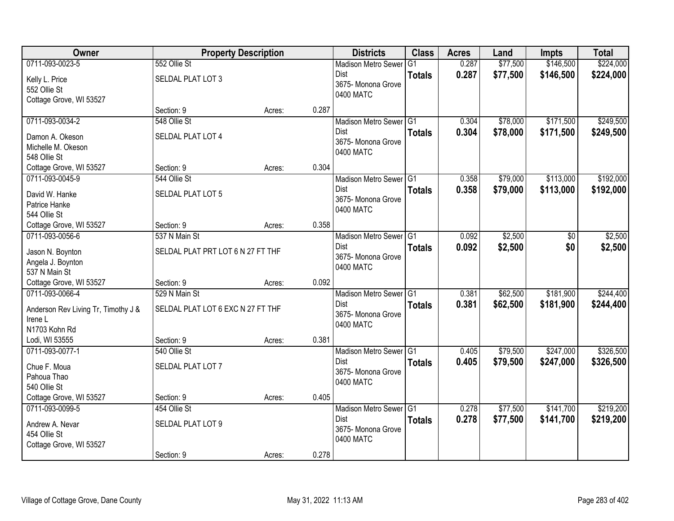| Owner                                          | <b>Property Description</b>       |        |       | <b>Districts</b>           | <b>Class</b>  | <b>Acres</b> | Land     | <b>Impts</b> | <b>Total</b> |
|------------------------------------------------|-----------------------------------|--------|-------|----------------------------|---------------|--------------|----------|--------------|--------------|
| 0711-093-0023-5                                | 552 Ollie St                      |        |       | <b>Madison Metro Sewer</b> | G1            | 0.287        | \$77,500 | \$146,500    | \$224,000    |
| Kelly L. Price                                 | SELDAL PLAT LOT 3                 |        |       | Dist                       | <b>Totals</b> | 0.287        | \$77,500 | \$146,500    | \$224,000    |
| 552 Ollie St                                   |                                   |        |       | 3675- Monona Grove         |               |              |          |              |              |
| Cottage Grove, WI 53527                        |                                   |        |       | 0400 MATC                  |               |              |          |              |              |
|                                                | Section: 9                        | Acres: | 0.287 |                            |               |              |          |              |              |
| 0711-093-0034-2                                | 548 Ollie St                      |        |       | Madison Metro Sewer G1     |               | 0.304        | \$78,000 | \$171,500    | \$249,500    |
| Damon A. Okeson                                | SELDAL PLAT LOT 4                 |        |       | Dist                       | <b>Totals</b> | 0.304        | \$78,000 | \$171,500    | \$249,500    |
| Michelle M. Okeson                             |                                   |        |       | 3675- Monona Grove         |               |              |          |              |              |
| 548 Ollie St                                   |                                   |        |       | 0400 MATC                  |               |              |          |              |              |
| Cottage Grove, WI 53527                        | Section: 9                        | Acres: | 0.304 |                            |               |              |          |              |              |
| 0711-093-0045-9                                | 544 Ollie St                      |        |       | Madison Metro Sewer G1     |               | 0.358        | \$79,000 | \$113,000    | \$192,000    |
| David W. Hanke                                 | SELDAL PLAT LOT 5                 |        |       | Dist                       | <b>Totals</b> | 0.358        | \$79,000 | \$113,000    | \$192,000    |
| Patrice Hanke                                  |                                   |        |       | 3675- Monona Grove         |               |              |          |              |              |
| 544 Ollie St                                   |                                   |        |       | 0400 MATC                  |               |              |          |              |              |
| Cottage Grove, WI 53527                        | Section: 9                        | Acres: | 0.358 |                            |               |              |          |              |              |
| 0711-093-0056-6                                | 537 N Main St                     |        |       | Madison Metro Sewer G1     |               | 0.092        | \$2,500  | \$0          | \$2,500      |
| Jason N. Boynton                               | SELDAL PLAT PRT LOT 6 N 27 FT THF |        |       | Dist                       | <b>Totals</b> | 0.092        | \$2,500  | \$0          | \$2,500      |
| Angela J. Boynton                              |                                   |        |       | 3675- Monona Grove         |               |              |          |              |              |
| 537 N Main St                                  |                                   |        |       | 0400 MATC                  |               |              |          |              |              |
| Cottage Grove, WI 53527                        | Section: 9                        | Acres: | 0.092 |                            |               |              |          |              |              |
| 0711-093-0066-4                                | 529 N Main St                     |        |       | Madison Metro Sewer G1     |               | 0.381        | \$62,500 | \$181,900    | \$244,400    |
|                                                |                                   |        |       | Dist                       | <b>Totals</b> | 0.381        | \$62,500 | \$181,900    | \$244,400    |
| Anderson Rev Living Tr, Timothy J &<br>Irene L | SELDAL PLAT LOT 6 EXC N 27 FT THF |        |       | 3675- Monona Grove         |               |              |          |              |              |
| N1703 Kohn Rd                                  |                                   |        |       | 0400 MATC                  |               |              |          |              |              |
| Lodi, WI 53555                                 | Section: 9                        | Acres: | 0.381 |                            |               |              |          |              |              |
| 0711-093-0077-1                                | 540 Ollie St                      |        |       | Madison Metro Sewer G1     |               | 0.405        | \$79,500 | \$247,000    | \$326,500    |
|                                                |                                   |        |       | Dist                       | <b>Totals</b> | 0.405        | \$79,500 | \$247,000    | \$326,500    |
| Chue F. Moua<br>Pahoua Thao                    | SELDAL PLAT LOT 7                 |        |       | 3675- Monona Grove         |               |              |          |              |              |
| 540 Ollie St                                   |                                   |        |       | 0400 MATC                  |               |              |          |              |              |
| Cottage Grove, WI 53527                        | Section: 9                        | Acres: | 0.405 |                            |               |              |          |              |              |
| 0711-093-0099-5                                | 454 Ollie St                      |        |       | Madison Metro Sewer G1     |               | 0.278        | \$77,500 | \$141,700    | \$219,200    |
|                                                |                                   |        |       | Dist                       | <b>Totals</b> | 0.278        | \$77,500 | \$141,700    | \$219,200    |
| Andrew A. Nevar<br>454 Ollie St                | SELDAL PLAT LOT 9                 |        |       | 3675- Monona Grove         |               |              |          |              |              |
| Cottage Grove, WI 53527                        |                                   |        |       | 0400 MATC                  |               |              |          |              |              |
|                                                | Section: 9                        | Acres: | 0.278 |                            |               |              |          |              |              |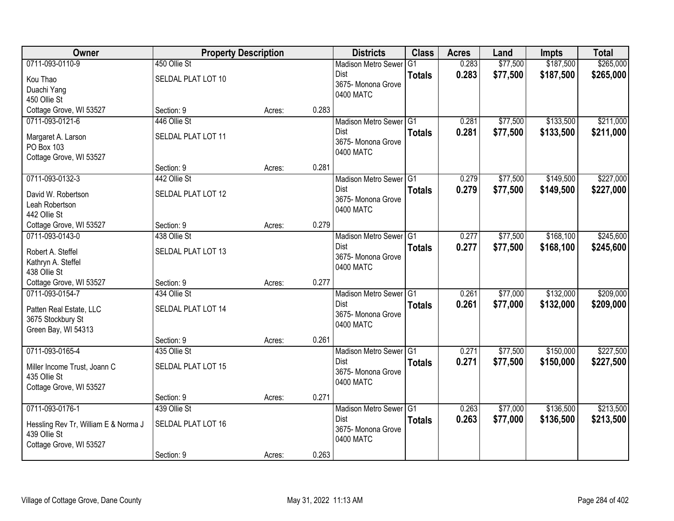| Owner                                | <b>Property Description</b> |        |       | <b>Districts</b>                | <b>Class</b>  | <b>Acres</b> | Land     | <b>Impts</b> | <b>Total</b> |
|--------------------------------------|-----------------------------|--------|-------|---------------------------------|---------------|--------------|----------|--------------|--------------|
| 0711-093-0110-9                      | 450 Ollie St                |        |       | <b>Madison Metro Sewer</b>      | G1            | 0.283        | \$77,500 | \$187,500    | \$265,000    |
| Kou Thao                             | SELDAL PLAT LOT 10          |        |       | Dist<br>3675- Monona Grove      | <b>Totals</b> | 0.283        | \$77,500 | \$187,500    | \$265,000    |
| Duachi Yang                          |                             |        |       | 0400 MATC                       |               |              |          |              |              |
| 450 Ollie St                         |                             |        |       |                                 |               |              |          |              |              |
| Cottage Grove, WI 53527              | Section: 9                  | Acres: | 0.283 |                                 |               |              |          |              |              |
| 0711-093-0121-6                      | 446 Ollie St                |        |       | Madison Metro Sewer G1<br>Dist  |               | 0.281        | \$77,500 | \$133,500    | \$211,000    |
| Margaret A. Larson                   | SELDAL PLAT LOT 11          |        |       | 3675- Monona Grove              | <b>Totals</b> | 0.281        | \$77,500 | \$133,500    | \$211,000    |
| PO Box 103                           |                             |        |       | 0400 MATC                       |               |              |          |              |              |
| Cottage Grove, WI 53527              |                             |        |       |                                 |               |              |          |              |              |
|                                      | Section: 9                  | Acres: | 0.281 |                                 |               |              |          |              |              |
| 0711-093-0132-3                      | 442 Ollie St                |        |       | Madison Metro Sewer G1          |               | 0.279        | \$77,500 | \$149,500    | \$227,000    |
| David W. Robertson                   | SELDAL PLAT LOT 12          |        |       | Dist<br>3675- Monona Grove      | <b>Totals</b> | 0.279        | \$77,500 | \$149,500    | \$227,000    |
| Leah Robertson                       |                             |        |       | 0400 MATC                       |               |              |          |              |              |
| 442 Ollie St                         |                             |        |       |                                 |               |              |          |              |              |
| Cottage Grove, WI 53527              | Section: 9                  | Acres: | 0.279 |                                 |               |              |          |              |              |
| 0711-093-0143-0                      | 438 Ollie St                |        |       | Madison Metro Sewer G1          |               | 0.277        | \$77,500 | \$168,100    | \$245,600    |
| Robert A. Steffel                    | SELDAL PLAT LOT 13          |        |       | Dist<br>3675- Monona Grove      | <b>Totals</b> | 0.277        | \$77,500 | \$168,100    | \$245,600    |
| Kathryn A. Steffel                   |                             |        |       | 0400 MATC                       |               |              |          |              |              |
| 438 Ollie St                         |                             |        |       |                                 |               |              |          |              |              |
| Cottage Grove, WI 53527              | Section: 9                  | Acres: | 0.277 |                                 |               |              |          |              |              |
| 0711-093-0154-7                      | 434 Ollie St                |        |       | Madison Metro Sewer G1          |               | 0.261        | \$77,000 | \$132,000    | \$209,000    |
| Patten Real Estate, LLC              | SELDAL PLAT LOT 14          |        |       | <b>Dist</b>                     | <b>Totals</b> | 0.261        | \$77,000 | \$132,000    | \$209,000    |
| 3675 Stockbury St                    |                             |        |       | 3675- Monona Grove<br>0400 MATC |               |              |          |              |              |
| Green Bay, WI 54313                  |                             |        |       |                                 |               |              |          |              |              |
|                                      | Section: 9                  | Acres: | 0.261 |                                 |               |              |          |              |              |
| 0711-093-0165-4                      | 435 Ollie St                |        |       | Madison Metro Sewer G1          |               | 0.271        | \$77,500 | \$150,000    | \$227,500    |
| Miller Income Trust, Joann C         | SELDAL PLAT LOT 15          |        |       | Dist<br>3675- Monona Grove      | <b>Totals</b> | 0.271        | \$77,500 | \$150,000    | \$227,500    |
| 435 Ollie St                         |                             |        |       | 0400 MATC                       |               |              |          |              |              |
| Cottage Grove, WI 53527              |                             |        |       |                                 |               |              |          |              |              |
|                                      | Section: 9                  | Acres: | 0.271 |                                 |               |              |          |              |              |
| 0711-093-0176-1                      | 439 Ollie St                |        |       | Madison Metro Sewer G1          |               | 0.263        | \$77,000 | \$136,500    | \$213,500    |
| Hessling Rev Tr, William E & Norma J | SELDAL PLAT LOT 16          |        |       | Dist                            | <b>Totals</b> | 0.263        | \$77,000 | \$136,500    | \$213,500    |
| 439 Ollie St                         |                             |        |       | 3675- Monona Grove<br>0400 MATC |               |              |          |              |              |
| Cottage Grove, WI 53527              |                             |        |       |                                 |               |              |          |              |              |
|                                      | Section: 9                  | Acres: | 0.263 |                                 |               |              |          |              |              |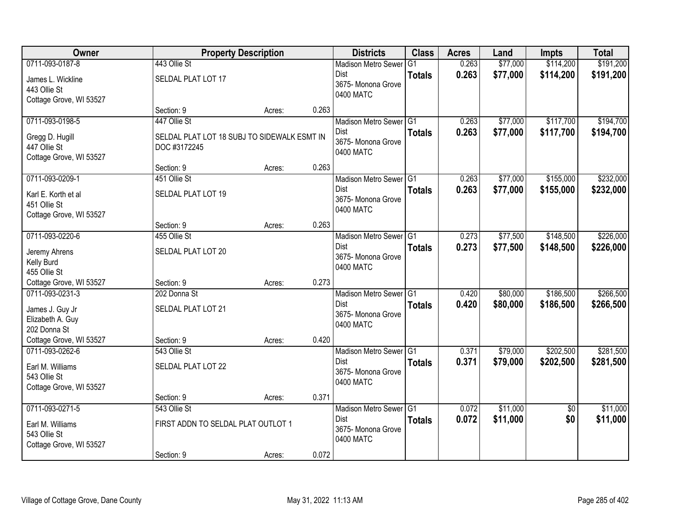| <b>Owner</b>                      | <b>Property Description</b>                 |        |       | <b>Districts</b>                  | <b>Class</b>  | <b>Acres</b> | Land     | <b>Impts</b>    | <b>Total</b> |
|-----------------------------------|---------------------------------------------|--------|-------|-----------------------------------|---------------|--------------|----------|-----------------|--------------|
| 0711-093-0187-8                   | 443 Ollie St                                |        |       | <b>Madison Metro Sewer</b>        | G1            | 0.263        | \$77,000 | \$114,200       | \$191,200    |
| James L. Wickline<br>443 Ollie St | SELDAL PLAT LOT 17                          |        |       | Dist<br>3675- Monona Grove        | <b>Totals</b> | 0.263        | \$77,000 | \$114,200       | \$191,200    |
| Cottage Grove, WI 53527           |                                             |        |       | 0400 MATC                         |               |              |          |                 |              |
|                                   | Section: 9                                  | Acres: | 0.263 |                                   |               |              |          |                 |              |
| 0711-093-0198-5                   | 447 Ollie St                                |        |       | Madison Metro Sewer G1            |               | 0.263        | \$77,000 | \$117,700       | \$194,700    |
| Gregg D. Hugill                   | SELDAL PLAT LOT 18 SUBJ TO SIDEWALK ESMT IN |        |       | Dist                              | <b>Totals</b> | 0.263        | \$77,000 | \$117,700       | \$194,700    |
| 447 Ollie St                      | DOC #3172245                                |        |       | 3675- Monona Grove                |               |              |          |                 |              |
| Cottage Grove, WI 53527           |                                             |        |       | 0400 MATC                         |               |              |          |                 |              |
|                                   | Section: 9                                  | Acres: | 0.263 |                                   |               |              |          |                 |              |
| 0711-093-0209-1                   | 451 Ollie St                                |        |       | Madison Metro Sewer G1            |               | 0.263        | \$77,000 | \$155,000       | \$232,000    |
| Karl E. Korth et al               | SELDAL PLAT LOT 19                          |        |       | Dist                              | <b>Totals</b> | 0.263        | \$77,000 | \$155,000       | \$232,000    |
| 451 Ollie St                      |                                             |        |       | 3675-Monona Grove                 |               |              |          |                 |              |
| Cottage Grove, WI 53527           |                                             |        |       | 0400 MATC                         |               |              |          |                 |              |
|                                   | Section: 9                                  | Acres: | 0.263 |                                   |               |              |          |                 |              |
| 0711-093-0220-6                   | 455 Ollie St                                |        |       | Madison Metro Sewer G1            |               | 0.273        | \$77,500 | \$148,500       | \$226,000    |
| Jeremy Ahrens                     | SELDAL PLAT LOT 20                          |        |       | Dist                              | <b>Totals</b> | 0.273        | \$77,500 | \$148,500       | \$226,000    |
| Kelly Burd                        |                                             |        |       | 3675- Monona Grove<br>0400 MATC   |               |              |          |                 |              |
| 455 Ollie St                      |                                             |        |       |                                   |               |              |          |                 |              |
| Cottage Grove, WI 53527           | Section: 9                                  | Acres: | 0.273 |                                   |               |              |          |                 |              |
| 0711-093-0231-3                   | 202 Donna St                                |        |       | Madison Metro Sewer <sup>G1</sup> |               | 0.420        | \$80,000 | \$186,500       | \$266,500    |
| James J. Guy Jr                   | SELDAL PLAT LOT 21                          |        |       | Dist                              | <b>Totals</b> | 0.420        | \$80,000 | \$186,500       | \$266,500    |
| Elizabeth A. Guy                  |                                             |        |       | 3675- Monona Grove<br>0400 MATC   |               |              |          |                 |              |
| 202 Donna St                      |                                             |        |       |                                   |               |              |          |                 |              |
| Cottage Grove, WI 53527           | Section: 9                                  | Acres: | 0.420 |                                   |               |              |          |                 |              |
| 0711-093-0262-6                   | 543 Ollie St                                |        |       | Madison Metro Sewer G1            |               | 0.371        | \$79,000 | \$202,500       | \$281,500    |
| Earl M. Williams                  | SELDAL PLAT LOT 22                          |        |       | Dist<br>3675- Monona Grove        | <b>Totals</b> | 0.371        | \$79,000 | \$202,500       | \$281,500    |
| 543 Ollie St                      |                                             |        |       | 0400 MATC                         |               |              |          |                 |              |
| Cottage Grove, WI 53527           |                                             |        |       |                                   |               |              |          |                 |              |
|                                   | Section: 9                                  | Acres: | 0.371 |                                   |               |              |          |                 |              |
| 0711-093-0271-5                   | 543 Ollie St                                |        |       | Madison Metro Sewer G1            |               | 0.072        | \$11,000 | $\overline{50}$ | \$11,000     |
| Earl M. Williams                  | FIRST ADDN TO SELDAL PLAT OUTLOT 1          |        |       | Dist<br>3675- Monona Grove        | <b>Totals</b> | 0.072        | \$11,000 | \$0             | \$11,000     |
| 543 Ollie St                      |                                             |        |       | 0400 MATC                         |               |              |          |                 |              |
| Cottage Grove, WI 53527           |                                             |        |       |                                   |               |              |          |                 |              |
|                                   | Section: 9                                  | Acres: | 0.072 |                                   |               |              |          |                 |              |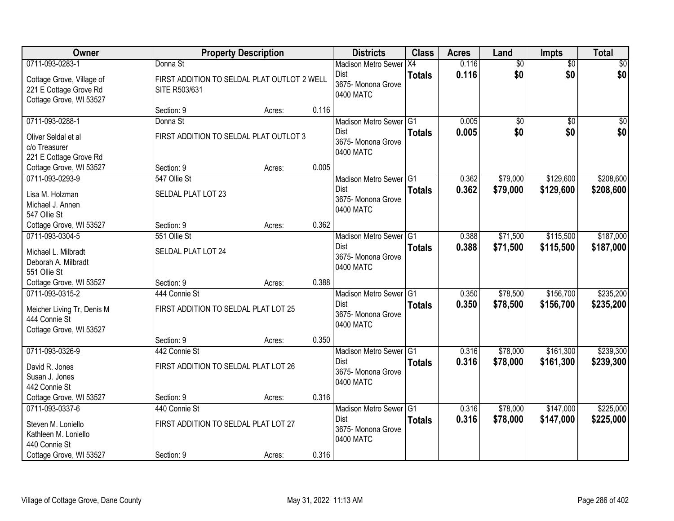| Owner                                                                                     |                                                              | <b>Property Description</b> |       | <b>Districts</b>                                                         | <b>Class</b>  | <b>Acres</b>   | Land                 | <b>Impts</b>           | <b>Total</b>           |
|-------------------------------------------------------------------------------------------|--------------------------------------------------------------|-----------------------------|-------|--------------------------------------------------------------------------|---------------|----------------|----------------------|------------------------|------------------------|
| 0711-093-0283-1                                                                           | Donna St                                                     |                             |       | <b>Madison Metro Sewer</b>                                               | X4            | 0.116          | $\overline{60}$      | $\overline{50}$        | \$0                    |
| Cottage Grove, Village of<br>221 E Cottage Grove Rd<br>Cottage Grove, WI 53527            | FIRST ADDITION TO SELDAL PLAT OUTLOT 2 WELL<br>SITE R503/631 |                             |       | Dist<br>3675- Monona Grove<br>0400 MATC                                  | <b>Totals</b> | 0.116          | \$0                  | \$0                    | \$0                    |
|                                                                                           | Section: 9                                                   | Acres:                      | 0.116 |                                                                          |               |                |                      |                        |                        |
| 0711-093-0288-1                                                                           | Donna St                                                     |                             |       | Madison Metro Sewer G1                                                   |               | 0.005          | \$0                  | \$0                    | \$0                    |
| Oliver Seldal et al<br>c/o Treasurer<br>221 E Cottage Grove Rd                            | FIRST ADDITION TO SELDAL PLAT OUTLOT 3                       |                             |       | Dist<br>3675- Monona Grove<br>0400 MATC                                  | <b>Totals</b> | 0.005          | \$0                  | \$0                    | \$0                    |
| Cottage Grove, WI 53527                                                                   | Section: 9                                                   | Acres:                      | 0.005 |                                                                          |               |                |                      |                        |                        |
| 0711-093-0293-9                                                                           | 547 Ollie St                                                 |                             |       | Madison Metro Sewer G1                                                   |               | 0.362          | \$79,000             | \$129,600              | \$208,600              |
| Lisa M. Holzman<br>Michael J. Annen<br>547 Ollie St                                       | SELDAL PLAT LOT 23                                           |                             |       | Dist<br>3675- Monona Grove<br>0400 MATC                                  | <b>Totals</b> | 0.362          | \$79,000             | \$129,600              | \$208,600              |
| Cottage Grove, WI 53527                                                                   | Section: 9                                                   | Acres:                      | 0.362 |                                                                          |               |                |                      |                        |                        |
| 0711-093-0304-5                                                                           | 551 Ollie St                                                 |                             |       | Madison Metro Sewer G1                                                   |               | 0.388          | \$71,500             | \$115,500              | \$187,000              |
| Michael L. Milbradt<br>Deborah A. Milbradt<br>551 Ollie St                                | SELDAL PLAT LOT 24                                           |                             |       | Dist<br>3675- Monona Grove<br>0400 MATC                                  | <b>Totals</b> | 0.388          | \$71,500             | \$115,500              | \$187,000              |
| Cottage Grove, WI 53527                                                                   | Section: 9                                                   | Acres:                      | 0.388 |                                                                          |               |                |                      |                        |                        |
| 0711-093-0315-2<br>Meicher Living Tr, Denis M<br>444 Connie St<br>Cottage Grove, WI 53527 | 444 Connie St<br>FIRST ADDITION TO SELDAL PLAT LOT 25        |                             |       | Madison Metro Sewer G1<br><b>Dist</b><br>3675- Monona Grove<br>0400 MATC | <b>Totals</b> | 0.350<br>0.350 | \$78,500<br>\$78,500 | \$156,700<br>\$156,700 | \$235,200<br>\$235,200 |
|                                                                                           | Section: 9                                                   | Acres:                      | 0.350 |                                                                          |               |                |                      |                        |                        |
| 0711-093-0326-9                                                                           | 442 Connie St                                                |                             |       | Madison Metro Sewer G1                                                   |               | 0.316          | \$78,000             | \$161,300              | \$239,300              |
| David R. Jones<br>Susan J. Jones<br>442 Connie St                                         | FIRST ADDITION TO SELDAL PLAT LOT 26                         |                             |       | Dist<br>3675- Monona Grove<br>0400 MATC                                  | <b>Totals</b> | 0.316          | \$78,000             | \$161,300              | \$239,300              |
| Cottage Grove, WI 53527                                                                   | Section: 9                                                   | Acres:                      | 0.316 |                                                                          |               |                |                      |                        |                        |
| 0711-093-0337-6                                                                           | 440 Connie St                                                |                             |       | Madison Metro Sewer G1                                                   |               | 0.316          | \$78,000             | \$147,000              | \$225,000              |
| Steven M. Loniello<br>Kathleen M. Loniello<br>440 Connie St                               | FIRST ADDITION TO SELDAL PLAT LOT 27                         |                             |       | Dist<br>3675- Monona Grove<br>0400 MATC                                  | <b>Totals</b> | 0.316          | \$78,000             | \$147,000              | \$225,000              |
| Cottage Grove, WI 53527                                                                   | Section: 9                                                   | Acres:                      | 0.316 |                                                                          |               |                |                      |                        |                        |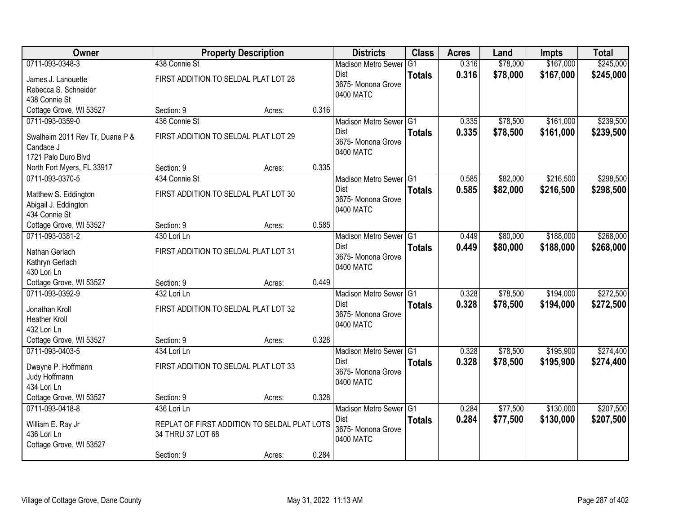| <b>Owner</b>                    |                   | <b>Property Description</b>                  |       | <b>Districts</b>           | <b>Class</b>  | <b>Acres</b> | Land     | <b>Impts</b> | <b>Total</b> |
|---------------------------------|-------------------|----------------------------------------------|-------|----------------------------|---------------|--------------|----------|--------------|--------------|
| 0711-093-0348-3                 | 438 Connie St     |                                              |       | <b>Madison Metro Sewer</b> | G1            | 0.316        | \$78,000 | \$167,000    | \$245,000    |
| James J. Lanouette              |                   | FIRST ADDITION TO SELDAL PLAT LOT 28         |       | Dist                       | <b>Totals</b> | 0.316        | \$78,000 | \$167,000    | \$245,000    |
| Rebecca S. Schneider            |                   |                                              |       | 3675-Monona Grove          |               |              |          |              |              |
| 438 Connie St                   |                   |                                              |       | 0400 MATC                  |               |              |          |              |              |
| Cottage Grove, WI 53527         | Section: 9        | Acres:                                       | 0.316 |                            |               |              |          |              |              |
| 0711-093-0359-0                 | 436 Connie St     |                                              |       | Madison Metro Sewer G1     |               | 0.335        | \$78,500 | \$161,000    | \$239,500    |
| Swalheim 2011 Rev Tr, Duane P & |                   | FIRST ADDITION TO SELDAL PLAT LOT 29         |       | Dist                       | <b>Totals</b> | 0.335        | \$78,500 | \$161,000    | \$239,500    |
| Candace J                       |                   |                                              |       | 3675- Monona Grove         |               |              |          |              |              |
| 1721 Palo Duro Blvd             |                   |                                              |       | 0400 MATC                  |               |              |          |              |              |
| North Fort Myers, FL 33917      | Section: 9        | Acres:                                       | 0.335 |                            |               |              |          |              |              |
| 0711-093-0370-5                 | 434 Connie St     |                                              |       | Madison Metro Sewer G1     |               | 0.585        | \$82,000 | \$216,500    | \$298,500    |
| Matthew S. Eddington            |                   | FIRST ADDITION TO SELDAL PLAT LOT 30         |       | <b>Dist</b>                | <b>Totals</b> | 0.585        | \$82,000 | \$216,500    | \$298,500    |
| Abigail J. Eddington            |                   |                                              |       | 3675- Monona Grove         |               |              |          |              |              |
| 434 Connie St                   |                   |                                              |       | 0400 MATC                  |               |              |          |              |              |
| Cottage Grove, WI 53527         | Section: 9        | Acres:                                       | 0.585 |                            |               |              |          |              |              |
| 0711-093-0381-2                 | 430 Lori Ln       |                                              |       | Madison Metro Sewer G1     |               | 0.449        | \$80,000 | \$188,000    | \$268,000    |
| Nathan Gerlach                  |                   | FIRST ADDITION TO SELDAL PLAT LOT 31         |       | <b>Dist</b>                | <b>Totals</b> | 0.449        | \$80,000 | \$188,000    | \$268,000    |
| Kathryn Gerlach                 |                   |                                              |       | 3675- Monona Grove         |               |              |          |              |              |
| 430 Lori Ln                     |                   |                                              |       | 0400 MATC                  |               |              |          |              |              |
| Cottage Grove, WI 53527         | Section: 9        | Acres:                                       | 0.449 |                            |               |              |          |              |              |
| 0711-093-0392-9                 | 432 Lori Ln       |                                              |       | Madison Metro Sewer G1     |               | 0.328        | \$78,500 | \$194,000    | \$272,500    |
| Jonathan Kroll                  |                   | FIRST ADDITION TO SELDAL PLAT LOT 32         |       | <b>Dist</b>                | <b>Totals</b> | 0.328        | \$78,500 | \$194,000    | \$272,500    |
| <b>Heather Kroll</b>            |                   |                                              |       | 3675-Monona Grove          |               |              |          |              |              |
| 432 Lori Ln                     |                   |                                              |       | 0400 MATC                  |               |              |          |              |              |
| Cottage Grove, WI 53527         | Section: 9        | Acres:                                       | 0.328 |                            |               |              |          |              |              |
| 0711-093-0403-5                 | 434 Lori Ln       |                                              |       | Madison Metro Sewer G1     |               | 0.328        | \$78,500 | \$195,900    | \$274,400    |
| Dwayne P. Hoffmann              |                   | FIRST ADDITION TO SELDAL PLAT LOT 33         |       | Dist                       | <b>Totals</b> | 0.328        | \$78,500 | \$195,900    | \$274,400    |
| Judy Hoffmann                   |                   |                                              |       | 3675- Monona Grove         |               |              |          |              |              |
| 434 Lori Ln                     |                   |                                              |       | 0400 MATC                  |               |              |          |              |              |
| Cottage Grove, WI 53527         | Section: 9        | Acres:                                       | 0.328 |                            |               |              |          |              |              |
| 0711-093-0418-8                 | 436 Lori Ln       |                                              |       | Madison Metro Sewer G1     |               | 0.284        | \$77,500 | \$130,000    | \$207,500    |
| William E. Ray Jr               |                   | REPLAT OF FIRST ADDITION TO SELDAL PLAT LOTS |       | <b>Dist</b>                | <b>Totals</b> | 0.284        | \$77,500 | \$130,000    | \$207,500    |
| 436 Lori Ln                     | 34 THRU 37 LOT 68 |                                              |       | 3675- Monona Grove         |               |              |          |              |              |
| Cottage Grove, WI 53527         |                   |                                              |       | 0400 MATC                  |               |              |          |              |              |
|                                 | Section: 9        | Acres:                                       | 0.284 |                            |               |              |          |              |              |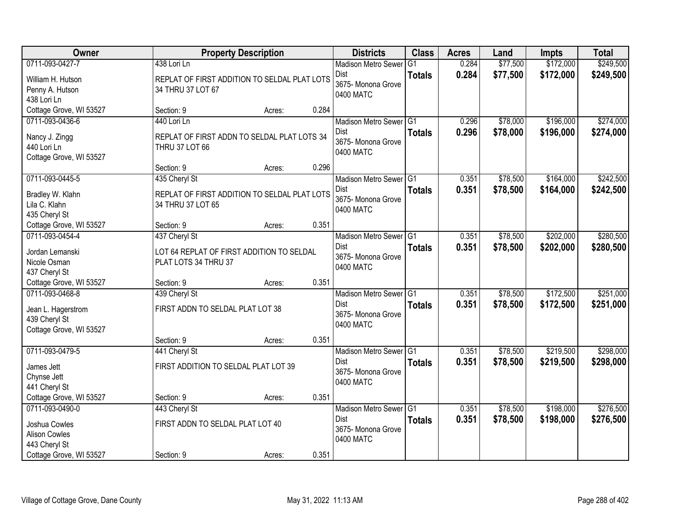| Owner                                    |                                      | <b>Property Description</b>                  |       | <b>Districts</b>                | <b>Class</b>  | <b>Acres</b> | Land     | <b>Impts</b> | <b>Total</b> |
|------------------------------------------|--------------------------------------|----------------------------------------------|-------|---------------------------------|---------------|--------------|----------|--------------|--------------|
| 0711-093-0427-7                          | 438 Lori Ln                          |                                              |       | <b>Madison Metro Sewer</b>      | G1            | 0.284        | \$77,500 | \$172,000    | \$249,500    |
| William H. Hutson                        |                                      | REPLAT OF FIRST ADDITION TO SELDAL PLAT LOTS |       | Dist                            | <b>Totals</b> | 0.284        | \$77,500 | \$172,000    | \$249,500    |
| Penny A. Hutson                          | 34 THRU 37 LOT 67                    |                                              |       | 3675- Monona Grove<br>0400 MATC |               |              |          |              |              |
| 438 Lori Ln                              |                                      |                                              |       |                                 |               |              |          |              |              |
| Cottage Grove, WI 53527                  | Section: 9                           | Acres:                                       | 0.284 |                                 |               |              |          |              |              |
| 0711-093-0436-6                          | 440 Lori Ln                          |                                              |       | Madison Metro Sewer G1          |               | 0.296        | \$78,000 | \$196,000    | \$274,000    |
| Nancy J. Zingg                           |                                      | REPLAT OF FIRST ADDN TO SELDAL PLAT LOTS 34  |       | Dist                            | <b>Totals</b> | 0.296        | \$78,000 | \$196,000    | \$274,000    |
| 440 Lori Ln                              | THRU 37 LOT 66                       |                                              |       | 3675- Monona Grove              |               |              |          |              |              |
| Cottage Grove, WI 53527                  |                                      |                                              |       | 0400 MATC                       |               |              |          |              |              |
|                                          | Section: 9                           | Acres:                                       | 0.296 |                                 |               |              |          |              |              |
| 0711-093-0445-5                          | 435 Cheryl St                        |                                              |       | Madison Metro Sewer G1          |               | 0.351        | \$78,500 | \$164,000    | \$242,500    |
| Bradley W. Klahn                         |                                      | REPLAT OF FIRST ADDITION TO SELDAL PLAT LOTS |       | Dist                            | <b>Totals</b> | 0.351        | \$78,500 | \$164,000    | \$242,500    |
| Lila C. Klahn                            | 34 THRU 37 LOT 65                    |                                              |       | 3675- Monona Grove              |               |              |          |              |              |
| 435 Cheryl St                            |                                      |                                              |       | 0400 MATC                       |               |              |          |              |              |
| Cottage Grove, WI 53527                  | Section: 9                           | Acres:                                       | 0.351 |                                 |               |              |          |              |              |
| 0711-093-0454-4                          | 437 Cheryl St                        |                                              |       | Madison Metro Sewer G1          |               | 0.351        | \$78,500 | \$202,000    | \$280,500    |
| Jordan Lemanski                          |                                      | LOT 64 REPLAT OF FIRST ADDITION TO SELDAL    |       | Dist                            | <b>Totals</b> | 0.351        | \$78,500 | \$202,000    | \$280,500    |
| Nicole Osman                             | PLAT LOTS 34 THRU 37                 |                                              |       | 3675- Monona Grove              |               |              |          |              |              |
| 437 Cheryl St                            |                                      |                                              |       | 0400 MATC                       |               |              |          |              |              |
| Cottage Grove, WI 53527                  | Section: 9                           | Acres:                                       | 0.351 |                                 |               |              |          |              |              |
| 0711-093-0468-8                          | 439 Cheryl St                        |                                              |       | Madison Metro Sewer G1          |               | 0.351        | \$78,500 | \$172,500    | \$251,000    |
|                                          |                                      |                                              |       | Dist                            | <b>Totals</b> | 0.351        | \$78,500 | \$172,500    | \$251,000    |
| Jean L. Hagerstrom<br>439 Cheryl St      | FIRST ADDN TO SELDAL PLAT LOT 38     |                                              |       | 3675- Monona Grove              |               |              |          |              |              |
| Cottage Grove, WI 53527                  |                                      |                                              |       | 0400 MATC                       |               |              |          |              |              |
|                                          | Section: 9                           | Acres:                                       | 0.351 |                                 |               |              |          |              |              |
| 0711-093-0479-5                          | 441 Cheryl St                        |                                              |       | Madison Metro Sewer G1          |               | 0.351        | \$78,500 | \$219,500    | \$298,000    |
|                                          |                                      |                                              |       | Dist                            | <b>Totals</b> | 0.351        | \$78,500 | \$219,500    | \$298,000    |
| James Jett                               | FIRST ADDITION TO SELDAL PLAT LOT 39 |                                              |       | 3675- Monona Grove              |               |              |          |              |              |
| Chynse Jett                              |                                      |                                              |       | 0400 MATC                       |               |              |          |              |              |
| 441 Cheryl St<br>Cottage Grove, WI 53527 | Section: 9                           | Acres:                                       | 0.351 |                                 |               |              |          |              |              |
| 0711-093-0490-0                          | 443 Cheryl St                        |                                              |       | Madison Metro Sewer G1          |               | 0.351        | \$78,500 | \$198,000    | \$276,500    |
|                                          |                                      |                                              |       | Dist                            | <b>Totals</b> | 0.351        | \$78,500 | \$198,000    | \$276,500    |
| Joshua Cowles                            | FIRST ADDN TO SELDAL PLAT LOT 40     |                                              |       | 3675- Monona Grove              |               |              |          |              |              |
| <b>Alison Cowles</b>                     |                                      |                                              |       | 0400 MATC                       |               |              |          |              |              |
| 443 Cheryl St                            |                                      |                                              |       |                                 |               |              |          |              |              |
| Cottage Grove, WI 53527                  | Section: 9                           | Acres:                                       | 0.351 |                                 |               |              |          |              |              |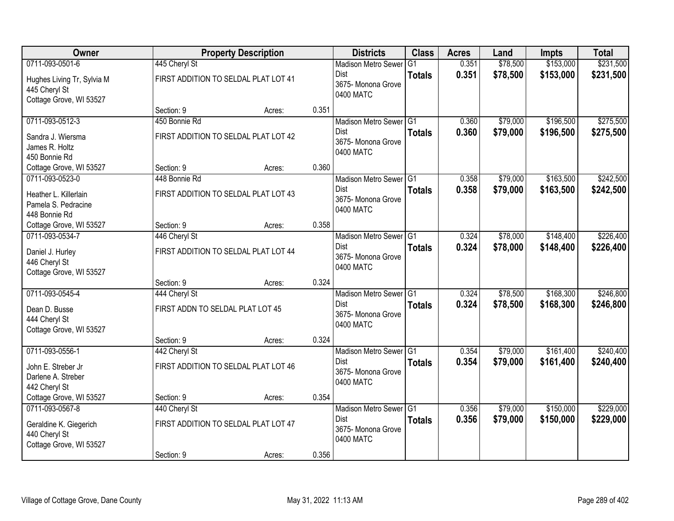| Owner                                                                  |                                      | <b>Property Description</b> |       | <b>Districts</b>                               | <b>Class</b>   | <b>Acres</b> | Land     | <b>Impts</b> | <b>Total</b> |
|------------------------------------------------------------------------|--------------------------------------|-----------------------------|-------|------------------------------------------------|----------------|--------------|----------|--------------|--------------|
| 0711-093-0501-6                                                        | 445 Cheryl St                        |                             |       | <b>Madison Metro Sewer</b>                     | G <sub>1</sub> | 0.351        | \$78,500 | \$153,000    | \$231,500    |
| Hughes Living Tr, Sylvia M<br>445 Cheryl St<br>Cottage Grove, WI 53527 | FIRST ADDITION TO SELDAL PLAT LOT 41 |                             |       | <b>Dist</b><br>3675- Monona Grove<br>0400 MATC | <b>Totals</b>  | 0.351        | \$78,500 | \$153,000    | \$231,500    |
|                                                                        | Section: 9                           | Acres:                      | 0.351 |                                                |                |              |          |              |              |
| 0711-093-0512-3                                                        | 450 Bonnie Rd                        |                             |       | Madison Metro Sewer G1                         |                | 0.360        | \$79,000 | \$196,500    | \$275,500    |
| Sandra J. Wiersma<br>James R. Holtz<br>450 Bonnie Rd                   | FIRST ADDITION TO SELDAL PLAT LOT 42 |                             |       | <b>Dist</b><br>3675- Monona Grove<br>0400 MATC | <b>Totals</b>  | 0.360        | \$79,000 | \$196,500    | \$275,500    |
| Cottage Grove, WI 53527                                                | Section: 9                           | Acres:                      | 0.360 |                                                |                |              |          |              |              |
| 0711-093-0523-0                                                        | 448 Bonnie Rd                        |                             |       | Madison Metro Sewer G1                         |                | 0.358        | \$79,000 | \$163,500    | \$242,500    |
| Heather L. Killerlain<br>Pamela S. Pedracine<br>448 Bonnie Rd          | FIRST ADDITION TO SELDAL PLAT LOT 43 |                             |       | <b>Dist</b><br>3675- Monona Grove<br>0400 MATC | <b>Totals</b>  | 0.358        | \$79,000 | \$163,500    | \$242,500    |
| Cottage Grove, WI 53527                                                | Section: 9                           | Acres:                      | 0.358 |                                                |                |              |          |              |              |
| 0711-093-0534-7                                                        | 446 Cheryl St                        |                             |       | Madison Metro Sewer G1                         |                | 0.324        | \$78,000 | \$148,400    | \$226,400    |
| Daniel J. Hurley<br>446 Cheryl St<br>Cottage Grove, WI 53527           | FIRST ADDITION TO SELDAL PLAT LOT 44 |                             |       | <b>Dist</b><br>3675- Monona Grove<br>0400 MATC | <b>Totals</b>  | 0.324        | \$78,000 | \$148,400    | \$226,400    |
|                                                                        | Section: 9                           | Acres:                      | 0.324 |                                                |                |              |          |              |              |
| 0711-093-0545-4                                                        | 444 Cheryl St                        |                             |       | Madison Metro Sewer G1                         |                | 0.324        | \$78,500 | \$168,300    | \$246,800    |
| Dean D. Busse<br>444 Cheryl St<br>Cottage Grove, WI 53527              | FIRST ADDN TO SELDAL PLAT LOT 45     |                             |       | Dist<br>3675- Monona Grove<br>0400 MATC        | <b>Totals</b>  | 0.324        | \$78,500 | \$168,300    | \$246,800    |
|                                                                        | Section: 9                           | Acres:                      | 0.324 |                                                |                |              |          |              |              |
| 0711-093-0556-1                                                        | 442 Cheryl St                        |                             |       | Madison Metro Sewer G1                         |                | 0.354        | \$79,000 | \$161,400    | \$240,400    |
| John E. Streber Jr<br>Darlene A. Streber<br>442 Cheryl St              | FIRST ADDITION TO SELDAL PLAT LOT 46 |                             |       | Dist<br>3675- Monona Grove<br>0400 MATC        | <b>Totals</b>  | 0.354        | \$79,000 | \$161,400    | \$240,400    |
| Cottage Grove, WI 53527                                                | Section: 9                           | Acres:                      | 0.354 |                                                |                |              |          |              |              |
| 0711-093-0567-8                                                        | 440 Cheryl St                        |                             |       | Madison Metro Sewer G1                         |                | 0.356        | \$79,000 | \$150,000    | \$229,000    |
| Geraldine K. Giegerich<br>440 Cheryl St<br>Cottage Grove, WI 53527     | FIRST ADDITION TO SELDAL PLAT LOT 47 |                             |       | <b>Dist</b><br>3675- Monona Grove<br>0400 MATC | <b>Totals</b>  | 0.356        | \$79,000 | \$150,000    | \$229,000    |
|                                                                        | Section: 9                           | Acres:                      | 0.356 |                                                |                |              |          |              |              |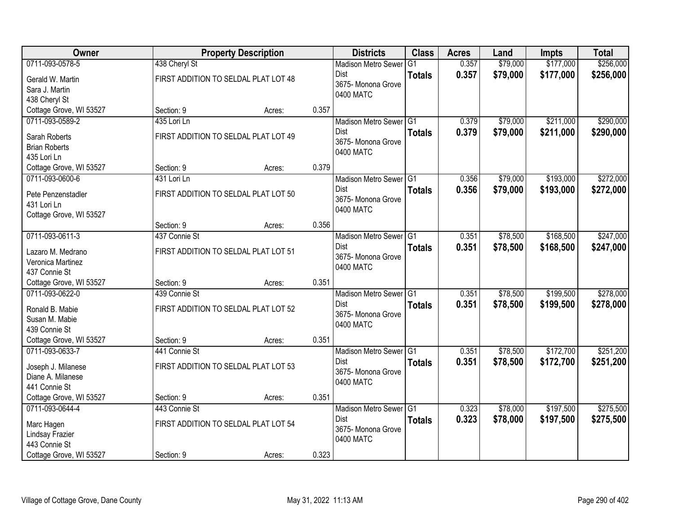| Owner                   |               | <b>Property Description</b>          |       | <b>Districts</b>                | <b>Class</b>  | <b>Acres</b> | Land     | <b>Impts</b> | <b>Total</b> |
|-------------------------|---------------|--------------------------------------|-------|---------------------------------|---------------|--------------|----------|--------------|--------------|
| 0711-093-0578-5         | 438 Cheryl St |                                      |       | <b>Madison Metro Sewer</b>      | G1            | 0.357        | \$79,000 | \$177,000    | \$256,000    |
| Gerald W. Martin        |               | FIRST ADDITION TO SELDAL PLAT LOT 48 |       | Dist                            | <b>Totals</b> | 0.357        | \$79,000 | \$177,000    | \$256,000    |
| Sara J. Martin          |               |                                      |       | 3675- Monona Grove              |               |              |          |              |              |
| 438 Cheryl St           |               |                                      |       | 0400 MATC                       |               |              |          |              |              |
| Cottage Grove, WI 53527 | Section: 9    | Acres:                               | 0.357 |                                 |               |              |          |              |              |
| 0711-093-0589-2         | 435 Lori Ln   |                                      |       | Madison Metro Sewer G1          |               | 0.379        | \$79,000 | \$211,000    | \$290,000    |
| Sarah Roberts           |               | FIRST ADDITION TO SELDAL PLAT LOT 49 |       | <b>Dist</b>                     | <b>Totals</b> | 0.379        | \$79,000 | \$211,000    | \$290,000    |
| <b>Brian Roberts</b>    |               |                                      |       | 3675- Monona Grove<br>0400 MATC |               |              |          |              |              |
| 435 Lori Ln             |               |                                      |       |                                 |               |              |          |              |              |
| Cottage Grove, WI 53527 | Section: 9    | Acres:                               | 0.379 |                                 |               |              |          |              |              |
| 0711-093-0600-6         | 431 Lori Ln   |                                      |       | Madison Metro Sewer G1          |               | 0.356        | \$79,000 | \$193,000    | \$272,000    |
| Pete Penzenstadler      |               | FIRST ADDITION TO SELDAL PLAT LOT 50 |       | Dist                            | <b>Totals</b> | 0.356        | \$79,000 | \$193,000    | \$272,000    |
| 431 Lori Ln             |               |                                      |       | 3675- Monona Grove              |               |              |          |              |              |
| Cottage Grove, WI 53527 |               |                                      |       | 0400 MATC                       |               |              |          |              |              |
|                         | Section: 9    | Acres:                               | 0.356 |                                 |               |              |          |              |              |
| 0711-093-0611-3         | 437 Connie St |                                      |       | Madison Metro Sewer G1          |               | 0.351        | \$78,500 | \$168,500    | \$247,000    |
| Lazaro M. Medrano       |               | FIRST ADDITION TO SELDAL PLAT LOT 51 |       | Dist                            | <b>Totals</b> | 0.351        | \$78,500 | \$168,500    | \$247,000    |
| Veronica Martinez       |               |                                      |       | 3675- Monona Grove<br>0400 MATC |               |              |          |              |              |
| 437 Connie St           |               |                                      |       |                                 |               |              |          |              |              |
| Cottage Grove, WI 53527 | Section: 9    | Acres:                               | 0.351 |                                 |               |              |          |              |              |
| 0711-093-0622-0         | 439 Connie St |                                      |       | Madison Metro Sewer G1          |               | 0.351        | \$78,500 | \$199,500    | \$278,000    |
| Ronald B. Mabie         |               | FIRST ADDITION TO SELDAL PLAT LOT 52 |       | <b>Dist</b>                     | <b>Totals</b> | 0.351        | \$78,500 | \$199,500    | \$278,000    |
| Susan M. Mabie          |               |                                      |       | 3675- Monona Grove<br>0400 MATC |               |              |          |              |              |
| 439 Connie St           |               |                                      |       |                                 |               |              |          |              |              |
| Cottage Grove, WI 53527 | Section: 9    | Acres:                               | 0.351 |                                 |               |              |          |              |              |
| 0711-093-0633-7         | 441 Connie St |                                      |       | Madison Metro Sewer G1          |               | 0.351        | \$78,500 | \$172,700    | \$251,200    |
| Joseph J. Milanese      |               | FIRST ADDITION TO SELDAL PLAT LOT 53 |       | Dist                            | <b>Totals</b> | 0.351        | \$78,500 | \$172,700    | \$251,200    |
| Diane A. Milanese       |               |                                      |       | 3675- Monona Grove<br>0400 MATC |               |              |          |              |              |
| 441 Connie St           |               |                                      |       |                                 |               |              |          |              |              |
| Cottage Grove, WI 53527 | Section: 9    | Acres:                               | 0.351 |                                 |               |              |          |              |              |
| 0711-093-0644-4         | 443 Connie St |                                      |       | Madison Metro Sewer G1          |               | 0.323        | \$78,000 | \$197,500    | \$275,500    |
| Marc Hagen              |               | FIRST ADDITION TO SELDAL PLAT LOT 54 |       | Dist                            | <b>Totals</b> | 0.323        | \$78,000 | \$197,500    | \$275,500    |
| Lindsay Frazier         |               |                                      |       | 3675- Monona Grove              |               |              |          |              |              |
| 443 Connie St           |               |                                      |       | 0400 MATC                       |               |              |          |              |              |
| Cottage Grove, WI 53527 | Section: 9    | Acres:                               | 0.323 |                                 |               |              |          |              |              |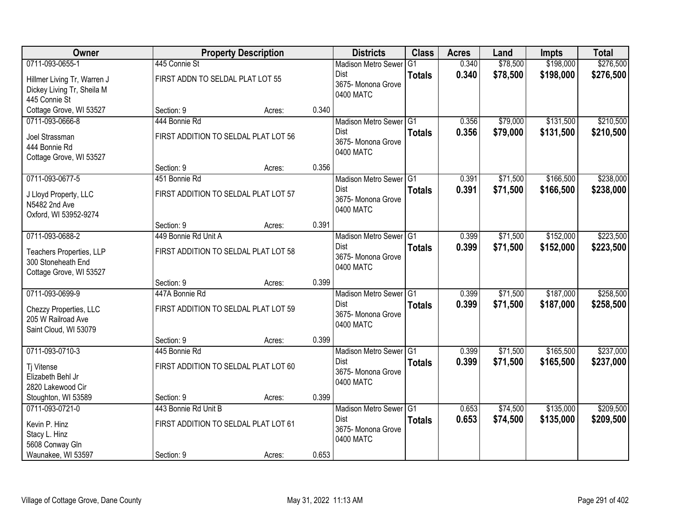| Owner                                         |                                      | <b>Property Description</b> |       | <b>Districts</b>                      | <b>Class</b>  | <b>Acres</b> | Land     | <b>Impts</b> | <b>Total</b> |
|-----------------------------------------------|--------------------------------------|-----------------------------|-------|---------------------------------------|---------------|--------------|----------|--------------|--------------|
| 0711-093-0655-1                               | 445 Connie St                        |                             |       | <b>Madison Metro Sewer</b>            | G1            | 0.340        | \$78,500 | \$198,000    | \$276,500    |
| Hillmer Living Tr, Warren J                   | FIRST ADDN TO SELDAL PLAT LOT 55     |                             |       | Dist                                  | <b>Totals</b> | 0.340        | \$78,500 | \$198,000    | \$276,500    |
| Dickey Living Tr, Sheila M                    |                                      |                             |       | 3675- Monona Grove<br>0400 MATC       |               |              |          |              |              |
| 445 Connie St                                 |                                      |                             |       |                                       |               |              |          |              |              |
| Cottage Grove, WI 53527                       | Section: 9                           | Acres:                      | 0.340 |                                       |               |              |          |              |              |
| 0711-093-0666-8                               | 444 Bonnie Rd                        |                             |       | Madison Metro Sewer G1                |               | 0.356        | \$79,000 | \$131,500    | \$210,500    |
| Joel Strassman                                | FIRST ADDITION TO SELDAL PLAT LOT 56 |                             |       | Dist<br>3675- Monona Grove            | <b>Totals</b> | 0.356        | \$79,000 | \$131,500    | \$210,500    |
| 444 Bonnie Rd                                 |                                      |                             |       | 0400 MATC                             |               |              |          |              |              |
| Cottage Grove, WI 53527                       |                                      |                             |       |                                       |               |              |          |              |              |
| 0711-093-0677-5                               | Section: 9<br>451 Bonnie Rd          | Acres:                      | 0.356 |                                       |               | 0.391        | \$71,500 | \$166,500    | \$238,000    |
|                                               |                                      |                             |       | Madison Metro Sewer G1<br><b>Dist</b> |               | 0.391        | \$71,500 | \$166,500    | \$238,000    |
| J Lloyd Property, LLC                         | FIRST ADDITION TO SELDAL PLAT LOT 57 |                             |       | 3675- Monona Grove                    | <b>Totals</b> |              |          |              |              |
| N5482 2nd Ave                                 |                                      |                             |       | 0400 MATC                             |               |              |          |              |              |
| Oxford, WI 53952-9274                         | Section: 9                           | Acres:                      | 0.391 |                                       |               |              |          |              |              |
| 0711-093-0688-2                               | 449 Bonnie Rd Unit A                 |                             |       | Madison Metro Sewer G1                |               | 0.399        | \$71,500 | \$152,000    | \$223,500    |
|                                               |                                      |                             |       | Dist                                  | <b>Totals</b> | 0.399        | \$71,500 | \$152,000    | \$223,500    |
| Teachers Properties, LLP                      | FIRST ADDITION TO SELDAL PLAT LOT 58 |                             |       | 3675- Monona Grove                    |               |              |          |              |              |
| 300 Stoneheath End<br>Cottage Grove, WI 53527 |                                      |                             |       | 0400 MATC                             |               |              |          |              |              |
|                                               | Section: 9                           | Acres:                      | 0.399 |                                       |               |              |          |              |              |
| 0711-093-0699-9                               | 447A Bonnie Rd                       |                             |       | Madison Metro Sewer <sup>G1</sup>     |               | 0.399        | \$71,500 | \$187,000    | \$258,500    |
|                                               | FIRST ADDITION TO SELDAL PLAT LOT 59 |                             |       | <b>Dist</b>                           | <b>Totals</b> | 0.399        | \$71,500 | \$187,000    | \$258,500    |
| Chezzy Properties, LLC<br>205 W Railroad Ave  |                                      |                             |       | 3675- Monona Grove                    |               |              |          |              |              |
| Saint Cloud, WI 53079                         |                                      |                             |       | 0400 MATC                             |               |              |          |              |              |
|                                               | Section: 9                           | Acres:                      | 0.399 |                                       |               |              |          |              |              |
| 0711-093-0710-3                               | 445 Bonnie Rd                        |                             |       | Madison Metro Sewer G1                |               | 0.399        | \$71,500 | \$165,500    | \$237,000    |
| Tj Vitense                                    | FIRST ADDITION TO SELDAL PLAT LOT 60 |                             |       | Dist                                  | <b>Totals</b> | 0.399        | \$71,500 | \$165,500    | \$237,000    |
| Elizabeth Behl Jr                             |                                      |                             |       | 3675- Monona Grove                    |               |              |          |              |              |
| 2820 Lakewood Cir                             |                                      |                             |       | 0400 MATC                             |               |              |          |              |              |
| Stoughton, WI 53589                           | Section: 9                           | Acres:                      | 0.399 |                                       |               |              |          |              |              |
| 0711-093-0721-0                               | 443 Bonnie Rd Unit B                 |                             |       | Madison Metro Sewer G1                |               | 0.653        | \$74,500 | \$135,000    | \$209,500    |
| Kevin P. Hinz                                 | FIRST ADDITION TO SELDAL PLAT LOT 61 |                             |       | <b>Dist</b>                           | <b>Totals</b> | 0.653        | \$74,500 | \$135,000    | \$209,500    |
| Stacy L. Hinz                                 |                                      |                             |       | 3675-Monona Grove<br>0400 MATC        |               |              |          |              |              |
| 5608 Conway Gln                               |                                      |                             |       |                                       |               |              |          |              |              |
| Waunakee, WI 53597                            | Section: 9                           | Acres:                      | 0.653 |                                       |               |              |          |              |              |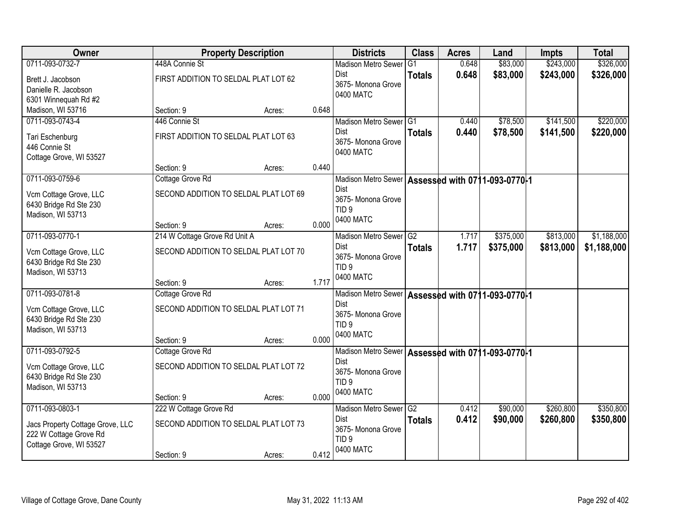| Owner                            |                                       | <b>Property Description</b> |       | <b>Districts</b>                                    | <b>Class</b>  | <b>Acres</b> | Land      | <b>Impts</b> | <b>Total</b> |
|----------------------------------|---------------------------------------|-----------------------------|-------|-----------------------------------------------------|---------------|--------------|-----------|--------------|--------------|
| 0711-093-0732-7                  | 448A Connie St                        |                             |       | <b>Madison Metro Sewer</b>                          | G1            | 0.648        | \$83,000  | \$243,000    | \$326,000    |
| Brett J. Jacobson                | FIRST ADDITION TO SELDAL PLAT LOT 62  |                             |       | Dist                                                | <b>Totals</b> | 0.648        | \$83,000  | \$243,000    | \$326,000    |
| Danielle R. Jacobson             |                                       |                             |       | 3675- Monona Grove                                  |               |              |           |              |              |
| 6301 Winnequah Rd #2             |                                       |                             |       | 0400 MATC                                           |               |              |           |              |              |
| Madison, WI 53716                | Section: 9                            | Acres:                      | 0.648 |                                                     |               |              |           |              |              |
| 0711-093-0743-4                  | 446 Connie St                         |                             |       | Madison Metro Sewer G1                              |               | 0.440        | \$78,500  | \$141,500    | \$220,000    |
| Tari Eschenburg                  | FIRST ADDITION TO SELDAL PLAT LOT 63  |                             |       | <b>Dist</b>                                         | <b>Totals</b> | 0.440        | \$78,500  | \$141,500    | \$220,000    |
| 446 Connie St                    |                                       |                             |       | 3675- Monona Grove                                  |               |              |           |              |              |
| Cottage Grove, WI 53527          |                                       |                             |       | 0400 MATC                                           |               |              |           |              |              |
|                                  | Section: 9                            | Acres:                      | 0.440 |                                                     |               |              |           |              |              |
| 0711-093-0759-6                  | Cottage Grove Rd                      |                             |       | Madison Metro Sewer   Assessed with 0711-093-0770-1 |               |              |           |              |              |
| Vcm Cottage Grove, LLC           | SECOND ADDITION TO SELDAL PLAT LOT 69 |                             |       | <b>Dist</b>                                         |               |              |           |              |              |
| 6430 Bridge Rd Ste 230           |                                       |                             |       | 3675- Monona Grove                                  |               |              |           |              |              |
| Madison, WI 53713                |                                       |                             |       | TID <sub>9</sub><br>0400 MATC                       |               |              |           |              |              |
|                                  | Section: 9                            | Acres:                      | 0.000 |                                                     |               |              |           |              |              |
| 0711-093-0770-1                  | 214 W Cottage Grove Rd Unit A         |                             |       | Madison Metro Sewer G2                              |               | 1.717        | \$375,000 | \$813,000    | \$1,188,000  |
| Vcm Cottage Grove, LLC           | SECOND ADDITION TO SELDAL PLAT LOT 70 |                             |       | Dist                                                | <b>Totals</b> | 1.717        | \$375,000 | \$813,000    | \$1,188,000  |
| 6430 Bridge Rd Ste 230           |                                       |                             |       | 3675-Monona Grove<br>TID <sub>9</sub>               |               |              |           |              |              |
| Madison, WI 53713                |                                       |                             |       | 0400 MATC                                           |               |              |           |              |              |
|                                  | Section: 9                            | Acres:                      | 1.717 |                                                     |               |              |           |              |              |
| 0711-093-0781-8                  | Cottage Grove Rd                      |                             |       | Madison Metro Sewer   Assessed with 0711-093-0770-1 |               |              |           |              |              |
| Vcm Cottage Grove, LLC           | SECOND ADDITION TO SELDAL PLAT LOT 71 |                             |       | <b>Dist</b>                                         |               |              |           |              |              |
| 6430 Bridge Rd Ste 230           |                                       |                             |       | 3675- Monona Grove<br>TID <sub>9</sub>              |               |              |           |              |              |
| Madison, WI 53713                |                                       |                             |       | 0400 MATC                                           |               |              |           |              |              |
|                                  | Section: 9                            | Acres:                      | 0.000 |                                                     |               |              |           |              |              |
| 0711-093-0792-5                  | Cottage Grove Rd                      |                             |       | Madison Metro Sewer Assessed with 0711-093-0770-1   |               |              |           |              |              |
| Vcm Cottage Grove, LLC           | SECOND ADDITION TO SELDAL PLAT LOT 72 |                             |       | <b>Dist</b>                                         |               |              |           |              |              |
| 6430 Bridge Rd Ste 230           |                                       |                             |       | 3675- Monona Grove<br>TID <sub>9</sub>              |               |              |           |              |              |
| Madison, WI 53713                |                                       |                             |       | 0400 MATC                                           |               |              |           |              |              |
|                                  | Section: 9                            | Acres:                      | 0.000 |                                                     |               |              |           |              |              |
| 0711-093-0803-1                  | 222 W Cottage Grove Rd                |                             |       | Madison Metro Sewer G2                              |               | 0.412        | \$90,000  | \$260,800    | \$350,800    |
| Jacs Property Cottage Grove, LLC | SECOND ADDITION TO SELDAL PLAT LOT 73 |                             |       | Dist<br>3675- Monona Grove                          | <b>Totals</b> | 0.412        | \$90,000  | \$260,800    | \$350,800    |
| 222 W Cottage Grove Rd           |                                       |                             |       | TID <sub>9</sub>                                    |               |              |           |              |              |
| Cottage Grove, WI 53527          |                                       |                             |       | 0400 MATC                                           |               |              |           |              |              |
|                                  | Section: 9                            | Acres:                      | 0.412 |                                                     |               |              |           |              |              |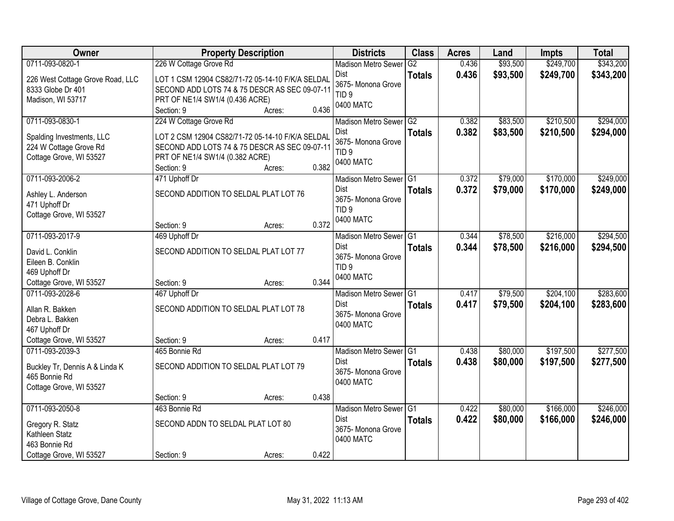| Owner                                                                                             | <b>Property Description</b>                                                                                                                        |                 | <b>Districts</b>                                                               | <b>Class</b>        | <b>Acres</b>   | Land                 | <b>Impts</b>           | <b>Total</b>           |
|---------------------------------------------------------------------------------------------------|----------------------------------------------------------------------------------------------------------------------------------------------------|-----------------|--------------------------------------------------------------------------------|---------------------|----------------|----------------------|------------------------|------------------------|
| 0711-093-0820-1                                                                                   | 226 W Cottage Grove Rd                                                                                                                             |                 | <b>Madison Metro Sewer</b>                                                     | $\overline{G2}$     | 0.436          | \$93,500             | \$249,700              | \$343,200              |
| 226 West Cottage Grove Road, LLC<br>8333 Globe Dr 401<br>Madison, WI 53717                        | LOT 1 CSM 12904 CS82/71-72 05-14-10 F/K/A SELDAL<br>SECOND ADD LOTS 74 & 75 DESCR AS SEC 09-07-11<br>PRT OF NE1/4 SW1/4 (0.436 ACRE)<br>Section: 9 | 0.436<br>Acres: | Dist<br>3675- Monona Grove<br>TID <sub>9</sub><br>0400 MATC                    | <b>Totals</b>       | 0.436          | \$93,500             | \$249,700              | \$343,200              |
| 0711-093-0830-1                                                                                   | 224 W Cottage Grove Rd                                                                                                                             |                 | Madison Metro Sewer                                                            | G2                  | 0.382          | \$83,500             | \$210,500              | \$294,000              |
| Spalding Investments, LLC<br>224 W Cottage Grove Rd<br>Cottage Grove, WI 53527                    | LOT 2 CSM 12904 CS82/71-72 05-14-10 F/K/A SELDAL<br>SECOND ADD LOTS 74 & 75 DESCR AS SEC 09-07-11<br>PRT OF NE1/4 SW1/4 (0.382 ACRE)<br>Section: 9 | 0.382<br>Acres: | <b>Dist</b><br>3675- Monona Grove<br>TID <sub>9</sub><br>0400 MATC             | <b>Totals</b>       | 0.382          | \$83,500             | \$210,500              | \$294,000              |
| 0711-093-2006-2                                                                                   | 471 Uphoff Dr                                                                                                                                      |                 | Madison Metro Sewer G1                                                         |                     | 0.372          | \$79,000             | \$170,000              | \$249,000              |
| Ashley L. Anderson<br>471 Uphoff Dr<br>Cottage Grove, WI 53527                                    | SECOND ADDITION TO SELDAL PLAT LOT 76                                                                                                              |                 | <b>Dist</b><br>3675- Monona Grove<br>TID <sub>9</sub><br>0400 MATC             | <b>Totals</b>       | 0.372          | \$79,000             | \$170,000              | \$249,000              |
|                                                                                                   | Section: 9                                                                                                                                         | 0.372<br>Acres: |                                                                                |                     |                |                      |                        |                        |
| 0711-093-2017-9<br>David L. Conklin<br>Eileen B. Conklin<br>469 Uphoff Dr                         | 469 Uphoff Dr<br>SECOND ADDITION TO SELDAL PLAT LOT 77                                                                                             |                 | <b>Madison Metro Sewer</b><br>Dist<br>3675- Monona Grove<br>TID <sub>9</sub>   | G1<br><b>Totals</b> | 0.344<br>0.344 | \$78,500<br>\$78,500 | \$216,000<br>\$216,000 | \$294,500<br>\$294,500 |
| Cottage Grove, WI 53527                                                                           | Section: 9                                                                                                                                         | 0.344<br>Acres: | 0400 MATC                                                                      |                     |                |                      |                        |                        |
| 0711-093-2028-6<br>Allan R. Bakken<br>Debra L. Bakken<br>467 Uphoff Dr                            | 467 Uphoff Dr<br>SECOND ADDITION TO SELDAL PLAT LOT 78                                                                                             |                 | Madison Metro Sewer <sup>1</sup> G1<br>Dist<br>3675- Monona Grove<br>0400 MATC | <b>Totals</b>       | 0.417<br>0.417 | \$79,500<br>\$79,500 | \$204,100<br>\$204,100 | \$283,600<br>\$283,600 |
| Cottage Grove, WI 53527                                                                           | Section: 9                                                                                                                                         | 0.417<br>Acres: |                                                                                |                     |                |                      |                        |                        |
| 0711-093-2039-3<br>Buckley Tr, Dennis A & Linda K<br>465 Bonnie Rd<br>Cottage Grove, WI 53527     | 465 Bonnie Rd<br>SECOND ADDITION TO SELDAL PLAT LOT 79                                                                                             |                 | Madison Metro Sewer G1<br><b>Dist</b><br>3675- Monona Grove<br>0400 MATC       | <b>Totals</b>       | 0.438<br>0.438 | \$80,000<br>\$80,000 | \$197,500<br>\$197,500 | \$277,500<br>\$277,500 |
|                                                                                                   | Section: 9                                                                                                                                         | 0.438<br>Acres: |                                                                                |                     |                |                      |                        |                        |
| 0711-093-2050-8<br>Gregory R. Statz<br>Kathleen Statz<br>463 Bonnie Rd<br>Cottage Grove, WI 53527 | 463 Bonnie Rd<br>SECOND ADDN TO SELDAL PLAT LOT 80<br>Section: 9                                                                                   | 0.422<br>Acres: | Madison Metro Sewer G1<br>Dist<br>3675-Monona Grove<br>0400 MATC               | <b>Totals</b>       | 0.422<br>0.422 | \$80,000<br>\$80,000 | \$166,000<br>\$166,000 | \$246,000<br>\$246,000 |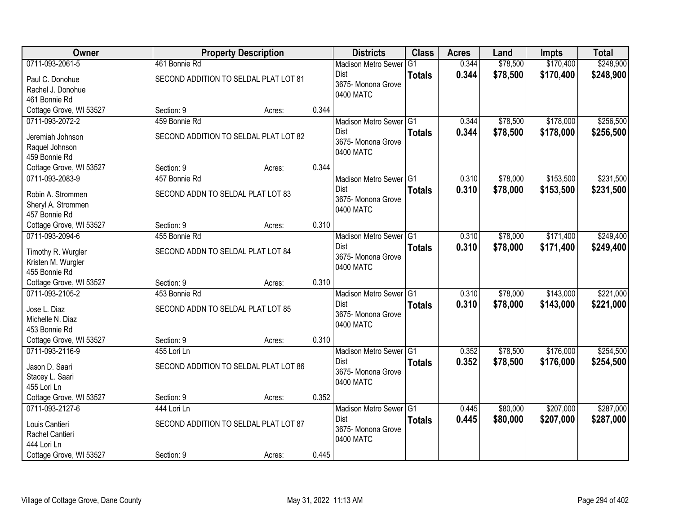| <b>Owner</b>            |                                   | <b>Property Description</b>           |       | <b>Districts</b>                  | <b>Class</b>  | <b>Acres</b> | Land     | <b>Impts</b> | <b>Total</b> |
|-------------------------|-----------------------------------|---------------------------------------|-------|-----------------------------------|---------------|--------------|----------|--------------|--------------|
| 0711-093-2061-5         | 461 Bonnie Rd                     |                                       |       | <b>Madison Metro Sewer</b>        | G1            | 0.344        | \$78,500 | \$170,400    | \$248,900    |
| Paul C. Donohue         |                                   | SECOND ADDITION TO SELDAL PLAT LOT 81 |       | Dist                              | <b>Totals</b> | 0.344        | \$78,500 | \$170,400    | \$248,900    |
| Rachel J. Donohue       |                                   |                                       |       | 3675- Monona Grove<br>0400 MATC   |               |              |          |              |              |
| 461 Bonnie Rd           |                                   |                                       |       |                                   |               |              |          |              |              |
| Cottage Grove, WI 53527 | Section: 9                        | Acres:                                | 0.344 |                                   |               |              |          |              |              |
| 0711-093-2072-2         | 459 Bonnie Rd                     |                                       |       | Madison Metro Sewer G1            |               | 0.344        | \$78,500 | \$178,000    | \$256,500    |
| Jeremiah Johnson        |                                   | SECOND ADDITION TO SELDAL PLAT LOT 82 |       | <b>Dist</b>                       | <b>Totals</b> | 0.344        | \$78,500 | \$178,000    | \$256,500    |
| Raquel Johnson          |                                   |                                       |       | 3675- Monona Grove<br>0400 MATC   |               |              |          |              |              |
| 459 Bonnie Rd           |                                   |                                       |       |                                   |               |              |          |              |              |
| Cottage Grove, WI 53527 | Section: 9                        | Acres:                                | 0.344 |                                   |               |              |          |              |              |
| 0711-093-2083-9         | 457 Bonnie Rd                     |                                       |       | Madison Metro Sewer G1            |               | 0.310        | \$78,000 | \$153,500    | \$231,500    |
| Robin A. Strommen       | SECOND ADDN TO SELDAL PLAT LOT 83 |                                       |       | <b>Dist</b>                       | <b>Totals</b> | 0.310        | \$78,000 | \$153,500    | \$231,500    |
| Sheryl A. Strommen      |                                   |                                       |       | 3675- Monona Grove                |               |              |          |              |              |
| 457 Bonnie Rd           |                                   |                                       |       | 0400 MATC                         |               |              |          |              |              |
| Cottage Grove, WI 53527 | Section: 9                        | Acres:                                | 0.310 |                                   |               |              |          |              |              |
| 0711-093-2094-6         | 455 Bonnie Rd                     |                                       |       | Madison Metro Sewer G1            |               | 0.310        | \$78,000 | \$171,400    | \$249,400    |
| Timothy R. Wurgler      | SECOND ADDN TO SELDAL PLAT LOT 84 |                                       |       | Dist                              | <b>Totals</b> | 0.310        | \$78,000 | \$171,400    | \$249,400    |
| Kristen M. Wurgler      |                                   |                                       |       | 3675- Monona Grove                |               |              |          |              |              |
| 455 Bonnie Rd           |                                   |                                       |       | 0400 MATC                         |               |              |          |              |              |
| Cottage Grove, WI 53527 | Section: 9                        | Acres:                                | 0.310 |                                   |               |              |          |              |              |
| 0711-093-2105-2         | 453 Bonnie Rd                     |                                       |       | Madison Metro Sewer <sup>G1</sup> |               | 0.310        | \$78,000 | \$143,000    | \$221,000    |
| Jose L. Diaz            | SECOND ADDN TO SELDAL PLAT LOT 85 |                                       |       | <b>Dist</b>                       | <b>Totals</b> | 0.310        | \$78,000 | \$143,000    | \$221,000    |
| Michelle N. Diaz        |                                   |                                       |       | 3675- Monona Grove                |               |              |          |              |              |
| 453 Bonnie Rd           |                                   |                                       |       | 0400 MATC                         |               |              |          |              |              |
| Cottage Grove, WI 53527 | Section: 9                        | Acres:                                | 0.310 |                                   |               |              |          |              |              |
| 0711-093-2116-9         | 455 Lori Ln                       |                                       |       | Madison Metro Sewer G1            |               | 0.352        | \$78,500 | \$176,000    | \$254,500    |
| Jason D. Saari          |                                   | SECOND ADDITION TO SELDAL PLAT LOT 86 |       | Dist                              | <b>Totals</b> | 0.352        | \$78,500 | \$176,000    | \$254,500    |
| Stacey L. Saari         |                                   |                                       |       | 3675- Monona Grove                |               |              |          |              |              |
| 455 Lori Ln             |                                   |                                       |       | 0400 MATC                         |               |              |          |              |              |
| Cottage Grove, WI 53527 | Section: 9                        | Acres:                                | 0.352 |                                   |               |              |          |              |              |
| 0711-093-2127-6         | 444 Lori Ln                       |                                       |       | Madison Metro Sewer G1            |               | 0.445        | \$80,000 | \$207,000    | \$287,000    |
| Louis Cantieri          |                                   | SECOND ADDITION TO SELDAL PLAT LOT 87 |       | <b>Dist</b>                       | <b>Totals</b> | 0.445        | \$80,000 | \$207,000    | \$287,000    |
| Rachel Cantieri         |                                   |                                       |       | 3675-Monona Grove                 |               |              |          |              |              |
| 444 Lori Ln             |                                   |                                       |       | 0400 MATC                         |               |              |          |              |              |
| Cottage Grove, WI 53527 | Section: 9                        | Acres:                                | 0.445 |                                   |               |              |          |              |              |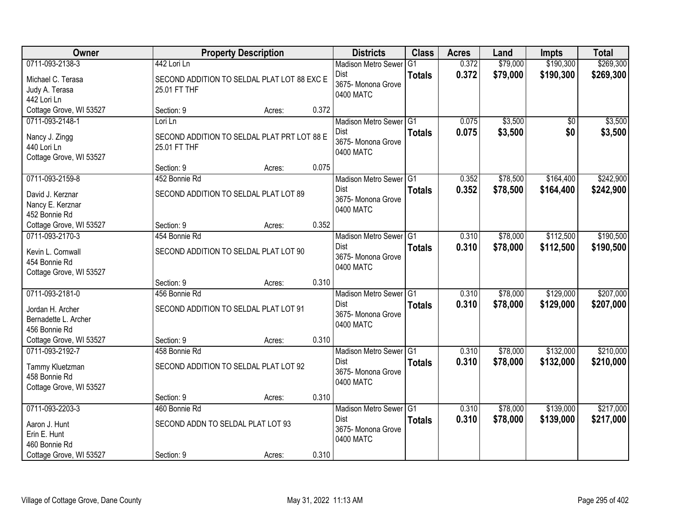| Owner                                                                            |                                                                        | <b>Property Description</b> |       | <b>Districts</b>                                                         | <b>Class</b>  | <b>Acres</b>   | Land                 | <b>Impts</b>           | <b>Total</b>           |
|----------------------------------------------------------------------------------|------------------------------------------------------------------------|-----------------------------|-------|--------------------------------------------------------------------------|---------------|----------------|----------------------|------------------------|------------------------|
| 0711-093-2138-3                                                                  | 442 Lori Ln                                                            |                             |       | <b>Madison Metro Sewer</b>                                               | G1            | 0.372          | \$79,000             | \$190,300              | \$269,300              |
| Michael C. Terasa<br>Judy A. Terasa<br>442 Lori Ln                               | SECOND ADDITION TO SELDAL PLAT LOT 88 EXC E<br>25.01 FT THF            |                             |       | Dist<br>3675- Monona Grove<br>0400 MATC                                  | <b>Totals</b> | 0.372          | \$79,000             | \$190,300              | \$269,300              |
| Cottage Grove, WI 53527                                                          | Section: 9                                                             | Acres:                      | 0.372 |                                                                          |               |                |                      |                        |                        |
| 0711-093-2148-1<br>Nancy J. Zingg<br>440 Lori Ln<br>Cottage Grove, WI 53527      | Lori Ln<br>SECOND ADDITION TO SELDAL PLAT PRT LOT 88 E<br>25.01 FT THF |                             |       | Madison Metro Sewer G1<br><b>Dist</b><br>3675- Monona Grove<br>0400 MATC | <b>Totals</b> | 0.075<br>0.075 | \$3,500<br>\$3,500   | \$0<br>\$0             | \$3,500<br>\$3,500     |
|                                                                                  | Section: 9                                                             | Acres:                      | 0.075 |                                                                          |               |                |                      |                        |                        |
| 0711-093-2159-8<br>David J. Kerznar<br>Nancy E. Kerznar<br>452 Bonnie Rd         | 452 Bonnie Rd<br>SECOND ADDITION TO SELDAL PLAT LOT 89                 |                             |       | Madison Metro Sewer G1<br>Dist<br>3675- Monona Grove<br>0400 MATC        | <b>Totals</b> | 0.352<br>0.352 | \$78,500<br>\$78,500 | \$164,400<br>\$164,400 | \$242,900<br>\$242,900 |
| Cottage Grove, WI 53527                                                          | Section: 9                                                             | Acres:                      | 0.352 |                                                                          |               |                |                      |                        |                        |
| 0711-093-2170-3<br>Kevin L. Cornwall<br>454 Bonnie Rd<br>Cottage Grove, WI 53527 | 454 Bonnie Rd<br>SECOND ADDITION TO SELDAL PLAT LOT 90                 |                             |       | Madison Metro Sewer G1<br>Dist<br>3675- Monona Grove<br>0400 MATC        | <b>Totals</b> | 0.310<br>0.310 | \$78,000<br>\$78,000 | \$112,500<br>\$112,500 | \$190,500<br>\$190,500 |
|                                                                                  | Section: 9                                                             | Acres:                      | 0.310 |                                                                          |               |                |                      |                        |                        |
| 0711-093-2181-0<br>Jordan H. Archer<br>Bernadette L. Archer<br>456 Bonnie Rd     | 456 Bonnie Rd<br>SECOND ADDITION TO SELDAL PLAT LOT 91                 |                             |       | Madison Metro Sewer G1<br><b>Dist</b><br>3675- Monona Grove<br>0400 MATC | <b>Totals</b> | 0.310<br>0.310 | \$78,000<br>\$78,000 | \$129,000<br>\$129,000 | \$207,000<br>\$207,000 |
| Cottage Grove, WI 53527                                                          | Section: 9                                                             | Acres:                      | 0.310 |                                                                          |               |                |                      |                        |                        |
| 0711-093-2192-7<br>Tammy Kluetzman<br>458 Bonnie Rd<br>Cottage Grove, WI 53527   | 458 Bonnie Rd<br>SECOND ADDITION TO SELDAL PLAT LOT 92                 |                             |       | Madison Metro Sewer G1<br>Dist<br>3675- Monona Grove<br>0400 MATC        | <b>Totals</b> | 0.310<br>0.310 | \$78,000<br>\$78,000 | \$132,000<br>\$132,000 | \$210,000<br>\$210,000 |
|                                                                                  | Section: 9                                                             | Acres:                      | 0.310 |                                                                          |               |                |                      |                        |                        |
| 0711-093-2203-3<br>Aaron J. Hunt<br>Erin E. Hunt<br>460 Bonnie Rd                | 460 Bonnie Rd<br>SECOND ADDN TO SELDAL PLAT LOT 93                     |                             | 0.310 | Madison Metro Sewer G1<br><b>Dist</b><br>3675- Monona Grove<br>0400 MATC | <b>Totals</b> | 0.310<br>0.310 | \$78,000<br>\$78,000 | \$139,000<br>\$139,000 | \$217,000<br>\$217,000 |
| Cottage Grove, WI 53527                                                          | Section: 9                                                             | Acres:                      |       |                                                                          |               |                |                      |                        |                        |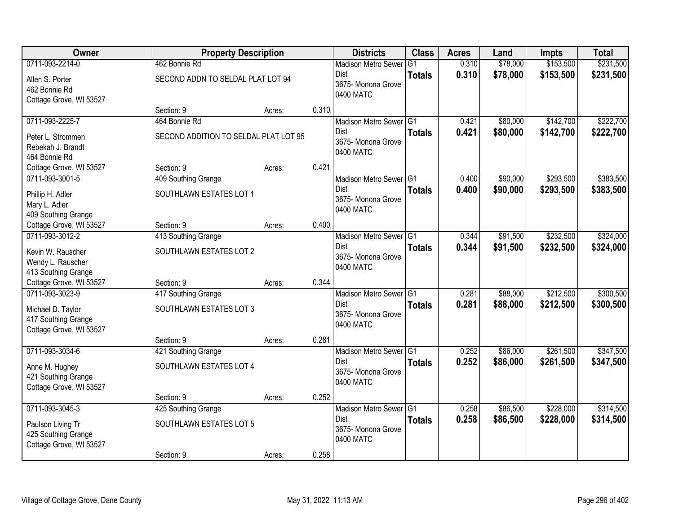| Owner                                                                                  | <b>Property Description</b>                    |        |       | <b>Districts</b>                                                            | <b>Class</b>   | <b>Acres</b>   | Land                 | <b>Impts</b>           | <b>Total</b>           |
|----------------------------------------------------------------------------------------|------------------------------------------------|--------|-------|-----------------------------------------------------------------------------|----------------|----------------|----------------------|------------------------|------------------------|
| 0711-093-2214-0                                                                        | 462 Bonnie Rd                                  |        |       | <b>Madison Metro Sewer</b>                                                  | G <sub>1</sub> | 0.310          | \$78,000             | \$153,500              | \$231,500              |
| Allen S. Porter<br>462 Bonnie Rd<br>Cottage Grove, WI 53527                            | SECOND ADDN TO SELDAL PLAT LOT 94              |        |       | <b>Dist</b><br>3675- Monona Grove<br>0400 MATC                              | <b>Totals</b>  | 0.310          | \$78,000             | \$153,500              | \$231,500              |
|                                                                                        | Section: 9                                     | Acres: | 0.310 |                                                                             |                |                |                      |                        |                        |
| 0711-093-2225-7                                                                        | 464 Bonnie Rd                                  |        |       | Madison Metro Sewer G1                                                      |                | 0.421          | \$80,000             | \$142,700              | \$222,700              |
| Peter L. Strommen<br>Rebekah J. Brandt<br>464 Bonnie Rd                                | SECOND ADDITION TO SELDAL PLAT LOT 95          |        |       | Dist<br>3675- Monona Grove<br>0400 MATC                                     | <b>Totals</b>  | 0.421          | \$80,000             | \$142,700              | \$222,700              |
| Cottage Grove, WI 53527                                                                | Section: 9                                     | Acres: | 0.421 |                                                                             |                |                |                      |                        |                        |
| 0711-093-3001-5                                                                        | 409 Southing Grange                            |        |       | Madison Metro Sewer G1                                                      |                | 0.400          | \$90,000             | \$293,500              | \$383,500              |
| Phillip H. Adler<br>Mary L. Adler<br>409 Southing Grange                               | SOUTHLAWN ESTATES LOT 1                        |        |       | <b>Dist</b><br>3675- Monona Grove<br>0400 MATC                              | <b>Totals</b>  | 0.400          | \$90,000             | \$293,500              | \$383,500              |
| Cottage Grove, WI 53527                                                                | Section: 9                                     | Acres: | 0.400 |                                                                             |                |                |                      |                        |                        |
| 0711-093-3012-2                                                                        | 413 Southing Grange                            |        |       | Madison Metro Sewer G1                                                      |                | 0.344          | \$91,500             | \$232,500              | \$324,000              |
| Kevin W. Rauscher<br>Wendy L. Rauscher<br>413 Southing Grange                          | SOUTHLAWN ESTATES LOT 2                        |        |       | <b>Dist</b><br>3675- Monona Grove<br>0400 MATC                              | <b>Totals</b>  | 0.344          | \$91,500             | \$232,500              | \$324,000              |
| Cottage Grove, WI 53527                                                                | Section: 9                                     | Acres: | 0.344 |                                                                             |                |                |                      |                        |                        |
| 0711-093-3023-9<br>Michael D. Taylor<br>417 Southing Grange<br>Cottage Grove, WI 53527 | 417 Southing Grange<br>SOUTHLAWN ESTATES LOT 3 |        |       | Madison Metro Sewer <sup>G1</sup><br>Dist<br>3675-Monona Grove<br>0400 MATC | <b>Totals</b>  | 0.281<br>0.281 | \$88,000<br>\$88,000 | \$212,500<br>\$212,500 | \$300,500<br>\$300,500 |
|                                                                                        | Section: 9                                     | Acres: | 0.281 |                                                                             |                |                |                      |                        |                        |
| 0711-093-3034-6                                                                        | 421 Southing Grange                            |        |       | Madison Metro Sewer G1                                                      |                | 0.252          | \$86,000             | \$261,500              | \$347,500              |
| Anne M. Hughey<br>421 Southing Grange<br>Cottage Grove, WI 53527                       | SOUTHLAWN ESTATES LOT 4                        |        |       | Dist<br>3675- Monona Grove<br>0400 MATC                                     | <b>Totals</b>  | 0.252          | \$86,000             | \$261,500              | \$347,500              |
|                                                                                        | Section: 9                                     | Acres: | 0.252 |                                                                             |                |                |                      |                        |                        |
| 0711-093-3045-3                                                                        | 425 Southing Grange                            |        |       | Madison Metro Sewer G1                                                      |                | 0.258          | \$86,500             | \$228,000              | \$314,500              |
| Paulson Living Tr<br>425 Southing Grange<br>Cottage Grove, WI 53527                    | SOUTHLAWN ESTATES LOT 5                        |        |       | <b>Dist</b><br>3675- Monona Grove<br>0400 MATC                              | <b>Totals</b>  | 0.258          | \$86,500             | \$228,000              | \$314,500              |
|                                                                                        | Section: 9                                     | Acres: | 0.258 |                                                                             |                |                |                      |                        |                        |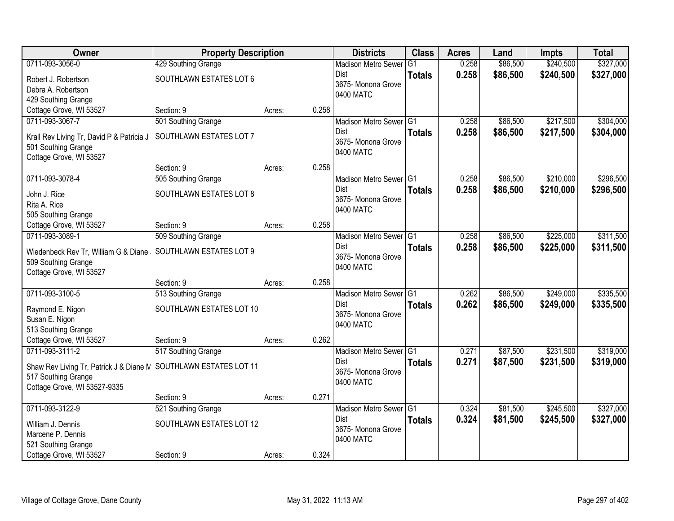| Owner                                                            | <b>Property Description</b> |                 | <b>Districts</b>           | <b>Class</b>    | <b>Acres</b> | Land     | <b>Impts</b> | <b>Total</b> |
|------------------------------------------------------------------|-----------------------------|-----------------|----------------------------|-----------------|--------------|----------|--------------|--------------|
| 0711-093-3056-0                                                  | 429 Southing Grange         |                 | <b>Madison Metro Sewer</b> | $\overline{G1}$ | 0.258        | \$86,500 | \$240,500    | \$327,000    |
| Robert J. Robertson                                              | SOUTHLAWN ESTATES LOT 6     |                 | <b>Dist</b>                | <b>Totals</b>   | 0.258        | \$86,500 | \$240,500    | \$327,000    |
| Debra A. Robertson                                               |                             |                 | 3675- Monona Grove         |                 |              |          |              |              |
| 429 Southing Grange                                              |                             |                 | 0400 MATC                  |                 |              |          |              |              |
| Cottage Grove, WI 53527                                          | Section: 9                  | 0.258<br>Acres: |                            |                 |              |          |              |              |
| 0711-093-3067-7                                                  | 501 Southing Grange         |                 | Madison Metro Sewer G1     |                 | 0.258        | \$86,500 | \$217,500    | \$304,000    |
| Krall Rev Living Tr, David P & Patricia J                        | SOUTHLAWN ESTATES LOT 7     |                 | Dist                       | <b>Totals</b>   | 0.258        | \$86,500 | \$217,500    | \$304,000    |
| 501 Southing Grange                                              |                             |                 | 3675- Monona Grove         |                 |              |          |              |              |
| Cottage Grove, WI 53527                                          |                             |                 | 0400 MATC                  |                 |              |          |              |              |
|                                                                  | Section: 9                  | 0.258<br>Acres: |                            |                 |              |          |              |              |
| 0711-093-3078-4                                                  | 505 Southing Grange         |                 | Madison Metro Sewer G1     |                 | 0.258        | \$86,500 | \$210,000    | \$296,500    |
| John J. Rice                                                     | SOUTHLAWN ESTATES LOT 8     |                 | <b>Dist</b>                | <b>Totals</b>   | 0.258        | \$86,500 | \$210,000    | \$296,500    |
| Rita A. Rice                                                     |                             |                 | 3675- Monona Grove         |                 |              |          |              |              |
| 505 Southing Grange                                              |                             |                 | 0400 MATC                  |                 |              |          |              |              |
| Cottage Grove, WI 53527                                          | Section: 9                  | 0.258<br>Acres: |                            |                 |              |          |              |              |
| 0711-093-3089-1                                                  | 509 Southing Grange         |                 | Madison Metro Sewer G1     |                 | 0.258        | \$86,500 | \$225,000    | \$311,500    |
| Wiedenbeck Rev Tr, William G & Diane                             | SOUTHLAWN ESTATES LOT 9     |                 | <b>Dist</b>                | <b>Totals</b>   | 0.258        | \$86,500 | \$225,000    | \$311,500    |
| 509 Southing Grange                                              |                             |                 | 3675- Monona Grove         |                 |              |          |              |              |
| Cottage Grove, WI 53527                                          |                             |                 | 0400 MATC                  |                 |              |          |              |              |
|                                                                  | Section: 9                  | 0.258<br>Acres: |                            |                 |              |          |              |              |
| 0711-093-3100-5                                                  | 513 Southing Grange         |                 | Madison Metro Sewer G1     |                 | 0.262        | \$86,500 | \$249,000    | \$335,500    |
| Raymond E. Nigon                                                 | SOUTHLAWN ESTATES LOT 10    |                 | Dist                       | <b>Totals</b>   | 0.262        | \$86,500 | \$249,000    | \$335,500    |
| Susan E. Nigon                                                   |                             |                 | 3675- Monona Grove         |                 |              |          |              |              |
| 513 Southing Grange                                              |                             |                 | 0400 MATC                  |                 |              |          |              |              |
| Cottage Grove, WI 53527                                          | Section: 9                  | 0.262<br>Acres: |                            |                 |              |          |              |              |
| 0711-093-3111-2                                                  | 517 Southing Grange         |                 | Madison Metro Sewer G1     |                 | 0.271        | \$87,500 | \$231,500    | \$319,000    |
| Shaw Rev Living Tr, Patrick J & Diane N SOUTHLAWN ESTATES LOT 11 |                             |                 | Dist                       | <b>Totals</b>   | 0.271        | \$87,500 | \$231,500    | \$319,000    |
| 517 Southing Grange                                              |                             |                 | 3675- Monona Grove         |                 |              |          |              |              |
| Cottage Grove, WI 53527-9335                                     |                             |                 | 0400 MATC                  |                 |              |          |              |              |
|                                                                  | Section: 9                  | 0.271<br>Acres: |                            |                 |              |          |              |              |
| 0711-093-3122-9                                                  | 521 Southing Grange         |                 | Madison Metro Sewer G1     |                 | 0.324        | \$81,500 | \$245,500    | \$327,000    |
| William J. Dennis                                                | SOUTHLAWN ESTATES LOT 12    |                 | Dist                       | <b>Totals</b>   | 0.324        | \$81,500 | \$245,500    | \$327,000    |
| Marcene P. Dennis                                                |                             |                 | 3675- Monona Grove         |                 |              |          |              |              |
| 521 Southing Grange                                              |                             |                 | 0400 MATC                  |                 |              |          |              |              |
| Cottage Grove, WI 53527                                          | Section: 9                  | 0.324<br>Acres: |                            |                 |              |          |              |              |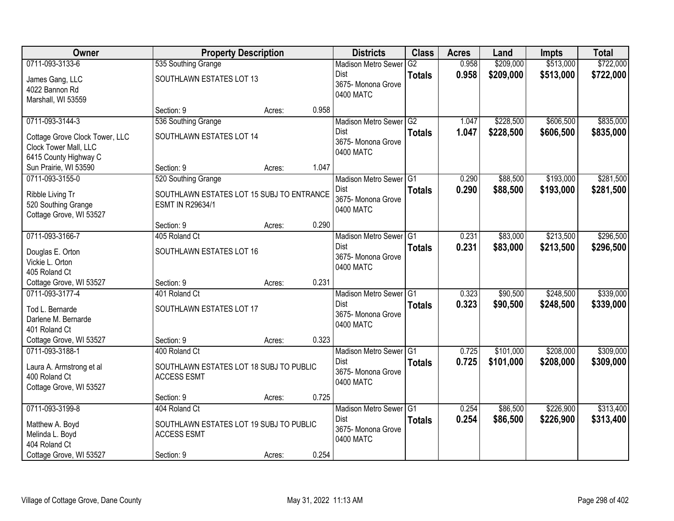| Owner                                     | <b>Property Description</b>               |        |       | <b>Districts</b>           | <b>Class</b>  | <b>Acres</b> | Land      | <b>Impts</b> | <b>Total</b> |
|-------------------------------------------|-------------------------------------------|--------|-------|----------------------------|---------------|--------------|-----------|--------------|--------------|
| 0711-093-3133-6                           | 535 Southing Grange                       |        |       | <b>Madison Metro Sewer</b> | G2            | 0.958        | \$209,000 | \$513,000    | \$722,000    |
| James Gang, LLC                           | SOUTHLAWN ESTATES LOT 13                  |        |       | Dist                       | <b>Totals</b> | 0.958        | \$209,000 | \$513,000    | \$722,000    |
| 4022 Bannon Rd                            |                                           |        |       | 3675- Monona Grove         |               |              |           |              |              |
| Marshall, WI 53559                        |                                           |        |       | 0400 MATC                  |               |              |           |              |              |
|                                           | Section: 9                                | Acres: | 0.958 |                            |               |              |           |              |              |
| 0711-093-3144-3                           | 536 Southing Grange                       |        |       | Madison Metro Sewer G2     |               | 1.047        | \$228,500 | \$606,500    | \$835,000    |
| Cottage Grove Clock Tower, LLC            | SOUTHLAWN ESTATES LOT 14                  |        |       | Dist                       | <b>Totals</b> | 1.047        | \$228,500 | \$606,500    | \$835,000    |
| Clock Tower Mall, LLC                     |                                           |        |       | 3675- Monona Grove         |               |              |           |              |              |
| 6415 County Highway C                     |                                           |        |       | 0400 MATC                  |               |              |           |              |              |
| Sun Prairie, WI 53590                     | Section: 9                                | Acres: | 1.047 |                            |               |              |           |              |              |
| 0711-093-3155-0                           | 520 Southing Grange                       |        |       | Madison Metro Sewer G1     |               | 0.290        | \$88,500  | \$193,000    | \$281,500    |
| Ribble Living Tr                          | SOUTHLAWN ESTATES LOT 15 SUBJ TO ENTRANCE |        |       | Dist                       | <b>Totals</b> | 0.290        | \$88,500  | \$193,000    | \$281,500    |
| 520 Southing Grange                       | ESMT IN R29634/1                          |        |       | 3675- Monona Grove         |               |              |           |              |              |
| Cottage Grove, WI 53527                   |                                           |        |       | 0400 MATC                  |               |              |           |              |              |
|                                           | Section: 9                                | Acres: | 0.290 |                            |               |              |           |              |              |
| 0711-093-3166-7                           | 405 Roland Ct                             |        |       | Madison Metro Sewer G1     |               | 0.231        | \$83,000  | \$213,500    | \$296,500    |
| Douglas E. Orton                          | SOUTHLAWN ESTATES LOT 16                  |        |       | Dist                       | <b>Totals</b> | 0.231        | \$83,000  | \$213,500    | \$296,500    |
| Vickie L. Orton                           |                                           |        |       | 3675- Monona Grove         |               |              |           |              |              |
| 405 Roland Ct                             |                                           |        |       | 0400 MATC                  |               |              |           |              |              |
| Cottage Grove, WI 53527                   | Section: 9                                | Acres: | 0.231 |                            |               |              |           |              |              |
| 0711-093-3177-4                           | 401 Roland Ct                             |        |       | Madison Metro Sewer G1     |               | 0.323        | \$90,500  | \$248,500    | \$339,000    |
| Tod L. Bernarde                           | SOUTHLAWN ESTATES LOT 17                  |        |       | <b>Dist</b>                | <b>Totals</b> | 0.323        | \$90,500  | \$248,500    | \$339,000    |
| Darlene M. Bernarde                       |                                           |        |       | 3675- Monona Grove         |               |              |           |              |              |
| 401 Roland Ct                             |                                           |        |       | 0400 MATC                  |               |              |           |              |              |
| Cottage Grove, WI 53527                   | Section: 9                                | Acres: | 0.323 |                            |               |              |           |              |              |
| 0711-093-3188-1                           | 400 Roland Ct                             |        |       | Madison Metro Sewer G1     |               | 0.725        | \$101,000 | \$208,000    | \$309,000    |
|                                           | SOUTHLAWN ESTATES LOT 18 SUBJ TO PUBLIC   |        |       | <b>Dist</b>                | <b>Totals</b> | 0.725        | \$101,000 | \$208,000    | \$309,000    |
| Laura A. Armstrong et al<br>400 Roland Ct | <b>ACCESS ESMT</b>                        |        |       | 3675- Monona Grove         |               |              |           |              |              |
| Cottage Grove, WI 53527                   |                                           |        |       | 0400 MATC                  |               |              |           |              |              |
|                                           | Section: 9                                | Acres: | 0.725 |                            |               |              |           |              |              |
| 0711-093-3199-8                           | 404 Roland Ct                             |        |       | Madison Metro Sewer G1     |               | 0.254        | \$86,500  | \$226,900    | \$313,400    |
| Matthew A. Boyd                           | SOUTHLAWN ESTATES LOT 19 SUBJ TO PUBLIC   |        |       | Dist                       | <b>Totals</b> | 0.254        | \$86,500  | \$226,900    | \$313,400    |
| Melinda L. Boyd                           | <b>ACCESS ESMT</b>                        |        |       | 3675- Monona Grove         |               |              |           |              |              |
| 404 Roland Ct                             |                                           |        |       | 0400 MATC                  |               |              |           |              |              |
| Cottage Grove, WI 53527                   | Section: 9                                | Acres: | 0.254 |                            |               |              |           |              |              |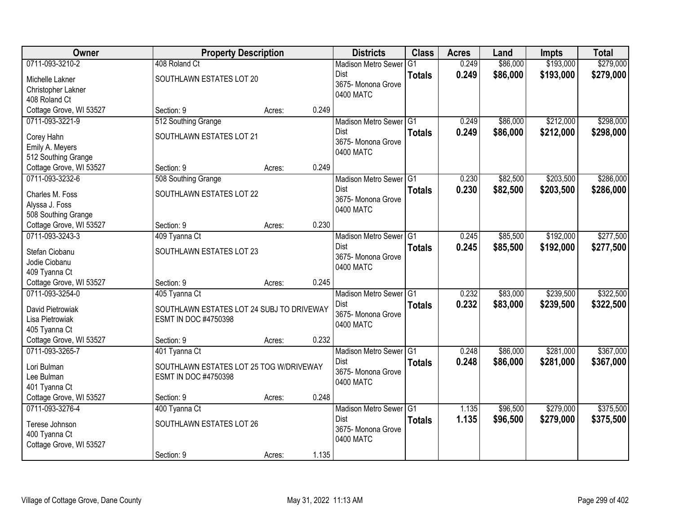| <b>Owner</b>                             | <b>Property Description</b>                                       |        | <b>Districts</b>           |                        | <b>Class</b>  | <b>Acres</b> | Land     | <b>Impts</b> | <b>Total</b> |
|------------------------------------------|-------------------------------------------------------------------|--------|----------------------------|------------------------|---------------|--------------|----------|--------------|--------------|
| 0711-093-3210-2                          | 408 Roland Ct                                                     |        | <b>Madison Metro Sewer</b> |                        | G1            | 0.249        | \$86,000 | \$193,000    | \$279,000    |
| Michelle Lakner                          | SOUTHLAWN ESTATES LOT 20                                          |        | Dist                       |                        | <b>Totals</b> | 0.249        | \$86,000 | \$193,000    | \$279,000    |
| Christopher Lakner                       |                                                                   |        | 3675- Monona Grove         |                        |               |              |          |              |              |
| 408 Roland Ct                            |                                                                   |        | 0400 MATC                  |                        |               |              |          |              |              |
| Cottage Grove, WI 53527                  | Section: 9                                                        | Acres: | 0.249                      |                        |               |              |          |              |              |
| 0711-093-3221-9                          | 512 Southing Grange                                               |        |                            | Madison Metro Sewer G1 |               | 0.249        | \$86,000 | \$212,000    | \$298,000    |
| Corey Hahn                               | SOUTHLAWN ESTATES LOT 21                                          |        | <b>Dist</b>                |                        | <b>Totals</b> | 0.249        | \$86,000 | \$212,000    | \$298,000    |
| Emily A. Meyers                          |                                                                   |        | 3675- Monona Grove         |                        |               |              |          |              |              |
| 512 Southing Grange                      |                                                                   |        | 0400 MATC                  |                        |               |              |          |              |              |
| Cottage Grove, WI 53527                  | Section: 9                                                        | Acres: | 0.249                      |                        |               |              |          |              |              |
| 0711-093-3232-6                          | 508 Southing Grange                                               |        |                            | Madison Metro Sewer G1 |               | 0.230        | \$82,500 | \$203,500    | \$286,000    |
| Charles M. Foss                          | SOUTHLAWN ESTATES LOT 22                                          |        | Dist                       |                        | <b>Totals</b> | 0.230        | \$82,500 | \$203,500    | \$286,000    |
| Alyssa J. Foss                           |                                                                   |        | 3675-Monona Grove          |                        |               |              |          |              |              |
| 508 Southing Grange                      |                                                                   |        | 0400 MATC                  |                        |               |              |          |              |              |
| Cottage Grove, WI 53527                  | Section: 9                                                        | Acres: | 0.230                      |                        |               |              |          |              |              |
| 0711-093-3243-3                          | 409 Tyanna Ct                                                     |        |                            | Madison Metro Sewer G1 |               | 0.245        | \$85,500 | \$192,000    | \$277,500    |
| Stefan Ciobanu                           | SOUTHLAWN ESTATES LOT 23                                          |        | Dist                       |                        | <b>Totals</b> | 0.245        | \$85,500 | \$192,000    | \$277,500    |
| Jodie Ciobanu                            |                                                                   |        | 3675- Monona Grove         |                        |               |              |          |              |              |
| 409 Tyanna Ct                            |                                                                   |        | 0400 MATC                  |                        |               |              |          |              |              |
| Cottage Grove, WI 53527                  | Section: 9                                                        | Acres: | 0.245                      |                        |               |              |          |              |              |
| 0711-093-3254-0                          | 405 Tyanna Ct                                                     |        | <b>Madison Metro Sewer</b> |                        | TG1           | 0.232        | \$83,000 | \$239,500    | \$322,500    |
|                                          |                                                                   |        | <b>Dist</b>                |                        | <b>Totals</b> | 0.232        | \$83,000 | \$239,500    | \$322,500    |
| David Pietrowiak<br>Lisa Pietrowiak      | SOUTHLAWN ESTATES LOT 24 SUBJ TO DRIVEWAY<br>ESMT IN DOC #4750398 |        | 3675- Monona Grove         |                        |               |              |          |              |              |
| 405 Tyanna Ct                            |                                                                   |        | 0400 MATC                  |                        |               |              |          |              |              |
| Cottage Grove, WI 53527                  | Section: 9                                                        | Acres: | 0.232                      |                        |               |              |          |              |              |
| 0711-093-3265-7                          | 401 Tyanna Ct                                                     |        |                            | Madison Metro Sewer G1 |               | 0.248        | \$86,000 | \$281,000    | \$367,000    |
|                                          |                                                                   |        | Dist                       |                        | <b>Totals</b> | 0.248        | \$86,000 | \$281,000    | \$367,000    |
| Lori Bulman<br>Lee Bulman                | SOUTHLAWN ESTATES LOT 25 TOG W/DRIVEWAY<br>ESMT IN DOC #4750398   |        | 3675- Monona Grove         |                        |               |              |          |              |              |
| 401 Tyanna Ct                            |                                                                   |        | 0400 MATC                  |                        |               |              |          |              |              |
| Cottage Grove, WI 53527                  | Section: 9                                                        | Acres: | 0.248                      |                        |               |              |          |              |              |
| 0711-093-3276-4                          | 400 Tyanna Ct                                                     |        |                            | Madison Metro Sewer G1 |               | 1.135        | \$96,500 | \$279,000    | \$375,500    |
|                                          |                                                                   |        | <b>Dist</b>                |                        | <b>Totals</b> | 1.135        | \$96,500 | \$279,000    | \$375,500    |
| Terese Johnson                           | SOUTHLAWN ESTATES LOT 26                                          |        | 3675- Monona Grove         |                        |               |              |          |              |              |
| 400 Tyanna Ct<br>Cottage Grove, WI 53527 |                                                                   |        | 0400 MATC                  |                        |               |              |          |              |              |
|                                          | Section: 9                                                        | Acres: | 1.135                      |                        |               |              |          |              |              |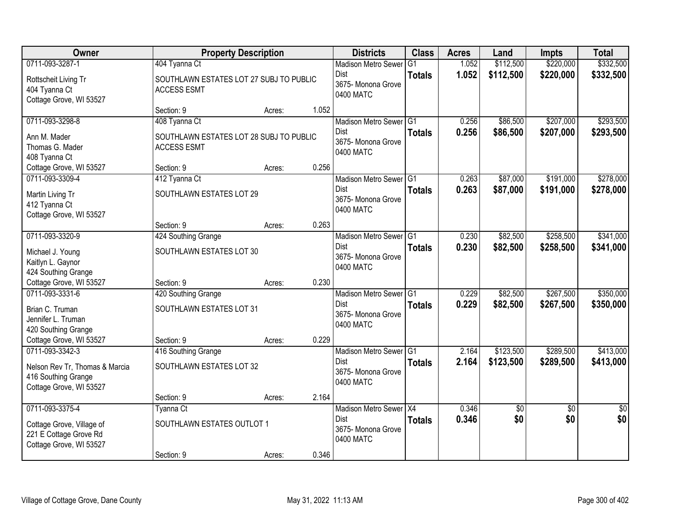| Owner                                                                                             | <b>Property Description</b>                                   |        |       | <b>Districts</b>                                                             | <b>Class</b>         | <b>Acres</b>   | Land                   | <b>Impts</b>           | <b>Total</b>           |
|---------------------------------------------------------------------------------------------------|---------------------------------------------------------------|--------|-------|------------------------------------------------------------------------------|----------------------|----------------|------------------------|------------------------|------------------------|
| 0711-093-3287-1                                                                                   | 404 Tyanna Ct                                                 |        |       | <b>Madison Metro Sewer</b>                                                   | G <sub>1</sub>       | 1.052          | \$112,500              | \$220,000              | \$332,500              |
| Rottscheit Living Tr<br>404 Tyanna Ct<br>Cottage Grove, WI 53527                                  | SOUTHLAWN ESTATES LOT 27 SUBJ TO PUBLIC<br><b>ACCESS ESMT</b> |        |       | Dist<br>3675-Monona Grove<br>0400 MATC                                       | <b>Totals</b>        | 1.052          | \$112,500              | \$220,000              | \$332,500              |
|                                                                                                   | Section: 9                                                    | Acres: | 1.052 |                                                                              |                      |                |                        |                        |                        |
| 0711-093-3298-8                                                                                   | 408 Tyanna Ct                                                 |        |       | Madison Metro Sewer G1                                                       |                      | 0.256          | \$86,500               | \$207,000              | \$293,500              |
| Ann M. Mader<br>Thomas G. Mader<br>408 Tyanna Ct                                                  | SOUTHLAWN ESTATES LOT 28 SUBJ TO PUBLIC<br><b>ACCESS ESMT</b> |        |       | Dist<br>3675- Monona Grove<br>0400 MATC                                      | <b>Totals</b>        | 0.256          | \$86,500               | \$207,000              | \$293,500              |
| Cottage Grove, WI 53527                                                                           | Section: 9                                                    | Acres: | 0.256 |                                                                              |                      |                |                        |                        |                        |
| 0711-093-3309-4                                                                                   | 412 Tyanna Ct                                                 |        |       | Madison Metro Sewer G1                                                       |                      | 0.263          | \$87,000               | \$191,000              | \$278,000              |
| Martin Living Tr<br>412 Tyanna Ct<br>Cottage Grove, WI 53527                                      | SOUTHLAWN ESTATES LOT 29                                      |        |       | Dist<br>3675- Monona Grove<br>0400 MATC                                      | <b>Totals</b>        | 0.263          | \$87,000               | \$191,000              | \$278,000              |
|                                                                                                   | Section: 9                                                    | Acres: | 0.263 |                                                                              |                      |                |                        |                        |                        |
| 0711-093-3320-9                                                                                   | 424 Southing Grange                                           |        |       | Madison Metro Sewer G1                                                       |                      | 0.230          | \$82,500               | \$258,500              | \$341,000              |
| Michael J. Young<br>Kaitlyn L. Gaynor<br>424 Southing Grange                                      | SOUTHLAWN ESTATES LOT 30                                      |        |       | Dist<br>3675- Monona Grove<br>0400 MATC                                      | <b>Totals</b>        | 0.230          | \$82,500               | \$258,500              | \$341,000              |
| Cottage Grove, WI 53527                                                                           | Section: 9                                                    | Acres: | 0.230 |                                                                              |                      |                |                        |                        |                        |
| 0711-093-3331-6<br>Brian C. Truman<br>Jennifer L. Truman<br>420 Southing Grange                   | 420 Southing Grange<br>SOUTHLAWN ESTATES LOT 31               |        |       | <b>Madison Metro Sewer</b><br><b>Dist</b><br>3675- Monona Grove<br>0400 MATC | TG1<br><b>Totals</b> | 0.229<br>0.229 | \$82,500<br>\$82,500   | \$267,500<br>\$267,500 | \$350,000<br>\$350,000 |
| Cottage Grove, WI 53527                                                                           | Section: 9                                                    | Acres: | 0.229 |                                                                              |                      |                |                        |                        |                        |
| 0711-093-3342-3                                                                                   | 416 Southing Grange                                           |        |       | Madison Metro Sewer G1                                                       |                      | 2.164          | \$123,500              | \$289,500              | \$413,000              |
| Nelson Rev Tr, Thomas & Marcia<br>416 Southing Grange<br>Cottage Grove, WI 53527                  | SOUTHLAWN ESTATES LOT 32                                      |        |       | Dist<br>3675- Monona Grove<br>0400 MATC                                      | <b>Totals</b>        | 2.164          | \$123,500              | \$289,500              | \$413,000              |
|                                                                                                   | Section: 9                                                    | Acres: | 2.164 |                                                                              |                      |                |                        |                        |                        |
| 0711-093-3375-4<br>Cottage Grove, Village of<br>221 E Cottage Grove Rd<br>Cottage Grove, WI 53527 | Tyanna Ct<br>SOUTHLAWN ESTATES OUTLOT 1<br>Section: 9         |        | 0.346 | Madison Metro Sewer X4<br>Dist<br>3675- Monona Grove<br>0400 MATC            | <b>Totals</b>        | 0.346<br>0.346 | $\overline{50}$<br>\$0 | $\overline{30}$<br>\$0 | $\overline{30}$<br>\$0 |
|                                                                                                   |                                                               | Acres: |       |                                                                              |                      |                |                        |                        |                        |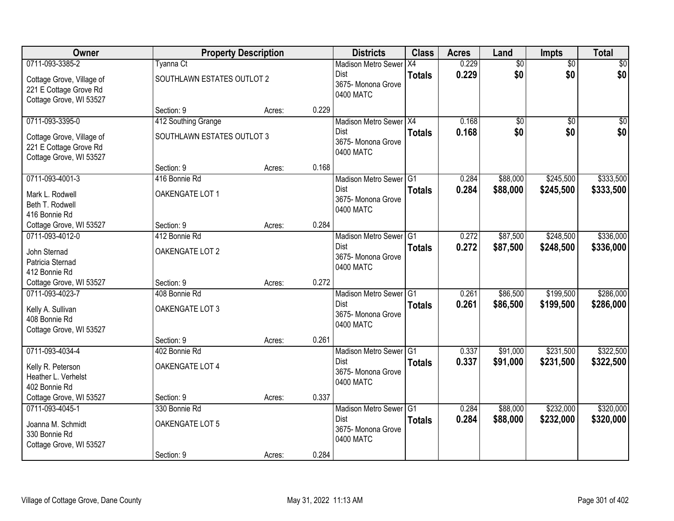| Owner                                                                            |                                  | <b>Property Description</b> |       | <b>Districts</b>                                                         | <b>Class</b>  | <b>Acres</b>   | Land                 | Impts                  | <b>Total</b>           |
|----------------------------------------------------------------------------------|----------------------------------|-----------------------------|-------|--------------------------------------------------------------------------|---------------|----------------|----------------------|------------------------|------------------------|
| 0711-093-3385-2                                                                  | <b>Tyanna Ct</b>                 |                             |       | Madison Metro Sewer X4                                                   |               | 0.229          | $\overline{60}$      | $\overline{50}$        | \$0                    |
| Cottage Grove, Village of<br>221 E Cottage Grove Rd<br>Cottage Grove, WI 53527   | SOUTHLAWN ESTATES OUTLOT 2       |                             |       | Dist<br>3675- Monona Grove<br>0400 MATC                                  | <b>Totals</b> | 0.229          | \$0                  | \$0                    | \$0                    |
|                                                                                  | Section: 9                       | Acres:                      | 0.229 |                                                                          |               |                |                      |                        |                        |
| 0711-093-3395-0                                                                  | 412 Southing Grange              |                             |       | Madison Metro Sewer X4                                                   |               | 0.168          | $\overline{50}$      | $\overline{50}$        | $\overline{50}$        |
| Cottage Grove, Village of<br>221 E Cottage Grove Rd<br>Cottage Grove, WI 53527   | SOUTHLAWN ESTATES OUTLOT 3       |                             |       | <b>Dist</b><br>3675- Monona Grove<br>0400 MATC                           | <b>Totals</b> | 0.168          | \$0                  | \$0                    | \$0                    |
|                                                                                  | Section: 9                       | Acres:                      | 0.168 |                                                                          |               |                |                      |                        |                        |
| 0711-093-4001-3                                                                  | 416 Bonnie Rd                    |                             |       | Madison Metro Sewer G1                                                   |               | 0.284          | \$88,000             | \$245,500              | \$333,500              |
| Mark L. Rodwell<br>Beth T. Rodwell<br>416 Bonnie Rd                              | OAKENGATE LOT 1                  |                             |       | <b>Dist</b><br>3675-Monona Grove<br>0400 MATC                            | <b>Totals</b> | 0.284          | \$88,000             | \$245,500              | \$333,500              |
| Cottage Grove, WI 53527                                                          | Section: 9                       | Acres:                      | 0.284 |                                                                          |               |                |                      |                        |                        |
| 0711-093-4012-0                                                                  | 412 Bonnie Rd                    |                             |       | Madison Metro Sewer G1                                                   |               | 0.272          | \$87,500             | \$248,500              | \$336,000              |
| John Sternad<br>Patricia Sternad<br>412 Bonnie Rd                                | OAKENGATE LOT 2                  |                             |       | <b>Dist</b><br>3675- Monona Grove<br>0400 MATC                           | <b>Totals</b> | 0.272          | \$87,500             | \$248,500              | \$336,000              |
| Cottage Grove, WI 53527                                                          | Section: 9                       | Acres:                      | 0.272 |                                                                          |               |                |                      |                        |                        |
| 0711-093-4023-7<br>Kelly A. Sullivan<br>408 Bonnie Rd<br>Cottage Grove, WI 53527 | 408 Bonnie Rd<br>OAKENGATE LOT 3 |                             |       | Madison Metro Sewer G1<br><b>Dist</b><br>3675- Monona Grove<br>0400 MATC | <b>Totals</b> | 0.261<br>0.261 | \$86,500<br>\$86,500 | \$199,500<br>\$199,500 | \$286,000<br>\$286,000 |
|                                                                                  | Section: 9                       | Acres:                      | 0.261 |                                                                          |               |                |                      |                        |                        |
| 0711-093-4034-4                                                                  | 402 Bonnie Rd                    |                             |       | Madison Metro Sewer G1                                                   |               | 0.337          | \$91,000             | \$231,500              | \$322,500              |
| Kelly R. Peterson<br>Heather L. Verhelst<br>402 Bonnie Rd                        | OAKENGATE LOT 4                  |                             |       | Dist<br>3675- Monona Grove<br>0400 MATC                                  | <b>Totals</b> | 0.337          | \$91,000             | \$231,500              | \$322,500              |
| Cottage Grove, WI 53527                                                          | Section: 9                       | Acres:                      | 0.337 |                                                                          |               |                |                      |                        |                        |
| 0711-093-4045-1                                                                  | 330 Bonnie Rd                    |                             |       | Madison Metro Sewer G1                                                   |               | 0.284          | \$88,000             | \$232,000              | \$320,000              |
| Joanna M. Schmidt<br>330 Bonnie Rd<br>Cottage Grove, WI 53527                    | OAKENGATE LOT 5                  |                             |       | <b>Dist</b><br>3675-Monona Grove<br>0400 MATC                            | <b>Totals</b> | 0.284          | \$88,000             | \$232,000              | \$320,000              |
|                                                                                  | Section: 9                       | Acres:                      | 0.284 |                                                                          |               |                |                      |                        |                        |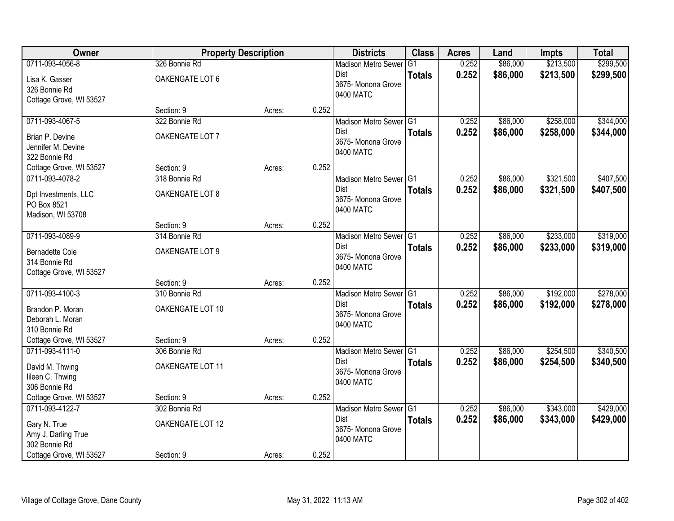| Owner                   | <b>Property Description</b> |        |       | <b>Districts</b>                | <b>Class</b>   | <b>Acres</b> | Land     | <b>Impts</b> | <b>Total</b> |
|-------------------------|-----------------------------|--------|-------|---------------------------------|----------------|--------------|----------|--------------|--------------|
| 0711-093-4056-8         | 326 Bonnie Rd               |        |       | <b>Madison Metro Sewer</b>      | G <sub>1</sub> | 0.252        | \$86,000 | \$213,500    | \$299,500    |
| Lisa K. Gasser          | OAKENGATE LOT 6             |        |       | <b>Dist</b>                     | <b>Totals</b>  | 0.252        | \$86,000 | \$213,500    | \$299,500    |
| 326 Bonnie Rd           |                             |        |       | 3675- Monona Grove              |                |              |          |              |              |
| Cottage Grove, WI 53527 |                             |        |       | 0400 MATC                       |                |              |          |              |              |
|                         | Section: 9                  | Acres: | 0.252 |                                 |                |              |          |              |              |
| 0711-093-4067-5         | 322 Bonnie Rd               |        |       | Madison Metro Sewer G1          |                | 0.252        | \$86,000 | \$258,000    | \$344,000    |
| Brian P. Devine         | OAKENGATE LOT 7             |        |       | Dist                            | <b>Totals</b>  | 0.252        | \$86,000 | \$258,000    | \$344,000    |
| Jennifer M. Devine      |                             |        |       | 3675- Monona Grove<br>0400 MATC |                |              |          |              |              |
| 322 Bonnie Rd           |                             |        |       |                                 |                |              |          |              |              |
| Cottage Grove, WI 53527 | Section: 9                  | Acres: | 0.252 |                                 |                |              |          |              |              |
| 0711-093-4078-2         | 318 Bonnie Rd               |        |       | Madison Metro Sewer G1          |                | 0.252        | \$86,000 | \$321,500    | \$407,500    |
| Dpt Investments, LLC    | OAKENGATE LOT 8             |        |       | <b>Dist</b>                     | <b>Totals</b>  | 0.252        | \$86,000 | \$321,500    | \$407,500    |
| PO Box 8521             |                             |        |       | 3675- Monona Grove              |                |              |          |              |              |
| Madison, WI 53708       |                             |        |       | 0400 MATC                       |                |              |          |              |              |
|                         | Section: 9                  | Acres: | 0.252 |                                 |                |              |          |              |              |
| 0711-093-4089-9         | 314 Bonnie Rd               |        |       | Madison Metro Sewer G1          |                | 0.252        | \$86,000 | \$233,000    | \$319,000    |
| <b>Bernadette Cole</b>  | OAKENGATE LOT 9             |        |       | <b>Dist</b>                     | <b>Totals</b>  | 0.252        | \$86,000 | \$233,000    | \$319,000    |
| 314 Bonnie Rd           |                             |        |       | 3675- Monona Grove              |                |              |          |              |              |
| Cottage Grove, WI 53527 |                             |        |       | 0400 MATC                       |                |              |          |              |              |
|                         | Section: 9                  | Acres: | 0.252 |                                 |                |              |          |              |              |
| 0711-093-4100-3         | 310 Bonnie Rd               |        |       | Madison Metro Sewer G1          |                | 0.252        | \$86,000 | \$192,000    | \$278,000    |
| Brandon P. Moran        | OAKENGATE LOT 10            |        |       | Dist                            | <b>Totals</b>  | 0.252        | \$86,000 | \$192,000    | \$278,000    |
| Deborah L. Moran        |                             |        |       | 3675- Monona Grove              |                |              |          |              |              |
| 310 Bonnie Rd           |                             |        |       | 0400 MATC                       |                |              |          |              |              |
| Cottage Grove, WI 53527 | Section: 9                  | Acres: | 0.252 |                                 |                |              |          |              |              |
| 0711-093-4111-0         | 306 Bonnie Rd               |        |       | Madison Metro Sewer G1          |                | 0.252        | \$86,000 | \$254,500    | \$340,500    |
| David M. Thwing         | OAKENGATE LOT 11            |        |       | <b>Dist</b>                     | <b>Totals</b>  | 0.252        | \$86,000 | \$254,500    | \$340,500    |
| lileen C. Thwing        |                             |        |       | 3675- Monona Grove              |                |              |          |              |              |
| 306 Bonnie Rd           |                             |        |       | 0400 MATC                       |                |              |          |              |              |
| Cottage Grove, WI 53527 | Section: 9                  | Acres: | 0.252 |                                 |                |              |          |              |              |
| 0711-093-4122-7         | 302 Bonnie Rd               |        |       | Madison Metro Sewer G1          |                | 0.252        | \$86,000 | \$343,000    | \$429,000    |
| Gary N. True            | OAKENGATE LOT 12            |        |       | Dist                            | <b>Totals</b>  | 0.252        | \$86,000 | \$343,000    | \$429,000    |
| Amy J. Darling True     |                             |        |       | 3675- Monona Grove              |                |              |          |              |              |
| 302 Bonnie Rd           |                             |        |       | 0400 MATC                       |                |              |          |              |              |
| Cottage Grove, WI 53527 | Section: 9                  | Acres: | 0.252 |                                 |                |              |          |              |              |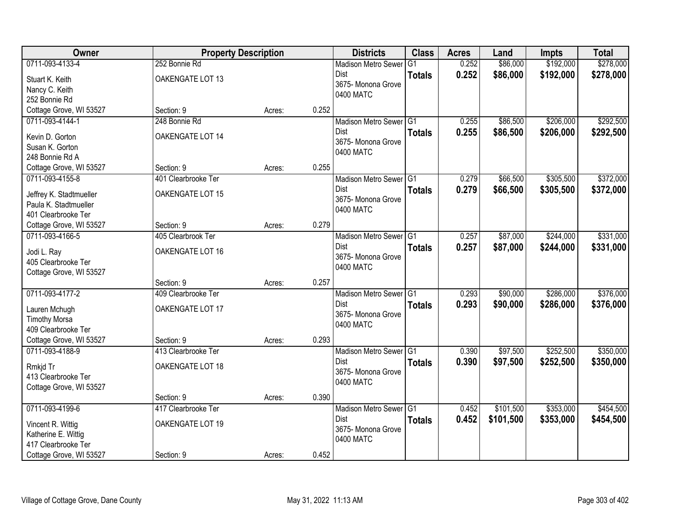| Owner                                            | <b>Property Description</b>       |        |       | <b>Districts</b>                  | <b>Class</b>  | <b>Acres</b> | Land      | <b>Impts</b> | <b>Total</b> |
|--------------------------------------------------|-----------------------------------|--------|-------|-----------------------------------|---------------|--------------|-----------|--------------|--------------|
| 0711-093-4133-4                                  | 252 Bonnie Rd                     |        |       | <b>Madison Metro Sewer</b>        | G1            | 0.252        | \$86,000  | \$192,000    | \$278,000    |
| Stuart K. Keith                                  | OAKENGATE LOT 13                  |        |       | Dist                              | <b>Totals</b> | 0.252        | \$86,000  | \$192,000    | \$278,000    |
| Nancy C. Keith                                   |                                   |        |       | 3675- Monona Grove                |               |              |           |              |              |
| 252 Bonnie Rd                                    |                                   |        |       | 0400 MATC                         |               |              |           |              |              |
| Cottage Grove, WI 53527                          | Section: 9                        | Acres: | 0.252 |                                   |               |              |           |              |              |
| 0711-093-4144-1                                  | 248 Bonnie Rd                     |        |       | Madison Metro Sewer G1            |               | 0.255        | \$86,500  | \$206,000    | \$292,500    |
| Kevin D. Gorton                                  | OAKENGATE LOT 14                  |        |       | <b>Dist</b>                       | <b>Totals</b> | 0.255        | \$86,500  | \$206,000    | \$292,500    |
| Susan K. Gorton                                  |                                   |        |       | 3675- Monona Grove                |               |              |           |              |              |
| 248 Bonnie Rd A                                  |                                   |        |       | 0400 MATC                         |               |              |           |              |              |
| Cottage Grove, WI 53527                          | Section: 9                        | Acres: | 0.255 |                                   |               |              |           |              |              |
| 0711-093-4155-8                                  | 401 Clearbrooke Ter               |        |       | Madison Metro Sewer G1            |               | 0.279        | \$66,500  | \$305,500    | \$372,000    |
|                                                  | OAKENGATE LOT 15                  |        |       | Dist                              | <b>Totals</b> | 0.279        | \$66,500  | \$305,500    | \$372,000    |
| Jeffrey K. Stadtmueller<br>Paula K. Stadtmueller |                                   |        |       | 3675-Monona Grove                 |               |              |           |              |              |
| 401 Clearbrooke Ter                              |                                   |        |       | 0400 MATC                         |               |              |           |              |              |
| Cottage Grove, WI 53527                          | Section: 9                        | Acres: | 0.279 |                                   |               |              |           |              |              |
| 0711-093-4166-5                                  | 405 Clearbrook Ter                |        |       | Madison Metro Sewer G1            |               | 0.257        | \$87,000  | \$244,000    | \$331,000    |
|                                                  |                                   |        |       | Dist                              | <b>Totals</b> | 0.257        | \$87,000  | \$244,000    | \$331,000    |
| Jodi L. Ray<br>405 Clearbrooke Ter               | OAKENGATE LOT 16                  |        |       | 3675- Monona Grove                |               |              |           |              |              |
| Cottage Grove, WI 53527                          |                                   |        |       | 0400 MATC                         |               |              |           |              |              |
|                                                  | Section: 9                        | Acres: | 0.257 |                                   |               |              |           |              |              |
| 0711-093-4177-2                                  | 409 Clearbrooke Ter               |        |       | Madison Metro Sewer <sup>G1</sup> |               | 0.293        | \$90,000  | \$286,000    | \$376,000    |
|                                                  |                                   |        |       | <b>Dist</b>                       | <b>Totals</b> | 0.293        | \$90,000  | \$286,000    | \$376,000    |
| Lauren Mchugh                                    | OAKENGATE LOT 17                  |        |       | 3675- Monona Grove                |               |              |           |              |              |
| <b>Timothy Morsa</b>                             |                                   |        |       | 0400 MATC                         |               |              |           |              |              |
| 409 Clearbrooke Ter                              |                                   |        |       |                                   |               |              |           |              |              |
| Cottage Grove, WI 53527<br>0711-093-4188-9       | Section: 9<br>413 Clearbrooke Ter | Acres: | 0.293 | Madison Metro Sewer G1            |               | 0.390        | \$97,500  | \$252,500    | \$350,000    |
|                                                  |                                   |        |       | Dist                              |               | 0.390        | \$97,500  | \$252,500    | \$350,000    |
| Rmkjd Tr                                         | OAKENGATE LOT 18                  |        |       | 3675- Monona Grove                | <b>Totals</b> |              |           |              |              |
| 413 Clearbrooke Ter                              |                                   |        |       | 0400 MATC                         |               |              |           |              |              |
| Cottage Grove, WI 53527                          |                                   |        |       |                                   |               |              |           |              |              |
|                                                  | Section: 9                        | Acres: | 0.390 |                                   |               |              |           |              |              |
| 0711-093-4199-6                                  | 417 Clearbrooke Ter               |        |       | Madison Metro Sewer G1            |               | 0.452        | \$101,500 | \$353,000    | \$454,500    |
| Vincent R. Wittig                                | OAKENGATE LOT 19                  |        |       | <b>Dist</b>                       | <b>Totals</b> | 0.452        | \$101,500 | \$353,000    | \$454,500    |
| Katherine E. Wittig                              |                                   |        |       | 3675- Monona Grove<br>0400 MATC   |               |              |           |              |              |
| 417 Clearbrooke Ter                              |                                   |        |       |                                   |               |              |           |              |              |
| Cottage Grove, WI 53527                          | Section: 9                        | Acres: | 0.452 |                                   |               |              |           |              |              |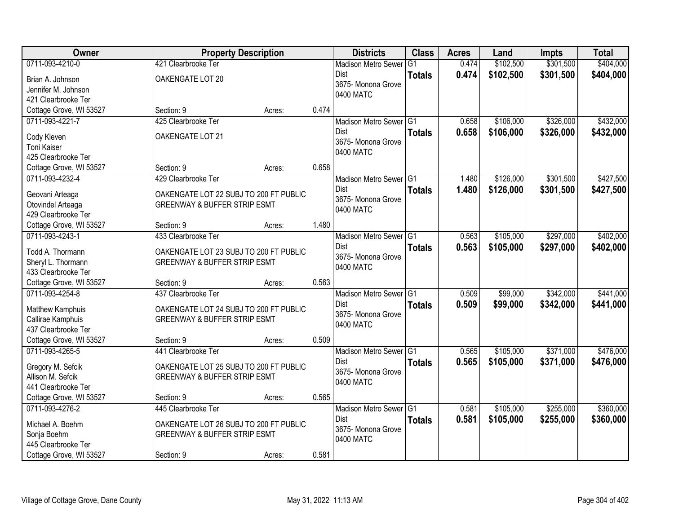| Owner                                    | <b>Property Description</b>             |        |       | <b>Districts</b>           | <b>Class</b>  | <b>Acres</b> | Land      | Impts     | <b>Total</b> |
|------------------------------------------|-----------------------------------------|--------|-------|----------------------------|---------------|--------------|-----------|-----------|--------------|
| 0711-093-4210-0                          | 421 Clearbrooke Ter                     |        |       | <b>Madison Metro Sewer</b> | G1            | 0.474        | \$102,500 | \$301,500 | \$404,000    |
| Brian A. Johnson                         | OAKENGATE LOT 20                        |        |       | Dist                       | <b>Totals</b> | 0.474        | \$102,500 | \$301,500 | \$404,000    |
| Jennifer M. Johnson                      |                                         |        |       | 3675- Monona Grove         |               |              |           |           |              |
| 421 Clearbrooke Ter                      |                                         |        |       | 0400 MATC                  |               |              |           |           |              |
| Cottage Grove, WI 53527                  | Section: 9                              | Acres: | 0.474 |                            |               |              |           |           |              |
| 0711-093-4221-7                          | 425 Clearbrooke Ter                     |        |       | Madison Metro Sewer G1     |               | 0.658        | \$106,000 | \$326,000 | \$432,000    |
| Cody Kleven                              | OAKENGATE LOT 21                        |        |       | <b>Dist</b>                | <b>Totals</b> | 0.658        | \$106,000 | \$326,000 | \$432,000    |
| Toni Kaiser                              |                                         |        |       | 3675- Monona Grove         |               |              |           |           |              |
| 425 Clearbrooke Ter                      |                                         |        |       | 0400 MATC                  |               |              |           |           |              |
| Cottage Grove, WI 53527                  | Section: 9                              | Acres: | 0.658 |                            |               |              |           |           |              |
| 0711-093-4232-4                          | 429 Clearbrooke Ter                     |        |       | Madison Metro Sewer G1     |               | 1.480        | \$126,000 | \$301,500 | \$427,500    |
|                                          |                                         |        |       | Dist                       | <b>Totals</b> | 1.480        | \$126,000 | \$301,500 | \$427,500    |
| Geovani Arteaga                          | OAKENGATE LOT 22 SUBJ TO 200 FT PUBLIC  |        |       | 3675- Monona Grove         |               |              |           |           |              |
| Otovindel Arteaga<br>429 Clearbrooke Ter | <b>GREENWAY &amp; BUFFER STRIP ESMT</b> |        |       | 0400 MATC                  |               |              |           |           |              |
| Cottage Grove, WI 53527                  | Section: 9                              | Acres: | 1.480 |                            |               |              |           |           |              |
| 0711-093-4243-1                          | 433 Clearbrooke Ter                     |        |       | Madison Metro Sewer G1     |               | 0.563        | \$105,000 | \$297,000 | \$402,000    |
|                                          |                                         |        |       | Dist                       |               | 0.563        |           |           |              |
| Todd A. Thormann                         | OAKENGATE LOT 23 SUBJ TO 200 FT PUBLIC  |        |       | 3675- Monona Grove         | <b>Totals</b> |              | \$105,000 | \$297,000 | \$402,000    |
| Sheryl L. Thormann                       | <b>GREENWAY &amp; BUFFER STRIP ESMT</b> |        |       | 0400 MATC                  |               |              |           |           |              |
| 433 Clearbrooke Ter                      |                                         |        |       |                            |               |              |           |           |              |
| Cottage Grove, WI 53527                  | Section: 9                              | Acres: | 0.563 |                            |               |              |           |           |              |
| 0711-093-4254-8                          | 437 Clearbrooke Ter                     |        |       | Madison Metro Sewer G1     |               | 0.509        | \$99,000  | \$342,000 | \$441,000    |
| Matthew Kamphuis                         | OAKENGATE LOT 24 SUBJ TO 200 FT PUBLIC  |        |       | Dist                       | <b>Totals</b> | 0.509        | \$99,000  | \$342,000 | \$441,000    |
| Callirae Kamphuis                        | <b>GREENWAY &amp; BUFFER STRIP ESMT</b> |        |       | 3675- Monona Grove         |               |              |           |           |              |
| 437 Clearbrooke Ter                      |                                         |        |       | 0400 MATC                  |               |              |           |           |              |
| Cottage Grove, WI 53527                  | Section: 9                              | Acres: | 0.509 |                            |               |              |           |           |              |
| 0711-093-4265-5                          | 441 Clearbrooke Ter                     |        |       | Madison Metro Sewer G1     |               | 0.565        | \$105,000 | \$371,000 | \$476,000    |
| Gregory M. Sefcik                        | OAKENGATE LOT 25 SUBJ TO 200 FT PUBLIC  |        |       | Dist                       | <b>Totals</b> | 0.565        | \$105,000 | \$371,000 | \$476,000    |
| Allison M. Sefcik                        | <b>GREENWAY &amp; BUFFER STRIP ESMT</b> |        |       | 3675- Monona Grove         |               |              |           |           |              |
| 441 Clearbrooke Ter                      |                                         |        |       | 0400 MATC                  |               |              |           |           |              |
| Cottage Grove, WI 53527                  | Section: 9                              | Acres: | 0.565 |                            |               |              |           |           |              |
| 0711-093-4276-2                          | 445 Clearbrooke Ter                     |        |       | Madison Metro Sewer G1     |               | 0.581        | \$105,000 | \$255,000 | \$360,000    |
| Michael A. Boehm                         | OAKENGATE LOT 26 SUBJ TO 200 FT PUBLIC  |        |       | <b>Dist</b>                | <b>Totals</b> | 0.581        | \$105,000 | \$255,000 | \$360,000    |
| Sonja Boehm                              | <b>GREENWAY &amp; BUFFER STRIP ESMT</b> |        |       | 3675- Monona Grove         |               |              |           |           |              |
| 445 Clearbrooke Ter                      |                                         |        |       | 0400 MATC                  |               |              |           |           |              |
| Cottage Grove, WI 53527                  | Section: 9                              | Acres: | 0.581 |                            |               |              |           |           |              |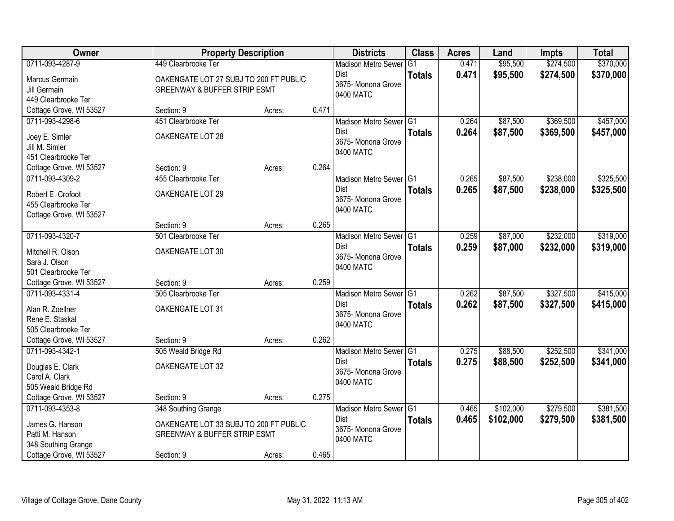| Owner                                |                                         | <b>Property Description</b> |       | <b>Districts</b>                  | <b>Class</b>  | <b>Acres</b> | Land      | Impts     | <b>Total</b> |
|--------------------------------------|-----------------------------------------|-----------------------------|-------|-----------------------------------|---------------|--------------|-----------|-----------|--------------|
| 0711-093-4287-9                      | 449 Clearbrooke Ter                     |                             |       | <b>Madison Metro Sewer</b>        | G1            | 0.471        | \$95,500  | \$274,500 | \$370,000    |
| Marcus Germain                       | OAKENGATE LOT 27 SUBJ TO 200 FT PUBLIC  |                             |       | Dist                              | <b>Totals</b> | 0.471        | \$95,500  | \$274,500 | \$370,000    |
| Jill Germain                         | <b>GREENWAY &amp; BUFFER STRIP ESMT</b> |                             |       | 3675- Monona Grove<br>0400 MATC   |               |              |           |           |              |
| 449 Clearbrooke Ter                  |                                         |                             |       |                                   |               |              |           |           |              |
| Cottage Grove, WI 53527              | Section: 9                              | Acres:                      | 0.471 |                                   |               |              |           |           |              |
| 0711-093-4298-6                      | 451 Clearbrooke Ter                     |                             |       | Madison Metro Sewer G1            |               | 0.264        | \$87,500  | \$369,500 | \$457,000    |
| Joey E. Simler                       | OAKENGATE LOT 28                        |                             |       | <b>Dist</b>                       | <b>Totals</b> | 0.264        | \$87,500  | \$369,500 | \$457,000    |
| Jill M. Simler                       |                                         |                             |       | 3675- Monona Grove                |               |              |           |           |              |
| 451 Clearbrooke Ter                  |                                         |                             |       | 0400 MATC                         |               |              |           |           |              |
| Cottage Grove, WI 53527              | Section: 9                              | Acres:                      | 0.264 |                                   |               |              |           |           |              |
| 0711-093-4309-2                      | 455 Clearbrooke Ter                     |                             |       | Madison Metro Sewer G1            |               | 0.265        | \$87,500  | \$238,000 | \$325,500    |
| Robert E. Crofoot                    | OAKENGATE LOT 29                        |                             |       | Dist                              | <b>Totals</b> | 0.265        | \$87,500  | \$238,000 | \$325,500    |
| 455 Clearbrooke Ter                  |                                         |                             |       | 3675- Monona Grove                |               |              |           |           |              |
| Cottage Grove, WI 53527              |                                         |                             |       | 0400 MATC                         |               |              |           |           |              |
|                                      | Section: 9                              | Acres:                      | 0.265 |                                   |               |              |           |           |              |
| 0711-093-4320-7                      | 501 Clearbrooke Ter                     |                             |       | Madison Metro Sewer G1            |               | 0.259        | \$87,000  | \$232,000 | \$319,000    |
|                                      |                                         |                             |       | Dist                              | <b>Totals</b> | 0.259        | \$87,000  | \$232,000 | \$319,000    |
| Mitchell R. Olson                    | OAKENGATE LOT 30                        |                             |       | 3675- Monona Grove                |               |              |           |           |              |
| Sara J. Olson<br>501 Clearbrooke Ter |                                         |                             |       | 0400 MATC                         |               |              |           |           |              |
| Cottage Grove, WI 53527              | Section: 9                              | Acres:                      | 0.259 |                                   |               |              |           |           |              |
| 0711-093-4331-4                      | 505 Clearbrooke Ter                     |                             |       | Madison Metro Sewer <sup>G1</sup> |               | 0.262        | \$87,500  | \$327,500 | \$415,000    |
|                                      |                                         |                             |       | <b>Dist</b>                       | <b>Totals</b> | 0.262        | \$87,500  | \$327,500 | \$415,000    |
| Alan R. Zoellner                     | OAKENGATE LOT 31                        |                             |       | 3675- Monona Grove                |               |              |           |           |              |
| Rene E. Staskal                      |                                         |                             |       | 0400 MATC                         |               |              |           |           |              |
| 505 Clearbrooke Ter                  |                                         |                             |       |                                   |               |              |           |           |              |
| Cottage Grove, WI 53527              | Section: 9                              | Acres:                      | 0.262 |                                   |               |              |           |           |              |
| 0711-093-4342-1                      | 505 Weald Bridge Rd                     |                             |       | Madison Metro Sewer G1            |               | 0.275        | \$88,500  | \$252,500 | \$341,000    |
| Douglas E. Clark                     | OAKENGATE LOT 32                        |                             |       | <b>Dist</b>                       | <b>Totals</b> | 0.275        | \$88,500  | \$252,500 | \$341,000    |
| Carol A. Clark                       |                                         |                             |       | 3675- Monona Grove<br>0400 MATC   |               |              |           |           |              |
| 505 Weald Bridge Rd                  |                                         |                             |       |                                   |               |              |           |           |              |
| Cottage Grove, WI 53527              | Section: 9                              | Acres:                      | 0.275 |                                   |               |              |           |           |              |
| 0711-093-4353-8                      | 348 Southing Grange                     |                             |       | Madison Metro Sewer G1            |               | 0.465        | \$102,000 | \$279,500 | \$381,500    |
| James G. Hanson                      | OAKENGATE LOT 33 SUBJ TO 200 FT PUBLIC  |                             |       | Dist                              | <b>Totals</b> | 0.465        | \$102,000 | \$279,500 | \$381,500    |
| Patti M. Hanson                      | <b>GREENWAY &amp; BUFFER STRIP ESMT</b> |                             |       | 3675- Monona Grove                |               |              |           |           |              |
| 348 Southing Grange                  |                                         |                             |       | 0400 MATC                         |               |              |           |           |              |
| Cottage Grove, WI 53527              | Section: 9                              | Acres:                      | 0.465 |                                   |               |              |           |           |              |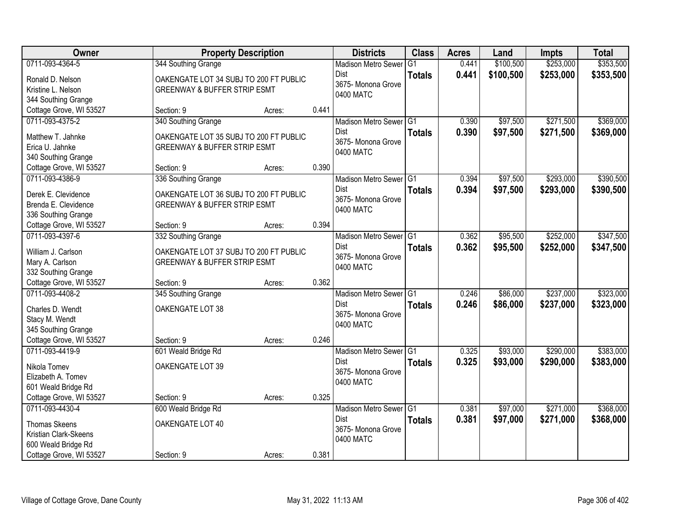| Owner                                          |                                                                                   | <b>Property Description</b> |       | <b>Districts</b>                    | <b>Class</b>    | <b>Acres</b> | Land      | Impts     | <b>Total</b> |
|------------------------------------------------|-----------------------------------------------------------------------------------|-----------------------------|-------|-------------------------------------|-----------------|--------------|-----------|-----------|--------------|
| 0711-093-4364-5                                | 344 Southing Grange                                                               |                             |       | <b>Madison Metro Sewer</b>          | $\overline{G1}$ | 0.441        | \$100,500 | \$253,000 | \$353,500    |
| Ronald D. Nelson                               | OAKENGATE LOT 34 SUBJ TO 200 FT PUBLIC                                            |                             |       | Dist                                | <b>Totals</b>   | 0.441        | \$100,500 | \$253,000 | \$353,500    |
| Kristine L. Nelson                             | <b>GREENWAY &amp; BUFFER STRIP ESMT</b>                                           |                             |       | 3675- Monona Grove                  |                 |              |           |           |              |
| 344 Southing Grange                            |                                                                                   |                             |       | 0400 MATC                           |                 |              |           |           |              |
| Cottage Grove, WI 53527                        | Section: 9                                                                        | Acres:                      | 0.441 |                                     |                 |              |           |           |              |
| 0711-093-4375-2                                | 340 Southing Grange                                                               |                             |       | Madison Metro Sewer G1              |                 | 0.390        | \$97,500  | \$271,500 | \$369,000    |
| Matthew T. Jahnke                              | OAKENGATE LOT 35 SUBJ TO 200 FT PUBLIC                                            |                             |       | Dist                                | <b>Totals</b>   | 0.390        | \$97,500  | \$271,500 | \$369,000    |
| Erica U. Jahnke                                | <b>GREENWAY &amp; BUFFER STRIP ESMT</b>                                           |                             |       | 3675- Monona Grove                  |                 |              |           |           |              |
| 340 Southing Grange                            |                                                                                   |                             |       | 0400 MATC                           |                 |              |           |           |              |
| Cottage Grove, WI 53527                        | Section: 9                                                                        | Acres:                      | 0.390 |                                     |                 |              |           |           |              |
| 0711-093-4386-9                                | 336 Southing Grange                                                               |                             |       | Madison Metro Sewer G1              |                 | 0.394        | \$97,500  | \$293,000 | \$390,500    |
| Derek E. Clevidence                            | OAKENGATE LOT 36 SUBJ TO 200 FT PUBLIC                                            |                             |       | <b>Dist</b>                         | <b>Totals</b>   | 0.394        | \$97,500  | \$293,000 | \$390,500    |
| Brenda E. Clevidence                           | <b>GREENWAY &amp; BUFFER STRIP ESMT</b>                                           |                             |       | 3675- Monona Grove                  |                 |              |           |           |              |
| 336 Southing Grange                            |                                                                                   |                             |       | 0400 MATC                           |                 |              |           |           |              |
| Cottage Grove, WI 53527                        | Section: 9                                                                        | Acres:                      | 0.394 |                                     |                 |              |           |           |              |
| 0711-093-4397-6                                | 332 Southing Grange                                                               |                             |       | Madison Metro Sewer G1              |                 | 0.362        | \$95,500  | \$252,000 | \$347,500    |
|                                                |                                                                                   |                             |       | <b>Dist</b>                         | <b>Totals</b>   | 0.362        | \$95,500  | \$252,000 | \$347,500    |
| William J. Carlson<br>Mary A. Carlson          | OAKENGATE LOT 37 SUBJ TO 200 FT PUBLIC<br><b>GREENWAY &amp; BUFFER STRIP ESMT</b> |                             |       | 3675- Monona Grove                  |                 |              |           |           |              |
| 332 Southing Grange                            |                                                                                   |                             |       | 0400 MATC                           |                 |              |           |           |              |
| Cottage Grove, WI 53527                        | Section: 9                                                                        | Acres:                      | 0.362 |                                     |                 |              |           |           |              |
| 0711-093-4408-2                                | 345 Southing Grange                                                               |                             |       | Madison Metro Sewer <sup>1</sup> G1 |                 | 0.246        | \$86,000  | \$237,000 | \$323,000    |
|                                                |                                                                                   |                             |       | <b>Dist</b>                         | <b>Totals</b>   | 0.246        | \$86,000  | \$237,000 | \$323,000    |
| Charles D. Wendt                               | OAKENGATE LOT 38                                                                  |                             |       | 3675- Monona Grove                  |                 |              |           |           |              |
| Stacy M. Wendt<br>345 Southing Grange          |                                                                                   |                             |       | 0400 MATC                           |                 |              |           |           |              |
| Cottage Grove, WI 53527                        | Section: 9                                                                        | Acres:                      | 0.246 |                                     |                 |              |           |           |              |
| 0711-093-4419-9                                | 601 Weald Bridge Rd                                                               |                             |       | Madison Metro Sewer G1              |                 | 0.325        | \$93,000  | \$290,000 | \$383,000    |
|                                                |                                                                                   |                             |       | <b>Dist</b>                         | <b>Totals</b>   | 0.325        | \$93,000  | \$290,000 | \$383,000    |
| Nikola Tomev                                   | OAKENGATE LOT 39                                                                  |                             |       | 3675- Monona Grove                  |                 |              |           |           |              |
| Elizabeth A. Tomev                             |                                                                                   |                             |       | 0400 MATC                           |                 |              |           |           |              |
| 601 Weald Bridge Rd<br>Cottage Grove, WI 53527 | Section: 9                                                                        | Acres:                      | 0.325 |                                     |                 |              |           |           |              |
| 0711-093-4430-4                                | 600 Weald Bridge Rd                                                               |                             |       | Madison Metro Sewer G1              |                 | 0.381        | \$97,000  | \$271,000 | \$368,000    |
|                                                |                                                                                   |                             |       | Dist                                | <b>Totals</b>   | 0.381        | \$97,000  | \$271,000 | \$368,000    |
| <b>Thomas Skeens</b>                           | OAKENGATE LOT 40                                                                  |                             |       | 3675- Monona Grove                  |                 |              |           |           |              |
| Kristian Clark-Skeens                          |                                                                                   |                             |       | 0400 MATC                           |                 |              |           |           |              |
| 600 Weald Bridge Rd                            |                                                                                   |                             | 0.381 |                                     |                 |              |           |           |              |
| Cottage Grove, WI 53527                        | Section: 9                                                                        | Acres:                      |       |                                     |                 |              |           |           |              |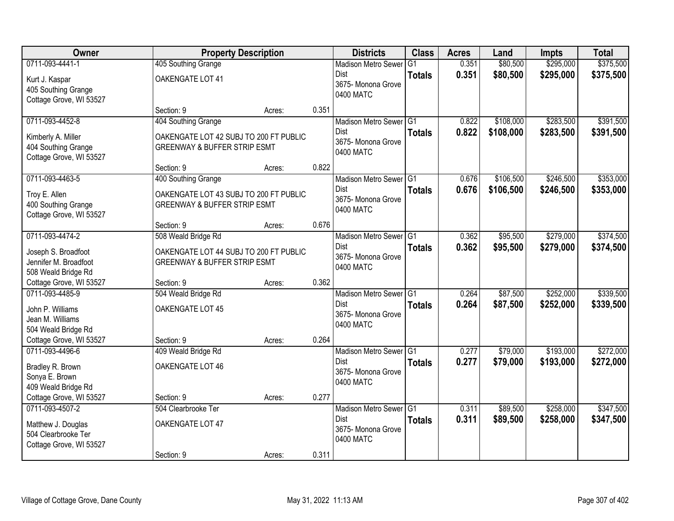| Owner                                                                                   |                                                                                   | <b>Property Description</b> |       | <b>Districts</b>                                                                    | <b>Class</b>  | <b>Acres</b>   | Land                 | Impts                  | <b>Total</b>           |
|-----------------------------------------------------------------------------------------|-----------------------------------------------------------------------------------|-----------------------------|-------|-------------------------------------------------------------------------------------|---------------|----------------|----------------------|------------------------|------------------------|
| 0711-093-4441-1                                                                         | 405 Southing Grange                                                               |                             |       | <b>Madison Metro Sewer</b>                                                          | G1            | 0.351          | \$80,500             | \$295,000              | \$375,500              |
| Kurt J. Kaspar<br>405 Southing Grange<br>Cottage Grove, WI 53527                        | OAKENGATE LOT 41                                                                  |                             |       | Dist<br>3675- Monona Grove<br>0400 MATC                                             | <b>Totals</b> | 0.351          | \$80,500             | \$295,000              | \$375,500              |
|                                                                                         | Section: 9                                                                        | Acres:                      | 0.351 |                                                                                     |               |                |                      |                        |                        |
| 0711-093-4452-8                                                                         | 404 Southing Grange                                                               |                             |       | Madison Metro Sewer G1                                                              |               | 0.822          | \$108,000            | \$283,500              | \$391,500              |
| Kimberly A. Miller<br>404 Southing Grange<br>Cottage Grove, WI 53527                    | OAKENGATE LOT 42 SUBJ TO 200 FT PUBLIC<br><b>GREENWAY &amp; BUFFER STRIP ESMT</b> |                             |       | <b>Dist</b><br>3675- Monona Grove<br>0400 MATC                                      | <b>Totals</b> | 0.822          | \$108,000            | \$283,500              | \$391,500              |
|                                                                                         | Section: 9                                                                        | Acres:                      | 0.822 |                                                                                     |               |                |                      |                        |                        |
| 0711-093-4463-5                                                                         | 400 Southing Grange                                                               |                             |       | Madison Metro Sewer G1                                                              |               | 0.676          | \$106,500            | \$246,500              | \$353,000              |
| Troy E. Allen<br>400 Southing Grange<br>Cottage Grove, WI 53527                         | OAKENGATE LOT 43 SUBJ TO 200 FT PUBLIC<br><b>GREENWAY &amp; BUFFER STRIP ESMT</b> |                             |       | <b>Dist</b><br>3675-Monona Grove<br>0400 MATC                                       | <b>Totals</b> | 0.676          | \$106,500            | \$246,500              | \$353,000              |
|                                                                                         | Section: 9                                                                        | Acres:                      | 0.676 |                                                                                     |               |                |                      |                        |                        |
| 0711-093-4474-2                                                                         | 508 Weald Bridge Rd                                                               |                             |       | Madison Metro Sewer G1                                                              |               | 0.362          | \$95,500             | \$279,000              | \$374,500              |
| Joseph S. Broadfoot<br>Jennifer M. Broadfoot<br>508 Weald Bridge Rd                     | OAKENGATE LOT 44 SUBJ TO 200 FT PUBLIC<br><b>GREENWAY &amp; BUFFER STRIP ESMT</b> |                             |       | <b>Dist</b><br>3675- Monona Grove<br>0400 MATC                                      | <b>Totals</b> | 0.362          | \$95,500             | \$279,000              | \$374,500              |
| Cottage Grove, WI 53527                                                                 | Section: 9                                                                        | Acres:                      | 0.362 |                                                                                     |               |                |                      |                        |                        |
| 0711-093-4485-9<br>John P. Williams<br>Jean M. Williams<br>504 Weald Bridge Rd          | 504 Weald Bridge Rd<br>OAKENGATE LOT 45                                           |                             |       | Madison Metro Sewer <sup>G1</sup><br><b>Dist</b><br>3675- Monona Grove<br>0400 MATC | <b>Totals</b> | 0.264<br>0.264 | \$87,500<br>\$87,500 | \$252,000<br>\$252,000 | \$339,500<br>\$339,500 |
| Cottage Grove, WI 53527                                                                 | Section: 9                                                                        | Acres:                      | 0.264 |                                                                                     |               |                |                      |                        |                        |
| 0711-093-4496-6                                                                         | 409 Weald Bridge Rd                                                               |                             |       | Madison Metro Sewer G1                                                              |               | 0.277          | \$79,000             | \$193,000              | \$272,000              |
| Bradley R. Brown<br>Sonya E. Brown<br>409 Weald Bridge Rd                               | OAKENGATE LOT 46                                                                  |                             |       | <b>Dist</b><br>3675- Monona Grove<br>0400 MATC                                      | <b>Totals</b> | 0.277          | \$79,000             | \$193,000              | \$272,000              |
| Cottage Grove, WI 53527                                                                 | Section: 9                                                                        | Acres:                      | 0.277 |                                                                                     |               |                |                      |                        |                        |
| 0711-093-4507-2<br>Matthew J. Douglas<br>504 Clearbrooke Ter<br>Cottage Grove, WI 53527 | 504 Clearbrooke Ter<br>OAKENGATE LOT 47                                           |                             |       | Madison Metro Sewer G1<br><b>Dist</b><br>3675-Monona Grove<br>0400 MATC             | <b>Totals</b> | 0.311<br>0.311 | \$89,500<br>\$89,500 | \$258,000<br>\$258,000 | \$347,500<br>\$347,500 |
|                                                                                         | Section: 9                                                                        | Acres:                      | 0.311 |                                                                                     |               |                |                      |                        |                        |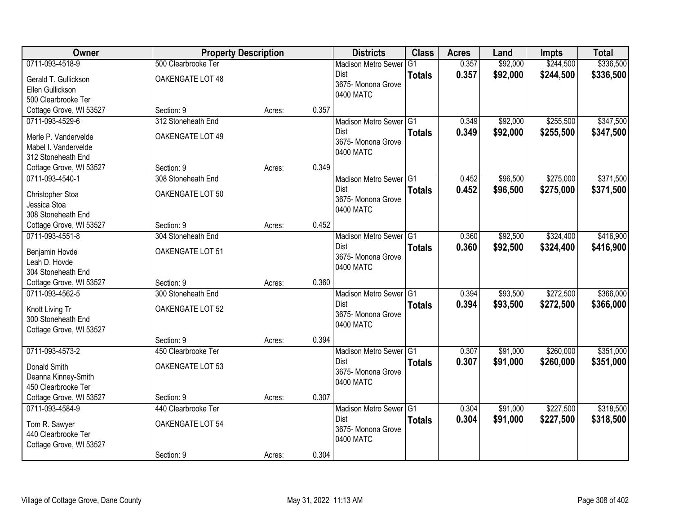| <b>Owner</b>                                  | <b>Property Description</b> |        |       | <b>Districts</b>                  | <b>Class</b>  | <b>Acres</b> | Land     | Impts     | <b>Total</b> |
|-----------------------------------------------|-----------------------------|--------|-------|-----------------------------------|---------------|--------------|----------|-----------|--------------|
| 0711-093-4518-9                               | 500 Clearbrooke Ter         |        |       | <b>Madison Metro Sewer</b>        | G1            | 0.357        | \$92,000 | \$244,500 | \$336,500    |
| Gerald T. Gullickson                          | OAKENGATE LOT 48            |        |       | Dist                              | <b>Totals</b> | 0.357        | \$92,000 | \$244,500 | \$336,500    |
| Ellen Gullickson                              |                             |        |       | 3675- Monona Grove                |               |              |          |           |              |
| 500 Clearbrooke Ter                           |                             |        |       | 0400 MATC                         |               |              |          |           |              |
| Cottage Grove, WI 53527                       | Section: 9                  | Acres: | 0.357 |                                   |               |              |          |           |              |
| 0711-093-4529-6                               | 312 Stoneheath End          |        |       | Madison Metro Sewer G1            |               | 0.349        | \$92,000 | \$255,500 | \$347,500    |
| Merle P. Vandervelde                          | OAKENGATE LOT 49            |        |       | <b>Dist</b>                       | <b>Totals</b> | 0.349        | \$92,000 | \$255,500 | \$347,500    |
| Mabel I. Vandervelde                          |                             |        |       | 3675- Monona Grove                |               |              |          |           |              |
| 312 Stoneheath End                            |                             |        |       | 0400 MATC                         |               |              |          |           |              |
| Cottage Grove, WI 53527                       | Section: 9                  | Acres: | 0.349 |                                   |               |              |          |           |              |
| 0711-093-4540-1                               | 308 Stoneheath End          |        |       | Madison Metro Sewer G1            |               | 0.452        | \$96,500 | \$275,000 | \$371,500    |
|                                               | OAKENGATE LOT 50            |        |       | Dist                              | <b>Totals</b> | 0.452        | \$96,500 | \$275,000 | \$371,500    |
| Christopher Stoa<br>Jessica Stoa              |                             |        |       | 3675-Monona Grove                 |               |              |          |           |              |
| 308 Stoneheath End                            |                             |        |       | 0400 MATC                         |               |              |          |           |              |
| Cottage Grove, WI 53527                       | Section: 9                  | Acres: | 0.452 |                                   |               |              |          |           |              |
| 0711-093-4551-8                               | 304 Stoneheath End          |        |       | Madison Metro Sewer G1            |               | 0.360        | \$92,500 | \$324,400 | \$416,900    |
|                                               |                             |        |       | Dist                              | <b>Totals</b> | 0.360        | \$92,500 | \$324,400 | \$416,900    |
| Benjamin Hovde                                | OAKENGATE LOT 51            |        |       | 3675- Monona Grove                |               |              |          |           |              |
| Leah D. Hovde                                 |                             |        |       | 0400 MATC                         |               |              |          |           |              |
| 304 Stoneheath End<br>Cottage Grove, WI 53527 | Section: 9                  | Acres: | 0.360 |                                   |               |              |          |           |              |
| 0711-093-4562-5                               | 300 Stoneheath End          |        |       | Madison Metro Sewer G1            |               | 0.394        | \$93,500 | \$272,500 | \$366,000    |
|                                               |                             |        |       | <b>Dist</b>                       |               | 0.394        | \$93,500 | \$272,500 | \$366,000    |
| Knott Living Tr                               | OAKENGATE LOT 52            |        |       | 3675- Monona Grove                | <b>Totals</b> |              |          |           |              |
| 300 Stoneheath End                            |                             |        |       | 0400 MATC                         |               |              |          |           |              |
| Cottage Grove, WI 53527                       |                             |        |       |                                   |               |              |          |           |              |
|                                               | Section: 9                  | Acres: | 0.394 |                                   |               |              |          |           |              |
| 0711-093-4573-2                               | 450 Clearbrooke Ter         |        |       | Madison Metro Sewer G1            |               | 0.307        | \$91,000 | \$260,000 | \$351,000    |
| Donald Smith                                  | OAKENGATE LOT 53            |        |       | <b>Dist</b><br>3675- Monona Grove | <b>Totals</b> | 0.307        | \$91,000 | \$260,000 | \$351,000    |
| Deanna Kinney-Smith                           |                             |        |       | 0400 MATC                         |               |              |          |           |              |
| 450 Clearbrooke Ter                           |                             |        |       |                                   |               |              |          |           |              |
| Cottage Grove, WI 53527                       | Section: 9                  | Acres: | 0.307 |                                   |               |              |          |           |              |
| 0711-093-4584-9                               | 440 Clearbrooke Ter         |        |       | Madison Metro Sewer G1            |               | 0.304        | \$91,000 | \$227,500 | \$318,500    |
| Tom R. Sawyer                                 | OAKENGATE LOT 54            |        |       | <b>Dist</b>                       | <b>Totals</b> | 0.304        | \$91,000 | \$227,500 | \$318,500    |
| 440 Clearbrooke Ter                           |                             |        |       | 3675- Monona Grove                |               |              |          |           |              |
| Cottage Grove, WI 53527                       |                             |        |       | 0400 MATC                         |               |              |          |           |              |
|                                               | Section: 9                  | Acres: | 0.304 |                                   |               |              |          |           |              |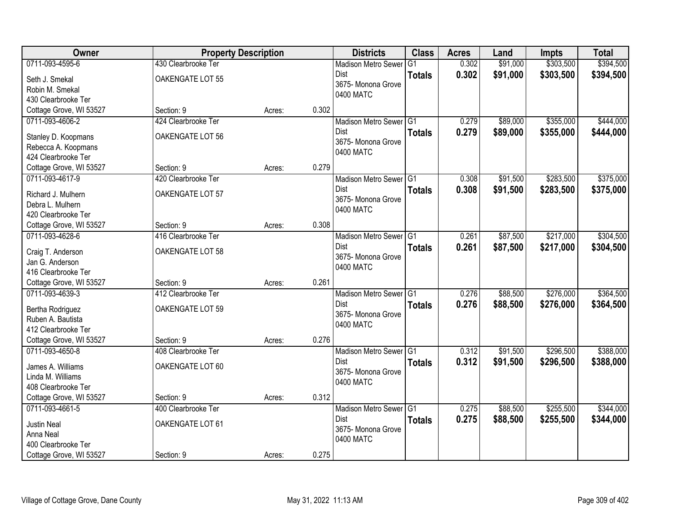| Owner                   | <b>Property Description</b> |        |       | <b>Districts</b>                    | <b>Class</b>  | <b>Acres</b> | Land     | <b>Impts</b> | <b>Total</b> |
|-------------------------|-----------------------------|--------|-------|-------------------------------------|---------------|--------------|----------|--------------|--------------|
| 0711-093-4595-6         | 430 Clearbrooke Ter         |        |       | <b>Madison Metro Sewer</b>          | G1            | 0.302        | \$91,000 | \$303,500    | \$394,500    |
| Seth J. Smekal          | OAKENGATE LOT 55            |        |       | Dist                                | <b>Totals</b> | 0.302        | \$91,000 | \$303,500    | \$394,500    |
| Robin M. Smekal         |                             |        |       | 3675- Monona Grove                  |               |              |          |              |              |
| 430 Clearbrooke Ter     |                             |        |       | 0400 MATC                           |               |              |          |              |              |
| Cottage Grove, WI 53527 | Section: 9                  | Acres: | 0.302 |                                     |               |              |          |              |              |
| 0711-093-4606-2         | 424 Clearbrooke Ter         |        |       | Madison Metro Sewer G1              |               | 0.279        | \$89,000 | \$355,000    | \$444,000    |
| Stanley D. Koopmans     | OAKENGATE LOT 56            |        |       | <b>Dist</b>                         | <b>Totals</b> | 0.279        | \$89,000 | \$355,000    | \$444,000    |
| Rebecca A. Koopmans     |                             |        |       | 3675- Monona Grove                  |               |              |          |              |              |
| 424 Clearbrooke Ter     |                             |        |       | 0400 MATC                           |               |              |          |              |              |
| Cottage Grove, WI 53527 | Section: 9                  | Acres: | 0.279 |                                     |               |              |          |              |              |
| 0711-093-4617-9         | 420 Clearbrooke Ter         |        |       | Madison Metro Sewer G1              |               | 0.308        | \$91,500 | \$283,500    | \$375,000    |
|                         |                             |        |       | <b>Dist</b>                         | <b>Totals</b> | 0.308        | \$91,500 | \$283,500    | \$375,000    |
| Richard J. Mulhern      | OAKENGATE LOT 57            |        |       | 3675-Monona Grove                   |               |              |          |              |              |
| Debra L. Mulhern        |                             |        |       | 0400 MATC                           |               |              |          |              |              |
| 420 Clearbrooke Ter     |                             |        |       |                                     |               |              |          |              |              |
| Cottage Grove, WI 53527 | Section: 9                  | Acres: | 0.308 |                                     |               |              |          |              |              |
| 0711-093-4628-6         | 416 Clearbrooke Ter         |        |       | Madison Metro Sewer G1              |               | 0.261        | \$87,500 | \$217,000    | \$304,500    |
| Craig T. Anderson       | OAKENGATE LOT 58            |        |       | <b>Dist</b>                         | <b>Totals</b> | 0.261        | \$87,500 | \$217,000    | \$304,500    |
| Jan G. Anderson         |                             |        |       | 3675- Monona Grove<br>0400 MATC     |               |              |          |              |              |
| 416 Clearbrooke Ter     |                             |        |       |                                     |               |              |          |              |              |
| Cottage Grove, WI 53527 | Section: 9                  | Acres: | 0.261 |                                     |               |              |          |              |              |
| 0711-093-4639-3         | 412 Clearbrooke Ter         |        |       | Madison Metro Sewer <sup>1</sup> G1 |               | 0.276        | \$88,500 | \$276,000    | \$364,500    |
| Bertha Rodriguez        | OAKENGATE LOT 59            |        |       | <b>Dist</b>                         | <b>Totals</b> | 0.276        | \$88,500 | \$276,000    | \$364,500    |
| Ruben A. Bautista       |                             |        |       | 3675- Monona Grove                  |               |              |          |              |              |
| 412 Clearbrooke Ter     |                             |        |       | 0400 MATC                           |               |              |          |              |              |
| Cottage Grove, WI 53527 | Section: 9                  | Acres: | 0.276 |                                     |               |              |          |              |              |
| 0711-093-4650-8         | 408 Clearbrooke Ter         |        |       | Madison Metro Sewer G1              |               | 0.312        | \$91,500 | \$296,500    | \$388,000    |
| James A. Williams       | OAKENGATE LOT 60            |        |       | Dist                                | <b>Totals</b> | 0.312        | \$91,500 | \$296,500    | \$388,000    |
| Linda M. Williams       |                             |        |       | 3675- Monona Grove                  |               |              |          |              |              |
| 408 Clearbrooke Ter     |                             |        |       | 0400 MATC                           |               |              |          |              |              |
| Cottage Grove, WI 53527 | Section: 9                  | Acres: | 0.312 |                                     |               |              |          |              |              |
| 0711-093-4661-5         | 400 Clearbrooke Ter         |        |       | Madison Metro Sewer G1              |               | 0.275        | \$88,500 | \$255,500    | \$344,000    |
|                         |                             |        |       | <b>Dist</b>                         | <b>Totals</b> | 0.275        | \$88,500 | \$255,500    | \$344,000    |
| <b>Justin Neal</b>      | OAKENGATE LOT 61            |        |       | 3675-Monona Grove                   |               |              |          |              |              |
| Anna Neal               |                             |        |       | 0400 MATC                           |               |              |          |              |              |
| 400 Clearbrooke Ter     |                             |        |       |                                     |               |              |          |              |              |
| Cottage Grove, WI 53527 | Section: 9                  | Acres: | 0.275 |                                     |               |              |          |              |              |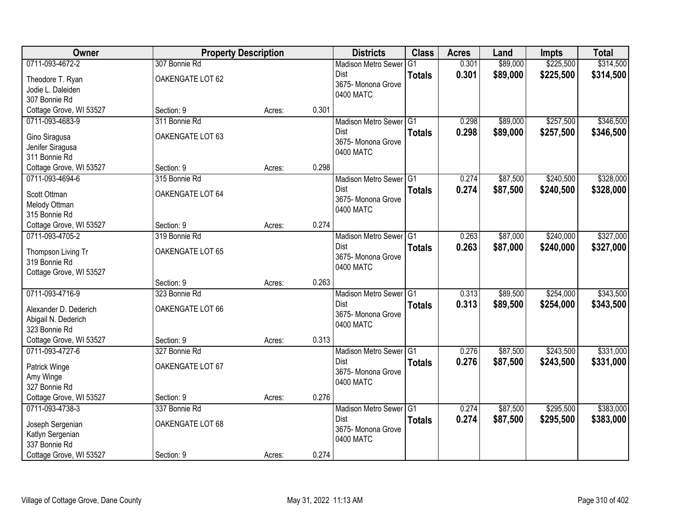| Owner                                      | <b>Property Description</b> |        |       | <b>Districts</b>               | <b>Class</b>  | <b>Acres</b> | Land     | <b>Impts</b> | <b>Total</b> |
|--------------------------------------------|-----------------------------|--------|-------|--------------------------------|---------------|--------------|----------|--------------|--------------|
| 0711-093-4672-2                            | 307 Bonnie Rd               |        |       | <b>Madison Metro Sewer</b>     | G1            | 0.301        | \$89,000 | \$225,500    | \$314,500    |
| Theodore T. Ryan                           | OAKENGATE LOT 62            |        |       | Dist                           | <b>Totals</b> | 0.301        | \$89,000 | \$225,500    | \$314,500    |
| Jodie L. Daleiden                          |                             |        |       | 3675- Monona Grove             |               |              |          |              |              |
| 307 Bonnie Rd                              |                             |        |       | 0400 MATC                      |               |              |          |              |              |
| Cottage Grove, WI 53527                    | Section: 9                  | Acres: | 0.301 |                                |               |              |          |              |              |
| 0711-093-4683-9                            | 311 Bonnie Rd               |        |       | Madison Metro Sewer G1         |               | 0.298        | \$89,000 | \$257,500    | \$346,500    |
| Gino Siragusa                              | OAKENGATE LOT 63            |        |       | <b>Dist</b>                    | <b>Totals</b> | 0.298        | \$89,000 | \$257,500    | \$346,500    |
| Jenifer Siragusa                           |                             |        |       | 3675- Monona Grove             |               |              |          |              |              |
| 311 Bonnie Rd                              |                             |        |       | 0400 MATC                      |               |              |          |              |              |
| Cottage Grove, WI 53527                    | Section: 9                  | Acres: | 0.298 |                                |               |              |          |              |              |
| 0711-093-4694-6                            | 315 Bonnie Rd               |        |       | Madison Metro Sewer G1         |               | 0.274        | \$87,500 | \$240,500    | \$328,000    |
| Scott Ottman                               | OAKENGATE LOT 64            |        |       | Dist                           | <b>Totals</b> | 0.274        | \$87,500 | \$240,500    | \$328,000    |
| Melody Ottman                              |                             |        |       | 3675- Monona Grove             |               |              |          |              |              |
| 315 Bonnie Rd                              |                             |        |       | 0400 MATC                      |               |              |          |              |              |
| Cottage Grove, WI 53527                    | Section: 9                  | Acres: | 0.274 |                                |               |              |          |              |              |
| 0711-093-4705-2                            | 319 Bonnie Rd               |        |       | Madison Metro Sewer G1         |               | 0.263        | \$87,000 | \$240,000    | \$327,000    |
|                                            |                             |        |       | Dist                           | <b>Totals</b> | 0.263        | \$87,000 | \$240,000    | \$327,000    |
| Thompson Living Tr                         | OAKENGATE LOT 65            |        |       | 3675- Monona Grove             |               |              |          |              |              |
| 319 Bonnie Rd<br>Cottage Grove, WI 53527   |                             |        |       | 0400 MATC                      |               |              |          |              |              |
|                                            | Section: 9                  | Acres: | 0.263 |                                |               |              |          |              |              |
| 0711-093-4716-9                            | 323 Bonnie Rd               |        |       | Madison Metro Sewer G1         |               | 0.313        | \$89,500 | \$254,000    | \$343,500    |
|                                            |                             |        |       | Dist                           | <b>Totals</b> | 0.313        | \$89,500 | \$254,000    | \$343,500    |
| Alexander D. Dederich                      | OAKENGATE LOT 66            |        |       | 3675- Monona Grove             |               |              |          |              |              |
| Abigail N. Dederich                        |                             |        |       | 0400 MATC                      |               |              |          |              |              |
| 323 Bonnie Rd                              |                             |        |       |                                |               |              |          |              |              |
| Cottage Grove, WI 53527<br>0711-093-4727-6 | Section: 9                  | Acres: | 0.313 |                                |               |              |          |              |              |
|                                            | 327 Bonnie Rd               |        |       | Madison Metro Sewer G1<br>Dist |               | 0.276        | \$87,500 | \$243,500    | \$331,000    |
| Patrick Winge                              | OAKENGATE LOT 67            |        |       | 3675- Monona Grove             | <b>Totals</b> | 0.276        | \$87,500 | \$243,500    | \$331,000    |
| Amy Winge                                  |                             |        |       | 0400 MATC                      |               |              |          |              |              |
| 327 Bonnie Rd                              |                             |        |       |                                |               |              |          |              |              |
| Cottage Grove, WI 53527                    | Section: 9                  | Acres: | 0.276 |                                |               |              |          |              |              |
| 0711-093-4738-3                            | 337 Bonnie Rd               |        |       | Madison Metro Sewer G1         |               | 0.274        | \$87,500 | \$295,500    | \$383,000    |
| Joseph Sergenian                           | OAKENGATE LOT 68            |        |       | Dist                           | <b>Totals</b> | 0.274        | \$87,500 | \$295,500    | \$383,000    |
| Katlyn Sergenian                           |                             |        |       | 3675- Monona Grove             |               |              |          |              |              |
| 337 Bonnie Rd                              |                             |        |       | 0400 MATC                      |               |              |          |              |              |
| Cottage Grove, WI 53527                    | Section: 9                  | Acres: | 0.274 |                                |               |              |          |              |              |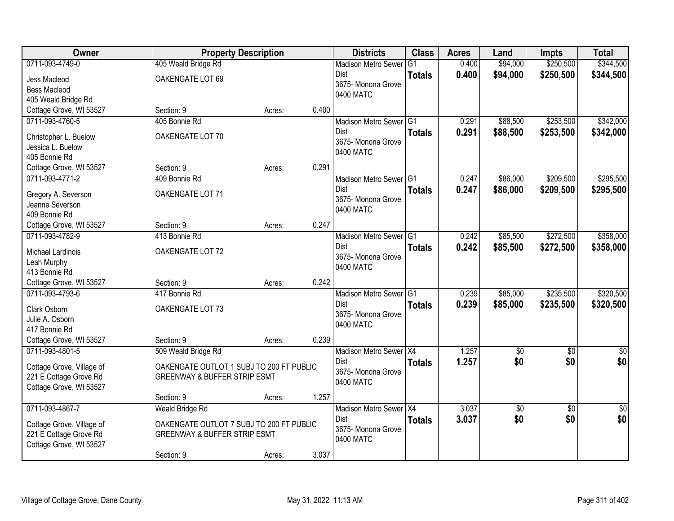| Owner                                      | <b>Property Description</b>              |        |       | <b>Districts</b>                  | <b>Class</b>  | <b>Acres</b> | Land            | Impts           | <b>Total</b>    |
|--------------------------------------------|------------------------------------------|--------|-------|-----------------------------------|---------------|--------------|-----------------|-----------------|-----------------|
| 0711-093-4749-0                            | 405 Weald Bridge Rd                      |        |       | <b>Madison Metro Sewer</b>        | G1            | 0.400        | \$94,000        | \$250,500       | \$344,500       |
| Jess Macleod                               | OAKENGATE LOT 69                         |        |       | Dist                              | <b>Totals</b> | 0.400        | \$94,000        | \$250,500       | \$344,500       |
| <b>Bess Macleod</b>                        |                                          |        |       | 3675- Monona Grove                |               |              |                 |                 |                 |
| 405 Weald Bridge Rd                        |                                          |        |       | 0400 MATC                         |               |              |                 |                 |                 |
| Cottage Grove, WI 53527                    | Section: 9                               | Acres: | 0.400 |                                   |               |              |                 |                 |                 |
| 0711-093-4760-5                            | 405 Bonnie Rd                            |        |       | Madison Metro Sewer G1            |               | 0.291        | \$88,500        | \$253,500       | \$342,000       |
| Christopher L. Buelow                      | OAKENGATE LOT 70                         |        |       | <b>Dist</b>                       | <b>Totals</b> | 0.291        | \$88,500        | \$253,500       | \$342,000       |
| Jessica L. Buelow                          |                                          |        |       | 3675- Monona Grove                |               |              |                 |                 |                 |
| 405 Bonnie Rd                              |                                          |        |       | 0400 MATC                         |               |              |                 |                 |                 |
| Cottage Grove, WI 53527                    | Section: 9                               | Acres: | 0.291 |                                   |               |              |                 |                 |                 |
| 0711-093-4771-2                            | 409 Bonnie Rd                            |        |       | Madison Metro Sewer G1            |               | 0.247        | \$86,000        | \$209,500       | \$295,500       |
|                                            |                                          |        |       | Dist                              | <b>Totals</b> | 0.247        | \$86,000        | \$209,500       | \$295,500       |
| Gregory A. Severson                        | OAKENGATE LOT 71                         |        |       | 3675-Monona Grove                 |               |              |                 |                 |                 |
| Jeanne Severson                            |                                          |        |       | 0400 MATC                         |               |              |                 |                 |                 |
| 409 Bonnie Rd                              |                                          |        | 0.247 |                                   |               |              |                 |                 |                 |
| Cottage Grove, WI 53527<br>0711-093-4782-9 | Section: 9<br>413 Bonnie Rd              | Acres: |       | Madison Metro Sewer G1            |               | 0.242        | \$85,500        | \$272,500       | \$358,000       |
|                                            |                                          |        |       | Dist                              |               | 0.242        |                 |                 |                 |
| Michael Lardinois                          | OAKENGATE LOT 72                         |        |       | 3675- Monona Grove                | <b>Totals</b> |              | \$85,500        | \$272,500       | \$358,000       |
| Leah Murphy                                |                                          |        |       | 0400 MATC                         |               |              |                 |                 |                 |
| 413 Bonnie Rd                              |                                          |        |       |                                   |               |              |                 |                 |                 |
| Cottage Grove, WI 53527                    | Section: 9                               | Acres: | 0.242 |                                   |               |              |                 |                 |                 |
| 0711-093-4793-6                            | 417 Bonnie Rd                            |        |       | Madison Metro Sewer <sup>G1</sup> |               | 0.239        | \$85,000        | \$235,500       | \$320,500       |
| Clark Osborn                               | OAKENGATE LOT 73                         |        |       | <b>Dist</b>                       | <b>Totals</b> | 0.239        | \$85,000        | \$235,500       | \$320,500       |
| Julie A. Osborn                            |                                          |        |       | 3675- Monona Grove                |               |              |                 |                 |                 |
| 417 Bonnie Rd                              |                                          |        |       | 0400 MATC                         |               |              |                 |                 |                 |
| Cottage Grove, WI 53527                    | Section: 9                               | Acres: | 0.239 |                                   |               |              |                 |                 |                 |
| 0711-093-4801-5                            | 509 Weald Bridge Rd                      |        |       | Madison Metro Sewer X4            |               | 1.257        | $\overline{50}$ | $\overline{50}$ | $\overline{50}$ |
| Cottage Grove, Village of                  | OAKENGATE OUTLOT 1 SUBJ TO 200 FT PUBLIC |        |       | Dist                              | <b>Totals</b> | 1.257        | \$0             | \$0             | \$0             |
| 221 E Cottage Grove Rd                     | <b>GREENWAY &amp; BUFFER STRIP ESMT</b>  |        |       | 3675- Monona Grove                |               |              |                 |                 |                 |
| Cottage Grove, WI 53527                    |                                          |        |       | 0400 MATC                         |               |              |                 |                 |                 |
|                                            | Section: 9                               | Acres: | 1.257 |                                   |               |              |                 |                 |                 |
| 0711-093-4867-7                            | <b>Weald Bridge Rd</b>                   |        |       | Madison Metro Sewer X4            |               | 3.037        | $\sqrt{6}$      | $\overline{50}$ | $\overline{50}$ |
|                                            |                                          |        |       | <b>Dist</b>                       | <b>Totals</b> | 3.037        | \$0             | \$0             | \$0             |
| Cottage Grove, Village of                  | OAKENGATE OUTLOT 7 SUBJ TO 200 FT PUBLIC |        |       | 3675- Monona Grove                |               |              |                 |                 |                 |
| 221 E Cottage Grove Rd                     | <b>GREENWAY &amp; BUFFER STRIP ESMT</b>  |        |       | 0400 MATC                         |               |              |                 |                 |                 |
| Cottage Grove, WI 53527                    |                                          |        |       |                                   |               |              |                 |                 |                 |
|                                            | Section: 9                               | Acres: | 3.037 |                                   |               |              |                 |                 |                 |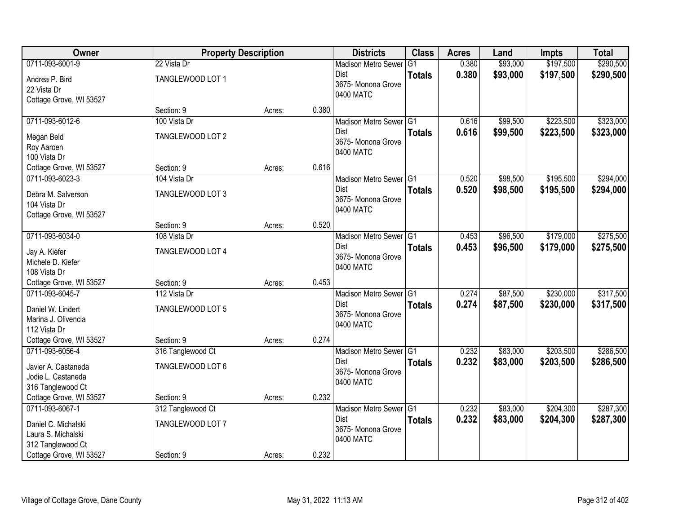| Owner                                        | <b>Property Description</b>     |        |       | <b>Districts</b>                      | <b>Class</b>  | <b>Acres</b> | Land     | <b>Impts</b> | <b>Total</b> |
|----------------------------------------------|---------------------------------|--------|-------|---------------------------------------|---------------|--------------|----------|--------------|--------------|
| 0711-093-6001-9                              | 22 Vista Dr                     |        |       | <b>Madison Metro Sewer</b>            | G1            | 0.380        | \$93,000 | \$197,500    | \$290,500    |
| Andrea P. Bird                               | TANGLEWOOD LOT 1                |        |       | Dist                                  | <b>Totals</b> | 0.380        | \$93,000 | \$197,500    | \$290,500    |
| 22 Vista Dr                                  |                                 |        |       | 3675- Monona Grove                    |               |              |          |              |              |
| Cottage Grove, WI 53527                      |                                 |        |       | 0400 MATC                             |               |              |          |              |              |
|                                              | Section: 9                      | Acres: | 0.380 |                                       |               |              |          |              |              |
| 0711-093-6012-6                              | 100 Vista Dr                    |        |       | Madison Metro Sewer G1                |               | 0.616        | \$99,500 | \$223,500    | \$323,000    |
| Megan Beld                                   | TANGLEWOOD LOT 2                |        |       | Dist                                  | <b>Totals</b> | 0.616        | \$99,500 | \$223,500    | \$323,000    |
| Roy Aaroen                                   |                                 |        |       | 3675- Monona Grove<br>0400 MATC       |               |              |          |              |              |
| 100 Vista Dr                                 |                                 |        |       |                                       |               |              |          |              |              |
| Cottage Grove, WI 53527                      | Section: 9                      | Acres: | 0.616 |                                       |               |              |          |              |              |
| 0711-093-6023-3                              | 104 Vista Dr                    |        |       | Madison Metro Sewer G1                |               | 0.520        | \$98,500 | \$195,500    | \$294,000    |
| Debra M. Salverson                           | TANGLEWOOD LOT 3                |        |       | Dist<br>3675- Monona Grove            | <b>Totals</b> | 0.520        | \$98,500 | \$195,500    | \$294,000    |
| 104 Vista Dr                                 |                                 |        |       | 0400 MATC                             |               |              |          |              |              |
| Cottage Grove, WI 53527                      |                                 |        |       |                                       |               |              |          |              |              |
|                                              | Section: 9                      | Acres: | 0.520 |                                       |               |              |          |              |              |
| 0711-093-6034-0                              | 108 Vista Dr                    |        |       | Madison Metro Sewer G1                |               | 0.453        | \$96,500 | \$179,000    | \$275,500    |
| Jay A. Kiefer                                | TANGLEWOOD LOT 4                |        |       | Dist<br>3675- Monona Grove            | <b>Totals</b> | 0.453        | \$96,500 | \$179,000    | \$275,500    |
| Michele D. Kiefer                            |                                 |        |       | 0400 MATC                             |               |              |          |              |              |
| 108 Vista Dr                                 |                                 |        |       |                                       |               |              |          |              |              |
| Cottage Grove, WI 53527<br>0711-093-6045-7   | Section: 9<br>112 Vista Dr      | Acres: | 0.453 |                                       |               | 0.274        | \$87,500 | \$230,000    | \$317,500    |
|                                              |                                 |        |       | Madison Metro Sewer G1<br><b>Dist</b> |               | 0.274        | \$87,500 | \$230,000    | \$317,500    |
| Daniel W. Lindert                            | TANGLEWOOD LOT 5                |        |       | 3675- Monona Grove                    | <b>Totals</b> |              |          |              |              |
| Marina J. Olivencia                          |                                 |        |       | 0400 MATC                             |               |              |          |              |              |
| 112 Vista Dr                                 |                                 |        | 0.274 |                                       |               |              |          |              |              |
| Cottage Grove, WI 53527<br>0711-093-6056-4   | Section: 9<br>316 Tanglewood Ct | Acres: |       | Madison Metro Sewer G1                |               | 0.232        | \$83,000 | \$203,500    | \$286,500    |
|                                              |                                 |        |       | Dist                                  | <b>Totals</b> | 0.232        | \$83,000 | \$203,500    | \$286,500    |
| Javier A. Castaneda                          | TANGLEWOOD LOT 6                |        |       | 3675- Monona Grove                    |               |              |          |              |              |
| Jodie L. Castaneda                           |                                 |        |       | 0400 MATC                             |               |              |          |              |              |
| 316 Tanglewood Ct<br>Cottage Grove, WI 53527 | Section: 9                      | Acres: | 0.232 |                                       |               |              |          |              |              |
| 0711-093-6067-1                              | 312 Tanglewood Ct               |        |       | Madison Metro Sewer G1                |               | 0.232        | \$83,000 | \$204,300    | \$287,300    |
|                                              |                                 |        |       | Dist                                  | <b>Totals</b> | 0.232        | \$83,000 | \$204,300    | \$287,300    |
| Daniel C. Michalski                          | TANGLEWOOD LOT 7                |        |       | 3675- Monona Grove                    |               |              |          |              |              |
| Laura S. Michalski<br>312 Tanglewood Ct      |                                 |        |       | 0400 MATC                             |               |              |          |              |              |
| Cottage Grove, WI 53527                      | Section: 9                      | Acres: | 0.232 |                                       |               |              |          |              |              |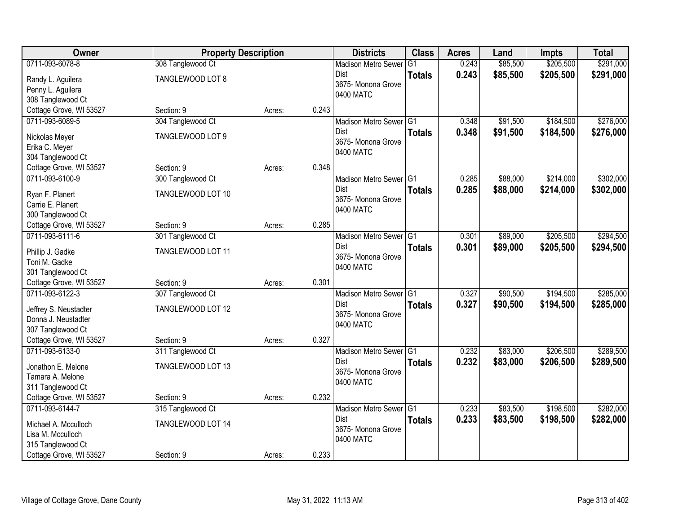| Owner                   | <b>Property Description</b> |        |       | <b>Districts</b>                  | <b>Class</b>  | <b>Acres</b> | Land     | Impts     | <b>Total</b> |
|-------------------------|-----------------------------|--------|-------|-----------------------------------|---------------|--------------|----------|-----------|--------------|
| 0711-093-6078-8         | 308 Tanglewood Ct           |        |       | <b>Madison Metro Sewer</b>        | G1            | 0.243        | \$85,500 | \$205,500 | \$291,000    |
| Randy L. Aguilera       | TANGLEWOOD LOT 8            |        |       | Dist                              | <b>Totals</b> | 0.243        | \$85,500 | \$205,500 | \$291,000    |
| Penny L. Aguilera       |                             |        |       | 3675- Monona Grove                |               |              |          |           |              |
| 308 Tanglewood Ct       |                             |        |       | 0400 MATC                         |               |              |          |           |              |
| Cottage Grove, WI 53527 | Section: 9                  | Acres: | 0.243 |                                   |               |              |          |           |              |
| 0711-093-6089-5         | 304 Tanglewood Ct           |        |       | Madison Metro Sewer G1            |               | 0.348        | \$91,500 | \$184,500 | \$276,000    |
| Nickolas Meyer          | TANGLEWOOD LOT 9            |        |       | Dist                              | <b>Totals</b> | 0.348        | \$91,500 | \$184,500 | \$276,000    |
| Erika C. Meyer          |                             |        |       | 3675- Monona Grove                |               |              |          |           |              |
| 304 Tanglewood Ct       |                             |        |       | 0400 MATC                         |               |              |          |           |              |
| Cottage Grove, WI 53527 | Section: 9                  | Acres: | 0.348 |                                   |               |              |          |           |              |
| 0711-093-6100-9         | 300 Tanglewood Ct           |        |       | Madison Metro Sewer G1            |               | 0.285        | \$88,000 | \$214,000 | \$302,000    |
| Ryan F. Planert         | TANGLEWOOD LOT 10           |        |       | Dist                              | <b>Totals</b> | 0.285        | \$88,000 | \$214,000 | \$302,000    |
| Carrie E. Planert       |                             |        |       | 3675- Monona Grove                |               |              |          |           |              |
| 300 Tanglewood Ct       |                             |        |       | 0400 MATC                         |               |              |          |           |              |
| Cottage Grove, WI 53527 | Section: 9                  | Acres: | 0.285 |                                   |               |              |          |           |              |
| 0711-093-6111-6         | 301 Tanglewood Ct           |        |       | Madison Metro Sewer G1            |               | 0.301        | \$89,000 | \$205,500 | \$294,500    |
|                         |                             |        |       | Dist                              | <b>Totals</b> | 0.301        | \$89,000 | \$205,500 | \$294,500    |
| Phillip J. Gadke        | TANGLEWOOD LOT 11           |        |       | 3675- Monona Grove                |               |              |          |           |              |
| Toni M. Gadke           |                             |        |       | 0400 MATC                         |               |              |          |           |              |
| 301 Tanglewood Ct       |                             |        |       |                                   |               |              |          |           |              |
| Cottage Grove, WI 53527 | Section: 9                  | Acres: | 0.301 |                                   |               |              |          |           |              |
| 0711-093-6122-3         | 307 Tanglewood Ct           |        |       | <b>Madison Metro Sewer</b>        | TG1           | 0.327        | \$90,500 | \$194,500 | \$285,000    |
| Jeffrey S. Neustadter   | TANGLEWOOD LOT 12           |        |       | <b>Dist</b><br>3675- Monona Grove | <b>Totals</b> | 0.327        | \$90,500 | \$194,500 | \$285,000    |
| Donna J. Neustadter     |                             |        |       | 0400 MATC                         |               |              |          |           |              |
| 307 Tanglewood Ct       |                             |        |       |                                   |               |              |          |           |              |
| Cottage Grove, WI 53527 | Section: 9                  | Acres: | 0.327 |                                   |               |              |          |           |              |
| 0711-093-6133-0         | 311 Tanglewood Ct           |        |       | Madison Metro Sewer G1            |               | 0.232        | \$83,000 | \$206,500 | \$289,500    |
| Jonathon E. Melone      | TANGLEWOOD LOT 13           |        |       | <b>Dist</b>                       | <b>Totals</b> | 0.232        | \$83,000 | \$206,500 | \$289,500    |
| Tamara A. Melone        |                             |        |       | 3675- Monona Grove                |               |              |          |           |              |
| 311 Tanglewood Ct       |                             |        |       | 0400 MATC                         |               |              |          |           |              |
| Cottage Grove, WI 53527 | Section: 9                  | Acres: | 0.232 |                                   |               |              |          |           |              |
| 0711-093-6144-7         | 315 Tanglewood Ct           |        |       | Madison Metro Sewer G1            |               | 0.233        | \$83,500 | \$198,500 | \$282,000    |
| Michael A. Mcculloch    | TANGLEWOOD LOT 14           |        |       | Dist                              | <b>Totals</b> | 0.233        | \$83,500 | \$198,500 | \$282,000    |
| Lisa M. Mcculloch       |                             |        |       | 3675- Monona Grove                |               |              |          |           |              |
| 315 Tanglewood Ct       |                             |        |       | 0400 MATC                         |               |              |          |           |              |
| Cottage Grove, WI 53527 | Section: 9                  | Acres: | 0.233 |                                   |               |              |          |           |              |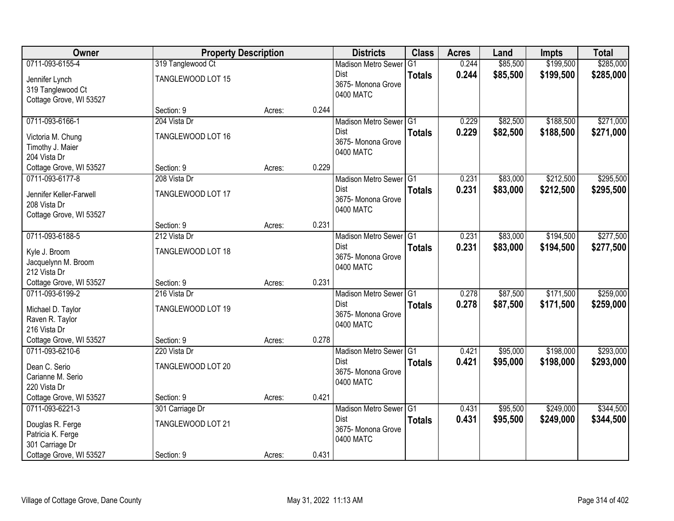| Owner                   | <b>Property Description</b> |        |       | <b>Districts</b>                | <b>Class</b>  | <b>Acres</b> | Land     | <b>Impts</b> | <b>Total</b> |
|-------------------------|-----------------------------|--------|-------|---------------------------------|---------------|--------------|----------|--------------|--------------|
| 0711-093-6155-4         | 319 Tanglewood Ct           |        |       | <b>Madison Metro Sewer</b>      | G1            | 0.244        | \$85,500 | \$199,500    | \$285,000    |
| Jennifer Lynch          | TANGLEWOOD LOT 15           |        |       | Dist                            | <b>Totals</b> | 0.244        | \$85,500 | \$199,500    | \$285,000    |
| 319 Tanglewood Ct       |                             |        |       | 3675-Monona Grove<br>0400 MATC  |               |              |          |              |              |
| Cottage Grove, WI 53527 |                             |        |       |                                 |               |              |          |              |              |
|                         | Section: 9                  | Acres: | 0.244 |                                 |               |              |          |              |              |
| 0711-093-6166-1         | 204 Vista Dr                |        |       | Madison Metro Sewer G1          |               | 0.229        | \$82,500 | \$188,500    | \$271,000    |
| Victoria M. Chung       | TANGLEWOOD LOT 16           |        |       | Dist                            | <b>Totals</b> | 0.229        | \$82,500 | \$188,500    | \$271,000    |
| Timothy J. Maier        |                             |        |       | 3675- Monona Grove<br>0400 MATC |               |              |          |              |              |
| 204 Vista Dr            |                             |        |       |                                 |               |              |          |              |              |
| Cottage Grove, WI 53527 | Section: 9                  | Acres: | 0.229 |                                 |               |              |          |              |              |
| 0711-093-6177-8         | 208 Vista Dr                |        |       | Madison Metro Sewer G1          |               | 0.231        | \$83,000 | \$212,500    | \$295,500    |
| Jennifer Keller-Farwell | TANGLEWOOD LOT 17           |        |       | Dist                            | <b>Totals</b> | 0.231        | \$83,000 | \$212,500    | \$295,500    |
| 208 Vista Dr            |                             |        |       | 3675- Monona Grove<br>0400 MATC |               |              |          |              |              |
| Cottage Grove, WI 53527 |                             |        |       |                                 |               |              |          |              |              |
|                         | Section: 9                  | Acres: | 0.231 |                                 |               |              |          |              |              |
| 0711-093-6188-5         | 212 Vista Dr                |        |       | Madison Metro Sewer G1          |               | 0.231        | \$83,000 | \$194,500    | \$277,500    |
| Kyle J. Broom           | TANGLEWOOD LOT 18           |        |       | Dist                            | <b>Totals</b> | 0.231        | \$83,000 | \$194,500    | \$277,500    |
| Jacquelynn M. Broom     |                             |        |       | 3675- Monona Grove<br>0400 MATC |               |              |          |              |              |
| 212 Vista Dr            |                             |        |       |                                 |               |              |          |              |              |
| Cottage Grove, WI 53527 | Section: 9                  | Acres: | 0.231 |                                 |               |              |          |              |              |
| 0711-093-6199-2         | 216 Vista Dr                |        |       | Madison Metro Sewer G1          |               | 0.278        | \$87,500 | \$171,500    | \$259,000    |
| Michael D. Taylor       | TANGLEWOOD LOT 19           |        |       | Dist                            | <b>Totals</b> | 0.278        | \$87,500 | \$171,500    | \$259,000    |
| Raven R. Taylor         |                             |        |       | 3675- Monona Grove<br>0400 MATC |               |              |          |              |              |
| 216 Vista Dr            |                             |        |       |                                 |               |              |          |              |              |
| Cottage Grove, WI 53527 | Section: 9                  | Acres: | 0.278 |                                 |               |              |          |              |              |
| 0711-093-6210-6         | 220 Vista Dr                |        |       | Madison Metro Sewer G1          |               | 0.421        | \$95,000 | \$198,000    | \$293,000    |
| Dean C. Serio           | TANGLEWOOD LOT 20           |        |       | <b>Dist</b>                     | <b>Totals</b> | 0.421        | \$95,000 | \$198,000    | \$293,000    |
| Carianne M. Serio       |                             |        |       | 3675- Monona Grove<br>0400 MATC |               |              |          |              |              |
| 220 Vista Dr            |                             |        |       |                                 |               |              |          |              |              |
| Cottage Grove, WI 53527 | Section: 9                  | Acres: | 0.421 |                                 |               |              |          |              |              |
| 0711-093-6221-3         | 301 Carriage Dr             |        |       | Madison Metro Sewer G1          |               | 0.431        | \$95,500 | \$249,000    | \$344,500    |
| Douglas R. Ferge        | TANGLEWOOD LOT 21           |        |       | Dist                            | <b>Totals</b> | 0.431        | \$95,500 | \$249,000    | \$344,500    |
| Patricia K. Ferge       |                             |        |       | 3675- Monona Grove<br>0400 MATC |               |              |          |              |              |
| 301 Carriage Dr         |                             |        |       |                                 |               |              |          |              |              |
| Cottage Grove, WI 53527 | Section: 9                  | Acres: | 0.431 |                                 |               |              |          |              |              |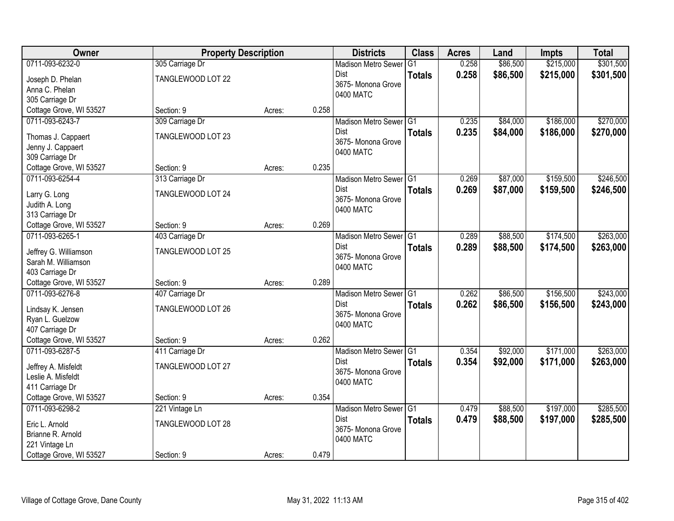| Owner                                      | <b>Property Description</b> |        |       | <b>Districts</b>                                 | <b>Class</b>    | <b>Acres</b> | Land     | Impts     | <b>Total</b> |
|--------------------------------------------|-----------------------------|--------|-------|--------------------------------------------------|-----------------|--------------|----------|-----------|--------------|
| 0711-093-6232-0                            | 305 Carriage Dr             |        |       | <b>Madison Metro Sewer</b>                       | $\overline{G1}$ | 0.258        | \$86,500 | \$215,000 | \$301,500    |
| Joseph D. Phelan                           | TANGLEWOOD LOT 22           |        |       | Dist                                             | <b>Totals</b>   | 0.258        | \$86,500 | \$215,000 | \$301,500    |
| Anna C. Phelan                             |                             |        |       | 3675- Monona Grove                               |                 |              |          |           |              |
| 305 Carriage Dr                            |                             |        |       | 0400 MATC                                        |                 |              |          |           |              |
| Cottage Grove, WI 53527                    | Section: 9                  | Acres: | 0.258 |                                                  |                 |              |          |           |              |
| 0711-093-6243-7                            | 309 Carriage Dr             |        |       | Madison Metro Sewer G1                           |                 | 0.235        | \$84,000 | \$186,000 | \$270,000    |
| Thomas J. Cappaert                         | TANGLEWOOD LOT 23           |        |       | Dist                                             | <b>Totals</b>   | 0.235        | \$84,000 | \$186,000 | \$270,000    |
| Jenny J. Cappaert                          |                             |        |       | 3675- Monona Grove                               |                 |              |          |           |              |
| 309 Carriage Dr                            |                             |        |       | 0400 MATC                                        |                 |              |          |           |              |
| Cottage Grove, WI 53527                    | Section: 9                  | Acres: | 0.235 |                                                  |                 |              |          |           |              |
| 0711-093-6254-4                            | 313 Carriage Dr             |        |       | Madison Metro Sewer G1                           |                 | 0.269        | \$87,000 | \$159,500 | \$246,500    |
|                                            |                             |        |       | Dist                                             | <b>Totals</b>   | 0.269        | \$87,000 | \$159,500 | \$246,500    |
| Larry G. Long                              | TANGLEWOOD LOT 24           |        |       | 3675- Monona Grove                               |                 |              |          |           |              |
| Judith A. Long<br>313 Carriage Dr          |                             |        |       | 0400 MATC                                        |                 |              |          |           |              |
| Cottage Grove, WI 53527                    | Section: 9                  | Acres: | 0.269 |                                                  |                 |              |          |           |              |
| 0711-093-6265-1                            | 403 Carriage Dr             |        |       | Madison Metro Sewer G1                           |                 | 0.289        | \$88,500 | \$174,500 | \$263,000    |
|                                            |                             |        |       | Dist                                             | <b>Totals</b>   | 0.289        | \$88,500 | \$174,500 | \$263,000    |
| Jeffrey G. Williamson                      | TANGLEWOOD LOT 25           |        |       | 3675- Monona Grove                               |                 |              |          |           |              |
| Sarah M. Williamson                        |                             |        |       | 0400 MATC                                        |                 |              |          |           |              |
| 403 Carriage Dr                            |                             |        |       |                                                  |                 |              |          |           |              |
| Cottage Grove, WI 53527<br>0711-093-6276-8 | Section: 9                  | Acres: | 0.289 |                                                  |                 | 0.262        | \$86,500 | \$156,500 | \$243,000    |
|                                            | 407 Carriage Dr             |        |       | Madison Metro Sewer <sup>G1</sup><br><b>Dist</b> |                 |              |          |           |              |
| Lindsay K. Jensen                          | TANGLEWOOD LOT 26           |        |       | 3675- Monona Grove                               | <b>Totals</b>   | 0.262        | \$86,500 | \$156,500 | \$243,000    |
| Ryan L. Guelzow                            |                             |        |       | 0400 MATC                                        |                 |              |          |           |              |
| 407 Carriage Dr                            |                             |        |       |                                                  |                 |              |          |           |              |
| Cottage Grove, WI 53527                    | Section: 9                  | Acres: | 0.262 |                                                  |                 |              |          |           |              |
| 0711-093-6287-5                            | 411 Carriage Dr             |        |       | Madison Metro Sewer G1                           |                 | 0.354        | \$92,000 | \$171,000 | \$263,000    |
| Jeffrey A. Misfeldt                        | TANGLEWOOD LOT 27           |        |       | <b>Dist</b>                                      | <b>Totals</b>   | 0.354        | \$92,000 | \$171,000 | \$263,000    |
| Leslie A. Misfeldt                         |                             |        |       | 3675- Monona Grove                               |                 |              |          |           |              |
| 411 Carriage Dr                            |                             |        |       | 0400 MATC                                        |                 |              |          |           |              |
| Cottage Grove, WI 53527                    | Section: 9                  | Acres: | 0.354 |                                                  |                 |              |          |           |              |
| 0711-093-6298-2                            | 221 Vintage Ln              |        |       | Madison Metro Sewer G1                           |                 | 0.479        | \$88,500 | \$197,000 | \$285,500    |
| Eric L. Arnold                             | TANGLEWOOD LOT 28           |        |       | Dist                                             | <b>Totals</b>   | 0.479        | \$88,500 | \$197,000 | \$285,500    |
| Brianne R. Arnold                          |                             |        |       | 3675- Monona Grove                               |                 |              |          |           |              |
| 221 Vintage Ln                             |                             |        |       | 0400 MATC                                        |                 |              |          |           |              |
| Cottage Grove, WI 53527                    | Section: 9                  | Acres: | 0.479 |                                                  |                 |              |          |           |              |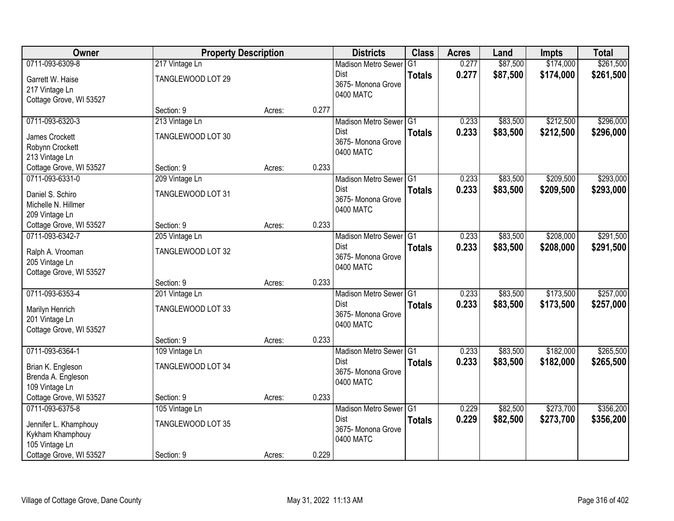| <b>Owner</b>            | <b>Property Description</b> |        |       | <b>Districts</b>           | <b>Class</b>  | <b>Acres</b> | Land     | <b>Impts</b> | <b>Total</b> |
|-------------------------|-----------------------------|--------|-------|----------------------------|---------------|--------------|----------|--------------|--------------|
| 0711-093-6309-8         | 217 Vintage Ln              |        |       | <b>Madison Metro Sewer</b> | G1            | 0.277        | \$87,500 | \$174,000    | \$261,500    |
| Garrett W. Haise        | TANGLEWOOD LOT 29           |        |       | Dist                       | <b>Totals</b> | 0.277        | \$87,500 | \$174,000    | \$261,500    |
| 217 Vintage Ln          |                             |        |       | 3675- Monona Grove         |               |              |          |              |              |
| Cottage Grove, WI 53527 |                             |        |       | 0400 MATC                  |               |              |          |              |              |
|                         | Section: 9                  | Acres: | 0.277 |                            |               |              |          |              |              |
| 0711-093-6320-3         | 213 Vintage Ln              |        |       | Madison Metro Sewer G1     |               | 0.233        | \$83,500 | \$212,500    | \$296,000    |
| James Crockett          | TANGLEWOOD LOT 30           |        |       | Dist                       | <b>Totals</b> | 0.233        | \$83,500 | \$212,500    | \$296,000    |
| Robynn Crockett         |                             |        |       | 3675- Monona Grove         |               |              |          |              |              |
| 213 Vintage Ln          |                             |        |       | 0400 MATC                  |               |              |          |              |              |
| Cottage Grove, WI 53527 | Section: 9                  | Acres: | 0.233 |                            |               |              |          |              |              |
| 0711-093-6331-0         | 209 Vintage Ln              |        |       | Madison Metro Sewer G1     |               | 0.233        | \$83,500 | \$209,500    | \$293,000    |
| Daniel S. Schiro        | TANGLEWOOD LOT 31           |        |       | Dist                       | <b>Totals</b> | 0.233        | \$83,500 | \$209,500    | \$293,000    |
| Michelle N. Hillmer     |                             |        |       | 3675- Monona Grove         |               |              |          |              |              |
| 209 Vintage Ln          |                             |        |       | 0400 MATC                  |               |              |          |              |              |
| Cottage Grove, WI 53527 | Section: 9                  | Acres: | 0.233 |                            |               |              |          |              |              |
| 0711-093-6342-7         | 205 Vintage Ln              |        |       | Madison Metro Sewer G1     |               | 0.233        | \$83,500 | \$208,000    | \$291,500    |
| Ralph A. Vrooman        | TANGLEWOOD LOT 32           |        |       | Dist                       | <b>Totals</b> | 0.233        | \$83,500 | \$208,000    | \$291,500    |
| 205 Vintage Ln          |                             |        |       | 3675- Monona Grove         |               |              |          |              |              |
| Cottage Grove, WI 53527 |                             |        |       | 0400 MATC                  |               |              |          |              |              |
|                         | Section: 9                  | Acres: | 0.233 |                            |               |              |          |              |              |
| 0711-093-6353-4         | 201 Vintage Ln              |        |       | <b>Madison Metro Sewer</b> | TG1           | 0.233        | \$83,500 | \$173,500    | \$257,000    |
| Marilyn Henrich         | TANGLEWOOD LOT 33           |        |       | <b>Dist</b>                | <b>Totals</b> | 0.233        | \$83,500 | \$173,500    | \$257,000    |
| 201 Vintage Ln          |                             |        |       | 3675- Monona Grove         |               |              |          |              |              |
| Cottage Grove, WI 53527 |                             |        |       | 0400 MATC                  |               |              |          |              |              |
|                         | Section: 9                  | Acres: | 0.233 |                            |               |              |          |              |              |
| 0711-093-6364-1         | 109 Vintage Ln              |        |       | Madison Metro Sewer G1     |               | 0.233        | \$83,500 | \$182,000    | \$265,500    |
| Brian K. Engleson       | TANGLEWOOD LOT 34           |        |       | Dist                       | <b>Totals</b> | 0.233        | \$83,500 | \$182,000    | \$265,500    |
| Brenda A. Engleson      |                             |        |       | 3675- Monona Grove         |               |              |          |              |              |
| 109 Vintage Ln          |                             |        |       | 0400 MATC                  |               |              |          |              |              |
| Cottage Grove, WI 53527 | Section: 9                  | Acres: | 0.233 |                            |               |              |          |              |              |
| 0711-093-6375-8         | 105 Vintage Ln              |        |       | Madison Metro Sewer G1     |               | 0.229        | \$82,500 | \$273,700    | \$356,200    |
| Jennifer L. Khamphouy   | TANGLEWOOD LOT 35           |        |       | <b>Dist</b>                | <b>Totals</b> | 0.229        | \$82,500 | \$273,700    | \$356,200    |
| Kykham Khamphouy        |                             |        |       | 3675- Monona Grove         |               |              |          |              |              |
| 105 Vintage Ln          |                             |        |       | 0400 MATC                  |               |              |          |              |              |
| Cottage Grove, WI 53527 | Section: 9                  | Acres: | 0.229 |                            |               |              |          |              |              |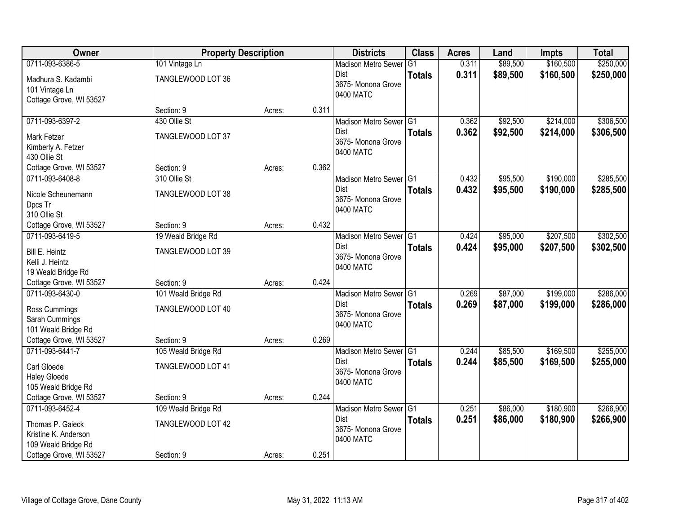| Owner                   | <b>Property Description</b> |        |       | <b>Districts</b>                    | <b>Class</b>  | <b>Acres</b> | Land     | <b>Impts</b> | <b>Total</b> |
|-------------------------|-----------------------------|--------|-------|-------------------------------------|---------------|--------------|----------|--------------|--------------|
| 0711-093-6386-5         | 101 Vintage Ln              |        |       | <b>Madison Metro Sewer</b>          | G1            | 0.311        | \$89,500 | \$160,500    | \$250,000    |
| Madhura S. Kadambi      | TANGLEWOOD LOT 36           |        |       | Dist                                | <b>Totals</b> | 0.311        | \$89,500 | \$160,500    | \$250,000    |
| 101 Vintage Ln          |                             |        |       | 3675- Monona Grove<br>0400 MATC     |               |              |          |              |              |
| Cottage Grove, WI 53527 |                             |        |       |                                     |               |              |          |              |              |
|                         | Section: 9                  | Acres: | 0.311 |                                     |               |              |          |              |              |
| 0711-093-6397-2         | 430 Ollie St                |        |       | Madison Metro Sewer G1              |               | 0.362        | \$92,500 | \$214,000    | \$306,500    |
| Mark Fetzer             | TANGLEWOOD LOT 37           |        |       | Dist                                | <b>Totals</b> | 0.362        | \$92,500 | \$214,000    | \$306,500    |
| Kimberly A. Fetzer      |                             |        |       | 3675- Monona Grove<br>0400 MATC     |               |              |          |              |              |
| 430 Ollie St            |                             |        |       |                                     |               |              |          |              |              |
| Cottage Grove, WI 53527 | Section: 9                  | Acres: | 0.362 |                                     |               |              |          |              |              |
| 0711-093-6408-8         | 310 Ollie St                |        |       | Madison Metro Sewer G1              |               | 0.432        | \$95,500 | \$190,000    | \$285,500    |
| Nicole Scheunemann      | TANGLEWOOD LOT 38           |        |       | Dist                                | <b>Totals</b> | 0.432        | \$95,500 | \$190,000    | \$285,500    |
| Dpcs Tr                 |                             |        |       | 3675- Monona Grove<br>0400 MATC     |               |              |          |              |              |
| 310 Ollie St            |                             |        |       |                                     |               |              |          |              |              |
| Cottage Grove, WI 53527 | Section: 9                  | Acres: | 0.432 |                                     |               |              |          |              |              |
| 0711-093-6419-5         | 19 Weald Bridge Rd          |        |       | Madison Metro Sewer G1              |               | 0.424        | \$95,000 | \$207,500    | \$302,500    |
| Bill E. Heintz          | TANGLEWOOD LOT 39           |        |       | Dist                                | <b>Totals</b> | 0.424        | \$95,000 | \$207,500    | \$302,500    |
| Kelli J. Heintz         |                             |        |       | 3675- Monona Grove<br>0400 MATC     |               |              |          |              |              |
| 19 Weald Bridge Rd      |                             |        |       |                                     |               |              |          |              |              |
| Cottage Grove, WI 53527 | Section: 9                  | Acres: | 0.424 |                                     |               |              |          |              |              |
| 0711-093-6430-0         | 101 Weald Bridge Rd         |        |       | Madison Metro Sewer G1              |               | 0.269        | \$87,000 | \$199,000    | \$286,000    |
| Ross Cummings           | TANGLEWOOD LOT 40           |        |       | <b>Dist</b>                         | <b>Totals</b> | 0.269        | \$87,000 | \$199,000    | \$286,000    |
| Sarah Cummings          |                             |        |       | 3675- Monona Grove<br>0400 MATC     |               |              |          |              |              |
| 101 Weald Bridge Rd     |                             |        |       |                                     |               |              |          |              |              |
| Cottage Grove, WI 53527 | Section: 9                  | Acres: | 0.269 |                                     |               |              |          |              |              |
| 0711-093-6441-7         | 105 Weald Bridge Rd         |        |       | Madison Metro Sewer <sup>1</sup> G1 |               | 0.244        | \$85,500 | \$169,500    | \$255,000    |
| Carl Gloede             | TANGLEWOOD LOT 41           |        |       | Dist                                | <b>Totals</b> | 0.244        | \$85,500 | \$169,500    | \$255,000    |
| <b>Haley Gloede</b>     |                             |        |       | 3675- Monona Grove<br>0400 MATC     |               |              |          |              |              |
| 105 Weald Bridge Rd     |                             |        |       |                                     |               |              |          |              |              |
| Cottage Grove, WI 53527 | Section: 9                  | Acres: | 0.244 |                                     |               |              |          |              |              |
| 0711-093-6452-4         | 109 Weald Bridge Rd         |        |       | Madison Metro Sewer G1              |               | 0.251        | \$86,000 | \$180,900    | \$266,900    |
| Thomas P. Gaieck        | TANGLEWOOD LOT 42           |        |       | <b>Dist</b>                         | <b>Totals</b> | 0.251        | \$86,000 | \$180,900    | \$266,900    |
| Kristine K. Anderson    |                             |        |       | 3675- Monona Grove<br>0400 MATC     |               |              |          |              |              |
| 109 Weald Bridge Rd     |                             |        |       |                                     |               |              |          |              |              |
| Cottage Grove, WI 53527 | Section: 9                  | Acres: | 0.251 |                                     |               |              |          |              |              |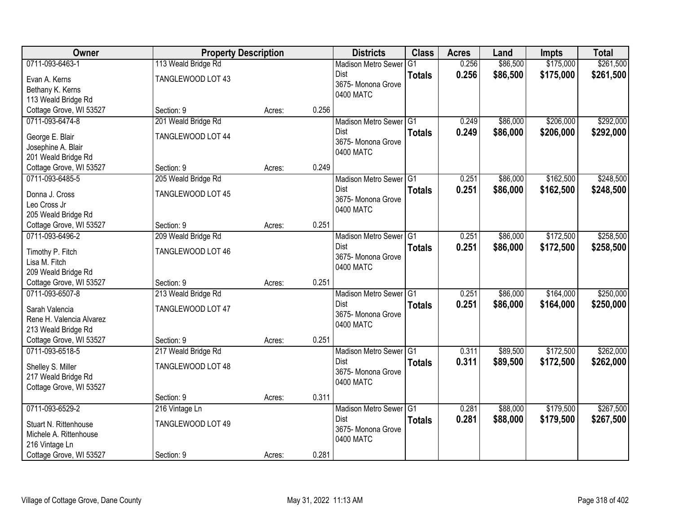| <b>Owner</b>                      | <b>Property Description</b> |        |       | <b>Districts</b>                | <b>Class</b>   | <b>Acres</b> | Land     | Impts     | <b>Total</b> |
|-----------------------------------|-----------------------------|--------|-------|---------------------------------|----------------|--------------|----------|-----------|--------------|
| 0711-093-6463-1                   | 113 Weald Bridge Rd         |        |       | <b>Madison Metro Sewer</b>      | G <sub>1</sub> | 0.256        | \$86,500 | \$175,000 | \$261,500    |
| Evan A. Kerns                     | TANGLEWOOD LOT 43           |        |       | Dist                            | <b>Totals</b>  | 0.256        | \$86,500 | \$175,000 | \$261,500    |
| Bethany K. Kerns                  |                             |        |       | 3675- Monona Grove              |                |              |          |           |              |
| 113 Weald Bridge Rd               |                             |        |       | 0400 MATC                       |                |              |          |           |              |
| Cottage Grove, WI 53527           | Section: 9                  | Acres: | 0.256 |                                 |                |              |          |           |              |
| 0711-093-6474-8                   | 201 Weald Bridge Rd         |        |       | Madison Metro Sewer G1          |                | 0.249        | \$86,000 | \$206,000 | \$292,000    |
| George E. Blair                   | TANGLEWOOD LOT 44           |        |       | Dist                            | <b>Totals</b>  | 0.249        | \$86,000 | \$206,000 | \$292,000    |
| Josephine A. Blair                |                             |        |       | 3675- Monona Grove              |                |              |          |           |              |
| 201 Weald Bridge Rd               |                             |        |       | 0400 MATC                       |                |              |          |           |              |
| Cottage Grove, WI 53527           | Section: 9                  | Acres: | 0.249 |                                 |                |              |          |           |              |
| 0711-093-6485-5                   | 205 Weald Bridge Rd         |        |       | Madison Metro Sewer G1          |                | 0.251        | \$86,000 | \$162,500 | \$248,500    |
| Donna J. Cross                    | TANGLEWOOD LOT 45           |        |       | Dist                            | <b>Totals</b>  | 0.251        | \$86,000 | \$162,500 | \$248,500    |
| Leo Cross Jr                      |                             |        |       | 3675- Monona Grove              |                |              |          |           |              |
| 205 Weald Bridge Rd               |                             |        |       | 0400 MATC                       |                |              |          |           |              |
| Cottage Grove, WI 53527           | Section: 9                  | Acres: | 0.251 |                                 |                |              |          |           |              |
| 0711-093-6496-2                   | 209 Weald Bridge Rd         |        |       | Madison Metro Sewer G1          |                | 0.251        | \$86,000 | \$172,500 | \$258,500    |
|                                   |                             |        |       | Dist                            | <b>Totals</b>  | 0.251        | \$86,000 | \$172,500 | \$258,500    |
| Timothy P. Fitch<br>Lisa M. Fitch | TANGLEWOOD LOT 46           |        |       | 3675- Monona Grove              |                |              |          |           |              |
| 209 Weald Bridge Rd               |                             |        |       | 0400 MATC                       |                |              |          |           |              |
| Cottage Grove, WI 53527           | Section: 9                  | Acres: | 0.251 |                                 |                |              |          |           |              |
| 0711-093-6507-8                   | 213 Weald Bridge Rd         |        |       | <b>Madison Metro Sewer</b>      | TG1            | 0.251        | \$86,000 | \$164,000 | \$250,000    |
|                                   |                             |        |       | <b>Dist</b>                     | <b>Totals</b>  | 0.251        | \$86,000 | \$164,000 | \$250,000    |
| Sarah Valencia                    | TANGLEWOOD LOT 47           |        |       | 3675- Monona Grove              |                |              |          |           |              |
| Rene H. Valencia Alvarez          |                             |        |       | 0400 MATC                       |                |              |          |           |              |
| 213 Weald Bridge Rd               |                             |        |       |                                 |                |              |          |           |              |
| Cottage Grove, WI 53527           | Section: 9                  | Acres: | 0.251 |                                 |                |              |          |           |              |
| 0711-093-6518-5                   | 217 Weald Bridge Rd         |        |       | Madison Metro Sewer G1          |                | 0.311        | \$89,500 | \$172,500 | \$262,000    |
| Shelley S. Miller                 | TANGLEWOOD LOT 48           |        |       | <b>Dist</b>                     | <b>Totals</b>  | 0.311        | \$89,500 | \$172,500 | \$262,000    |
| 217 Weald Bridge Rd               |                             |        |       | 3675- Monona Grove<br>0400 MATC |                |              |          |           |              |
| Cottage Grove, WI 53527           |                             |        |       |                                 |                |              |          |           |              |
|                                   | Section: 9                  | Acres: | 0.311 |                                 |                |              |          |           |              |
| 0711-093-6529-2                   | 216 Vintage Ln              |        |       | Madison Metro Sewer G1          |                | 0.281        | \$88,000 | \$179,500 | \$267,500    |
| Stuart N. Rittenhouse             | TANGLEWOOD LOT 49           |        |       | Dist                            | <b>Totals</b>  | 0.281        | \$88,000 | \$179,500 | \$267,500    |
| Michele A. Rittenhouse            |                             |        |       | 3675- Monona Grove              |                |              |          |           |              |
| 216 Vintage Ln                    |                             |        |       | 0400 MATC                       |                |              |          |           |              |
| Cottage Grove, WI 53527           | Section: 9                  | Acres: | 0.281 |                                 |                |              |          |           |              |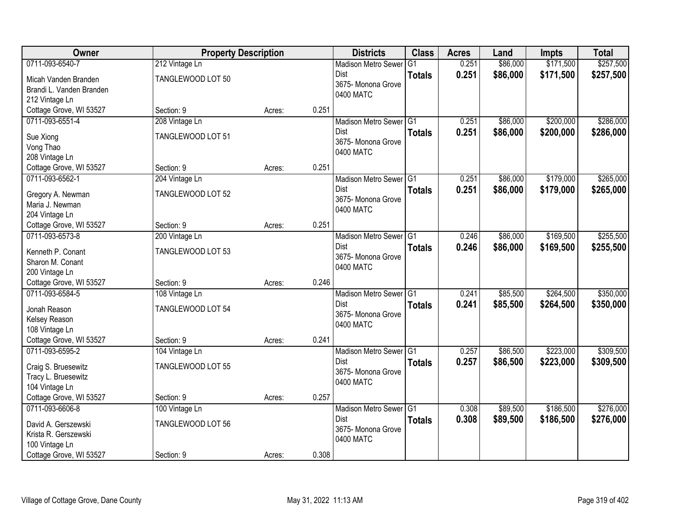| Owner                                      | <b>Property Description</b> |        |       | <b>Districts</b>                    | <b>Class</b>   | <b>Acres</b> | Land     | Impts     | <b>Total</b> |
|--------------------------------------------|-----------------------------|--------|-------|-------------------------------------|----------------|--------------|----------|-----------|--------------|
| 0711-093-6540-7                            | 212 Vintage Ln              |        |       | <b>Madison Metro Sewer</b>          | G <sub>1</sub> | 0.251        | \$86,000 | \$171,500 | \$257,500    |
| Micah Vanden Branden                       | TANGLEWOOD LOT 50           |        |       | Dist<br>3675- Monona Grove          | <b>Totals</b>  | 0.251        | \$86,000 | \$171,500 | \$257,500    |
| Brandi L. Vanden Branden                   |                             |        |       | 0400 MATC                           |                |              |          |           |              |
| 212 Vintage Ln                             | Section: 9                  |        | 0.251 |                                     |                |              |          |           |              |
| Cottage Grove, WI 53527<br>0711-093-6551-4 |                             | Acres: |       |                                     |                |              |          | \$200,000 | \$286,000    |
|                                            | 208 Vintage Ln              |        |       | Madison Metro Sewer G1<br>Dist      |                | 0.251        | \$86,000 |           |              |
| Sue Xiong                                  | TANGLEWOOD LOT 51           |        |       | 3675- Monona Grove                  | <b>Totals</b>  | 0.251        | \$86,000 | \$200,000 | \$286,000    |
| Vong Thao                                  |                             |        |       | 0400 MATC                           |                |              |          |           |              |
| 208 Vintage Ln                             |                             |        |       |                                     |                |              |          |           |              |
| Cottage Grove, WI 53527                    | Section: 9                  | Acres: | 0.251 |                                     |                |              |          |           |              |
| 0711-093-6562-1                            | 204 Vintage Ln              |        |       | Madison Metro Sewer G1              |                | 0.251        | \$86,000 | \$179,000 | \$265,000    |
| Gregory A. Newman                          | TANGLEWOOD LOT 52           |        |       | <b>Dist</b>                         | <b>Totals</b>  | 0.251        | \$86,000 | \$179,000 | \$265,000    |
| Maria J. Newman                            |                             |        |       | 3675- Monona Grove                  |                |              |          |           |              |
| 204 Vintage Ln                             |                             |        |       | 0400 MATC                           |                |              |          |           |              |
| Cottage Grove, WI 53527                    | Section: 9                  | Acres: | 0.251 |                                     |                |              |          |           |              |
| 0711-093-6573-8                            | 200 Vintage Ln              |        |       | Madison Metro Sewer G1              |                | 0.246        | \$86,000 | \$169,500 | \$255,500    |
|                                            |                             |        |       | Dist                                | <b>Totals</b>  | 0.246        | \$86,000 | \$169,500 | \$255,500    |
| Kenneth P. Conant                          | TANGLEWOOD LOT 53           |        |       | 3675- Monona Grove                  |                |              |          |           |              |
| Sharon M. Conant                           |                             |        |       | 0400 MATC                           |                |              |          |           |              |
| 200 Vintage Ln                             |                             |        |       |                                     |                |              |          |           |              |
| Cottage Grove, WI 53527                    | Section: 9                  | Acres: | 0.246 |                                     |                |              |          |           |              |
| 0711-093-6584-5                            | 108 Vintage Ln              |        |       | Madison Metro Sewer <sup>1</sup> G1 |                | 0.241        | \$85,500 | \$264,500 | \$350,000    |
| Jonah Reason                               | TANGLEWOOD LOT 54           |        |       | <b>Dist</b><br>3675- Monona Grove   | <b>Totals</b>  | 0.241        | \$85,500 | \$264,500 | \$350,000    |
| Kelsey Reason                              |                             |        |       | 0400 MATC                           |                |              |          |           |              |
| 108 Vintage Ln                             |                             |        |       |                                     |                |              |          |           |              |
| Cottage Grove, WI 53527                    | Section: 9                  | Acres: | 0.241 |                                     |                |              |          |           |              |
| 0711-093-6595-2                            | 104 Vintage Ln              |        |       | Madison Metro Sewer G1              |                | 0.257        | \$86,500 | \$223,000 | \$309,500    |
| Craig S. Bruesewitz                        | TANGLEWOOD LOT 55           |        |       | Dist                                | <b>Totals</b>  | 0.257        | \$86,500 | \$223,000 | \$309,500    |
| Tracy L. Bruesewitz                        |                             |        |       | 3675- Monona Grove                  |                |              |          |           |              |
| 104 Vintage Ln                             |                             |        |       | 0400 MATC                           |                |              |          |           |              |
| Cottage Grove, WI 53527                    | Section: 9                  | Acres: | 0.257 |                                     |                |              |          |           |              |
| 0711-093-6606-8                            | 100 Vintage Ln              |        |       | Madison Metro Sewer G1              |                | 0.308        | \$89,500 | \$186,500 | \$276,000    |
|                                            |                             |        |       | Dist                                | <b>Totals</b>  | 0.308        | \$89,500 | \$186,500 | \$276,000    |
| David A. Gerszewski                        | TANGLEWOOD LOT 56           |        |       | 3675- Monona Grove                  |                |              |          |           |              |
| Krista R. Gerszewski                       |                             |        |       | 0400 MATC                           |                |              |          |           |              |
| 100 Vintage Ln                             |                             |        |       |                                     |                |              |          |           |              |
| Cottage Grove, WI 53527                    | Section: 9                  | Acres: | 0.308 |                                     |                |              |          |           |              |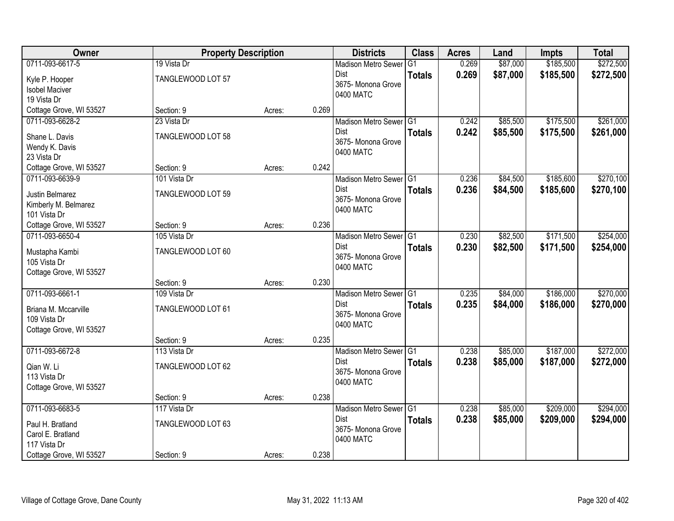| Owner                   | <b>Property Description</b> |        |       | <b>Districts</b>                  | <b>Class</b>  | <b>Acres</b> | Land     | <b>Impts</b> | <b>Total</b> |
|-------------------------|-----------------------------|--------|-------|-----------------------------------|---------------|--------------|----------|--------------|--------------|
| 0711-093-6617-5         | 19 Vista Dr                 |        |       | <b>Madison Metro Sewer</b>        | G1            | 0.269        | \$87,000 | \$185,500    | \$272,500    |
| Kyle P. Hooper          | TANGLEWOOD LOT 57           |        |       | Dist<br>3675- Monona Grove        | <b>Totals</b> | 0.269        | \$87,000 | \$185,500    | \$272,500    |
| <b>Isobel Maciver</b>   |                             |        |       | 0400 MATC                         |               |              |          |              |              |
| 19 Vista Dr             |                             |        |       |                                   |               |              |          |              |              |
| Cottage Grove, WI 53527 | Section: 9                  | Acres: | 0.269 |                                   |               |              |          |              |              |
| 0711-093-6628-2         | 23 Vista Dr                 |        |       | Madison Metro Sewer G1            |               | 0.242        | \$85,500 | \$175,500    | \$261,000    |
| Shane L. Davis          | TANGLEWOOD LOT 58           |        |       | <b>Dist</b>                       | <b>Totals</b> | 0.242        | \$85,500 | \$175,500    | \$261,000    |
| Wendy K. Davis          |                             |        |       | 3675- Monona Grove<br>0400 MATC   |               |              |          |              |              |
| 23 Vista Dr             |                             |        |       |                                   |               |              |          |              |              |
| Cottage Grove, WI 53527 | Section: 9                  | Acres: | 0.242 |                                   |               |              |          |              |              |
| 0711-093-6639-9         | 101 Vista Dr                |        |       | Madison Metro Sewer G1            |               | 0.236        | \$84,500 | \$185,600    | \$270,100    |
| Justin Belmarez         | TANGLEWOOD LOT 59           |        |       | Dist                              | <b>Totals</b> | 0.236        | \$84,500 | \$185,600    | \$270,100    |
| Kimberly M. Belmarez    |                             |        |       | 3675- Monona Grove                |               |              |          |              |              |
| 101 Vista Dr            |                             |        |       | 0400 MATC                         |               |              |          |              |              |
| Cottage Grove, WI 53527 | Section: 9                  | Acres: | 0.236 |                                   |               |              |          |              |              |
| 0711-093-6650-4         | 105 Vista Dr                |        |       | Madison Metro Sewer G1            |               | 0.230        | \$82,500 | \$171,500    | \$254,000    |
| Mustapha Kambi          | TANGLEWOOD LOT 60           |        |       | Dist                              | <b>Totals</b> | 0.230        | \$82,500 | \$171,500    | \$254,000    |
| 105 Vista Dr            |                             |        |       | 3675- Monona Grove                |               |              |          |              |              |
| Cottage Grove, WI 53527 |                             |        |       | 0400 MATC                         |               |              |          |              |              |
|                         | Section: 9                  | Acres: | 0.230 |                                   |               |              |          |              |              |
| 0711-093-6661-1         | 109 Vista Dr                |        |       | Madison Metro Sewer <sup>G1</sup> |               | 0.235        | \$84,000 | \$186,000    | \$270,000    |
| Briana M. Mccarville    | TANGLEWOOD LOT 61           |        |       | <b>Dist</b>                       | <b>Totals</b> | 0.235        | \$84,000 | \$186,000    | \$270,000    |
| 109 Vista Dr            |                             |        |       | 3675- Monona Grove                |               |              |          |              |              |
| Cottage Grove, WI 53527 |                             |        |       | 0400 MATC                         |               |              |          |              |              |
|                         | Section: 9                  | Acres: | 0.235 |                                   |               |              |          |              |              |
| 0711-093-6672-8         | 113 Vista Dr                |        |       | Madison Metro Sewer G1            |               | 0.238        | \$85,000 | \$187,000    | \$272,000    |
| Qian W. Li              | TANGLEWOOD LOT 62           |        |       | Dist                              | <b>Totals</b> | 0.238        | \$85,000 | \$187,000    | \$272,000    |
| 113 Vista Dr            |                             |        |       | 3675- Monona Grove                |               |              |          |              |              |
| Cottage Grove, WI 53527 |                             |        |       | 0400 MATC                         |               |              |          |              |              |
|                         | Section: 9                  | Acres: | 0.238 |                                   |               |              |          |              |              |
| 0711-093-6683-5         | 117 Vista Dr                |        |       | Madison Metro Sewer G1            |               | 0.238        | \$85,000 | \$209,000    | \$294,000    |
| Paul H. Bratland        | TANGLEWOOD LOT 63           |        |       | <b>Dist</b>                       | <b>Totals</b> | 0.238        | \$85,000 | \$209,000    | \$294,000    |
| Carol E. Bratland       |                             |        |       | 3675- Monona Grove                |               |              |          |              |              |
| 117 Vista Dr            |                             |        |       | 0400 MATC                         |               |              |          |              |              |
| Cottage Grove, WI 53527 | Section: 9                  | Acres: | 0.238 |                                   |               |              |          |              |              |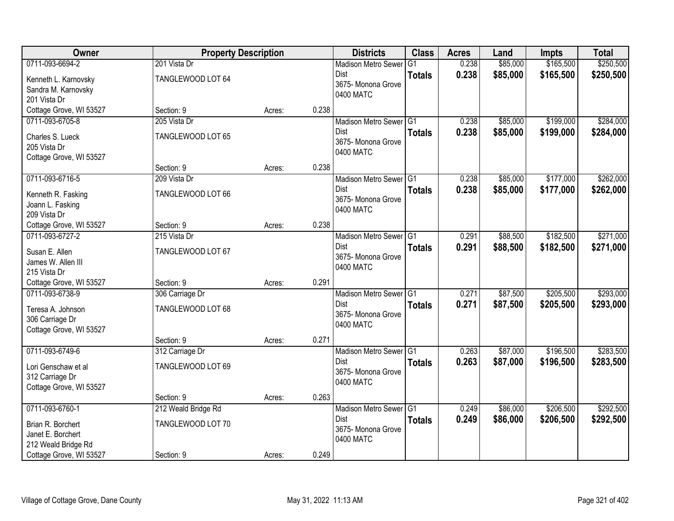| 0711-093-6694-2<br>\$165,500<br>\$250,500<br>201 Vista Dr<br>0.238<br>\$85,000<br><b>Madison Metro Sewer</b><br>G1<br>0.238<br>\$85,000<br>\$165,500<br>\$250,500<br>Dist<br><b>Totals</b><br>TANGLEWOOD LOT 64<br>Kenneth L. Karnovsky<br>3675- Monona Grove<br>Sandra M. Karnovsky<br>0400 MATC<br>201 Vista Dr<br>Cottage Grove, WI 53527<br>0.238<br>Section: 9<br>Acres:<br>\$284,000<br>0711-093-6705-8<br>205 Vista Dr<br>\$85,000<br>\$199,000<br>Madison Metro Sewer G1<br>0.238<br>0.238<br>\$85,000<br>\$199,000<br><b>Dist</b><br>\$284,000<br><b>Totals</b><br>TANGLEWOOD LOT 65<br>Charles S. Lueck<br>3675- Monona Grove<br>205 Vista Dr<br>0400 MATC<br>Cottage Grove, WI 53527<br>0.238<br>Section: 9<br>Acres:<br>0711-093-6716-5<br>0.238<br>\$85,000<br>\$177,000<br>\$262,000<br>209 Vista Dr<br>Madison Metro Sewer G1<br>Dist<br>0.238<br>\$85,000<br>\$177,000<br>\$262,000<br><b>Totals</b><br>TANGLEWOOD LOT 66<br>Kenneth R. Fasking<br>3675- Monona Grove<br>Joann L. Fasking<br>0400 MATC<br>209 Vista Dr<br>0.238<br>Cottage Grove, WI 53527<br>Section: 9<br>Acres:<br>\$88,500<br>\$182,500<br>\$271,000<br>0711-093-6727-2<br>Madison Metro Sewer G1<br>0.291<br>215 Vista Dr<br>Dist<br>0.291<br>\$88,500<br>\$182,500<br>\$271,000<br><b>Totals</b><br>Susan E. Allen<br>TANGLEWOOD LOT 67<br>3675- Monona Grove<br>James W. Allen III<br>0400 MATC<br>215 Vista Dr<br>0.291<br>Cottage Grove, WI 53527<br>Section: 9<br>Acres:<br>\$293,000<br>0711-093-6738-9<br>Madison Metro Sewer <sup>G1</sup><br>0.271<br>\$87,500<br>\$205,500<br>306 Carriage Dr<br>0.271<br>\$87,500<br>\$205,500<br>\$293,000<br><b>Dist</b><br><b>Totals</b><br>Teresa A. Johnson<br>TANGLEWOOD LOT 68<br>3675- Monona Grove<br>306 Carriage Dr<br>0400 MATC<br>Cottage Grove, WI 53527<br>0.271<br>Section: 9<br>Acres:<br>\$283,500<br>0711-093-6749-6<br>Madison Metro Sewer G1<br>0.263<br>\$87,000<br>\$196,500<br>312 Carriage Dr<br>0.263<br>\$87,000<br>\$196,500<br>\$283,500<br>Dist<br><b>Totals</b><br>TANGLEWOOD LOT 69<br>Lori Genschaw et al<br>3675- Monona Grove<br>312 Carriage Dr<br>0400 MATC | <b>Owner</b>            | <b>Property Description</b> |  | <b>Districts</b> | <b>Class</b> | <b>Acres</b> | Land | <b>Impts</b> | <b>Total</b> |
|----------------------------------------------------------------------------------------------------------------------------------------------------------------------------------------------------------------------------------------------------------------------------------------------------------------------------------------------------------------------------------------------------------------------------------------------------------------------------------------------------------------------------------------------------------------------------------------------------------------------------------------------------------------------------------------------------------------------------------------------------------------------------------------------------------------------------------------------------------------------------------------------------------------------------------------------------------------------------------------------------------------------------------------------------------------------------------------------------------------------------------------------------------------------------------------------------------------------------------------------------------------------------------------------------------------------------------------------------------------------------------------------------------------------------------------------------------------------------------------------------------------------------------------------------------------------------------------------------------------------------------------------------------------------------------------------------------------------------------------------------------------------------------------------------------------------------------------------------------------------------------------------------------------------------------------------------------------------------------------------------------------------------------------------------------------------------------------------------------------------------------|-------------------------|-----------------------------|--|------------------|--------------|--------------|------|--------------|--------------|
|                                                                                                                                                                                                                                                                                                                                                                                                                                                                                                                                                                                                                                                                                                                                                                                                                                                                                                                                                                                                                                                                                                                                                                                                                                                                                                                                                                                                                                                                                                                                                                                                                                                                                                                                                                                                                                                                                                                                                                                                                                                                                                                                  |                         |                             |  |                  |              |              |      |              |              |
|                                                                                                                                                                                                                                                                                                                                                                                                                                                                                                                                                                                                                                                                                                                                                                                                                                                                                                                                                                                                                                                                                                                                                                                                                                                                                                                                                                                                                                                                                                                                                                                                                                                                                                                                                                                                                                                                                                                                                                                                                                                                                                                                  |                         |                             |  |                  |              |              |      |              |              |
|                                                                                                                                                                                                                                                                                                                                                                                                                                                                                                                                                                                                                                                                                                                                                                                                                                                                                                                                                                                                                                                                                                                                                                                                                                                                                                                                                                                                                                                                                                                                                                                                                                                                                                                                                                                                                                                                                                                                                                                                                                                                                                                                  |                         |                             |  |                  |              |              |      |              |              |
|                                                                                                                                                                                                                                                                                                                                                                                                                                                                                                                                                                                                                                                                                                                                                                                                                                                                                                                                                                                                                                                                                                                                                                                                                                                                                                                                                                                                                                                                                                                                                                                                                                                                                                                                                                                                                                                                                                                                                                                                                                                                                                                                  |                         |                             |  |                  |              |              |      |              |              |
|                                                                                                                                                                                                                                                                                                                                                                                                                                                                                                                                                                                                                                                                                                                                                                                                                                                                                                                                                                                                                                                                                                                                                                                                                                                                                                                                                                                                                                                                                                                                                                                                                                                                                                                                                                                                                                                                                                                                                                                                                                                                                                                                  |                         |                             |  |                  |              |              |      |              |              |
|                                                                                                                                                                                                                                                                                                                                                                                                                                                                                                                                                                                                                                                                                                                                                                                                                                                                                                                                                                                                                                                                                                                                                                                                                                                                                                                                                                                                                                                                                                                                                                                                                                                                                                                                                                                                                                                                                                                                                                                                                                                                                                                                  |                         |                             |  |                  |              |              |      |              |              |
|                                                                                                                                                                                                                                                                                                                                                                                                                                                                                                                                                                                                                                                                                                                                                                                                                                                                                                                                                                                                                                                                                                                                                                                                                                                                                                                                                                                                                                                                                                                                                                                                                                                                                                                                                                                                                                                                                                                                                                                                                                                                                                                                  |                         |                             |  |                  |              |              |      |              |              |
|                                                                                                                                                                                                                                                                                                                                                                                                                                                                                                                                                                                                                                                                                                                                                                                                                                                                                                                                                                                                                                                                                                                                                                                                                                                                                                                                                                                                                                                                                                                                                                                                                                                                                                                                                                                                                                                                                                                                                                                                                                                                                                                                  |                         |                             |  |                  |              |              |      |              |              |
|                                                                                                                                                                                                                                                                                                                                                                                                                                                                                                                                                                                                                                                                                                                                                                                                                                                                                                                                                                                                                                                                                                                                                                                                                                                                                                                                                                                                                                                                                                                                                                                                                                                                                                                                                                                                                                                                                                                                                                                                                                                                                                                                  |                         |                             |  |                  |              |              |      |              |              |
|                                                                                                                                                                                                                                                                                                                                                                                                                                                                                                                                                                                                                                                                                                                                                                                                                                                                                                                                                                                                                                                                                                                                                                                                                                                                                                                                                                                                                                                                                                                                                                                                                                                                                                                                                                                                                                                                                                                                                                                                                                                                                                                                  |                         |                             |  |                  |              |              |      |              |              |
|                                                                                                                                                                                                                                                                                                                                                                                                                                                                                                                                                                                                                                                                                                                                                                                                                                                                                                                                                                                                                                                                                                                                                                                                                                                                                                                                                                                                                                                                                                                                                                                                                                                                                                                                                                                                                                                                                                                                                                                                                                                                                                                                  |                         |                             |  |                  |              |              |      |              |              |
|                                                                                                                                                                                                                                                                                                                                                                                                                                                                                                                                                                                                                                                                                                                                                                                                                                                                                                                                                                                                                                                                                                                                                                                                                                                                                                                                                                                                                                                                                                                                                                                                                                                                                                                                                                                                                                                                                                                                                                                                                                                                                                                                  |                         |                             |  |                  |              |              |      |              |              |
|                                                                                                                                                                                                                                                                                                                                                                                                                                                                                                                                                                                                                                                                                                                                                                                                                                                                                                                                                                                                                                                                                                                                                                                                                                                                                                                                                                                                                                                                                                                                                                                                                                                                                                                                                                                                                                                                                                                                                                                                                                                                                                                                  |                         |                             |  |                  |              |              |      |              |              |
|                                                                                                                                                                                                                                                                                                                                                                                                                                                                                                                                                                                                                                                                                                                                                                                                                                                                                                                                                                                                                                                                                                                                                                                                                                                                                                                                                                                                                                                                                                                                                                                                                                                                                                                                                                                                                                                                                                                                                                                                                                                                                                                                  |                         |                             |  |                  |              |              |      |              |              |
|                                                                                                                                                                                                                                                                                                                                                                                                                                                                                                                                                                                                                                                                                                                                                                                                                                                                                                                                                                                                                                                                                                                                                                                                                                                                                                                                                                                                                                                                                                                                                                                                                                                                                                                                                                                                                                                                                                                                                                                                                                                                                                                                  |                         |                             |  |                  |              |              |      |              |              |
|                                                                                                                                                                                                                                                                                                                                                                                                                                                                                                                                                                                                                                                                                                                                                                                                                                                                                                                                                                                                                                                                                                                                                                                                                                                                                                                                                                                                                                                                                                                                                                                                                                                                                                                                                                                                                                                                                                                                                                                                                                                                                                                                  |                         |                             |  |                  |              |              |      |              |              |
|                                                                                                                                                                                                                                                                                                                                                                                                                                                                                                                                                                                                                                                                                                                                                                                                                                                                                                                                                                                                                                                                                                                                                                                                                                                                                                                                                                                                                                                                                                                                                                                                                                                                                                                                                                                                                                                                                                                                                                                                                                                                                                                                  |                         |                             |  |                  |              |              |      |              |              |
|                                                                                                                                                                                                                                                                                                                                                                                                                                                                                                                                                                                                                                                                                                                                                                                                                                                                                                                                                                                                                                                                                                                                                                                                                                                                                                                                                                                                                                                                                                                                                                                                                                                                                                                                                                                                                                                                                                                                                                                                                                                                                                                                  |                         |                             |  |                  |              |              |      |              |              |
|                                                                                                                                                                                                                                                                                                                                                                                                                                                                                                                                                                                                                                                                                                                                                                                                                                                                                                                                                                                                                                                                                                                                                                                                                                                                                                                                                                                                                                                                                                                                                                                                                                                                                                                                                                                                                                                                                                                                                                                                                                                                                                                                  |                         |                             |  |                  |              |              |      |              |              |
|                                                                                                                                                                                                                                                                                                                                                                                                                                                                                                                                                                                                                                                                                                                                                                                                                                                                                                                                                                                                                                                                                                                                                                                                                                                                                                                                                                                                                                                                                                                                                                                                                                                                                                                                                                                                                                                                                                                                                                                                                                                                                                                                  |                         |                             |  |                  |              |              |      |              |              |
|                                                                                                                                                                                                                                                                                                                                                                                                                                                                                                                                                                                                                                                                                                                                                                                                                                                                                                                                                                                                                                                                                                                                                                                                                                                                                                                                                                                                                                                                                                                                                                                                                                                                                                                                                                                                                                                                                                                                                                                                                                                                                                                                  |                         |                             |  |                  |              |              |      |              |              |
|                                                                                                                                                                                                                                                                                                                                                                                                                                                                                                                                                                                                                                                                                                                                                                                                                                                                                                                                                                                                                                                                                                                                                                                                                                                                                                                                                                                                                                                                                                                                                                                                                                                                                                                                                                                                                                                                                                                                                                                                                                                                                                                                  |                         |                             |  |                  |              |              |      |              |              |
|                                                                                                                                                                                                                                                                                                                                                                                                                                                                                                                                                                                                                                                                                                                                                                                                                                                                                                                                                                                                                                                                                                                                                                                                                                                                                                                                                                                                                                                                                                                                                                                                                                                                                                                                                                                                                                                                                                                                                                                                                                                                                                                                  |                         |                             |  |                  |              |              |      |              |              |
|                                                                                                                                                                                                                                                                                                                                                                                                                                                                                                                                                                                                                                                                                                                                                                                                                                                                                                                                                                                                                                                                                                                                                                                                                                                                                                                                                                                                                                                                                                                                                                                                                                                                                                                                                                                                                                                                                                                                                                                                                                                                                                                                  |                         |                             |  |                  |              |              |      |              |              |
|                                                                                                                                                                                                                                                                                                                                                                                                                                                                                                                                                                                                                                                                                                                                                                                                                                                                                                                                                                                                                                                                                                                                                                                                                                                                                                                                                                                                                                                                                                                                                                                                                                                                                                                                                                                                                                                                                                                                                                                                                                                                                                                                  |                         |                             |  |                  |              |              |      |              |              |
|                                                                                                                                                                                                                                                                                                                                                                                                                                                                                                                                                                                                                                                                                                                                                                                                                                                                                                                                                                                                                                                                                                                                                                                                                                                                                                                                                                                                                                                                                                                                                                                                                                                                                                                                                                                                                                                                                                                                                                                                                                                                                                                                  |                         |                             |  |                  |              |              |      |              |              |
|                                                                                                                                                                                                                                                                                                                                                                                                                                                                                                                                                                                                                                                                                                                                                                                                                                                                                                                                                                                                                                                                                                                                                                                                                                                                                                                                                                                                                                                                                                                                                                                                                                                                                                                                                                                                                                                                                                                                                                                                                                                                                                                                  |                         |                             |  |                  |              |              |      |              |              |
|                                                                                                                                                                                                                                                                                                                                                                                                                                                                                                                                                                                                                                                                                                                                                                                                                                                                                                                                                                                                                                                                                                                                                                                                                                                                                                                                                                                                                                                                                                                                                                                                                                                                                                                                                                                                                                                                                                                                                                                                                                                                                                                                  |                         |                             |  |                  |              |              |      |              |              |
|                                                                                                                                                                                                                                                                                                                                                                                                                                                                                                                                                                                                                                                                                                                                                                                                                                                                                                                                                                                                                                                                                                                                                                                                                                                                                                                                                                                                                                                                                                                                                                                                                                                                                                                                                                                                                                                                                                                                                                                                                                                                                                                                  | Cottage Grove, WI 53527 |                             |  |                  |              |              |      |              |              |
| 0.263<br>Section: 9<br>Acres:                                                                                                                                                                                                                                                                                                                                                                                                                                                                                                                                                                                                                                                                                                                                                                                                                                                                                                                                                                                                                                                                                                                                                                                                                                                                                                                                                                                                                                                                                                                                                                                                                                                                                                                                                                                                                                                                                                                                                                                                                                                                                                    |                         |                             |  |                  |              |              |      |              |              |
| 0711-093-6760-1<br>\$86,000<br>\$206,500<br>\$292,500<br>212 Weald Bridge Rd<br>Madison Metro Sewer G1<br>0.249                                                                                                                                                                                                                                                                                                                                                                                                                                                                                                                                                                                                                                                                                                                                                                                                                                                                                                                                                                                                                                                                                                                                                                                                                                                                                                                                                                                                                                                                                                                                                                                                                                                                                                                                                                                                                                                                                                                                                                                                                  |                         |                             |  |                  |              |              |      |              |              |
| <b>Dist</b><br>0.249<br>\$86,000<br>\$292,500<br>\$206,500<br><b>Totals</b>                                                                                                                                                                                                                                                                                                                                                                                                                                                                                                                                                                                                                                                                                                                                                                                                                                                                                                                                                                                                                                                                                                                                                                                                                                                                                                                                                                                                                                                                                                                                                                                                                                                                                                                                                                                                                                                                                                                                                                                                                                                      |                         |                             |  |                  |              |              |      |              |              |
| TANGLEWOOD LOT 70<br>Brian R. Borchert<br>3675- Monona Grove<br>Janet E. Borchert                                                                                                                                                                                                                                                                                                                                                                                                                                                                                                                                                                                                                                                                                                                                                                                                                                                                                                                                                                                                                                                                                                                                                                                                                                                                                                                                                                                                                                                                                                                                                                                                                                                                                                                                                                                                                                                                                                                                                                                                                                                |                         |                             |  |                  |              |              |      |              |              |
| 0400 MATC<br>212 Weald Bridge Rd                                                                                                                                                                                                                                                                                                                                                                                                                                                                                                                                                                                                                                                                                                                                                                                                                                                                                                                                                                                                                                                                                                                                                                                                                                                                                                                                                                                                                                                                                                                                                                                                                                                                                                                                                                                                                                                                                                                                                                                                                                                                                                 |                         |                             |  |                  |              |              |      |              |              |
| 0.249<br>Cottage Grove, WI 53527<br>Section: 9<br>Acres:                                                                                                                                                                                                                                                                                                                                                                                                                                                                                                                                                                                                                                                                                                                                                                                                                                                                                                                                                                                                                                                                                                                                                                                                                                                                                                                                                                                                                                                                                                                                                                                                                                                                                                                                                                                                                                                                                                                                                                                                                                                                         |                         |                             |  |                  |              |              |      |              |              |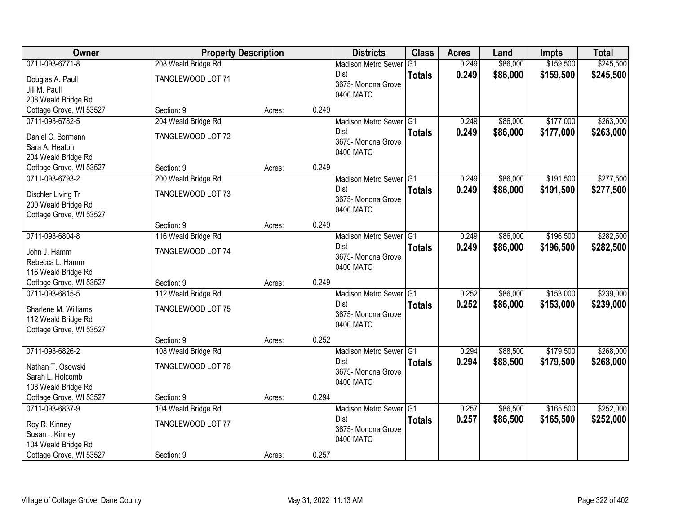| Owner                   | <b>Property Description</b> |        |       | <b>Districts</b>                    | <b>Class</b>  | <b>Acres</b> | Land     | <b>Impts</b> | <b>Total</b> |
|-------------------------|-----------------------------|--------|-------|-------------------------------------|---------------|--------------|----------|--------------|--------------|
| 0711-093-6771-8         | 208 Weald Bridge Rd         |        |       | <b>Madison Metro Sewer</b>          | G1            | 0.249        | \$86,000 | \$159,500    | \$245,500    |
| Douglas A. Paull        | TANGLEWOOD LOT 71           |        |       | Dist                                | <b>Totals</b> | 0.249        | \$86,000 | \$159,500    | \$245,500    |
| Jill M. Paull           |                             |        |       | 3675- Monona Grove                  |               |              |          |              |              |
| 208 Weald Bridge Rd     |                             |        |       | 0400 MATC                           |               |              |          |              |              |
| Cottage Grove, WI 53527 | Section: 9                  | Acres: | 0.249 |                                     |               |              |          |              |              |
| 0711-093-6782-5         | 204 Weald Bridge Rd         |        |       | Madison Metro Sewer G1              |               | 0.249        | \$86,000 | \$177,000    | \$263,000    |
| Daniel C. Bormann       | TANGLEWOOD LOT 72           |        |       | Dist                                | <b>Totals</b> | 0.249        | \$86,000 | \$177,000    | \$263,000    |
| Sara A. Heaton          |                             |        |       | 3675- Monona Grove                  |               |              |          |              |              |
| 204 Weald Bridge Rd     |                             |        |       | 0400 MATC                           |               |              |          |              |              |
| Cottage Grove, WI 53527 | Section: 9                  | Acres: | 0.249 |                                     |               |              |          |              |              |
| 0711-093-6793-2         | 200 Weald Bridge Rd         |        |       | Madison Metro Sewer G1              |               | 0.249        | \$86,000 | \$191,500    | \$277,500    |
| Dischler Living Tr      | TANGLEWOOD LOT 73           |        |       | Dist                                | <b>Totals</b> | 0.249        | \$86,000 | \$191,500    | \$277,500    |
| 200 Weald Bridge Rd     |                             |        |       | 3675- Monona Grove                  |               |              |          |              |              |
| Cottage Grove, WI 53527 |                             |        |       | 0400 MATC                           |               |              |          |              |              |
|                         | Section: 9                  | Acres: | 0.249 |                                     |               |              |          |              |              |
| 0711-093-6804-8         | 116 Weald Bridge Rd         |        |       | Madison Metro Sewer G1              |               | 0.249        | \$86,000 | \$196,500    | \$282,500    |
| John J. Hamm            | TANGLEWOOD LOT 74           |        |       | Dist                                | <b>Totals</b> | 0.249        | \$86,000 | \$196,500    | \$282,500    |
| Rebecca L. Hamm         |                             |        |       | 3675- Monona Grove                  |               |              |          |              |              |
| 116 Weald Bridge Rd     |                             |        |       | 0400 MATC                           |               |              |          |              |              |
| Cottage Grove, WI 53527 | Section: 9                  | Acres: | 0.249 |                                     |               |              |          |              |              |
| 0711-093-6815-5         | 112 Weald Bridge Rd         |        |       | Madison Metro Sewer G1              |               | 0.252        | \$86,000 | \$153,000    | \$239,000    |
| Sharlene M. Williams    | TANGLEWOOD LOT 75           |        |       | <b>Dist</b>                         | <b>Totals</b> | 0.252        | \$86,000 | \$153,000    | \$239,000    |
| 112 Weald Bridge Rd     |                             |        |       | 3675- Monona Grove                  |               |              |          |              |              |
| Cottage Grove, WI 53527 |                             |        |       | 0400 MATC                           |               |              |          |              |              |
|                         | Section: 9                  | Acres: | 0.252 |                                     |               |              |          |              |              |
| 0711-093-6826-2         | 108 Weald Bridge Rd         |        |       | Madison Metro Sewer <sup>1</sup> G1 |               | 0.294        | \$88,500 | \$179,500    | \$268,000    |
| Nathan T. Osowski       | TANGLEWOOD LOT 76           |        |       | Dist                                | <b>Totals</b> | 0.294        | \$88,500 | \$179,500    | \$268,000    |
| Sarah L. Holcomb        |                             |        |       | 3675- Monona Grove                  |               |              |          |              |              |
| 108 Weald Bridge Rd     |                             |        |       | 0400 MATC                           |               |              |          |              |              |
| Cottage Grove, WI 53527 | Section: 9                  | Acres: | 0.294 |                                     |               |              |          |              |              |
| 0711-093-6837-9         | 104 Weald Bridge Rd         |        |       | Madison Metro Sewer G1              |               | 0.257        | \$86,500 | \$165,500    | \$252,000    |
| Roy R. Kinney           | TANGLEWOOD LOT 77           |        |       | Dist                                | <b>Totals</b> | 0.257        | \$86,500 | \$165,500    | \$252,000    |
| Susan I. Kinney         |                             |        |       | 3675- Monona Grove                  |               |              |          |              |              |
| 104 Weald Bridge Rd     |                             |        |       | 0400 MATC                           |               |              |          |              |              |
| Cottage Grove, WI 53527 | Section: 9                  | Acres: | 0.257 |                                     |               |              |          |              |              |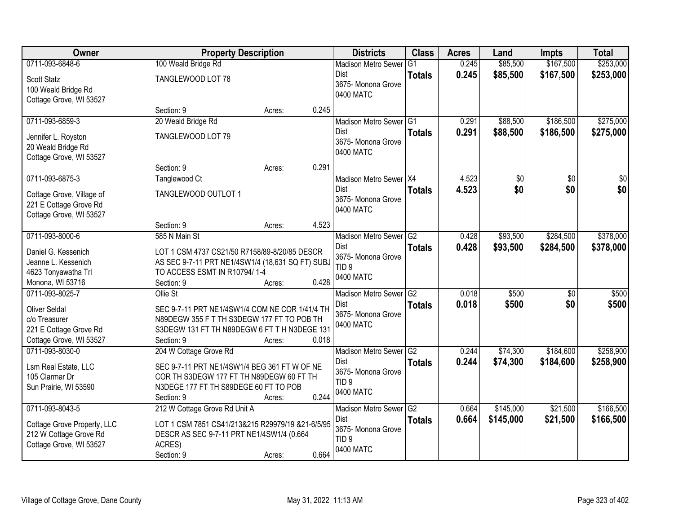| <b>Owner</b>                                                                                                  | <b>Property Description</b>                                                                                                                                               |        |       | <b>Districts</b>                                                                          | <b>Class</b>        | <b>Acres</b>   | Land                   | Impts                  | <b>Total</b>           |
|---------------------------------------------------------------------------------------------------------------|---------------------------------------------------------------------------------------------------------------------------------------------------------------------------|--------|-------|-------------------------------------------------------------------------------------------|---------------------|----------------|------------------------|------------------------|------------------------|
| 0711-093-6848-6                                                                                               | 100 Weald Bridge Rd                                                                                                                                                       |        |       | <b>Madison Metro Sewer</b>                                                                | G1                  | 0.245          | \$85,500               | \$167,500              | \$253,000              |
| Scott Statz<br>100 Weald Bridge Rd<br>Cottage Grove, WI 53527                                                 | TANGLEWOOD LOT 78                                                                                                                                                         |        |       | Dist<br>3675- Monona Grove<br>0400 MATC                                                   | <b>Totals</b>       | 0.245          | \$85,500               | \$167,500              | \$253,000              |
|                                                                                                               | Section: 9                                                                                                                                                                | Acres: | 0.245 |                                                                                           |                     |                |                        |                        |                        |
| 0711-093-6859-3<br>Jennifer L. Royston<br>20 Weald Bridge Rd<br>Cottage Grove, WI 53527                       | 20 Weald Bridge Rd<br>TANGLEWOOD LOT 79                                                                                                                                   |        |       | Madison Metro Sewer G1<br>Dist<br>3675- Monona Grove<br>0400 MATC                         | <b>Totals</b>       | 0.291<br>0.291 | \$88,500<br>\$88,500   | \$186,500<br>\$186,500 | \$275,000<br>\$275,000 |
|                                                                                                               | Section: 9                                                                                                                                                                | Acres: | 0.291 |                                                                                           |                     |                |                        |                        |                        |
| 0711-093-6875-3<br>Cottage Grove, Village of<br>221 E Cottage Grove Rd<br>Cottage Grove, WI 53527             | Tanglewood Ct<br>TANGLEWOOD OUTLOT 1                                                                                                                                      |        |       | Madison Metro Sewer X4<br>Dist<br>3675- Monona Grove<br>0400 MATC                         | <b>Totals</b>       | 4.523<br>4.523 | \$0<br>\$0             | \$0<br>\$0             | \$0<br>\$0             |
|                                                                                                               | Section: 9                                                                                                                                                                | Acres: | 4.523 |                                                                                           |                     |                |                        |                        |                        |
| 0711-093-8000-6<br>Daniel G. Kessenich<br>Jeanne L. Kessenich<br>4623 Tonyawatha Trl<br>Monona, WI 53716      | 585 N Main St<br>LOT 1 CSM 4737 CS21/50 R7158/89-8/20/85 DESCR<br>AS SEC 9-7-11 PRT NE1/4SW1/4 (18,631 SQ FT) SUBJ<br>TO ACCESS ESMT IN R10794/1-4<br>Section: 9          | Acres: | 0.428 | <b>Madison Metro Sewer</b><br>Dist<br>3675- Monona Grove<br>TID <sub>9</sub><br>0400 MATC | G2<br><b>Totals</b> | 0.428<br>0.428 | \$93,500<br>\$93,500   | \$284,500<br>\$284,500 | \$378,000<br>\$378,000 |
| 0711-093-8025-7<br><b>Oliver Seldal</b><br>c/o Treasurer<br>221 E Cottage Grove Rd<br>Cottage Grove, WI 53527 | Ollie St<br>SEC 9-7-11 PRT NE1/4SW1/4 COM NE COR 1/41/4 TH<br>N89DEGW 355 F T TH S3DEGW 177 FT TO POB TH<br>S3DEGW 131 FT TH N89DEGW 6 FT T H N3DEGE 131<br>Section: 9    | Acres: | 0.018 | Madison Metro Sewer G2<br>Dist<br>3675- Monona Grove<br>0400 MATC                         | <b>Totals</b>       | 0.018<br>0.018 | \$500<br>\$500         | $\overline{50}$<br>\$0 | \$500<br>\$500         |
| 0711-093-8030-0<br>Lsm Real Estate, LLC<br>105 Clarmar Dr<br>Sun Prairie, WI 53590                            | 204 W Cottage Grove Rd<br>SEC 9-7-11 PRT NE1/4SW1/4 BEG 361 FT W OF NE<br>COR TH S3DEGW 177 FT TH N89DEGW 60 FT TH<br>N3DEGE 177 FT TH S89DEGE 60 FT TO POB<br>Section: 9 | Acres: | 0.244 | Madison Metro Sewer G2<br>Dist<br>3675- Monona Grove<br>TID <sub>9</sub><br>0400 MATC     | <b>Totals</b>       | 0.244<br>0.244 | \$74,300<br>\$74,300   | \$184,600<br>\$184,600 | \$258,900<br>\$258,900 |
| 0711-093-8043-5<br>Cottage Grove Property, LLC<br>212 W Cottage Grove Rd<br>Cottage Grove, WI 53527           | 212 W Cottage Grove Rd Unit A<br>LOT 1 CSM 7851 CS41/213&215 R29979/19 &21-6/5/95<br>DESCR AS SEC 9-7-11 PRT NE1/4SW1/4 (0.664<br>ACRES)<br>Section: 9                    | Acres: | 0.664 | Madison Metro Sewer G2<br>Dist<br>3675- Monona Grove<br>TID <sub>9</sub><br>0400 MATC     | <b>Totals</b>       | 0.664<br>0.664 | \$145,000<br>\$145,000 | \$21,500<br>\$21,500   | \$166,500<br>\$166,500 |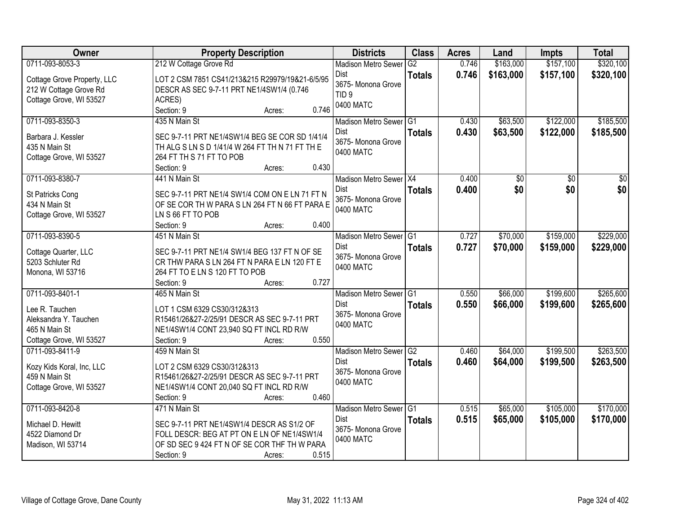| Owner                                      | <b>Property Description</b>                                                               | <b>Districts</b>           | <b>Class</b>  | <b>Acres</b> | Land            | <b>Impts</b>    | <b>Total</b>    |
|--------------------------------------------|-------------------------------------------------------------------------------------------|----------------------------|---------------|--------------|-----------------|-----------------|-----------------|
| 0711-093-8053-3                            | 212 W Cottage Grove Rd                                                                    | <b>Madison Metro Sewer</b> | G2            | 0.746        | \$163,000       | \$157,100       | \$320,100       |
| Cottage Grove Property, LLC                | LOT 2 CSM 7851 CS41/213&215 R29979/19&21-6/5/95                                           | <b>Dist</b>                | <b>Totals</b> | 0.746        | \$163,000       | \$157,100       | \$320,100       |
| 212 W Cottage Grove Rd                     | DESCR AS SEC 9-7-11 PRT NE1/4SW1/4 (0.746                                                 | 3675- Monona Grove         |               |              |                 |                 |                 |
| Cottage Grove, WI 53527                    | ACRES)                                                                                    | TID <sub>9</sub>           |               |              |                 |                 |                 |
|                                            | 0.746<br>Section: 9<br>Acres:                                                             | 0400 MATC                  |               |              |                 |                 |                 |
| 0711-093-8350-3                            | 435 N Main St                                                                             | Madison Metro Sewer G1     |               | 0.430        | \$63,500        | \$122,000       | \$185,500       |
| Barbara J. Kessler                         | SEC 9-7-11 PRT NE1/4SW1/4 BEG SE COR SD 1/41/4                                            | Dist                       | <b>Totals</b> | 0.430        | \$63,500        | \$122,000       | \$185,500       |
| 435 N Main St                              | TH ALG S LN S D 1/41/4 W 264 FT TH N 71 FT TH E                                           | 3675- Monona Grove         |               |              |                 |                 |                 |
| Cottage Grove, WI 53527                    | 264 FT TH S 71 FT TO POB                                                                  | 0400 MATC                  |               |              |                 |                 |                 |
|                                            | 0.430<br>Section: 9<br>Acres:                                                             |                            |               |              |                 |                 |                 |
| 0711-093-8380-7                            | 441 N Main St                                                                             | Madison Metro Sewer X4     |               | 0.400        | $\overline{50}$ | $\overline{50}$ | $\overline{50}$ |
| St Patricks Cong                           | SEC 9-7-11 PRT NE1/4 SW1/4 COM ON E LN 71 FT N                                            | Dist                       | <b>Totals</b> | 0.400        | \$0             | \$0             | \$0             |
| 434 N Main St                              | OF SE COR TH W PARA S LN 264 FT N 66 FT PARA E                                            | 3675- Monona Grove         |               |              |                 |                 |                 |
| Cottage Grove, WI 53527                    | LN S 66 FT TO POB                                                                         | 0400 MATC                  |               |              |                 |                 |                 |
|                                            | 0.400<br>Section: 9<br>Acres:                                                             |                            |               |              |                 |                 |                 |
| 0711-093-8390-5                            | 451 N Main St                                                                             | Madison Metro Sewer G1     |               | 0.727        | \$70,000        | \$159,000       | \$229,000       |
| Cottage Quarter, LLC                       | SEC 9-7-11 PRT NE1/4 SW1/4 BEG 137 FT N OF SE                                             | <b>Dist</b>                | <b>Totals</b> | 0.727        | \$70,000        | \$159,000       | \$229,000       |
| 5203 Schluter Rd                           | CR THW PARA S LN 264 FT N PARA E LN 120 FT E                                              | 3675- Monona Grove         |               |              |                 |                 |                 |
| Monona, WI 53716                           | 264 FT TO E LN S 120 FT TO POB                                                            | 0400 MATC                  |               |              |                 |                 |                 |
|                                            | 0.727<br>Section: 9<br>Acres:                                                             |                            |               |              |                 |                 |                 |
| 0711-093-8401-1                            | 465 N Main St                                                                             | Madison Metro Sewer G1     |               | 0.550        | \$66,000        | \$199,600       | \$265,600       |
| Lee R. Tauchen                             | LOT 1 CSM 6329 CS30/312&313                                                               | Dist                       | <b>Totals</b> | 0.550        | \$66,000        | \$199,600       | \$265,600       |
| Aleksandra Y. Tauchen                      | R15461/26&27-2/25/91 DESCR AS SEC 9-7-11 PRT                                              | 3675- Monona Grove         |               |              |                 |                 |                 |
| 465 N Main St                              | NE1/4SW1/4 CONT 23,940 SQ FT INCL RD R/W                                                  | 0400 MATC                  |               |              |                 |                 |                 |
| Cottage Grove, WI 53527                    | 0.550<br>Section: 9<br>Acres:                                                             |                            |               |              |                 |                 |                 |
| 0711-093-8411-9                            | 459 N Main St                                                                             | Madison Metro Sewer G2     |               | 0.460        | \$64,000        | \$199,500       | \$263,500       |
|                                            | LOT 2 CSM 6329 CS30/312&313                                                               | <b>Dist</b>                | <b>Totals</b> | 0.460        | \$64,000        | \$199,500       | \$263,500       |
| Kozy Kids Koral, Inc, LLC<br>459 N Main St | R15461/26&27-2/25/91 DESCR AS SEC 9-7-11 PRT                                              | 3675-Monona Grove          |               |              |                 |                 |                 |
| Cottage Grove, WI 53527                    | NE1/4SW1/4 CONT 20,040 SQ FT INCL RD R/W                                                  | 0400 MATC                  |               |              |                 |                 |                 |
|                                            | 0.460<br>Section: 9<br>Acres:                                                             |                            |               |              |                 |                 |                 |
| 0711-093-8420-8                            | 471 N Main St                                                                             | Madison Metro Sewer G1     |               | 0.515        | \$65,000        | \$105,000       | \$170,000       |
|                                            |                                                                                           | Dist                       | <b>Totals</b> | 0.515        | \$65,000        | \$105,000       | \$170,000       |
| Michael D. Hewitt                          | SEC 9-7-11 PRT NE1/4SW1/4 DESCR AS S1/2 OF<br>FOLL DESCR: BEG AT PT ON E LN OF NE1/4SW1/4 | 3675- Monona Grove         |               |              |                 |                 |                 |
| 4522 Diamond Dr<br>Madison, WI 53714       | OF SD SEC 9 424 FT N OF SE COR THF TH W PARA                                              | 0400 MATC                  |               |              |                 |                 |                 |
|                                            | 0.515<br>Section: 9<br>Acres:                                                             |                            |               |              |                 |                 |                 |
|                                            |                                                                                           |                            |               |              |                 |                 |                 |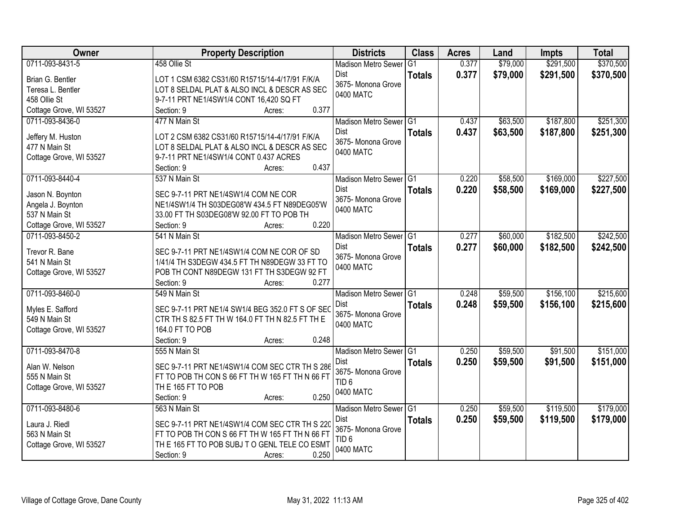| <b>Owner</b>                       | <b>Property Description</b>                                                                    | <b>Districts</b>                | <b>Class</b>   | <b>Acres</b> | Land     | <b>Impts</b> | <b>Total</b> |
|------------------------------------|------------------------------------------------------------------------------------------------|---------------------------------|----------------|--------------|----------|--------------|--------------|
| 0711-093-8431-5                    | 458 Ollie St                                                                                   | <b>Madison Metro Sewer</b>      | G <sub>1</sub> | 0.377        | \$79,000 | \$291,500    | \$370,500    |
| Brian G. Bentler                   | LOT 1 CSM 6382 CS31/60 R15715/14-4/17/91 F/K/A                                                 | Dist                            | <b>Totals</b>  | 0.377        | \$79,000 | \$291,500    | \$370,500    |
| Teresa L. Bentler                  | LOT 8 SELDAL PLAT & ALSO INCL & DESCR AS SEC                                                   | 3675- Monona Grove              |                |              |          |              |              |
| 458 Ollie St                       | 9-7-11 PRT NE1/4SW1/4 CONT 16,420 SQ FT                                                        | 0400 MATC                       |                |              |          |              |              |
| Cottage Grove, WI 53527            | 0.377<br>Section: 9<br>Acres:                                                                  |                                 |                |              |          |              |              |
| 0711-093-8436-0                    | 477 N Main St                                                                                  | Madison Metro Sewer G1          |                | 0.437        | \$63,500 | \$187,800    | \$251,300    |
|                                    |                                                                                                | <b>Dist</b>                     | <b>Totals</b>  | 0.437        | \$63,500 | \$187,800    | \$251,300    |
| Jeffery M. Huston<br>477 N Main St | LOT 2 CSM 6382 CS31/60 R15715/14-4/17/91 F/K/A<br>LOT 8 SELDAL PLAT & ALSO INCL & DESCR AS SEC | 3675- Monona Grove              |                |              |          |              |              |
| Cottage Grove, WI 53527            | 9-7-11 PRT NE1/4SW1/4 CONT 0.437 ACRES                                                         | 0400 MATC                       |                |              |          |              |              |
|                                    | 0.437<br>Section: 9<br>Acres:                                                                  |                                 |                |              |          |              |              |
| 0711-093-8440-4                    | 537 N Main St                                                                                  | Madison Metro Sewer G1          |                | 0.220        | \$58,500 | \$169,000    | \$227,500    |
|                                    |                                                                                                | Dist                            | <b>Totals</b>  | 0.220        | \$58,500 | \$169,000    | \$227,500    |
| Jason N. Boynton                   | SEC 9-7-11 PRT NE1/4SW1/4 COM NE COR                                                           | 3675- Monona Grove              |                |              |          |              |              |
| Angela J. Boynton                  | NE1/4SW1/4 TH S03DEG08'W 434.5 FT N89DEG05'W                                                   | 0400 MATC                       |                |              |          |              |              |
| 537 N Main St                      | 33.00 FT TH S03DEG08'W 92.00 FT TO POB TH                                                      |                                 |                |              |          |              |              |
| Cottage Grove, WI 53527            | 0.220<br>Section: 9<br>Acres:                                                                  |                                 |                |              |          |              |              |
| 0711-093-8450-2                    | 541 N Main St                                                                                  | Madison Metro Sewer G1          |                | 0.277        | \$60,000 | \$182,500    | \$242,500    |
| Trevor R. Bane                     | SEC 9-7-11 PRT NE1/4SW1/4 COM NE COR OF SD                                                     | Dist                            | <b>Totals</b>  | 0.277        | \$60,000 | \$182,500    | \$242,500    |
| 541 N Main St                      | 1/41/4 TH S3DEGW 434.5 FT TH N89DEGW 33 FT TO                                                  | 3675- Monona Grove<br>0400 MATC |                |              |          |              |              |
| Cottage Grove, WI 53527            | POB TH CONT N89DEGW 131 FT TH S3DEGW 92 FT                                                     |                                 |                |              |          |              |              |
|                                    | 0.277<br>Section: 9<br>Acres:                                                                  |                                 |                |              |          |              |              |
| 0711-093-8460-0                    | 549 N Main St                                                                                  | <b>Madison Metro Sewer</b>      | TG1            | 0.248        | \$59,500 | \$156,100    | \$215,600    |
| Myles E. Safford                   | SEC 9-7-11 PRT NE1/4 SW1/4 BEG 352.0 FT S OF SEC                                               | <b>Dist</b>                     | <b>Totals</b>  | 0.248        | \$59,500 | \$156,100    | \$215,600    |
| 549 N Main St                      | CTR TH S 82.5 FT TH W 164.0 FT TH N 82.5 FT TH E                                               | 3675- Monona Grove              |                |              |          |              |              |
| Cottage Grove, WI 53527            | 164.0 FT TO POB                                                                                | 0400 MATC                       |                |              |          |              |              |
|                                    | Section: 9<br>0.248<br>Acres:                                                                  |                                 |                |              |          |              |              |
| 0711-093-8470-8                    | 555 N Main St                                                                                  | Madison Metro Sewer G1          |                | 0.250        | \$59,500 | \$91,500     | \$151,000    |
| Alan W. Nelson                     | SEC 9-7-11 PRT NE1/4SW1/4 COM SEC CTR TH S 286                                                 | Dist                            | <b>Totals</b>  | 0.250        | \$59,500 | \$91,500     | \$151,000    |
| 555 N Main St                      | FT TO POB TH CON S 66 FT TH W 165 FT TH N 66 FT                                                | 3675- Monona Grove              |                |              |          |              |              |
| Cottage Grove, WI 53527            | THE 165 FT TO POB                                                                              | TID <sub>6</sub>                |                |              |          |              |              |
|                                    | 0.250<br>Section: 9<br>Acres:                                                                  | 0400 MATC                       |                |              |          |              |              |
| 0711-093-8480-6                    | 563 N Main St                                                                                  | Madison Metro Sewer G1          |                | 0.250        | \$59,500 | \$119,500    | \$179,000    |
|                                    |                                                                                                | Dist                            | <b>Totals</b>  | 0.250        | \$59,500 | \$119,500    | \$179,000    |
| Laura J. Riedl                     | SEC 9-7-11 PRT NE1/4SW1/4 COM SEC CTR TH S 220                                                 | 3675- Monona Grove              |                |              |          |              |              |
| 563 N Main St                      | FT TO POB TH CON S 66 FT TH W 165 FT TH N 66 FT                                                | TID <sub>6</sub>                |                |              |          |              |              |
| Cottage Grove, WI 53527            | THE 165 FT TO POB SUBJ TO GENL TELE CO ESMT                                                    | 0400 MATC                       |                |              |          |              |              |
|                                    | 0.250<br>Section: 9<br>Acres:                                                                  |                                 |                |              |          |              |              |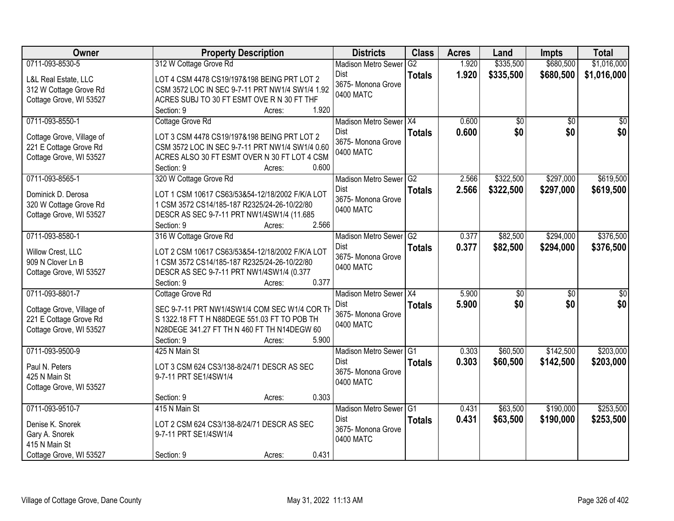| Owner                     | <b>Property Description</b>                     |                 | <b>Districts</b>           | <b>Class</b>  | <b>Acres</b> | Land            | <b>Impts</b>    | <b>Total</b>    |
|---------------------------|-------------------------------------------------|-----------------|----------------------------|---------------|--------------|-----------------|-----------------|-----------------|
| 0711-093-8530-5           | 312 W Cottage Grove Rd                          |                 | <b>Madison Metro Sewer</b> | G2            | 1.920        | \$335,500       | \$680,500       | \$1,016,000     |
| L&L Real Estate, LLC      | LOT 4 CSM 4478 CS19/197&198 BEING PRT LOT 2     |                 | Dist                       | <b>Totals</b> | 1.920        | \$335,500       | \$680,500       | \$1,016,000     |
| 312 W Cottage Grove Rd    | CSM 3572 LOC IN SEC 9-7-11 PRT NW1/4 SW1/4 1.92 |                 | 3675- Monona Grove         |               |              |                 |                 |                 |
| Cottage Grove, WI 53527   | ACRES SUBJ TO 30 FT ESMT OVE R N 30 FT THF      |                 | 0400 MATC                  |               |              |                 |                 |                 |
|                           | Section: 9                                      | 1.920<br>Acres: |                            |               |              |                 |                 |                 |
| 0711-093-8550-1           | Cottage Grove Rd                                |                 | Madison Metro Sewer X4     |               | 0.600        | $\overline{50}$ | $\overline{30}$ | $\overline{50}$ |
|                           |                                                 |                 | <b>Dist</b>                | <b>Totals</b> | 0.600        | \$0             | \$0             | \$0             |
| Cottage Grove, Village of | LOT 3 CSM 4478 CS19/197&198 BEING PRT LOT 2     |                 | 3675- Monona Grove         |               |              |                 |                 |                 |
| 221 E Cottage Grove Rd    | CSM 3572 LOC IN SEC 9-7-11 PRT NW1/4 SW1/4 0.60 |                 | 0400 MATC                  |               |              |                 |                 |                 |
| Cottage Grove, WI 53527   | ACRES ALSO 30 FT ESMT OVER N 30 FT LOT 4 CSM    |                 |                            |               |              |                 |                 |                 |
|                           | Section: 9                                      | 0.600<br>Acres: |                            |               |              |                 |                 |                 |
| 0711-093-8565-1           | 320 W Cottage Grove Rd                          |                 | Madison Metro Sewer G2     |               | 2.566        | \$322,500       | \$297,000       | \$619,500       |
| Dominick D. Derosa        | LOT 1 CSM 10617 CS63/53&54-12/18/2002 F/K/A LOT |                 | Dist                       | <b>Totals</b> | 2.566        | \$322,500       | \$297,000       | \$619,500       |
| 320 W Cottage Grove Rd    | 1 CSM 3572 CS14/185-187 R2325/24-26-10/22/80    |                 | 3675- Monona Grove         |               |              |                 |                 |                 |
| Cottage Grove, WI 53527   | DESCR AS SEC 9-7-11 PRT NW1/4SW1/4 (11.685      |                 | 0400 MATC                  |               |              |                 |                 |                 |
|                           | Section: 9                                      | 2.566<br>Acres: |                            |               |              |                 |                 |                 |
| 0711-093-8580-1           | 316 W Cottage Grove Rd                          |                 | Madison Metro Sewer G2     |               | 0.377        | \$82,500        | \$294,000       | \$376,500       |
|                           |                                                 |                 | Dist                       | <b>Totals</b> | 0.377        | \$82,500        | \$294,000       | \$376,500       |
| Willow Crest, LLC         | LOT 2 CSM 10617 CS63/53&54-12/18/2002 F/K/A LOT |                 | 3675- Monona Grove         |               |              |                 |                 |                 |
| 909 N Clover Ln B         | 1 CSM 3572 CS14/185-187 R2325/24-26-10/22/80    |                 | 0400 MATC                  |               |              |                 |                 |                 |
| Cottage Grove, WI 53527   | DESCR AS SEC 9-7-11 PRT NW1/4SW1/4 (0.377       |                 |                            |               |              |                 |                 |                 |
|                           | Section: 9                                      | 0.377<br>Acres: |                            |               |              |                 |                 |                 |
| 0711-093-8801-7           | Cottage Grove Rd                                |                 | Madison Metro Sewer X4     |               | 5.900        | \$0             | $\overline{50}$ | \$0             |
| Cottage Grove, Village of | SEC 9-7-11 PRT NW1/4SW1/4 COM SEC W1/4 COR TH   |                 | Dist                       | <b>Totals</b> | 5.900        | \$0             | \$0             | \$0             |
| 221 E Cottage Grove Rd    | S 1322.18 FT T H N88DEGE 551.03 FT TO POB TH    |                 | 3675- Monona Grove         |               |              |                 |                 |                 |
| Cottage Grove, WI 53527   | N28DEGE 341.27 FT TH N 460 FT TH N14DEGW 60     |                 | 0400 MATC                  |               |              |                 |                 |                 |
|                           | Section: 9                                      | 5.900<br>Acres: |                            |               |              |                 |                 |                 |
| 0711-093-9500-9           | 425 N Main St                                   |                 | Madison Metro Sewer G1     |               | 0.303        | \$60,500        | \$142,500       | \$203,000       |
| Paul N. Peters            | LOT 3 CSM 624 CS3/138-8/24/71 DESCR AS SEC      |                 | Dist                       | <b>Totals</b> | 0.303        | \$60,500        | \$142,500       | \$203,000       |
| 425 N Main St             | 9-7-11 PRT SE1/4SW1/4                           |                 | 3675- Monona Grove         |               |              |                 |                 |                 |
| Cottage Grove, WI 53527   |                                                 |                 | 0400 MATC                  |               |              |                 |                 |                 |
|                           | Section: 9                                      | 0.303<br>Acres: |                            |               |              |                 |                 |                 |
| 0711-093-9510-7           | 415 N Main St                                   |                 | Madison Metro Sewer G1     |               | 0.431        | \$63,500        | \$190,000       | \$253,500       |
|                           |                                                 |                 | Dist                       | <b>Totals</b> | 0.431        | \$63,500        | \$190,000       | \$253,500       |
| Denise K. Snorek          | LOT 2 CSM 624 CS3/138-8/24/71 DESCR AS SEC      |                 | 3675- Monona Grove         |               |              |                 |                 |                 |
| Gary A. Snorek            | 9-7-11 PRT SE1/4SW1/4                           |                 | 0400 MATC                  |               |              |                 |                 |                 |
| 415 N Main St             |                                                 |                 |                            |               |              |                 |                 |                 |
| Cottage Grove, WI 53527   | Section: 9                                      | 0.431<br>Acres: |                            |               |              |                 |                 |                 |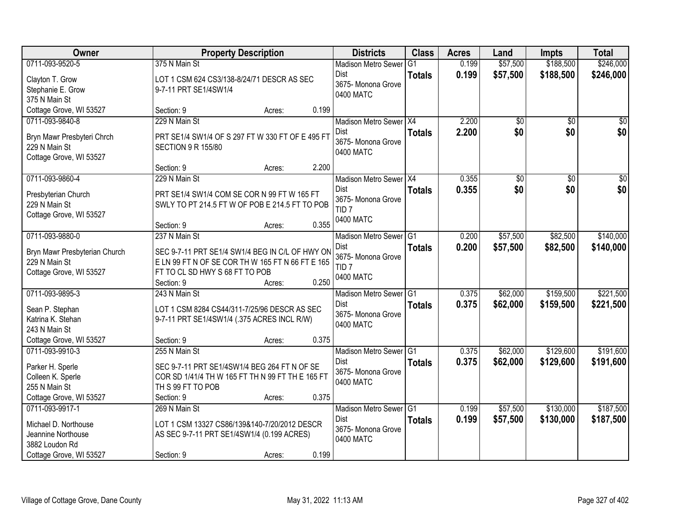| <b>Owner</b>                                                                                         | <b>Property Description</b>                                                                                                                                             | <b>Districts</b>                                                                      | <b>Class</b>  | <b>Acres</b>   | Land                   | <b>Impts</b>           | <b>Total</b>           |
|------------------------------------------------------------------------------------------------------|-------------------------------------------------------------------------------------------------------------------------------------------------------------------------|---------------------------------------------------------------------------------------|---------------|----------------|------------------------|------------------------|------------------------|
| 0711-093-9520-5                                                                                      | 375 N Main St                                                                                                                                                           | <b>Madison Metro Sewer</b>                                                            | G1            | 0.199          | \$57,500               | \$188,500              | \$246,000              |
| Clayton T. Grow<br>Stephanie E. Grow<br>375 N Main St                                                | LOT 1 CSM 624 CS3/138-8/24/71 DESCR AS SEC<br>9-7-11 PRT SE1/4SW1/4                                                                                                     | Dist<br>3675- Monona Grove<br>0400 MATC                                               | <b>Totals</b> | 0.199          | \$57,500               | \$188,500              | \$246,000              |
| Cottage Grove, WI 53527                                                                              | 0.199<br>Section: 9<br>Acres:                                                                                                                                           |                                                                                       |               |                |                        |                        |                        |
| 0711-093-9840-8<br>Bryn Mawr Presbyteri Chrch<br>229 N Main St<br>Cottage Grove, WI 53527            | 229 N Main St<br>PRT SE1/4 SW1/4 OF S 297 FT W 330 FT OF E 495 FT<br><b>SECTION 9 R 155/80</b>                                                                          | Madison Metro Sewer X4<br>Dist<br>3675-Monona Grove<br>0400 MATC                      | <b>Totals</b> | 2.200<br>2.200 | $\overline{50}$<br>\$0 | $\overline{30}$<br>\$0 | $\sqrt{50}$<br>\$0     |
|                                                                                                      | 2.200<br>Section: 9<br>Acres:                                                                                                                                           |                                                                                       |               |                |                        |                        |                        |
| 0711-093-9860-4<br>Presbyterian Church<br>229 N Main St<br>Cottage Grove, WI 53527                   | 229 N Main St<br>PRT SE1/4 SW1/4 COM SE COR N 99 FT W 165 FT<br>SWLY TO PT 214.5 FT W OF POB E 214.5 FT TO POB<br>0.355<br>Section: 9<br>Acres:                         | Madison Metro Sewer X4<br>Dist<br>3675- Monona Grove<br>TID <sub>7</sub><br>0400 MATC | <b>Totals</b> | 0.355<br>0.355 | \$0<br>\$0             | $\overline{50}$<br>\$0 | $\overline{50}$<br>\$0 |
| 0711-093-9880-0                                                                                      | 237 N Main St                                                                                                                                                           | Madison Metro Sewer G1                                                                |               | 0.200          | \$57,500               | \$82,500               | \$140,000              |
| Bryn Mawr Presbyterian Church<br>229 N Main St<br>Cottage Grove, WI 53527                            | SEC 9-7-11 PRT SE1/4 SW1/4 BEG IN C/L OF HWY ON<br>ELN 99 FT N OF SE COR TH W 165 FT N 66 FT E 165<br>FT TO CL SD HWY S 68 FT TO POB<br>0.250<br>Section: 9<br>Acres:   | Dist<br>3675- Monona Grove<br>TID <sub>7</sub><br>0400 MATC                           | <b>Totals</b> | 0.200          | \$57,500               | \$82,500               | \$140,000              |
| 0711-093-9895-3<br>Sean P. Stephan<br>Katrina K. Stehan<br>243 N Main St                             | 243 N Main St<br>LOT 1 CSM 8284 CS44/311-7/25/96 DESCR AS SEC<br>9-7-11 PRT SE1/4SW1/4 (.375 ACRES INCL R/W)                                                            | Madison Metro Sewer G1<br>Dist<br>3675- Monona Grove<br>0400 MATC                     | <b>Totals</b> | 0.375<br>0.375 | \$62,000<br>\$62,000   | \$159,500<br>\$159,500 | \$221,500<br>\$221,500 |
| Cottage Grove, WI 53527                                                                              | 0.375<br>Section: 9<br>Acres:                                                                                                                                           |                                                                                       |               |                |                        |                        |                        |
| 0711-093-9910-3<br>Parker H. Sperle<br>Colleen K. Sperle<br>255 N Main St<br>Cottage Grove, WI 53527 | 255 N Main St<br>SEC 9-7-11 PRT SE1/4SW1/4 BEG 264 FT N OF SE<br>COR SD 1/41/4 TH W 165 FT TH N 99 FT TH E 165 FT<br>TH S 99 FT TO POB<br>0.375<br>Section: 9<br>Acres: | Madison Metro Sewer G1<br>Dist<br>3675- Monona Grove<br>0400 MATC                     | <b>Totals</b> | 0.375<br>0.375 | \$62,000<br>\$62,000   | \$129,600<br>\$129,600 | \$191,600<br>\$191,600 |
| 0711-093-9917-1                                                                                      | 269 N Main St                                                                                                                                                           | Madison Metro Sewer G1                                                                |               | 0.199          | \$57,500               | \$130,000              | \$187,500              |
| Michael D. Northouse<br>Jeannine Northouse<br>3882 Loudon Rd<br>Cottage Grove, WI 53527              | LOT 1 CSM 13327 CS86/139&140-7/20/2012 DESCR<br>AS SEC 9-7-11 PRT SE1/4SW1/4 (0.199 ACRES)<br>0.199<br>Section: 9<br>Acres:                                             | Dist<br>3675- Monona Grove<br>0400 MATC                                               | <b>Totals</b> | 0.199          | \$57,500               | \$130,000              | \$187,500              |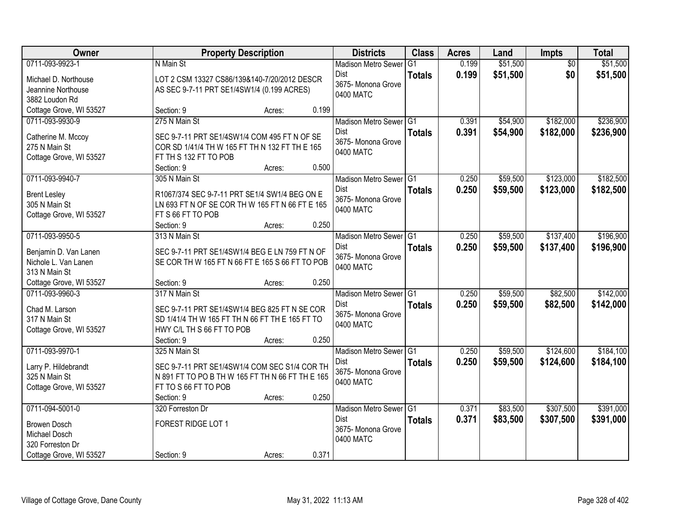| Owner                   | <b>Property Description</b>                      |        |       | <b>Districts</b>                | <b>Class</b>   | <b>Acres</b> | Land     | Impts           | <b>Total</b> |
|-------------------------|--------------------------------------------------|--------|-------|---------------------------------|----------------|--------------|----------|-----------------|--------------|
| 0711-093-9923-1         | N Main St                                        |        |       | <b>Madison Metro Sewer</b>      | G <sub>1</sub> | 0.199        | \$51,500 | $\overline{50}$ | \$51,500     |
| Michael D. Northouse    | LOT 2 CSM 13327 CS86/139&140-7/20/2012 DESCR     |        |       | Dist                            | <b>Totals</b>  | 0.199        | \$51,500 | \$0             | \$51,500     |
| Jeannine Northouse      | AS SEC 9-7-11 PRT SE1/4SW1/4 (0.199 ACRES)       |        |       | 3675- Monona Grove<br>0400 MATC |                |              |          |                 |              |
| 3882 Loudon Rd          |                                                  |        |       |                                 |                |              |          |                 |              |
| Cottage Grove, WI 53527 | Section: 9                                       | Acres: | 0.199 |                                 |                |              |          |                 |              |
| 0711-093-9930-9         | 275 N Main St                                    |        |       | Madison Metro Sewer G1          |                | 0.391        | \$54,900 | \$182,000       | \$236,900    |
| Catherine M. Mccoy      | SEC 9-7-11 PRT SE1/4SW1/4 COM 495 FT N OF SE     |        |       | <b>Dist</b>                     | <b>Totals</b>  | 0.391        | \$54,900 | \$182,000       | \$236,900    |
| 275 N Main St           | COR SD 1/41/4 TH W 165 FT TH N 132 FT TH E 165   |        |       | 3675- Monona Grove              |                |              |          |                 |              |
| Cottage Grove, WI 53527 | FT TH S 132 FT TO POB                            |        |       | 0400 MATC                       |                |              |          |                 |              |
|                         | Section: 9                                       | Acres: | 0.500 |                                 |                |              |          |                 |              |
| 0711-093-9940-7         | 305 N Main St                                    |        |       | Madison Metro Sewer G1          |                | 0.250        | \$59,500 | \$123,000       | \$182,500    |
| <b>Brent Lesley</b>     | R1067/374 SEC 9-7-11 PRT SE1/4 SW1/4 BEG ON E    |        |       | Dist                            | <b>Totals</b>  | 0.250        | \$59,500 | \$123,000       | \$182,500    |
| 305 N Main St           | LN 693 FT N OF SE COR TH W 165 FT N 66 FT E 165  |        |       | 3675- Monona Grove              |                |              |          |                 |              |
| Cottage Grove, WI 53527 | FT S 66 FT TO POB                                |        |       | 0400 MATC                       |                |              |          |                 |              |
|                         | Section: 9                                       | Acres: | 0.250 |                                 |                |              |          |                 |              |
| 0711-093-9950-5         | 313 N Main St                                    |        |       | Madison Metro Sewer G1          |                | 0.250        | \$59,500 | \$137,400       | \$196,900    |
| Benjamin D. Van Lanen   | SEC 9-7-11 PRT SE1/4SW1/4 BEG E LN 759 FT N OF   |        |       | Dist                            | <b>Totals</b>  | 0.250        | \$59,500 | \$137,400       | \$196,900    |
| Nichole L. Van Lanen    | SE COR TH W 165 FT N 66 FT E 165 S 66 FT TO POB  |        |       | 3675- Monona Grove              |                |              |          |                 |              |
| 313 N Main St           |                                                  |        |       | 0400 MATC                       |                |              |          |                 |              |
| Cottage Grove, WI 53527 | Section: 9                                       | Acres: | 0.250 |                                 |                |              |          |                 |              |
| 0711-093-9960-3         | 317 N Main St                                    |        |       | Madison Metro Sewer G1          |                | 0.250        | \$59,500 | \$82,500        | \$142,000    |
| Chad M. Larson          | SEC 9-7-11 PRT SE1/4SW1/4 BEG 825 FT N SE COR    |        |       | Dist                            | <b>Totals</b>  | 0.250        | \$59,500 | \$82,500        | \$142,000    |
| 317 N Main St           | SD 1/41/4 TH W 165 FT TH N 66 FT TH E 165 FT TO  |        |       | 3675- Monona Grove              |                |              |          |                 |              |
| Cottage Grove, WI 53527 | HWY C/L TH S 66 FT TO POB                        |        |       | 0400 MATC                       |                |              |          |                 |              |
|                         | Section: 9                                       | Acres: | 0.250 |                                 |                |              |          |                 |              |
| 0711-093-9970-1         | 325 N Main St                                    |        |       | Madison Metro Sewer G1          |                | 0.250        | \$59,500 | \$124,600       | \$184,100    |
| Larry P. Hildebrandt    | SEC 9-7-11 PRT SE1/4SW1/4 COM SEC S1/4 COR TH    |        |       | Dist                            | <b>Totals</b>  | 0.250        | \$59,500 | \$124,600       | \$184,100    |
| 325 N Main St           | N 891 FT TO PO B TH W 165 FT TH N 66 FT TH E 165 |        |       | 3675- Monona Grove              |                |              |          |                 |              |
| Cottage Grove, WI 53527 | FT TO S 66 FT TO POB                             |        |       | 0400 MATC                       |                |              |          |                 |              |
|                         | Section: 9                                       | Acres: | 0.250 |                                 |                |              |          |                 |              |
| 0711-094-5001-0         | 320 Forreston Dr                                 |        |       | Madison Metro Sewer G1          |                | 0.371        | \$83,500 | \$307,500       | \$391,000    |
| <b>Browen Dosch</b>     | FOREST RIDGE LOT 1                               |        |       | Dist                            | <b>Totals</b>  | 0.371        | \$83,500 | \$307,500       | \$391,000    |
| Michael Dosch           |                                                  |        |       | 3675- Monona Grove              |                |              |          |                 |              |
| 320 Forreston Dr        |                                                  |        |       | 0400 MATC                       |                |              |          |                 |              |
| Cottage Grove, WI 53527 | Section: 9                                       | Acres: | 0.371 |                                 |                |              |          |                 |              |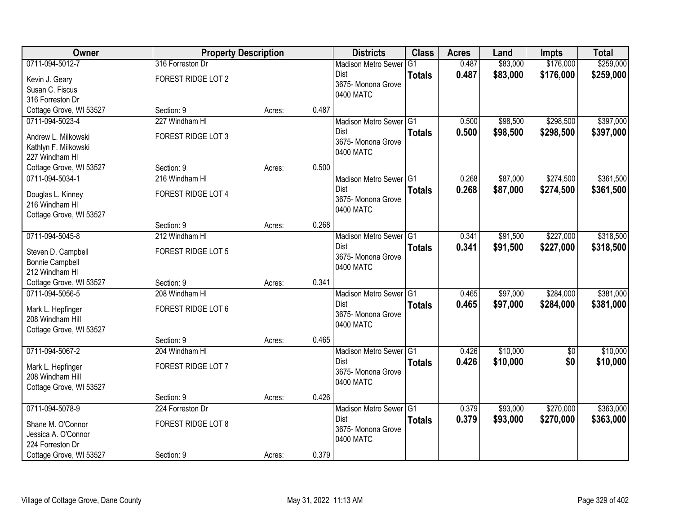| <b>Owner</b>                                 | <b>Property Description</b> |        |       | <b>Districts</b>                  | <b>Class</b>  | <b>Acres</b> | Land     | <b>Impts</b>    | <b>Total</b> |
|----------------------------------------------|-----------------------------|--------|-------|-----------------------------------|---------------|--------------|----------|-----------------|--------------|
| 0711-094-5012-7                              | 316 Forreston Dr            |        |       | <b>Madison Metro Sewer</b>        | G1            | 0.487        | \$83,000 | \$176,000       | \$259,000    |
| Kevin J. Geary                               | <b>FOREST RIDGE LOT 2</b>   |        |       | <b>Dist</b>                       | <b>Totals</b> | 0.487        | \$83,000 | \$176,000       | \$259,000    |
| Susan C. Fiscus                              |                             |        |       | 3675- Monona Grove                |               |              |          |                 |              |
| 316 Forreston Dr                             |                             |        |       | 0400 MATC                         |               |              |          |                 |              |
| Cottage Grove, WI 53527                      | Section: 9                  | Acres: | 0.487 |                                   |               |              |          |                 |              |
| 0711-094-5023-4                              | 227 Windham HI              |        |       | Madison Metro Sewer G1            |               | 0.500        | \$98,500 | \$298,500       | \$397,000    |
| Andrew L. Milkowski                          | FOREST RIDGE LOT 3          |        |       | Dist                              | <b>Totals</b> | 0.500        | \$98,500 | \$298,500       | \$397,000    |
| Kathlyn F. Milkowski                         |                             |        |       | 3675- Monona Grove                |               |              |          |                 |              |
| 227 Windham HI                               |                             |        |       | 0400 MATC                         |               |              |          |                 |              |
| Cottage Grove, WI 53527                      | Section: 9                  | Acres: | 0.500 |                                   |               |              |          |                 |              |
| 0711-094-5034-1                              | 216 Windham HI              |        |       | Madison Metro Sewer G1            |               | 0.268        | \$87,000 | \$274,500       | \$361,500    |
| Douglas L. Kinney                            | FOREST RIDGE LOT 4          |        |       | <b>Dist</b>                       | <b>Totals</b> | 0.268        | \$87,000 | \$274,500       | \$361,500    |
| 216 Windham HI                               |                             |        |       | 3675- Monona Grove                |               |              |          |                 |              |
| Cottage Grove, WI 53527                      |                             |        |       | 0400 MATC                         |               |              |          |                 |              |
|                                              | Section: 9                  | Acres: | 0.268 |                                   |               |              |          |                 |              |
| 0711-094-5045-8                              | 212 Windham HI              |        |       | Madison Metro Sewer G1            |               | 0.341        | \$91,500 | \$227,000       | \$318,500    |
|                                              | FOREST RIDGE LOT 5          |        |       | <b>Dist</b>                       | <b>Totals</b> | 0.341        | \$91,500 | \$227,000       | \$318,500    |
| Steven D. Campbell<br><b>Bonnie Campbell</b> |                             |        |       | 3675- Monona Grove                |               |              |          |                 |              |
| 212 Windham HI                               |                             |        |       | 0400 MATC                         |               |              |          |                 |              |
| Cottage Grove, WI 53527                      | Section: 9                  | Acres: | 0.341 |                                   |               |              |          |                 |              |
| 0711-094-5056-5                              | 208 Windham HI              |        |       | Madison Metro Sewer G1            |               | 0.465        | \$97,000 | \$284,000       | \$381,000    |
|                                              |                             |        |       | <b>Dist</b>                       | <b>Totals</b> | 0.465        | \$97,000 | \$284,000       | \$381,000    |
| Mark L. Hepfinger                            | FOREST RIDGE LOT 6          |        |       | 3675- Monona Grove                |               |              |          |                 |              |
| 208 Windham Hill                             |                             |        |       | 0400 MATC                         |               |              |          |                 |              |
| Cottage Grove, WI 53527                      | Section: 9                  |        | 0.465 |                                   |               |              |          |                 |              |
| 0711-094-5067-2                              | 204 Windham HI              | Acres: |       | Madison Metro Sewer G1            |               | 0.426        | \$10,000 | $\overline{50}$ | \$10,000     |
|                                              |                             |        |       | Dist                              | <b>Totals</b> | 0.426        | \$10,000 | \$0             | \$10,000     |
| Mark L. Hepfinger                            | FOREST RIDGE LOT 7          |        |       | 3675- Monona Grove                |               |              |          |                 |              |
| 208 Windham Hill                             |                             |        |       | 0400 MATC                         |               |              |          |                 |              |
| Cottage Grove, WI 53527                      |                             |        |       |                                   |               |              |          |                 |              |
|                                              | Section: 9                  | Acres: | 0.426 |                                   |               |              |          |                 |              |
| 0711-094-5078-9                              | 224 Forreston Dr            |        |       | Madison Metro Sewer G1            |               | 0.379        | \$93,000 | \$270,000       | \$363,000    |
| Shane M. O'Connor                            | FOREST RIDGE LOT 8          |        |       | <b>Dist</b><br>3675- Monona Grove | <b>Totals</b> | 0.379        | \$93,000 | \$270,000       | \$363,000    |
| Jessica A. O'Connor                          |                             |        |       | 0400 MATC                         |               |              |          |                 |              |
| 224 Forreston Dr                             |                             |        |       |                                   |               |              |          |                 |              |
| Cottage Grove, WI 53527                      | Section: 9                  | Acres: | 0.379 |                                   |               |              |          |                 |              |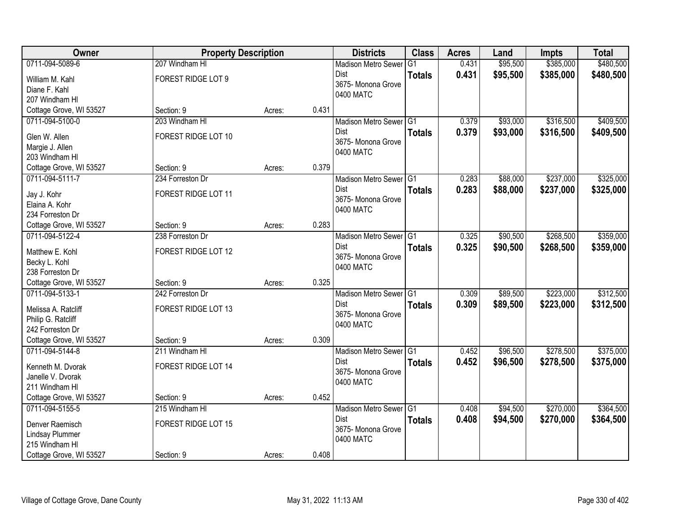| Owner                                      | <b>Property Description</b> |        |       | <b>Districts</b>               | <b>Class</b>  | <b>Acres</b> | Land     | <b>Impts</b> | <b>Total</b> |
|--------------------------------------------|-----------------------------|--------|-------|--------------------------------|---------------|--------------|----------|--------------|--------------|
| 0711-094-5089-6                            | 207 Windham HI              |        |       | <b>Madison Metro Sewer</b>     | G1            | 0.431        | \$95,500 | \$385,000    | \$480,500    |
| William M. Kahl                            | FOREST RIDGE LOT 9          |        |       | Dist                           | <b>Totals</b> | 0.431        | \$95,500 | \$385,000    | \$480,500    |
| Diane F. Kahl                              |                             |        |       | 3675- Monona Grove             |               |              |          |              |              |
| 207 Windham HI                             |                             |        |       | 0400 MATC                      |               |              |          |              |              |
| Cottage Grove, WI 53527                    | Section: 9                  | Acres: | 0.431 |                                |               |              |          |              |              |
| 0711-094-5100-0                            | 203 Windham HI              |        |       | Madison Metro Sewer G1         |               | 0.379        | \$93,000 | \$316,500    | \$409,500    |
| Glen W. Allen                              | FOREST RIDGE LOT 10         |        |       | Dist                           | <b>Totals</b> | 0.379        | \$93,000 | \$316,500    | \$409,500    |
| Margie J. Allen                            |                             |        |       | 3675- Monona Grove             |               |              |          |              |              |
| 203 Windham HI                             |                             |        |       | 0400 MATC                      |               |              |          |              |              |
| Cottage Grove, WI 53527                    | Section: 9                  | Acres: | 0.379 |                                |               |              |          |              |              |
| 0711-094-5111-7                            | 234 Forreston Dr            |        |       | Madison Metro Sewer G1         |               | 0.283        | \$88,000 | \$237,000    | \$325,000    |
| Jay J. Kohr                                | FOREST RIDGE LOT 11         |        |       | Dist                           | <b>Totals</b> | 0.283        | \$88,000 | \$237,000    | \$325,000    |
| Elaina A. Kohr                             |                             |        |       | 3675- Monona Grove             |               |              |          |              |              |
| 234 Forreston Dr                           |                             |        |       | 0400 MATC                      |               |              |          |              |              |
| Cottage Grove, WI 53527                    | Section: 9                  | Acres: | 0.283 |                                |               |              |          |              |              |
| 0711-094-5122-4                            | 238 Forreston Dr            |        |       | Madison Metro Sewer G1         |               | 0.325        | \$90,500 | \$268,500    | \$359,000    |
|                                            |                             |        |       | Dist                           | <b>Totals</b> | 0.325        | \$90,500 | \$268,500    | \$359,000    |
| Matthew E. Kohl<br>Becky L. Kohl           | FOREST RIDGE LOT 12         |        |       | 3675- Monona Grove             |               |              |          |              |              |
| 238 Forreston Dr                           |                             |        |       | 0400 MATC                      |               |              |          |              |              |
| Cottage Grove, WI 53527                    | Section: 9                  | Acres: | 0.325 |                                |               |              |          |              |              |
| 0711-094-5133-1                            | 242 Forreston Dr            |        |       | Madison Metro Sewer G1         |               | 0.309        | \$89,500 | \$223,000    | \$312,500    |
|                                            |                             |        |       | Dist                           | <b>Totals</b> | 0.309        | \$89,500 | \$223,000    | \$312,500    |
| Melissa A. Ratcliff                        | FOREST RIDGE LOT 13         |        |       | 3675- Monona Grove             |               |              |          |              |              |
| Philip G. Ratcliff                         |                             |        |       | 0400 MATC                      |               |              |          |              |              |
| 242 Forreston Dr                           |                             |        | 0.309 |                                |               |              |          |              |              |
| Cottage Grove, WI 53527<br>0711-094-5144-8 | Section: 9                  | Acres: |       |                                |               | 0.452        | \$96,500 | \$278,500    | \$375,000    |
|                                            | 211 Windham HI              |        |       | Madison Metro Sewer G1<br>Dist |               | 0.452        | \$96,500 | \$278,500    |              |
| Kenneth M. Dvorak                          | FOREST RIDGE LOT 14         |        |       | 3675- Monona Grove             | <b>Totals</b> |              |          |              | \$375,000    |
| Janelle V. Dvorak                          |                             |        |       | 0400 MATC                      |               |              |          |              |              |
| 211 Windham HI                             |                             |        |       |                                |               |              |          |              |              |
| Cottage Grove, WI 53527                    | Section: 9                  | Acres: | 0.452 |                                |               |              |          |              |              |
| 0711-094-5155-5                            | 215 Windham HI              |        |       | Madison Metro Sewer G1         |               | 0.408        | \$94,500 | \$270,000    | \$364,500    |
| Denver Raemisch                            | FOREST RIDGE LOT 15         |        |       | Dist                           | <b>Totals</b> | 0.408        | \$94,500 | \$270,000    | \$364,500    |
| Lindsay Plummer                            |                             |        |       | 3675- Monona Grove             |               |              |          |              |              |
| 215 Windham HI                             |                             |        |       | 0400 MATC                      |               |              |          |              |              |
| Cottage Grove, WI 53527                    | Section: 9                  | Acres: | 0.408 |                                |               |              |          |              |              |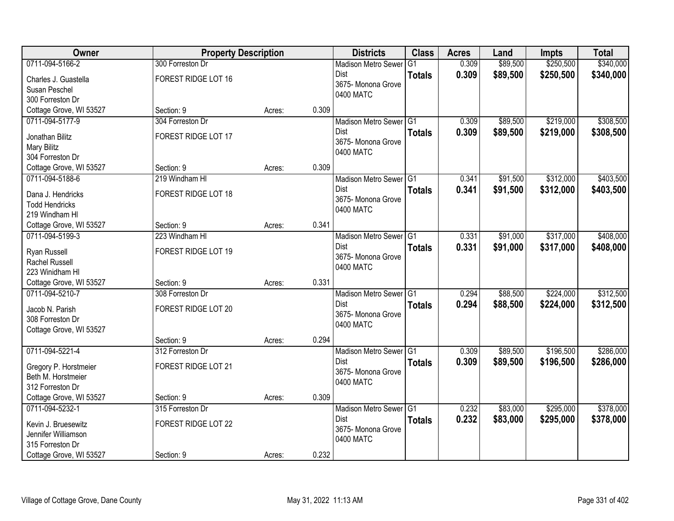| Owner                   | <b>Property Description</b> |        |       | <b>Districts</b>           | <b>Class</b>  | <b>Acres</b> | Land     | <b>Impts</b> | <b>Total</b> |
|-------------------------|-----------------------------|--------|-------|----------------------------|---------------|--------------|----------|--------------|--------------|
| 0711-094-5166-2         | 300 Forreston Dr            |        |       | <b>Madison Metro Sewer</b> | G1            | 0.309        | \$89,500 | \$250,500    | \$340,000    |
| Charles J. Guastella    | FOREST RIDGE LOT 16         |        |       | Dist                       | <b>Totals</b> | 0.309        | \$89,500 | \$250,500    | \$340,000    |
| Susan Peschel           |                             |        |       | 3675- Monona Grove         |               |              |          |              |              |
| 300 Forreston Dr        |                             |        |       | 0400 MATC                  |               |              |          |              |              |
| Cottage Grove, WI 53527 | Section: 9                  | Acres: | 0.309 |                            |               |              |          |              |              |
| 0711-094-5177-9         | 304 Forreston Dr            |        |       | Madison Metro Sewer G1     |               | 0.309        | \$89,500 | \$219,000    | \$308,500    |
| Jonathan Bilitz         | FOREST RIDGE LOT 17         |        |       | Dist                       | <b>Totals</b> | 0.309        | \$89,500 | \$219,000    | \$308,500    |
| Mary Bilitz             |                             |        |       | 3675- Monona Grove         |               |              |          |              |              |
| 304 Forreston Dr        |                             |        |       | 0400 MATC                  |               |              |          |              |              |
| Cottage Grove, WI 53527 | Section: 9                  | Acres: | 0.309 |                            |               |              |          |              |              |
| 0711-094-5188-6         | 219 Windham HI              |        |       | Madison Metro Sewer G1     |               | 0.341        | \$91,500 | \$312,000    | \$403,500    |
| Dana J. Hendricks       | FOREST RIDGE LOT 18         |        |       | <b>Dist</b>                | <b>Totals</b> | 0.341        | \$91,500 | \$312,000    | \$403,500    |
| <b>Todd Hendricks</b>   |                             |        |       | 3675- Monona Grove         |               |              |          |              |              |
| 219 Windham HI          |                             |        |       | 0400 MATC                  |               |              |          |              |              |
| Cottage Grove, WI 53527 | Section: 9                  | Acres: | 0.341 |                            |               |              |          |              |              |
| 0711-094-5199-3         | 223 Windham HI              |        |       | Madison Metro Sewer G1     |               | 0.331        | \$91,000 | \$317,000    | \$408,000    |
| Ryan Russell            | FOREST RIDGE LOT 19         |        |       | <b>Dist</b>                | <b>Totals</b> | 0.331        | \$91,000 | \$317,000    | \$408,000    |
| Rachel Russell          |                             |        |       | 3675- Monona Grove         |               |              |          |              |              |
| 223 Winidham HI         |                             |        |       | 0400 MATC                  |               |              |          |              |              |
| Cottage Grove, WI 53527 | Section: 9                  | Acres: | 0.331 |                            |               |              |          |              |              |
| 0711-094-5210-7         | 308 Forreston Dr            |        |       | Madison Metro Sewer G1     |               | 0.294        | \$88,500 | \$224,000    | \$312,500    |
| Jacob N. Parish         | FOREST RIDGE LOT 20         |        |       | <b>Dist</b>                | <b>Totals</b> | 0.294        | \$88,500 | \$224,000    | \$312,500    |
| 308 Forreston Dr        |                             |        |       | 3675-Monona Grove          |               |              |          |              |              |
| Cottage Grove, WI 53527 |                             |        |       | 0400 MATC                  |               |              |          |              |              |
|                         | Section: 9                  | Acres: | 0.294 |                            |               |              |          |              |              |
| 0711-094-5221-4         | 312 Forreston Dr            |        |       | Madison Metro Sewer G1     |               | 0.309        | \$89,500 | \$196,500    | \$286,000    |
| Gregory P. Horstmeier   | FOREST RIDGE LOT 21         |        |       | Dist                       | <b>Totals</b> | 0.309        | \$89,500 | \$196,500    | \$286,000    |
| Beth M. Horstmeier      |                             |        |       | 3675- Monona Grove         |               |              |          |              |              |
| 312 Forreston Dr        |                             |        |       | 0400 MATC                  |               |              |          |              |              |
| Cottage Grove, WI 53527 | Section: 9                  | Acres: | 0.309 |                            |               |              |          |              |              |
| 0711-094-5232-1         | 315 Forreston Dr            |        |       | Madison Metro Sewer G1     |               | 0.232        | \$83,000 | \$295,000    | \$378,000    |
| Kevin J. Bruesewitz     | FOREST RIDGE LOT 22         |        |       | <b>Dist</b>                | <b>Totals</b> | 0.232        | \$83,000 | \$295,000    | \$378,000    |
| Jennifer Williamson     |                             |        |       | 3675- Monona Grove         |               |              |          |              |              |
| 315 Forreston Dr        |                             |        |       | 0400 MATC                  |               |              |          |              |              |
| Cottage Grove, WI 53527 | Section: 9                  | Acres: | 0.232 |                            |               |              |          |              |              |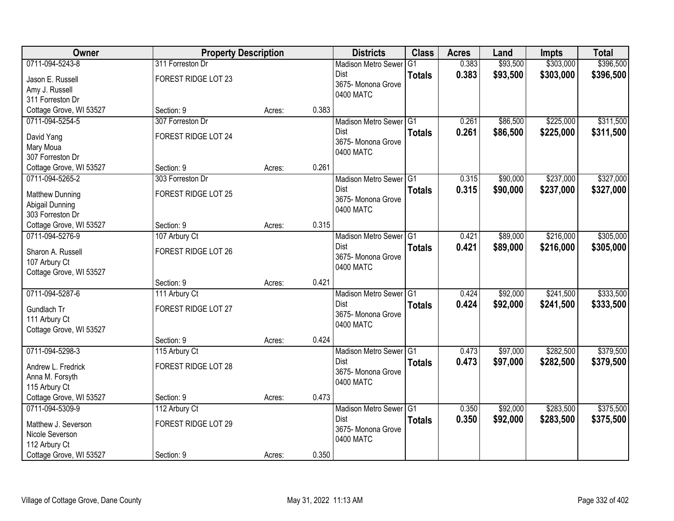| Owner                   | <b>Property Description</b> |        |       | <b>Districts</b>                    | <b>Class</b>  | <b>Acres</b> | Land     | <b>Impts</b> | <b>Total</b> |
|-------------------------|-----------------------------|--------|-------|-------------------------------------|---------------|--------------|----------|--------------|--------------|
| 0711-094-5243-8         | 311 Forreston Dr            |        |       | <b>Madison Metro Sewer</b>          | G1            | 0.383        | \$93,500 | \$303,000    | \$396,500    |
| Jason E. Russell        | FOREST RIDGE LOT 23         |        |       | Dist                                | <b>Totals</b> | 0.383        | \$93,500 | \$303,000    | \$396,500    |
| Amy J. Russell          |                             |        |       | 3675- Monona Grove                  |               |              |          |              |              |
| 311 Forreston Dr        |                             |        |       | 0400 MATC                           |               |              |          |              |              |
| Cottage Grove, WI 53527 | Section: 9                  | Acres: | 0.383 |                                     |               |              |          |              |              |
| 0711-094-5254-5         | 307 Forreston Dr            |        |       | Madison Metro Sewer G1              |               | 0.261        | \$86,500 | \$225,000    | \$311,500    |
| David Yang              | FOREST RIDGE LOT 24         |        |       | Dist                                | <b>Totals</b> | 0.261        | \$86,500 | \$225,000    | \$311,500    |
| Mary Moua               |                             |        |       | 3675- Monona Grove                  |               |              |          |              |              |
| 307 Forreston Dr        |                             |        |       | 0400 MATC                           |               |              |          |              |              |
| Cottage Grove, WI 53527 | Section: 9                  | Acres: | 0.261 |                                     |               |              |          |              |              |
| 0711-094-5265-2         | 303 Forreston Dr            |        |       | Madison Metro Sewer G1              |               | 0.315        | \$90,000 | \$237,000    | \$327,000    |
| <b>Matthew Dunning</b>  | FOREST RIDGE LOT 25         |        |       | Dist                                | <b>Totals</b> | 0.315        | \$90,000 | \$237,000    | \$327,000    |
| Abigail Dunning         |                             |        |       | 3675- Monona Grove                  |               |              |          |              |              |
| 303 Forreston Dr        |                             |        |       | 0400 MATC                           |               |              |          |              |              |
| Cottage Grove, WI 53527 | Section: 9                  | Acres: | 0.315 |                                     |               |              |          |              |              |
| 0711-094-5276-9         | 107 Arbury Ct               |        |       | Madison Metro Sewer G1              |               | 0.421        | \$89,000 | \$216,000    | \$305,000    |
| Sharon A. Russell       | FOREST RIDGE LOT 26         |        |       | Dist                                | <b>Totals</b> | 0.421        | \$89,000 | \$216,000    | \$305,000    |
| 107 Arbury Ct           |                             |        |       | 3675- Monona Grove                  |               |              |          |              |              |
| Cottage Grove, WI 53527 |                             |        |       | 0400 MATC                           |               |              |          |              |              |
|                         | Section: 9                  | Acres: | 0.421 |                                     |               |              |          |              |              |
| 0711-094-5287-6         | 111 Arbury Ct               |        |       | Madison Metro Sewer G1              |               | 0.424        | \$92,000 | \$241,500    | \$333,500    |
| Gundlach Tr             | FOREST RIDGE LOT 27         |        |       | Dist                                | <b>Totals</b> | 0.424        | \$92,000 | \$241,500    | \$333,500    |
| 111 Arbury Ct           |                             |        |       | 3675- Monona Grove                  |               |              |          |              |              |
| Cottage Grove, WI 53527 |                             |        |       | 0400 MATC                           |               |              |          |              |              |
|                         | Section: 9                  | Acres: | 0.424 |                                     |               |              |          |              |              |
| 0711-094-5298-3         | 115 Arbury Ct               |        |       | Madison Metro Sewer <sup>1</sup> G1 |               | 0.473        | \$97,000 | \$282,500    | \$379,500    |
| Andrew L. Fredrick      | FOREST RIDGE LOT 28         |        |       | Dist                                | <b>Totals</b> | 0.473        | \$97,000 | \$282,500    | \$379,500    |
| Anna M. Forsyth         |                             |        |       | 3675- Monona Grove                  |               |              |          |              |              |
| 115 Arbury Ct           |                             |        |       | 0400 MATC                           |               |              |          |              |              |
| Cottage Grove, WI 53527 | Section: 9                  | Acres: | 0.473 |                                     |               |              |          |              |              |
| 0711-094-5309-9         | 112 Arbury Ct               |        |       | Madison Metro Sewer G1              |               | 0.350        | \$92,000 | \$283,500    | \$375,500    |
| Matthew J. Severson     | FOREST RIDGE LOT 29         |        |       | Dist                                | <b>Totals</b> | 0.350        | \$92,000 | \$283,500    | \$375,500    |
| Nicole Severson         |                             |        |       | 3675- Monona Grove                  |               |              |          |              |              |
| 112 Arbury Ct           |                             |        |       | 0400 MATC                           |               |              |          |              |              |
| Cottage Grove, WI 53527 | Section: 9                  | Acres: | 0.350 |                                     |               |              |          |              |              |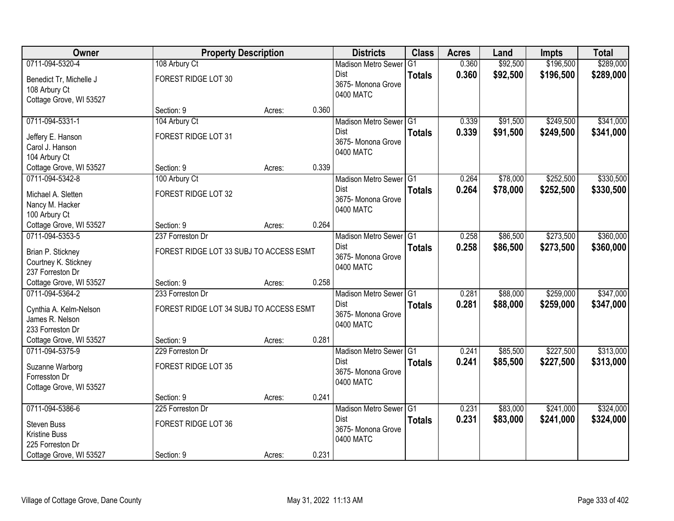| Owner                   | <b>Property Description</b>             |        |       | <b>Districts</b>           | <b>Class</b>  | <b>Acres</b> | Land     | <b>Impts</b> | <b>Total</b> |
|-------------------------|-----------------------------------------|--------|-------|----------------------------|---------------|--------------|----------|--------------|--------------|
| 0711-094-5320-4         | 108 Arbury Ct                           |        |       | <b>Madison Metro Sewer</b> | G1            | 0.360        | \$92,500 | \$196,500    | \$289,000    |
| Benedict Tr, Michelle J | FOREST RIDGE LOT 30                     |        |       | Dist                       | <b>Totals</b> | 0.360        | \$92,500 | \$196,500    | \$289,000    |
| 108 Arbury Ct           |                                         |        |       | 3675- Monona Grove         |               |              |          |              |              |
| Cottage Grove, WI 53527 |                                         |        |       | 0400 MATC                  |               |              |          |              |              |
|                         | Section: 9                              | Acres: | 0.360 |                            |               |              |          |              |              |
| 0711-094-5331-1         | 104 Arbury Ct                           |        |       | Madison Metro Sewer G1     |               | 0.339        | \$91,500 | \$249,500    | \$341,000    |
| Jeffery E. Hanson       | FOREST RIDGE LOT 31                     |        |       | <b>Dist</b>                | <b>Totals</b> | 0.339        | \$91,500 | \$249,500    | \$341,000    |
| Carol J. Hanson         |                                         |        |       | 3675- Monona Grove         |               |              |          |              |              |
| 104 Arbury Ct           |                                         |        |       | 0400 MATC                  |               |              |          |              |              |
| Cottage Grove, WI 53527 | Section: 9                              | Acres: | 0.339 |                            |               |              |          |              |              |
| 0711-094-5342-8         | 100 Arbury Ct                           |        |       | Madison Metro Sewer G1     |               | 0.264        | \$78,000 | \$252,500    | \$330,500    |
| Michael A. Sletten      | FOREST RIDGE LOT 32                     |        |       | Dist                       | <b>Totals</b> | 0.264        | \$78,000 | \$252,500    | \$330,500    |
| Nancy M. Hacker         |                                         |        |       | 3675- Monona Grove         |               |              |          |              |              |
| 100 Arbury Ct           |                                         |        |       | 0400 MATC                  |               |              |          |              |              |
| Cottage Grove, WI 53527 | Section: 9                              | Acres: | 0.264 |                            |               |              |          |              |              |
| 0711-094-5353-5         | 237 Forreston Dr                        |        |       | Madison Metro Sewer G1     |               | 0.258        | \$86,500 | \$273,500    | \$360,000    |
| Brian P. Stickney       | FOREST RIDGE LOT 33 SUBJ TO ACCESS ESMT |        |       | Dist                       | <b>Totals</b> | 0.258        | \$86,500 | \$273,500    | \$360,000    |
| Courtney K. Stickney    |                                         |        |       | 3675- Monona Grove         |               |              |          |              |              |
| 237 Forreston Dr        |                                         |        |       | 0400 MATC                  |               |              |          |              |              |
| Cottage Grove, WI 53527 | Section: 9                              | Acres: | 0.258 |                            |               |              |          |              |              |
| 0711-094-5364-2         | 233 Forreston Dr                        |        |       | Madison Metro Sewer G1     |               | 0.281        | \$88,000 | \$259,000    | \$347,000    |
| Cynthia A. Kelm-Nelson  | FOREST RIDGE LOT 34 SUBJ TO ACCESS ESMT |        |       | <b>Dist</b>                | <b>Totals</b> | 0.281        | \$88,000 | \$259,000    | \$347,000    |
| James R. Nelson         |                                         |        |       | 3675- Monona Grove         |               |              |          |              |              |
| 233 Forreston Dr        |                                         |        |       | 0400 MATC                  |               |              |          |              |              |
| Cottage Grove, WI 53527 | Section: 9                              | Acres: | 0.281 |                            |               |              |          |              |              |
| 0711-094-5375-9         | 229 Forreston Dr                        |        |       | Madison Metro Sewer G1     |               | 0.241        | \$85,500 | \$227,500    | \$313,000    |
| Suzanne Warborg         | FOREST RIDGE LOT 35                     |        |       | Dist                       | <b>Totals</b> | 0.241        | \$85,500 | \$227,500    | \$313,000    |
| Forresston Dr           |                                         |        |       | 3675- Monona Grove         |               |              |          |              |              |
| Cottage Grove, WI 53527 |                                         |        |       | 0400 MATC                  |               |              |          |              |              |
|                         | Section: 9                              | Acres: | 0.241 |                            |               |              |          |              |              |
| 0711-094-5386-6         | 225 Forreston Dr                        |        |       | Madison Metro Sewer G1     |               | 0.231        | \$83,000 | \$241,000    | \$324,000    |
| <b>Steven Buss</b>      | FOREST RIDGE LOT 36                     |        |       | <b>Dist</b>                | <b>Totals</b> | 0.231        | \$83,000 | \$241,000    | \$324,000    |
| <b>Kristine Buss</b>    |                                         |        |       | 3675- Monona Grove         |               |              |          |              |              |
| 225 Forreston Dr        |                                         |        |       | 0400 MATC                  |               |              |          |              |              |
| Cottage Grove, WI 53527 | Section: 9                              | Acres: | 0.231 |                            |               |              |          |              |              |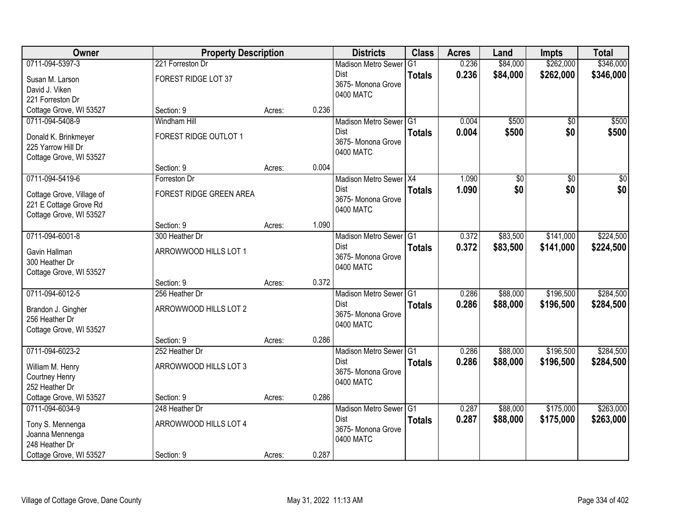| Owner                     | <b>Property Description</b> |        |       | <b>Districts</b>           | <b>Class</b>  | <b>Acres</b> | Land     | <b>Impts</b>    | <b>Total</b>    |
|---------------------------|-----------------------------|--------|-------|----------------------------|---------------|--------------|----------|-----------------|-----------------|
| 0711-094-5397-3           | 221 Forreston Dr            |        |       | <b>Madison Metro Sewer</b> | G1            | 0.236        | \$84,000 | \$262,000       | \$346,000       |
| Susan M. Larson           | FOREST RIDGE LOT 37         |        |       | Dist                       | <b>Totals</b> | 0.236        | \$84,000 | \$262,000       | \$346,000       |
| David J. Viken            |                             |        |       | 3675- Monona Grove         |               |              |          |                 |                 |
| 221 Forreston Dr          |                             |        |       | 0400 MATC                  |               |              |          |                 |                 |
| Cottage Grove, WI 53527   | Section: 9                  | Acres: | 0.236 |                            |               |              |          |                 |                 |
| 0711-094-5408-9           | <b>Windham Hill</b>         |        |       | Madison Metro Sewer G1     |               | 0.004        | \$500    | $\overline{50}$ | \$500           |
| Donald K. Brinkmeyer      | FOREST RIDGE OUTLOT 1       |        |       | <b>Dist</b>                | <b>Totals</b> | 0.004        | \$500    | \$0             | \$500           |
| 225 Yarrow Hill Dr        |                             |        |       | 3675- Monona Grove         |               |              |          |                 |                 |
| Cottage Grove, WI 53527   |                             |        |       | 0400 MATC                  |               |              |          |                 |                 |
|                           | Section: 9                  | Acres: | 0.004 |                            |               |              |          |                 |                 |
| 0711-094-5419-6           | Forreston Dr                |        |       | Madison Metro Sewer X4     |               | 1.090        | \$0      | $\overline{50}$ | $\overline{50}$ |
| Cottage Grove, Village of | FOREST RIDGE GREEN AREA     |        |       | Dist                       | <b>Totals</b> | 1.090        | \$0      | \$0             | \$0             |
| 221 E Cottage Grove Rd    |                             |        |       | 3675- Monona Grove         |               |              |          |                 |                 |
| Cottage Grove, WI 53527   |                             |        |       | 0400 MATC                  |               |              |          |                 |                 |
|                           | Section: 9                  | Acres: | 1.090 |                            |               |              |          |                 |                 |
| 0711-094-6001-8           | 300 Heather Dr              |        |       | Madison Metro Sewer G1     |               | 0.372        | \$83,500 | \$141,000       | \$224,500       |
| Gavin Hallman             | ARROWWOOD HILLS LOT 1       |        |       | Dist                       | <b>Totals</b> | 0.372        | \$83,500 | \$141,000       | \$224,500       |
| 300 Heather Dr            |                             |        |       | 3675- Monona Grove         |               |              |          |                 |                 |
| Cottage Grove, WI 53527   |                             |        |       | 0400 MATC                  |               |              |          |                 |                 |
|                           | Section: 9                  | Acres: | 0.372 |                            |               |              |          |                 |                 |
| 0711-094-6012-5           | 256 Heather Dr              |        |       | Madison Metro Sewer G1     |               | 0.286        | \$88,000 | \$196,500       | \$284,500       |
| Brandon J. Gingher        | ARROWWOOD HILLS LOT 2       |        |       | <b>Dist</b>                | <b>Totals</b> | 0.286        | \$88,000 | \$196,500       | \$284,500       |
| 256 Heather Dr            |                             |        |       | 3675- Monona Grove         |               |              |          |                 |                 |
| Cottage Grove, WI 53527   |                             |        |       | 0400 MATC                  |               |              |          |                 |                 |
|                           | Section: 9                  | Acres: | 0.286 |                            |               |              |          |                 |                 |
| 0711-094-6023-2           | 252 Heather Dr              |        |       | Madison Metro Sewer G1     |               | 0.286        | \$88,000 | \$196,500       | \$284,500       |
| William M. Henry          | ARROWWOOD HILLS LOT 3       |        |       | Dist                       | <b>Totals</b> | 0.286        | \$88,000 | \$196,500       | \$284,500       |
| Courtney Henry            |                             |        |       | 3675- Monona Grove         |               |              |          |                 |                 |
| 252 Heather Dr            |                             |        |       | 0400 MATC                  |               |              |          |                 |                 |
| Cottage Grove, WI 53527   | Section: 9                  | Acres: | 0.286 |                            |               |              |          |                 |                 |
| 0711-094-6034-9           | 248 Heather Dr              |        |       | Madison Metro Sewer G1     |               | 0.287        | \$88,000 | \$175,000       | \$263,000       |
| Tony S. Mennenga          | ARROWWOOD HILLS LOT 4       |        |       | <b>Dist</b>                | <b>Totals</b> | 0.287        | \$88,000 | \$175,000       | \$263,000       |
| Joanna Mennenga           |                             |        |       | 3675- Monona Grove         |               |              |          |                 |                 |
| 248 Heather Dr            |                             |        |       | 0400 MATC                  |               |              |          |                 |                 |
| Cottage Grove, WI 53527   | Section: 9                  | Acres: | 0.287 |                            |               |              |          |                 |                 |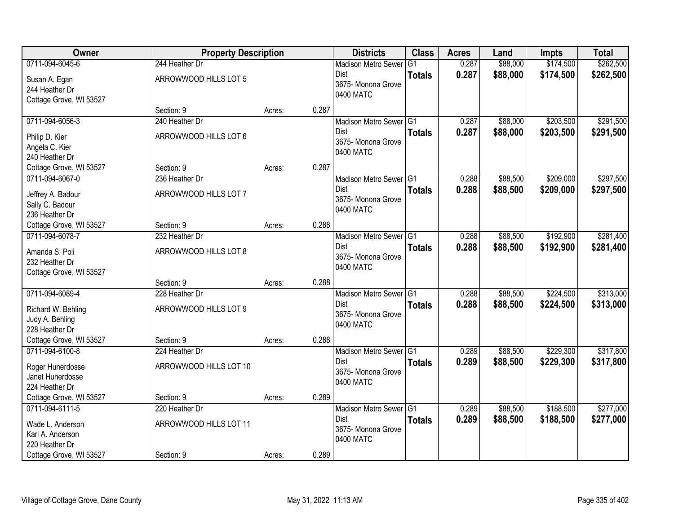| Owner                   | <b>Property Description</b> |        |       | <b>Districts</b>                    | <b>Class</b>  | <b>Acres</b> | Land     | <b>Impts</b> | <b>Total</b> |
|-------------------------|-----------------------------|--------|-------|-------------------------------------|---------------|--------------|----------|--------------|--------------|
| 0711-094-6045-6         | 244 Heather Dr              |        |       | <b>Madison Metro Sewer</b>          | G1            | 0.287        | \$88,000 | \$174,500    | \$262,500    |
| Susan A. Egan           | ARROWWOOD HILLS LOT 5       |        |       | Dist                                | <b>Totals</b> | 0.287        | \$88,000 | \$174,500    | \$262,500    |
| 244 Heather Dr          |                             |        |       | 3675- Monona Grove                  |               |              |          |              |              |
| Cottage Grove, WI 53527 |                             |        |       | 0400 MATC                           |               |              |          |              |              |
|                         | Section: 9                  | Acres: | 0.287 |                                     |               |              |          |              |              |
| 0711-094-6056-3         | 240 Heather Dr              |        |       | Madison Metro Sewer G1              |               | 0.287        | \$88,000 | \$203,500    | \$291,500    |
| Philip D. Kier          | ARROWWOOD HILLS LOT 6       |        |       | Dist                                | <b>Totals</b> | 0.287        | \$88,000 | \$203,500    | \$291,500    |
| Angela C. Kier          |                             |        |       | 3675- Monona Grove<br>0400 MATC     |               |              |          |              |              |
| 240 Heather Dr          |                             |        |       |                                     |               |              |          |              |              |
| Cottage Grove, WI 53527 | Section: 9                  | Acres: | 0.287 |                                     |               |              |          |              |              |
| 0711-094-6067-0         | 236 Heather Dr              |        |       | Madison Metro Sewer G1              |               | 0.288        | \$88,500 | \$209,000    | \$297,500    |
| Jeffrey A. Badour       | ARROWWOOD HILLS LOT 7       |        |       | Dist                                | <b>Totals</b> | 0.288        | \$88,500 | \$209,000    | \$297,500    |
| Sally C. Badour         |                             |        |       | 3675- Monona Grove                  |               |              |          |              |              |
| 236 Heather Dr          |                             |        |       | 0400 MATC                           |               |              |          |              |              |
| Cottage Grove, WI 53527 | Section: 9                  | Acres: | 0.288 |                                     |               |              |          |              |              |
| 0711-094-6078-7         | 232 Heather Dr              |        |       | Madison Metro Sewer G1              |               | 0.288        | \$88,500 | \$192,900    | \$281,400    |
| Amanda S. Poli          | ARROWWOOD HILLS LOT 8       |        |       | Dist                                | <b>Totals</b> | 0.288        | \$88,500 | \$192,900    | \$281,400    |
| 232 Heather Dr          |                             |        |       | 3675- Monona Grove                  |               |              |          |              |              |
| Cottage Grove, WI 53527 |                             |        |       | 0400 MATC                           |               |              |          |              |              |
|                         | Section: 9                  | Acres: | 0.288 |                                     |               |              |          |              |              |
| 0711-094-6089-4         | 228 Heather Dr              |        |       | Madison Metro Sewer G1              |               | 0.288        | \$88,500 | \$224,500    | \$313,000    |
| Richard W. Behling      | ARROWWOOD HILLS LOT 9       |        |       | <b>Dist</b>                         | <b>Totals</b> | 0.288        | \$88,500 | \$224,500    | \$313,000    |
| Judy A. Behling         |                             |        |       | 3675- Monona Grove                  |               |              |          |              |              |
| 228 Heather Dr          |                             |        |       | 0400 MATC                           |               |              |          |              |              |
| Cottage Grove, WI 53527 | Section: 9                  | Acres: | 0.288 |                                     |               |              |          |              |              |
| 0711-094-6100-8         | 224 Heather Dr              |        |       | Madison Metro Sewer <sup>1</sup> G1 |               | 0.289        | \$88,500 | \$229,300    | \$317,800    |
| Roger Hunerdosse        | ARROWWOOD HILLS LOT 10      |        |       | Dist                                | <b>Totals</b> | 0.289        | \$88,500 | \$229,300    | \$317,800    |
| Janet Hunerdosse        |                             |        |       | 3675- Monona Grove                  |               |              |          |              |              |
| 224 Heather Dr          |                             |        |       | 0400 MATC                           |               |              |          |              |              |
| Cottage Grove, WI 53527 | Section: 9                  | Acres: | 0.289 |                                     |               |              |          |              |              |
| 0711-094-6111-5         | 220 Heather Dr              |        |       | Madison Metro Sewer G1              |               | 0.289        | \$88,500 | \$188,500    | \$277,000    |
| Wade L. Anderson        | ARROWWOOD HILLS LOT 11      |        |       | Dist                                | <b>Totals</b> | 0.289        | \$88,500 | \$188,500    | \$277,000    |
| Kari A. Anderson        |                             |        |       | 3675- Monona Grove                  |               |              |          |              |              |
| 220 Heather Dr          |                             |        |       | 0400 MATC                           |               |              |          |              |              |
| Cottage Grove, WI 53527 | Section: 9                  | Acres: | 0.289 |                                     |               |              |          |              |              |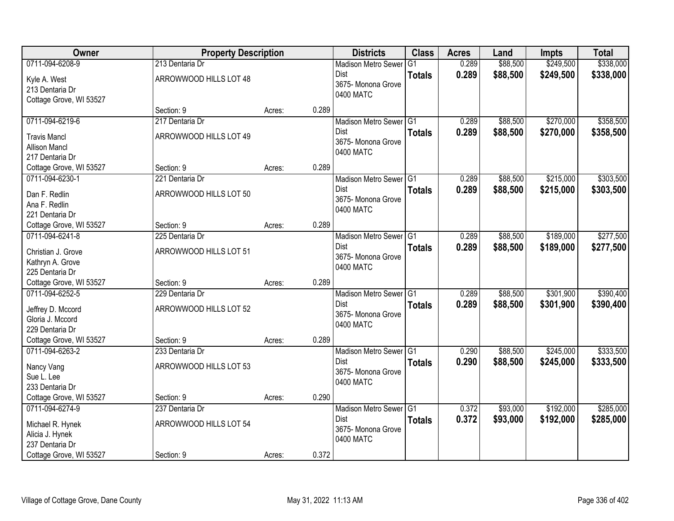| Owner                                      | <b>Property Description</b> |        |       | <b>Districts</b>                      | <b>Class</b>  | <b>Acres</b> | Land     | <b>Impts</b> | <b>Total</b> |
|--------------------------------------------|-----------------------------|--------|-------|---------------------------------------|---------------|--------------|----------|--------------|--------------|
| 0711-094-6208-9                            | 213 Dentaria Dr             |        |       | <b>Madison Metro Sewer</b>            | G1            | 0.289        | \$88,500 | \$249,500    | \$338,000    |
| Kyle A. West                               | ARROWWOOD HILLS LOT 48      |        |       | Dist                                  | <b>Totals</b> | 0.289        | \$88,500 | \$249,500    | \$338,000    |
| 213 Dentaria Dr                            |                             |        |       | 3675- Monona Grove                    |               |              |          |              |              |
| Cottage Grove, WI 53527                    |                             |        |       | 0400 MATC                             |               |              |          |              |              |
|                                            | Section: 9                  | Acres: | 0.289 |                                       |               |              |          |              |              |
| 0711-094-6219-6                            | 217 Dentaria Dr             |        |       | Madison Metro Sewer G1                |               | 0.289        | \$88,500 | \$270,000    | \$358,500    |
| <b>Travis Mancl</b>                        | ARROWWOOD HILLS LOT 49      |        |       | <b>Dist</b>                           | <b>Totals</b> | 0.289        | \$88,500 | \$270,000    | \$358,500    |
| <b>Allison Mancl</b>                       |                             |        |       | 3675- Monona Grove                    |               |              |          |              |              |
| 217 Dentaria Dr                            |                             |        |       | 0400 MATC                             |               |              |          |              |              |
| Cottage Grove, WI 53527                    | Section: 9                  | Acres: | 0.289 |                                       |               |              |          |              |              |
| 0711-094-6230-1                            | 221 Dentaria Dr             |        |       | Madison Metro Sewer G1                |               | 0.289        | \$88,500 | \$215,000    | \$303,500    |
| Dan F. Redlin                              | ARROWWOOD HILLS LOT 50      |        |       | Dist                                  | <b>Totals</b> | 0.289        | \$88,500 | \$215,000    | \$303,500    |
| Ana F. Redlin                              |                             |        |       | 3675- Monona Grove                    |               |              |          |              |              |
| 221 Dentaria Dr                            |                             |        |       | 0400 MATC                             |               |              |          |              |              |
| Cottage Grove, WI 53527                    | Section: 9                  | Acres: | 0.289 |                                       |               |              |          |              |              |
| 0711-094-6241-8                            | 225 Dentaria Dr             |        |       | Madison Metro Sewer G1                |               | 0.289        | \$88,500 | \$189,000    | \$277,500    |
| Christian J. Grove                         | ARROWWOOD HILLS LOT 51      |        |       | Dist                                  | <b>Totals</b> | 0.289        | \$88,500 | \$189,000    | \$277,500    |
| Kathryn A. Grove                           |                             |        |       | 3675- Monona Grove                    |               |              |          |              |              |
| 225 Dentaria Dr                            |                             |        |       | 0400 MATC                             |               |              |          |              |              |
| Cottage Grove, WI 53527                    | Section: 9                  | Acres: | 0.289 |                                       |               |              |          |              |              |
| 0711-094-6252-5                            | 229 Dentaria Dr             |        |       | Madison Metro Sewer <sup>G1</sup>     |               | 0.289        | \$88,500 | \$301,900    | \$390,400    |
|                                            |                             |        |       | <b>Dist</b>                           | <b>Totals</b> | 0.289        | \$88,500 | \$301,900    | \$390,400    |
| Jeffrey D. Mccord<br>Gloria J. Mccord      | ARROWWOOD HILLS LOT 52      |        |       | 3675- Monona Grove                    |               |              |          |              |              |
| 229 Dentaria Dr                            |                             |        |       | 0400 MATC                             |               |              |          |              |              |
| Cottage Grove, WI 53527                    | Section: 9                  | Acres: | 0.289 |                                       |               |              |          |              |              |
| 0711-094-6263-2                            | 233 Dentaria Dr             |        |       | Madison Metro Sewer G1                |               | 0.290        | \$88,500 | \$245,000    | \$333,500    |
|                                            |                             |        |       | <b>Dist</b>                           | <b>Totals</b> | 0.290        | \$88,500 | \$245,000    | \$333,500    |
| Nancy Vang                                 | ARROWWOOD HILLS LOT 53      |        |       | 3675- Monona Grove                    |               |              |          |              |              |
| Sue L. Lee                                 |                             |        |       | 0400 MATC                             |               |              |          |              |              |
| 233 Dentaria Dr                            | Section: 9                  |        | 0.290 |                                       |               |              |          |              |              |
| Cottage Grove, WI 53527<br>0711-094-6274-9 | 237 Dentaria Dr             | Acres: |       |                                       |               | 0.372        | \$93,000 | \$192,000    | \$285,000    |
|                                            |                             |        |       | Madison Metro Sewer G1<br><b>Dist</b> |               | 0.372        |          |              | \$285,000    |
| Michael R. Hynek                           | ARROWWOOD HILLS LOT 54      |        |       | 3675- Monona Grove                    | <b>Totals</b> |              | \$93,000 | \$192,000    |              |
| Alicia J. Hynek                            |                             |        |       | 0400 MATC                             |               |              |          |              |              |
| 237 Dentaria Dr                            |                             |        |       |                                       |               |              |          |              |              |
| Cottage Grove, WI 53527                    | Section: 9                  | Acres: | 0.372 |                                       |               |              |          |              |              |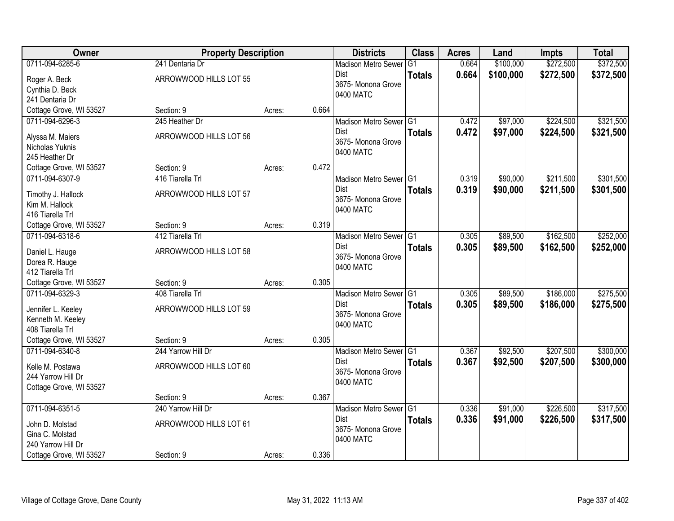| Owner                   | <b>Property Description</b>      |        |       | <b>Districts</b>                      | <b>Class</b>   | <b>Acres</b> | Land      | <b>Impts</b> | <b>Total</b> |
|-------------------------|----------------------------------|--------|-------|---------------------------------------|----------------|--------------|-----------|--------------|--------------|
| 0711-094-6285-6         | 241 Dentaria Dr                  |        |       | <b>Madison Metro Sewer</b>            | G <sub>1</sub> | 0.664        | \$100,000 | \$272,500    | \$372,500    |
| Roger A. Beck           | ARROWWOOD HILLS LOT 55           |        |       | Dist                                  | <b>Totals</b>  | 0.664        | \$100,000 | \$272,500    | \$372,500    |
| Cynthia D. Beck         |                                  |        |       | 3675- Monona Grove                    |                |              |           |              |              |
| 241 Dentaria Dr         |                                  |        |       | 0400 MATC                             |                |              |           |              |              |
| Cottage Grove, WI 53527 | Section: 9                       | Acres: | 0.664 |                                       |                |              |           |              |              |
| 0711-094-6296-3         | 245 Heather Dr                   |        |       | Madison Metro Sewer G1                |                | 0.472        | \$97,000  | \$224,500    | \$321,500    |
| Alyssa M. Maiers        | ARROWWOOD HILLS LOT 56           |        |       | <b>Dist</b>                           | <b>Totals</b>  | 0.472        | \$97,000  | \$224,500    | \$321,500    |
| Nicholas Yuknis         |                                  |        |       | 3675- Monona Grove                    |                |              |           |              |              |
| 245 Heather Dr          |                                  |        |       | 0400 MATC                             |                |              |           |              |              |
| Cottage Grove, WI 53527 | Section: 9                       | Acres: | 0.472 |                                       |                |              |           |              |              |
| 0711-094-6307-9         | 416 Tiarella Trl                 |        |       | Madison Metro Sewer G1                |                | 0.319        | \$90,000  | \$211,500    | \$301,500    |
|                         |                                  |        |       | <b>Dist</b>                           | <b>Totals</b>  | 0.319        | \$90,000  | \$211,500    | \$301,500    |
| Timothy J. Hallock      | ARROWWOOD HILLS LOT 57           |        |       | 3675-Monona Grove                     |                |              |           |              |              |
| Kim M. Hallock          |                                  |        |       | 0400 MATC                             |                |              |           |              |              |
| 416 Tiarella Trl        |                                  |        |       |                                       |                |              |           |              |              |
| Cottage Grove, WI 53527 | Section: 9                       | Acres: | 0.319 |                                       |                |              |           |              |              |
| 0711-094-6318-6         | 412 Tiarella Trl                 |        |       | Madison Metro Sewer G1                |                | 0.305        | \$89,500  | \$162,500    | \$252,000    |
| Daniel L. Hauge         | ARROWWOOD HILLS LOT 58           |        |       | <b>Dist</b>                           | <b>Totals</b>  | 0.305        | \$89,500  | \$162,500    | \$252,000    |
| Dorea R. Hauge          |                                  |        |       | 3675- Monona Grove<br>0400 MATC       |                |              |           |              |              |
| 412 Tiarella Trl        |                                  |        |       |                                       |                |              |           |              |              |
| Cottage Grove, WI 53527 | Section: 9                       | Acres: | 0.305 |                                       |                |              |           |              |              |
| 0711-094-6329-3         | 408 Tiarella Trl                 |        |       | Madison Metro Sewer <sup>1</sup> G1   |                | 0.305        | \$89,500  | \$186,000    | \$275,500    |
| Jennifer L. Keeley      | ARROWWOOD HILLS LOT 59           |        |       | <b>Dist</b>                           | <b>Totals</b>  | 0.305        | \$89,500  | \$186,000    | \$275,500    |
| Kenneth M. Keeley       |                                  |        |       | 3675- Monona Grove                    |                |              |           |              |              |
| 408 Tiarella Trl        |                                  |        |       | 0400 MATC                             |                |              |           |              |              |
| Cottage Grove, WI 53527 | Section: 9                       | Acres: | 0.305 |                                       |                |              |           |              |              |
| 0711-094-6340-8         | 244 Yarrow Hill Dr               |        |       | Madison Metro Sewer G1                |                | 0.367        | \$92,500  | \$207,500    | \$300,000    |
|                         |                                  |        |       | Dist                                  | <b>Totals</b>  | 0.367        | \$92,500  | \$207,500    | \$300,000    |
| Kelle M. Postawa        | ARROWWOOD HILLS LOT 60           |        |       | 3675- Monona Grove                    |                |              |           |              |              |
| 244 Yarrow Hill Dr      |                                  |        |       | 0400 MATC                             |                |              |           |              |              |
| Cottage Grove, WI 53527 |                                  |        |       |                                       |                |              |           |              |              |
| 0711-094-6351-5         | Section: 9<br>240 Yarrow Hill Dr | Acres: | 0.367 |                                       |                |              | \$91,000  | \$226,500    |              |
|                         |                                  |        |       | Madison Metro Sewer G1<br><b>Dist</b> |                | 0.336        |           |              | \$317,500    |
| John D. Molstad         | ARROWWOOD HILLS LOT 61           |        |       | 3675-Monona Grove                     | <b>Totals</b>  | 0.336        | \$91,000  | \$226,500    | \$317,500    |
| Gina C. Molstad         |                                  |        |       | 0400 MATC                             |                |              |           |              |              |
| 240 Yarrow Hill Dr      |                                  |        |       |                                       |                |              |           |              |              |
| Cottage Grove, WI 53527 | Section: 9                       | Acres: | 0.336 |                                       |                |              |           |              |              |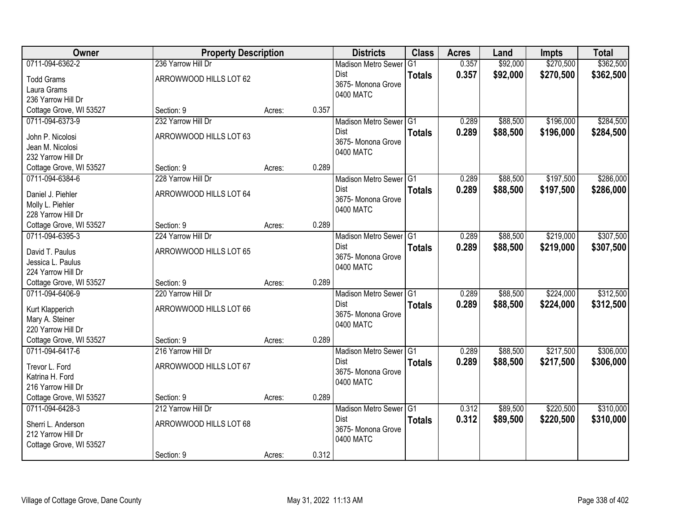| Owner                   | <b>Property Description</b> |        |       | <b>Districts</b>           | <b>Class</b>  | <b>Acres</b> | Land     | <b>Impts</b> | <b>Total</b> |
|-------------------------|-----------------------------|--------|-------|----------------------------|---------------|--------------|----------|--------------|--------------|
| 0711-094-6362-2         | 236 Yarrow Hill Dr          |        |       | <b>Madison Metro Sewer</b> | G1            | 0.357        | \$92,000 | \$270,500    | \$362,500    |
| <b>Todd Grams</b>       | ARROWWOOD HILLS LOT 62      |        |       | Dist                       | <b>Totals</b> | 0.357        | \$92,000 | \$270,500    | \$362,500    |
| Laura Grams             |                             |        |       | 3675- Monona Grove         |               |              |          |              |              |
| 236 Yarrow Hill Dr      |                             |        |       | 0400 MATC                  |               |              |          |              |              |
| Cottage Grove, WI 53527 | Section: 9                  | Acres: | 0.357 |                            |               |              |          |              |              |
| 0711-094-6373-9         | 232 Yarrow Hill Dr          |        |       | Madison Metro Sewer G1     |               | 0.289        | \$88,500 | \$196,000    | \$284,500    |
| John P. Nicolosi        | ARROWWOOD HILLS LOT 63      |        |       | <b>Dist</b>                | <b>Totals</b> | 0.289        | \$88,500 | \$196,000    | \$284,500    |
| Jean M. Nicolosi        |                             |        |       | 3675- Monona Grove         |               |              |          |              |              |
| 232 Yarrow Hill Dr      |                             |        |       | 0400 MATC                  |               |              |          |              |              |
| Cottage Grove, WI 53527 | Section: 9                  | Acres: | 0.289 |                            |               |              |          |              |              |
| 0711-094-6384-6         | 228 Yarrow Hill Dr          |        |       | Madison Metro Sewer G1     |               | 0.289        | \$88,500 | \$197,500    | \$286,000    |
| Daniel J. Piehler       | ARROWWOOD HILLS LOT 64      |        |       | Dist                       | <b>Totals</b> | 0.289        | \$88,500 | \$197,500    | \$286,000    |
| Molly L. Piehler        |                             |        |       | 3675- Monona Grove         |               |              |          |              |              |
| 228 Yarrow Hill Dr      |                             |        |       | 0400 MATC                  |               |              |          |              |              |
| Cottage Grove, WI 53527 | Section: 9                  | Acres: | 0.289 |                            |               |              |          |              |              |
| 0711-094-6395-3         | 224 Yarrow Hill Dr          |        |       | Madison Metro Sewer G1     |               | 0.289        | \$88,500 | \$219,000    | \$307,500    |
| David T. Paulus         | ARROWWOOD HILLS LOT 65      |        |       | Dist                       | <b>Totals</b> | 0.289        | \$88,500 | \$219,000    | \$307,500    |
| Jessica L. Paulus       |                             |        |       | 3675- Monona Grove         |               |              |          |              |              |
| 224 Yarrow Hill Dr      |                             |        |       | 0400 MATC                  |               |              |          |              |              |
| Cottage Grove, WI 53527 | Section: 9                  | Acres: | 0.289 |                            |               |              |          |              |              |
| 0711-094-6406-9         | 220 Yarrow Hill Dr          |        |       | Madison Metro Sewer G1     |               | 0.289        | \$88,500 | \$224,000    | \$312,500    |
| Kurt Klapperich         | ARROWWOOD HILLS LOT 66      |        |       | <b>Dist</b>                | <b>Totals</b> | 0.289        | \$88,500 | \$224,000    | \$312,500    |
| Mary A. Steiner         |                             |        |       | 3675- Monona Grove         |               |              |          |              |              |
| 220 Yarrow Hill Dr      |                             |        |       | 0400 MATC                  |               |              |          |              |              |
| Cottage Grove, WI 53527 | Section: 9                  | Acres: | 0.289 |                            |               |              |          |              |              |
| 0711-094-6417-6         | 216 Yarrow Hill Dr          |        |       | Madison Metro Sewer G1     |               | 0.289        | \$88,500 | \$217,500    | \$306,000    |
| Trevor L. Ford          | ARROWWOOD HILLS LOT 67      |        |       | Dist                       | <b>Totals</b> | 0.289        | \$88,500 | \$217,500    | \$306,000    |
| Katrina H. Ford         |                             |        |       | 3675- Monona Grove         |               |              |          |              |              |
| 216 Yarrow Hill Dr      |                             |        |       | 0400 MATC                  |               |              |          |              |              |
| Cottage Grove, WI 53527 | Section: 9                  | Acres: | 0.289 |                            |               |              |          |              |              |
| 0711-094-6428-3         | 212 Yarrow Hill Dr          |        |       | Madison Metro Sewer G1     |               | 0.312        | \$89,500 | \$220,500    | \$310,000    |
| Sherri L. Anderson      | ARROWWOOD HILLS LOT 68      |        |       | <b>Dist</b>                | <b>Totals</b> | 0.312        | \$89,500 | \$220,500    | \$310,000    |
| 212 Yarrow Hill Dr      |                             |        |       | 3675- Monona Grove         |               |              |          |              |              |
| Cottage Grove, WI 53527 |                             |        |       | 0400 MATC                  |               |              |          |              |              |
|                         | Section: 9                  | Acres: | 0.312 |                            |               |              |          |              |              |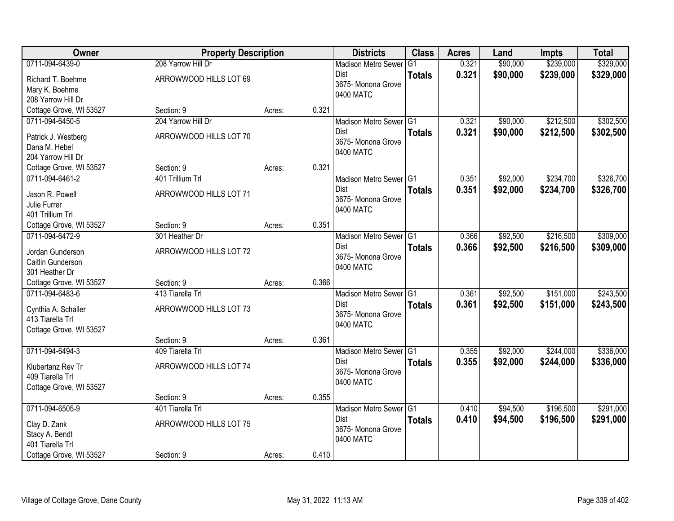| Owner                                   | <b>Property Description</b> |        |       | <b>Districts</b>           | <b>Class</b>  | <b>Acres</b> | Land     | <b>Impts</b> | <b>Total</b> |
|-----------------------------------------|-----------------------------|--------|-------|----------------------------|---------------|--------------|----------|--------------|--------------|
| 0711-094-6439-0                         | 208 Yarrow Hill Dr          |        |       | <b>Madison Metro Sewer</b> | G1            | 0.321        | \$90,000 | \$239,000    | \$329,000    |
| Richard T. Boehme                       | ARROWWOOD HILLS LOT 69      |        |       | Dist                       | <b>Totals</b> | 0.321        | \$90,000 | \$239,000    | \$329,000    |
| Mary K. Boehme                          |                             |        |       | 3675- Monona Grove         |               |              |          |              |              |
| 208 Yarrow Hill Dr                      |                             |        |       | 0400 MATC                  |               |              |          |              |              |
| Cottage Grove, WI 53527                 | Section: 9                  | Acres: | 0.321 |                            |               |              |          |              |              |
| 0711-094-6450-5                         | 204 Yarrow Hill Dr          |        |       | Madison Metro Sewer G1     |               | 0.321        | \$90,000 | \$212,500    | \$302,500    |
| Patrick J. Westberg                     | ARROWWOOD HILLS LOT 70      |        |       | <b>Dist</b>                | <b>Totals</b> | 0.321        | \$90,000 | \$212,500    | \$302,500    |
| Dana M. Hebel                           |                             |        |       | 3675- Monona Grove         |               |              |          |              |              |
| 204 Yarrow Hill Dr                      |                             |        |       | 0400 MATC                  |               |              |          |              |              |
| Cottage Grove, WI 53527                 | Section: 9                  | Acres: | 0.321 |                            |               |              |          |              |              |
| 0711-094-6461-2                         | 401 Trillium Trl            |        |       | Madison Metro Sewer G1     |               | 0.351        | \$92,000 | \$234,700    | \$326,700    |
| Jason R. Powell                         | ARROWWOOD HILLS LOT 71      |        |       | Dist                       | <b>Totals</b> | 0.351        | \$92,000 | \$234,700    | \$326,700    |
| Julie Furrer                            |                             |        |       | 3675- Monona Grove         |               |              |          |              |              |
| 401 Trillium Trl                        |                             |        |       | 0400 MATC                  |               |              |          |              |              |
| Cottage Grove, WI 53527                 | Section: 9                  | Acres: | 0.351 |                            |               |              |          |              |              |
| 0711-094-6472-9                         | 301 Heather Dr              |        |       | Madison Metro Sewer G1     |               | 0.366        | \$92,500 | \$216,500    | \$309,000    |
| Jordan Gunderson                        | ARROWWOOD HILLS LOT 72      |        |       | Dist                       | <b>Totals</b> | 0.366        | \$92,500 | \$216,500    | \$309,000    |
| Caitlin Gunderson                       |                             |        |       | 3675- Monona Grove         |               |              |          |              |              |
| 301 Heather Dr                          |                             |        |       | 0400 MATC                  |               |              |          |              |              |
| Cottage Grove, WI 53527                 | Section: 9                  | Acres: | 0.366 |                            |               |              |          |              |              |
| 0711-094-6483-6                         | 413 Tiarella Trl            |        |       | Madison Metro Sewer G1     |               | 0.361        | \$92,500 | \$151,000    | \$243,500    |
|                                         |                             |        |       | <b>Dist</b>                | <b>Totals</b> | 0.361        | \$92,500 | \$151,000    | \$243,500    |
| Cynthia A. Schaller<br>413 Tiarella Trl | ARROWWOOD HILLS LOT 73      |        |       | 3675- Monona Grove         |               |              |          |              |              |
| Cottage Grove, WI 53527                 |                             |        |       | 0400 MATC                  |               |              |          |              |              |
|                                         | Section: 9                  | Acres: | 0.361 |                            |               |              |          |              |              |
| 0711-094-6494-3                         | 409 Tiarella Trl            |        |       | Madison Metro Sewer G1     |               | 0.355        | \$92,000 | \$244,000    | \$336,000    |
|                                         | ARROWWOOD HILLS LOT 74      |        |       | Dist                       | <b>Totals</b> | 0.355        | \$92,000 | \$244,000    | \$336,000    |
| Klubertanz Rev Tr<br>409 Tiarella Trl   |                             |        |       | 3675- Monona Grove         |               |              |          |              |              |
| Cottage Grove, WI 53527                 |                             |        |       | 0400 MATC                  |               |              |          |              |              |
|                                         | Section: 9                  | Acres: | 0.355 |                            |               |              |          |              |              |
| 0711-094-6505-9                         | 401 Tiarella Trl            |        |       | Madison Metro Sewer G1     |               | 0.410        | \$94,500 | \$196,500    | \$291,000    |
|                                         | ARROWWOOD HILLS LOT 75      |        |       | <b>Dist</b>                | <b>Totals</b> | 0.410        | \$94,500 | \$196,500    | \$291,000    |
| Clay D. Zank<br>Stacy A. Bendt          |                             |        |       | 3675- Monona Grove         |               |              |          |              |              |
| 401 Tiarella Trl                        |                             |        |       | 0400 MATC                  |               |              |          |              |              |
| Cottage Grove, WI 53527                 | Section: 9                  | Acres: | 0.410 |                            |               |              |          |              |              |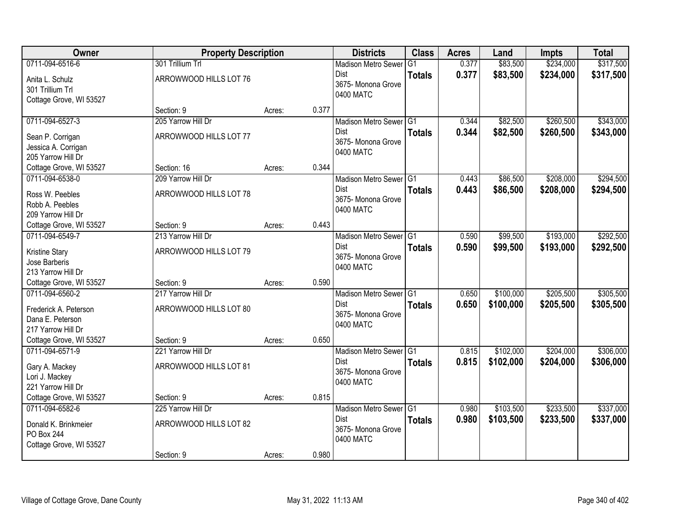| <b>Owner</b>                                                                       | <b>Property Description</b>                                |        |       | <b>Districts</b>                                                         | <b>Class</b>  | <b>Acres</b>   | Land                   | <b>Impts</b>           | <b>Total</b>           |
|------------------------------------------------------------------------------------|------------------------------------------------------------|--------|-------|--------------------------------------------------------------------------|---------------|----------------|------------------------|------------------------|------------------------|
| 0711-094-6516-6                                                                    | 301 Trillium Trl                                           |        |       | <b>Madison Metro Sewer</b>                                               | G1            | 0.377          | \$83,500               | \$234,000              | \$317,500              |
| Anita L. Schulz<br>301 Trillium Trl<br>Cottage Grove, WI 53527                     | ARROWWOOD HILLS LOT 76                                     |        |       | Dist<br>3675- Monona Grove<br>0400 MATC                                  | <b>Totals</b> | 0.377          | \$83,500               | \$234,000              | \$317,500              |
|                                                                                    | Section: 9                                                 | Acres: | 0.377 |                                                                          |               |                |                        |                        |                        |
| 0711-094-6527-3                                                                    | 205 Yarrow Hill Dr                                         |        |       | Madison Metro Sewer G1                                                   |               | 0.344          | \$82,500               | \$260,500              | \$343,000              |
| Sean P. Corrigan<br>Jessica A. Corrigan<br>205 Yarrow Hill Dr                      | ARROWWOOD HILLS LOT 77                                     |        |       | Dist<br>3675- Monona Grove<br>0400 MATC                                  | <b>Totals</b> | 0.344          | \$82,500               | \$260,500              | \$343,000              |
| Cottage Grove, WI 53527                                                            | Section: 16                                                | Acres: | 0.344 |                                                                          |               |                |                        |                        |                        |
| 0711-094-6538-0                                                                    | 209 Yarrow Hill Dr                                         |        |       | Madison Metro Sewer G1                                                   |               | 0.443          | \$86,500               | \$208,000              | \$294,500              |
| Ross W. Peebles<br>Robb A. Peebles<br>209 Yarrow Hill Dr                           | ARROWWOOD HILLS LOT 78                                     |        |       | <b>Dist</b><br>3675- Monona Grove<br>0400 MATC                           | <b>Totals</b> | 0.443          | \$86,500               | \$208,000              | \$294,500              |
| Cottage Grove, WI 53527                                                            | Section: 9                                                 | Acres: | 0.443 |                                                                          |               |                |                        |                        |                        |
| 0711-094-6549-7                                                                    | 213 Yarrow Hill Dr                                         |        |       | Madison Metro Sewer G1                                                   |               | 0.590          | \$99,500               | \$193,000              | \$292,500              |
| Kristine Stary<br>Jose Barberis<br>213 Yarrow Hill Dr                              | ARROWWOOD HILLS LOT 79                                     |        |       | Dist<br>3675- Monona Grove<br>0400 MATC                                  | <b>Totals</b> | 0.590          | \$99,500               | \$193,000              | \$292,500              |
| Cottage Grove, WI 53527                                                            | Section: 9                                                 | Acres: | 0.590 |                                                                          |               |                |                        |                        |                        |
| 0711-094-6560-2<br>Frederick A. Peterson<br>Dana E. Peterson<br>217 Yarrow Hill Dr | 217 Yarrow Hill Dr<br>ARROWWOOD HILLS LOT 80               |        |       | Madison Metro Sewer G1<br><b>Dist</b><br>3675- Monona Grove<br>0400 MATC | <b>Totals</b> | 0.650<br>0.650 | \$100,000<br>\$100,000 | \$205,500<br>\$205,500 | \$305,500<br>\$305,500 |
| Cottage Grove, WI 53527                                                            | Section: 9                                                 | Acres: | 0.650 |                                                                          |               |                |                        |                        |                        |
| 0711-094-6571-9                                                                    | 221 Yarrow Hill Dr                                         |        |       | Madison Metro Sewer G1                                                   |               | 0.815          | \$102,000              | \$204,000              | \$306,000              |
| Gary A. Mackey<br>Lori J. Mackey<br>221 Yarrow Hill Dr                             | ARROWWOOD HILLS LOT 81                                     |        |       | Dist<br>3675- Monona Grove<br>0400 MATC                                  | <b>Totals</b> | 0.815          | \$102,000              | \$204,000              | \$306,000              |
| Cottage Grove, WI 53527                                                            | Section: 9                                                 | Acres: | 0.815 |                                                                          |               |                |                        |                        |                        |
| 0711-094-6582-6<br>Donald K. Brinkmeier<br>PO Box 244<br>Cottage Grove, WI 53527   | 225 Yarrow Hill Dr<br>ARROWWOOD HILLS LOT 82<br>Section: 9 |        | 0.980 | Madison Metro Sewer G1<br><b>Dist</b><br>3675-Monona Grove<br>0400 MATC  | <b>Totals</b> | 0.980<br>0.980 | \$103,500<br>\$103,500 | \$233,500<br>\$233,500 | \$337,000<br>\$337,000 |
|                                                                                    |                                                            | Acres: |       |                                                                          |               |                |                        |                        |                        |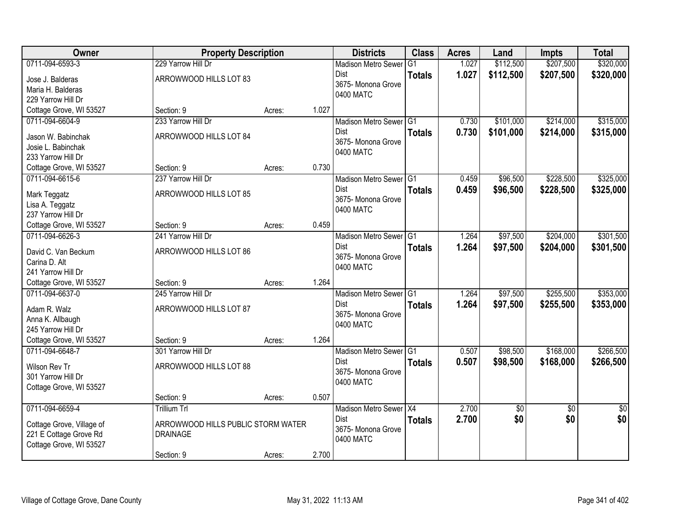| Owner                                 | <b>Property Description</b>        |        |       | <b>Districts</b>           | <b>Class</b>  | <b>Acres</b> | Land            | <b>Impts</b>    | <b>Total</b>    |
|---------------------------------------|------------------------------------|--------|-------|----------------------------|---------------|--------------|-----------------|-----------------|-----------------|
| 0711-094-6593-3                       | 229 Yarrow Hill Dr                 |        |       | <b>Madison Metro Sewer</b> | G1            | 1.027        | \$112,500       | \$207,500       | \$320,000       |
| Jose J. Balderas                      | ARROWWOOD HILLS LOT 83             |        |       | Dist                       | <b>Totals</b> | 1.027        | \$112,500       | \$207,500       | \$320,000       |
| Maria H. Balderas                     |                                    |        |       | 3675-Monona Grove          |               |              |                 |                 |                 |
| 229 Yarrow Hill Dr                    |                                    |        |       | 0400 MATC                  |               |              |                 |                 |                 |
| Cottage Grove, WI 53527               | Section: 9                         | Acres: | 1.027 |                            |               |              |                 |                 |                 |
| 0711-094-6604-9                       | 233 Yarrow Hill Dr                 |        |       | Madison Metro Sewer G1     |               | 0.730        | \$101,000       | \$214,000       | \$315,000       |
| Jason W. Babinchak                    | ARROWWOOD HILLS LOT 84             |        |       | Dist                       | <b>Totals</b> | 0.730        | \$101,000       | \$214,000       | \$315,000       |
| Josie L. Babinchak                    |                                    |        |       | 3675- Monona Grove         |               |              |                 |                 |                 |
| 233 Yarrow Hill Dr                    |                                    |        |       | 0400 MATC                  |               |              |                 |                 |                 |
| Cottage Grove, WI 53527               | Section: 9                         | Acres: | 0.730 |                            |               |              |                 |                 |                 |
| 0711-094-6615-6                       | 237 Yarrow Hill Dr                 |        |       | Madison Metro Sewer G1     |               | 0.459        | \$96,500        | \$228,500       | \$325,000       |
|                                       |                                    |        |       | <b>Dist</b>                | <b>Totals</b> | 0.459        | \$96,500        | \$228,500       | \$325,000       |
| Mark Teggatz                          | ARROWWOOD HILLS LOT 85             |        |       | 3675- Monona Grove         |               |              |                 |                 |                 |
| Lisa A. Teggatz<br>237 Yarrow Hill Dr |                                    |        |       | 0400 MATC                  |               |              |                 |                 |                 |
| Cottage Grove, WI 53527               | Section: 9                         | Acres: | 0.459 |                            |               |              |                 |                 |                 |
| 0711-094-6626-3                       | 241 Yarrow Hill Dr                 |        |       | Madison Metro Sewer G1     |               | 1.264        | \$97,500        | \$204,000       | \$301,500       |
|                                       |                                    |        |       | <b>Dist</b>                |               |              |                 |                 |                 |
| David C. Van Beckum                   | ARROWWOOD HILLS LOT 86             |        |       | 3675- Monona Grove         | <b>Totals</b> | 1.264        | \$97,500        | \$204,000       | \$301,500       |
| Carina D. Alt                         |                                    |        |       | 0400 MATC                  |               |              |                 |                 |                 |
| 241 Yarrow Hill Dr                    |                                    |        |       |                            |               |              |                 |                 |                 |
| Cottage Grove, WI 53527               | Section: 9                         | Acres: | 1.264 |                            |               |              |                 |                 |                 |
| 0711-094-6637-0                       | 245 Yarrow Hill Dr                 |        |       | Madison Metro Sewer G1     |               | 1.264        | \$97,500        | \$255,500       | \$353,000       |
| Adam R. Walz                          | ARROWWOOD HILLS LOT 87             |        |       | <b>Dist</b>                | <b>Totals</b> | 1.264        | \$97,500        | \$255,500       | \$353,000       |
| Anna K. Allbaugh                      |                                    |        |       | 3675- Monona Grove         |               |              |                 |                 |                 |
| 245 Yarrow Hill Dr                    |                                    |        |       | 0400 MATC                  |               |              |                 |                 |                 |
| Cottage Grove, WI 53527               | Section: 9                         | Acres: | 1.264 |                            |               |              |                 |                 |                 |
| 0711-094-6648-7                       | 301 Yarrow Hill Dr                 |        |       | Madison Metro Sewer G1     |               | 0.507        | \$98,500        | \$168,000       | \$266,500       |
| Wilson Rev Tr                         | ARROWWOOD HILLS LOT 88             |        |       | <b>Dist</b>                | <b>Totals</b> | 0.507        | \$98,500        | \$168,000       | \$266,500       |
| 301 Yarrow Hill Dr                    |                                    |        |       | 3675- Monona Grove         |               |              |                 |                 |                 |
| Cottage Grove, WI 53527               |                                    |        |       | 0400 MATC                  |               |              |                 |                 |                 |
|                                       | Section: 9                         | Acres: | 0.507 |                            |               |              |                 |                 |                 |
| 0711-094-6659-4                       | <b>Trillium Trl</b>                |        |       | Madison Metro Sewer X4     |               | 2.700        | $\overline{60}$ | $\overline{30}$ | $\overline{50}$ |
|                                       |                                    |        |       | Dist                       | <b>Totals</b> | 2.700        | \$0             | \$0             | \$0             |
| Cottage Grove, Village of             | ARROWWOOD HILLS PUBLIC STORM WATER |        |       | 3675- Monona Grove         |               |              |                 |                 |                 |
| 221 E Cottage Grove Rd                | <b>DRAINAGE</b>                    |        |       | 0400 MATC                  |               |              |                 |                 |                 |
| Cottage Grove, WI 53527               |                                    |        |       |                            |               |              |                 |                 |                 |
|                                       | Section: 9                         | Acres: | 2.700 |                            |               |              |                 |                 |                 |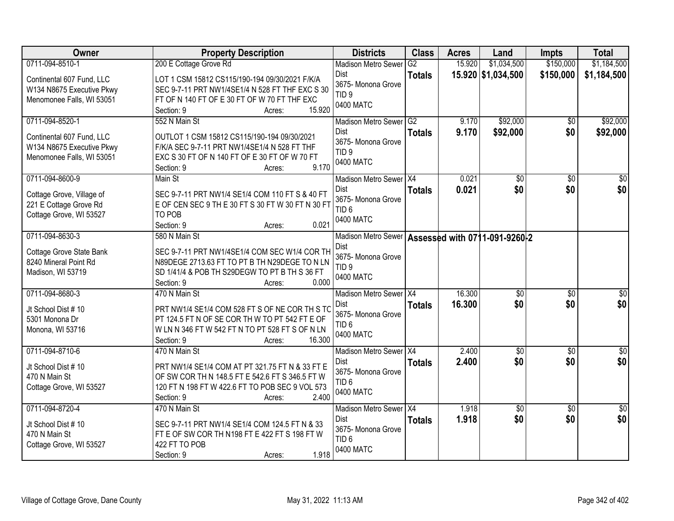| Owner                                                                               | <b>Property Description</b>                                                                                                                                                            | <b>Districts</b>                                                   | <b>Class</b>  | <b>Acres</b> | Land               | <b>Impts</b>    | <b>Total</b>     |
|-------------------------------------------------------------------------------------|----------------------------------------------------------------------------------------------------------------------------------------------------------------------------------------|--------------------------------------------------------------------|---------------|--------------|--------------------|-----------------|------------------|
| 0711-094-8510-1                                                                     | 200 E Cottage Grove Rd                                                                                                                                                                 | <b>Madison Metro Sewer</b>                                         | G2            | 15.920       | \$1,034,500        | \$150,000       | \$1,184,500      |
| Continental 607 Fund, LLC<br>W134 N8675 Executive Pkwy<br>Menomonee Falls, WI 53051 | LOT 1 CSM 15812 CS115/190-194 09/30/2021 F/K/A<br>SEC 9-7-11 PRT NW1/4SE1/4 N 528 FT THF EXC S 30<br>FT OF N 140 FT OF E 30 FT OF W 70 FT THF EXC<br>15.920<br>Section: 9<br>Acres:    | Dist<br>3675- Monona Grove<br>TID <sub>9</sub><br>0400 MATC        | <b>Totals</b> |              | 15.920 \$1,034,500 | \$150,000       | \$1,184,500      |
| 0711-094-8520-1                                                                     | 552 N Main St                                                                                                                                                                          | Madison Metro Sewer G2                                             |               | 9.170        | \$92,000           | \$0             | \$92,000         |
| Continental 607 Fund, LLC<br>W134 N8675 Executive Pkwy<br>Menomonee Falls, WI 53051 | OUTLOT 1 CSM 15812 CS115/190-194 09/30/2021<br>F/K/A SEC 9-7-11 PRT NW1/4SE1/4 N 528 FT THF<br>EXC S 30 FT OF N 140 FT OF E 30 FT OF W 70 FT<br>9.170<br>Section: 9<br>Acres:          | <b>Dist</b><br>3675- Monona Grove<br>TID <sub>9</sub><br>0400 MATC | <b>Totals</b> | 9.170        | \$92,000           | \$0             | \$92,000         |
| 0711-094-8600-9                                                                     | Main St                                                                                                                                                                                | Madison Metro Sewer X4                                             |               | 0.021        | \$0                | \$0             | \$0              |
| Cottage Grove, Village of<br>221 E Cottage Grove Rd<br>Cottage Grove, WI 53527      | SEC 9-7-11 PRT NW1/4 SE1/4 COM 110 FT S & 40 FT<br>E OF CEN SEC 9 TH E 30 FT S 30 FT W 30 FT N 30 FT<br>TO POB<br>Section: 9<br>0.021<br>Acres:                                        | Dist<br>3675- Monona Grove<br>TID <sub>6</sub><br>0400 MATC        | <b>Totals</b> | 0.021        | \$0                | \$0             | \$0              |
| 0711-094-8630-3                                                                     | 580 N Main St                                                                                                                                                                          | Madison Metro Sewer   Assessed with 0711-091-9260-2                |               |              |                    |                 |                  |
| Cottage Grove State Bank<br>8240 Mineral Point Rd<br>Madison, WI 53719              | SEC 9-7-11 PRT NW1/4SE1/4 COM SEC W1/4 COR TH<br>N89DEGE 2713.63 FT TO PT B TH N29DEGE TO N LN<br>SD 1/41/4 & POB TH S29DEGW TO PT B TH S 36 FT<br>0.000<br>Section: 9<br>Acres:       | Dist<br>3675- Monona Grove<br>TID <sub>9</sub><br>0400 MATC        |               |              |                    |                 |                  |
| 0711-094-8680-3                                                                     | 470 N Main St                                                                                                                                                                          | Madison Metro Sewer   X4                                           |               | 16.300       | $\overline{50}$    | $\overline{50}$ | \$0              |
| Jt School Dist #10<br>5301 Monona Dr<br>Monona, WI 53716                            | PRT NW1/4 SE1/4 COM 528 FT S OF NE COR TH S TO<br>PT 124.5 FT N OF SE COR TH W TO PT 542 FT E OF<br>W LN N 346 FT W 542 FT N TO PT 528 FT S OF N LN<br>16.300<br>Section: 9<br>Acres:  | Dist<br>3675- Monona Grove<br>TID <sub>6</sub><br>0400 MATC        | <b>Totals</b> | 16.300       | \$0                | \$0             | \$0              |
| 0711-094-8710-6                                                                     | 470 N Main St                                                                                                                                                                          | Madison Metro Sewer X4                                             |               | 2.400        | $\overline{60}$    | $\overline{50}$ | $\overline{\$0}$ |
| Jt School Dist #10<br>470 N Main St<br>Cottage Grove, WI 53527                      | PRT NW1/4 SE1/4 COM AT PT 321.75 FT N & 33 FT E<br>OF SW COR TH N 148.5 FT E 542.6 FT S 346.5 FT W<br>120 FT N 198 FT W 422.6 FT TO POB SEC 9 VOL 573<br>2.400<br>Section: 9<br>Acres: | Dist<br>3675- Monona Grove<br>TID <sub>6</sub><br>0400 MATC        | <b>Totals</b> | 2.400        | \$0                | \$0             | \$0              |
| 0711-094-8720-4                                                                     | 470 N Main St                                                                                                                                                                          | Madison Metro Sewer X4                                             |               | 1.918        | $\sqrt{6}$         | $\overline{50}$ | $\overline{50}$  |
| Jt School Dist #10<br>470 N Main St<br>Cottage Grove, WI 53527                      | SEC 9-7-11 PRT NW1/4 SE1/4 COM 124.5 FT N & 33<br>FT E OF SW COR TH N198 FT E 422 FT S 198 FT W<br>422 FT TO POB<br>1.918<br>Section: 9<br>Acres:                                      | <b>Dist</b><br>3675-Monona Grove<br>TID <sub>6</sub><br>0400 MATC  | <b>Totals</b> | 1.918        | \$0                | \$0             | \$0              |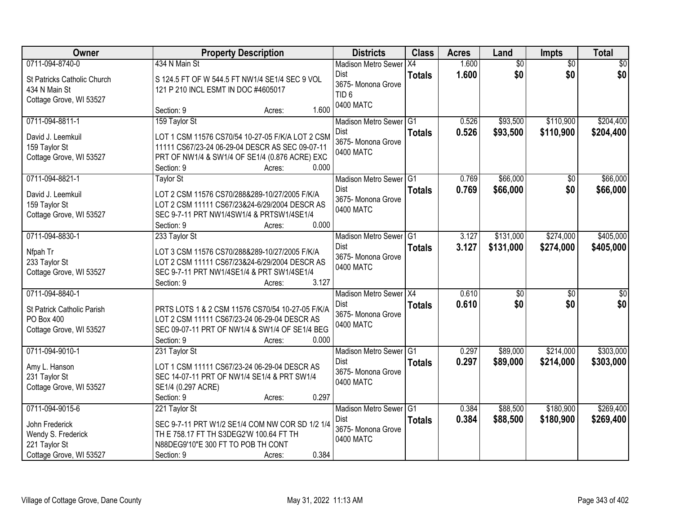| Owner                       |                                            | <b>Property Description</b>                      | <b>Districts</b>           | <b>Class</b>  | <b>Acres</b> | Land            | Impts           | <b>Total</b>    |
|-----------------------------|--------------------------------------------|--------------------------------------------------|----------------------------|---------------|--------------|-----------------|-----------------|-----------------|
| 0711-094-8740-0             | 434 N Main St                              |                                                  | <b>Madison Metro Sewer</b> | X4            | 1.600        | $\overline{60}$ | $\overline{50}$ | $\overline{50}$ |
| St Patricks Catholic Church |                                            | S 124.5 FT OF W 544.5 FT NW1/4 SE1/4 SEC 9 VOL   | <b>Dist</b>                | <b>Totals</b> | 1.600        | \$0             | \$0             | \$0             |
| 434 N Main St               | 121 P 210 INCL ESMT IN DOC #4605017        |                                                  | 3675- Monona Grove         |               |              |                 |                 |                 |
| Cottage Grove, WI 53527     |                                            |                                                  | TID <sub>6</sub>           |               |              |                 |                 |                 |
|                             | Section: 9                                 | 1.600<br>Acres:                                  | 0400 MATC                  |               |              |                 |                 |                 |
| 0711-094-8811-1             | 159 Taylor St                              |                                                  | Madison Metro Sewer G1     |               | 0.526        | \$93,500        | \$110,900       | \$204,400       |
| David J. Leemkuil           |                                            | LOT 1 CSM 11576 CS70/54 10-27-05 F/K/A LOT 2 CSM | Dist                       | <b>Totals</b> | 0.526        | \$93,500        | \$110,900       | \$204,400       |
| 159 Taylor St               |                                            | 11111 CS67/23-24 06-29-04 DESCR AS SEC 09-07-11  | 3675- Monona Grove         |               |              |                 |                 |                 |
| Cottage Grove, WI 53527     |                                            | PRT OF NW1/4 & SW1/4 OF SE1/4 (0.876 ACRE) EXC   | 0400 MATC                  |               |              |                 |                 |                 |
|                             | Section: 9                                 | 0.000<br>Acres:                                  |                            |               |              |                 |                 |                 |
| 0711-094-8821-1             | <b>Taylor St</b>                           |                                                  | Madison Metro Sewer G1     |               | 0.769        | \$66,000        | \$0             | \$66,000        |
| David J. Leemkuil           |                                            | LOT 2 CSM 11576 CS70/288&289-10/27/2005 F/K/A    | <b>Dist</b>                | <b>Totals</b> | 0.769        | \$66,000        | \$0             | \$66,000        |
| 159 Taylor St               |                                            | LOT 2 CSM 11111 CS67/23&24-6/29/2004 DESCR AS    | 3675- Monona Grove         |               |              |                 |                 |                 |
| Cottage Grove, WI 53527     | SEC 9-7-11 PRT NW1/4SW1/4 & PRTSW1/4SE1/4  |                                                  | 0400 MATC                  |               |              |                 |                 |                 |
|                             | Section: 9                                 | 0.000<br>Acres:                                  |                            |               |              |                 |                 |                 |
| 0711-094-8830-1             | 233 Taylor St                              |                                                  | Madison Metro Sewer G1     |               | 3.127        | \$131,000       | \$274,000       | \$405,000       |
| Nfpah Tr                    |                                            | LOT 3 CSM 11576 CS70/288&289-10/27/2005 F/K/A    | <b>Dist</b>                | <b>Totals</b> | 3.127        | \$131,000       | \$274,000       | \$405,000       |
| 233 Taylor St               |                                            | LOT 2 CSM 11111 CS67/23&24-6/29/2004 DESCR AS    | 3675-Monona Grove          |               |              |                 |                 |                 |
| Cottage Grove, WI 53527     | SEC 9-7-11 PRT NW1/4SE1/4 & PRT SW1/4SE1/4 |                                                  | 0400 MATC                  |               |              |                 |                 |                 |
|                             | Section: 9                                 | 3.127<br>Acres:                                  |                            |               |              |                 |                 |                 |
| 0711-094-8840-1             |                                            |                                                  | Madison Metro Sewer X4     |               | 0.610        | \$0             | $\overline{50}$ | \$0             |
| St Patrick Catholic Parish  |                                            | PRTS LOTS 1 & 2 CSM 11576 CS70/54 10-27-05 F/K/A | Dist                       | <b>Totals</b> | 0.610        | \$0             | \$0             | \$0             |
| PO Box 400                  |                                            | LOT 2 CSM 11111 CS67/23-24 06-29-04 DESCR AS     | 3675- Monona Grove         |               |              |                 |                 |                 |
| Cottage Grove, WI 53527     |                                            | SEC 09-07-11 PRT OF NW1/4 & SW1/4 OF SE1/4 BEG   | 0400 MATC                  |               |              |                 |                 |                 |
|                             | Section: 9                                 | 0.000<br>Acres:                                  |                            |               |              |                 |                 |                 |
| 0711-094-9010-1             | 231 Taylor St                              |                                                  | Madison Metro Sewer G1     |               | 0.297        | \$89,000        | \$214,000       | \$303,000       |
| Amy L. Hanson               |                                            | LOT 1 CSM 11111 CS67/23-24 06-29-04 DESCR AS     | <b>Dist</b>                | <b>Totals</b> | 0.297        | \$89,000        | \$214,000       | \$303,000       |
| 231 Taylor St               |                                            | SEC 14-07-11 PRT OF NW1/4 SE1/4 & PRT SW1/4      | 3675- Monona Grove         |               |              |                 |                 |                 |
| Cottage Grove, WI 53527     | SE1/4 (0.297 ACRE)                         |                                                  | 0400 MATC                  |               |              |                 |                 |                 |
|                             | Section: 9                                 | 0.297<br>Acres:                                  |                            |               |              |                 |                 |                 |
| 0711-094-9015-6             | 221 Taylor St                              |                                                  | Madison Metro Sewer G1     |               | 0.384        | \$88,500        | \$180,900       | \$269,400       |
| John Frederick              |                                            | SEC 9-7-11 PRT W1/2 SE1/4 COM NW COR SD 1/2 1/4  | Dist                       | <b>Totals</b> | 0.384        | \$88,500        | \$180,900       | \$269,400       |
| Wendy S. Frederick          | TH E 758.17 FT TH S3DEG2'W 100.64 FT TH    |                                                  | 3675- Monona Grove         |               |              |                 |                 |                 |
| 221 Taylor St               | N88DEG9'10"E 300 FT TO POB TH CONT         |                                                  | 0400 MATC                  |               |              |                 |                 |                 |
| Cottage Grove, WI 53527     | Section: 9                                 | 0.384<br>Acres:                                  |                            |               |              |                 |                 |                 |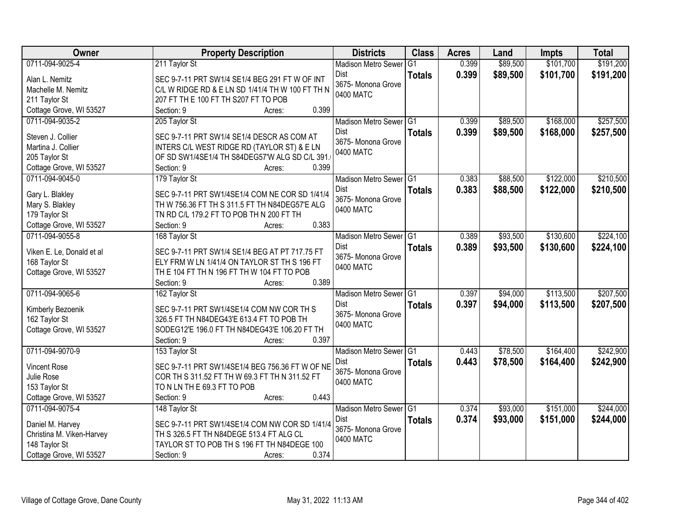| Owner                     | <b>Property Description</b>                      | <b>Districts</b>                | <b>Class</b>   | <b>Acres</b> | Land     | <b>Impts</b> | <b>Total</b> |
|---------------------------|--------------------------------------------------|---------------------------------|----------------|--------------|----------|--------------|--------------|
| 0711-094-9025-4           | 211 Taylor St                                    | <b>Madison Metro Sewer</b>      | G <sub>1</sub> | 0.399        | \$89,500 | \$101,700    | \$191,200    |
| Alan L. Nemitz            | SEC 9-7-11 PRT SW1/4 SE1/4 BEG 291 FT W OF INT   | Dist                            | <b>Totals</b>  | 0.399        | \$89,500 | \$101,700    | \$191,200    |
| Machelle M. Nemitz        | C/L W RIDGE RD & E LN SD 1/41/4 TH W 100 FT TH N | 3675- Monona Grove              |                |              |          |              |              |
| 211 Taylor St             | 207 FT TH E 100 FT TH S207 FT TO POB             | 0400 MATC                       |                |              |          |              |              |
| Cottage Grove, WI 53527   | 0.399<br>Section: 9<br>Acres:                    |                                 |                |              |          |              |              |
| 0711-094-9035-2           | 205 Taylor St                                    | Madison Metro Sewer G1          |                | 0.399        | \$89,500 | \$168,000    | \$257,500    |
|                           |                                                  | <b>Dist</b>                     | <b>Totals</b>  | 0.399        | \$89,500 | \$168,000    | \$257,500    |
| Steven J. Collier         | SEC 9-7-11 PRT SW1/4 SE1/4 DESCR AS COM AT       | 3675- Monona Grove              |                |              |          |              |              |
| Martina J. Collier        | INTERS C/L WEST RIDGE RD (TAYLOR ST) & E LN      | 0400 MATC                       |                |              |          |              |              |
| 205 Taylor St             | OF SD SW1/4SE1/4 TH S84DEG57'W ALG SD C/L 391.   |                                 |                |              |          |              |              |
| Cottage Grove, WI 53527   | 0.399<br>Section: 9<br>Acres:                    |                                 |                |              |          |              |              |
| 0711-094-9045-0           | 179 Taylor St                                    | Madison Metro Sewer G1          |                | 0.383        | \$88,500 | \$122,000    | \$210,500    |
| Gary L. Blakley           | SEC 9-7-11 PRT SW1/4SE1/4 COM NE COR SD 1/41/4   | Dist                            | <b>Totals</b>  | 0.383        | \$88,500 | \$122,000    | \$210,500    |
| Mary S. Blakley           | TH W 756.36 FT TH S 311.5 FT TH N84DEG57'E ALG   | 3675- Monona Grove              |                |              |          |              |              |
| 179 Taylor St             | TN RD C/L 179.2 FT TO POB TH N 200 FT TH         | 0400 MATC                       |                |              |          |              |              |
| Cottage Grove, WI 53527   | 0.383<br>Section: 9<br>Acres:                    |                                 |                |              |          |              |              |
| 0711-094-9055-8           | 168 Taylor St                                    | Madison Metro Sewer G1          |                | 0.389        | \$93,500 | \$130,600    | \$224,100    |
|                           |                                                  | Dist                            | <b>Totals</b>  | 0.389        | \$93,500 | \$130,600    | \$224,100    |
| Viken E. Le, Donald et al | SEC 9-7-11 PRT SW1/4 SE1/4 BEG AT PT 717.75 FT   | 3675- Monona Grove              |                |              |          |              |              |
| 168 Taylor St             | ELY FRM W LN 1/41/4 ON TAYLOR ST TH S 196 FT     | 0400 MATC                       |                |              |          |              |              |
| Cottage Grove, WI 53527   | THE 104 FT THN 196 FT THW 104 FT TO POB<br>0.389 |                                 |                |              |          |              |              |
|                           | Section: 9<br>Acres:                             |                                 | TG1            | 0.397        | \$94,000 | \$113,500    |              |
| 0711-094-9065-6           | 162 Taylor St                                    | <b>Madison Metro Sewer</b>      |                |              |          |              | \$207,500    |
| Kimberly Bezoenik         | SEC 9-7-11 PRT SW1/4SE1/4 COM NW COR TH S        | <b>Dist</b>                     | <b>Totals</b>  | 0.397        | \$94,000 | \$113,500    | \$207,500    |
| 162 Taylor St             | 326.5 FT TH N84DEG43'E 613.4 FT TO POB TH        | 3675- Monona Grove<br>0400 MATC |                |              |          |              |              |
| Cottage Grove, WI 53527   | SODEG12'E 196.0 FT TH N84DEG43'E 106.20 FT TH    |                                 |                |              |          |              |              |
|                           | 0.397<br>Section: 9<br>Acres:                    |                                 |                |              |          |              |              |
| 0711-094-9070-9           | 153 Taylor St                                    | Madison Metro Sewer G1          |                | 0.443        | \$78,500 | \$164,400    | \$242,900    |
| <b>Vincent Rose</b>       | SEC 9-7-11 PRT SW1/4SE1/4 BEG 756.36 FT W OF NE  | Dist                            | <b>Totals</b>  | 0.443        | \$78,500 | \$164,400    | \$242,900    |
| Julie Rose                | COR TH S 311.52 FT TH W 69.3 FT TH N 311.52 FT   | 3675- Monona Grove              |                |              |          |              |              |
| 153 Taylor St             | TO N LN TH E 69.3 FT TO POB                      | 0400 MATC                       |                |              |          |              |              |
| Cottage Grove, WI 53527   | 0.443<br>Section: 9<br>Acres:                    |                                 |                |              |          |              |              |
| 0711-094-9075-4           | 148 Taylor St                                    | Madison Metro Sewer G1          |                | 0.374        | \$93,000 | \$151,000    | \$244,000    |
|                           |                                                  | Dist                            |                | 0.374        | \$93,000 | \$151,000    |              |
| Daniel M. Harvey          | SEC 9-7-11 PRT SW1/4SE1/4 COM NW COR SD 1/41/4   | 3675- Monona Grove              | <b>Totals</b>  |              |          |              | \$244,000    |
| Christina M. Viken-Harvey | TH S 326.5 FT TH N84DEGE 513.4 FT ALG CL         | 0400 MATC                       |                |              |          |              |              |
| 148 Taylor St             | TAYLOR ST TO POB TH S 196 FT TH N84DEGE 100      |                                 |                |              |          |              |              |
| Cottage Grove, WI 53527   | 0.374<br>Section: 9<br>Acres:                    |                                 |                |              |          |              |              |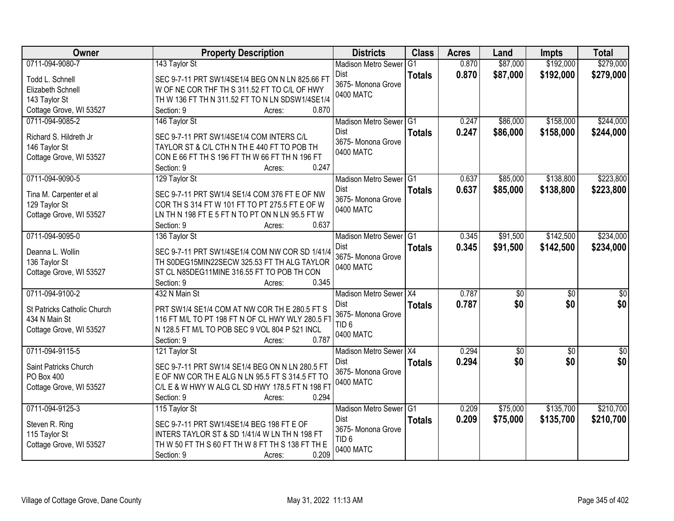| Owner                                    | <b>Property Description</b>                                                                   | <b>Districts</b>               | <b>Class</b>   | <b>Acres</b> | Land             | <b>Impts</b>    | <b>Total</b>    |
|------------------------------------------|-----------------------------------------------------------------------------------------------|--------------------------------|----------------|--------------|------------------|-----------------|-----------------|
| 0711-094-9080-7                          | 143 Taylor St                                                                                 | <b>Madison Metro Sewer</b>     | G <sub>1</sub> | 0.870        | \$87,000         | \$192,000       | \$279,000       |
| Todd L. Schnell                          | SEC 9-7-11 PRT SW1/4SE1/4 BEG ON N LN 825.66 FT                                               | Dist                           | <b>Totals</b>  | 0.870        | \$87,000         | \$192,000       | \$279,000       |
| Elizabeth Schnell                        | W OF NE COR THF TH S 311.52 FT TO C/L OF HWY                                                  | 3675- Monona Grove             |                |              |                  |                 |                 |
| 143 Taylor St                            | TH W 136 FT TH N 311.52 FT TO N LN SDSW1/4SE1/4                                               | 0400 MATC                      |                |              |                  |                 |                 |
| Cottage Grove, WI 53527                  | 0.870<br>Section: 9<br>Acres:                                                                 |                                |                |              |                  |                 |                 |
| 0711-094-9085-2                          | 146 Taylor St                                                                                 | Madison Metro Sewer G1         |                | 0.247        | \$86,000         | \$158,000       | \$244,000       |
| Richard S. Hildreth Jr                   | SEC 9-7-11 PRT SW1/4SE1/4 COM INTERS C/L                                                      | <b>Dist</b>                    | <b>Totals</b>  | 0.247        | \$86,000         | \$158,000       | \$244,000       |
| 146 Taylor St                            | TAYLOR ST & C/L CTH N TH E 440 FT TO POB TH                                                   | 3675- Monona Grove             |                |              |                  |                 |                 |
| Cottage Grove, WI 53527                  | CON E 66 FT TH S 196 FT TH W 66 FT TH N 196 FT                                                | 0400 MATC                      |                |              |                  |                 |                 |
|                                          | 0.247<br>Section: 9<br>Acres:                                                                 |                                |                |              |                  |                 |                 |
| 0711-094-9090-5                          | 129 Taylor St                                                                                 | Madison Metro Sewer G1         |                | 0.637        | \$85,000         | \$138,800       | \$223,800       |
|                                          | SEC 9-7-11 PRT SW1/4 SE1/4 COM 376 FT E OF NW                                                 | Dist                           | <b>Totals</b>  | 0.637        | \$85,000         | \$138,800       | \$223,800       |
| Tina M. Carpenter et al<br>129 Taylor St | COR TH S 314 FT W 101 FT TO PT 275.5 FT E OF W                                                | 3675- Monona Grove             |                |              |                  |                 |                 |
| Cottage Grove, WI 53527                  | LN TH N 198 FT E 5 FT N TO PT ON N LN 95.5 FT W                                               | 0400 MATC                      |                |              |                  |                 |                 |
|                                          | 0.637<br>Section: 9<br>Acres:                                                                 |                                |                |              |                  |                 |                 |
| 0711-094-9095-0                          | 136 Taylor St                                                                                 | Madison Metro Sewer G1         |                | 0.345        | \$91,500         | \$142,500       | \$234,000       |
|                                          |                                                                                               | Dist                           | <b>Totals</b>  | 0.345        | \$91,500         | \$142,500       | \$234,000       |
| Deanna L. Wollin                         | SEC 9-7-11 PRT SW1/4SE1/4 COM NW COR SD 1/41/4<br>TH S0DEG15MIN22SECW 325.53 FT TH ALG TAYLOR | 3675- Monona Grove             |                |              |                  |                 |                 |
| 136 Taylor St<br>Cottage Grove, WI 53527 | ST CL N85DEG11MINE 316.55 FT TO POB TH CON                                                    | 0400 MATC                      |                |              |                  |                 |                 |
|                                          | 0.345<br>Section: 9<br>Acres:                                                                 |                                |                |              |                  |                 |                 |
| 0711-094-9100-2                          | 432 N Main St                                                                                 | Madison Metro Sewer X4         |                | 0.787        | $\overline{\$0}$ | $\overline{50}$ | $\overline{50}$ |
|                                          |                                                                                               | Dist                           | <b>Totals</b>  | 0.787        | \$0              | \$0             | \$0             |
| St Patricks Catholic Church              | PRT SW1/4 SE1/4 COM AT NW COR TH E 280.5 FT S                                                 | 3675- Monona Grove             |                |              |                  |                 |                 |
| 434 N Main St                            | 116 FT M/L TO PT 198 FT N OF CL HWY WLY 280.5 FT                                              | TID <sub>6</sub>               |                |              |                  |                 |                 |
| Cottage Grove, WI 53527                  | N 128.5 FT M/L TO POB SEC 9 VOL 804 P 521 INCL                                                | 0400 MATC                      |                |              |                  |                 |                 |
| 0711-094-9115-5                          | 0.787<br>Section: 9<br>Acres:                                                                 |                                |                | 0.294        | \$0              | $\sqrt{6}$      | $\frac{1}{6}$   |
|                                          | 121 Taylor St                                                                                 | Madison Metro Sewer X4<br>Dist |                | 0.294        | \$0              | \$0             | \$0             |
| Saint Patricks Church                    | SEC 9-7-11 PRT SW1/4 SE1/4 BEG ON N LN 280.5 FT                                               | 3675- Monona Grove             | <b>Totals</b>  |              |                  |                 |                 |
| PO Box 400                               | E OF NW COR THE ALG N LN 95.5 FT S 314.5 FT TO                                                | 0400 MATC                      |                |              |                  |                 |                 |
| Cottage Grove, WI 53527                  | C/L E & W HWY W ALG CL SD HWY 178.5 FT N 198 FT                                               |                                |                |              |                  |                 |                 |
|                                          | 0.294<br>Section: 9<br>Acres:                                                                 |                                |                |              |                  |                 |                 |
| 0711-094-9125-3                          | 115 Taylor St                                                                                 | Madison Metro Sewer G1         |                | 0.209        | \$75,000         | \$135,700       | \$210,700       |
| Steven R. Ring                           | SEC 9-7-11 PRT SW1/4SE1/4 BEG 198 FT E OF                                                     | Dist                           | <b>Totals</b>  | 0.209        | \$75,000         | \$135,700       | \$210,700       |
| 115 Taylor St                            | INTERS TAYLOR ST & SD 1/41/4 W LN TH N 198 FT                                                 | 3675- Monona Grove             |                |              |                  |                 |                 |
| Cottage Grove, WI 53527                  | TH W 50 FT TH S 60 FT TH W 8 FT TH S 138 FT TH E                                              | TID <sub>6</sub><br>0400 MATC  |                |              |                  |                 |                 |
|                                          | 0.209<br>Section: 9<br>Acres:                                                                 |                                |                |              |                  |                 |                 |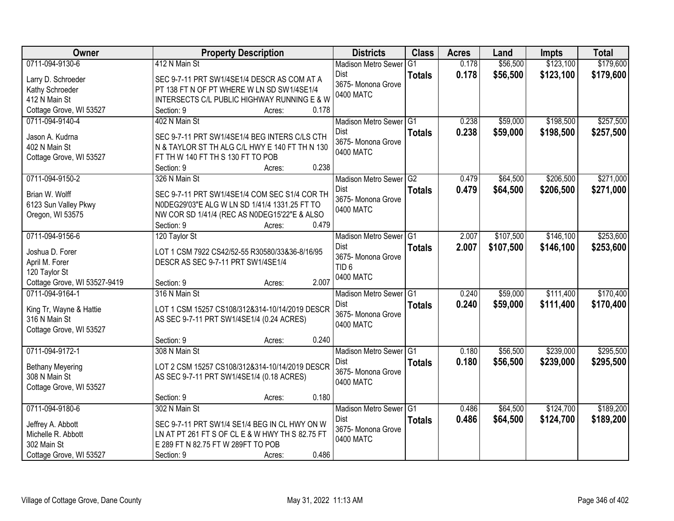| Owner                             | <b>Property Description</b>                                                                     |                 | <b>Districts</b>                       | <b>Class</b>   | <b>Acres</b> | Land      | <b>Impts</b> | <b>Total</b> |
|-----------------------------------|-------------------------------------------------------------------------------------------------|-----------------|----------------------------------------|----------------|--------------|-----------|--------------|--------------|
| 0711-094-9130-6                   | 412 N Main St                                                                                   |                 | <b>Madison Metro Sewer</b>             | G <sub>1</sub> | 0.178        | \$56,500  | \$123,100    | \$179,600    |
| Larry D. Schroeder                | SEC 9-7-11 PRT SW1/4SE1/4 DESCR AS COM AT A                                                     |                 | Dist                                   | <b>Totals</b>  | 0.178        | \$56,500  | \$123,100    | \$179,600    |
| Kathy Schroeder                   | PT 138 FT N OF PT WHERE W LN SD SW1/4SE1/4                                                      |                 | 3675- Monona Grove                     |                |              |           |              |              |
| 412 N Main St                     | INTERSECTS C/L PUBLIC HIGHWAY RUNNING E & W                                                     |                 | 0400 MATC                              |                |              |           |              |              |
| Cottage Grove, WI 53527           | Section: 9                                                                                      | 0.178<br>Acres: |                                        |                |              |           |              |              |
| 0711-094-9140-4                   | 402 N Main St                                                                                   |                 | Madison Metro Sewer G1                 |                | 0.238        | \$59,000  | \$198,500    | \$257,500    |
|                                   |                                                                                                 |                 | <b>Dist</b>                            | <b>Totals</b>  | 0.238        | \$59,000  | \$198,500    | \$257,500    |
| Jason A. Kudrna<br>402 N Main St  | SEC 9-7-11 PRT SW1/4SE1/4 BEG INTERS C/LS CTH<br>N & TAYLOR ST TH ALG C/L HWY E 140 FT TH N 130 |                 | 3675- Monona Grove                     |                |              |           |              |              |
| Cottage Grove, WI 53527           | FT TH W 140 FT TH S 130 FT TO POB                                                               |                 | 0400 MATC                              |                |              |           |              |              |
|                                   | Section: 9                                                                                      | 0.238<br>Acres: |                                        |                |              |           |              |              |
| 0711-094-9150-2                   | 326 N Main St                                                                                   |                 | Madison Metro Sewer G2                 |                | 0.479        | \$64,500  | \$206,500    | \$271,000    |
|                                   |                                                                                                 |                 | Dist                                   | <b>Totals</b>  | 0.479        | \$64,500  | \$206,500    | \$271,000    |
| Brian W. Wolff                    | SEC 9-7-11 PRT SW1/4SE1/4 COM SEC S1/4 COR TH                                                   |                 | 3675- Monona Grove                     |                |              |           |              |              |
| 6123 Sun Valley Pkwy              | N0DEG29'03"E ALG W LN SD 1/41/4 1331.25 FT TO                                                   |                 | 0400 MATC                              |                |              |           |              |              |
| Oregon, WI 53575                  | NW COR SD 1/41/4 (REC AS N0DEG15'22"E & ALSO                                                    |                 |                                        |                |              |           |              |              |
|                                   | Section: 9                                                                                      | 0.479<br>Acres: |                                        |                |              |           |              |              |
| 0711-094-9156-6                   | 120 Taylor St                                                                                   |                 | Madison Metro Sewer G1                 |                | 2.007        | \$107,500 | \$146,100    | \$253,600    |
| Joshua D. Forer                   | LOT 1 CSM 7922 CS42/52-55 R30580/33&36-8/16/95                                                  |                 | <b>Dist</b>                            | <b>Totals</b>  | 2.007        | \$107,500 | \$146,100    | \$253,600    |
| April M. Forer                    | DESCR AS SEC 9-7-11 PRT SW1/4SE1/4                                                              |                 | 3675- Monona Grove<br>TID <sub>6</sub> |                |              |           |              |              |
| 120 Taylor St                     |                                                                                                 |                 | 0400 MATC                              |                |              |           |              |              |
| Cottage Grove, WI 53527-9419      | Section: 9                                                                                      | 2.007<br>Acres: |                                        |                |              |           |              |              |
| 0711-094-9164-1                   | 316 N Main St                                                                                   |                 | Madison Metro Sewer G1                 |                | 0.240        | \$59,000  | \$111,400    | \$170,400    |
| King Tr, Wayne & Hattie           | LOT 1 CSM 15257 CS108/312&314-10/14/2019 DESCR                                                  |                 | Dist                                   | <b>Totals</b>  | 0.240        | \$59,000  | \$111,400    | \$170,400    |
| 316 N Main St                     | AS SEC 9-7-11 PRT SW1/4SE1/4 (0.24 ACRES)                                                       |                 | 3675- Monona Grove                     |                |              |           |              |              |
| Cottage Grove, WI 53527           |                                                                                                 |                 | 0400 MATC                              |                |              |           |              |              |
|                                   | Section: 9                                                                                      | 0.240<br>Acres: |                                        |                |              |           |              |              |
| 0711-094-9172-1                   | 308 N Main St                                                                                   |                 | Madison Metro Sewer G1                 |                | 0.180        | \$56,500  | \$239,000    | \$295,500    |
| <b>Bethany Meyering</b>           | LOT 2 CSM 15257 CS108/312&314-10/14/2019 DESCR                                                  |                 | Dist                                   | <b>Totals</b>  | 0.180        | \$56,500  | \$239,000    | \$295,500    |
| 308 N Main St                     | AS SEC 9-7-11 PRT SW1/4SE1/4 (0.18 ACRES)                                                       |                 | 3675- Monona Grove                     |                |              |           |              |              |
| Cottage Grove, WI 53527           |                                                                                                 |                 | 0400 MATC                              |                |              |           |              |              |
|                                   | Section: 9                                                                                      | 0.180<br>Acres: |                                        |                |              |           |              |              |
| 0711-094-9180-6                   | 302 N Main St                                                                                   |                 | Madison Metro Sewer G1                 |                | 0.486        | \$64,500  | \$124,700    | \$189,200    |
|                                   |                                                                                                 |                 | Dist                                   | <b>Totals</b>  | 0.486        | \$64,500  | \$124,700    | \$189,200    |
| Jeffrey A. Abbott                 | SEC 9-7-11 PRT SW1/4 SE1/4 BEG IN CL HWY ON W                                                   |                 | 3675- Monona Grove                     |                |              |           |              |              |
| Michelle R. Abbott<br>302 Main St | LN AT PT 261 FT S OF CL E & W HWY TH S 82.75 FT<br>E 289 FT N 82.75 FT W 289FT TO POB           |                 | 0400 MATC                              |                |              |           |              |              |
| Cottage Grove, WI 53527           | Section: 9                                                                                      | 0.486<br>Acres: |                                        |                |              |           |              |              |
|                                   |                                                                                                 |                 |                                        |                |              |           |              |              |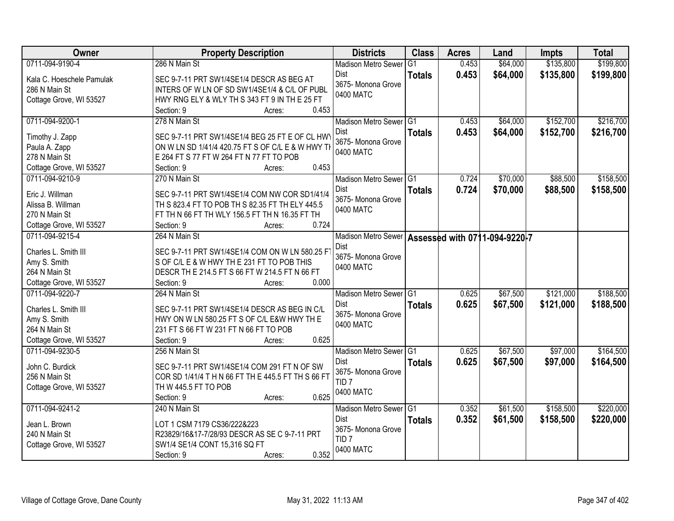| Owner                     | <b>Property Description</b>                        | <b>Districts</b>                                    | <b>Class</b>  | <b>Acres</b> | Land     | <b>Impts</b> | <b>Total</b> |
|---------------------------|----------------------------------------------------|-----------------------------------------------------|---------------|--------------|----------|--------------|--------------|
| 0711-094-9190-4           | 286 N Main St                                      | <b>Madison Metro Sewer</b>                          | G1            | 0.453        | \$64,000 | \$135,800    | \$199,800    |
| Kala C. Hoeschele Pamulak | SEC 9-7-11 PRT SW1/4SE1/4 DESCR AS BEG AT          | Dist                                                | <b>Totals</b> | 0.453        | \$64,000 | \$135,800    | \$199,800    |
| 286 N Main St             | INTERS OF W LN OF SD SW1/4SE1/4 & C/L OF PUBL      | 3675- Monona Grove                                  |               |              |          |              |              |
| Cottage Grove, WI 53527   | HWY RNG ELY & WLY TH S 343 FT 9 IN TH E 25 FT      | 0400 MATC                                           |               |              |          |              |              |
|                           | 0.453<br>Section: 9<br>Acres:                      |                                                     |               |              |          |              |              |
| 0711-094-9200-1           | 278 N Main St                                      | Madison Metro Sewer G1                              |               | 0.453        | \$64,000 | \$152,700    | \$216,700    |
|                           |                                                    | Dist                                                | <b>Totals</b> | 0.453        | \$64,000 | \$152,700    | \$216,700    |
| Timothy J. Zapp           | SEC 9-7-11 PRT SW1/4SE1/4 BEG 25 FT E OF CL HW     | 3675- Monona Grove                                  |               |              |          |              |              |
| Paula A. Zapp             | ON W LN SD 1/41/4 420.75 FT S OF C/L E & W HWY TH  | 0400 MATC                                           |               |              |          |              |              |
| 278 N Main St             | E 264 FT S 77 FT W 264 FT N 77 FT TO POB<br>0.453  |                                                     |               |              |          |              |              |
| Cottage Grove, WI 53527   | Section: 9<br>Acres:                               |                                                     |               |              |          |              |              |
| 0711-094-9210-9           | 270 N Main St                                      | Madison Metro Sewer G1                              |               | 0.724        | \$70,000 | \$88,500     | \$158,500    |
| Eric J. Willman           | SEC 9-7-11 PRT SW1/4SE1/4 COM NW COR SD1/41/4      | Dist                                                | <b>Totals</b> | 0.724        | \$70,000 | \$88,500     | \$158,500    |
| Alissa B. Willman         | TH S 823.4 FT TO POB TH S 82.35 FT TH ELY 445.5    | 3675- Monona Grove                                  |               |              |          |              |              |
| 270 N Main St             | FT TH N 66 FT TH WLY 156.5 FT TH N 16.35 FT TH     | 0400 MATC                                           |               |              |          |              |              |
| Cottage Grove, WI 53527   | 0.724<br>Section: 9<br>Acres:                      |                                                     |               |              |          |              |              |
| 0711-094-9215-4           | 264 N Main St                                      | Madison Metro Sewer   Assessed with 0711-094-9220-7 |               |              |          |              |              |
|                           |                                                    | Dist                                                |               |              |          |              |              |
| Charles L. Smith III      | SEC 9-7-11 PRT SW1/4SE1/4 COM ON W LN 580.25 F     | 3675- Monona Grove                                  |               |              |          |              |              |
| Amy S. Smith              | S OF C/L E & W HWY TH E 231 FT TO POB THIS         | 0400 MATC                                           |               |              |          |              |              |
| 264 N Main St             | DESCR TH E 214.5 FT S 66 FT W 214.5 FT N 66 FT     |                                                     |               |              |          |              |              |
| Cottage Grove, WI 53527   | 0.000<br>Section: 9<br>Acres:                      |                                                     |               |              |          |              |              |
| 0711-094-9220-7           | 264 N Main St                                      | Madison Metro Sewer G1                              |               | 0.625        | \$67,500 | \$121,000    | \$188,500    |
| Charles L. Smith III      | SEC 9-7-11 PRT SW1/4SE1/4 DESCR AS BEG IN C/L      | <b>Dist</b>                                         | <b>Totals</b> | 0.625        | \$67,500 | \$121,000    | \$188,500    |
| Amy S. Smith              | HWY ON W LN 580.25 FT S OF C/L E&W HWY TH E        | 3675- Monona Grove                                  |               |              |          |              |              |
| 264 N Main St             | 231 FT S 66 FT W 231 FT N 66 FT TO POB             | 0400 MATC                                           |               |              |          |              |              |
| Cottage Grove, WI 53527   | 0.625<br>Section: 9<br>Acres:                      |                                                     |               |              |          |              |              |
| 0711-094-9230-5           | 256 N Main St                                      | Madison Metro Sewer G1                              |               | 0.625        | \$67,500 | \$97,000     | \$164,500    |
|                           |                                                    | Dist                                                | <b>Totals</b> | 0.625        | \$67,500 | \$97,000     | \$164,500    |
| John C. Burdick           | SEC 9-7-11 PRT SW1/4SE1/4 COM 291 FT N OF SW       | 3675- Monona Grove                                  |               |              |          |              |              |
| 256 N Main St             | COR SD 1/41/4 T H N 66 FT TH E 445.5 FT TH S 66 FT | TID <sub>7</sub>                                    |               |              |          |              |              |
| Cottage Grove, WI 53527   | TH W 445.5 FT TO POB                               | 0400 MATC                                           |               |              |          |              |              |
|                           | 0.625<br>Section: 9<br>Acres:                      |                                                     |               |              |          |              |              |
| 0711-094-9241-2           | 240 N Main St                                      | Madison Metro Sewer G1                              |               | 0.352        | \$61,500 | \$158,500    | \$220,000    |
| Jean L. Brown             | LOT 1 CSM 7179 CS36/222&223                        | Dist                                                | <b>Totals</b> | 0.352        | \$61,500 | \$158,500    | \$220,000    |
| 240 N Main St             | R23829/16&17-7/28/93 DESCR AS SE C 9-7-11 PRT      | 3675- Monona Grove                                  |               |              |          |              |              |
| Cottage Grove, WI 53527   | SW1/4 SE1/4 CONT 15,316 SQ FT                      | TID <sub>7</sub>                                    |               |              |          |              |              |
|                           | 0.352<br>Section: 9<br>Acres:                      | 0400 MATC                                           |               |              |          |              |              |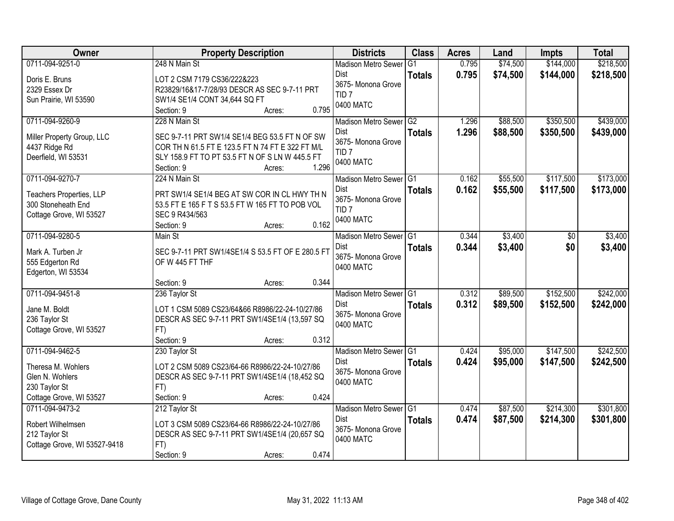| <b>Owner</b>                          | <b>Property Description</b>                                          | <b>Districts</b>               | <b>Class</b>  | <b>Acres</b> | Land     | <b>Impts</b> | <b>Total</b> |
|---------------------------------------|----------------------------------------------------------------------|--------------------------------|---------------|--------------|----------|--------------|--------------|
| 0711-094-9251-0                       | 248 N Main St                                                        | <b>Madison Metro Sewer</b>     | G1            | 0.795        | \$74,500 | \$144,000    | \$218,500    |
| Doris E. Bruns                        | LOT 2 CSM 7179 CS36/222&223                                          | Dist                           | <b>Totals</b> | 0.795        | \$74,500 | \$144,000    | \$218,500    |
| 2329 Essex Dr                         | R23829/16&17-7/28/93 DESCR AS SEC 9-7-11 PRT                         | 3675- Monona Grove             |               |              |          |              |              |
| Sun Prairie, WI 53590                 | SW1/4 SE1/4 CONT 34,644 SQ FT                                        | TID <sub>7</sub>               |               |              |          |              |              |
|                                       | 0.795<br>Section: 9<br>Acres:                                        | 0400 MATC                      |               |              |          |              |              |
| 0711-094-9260-9                       | 228 N Main St                                                        | Madison Metro Sewer G2         |               | 1.296        | \$88,500 | \$350,500    | \$439,000    |
|                                       |                                                                      | Dist                           | <b>Totals</b> | 1.296        | \$88,500 | \$350,500    | \$439,000    |
| Miller Property Group, LLC            | SEC 9-7-11 PRT SW1/4 SE1/4 BEG 53.5 FT N OF SW                       | 3675- Monona Grove             |               |              |          |              |              |
| 4437 Ridge Rd                         | COR TH N 61.5 FT E 123.5 FT N 74 FT E 322 FT M/L                     | TID <sub>7</sub>               |               |              |          |              |              |
| Deerfield, WI 53531                   | SLY 158.9 FT TO PT 53.5 FT N OF S LN W 445.5 FT<br>1.296             | 0400 MATC                      |               |              |          |              |              |
| 0711-094-9270-7                       | Section: 9<br>Acres:<br>224 N Main St                                |                                |               | 0.162        | \$55,500 | \$117,500    | \$173,000    |
|                                       |                                                                      | Madison Metro Sewer G1<br>Dist |               |              |          |              |              |
| Teachers Properties, LLP              | PRT SW1/4 SE1/4 BEG AT SW COR IN CL HWY TH N                         | 3675- Monona Grove             | <b>Totals</b> | 0.162        | \$55,500 | \$117,500    | \$173,000    |
| 300 Stoneheath End                    | 53.5 FT E 165 F T S 53.5 FT W 165 FT TO POB VOL                      | TID <sub>7</sub>               |               |              |          |              |              |
| Cottage Grove, WI 53527               | SEC 9 R434/563                                                       | 0400 MATC                      |               |              |          |              |              |
|                                       | 0.162<br>Section: 9<br>Acres:                                        |                                |               |              |          |              |              |
| 0711-094-9280-5                       | Main St                                                              | Madison Metro Sewer G1         |               | 0.344        | \$3,400  | \$0          | \$3,400      |
|                                       |                                                                      | Dist                           | <b>Totals</b> | 0.344        | \$3,400  | \$0          | \$3,400      |
| Mark A. Turben Jr                     | SEC 9-7-11 PRT SW1/4SE1/4 S 53.5 FT OF E 280.5 FT<br>OF W 445 FT THF | 3675- Monona Grove             |               |              |          |              |              |
| 555 Edgerton Rd<br>Edgerton, WI 53534 |                                                                      | 0400 MATC                      |               |              |          |              |              |
|                                       | 0.344<br>Section: 9<br>Acres:                                        |                                |               |              |          |              |              |
| 0711-094-9451-8                       | 236 Taylor St                                                        | Madison Metro Sewer G1         |               | 0.312        | \$89,500 | \$152,500    | \$242,000    |
|                                       |                                                                      | <b>Dist</b>                    |               | 0.312        |          |              |              |
| Jane M. Boldt                         | LOT 1 CSM 5089 CS23/64&66 R8986/22-24-10/27/86                       | 3675- Monona Grove             | <b>Totals</b> |              | \$89,500 | \$152,500    | \$242,000    |
| 236 Taylor St                         | DESCR AS SEC 9-7-11 PRT SW1/4SE1/4 (13,597 SQ                        | 0400 MATC                      |               |              |          |              |              |
| Cottage Grove, WI 53527               | FT)                                                                  |                                |               |              |          |              |              |
|                                       | Section: 9<br>0.312<br>Acres:                                        |                                |               |              |          |              |              |
| 0711-094-9462-5                       | 230 Taylor St                                                        | Madison Metro Sewer G1         |               | 0.424        | \$95,000 | \$147,500    | \$242,500    |
| Theresa M. Wohlers                    | LOT 2 CSM 5089 CS23/64-66 R8986/22-24-10/27/86                       | Dist                           | <b>Totals</b> | 0.424        | \$95,000 | \$147,500    | \$242,500    |
| Glen N. Wohlers                       | DESCR AS SEC 9-7-11 PRT SW1/4SE1/4 (18,452 SQ                        | 3675- Monona Grove             |               |              |          |              |              |
| 230 Taylor St                         | FT)                                                                  | 0400 MATC                      |               |              |          |              |              |
| Cottage Grove, WI 53527               | 0.424<br>Section: 9<br>Acres:                                        |                                |               |              |          |              |              |
| 0711-094-9473-2                       | 212 Taylor St                                                        | Madison Metro Sewer G1         |               | 0.474        | \$87,500 | \$214,300    | \$301,800    |
|                                       |                                                                      | Dist                           | <b>Totals</b> | 0.474        | \$87,500 | \$214,300    | \$301,800    |
| Robert Wilhelmsen                     | LOT 3 CSM 5089 CS23/64-66 R8986/22-24-10/27/86                       | 3675- Monona Grove             |               |              |          |              |              |
| 212 Taylor St                         | DESCR AS SEC 9-7-11 PRT SW1/4SE1/4 (20,657 SQ                        | 0400 MATC                      |               |              |          |              |              |
| Cottage Grove, WI 53527-9418          | FT)                                                                  |                                |               |              |          |              |              |
|                                       | 0.474<br>Section: 9<br>Acres:                                        |                                |               |              |          |              |              |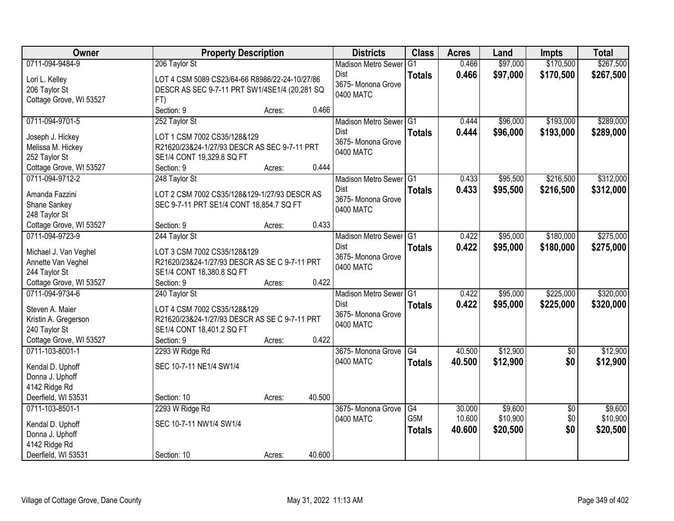| Owner                   | <b>Property Description</b>                    |                  | <b>Districts</b>           | <b>Class</b>  | <b>Acres</b> | Land     | <b>Impts</b>    | <b>Total</b> |
|-------------------------|------------------------------------------------|------------------|----------------------------|---------------|--------------|----------|-----------------|--------------|
| 0711-094-9484-9         | 206 Taylor St                                  |                  | <b>Madison Metro Sewer</b> | G1            | 0.466        | \$97,000 | \$170,500       | \$267,500    |
| Lori L. Kelley          | LOT 4 CSM 5089 CS23/64-66 R8986/22-24-10/27/86 |                  | Dist                       | <b>Totals</b> | 0.466        | \$97,000 | \$170,500       | \$267,500    |
| 206 Taylor St           | DESCR AS SEC 9-7-11 PRT SW1/4SE1/4 (20,281 SQ  |                  | 3675- Monona Grove         |               |              |          |                 |              |
| Cottage Grove, WI 53527 | FT)                                            |                  | 0400 MATC                  |               |              |          |                 |              |
|                         | Section: 9                                     | 0.466<br>Acres:  |                            |               |              |          |                 |              |
| 0711-094-9701-5         | 252 Taylor St                                  |                  | Madison Metro Sewer G1     |               | 0.444        | \$96,000 | \$193,000       | \$289,000    |
| Joseph J. Hickey        | LOT 1 CSM 7002 CS35/128&129                    |                  | Dist                       | <b>Totals</b> | 0.444        | \$96,000 | \$193,000       | \$289,000    |
| Melissa M. Hickey       | R21620/23&24-1/27/93 DESCR AS SEC 9-7-11 PRT   |                  | 3675- Monona Grove         |               |              |          |                 |              |
| 252 Taylor St           | SE1/4 CONT 19,329.8 SQ FT                      |                  | 0400 MATC                  |               |              |          |                 |              |
| Cottage Grove, WI 53527 | Section: 9                                     | 0.444<br>Acres:  |                            |               |              |          |                 |              |
| 0711-094-9712-2         | 248 Taylor St                                  |                  | Madison Metro Sewer G1     |               | 0.433        | \$95,500 | \$216,500       | \$312,000    |
|                         |                                                |                  | Dist                       | <b>Totals</b> | 0.433        | \$95,500 | \$216,500       | \$312,000    |
| Amanda Fazzini          | LOT 2 CSM 7002 CS35/128&129-1/27/93 DESCR AS   |                  | 3675- Monona Grove         |               |              |          |                 |              |
| Shane Sankey            | SEC 9-7-11 PRT SE1/4 CONT 18,854.7 SQ FT       |                  | 0400 MATC                  |               |              |          |                 |              |
| 248 Taylor St           |                                                |                  |                            |               |              |          |                 |              |
| Cottage Grove, WI 53527 | Section: 9                                     | 0.433<br>Acres:  |                            |               |              |          |                 |              |
| 0711-094-9723-9         | 244 Taylor St                                  |                  | Madison Metro Sewer G1     |               | 0.422        | \$95,000 | \$180,000       | \$275,000    |
| Michael J. Van Veghel   | LOT 3 CSM 7002 CS35/128&129                    |                  | Dist                       | <b>Totals</b> | 0.422        | \$95,000 | \$180,000       | \$275,000    |
| Annette Van Veghel      | R21620/23&24-1/27/93 DESCR AS SE C 9-7-11 PRT  |                  | 3675- Monona Grove         |               |              |          |                 |              |
| 244 Taylor St           | SE1/4 CONT 18,380.8 SQ FT                      |                  | 0400 MATC                  |               |              |          |                 |              |
| Cottage Grove, WI 53527 | Section: 9                                     | 0.422<br>Acres:  |                            |               |              |          |                 |              |
| 0711-094-9734-6         | 240 Taylor St                                  |                  | <b>Madison Metro Sewer</b> | TG1           | 0.422        | \$95,000 | \$225,000       | \$320,000    |
| Steven A. Maier         | LOT 4 CSM 7002 CS35/128&129                    |                  | <b>Dist</b>                | <b>Totals</b> | 0.422        | \$95,000 | \$225,000       | \$320,000    |
| Kristin A. Gregerson    | R21620/23&24-1/27/93 DESCR AS SE C 9-7-11 PRT  |                  | 3675- Monona Grove         |               |              |          |                 |              |
| 240 Taylor St           | SE1/4 CONT 18,401.2 SQ FT                      |                  | 0400 MATC                  |               |              |          |                 |              |
| Cottage Grove, WI 53527 | Section: 9                                     | 0.422<br>Acres:  |                            |               |              |          |                 |              |
| 0711-103-8001-1         | 2293 W Ridge Rd                                |                  | 3675-Monona Grove G4       |               | 40.500       | \$12,900 | $\overline{50}$ | \$12,900     |
|                         |                                                |                  | 0400 MATC                  | <b>Totals</b> | 40.500       | \$12,900 | \$0             | \$12,900     |
| Kendal D. Uphoff        | SEC 10-7-11 NE1/4 SW1/4                        |                  |                            |               |              |          |                 |              |
| Donna J. Uphoff         |                                                |                  |                            |               |              |          |                 |              |
| 4142 Ridge Rd           |                                                |                  |                            |               |              |          |                 |              |
| Deerfield, WI 53531     | Section: 10                                    | 40.500<br>Acres: |                            |               |              |          |                 |              |
| 0711-103-8501-1         | 2293 W Ridge Rd                                |                  | 3675- Monona Grove         | G4            | 30.000       | \$9,600  | $\overline{50}$ | \$9,600      |
| Kendal D. Uphoff        | SEC 10-7-11 NW1/4 SW1/4                        |                  | 0400 MATC                  | G5M           | 10.600       | \$10,900 | \$0             | \$10,900     |
| Donna J. Uphoff         |                                                |                  |                            | <b>Totals</b> | 40.600       | \$20,500 | \$0             | \$20,500     |
| 4142 Ridge Rd           |                                                |                  |                            |               |              |          |                 |              |
| Deerfield, WI 53531     | Section: 10                                    | 40.600<br>Acres: |                            |               |              |          |                 |              |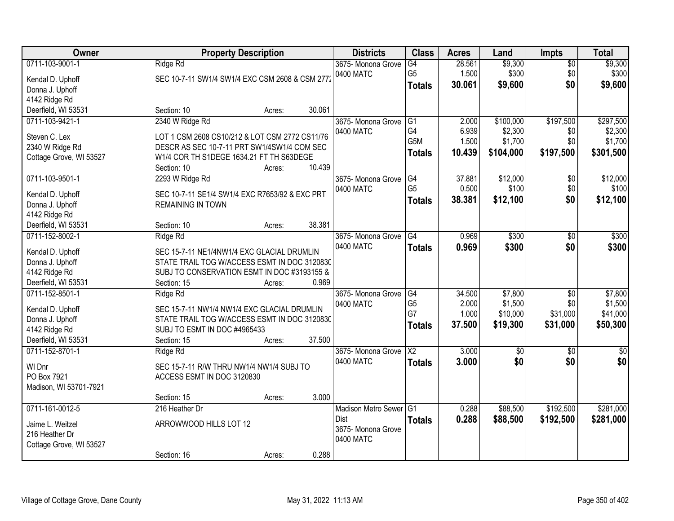| <b>Owner</b>                         |                                                                                            | <b>Property Description</b> |        | <b>Districts</b>           | <b>Class</b>         | <b>Acres</b> | Land            | Impts           | <b>Total</b> |
|--------------------------------------|--------------------------------------------------------------------------------------------|-----------------------------|--------|----------------------------|----------------------|--------------|-----------------|-----------------|--------------|
| 0711-103-9001-1                      | Ridge Rd                                                                                   |                             |        | 3675-Monona Grove          | G4                   | 28.561       | \$9,300         | $\overline{50}$ | \$9,300      |
| Kendal D. Uphoff                     | SEC 10-7-11 SW1/4 SW1/4 EXC CSM 2608 & CSM 277:                                            |                             |        | 0400 MATC                  | G <sub>5</sub>       | 1.500        | \$300           | \$0             | \$300        |
| Donna J. Uphoff                      |                                                                                            |                             |        |                            | <b>Totals</b>        | 30.061       | \$9,600         | \$0             | \$9,600      |
| 4142 Ridge Rd                        |                                                                                            |                             |        |                            |                      |              |                 |                 |              |
| Deerfield, WI 53531                  | Section: 10                                                                                | Acres:                      | 30.061 |                            |                      |              |                 |                 |              |
| 0711-103-9421-1                      | 2340 W Ridge Rd                                                                            |                             |        | 3675- Monona Grove         | G1                   | 2.000        | \$100,000       | \$197,500       | \$297,500    |
|                                      |                                                                                            |                             |        | 0400 MATC                  | G4                   | 6.939        | \$2,300         | \$0             | \$2,300      |
| Steven C. Lex                        | LOT 1 CSM 2608 CS10/212 & LOT CSM 2772 CS11/76                                             |                             |        |                            | G <sub>5</sub> M     | 1.500        | \$1,700         | \$0             | \$1,700      |
| 2340 W Ridge Rd                      | DESCR AS SEC 10-7-11 PRT SW1/4SW1/4 COM SEC                                                |                             |        |                            | <b>Totals</b>        | 10.439       | \$104,000       | \$197,500       | \$301,500    |
| Cottage Grove, WI 53527              | W1/4 COR TH S1DEGE 1634.21 FT TH S63DEGE                                                   |                             | 10.439 |                            |                      |              |                 |                 |              |
|                                      | Section: 10                                                                                | Acres:                      |        |                            |                      |              |                 |                 |              |
| 0711-103-9501-1                      | 2293 W Ridge Rd                                                                            |                             |        | 3675- Monona Grove         | G4<br>G <sub>5</sub> | 37.881       | \$12,000        | \$0             | \$12,000     |
| Kendal D. Uphoff                     | SEC 10-7-11 SE1/4 SW1/4 EXC R7653/92 & EXC PRT                                             |                             |        | 0400 MATC                  |                      | 0.500        | \$100           | \$0             | \$100        |
| Donna J. Uphoff                      | <b>REMAINING IN TOWN</b>                                                                   |                             |        |                            | <b>Totals</b>        | 38.381       | \$12,100        | \$0             | \$12,100     |
| 4142 Ridge Rd                        |                                                                                            |                             |        |                            |                      |              |                 |                 |              |
| Deerfield, WI 53531                  | Section: 10                                                                                | Acres:                      | 38.381 |                            |                      |              |                 |                 |              |
| 0711-152-8002-1                      | Ridge Rd                                                                                   |                             |        | 3675-Monona Grove          | G4                   | 0.969        | \$300           | $\sqrt[6]{}$    | \$300        |
|                                      |                                                                                            |                             |        | 0400 MATC                  | <b>Totals</b>        | 0.969        | \$300           | \$0             | \$300        |
| Kendal D. Uphoff                     | SEC 15-7-11 NE1/4NW1/4 EXC GLACIAL DRUMLIN<br>STATE TRAIL TOG W/ACCESS ESMT IN DOC 3120830 |                             |        |                            |                      |              |                 |                 |              |
| Donna J. Uphoff                      | SUBJ TO CONSERVATION ESMT IN DOC #3193155 &                                                |                             |        |                            |                      |              |                 |                 |              |
| 4142 Ridge Rd<br>Deerfield, WI 53531 |                                                                                            |                             | 0.969  |                            |                      |              |                 |                 |              |
| 0711-152-8501-1                      | Section: 15                                                                                | Acres:                      |        |                            | G4                   | 34.500       | \$7,800         | $\overline{50}$ | \$7,800      |
|                                      | Ridge Rd                                                                                   |                             |        | 3675- Monona Grove         | G <sub>5</sub>       | 2.000        | \$1,500         | \$0             | \$1,500      |
| Kendal D. Uphoff                     | SEC 15-7-11 NW1/4 NW1/4 EXC GLACIAL DRUMLIN                                                |                             |        | 0400 MATC                  | G7                   | 1.000        | \$10,000        | \$31,000        | \$41,000     |
| Donna J. Uphoff                      | STATE TRAIL TOG W/ACCESS ESMT IN DOC 3120830                                               |                             |        |                            |                      |              |                 |                 |              |
| 4142 Ridge Rd                        | SUBJ TO ESMT IN DOC #4965433                                                               |                             |        |                            | <b>Totals</b>        | 37.500       | \$19,300        | \$31,000        | \$50,300     |
| Deerfield, WI 53531                  | Section: 15                                                                                | Acres:                      | 37.500 |                            |                      |              |                 |                 |              |
| 0711-152-8701-1                      | Ridge Rd                                                                                   |                             |        | 3675-Monona Grove          | $\overline{X2}$      | 3.000        | $\overline{50}$ | \$0             | \$0          |
| WI Dnr                               | SEC 15-7-11 R/W THRU NW1/4 NW1/4 SUBJ TO                                                   |                             |        | 0400 MATC                  | <b>Totals</b>        | 3.000        | \$0             | \$0             | \$0          |
| PO Box 7921                          | ACCESS ESMT IN DOC 3120830                                                                 |                             |        |                            |                      |              |                 |                 |              |
| Madison, WI 53701-7921               |                                                                                            |                             |        |                            |                      |              |                 |                 |              |
|                                      | Section: 15                                                                                | Acres:                      | 3.000  |                            |                      |              |                 |                 |              |
| 0711-161-0012-5                      | 216 Heather Dr                                                                             |                             |        | <b>Madison Metro Sewer</b> | G1                   | 0.288        | \$88,500        | \$192,500       | \$281,000    |
|                                      |                                                                                            |                             |        | Dist                       |                      | 0.288        |                 |                 |              |
| Jaime L. Weitzel                     | ARROWWOOD HILLS LOT 12                                                                     |                             |        | 3675- Monona Grove         | <b>Totals</b>        |              | \$88,500        | \$192,500       | \$281,000    |
| 216 Heather Dr                       |                                                                                            |                             |        | 0400 MATC                  |                      |              |                 |                 |              |
| Cottage Grove, WI 53527              |                                                                                            |                             |        |                            |                      |              |                 |                 |              |
|                                      | Section: 16                                                                                | Acres:                      | 0.288  |                            |                      |              |                 |                 |              |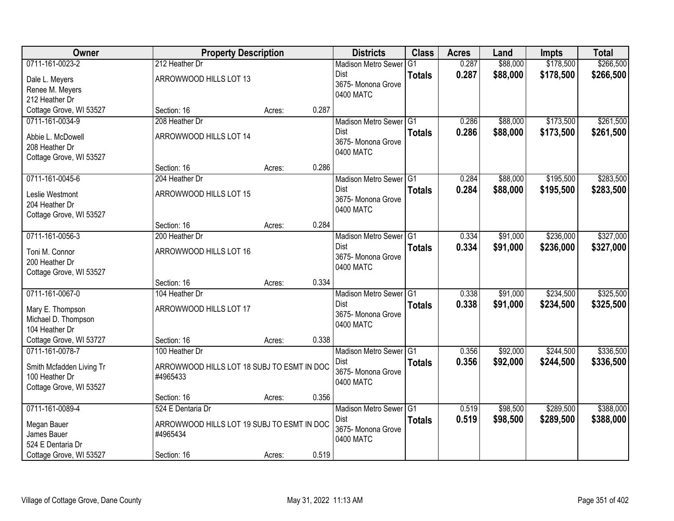| Owner                               | <b>Property Description</b>                |        |       | <b>Districts</b>           | <b>Class</b>  | <b>Acres</b> | Land     | <b>Impts</b> | <b>Total</b> |
|-------------------------------------|--------------------------------------------|--------|-------|----------------------------|---------------|--------------|----------|--------------|--------------|
| 0711-161-0023-2                     | 212 Heather Dr                             |        |       | <b>Madison Metro Sewer</b> | G1            | 0.287        | \$88,000 | \$178,500    | \$266,500    |
| Dale L. Meyers                      | ARROWWOOD HILLS LOT 13                     |        |       | Dist                       | <b>Totals</b> | 0.287        | \$88,000 | \$178,500    | \$266,500    |
| Renee M. Meyers                     |                                            |        |       | 3675- Monona Grove         |               |              |          |              |              |
| 212 Heather Dr                      |                                            |        |       | 0400 MATC                  |               |              |          |              |              |
| Cottage Grove, WI 53527             | Section: 16                                | Acres: | 0.287 |                            |               |              |          |              |              |
| 0711-161-0034-9                     | 208 Heather Dr                             |        |       | Madison Metro Sewer G1     |               | 0.286        | \$88,000 | \$173,500    | \$261,500    |
|                                     | ARROWWOOD HILLS LOT 14                     |        |       | Dist                       | <b>Totals</b> | 0.286        | \$88,000 | \$173,500    | \$261,500    |
| Abbie L. McDowell<br>208 Heather Dr |                                            |        |       | 3675- Monona Grove         |               |              |          |              |              |
| Cottage Grove, WI 53527             |                                            |        |       | 0400 MATC                  |               |              |          |              |              |
|                                     | Section: 16                                | Acres: | 0.286 |                            |               |              |          |              |              |
| 0711-161-0045-6                     | 204 Heather Dr                             |        |       | Madison Metro Sewer G1     |               | 0.284        | \$88,000 | \$195,500    | \$283,500    |
|                                     |                                            |        |       | Dist                       | <b>Totals</b> | 0.284        | \$88,000 | \$195,500    | \$283,500    |
| Leslie Westmont                     | ARROWWOOD HILLS LOT 15                     |        |       | 3675- Monona Grove         |               |              |          |              |              |
| 204 Heather Dr                      |                                            |        |       | 0400 MATC                  |               |              |          |              |              |
| Cottage Grove, WI 53527             | Section: 16                                | Acres: | 0.284 |                            |               |              |          |              |              |
| 0711-161-0056-3                     | 200 Heather Dr                             |        |       | Madison Metro Sewer G1     |               | 0.334        | \$91,000 | \$236,000    | \$327,000    |
|                                     |                                            |        |       | Dist                       | <b>Totals</b> | 0.334        | \$91,000 | \$236,000    | \$327,000    |
| Toni M. Connor                      | ARROWWOOD HILLS LOT 16                     |        |       | 3675- Monona Grove         |               |              |          |              |              |
| 200 Heather Dr                      |                                            |        |       | 0400 MATC                  |               |              |          |              |              |
| Cottage Grove, WI 53527             |                                            |        |       |                            |               |              |          |              |              |
|                                     | Section: 16                                | Acres: | 0.334 |                            |               |              |          |              |              |
| 0711-161-0067-0                     | 104 Heather Dr                             |        |       | <b>Madison Metro Sewer</b> | TG1           | 0.338        | \$91,000 | \$234,500    | \$325,500    |
| Mary E. Thompson                    | ARROWWOOD HILLS LOT 17                     |        |       | Dist                       | <b>Totals</b> | 0.338        | \$91,000 | \$234,500    | \$325,500    |
| Michael D. Thompson                 |                                            |        |       | 3675- Monona Grove         |               |              |          |              |              |
| 104 Heather Dr                      |                                            |        |       | 0400 MATC                  |               |              |          |              |              |
| Cottage Grove, WI 53727             | Section: 16                                | Acres: | 0.338 |                            |               |              |          |              |              |
| 0711-161-0078-7                     | 100 Heather Dr                             |        |       | Madison Metro Sewer G1     |               | 0.356        | \$92,000 | \$244,500    | \$336,500    |
| Smith Mcfadden Living Tr            | ARROWWOOD HILLS LOT 18 SUBJ TO ESMT IN DOC |        |       | Dist                       | <b>Totals</b> | 0.356        | \$92,000 | \$244,500    | \$336,500    |
| 100 Heather Dr                      | #4965433                                   |        |       | 3675- Monona Grove         |               |              |          |              |              |
| Cottage Grove, WI 53527             |                                            |        |       | 0400 MATC                  |               |              |          |              |              |
|                                     | Section: 16                                | Acres: | 0.356 |                            |               |              |          |              |              |
| 0711-161-0089-4                     | 524 E Dentaria Dr                          |        |       | Madison Metro Sewer G1     |               | 0.519        | \$98,500 | \$289,500    | \$388,000    |
| Megan Bauer                         | ARROWWOOD HILLS LOT 19 SUBJ TO ESMT IN DOC |        |       | Dist                       | <b>Totals</b> | 0.519        | \$98,500 | \$289,500    | \$388,000    |
| James Bauer                         | #4965434                                   |        |       | 3675- Monona Grove         |               |              |          |              |              |
| 524 E Dentaria Dr                   |                                            |        |       | 0400 MATC                  |               |              |          |              |              |
| Cottage Grove, WI 53527             | Section: 16                                | Acres: | 0.519 |                            |               |              |          |              |              |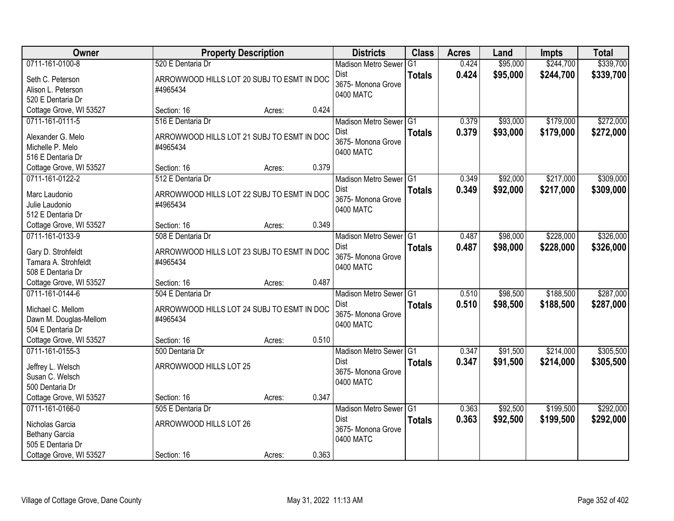| Owner                                       |                                                        | <b>Property Description</b> |       | <b>Districts</b>           | <b>Class</b>   | <b>Acres</b> | Land     | <b>Impts</b> | <b>Total</b> |
|---------------------------------------------|--------------------------------------------------------|-----------------------------|-------|----------------------------|----------------|--------------|----------|--------------|--------------|
| 0711-161-0100-8                             | 520 E Dentaria Dr                                      |                             |       | <b>Madison Metro Sewer</b> | G <sub>1</sub> | 0.424        | \$95,000 | \$244,700    | \$339,700    |
| Seth C. Peterson                            | ARROWWOOD HILLS LOT 20 SUBJ TO ESMT IN DOC             |                             |       | Dist                       | <b>Totals</b>  | 0.424        | \$95,000 | \$244,700    | \$339,700    |
| Alison L. Peterson                          | #4965434                                               |                             |       | 3675- Monona Grove         |                |              |          |              |              |
| 520 E Dentaria Dr                           |                                                        |                             |       | 0400 MATC                  |                |              |          |              |              |
| Cottage Grove, WI 53527                     | Section: 16                                            | Acres:                      | 0.424 |                            |                |              |          |              |              |
| 0711-161-0111-5                             | 516 E Dentaria Dr                                      |                             |       | Madison Metro Sewer G1     |                | 0.379        | \$93,000 | \$179,000    | \$272,000    |
| Alexander G. Melo                           | ARROWWOOD HILLS LOT 21 SUBJ TO ESMT IN DOC             |                             |       | Dist                       | <b>Totals</b>  | 0.379        | \$93,000 | \$179,000    | \$272,000    |
| Michelle P. Melo                            | #4965434                                               |                             |       | 3675- Monona Grove         |                |              |          |              |              |
| 516 E Dentaria Dr                           |                                                        |                             |       | 0400 MATC                  |                |              |          |              |              |
| Cottage Grove, WI 53527                     | Section: 16                                            | Acres:                      | 0.379 |                            |                |              |          |              |              |
| 0711-161-0122-2                             | 512 E Dentaria Dr                                      |                             |       | Madison Metro Sewer G1     |                | 0.349        | \$92,000 | \$217,000    | \$309,000    |
| Marc Laudonio                               | ARROWWOOD HILLS LOT 22 SUBJ TO ESMT IN DOC             |                             |       | <b>Dist</b>                | <b>Totals</b>  | 0.349        | \$92,000 | \$217,000    | \$309,000    |
| Julie Laudonio                              | #4965434                                               |                             |       | 3675- Monona Grove         |                |              |          |              |              |
| 512 E Dentaria Dr                           |                                                        |                             |       | 0400 MATC                  |                |              |          |              |              |
| Cottage Grove, WI 53527                     | Section: 16                                            | Acres:                      | 0.349 |                            |                |              |          |              |              |
| 0711-161-0133-9                             | 508 E Dentaria Dr                                      |                             |       | Madison Metro Sewer G1     |                | 0.487        | \$98,000 | \$228,000    | \$326,000    |
|                                             |                                                        |                             |       | Dist                       | <b>Totals</b>  | 0.487        | \$98,000 | \$228,000    | \$326,000    |
| Gary D. Strohfeldt<br>Tamara A. Strohfeldt  | ARROWWOOD HILLS LOT 23 SUBJ TO ESMT IN DOC<br>#4965434 |                             |       | 3675- Monona Grove         |                |              |          |              |              |
| 508 E Dentaria Dr                           |                                                        |                             |       | 0400 MATC                  |                |              |          |              |              |
| Cottage Grove, WI 53527                     | Section: 16                                            | Acres:                      | 0.487 |                            |                |              |          |              |              |
| 0711-161-0144-6                             | 504 E Dentaria Dr                                      |                             |       | Madison Metro Sewer G1     |                | 0.510        | \$98,500 | \$188,500    | \$287,000    |
|                                             |                                                        |                             |       | Dist                       | <b>Totals</b>  | 0.510        | \$98,500 | \$188,500    | \$287,000    |
| Michael C. Mellom                           | ARROWWOOD HILLS LOT 24 SUBJ TO ESMT IN DOC             |                             |       | 3675- Monona Grove         |                |              |          |              |              |
| Dawn M. Douglas-Mellom<br>504 E Dentaria Dr | #4965434                                               |                             |       | 0400 MATC                  |                |              |          |              |              |
| Cottage Grove, WI 53527                     | Section: 16                                            | Acres:                      | 0.510 |                            |                |              |          |              |              |
| 0711-161-0155-3                             | 500 Dentaria Dr                                        |                             |       | Madison Metro Sewer G1     |                | 0.347        | \$91,500 | \$214,000    | \$305,500    |
|                                             |                                                        |                             |       | Dist                       | <b>Totals</b>  | 0.347        | \$91,500 | \$214,000    | \$305,500    |
| Jeffrey L. Welsch                           | ARROWWOOD HILLS LOT 25                                 |                             |       | 3675- Monona Grove         |                |              |          |              |              |
| Susan C. Welsch                             |                                                        |                             |       | 0400 MATC                  |                |              |          |              |              |
| 500 Dentaria Dr<br>Cottage Grove, WI 53527  | Section: 16                                            |                             | 0.347 |                            |                |              |          |              |              |
| 0711-161-0166-0                             | 505 E Dentaria Dr                                      | Acres:                      |       | Madison Metro Sewer G1     |                | 0.363        | \$92,500 | \$199,500    | \$292,000    |
|                                             |                                                        |                             |       | <b>Dist</b>                | <b>Totals</b>  | 0.363        | \$92,500 | \$199,500    | \$292,000    |
| Nicholas Garcia                             | ARROWWOOD HILLS LOT 26                                 |                             |       | 3675- Monona Grove         |                |              |          |              |              |
| Bethany Garcia                              |                                                        |                             |       | 0400 MATC                  |                |              |          |              |              |
| 505 E Dentaria Dr                           |                                                        |                             |       |                            |                |              |          |              |              |
| Cottage Grove, WI 53527                     | Section: 16                                            | Acres:                      | 0.363 |                            |                |              |          |              |              |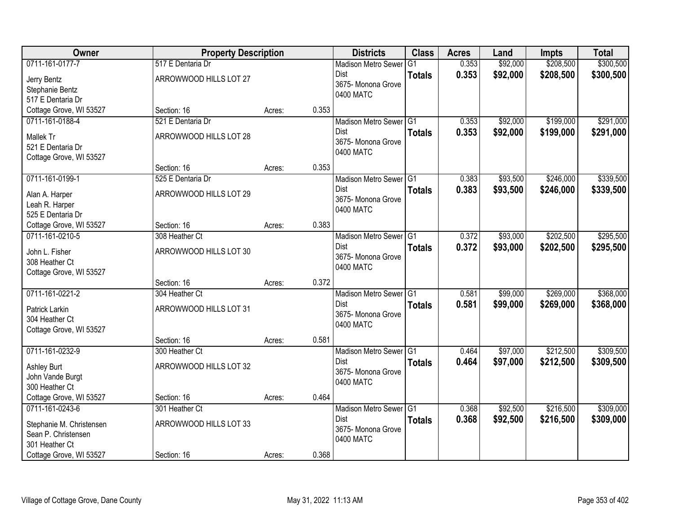| Owner                    | <b>Property Description</b> |        |       | <b>Districts</b>           | <b>Class</b>  | <b>Acres</b> | Land     | <b>Impts</b> | <b>Total</b> |
|--------------------------|-----------------------------|--------|-------|----------------------------|---------------|--------------|----------|--------------|--------------|
| 0711-161-0177-7          | 517 E Dentaria Dr           |        |       | <b>Madison Metro Sewer</b> | G1            | 0.353        | \$92,000 | \$208,500    | \$300,500    |
| Jerry Bentz              | ARROWWOOD HILLS LOT 27      |        |       | Dist                       | <b>Totals</b> | 0.353        | \$92,000 | \$208,500    | \$300,500    |
| Stephanie Bentz          |                             |        |       | 3675- Monona Grove         |               |              |          |              |              |
| 517 E Dentaria Dr        |                             |        |       | 0400 MATC                  |               |              |          |              |              |
| Cottage Grove, WI 53527  | Section: 16                 | Acres: | 0.353 |                            |               |              |          |              |              |
| 0711-161-0188-4          | 521 E Dentaria Dr           |        |       | Madison Metro Sewer G1     |               | 0.353        | \$92,000 | \$199,000    | \$291,000    |
| Mallek Tr                | ARROWWOOD HILLS LOT 28      |        |       | Dist                       | <b>Totals</b> | 0.353        | \$92,000 | \$199,000    | \$291,000    |
| 521 E Dentaria Dr        |                             |        |       | 3675- Monona Grove         |               |              |          |              |              |
| Cottage Grove, WI 53527  |                             |        |       | 0400 MATC                  |               |              |          |              |              |
|                          | Section: 16                 | Acres: | 0.353 |                            |               |              |          |              |              |
| 0711-161-0199-1          | 525 E Dentaria Dr           |        |       | Madison Metro Sewer G1     |               | 0.383        | \$93,500 | \$246,000    | \$339,500    |
| Alan A. Harper           | ARROWWOOD HILLS LOT 29      |        |       | Dist                       | <b>Totals</b> | 0.383        | \$93,500 | \$246,000    | \$339,500    |
| Leah R. Harper           |                             |        |       | 3675- Monona Grove         |               |              |          |              |              |
| 525 E Dentaria Dr        |                             |        |       | 0400 MATC                  |               |              |          |              |              |
| Cottage Grove, WI 53527  | Section: 16                 | Acres: | 0.383 |                            |               |              |          |              |              |
| 0711-161-0210-5          | 308 Heather Ct              |        |       | Madison Metro Sewer G1     |               | 0.372        | \$93,000 | \$202,500    | \$295,500    |
| John L. Fisher           | ARROWWOOD HILLS LOT 30      |        |       | Dist                       | <b>Totals</b> | 0.372        | \$93,000 | \$202,500    | \$295,500    |
| 308 Heather Ct           |                             |        |       | 3675- Monona Grove         |               |              |          |              |              |
| Cottage Grove, WI 53527  |                             |        |       | 0400 MATC                  |               |              |          |              |              |
|                          | Section: 16                 | Acres: | 0.372 |                            |               |              |          |              |              |
| 0711-161-0221-2          | 304 Heather Ct              |        |       | Madison Metro Sewer G1     |               | 0.581        | \$99,000 | \$269,000    | \$368,000    |
| Patrick Larkin           | ARROWWOOD HILLS LOT 31      |        |       | <b>Dist</b>                | <b>Totals</b> | 0.581        | \$99,000 | \$269,000    | \$368,000    |
| 304 Heather Ct           |                             |        |       | 3675- Monona Grove         |               |              |          |              |              |
| Cottage Grove, WI 53527  |                             |        |       | 0400 MATC                  |               |              |          |              |              |
|                          | Section: 16                 | Acres: | 0.581 |                            |               |              |          |              |              |
| 0711-161-0232-9          | 300 Heather Ct              |        |       | Madison Metro Sewer G1     |               | 0.464        | \$97,000 | \$212,500    | \$309,500    |
| Ashley Burt              | ARROWWOOD HILLS LOT 32      |        |       | Dist                       | <b>Totals</b> | 0.464        | \$97,000 | \$212,500    | \$309,500    |
| John Vande Burgt         |                             |        |       | 3675- Monona Grove         |               |              |          |              |              |
| 300 Heather Ct           |                             |        |       | 0400 MATC                  |               |              |          |              |              |
| Cottage Grove, WI 53527  | Section: 16                 | Acres: | 0.464 |                            |               |              |          |              |              |
| 0711-161-0243-6          | 301 Heather Ct              |        |       | Madison Metro Sewer G1     |               | 0.368        | \$92,500 | \$216,500    | \$309,000    |
| Stephanie M. Christensen | ARROWWOOD HILLS LOT 33      |        |       | <b>Dist</b>                | <b>Totals</b> | 0.368        | \$92,500 | \$216,500    | \$309,000    |
| Sean P. Christensen      |                             |        |       | 3675- Monona Grove         |               |              |          |              |              |
| 301 Heather Ct           |                             |        |       | 0400 MATC                  |               |              |          |              |              |
| Cottage Grove, WI 53527  | Section: 16                 | Acres: | 0.368 |                            |               |              |          |              |              |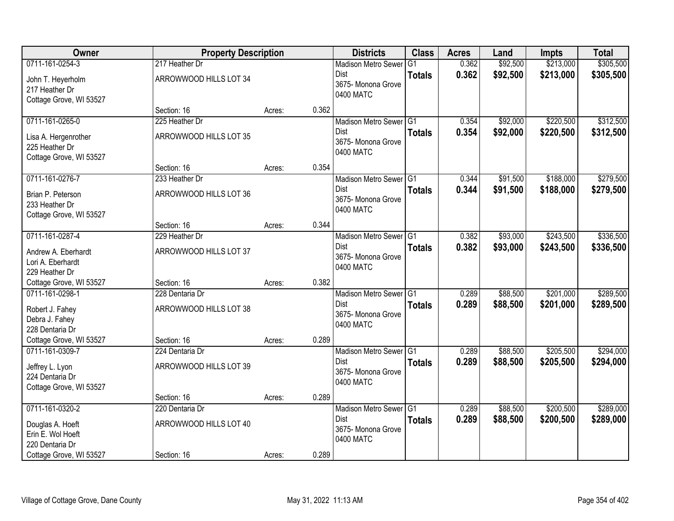| Owner                                                             | <b>Property Description</b> |        |       | <b>Districts</b>                               | <b>Class</b>  | <b>Acres</b> | Land     | <b>Impts</b> | <b>Total</b> |
|-------------------------------------------------------------------|-----------------------------|--------|-------|------------------------------------------------|---------------|--------------|----------|--------------|--------------|
| 0711-161-0254-3                                                   | 217 Heather Dr              |        |       | <b>Madison Metro Sewer</b>                     | G1            | 0.362        | \$92,500 | \$213,000    | \$305,500    |
| John T. Heyerholm<br>217 Heather Dr                               | ARROWWOOD HILLS LOT 34      |        |       | Dist<br>3675- Monona Grove                     | <b>Totals</b> | 0.362        | \$92,500 | \$213,000    | \$305,500    |
| Cottage Grove, WI 53527                                           |                             |        |       | 0400 MATC                                      |               |              |          |              |              |
|                                                                   | Section: 16                 | Acres: | 0.362 |                                                |               |              |          |              |              |
| 0711-161-0265-0                                                   | 225 Heather Dr              |        |       | Madison Metro Sewer G1                         |               | 0.354        | \$92,000 | \$220,500    | \$312,500    |
| Lisa A. Hergenrother<br>225 Heather Dr<br>Cottage Grove, WI 53527 | ARROWWOOD HILLS LOT 35      |        |       | <b>Dist</b><br>3675- Monona Grove<br>0400 MATC | <b>Totals</b> | 0.354        | \$92,000 | \$220,500    | \$312,500    |
|                                                                   | Section: 16                 | Acres: | 0.354 |                                                |               |              |          |              |              |
| 0711-161-0276-7                                                   | 233 Heather Dr              |        |       | Madison Metro Sewer G1                         |               | 0.344        | \$91,500 | \$188,000    | \$279,500    |
| Brian P. Peterson<br>233 Heather Dr                               | ARROWWOOD HILLS LOT 36      |        |       | Dist<br>3675- Monona Grove<br>0400 MATC        | <b>Totals</b> | 0.344        | \$91,500 | \$188,000    | \$279,500    |
| Cottage Grove, WI 53527                                           | Section: 16                 | Acres: | 0.344 |                                                |               |              |          |              |              |
| 0711-161-0287-4                                                   | 229 Heather Dr              |        |       | Madison Metro Sewer G1                         |               | 0.382        | \$93,000 | \$243,500    | \$336,500    |
|                                                                   |                             |        |       | Dist                                           | <b>Totals</b> | 0.382        | \$93,000 | \$243,500    | \$336,500    |
| Andrew A. Eberhardt                                               | ARROWWOOD HILLS LOT 37      |        |       | 3675- Monona Grove                             |               |              |          |              |              |
| Lori A. Eberhardt<br>229 Heather Dr                               |                             |        |       | 0400 MATC                                      |               |              |          |              |              |
| Cottage Grove, WI 53527                                           | Section: 16                 | Acres: | 0.382 |                                                |               |              |          |              |              |
| 0711-161-0298-1                                                   | 228 Dentaria Dr             |        |       | Madison Metro Sewer G1                         |               | 0.289        | \$88,500 | \$201,000    | \$289,500    |
|                                                                   |                             |        |       | <b>Dist</b>                                    | <b>Totals</b> | 0.289        | \$88,500 | \$201,000    | \$289,500    |
| Robert J. Fahey<br>Debra J. Fahey                                 | ARROWWOOD HILLS LOT 38      |        |       | 3675- Monona Grove                             |               |              |          |              |              |
| 228 Dentaria Dr                                                   |                             |        |       | 0400 MATC                                      |               |              |          |              |              |
| Cottage Grove, WI 53527                                           | Section: 16                 | Acres: | 0.289 |                                                |               |              |          |              |              |
| 0711-161-0309-7                                                   | 224 Dentaria Dr             |        |       | Madison Metro Sewer G1                         |               | 0.289        | \$88,500 | \$205,500    | \$294,000    |
| Jeffrey L. Lyon                                                   | ARROWWOOD HILLS LOT 39      |        |       | Dist                                           | <b>Totals</b> | 0.289        | \$88,500 | \$205,500    | \$294,000    |
| 224 Dentaria Dr                                                   |                             |        |       | 3675- Monona Grove                             |               |              |          |              |              |
| Cottage Grove, WI 53527                                           |                             |        |       | 0400 MATC                                      |               |              |          |              |              |
|                                                                   | Section: 16                 | Acres: | 0.289 |                                                |               |              |          |              |              |
| 0711-161-0320-2                                                   | 220 Dentaria Dr             |        |       | Madison Metro Sewer G1                         |               | 0.289        | \$88,500 | \$200,500    | \$289,000    |
| Douglas A. Hoeft                                                  | ARROWWOOD HILLS LOT 40      |        |       | <b>Dist</b>                                    | <b>Totals</b> | 0.289        | \$88,500 | \$200,500    | \$289,000    |
| Erin E. Wol Hoeft                                                 |                             |        |       | 3675- Monona Grove                             |               |              |          |              |              |
| 220 Dentaria Dr                                                   |                             |        |       | 0400 MATC                                      |               |              |          |              |              |
| Cottage Grove, WI 53527                                           | Section: 16                 | Acres: | 0.289 |                                                |               |              |          |              |              |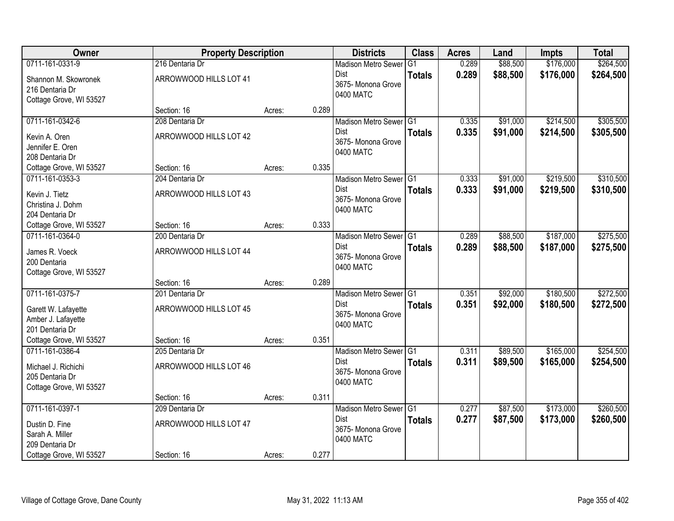| Owner                   | <b>Property Description</b> |        |       | <b>Districts</b>                  | <b>Class</b>  | <b>Acres</b> | Land     | <b>Impts</b> | <b>Total</b> |
|-------------------------|-----------------------------|--------|-------|-----------------------------------|---------------|--------------|----------|--------------|--------------|
| 0711-161-0331-9         | 216 Dentaria Dr             |        |       | <b>Madison Metro Sewer</b>        | G1            | 0.289        | \$88,500 | \$176,000    | \$264,500    |
| Shannon M. Skowronek    | ARROWWOOD HILLS LOT 41      |        |       | Dist                              | <b>Totals</b> | 0.289        | \$88,500 | \$176,000    | \$264,500    |
| 216 Dentaria Dr         |                             |        |       | 3675- Monona Grove                |               |              |          |              |              |
| Cottage Grove, WI 53527 |                             |        |       | 0400 MATC                         |               |              |          |              |              |
|                         | Section: 16                 | Acres: | 0.289 |                                   |               |              |          |              |              |
| 0711-161-0342-6         | 208 Dentaria Dr             |        |       | Madison Metro Sewer G1            |               | 0.335        | \$91,000 | \$214,500    | \$305,500    |
| Kevin A. Oren           | ARROWWOOD HILLS LOT 42      |        |       | <b>Dist</b>                       | <b>Totals</b> | 0.335        | \$91,000 | \$214,500    | \$305,500    |
| Jennifer E. Oren        |                             |        |       | 3675- Monona Grove<br>0400 MATC   |               |              |          |              |              |
| 208 Dentaria Dr         |                             |        |       |                                   |               |              |          |              |              |
| Cottage Grove, WI 53527 | Section: 16                 | Acres: | 0.335 |                                   |               |              |          |              |              |
| 0711-161-0353-3         | 204 Dentaria Dr             |        |       | Madison Metro Sewer G1            |               | 0.333        | \$91,000 | \$219,500    | \$310,500    |
| Kevin J. Tietz          | ARROWWOOD HILLS LOT 43      |        |       | Dist                              | <b>Totals</b> | 0.333        | \$91,000 | \$219,500    | \$310,500    |
| Christina J. Dohm       |                             |        |       | 3675- Monona Grove<br>0400 MATC   |               |              |          |              |              |
| 204 Dentaria Dr         |                             |        |       |                                   |               |              |          |              |              |
| Cottage Grove, WI 53527 | Section: 16                 | Acres: | 0.333 |                                   |               |              |          |              |              |
| 0711-161-0364-0         | 200 Dentaria Dr             |        |       | Madison Metro Sewer G1            |               | 0.289        | \$88,500 | \$187,000    | \$275,500    |
| James R. Voeck          | ARROWWOOD HILLS LOT 44      |        |       | Dist                              | <b>Totals</b> | 0.289        | \$88,500 | \$187,000    | \$275,500    |
| 200 Dentaria            |                             |        |       | 3675- Monona Grove<br>0400 MATC   |               |              |          |              |              |
| Cottage Grove, WI 53527 |                             |        |       |                                   |               |              |          |              |              |
|                         | Section: 16                 | Acres: | 0.289 |                                   |               |              |          |              |              |
| 0711-161-0375-7         | 201 Dentaria Dr             |        |       | Madison Metro Sewer G1            |               | 0.351        | \$92,000 | \$180,500    | \$272,500    |
| Garett W. Lafayette     | ARROWWOOD HILLS LOT 45      |        |       | <b>Dist</b>                       | <b>Totals</b> | 0.351        | \$92,000 | \$180,500    | \$272,500    |
| Amber J. Lafayette      |                             |        |       | 3675- Monona Grove<br>0400 MATC   |               |              |          |              |              |
| 201 Dentaria Dr         |                             |        |       |                                   |               |              |          |              |              |
| Cottage Grove, WI 53527 | Section: 16                 | Acres: | 0.351 |                                   |               |              |          |              |              |
| 0711-161-0386-4         | 205 Dentaria Dr             |        |       | Madison Metro Sewer G1            |               | 0.311        | \$89,500 | \$165,000    | \$254,500    |
| Michael J. Richichi     | ARROWWOOD HILLS LOT 46      |        |       | Dist<br>3675- Monona Grove        | <b>Totals</b> | 0.311        | \$89,500 | \$165,000    | \$254,500    |
| 205 Dentaria Dr         |                             |        |       | 0400 MATC                         |               |              |          |              |              |
| Cottage Grove, WI 53527 |                             |        |       |                                   |               |              |          |              |              |
|                         | Section: 16                 | Acres: | 0.311 |                                   |               |              |          |              |              |
| 0711-161-0397-1         | 209 Dentaria Dr             |        |       | Madison Metro Sewer G1            |               | 0.277        | \$87,500 | \$173,000    | \$260,500    |
| Dustin D. Fine          | ARROWWOOD HILLS LOT 47      |        |       | <b>Dist</b><br>3675- Monona Grove | <b>Totals</b> | 0.277        | \$87,500 | \$173,000    | \$260,500    |
| Sarah A. Miller         |                             |        |       | 0400 MATC                         |               |              |          |              |              |
| 209 Dentaria Dr         |                             |        |       |                                   |               |              |          |              |              |
| Cottage Grove, WI 53527 | Section: 16                 | Acres: | 0.277 |                                   |               |              |          |              |              |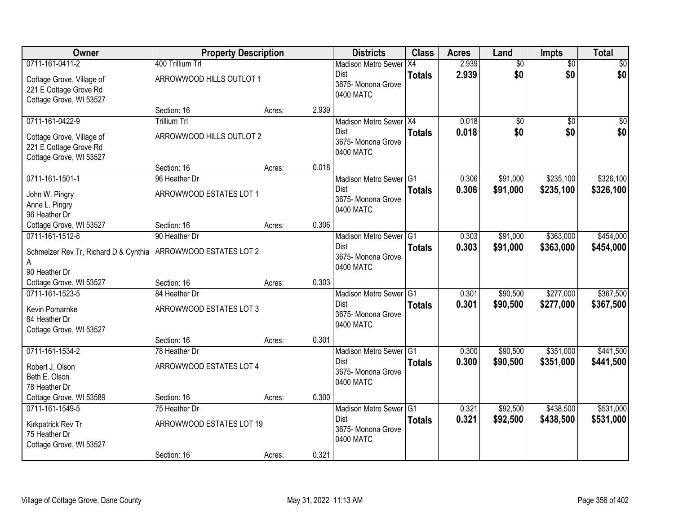| Owner                                               | <b>Property Description</b>        |                 | <b>Districts</b>                        | <b>Class</b>  | <b>Acres</b> | Land            | <b>Impts</b>    | <b>Total</b>    |
|-----------------------------------------------------|------------------------------------|-----------------|-----------------------------------------|---------------|--------------|-----------------|-----------------|-----------------|
| 0711-161-0411-2                                     | 400 Trillium Trl                   |                 | <b>Madison Metro Sewer</b>              | X4            | 2.939        | $\overline{60}$ | $\overline{50}$ | \$0             |
| Cottage Grove, Village of<br>221 E Cottage Grove Rd | ARROWWOOD HILLS OUTLOT 1           |                 | Dist<br>3675- Monona Grove<br>0400 MATC | <b>Totals</b> | 2.939        | \$0             | \$0             | \$0             |
| Cottage Grove, WI 53527                             |                                    |                 |                                         |               |              |                 |                 |                 |
| 0711-161-0422-9                                     | Section: 16<br><b>Trillium Trl</b> | 2.939<br>Acres: | Madison Metro Sewer X4                  |               | 0.018        | $\overline{50}$ | $\overline{50}$ | $\overline{50}$ |
|                                                     |                                    |                 | <b>Dist</b>                             | <b>Totals</b> | 0.018        | \$0             | \$0             | \$0             |
| Cottage Grove, Village of                           | ARROWWOOD HILLS OUTLOT 2           |                 | 3675- Monona Grove                      |               |              |                 |                 |                 |
| 221 E Cottage Grove Rd<br>Cottage Grove, WI 53527   |                                    |                 | 0400 MATC                               |               |              |                 |                 |                 |
|                                                     | Section: 16                        | 0.018<br>Acres: |                                         |               |              |                 |                 |                 |
| 0711-161-1501-1                                     | 96 Heather Dr                      |                 | Madison Metro Sewer G1                  |               | 0.306        | \$91,000        | \$235,100       | \$326,100       |
|                                                     | ARROWWOOD ESTATES LOT 1            |                 | Dist                                    | <b>Totals</b> | 0.306        | \$91,000        | \$235,100       | \$326,100       |
| John W. Pingry<br>Anne L. Pingry                    |                                    |                 | 3675-Monona Grove                       |               |              |                 |                 |                 |
| 96 Heather Dr                                       |                                    |                 | 0400 MATC                               |               |              |                 |                 |                 |
| Cottage Grove, WI 53527                             | Section: 16                        | 0.306<br>Acres: |                                         |               |              |                 |                 |                 |
| 0711-161-1512-8                                     | 90 Heather Dr                      |                 | Madison Metro Sewer G1                  |               | 0.303        | \$91,000        | \$363,000       | \$454,000       |
| Schmelzer Rev Tr, Richard D & Cynthia               | ARROWWOOD ESTATES LOT 2            |                 | Dist                                    | <b>Totals</b> | 0.303        | \$91,000        | \$363,000       | \$454,000       |
| A                                                   |                                    |                 | 3675- Monona Grove<br>0400 MATC         |               |              |                 |                 |                 |
| 90 Heather Dr                                       |                                    |                 |                                         |               |              |                 |                 |                 |
| Cottage Grove, WI 53527                             | Section: 16                        | 0.303<br>Acres: |                                         |               |              |                 |                 |                 |
| 0711-161-1523-5                                     | 84 Heather Dr                      |                 | Madison Metro Sewer <sup>1</sup> G1     |               | 0.301        | \$90,500        | \$277,000       | \$367,500       |
| Kevin Pomarnke                                      | ARROWWOOD ESTATES LOT 3            |                 | <b>Dist</b><br>3675- Monona Grove       | <b>Totals</b> | 0.301        | \$90,500        | \$277,000       | \$367,500       |
| 84 Heather Dr                                       |                                    |                 | 0400 MATC                               |               |              |                 |                 |                 |
| Cottage Grove, WI 53527                             |                                    |                 |                                         |               |              |                 |                 |                 |
| 0711-161-1534-2                                     | Section: 16<br>78 Heather Dr       | 0.301<br>Acres: |                                         |               | 0.300        | \$90,500        | \$351,000       | \$441,500       |
|                                                     |                                    |                 | Madison Metro Sewer G1<br>Dist          | <b>Totals</b> | 0.300        | \$90,500        | \$351,000       | \$441,500       |
| Robert J. Olson                                     | ARROWWOOD ESTATES LOT 4            |                 | 3675- Monona Grove                      |               |              |                 |                 |                 |
| Beth E. Olson                                       |                                    |                 | 0400 MATC                               |               |              |                 |                 |                 |
| 78 Heather Dr<br>Cottage Grove, WI 53589            | Section: 16                        | 0.300<br>Acres: |                                         |               |              |                 |                 |                 |
| 0711-161-1549-5                                     | 75 Heather Dr                      |                 | Madison Metro Sewer G1                  |               | 0.321        | \$92,500        | \$438,500       | \$531,000       |
|                                                     |                                    |                 | <b>Dist</b>                             | <b>Totals</b> | 0.321        | \$92,500        | \$438,500       | \$531,000       |
| Kirkpatrick Rev Tr<br>75 Heather Dr                 | ARROWWOOD ESTATES LOT 19           |                 | 3675- Monona Grove                      |               |              |                 |                 |                 |
| Cottage Grove, WI 53527                             |                                    |                 | 0400 MATC                               |               |              |                 |                 |                 |
|                                                     | Section: 16                        | 0.321<br>Acres: |                                         |               |              |                 |                 |                 |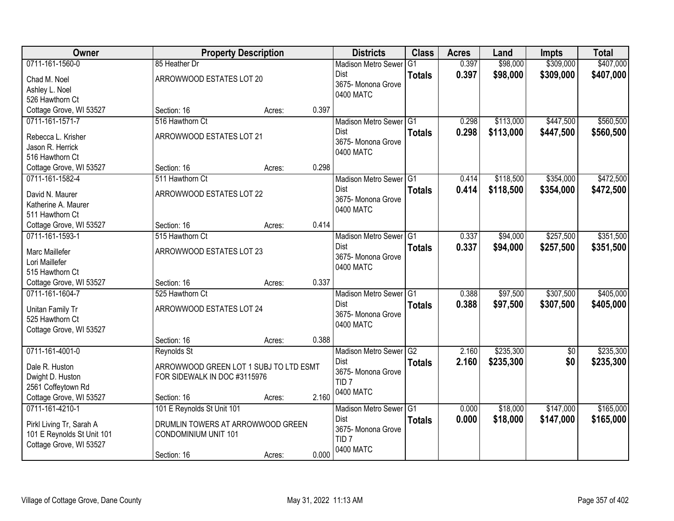| \$309,000<br>0711-161-1560-0<br>0.397<br>\$98,000<br>85 Heather Dr<br>G <sub>1</sub><br><b>Madison Metro Sewer</b><br>0.397<br>\$98,000<br>\$309,000<br>Dist<br><b>Totals</b><br>ARROWWOOD ESTATES LOT 20<br>Chad M. Noel<br>3675- Monona Grove<br>Ashley L. Noel<br>0400 MATC<br>526 Hawthorn Ct<br>0.397<br>Cottage Grove, WI 53527<br>Section: 16<br>Acres:<br>0711-161-1571-7<br>\$113,000<br>\$447,500<br>516 Hawthorn Ct<br>Madison Metro Sewer G1<br>0.298<br>0.298<br><b>Dist</b><br>\$113,000<br>\$447,500<br><b>Totals</b><br>ARROWWOOD ESTATES LOT 21<br>Rebecca L. Krisher<br>3675- Monona Grove<br>Jason R. Herrick<br>0400 MATC<br>516 Hawthorn Ct<br>0.298<br>Cottage Grove, WI 53527<br>Section: 16<br>Acres:<br>0711-161-1582-4<br>\$354,000<br>511 Hawthorn Ct<br>Madison Metro Sewer G1<br>\$118,500<br>0.414<br>Dist<br>0.414<br>\$118,500<br>\$354,000<br><b>Totals</b><br>ARROWWOOD ESTATES LOT 22<br>David N. Maurer<br>3675-Monona Grove<br>Katherine A. Maurer<br>0400 MATC<br>511 Hawthorn Ct<br>0.414<br>Cottage Grove, WI 53527<br>Section: 16<br>Acres:<br>0711-161-1593-1<br>\$94,000<br>\$257,500<br>515 Hawthorn Ct<br>Madison Metro Sewer G1<br>0.337<br>0.337<br>Dist<br>\$94,000<br>\$257,500<br><b>Totals</b><br>ARROWWOOD ESTATES LOT 23<br>Marc Maillefer<br>3675- Monona Grove<br>Lori Maillefer<br>0400 MATC<br>515 Hawthorn Ct<br>0.337<br>Cottage Grove, WI 53527<br>Section: 16<br>Acres:<br>\$307,500<br>0711-161-1604-7<br>525 Hawthorn Ct<br>Madison Metro Sewer <sup>1</sup> G1<br>0.388<br>\$97,500<br><b>Dist</b><br>0.388<br>\$97,500<br>\$307,500<br><b>Totals</b><br>ARROWWOOD ESTATES LOT 24<br>Unitan Family Tr<br>3675- Monona Grove<br>525 Hawthorn Ct<br>0400 MATC<br>Cottage Grove, WI 53527<br>0.388<br>Section: 16<br>Acres:<br>0711-161-4001-0<br>\$235,300<br>Madison Metro Sewer <sup>G2</sup><br>2.160<br>$\overline{50}$<br>Reynolds St<br>2.160<br>\$235,300<br>\$0<br>Dist<br><b>Totals</b><br>ARROWWOOD GREEN LOT 1 SUBJ TO LTD ESMT<br>Dale R. Huston<br>3675- Monona Grove<br>Dwight D. Huston<br>FOR SIDEWALK IN DOC #3115976<br>TID <sub>7</sub><br>2561 Coffeytown Rd<br>0400 MATC<br>Cottage Grove, WI 53527<br>2.160<br>Section: 16<br>Acres:<br>0711-161-4210-1<br>101 E Reynolds St Unit 101<br>\$18,000<br>\$147,000<br>Madison Metro Sewer G1<br>0.000<br><b>Dist</b><br>0.000<br>\$18,000<br>\$147,000<br><b>Totals</b><br>DRUMLIN TOWERS AT ARROWWOOD GREEN<br>Pirkl Living Tr, Sarah A<br>3675- Monona Grove<br>101 E Reynolds St Unit 101<br><b>CONDOMINIUM UNIT 101</b><br>TID <sub>7</sub><br>Cottage Grove, WI 53527<br>0400 MATC | Owner |             | <b>Property Description</b> |       | <b>Districts</b> | <b>Class</b> | <b>Acres</b> | Land | <b>Impts</b> | <b>Total</b> |
|-------------------------------------------------------------------------------------------------------------------------------------------------------------------------------------------------------------------------------------------------------------------------------------------------------------------------------------------------------------------------------------------------------------------------------------------------------------------------------------------------------------------------------------------------------------------------------------------------------------------------------------------------------------------------------------------------------------------------------------------------------------------------------------------------------------------------------------------------------------------------------------------------------------------------------------------------------------------------------------------------------------------------------------------------------------------------------------------------------------------------------------------------------------------------------------------------------------------------------------------------------------------------------------------------------------------------------------------------------------------------------------------------------------------------------------------------------------------------------------------------------------------------------------------------------------------------------------------------------------------------------------------------------------------------------------------------------------------------------------------------------------------------------------------------------------------------------------------------------------------------------------------------------------------------------------------------------------------------------------------------------------------------------------------------------------------------------------------------------------------------------------------------------------------------------------------------------------------------------------------------------------------------------------------------------------------------------------------------------------------------------------------------------------------------------------------------------------------------------------------------------------------------------------------------------------------------------------------------------------------------|-------|-------------|-----------------------------|-------|------------------|--------------|--------------|------|--------------|--------------|
|                                                                                                                                                                                                                                                                                                                                                                                                                                                                                                                                                                                                                                                                                                                                                                                                                                                                                                                                                                                                                                                                                                                                                                                                                                                                                                                                                                                                                                                                                                                                                                                                                                                                                                                                                                                                                                                                                                                                                                                                                                                                                                                                                                                                                                                                                                                                                                                                                                                                                                                                                                                                                         |       |             |                             |       |                  |              |              |      |              | \$407,000    |
| \$560,500<br>\$560,500<br>\$472,500<br>\$472,500<br>\$351,500<br>\$405,000<br>\$165,000                                                                                                                                                                                                                                                                                                                                                                                                                                                                                                                                                                                                                                                                                                                                                                                                                                                                                                                                                                                                                                                                                                                                                                                                                                                                                                                                                                                                                                                                                                                                                                                                                                                                                                                                                                                                                                                                                                                                                                                                                                                                                                                                                                                                                                                                                                                                                                                                                                                                                                                                 |       |             |                             |       |                  |              |              |      |              | \$407,000    |
|                                                                                                                                                                                                                                                                                                                                                                                                                                                                                                                                                                                                                                                                                                                                                                                                                                                                                                                                                                                                                                                                                                                                                                                                                                                                                                                                                                                                                                                                                                                                                                                                                                                                                                                                                                                                                                                                                                                                                                                                                                                                                                                                                                                                                                                                                                                                                                                                                                                                                                                                                                                                                         |       |             |                             |       |                  |              |              |      |              |              |
|                                                                                                                                                                                                                                                                                                                                                                                                                                                                                                                                                                                                                                                                                                                                                                                                                                                                                                                                                                                                                                                                                                                                                                                                                                                                                                                                                                                                                                                                                                                                                                                                                                                                                                                                                                                                                                                                                                                                                                                                                                                                                                                                                                                                                                                                                                                                                                                                                                                                                                                                                                                                                         |       |             |                             |       |                  |              |              |      |              |              |
|                                                                                                                                                                                                                                                                                                                                                                                                                                                                                                                                                                                                                                                                                                                                                                                                                                                                                                                                                                                                                                                                                                                                                                                                                                                                                                                                                                                                                                                                                                                                                                                                                                                                                                                                                                                                                                                                                                                                                                                                                                                                                                                                                                                                                                                                                                                                                                                                                                                                                                                                                                                                                         |       |             |                             |       |                  |              |              |      |              |              |
|                                                                                                                                                                                                                                                                                                                                                                                                                                                                                                                                                                                                                                                                                                                                                                                                                                                                                                                                                                                                                                                                                                                                                                                                                                                                                                                                                                                                                                                                                                                                                                                                                                                                                                                                                                                                                                                                                                                                                                                                                                                                                                                                                                                                                                                                                                                                                                                                                                                                                                                                                                                                                         |       |             |                             |       |                  |              |              |      |              |              |
|                                                                                                                                                                                                                                                                                                                                                                                                                                                                                                                                                                                                                                                                                                                                                                                                                                                                                                                                                                                                                                                                                                                                                                                                                                                                                                                                                                                                                                                                                                                                                                                                                                                                                                                                                                                                                                                                                                                                                                                                                                                                                                                                                                                                                                                                                                                                                                                                                                                                                                                                                                                                                         |       |             |                             |       |                  |              |              |      |              |              |
|                                                                                                                                                                                                                                                                                                                                                                                                                                                                                                                                                                                                                                                                                                                                                                                                                                                                                                                                                                                                                                                                                                                                                                                                                                                                                                                                                                                                                                                                                                                                                                                                                                                                                                                                                                                                                                                                                                                                                                                                                                                                                                                                                                                                                                                                                                                                                                                                                                                                                                                                                                                                                         |       |             |                             |       |                  |              |              |      |              |              |
|                                                                                                                                                                                                                                                                                                                                                                                                                                                                                                                                                                                                                                                                                                                                                                                                                                                                                                                                                                                                                                                                                                                                                                                                                                                                                                                                                                                                                                                                                                                                                                                                                                                                                                                                                                                                                                                                                                                                                                                                                                                                                                                                                                                                                                                                                                                                                                                                                                                                                                                                                                                                                         |       |             |                             |       |                  |              |              |      |              |              |
|                                                                                                                                                                                                                                                                                                                                                                                                                                                                                                                                                                                                                                                                                                                                                                                                                                                                                                                                                                                                                                                                                                                                                                                                                                                                                                                                                                                                                                                                                                                                                                                                                                                                                                                                                                                                                                                                                                                                                                                                                                                                                                                                                                                                                                                                                                                                                                                                                                                                                                                                                                                                                         |       |             |                             |       |                  |              |              |      |              |              |
|                                                                                                                                                                                                                                                                                                                                                                                                                                                                                                                                                                                                                                                                                                                                                                                                                                                                                                                                                                                                                                                                                                                                                                                                                                                                                                                                                                                                                                                                                                                                                                                                                                                                                                                                                                                                                                                                                                                                                                                                                                                                                                                                                                                                                                                                                                                                                                                                                                                                                                                                                                                                                         |       |             |                             |       |                  |              |              |      |              |              |
|                                                                                                                                                                                                                                                                                                                                                                                                                                                                                                                                                                                                                                                                                                                                                                                                                                                                                                                                                                                                                                                                                                                                                                                                                                                                                                                                                                                                                                                                                                                                                                                                                                                                                                                                                                                                                                                                                                                                                                                                                                                                                                                                                                                                                                                                                                                                                                                                                                                                                                                                                                                                                         |       |             |                             |       |                  |              |              |      |              |              |
|                                                                                                                                                                                                                                                                                                                                                                                                                                                                                                                                                                                                                                                                                                                                                                                                                                                                                                                                                                                                                                                                                                                                                                                                                                                                                                                                                                                                                                                                                                                                                                                                                                                                                                                                                                                                                                                                                                                                                                                                                                                                                                                                                                                                                                                                                                                                                                                                                                                                                                                                                                                                                         |       |             |                             |       |                  |              |              |      |              |              |
|                                                                                                                                                                                                                                                                                                                                                                                                                                                                                                                                                                                                                                                                                                                                                                                                                                                                                                                                                                                                                                                                                                                                                                                                                                                                                                                                                                                                                                                                                                                                                                                                                                                                                                                                                                                                                                                                                                                                                                                                                                                                                                                                                                                                                                                                                                                                                                                                                                                                                                                                                                                                                         |       |             |                             |       |                  |              |              |      |              |              |
| \$351,500<br>\$405,000<br>\$235,300<br>\$235,300<br>\$165,000                                                                                                                                                                                                                                                                                                                                                                                                                                                                                                                                                                                                                                                                                                                                                                                                                                                                                                                                                                                                                                                                                                                                                                                                                                                                                                                                                                                                                                                                                                                                                                                                                                                                                                                                                                                                                                                                                                                                                                                                                                                                                                                                                                                                                                                                                                                                                                                                                                                                                                                                                           |       |             |                             |       |                  |              |              |      |              |              |
|                                                                                                                                                                                                                                                                                                                                                                                                                                                                                                                                                                                                                                                                                                                                                                                                                                                                                                                                                                                                                                                                                                                                                                                                                                                                                                                                                                                                                                                                                                                                                                                                                                                                                                                                                                                                                                                                                                                                                                                                                                                                                                                                                                                                                                                                                                                                                                                                                                                                                                                                                                                                                         |       |             |                             |       |                  |              |              |      |              |              |
|                                                                                                                                                                                                                                                                                                                                                                                                                                                                                                                                                                                                                                                                                                                                                                                                                                                                                                                                                                                                                                                                                                                                                                                                                                                                                                                                                                                                                                                                                                                                                                                                                                                                                                                                                                                                                                                                                                                                                                                                                                                                                                                                                                                                                                                                                                                                                                                                                                                                                                                                                                                                                         |       |             |                             |       |                  |              |              |      |              |              |
|                                                                                                                                                                                                                                                                                                                                                                                                                                                                                                                                                                                                                                                                                                                                                                                                                                                                                                                                                                                                                                                                                                                                                                                                                                                                                                                                                                                                                                                                                                                                                                                                                                                                                                                                                                                                                                                                                                                                                                                                                                                                                                                                                                                                                                                                                                                                                                                                                                                                                                                                                                                                                         |       |             |                             |       |                  |              |              |      |              |              |
|                                                                                                                                                                                                                                                                                                                                                                                                                                                                                                                                                                                                                                                                                                                                                                                                                                                                                                                                                                                                                                                                                                                                                                                                                                                                                                                                                                                                                                                                                                                                                                                                                                                                                                                                                                                                                                                                                                                                                                                                                                                                                                                                                                                                                                                                                                                                                                                                                                                                                                                                                                                                                         |       |             |                             |       |                  |              |              |      |              |              |
|                                                                                                                                                                                                                                                                                                                                                                                                                                                                                                                                                                                                                                                                                                                                                                                                                                                                                                                                                                                                                                                                                                                                                                                                                                                                                                                                                                                                                                                                                                                                                                                                                                                                                                                                                                                                                                                                                                                                                                                                                                                                                                                                                                                                                                                                                                                                                                                                                                                                                                                                                                                                                         |       |             |                             |       |                  |              |              |      |              |              |
|                                                                                                                                                                                                                                                                                                                                                                                                                                                                                                                                                                                                                                                                                                                                                                                                                                                                                                                                                                                                                                                                                                                                                                                                                                                                                                                                                                                                                                                                                                                                                                                                                                                                                                                                                                                                                                                                                                                                                                                                                                                                                                                                                                                                                                                                                                                                                                                                                                                                                                                                                                                                                         |       |             |                             |       |                  |              |              |      |              |              |
|                                                                                                                                                                                                                                                                                                                                                                                                                                                                                                                                                                                                                                                                                                                                                                                                                                                                                                                                                                                                                                                                                                                                                                                                                                                                                                                                                                                                                                                                                                                                                                                                                                                                                                                                                                                                                                                                                                                                                                                                                                                                                                                                                                                                                                                                                                                                                                                                                                                                                                                                                                                                                         |       |             |                             |       |                  |              |              |      |              |              |
|                                                                                                                                                                                                                                                                                                                                                                                                                                                                                                                                                                                                                                                                                                                                                                                                                                                                                                                                                                                                                                                                                                                                                                                                                                                                                                                                                                                                                                                                                                                                                                                                                                                                                                                                                                                                                                                                                                                                                                                                                                                                                                                                                                                                                                                                                                                                                                                                                                                                                                                                                                                                                         |       |             |                             |       |                  |              |              |      |              |              |
|                                                                                                                                                                                                                                                                                                                                                                                                                                                                                                                                                                                                                                                                                                                                                                                                                                                                                                                                                                                                                                                                                                                                                                                                                                                                                                                                                                                                                                                                                                                                                                                                                                                                                                                                                                                                                                                                                                                                                                                                                                                                                                                                                                                                                                                                                                                                                                                                                                                                                                                                                                                                                         |       |             |                             |       |                  |              |              |      |              |              |
|                                                                                                                                                                                                                                                                                                                                                                                                                                                                                                                                                                                                                                                                                                                                                                                                                                                                                                                                                                                                                                                                                                                                                                                                                                                                                                                                                                                                                                                                                                                                                                                                                                                                                                                                                                                                                                                                                                                                                                                                                                                                                                                                                                                                                                                                                                                                                                                                                                                                                                                                                                                                                         |       |             |                             |       |                  |              |              |      |              |              |
|                                                                                                                                                                                                                                                                                                                                                                                                                                                                                                                                                                                                                                                                                                                                                                                                                                                                                                                                                                                                                                                                                                                                                                                                                                                                                                                                                                                                                                                                                                                                                                                                                                                                                                                                                                                                                                                                                                                                                                                                                                                                                                                                                                                                                                                                                                                                                                                                                                                                                                                                                                                                                         |       |             |                             |       |                  |              |              |      |              |              |
|                                                                                                                                                                                                                                                                                                                                                                                                                                                                                                                                                                                                                                                                                                                                                                                                                                                                                                                                                                                                                                                                                                                                                                                                                                                                                                                                                                                                                                                                                                                                                                                                                                                                                                                                                                                                                                                                                                                                                                                                                                                                                                                                                                                                                                                                                                                                                                                                                                                                                                                                                                                                                         |       |             |                             |       |                  |              |              |      |              |              |
|                                                                                                                                                                                                                                                                                                                                                                                                                                                                                                                                                                                                                                                                                                                                                                                                                                                                                                                                                                                                                                                                                                                                                                                                                                                                                                                                                                                                                                                                                                                                                                                                                                                                                                                                                                                                                                                                                                                                                                                                                                                                                                                                                                                                                                                                                                                                                                                                                                                                                                                                                                                                                         |       |             |                             |       |                  |              |              |      |              |              |
|                                                                                                                                                                                                                                                                                                                                                                                                                                                                                                                                                                                                                                                                                                                                                                                                                                                                                                                                                                                                                                                                                                                                                                                                                                                                                                                                                                                                                                                                                                                                                                                                                                                                                                                                                                                                                                                                                                                                                                                                                                                                                                                                                                                                                                                                                                                                                                                                                                                                                                                                                                                                                         |       |             |                             |       |                  |              |              |      |              |              |
|                                                                                                                                                                                                                                                                                                                                                                                                                                                                                                                                                                                                                                                                                                                                                                                                                                                                                                                                                                                                                                                                                                                                                                                                                                                                                                                                                                                                                                                                                                                                                                                                                                                                                                                                                                                                                                                                                                                                                                                                                                                                                                                                                                                                                                                                                                                                                                                                                                                                                                                                                                                                                         |       |             |                             |       |                  |              |              |      |              |              |
|                                                                                                                                                                                                                                                                                                                                                                                                                                                                                                                                                                                                                                                                                                                                                                                                                                                                                                                                                                                                                                                                                                                                                                                                                                                                                                                                                                                                                                                                                                                                                                                                                                                                                                                                                                                                                                                                                                                                                                                                                                                                                                                                                                                                                                                                                                                                                                                                                                                                                                                                                                                                                         |       |             |                             |       |                  |              |              |      |              |              |
|                                                                                                                                                                                                                                                                                                                                                                                                                                                                                                                                                                                                                                                                                                                                                                                                                                                                                                                                                                                                                                                                                                                                                                                                                                                                                                                                                                                                                                                                                                                                                                                                                                                                                                                                                                                                                                                                                                                                                                                                                                                                                                                                                                                                                                                                                                                                                                                                                                                                                                                                                                                                                         |       |             |                             |       |                  |              |              |      |              |              |
|                                                                                                                                                                                                                                                                                                                                                                                                                                                                                                                                                                                                                                                                                                                                                                                                                                                                                                                                                                                                                                                                                                                                                                                                                                                                                                                                                                                                                                                                                                                                                                                                                                                                                                                                                                                                                                                                                                                                                                                                                                                                                                                                                                                                                                                                                                                                                                                                                                                                                                                                                                                                                         |       |             |                             |       |                  |              |              |      |              |              |
|                                                                                                                                                                                                                                                                                                                                                                                                                                                                                                                                                                                                                                                                                                                                                                                                                                                                                                                                                                                                                                                                                                                                                                                                                                                                                                                                                                                                                                                                                                                                                                                                                                                                                                                                                                                                                                                                                                                                                                                                                                                                                                                                                                                                                                                                                                                                                                                                                                                                                                                                                                                                                         |       |             |                             |       |                  |              |              |      |              |              |
|                                                                                                                                                                                                                                                                                                                                                                                                                                                                                                                                                                                                                                                                                                                                                                                                                                                                                                                                                                                                                                                                                                                                                                                                                                                                                                                                                                                                                                                                                                                                                                                                                                                                                                                                                                                                                                                                                                                                                                                                                                                                                                                                                                                                                                                                                                                                                                                                                                                                                                                                                                                                                         |       |             |                             |       |                  |              |              |      |              |              |
|                                                                                                                                                                                                                                                                                                                                                                                                                                                                                                                                                                                                                                                                                                                                                                                                                                                                                                                                                                                                                                                                                                                                                                                                                                                                                                                                                                                                                                                                                                                                                                                                                                                                                                                                                                                                                                                                                                                                                                                                                                                                                                                                                                                                                                                                                                                                                                                                                                                                                                                                                                                                                         |       |             |                             |       |                  |              |              |      |              |              |
|                                                                                                                                                                                                                                                                                                                                                                                                                                                                                                                                                                                                                                                                                                                                                                                                                                                                                                                                                                                                                                                                                                                                                                                                                                                                                                                                                                                                                                                                                                                                                                                                                                                                                                                                                                                                                                                                                                                                                                                                                                                                                                                                                                                                                                                                                                                                                                                                                                                                                                                                                                                                                         |       | Section: 16 | Acres:                      | 0.000 |                  |              |              |      |              |              |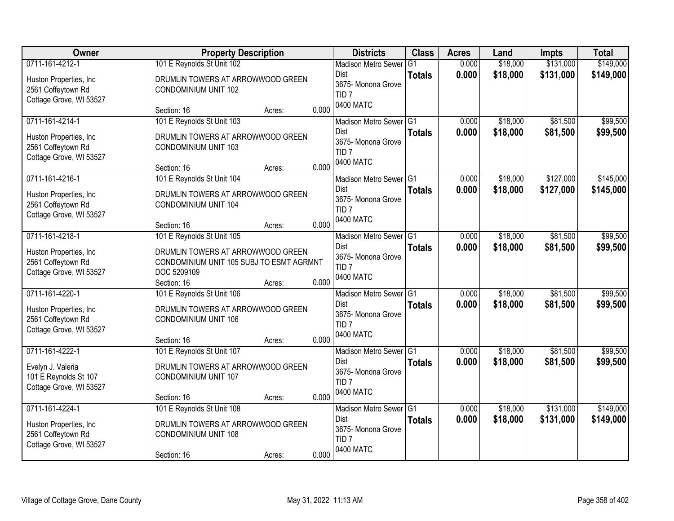| Owner                                                                    | <b>Property Description</b>                                                                        | <b>Districts</b>                                                   | <b>Class</b>  | <b>Acres</b>   | Land                 | <b>Impts</b>         | <b>Total</b>         |
|--------------------------------------------------------------------------|----------------------------------------------------------------------------------------------------|--------------------------------------------------------------------|---------------|----------------|----------------------|----------------------|----------------------|
| 0711-161-4212-1                                                          | 101 E Reynolds St Unit 102                                                                         | <b>Madison Metro Sewer</b>                                         | G1            | 0.000          | \$18,000             | \$131,000            | \$149,000            |
| Huston Properties, Inc<br>2561 Coffeytown Rd<br>Cottage Grove, WI 53527  | DRUMLIN TOWERS AT ARROWWOOD GREEN<br>CONDOMINIUM UNIT 102                                          | Dist<br>3675- Monona Grove<br>TID <sub>7</sub>                     | <b>Totals</b> | 0.000          | \$18,000             | \$131,000            | \$149,000            |
|                                                                          | 0.000<br>Section: 16<br>Acres:                                                                     | 0400 MATC                                                          |               |                |                      |                      |                      |
| 0711-161-4214-1<br>Huston Properties, Inc.<br>2561 Coffeytown Rd         | 101 E Reynolds St Unit 103<br>DRUMLIN TOWERS AT ARROWWOOD GREEN<br><b>CONDOMINIUM UNIT 103</b>     | Madison Metro Sewer G1<br>Dist<br>3675- Monona Grove               | <b>Totals</b> | 0.000<br>0.000 | \$18,000<br>\$18,000 | \$81,500<br>\$81,500 | \$99,500<br>\$99,500 |
| Cottage Grove, WI 53527                                                  | 0.000<br>Section: 16<br>Acres:                                                                     | TID <sub>7</sub><br>0400 MATC                                      |               |                |                      |                      |                      |
| 0711-161-4216-1                                                          | 101 E Reynolds St Unit 104                                                                         | Madison Metro Sewer G1                                             |               | 0.000          | \$18,000             | \$127,000            | \$145,000            |
| Huston Properties, Inc.<br>2561 Coffeytown Rd<br>Cottage Grove, WI 53527 | DRUMLIN TOWERS AT ARROWWOOD GREEN<br><b>CONDOMINIUM UNIT 104</b>                                   | Dist<br>3675- Monona Grove<br>TID <sub>7</sub><br>0400 MATC        | <b>Totals</b> | 0.000          | \$18,000             | \$127,000            | \$145,000            |
|                                                                          | 0.000<br>Section: 16<br>Acres:                                                                     |                                                                    |               |                |                      |                      |                      |
| 0711-161-4218-1                                                          | 101 E Reynolds St Unit 105                                                                         | Madison Metro Sewer G1                                             |               | 0.000          | \$18,000             | \$81,500             | \$99,500             |
| Huston Properties, Inc.<br>2561 Coffeytown Rd<br>Cottage Grove, WI 53527 | DRUMLIN TOWERS AT ARROWWOOD GREEN<br>CONDOMINIUM UNIT 105 SUBJ TO ESMT AGRMNT<br>DOC 5209109       | Dist<br>3675- Monona Grove<br>TID <sub>7</sub><br>0400 MATC        | <b>Totals</b> | 0.000          | \$18,000             | \$81,500             | \$99,500             |
| 0711-161-4220-1                                                          | 0.000<br>Section: 16<br>Acres:<br>101 E Reynolds St Unit 106                                       | <b>Madison Metro Sewer</b>                                         | TG1           | 0.000          | \$18,000             | \$81,500             | \$99,500             |
| Huston Properties, Inc.<br>2561 Coffeytown Rd<br>Cottage Grove, WI 53527 | DRUMLIN TOWERS AT ARROWWOOD GREEN<br><b>CONDOMINIUM UNIT 106</b><br>0.000<br>Section: 16<br>Acres: | <b>Dist</b><br>3675- Monona Grove<br>TID <sub>7</sub><br>0400 MATC | <b>Totals</b> | 0.000          | \$18,000             | \$81,500             | \$99,500             |
| 0711-161-4222-1                                                          | 101 E Reynolds St Unit 107                                                                         | Madison Metro Sewer G1                                             |               | 0.000          | \$18,000             | \$81,500             | \$99,500             |
| Evelyn J. Valeria<br>101 E Reynolds St 107<br>Cottage Grove, WI 53527    | DRUMLIN TOWERS AT ARROWWOOD GREEN<br><b>CONDOMINIUM UNIT 107</b><br>0.000<br>Section: 16<br>Acres: | Dist<br>3675- Monona Grove<br>TID <sub>7</sub><br>0400 MATC        | <b>Totals</b> | 0.000          | \$18,000             | \$81,500             | \$99,500             |
| 0711-161-4224-1                                                          | 101 E Reynolds St Unit 108                                                                         | Madison Metro Sewer G1                                             |               | 0.000          | \$18,000             | \$131,000            | \$149,000            |
| Huston Properties, Inc<br>2561 Coffeytown Rd<br>Cottage Grove, WI 53527  | DRUMLIN TOWERS AT ARROWWOOD GREEN<br><b>CONDOMINIUM UNIT 108</b>                                   | Dist<br>3675- Monona Grove<br>TID <sub>7</sub><br>0400 MATC        | <b>Totals</b> | 0.000          | \$18,000             | \$131,000            | \$149,000            |
|                                                                          | 0.000<br>Section: 16<br>Acres:                                                                     |                                                                    |               |                |                      |                      |                      |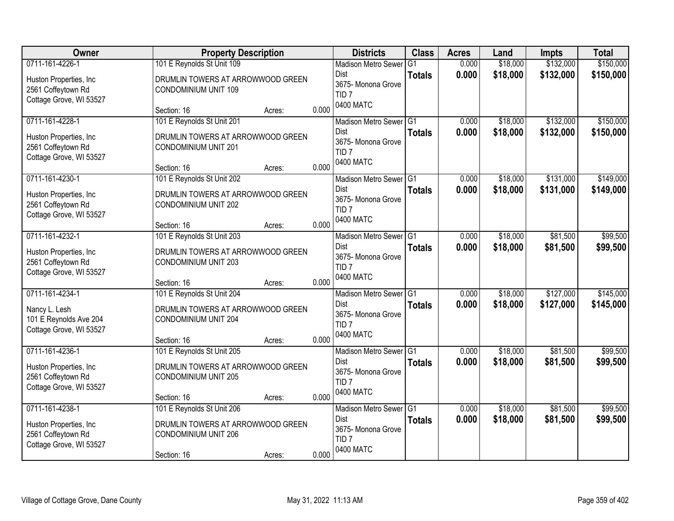| Owner                                                                                       | <b>Property Description</b>                                                                                                                                        | <b>Districts</b>                                                                                   | <b>Class</b>                    | <b>Acres</b>   | Land                 | <b>Impts</b>           | <b>Total</b>           |
|---------------------------------------------------------------------------------------------|--------------------------------------------------------------------------------------------------------------------------------------------------------------------|----------------------------------------------------------------------------------------------------|---------------------------------|----------------|----------------------|------------------------|------------------------|
| 0711-161-4226-1<br>Huston Properties, Inc.<br>2561 Coffeytown Rd<br>Cottage Grove, WI 53527 | 101 E Reynolds St Unit 109<br>DRUMLIN TOWERS AT ARROWWOOD GREEN<br><b>CONDOMINIUM UNIT 109</b>                                                                     | <b>Madison Metro Sewer</b><br>Dist<br>3675- Monona Grove<br>TID <sub>7</sub>                       | G <sub>1</sub><br><b>Totals</b> | 0.000<br>0.000 | \$18,000<br>\$18,000 | \$132,000<br>\$132,000 | \$150,000<br>\$150,000 |
|                                                                                             | 0.000<br>Section: 16<br>Acres:                                                                                                                                     | 0400 MATC                                                                                          |                                 |                |                      |                        |                        |
| 0711-161-4228-1<br>Huston Properties, Inc.<br>2561 Coffeytown Rd<br>Cottage Grove, WI 53527 | 101 E Reynolds St Unit 201<br>DRUMLIN TOWERS AT ARROWWOOD GREEN<br>CONDOMINIUM UNIT 201<br>0.000<br>Section: 16<br>Acres:                                          | Madison Metro Sewer G1<br><b>Dist</b><br>3675-Monona Grove<br>TID <sub>7</sub><br>0400 MATC        | <b>Totals</b>                   | 0.000<br>0.000 | \$18,000<br>\$18,000 | \$132,000<br>\$132,000 | \$150,000<br>\$150,000 |
| 0711-161-4230-1<br>Huston Properties, Inc.<br>2561 Coffeytown Rd<br>Cottage Grove, WI 53527 | 101 E Reynolds St Unit 202<br>DRUMLIN TOWERS AT ARROWWOOD GREEN<br><b>CONDOMINIUM UNIT 202</b><br>0.000<br>Section: 16<br>Acres:                                   | Madison Metro Sewer G1<br><b>Dist</b><br>3675- Monona Grove<br>TID <sub>7</sub><br>0400 MATC       | <b>Totals</b>                   | 0.000<br>0.000 | \$18,000<br>\$18,000 | \$131,000<br>\$131,000 | \$149,000<br>\$149,000 |
| 0711-161-4232-1<br>Huston Properties, Inc.<br>2561 Coffeytown Rd<br>Cottage Grove, WI 53527 | 101 E Reynolds St Unit 203<br>DRUMLIN TOWERS AT ARROWWOOD GREEN<br>CONDOMINIUM UNIT 203                                                                            | Madison Metro Sewer<br><b>Dist</b><br>3675- Monona Grove<br>TID <sub>7</sub><br>0400 MATC          | G <sub>1</sub><br><b>Totals</b> | 0.000<br>0.000 | \$18,000<br>\$18,000 | \$81,500<br>\$81,500   | \$99,500<br>\$99,500   |
| 0711-161-4234-1<br>Nancy L. Lesh<br>101 E Reynolds Ave 204<br>Cottage Grove, WI 53527       | 0.000<br>Section: 16<br>Acres:<br>101 E Reynolds St Unit 204<br>DRUMLIN TOWERS AT ARROWWOOD GREEN<br><b>CONDOMINIUM UNIT 204</b><br>0.000<br>Section: 16<br>Acres: | Madison Metro Sewer <sup>1</sup> G1<br>Dist<br>3675- Monona Grove<br>TID <sub>7</sub><br>0400 MATC | <b>Totals</b>                   | 0.000<br>0.000 | \$18,000<br>\$18,000 | \$127,000<br>\$127,000 | \$145,000<br>\$145,000 |
| 0711-161-4236-1<br>Huston Properties, Inc.<br>2561 Coffeytown Rd<br>Cottage Grove, WI 53527 | 101 E Reynolds St Unit 205<br>DRUMLIN TOWERS AT ARROWWOOD GREEN<br><b>CONDOMINIUM UNIT 205</b><br>0.000<br>Section: 16<br>Acres:                                   | Madison Metro Sewer G1<br>Dist<br>3675- Monona Grove<br>TID <sub>7</sub><br>0400 MATC              | <b>Totals</b>                   | 0.000<br>0.000 | \$18,000<br>\$18,000 | \$81,500<br>\$81,500   | \$99,500<br>\$99,500   |
| 0711-161-4238-1<br>Huston Properties, Inc<br>2561 Coffeytown Rd<br>Cottage Grove, WI 53527  | 101 E Reynolds St Unit 206<br>DRUMLIN TOWERS AT ARROWWOOD GREEN<br>CONDOMINIUM UNIT 206<br>0.000<br>Section: 16<br>Acres:                                          | Madison Metro Sewer G1<br><b>Dist</b><br>3675- Monona Grove<br>TID <sub>7</sub><br>0400 MATC       | <b>Totals</b>                   | 0.000<br>0.000 | \$18,000<br>\$18,000 | \$81,500<br>\$81,500   | \$99,500<br>\$99,500   |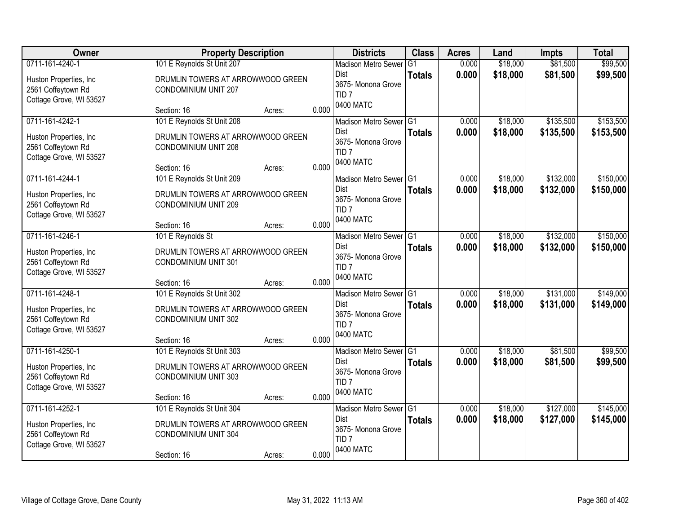| Owner                                                                                       | <b>Property Description</b>                                                                                                                                        | <b>Districts</b>                                                                                                | <b>Class</b>                    | <b>Acres</b>   | Land                 | <b>Impts</b>           | <b>Total</b>           |
|---------------------------------------------------------------------------------------------|--------------------------------------------------------------------------------------------------------------------------------------------------------------------|-----------------------------------------------------------------------------------------------------------------|---------------------------------|----------------|----------------------|------------------------|------------------------|
| 0711-161-4240-1<br>Huston Properties, Inc.<br>2561 Coffeytown Rd<br>Cottage Grove, WI 53527 | 101 E Reynolds St Unit 207<br>DRUMLIN TOWERS AT ARROWWOOD GREEN<br><b>CONDOMINIUM UNIT 207</b>                                                                     | <b>Madison Metro Sewer</b><br>Dist<br>3675- Monona Grove<br>TID <sub>7</sub>                                    | G <sub>1</sub><br><b>Totals</b> | 0.000<br>0.000 | \$18,000<br>\$18,000 | \$81,500<br>\$81,500   | \$99,500<br>\$99,500   |
|                                                                                             | 0.000<br>Section: 16<br>Acres:                                                                                                                                     | 0400 MATC                                                                                                       |                                 |                |                      |                        |                        |
| 0711-161-4242-1<br>Huston Properties, Inc.<br>2561 Coffeytown Rd<br>Cottage Grove, WI 53527 | 101 E Reynolds St Unit 208<br>DRUMLIN TOWERS AT ARROWWOOD GREEN<br>CONDOMINIUM UNIT 208<br>0.000<br>Section: 16<br>Acres:                                          | Madison Metro Sewer G1<br><b>Dist</b><br>3675-Monona Grove<br>TID <sub>7</sub><br>0400 MATC                     | <b>Totals</b>                   | 0.000<br>0.000 | \$18,000<br>\$18,000 | \$135,500<br>\$135,500 | \$153,500<br>\$153,500 |
| 0711-161-4244-1<br>Huston Properties, Inc.<br>2561 Coffeytown Rd<br>Cottage Grove, WI 53527 | 101 E Reynolds St Unit 209<br>DRUMLIN TOWERS AT ARROWWOOD GREEN<br><b>CONDOMINIUM UNIT 209</b><br>0.000<br>Section: 16<br>Acres:                                   | Madison Metro Sewer G1<br><b>Dist</b><br>3675- Monona Grove<br>TID <sub>7</sub><br>0400 MATC                    | <b>Totals</b>                   | 0.000<br>0.000 | \$18,000<br>\$18,000 | \$132,000<br>\$132,000 | \$150,000<br>\$150,000 |
| 0711-161-4246-1<br>Huston Properties, Inc.<br>2561 Coffeytown Rd<br>Cottage Grove, WI 53527 | 101 E Reynolds St<br>DRUMLIN TOWERS AT ARROWWOOD GREEN<br>CONDOMINIUM UNIT 301                                                                                     | Madison Metro Sewer<br><b>Dist</b><br>3675- Monona Grove<br>TID <sub>7</sub>                                    | G <sub>1</sub><br><b>Totals</b> | 0.000<br>0.000 | \$18,000<br>\$18,000 | \$132,000<br>\$132,000 | \$150,000<br>\$150,000 |
| 0711-161-4248-1<br>Huston Properties, Inc<br>2561 Coffeytown Rd<br>Cottage Grove, WI 53527  | 0.000<br>Section: 16<br>Acres:<br>101 E Reynolds St Unit 302<br>DRUMLIN TOWERS AT ARROWWOOD GREEN<br><b>CONDOMINIUM UNIT 302</b><br>0.000<br>Section: 16<br>Acres: | 0400 MATC<br>Madison Metro Sewer <sup>1</sup> G1<br>Dist<br>3675- Monona Grove<br>TID <sub>7</sub><br>0400 MATC | <b>Totals</b>                   | 0.000<br>0.000 | \$18,000<br>\$18,000 | \$131,000<br>\$131,000 | \$149,000<br>\$149,000 |
| 0711-161-4250-1<br>Huston Properties, Inc.<br>2561 Coffeytown Rd<br>Cottage Grove, WI 53527 | 101 E Reynolds St Unit 303<br>DRUMLIN TOWERS AT ARROWWOOD GREEN<br><b>CONDOMINIUM UNIT 303</b><br>0.000<br>Section: 16<br>Acres:                                   | Madison Metro Sewer G1<br>Dist<br>3675- Monona Grove<br>TID <sub>7</sub><br>0400 MATC                           | <b>Totals</b>                   | 0.000<br>0.000 | \$18,000<br>\$18,000 | \$81,500<br>\$81,500   | \$99,500<br>\$99,500   |
| 0711-161-4252-1<br>Huston Properties, Inc<br>2561 Coffeytown Rd<br>Cottage Grove, WI 53527  | 101 E Reynolds St Unit 304<br>DRUMLIN TOWERS AT ARROWWOOD GREEN<br>CONDOMINIUM UNIT 304<br>0.000<br>Section: 16<br>Acres:                                          | Madison Metro Sewer G1<br><b>Dist</b><br>3675- Monona Grove<br>TID <sub>7</sub><br>0400 MATC                    | <b>Totals</b>                   | 0.000<br>0.000 | \$18,000<br>\$18,000 | \$127,000<br>\$127,000 | \$145,000<br>\$145,000 |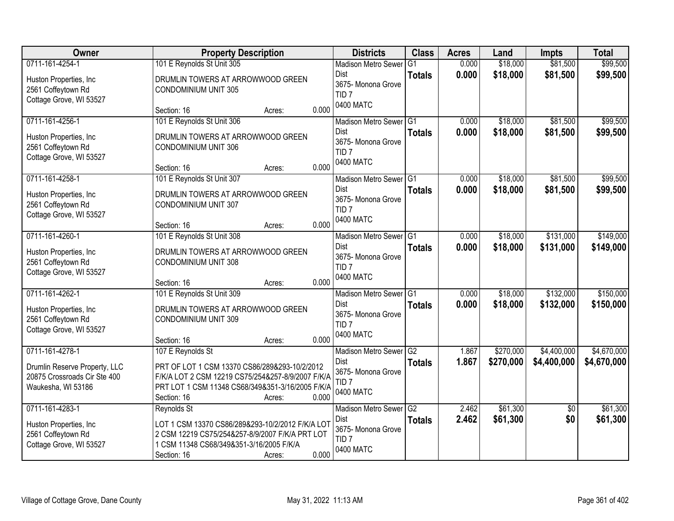| Owner                                                                                                  | <b>Property Description</b>                                                                                                                                                                                   | <b>Districts</b>                                                                             | <b>Class</b>                     | <b>Acres</b>   | Land                   | <b>Impts</b>               | <b>Total</b>               |
|--------------------------------------------------------------------------------------------------------|---------------------------------------------------------------------------------------------------------------------------------------------------------------------------------------------------------------|----------------------------------------------------------------------------------------------|----------------------------------|----------------|------------------------|----------------------------|----------------------------|
| 0711-161-4254-1<br>Huston Properties, Inc<br>2561 Coffeytown Rd<br>Cottage Grove, WI 53527             | 101 E Reynolds St Unit 305<br>DRUMLIN TOWERS AT ARROWWOOD GREEN<br><b>CONDOMINIUM UNIT 305</b>                                                                                                                | <b>Madison Metro Sewer</b><br>Dist<br>3675- Monona Grove<br>TID <sub>7</sub>                 | G1<br><b>Totals</b>              | 0.000<br>0.000 | \$18,000<br>\$18,000   | \$81,500<br>\$81,500       | \$99,500<br>\$99,500       |
|                                                                                                        | 0.000<br>Section: 16<br>Acres:                                                                                                                                                                                | 0400 MATC                                                                                    |                                  |                |                        |                            |                            |
| 0711-161-4256-1<br>Huston Properties, Inc.<br>2561 Coffeytown Rd<br>Cottage Grove, WI 53527            | 101 E Reynolds St Unit 306<br>DRUMLIN TOWERS AT ARROWWOOD GREEN<br><b>CONDOMINIUM UNIT 306</b><br>0.000<br>Section: 16<br>Acres:                                                                              | Madison Metro Sewer G1<br><b>Dist</b><br>3675- Monona Grove<br>TID <sub>7</sub><br>0400 MATC | <b>Totals</b>                    | 0.000<br>0.000 | \$18,000<br>\$18,000   | \$81,500<br>\$81,500       | \$99,500<br>\$99,500       |
| 0711-161-4258-1<br>Huston Properties, Inc.<br>2561 Coffeytown Rd<br>Cottage Grove, WI 53527            | 101 E Reynolds St Unit 307<br>DRUMLIN TOWERS AT ARROWWOOD GREEN<br><b>CONDOMINIUM UNIT 307</b><br>0.000<br>Section: 16<br>Acres:                                                                              | Madison Metro Sewer G1<br>Dist<br>3675- Monona Grove<br>TID <sub>7</sub><br>0400 MATC        | <b>Totals</b>                    | 0.000<br>0.000 | \$18,000<br>\$18,000   | \$81,500<br>\$81,500       | \$99,500<br>\$99,500       |
| 0711-161-4260-1<br>Huston Properties, Inc.<br>2561 Coffeytown Rd<br>Cottage Grove, WI 53527            | 101 E Reynolds St Unit 308<br>DRUMLIN TOWERS AT ARROWWOOD GREEN<br><b>CONDOMINIUM UNIT 308</b><br>0.000<br>Section: 16<br>Acres:                                                                              | Madison Metro Sewer G1<br>Dist<br>3675- Monona Grove<br>TID <sub>7</sub><br>0400 MATC        | <b>Totals</b>                    | 0.000<br>0.000 | \$18,000<br>\$18,000   | \$131,000<br>\$131,000     | \$149,000<br>\$149,000     |
| 0711-161-4262-1<br>Huston Properties, Inc<br>2561 Coffeytown Rd<br>Cottage Grove, WI 53527             | 101 E Reynolds St Unit 309<br>DRUMLIN TOWERS AT ARROWWOOD GREEN<br><b>CONDOMINIUM UNIT 309</b><br>0.000<br>Section: 16<br>Acres:                                                                              | <b>Madison Metro Sewer</b><br>Dist<br>3675- Monona Grove<br>TID <sub>7</sub><br>0400 MATC    | $\overline{G1}$<br><b>Totals</b> | 0.000<br>0.000 | \$18,000<br>\$18,000   | \$132,000<br>\$132,000     | \$150,000<br>\$150,000     |
| 0711-161-4278-1<br>Drumlin Reserve Property, LLC<br>20875 Crossroads Cir Ste 400<br>Waukesha, WI 53186 | 107 E Reynolds St<br>PRT OF LOT 1 CSM 13370 CS86/289&293-10/2/2012<br>F/K/A LOT 2 CSM 12219 CS75/254&257-8/9/2007 F/K/A<br>PRT LOT 1 CSM 11348 CS68/349&351-3/16/2005 F/K/A<br>0.000<br>Section: 16<br>Acres: | Madison Metro Sewer G2<br>Dist<br>3675- Monona Grove<br>TID <sub>7</sub><br>0400 MATC        | <b>Totals</b>                    | 1.867<br>1.867 | \$270,000<br>\$270,000 | \$4,400,000<br>\$4,400,000 | \$4,670,000<br>\$4,670,000 |
| 0711-161-4283-1<br>Huston Properties, Inc<br>2561 Coffeytown Rd<br>Cottage Grove, WI 53527             | <b>Reynolds St</b><br>LOT 1 CSM 13370 CS86/289&293-10/2/2012 F/K/A LOT<br>2 CSM 12219 CS75/254&257-8/9/2007 F/K/A PRT LOT<br>1 CSM 11348 CS68/349&351-3/16/2005 F/K/A<br>0.000<br>Section: 16<br>Acres:       | Madison Metro Sewer G2<br>Dist<br>3675- Monona Grove<br>TID <sub>7</sub><br>0400 MATC        | <b>Totals</b>                    | 2.462<br>2.462 | \$61,300<br>\$61,300   | $\overline{50}$<br>\$0     | \$61,300<br>\$61,300       |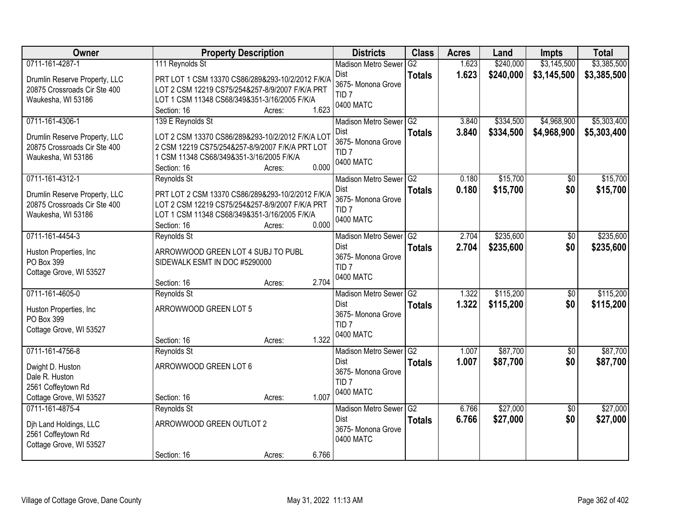| Owner                                 | <b>Property Description</b>                      |                 | <b>Districts</b>                       | <b>Class</b>    | <b>Acres</b> | Land      | <b>Impts</b>    | <b>Total</b> |
|---------------------------------------|--------------------------------------------------|-----------------|----------------------------------------|-----------------|--------------|-----------|-----------------|--------------|
| 0711-161-4287-1                       | 111 Reynolds St                                  |                 | <b>Madison Metro Sewer</b>             | G2              | 1.623        | \$240,000 | \$3,145,500     | \$3,385,500  |
| Drumlin Reserve Property, LLC         | PRT LOT 1 CSM 13370 CS86/289&293-10/2/2012 F/K/A |                 | <b>Dist</b><br>3675- Monona Grove      | <b>Totals</b>   | 1.623        | \$240,000 | \$3,145,500     | \$3,385,500  |
| 20875 Crossroads Cir Ste 400          | LOT 2 CSM 12219 CS75/254&257-8/9/2007 F/K/A PRT  |                 | TID <sub>7</sub>                       |                 |              |           |                 |              |
| Waukesha, WI 53186                    | LOT 1 CSM 11348 CS68/349&351-3/16/2005 F/K/A     |                 | 0400 MATC                              |                 |              |           |                 |              |
|                                       | Section: 16                                      | 1.623<br>Acres: |                                        |                 |              |           |                 |              |
| 0711-161-4306-1                       | 139 E Reynolds St                                |                 | <b>Madison Metro Sewer</b>             | IG <sub>2</sub> | 3.840        | \$334,500 | \$4,968,900     | \$5,303,400  |
| Drumlin Reserve Property, LLC         | LOT 2 CSM 13370 CS86/289&293-10/2/2012 F/K/A LOT |                 | <b>Dist</b>                            | <b>Totals</b>   | 3.840        | \$334,500 | \$4,968,900     | \$5,303,400  |
| 20875 Crossroads Cir Ste 400          | 2 CSM 12219 CS75/254&257-8/9/2007 F/K/A PRT LOT  |                 | 3675- Monona Grove<br>TID <sub>7</sub> |                 |              |           |                 |              |
| Waukesha, WI 53186                    | 1 CSM 11348 CS68/349&351-3/16/2005 F/K/A         |                 | 0400 MATC                              |                 |              |           |                 |              |
|                                       | Section: 16                                      | 0.000<br>Acres: |                                        |                 |              |           |                 |              |
| 0711-161-4312-1                       | Reynolds St                                      |                 | Madison Metro Sewer G2                 |                 | 0.180        | \$15,700  | $\overline{50}$ | \$15,700     |
| Drumlin Reserve Property, LLC         | PRT LOT 2 CSM 13370 CS86/289&293-10/2/2012 F/K/A |                 | Dist                                   | <b>Totals</b>   | 0.180        | \$15,700  | \$0             | \$15,700     |
| 20875 Crossroads Cir Ste 400          | LOT 2 CSM 12219 CS75/254&257-8/9/2007 F/K/A PRT  |                 | 3675- Monona Grove                     |                 |              |           |                 |              |
| Waukesha, WI 53186                    | LOT 1 CSM 11348 CS68/349&351-3/16/2005 F/K/A     |                 | TID <sub>7</sub>                       |                 |              |           |                 |              |
|                                       | Section: 16                                      | 0.000<br>Acres: | 0400 MATC                              |                 |              |           |                 |              |
| 0711-161-4454-3                       | Reynolds St                                      |                 | <b>Madison Metro Sewer</b>             | G <sub>2</sub>  | 2.704        | \$235,600 | \$0             | \$235,600    |
|                                       |                                                  |                 | Dist                                   | <b>Totals</b>   | 2.704        | \$235,600 | \$0             | \$235,600    |
| Huston Properties, Inc.<br>PO Box 399 | ARROWWOOD GREEN LOT 4 SUBJ TO PUBL               |                 | 3675- Monona Grove                     |                 |              |           |                 |              |
| Cottage Grove, WI 53527               | SIDEWALK ESMT IN DOC #5290000                    |                 | TID <sub>7</sub>                       |                 |              |           |                 |              |
|                                       | Section: 16                                      | 2.704<br>Acres: | 0400 MATC                              |                 |              |           |                 |              |
| 0711-161-4605-0                       | Reynolds St                                      |                 | <b>Madison Metro Sewer</b>             | $\overline{G2}$ | 1.322        | \$115,200 | $\overline{50}$ | \$115,200    |
|                                       |                                                  |                 | <b>Dist</b>                            | <b>Totals</b>   | 1.322        | \$115,200 | \$0             | \$115,200    |
| Huston Properties, Inc                | ARROWWOOD GREEN LOT 5                            |                 | 3675- Monona Grove                     |                 |              |           |                 |              |
| PO Box 399                            |                                                  |                 | TID <sub>7</sub>                       |                 |              |           |                 |              |
| Cottage Grove, WI 53527               |                                                  |                 | 0400 MATC                              |                 |              |           |                 |              |
|                                       | Section: 16                                      | 1.322<br>Acres: |                                        |                 |              |           |                 |              |
| 0711-161-4756-8                       | Reynolds St                                      |                 | Madison Metro Sewer G2                 |                 | 1.007        | \$87,700  | $\overline{50}$ | \$87,700     |
| Dwight D. Huston                      | ARROWWOOD GREEN LOT 6                            |                 | <b>Dist</b><br>3675- Monona Grove      | <b>Totals</b>   | 1.007        | \$87,700  | \$0             | \$87,700     |
| Dale R. Huston                        |                                                  |                 | TID <sub>7</sub>                       |                 |              |           |                 |              |
| 2561 Coffeytown Rd                    |                                                  |                 | 0400 MATC                              |                 |              |           |                 |              |
| Cottage Grove, WI 53527               | Section: 16                                      | 1.007<br>Acres: |                                        |                 |              |           |                 |              |
| 0711-161-4875-4                       | Reynolds St                                      |                 | Madison Metro Sewer G2                 |                 | 6.766        | \$27,000  | $\overline{50}$ | \$27,000     |
| Dih Land Holdings, LLC                | ARROWWOOD GREEN OUTLOT 2                         |                 | Dist                                   | <b>Totals</b>   | 6.766        | \$27,000  | \$0             | \$27,000     |
| 2561 Coffeytown Rd                    |                                                  |                 | 3675- Monona Grove                     |                 |              |           |                 |              |
| Cottage Grove, WI 53527               |                                                  |                 | 0400 MATC                              |                 |              |           |                 |              |
|                                       | Section: 16                                      | 6.766<br>Acres: |                                        |                 |              |           |                 |              |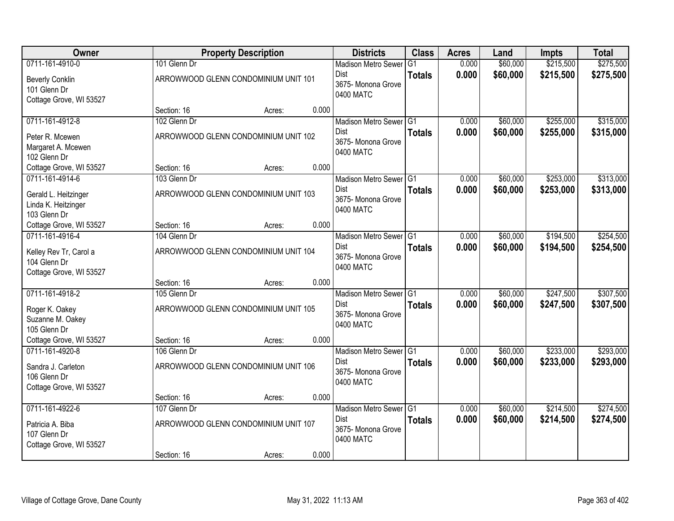| Owner                                      |                             | <b>Property Description</b>          |       | <b>Districts</b>                      | <b>Class</b>  | <b>Acres</b>   | Land                 | <b>Impts</b> | <b>Total</b> |
|--------------------------------------------|-----------------------------|--------------------------------------|-------|---------------------------------------|---------------|----------------|----------------------|--------------|--------------|
| 0711-161-4910-0                            | 101 Glenn Dr                |                                      |       | <b>Madison Metro Sewer</b>            | G1            | 0.000          | \$60,000             | \$215,500    | \$275,500    |
| <b>Beverly Conklin</b>                     |                             | ARROWWOOD GLENN CONDOMINIUM UNIT 101 |       | Dist                                  | <b>Totals</b> | 0.000          | \$60,000             | \$215,500    | \$275,500    |
| 101 Glenn Dr                               |                             |                                      |       | 3675- Monona Grove<br>0400 MATC       |               |                |                      |              |              |
| Cottage Grove, WI 53527                    |                             |                                      |       |                                       |               |                |                      |              |              |
|                                            | Section: 16                 | Acres:                               | 0.000 |                                       |               |                |                      |              |              |
| 0711-161-4912-8                            | 102 Glenn Dr                |                                      |       | Madison Metro Sewer G1                |               | 0.000          | \$60,000             | \$255,000    | \$315,000    |
| Peter R. Mcewen                            |                             | ARROWWOOD GLENN CONDOMINIUM UNIT 102 |       | <b>Dist</b><br>3675- Monona Grove     | <b>Totals</b> | 0.000          | \$60,000             | \$255,000    | \$315,000    |
| Margaret A. Mcewen                         |                             |                                      |       | 0400 MATC                             |               |                |                      |              |              |
| 102 Glenn Dr                               |                             |                                      |       |                                       |               |                |                      |              |              |
| Cottage Grove, WI 53527                    | Section: 16                 | Acres:                               | 0.000 |                                       |               |                |                      |              |              |
| 0711-161-4914-6                            | 103 Glenn Dr                |                                      |       | Madison Metro Sewer G1                |               | 0.000          | \$60,000             | \$253,000    | \$313,000    |
| Gerald L. Heitzinger                       |                             | ARROWWOOD GLENN CONDOMINIUM UNIT 103 |       | Dist<br>3675- Monona Grove            | <b>Totals</b> | 0.000          | \$60,000             | \$253,000    | \$313,000    |
| Linda K. Heitzinger                        |                             |                                      |       | 0400 MATC                             |               |                |                      |              |              |
| 103 Glenn Dr                               |                             |                                      |       |                                       |               |                |                      |              |              |
| Cottage Grove, WI 53527                    | Section: 16                 | Acres:                               | 0.000 |                                       |               |                |                      |              |              |
| 0711-161-4916-4                            | 104 Glenn Dr                |                                      |       | Madison Metro Sewer G1                |               | 0.000          | \$60,000             | \$194,500    | \$254,500    |
| Kelley Rev Tr, Carol a                     |                             | ARROWWOOD GLENN CONDOMINIUM UNIT 104 |       | Dist<br>3675- Monona Grove            | <b>Totals</b> | 0.000          | \$60,000             | \$194,500    | \$254,500    |
| 104 Glenn Dr                               |                             |                                      |       | 0400 MATC                             |               |                |                      |              |              |
| Cottage Grove, WI 53527                    |                             |                                      |       |                                       |               |                |                      |              |              |
|                                            | Section: 16                 | Acres:                               | 0.000 |                                       |               |                |                      |              |              |
| 0711-161-4918-2                            | 105 Glenn Dr                |                                      |       | Madison Metro Sewer G1<br><b>Dist</b> |               | 0.000          | \$60,000             | \$247,500    | \$307,500    |
| Roger K. Oakey                             |                             | ARROWWOOD GLENN CONDOMINIUM UNIT 105 |       | 3675- Monona Grove                    | <b>Totals</b> | 0.000          | \$60,000             | \$247,500    | \$307,500    |
| Suzanne M. Oakey                           |                             |                                      |       | 0400 MATC                             |               |                |                      |              |              |
| 105 Glenn Dr                               |                             |                                      |       |                                       |               |                |                      |              |              |
| Cottage Grove, WI 53527<br>0711-161-4920-8 | Section: 16                 | Acres:                               | 0.000 |                                       |               |                |                      | \$233,000    | \$293,000    |
|                                            | 106 Glenn Dr                |                                      |       | Madison Metro Sewer G1<br>Dist        |               | 0.000<br>0.000 | \$60,000<br>\$60,000 |              |              |
| Sandra J. Carleton                         |                             | ARROWWOOD GLENN CONDOMINIUM UNIT 106 |       | 3675- Monona Grove                    | <b>Totals</b> |                |                      | \$233,000    | \$293,000    |
| 106 Glenn Dr                               |                             |                                      |       | 0400 MATC                             |               |                |                      |              |              |
| Cottage Grove, WI 53527                    |                             |                                      |       |                                       |               |                |                      |              |              |
| 0711-161-4922-6                            | Section: 16<br>107 Glenn Dr | Acres:                               | 0.000 |                                       |               | 0.000          | \$60,000             | \$214,500    | \$274,500    |
|                                            |                             |                                      |       | Madison Metro Sewer G1<br>Dist        |               | 0.000          | \$60,000             | \$214,500    | \$274,500    |
| Patricia A. Biba                           |                             | ARROWWOOD GLENN CONDOMINIUM UNIT 107 |       | 3675-Monona Grove                     | <b>Totals</b> |                |                      |              |              |
| 107 Glenn Dr                               |                             |                                      |       | 0400 MATC                             |               |                |                      |              |              |
| Cottage Grove, WI 53527                    |                             |                                      |       |                                       |               |                |                      |              |              |
|                                            | Section: 16                 | Acres:                               | 0.000 |                                       |               |                |                      |              |              |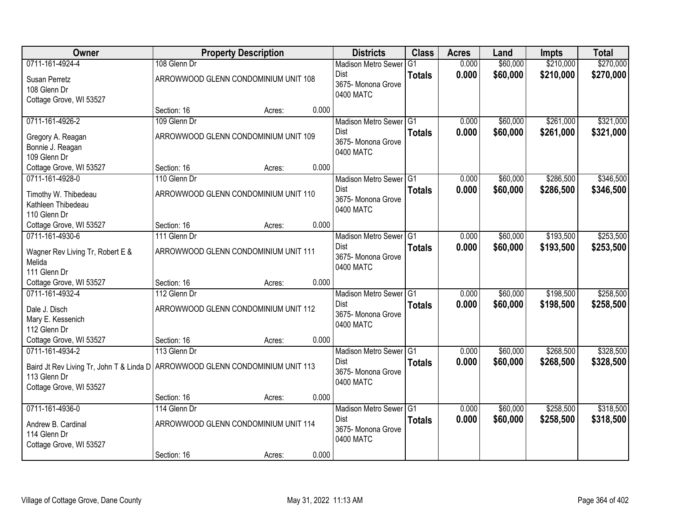| Owner                                                                           |                                      | <b>Property Description</b> |       | <b>Districts</b>                  | <b>Class</b>  | <b>Acres</b> | Land     | <b>Impts</b> | <b>Total</b> |
|---------------------------------------------------------------------------------|--------------------------------------|-----------------------------|-------|-----------------------------------|---------------|--------------|----------|--------------|--------------|
| 0711-161-4924-4                                                                 | 108 Glenn Dr                         |                             |       | <b>Madison Metro Sewer</b>        | G1            | 0.000        | \$60,000 | \$210,000    | \$270,000    |
| Susan Perretz                                                                   | ARROWWOOD GLENN CONDOMINIUM UNIT 108 |                             |       | Dist                              | <b>Totals</b> | 0.000        | \$60,000 | \$210,000    | \$270,000    |
| 108 Glenn Dr                                                                    |                                      |                             |       | 3675- Monona Grove                |               |              |          |              |              |
| Cottage Grove, WI 53527                                                         |                                      |                             |       | 0400 MATC                         |               |              |          |              |              |
|                                                                                 | Section: 16                          | Acres:                      | 0.000 |                                   |               |              |          |              |              |
| 0711-161-4926-2                                                                 | 109 Glenn Dr                         |                             |       | Madison Metro Sewer G1            |               | 0.000        | \$60,000 | \$261,000    | \$321,000    |
| Gregory A. Reagan                                                               | ARROWWOOD GLENN CONDOMINIUM UNIT 109 |                             |       | <b>Dist</b><br>3675- Monona Grove | <b>Totals</b> | 0.000        | \$60,000 | \$261,000    | \$321,000    |
| Bonnie J. Reagan                                                                |                                      |                             |       | 0400 MATC                         |               |              |          |              |              |
| 109 Glenn Dr                                                                    |                                      |                             |       |                                   |               |              |          |              |              |
| Cottage Grove, WI 53527                                                         | Section: 16                          | Acres:                      | 0.000 |                                   |               |              |          |              |              |
| 0711-161-4928-0                                                                 | 110 Glenn Dr                         |                             |       | Madison Metro Sewer G1            |               | 0.000        | \$60,000 | \$286,500    | \$346,500    |
| Timothy W. Thibedeau                                                            | ARROWWOOD GLENN CONDOMINIUM UNIT 110 |                             |       | Dist<br>3675- Monona Grove        | <b>Totals</b> | 0.000        | \$60,000 | \$286,500    | \$346,500    |
| Kathleen Thibedeau                                                              |                                      |                             |       | 0400 MATC                         |               |              |          |              |              |
| 110 Glenn Dr                                                                    |                                      |                             |       |                                   |               |              |          |              |              |
| Cottage Grove, WI 53527                                                         | Section: 16                          | Acres:                      | 0.000 |                                   |               |              |          |              |              |
| 0711-161-4930-6                                                                 | 111 Glenn Dr                         |                             |       | Madison Metro Sewer G1<br>Dist    |               | 0.000        | \$60,000 | \$193,500    | \$253,500    |
| Wagner Rev Living Tr, Robert E &                                                | ARROWWOOD GLENN CONDOMINIUM UNIT 111 |                             |       | 3675- Monona Grove                | <b>Totals</b> | 0.000        | \$60,000 | \$193,500    | \$253,500    |
| Melida                                                                          |                                      |                             |       | 0400 MATC                         |               |              |          |              |              |
| 111 Glenn Dr                                                                    |                                      |                             | 0.000 |                                   |               |              |          |              |              |
| Cottage Grove, WI 53527<br>0711-161-4932-4                                      | Section: 16<br>112 Glenn Dr          | Acres:                      |       | Madison Metro Sewer G1            |               | 0.000        | \$60,000 | \$198,500    | \$258,500    |
|                                                                                 |                                      |                             |       | Dist                              | <b>Totals</b> | 0.000        | \$60,000 | \$198,500    | \$258,500    |
| Dale J. Disch                                                                   | ARROWWOOD GLENN CONDOMINIUM UNIT 112 |                             |       | 3675- Monona Grove                |               |              |          |              |              |
| Mary E. Kessenich                                                               |                                      |                             |       | 0400 MATC                         |               |              |          |              |              |
| 112 Glenn Dr<br>Cottage Grove, WI 53527                                         | Section: 16                          | Acres:                      | 0.000 |                                   |               |              |          |              |              |
| 0711-161-4934-2                                                                 | 113 Glenn Dr                         |                             |       | Madison Metro Sewer G1            |               | 0.000        | \$60,000 | \$268,500    | \$328,500    |
|                                                                                 |                                      |                             |       | Dist                              | <b>Totals</b> | 0.000        | \$60,000 | \$268,500    | \$328,500    |
| Baird Jt Rev Living Tr, John T & Linda D   ARROWWOOD GLENN CONDOMINIUM UNIT 113 |                                      |                             |       | 3675- Monona Grove                |               |              |          |              |              |
| 113 Glenn Dr<br>Cottage Grove, WI 53527                                         |                                      |                             |       | 0400 MATC                         |               |              |          |              |              |
|                                                                                 | Section: 16                          | Acres:                      | 0.000 |                                   |               |              |          |              |              |
| 0711-161-4936-0                                                                 | 114 Glenn Dr                         |                             |       | Madison Metro Sewer G1            |               | 0.000        | \$60,000 | \$258,500    | \$318,500    |
|                                                                                 | ARROWWOOD GLENN CONDOMINIUM UNIT 114 |                             |       | <b>Dist</b>                       | <b>Totals</b> | 0.000        | \$60,000 | \$258,500    | \$318,500    |
| Andrew B. Cardinal<br>114 Glenn Dr                                              |                                      |                             |       | 3675- Monona Grove                |               |              |          |              |              |
| Cottage Grove, WI 53527                                                         |                                      |                             |       | 0400 MATC                         |               |              |          |              |              |
|                                                                                 | Section: 16                          | Acres:                      | 0.000 |                                   |               |              |          |              |              |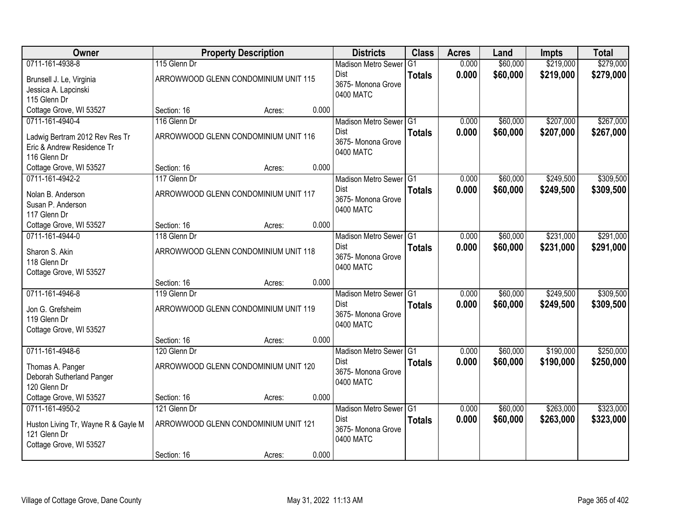| <b>Owner</b>                        |              | <b>Property Description</b>          |       | <b>Districts</b>           | <b>Class</b>    | <b>Acres</b> | Land     | <b>Impts</b> | <b>Total</b> |
|-------------------------------------|--------------|--------------------------------------|-------|----------------------------|-----------------|--------------|----------|--------------|--------------|
| 0711-161-4938-8                     | 115 Glenn Dr |                                      |       | <b>Madison Metro Sewer</b> | G1              | 0.000        | \$60,000 | \$219,000    | \$279,000    |
| Brunsell J. Le, Virginia            |              | ARROWWOOD GLENN CONDOMINIUM UNIT 115 |       | Dist                       | <b>Totals</b>   | 0.000        | \$60,000 | \$219,000    | \$279,000    |
| Jessica A. Lapcinski                |              |                                      |       | 3675-Monona Grove          |                 |              |          |              |              |
| 115 Glenn Dr                        |              |                                      |       | 0400 MATC                  |                 |              |          |              |              |
| Cottage Grove, WI 53527             | Section: 16  | Acres:                               | 0.000 |                            |                 |              |          |              |              |
| 0711-161-4940-4                     | 116 Glenn Dr |                                      |       | Madison Metro Sewer G1     |                 | 0.000        | \$60,000 | \$207,000    | \$267,000    |
| Ladwig Bertram 2012 Rev Res Tr      |              | ARROWWOOD GLENN CONDOMINIUM UNIT 116 |       | Dist                       | <b>Totals</b>   | 0.000        | \$60,000 | \$207,000    | \$267,000    |
| Eric & Andrew Residence Tr          |              |                                      |       | 3675- Monona Grove         |                 |              |          |              |              |
| 116 Glenn Dr                        |              |                                      |       | 0400 MATC                  |                 |              |          |              |              |
| Cottage Grove, WI 53527             | Section: 16  | Acres:                               | 0.000 |                            |                 |              |          |              |              |
| 0711-161-4942-2                     | 117 Glenn Dr |                                      |       | Madison Metro Sewer G1     |                 | 0.000        | \$60,000 | \$249,500    | \$309,500    |
| Nolan B. Anderson                   |              | ARROWWOOD GLENN CONDOMINIUM UNIT 117 |       | Dist                       | <b>Totals</b>   | 0.000        | \$60,000 | \$249,500    | \$309,500    |
| Susan P. Anderson                   |              |                                      |       | 3675- Monona Grove         |                 |              |          |              |              |
| 117 Glenn Dr                        |              |                                      |       | 0400 MATC                  |                 |              |          |              |              |
| Cottage Grove, WI 53527             | Section: 16  | Acres:                               | 0.000 |                            |                 |              |          |              |              |
| 0711-161-4944-0                     | 118 Glenn Dr |                                      |       | Madison Metro Sewer G1     |                 | 0.000        | \$60,000 | \$231,000    | \$291,000    |
| Sharon S. Akin                      |              | ARROWWOOD GLENN CONDOMINIUM UNIT 118 |       | Dist                       | <b>Totals</b>   | 0.000        | \$60,000 | \$231,000    | \$291,000    |
| 118 Glenn Dr                        |              |                                      |       | 3675- Monona Grove         |                 |              |          |              |              |
| Cottage Grove, WI 53527             |              |                                      |       | 0400 MATC                  |                 |              |          |              |              |
|                                     | Section: 16  | Acres:                               | 0.000 |                            |                 |              |          |              |              |
| 0711-161-4946-8                     | 119 Glenn Dr |                                      |       | <b>Madison Metro Sewer</b> | IG <sub>1</sub> | 0.000        | \$60,000 | \$249,500    | \$309,500    |
| Jon G. Grefsheim                    |              | ARROWWOOD GLENN CONDOMINIUM UNIT 119 |       | Dist                       | <b>Totals</b>   | 0.000        | \$60,000 | \$249,500    | \$309,500    |
| 119 Glenn Dr                        |              |                                      |       | 3675- Monona Grove         |                 |              |          |              |              |
| Cottage Grove, WI 53527             |              |                                      |       | 0400 MATC                  |                 |              |          |              |              |
|                                     | Section: 16  | Acres:                               | 0.000 |                            |                 |              |          |              |              |
| 0711-161-4948-6                     | 120 Glenn Dr |                                      |       | Madison Metro Sewer G1     |                 | 0.000        | \$60,000 | \$190,000    | \$250,000    |
| Thomas A. Panger                    |              | ARROWWOOD GLENN CONDOMINIUM UNIT 120 |       | Dist                       | <b>Totals</b>   | 0.000        | \$60,000 | \$190,000    | \$250,000    |
| Deborah Sutherland Panger           |              |                                      |       | 3675- Monona Grove         |                 |              |          |              |              |
| 120 Glenn Dr                        |              |                                      |       | 0400 MATC                  |                 |              |          |              |              |
| Cottage Grove, WI 53527             | Section: 16  | Acres:                               | 0.000 |                            |                 |              |          |              |              |
| 0711-161-4950-2                     | 121 Glenn Dr |                                      |       | Madison Metro Sewer G1     |                 | 0.000        | \$60,000 | \$263,000    | \$323,000    |
| Huston Living Tr, Wayne R & Gayle M |              | ARROWWOOD GLENN CONDOMINIUM UNIT 121 |       | Dist                       | <b>Totals</b>   | 0.000        | \$60,000 | \$263,000    | \$323,000    |
| 121 Glenn Dr                        |              |                                      |       | 3675- Monona Grove         |                 |              |          |              |              |
| Cottage Grove, WI 53527             |              |                                      |       | 0400 MATC                  |                 |              |          |              |              |
|                                     | Section: 16  | Acres:                               | 0.000 |                            |                 |              |          |              |              |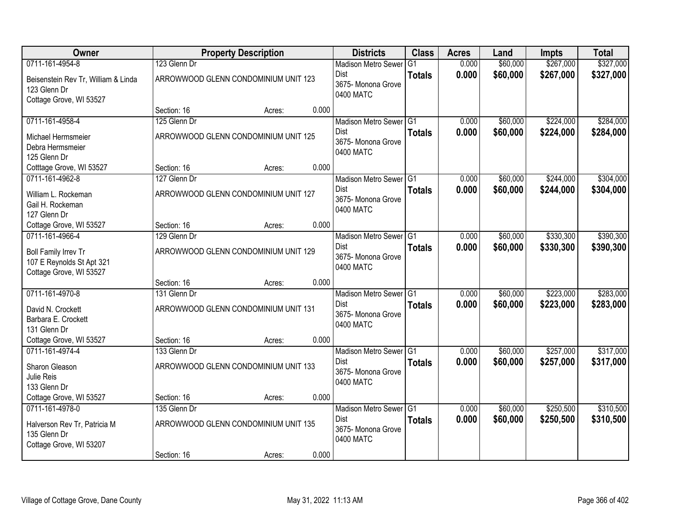| <b>Owner</b>                                                                   |              | <b>Property Description</b>          |       | <b>Districts</b>                               | <b>Class</b>  | <b>Acres</b> | Land     | <b>Impts</b> | <b>Total</b> |
|--------------------------------------------------------------------------------|--------------|--------------------------------------|-------|------------------------------------------------|---------------|--------------|----------|--------------|--------------|
| 0711-161-4954-8                                                                | 123 Glenn Dr |                                      |       | <b>Madison Metro Sewer</b>                     | G1            | 0.000        | \$60,000 | \$267,000    | \$327,000    |
| Beisenstein Rev Tr, William & Linda<br>123 Glenn Dr<br>Cottage Grove, WI 53527 |              | ARROWWOOD GLENN CONDOMINIUM UNIT 123 |       | Dist<br>3675- Monona Grove<br>0400 MATC        | <b>Totals</b> | 0.000        | \$60,000 | \$267,000    | \$327,000    |
|                                                                                | Section: 16  | Acres:                               | 0.000 |                                                |               |              |          |              |              |
| 0711-161-4958-4                                                                | 125 Glenn Dr |                                      |       | Madison Metro Sewer G1                         |               | 0.000        | \$60,000 | \$224,000    | \$284,000    |
| Michael Hermsmeier<br>Debra Hermsmeier<br>125 Glenn Dr                         |              | ARROWWOOD GLENN CONDOMINIUM UNIT 125 |       | <b>Dist</b><br>3675- Monona Grove<br>0400 MATC | <b>Totals</b> | 0.000        | \$60,000 | \$224,000    | \$284,000    |
| Cotttage Grove, WI 53527                                                       | Section: 16  | Acres:                               | 0.000 |                                                |               |              |          |              |              |
| 0711-161-4962-8                                                                | 127 Glenn Dr |                                      |       | Madison Metro Sewer G1                         |               | 0.000        | \$60,000 | \$244,000    | \$304,000    |
| William L. Rockeman<br>Gail H. Rockeman<br>127 Glenn Dr                        |              | ARROWWOOD GLENN CONDOMINIUM UNIT 127 |       | Dist<br>3675- Monona Grove<br>0400 MATC        | <b>Totals</b> | 0.000        | \$60,000 | \$244,000    | \$304,000    |
| Cottage Grove, WI 53527                                                        | Section: 16  | Acres:                               | 0.000 |                                                |               |              |          |              |              |
| 0711-161-4966-4                                                                | 129 Glenn Dr |                                      |       | Madison Metro Sewer G1                         |               | 0.000        | \$60,000 | \$330,300    | \$390,300    |
| Boll Family Irrev Tr<br>107 E Reynolds St Apt 321<br>Cottage Grove, WI 53527   |              | ARROWWOOD GLENN CONDOMINIUM UNIT 129 |       | <b>Dist</b><br>3675- Monona Grove<br>0400 MATC | <b>Totals</b> | 0.000        | \$60,000 | \$330,300    | \$390,300    |
|                                                                                | Section: 16  | Acres:                               | 0.000 |                                                |               |              |          |              |              |
| 0711-161-4970-8                                                                | 131 Glenn Dr |                                      |       | Madison Metro Sewer G1                         |               | 0.000        | \$60,000 | \$223,000    | \$283,000    |
| David N. Crockett<br>Barbara E. Crockett<br>131 Glenn Dr                       |              | ARROWWOOD GLENN CONDOMINIUM UNIT 131 |       | <b>Dist</b><br>3675- Monona Grove<br>0400 MATC | <b>Totals</b> | 0.000        | \$60,000 | \$223,000    | \$283,000    |
| Cottage Grove, WI 53527                                                        | Section: 16  | Acres:                               | 0.000 |                                                |               |              |          |              |              |
| 0711-161-4974-4                                                                | 133 Glenn Dr |                                      |       | Madison Metro Sewer G1                         |               | 0.000        | \$60,000 | \$257,000    | \$317,000    |
| Sharon Gleason<br>Julie Reis<br>133 Glenn Dr                                   |              | ARROWWOOD GLENN CONDOMINIUM UNIT 133 |       | Dist<br>3675- Monona Grove<br>0400 MATC        | <b>Totals</b> | 0.000        | \$60,000 | \$257,000    | \$317,000    |
| Cottage Grove, WI 53527                                                        | Section: 16  | Acres:                               | 0.000 |                                                |               |              |          |              |              |
| 0711-161-4978-0                                                                | 135 Glenn Dr |                                      |       | Madison Metro Sewer G1                         |               | 0.000        | \$60,000 | \$250,500    | \$310,500    |
| Halverson Rev Tr, Patricia M<br>135 Glenn Dr<br>Cottage Grove, WI 53207        |              | ARROWWOOD GLENN CONDOMINIUM UNIT 135 |       | <b>Dist</b><br>3675- Monona Grove<br>0400 MATC | <b>Totals</b> | 0.000        | \$60,000 | \$250,500    | \$310,500    |
|                                                                                | Section: 16  | Acres:                               | 0.000 |                                                |               |              |          |              |              |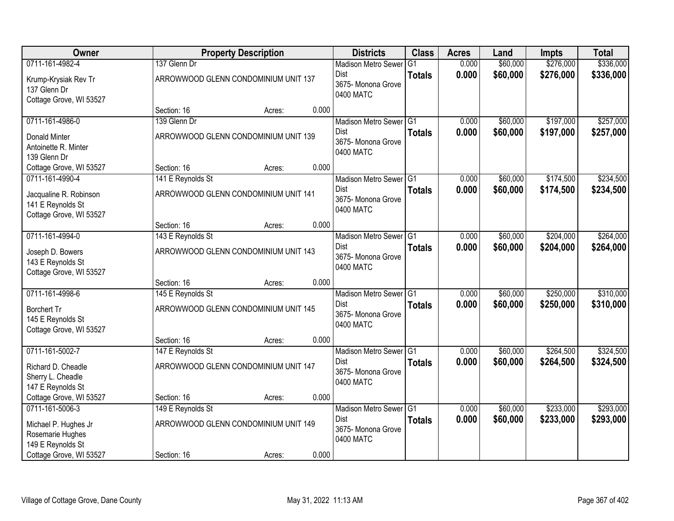| Owner                                                                  |                                      | <b>Property Description</b> |       | <b>Districts</b>                               | <b>Class</b>  | <b>Acres</b> | Land     | <b>Impts</b> | <b>Total</b> |
|------------------------------------------------------------------------|--------------------------------------|-----------------------------|-------|------------------------------------------------|---------------|--------------|----------|--------------|--------------|
| 0711-161-4982-4                                                        | 137 Glenn Dr                         |                             |       | <b>Madison Metro Sewer</b>                     | G1            | 0.000        | \$60,000 | \$276,000    | \$336,000    |
| Krump-Krysiak Rev Tr<br>137 Glenn Dr<br>Cottage Grove, WI 53527        | ARROWWOOD GLENN CONDOMINIUM UNIT 137 |                             |       | <b>Dist</b><br>3675- Monona Grove<br>0400 MATC | <b>Totals</b> | 0.000        | \$60,000 | \$276,000    | \$336,000    |
|                                                                        | Section: 16                          | Acres:                      | 0.000 |                                                |               |              |          |              |              |
| 0711-161-4986-0                                                        | 139 Glenn Dr                         |                             |       | Madison Metro Sewer G1                         |               | 0.000        | \$60,000 | \$197,000    | \$257,000    |
| Donald Minter<br>Antoinette R. Minter<br>139 Glenn Dr                  | ARROWWOOD GLENN CONDOMINIUM UNIT 139 |                             |       | Dist<br>3675- Monona Grove<br>0400 MATC        | <b>Totals</b> | 0.000        | \$60,000 | \$197,000    | \$257,000    |
| Cottage Grove, WI 53527                                                | Section: 16                          | Acres:                      | 0.000 |                                                |               |              |          |              |              |
| 0711-161-4990-4                                                        | 141 E Reynolds St                    |                             |       | Madison Metro Sewer G1                         |               | 0.000        | \$60,000 | \$174,500    | \$234,500    |
| Jacqualine R. Robinson<br>141 E Reynolds St<br>Cottage Grove, WI 53527 | ARROWWOOD GLENN CONDOMINIUM UNIT 141 |                             |       | <b>Dist</b><br>3675- Monona Grove<br>0400 MATC | <b>Totals</b> | 0.000        | \$60,000 | \$174,500    | \$234,500    |
|                                                                        | Section: 16                          | Acres:                      | 0.000 |                                                |               |              |          |              |              |
| 0711-161-4994-0                                                        | 143 E Reynolds St                    |                             |       | Madison Metro Sewer G1                         |               | 0.000        | \$60,000 | \$204,000    | \$264,000    |
| Joseph D. Bowers<br>143 E Reynolds St<br>Cottage Grove, WI 53527       | ARROWWOOD GLENN CONDOMINIUM UNIT 143 |                             |       | <b>Dist</b><br>3675- Monona Grove<br>0400 MATC | <b>Totals</b> | 0.000        | \$60,000 | \$204,000    | \$264,000    |
|                                                                        | Section: 16                          | Acres:                      | 0.000 |                                                |               |              |          |              |              |
| 0711-161-4998-6                                                        | 145 E Reynolds St                    |                             |       | <b>Madison Metro Sewer</b>                     | TG1           | 0.000        | \$60,000 | \$250,000    | \$310,000    |
| Borchert Tr<br>145 E Reynolds St<br>Cottage Grove, WI 53527            | ARROWWOOD GLENN CONDOMINIUM UNIT 145 |                             |       | Dist<br>3675- Monona Grove<br>0400 MATC        | <b>Totals</b> | 0.000        | \$60,000 | \$250,000    | \$310,000    |
|                                                                        | Section: 16                          | Acres:                      | 0.000 |                                                |               |              |          |              |              |
| 0711-161-5002-7                                                        | 147 E Reynolds St                    |                             |       | Madison Metro Sewer G1                         |               | 0.000        | \$60,000 | \$264,500    | \$324,500    |
| Richard D. Cheadle<br>Sherry L. Cheadle<br>147 E Reynolds St           | ARROWWOOD GLENN CONDOMINIUM UNIT 147 |                             |       | <b>Dist</b><br>3675- Monona Grove<br>0400 MATC | <b>Totals</b> | 0.000        | \$60,000 | \$264,500    | \$324,500    |
| Cottage Grove, WI 53527                                                | Section: 16                          | Acres:                      | 0.000 |                                                |               |              |          |              |              |
| 0711-161-5006-3                                                        | 149 E Reynolds St                    |                             |       | Madison Metro Sewer G1                         |               | 0.000        | \$60,000 | \$233,000    | \$293,000    |
| Michael P. Hughes Jr<br>Rosemarie Hughes<br>149 E Reynolds St          | ARROWWOOD GLENN CONDOMINIUM UNIT 149 |                             |       | <b>Dist</b><br>3675- Monona Grove<br>0400 MATC | <b>Totals</b> | 0.000        | \$60,000 | \$233,000    | \$293,000    |
| Cottage Grove, WI 53527                                                | Section: 16                          | Acres:                      | 0.000 |                                                |               |              |          |              |              |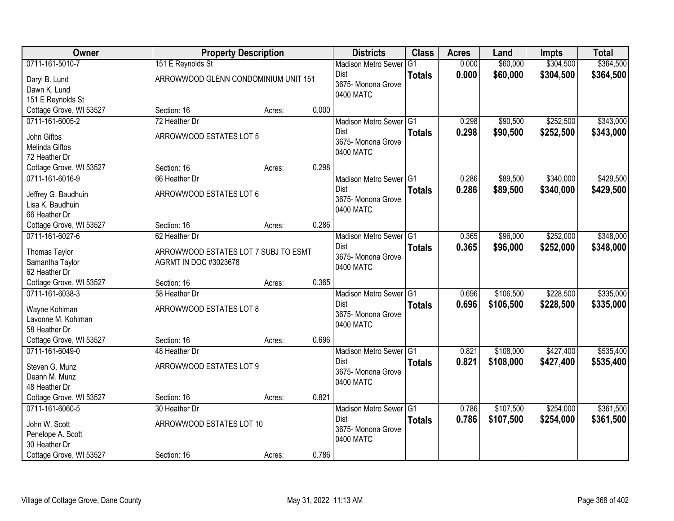| Owner                   | <b>Property Description</b>          |        |       | <b>Districts</b>                  | <b>Class</b>  | <b>Acres</b> | Land      | <b>Impts</b> | <b>Total</b> |
|-------------------------|--------------------------------------|--------|-------|-----------------------------------|---------------|--------------|-----------|--------------|--------------|
| 0711-161-5010-7         | 151 E Reynolds St                    |        |       | <b>Madison Metro Sewer</b>        | G1            | 0.000        | \$60,000  | \$304,500    | \$364,500    |
| Daryl B. Lund           | ARROWWOOD GLENN CONDOMINIUM UNIT 151 |        |       | <b>Dist</b><br>3675- Monona Grove | <b>Totals</b> | 0.000        | \$60,000  | \$304,500    | \$364,500    |
| Dawn K. Lund            |                                      |        |       | 0400 MATC                         |               |              |           |              |              |
| 151 E Reynolds St       |                                      |        | 0.000 |                                   |               |              |           |              |              |
| Cottage Grove, WI 53527 | Section: 16                          | Acres: |       |                                   |               |              |           |              |              |
| 0711-161-6005-2         | 72 Heather Dr                        |        |       | Madison Metro Sewer G1            |               | 0.298        | \$90,500  | \$252,500    | \$343,000    |
| John Giftos             | ARROWWOOD ESTATES LOT 5              |        |       | <b>Dist</b><br>3675- Monona Grove | <b>Totals</b> | 0.298        | \$90,500  | \$252,500    | \$343,000    |
| Melinda Giftos          |                                      |        |       | 0400 MATC                         |               |              |           |              |              |
| 72 Heather Dr           |                                      |        |       |                                   |               |              |           |              |              |
| Cottage Grove, WI 53527 | Section: 16                          | Acres: | 0.298 |                                   |               |              |           |              |              |
| 0711-161-6016-9         | 66 Heather Dr                        |        |       | Madison Metro Sewer G1            |               | 0.286        | \$89,500  | \$340,000    | \$429,500    |
| Jeffrey G. Baudhuin     | ARROWWOOD ESTATES LOT 6              |        |       | Dist                              | <b>Totals</b> | 0.286        | \$89,500  | \$340,000    | \$429,500    |
| Lisa K. Baudhuin        |                                      |        |       | 3675- Monona Grove                |               |              |           |              |              |
| 66 Heather Dr           |                                      |        |       | 0400 MATC                         |               |              |           |              |              |
| Cottage Grove, WI 53527 | Section: 16                          | Acres: | 0.286 |                                   |               |              |           |              |              |
| 0711-161-6027-6         | 62 Heather Dr                        |        |       | Madison Metro Sewer G1            |               | 0.365        | \$96,000  | \$252,000    | \$348,000    |
|                         |                                      |        |       | <b>Dist</b>                       | <b>Totals</b> | 0.365        | \$96,000  | \$252,000    | \$348,000    |
| Thomas Taylor           | ARROWWOOD ESTATES LOT 7 SUBJ TO ESMT |        |       | 3675- Monona Grove                |               |              |           |              |              |
| Samantha Taylor         | AGRMT IN DOC #3023678                |        |       | 0400 MATC                         |               |              |           |              |              |
| 62 Heather Dr           |                                      |        |       |                                   |               |              |           |              |              |
| Cottage Grove, WI 53527 | Section: 16                          | Acres: | 0.365 |                                   |               |              |           |              |              |
| 0711-161-6038-3         | 58 Heather Dr                        |        |       | Madison Metro Sewer G1            |               | 0.696        | \$106,500 | \$228,500    | \$335,000    |
| Wayne Kohlman           | ARROWWOOD ESTATES LOT 8              |        |       | <b>Dist</b>                       | <b>Totals</b> | 0.696        | \$106,500 | \$228,500    | \$335,000    |
| Lavonne M. Kohlman      |                                      |        |       | 3675- Monona Grove                |               |              |           |              |              |
| 58 Heather Dr           |                                      |        |       | 0400 MATC                         |               |              |           |              |              |
| Cottage Grove, WI 53527 | Section: 16                          | Acres: | 0.696 |                                   |               |              |           |              |              |
| 0711-161-6049-0         | 48 Heather Dr                        |        |       | Madison Metro Sewer G1            |               | 0.821        | \$108,000 | \$427,400    | \$535,400    |
| Steven G. Munz          | ARROWWOOD ESTATES LOT 9              |        |       | Dist                              | <b>Totals</b> | 0.821        | \$108,000 | \$427,400    | \$535,400    |
| Deann M. Munz           |                                      |        |       | 3675- Monona Grove                |               |              |           |              |              |
| 48 Heather Dr           |                                      |        |       | 0400 MATC                         |               |              |           |              |              |
| Cottage Grove, WI 53527 | Section: 16                          | Acres: | 0.821 |                                   |               |              |           |              |              |
| 0711-161-6060-5         | 30 Heather Dr                        |        |       | Madison Metro Sewer G1            |               | 0.786        | \$107,500 | \$254,000    | \$361,500    |
|                         |                                      |        |       | <b>Dist</b>                       | <b>Totals</b> | 0.786        | \$107,500 | \$254,000    | \$361,500    |
| John W. Scott           | ARROWWOOD ESTATES LOT 10             |        |       | 3675- Monona Grove                |               |              |           |              |              |
| Penelope A. Scott       |                                      |        |       | 0400 MATC                         |               |              |           |              |              |
| 30 Heather Dr           |                                      |        |       |                                   |               |              |           |              |              |
| Cottage Grove, WI 53527 | Section: 16                          | Acres: | 0.786 |                                   |               |              |           |              |              |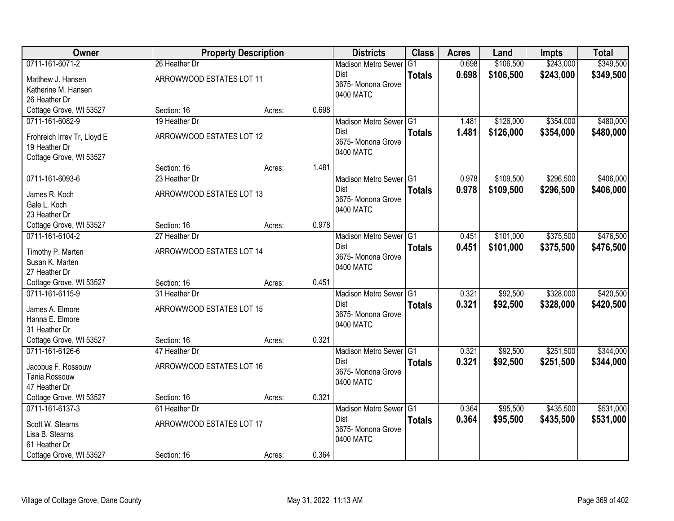| Owner                         |                          | <b>Property Description</b> |       | <b>Districts</b>                  | <b>Class</b>   | <b>Acres</b> | Land      | <b>Impts</b> | <b>Total</b> |
|-------------------------------|--------------------------|-----------------------------|-------|-----------------------------------|----------------|--------------|-----------|--------------|--------------|
| 0711-161-6071-2               | 26 Heather Dr            |                             |       | <b>Madison Metro Sewer</b>        | G <sub>1</sub> | 0.698        | \$106,500 | \$243,000    | \$349,500    |
| Matthew J. Hansen             | ARROWWOOD ESTATES LOT 11 |                             |       | Dist                              | <b>Totals</b>  | 0.698        | \$106,500 | \$243,000    | \$349,500    |
| Katherine M. Hansen           |                          |                             |       | 3675- Monona Grove                |                |              |           |              |              |
| 26 Heather Dr                 |                          |                             |       | 0400 MATC                         |                |              |           |              |              |
| Cottage Grove, WI 53527       | Section: 16              | Acres:                      | 0.698 |                                   |                |              |           |              |              |
| 0711-161-6082-9               | 19 Heather Dr            |                             |       | Madison Metro Sewer G1            |                | 1.481        | \$126,000 | \$354,000    | \$480,000    |
| Frohreich Irrev Tr, Lloyd E   | ARROWWOOD ESTATES LOT 12 |                             |       | <b>Dist</b>                       | <b>Totals</b>  | 1.481        | \$126,000 | \$354,000    | \$480,000    |
| 19 Heather Dr                 |                          |                             |       | 3675- Monona Grove                |                |              |           |              |              |
| Cottage Grove, WI 53527       |                          |                             |       | 0400 MATC                         |                |              |           |              |              |
|                               | Section: 16              | Acres:                      | 1.481 |                                   |                |              |           |              |              |
| 0711-161-6093-6               | 23 Heather Dr            |                             |       | Madison Metro Sewer G1            |                | 0.978        | \$109,500 | \$296,500    | \$406,000    |
|                               | ARROWWOOD ESTATES LOT 13 |                             |       | Dist                              | <b>Totals</b>  | 0.978        | \$109,500 | \$296,500    | \$406,000    |
| James R. Koch<br>Gale L. Koch |                          |                             |       | 3675-Monona Grove                 |                |              |           |              |              |
| 23 Heather Dr                 |                          |                             |       | 0400 MATC                         |                |              |           |              |              |
| Cottage Grove, WI 53527       | Section: 16              | Acres:                      | 0.978 |                                   |                |              |           |              |              |
| 0711-161-6104-2               | 27 Heather Dr            |                             |       | Madison Metro Sewer G1            |                | 0.451        | \$101,000 | \$375,500    | \$476,500    |
|                               |                          |                             |       | Dist                              | <b>Totals</b>  | 0.451        | \$101,000 | \$375,500    | \$476,500    |
| Timothy P. Marten             | ARROWWOOD ESTATES LOT 14 |                             |       | 3675- Monona Grove                |                |              |           |              |              |
| Susan K. Marten               |                          |                             |       | 0400 MATC                         |                |              |           |              |              |
| 27 Heather Dr                 |                          |                             |       |                                   |                |              |           |              |              |
| Cottage Grove, WI 53527       | Section: 16              | Acres:                      | 0.451 |                                   |                |              |           |              |              |
| 0711-161-6115-9               | 31 Heather Dr            |                             |       | Madison Metro Sewer <sup>G1</sup> |                | 0.321        | \$92,500  | \$328,000    | \$420,500    |
| James A. Elmore               | ARROWWOOD ESTATES LOT 15 |                             |       | <b>Dist</b>                       | <b>Totals</b>  | 0.321        | \$92,500  | \$328,000    | \$420,500    |
| Hanna E. Elmore               |                          |                             |       | 3675- Monona Grove                |                |              |           |              |              |
| 31 Heather Dr                 |                          |                             |       | 0400 MATC                         |                |              |           |              |              |
| Cottage Grove, WI 53527       | Section: 16              | Acres:                      | 0.321 |                                   |                |              |           |              |              |
| 0711-161-6126-6               | 47 Heather Dr            |                             |       | Madison Metro Sewer G1            |                | 0.321        | \$92,500  | \$251,500    | \$344,000    |
| Jacobus F. Rossouw            | ARROWWOOD ESTATES LOT 16 |                             |       | <b>Dist</b>                       | <b>Totals</b>  | 0.321        | \$92,500  | \$251,500    | \$344,000    |
| Tania Rossouw                 |                          |                             |       | 3675- Monona Grove                |                |              |           |              |              |
| 47 Heather Dr                 |                          |                             |       | 0400 MATC                         |                |              |           |              |              |
| Cottage Grove, WI 53527       | Section: 16              | Acres:                      | 0.321 |                                   |                |              |           |              |              |
| 0711-161-6137-3               | 61 Heather Dr            |                             |       | Madison Metro Sewer G1            |                | 0.364        | \$95,500  | \$435,500    | \$531,000    |
| Scott W. Stearns              | ARROWWOOD ESTATES LOT 17 |                             |       | <b>Dist</b>                       | <b>Totals</b>  | 0.364        | \$95,500  | \$435,500    | \$531,000    |
| Lisa B. Stearns               |                          |                             |       | 3675- Monona Grove                |                |              |           |              |              |
| 61 Heather Dr                 |                          |                             |       | 0400 MATC                         |                |              |           |              |              |
| Cottage Grove, WI 53527       | Section: 16              | Acres:                      | 0.364 |                                   |                |              |           |              |              |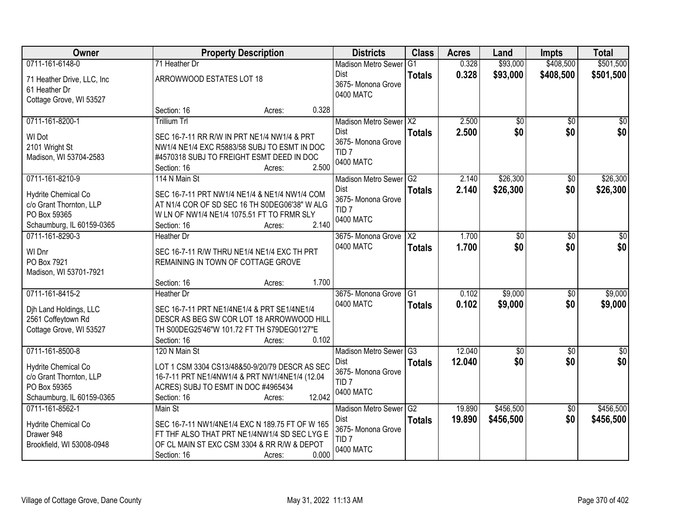| Owner                      |                                     | <b>Property Description</b>                     |        | <b>Districts</b>                       | <b>Class</b>   | <b>Acres</b> | Land            | <b>Impts</b>    | <b>Total</b> |
|----------------------------|-------------------------------------|-------------------------------------------------|--------|----------------------------------------|----------------|--------------|-----------------|-----------------|--------------|
| 0711-161-6148-0            | 71 Heather Dr                       |                                                 |        | <b>Madison Metro Sewer</b>             | G <sub>1</sub> | 0.328        | \$93,000        | \$408,500       | \$501,500    |
| 71 Heather Drive, LLC, Inc | ARROWWOOD ESTATES LOT 18            |                                                 |        | Dist                                   | <b>Totals</b>  | 0.328        | \$93,000        | \$408,500       | \$501,500    |
| 61 Heather Dr              |                                     |                                                 |        | 3675- Monona Grove<br>0400 MATC        |                |              |                 |                 |              |
| Cottage Grove, WI 53527    |                                     |                                                 |        |                                        |                |              |                 |                 |              |
|                            | Section: 16                         | Acres:                                          | 0.328  |                                        |                |              |                 |                 |              |
| 0711-161-8200-1            | <b>Trillium Trl</b>                 |                                                 |        | Madison Metro Sewer X2                 |                | 2.500        | $\overline{50}$ | $\overline{50}$ | \$0          |
| WI Dot                     |                                     | SEC 16-7-11 RR R/W IN PRT NE1/4 NW1/4 & PRT     |        | <b>Dist</b>                            | <b>Totals</b>  | 2.500        | \$0             | \$0             | \$0          |
| 2101 Wright St             |                                     | NW1/4 NE1/4 EXC R5883/58 SUBJ TO ESMT IN DOC    |        | 3675- Monona Grove<br>TID <sub>7</sub> |                |              |                 |                 |              |
| Madison, WI 53704-2583     |                                     | #4570318 SUBJ TO FREIGHT ESMT DEED IN DOC       |        | 0400 MATC                              |                |              |                 |                 |              |
|                            | Section: 16                         | Acres:                                          | 2.500  |                                        |                |              |                 |                 |              |
| 0711-161-8210-9            | 114 N Main St                       |                                                 |        | Madison Metro Sewer G2                 |                | 2.140        | \$26,300        | \$0             | \$26,300     |
| Hydrite Chemical Co        |                                     | SEC 16-7-11 PRT NW1/4 NE1/4 & NE1/4 NW1/4 COM   |        | <b>Dist</b>                            | <b>Totals</b>  | 2.140        | \$26,300        | \$0             | \$26,300     |
| c/o Grant Thornton, LLP    |                                     | AT N1/4 COR OF SD SEC 16 TH S0DEG06'38" W ALG   |        | 3675- Monona Grove<br>TID <sub>7</sub> |                |              |                 |                 |              |
| PO Box 59365               |                                     | W LN OF NW1/4 NE1/4 1075.51 FT TO FRMR SLY      |        | 0400 MATC                              |                |              |                 |                 |              |
| Schaumburg, IL 60159-0365  | Section: 16                         | Acres:                                          | 2.140  |                                        |                |              |                 |                 |              |
| 0711-161-8290-3            | <b>Heather Dr</b>                   |                                                 |        | 3675- Monona Grove                     | X2             | 1.700        | $\overline{30}$ | \$0             | \$0          |
| WI Dnr                     |                                     | SEC 16-7-11 R/W THRU NE1/4 NE1/4 EXC TH PRT     |        | 0400 MATC                              | <b>Totals</b>  | 1.700        | \$0             | \$0             | \$0          |
| PO Box 7921                | REMAINING IN TOWN OF COTTAGE GROVE  |                                                 |        |                                        |                |              |                 |                 |              |
| Madison, WI 53701-7921     |                                     |                                                 |        |                                        |                |              |                 |                 |              |
|                            | Section: 16                         | Acres:                                          | 1.700  |                                        |                |              |                 |                 |              |
| 0711-161-8415-2            | Heather Dr                          |                                                 |        | 3675- Monona Grove                     | G1             | 0.102        | \$9,000         | $\overline{50}$ | \$9,000      |
| Dih Land Holdings, LLC     |                                     | SEC 16-7-11 PRT NE1/4NE1/4 & PRT SE1/4NE1/4     |        | 0400 MATC                              | <b>Totals</b>  | 0.102        | \$9,000         | \$0             | \$9,000      |
| 2561 Coffeytown Rd         |                                     | DESCR AS BEG SW COR LOT 18 ARROWWOOD HILL       |        |                                        |                |              |                 |                 |              |
| Cottage Grove, WI 53527    |                                     | TH S00DEG25'46"W 101.72 FT TH S79DEG01'27"E     |        |                                        |                |              |                 |                 |              |
|                            | Section: 16                         | Acres:                                          | 0.102  |                                        |                |              |                 |                 |              |
| 0711-161-8500-8            | 120 N Main St                       |                                                 |        | Madison Metro Sewer G3                 |                | 12.040       | $\sqrt{$0}$     | $\sqrt{6}$      | $\sqrt{50}$  |
| Hydrite Chemical Co        |                                     | LOT 1 CSM 3304 CS13/48&50-9/20/79 DESCR AS SEC  |        | <b>Dist</b><br>3675- Monona Grove      | <b>Totals</b>  | 12.040       | \$0             | \$0             | \$0          |
| c/o Grant Thornton, LLP    |                                     | 16-7-11 PRT NE1/4NW1/4 & PRT NW1/4NE1/4 (12.04  |        | TID <sub>7</sub>                       |                |              |                 |                 |              |
| PO Box 59365               | ACRES) SUBJ TO ESMT IN DOC #4965434 |                                                 |        | 0400 MATC                              |                |              |                 |                 |              |
| Schaumburg, IL 60159-0365  | Section: 16                         | Acres:                                          | 12.042 |                                        |                |              |                 |                 |              |
| 0711-161-8562-1            | Main St                             |                                                 |        | Madison Metro Sewer G2                 |                | 19.890       | \$456,500       | $\overline{50}$ | \$456,500    |
| Hydrite Chemical Co        |                                     | SEC 16-7-11 NW1/4NE1/4 EXC N 189.75 FT OF W 165 |        | Dist<br>3675- Monona Grove             | <b>Totals</b>  | 19.890       | \$456,500       | \$0             | \$456,500    |
| Drawer 948                 |                                     | FT THF ALSO THAT PRT NE1/4NW1/4 SD SEC LYG E    |        | TID <sub>7</sub>                       |                |              |                 |                 |              |
| Brookfield, WI 53008-0948  |                                     | OF CL MAIN ST EXC CSM 3304 & RR R/W & DEPOT     |        | 0400 MATC                              |                |              |                 |                 |              |
|                            | Section: 16                         | Acres:                                          | 0.000  |                                        |                |              |                 |                 |              |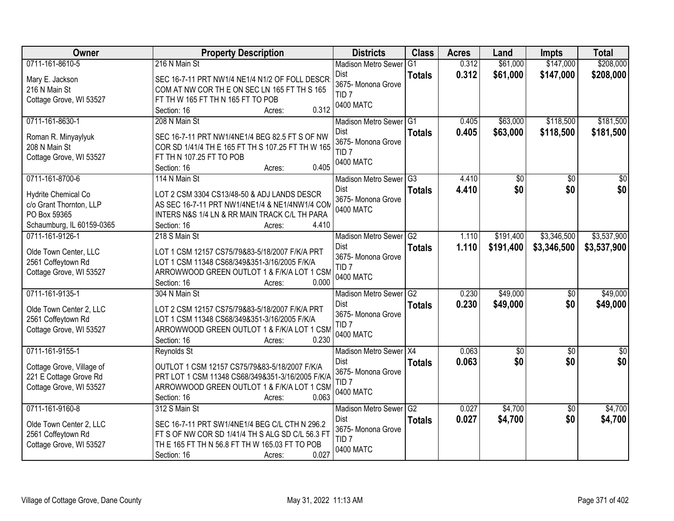| Owner                                       | <b>Property Description</b>                                                                    | <b>Districts</b>                    | <b>Class</b>   | <b>Acres</b> | Land        | <b>Impts</b>    | <b>Total</b>    |
|---------------------------------------------|------------------------------------------------------------------------------------------------|-------------------------------------|----------------|--------------|-------------|-----------------|-----------------|
| 0711-161-8610-5                             | 216 N Main St                                                                                  | <b>Madison Metro Sewer</b>          | G <sub>1</sub> | 0.312        | \$61,000    | \$147,000       | \$208,000       |
| Mary E. Jackson                             | SEC 16-7-11 PRT NW1/4 NE1/4 N1/2 OF FOLL DESCR                                                 | Dist                                | <b>Totals</b>  | 0.312        | \$61,000    | \$147,000       | \$208,000       |
| 216 N Main St                               | COM AT NW COR THE ON SEC LN 165 FT TH S 165                                                    | 3675- Monona Grove                  |                |              |             |                 |                 |
| Cottage Grove, WI 53527                     | FT TH W 165 FT TH N 165 FT TO POB                                                              | TID <sub>7</sub>                    |                |              |             |                 |                 |
|                                             | 0.312<br>Section: 16<br>Acres:                                                                 | 0400 MATC                           |                |              |             |                 |                 |
| 0711-161-8630-1                             | 208 N Main St                                                                                  | Madison Metro Sewer <sup>1</sup> G1 |                | 0.405        | \$63,000    | \$118,500       | \$181,500       |
| Roman R. Minyaylyuk                         | SEC 16-7-11 PRT NW1/4NE1/4 BEG 82.5 FT S OF NW                                                 | Dist                                | <b>Totals</b>  | 0.405        | \$63,000    | \$118,500       | \$181,500       |
| 208 N Main St                               | COR SD 1/41/4 TH E 165 FT TH S 107.25 FT TH W 165                                              | 3675- Monona Grove                  |                |              |             |                 |                 |
| Cottage Grove, WI 53527                     | FT TH N 107.25 FT TO POB                                                                       | TID <sub>7</sub>                    |                |              |             |                 |                 |
|                                             | 0.405<br>Section: 16<br>Acres:                                                                 | 0400 MATC                           |                |              |             |                 |                 |
| 0711-161-8700-6                             | 114 N Main St                                                                                  | Madison Metro Sewer G3              |                | 4.410        | \$0         | $\overline{50}$ | $\overline{50}$ |
| Hydrite Chemical Co                         | LOT 2 CSM 3304 CS13/48-50 & ADJ LANDS DESCR                                                    | <b>Dist</b>                         | <b>Totals</b>  | 4.410        | \$0         | \$0             | \$0             |
| c/o Grant Thornton, LLP                     | AS SEC 16-7-11 PRT NW1/4NE1/4 & NE1/4NW1/4 COM                                                 | 3675- Monona Grove                  |                |              |             |                 |                 |
| PO Box 59365                                | INTERS N&S 1/4 LN & RR MAIN TRACK C/L TH PARA                                                  | 0400 MATC                           |                |              |             |                 |                 |
| Schaumburg, IL 60159-0365                   | Section: 16<br>4.410<br>Acres:                                                                 |                                     |                |              |             |                 |                 |
| 0711-161-9126-1                             | 218 S Main St                                                                                  | Madison Metro Sewer G2              |                | 1.110        | \$191,400   | \$3,346,500     | \$3,537,900     |
|                                             |                                                                                                | <b>Dist</b>                         | <b>Totals</b>  | 1.110        | \$191,400   | \$3,346,500     | \$3,537,900     |
| Olde Town Center, LLC<br>2561 Coffeytown Rd | LOT 1 CSM 12157 CS75/79&83-5/18/2007 F/K/A PRT<br>LOT 1 CSM 11348 CS68/349&351-3/16/2005 F/K/A | 3675- Monona Grove                  |                |              |             |                 |                 |
| Cottage Grove, WI 53527                     | ARROWWOOD GREEN OUTLOT 1 & F/K/A LOT 1 CSM                                                     | TID <sub>7</sub>                    |                |              |             |                 |                 |
|                                             | 0.000<br>Section: 16<br>Acres:                                                                 | 0400 MATC                           |                |              |             |                 |                 |
| 0711-161-9135-1                             | 304 N Main St                                                                                  | <b>Madison Metro Sewer</b>          | G2             | 0.230        | \$49,000    | $\overline{50}$ | \$49,000        |
|                                             |                                                                                                | Dist                                | <b>Totals</b>  | 0.230        | \$49,000    | \$0             | \$49,000        |
| Olde Town Center 2, LLC                     | LOT 2 CSM 12157 CS75/79&83-5/18/2007 F/K/A PRT                                                 | 3675- Monona Grove                  |                |              |             |                 |                 |
| 2561 Coffeytown Rd                          | LOT 1 CSM 11348 CS68/349&351-3/16/2005 F/K/A                                                   | TID <sub>7</sub>                    |                |              |             |                 |                 |
| Cottage Grove, WI 53527                     | ARROWWOOD GREEN OUTLOT 1 & F/K/A LOT 1 CSM<br>0.230                                            | 0400 MATC                           |                |              |             |                 |                 |
| 0711-161-9155-1                             | Section: 16<br>Acres:<br>Reynolds St                                                           | Madison Metro Sewer X4              |                | 0.063        | $\sqrt{$0}$ | $\sqrt{6}$      | $\frac{1}{6}$   |
|                                             |                                                                                                | <b>Dist</b>                         | <b>Totals</b>  | 0.063        | \$0         | \$0             | \$0             |
| Cottage Grove, Village of                   | OUTLOT 1 CSM 12157 CS75/79&83-5/18/2007 F/K/A                                                  | 3675- Monona Grove                  |                |              |             |                 |                 |
| 221 E Cottage Grove Rd                      | PRT LOT 1 CSM 11348 CS68/349&351-3/16/2005 F/K/A                                               | TID <sub>7</sub>                    |                |              |             |                 |                 |
| Cottage Grove, WI 53527                     | ARROWWOOD GREEN OUTLOT 1 & F/K/A LOT 1 CSM                                                     | 0400 MATC                           |                |              |             |                 |                 |
|                                             | 0.063<br>Section: 16<br>Acres:                                                                 |                                     |                |              |             |                 |                 |
| 0711-161-9160-8                             | 312 S Main St                                                                                  | Madison Metro Sewer G2              |                | 0.027        | \$4,700     | $\overline{50}$ | \$4,700         |
| Olde Town Center 2, LLC                     | SEC 16-7-11 PRT SW1/4NE1/4 BEG C/L CTH N 296.2                                                 | Dist<br>3675- Monona Grove          | <b>Totals</b>  | 0.027        | \$4,700     | \$0             | \$4,700         |
| 2561 Coffeytown Rd                          | FT S OF NW COR SD 1/41/4 TH S ALG SD C/L 56.3 FT                                               | TID <sub>7</sub>                    |                |              |             |                 |                 |
| Cottage Grove, WI 53527                     | TH E 165 FT TH N 56.8 FT TH W 165.03 FT TO POB                                                 | 0400 MATC                           |                |              |             |                 |                 |
|                                             | 0.027<br>Section: 16<br>Acres:                                                                 |                                     |                |              |             |                 |                 |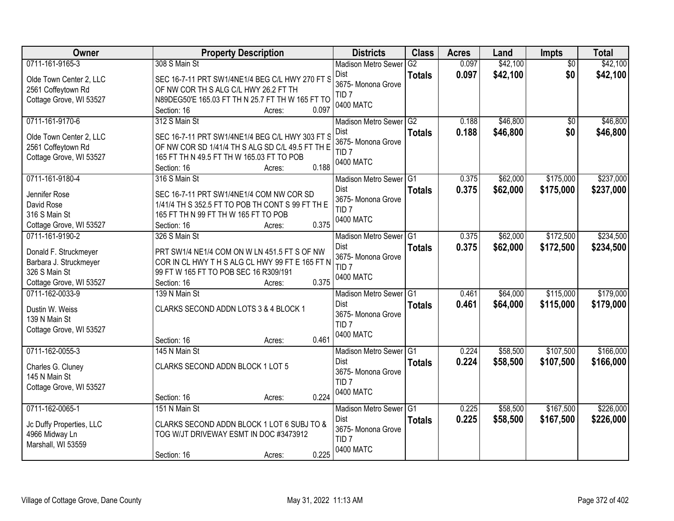| Owner                                           | <b>Property Description</b>                                                                   | <b>Districts</b>                    | <b>Class</b>  | <b>Acres</b> | Land     | Impts           | <b>Total</b> |
|-------------------------------------------------|-----------------------------------------------------------------------------------------------|-------------------------------------|---------------|--------------|----------|-----------------|--------------|
| 0711-161-9165-3                                 | 308 S Main St                                                                                 | <b>Madison Metro Sewer</b>          | G2            | 0.097        | \$42,100 | $\overline{50}$ | \$42,100     |
| Olde Town Center 2, LLC                         | SEC 16-7-11 PRT SW1/4NE1/4 BEG C/L HWY 270 FT S                                               | Dist                                | <b>Totals</b> | 0.097        | \$42,100 | \$0             | \$42,100     |
| 2561 Coffeytown Rd                              | OF NW COR TH S ALG C/L HWY 26.2 FT TH                                                         | 3675- Monona Grove                  |               |              |          |                 |              |
| Cottage Grove, WI 53527                         | N89DEG50'E 165.03 FT TH N 25.7 FT TH W 165 FT TO                                              | TID <sub>7</sub>                    |               |              |          |                 |              |
|                                                 | 0.097<br>Section: 16<br>Acres:                                                                | 0400 MATC                           |               |              |          |                 |              |
| 0711-161-9170-6                                 | 312 S Main St                                                                                 | Madison Metro Sewer G2              |               | 0.188        | \$46,800 | \$0             | \$46,800     |
| Olde Town Center 2, LLC                         | SEC 16-7-11 PRT SW1/4NE1/4 BEG C/L HWY 303 FT S                                               | Dist                                | <b>Totals</b> | 0.188        | \$46,800 | \$0             | \$46,800     |
| 2561 Coffeytown Rd                              | OF NW COR SD 1/41/4 TH S ALG SD C/L 49.5 FT TH E                                              | 3675- Monona Grove                  |               |              |          |                 |              |
| Cottage Grove, WI 53527                         | 165 FT TH N 49.5 FT TH W 165.03 FT TO POB                                                     | TID <sub>7</sub>                    |               |              |          |                 |              |
|                                                 | 0.188<br>Section: 16<br>Acres:                                                                | 0400 MATC                           |               |              |          |                 |              |
| 0711-161-9180-4                                 | 316 S Main St                                                                                 | Madison Metro Sewer G1              |               | 0.375        | \$62,000 | \$175,000       | \$237,000    |
| Jennifer Rose                                   | SEC 16-7-11 PRT SW1/4NE1/4 COM NW COR SD                                                      | <b>Dist</b>                         | <b>Totals</b> | 0.375        | \$62,000 | \$175,000       | \$237,000    |
| David Rose                                      | 1/41/4 TH S 352.5 FT TO POB TH CONT S 99 FT TH E                                              | 3675- Monona Grove                  |               |              |          |                 |              |
| 316 S Main St                                   | 165 FT TH N 99 FT TH W 165 FT TO POB                                                          | TID <sub>7</sub>                    |               |              |          |                 |              |
| Cottage Grove, WI 53527                         | 0.375<br>Section: 16<br>Acres:                                                                | 0400 MATC                           |               |              |          |                 |              |
| 0711-161-9190-2                                 | 326 S Main St                                                                                 | Madison Metro Sewer G1              |               | 0.375        | \$62,000 | \$172,500       | \$234,500    |
|                                                 |                                                                                               | <b>Dist</b>                         | <b>Totals</b> | 0.375        | \$62,000 | \$172,500       | \$234,500    |
| Donald F. Struckmeyer<br>Barbara J. Struckmeyer | PRT SW1/4 NE1/4 COM ON W LN 451.5 FT S OF NW<br>COR IN CL HWY THS ALG CL HWY 99 FT E 165 FT N | 3675- Monona Grove                  |               |              |          |                 |              |
| 326 S Main St                                   | 99 FT W 165 FT TO POB SEC 16 R309/191                                                         | TID <sub>7</sub>                    |               |              |          |                 |              |
| Cottage Grove, WI 53527                         | 0.375<br>Section: 16<br>Acres:                                                                | 0400 MATC                           |               |              |          |                 |              |
| 0711-162-0033-9                                 | 139 N Main St                                                                                 | Madison Metro Sewer G1              |               | 0.461        | \$64,000 | \$115,000       | \$179,000    |
|                                                 |                                                                                               | Dist                                | <b>Totals</b> | 0.461        | \$64,000 | \$115,000       | \$179,000    |
| Dustin W. Weiss                                 | CLARKS SECOND ADDN LOTS 3 & 4 BLOCK 1                                                         | 3675-Monona Grove                   |               |              |          |                 |              |
| 139 N Main St<br>Cottage Grove, WI 53527        |                                                                                               | TID <sub>7</sub>                    |               |              |          |                 |              |
|                                                 | 0.461<br>Section: 16<br>Acres:                                                                | 0400 MATC                           |               |              |          |                 |              |
| 0711-162-0055-3                                 | 145 N Main St                                                                                 | Madison Metro Sewer <sup>1</sup> G1 |               | 0.224        | \$58,500 | \$107,500       | \$166,000    |
|                                                 |                                                                                               | <b>Dist</b>                         | <b>Totals</b> | 0.224        | \$58,500 | \$107,500       | \$166,000    |
| Charles G. Cluney                               | CLARKS SECOND ADDN BLOCK 1 LOT 5                                                              | 3675- Monona Grove                  |               |              |          |                 |              |
| 145 N Main St                                   |                                                                                               | TID <sub>7</sub>                    |               |              |          |                 |              |
| Cottage Grove, WI 53527                         |                                                                                               | 0400 MATC                           |               |              |          |                 |              |
| 0711-162-0065-1                                 | 0.224<br>Section: 16<br>Acres:<br>151 N Main St                                               |                                     |               | 0.225        | \$58,500 | \$167,500       | \$226,000    |
|                                                 |                                                                                               | Madison Metro Sewer G1<br>Dist      |               | 0.225        |          | \$167,500       |              |
| Jc Duffy Properties, LLC                        | CLARKS SECOND ADDN BLOCK 1 LOT 6 SUBJ TO &                                                    | 3675- Monona Grove                  | <b>Totals</b> |              | \$58,500 |                 | \$226,000    |
| 4966 Midway Ln                                  | TOG W/JT DRIVEWAY ESMT IN DOC #3473912                                                        | TID <sub>7</sub>                    |               |              |          |                 |              |
| Marshall, WI 53559                              |                                                                                               | 0400 MATC                           |               |              |          |                 |              |
|                                                 | 0.225<br>Section: 16<br>Acres:                                                                |                                     |               |              |          |                 |              |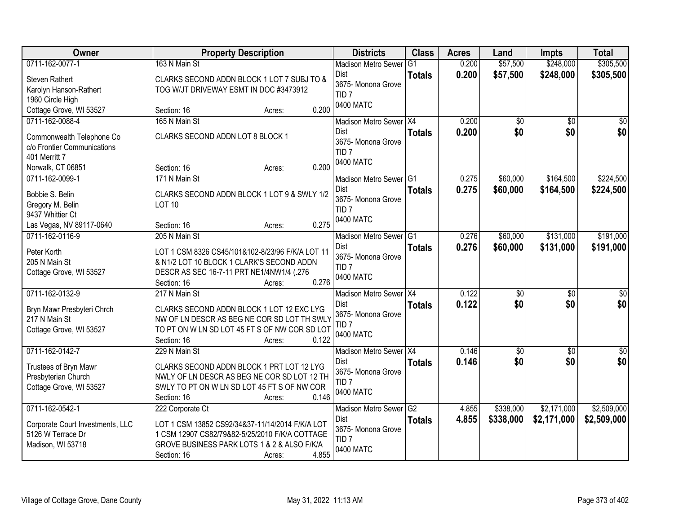| Owner                            | <b>Property Description</b>                      | <b>Districts</b>                       | <b>Class</b>   | <b>Acres</b> | Land            | <b>Impts</b>    | <b>Total</b>    |
|----------------------------------|--------------------------------------------------|----------------------------------------|----------------|--------------|-----------------|-----------------|-----------------|
| 0711-162-0077-1                  | 163 N Main St                                    | <b>Madison Metro Sewer</b>             | G <sub>1</sub> | 0.200        | \$57,500        | \$248,000       | \$305,500       |
| <b>Steven Rathert</b>            | CLARKS SECOND ADDN BLOCK 1 LOT 7 SUBJ TO &       | Dist                                   | <b>Totals</b>  | 0.200        | \$57,500        | \$248,000       | \$305,500       |
| Karolyn Hanson-Rathert           | TOG W/JT DRIVEWAY ESMT IN DOC #3473912           | 3675- Monona Grove<br>TID <sub>7</sub> |                |              |                 |                 |                 |
| 1960 Circle High                 |                                                  | 0400 MATC                              |                |              |                 |                 |                 |
| Cottage Grove, WI 53527          | 0.200<br>Section: 16<br>Acres:                   |                                        |                |              |                 |                 |                 |
| 0711-162-0088-4                  | 165 N Main St                                    | Madison Metro Sewer X4                 |                | 0.200        | \$0             | $\overline{50}$ | \$0             |
| Commonwealth Telephone Co        | CLARKS SECOND ADDN LOT 8 BLOCK 1                 | Dist                                   | <b>Totals</b>  | 0.200        | \$0             | \$0             | \$0             |
| c/o Frontier Communications      |                                                  | 3675- Monona Grove<br>TID <sub>7</sub> |                |              |                 |                 |                 |
| 401 Merritt 7                    |                                                  | 0400 MATC                              |                |              |                 |                 |                 |
| Norwalk, CT 06851                | 0.200<br>Section: 16<br>Acres:                   |                                        |                |              |                 |                 |                 |
| 0711-162-0099-1                  | 171 N Main St                                    | Madison Metro Sewer G1                 |                | 0.275        | \$60,000        | \$164,500       | \$224,500       |
| Bobbie S. Belin                  | CLARKS SECOND ADDN BLOCK 1 LOT 9 & SWLY 1/2      | Dist                                   | <b>Totals</b>  | 0.275        | \$60,000        | \$164,500       | \$224,500       |
| Gregory M. Belin                 | <b>LOT 10</b>                                    | 3675- Monona Grove                     |                |              |                 |                 |                 |
| 9437 Whittier Ct                 |                                                  | TID <sub>7</sub><br>0400 MATC          |                |              |                 |                 |                 |
| Las Vegas, NV 89117-0640         | 0.275<br>Section: 16<br>Acres:                   |                                        |                |              |                 |                 |                 |
| 0711-162-0116-9                  | 205 N Main St                                    | Madison Metro Sewer G1                 |                | 0.276        | \$60,000        | \$131,000       | \$191,000       |
| Peter Korth                      | LOT 1 CSM 8326 CS45/101&102-8/23/96 F/K/A LOT 11 | Dist                                   | <b>Totals</b>  | 0.276        | \$60,000        | \$131,000       | \$191,000       |
| 205 N Main St                    | & N1/2 LOT 10 BLOCK 1 CLARK'S SECOND ADDN        | 3675- Monona Grove                     |                |              |                 |                 |                 |
| Cottage Grove, WI 53527          | DESCR AS SEC 16-7-11 PRT NE1/4NW1/4 (.276        | TID <sub>7</sub>                       |                |              |                 |                 |                 |
|                                  | 0.276<br>Section: 16<br>Acres:                   | 0400 MATC                              |                |              |                 |                 |                 |
| 0711-162-0132-9                  | 217 N Main St                                    | Madison Metro Sewer X4                 |                | 0.122        | $\overline{50}$ | $\overline{50}$ | $\overline{50}$ |
| Bryn Mawr Presbyteri Chrch       | CLARKS SECOND ADDN BLOCK 1 LOT 12 EXC LYG        | <b>Dist</b>                            | <b>Totals</b>  | 0.122        | \$0             | \$0             | \$0             |
| 217 N Main St                    | NW OF LN DESCR AS BEG NE COR SD LOT TH SWLY      | 3675- Monona Grove                     |                |              |                 |                 |                 |
| Cottage Grove, WI 53527          | TO PT ON W LN SD LOT 45 FT S OF NW COR SD LOT    | TID <sub>7</sub>                       |                |              |                 |                 |                 |
|                                  | 0.122<br>Section: 16<br>Acres:                   | 0400 MATC                              |                |              |                 |                 |                 |
| 0711-162-0142-7                  | 229 N Main St                                    | Madison Metro Sewer X4                 |                | 0.146        | $\sqrt{6}$      | $\sqrt{6}$      | $\frac{6}{3}$   |
| Trustees of Bryn Mawr            | CLARKS SECOND ADDN BLOCK 1 PRT LOT 12 LYG        | Dist                                   | <b>Totals</b>  | 0.146        | \$0             | \$0             | \$0             |
| Presbyterian Church              | NWLY OF LN DESCR AS BEG NE COR SD LOT 12 TH      | 3675- Monona Grove                     |                |              |                 |                 |                 |
| Cottage Grove, WI 53527          | SWLY TO PT ON W LN SD LOT 45 FT S OF NW COR      | TID <sub>7</sub><br>0400 MATC          |                |              |                 |                 |                 |
|                                  | 0.146<br>Section: 16<br>Acres:                   |                                        |                |              |                 |                 |                 |
| 0711-162-0542-1                  | 222 Corporate Ct                                 | Madison Metro Sewer G2                 |                | 4.855        | \$338,000       | \$2,171,000     | \$2,509,000     |
| Corporate Court Investments, LLC | LOT 1 CSM 13852 CS92/34&37-11/14/2014 F/K/A LOT  | Dist                                   | <b>Totals</b>  | 4.855        | \$338,000       | \$2,171,000     | \$2,509,000     |
| 5126 W Terrace Dr                | 1 CSM 12907 CS82/79&82-5/25/2010 F/K/A COTTAGE   | 3675- Monona Grove                     |                |              |                 |                 |                 |
| Madison, WI 53718                | GROVE BUSINESS PARK LOTS 1 & 2 & ALSO F/K/A      | TID <sub>7</sub><br>0400 MATC          |                |              |                 |                 |                 |
|                                  | 4.855<br>Section: 16<br>Acres:                   |                                        |                |              |                 |                 |                 |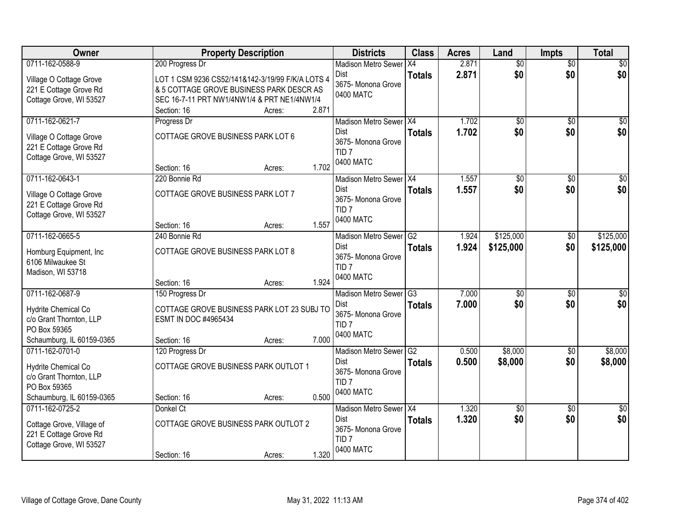| Owner                                                                                                          | <b>Property Description</b>                                                                                                                 |        | <b>Districts</b>                                                                                        | <b>Class</b>                     | <b>Acres</b>   | Land                   | <b>Impts</b>           | <b>Total</b>           |
|----------------------------------------------------------------------------------------------------------------|---------------------------------------------------------------------------------------------------------------------------------------------|--------|---------------------------------------------------------------------------------------------------------|----------------------------------|----------------|------------------------|------------------------|------------------------|
| 0711-162-0588-9                                                                                                | 200 Progress Dr                                                                                                                             |        | <b>Madison Metro Sewer</b>                                                                              | IX4                              | 2.871          | $\overline{50}$        | $\overline{50}$        | $\sqrt{30}$            |
| Village O Cottage Grove<br>221 E Cottage Grove Rd<br>Cottage Grove, WI 53527                                   | LOT 1 CSM 9236 CS52/141&142-3/19/99 F/K/A LOTS 4<br>& 5 COTTAGE GROVE BUSINESS PARK DESCR AS<br>SEC 16-7-11 PRT NW1/4NW1/4 & PRT NE1/4NW1/4 |        | Dist<br>3675- Monona Grove<br>0400 MATC                                                                 | <b>Totals</b>                    | 2.871          | \$0                    | \$0                    | \$0                    |
|                                                                                                                | Section: 16                                                                                                                                 | Acres: | 2.871                                                                                                   |                                  |                |                        |                        |                        |
| 0711-162-0621-7<br>Village O Cottage Grove<br>221 E Cottage Grove Rd<br>Cottage Grove, WI 53527                | Progress Dr<br>COTTAGE GROVE BUSINESS PARK LOT 6<br>Section: 16                                                                             | Acres: | Madison Metro Sewer   X4<br><b>Dist</b><br>3675- Monona Grove<br>TID <sub>7</sub><br>0400 MATC<br>1.702 | <b>Totals</b>                    | 1.702<br>1.702 | \$0<br>\$0             | $\overline{50}$<br>\$0 | \$0<br>\$0             |
| 0711-162-0643-1                                                                                                | 220 Bonnie Rd                                                                                                                               |        | Madison Metro Sewer X4                                                                                  |                                  | 1.557          | $\overline{50}$        | $\overline{50}$        | $\overline{30}$        |
| Village O Cottage Grove<br>221 E Cottage Grove Rd<br>Cottage Grove, WI 53527                                   | COTTAGE GROVE BUSINESS PARK LOT 7                                                                                                           |        | Dist<br>3675- Monona Grove<br>TID <sub>7</sub><br>0400 MATC                                             | <b>Totals</b>                    | 1.557          | \$0                    | \$0                    | \$0                    |
|                                                                                                                | Section: 16                                                                                                                                 | Acres: | 1.557                                                                                                   |                                  |                |                        |                        |                        |
| 0711-162-0665-5<br>Homburg Equipment, Inc.<br>6106 Milwaukee St<br>Madison, WI 53718                           | 240 Bonnie Rd<br>COTTAGE GROVE BUSINESS PARK LOT 8                                                                                          |        | <b>Madison Metro Sewer</b><br>Dist<br>3675- Monona Grove<br>TID <sub>7</sub><br>0400 MATC               | G2<br><b>Totals</b>              | 1.924<br>1.924 | \$125,000<br>\$125,000 | $\sqrt[6]{3}$<br>\$0   | \$125,000<br>\$125,000 |
|                                                                                                                | Section: 16                                                                                                                                 | Acres: | 1.924                                                                                                   |                                  |                |                        |                        |                        |
| 0711-162-0687-9<br>Hydrite Chemical Co<br>c/o Grant Thornton, LLP<br>PO Box 59365<br>Schaumburg, IL 60159-0365 | 150 Progress Dr<br>COTTAGE GROVE BUSINESS PARK LOT 23 SUBJ TO<br>ESMT IN DOC #4965434<br>Section: 16                                        | Acres: | <b>Madison Metro Sewer</b><br>Dist<br>3675- Monona Grove<br>TID <sub>7</sub><br>0400 MATC<br>7.000      | $\overline{G3}$<br><b>Totals</b> | 7.000<br>7.000 | $\overline{30}$<br>\$0 | $\overline{50}$<br>\$0 | $\overline{50}$<br>\$0 |
| 0711-162-0701-0                                                                                                | 120 Progress Dr                                                                                                                             |        | Madison Metro Sewer G2                                                                                  |                                  | 0.500          | \$8,000                | \$0                    | \$8,000                |
| Hydrite Chemical Co<br>c/o Grant Thornton, LLP<br>PO Box 59365<br>Schaumburg, IL 60159-0365                    | COTTAGE GROVE BUSINESS PARK OUTLOT 1<br>Section: 16                                                                                         | Acres: | <b>Dist</b><br>3675- Monona Grove<br>TID <sub>7</sub><br>0400 MATC<br>0.500                             | <b>Totals</b>                    | 0.500          | \$8,000                | \$0                    | \$8,000                |
| 0711-162-0725-2                                                                                                | Donkel Ct                                                                                                                                   |        | Madison Metro Sewer X4                                                                                  |                                  | 1.320          | $\overline{50}$        | $\overline{30}$        | $\overline{50}$        |
| Cottage Grove, Village of<br>221 E Cottage Grove Rd<br>Cottage Grove, WI 53527                                 | COTTAGE GROVE BUSINESS PARK OUTLOT 2                                                                                                        |        | Dist<br>3675- Monona Grove<br>TID <sub>7</sub><br>0400 MATC                                             | <b>Totals</b>                    | 1.320          | \$0                    | \$0                    | \$0                    |
|                                                                                                                | Section: 16                                                                                                                                 | Acres: | 1.320                                                                                                   |                                  |                |                        |                        |                        |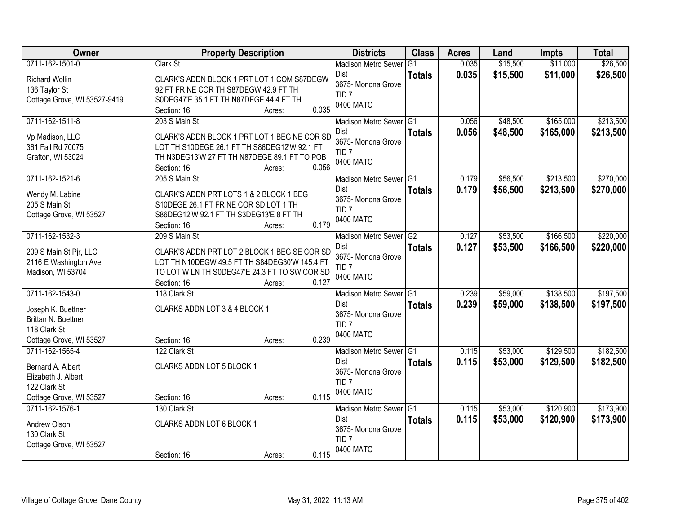| Owner                                   | <b>Property Description</b>                   | <b>Districts</b>              | <b>Class</b>   | <b>Acres</b> | Land     | <b>Impts</b> | <b>Total</b> |
|-----------------------------------------|-----------------------------------------------|-------------------------------|----------------|--------------|----------|--------------|--------------|
| 0711-162-1501-0                         | Clark St                                      | <b>Madison Metro Sewer</b>    | G <sub>1</sub> | 0.035        | \$15,500 | \$11,000     | \$26,500     |
| <b>Richard Wollin</b>                   | CLARK'S ADDN BLOCK 1 PRT LOT 1 COM S87DEGW    | <b>Dist</b>                   | <b>Totals</b>  | 0.035        | \$15,500 | \$11,000     | \$26,500     |
| 136 Taylor St                           | 92 FT FR NE COR TH S87DEGW 42.9 FT TH         | 3675- Monona Grove            |                |              |          |              |              |
| Cottage Grove, WI 53527-9419            | S0DEG47'E 35.1 FT TH N87DEGE 44.4 FT TH       | TID <sub>7</sub>              |                |              |          |              |              |
|                                         | 0.035<br>Section: 16<br>Acres:                | 0400 MATC                     |                |              |          |              |              |
| 0711-162-1511-8                         | 203 S Main St                                 | Madison Metro Sewer G1        |                | 0.056        | \$48,500 | \$165,000    | \$213,500    |
| Vp Madison, LLC                         | CLARK'S ADDN BLOCK 1 PRT LOT 1 BEG NE COR SD  | Dist                          | <b>Totals</b>  | 0.056        | \$48,500 | \$165,000    | \$213,500    |
| 361 Fall Rd 70075                       | LOT TH S10DEGE 26.1 FT TH S86DEG12'W 92.1 FT  | 3675- Monona Grove            |                |              |          |              |              |
| Grafton, WI 53024                       | TH N3DEG13'W 27 FT TH N87DEGE 89.1 FT TO POB  | TID <sub>7</sub>              |                |              |          |              |              |
|                                         | 0.056<br>Section: 16<br>Acres:                | 0400 MATC                     |                |              |          |              |              |
| 0711-162-1521-6                         | 205 S Main St                                 | Madison Metro Sewer G1        |                | 0.179        | \$56,500 | \$213,500    | \$270,000    |
| Wendy M. Labine                         | CLARK'S ADDN PRT LOTS 1 & 2 BLOCK 1 BEG       | <b>Dist</b>                   | <b>Totals</b>  | 0.179        | \$56,500 | \$213,500    | \$270,000    |
| 205 S Main St                           | S10DEGE 26.1 FT FR NE COR SD LOT 1 TH         | 3675- Monona Grove            |                |              |          |              |              |
| Cottage Grove, WI 53527                 | S86DEG12'W 92.1 FT TH S3DEG13'E 8 FT TH       | TID <sub>7</sub>              |                |              |          |              |              |
|                                         | 0.179<br>Section: 16<br>Acres:                | 0400 MATC                     |                |              |          |              |              |
| 0711-162-1532-3                         | 209 S Main St                                 | Madison Metro Sewer G2        |                | 0.127        | \$53,500 | \$166,500    | \$220,000    |
| 209 S Main St Pjr, LLC                  | CLARK'S ADDN PRT LOT 2 BLOCK 1 BEG SE COR SD  | Dist                          | <b>Totals</b>  | 0.127        | \$53,500 | \$166,500    | \$220,000    |
| 2116 E Washington Ave                   | LOT TH N10DEGW 49.5 FT TH S84DEG30'W 145.4 FT | 3675- Monona Grove            |                |              |          |              |              |
| Madison, WI 53704                       | TO LOT W LN TH S0DEG47'E 24.3 FT TO SW COR SD | TID <sub>7</sub>              |                |              |          |              |              |
|                                         | 0.127<br>Section: 16<br>Acres:                | 0400 MATC                     |                |              |          |              |              |
| 0711-162-1543-0                         | 118 Clark St                                  | Madison Metro Sewer           | G1             | 0.239        | \$59,000 | \$138,500    | \$197,500    |
|                                         |                                               | Dist                          | <b>Totals</b>  | 0.239        | \$59,000 | \$138,500    | \$197,500    |
| Joseph K. Buettner                      | CLARKS ADDN LOT 3 & 4 BLOCK 1                 | 3675- Monona Grove            |                |              |          |              |              |
| Brittan N. Buettner                     |                                               | TID <sub>7</sub>              |                |              |          |              |              |
| 118 Clark St<br>Cottage Grove, WI 53527 | 0.239                                         | 0400 MATC                     |                |              |          |              |              |
| 0711-162-1565-4                         | Section: 16<br>Acres:<br>122 Clark St         | Madison Metro Sewer G1        |                | 0.115        | \$53,000 | \$129,500    | \$182,500    |
|                                         |                                               | <b>Dist</b>                   |                | 0.115        | \$53,000 | \$129,500    |              |
| Bernard A. Albert                       | CLARKS ADDN LOT 5 BLOCK 1                     | 3675- Monona Grove            | <b>Totals</b>  |              |          |              | \$182,500    |
| Elizabeth J. Albert                     |                                               | TID <sub>7</sub>              |                |              |          |              |              |
| 122 Clark St                            |                                               | 0400 MATC                     |                |              |          |              |              |
| Cottage Grove, WI 53527                 | 0.115<br>Section: 16<br>Acres:                |                               |                |              |          |              |              |
| 0711-162-1576-1                         | 130 Clark St                                  | Madison Metro Sewer G1        |                | 0.115        | \$53,000 | \$120,900    | \$173,900    |
| Andrew Olson                            | CLARKS ADDN LOT 6 BLOCK 1                     | <b>Dist</b>                   | <b>Totals</b>  | 0.115        | \$53,000 | \$120,900    | \$173,900    |
| 130 Clark St                            |                                               | 3675- Monona Grove            |                |              |          |              |              |
| Cottage Grove, WI 53527                 |                                               | TID <sub>7</sub><br>0400 MATC |                |              |          |              |              |
|                                         | 0.115<br>Section: 16<br>Acres:                |                               |                |              |          |              |              |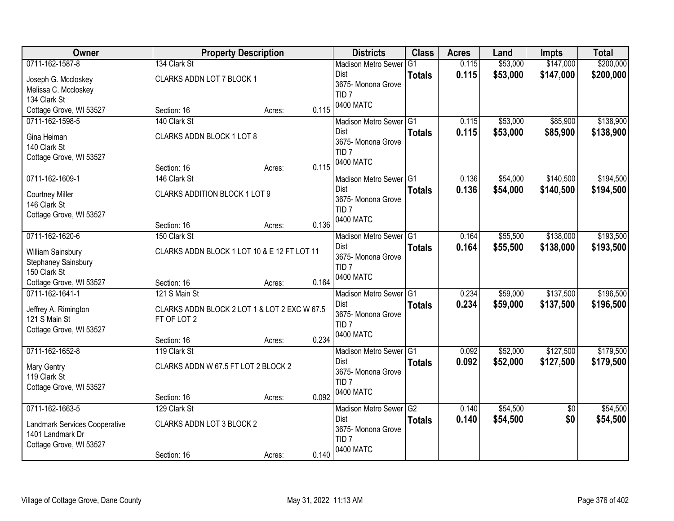| <b>Owner</b>                  | <b>Property Description</b>                  |                 | <b>Districts</b>              | <b>Class</b>  | <b>Acres</b> | Land     | <b>Impts</b>    | <b>Total</b> |
|-------------------------------|----------------------------------------------|-----------------|-------------------------------|---------------|--------------|----------|-----------------|--------------|
| 0711-162-1587-8               | 134 Clark St                                 |                 | <b>Madison Metro Sewer</b>    | G1            | 0.115        | \$53,000 | \$147,000       | \$200,000    |
| Joseph G. Mccloskey           | CLARKS ADDN LOT 7 BLOCK 1                    |                 | <b>Dist</b>                   | <b>Totals</b> | 0.115        | \$53,000 | \$147,000       | \$200,000    |
| Melissa C. Mccloskey          |                                              |                 | 3675- Monona Grove            |               |              |          |                 |              |
| 134 Clark St                  |                                              |                 | TID <sub>7</sub><br>0400 MATC |               |              |          |                 |              |
| Cottage Grove, WI 53527       | Section: 16                                  | 0.115<br>Acres: |                               |               |              |          |                 |              |
| 0711-162-1598-5               | 140 Clark St                                 |                 | Madison Metro Sewer G1        |               | 0.115        | \$53,000 | \$85,900        | \$138,900    |
| Gina Heiman                   | CLARKS ADDN BLOCK 1 LOT 8                    |                 | Dist                          | <b>Totals</b> | 0.115        | \$53,000 | \$85,900        | \$138,900    |
| 140 Clark St                  |                                              |                 | 3675- Monona Grove            |               |              |          |                 |              |
| Cottage Grove, WI 53527       |                                              |                 | TID <sub>7</sub><br>0400 MATC |               |              |          |                 |              |
|                               | Section: 16                                  | 0.115<br>Acres: |                               |               |              |          |                 |              |
| 0711-162-1609-1               | 146 Clark St                                 |                 | Madison Metro Sewer G1        |               | 0.136        | \$54,000 | \$140,500       | \$194,500    |
| <b>Courtney Miller</b>        | <b>CLARKS ADDITION BLOCK 1 LOT 9</b>         |                 | <b>Dist</b>                   | <b>Totals</b> | 0.136        | \$54,000 | \$140,500       | \$194,500    |
| 146 Clark St                  |                                              |                 | 3675- Monona Grove            |               |              |          |                 |              |
| Cottage Grove, WI 53527       |                                              |                 | TID <sub>7</sub><br>0400 MATC |               |              |          |                 |              |
|                               | Section: 16                                  | 0.136<br>Acres: |                               |               |              |          |                 |              |
| 0711-162-1620-6               | 150 Clark St                                 |                 | Madison Metro Sewer G1        |               | 0.164        | \$55,500 | \$138,000       | \$193,500    |
| William Sainsbury             | CLARKS ADDN BLOCK 1 LOT 10 & E 12 FT LOT 11  |                 | <b>Dist</b>                   | <b>Totals</b> | 0.164        | \$55,500 | \$138,000       | \$193,500    |
| Stephaney Sainsbury           |                                              |                 | 3675- Monona Grove            |               |              |          |                 |              |
| 150 Clark St                  |                                              |                 | TID <sub>7</sub>              |               |              |          |                 |              |
| Cottage Grove, WI 53527       | Section: 16                                  | 0.164<br>Acres: | 0400 MATC                     |               |              |          |                 |              |
| 0711-162-1641-1               | 121 S Main St                                |                 | <b>Madison Metro Sewer</b>    | IG1           | 0.234        | \$59,000 | \$137,500       | \$196,500    |
| Jeffrey A. Rimington          | CLARKS ADDN BLOCK 2 LOT 1 & LOT 2 EXC W 67.5 |                 | Dist                          | <b>Totals</b> | 0.234        | \$59,000 | \$137,500       | \$196,500    |
| 121 S Main St                 | FT OF LOT 2                                  |                 | 3675- Monona Grove            |               |              |          |                 |              |
| Cottage Grove, WI 53527       |                                              |                 | TID <sub>7</sub>              |               |              |          |                 |              |
|                               | Section: 16                                  | 0.234<br>Acres: | 0400 MATC                     |               |              |          |                 |              |
| 0711-162-1652-8               | 119 Clark St                                 |                 | Madison Metro Sewer G1        |               | 0.092        | \$52,000 | \$127,500       | \$179,500    |
| Mary Gentry                   | CLARKS ADDN W 67.5 FT LOT 2 BLOCK 2          |                 | <b>Dist</b>                   | <b>Totals</b> | 0.092        | \$52,000 | \$127,500       | \$179,500    |
| 119 Clark St                  |                                              |                 | 3675- Monona Grove            |               |              |          |                 |              |
| Cottage Grove, WI 53527       |                                              |                 | TID <sub>7</sub>              |               |              |          |                 |              |
|                               | Section: 16                                  | 0.092<br>Acres: | 0400 MATC                     |               |              |          |                 |              |
| 0711-162-1663-5               | 129 Clark St                                 |                 | Madison Metro Sewer G2        |               | 0.140        | \$54,500 | $\overline{50}$ | \$54,500     |
| Landmark Services Cooperative | CLARKS ADDN LOT 3 BLOCK 2                    |                 | Dist                          | <b>Totals</b> | 0.140        | \$54,500 | \$0             | \$54,500     |
| 1401 Landmark Dr              |                                              |                 | 3675- Monona Grove            |               |              |          |                 |              |
| Cottage Grove, WI 53527       |                                              |                 | TID <sub>7</sub>              |               |              |          |                 |              |
|                               | Section: 16                                  | 0.140<br>Acres: | 0400 MATC                     |               |              |          |                 |              |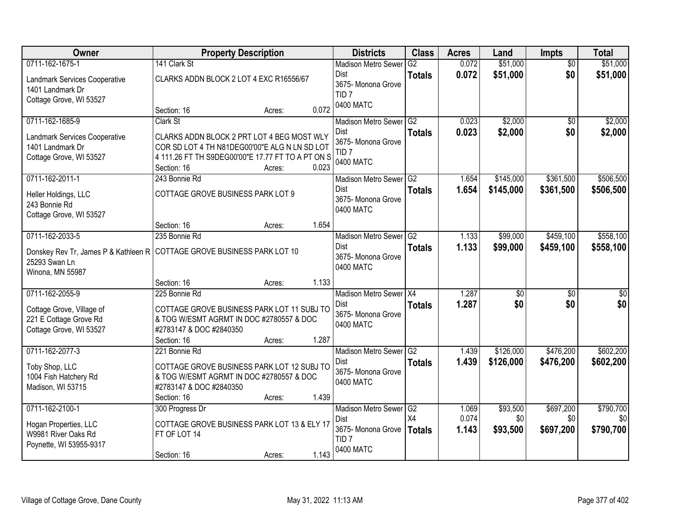| Owner                                                                                             | <b>Property Description</b>                                                                                                                                                           |       | <b>Districts</b>                                                                      | <b>Class</b>        | <b>Acres</b>   | Land                   | Impts                  | <b>Total</b>           |
|---------------------------------------------------------------------------------------------------|---------------------------------------------------------------------------------------------------------------------------------------------------------------------------------------|-------|---------------------------------------------------------------------------------------|---------------------|----------------|------------------------|------------------------|------------------------|
| 0711-162-1675-1<br>Landmark Services Cooperative<br>1401 Landmark Dr<br>Cottage Grove, WI 53527   | 141 Clark St<br>CLARKS ADDN BLOCK 2 LOT 4 EXC R16556/67                                                                                                                               |       | <b>Madison Metro Sewer</b><br>Dist<br>3675- Monona Grove<br>TID <sub>7</sub>          | G2<br><b>Totals</b> | 0.072<br>0.072 | \$51,000<br>\$51,000   | $\overline{50}$<br>\$0 | \$51,000<br>\$51,000   |
|                                                                                                   | Section: 16<br>Acres:                                                                                                                                                                 | 0.072 | 0400 MATC                                                                             |                     |                |                        |                        |                        |
| 0711-162-1685-9<br>Landmark Services Cooperative<br>1401 Landmark Dr<br>Cottage Grove, WI 53527   | Clark St<br>CLARKS ADDN BLOCK 2 PRT LOT 4 BEG MOST WLY<br>COR SD LOT 4 TH N81DEG00'00"E ALG N LN SD LOT<br>4 111.26 FT TH S9DEG00'00"E 17.77 FT TO A PT ON S<br>Section: 16<br>Acres: | 0.023 | Madison Metro Sewer G2<br>Dist<br>3675- Monona Grove<br>TID <sub>7</sub><br>0400 MATC | <b>Totals</b>       | 0.023<br>0.023 | \$2,000<br>\$2,000     | \$0<br>\$0             | \$2,000<br>\$2,000     |
| 0711-162-2011-1<br>Heller Holdings, LLC<br>243 Bonnie Rd<br>Cottage Grove, WI 53527               | 243 Bonnie Rd<br>COTTAGE GROVE BUSINESS PARK LOT 9<br>Section: 16<br>Acres:                                                                                                           | 1.654 | Madison Metro Sewer G2<br>Dist<br>3675- Monona Grove<br>0400 MATC                     | <b>Totals</b>       | 1.654<br>1.654 | \$145,000<br>\$145,000 | \$361,500<br>\$361,500 | \$506,500<br>\$506,500 |
| 0711-162-2033-5                                                                                   | 235 Bonnie Rd                                                                                                                                                                         |       | Madison Metro Sewer G2                                                                |                     | 1.133          | \$99,000               | \$459,100              | \$558,100              |
| 25293 Swan Ln<br>Winona, MN 55987                                                                 | Donskey Rev Tr, James P & Kathleen R   COTTAGE GROVE BUSINESS PARK LOT 10                                                                                                             |       | Dist<br>3675- Monona Grove<br>0400 MATC                                               | <b>Totals</b>       | 1.133          | \$99,000               | \$459,100              | \$558,100              |
|                                                                                                   | Section: 16<br>Acres:                                                                                                                                                                 | 1.133 |                                                                                       |                     |                |                        |                        |                        |
| 0711-162-2055-9<br>Cottage Grove, Village of<br>221 E Cottage Grove Rd<br>Cottage Grove, WI 53527 | 225 Bonnie Rd<br>COTTAGE GROVE BUSINESS PARK LOT 11 SUBJ TO<br>& TOG W/ESMT AGRMT IN DOC #2780557 & DOC<br>#2783147 & DOC #2840350<br>Section: 16<br>Acres:                           | 1.287 | Madison Metro Sewer X4<br><b>Dist</b><br>3675- Monona Grove<br>0400 MATC              | <b>Totals</b>       | 1.287<br>1.287 | $\overline{50}$<br>\$0 | $\overline{50}$<br>\$0 | $\overline{50}$<br>\$0 |
| 0711-162-2077-3                                                                                   | 221 Bonnie Rd                                                                                                                                                                         |       | Madison Metro Sewer G2                                                                |                     | 1.439          | \$126,000              | \$476,200              | \$602,200              |
| Toby Shop, LLC<br>1004 Fish Hatchery Rd<br>Madison, WI 53715                                      | COTTAGE GROVE BUSINESS PARK LOT 12 SUBJ TO<br>& TOG W/ESMT AGRMT IN DOC #2780557 & DOC<br>#2783147 & DOC #2840350<br>Section: 16<br>Acres:                                            | 1.439 | Dist<br>3675- Monona Grove<br>0400 MATC                                               | <b>Totals</b>       | 1.439          | \$126,000              | \$476,200              | \$602,200              |
| 0711-162-2100-1                                                                                   | 300 Progress Dr                                                                                                                                                                       |       | Madison Metro Sewer <sup>G2</sup>                                                     |                     | 1.069          | \$93,500               | \$697,200              | \$790,700              |
| Hogan Properties, LLC<br>W9981 River Oaks Rd<br>Poynette, WI 53955-9317                           | COTTAGE GROVE BUSINESS PARK LOT 13 & ELY 17<br>FT OF LOT 14                                                                                                                           |       | Dist<br>3675- Monona Grove<br>TID <sub>7</sub><br>0400 MATC                           | X4<br><b>Totals</b> | 0.074<br>1.143 | \$0<br>\$93,500        | \$0<br>\$697,200       | \$0<br>\$790,700       |
|                                                                                                   | Section: 16<br>Acres:                                                                                                                                                                 | 1.143 |                                                                                       |                     |                |                        |                        |                        |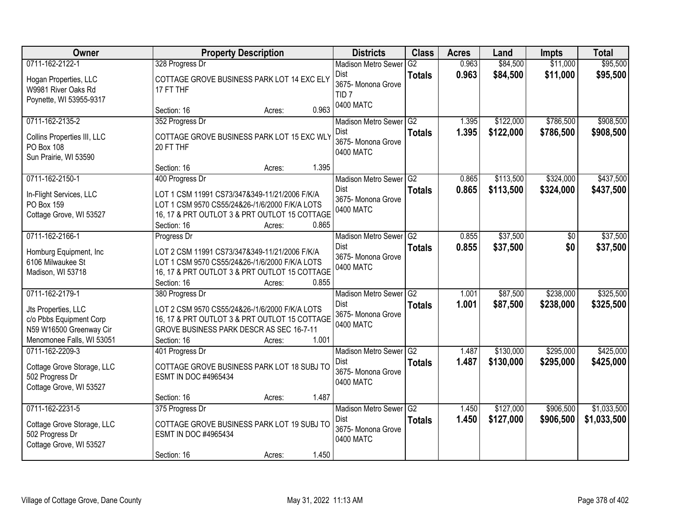| Owner                                                                                                                     | <b>Property Description</b>                                                                                                                                                                           | <b>Districts</b>                                                                          | <b>Class</b>                    | <b>Acres</b>   | Land                   | <b>Impts</b>           | <b>Total</b>               |
|---------------------------------------------------------------------------------------------------------------------------|-------------------------------------------------------------------------------------------------------------------------------------------------------------------------------------------------------|-------------------------------------------------------------------------------------------|---------------------------------|----------------|------------------------|------------------------|----------------------------|
| 0711-162-2122-1<br>Hogan Properties, LLC<br>W9981 River Oaks Rd<br>Poynette, WI 53955-9317                                | 328 Progress Dr<br>COTTAGE GROVE BUSINESS PARK LOT 14 EXC ELY<br>17 FT THF                                                                                                                            | <b>Madison Metro Sewer</b><br>Dist<br>3675- Monona Grove<br>TID <sub>7</sub><br>0400 MATC | G2<br><b>Totals</b>             | 0.963<br>0.963 | \$84,500<br>\$84,500   | \$11,000<br>\$11,000   | \$95,500<br>\$95,500       |
|                                                                                                                           | 0.963<br>Section: 16<br>Acres:                                                                                                                                                                        |                                                                                           |                                 |                |                        |                        |                            |
| 0711-162-2135-2<br>Collins Properties III, LLC<br>PO Box 108<br>Sun Prairie, WI 53590                                     | 352 Progress Dr<br>COTTAGE GROVE BUSINESS PARK LOT 15 EXC WLY<br>20 FT THF                                                                                                                            | Madison Metro Sewer G2<br>Dist<br>3675- Monona Grove<br>0400 MATC                         | <b>Totals</b>                   | 1.395<br>1.395 | \$122,000<br>\$122,000 | \$786,500<br>\$786,500 | \$908,500<br>\$908,500     |
|                                                                                                                           | 1.395<br>Section: 16<br>Acres:                                                                                                                                                                        |                                                                                           |                                 |                |                        |                        |                            |
| 0711-162-2150-1<br>In-Flight Services, LLC<br>PO Box 159<br>Cottage Grove, WI 53527                                       | 400 Progress Dr<br>LOT 1 CSM 11991 CS73/347&349-11/21/2006 F/K/A<br>LOT 1 CSM 9570 CS55/24&26-/1/6/2000 F/K/A LOTS<br>16, 17 & PRT OUTLOT 3 & PRT OUTLOT 15 COTTAGE<br>0.865<br>Section: 16<br>Acres: | Madison Metro Sewer G2<br><b>Dist</b><br>3675- Monona Grove<br>0400 MATC                  | <b>Totals</b>                   | 0.865<br>0.865 | \$113,500<br>\$113,500 | \$324,000<br>\$324,000 | \$437,500<br>\$437,500     |
| 0711-162-2166-1<br>Homburg Equipment, Inc.<br>6106 Milwaukee St<br>Madison, WI 53718                                      | Progress Dr<br>LOT 2 CSM 11991 CS73/347&349-11/21/2006 F/K/A<br>LOT 1 CSM 9570 CS55/24&26-/1/6/2000 F/K/A LOTS<br>16, 17 & PRT OUTLOT 3 & PRT OUTLOT 15 COTTAGE<br>0.855<br>Section: 16<br>Acres:     | Madison Metro Sewer G2<br>Dist<br>3675- Monona Grove<br>0400 MATC                         | <b>Totals</b>                   | 0.855<br>0.855 | \$37,500<br>\$37,500   | $\sqrt[6]{}$<br>\$0    | \$37,500<br>\$37,500       |
| 0711-162-2179-1<br>Jts Properties, LLC<br>c/o Pbbs Equipment Corp<br>N59 W16500 Greenway Cir<br>Menomonee Falls, WI 53051 | 380 Progress Dr<br>LOT 2 CSM 9570 CS55/24&26-/1/6/2000 F/K/A LOTS<br>16, 17 & PRT OUTLOT 3 & PRT OUTLOT 15 COTTAGE<br>GROVE BUSINESS PARK DESCR AS SEC 16-7-11<br>1.001<br>Section: 16<br>Acres:      | <b>Madison Metro Sewer</b><br>Dist<br>3675- Monona Grove<br>0400 MATC                     | G <sub>2</sub><br><b>Totals</b> | 1.001<br>1.001 | \$87,500<br>\$87,500   | \$238,000<br>\$238,000 | \$325,500<br>\$325,500     |
| 0711-162-2209-3<br>Cottage Grove Storage, LLC<br>502 Progress Dr<br>Cottage Grove, WI 53527                               | 401 Progress Dr<br>COTTAGE GROVE BUSINESS PARK LOT 18 SUBJ TO<br>ESMT IN DOC #4965434<br>1.487<br>Section: 16<br>Acres:                                                                               | Madison Metro Sewer G2<br>Dist<br>3675- Monona Grove<br>0400 MATC                         | <b>Totals</b>                   | 1.487<br>1.487 | \$130,000<br>\$130,000 | \$295,000<br>\$295,000 | \$425,000<br>\$425,000     |
| 0711-162-2231-5<br>Cottage Grove Storage, LLC<br>502 Progress Dr<br>Cottage Grove, WI 53527                               | 375 Progress Dr<br>COTTAGE GROVE BUSINESS PARK LOT 19 SUBJ TO<br>ESMT IN DOC #4965434<br>1.450<br>Section: 16<br>Acres:                                                                               | Madison Metro Sewer G2<br><b>Dist</b><br>3675- Monona Grove<br>0400 MATC                  | <b>Totals</b>                   | 1.450<br>1.450 | \$127,000<br>\$127,000 | \$906,500<br>\$906,500 | \$1,033,500<br>\$1,033,500 |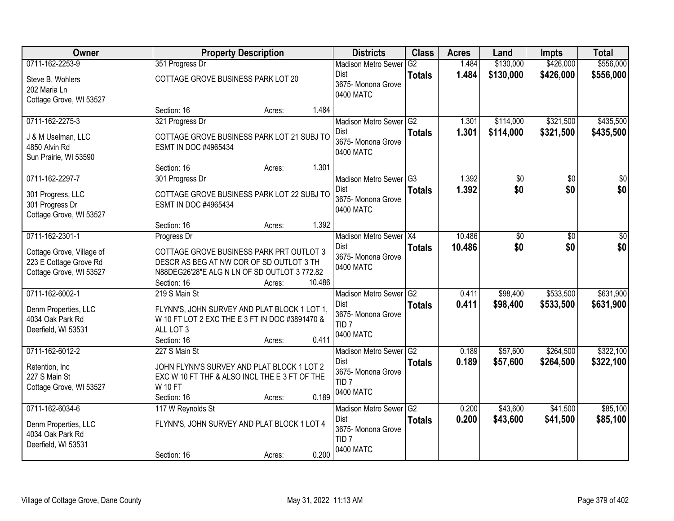| <b>Owner</b>                             |                                                                 | <b>Property Description</b> |        | <b>Districts</b>                  | <b>Class</b>    | <b>Acres</b>   | Land       | <b>Impts</b> | <b>Total</b> |
|------------------------------------------|-----------------------------------------------------------------|-----------------------------|--------|-----------------------------------|-----------------|----------------|------------|--------------|--------------|
| 0711-162-2253-9                          | 351 Progress Dr                                                 |                             |        | <b>Madison Metro Sewer</b>        | G2              | 1.484          | \$130,000  | \$426,000    | \$556,000    |
| Steve B. Wohlers                         | COTTAGE GROVE BUSINESS PARK LOT 20                              |                             |        | Dist                              | <b>Totals</b>   | 1.484          | \$130,000  | \$426,000    | \$556,000    |
| 202 Maria Ln                             |                                                                 |                             |        | 3675- Monona Grove<br>0400 MATC   |                 |                |            |              |              |
| Cottage Grove, WI 53527                  |                                                                 |                             |        |                                   |                 |                |            |              |              |
|                                          | Section: 16                                                     | Acres:                      | 1.484  |                                   |                 |                |            |              |              |
| 0711-162-2275-3                          | 321 Progress Dr                                                 |                             |        | Madison Metro Sewer G2            |                 | 1.301          | \$114,000  | \$321,500    | \$435,500    |
| J & M Uselman, LLC                       | COTTAGE GROVE BUSINESS PARK LOT 21 SUBJ TO                      |                             |        | <b>Dist</b><br>3675- Monona Grove | <b>Totals</b>   | 1.301          | \$114,000  | \$321,500    | \$435,500    |
| 4850 Alvin Rd                            | ESMT IN DOC #4965434                                            |                             |        | 0400 MATC                         |                 |                |            |              |              |
| Sun Prairie, WI 53590                    |                                                                 |                             |        |                                   |                 |                |            |              |              |
|                                          | Section: 16                                                     | Acres:                      | 1.301  |                                   |                 |                |            |              |              |
| 0711-162-2297-7                          | 301 Progress Dr                                                 |                             |        | Madison Metro Sewer G3<br>Dist    |                 | 1.392<br>1.392 | \$0<br>\$0 | \$0<br>\$0   | \$0<br>\$0   |
| 301 Progress, LLC                        | COTTAGE GROVE BUSINESS PARK LOT 22 SUBJ TO                      |                             |        | 3675- Monona Grove                | <b>Totals</b>   |                |            |              |              |
| 301 Progress Dr                          | ESMT IN DOC #4965434                                            |                             |        | 0400 MATC                         |                 |                |            |              |              |
| Cottage Grove, WI 53527                  |                                                                 |                             | 1.392  |                                   |                 |                |            |              |              |
| 0711-162-2301-1                          | Section: 16<br>Progress Dr                                      | Acres:                      |        | Madison Metro Sewer X4            |                 | 10.486         | \$0        | $\sqrt{6}$   | \$0          |
|                                          |                                                                 |                             |        | Dist                              | <b>Totals</b>   | 10.486         | \$0        | \$0          | \$0          |
| Cottage Grove, Village of                | COTTAGE GROVE BUSINESS PARK PRT OUTLOT 3                        |                             |        | 3675- Monona Grove                |                 |                |            |              |              |
| 223 E Cottage Grove Rd                   | DESCR AS BEG AT NW COR OF SD OUTLOT 3 TH                        |                             |        | 0400 MATC                         |                 |                |            |              |              |
| Cottage Grove, WI 53527                  | N88DEG26'28"E ALG N LN OF SD OUTLOT 3772.82<br>Section: 16      | Acres:                      | 10.486 |                                   |                 |                |            |              |              |
| 0711-162-6002-1                          | 219 S Main St                                                   |                             |        | Madison Metro Sewer               | $\overline{G2}$ | 0.411          | \$98,400   | \$533,500    | \$631,900    |
|                                          |                                                                 |                             |        | Dist                              | <b>Totals</b>   | 0.411          | \$98,400   | \$533,500    | \$631,900    |
| Denm Properties, LLC                     | FLYNN'S, JOHN SURVEY AND PLAT BLOCK 1 LOT 1,                    |                             |        | 3675- Monona Grove                |                 |                |            |              |              |
| 4034 Oak Park Rd                         | W 10 FT LOT 2 EXC THE E 3 FT IN DOC #3891470 &<br>ALL LOT 3     |                             |        | TID <sub>7</sub>                  |                 |                |            |              |              |
| Deerfield, WI 53531                      | Section: 16                                                     | Acres:                      | 0.411  | 0400 MATC                         |                 |                |            |              |              |
| 0711-162-6012-2                          | 227 S Main St                                                   |                             |        | Madison Metro Sewer G2            |                 | 0.189          | \$57,600   | \$264,500    | \$322,100    |
|                                          |                                                                 |                             |        | Dist                              | <b>Totals</b>   | 0.189          | \$57,600   | \$264,500    | \$322,100    |
| Retention, Inc.                          | JOHN FLYNN'S SURVEY AND PLAT BLOCK 1 LOT 2                      |                             |        | 3675- Monona Grove                |                 |                |            |              |              |
| 227 S Main St<br>Cottage Grove, WI 53527 | EXC W 10 FT THF & ALSO INCL THE E 3 FT OF THE<br><b>W 10 FT</b> |                             |        | TID <sub>7</sub>                  |                 |                |            |              |              |
|                                          | Section: 16                                                     | Acres:                      | 0.189  | 0400 MATC                         |                 |                |            |              |              |
| 0711-162-6034-6                          | 117 W Reynolds St                                               |                             |        | Madison Metro Sewer G2            |                 | 0.200          | \$43,600   | \$41,500     | \$85,100     |
|                                          |                                                                 |                             |        | Dist                              | <b>Totals</b>   | 0.200          | \$43,600   | \$41,500     | \$85,100     |
| Denm Properties, LLC<br>4034 Oak Park Rd | FLYNN'S, JOHN SURVEY AND PLAT BLOCK 1 LOT 4                     |                             |        | 3675-Monona Grove                 |                 |                |            |              |              |
| Deerfield, WI 53531                      |                                                                 |                             |        | TID <sub>7</sub>                  |                 |                |            |              |              |
|                                          | Section: 16                                                     | Acres:                      | 0.200  | 0400 MATC                         |                 |                |            |              |              |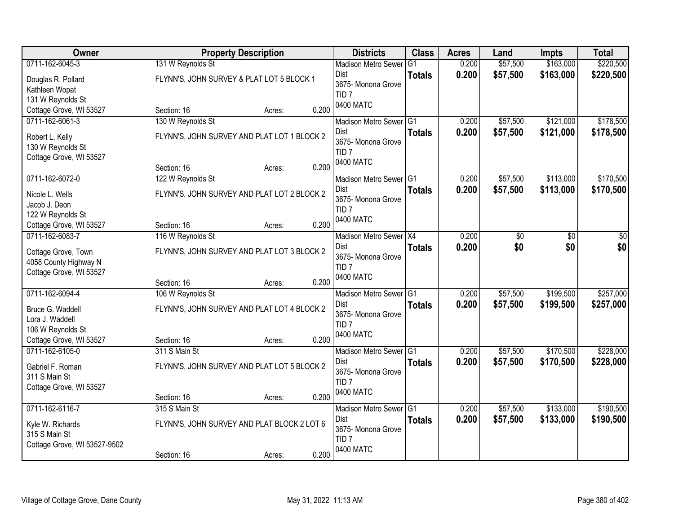| Owner                                                                                                  | <b>Property Description</b>                                                               |       | <b>Districts</b>                                                                                 | <b>Class</b>  | <b>Acres</b>   | Land                 | <b>Impts</b>           | <b>Total</b>           |
|--------------------------------------------------------------------------------------------------------|-------------------------------------------------------------------------------------------|-------|--------------------------------------------------------------------------------------------------|---------------|----------------|----------------------|------------------------|------------------------|
| 0711-162-6045-3                                                                                        | 131 W Reynolds St                                                                         |       | <b>Madison Metro Sewer</b>                                                                       | G1            | 0.200          | \$57,500             | \$163,000              | \$220,500              |
| Douglas R. Pollard<br>Kathleen Wopat<br>131 W Reynolds St                                              | FLYNN'S, JOHN SURVEY & PLAT LOT 5 BLOCK 1                                                 |       | Dist<br>3675- Monona Grove<br>TID <sub>7</sub>                                                   | <b>Totals</b> | 0.200          | \$57,500             | \$163,000              | \$220,500              |
| Cottage Grove, WI 53527                                                                                | Section: 16<br>Acres:                                                                     | 0.200 | 0400 MATC                                                                                        |               |                |                      |                        |                        |
| 0711-162-6061-3                                                                                        | 130 W Reynolds St                                                                         |       | Madison Metro Sewer G1                                                                           |               | 0.200          | \$57,500             | \$121,000              | \$178,500              |
| Robert L. Kelly<br>130 W Reynolds St<br>Cottage Grove, WI 53527                                        | FLYNN'S, JOHN SURVEY AND PLAT LOT 1 BLOCK 2<br>Section: 16<br>Acres:                      | 0.200 | Dist<br>3675- Monona Grove<br>TID <sub>7</sub><br>0400 MATC                                      | <b>Totals</b> | 0.200          | \$57,500             | \$121,000              | \$178,500              |
| 0711-162-6072-0                                                                                        | 122 W Reynolds St                                                                         |       | Madison Metro Sewer G1                                                                           |               | 0.200          | \$57,500             | \$113,000              | \$170,500              |
| Nicole L. Wells<br>Jacob J. Deon<br>122 W Reynolds St                                                  | FLYNN'S, JOHN SURVEY AND PLAT LOT 2 BLOCK 2                                               |       | Dist<br>3675- Monona Grove<br>TID <sub>7</sub>                                                   | <b>Totals</b> | 0.200          | \$57,500             | \$113,000              | \$170,500              |
| Cottage Grove, WI 53527                                                                                | Section: 16<br>Acres:                                                                     | 0.200 | 0400 MATC                                                                                        |               |                |                      |                        |                        |
| 0711-162-6083-7                                                                                        | 116 W Reynolds St                                                                         |       | Madison Metro Sewer X4                                                                           |               | 0.200          | \$0                  | \$0                    | \$0                    |
| Cottage Grove, Town<br>4058 County Highway N<br>Cottage Grove, WI 53527                                | FLYNN'S, JOHN SURVEY AND PLAT LOT 3 BLOCK 2                                               |       | Dist<br>3675- Monona Grove<br>TID <sub>7</sub>                                                   | <b>Totals</b> | 0.200          | \$0                  | \$0                    | \$0                    |
|                                                                                                        | Section: 16<br>Acres:                                                                     | 0.200 | 0400 MATC                                                                                        |               |                |                      |                        |                        |
| 0711-162-6094-4<br>Bruce G. Waddell<br>Lora J. Waddell<br>106 W Reynolds St<br>Cottage Grove, WI 53527 | 106 W Reynolds St<br>FLYNN'S, JOHN SURVEY AND PLAT LOT 4 BLOCK 2<br>Section: 16<br>Acres: | 0.200 | Madison Metro Sewer <sup>G1</sup><br>Dist<br>3675- Monona Grove<br>TID <sub>7</sub><br>0400 MATC | <b>Totals</b> | 0.200<br>0.200 | \$57,500<br>\$57,500 | \$199,500<br>\$199,500 | \$257,000<br>\$257,000 |
| 0711-162-6105-0                                                                                        | 311 S Main St                                                                             |       | Madison Metro Sewer G1                                                                           |               | 0.200          | \$57,500             | \$170,500              | \$228,000              |
| Gabriel F. Roman<br>311 S Main St<br>Cottage Grove, WI 53527                                           | FLYNN'S, JOHN SURVEY AND PLAT LOT 5 BLOCK 2<br>Section: 16<br>Acres:                      | 0.200 | Dist<br>3675- Monona Grove<br>TID <sub>7</sub><br>0400 MATC                                      | <b>Totals</b> | 0.200          | \$57,500             | \$170,500              | \$228,000              |
| 0711-162-6116-7                                                                                        | 315 S Main St                                                                             |       | Madison Metro Sewer G1                                                                           |               | 0.200          | \$57,500             | \$133,000              | \$190,500              |
| Kyle W. Richards<br>315 S Main St<br>Cottage Grove, WI 53527-9502                                      | FLYNN'S, JOHN SURVEY AND PLAT BLOCK 2 LOT 6<br>Section: 16<br>Acres:                      | 0.200 | Dist<br>3675- Monona Grove<br>TID <sub>7</sub><br>0400 MATC                                      | <b>Totals</b> | 0.200          | \$57,500             | \$133,000              | \$190,500              |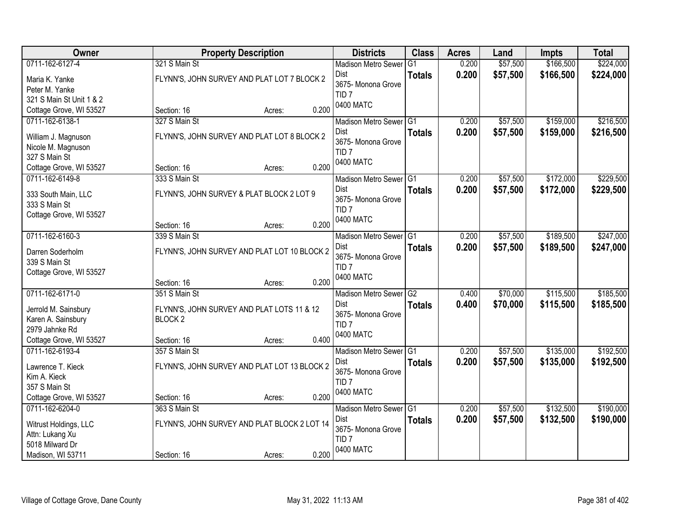| Owner                    | <b>Property Description</b>                  | <b>Districts</b>              | <b>Class</b>    | <b>Acres</b> | Land     | <b>Impts</b> | <b>Total</b> |
|--------------------------|----------------------------------------------|-------------------------------|-----------------|--------------|----------|--------------|--------------|
| 0711-162-6127-4          | 321 S Main St                                | <b>Madison Metro Sewer</b>    | G1              | 0.200        | \$57,500 | \$166,500    | \$224,000    |
| Maria K. Yanke           | FLYNN'S, JOHN SURVEY AND PLAT LOT 7 BLOCK 2  | Dist                          | <b>Totals</b>   | 0.200        | \$57,500 | \$166,500    | \$224,000    |
| Peter M. Yanke           |                                              | 3675- Monona Grove            |                 |              |          |              |              |
| 321 S Main St Unit 1 & 2 |                                              | TID <sub>7</sub><br>0400 MATC |                 |              |          |              |              |
| Cottage Grove, WI 53527  | 0.200<br>Section: 16<br>Acres:               |                               |                 |              |          |              |              |
| 0711-162-6138-1          | 327 S Main St                                | Madison Metro Sewer G1        |                 | 0.200        | \$57,500 | \$159,000    | \$216,500    |
| William J. Magnuson      | FLYNN'S, JOHN SURVEY AND PLAT LOT 8 BLOCK 2  | Dist                          | <b>Totals</b>   | 0.200        | \$57,500 | \$159,000    | \$216,500    |
| Nicole M. Magnuson       |                                              | 3675- Monona Grove            |                 |              |          |              |              |
| 327 S Main St            |                                              | TID <sub>7</sub><br>0400 MATC |                 |              |          |              |              |
| Cottage Grove, WI 53527  | 0.200<br>Section: 16<br>Acres:               |                               |                 |              |          |              |              |
| 0711-162-6149-8          | 333 S Main St                                | Madison Metro Sewer G1        |                 | 0.200        | \$57,500 | \$172,000    | \$229,500    |
| 333 South Main, LLC      | FLYNN'S, JOHN SURVEY & PLAT BLOCK 2 LOT 9    | Dist                          | <b>Totals</b>   | 0.200        | \$57,500 | \$172,000    | \$229,500    |
| 333 S Main St            |                                              | 3675- Monona Grove            |                 |              |          |              |              |
| Cottage Grove, WI 53527  |                                              | TID <sub>7</sub><br>0400 MATC |                 |              |          |              |              |
|                          | 0.200<br>Section: 16<br>Acres:               |                               |                 |              |          |              |              |
| 0711-162-6160-3          | 339 S Main St                                | Madison Metro Sewer G1        |                 | 0.200        | \$57,500 | \$189,500    | \$247,000    |
| Darren Soderholm         | FLYNN'S, JOHN SURVEY AND PLAT LOT 10 BLOCK 2 | Dist                          | <b>Totals</b>   | 0.200        | \$57,500 | \$189,500    | \$247,000    |
| 339 S Main St            |                                              | 3675- Monona Grove            |                 |              |          |              |              |
| Cottage Grove, WI 53527  |                                              | TID <sub>7</sub>              |                 |              |          |              |              |
|                          | 0.200<br>Section: 16<br>Acres:               | 0400 MATC                     |                 |              |          |              |              |
| 0711-162-6171-0          | 351 S Main St                                | <b>Madison Metro Sewer</b>    | $\overline{G2}$ | 0.400        | \$70,000 | \$115,500    | \$185,500    |
| Jerrold M. Sainsbury     | FLYNN'S, JOHN SURVEY AND PLAT LOTS 11 & 12   | Dist                          | <b>Totals</b>   | 0.400        | \$70,000 | \$115,500    | \$185,500    |
| Karen A. Sainsbury       | BLOCK <sub>2</sub>                           | 3675- Monona Grove            |                 |              |          |              |              |
| 2979 Jahnke Rd           |                                              | TID <sub>7</sub>              |                 |              |          |              |              |
| Cottage Grove, WI 53527  | 0.400<br>Section: 16<br>Acres:               | 0400 MATC                     |                 |              |          |              |              |
| 0711-162-6193-4          | 357 S Main St                                | Madison Metro Sewer G1        |                 | 0.200        | \$57,500 | \$135,000    | \$192,500    |
| Lawrence T. Kieck        | FLYNN'S, JOHN SURVEY AND PLAT LOT 13 BLOCK 2 | Dist                          | <b>Totals</b>   | 0.200        | \$57,500 | \$135,000    | \$192,500    |
| Kim A. Kieck             |                                              | 3675- Monona Grove            |                 |              |          |              |              |
| 357 S Main St            |                                              | TID <sub>7</sub>              |                 |              |          |              |              |
| Cottage Grove, WI 53527  | 0.200<br>Section: 16<br>Acres:               | 0400 MATC                     |                 |              |          |              |              |
| 0711-162-6204-0          | 363 S Main St                                | Madison Metro Sewer G1        |                 | 0.200        | \$57,500 | \$132,500    | \$190,000    |
| Witrust Holdings, LLC    | FLYNN'S, JOHN SURVEY AND PLAT BLOCK 2 LOT 14 | Dist                          | <b>Totals</b>   | 0.200        | \$57,500 | \$132,500    | \$190,000    |
| Attn: Lukang Xu          |                                              | 3675- Monona Grove            |                 |              |          |              |              |
| 5018 Milward Dr          |                                              | TID <sub>7</sub>              |                 |              |          |              |              |
| Madison, WI 53711        | 0.200<br>Section: 16<br>Acres:               | 0400 MATC                     |                 |              |          |              |              |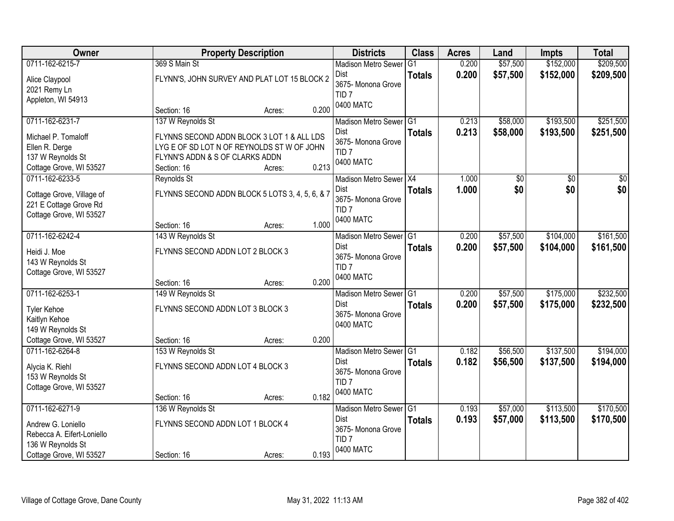| Owner                                        |                                  | <b>Property Description</b>                     |       | <b>Districts</b>                       | <b>Class</b>    | <b>Acres</b> | Land     | <b>Impts</b>    | <b>Total</b> |
|----------------------------------------------|----------------------------------|-------------------------------------------------|-------|----------------------------------------|-----------------|--------------|----------|-----------------|--------------|
| 0711-162-6215-7                              | 369 S Main St                    |                                                 |       | <b>Madison Metro Sewer</b>             | G <sub>1</sub>  | 0.200        | \$57,500 | \$152,000       | \$209,500    |
| Alice Claypool                               |                                  | FLYNN'S, JOHN SURVEY AND PLAT LOT 15 BLOCK 2    |       | Dist<br>3675- Monona Grove             | <b>Totals</b>   | 0.200        | \$57,500 | \$152,000       | \$209,500    |
| 2021 Remy Ln                                 |                                  |                                                 |       | TID <sub>7</sub>                       |                 |              |          |                 |              |
| Appleton, WI 54913                           |                                  |                                                 |       | 0400 MATC                              |                 |              |          |                 |              |
|                                              | Section: 16                      | Acres:                                          | 0.200 |                                        |                 |              |          |                 |              |
| 0711-162-6231-7                              | 137 W Reynolds St                |                                                 |       | Madison Metro Sewer G1                 |                 | 0.213        | \$58,000 | \$193,500       | \$251,500    |
| Michael P. Tomaloff                          |                                  | FLYNNS SECOND ADDN BLOCK 3 LOT 1 & ALL LDS      |       | <b>Dist</b>                            | <b>Totals</b>   | 0.213        | \$58,000 | \$193,500       | \$251,500    |
| Ellen R. Derge                               |                                  | LYG E OF SD LOT N OF REYNOLDS ST W OF JOHN      |       | 3675- Monona Grove<br>TID <sub>7</sub> |                 |              |          |                 |              |
| 137 W Reynolds St                            | FLYNN'S ADDN & S OF CLARKS ADDN  |                                                 |       | 0400 MATC                              |                 |              |          |                 |              |
| Cottage Grove, WI 53527                      | Section: 16                      | Acres:                                          | 0.213 |                                        |                 |              |          |                 |              |
| 0711-162-6233-5                              | Reynolds St                      |                                                 |       | Madison Metro Sewer   X4               |                 | 1.000        | \$0      | $\overline{50}$ | \$0          |
| Cottage Grove, Village of                    |                                  | FLYNNS SECOND ADDN BLOCK 5 LOTS 3, 4, 5, 6, & 7 |       | Dist                                   | <b>Totals</b>   | 1.000        | \$0      | \$0             | \$0          |
| 221 E Cottage Grove Rd                       |                                  |                                                 |       | 3675- Monona Grove                     |                 |              |          |                 |              |
| Cottage Grove, WI 53527                      |                                  |                                                 |       | TID <sub>7</sub>                       |                 |              |          |                 |              |
|                                              | Section: 16                      | Acres:                                          | 1.000 | 0400 MATC                              |                 |              |          |                 |              |
| 0711-162-6242-4                              | 143 W Reynolds St                |                                                 |       | Madison Metro Sewer G1                 |                 | 0.200        | \$57,500 | \$104,000       | \$161,500    |
|                                              |                                  |                                                 |       | <b>Dist</b>                            | <b>Totals</b>   | 0.200        | \$57,500 | \$104,000       | \$161,500    |
| Heidi J. Moe                                 | FLYNNS SECOND ADDN LOT 2 BLOCK 3 |                                                 |       | 3675- Monona Grove                     |                 |              |          |                 |              |
| 143 W Reynolds St<br>Cottage Grove, WI 53527 |                                  |                                                 |       | TID <sub>7</sub>                       |                 |              |          |                 |              |
|                                              | Section: 16                      | Acres:                                          | 0.200 | 0400 MATC                              |                 |              |          |                 |              |
| 0711-162-6253-1                              | 149 W Reynolds St                |                                                 |       | Madison Metro Sewer                    | $\overline{G1}$ | 0.200        | \$57,500 | \$175,000       | \$232,500    |
|                                              |                                  |                                                 |       | Dist                                   | <b>Totals</b>   | 0.200        | \$57,500 | \$175,000       | \$232,500    |
| <b>Tyler Kehoe</b>                           | FLYNNS SECOND ADDN LOT 3 BLOCK 3 |                                                 |       | 3675- Monona Grove                     |                 |              |          |                 |              |
| Kaitlyn Kehoe                                |                                  |                                                 |       | 0400 MATC                              |                 |              |          |                 |              |
| 149 W Reynolds St                            |                                  |                                                 |       |                                        |                 |              |          |                 |              |
| Cottage Grove, WI 53527                      | Section: 16                      | Acres:                                          | 0.200 |                                        |                 |              |          |                 |              |
| 0711-162-6264-8                              | 153 W Reynolds St                |                                                 |       | Madison Metro Sewer G1                 |                 | 0.182        | \$56,500 | \$137,500       | \$194,000    |
| Alycia K. Riehl                              | FLYNNS SECOND ADDN LOT 4 BLOCK 3 |                                                 |       | Dist                                   | <b>Totals</b>   | 0.182        | \$56,500 | \$137,500       | \$194,000    |
| 153 W Reynolds St                            |                                  |                                                 |       | 3675- Monona Grove                     |                 |              |          |                 |              |
| Cottage Grove, WI 53527                      |                                  |                                                 |       | TID <sub>7</sub>                       |                 |              |          |                 |              |
|                                              | Section: 16                      | Acres:                                          | 0.182 | 0400 MATC                              |                 |              |          |                 |              |
| 0711-162-6271-9                              | 136 W Reynolds St                |                                                 |       | Madison Metro Sewer G1                 |                 | 0.193        | \$57,000 | \$113,500       | \$170,500    |
| Andrew G. Loniello                           | FLYNNS SECOND ADDN LOT 1 BLOCK 4 |                                                 |       | <b>Dist</b>                            | <b>Totals</b>   | 0.193        | \$57,000 | \$113,500       | \$170,500    |
| Rebecca A. Eifert-Loniello                   |                                  |                                                 |       | 3675- Monona Grove                     |                 |              |          |                 |              |
| 136 W Reynolds St                            |                                  |                                                 |       | TID <sub>7</sub>                       |                 |              |          |                 |              |
| Cottage Grove, WI 53527                      | Section: 16                      | Acres:                                          | 0.193 | 0400 MATC                              |                 |              |          |                 |              |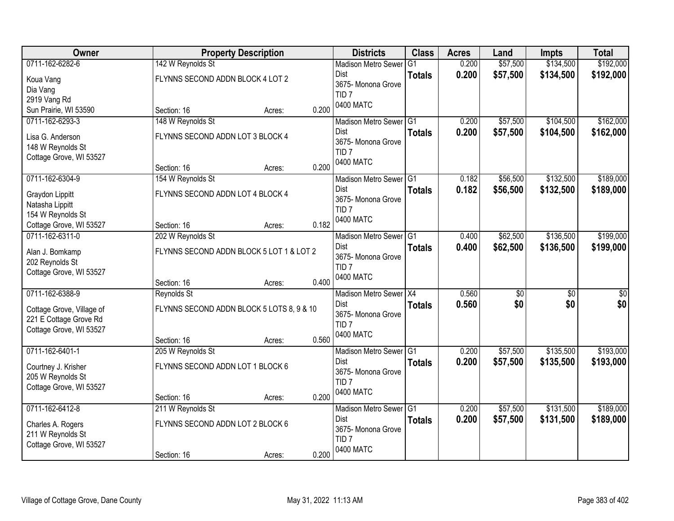| 0711-162-6282-6<br>\$57,500<br>\$134,500<br>\$192,000<br>142 W Reynolds St<br>0.200<br><b>Madison Metro Sewer</b><br>G1<br>0.200<br>\$57,500<br>\$134,500<br>\$192,000<br>Dist<br><b>Totals</b><br>FLYNNS SECOND ADDN BLOCK 4 LOT 2<br>Koua Vang<br>3675- Monona Grove<br>Dia Vang<br>TID <sub>7</sub><br>2919 Vang Rd<br>0400 MATC<br>0.200<br>Sun Prairie, WI 53590<br>Section: 16<br>Acres:<br>148 W Reynolds St<br>\$57,500<br>\$104,500<br>0711-162-6293-3<br>Madison Metro Sewer G1<br>0.200<br>0.200<br>\$57,500<br><b>Dist</b><br>\$104,500<br><b>Totals</b><br>FLYNNS SECOND ADDN LOT 3 BLOCK 4<br>Lisa G. Anderson<br>3675- Monona Grove<br>148 W Reynolds St<br>TID <sub>7</sub><br>Cottage Grove, WI 53527<br>0400 MATC<br>0.200<br>Section: 16<br>Acres:<br>0711-162-6304-9<br>\$56,500<br>\$132,500<br>154 W Reynolds St<br>Madison Metro Sewer G1<br>0.182<br><b>Dist</b><br>0.182<br>\$56,500<br>\$132,500<br><b>Totals</b><br>FLYNNS SECOND ADDN LOT 4 BLOCK 4<br>Graydon Lippitt<br>3675- Monona Grove<br>Natasha Lippitt<br>TID <sub>7</sub><br>154 W Reynolds St<br>0400 MATC<br>0.182<br>Cottage Grove, WI 53527<br>Section: 16<br>Acres:<br>\$136,500<br>0711-162-6311-0<br>\$62,500<br>202 W Reynolds St<br>Madison Metro Sewer G1<br>0.400<br>0.400<br><b>Dist</b><br>\$62,500<br>\$136,500<br><b>Totals</b><br>FLYNNS SECOND ADDN BLOCK 5 LOT 1 & LOT 2<br>Alan J. Bomkamp<br>3675- Monona Grove<br>202 Reynolds St<br>TID <sub>7</sub><br>Cottage Grove, WI 53527<br>0400 MATC<br>0.400<br>Section: 16<br>Acres:<br>0711-162-6388-9<br>Reynolds St<br>Madison Metro Sewer X4<br>0.560<br>\$0<br>\$0<br>\$0<br>\$0<br>0.560<br>\$0<br><b>Dist</b><br><b>Totals</b><br>FLYNNS SECOND ADDN BLOCK 5 LOTS 8, 9 & 10<br>Cottage Grove, Village of<br>3675- Monona Grove<br>221 E Cottage Grove Rd<br>TID <sub>7</sub><br>Cottage Grove, WI 53527<br>0400 MATC<br>0.560<br>Section: 16<br>Acres:<br>0711-162-6401-1<br>Madison Metro Sewer G1<br>\$57,500<br>\$135,500<br>205 W Reynolds St<br>0.200<br>0.200<br>\$57,500<br>\$135,500<br>Dist<br><b>Totals</b><br>FLYNNS SECOND ADDN LOT 1 BLOCK 6<br>Courtney J. Krisher<br>3675- Monona Grove<br>205 W Reynolds St<br>TID <sub>7</sub><br>Cottage Grove, WI 53527<br>0400 MATC<br>0.200<br>Section: 16<br>Acres:<br>0711-162-6412-8<br>\$57,500<br>\$131,500<br>211 W Reynolds St<br>Madison Metro Sewer G1<br>0.200<br><b>Dist</b><br>0.200<br>\$57,500<br>\$131,500<br><b>Totals</b><br>FLYNNS SECOND ADDN LOT 2 BLOCK 6<br>Charles A. Rogers<br>3675-Monona Grove<br>211 W Reynolds St<br>TID <sub>7</sub><br>Cottage Grove, WI 53527<br>0400 MATC<br>0.200 | Owner |             | <b>Property Description</b> | <b>Districts</b> | <b>Class</b> | <b>Acres</b> | Land | <b>Impts</b> | <b>Total</b> |
|--------------------------------------------------------------------------------------------------------------------------------------------------------------------------------------------------------------------------------------------------------------------------------------------------------------------------------------------------------------------------------------------------------------------------------------------------------------------------------------------------------------------------------------------------------------------------------------------------------------------------------------------------------------------------------------------------------------------------------------------------------------------------------------------------------------------------------------------------------------------------------------------------------------------------------------------------------------------------------------------------------------------------------------------------------------------------------------------------------------------------------------------------------------------------------------------------------------------------------------------------------------------------------------------------------------------------------------------------------------------------------------------------------------------------------------------------------------------------------------------------------------------------------------------------------------------------------------------------------------------------------------------------------------------------------------------------------------------------------------------------------------------------------------------------------------------------------------------------------------------------------------------------------------------------------------------------------------------------------------------------------------------------------------------------------------------------------------------------------------------------------------------------------------------------------------------------------------------------------------------------------------------------------------------------------------------------------------------------------------------------------------------------------------------------------------------------------------------------------------------------------------------------------------------------------------------------------------------------------------------------------------|-------|-------------|-----------------------------|------------------|--------------|--------------|------|--------------|--------------|
|                                                                                                                                                                                                                                                                                                                                                                                                                                                                                                                                                                                                                                                                                                                                                                                                                                                                                                                                                                                                                                                                                                                                                                                                                                                                                                                                                                                                                                                                                                                                                                                                                                                                                                                                                                                                                                                                                                                                                                                                                                                                                                                                                                                                                                                                                                                                                                                                                                                                                                                                                                                                                                      |       |             |                             |                  |              |              |      |              |              |
|                                                                                                                                                                                                                                                                                                                                                                                                                                                                                                                                                                                                                                                                                                                                                                                                                                                                                                                                                                                                                                                                                                                                                                                                                                                                                                                                                                                                                                                                                                                                                                                                                                                                                                                                                                                                                                                                                                                                                                                                                                                                                                                                                                                                                                                                                                                                                                                                                                                                                                                                                                                                                                      |       |             |                             |                  |              |              |      |              |              |
| \$162,000<br>\$162,000<br>\$189,000<br>\$189,000<br>\$199,000<br>\$199,000                                                                                                                                                                                                                                                                                                                                                                                                                                                                                                                                                                                                                                                                                                                                                                                                                                                                                                                                                                                                                                                                                                                                                                                                                                                                                                                                                                                                                                                                                                                                                                                                                                                                                                                                                                                                                                                                                                                                                                                                                                                                                                                                                                                                                                                                                                                                                                                                                                                                                                                                                           |       |             |                             |                  |              |              |      |              |              |
|                                                                                                                                                                                                                                                                                                                                                                                                                                                                                                                                                                                                                                                                                                                                                                                                                                                                                                                                                                                                                                                                                                                                                                                                                                                                                                                                                                                                                                                                                                                                                                                                                                                                                                                                                                                                                                                                                                                                                                                                                                                                                                                                                                                                                                                                                                                                                                                                                                                                                                                                                                                                                                      |       |             |                             |                  |              |              |      |              |              |
|                                                                                                                                                                                                                                                                                                                                                                                                                                                                                                                                                                                                                                                                                                                                                                                                                                                                                                                                                                                                                                                                                                                                                                                                                                                                                                                                                                                                                                                                                                                                                                                                                                                                                                                                                                                                                                                                                                                                                                                                                                                                                                                                                                                                                                                                                                                                                                                                                                                                                                                                                                                                                                      |       |             |                             |                  |              |              |      |              |              |
|                                                                                                                                                                                                                                                                                                                                                                                                                                                                                                                                                                                                                                                                                                                                                                                                                                                                                                                                                                                                                                                                                                                                                                                                                                                                                                                                                                                                                                                                                                                                                                                                                                                                                                                                                                                                                                                                                                                                                                                                                                                                                                                                                                                                                                                                                                                                                                                                                                                                                                                                                                                                                                      |       |             |                             |                  |              |              |      |              |              |
|                                                                                                                                                                                                                                                                                                                                                                                                                                                                                                                                                                                                                                                                                                                                                                                                                                                                                                                                                                                                                                                                                                                                                                                                                                                                                                                                                                                                                                                                                                                                                                                                                                                                                                                                                                                                                                                                                                                                                                                                                                                                                                                                                                                                                                                                                                                                                                                                                                                                                                                                                                                                                                      |       |             |                             |                  |              |              |      |              |              |
|                                                                                                                                                                                                                                                                                                                                                                                                                                                                                                                                                                                                                                                                                                                                                                                                                                                                                                                                                                                                                                                                                                                                                                                                                                                                                                                                                                                                                                                                                                                                                                                                                                                                                                                                                                                                                                                                                                                                                                                                                                                                                                                                                                                                                                                                                                                                                                                                                                                                                                                                                                                                                                      |       |             |                             |                  |              |              |      |              |              |
|                                                                                                                                                                                                                                                                                                                                                                                                                                                                                                                                                                                                                                                                                                                                                                                                                                                                                                                                                                                                                                                                                                                                                                                                                                                                                                                                                                                                                                                                                                                                                                                                                                                                                                                                                                                                                                                                                                                                                                                                                                                                                                                                                                                                                                                                                                                                                                                                                                                                                                                                                                                                                                      |       |             |                             |                  |              |              |      |              |              |
|                                                                                                                                                                                                                                                                                                                                                                                                                                                                                                                                                                                                                                                                                                                                                                                                                                                                                                                                                                                                                                                                                                                                                                                                                                                                                                                                                                                                                                                                                                                                                                                                                                                                                                                                                                                                                                                                                                                                                                                                                                                                                                                                                                                                                                                                                                                                                                                                                                                                                                                                                                                                                                      |       |             |                             |                  |              |              |      |              |              |
|                                                                                                                                                                                                                                                                                                                                                                                                                                                                                                                                                                                                                                                                                                                                                                                                                                                                                                                                                                                                                                                                                                                                                                                                                                                                                                                                                                                                                                                                                                                                                                                                                                                                                                                                                                                                                                                                                                                                                                                                                                                                                                                                                                                                                                                                                                                                                                                                                                                                                                                                                                                                                                      |       |             |                             |                  |              |              |      |              |              |
|                                                                                                                                                                                                                                                                                                                                                                                                                                                                                                                                                                                                                                                                                                                                                                                                                                                                                                                                                                                                                                                                                                                                                                                                                                                                                                                                                                                                                                                                                                                                                                                                                                                                                                                                                                                                                                                                                                                                                                                                                                                                                                                                                                                                                                                                                                                                                                                                                                                                                                                                                                                                                                      |       |             |                             |                  |              |              |      |              |              |
|                                                                                                                                                                                                                                                                                                                                                                                                                                                                                                                                                                                                                                                                                                                                                                                                                                                                                                                                                                                                                                                                                                                                                                                                                                                                                                                                                                                                                                                                                                                                                                                                                                                                                                                                                                                                                                                                                                                                                                                                                                                                                                                                                                                                                                                                                                                                                                                                                                                                                                                                                                                                                                      |       |             |                             |                  |              |              |      |              |              |
|                                                                                                                                                                                                                                                                                                                                                                                                                                                                                                                                                                                                                                                                                                                                                                                                                                                                                                                                                                                                                                                                                                                                                                                                                                                                                                                                                                                                                                                                                                                                                                                                                                                                                                                                                                                                                                                                                                                                                                                                                                                                                                                                                                                                                                                                                                                                                                                                                                                                                                                                                                                                                                      |       |             |                             |                  |              |              |      |              |              |
|                                                                                                                                                                                                                                                                                                                                                                                                                                                                                                                                                                                                                                                                                                                                                                                                                                                                                                                                                                                                                                                                                                                                                                                                                                                                                                                                                                                                                                                                                                                                                                                                                                                                                                                                                                                                                                                                                                                                                                                                                                                                                                                                                                                                                                                                                                                                                                                                                                                                                                                                                                                                                                      |       |             |                             |                  |              |              |      |              |              |
|                                                                                                                                                                                                                                                                                                                                                                                                                                                                                                                                                                                                                                                                                                                                                                                                                                                                                                                                                                                                                                                                                                                                                                                                                                                                                                                                                                                                                                                                                                                                                                                                                                                                                                                                                                                                                                                                                                                                                                                                                                                                                                                                                                                                                                                                                                                                                                                                                                                                                                                                                                                                                                      |       |             |                             |                  |              |              |      |              |              |
|                                                                                                                                                                                                                                                                                                                                                                                                                                                                                                                                                                                                                                                                                                                                                                                                                                                                                                                                                                                                                                                                                                                                                                                                                                                                                                                                                                                                                                                                                                                                                                                                                                                                                                                                                                                                                                                                                                                                                                                                                                                                                                                                                                                                                                                                                                                                                                                                                                                                                                                                                                                                                                      |       |             |                             |                  |              |              |      |              |              |
| \$0<br>\$193,000<br>\$193,000<br>\$189,000<br>\$189,000                                                                                                                                                                                                                                                                                                                                                                                                                                                                                                                                                                                                                                                                                                                                                                                                                                                                                                                                                                                                                                                                                                                                                                                                                                                                                                                                                                                                                                                                                                                                                                                                                                                                                                                                                                                                                                                                                                                                                                                                                                                                                                                                                                                                                                                                                                                                                                                                                                                                                                                                                                              |       |             |                             |                  |              |              |      |              |              |
|                                                                                                                                                                                                                                                                                                                                                                                                                                                                                                                                                                                                                                                                                                                                                                                                                                                                                                                                                                                                                                                                                                                                                                                                                                                                                                                                                                                                                                                                                                                                                                                                                                                                                                                                                                                                                                                                                                                                                                                                                                                                                                                                                                                                                                                                                                                                                                                                                                                                                                                                                                                                                                      |       |             |                             |                  |              |              |      |              |              |
|                                                                                                                                                                                                                                                                                                                                                                                                                                                                                                                                                                                                                                                                                                                                                                                                                                                                                                                                                                                                                                                                                                                                                                                                                                                                                                                                                                                                                                                                                                                                                                                                                                                                                                                                                                                                                                                                                                                                                                                                                                                                                                                                                                                                                                                                                                                                                                                                                                                                                                                                                                                                                                      |       |             |                             |                  |              |              |      |              |              |
|                                                                                                                                                                                                                                                                                                                                                                                                                                                                                                                                                                                                                                                                                                                                                                                                                                                                                                                                                                                                                                                                                                                                                                                                                                                                                                                                                                                                                                                                                                                                                                                                                                                                                                                                                                                                                                                                                                                                                                                                                                                                                                                                                                                                                                                                                                                                                                                                                                                                                                                                                                                                                                      |       |             |                             |                  |              |              |      |              |              |
|                                                                                                                                                                                                                                                                                                                                                                                                                                                                                                                                                                                                                                                                                                                                                                                                                                                                                                                                                                                                                                                                                                                                                                                                                                                                                                                                                                                                                                                                                                                                                                                                                                                                                                                                                                                                                                                                                                                                                                                                                                                                                                                                                                                                                                                                                                                                                                                                                                                                                                                                                                                                                                      |       |             |                             |                  |              |              |      |              |              |
|                                                                                                                                                                                                                                                                                                                                                                                                                                                                                                                                                                                                                                                                                                                                                                                                                                                                                                                                                                                                                                                                                                                                                                                                                                                                                                                                                                                                                                                                                                                                                                                                                                                                                                                                                                                                                                                                                                                                                                                                                                                                                                                                                                                                                                                                                                                                                                                                                                                                                                                                                                                                                                      |       |             |                             |                  |              |              |      |              |              |
|                                                                                                                                                                                                                                                                                                                                                                                                                                                                                                                                                                                                                                                                                                                                                                                                                                                                                                                                                                                                                                                                                                                                                                                                                                                                                                                                                                                                                                                                                                                                                                                                                                                                                                                                                                                                                                                                                                                                                                                                                                                                                                                                                                                                                                                                                                                                                                                                                                                                                                                                                                                                                                      |       |             |                             |                  |              |              |      |              |              |
|                                                                                                                                                                                                                                                                                                                                                                                                                                                                                                                                                                                                                                                                                                                                                                                                                                                                                                                                                                                                                                                                                                                                                                                                                                                                                                                                                                                                                                                                                                                                                                                                                                                                                                                                                                                                                                                                                                                                                                                                                                                                                                                                                                                                                                                                                                                                                                                                                                                                                                                                                                                                                                      |       |             |                             |                  |              |              |      |              |              |
|                                                                                                                                                                                                                                                                                                                                                                                                                                                                                                                                                                                                                                                                                                                                                                                                                                                                                                                                                                                                                                                                                                                                                                                                                                                                                                                                                                                                                                                                                                                                                                                                                                                                                                                                                                                                                                                                                                                                                                                                                                                                                                                                                                                                                                                                                                                                                                                                                                                                                                                                                                                                                                      |       |             |                             |                  |              |              |      |              |              |
|                                                                                                                                                                                                                                                                                                                                                                                                                                                                                                                                                                                                                                                                                                                                                                                                                                                                                                                                                                                                                                                                                                                                                                                                                                                                                                                                                                                                                                                                                                                                                                                                                                                                                                                                                                                                                                                                                                                                                                                                                                                                                                                                                                                                                                                                                                                                                                                                                                                                                                                                                                                                                                      |       |             |                             |                  |              |              |      |              |              |
|                                                                                                                                                                                                                                                                                                                                                                                                                                                                                                                                                                                                                                                                                                                                                                                                                                                                                                                                                                                                                                                                                                                                                                                                                                                                                                                                                                                                                                                                                                                                                                                                                                                                                                                                                                                                                                                                                                                                                                                                                                                                                                                                                                                                                                                                                                                                                                                                                                                                                                                                                                                                                                      |       |             |                             |                  |              |              |      |              |              |
|                                                                                                                                                                                                                                                                                                                                                                                                                                                                                                                                                                                                                                                                                                                                                                                                                                                                                                                                                                                                                                                                                                                                                                                                                                                                                                                                                                                                                                                                                                                                                                                                                                                                                                                                                                                                                                                                                                                                                                                                                                                                                                                                                                                                                                                                                                                                                                                                                                                                                                                                                                                                                                      |       |             |                             |                  |              |              |      |              |              |
|                                                                                                                                                                                                                                                                                                                                                                                                                                                                                                                                                                                                                                                                                                                                                                                                                                                                                                                                                                                                                                                                                                                                                                                                                                                                                                                                                                                                                                                                                                                                                                                                                                                                                                                                                                                                                                                                                                                                                                                                                                                                                                                                                                                                                                                                                                                                                                                                                                                                                                                                                                                                                                      |       |             |                             |                  |              |              |      |              |              |
|                                                                                                                                                                                                                                                                                                                                                                                                                                                                                                                                                                                                                                                                                                                                                                                                                                                                                                                                                                                                                                                                                                                                                                                                                                                                                                                                                                                                                                                                                                                                                                                                                                                                                                                                                                                                                                                                                                                                                                                                                                                                                                                                                                                                                                                                                                                                                                                                                                                                                                                                                                                                                                      |       |             |                             |                  |              |              |      |              |              |
|                                                                                                                                                                                                                                                                                                                                                                                                                                                                                                                                                                                                                                                                                                                                                                                                                                                                                                                                                                                                                                                                                                                                                                                                                                                                                                                                                                                                                                                                                                                                                                                                                                                                                                                                                                                                                                                                                                                                                                                                                                                                                                                                                                                                                                                                                                                                                                                                                                                                                                                                                                                                                                      |       |             |                             |                  |              |              |      |              |              |
|                                                                                                                                                                                                                                                                                                                                                                                                                                                                                                                                                                                                                                                                                                                                                                                                                                                                                                                                                                                                                                                                                                                                                                                                                                                                                                                                                                                                                                                                                                                                                                                                                                                                                                                                                                                                                                                                                                                                                                                                                                                                                                                                                                                                                                                                                                                                                                                                                                                                                                                                                                                                                                      |       |             |                             |                  |              |              |      |              |              |
|                                                                                                                                                                                                                                                                                                                                                                                                                                                                                                                                                                                                                                                                                                                                                                                                                                                                                                                                                                                                                                                                                                                                                                                                                                                                                                                                                                                                                                                                                                                                                                                                                                                                                                                                                                                                                                                                                                                                                                                                                                                                                                                                                                                                                                                                                                                                                                                                                                                                                                                                                                                                                                      |       | Section: 16 | Acres:                      |                  |              |              |      |              |              |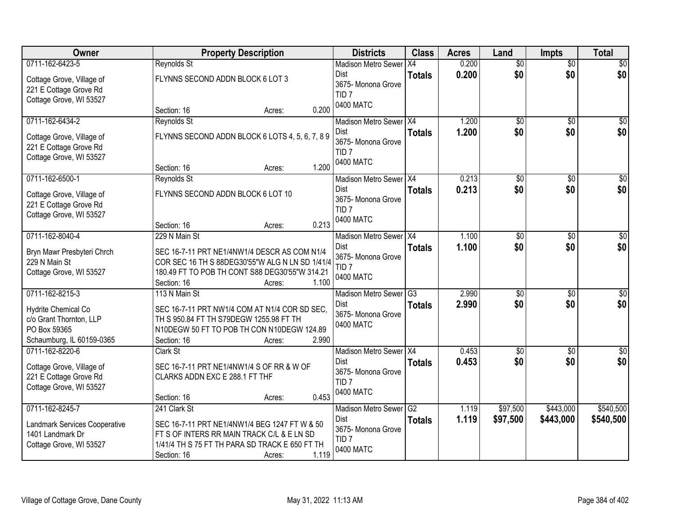| Owner                         |                                   | <b>Property Description</b>                     | <b>Districts</b>                       | <b>Class</b>           | <b>Acres</b> | Land            | <b>Impts</b>    | <b>Total</b>    |
|-------------------------------|-----------------------------------|-------------------------------------------------|----------------------------------------|------------------------|--------------|-----------------|-----------------|-----------------|
| 0711-162-6423-5               | Reynolds St                       |                                                 | <b>Madison Metro Sewer</b>             | X4                     | 0.200        | $\overline{50}$ | $\overline{50}$ | \$0             |
| Cottage Grove, Village of     | FLYNNS SECOND ADDN BLOCK 6 LOT 3  |                                                 | <b>Dist</b>                            | <b>Totals</b>          | 0.200        | \$0             | \$0             | \$0             |
| 221 E Cottage Grove Rd        |                                   |                                                 | 3675- Monona Grove<br>TID <sub>7</sub> |                        |              |                 |                 |                 |
| Cottage Grove, WI 53527       |                                   |                                                 | 0400 MATC                              |                        |              |                 |                 |                 |
|                               | Section: 16                       | 0.200<br>Acres:                                 |                                        |                        |              |                 |                 |                 |
| 0711-162-6434-2               | Reynolds St                       |                                                 | Madison Metro Sewer X4                 |                        | 1.200        | \$0             | $\overline{50}$ | \$0             |
| Cottage Grove, Village of     |                                   | FLYNNS SECOND ADDN BLOCK 6 LOTS 4, 5, 6, 7, 8 9 | Dist                                   | <b>Totals</b>          | 1.200        | \$0             | \$0             | \$0             |
| 221 E Cottage Grove Rd        |                                   |                                                 | 3675- Monona Grove<br>TID <sub>7</sub> |                        |              |                 |                 |                 |
| Cottage Grove, WI 53527       |                                   |                                                 | 0400 MATC                              |                        |              |                 |                 |                 |
|                               | Section: 16                       | 1.200<br>Acres:                                 |                                        |                        |              |                 |                 |                 |
| 0711-162-6500-1               | Reynolds St                       |                                                 | Madison Metro Sewer X4                 |                        | 0.213        | $\overline{50}$ | \$0             | $\sqrt{50}$     |
| Cottage Grove, Village of     | FLYNNS SECOND ADDN BLOCK 6 LOT 10 |                                                 | <b>Dist</b>                            | <b>Totals</b>          | 0.213        | \$0             | \$0             | \$0             |
| 221 E Cottage Grove Rd        |                                   |                                                 | 3675- Monona Grove                     |                        |              |                 |                 |                 |
| Cottage Grove, WI 53527       |                                   |                                                 | TID <sub>7</sub><br>0400 MATC          |                        |              |                 |                 |                 |
|                               | Section: 16                       | 0.213<br>Acres:                                 |                                        |                        |              |                 |                 |                 |
| 0711-162-8040-4               | 229 N Main St                     |                                                 | <b>Madison Metro Sewer</b>             | $\overline{)$ X4       | 1.100        | \$0             | $\sqrt[6]{3}$   | \$0             |
| Bryn Mawr Presbyteri Chrch    |                                   | SEC 16-7-11 PRT NE1/4NW1/4 DESCR AS COM N1/4    | Dist                                   | <b>Totals</b>          | 1.100        | \$0             | \$0             | \$0             |
| 229 N Main St                 |                                   | COR SEC 16 TH S 88DEG30'55"W ALG N LN SD 1/41/4 | 3675- Monona Grove                     |                        |              |                 |                 |                 |
| Cottage Grove, WI 53527       |                                   | 180.49 FT TO POB TH CONT S88 DEG30'55"W 314.21  | TID <sub>7</sub><br>0400 MATC          |                        |              |                 |                 |                 |
|                               | Section: 16                       | 1.100<br>Acres:                                 |                                        |                        |              |                 |                 |                 |
| 0711-162-8215-3               | 113 N Main St                     |                                                 | <b>Madison Metro Sewer</b>             | $\overline{\text{G3}}$ | 2.990        | $\overline{50}$ | \$0             | $\overline{50}$ |
| Hydrite Chemical Co           |                                   | SEC 16-7-11 PRT NW1/4 COM AT N1/4 COR SD SEC.   | Dist                                   | <b>Totals</b>          | 2.990        | \$0             | \$0             | \$0             |
| c/o Grant Thornton, LLP       |                                   | TH S 950.84 FT TH S79DEGW 1255.98 FT TH         | 3675- Monona Grove                     |                        |              |                 |                 |                 |
| PO Box 59365                  |                                   | N10DEGW 50 FT TO POB TH CON N10DEGW 124.89      | 0400 MATC                              |                        |              |                 |                 |                 |
| Schaumburg, IL 60159-0365     | Section: 16                       | 2.990<br>Acres:                                 |                                        |                        |              |                 |                 |                 |
| 0711-162-8220-6               | Clark St                          |                                                 | Madison Metro Sewer X4                 |                        | 0.453        | $\sqrt{$0}$     | \$0             | \$0             |
| Cottage Grove, Village of     |                                   | SEC 16-7-11 PRT NE1/4NW1/4 S OF RR & W OF       | Dist                                   | <b>Totals</b>          | 0.453        | \$0             | \$0             | \$0             |
| 221 E Cottage Grove Rd        | CLARKS ADDN EXC E 288.1 FT THF    |                                                 | 3675- Monona Grove                     |                        |              |                 |                 |                 |
| Cottage Grove, WI 53527       |                                   |                                                 | TID <sub>7</sub>                       |                        |              |                 |                 |                 |
|                               | Section: 16                       | 0.453<br>Acres:                                 | 0400 MATC                              |                        |              |                 |                 |                 |
| 0711-162-8245-7               | 241 Clark St                      |                                                 | <b>Madison Metro Sewer</b>             | G2                     | 1.119        | \$97,500        | \$443,000       | \$540,500       |
| Landmark Services Cooperative |                                   | SEC 16-7-11 PRT NE1/4NW1/4 BEG 1247 FT W & 50   | Dist                                   | <b>Totals</b>          | 1.119        | \$97,500        | \$443,000       | \$540,500       |
| 1401 Landmark Dr              |                                   | FT S OF INTERS RR MAIN TRACK C/L & E LN SD      | 3675- Monona Grove                     |                        |              |                 |                 |                 |
| Cottage Grove, WI 53527       |                                   | 1/41/4 TH S 75 FT TH PARA SD TRACK E 650 FT TH  | TID <sub>7</sub>                       |                        |              |                 |                 |                 |
|                               | Section: 16                       | 1.119<br>Acres:                                 | 0400 MATC                              |                        |              |                 |                 |                 |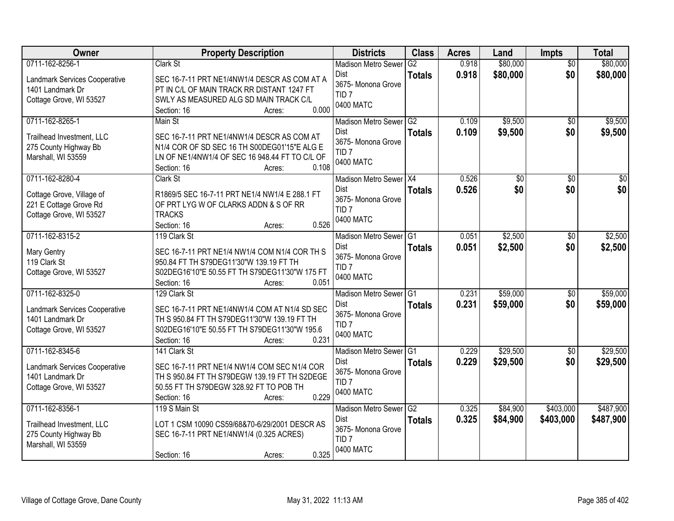| Owner                                                                                             | <b>Property Description</b>                                                                                                                                                                      | <b>Districts</b>                                                                                 | <b>Class</b>                    | <b>Acres</b>   | Land                 | <b>Impts</b>           | <b>Total</b>           |
|---------------------------------------------------------------------------------------------------|--------------------------------------------------------------------------------------------------------------------------------------------------------------------------------------------------|--------------------------------------------------------------------------------------------------|---------------------------------|----------------|----------------------|------------------------|------------------------|
| 0711-162-8256-1<br>Landmark Services Cooperative<br>1401 Landmark Dr<br>Cottage Grove, WI 53527   | Clark St<br>SEC 16-7-11 PRT NE1/4NW1/4 DESCR AS COM AT A<br>PT IN C/L OF MAIN TRACK RR DISTANT 1247 FT<br>SWLY AS MEASURED ALG SD MAIN TRACK C/L<br>0.000<br>Section: 16<br>Acres:               | <b>Madison Metro Sewer</b><br><b>Dist</b><br>3675- Monona Grove<br>TID <sub>7</sub><br>0400 MATC | G2<br><b>Totals</b>             | 0.918<br>0.918 | \$80,000<br>\$80,000 | $\overline{30}$<br>\$0 | \$80,000<br>\$80,000   |
| 0711-162-8265-1<br>Trailhead Investment, LLC<br>275 County Highway Bb<br>Marshall, WI 53559       | Main St<br>SEC 16-7-11 PRT NE1/4NW1/4 DESCR AS COM AT<br>N1/4 COR OF SD SEC 16 TH S00DEG01'15"E ALG E<br>LN OF NE1/4NW1/4 OF SEC 16 948.44 FT TO C/L OF<br>0.108<br>Section: 16<br>Acres:        | Madison Metro Sewer G2<br>Dist<br>3675- Monona Grove<br>TID <sub>7</sub><br>0400 MATC            | <b>Totals</b>                   | 0.109<br>0.109 | \$9,500<br>\$9,500   | $\overline{30}$<br>\$0 | \$9,500<br>\$9,500     |
| 0711-162-8280-4<br>Cottage Grove, Village of<br>221 E Cottage Grove Rd<br>Cottage Grove, WI 53527 | Clark St<br>R1869/5 SEC 16-7-11 PRT NE1/4 NW1/4 E 288.1 FT<br>OF PRT LYG W OF CLARKS ADDN & S OF RR<br><b>TRACKS</b><br>0.526<br>Section: 16<br>Acres:                                           | Madison Metro Sewer   X4<br>Dist<br>3675- Monona Grove<br>TID <sub>7</sub><br>0400 MATC          | <b>Totals</b>                   | 0.526<br>0.526 | \$0<br>\$0           | \$0<br>\$0             | $\overline{30}$<br>\$0 |
| 0711-162-8315-2<br>Mary Gentry<br>119 Clark St<br>Cottage Grove, WI 53527                         | 119 Clark St<br>SEC 16-7-11 PRT NE1/4 NW1/4 COM N1/4 COR TH S<br>950.84 FT TH S79DEG11'30"W 139.19 FT TH<br>S02DEG16'10"E 50.55 FT TH S79DEG11'30"W 175 FT<br>0.051<br>Section: 16<br>Acres:     | <b>Madison Metro Sewer</b><br>Dist<br>3675- Monona Grove<br>TID <sub>7</sub><br>0400 MATC        | G <sub>1</sub><br><b>Totals</b> | 0.051<br>0.051 | \$2,500<br>\$2,500   | $\sqrt{6}$<br>\$0      | \$2,500<br>\$2,500     |
| 0711-162-8325-0<br>Landmark Services Cooperative<br>1401 Landmark Dr<br>Cottage Grove, WI 53527   | 129 Clark St<br>SEC 16-7-11 PRT NE1/4NW1/4 COM AT N1/4 SD SEC<br>TH S 950.84 FT TH S79DEG11'30"W 139.19 FT TH<br>S02DEG16'10"E 50.55 FT TH S79DEG11'30"W 195.6<br>0.231<br>Section: 16<br>Acres: | Madison Metro Sewer G1<br>Dist<br>3675- Monona Grove<br>TID <sub>7</sub><br>0400 MATC            | <b>Totals</b>                   | 0.231<br>0.231 | \$59,000<br>\$59,000 | $\overline{50}$<br>\$0 | \$59,000<br>\$59,000   |
| 0711-162-8345-6<br>Landmark Services Cooperative<br>1401 Landmark Dr<br>Cottage Grove, WI 53527   | 141 Clark St<br>SEC 16-7-11 PRT NE1/4 NW1/4 COM SEC N1/4 COR<br>TH S 950.84 FT TH S79DEGW 139.19 FT TH S2DEGE<br>50.55 FT TH S79DEGW 328.92 FT TO POB TH<br>0.229<br>Section: 16<br>Acres:       | Madison Metro Sewer G1<br><b>Dist</b><br>3675- Monona Grove<br>TID <sub>7</sub><br>0400 MATC     | <b>Totals</b>                   | 0.229<br>0.229 | \$29,500<br>\$29,500 | $\sqrt{6}$<br>\$0      | \$29,500<br>\$29,500   |
| 0711-162-8356-1<br>Trailhead Investment, LLC<br>275 County Highway Bb<br>Marshall, WI 53559       | 119 S Main St<br>LOT 1 CSM 10090 CS59/68&70-6/29/2001 DESCR AS<br>SEC 16-7-11 PRT NE1/4NW1/4 (0.325 ACRES)<br>0.325<br>Section: 16<br>Acres:                                                     | Madison Metro Sewer G2<br><b>Dist</b><br>3675- Monona Grove<br>TID <sub>7</sub><br>0400 MATC     | <b>Totals</b>                   | 0.325<br>0.325 | \$84,900<br>\$84,900 | \$403,000<br>\$403,000 | \$487,900<br>\$487,900 |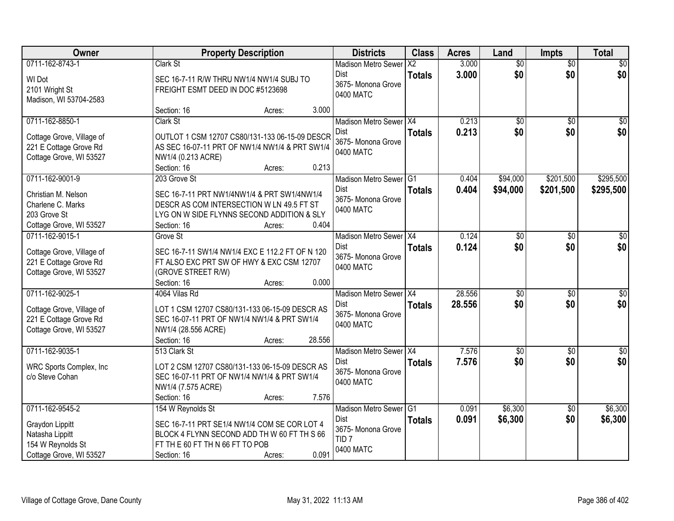| Owner                                    | <b>Property Description</b>                                                              |        |        | <b>Districts</b>                | <b>Class</b>   | <b>Acres</b>   | Land               | <b>Impts</b>    | <b>Total</b>         |
|------------------------------------------|------------------------------------------------------------------------------------------|--------|--------|---------------------------------|----------------|----------------|--------------------|-----------------|----------------------|
| 0711-162-8743-1                          | Clark St                                                                                 |        |        | <b>Madison Metro Sewer</b>      | X <sub>2</sub> | 3.000          | $\overline{50}$    | $\overline{50}$ | $\overline{50}$      |
| WI Dot                                   | SEC 16-7-11 R/W THRU NW1/4 NW1/4 SUBJ TO                                                 |        |        | Dist<br>3675- Monona Grove      | <b>Totals</b>  | 3.000          | \$0                | \$0             | \$0                  |
| 2101 Wright St                           | FREIGHT ESMT DEED IN DOC #5123698                                                        |        |        | 0400 MATC                       |                |                |                    |                 |                      |
| Madison, WI 53704-2583                   |                                                                                          |        | 3.000  |                                 |                |                |                    |                 |                      |
| 0711-162-8850-1                          | Section: 16<br>Clark St                                                                  | Acres: |        | Madison Metro Sewer   X4        |                | 0.213          | \$0                | $\overline{50}$ | \$0                  |
|                                          |                                                                                          |        |        | Dist                            | <b>Totals</b>  | 0.213          | \$0                | \$0             | \$0                  |
| Cottage Grove, Village of                | OUTLOT 1 CSM 12707 CS80/131-133 06-15-09 DESCR                                           |        |        | 3675- Monona Grove              |                |                |                    |                 |                      |
| 221 E Cottage Grove Rd                   | AS SEC 16-07-11 PRT OF NW1/4 NW1/4 & PRT SW1/4                                           |        |        | 0400 MATC                       |                |                |                    |                 |                      |
| Cottage Grove, WI 53527                  | NW1/4 (0.213 ACRE)<br>Section: 16                                                        | Acres: | 0.213  |                                 |                |                |                    |                 |                      |
| 0711-162-9001-9                          | 203 Grove St                                                                             |        |        | Madison Metro Sewer G1          |                | 0.404          | \$94,000           | \$201,500       | \$295,500            |
|                                          |                                                                                          |        |        | <b>Dist</b>                     | <b>Totals</b>  | 0.404          | \$94,000           | \$201,500       | \$295,500            |
| Christian M. Nelson<br>Charlene C. Marks | SEC 16-7-11 PRT NW1/4NW1/4 & PRT SW1/4NW1/4<br>DESCR AS COM INTERSECTION W LN 49.5 FT ST |        |        | 3675- Monona Grove              |                |                |                    |                 |                      |
| 203 Grove St                             | LYG ON W SIDE FLYNNS SECOND ADDITION & SLY                                               |        |        | 0400 MATC                       |                |                |                    |                 |                      |
| Cottage Grove, WI 53527                  | Section: 16                                                                              | Acres: | 0.404  |                                 |                |                |                    |                 |                      |
| 0711-162-9015-1                          | Grove St                                                                                 |        |        | Madison Metro Sewer X4          |                | 0.124          | \$0                | \$0             | $\sqrt[6]{}$         |
| Cottage Grove, Village of                | SEC 16-7-11 SW1/4 NW1/4 EXC E 112.2 FT OF N 120                                          |        |        | Dist                            | <b>Totals</b>  | 0.124          | \$0                | \$0             | \$0                  |
| 221 E Cottage Grove Rd                   | FT ALSO EXC PRT SW OF HWY & EXC CSM 12707                                                |        |        | 3675- Monona Grove              |                |                |                    |                 |                      |
| Cottage Grove, WI 53527                  | (GROVE STREET R/W)                                                                       |        |        | 0400 MATC                       |                |                |                    |                 |                      |
|                                          | Section: 16                                                                              | Acres: | 0.000  |                                 |                |                |                    |                 |                      |
| 0711-162-9025-1                          | 4064 Vilas Rd                                                                            |        |        | Madison Metro Sewer X4          |                | 28.556         | $\overline{30}$    | $\overline{50}$ | $\overline{\$0}$     |
| Cottage Grove, Village of                | LOT 1 CSM 12707 CS80/131-133 06-15-09 DESCR AS                                           |        |        | Dist                            | <b>Totals</b>  | 28.556         | \$0                | \$0             | \$0                  |
| 221 E Cottage Grove Rd                   | SEC 16-07-11 PRT OF NW1/4 NW1/4 & PRT SW1/4                                              |        |        | 3675- Monona Grove<br>0400 MATC |                |                |                    |                 |                      |
| Cottage Grove, WI 53527                  | NW1/4 (28.556 ACRE)                                                                      |        |        |                                 |                |                |                    |                 |                      |
|                                          | Section: 16                                                                              | Acres: | 28.556 |                                 |                |                |                    |                 |                      |
| 0711-162-9035-1                          | 513 Clark St                                                                             |        |        | Madison Metro Sewer X4<br>Dist  |                | 7.576<br>7.576 | $\sqrt{$0}$<br>\$0 | \$0<br>\$0      | $\frac{1}{6}$<br>\$0 |
| WRC Sports Complex, Inc                  | LOT 2 CSM 12707 CS80/131-133 06-15-09 DESCR AS                                           |        |        | 3675- Monona Grove              | <b>Totals</b>  |                |                    |                 |                      |
| c/o Steve Cohan                          | SEC 16-07-11 PRT OF NW1/4 NW1/4 & PRT SW1/4                                              |        |        | 0400 MATC                       |                |                |                    |                 |                      |
|                                          | NW1/4 (7.575 ACRE)<br>Section: 16                                                        | Acres: | 7.576  |                                 |                |                |                    |                 |                      |
| 0711-162-9545-2                          | 154 W Reynolds St                                                                        |        |        | Madison Metro Sewer G1          |                | 0.091          | \$6,300            | $\overline{30}$ | \$6,300              |
|                                          |                                                                                          |        |        | <b>Dist</b>                     | <b>Totals</b>  | 0.091          | \$6,300            | \$0             | \$6,300              |
| Graydon Lippitt                          | SEC 16-7-11 PRT SE1/4 NW1/4 COM SE COR LOT 4                                             |        |        | 3675- Monona Grove              |                |                |                    |                 |                      |
| Natasha Lippitt<br>154 W Reynolds St     | BLOCK 4 FLYNN SECOND ADD TH W 60 FT TH S 66<br>FT TH E 60 FT TH N 66 FT TO POB           |        |        | TID <sub>7</sub>                |                |                |                    |                 |                      |
| Cottage Grove, WI 53527                  | Section: 16                                                                              | Acres: | 0.091  | 0400 MATC                       |                |                |                    |                 |                      |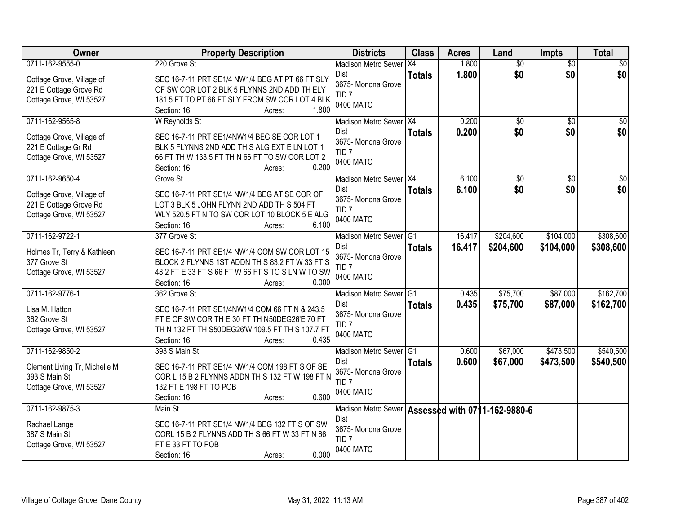| Owner                                          | <b>Property Description</b>                       | <b>Districts</b>                                  | <b>Class</b>  | <b>Acres</b> | Land            | <b>Impts</b>    | <b>Total</b>    |
|------------------------------------------------|---------------------------------------------------|---------------------------------------------------|---------------|--------------|-----------------|-----------------|-----------------|
| 0711-162-9555-0                                | 220 Grove St                                      | <b>Madison Metro Sewer</b>                        | X4            | 1.800        | $\overline{50}$ | $\overline{50}$ | $\sqrt{30}$     |
| Cottage Grove, Village of                      | SEC 16-7-11 PRT SE1/4 NW1/4 BEG AT PT 66 FT SLY   | Dist                                              | <b>Totals</b> | 1.800        | \$0             | \$0             | \$0             |
| 221 E Cottage Grove Rd                         | OF SW COR LOT 2 BLK 5 FLYNNS 2ND ADD TH ELY       | 3675- Monona Grove                                |               |              |                 |                 |                 |
| Cottage Grove, WI 53527                        | 181.5 FT TO PT 66 FT SLY FROM SW COR LOT 4 BLK    | TID <sub>7</sub>                                  |               |              |                 |                 |                 |
|                                                | 1.800<br>Section: 16<br>Acres:                    | 0400 MATC                                         |               |              |                 |                 |                 |
| 0711-162-9565-8                                | W Reynolds St                                     | Madison Metro Sewer   X4                          |               | 0.200        | $\overline{50}$ | $\overline{30}$ | $\overline{50}$ |
| Cottage Grove, Village of                      | SEC 16-7-11 PRT SE1/4NW1/4 BEG SE COR LOT 1       | Dist                                              | <b>Totals</b> | 0.200        | \$0             | \$0             | \$0             |
| 221 E Cottage Gr Rd                            | BLK 5 FLYNNS 2ND ADD TH S ALG EXT E LN LOT 1      | 3675- Monona Grove                                |               |              |                 |                 |                 |
| Cottage Grove, WI 53527                        | 66 FT TH W 133.5 FT TH N 66 FT TO SW COR LOT 2    | TID <sub>7</sub>                                  |               |              |                 |                 |                 |
|                                                | 0.200<br>Section: 16<br>Acres:                    | 0400 MATC                                         |               |              |                 |                 |                 |
| 0711-162-9650-4                                | Grove St                                          | Madison Metro Sewer X4                            |               | 6.100        | \$0             | \$0             | \$0             |
| Cottage Grove, Village of                      | SEC 16-7-11 PRT SE1/4 NW1/4 BEG AT SE COR OF      | <b>Dist</b>                                       | <b>Totals</b> | 6.100        | \$0             | \$0             | \$0             |
| 221 E Cottage Grove Rd                         | LOT 3 BLK 5 JOHN FLYNN 2ND ADD TH S 504 FT        | 3675- Monona Grove                                |               |              |                 |                 |                 |
| Cottage Grove, WI 53527                        | WLY 520.5 FT N TO SW COR LOT 10 BLOCK 5 E ALG     | TID <sub>7</sub>                                  |               |              |                 |                 |                 |
|                                                | Section: 16<br>6.100<br>Acres:                    | 0400 MATC                                         |               |              |                 |                 |                 |
| 0711-162-9722-1                                | 377 Grove St                                      | Madison Metro Sewer G1                            |               | 16.417       | \$204,600       | \$104,000       | \$308,600       |
|                                                | SEC 16-7-11 PRT SE1/4 NW1/4 COM SW COR LOT 15     | Dist                                              | <b>Totals</b> | 16.417       | \$204,600       | \$104,000       | \$308,600       |
| Holmes Tr, Terry & Kathleen<br>377 Grove St    | BLOCK 2 FLYNNS 1ST ADDN TH S 83.2 FT W 33 FT S    | 3675- Monona Grove                                |               |              |                 |                 |                 |
| Cottage Grove, WI 53527                        | 48.2 FT E 33 FT S 66 FT W 66 FT S TO S LN W TO SW | TID <sub>7</sub>                                  |               |              |                 |                 |                 |
|                                                | 0.000<br>Section: 16<br>Acres:                    | 0400 MATC                                         |               |              |                 |                 |                 |
| 0711-162-9776-1                                | 362 Grove St                                      | Madison Metro Sewer G1                            |               | 0.435        | \$75,700        | \$87,000        | \$162,700       |
| Lisa M. Hatton                                 | SEC 16-7-11 PRT SE1/4NW1/4 COM 66 FT N & 243.5    | Dist                                              | <b>Totals</b> | 0.435        | \$75,700        | \$87,000        | \$162,700       |
| 362 Grove St                                   | FT E OF SW COR TH E 30 FT TH N50DEG26'E 70 FT     | 3675- Monona Grove                                |               |              |                 |                 |                 |
| Cottage Grove, WI 53527                        | TH N 132 FT TH S50DEG26'W 109.5 FT TH S 107.7 FT  | TID <sub>7</sub>                                  |               |              |                 |                 |                 |
|                                                | 0.435<br>Section: 16<br>Acres:                    | 0400 MATC                                         |               |              |                 |                 |                 |
| 0711-162-9850-2                                | 393 S Main St                                     | Madison Metro Sewer G1                            |               | 0.600        | \$67,000        | \$473,500       | \$540,500       |
|                                                | SEC 16-7-11 PRT SE1/4 NW1/4 COM 198 FT S OF SE    | Dist                                              | <b>Totals</b> | 0.600        | \$67,000        | \$473,500       | \$540,500       |
| Clement Living Tr, Michelle M<br>393 S Main St | COR L 15 B 2 FLYNNS ADDN TH S 132 FT W 198 FT N   | 3675- Monona Grove                                |               |              |                 |                 |                 |
| Cottage Grove, WI 53527                        | 132 FT E 198 FT TO POB                            | TID <sub>7</sub>                                  |               |              |                 |                 |                 |
|                                                | 0.600<br>Section: 16<br>Acres:                    | 0400 MATC                                         |               |              |                 |                 |                 |
| 0711-162-9875-3                                | Main St                                           | Madison Metro Sewer Assessed with 0711-162-9880-6 |               |              |                 |                 |                 |
|                                                | SEC 16-7-11 PRT SE1/4 NW1/4 BEG 132 FT S OF SW    | Dist                                              |               |              |                 |                 |                 |
| Rachael Lange<br>387 S Main St                 | CORL 15 B 2 FLYNNS ADD TH S 66 FT W 33 FT N 66    | 3675- Monona Grove                                |               |              |                 |                 |                 |
| Cottage Grove, WI 53527                        | FT E 33 FT TO POB                                 | TID <sub>7</sub>                                  |               |              |                 |                 |                 |
|                                                | 0.000<br>Section: 16<br>Acres:                    | 0400 MATC                                         |               |              |                 |                 |                 |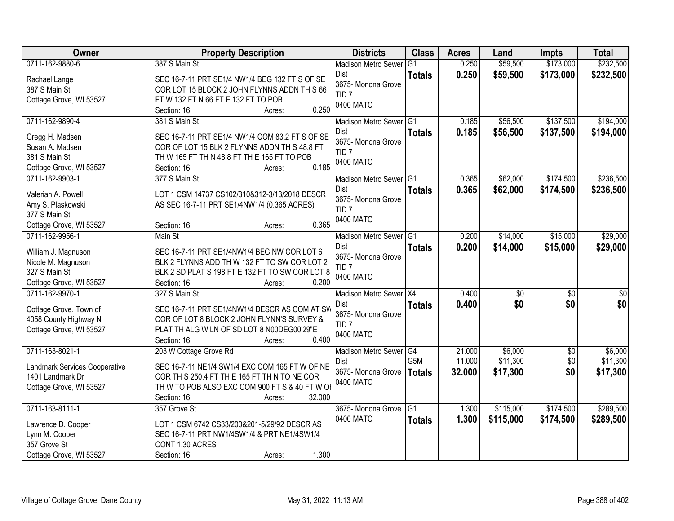| Owner                              | <b>Property Description</b>                                                                     | <b>Districts</b>                               | <b>Class</b>  | <b>Acres</b>   | Land                 | <b>Impts</b>           | <b>Total</b>           |
|------------------------------------|-------------------------------------------------------------------------------------------------|------------------------------------------------|---------------|----------------|----------------------|------------------------|------------------------|
| 0711-162-9880-6                    | 387 S Main St                                                                                   | <b>Madison Metro Sewer</b>                     | G1            | 0.250          | \$59,500             | \$173,000              | \$232,500              |
| Rachael Lange<br>387 S Main St     | SEC 16-7-11 PRT SE1/4 NW1/4 BEG 132 FT S OF SE<br>COR LOT 15 BLOCK 2 JOHN FLYNNS ADDN TH S 66   | Dist<br>3675- Monona Grove<br>TID <sub>7</sub> | <b>Totals</b> | 0.250          | \$59,500             | \$173,000              | \$232,500              |
| Cottage Grove, WI 53527            | FTW 132 FTN 66 FTE 132 FT TO POB<br>0.250<br>Section: 16<br>Acres:                              | 0400 MATC                                      |               |                |                      |                        |                        |
| 0711-162-9890-4                    | 381 S Main St                                                                                   | Madison Metro Sewer G1<br>Dist                 | <b>Totals</b> | 0.185<br>0.185 | \$56,500<br>\$56,500 | \$137,500<br>\$137,500 | \$194,000<br>\$194,000 |
| Gregg H. Madsen<br>Susan A. Madsen | SEC 16-7-11 PRT SE1/4 NW1/4 COM 83.2 FT S OF SE<br>COR OF LOT 15 BLK 2 FLYNNS ADDN TH S 48.8 FT | 3675- Monona Grove                             |               |                |                      |                        |                        |
| 381 S Main St                      | TH W 165 FT TH N 48.8 FT TH E 165 FT TO POB                                                     | TID <sub>7</sub><br>0400 MATC                  |               |                |                      |                        |                        |
| Cottage Grove, WI 53527            | 0.185<br>Section: 16<br>Acres:                                                                  |                                                |               |                |                      |                        |                        |
| 0711-162-9903-1                    | 377 S Main St                                                                                   | Madison Metro Sewer G1                         |               | 0.365          | \$62,000             | \$174,500              | \$236,500              |
| Valerian A. Powell                 | LOT 1 CSM 14737 CS102/310&312-3/13/2018 DESCR                                                   | Dist<br>3675- Monona Grove                     | <b>Totals</b> | 0.365          | \$62,000             | \$174,500              | \$236,500              |
| Amy S. Plaskowski                  | AS SEC 16-7-11 PRT SE1/4NW1/4 (0.365 ACRES)                                                     | TID <sub>7</sub>                               |               |                |                      |                        |                        |
| 377 S Main St                      |                                                                                                 | 0400 MATC                                      |               |                |                      |                        |                        |
| Cottage Grove, WI 53527            | 0.365<br>Section: 16<br>Acres:                                                                  |                                                |               |                |                      |                        |                        |
| 0711-162-9956-1                    | Main St                                                                                         | Madison Metro Sewer G1                         |               | 0.200          | \$14,000             | \$15,000               | \$29,000               |
| William J. Magnuson                | SEC 16-7-11 PRT SE1/4NW1/4 BEG NW COR LOT 6                                                     | Dist<br>3675- Monona Grove                     | <b>Totals</b> | 0.200          | \$14,000             | \$15,000               | \$29,000               |
| Nicole M. Magnuson                 | BLK 2 FLYNNS ADD TH W 132 FT TO SW COR LOT 2                                                    | TID <sub>7</sub>                               |               |                |                      |                        |                        |
| 327 S Main St                      | BLK 2 SD PLAT S 198 FT E 132 FT TO SW COR LOT 8                                                 | 0400 MATC                                      |               |                |                      |                        |                        |
| Cottage Grove, WI 53527            | 0.200<br>Section: 16<br>Acres:                                                                  |                                                |               |                |                      |                        |                        |
| 0711-162-9970-1                    | 327 S Main St                                                                                   | Madison Metro Sewer X4                         |               | 0.400          | \$0                  | $\overline{50}$        | \$0                    |
| Cottage Grove, Town of             | SEC 16-7-11 PRT SE1/4NW1/4 DESCR AS COM AT SW                                                   | Dist                                           | <b>Totals</b> | 0.400          | \$0                  | \$0                    | \$0                    |
| 4058 County Highway N              | COR OF LOT 8 BLOCK 2 JOHN FLYNN'S SURVEY &                                                      | 3675- Monona Grove<br>TID <sub>7</sub>         |               |                |                      |                        |                        |
| Cottage Grove, WI 53527            | PLAT TH ALG W LN OF SD LOT 8 N00DEG00'29"E                                                      | 0400 MATC                                      |               |                |                      |                        |                        |
|                                    | 0.400<br>Section: 16<br>Acres:                                                                  |                                                |               |                |                      |                        |                        |
| 0711-163-8021-1                    | 203 W Cottage Grove Rd                                                                          | Madison Metro Sewer <sup>G4</sup>              |               | 21.000         | \$6,000              | $\sqrt{6}$             | \$6,000                |
| Landmark Services Cooperative      | SEC 16-7-11 NE1/4 SW1/4 EXC COM 165 FT W OF NE                                                  | Dist                                           | G5M           | 11.000         | \$11,300             | \$0                    | \$11,300               |
| 1401 Landmark Dr                   | COR TH S 250.4 FT TH E 165 FT TH N TO NE COR                                                    | 3675- Monona Grove                             | <b>Totals</b> | 32.000         | \$17,300             | \$0                    | \$17,300               |
| Cottage Grove, WI 53527            | TH W TO POB ALSO EXC COM 900 FT S & 40 FT W OI                                                  | 0400 MATC                                      |               |                |                      |                        |                        |
|                                    | 32.000<br>Section: 16<br>Acres:                                                                 |                                                |               |                |                      |                        |                        |
| 0711-163-8111-1                    | 357 Grove St                                                                                    | 3675- Monona Grove                             | G1            | 1.300          | \$115,000            | \$174,500              | \$289,500              |
| Lawrence D. Cooper                 | LOT 1 CSM 6742 CS33/200&201-5/29/92 DESCR AS                                                    | 0400 MATC                                      | <b>Totals</b> | 1.300          | \$115,000            | \$174,500              | \$289,500              |
| Lynn M. Cooper                     | SEC 16-7-11 PRT NW1/4SW1/4 & PRT NE1/4SW1/4                                                     |                                                |               |                |                      |                        |                        |
| 357 Grove St                       | CONT 1.30 ACRES                                                                                 |                                                |               |                |                      |                        |                        |
| Cottage Grove, WI 53527            | 1.300<br>Section: 16<br>Acres:                                                                  |                                                |               |                |                      |                        |                        |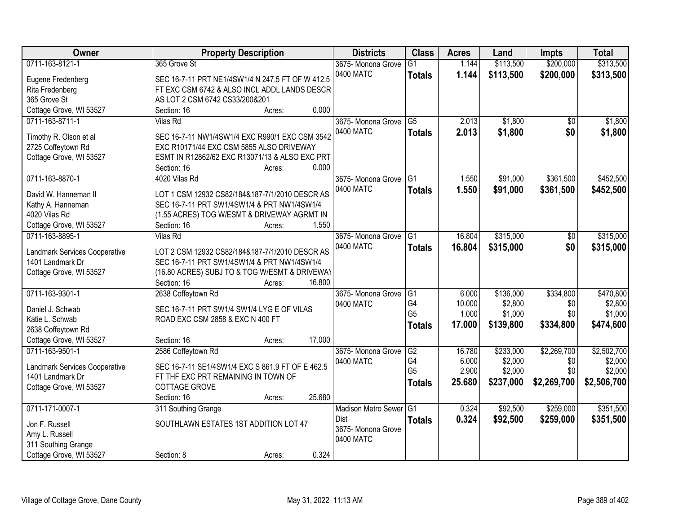| Owner                         | <b>Property Description</b>                             | <b>Districts</b>           | <b>Class</b>    | <b>Acres</b> | Land      | <b>Impts</b>    | <b>Total</b> |
|-------------------------------|---------------------------------------------------------|----------------------------|-----------------|--------------|-----------|-----------------|--------------|
| 0711-163-8121-1               | 365 Grove St                                            | 3675- Monona Grove         | $\overline{G1}$ | 1.144        | \$113,500 | \$200,000       | \$313,500    |
| Eugene Fredenberg             | SEC 16-7-11 PRT NE1/4SW1/4 N 247.5 FT OF W 412.5        | 0400 MATC                  | <b>Totals</b>   | 1.144        | \$113,500 | \$200,000       | \$313,500    |
| Rita Fredenberg               | FT EXC CSM 6742 & ALSO INCL ADDL LANDS DESCR            |                            |                 |              |           |                 |              |
| 365 Grove St                  | AS LOT 2 CSM 6742 CS33/200&201                          |                            |                 |              |           |                 |              |
| Cottage Grove, WI 53527       | 0.000<br>Section: 16<br>Acres:                          |                            |                 |              |           |                 |              |
| 0711-163-8711-1               | Vilas Rd                                                | 3675- Monona Grove         | $\overline{G5}$ | 2.013        | \$1,800   | $\overline{50}$ | \$1,800      |
|                               |                                                         | 0400 MATC                  | <b>Totals</b>   | 2.013        | \$1,800   | \$0             | \$1,800      |
| Timothy R. Olson et al        | SEC 16-7-11 NW1/4SW1/4 EXC R990/1 EXC CSM 3542          |                            |                 |              |           |                 |              |
| 2725 Coffeytown Rd            | EXC R10171/44 EXC CSM 5855 ALSO DRIVEWAY                |                            |                 |              |           |                 |              |
| Cottage Grove, WI 53527       | ESMT IN R12862/62 EXC R13071/13 & ALSO EXC PRT          |                            |                 |              |           |                 |              |
|                               | 0.000<br>Section: 16<br>Acres:                          |                            |                 |              |           |                 |              |
| 0711-163-8870-1               | 4020 Vilas Rd                                           | 3675- Monona Grove         | IG1             | 1.550        | \$91,000  | \$361,500       | \$452,500    |
| David W. Hanneman II          | LOT 1 CSM 12932 CS82/184&187-7/1/2010 DESCR AS          | 0400 MATC                  | <b>Totals</b>   | 1.550        | \$91,000  | \$361,500       | \$452,500    |
| Kathy A. Hanneman             | SEC 16-7-11 PRT SW1/4SW1/4 & PRT NW1/4SW1/4             |                            |                 |              |           |                 |              |
| 4020 Vilas Rd                 | (1.55 ACRES) TOG W/ESMT & DRIVEWAY AGRMT IN             |                            |                 |              |           |                 |              |
| Cottage Grove, WI 53527       | 1.550<br>Section: 16<br>Acres:                          |                            |                 |              |           |                 |              |
| 0711-163-8895-1               | <b>Vilas Rd</b>                                         | 3675- Monona Grove         | G1              | 16.804       | \$315,000 | \$0             | \$315,000    |
|                               |                                                         | 0400 MATC                  | <b>Totals</b>   | 16.804       | \$315,000 | \$0             | \$315,000    |
| Landmark Services Cooperative | LOT 2 CSM 12932 CS82/184&187-7/1/2010 DESCR AS          |                            |                 |              |           |                 |              |
| 1401 Landmark Dr              | SEC 16-7-11 PRT SW1/4SW1/4 & PRT NW1/4SW1/4             |                            |                 |              |           |                 |              |
| Cottage Grove, WI 53527       | (16.80 ACRES) SUBJ TO & TOG W/ESMT & DRIVEWAY<br>16.800 |                            |                 |              |           |                 |              |
| 0711-163-9301-1               | Section: 16<br>Acres:<br>2638 Coffeytown Rd             | 3675- Monona Grove         | G1              | 6.000        | \$136,000 | \$334,800       | \$470,800    |
|                               |                                                         |                            | G <sub>4</sub>  | 10.000       | \$2,800   | \$0             | \$2,800      |
| Daniel J. Schwab              | SEC 16-7-11 PRT SW1/4 SW1/4 LYG E OF VILAS              | 0400 MATC                  | G <sub>5</sub>  | 1.000        | \$1,000   | \$0             | \$1,000      |
| Katie L. Schwab               | ROAD EXC CSM 2858 & EXC N 400 FT                        |                            |                 |              |           |                 |              |
| 2638 Coffeytown Rd            |                                                         |                            | <b>Totals</b>   | 17.000       | \$139,800 | \$334,800       | \$474,600    |
| Cottage Grove, WI 53527       | 17.000<br>Section: 16<br>Acres:                         |                            |                 |              |           |                 |              |
| 0711-163-9501-1               | 2586 Coffeytown Rd                                      | 3675- Monona Grove         | G2              | 16.780       | \$233,000 | \$2,269,700     | \$2,502,700  |
| Landmark Services Cooperative | SEC 16-7-11 SE1/4SW1/4 EXC S 861.9 FT OF E 462.5        | 0400 MATC                  | G4              | 6.000        | \$2,000   | \$0             | \$2,000      |
| 1401 Landmark Dr              | FT THE EXC PRT REMAINING IN TOWN OF                     |                            | G <sub>5</sub>  | 2.900        | \$2,000   | \$0             | \$2,000      |
| Cottage Grove, WI 53527       | COTTAGE GROVE                                           |                            | <b>Totals</b>   | 25.680       | \$237,000 | \$2,269,700     | \$2,506,700  |
|                               | 25.680<br>Section: 16<br>Acres:                         |                            |                 |              |           |                 |              |
| 0711-171-0007-1               | 311 Southing Grange                                     | <b>Madison Metro Sewer</b> | IG1             | 0.324        | \$92,500  | \$259,000       | \$351,500    |
|                               |                                                         | Dist                       | <b>Totals</b>   | 0.324        | \$92,500  | \$259,000       | \$351,500    |
| Jon F. Russell                | SOUTHLAWN ESTATES 1ST ADDITION LOT 47                   | 3675- Monona Grove         |                 |              |           |                 |              |
| Amy L. Russell                |                                                         | 0400 MATC                  |                 |              |           |                 |              |
| 311 Southing Grange           |                                                         |                            |                 |              |           |                 |              |
| Cottage Grove, WI 53527       | 0.324<br>Section: 8<br>Acres:                           |                            |                 |              |           |                 |              |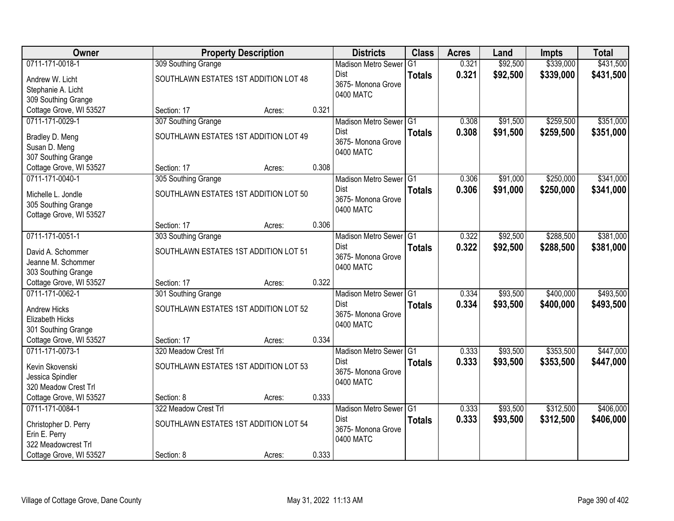| Owner                   |                                       | <b>Property Description</b> |       |                                 | <b>Class</b>  | <b>Acres</b> | Land     | <b>Impts</b> | <b>Total</b> |
|-------------------------|---------------------------------------|-----------------------------|-------|---------------------------------|---------------|--------------|----------|--------------|--------------|
| 0711-171-0018-1         | 309 Southing Grange                   |                             |       | <b>Madison Metro Sewer</b>      | G1            | 0.321        | \$92,500 | \$339,000    | \$431,500    |
| Andrew W. Licht         | SOUTHLAWN ESTATES 1ST ADDITION LOT 48 |                             |       | Dist                            | <b>Totals</b> | 0.321        | \$92,500 | \$339,000    | \$431,500    |
| Stephanie A. Licht      |                                       |                             |       | 3675- Monona Grove              |               |              |          |              |              |
| 309 Southing Grange     |                                       |                             |       | 0400 MATC                       |               |              |          |              |              |
| Cottage Grove, WI 53527 | Section: 17                           | Acres:                      | 0.321 |                                 |               |              |          |              |              |
| 0711-171-0029-1         | 307 Southing Grange                   |                             |       | Madison Metro Sewer G1          |               | 0.308        | \$91,500 | \$259,500    | \$351,000    |
| Bradley D. Meng         | SOUTHLAWN ESTATES 1ST ADDITION LOT 49 |                             |       | Dist                            | <b>Totals</b> | 0.308        | \$91,500 | \$259,500    | \$351,000    |
| Susan D. Meng           |                                       |                             |       | 3675- Monona Grove<br>0400 MATC |               |              |          |              |              |
| 307 Southing Grange     |                                       |                             |       |                                 |               |              |          |              |              |
| Cottage Grove, WI 53527 | Section: 17                           | Acres:                      | 0.308 |                                 |               |              |          |              |              |
| 0711-171-0040-1         | 305 Southing Grange                   |                             |       | Madison Metro Sewer G1          |               | 0.306        | \$91,000 | \$250,000    | \$341,000    |
| Michelle L. Jondle      | SOUTHLAWN ESTATES 1ST ADDITION LOT 50 |                             |       | Dist                            | <b>Totals</b> | 0.306        | \$91,000 | \$250,000    | \$341,000    |
| 305 Southing Grange     |                                       |                             |       | 3675- Monona Grove<br>0400 MATC |               |              |          |              |              |
| Cottage Grove, WI 53527 |                                       |                             |       |                                 |               |              |          |              |              |
|                         | Section: 17                           | Acres:                      | 0.306 |                                 |               |              |          |              |              |
| 0711-171-0051-1         | 303 Southing Grange                   |                             |       | Madison Metro Sewer G1          |               | 0.322        | \$92,500 | \$288,500    | \$381,000    |
| David A. Schommer       | SOUTHLAWN ESTATES 1ST ADDITION LOT 51 |                             |       | Dist                            | <b>Totals</b> | 0.322        | \$92,500 | \$288,500    | \$381,000    |
| Jeanne M. Schommer      |                                       |                             |       | 3675- Monona Grove<br>0400 MATC |               |              |          |              |              |
| 303 Southing Grange     |                                       |                             |       |                                 |               |              |          |              |              |
| Cottage Grove, WI 53527 | Section: 17                           | Acres:                      | 0.322 |                                 |               |              |          |              |              |
| 0711-171-0062-1         | 301 Southing Grange                   |                             |       | Madison Metro Sewer G1          |               | 0.334        | \$93,500 | \$400,000    | \$493,500    |
| <b>Andrew Hicks</b>     | SOUTHLAWN ESTATES 1ST ADDITION LOT 52 |                             |       | Dist                            | <b>Totals</b> | 0.334        | \$93,500 | \$400,000    | \$493,500    |
| Elizabeth Hicks         |                                       |                             |       | 3675- Monona Grove<br>0400 MATC |               |              |          |              |              |
| 301 Southing Grange     |                                       |                             |       |                                 |               |              |          |              |              |
| Cottage Grove, WI 53527 | Section: 17                           | Acres:                      | 0.334 |                                 |               |              |          |              |              |
| 0711-171-0073-1         | 320 Meadow Crest Trl                  |                             |       | Madison Metro Sewer G1          |               | 0.333        | \$93,500 | \$353,500    | \$447,000    |
| Kevin Skovenski         | SOUTHLAWN ESTATES 1ST ADDITION LOT 53 |                             |       | Dist                            | <b>Totals</b> | 0.333        | \$93,500 | \$353,500    | \$447,000    |
| Jessica Spindler        |                                       |                             |       | 3675- Monona Grove<br>0400 MATC |               |              |          |              |              |
| 320 Meadow Crest Trl    |                                       |                             |       |                                 |               |              |          |              |              |
| Cottage Grove, WI 53527 | Section: 8                            | Acres:                      | 0.333 |                                 |               |              |          |              |              |
| 0711-171-0084-1         | 322 Meadow Crest Trl                  |                             |       | Madison Metro Sewer G1          |               | 0.333        | \$93,500 | \$312,500    | \$406,000    |
| Christopher D. Perry    | SOUTHLAWN ESTATES 1ST ADDITION LOT 54 |                             |       | Dist                            | <b>Totals</b> | 0.333        | \$93,500 | \$312,500    | \$406,000    |
| Erin E. Perry           |                                       |                             |       | 3675- Monona Grove<br>0400 MATC |               |              |          |              |              |
| 322 Meadowcrest Trl     |                                       |                             |       |                                 |               |              |          |              |              |
| Cottage Grove, WI 53527 | Section: 8                            | Acres:                      | 0.333 |                                 |               |              |          |              |              |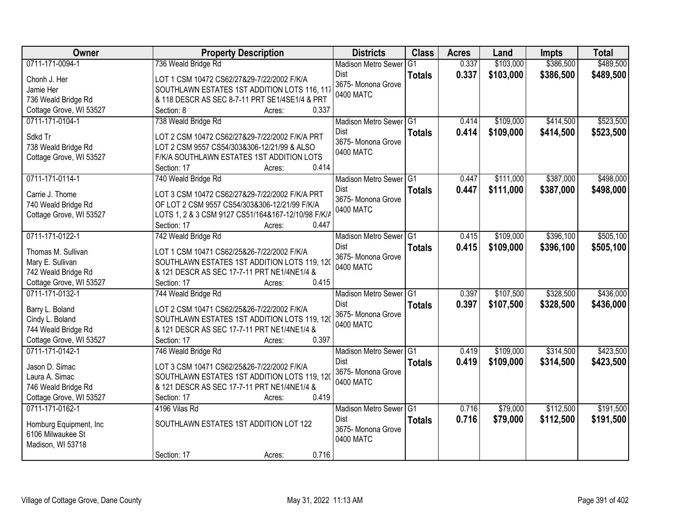| \$386,500<br>0711-171-0094-1<br>736 Weald Bridge Rd<br>\$103,000<br>\$489,500<br>G <sub>1</sub><br>0.337<br><b>Madison Metro Sewer</b><br>0.337<br>\$103,000<br>\$386,500<br>\$489,500<br><b>Dist</b><br><b>Totals</b><br>Chonh J. Her<br>LOT 1 CSM 10472 CS62/27&29-7/22/2002 F/K/A<br>3675- Monona Grove<br>SOUTHLAWN ESTATES 1ST ADDITION LOTS 116, 117<br>Jamie Her<br>0400 MATC<br>& 118 DESCR AS SEC 8-7-11 PRT SE1/4SE1/4 & PRT<br>736 Weald Bridge Rd<br>Cottage Grove, WI 53527<br>0.337<br>Section: 8<br>Acres:<br>\$414,500<br>0711-171-0104-1<br>738 Weald Bridge Rd<br>Madison Metro Sewer G1<br>\$109,000<br>0.414<br>0.414<br>\$109,000<br>\$414,500<br><b>Dist</b><br><b>Totals</b><br>Sdkd Tr<br>LOT 2 CSM 10472 CS62/27&29-7/22/2002 F/K/A PRT<br>3675- Monona Grove<br>738 Weald Bridge Rd<br>LOT 2 CSM 9557 CS54/303&306-12/21/99 & ALSO<br>0400 MATC<br>Cottage Grove, WI 53527<br>F/K/A SOUTHLAWN ESTATES 1ST ADDITION LOTS<br>0.414<br>Section: 17<br>Acres:<br>\$387,000<br>0711-171-0114-1<br>\$111,000<br>740 Weald Bridge Rd<br>Madison Metro Sewer G1<br>0.447<br><b>Dist</b><br>\$111,000<br>\$387,000<br>0.447<br><b>Totals</b><br>Carrie J. Thome<br>LOT 3 CSM 10472 CS62/27&29-7/22/2002 F/K/A PRT<br>3675-Monona Grove<br>740 Weald Bridge Rd<br>OF LOT 2 CSM 9557 CS54/303&306-12/21/99 F/K/A<br>0400 MATC<br>Cottage Grove, WI 53527<br>LOTS 1, 2 & 3 CSM 9127 CS51/164&167-12/10/98 F/K/A<br>0.447<br>Section: 17<br>Acres:<br>0711-171-0122-1<br>\$109,000<br>\$396,100<br>742 Weald Bridge Rd<br>Madison Metro Sewer G1<br>0.415<br><b>Dist</b><br>0.415<br>\$109,000<br>\$396,100<br><b>Totals</b><br>Thomas M. Sullivan<br>LOT 1 CSM 10471 CS62/25&26-7/22/2002 F/K/A<br>3675- Monona Grove<br>SOUTHLAWN ESTATES 1ST ADDITION LOTS 119, 120<br>Mary E. Sullivan<br>0400 MATC<br>742 Weald Bridge Rd<br>& 121 DESCR AS SEC 17-7-11 PRT NE1/4NE1/4 &<br>0.415<br>Cottage Grove, WI 53527<br>Section: 17<br>Acres:<br>\$107,500<br>\$328,500<br>0711-171-0132-1<br>0.397<br>744 Weald Bridge Rd<br>Madison Metro Sewer G1<br>Dist<br>0.397<br>\$107,500<br>\$328,500<br><b>Totals</b><br>Barry L. Boland<br>LOT 2 CSM 10471 CS62/25&26-7/22/2002 F/K/A<br>3675- Monona Grove<br>SOUTHLAWN ESTATES 1ST ADDITION LOTS 119, 120<br>Cindy L. Boland<br>0400 MATC<br>& 121 DESCR AS SEC 17-7-11 PRT NE1/4NE1/4 &<br>744 Weald Bridge Rd<br>Cottage Grove, WI 53527<br>0.397<br>Section: 17<br>Acres:<br>0711-171-0142-1<br>\$314,500<br>\$109,000<br>746 Weald Bridge Rd<br>Madison Metro Sewer G1<br>0.419<br>0.419<br>\$109,000<br>\$314,500<br><b>Dist</b><br><b>Totals</b><br>Jason D. Simac<br>LOT 3 CSM 10471 CS62/25&26-7/22/2002 F/K/A<br>3675- Monona Grove<br>SOUTHLAWN ESTATES 1ST ADDITION LOTS 119, 120<br>Laura A. Simac<br>0400 MATC<br>746 Weald Bridge Rd<br>& 121 DESCR AS SEC 17-7-11 PRT NE1/4NE1/4 &<br>Cottage Grove, WI 53527<br>0.419<br>Section: 17<br>Acres:<br>0711-171-0162-1<br>\$79,000<br>\$112,500<br>4196 Vilas Rd<br>Madison Metro Sewer G1<br>0.716<br>Dist<br>0.716<br>\$79,000<br>\$112,500<br><b>Totals</b><br>SOUTHLAWN ESTATES 1ST ADDITION LOT 122<br>Homburg Equipment, Inc.<br>3675- Monona Grove<br>6106 Milwaukee St<br>0400 MATC<br>Madison, WI 53718 | Owner | <b>Property Description</b>    | <b>Districts</b> | <b>Class</b> | <b>Acres</b> | Land | <b>Impts</b> | <b>Total</b> |
|-------------------------------------------------------------------------------------------------------------------------------------------------------------------------------------------------------------------------------------------------------------------------------------------------------------------------------------------------------------------------------------------------------------------------------------------------------------------------------------------------------------------------------------------------------------------------------------------------------------------------------------------------------------------------------------------------------------------------------------------------------------------------------------------------------------------------------------------------------------------------------------------------------------------------------------------------------------------------------------------------------------------------------------------------------------------------------------------------------------------------------------------------------------------------------------------------------------------------------------------------------------------------------------------------------------------------------------------------------------------------------------------------------------------------------------------------------------------------------------------------------------------------------------------------------------------------------------------------------------------------------------------------------------------------------------------------------------------------------------------------------------------------------------------------------------------------------------------------------------------------------------------------------------------------------------------------------------------------------------------------------------------------------------------------------------------------------------------------------------------------------------------------------------------------------------------------------------------------------------------------------------------------------------------------------------------------------------------------------------------------------------------------------------------------------------------------------------------------------------------------------------------------------------------------------------------------------------------------------------------------------------------------------------------------------------------------------------------------------------------------------------------------------------------------------------------------------------------------------------------------------------------------------------------------------------------------------------------------------------------------------------------------------------------------------------------------------------------------------------------------------------------------------------------------------------------------------------------------------------|-------|--------------------------------|------------------|--------------|--------------|------|--------------|--------------|
|                                                                                                                                                                                                                                                                                                                                                                                                                                                                                                                                                                                                                                                                                                                                                                                                                                                                                                                                                                                                                                                                                                                                                                                                                                                                                                                                                                                                                                                                                                                                                                                                                                                                                                                                                                                                                                                                                                                                                                                                                                                                                                                                                                                                                                                                                                                                                                                                                                                                                                                                                                                                                                                                                                                                                                                                                                                                                                                                                                                                                                                                                                                                                                                                                                     |       |                                |                  |              |              |      |              |              |
|                                                                                                                                                                                                                                                                                                                                                                                                                                                                                                                                                                                                                                                                                                                                                                                                                                                                                                                                                                                                                                                                                                                                                                                                                                                                                                                                                                                                                                                                                                                                                                                                                                                                                                                                                                                                                                                                                                                                                                                                                                                                                                                                                                                                                                                                                                                                                                                                                                                                                                                                                                                                                                                                                                                                                                                                                                                                                                                                                                                                                                                                                                                                                                                                                                     |       |                                |                  |              |              |      |              |              |
| \$523,500<br>\$523,500<br>\$498,000<br>\$498,000<br>\$505,100<br>\$505,100                                                                                                                                                                                                                                                                                                                                                                                                                                                                                                                                                                                                                                                                                                                                                                                                                                                                                                                                                                                                                                                                                                                                                                                                                                                                                                                                                                                                                                                                                                                                                                                                                                                                                                                                                                                                                                                                                                                                                                                                                                                                                                                                                                                                                                                                                                                                                                                                                                                                                                                                                                                                                                                                                                                                                                                                                                                                                                                                                                                                                                                                                                                                                          |       |                                |                  |              |              |      |              |              |
|                                                                                                                                                                                                                                                                                                                                                                                                                                                                                                                                                                                                                                                                                                                                                                                                                                                                                                                                                                                                                                                                                                                                                                                                                                                                                                                                                                                                                                                                                                                                                                                                                                                                                                                                                                                                                                                                                                                                                                                                                                                                                                                                                                                                                                                                                                                                                                                                                                                                                                                                                                                                                                                                                                                                                                                                                                                                                                                                                                                                                                                                                                                                                                                                                                     |       |                                |                  |              |              |      |              |              |
|                                                                                                                                                                                                                                                                                                                                                                                                                                                                                                                                                                                                                                                                                                                                                                                                                                                                                                                                                                                                                                                                                                                                                                                                                                                                                                                                                                                                                                                                                                                                                                                                                                                                                                                                                                                                                                                                                                                                                                                                                                                                                                                                                                                                                                                                                                                                                                                                                                                                                                                                                                                                                                                                                                                                                                                                                                                                                                                                                                                                                                                                                                                                                                                                                                     |       |                                |                  |              |              |      |              |              |
|                                                                                                                                                                                                                                                                                                                                                                                                                                                                                                                                                                                                                                                                                                                                                                                                                                                                                                                                                                                                                                                                                                                                                                                                                                                                                                                                                                                                                                                                                                                                                                                                                                                                                                                                                                                                                                                                                                                                                                                                                                                                                                                                                                                                                                                                                                                                                                                                                                                                                                                                                                                                                                                                                                                                                                                                                                                                                                                                                                                                                                                                                                                                                                                                                                     |       |                                |                  |              |              |      |              |              |
|                                                                                                                                                                                                                                                                                                                                                                                                                                                                                                                                                                                                                                                                                                                                                                                                                                                                                                                                                                                                                                                                                                                                                                                                                                                                                                                                                                                                                                                                                                                                                                                                                                                                                                                                                                                                                                                                                                                                                                                                                                                                                                                                                                                                                                                                                                                                                                                                                                                                                                                                                                                                                                                                                                                                                                                                                                                                                                                                                                                                                                                                                                                                                                                                                                     |       |                                |                  |              |              |      |              |              |
|                                                                                                                                                                                                                                                                                                                                                                                                                                                                                                                                                                                                                                                                                                                                                                                                                                                                                                                                                                                                                                                                                                                                                                                                                                                                                                                                                                                                                                                                                                                                                                                                                                                                                                                                                                                                                                                                                                                                                                                                                                                                                                                                                                                                                                                                                                                                                                                                                                                                                                                                                                                                                                                                                                                                                                                                                                                                                                                                                                                                                                                                                                                                                                                                                                     |       |                                |                  |              |              |      |              |              |
|                                                                                                                                                                                                                                                                                                                                                                                                                                                                                                                                                                                                                                                                                                                                                                                                                                                                                                                                                                                                                                                                                                                                                                                                                                                                                                                                                                                                                                                                                                                                                                                                                                                                                                                                                                                                                                                                                                                                                                                                                                                                                                                                                                                                                                                                                                                                                                                                                                                                                                                                                                                                                                                                                                                                                                                                                                                                                                                                                                                                                                                                                                                                                                                                                                     |       |                                |                  |              |              |      |              |              |
|                                                                                                                                                                                                                                                                                                                                                                                                                                                                                                                                                                                                                                                                                                                                                                                                                                                                                                                                                                                                                                                                                                                                                                                                                                                                                                                                                                                                                                                                                                                                                                                                                                                                                                                                                                                                                                                                                                                                                                                                                                                                                                                                                                                                                                                                                                                                                                                                                                                                                                                                                                                                                                                                                                                                                                                                                                                                                                                                                                                                                                                                                                                                                                                                                                     |       |                                |                  |              |              |      |              |              |
|                                                                                                                                                                                                                                                                                                                                                                                                                                                                                                                                                                                                                                                                                                                                                                                                                                                                                                                                                                                                                                                                                                                                                                                                                                                                                                                                                                                                                                                                                                                                                                                                                                                                                                                                                                                                                                                                                                                                                                                                                                                                                                                                                                                                                                                                                                                                                                                                                                                                                                                                                                                                                                                                                                                                                                                                                                                                                                                                                                                                                                                                                                                                                                                                                                     |       |                                |                  |              |              |      |              |              |
|                                                                                                                                                                                                                                                                                                                                                                                                                                                                                                                                                                                                                                                                                                                                                                                                                                                                                                                                                                                                                                                                                                                                                                                                                                                                                                                                                                                                                                                                                                                                                                                                                                                                                                                                                                                                                                                                                                                                                                                                                                                                                                                                                                                                                                                                                                                                                                                                                                                                                                                                                                                                                                                                                                                                                                                                                                                                                                                                                                                                                                                                                                                                                                                                                                     |       |                                |                  |              |              |      |              |              |
|                                                                                                                                                                                                                                                                                                                                                                                                                                                                                                                                                                                                                                                                                                                                                                                                                                                                                                                                                                                                                                                                                                                                                                                                                                                                                                                                                                                                                                                                                                                                                                                                                                                                                                                                                                                                                                                                                                                                                                                                                                                                                                                                                                                                                                                                                                                                                                                                                                                                                                                                                                                                                                                                                                                                                                                                                                                                                                                                                                                                                                                                                                                                                                                                                                     |       |                                |                  |              |              |      |              |              |
|                                                                                                                                                                                                                                                                                                                                                                                                                                                                                                                                                                                                                                                                                                                                                                                                                                                                                                                                                                                                                                                                                                                                                                                                                                                                                                                                                                                                                                                                                                                                                                                                                                                                                                                                                                                                                                                                                                                                                                                                                                                                                                                                                                                                                                                                                                                                                                                                                                                                                                                                                                                                                                                                                                                                                                                                                                                                                                                                                                                                                                                                                                                                                                                                                                     |       |                                |                  |              |              |      |              |              |
|                                                                                                                                                                                                                                                                                                                                                                                                                                                                                                                                                                                                                                                                                                                                                                                                                                                                                                                                                                                                                                                                                                                                                                                                                                                                                                                                                                                                                                                                                                                                                                                                                                                                                                                                                                                                                                                                                                                                                                                                                                                                                                                                                                                                                                                                                                                                                                                                                                                                                                                                                                                                                                                                                                                                                                                                                                                                                                                                                                                                                                                                                                                                                                                                                                     |       |                                |                  |              |              |      |              |              |
|                                                                                                                                                                                                                                                                                                                                                                                                                                                                                                                                                                                                                                                                                                                                                                                                                                                                                                                                                                                                                                                                                                                                                                                                                                                                                                                                                                                                                                                                                                                                                                                                                                                                                                                                                                                                                                                                                                                                                                                                                                                                                                                                                                                                                                                                                                                                                                                                                                                                                                                                                                                                                                                                                                                                                                                                                                                                                                                                                                                                                                                                                                                                                                                                                                     |       |                                |                  |              |              |      |              |              |
|                                                                                                                                                                                                                                                                                                                                                                                                                                                                                                                                                                                                                                                                                                                                                                                                                                                                                                                                                                                                                                                                                                                                                                                                                                                                                                                                                                                                                                                                                                                                                                                                                                                                                                                                                                                                                                                                                                                                                                                                                                                                                                                                                                                                                                                                                                                                                                                                                                                                                                                                                                                                                                                                                                                                                                                                                                                                                                                                                                                                                                                                                                                                                                                                                                     |       |                                |                  |              |              |      |              |              |
|                                                                                                                                                                                                                                                                                                                                                                                                                                                                                                                                                                                                                                                                                                                                                                                                                                                                                                                                                                                                                                                                                                                                                                                                                                                                                                                                                                                                                                                                                                                                                                                                                                                                                                                                                                                                                                                                                                                                                                                                                                                                                                                                                                                                                                                                                                                                                                                                                                                                                                                                                                                                                                                                                                                                                                                                                                                                                                                                                                                                                                                                                                                                                                                                                                     |       |                                |                  |              |              |      |              |              |
| \$436,000<br>\$436,000<br>\$423,500<br>\$423,500<br>\$191,500<br>\$191,500                                                                                                                                                                                                                                                                                                                                                                                                                                                                                                                                                                                                                                                                                                                                                                                                                                                                                                                                                                                                                                                                                                                                                                                                                                                                                                                                                                                                                                                                                                                                                                                                                                                                                                                                                                                                                                                                                                                                                                                                                                                                                                                                                                                                                                                                                                                                                                                                                                                                                                                                                                                                                                                                                                                                                                                                                                                                                                                                                                                                                                                                                                                                                          |       |                                |                  |              |              |      |              |              |
|                                                                                                                                                                                                                                                                                                                                                                                                                                                                                                                                                                                                                                                                                                                                                                                                                                                                                                                                                                                                                                                                                                                                                                                                                                                                                                                                                                                                                                                                                                                                                                                                                                                                                                                                                                                                                                                                                                                                                                                                                                                                                                                                                                                                                                                                                                                                                                                                                                                                                                                                                                                                                                                                                                                                                                                                                                                                                                                                                                                                                                                                                                                                                                                                                                     |       |                                |                  |              |              |      |              |              |
|                                                                                                                                                                                                                                                                                                                                                                                                                                                                                                                                                                                                                                                                                                                                                                                                                                                                                                                                                                                                                                                                                                                                                                                                                                                                                                                                                                                                                                                                                                                                                                                                                                                                                                                                                                                                                                                                                                                                                                                                                                                                                                                                                                                                                                                                                                                                                                                                                                                                                                                                                                                                                                                                                                                                                                                                                                                                                                                                                                                                                                                                                                                                                                                                                                     |       |                                |                  |              |              |      |              |              |
|                                                                                                                                                                                                                                                                                                                                                                                                                                                                                                                                                                                                                                                                                                                                                                                                                                                                                                                                                                                                                                                                                                                                                                                                                                                                                                                                                                                                                                                                                                                                                                                                                                                                                                                                                                                                                                                                                                                                                                                                                                                                                                                                                                                                                                                                                                                                                                                                                                                                                                                                                                                                                                                                                                                                                                                                                                                                                                                                                                                                                                                                                                                                                                                                                                     |       |                                |                  |              |              |      |              |              |
|                                                                                                                                                                                                                                                                                                                                                                                                                                                                                                                                                                                                                                                                                                                                                                                                                                                                                                                                                                                                                                                                                                                                                                                                                                                                                                                                                                                                                                                                                                                                                                                                                                                                                                                                                                                                                                                                                                                                                                                                                                                                                                                                                                                                                                                                                                                                                                                                                                                                                                                                                                                                                                                                                                                                                                                                                                                                                                                                                                                                                                                                                                                                                                                                                                     |       |                                |                  |              |              |      |              |              |
|                                                                                                                                                                                                                                                                                                                                                                                                                                                                                                                                                                                                                                                                                                                                                                                                                                                                                                                                                                                                                                                                                                                                                                                                                                                                                                                                                                                                                                                                                                                                                                                                                                                                                                                                                                                                                                                                                                                                                                                                                                                                                                                                                                                                                                                                                                                                                                                                                                                                                                                                                                                                                                                                                                                                                                                                                                                                                                                                                                                                                                                                                                                                                                                                                                     |       |                                |                  |              |              |      |              |              |
|                                                                                                                                                                                                                                                                                                                                                                                                                                                                                                                                                                                                                                                                                                                                                                                                                                                                                                                                                                                                                                                                                                                                                                                                                                                                                                                                                                                                                                                                                                                                                                                                                                                                                                                                                                                                                                                                                                                                                                                                                                                                                                                                                                                                                                                                                                                                                                                                                                                                                                                                                                                                                                                                                                                                                                                                                                                                                                                                                                                                                                                                                                                                                                                                                                     |       |                                |                  |              |              |      |              |              |
|                                                                                                                                                                                                                                                                                                                                                                                                                                                                                                                                                                                                                                                                                                                                                                                                                                                                                                                                                                                                                                                                                                                                                                                                                                                                                                                                                                                                                                                                                                                                                                                                                                                                                                                                                                                                                                                                                                                                                                                                                                                                                                                                                                                                                                                                                                                                                                                                                                                                                                                                                                                                                                                                                                                                                                                                                                                                                                                                                                                                                                                                                                                                                                                                                                     |       |                                |                  |              |              |      |              |              |
|                                                                                                                                                                                                                                                                                                                                                                                                                                                                                                                                                                                                                                                                                                                                                                                                                                                                                                                                                                                                                                                                                                                                                                                                                                                                                                                                                                                                                                                                                                                                                                                                                                                                                                                                                                                                                                                                                                                                                                                                                                                                                                                                                                                                                                                                                                                                                                                                                                                                                                                                                                                                                                                                                                                                                                                                                                                                                                                                                                                                                                                                                                                                                                                                                                     |       |                                |                  |              |              |      |              |              |
|                                                                                                                                                                                                                                                                                                                                                                                                                                                                                                                                                                                                                                                                                                                                                                                                                                                                                                                                                                                                                                                                                                                                                                                                                                                                                                                                                                                                                                                                                                                                                                                                                                                                                                                                                                                                                                                                                                                                                                                                                                                                                                                                                                                                                                                                                                                                                                                                                                                                                                                                                                                                                                                                                                                                                                                                                                                                                                                                                                                                                                                                                                                                                                                                                                     |       |                                |                  |              |              |      |              |              |
|                                                                                                                                                                                                                                                                                                                                                                                                                                                                                                                                                                                                                                                                                                                                                                                                                                                                                                                                                                                                                                                                                                                                                                                                                                                                                                                                                                                                                                                                                                                                                                                                                                                                                                                                                                                                                                                                                                                                                                                                                                                                                                                                                                                                                                                                                                                                                                                                                                                                                                                                                                                                                                                                                                                                                                                                                                                                                                                                                                                                                                                                                                                                                                                                                                     |       |                                |                  |              |              |      |              |              |
|                                                                                                                                                                                                                                                                                                                                                                                                                                                                                                                                                                                                                                                                                                                                                                                                                                                                                                                                                                                                                                                                                                                                                                                                                                                                                                                                                                                                                                                                                                                                                                                                                                                                                                                                                                                                                                                                                                                                                                                                                                                                                                                                                                                                                                                                                                                                                                                                                                                                                                                                                                                                                                                                                                                                                                                                                                                                                                                                                                                                                                                                                                                                                                                                                                     |       |                                |                  |              |              |      |              |              |
|                                                                                                                                                                                                                                                                                                                                                                                                                                                                                                                                                                                                                                                                                                                                                                                                                                                                                                                                                                                                                                                                                                                                                                                                                                                                                                                                                                                                                                                                                                                                                                                                                                                                                                                                                                                                                                                                                                                                                                                                                                                                                                                                                                                                                                                                                                                                                                                                                                                                                                                                                                                                                                                                                                                                                                                                                                                                                                                                                                                                                                                                                                                                                                                                                                     |       |                                |                  |              |              |      |              |              |
|                                                                                                                                                                                                                                                                                                                                                                                                                                                                                                                                                                                                                                                                                                                                                                                                                                                                                                                                                                                                                                                                                                                                                                                                                                                                                                                                                                                                                                                                                                                                                                                                                                                                                                                                                                                                                                                                                                                                                                                                                                                                                                                                                                                                                                                                                                                                                                                                                                                                                                                                                                                                                                                                                                                                                                                                                                                                                                                                                                                                                                                                                                                                                                                                                                     |       |                                |                  |              |              |      |              |              |
|                                                                                                                                                                                                                                                                                                                                                                                                                                                                                                                                                                                                                                                                                                                                                                                                                                                                                                                                                                                                                                                                                                                                                                                                                                                                                                                                                                                                                                                                                                                                                                                                                                                                                                                                                                                                                                                                                                                                                                                                                                                                                                                                                                                                                                                                                                                                                                                                                                                                                                                                                                                                                                                                                                                                                                                                                                                                                                                                                                                                                                                                                                                                                                                                                                     |       |                                |                  |              |              |      |              |              |
|                                                                                                                                                                                                                                                                                                                                                                                                                                                                                                                                                                                                                                                                                                                                                                                                                                                                                                                                                                                                                                                                                                                                                                                                                                                                                                                                                                                                                                                                                                                                                                                                                                                                                                                                                                                                                                                                                                                                                                                                                                                                                                                                                                                                                                                                                                                                                                                                                                                                                                                                                                                                                                                                                                                                                                                                                                                                                                                                                                                                                                                                                                                                                                                                                                     |       |                                |                  |              |              |      |              |              |
|                                                                                                                                                                                                                                                                                                                                                                                                                                                                                                                                                                                                                                                                                                                                                                                                                                                                                                                                                                                                                                                                                                                                                                                                                                                                                                                                                                                                                                                                                                                                                                                                                                                                                                                                                                                                                                                                                                                                                                                                                                                                                                                                                                                                                                                                                                                                                                                                                                                                                                                                                                                                                                                                                                                                                                                                                                                                                                                                                                                                                                                                                                                                                                                                                                     |       |                                |                  |              |              |      |              |              |
|                                                                                                                                                                                                                                                                                                                                                                                                                                                                                                                                                                                                                                                                                                                                                                                                                                                                                                                                                                                                                                                                                                                                                                                                                                                                                                                                                                                                                                                                                                                                                                                                                                                                                                                                                                                                                                                                                                                                                                                                                                                                                                                                                                                                                                                                                                                                                                                                                                                                                                                                                                                                                                                                                                                                                                                                                                                                                                                                                                                                                                                                                                                                                                                                                                     |       |                                |                  |              |              |      |              |              |
|                                                                                                                                                                                                                                                                                                                                                                                                                                                                                                                                                                                                                                                                                                                                                                                                                                                                                                                                                                                                                                                                                                                                                                                                                                                                                                                                                                                                                                                                                                                                                                                                                                                                                                                                                                                                                                                                                                                                                                                                                                                                                                                                                                                                                                                                                                                                                                                                                                                                                                                                                                                                                                                                                                                                                                                                                                                                                                                                                                                                                                                                                                                                                                                                                                     |       | 0.716<br>Section: 17<br>Acres: |                  |              |              |      |              |              |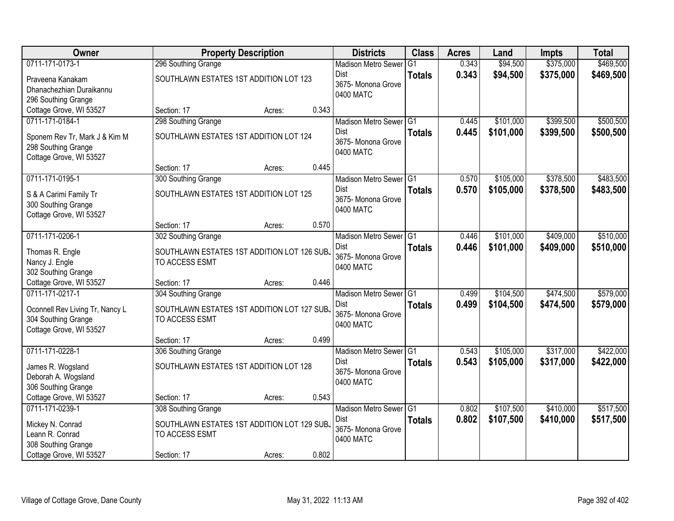| \$375,000<br>\$469,500<br>0711-171-0173-1<br>296 Southing Grange<br>0.343<br>\$94,500<br><b>Madison Metro Sewer</b><br>G1<br>0.343<br>\$94,500<br>\$375,000<br>\$469,500<br>Dist<br><b>Totals</b><br>SOUTHLAWN ESTATES 1ST ADDITION LOT 123<br>Praveena Kanakam<br>3675-Monona Grove<br>Dhanachezhian Duraikannu<br>0400 MATC<br>296 Southing Grange<br>Cottage Grove, WI 53527<br>0.343<br>Section: 17<br>Acres:<br>\$399,500<br>\$500,500<br>0711-171-0184-1<br>298 Southing Grange<br>\$101,000<br>Madison Metro Sewer G1<br>0.445<br>0.445<br>\$101,000<br>\$399,500<br>Dist<br>\$500,500<br><b>Totals</b><br>SOUTHLAWN ESTATES 1ST ADDITION LOT 124<br>Sponem Rev Tr, Mark J & Kim M<br>3675- Monona Grove<br>298 Southing Grange<br>0400 MATC<br>Cottage Grove, WI 53527<br>0.445<br>Section: 17<br>Acres:<br>\$378,500<br>\$483,500<br>0711-171-0195-1<br>300 Southing Grange<br>Madison Metro Sewer G1<br>\$105,000<br>0.570<br><b>Dist</b><br>0.570<br>\$378,500<br>\$105,000<br>\$483,500<br><b>Totals</b><br>SOUTHLAWN ESTATES 1ST ADDITION LOT 125<br>S & A Carimi Family Tr<br>3675- Monona Grove<br>300 Southing Grange<br>0400 MATC<br>Cottage Grove, WI 53527<br>0.570<br>Section: 17<br>Acres:<br>\$510,000<br>0711-171-0206-1<br>\$101,000<br>\$409,000<br>302 Southing Grange<br>Madison Metro Sewer G1<br>0.446<br>0.446<br>Dist<br>\$101,000<br>\$409,000<br>\$510,000<br><b>Totals</b><br>Thomas R. Engle<br>SOUTHLAWN ESTATES 1ST ADDITION LOT 126 SUBJ<br>3675- Monona Grove<br>Nancy J. Engle<br>TO ACCESS ESMT<br>0400 MATC<br>302 Southing Grange<br>Cottage Grove, WI 53527<br>0.446<br>Section: 17<br>Acres:<br>\$579,000<br>0711-171-0217-1<br>\$104,500<br>\$474,500<br>304 Southing Grange<br>Madison Metro Sewer G1<br>0.499<br>0.499<br>\$104,500<br>Dist<br>\$474,500<br>\$579,000<br><b>Totals</b><br>Oconnell Rev Living Tr, Nancy L<br>SOUTHLAWN ESTATES 1ST ADDITION LOT 127 SUB.<br>3675- Monona Grove<br>304 Southing Grange<br>TO ACCESS ESMT<br>0400 MATC<br>Cottage Grove, WI 53527<br>0.499<br>Section: 17<br>Acres:<br>\$317,000<br>\$422,000<br>0711-171-0228-1<br>Madison Metro Sewer G1<br>\$105,000<br>306 Southing Grange<br>0.543<br><b>Dist</b><br>0.543<br>\$105,000<br>\$317,000<br>\$422,000<br><b>Totals</b><br>SOUTHLAWN ESTATES 1ST ADDITION LOT 128<br>James R. Wogsland<br>3675- Monona Grove<br>Deborah A. Wogsland<br>0400 MATC | <b>Owner</b>        | <b>Property Description</b> | <b>Districts</b> | <b>Class</b> | <b>Acres</b> | Land | <b>Impts</b> | <b>Total</b> |  |
|------------------------------------------------------------------------------------------------------------------------------------------------------------------------------------------------------------------------------------------------------------------------------------------------------------------------------------------------------------------------------------------------------------------------------------------------------------------------------------------------------------------------------------------------------------------------------------------------------------------------------------------------------------------------------------------------------------------------------------------------------------------------------------------------------------------------------------------------------------------------------------------------------------------------------------------------------------------------------------------------------------------------------------------------------------------------------------------------------------------------------------------------------------------------------------------------------------------------------------------------------------------------------------------------------------------------------------------------------------------------------------------------------------------------------------------------------------------------------------------------------------------------------------------------------------------------------------------------------------------------------------------------------------------------------------------------------------------------------------------------------------------------------------------------------------------------------------------------------------------------------------------------------------------------------------------------------------------------------------------------------------------------------------------------------------------------------------------------------------------------------------------------------------------------------------------------------------------------------------------------------------------------------------------------------------------------------------------------------------------------------------------------|---------------------|-----------------------------|------------------|--------------|--------------|------|--------------|--------------|--|
|                                                                                                                                                                                                                                                                                                                                                                                                                                                                                                                                                                                                                                                                                                                                                                                                                                                                                                                                                                                                                                                                                                                                                                                                                                                                                                                                                                                                                                                                                                                                                                                                                                                                                                                                                                                                                                                                                                                                                                                                                                                                                                                                                                                                                                                                                                                                                                                                |                     |                             |                  |              |              |      |              |              |  |
|                                                                                                                                                                                                                                                                                                                                                                                                                                                                                                                                                                                                                                                                                                                                                                                                                                                                                                                                                                                                                                                                                                                                                                                                                                                                                                                                                                                                                                                                                                                                                                                                                                                                                                                                                                                                                                                                                                                                                                                                                                                                                                                                                                                                                                                                                                                                                                                                |                     |                             |                  |              |              |      |              |              |  |
|                                                                                                                                                                                                                                                                                                                                                                                                                                                                                                                                                                                                                                                                                                                                                                                                                                                                                                                                                                                                                                                                                                                                                                                                                                                                                                                                                                                                                                                                                                                                                                                                                                                                                                                                                                                                                                                                                                                                                                                                                                                                                                                                                                                                                                                                                                                                                                                                |                     |                             |                  |              |              |      |              |              |  |
|                                                                                                                                                                                                                                                                                                                                                                                                                                                                                                                                                                                                                                                                                                                                                                                                                                                                                                                                                                                                                                                                                                                                                                                                                                                                                                                                                                                                                                                                                                                                                                                                                                                                                                                                                                                                                                                                                                                                                                                                                                                                                                                                                                                                                                                                                                                                                                                                |                     |                             |                  |              |              |      |              |              |  |
|                                                                                                                                                                                                                                                                                                                                                                                                                                                                                                                                                                                                                                                                                                                                                                                                                                                                                                                                                                                                                                                                                                                                                                                                                                                                                                                                                                                                                                                                                                                                                                                                                                                                                                                                                                                                                                                                                                                                                                                                                                                                                                                                                                                                                                                                                                                                                                                                |                     |                             |                  |              |              |      |              |              |  |
|                                                                                                                                                                                                                                                                                                                                                                                                                                                                                                                                                                                                                                                                                                                                                                                                                                                                                                                                                                                                                                                                                                                                                                                                                                                                                                                                                                                                                                                                                                                                                                                                                                                                                                                                                                                                                                                                                                                                                                                                                                                                                                                                                                                                                                                                                                                                                                                                |                     |                             |                  |              |              |      |              |              |  |
|                                                                                                                                                                                                                                                                                                                                                                                                                                                                                                                                                                                                                                                                                                                                                                                                                                                                                                                                                                                                                                                                                                                                                                                                                                                                                                                                                                                                                                                                                                                                                                                                                                                                                                                                                                                                                                                                                                                                                                                                                                                                                                                                                                                                                                                                                                                                                                                                |                     |                             |                  |              |              |      |              |              |  |
|                                                                                                                                                                                                                                                                                                                                                                                                                                                                                                                                                                                                                                                                                                                                                                                                                                                                                                                                                                                                                                                                                                                                                                                                                                                                                                                                                                                                                                                                                                                                                                                                                                                                                                                                                                                                                                                                                                                                                                                                                                                                                                                                                                                                                                                                                                                                                                                                |                     |                             |                  |              |              |      |              |              |  |
|                                                                                                                                                                                                                                                                                                                                                                                                                                                                                                                                                                                                                                                                                                                                                                                                                                                                                                                                                                                                                                                                                                                                                                                                                                                                                                                                                                                                                                                                                                                                                                                                                                                                                                                                                                                                                                                                                                                                                                                                                                                                                                                                                                                                                                                                                                                                                                                                |                     |                             |                  |              |              |      |              |              |  |
|                                                                                                                                                                                                                                                                                                                                                                                                                                                                                                                                                                                                                                                                                                                                                                                                                                                                                                                                                                                                                                                                                                                                                                                                                                                                                                                                                                                                                                                                                                                                                                                                                                                                                                                                                                                                                                                                                                                                                                                                                                                                                                                                                                                                                                                                                                                                                                                                |                     |                             |                  |              |              |      |              |              |  |
|                                                                                                                                                                                                                                                                                                                                                                                                                                                                                                                                                                                                                                                                                                                                                                                                                                                                                                                                                                                                                                                                                                                                                                                                                                                                                                                                                                                                                                                                                                                                                                                                                                                                                                                                                                                                                                                                                                                                                                                                                                                                                                                                                                                                                                                                                                                                                                                                |                     |                             |                  |              |              |      |              |              |  |
|                                                                                                                                                                                                                                                                                                                                                                                                                                                                                                                                                                                                                                                                                                                                                                                                                                                                                                                                                                                                                                                                                                                                                                                                                                                                                                                                                                                                                                                                                                                                                                                                                                                                                                                                                                                                                                                                                                                                                                                                                                                                                                                                                                                                                                                                                                                                                                                                |                     |                             |                  |              |              |      |              |              |  |
|                                                                                                                                                                                                                                                                                                                                                                                                                                                                                                                                                                                                                                                                                                                                                                                                                                                                                                                                                                                                                                                                                                                                                                                                                                                                                                                                                                                                                                                                                                                                                                                                                                                                                                                                                                                                                                                                                                                                                                                                                                                                                                                                                                                                                                                                                                                                                                                                |                     |                             |                  |              |              |      |              |              |  |
|                                                                                                                                                                                                                                                                                                                                                                                                                                                                                                                                                                                                                                                                                                                                                                                                                                                                                                                                                                                                                                                                                                                                                                                                                                                                                                                                                                                                                                                                                                                                                                                                                                                                                                                                                                                                                                                                                                                                                                                                                                                                                                                                                                                                                                                                                                                                                                                                |                     |                             |                  |              |              |      |              |              |  |
|                                                                                                                                                                                                                                                                                                                                                                                                                                                                                                                                                                                                                                                                                                                                                                                                                                                                                                                                                                                                                                                                                                                                                                                                                                                                                                                                                                                                                                                                                                                                                                                                                                                                                                                                                                                                                                                                                                                                                                                                                                                                                                                                                                                                                                                                                                                                                                                                |                     |                             |                  |              |              |      |              |              |  |
|                                                                                                                                                                                                                                                                                                                                                                                                                                                                                                                                                                                                                                                                                                                                                                                                                                                                                                                                                                                                                                                                                                                                                                                                                                                                                                                                                                                                                                                                                                                                                                                                                                                                                                                                                                                                                                                                                                                                                                                                                                                                                                                                                                                                                                                                                                                                                                                                |                     |                             |                  |              |              |      |              |              |  |
|                                                                                                                                                                                                                                                                                                                                                                                                                                                                                                                                                                                                                                                                                                                                                                                                                                                                                                                                                                                                                                                                                                                                                                                                                                                                                                                                                                                                                                                                                                                                                                                                                                                                                                                                                                                                                                                                                                                                                                                                                                                                                                                                                                                                                                                                                                                                                                                                |                     |                             |                  |              |              |      |              |              |  |
|                                                                                                                                                                                                                                                                                                                                                                                                                                                                                                                                                                                                                                                                                                                                                                                                                                                                                                                                                                                                                                                                                                                                                                                                                                                                                                                                                                                                                                                                                                                                                                                                                                                                                                                                                                                                                                                                                                                                                                                                                                                                                                                                                                                                                                                                                                                                                                                                |                     |                             |                  |              |              |      |              |              |  |
|                                                                                                                                                                                                                                                                                                                                                                                                                                                                                                                                                                                                                                                                                                                                                                                                                                                                                                                                                                                                                                                                                                                                                                                                                                                                                                                                                                                                                                                                                                                                                                                                                                                                                                                                                                                                                                                                                                                                                                                                                                                                                                                                                                                                                                                                                                                                                                                                |                     |                             |                  |              |              |      |              |              |  |
|                                                                                                                                                                                                                                                                                                                                                                                                                                                                                                                                                                                                                                                                                                                                                                                                                                                                                                                                                                                                                                                                                                                                                                                                                                                                                                                                                                                                                                                                                                                                                                                                                                                                                                                                                                                                                                                                                                                                                                                                                                                                                                                                                                                                                                                                                                                                                                                                |                     |                             |                  |              |              |      |              |              |  |
|                                                                                                                                                                                                                                                                                                                                                                                                                                                                                                                                                                                                                                                                                                                                                                                                                                                                                                                                                                                                                                                                                                                                                                                                                                                                                                                                                                                                                                                                                                                                                                                                                                                                                                                                                                                                                                                                                                                                                                                                                                                                                                                                                                                                                                                                                                                                                                                                |                     |                             |                  |              |              |      |              |              |  |
|                                                                                                                                                                                                                                                                                                                                                                                                                                                                                                                                                                                                                                                                                                                                                                                                                                                                                                                                                                                                                                                                                                                                                                                                                                                                                                                                                                                                                                                                                                                                                                                                                                                                                                                                                                                                                                                                                                                                                                                                                                                                                                                                                                                                                                                                                                                                                                                                |                     |                             |                  |              |              |      |              |              |  |
|                                                                                                                                                                                                                                                                                                                                                                                                                                                                                                                                                                                                                                                                                                                                                                                                                                                                                                                                                                                                                                                                                                                                                                                                                                                                                                                                                                                                                                                                                                                                                                                                                                                                                                                                                                                                                                                                                                                                                                                                                                                                                                                                                                                                                                                                                                                                                                                                |                     |                             |                  |              |              |      |              |              |  |
|                                                                                                                                                                                                                                                                                                                                                                                                                                                                                                                                                                                                                                                                                                                                                                                                                                                                                                                                                                                                                                                                                                                                                                                                                                                                                                                                                                                                                                                                                                                                                                                                                                                                                                                                                                                                                                                                                                                                                                                                                                                                                                                                                                                                                                                                                                                                                                                                |                     |                             |                  |              |              |      |              |              |  |
|                                                                                                                                                                                                                                                                                                                                                                                                                                                                                                                                                                                                                                                                                                                                                                                                                                                                                                                                                                                                                                                                                                                                                                                                                                                                                                                                                                                                                                                                                                                                                                                                                                                                                                                                                                                                                                                                                                                                                                                                                                                                                                                                                                                                                                                                                                                                                                                                |                     |                             |                  |              |              |      |              |              |  |
|                                                                                                                                                                                                                                                                                                                                                                                                                                                                                                                                                                                                                                                                                                                                                                                                                                                                                                                                                                                                                                                                                                                                                                                                                                                                                                                                                                                                                                                                                                                                                                                                                                                                                                                                                                                                                                                                                                                                                                                                                                                                                                                                                                                                                                                                                                                                                                                                |                     |                             |                  |              |              |      |              |              |  |
|                                                                                                                                                                                                                                                                                                                                                                                                                                                                                                                                                                                                                                                                                                                                                                                                                                                                                                                                                                                                                                                                                                                                                                                                                                                                                                                                                                                                                                                                                                                                                                                                                                                                                                                                                                                                                                                                                                                                                                                                                                                                                                                                                                                                                                                                                                                                                                                                |                     |                             |                  |              |              |      |              |              |  |
|                                                                                                                                                                                                                                                                                                                                                                                                                                                                                                                                                                                                                                                                                                                                                                                                                                                                                                                                                                                                                                                                                                                                                                                                                                                                                                                                                                                                                                                                                                                                                                                                                                                                                                                                                                                                                                                                                                                                                                                                                                                                                                                                                                                                                                                                                                                                                                                                |                     |                             |                  |              |              |      |              |              |  |
|                                                                                                                                                                                                                                                                                                                                                                                                                                                                                                                                                                                                                                                                                                                                                                                                                                                                                                                                                                                                                                                                                                                                                                                                                                                                                                                                                                                                                                                                                                                                                                                                                                                                                                                                                                                                                                                                                                                                                                                                                                                                                                                                                                                                                                                                                                                                                                                                | 306 Southing Grange |                             |                  |              |              |      |              |              |  |
| Cottage Grove, WI 53527<br>0.543<br>Section: 17<br>Acres:                                                                                                                                                                                                                                                                                                                                                                                                                                                                                                                                                                                                                                                                                                                                                                                                                                                                                                                                                                                                                                                                                                                                                                                                                                                                                                                                                                                                                                                                                                                                                                                                                                                                                                                                                                                                                                                                                                                                                                                                                                                                                                                                                                                                                                                                                                                                      |                     |                             |                  |              |              |      |              |              |  |
| \$107,500<br>\$410,000<br>0711-171-0239-1<br>\$517,500<br>308 Southing Grange<br>Madison Metro Sewer G1<br>0.802                                                                                                                                                                                                                                                                                                                                                                                                                                                                                                                                                                                                                                                                                                                                                                                                                                                                                                                                                                                                                                                                                                                                                                                                                                                                                                                                                                                                                                                                                                                                                                                                                                                                                                                                                                                                                                                                                                                                                                                                                                                                                                                                                                                                                                                                               |                     |                             |                  |              |              |      |              |              |  |
| 0.802<br>Dist<br>\$107,500<br>\$410,000<br>\$517,500<br><b>Totals</b>                                                                                                                                                                                                                                                                                                                                                                                                                                                                                                                                                                                                                                                                                                                                                                                                                                                                                                                                                                                                                                                                                                                                                                                                                                                                                                                                                                                                                                                                                                                                                                                                                                                                                                                                                                                                                                                                                                                                                                                                                                                                                                                                                                                                                                                                                                                          |                     |                             |                  |              |              |      |              |              |  |
| SOUTHLAWN ESTATES 1ST ADDITION LOT 129 SUBJ<br>Mickey N. Conrad<br>3675- Monona Grove                                                                                                                                                                                                                                                                                                                                                                                                                                                                                                                                                                                                                                                                                                                                                                                                                                                                                                                                                                                                                                                                                                                                                                                                                                                                                                                                                                                                                                                                                                                                                                                                                                                                                                                                                                                                                                                                                                                                                                                                                                                                                                                                                                                                                                                                                                          |                     |                             |                  |              |              |      |              |              |  |
| Leann R. Conrad<br>TO ACCESS ESMT<br>0400 MATC<br>308 Southing Grange                                                                                                                                                                                                                                                                                                                                                                                                                                                                                                                                                                                                                                                                                                                                                                                                                                                                                                                                                                                                                                                                                                                                                                                                                                                                                                                                                                                                                                                                                                                                                                                                                                                                                                                                                                                                                                                                                                                                                                                                                                                                                                                                                                                                                                                                                                                          |                     |                             |                  |              |              |      |              |              |  |
| 0.802<br>Cottage Grove, WI 53527<br>Section: 17<br>Acres:                                                                                                                                                                                                                                                                                                                                                                                                                                                                                                                                                                                                                                                                                                                                                                                                                                                                                                                                                                                                                                                                                                                                                                                                                                                                                                                                                                                                                                                                                                                                                                                                                                                                                                                                                                                                                                                                                                                                                                                                                                                                                                                                                                                                                                                                                                                                      |                     |                             |                  |              |              |      |              |              |  |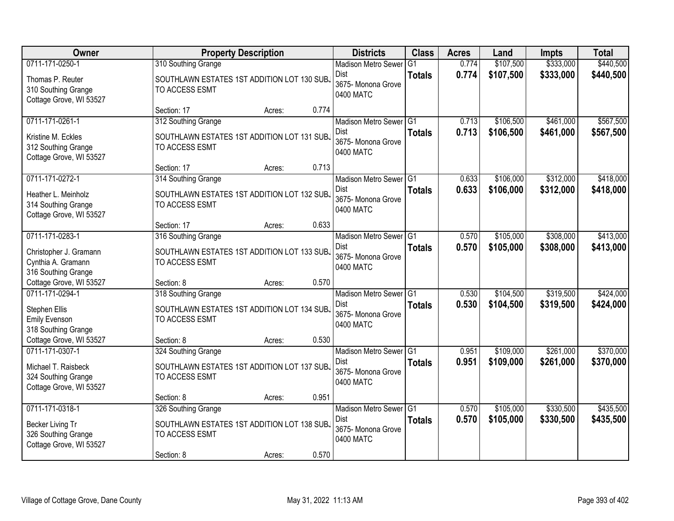| <b>Owner</b>                                                                          |                                                                                      | <b>Property Description</b> |       |                                                                              | <b>Class</b>         | <b>Acres</b>   | Land                   | <b>Impts</b>           | <b>Total</b>           |
|---------------------------------------------------------------------------------------|--------------------------------------------------------------------------------------|-----------------------------|-------|------------------------------------------------------------------------------|----------------------|----------------|------------------------|------------------------|------------------------|
| 0711-171-0250-1                                                                       | 310 Southing Grange                                                                  |                             |       | <b>Madison Metro Sewer</b>                                                   | G <sub>1</sub>       | 0.774          | \$107,500              | \$333,000              | \$440,500              |
| Thomas P. Reuter<br>310 Southing Grange<br>Cottage Grove, WI 53527                    | SOUTHLAWN ESTATES 1ST ADDITION LOT 130 SUBJ<br>TO ACCESS ESMT                        |                             |       | Dist<br>3675- Monona Grove<br>0400 MATC                                      | <b>Totals</b>        | 0.774          | \$107,500              | \$333,000              | \$440,500              |
|                                                                                       | Section: 17                                                                          | Acres:                      | 0.774 |                                                                              |                      |                |                        |                        |                        |
| 0711-171-0261-1                                                                       | 312 Southing Grange                                                                  |                             |       | Madison Metro Sewer G1                                                       |                      | 0.713          | \$106,500              | \$461,000              | \$567,500              |
| Kristine M. Eckles<br>312 Southing Grange<br>Cottage Grove, WI 53527                  | SOUTHLAWN ESTATES 1ST ADDITION LOT 131 SUBJ<br>TO ACCESS ESMT                        |                             |       | Dist<br>3675- Monona Grove<br>0400 MATC                                      | <b>Totals</b>        | 0.713          | \$106,500              | \$461,000              | \$567,500              |
|                                                                                       | Section: 17                                                                          | Acres:                      | 0.713 |                                                                              |                      |                |                        |                        |                        |
| 0711-171-0272-1                                                                       | 314 Southing Grange                                                                  |                             |       | Madison Metro Sewer G1                                                       |                      | 0.633          | \$106,000              | \$312,000              | \$418,000              |
| Heather L. Meinholz<br>314 Southing Grange<br>Cottage Grove, WI 53527                 | SOUTHLAWN ESTATES 1ST ADDITION LOT 132 SUB.<br>TO ACCESS ESMT                        |                             |       | <b>Dist</b><br>3675- Monona Grove<br>0400 MATC                               | <b>Totals</b>        | 0.633          | \$106,000              | \$312,000              | \$418,000              |
|                                                                                       | Section: 17                                                                          | Acres:                      | 0.633 |                                                                              |                      |                |                        |                        |                        |
| 0711-171-0283-1                                                                       | 316 Southing Grange                                                                  |                             |       | Madison Metro Sewer G1                                                       |                      | 0.570          | \$105,000              | \$308,000              | \$413,000              |
| Christopher J. Gramann<br>Cynthia A. Gramann<br>316 Southing Grange                   | SOUTHLAWN ESTATES 1ST ADDITION LOT 133 SUB.<br>TO ACCESS ESMT                        |                             |       | Dist<br>3675- Monona Grove<br>0400 MATC                                      | <b>Totals</b>        | 0.570          | \$105,000              | \$308,000              | \$413,000              |
| Cottage Grove, WI 53527                                                               | Section: 8                                                                           | Acres:                      | 0.570 |                                                                              |                      |                |                        |                        |                        |
| 0711-171-0294-1<br>Stephen Ellis<br><b>Emily Evenson</b><br>318 Southing Grange       | 318 Southing Grange<br>SOUTHLAWN ESTATES 1ST ADDITION LOT 134 SUB.<br>TO ACCESS ESMT |                             |       | <b>Madison Metro Sewer</b><br><b>Dist</b><br>3675- Monona Grove<br>0400 MATC | TG1<br><b>Totals</b> | 0.530<br>0.530 | \$104,500<br>\$104,500 | \$319,500<br>\$319,500 | \$424,000<br>\$424,000 |
| Cottage Grove, WI 53527                                                               | Section: 8                                                                           | Acres:                      | 0.530 |                                                                              |                      |                |                        |                        |                        |
| 0711-171-0307-1                                                                       | 324 Southing Grange                                                                  |                             |       | Madison Metro Sewer G1                                                       |                      | 0.951          | \$109,000              | \$261,000              | \$370,000              |
| Michael T. Raisbeck<br>324 Southing Grange<br>Cottage Grove, WI 53527                 | SOUTHLAWN ESTATES 1ST ADDITION LOT 137 SUB.<br>TO ACCESS ESMT                        |                             |       | Dist<br>3675- Monona Grove<br>0400 MATC                                      | <b>Totals</b>        | 0.951          | \$109,000              | \$261,000              | \$370,000              |
|                                                                                       | Section: 8                                                                           | Acres:                      | 0.951 |                                                                              |                      |                |                        |                        |                        |
| 0711-171-0318-1<br>Becker Living Tr<br>326 Southing Grange<br>Cottage Grove, WI 53527 | 326 Southing Grange<br>SOUTHLAWN ESTATES 1ST ADDITION LOT 138 SUB.<br>TO ACCESS ESMT |                             |       | Madison Metro Sewer G1<br><b>Dist</b><br>3675- Monona Grove<br>0400 MATC     | <b>Totals</b>        | 0.570<br>0.570 | \$105,000<br>\$105,000 | \$330,500<br>\$330,500 | \$435,500<br>\$435,500 |
|                                                                                       | Section: 8                                                                           | Acres:                      | 0.570 |                                                                              |                      |                |                        |                        |                        |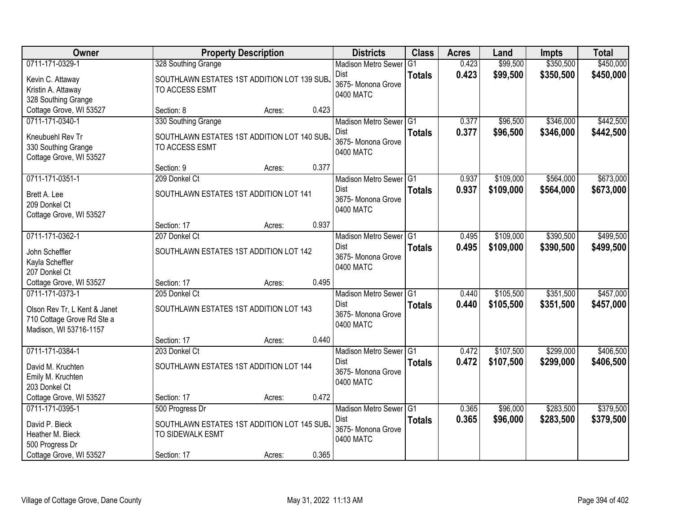| Owner                                                      | <b>Property Description</b>                 |        |       | <b>Districts</b>           | <b>Class</b>   | <b>Acres</b> | Land      | <b>Impts</b> | <b>Total</b> |
|------------------------------------------------------------|---------------------------------------------|--------|-------|----------------------------|----------------|--------------|-----------|--------------|--------------|
| 0711-171-0329-1                                            | 328 Southing Grange                         |        |       | <b>Madison Metro Sewer</b> | G <sub>1</sub> | 0.423        | \$99,500  | \$350,500    | \$450,000    |
| Kevin C. Attaway                                           | SOUTHLAWN ESTATES 1ST ADDITION LOT 139 SUBJ |        |       | Dist                       | <b>Totals</b>  | 0.423        | \$99,500  | \$350,500    | \$450,000    |
| Kristin A. Attaway                                         | TO ACCESS ESMT                              |        |       | 3675- Monona Grove         |                |              |           |              |              |
| 328 Southing Grange                                        |                                             |        |       | 0400 MATC                  |                |              |           |              |              |
| Cottage Grove, WI 53527                                    | Section: 8                                  | Acres: | 0.423 |                            |                |              |           |              |              |
| 0711-171-0340-1                                            | 330 Southing Grange                         |        |       | Madison Metro Sewer G1     |                | 0.377        | \$96,500  | \$346,000    | \$442,500    |
| Kneubuehl Rev Tr                                           | SOUTHLAWN ESTATES 1ST ADDITION LOT 140 SUBJ |        |       | Dist                       | <b>Totals</b>  | 0.377        | \$96,500  | \$346,000    | \$442,500    |
| 330 Southing Grange                                        | TO ACCESS ESMT                              |        |       | 3675- Monona Grove         |                |              |           |              |              |
| Cottage Grove, WI 53527                                    |                                             |        |       | 0400 MATC                  |                |              |           |              |              |
|                                                            | Section: 9                                  | Acres: | 0.377 |                            |                |              |           |              |              |
| 0711-171-0351-1                                            | 209 Donkel Ct                               |        |       | Madison Metro Sewer G1     |                | 0.937        | \$109,000 | \$564,000    | \$673,000    |
| Brett A. Lee                                               | SOUTHLAWN ESTATES 1ST ADDITION LOT 141      |        |       | Dist                       | <b>Totals</b>  | 0.937        | \$109,000 | \$564,000    | \$673,000    |
| 209 Donkel Ct                                              |                                             |        |       | 3675- Monona Grove         |                |              |           |              |              |
| Cottage Grove, WI 53527                                    |                                             |        |       | 0400 MATC                  |                |              |           |              |              |
|                                                            | Section: 17                                 | Acres: | 0.937 |                            |                |              |           |              |              |
| 0711-171-0362-1                                            | 207 Donkel Ct                               |        |       | Madison Metro Sewer G1     |                | 0.495        | \$109,000 | \$390,500    | \$499,500    |
| John Scheffler                                             | SOUTHLAWN ESTATES 1ST ADDITION LOT 142      |        |       | Dist                       | <b>Totals</b>  | 0.495        | \$109,000 | \$390,500    | \$499,500    |
| Kayla Scheffler                                            |                                             |        |       | 3675- Monona Grove         |                |              |           |              |              |
| 207 Donkel Ct                                              |                                             |        |       | 0400 MATC                  |                |              |           |              |              |
| Cottage Grove, WI 53527                                    | Section: 17                                 | Acres: | 0.495 |                            |                |              |           |              |              |
| 0711-171-0373-1                                            | 205 Donkel Ct                               |        |       | <b>Madison Metro Sewer</b> | TG1            | 0.440        | \$105,500 | \$351,500    | \$457,000    |
|                                                            | SOUTHLAWN ESTATES 1ST ADDITION LOT 143      |        |       | <b>Dist</b>                | <b>Totals</b>  | 0.440        | \$105,500 | \$351,500    | \$457,000    |
| Olson Rev Tr, L Kent & Janet<br>710 Cottage Grove Rd Ste a |                                             |        |       | 3675- Monona Grove         |                |              |           |              |              |
| Madison, WI 53716-1157                                     |                                             |        |       | 0400 MATC                  |                |              |           |              |              |
|                                                            | Section: 17                                 | Acres: | 0.440 |                            |                |              |           |              |              |
| 0711-171-0384-1                                            | 203 Donkel Ct                               |        |       | Madison Metro Sewer G1     |                | 0.472        | \$107,500 | \$299,000    | \$406,500    |
| David M. Kruchten                                          | SOUTHLAWN ESTATES 1ST ADDITION LOT 144      |        |       | <b>Dist</b>                | <b>Totals</b>  | 0.472        | \$107,500 | \$299,000    | \$406,500    |
| Emily M. Kruchten                                          |                                             |        |       | 3675- Monona Grove         |                |              |           |              |              |
| 203 Donkel Ct                                              |                                             |        |       | 0400 MATC                  |                |              |           |              |              |
| Cottage Grove, WI 53527                                    | Section: 17                                 | Acres: | 0.472 |                            |                |              |           |              |              |
| 0711-171-0395-1                                            | 500 Progress Dr                             |        |       | Madison Metro Sewer G1     |                | 0.365        | \$96,000  | \$283,500    | \$379,500    |
| David P. Bieck                                             | SOUTHLAWN ESTATES 1ST ADDITION LOT 145 SUBJ |        |       | Dist                       | <b>Totals</b>  | 0.365        | \$96,000  | \$283,500    | \$379,500    |
| Heather M. Bieck                                           | TO SIDEWALK ESMT                            |        |       | 3675- Monona Grove         |                |              |           |              |              |
| 500 Progress Dr                                            |                                             |        |       | 0400 MATC                  |                |              |           |              |              |
| Cottage Grove, WI 53527                                    | Section: 17                                 | Acres: | 0.365 |                            |                |              |           |              |              |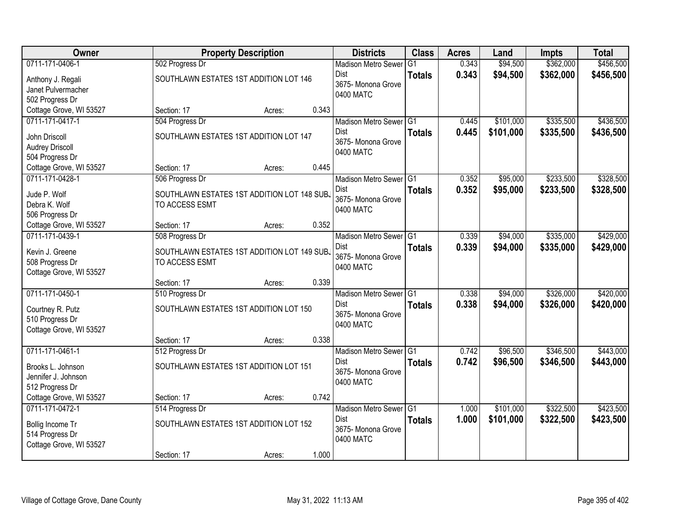| Owner                               |                                             | <b>Property Description</b> |       |                            | <b>Class</b>   | <b>Acres</b> | Land      | <b>Impts</b> | <b>Total</b> |
|-------------------------------------|---------------------------------------------|-----------------------------|-------|----------------------------|----------------|--------------|-----------|--------------|--------------|
| 0711-171-0406-1                     | 502 Progress Dr                             |                             |       | <b>Madison Metro Sewer</b> | G <sub>1</sub> | 0.343        | \$94,500  | \$362,000    | \$456,500    |
| Anthony J. Regali                   | SOUTHLAWN ESTATES 1ST ADDITION LOT 146      |                             |       | Dist                       | <b>Totals</b>  | 0.343        | \$94,500  | \$362,000    | \$456,500    |
| Janet Pulvermacher                  |                                             |                             |       | 3675- Monona Grove         |                |              |           |              |              |
| 502 Progress Dr                     |                                             |                             |       | 0400 MATC                  |                |              |           |              |              |
| Cottage Grove, WI 53527             | Section: 17                                 | Acres:                      | 0.343 |                            |                |              |           |              |              |
| 0711-171-0417-1                     | 504 Progress Dr                             |                             |       | Madison Metro Sewer G1     |                | 0.445        | \$101,000 | \$335,500    | \$436,500    |
| John Driscoll                       | SOUTHLAWN ESTATES 1ST ADDITION LOT 147      |                             |       | <b>Dist</b>                | <b>Totals</b>  | 0.445        | \$101,000 | \$335,500    | \$436,500    |
| <b>Audrey Driscoll</b>              |                                             |                             |       | 3675- Monona Grove         |                |              |           |              |              |
| 504 Progress Dr                     |                                             |                             |       | 0400 MATC                  |                |              |           |              |              |
| Cottage Grove, WI 53527             | Section: 17                                 | Acres:                      | 0.445 |                            |                |              |           |              |              |
| 0711-171-0428-1                     | 506 Progress Dr                             |                             |       | Madison Metro Sewer G1     |                | 0.352        | \$95,000  | \$233,500    | \$328,500    |
| Jude P. Wolf                        | SOUTHLAWN ESTATES 1ST ADDITION LOT 148 SUBJ |                             |       | Dist                       | <b>Totals</b>  | 0.352        | \$95,000  | \$233,500    | \$328,500    |
| Debra K. Wolf                       | TO ACCESS ESMT                              |                             |       | 3675- Monona Grove         |                |              |           |              |              |
| 506 Progress Dr                     |                                             |                             |       | 0400 MATC                  |                |              |           |              |              |
| Cottage Grove, WI 53527             | Section: 17                                 | Acres:                      | 0.352 |                            |                |              |           |              |              |
| 0711-171-0439-1                     | 508 Progress Dr                             |                             |       | Madison Metro Sewer G1     |                | 0.339        | \$94,000  | \$335,000    | \$429,000    |
| Kevin J. Greene                     | SOUTHLAWN ESTATES 1ST ADDITION LOT 149 SUBJ |                             |       | Dist                       | <b>Totals</b>  | 0.339        | \$94,000  | \$335,000    | \$429,000    |
| 508 Progress Dr                     | TO ACCESS ESMT                              |                             |       | 3675- Monona Grove         |                |              |           |              |              |
| Cottage Grove, WI 53527             |                                             |                             |       | 0400 MATC                  |                |              |           |              |              |
|                                     | Section: 17                                 | Acres:                      | 0.339 |                            |                |              |           |              |              |
| 0711-171-0450-1                     | 510 Progress Dr                             |                             |       | <b>Madison Metro Sewer</b> | TG1            | 0.338        | \$94,000  | \$326,000    | \$420,000    |
|                                     | SOUTHLAWN ESTATES 1ST ADDITION LOT 150      |                             |       | Dist                       | <b>Totals</b>  | 0.338        | \$94,000  | \$326,000    | \$420,000    |
| Courtney R. Putz<br>510 Progress Dr |                                             |                             |       | 3675- Monona Grove         |                |              |           |              |              |
| Cottage Grove, WI 53527             |                                             |                             |       | 0400 MATC                  |                |              |           |              |              |
|                                     | Section: 17                                 | Acres:                      | 0.338 |                            |                |              |           |              |              |
| 0711-171-0461-1                     | 512 Progress Dr                             |                             |       | Madison Metro Sewer G1     |                | 0.742        | \$96,500  | \$346,500    | \$443,000    |
| Brooks L. Johnson                   | SOUTHLAWN ESTATES 1ST ADDITION LOT 151      |                             |       | Dist                       | <b>Totals</b>  | 0.742        | \$96,500  | \$346,500    | \$443,000    |
| Jennifer J. Johnson                 |                                             |                             |       | 3675- Monona Grove         |                |              |           |              |              |
| 512 Progress Dr                     |                                             |                             |       | 0400 MATC                  |                |              |           |              |              |
| Cottage Grove, WI 53527             | Section: 17                                 | Acres:                      | 0.742 |                            |                |              |           |              |              |
| 0711-171-0472-1                     | 514 Progress Dr                             |                             |       | Madison Metro Sewer G1     |                | 1.000        | \$101,000 | \$322,500    | \$423,500    |
| Bollig Income Tr                    | SOUTHLAWN ESTATES 1ST ADDITION LOT 152      |                             |       | <b>Dist</b>                | <b>Totals</b>  | 1.000        | \$101,000 | \$322,500    | \$423,500    |
| 514 Progress Dr                     |                                             |                             |       | 3675- Monona Grove         |                |              |           |              |              |
| Cottage Grove, WI 53527             |                                             |                             |       | 0400 MATC                  |                |              |           |              |              |
|                                     | Section: 17                                 | Acres:                      | 1.000 |                            |                |              |           |              |              |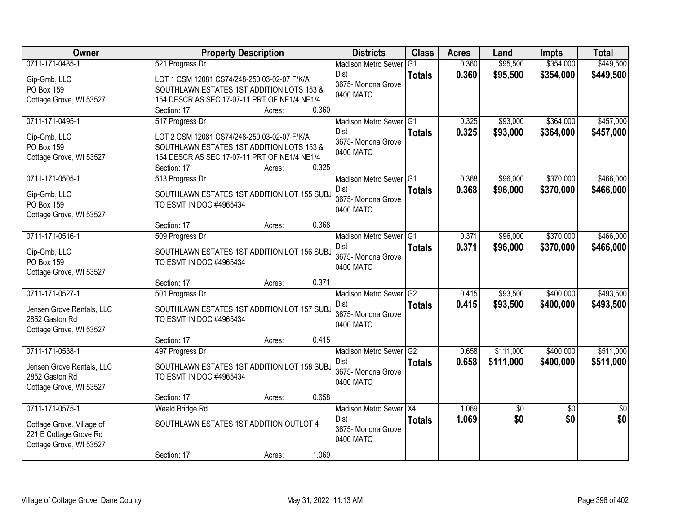| Owner                     | <b>Property Description</b>                  | <b>Districts</b>           | <b>Class</b>   | <b>Acres</b> | Land            | <b>Impts</b>    | <b>Total</b>    |
|---------------------------|----------------------------------------------|----------------------------|----------------|--------------|-----------------|-----------------|-----------------|
| 0711-171-0485-1           | 521 Progress Dr                              | <b>Madison Metro Sewer</b> | G <sub>1</sub> | 0.360        | \$95,500        | \$354,000       | \$449,500       |
| Gip-Gmb, LLC              | LOT 1 CSM 12081 CS74/248-250 03-02-07 F/K/A  | <b>Dist</b>                | <b>Totals</b>  | 0.360        | \$95,500        | \$354,000       | \$449,500       |
| PO Box 159                | SOUTHLAWN ESTATES 1ST ADDITION LOTS 153 &    | 3675- Monona Grove         |                |              |                 |                 |                 |
| Cottage Grove, WI 53527   | 154 DESCR AS SEC 17-07-11 PRT OF NE1/4 NE1/4 | 0400 MATC                  |                |              |                 |                 |                 |
|                           | 0.360<br>Section: 17<br>Acres:               |                            |                |              |                 |                 |                 |
| 0711-171-0495-1           | 517 Progress Dr                              | Madison Metro Sewer G1     |                | 0.325        | \$93,000        | \$364,000       | \$457,000       |
| Gip-Gmb, LLC              | LOT 2 CSM 12081 CS74/248-250 03-02-07 F/K/A  | Dist                       | <b>Totals</b>  | 0.325        | \$93,000        | \$364,000       | \$457,000       |
| PO Box 159                | SOUTHLAWN ESTATES 1ST ADDITION LOTS 153 &    | 3675- Monona Grove         |                |              |                 |                 |                 |
| Cottage Grove, WI 53527   | 154 DESCR AS SEC 17-07-11 PRT OF NE1/4 NE1/4 | 0400 MATC                  |                |              |                 |                 |                 |
|                           | 0.325<br>Section: 17<br>Acres:               |                            |                |              |                 |                 |                 |
| 0711-171-0505-1           | 513 Progress Dr                              | Madison Metro Sewer G1     |                | 0.368        | \$96,000        | \$370,000       | \$466,000       |
| Gip-Gmb, LLC              | SOUTHLAWN ESTATES 1ST ADDITION LOT 155 SUB.  | Dist                       | <b>Totals</b>  | 0.368        | \$96,000        | \$370,000       | \$466,000       |
| PO Box 159                | TO ESMT IN DOC #4965434                      | 3675- Monona Grove         |                |              |                 |                 |                 |
| Cottage Grove, WI 53527   |                                              | 0400 MATC                  |                |              |                 |                 |                 |
|                           | 0.368<br>Section: 17<br>Acres:               |                            |                |              |                 |                 |                 |
| 0711-171-0516-1           | 509 Progress Dr                              | Madison Metro Sewer G1     |                | 0.371        | \$96,000        | \$370,000       | \$466,000       |
| Gip-Gmb, LLC              | SOUTHLAWN ESTATES 1ST ADDITION LOT 156 SUB.  | Dist                       | <b>Totals</b>  | 0.371        | \$96,000        | \$370,000       | \$466,000       |
| PO Box 159                | TO ESMT IN DOC #4965434                      | 3675- Monona Grove         |                |              |                 |                 |                 |
| Cottage Grove, WI 53527   |                                              | 0400 MATC                  |                |              |                 |                 |                 |
|                           | 0.371<br>Section: 17<br>Acres:               |                            |                |              |                 |                 |                 |
| 0711-171-0527-1           | 501 Progress Dr                              | <b>Madison Metro Sewer</b> | G2             | 0.415        | \$93,500        | \$400,000       | \$493,500       |
| Jensen Grove Rentals, LLC | SOUTHLAWN ESTATES 1ST ADDITION LOT 157 SUBJ  | <b>Dist</b>                | <b>Totals</b>  | 0.415        | \$93,500        | \$400,000       | \$493,500       |
| 2852 Gaston Rd            | TO ESMT IN DOC #4965434                      | 3675- Monona Grove         |                |              |                 |                 |                 |
| Cottage Grove, WI 53527   |                                              | 0400 MATC                  |                |              |                 |                 |                 |
|                           | 0.415<br>Section: 17<br>Acres:               |                            |                |              |                 |                 |                 |
| 0711-171-0538-1           | 497 Progress Dr                              | Madison Metro Sewer G2     |                | 0.658        | \$111,000       | \$400,000       | \$511,000       |
| Jensen Grove Rentals, LLC | SOUTHLAWN ESTATES 1ST ADDITION LOT 158 SUB.  | Dist                       | <b>Totals</b>  | 0.658        | \$111,000       | \$400,000       | \$511,000       |
| 2852 Gaston Rd            | TO ESMT IN DOC #4965434                      | 3675- Monona Grove         |                |              |                 |                 |                 |
| Cottage Grove, WI 53527   |                                              | 0400 MATC                  |                |              |                 |                 |                 |
|                           | 0.658<br>Section: 17<br>Acres:               |                            |                |              |                 |                 |                 |
| 0711-171-0575-1           | Weald Bridge Rd                              | Madison Metro Sewer X4     |                | 1.069        | $\overline{50}$ | $\overline{50}$ | $\overline{50}$ |
| Cottage Grove, Village of | SOUTHLAWN ESTATES 1ST ADDITION OUTLOT 4      | Dist                       | <b>Totals</b>  | 1.069        | \$0             | \$0             | \$0             |
| 221 E Cottage Grove Rd    |                                              | 3675- Monona Grove         |                |              |                 |                 |                 |
| Cottage Grove, WI 53527   |                                              | 0400 MATC                  |                |              |                 |                 |                 |
|                           | 1.069<br>Section: 17<br>Acres:               |                            |                |              |                 |                 |                 |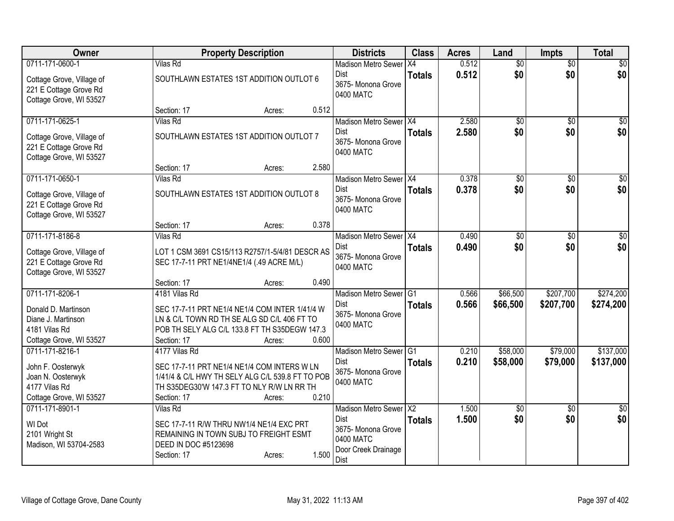| Owner                                                                                                    | <b>Property Description</b>                                                                                                                                                                       | <b>Districts</b>                                                                                 | <b>Class</b>         | <b>Acres</b>   | Land                   | <b>Impts</b>           | <b>Total</b>           |
|----------------------------------------------------------------------------------------------------------|---------------------------------------------------------------------------------------------------------------------------------------------------------------------------------------------------|--------------------------------------------------------------------------------------------------|----------------------|----------------|------------------------|------------------------|------------------------|
| 0711-171-0600-1<br>Cottage Grove, Village of<br>221 E Cottage Grove Rd<br>Cottage Grove, WI 53527        | Vilas Rd<br>SOUTHLAWN ESTATES 1ST ADDITION OUTLOT 6                                                                                                                                               | Madison Metro Sewer   X4<br>Dist<br>3675- Monona Grove<br>0400 MATC                              | <b>Totals</b>        | 0.512<br>0.512 | $\overline{50}$<br>\$0 | \$0<br>\$0             | $\frac{1}{20}$<br>\$0  |
| 0711-171-0625-1<br>Cottage Grove, Village of<br>221 E Cottage Grove Rd<br>Cottage Grove, WI 53527        | 0.512<br>Section: 17<br>Acres:<br>Vilas Rd<br>SOUTHLAWN ESTATES 1ST ADDITION OUTLOT 7<br>2.580<br>Section: 17                                                                                     | Madison Metro Sewer X4<br>Dist<br>3675- Monona Grove<br>0400 MATC                                | <b>Totals</b>        | 2.580<br>2.580 | $\overline{30}$<br>\$0 | $\overline{30}$<br>\$0 | $\overline{30}$<br>\$0 |
| 0711-171-0650-1<br>Cottage Grove, Village of<br>221 E Cottage Grove Rd<br>Cottage Grove, WI 53527        | Acres:<br><b>Vilas Rd</b><br>SOUTHLAWN ESTATES 1ST ADDITION OUTLOT 8<br>0.378<br>Section: 17<br>Acres:                                                                                            | Madison Metro Sewer   X4<br>Dist<br>3675- Monona Grove<br>0400 MATC                              | <b>Totals</b>        | 0.378<br>0.378 | $\overline{30}$<br>\$0 | \$0<br>\$0             | $\overline{50}$<br>\$0 |
| 0711-171-8186-8<br>Cottage Grove, Village of<br>221 E Cottage Grove Rd<br>Cottage Grove, WI 53527        | <b>Vilas Rd</b><br>LOT 1 CSM 3691 CS15/113 R2757/1-5/4/81 DESCR AS<br>SEC 17-7-11 PRT NE1/4NE1/4 (.49 ACRE M/L)<br>0.490<br>Section: 17<br>Acres:                                                 | Madison Metro Sewer   X4<br>Dist<br>3675- Monona Grove<br>0400 MATC                              | <b>Totals</b>        | 0.490<br>0.490 | \$0<br>\$0             | \$0<br>\$0             | $\overline{30}$<br>\$0 |
| 0711-171-8206-1<br>Donald D. Martinson<br>Diane J. Martinson<br>4181 Vilas Rd<br>Cottage Grove, WI 53527 | 4181 Vilas Rd<br>SEC 17-7-11 PRT NE1/4 NE1/4 COM INTER 1/41/4 W<br>LN & C/L TOWN RD TH SE ALG SD C/L 406 FT TO<br>POB TH SELY ALG C/L 133.8 FT TH S35DEGW 147.3<br>Section: 17<br>0.600<br>Acres: | <b>Madison Metro Sewer</b><br><b>Dist</b><br>3675- Monona Grove<br>0400 MATC                     | IG1<br><b>Totals</b> | 0.566<br>0.566 | \$66,500<br>\$66,500   | \$207,700<br>\$207,700 | \$274,200<br>\$274,200 |
| 0711-171-8216-1<br>John F. Oosterwyk<br>Joan N. Oosterwyk<br>4177 Vilas Rd<br>Cottage Grove, WI 53527    | 4177 Vilas Rd<br>SEC 17-7-11 PRT NE1/4 NE1/4 COM INTERS W LN<br>1/41/4 & C/L HWY TH SELY ALG C/L 539.8 FT TO POB<br>TH S35DEG30'W 147.3 FT TO NLY R/W LN RR TH<br>0.210<br>Section: 17<br>Acres:  | Madison Metro Sewer <sup>1</sup> G1<br>Dist<br>3675- Monona Grove<br>0400 MATC                   | <b>Totals</b>        | 0.210<br>0.210 | \$58,000<br>\$58,000   | \$79,000<br>\$79,000   | \$137,000<br>\$137,000 |
| 0711-171-8901-1<br>WI Dot<br>2101 Wright St<br>Madison, WI 53704-2583                                    | Vilas Rd<br>SEC 17-7-11 R/W THRU NW1/4 NE1/4 EXC PRT<br>REMAINING IN TOWN SUBJ TO FREIGHT ESMT<br>DEED IN DOC #5123698<br>1.500<br>Section: 17<br>Acres:                                          | Madison Metro Sewer X2<br>Dist<br>3675- Monona Grove<br>0400 MATC<br>Door Creek Drainage<br>Dist | <b>Totals</b>        | 1.500<br>1.500 | $\overline{50}$<br>\$0 | $\overline{50}$<br>\$0 | $\overline{50}$<br>\$0 |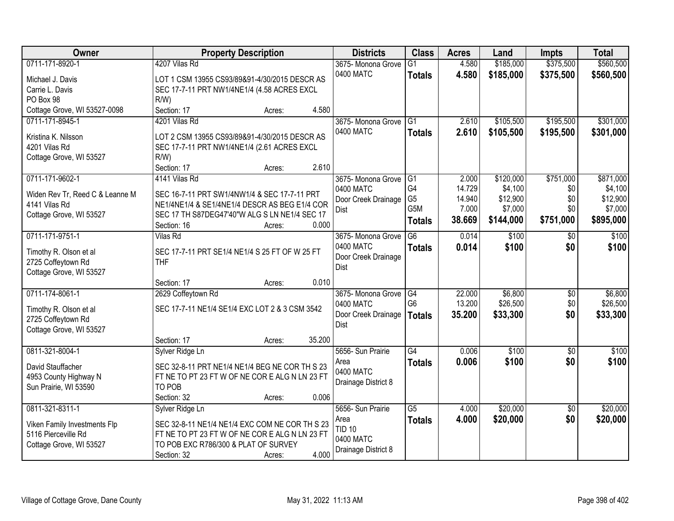| Owner                                        | <b>Property Description</b>                        | <b>Districts</b>     | <b>Class</b>    | <b>Acres</b> | Land      | <b>Impts</b>    | <b>Total</b> |
|----------------------------------------------|----------------------------------------------------|----------------------|-----------------|--------------|-----------|-----------------|--------------|
| 0711-171-8920-1                              | 4207 Vilas Rd                                      | 3675- Monona Grove   | $\overline{G1}$ | 4.580        | \$185,000 | \$375,500       | \$560,500    |
| Michael J. Davis                             | LOT 1 CSM 13955 CS93/89&91-4/30/2015 DESCR AS      | 0400 MATC            | <b>Totals</b>   | 4.580        | \$185,000 | \$375,500       | \$560,500    |
| Carrie L. Davis                              | SEC 17-7-11 PRT NW1/4NE1/4 (4.58 ACRES EXCL        |                      |                 |              |           |                 |              |
| PO Box 98                                    | $R/W$ )                                            |                      |                 |              |           |                 |              |
| Cottage Grove, WI 53527-0098                 | 4.580<br>Section: 17<br>Acres:                     |                      |                 |              |           |                 |              |
| 0711-171-8945-1                              | 4201 Vilas Rd                                      | 3675- Monona Grove   | G1              | 2.610        | \$105,500 | \$195,500       | \$301,000    |
|                                              |                                                    | 0400 MATC            | <b>Totals</b>   | 2.610        | \$105,500 | \$195,500       | \$301,000    |
| Kristina K. Nilsson                          | LOT 2 CSM 13955 CS93/89&91-4/30/2015 DESCR AS      |                      |                 |              |           |                 |              |
| 4201 Vilas Rd                                | SEC 17-7-11 PRT NW1/4NE1/4 (2.61 ACRES EXCL<br>R/W |                      |                 |              |           |                 |              |
| Cottage Grove, WI 53527                      | 2.610<br>Section: 17<br>Acres:                     |                      |                 |              |           |                 |              |
| 0711-171-9602-1                              | 4141 Vilas Rd                                      | 3675-Monona Grove G1 |                 | 2.000        | \$120,000 | \$751,000       | \$871,000    |
|                                              |                                                    | 0400 MATC            | G <sub>4</sub>  | 14.729       | \$4,100   | \$0             | \$4,100      |
| Widen Rev Tr, Reed C & Leanne M              | SEC 16-7-11 PRT SW1/4NW1/4 & SEC 17-7-11 PRT       | Door Creek Drainage  | G <sub>5</sub>  | 14.940       | \$12,900  | \$0             | \$12,900     |
| 4141 Vilas Rd                                | NE1/4NE1/4 & SE1/4NE1/4 DESCR AS BEG E1/4 COR      | <b>Dist</b>          | G5M             | 7.000        | \$7,000   | \$0             | \$7,000      |
| Cottage Grove, WI 53527                      | SEC 17 TH S87DEG47'40"W ALG S LN NE1/4 SEC 17      |                      | <b>Totals</b>   | 38.669       | \$144,000 | \$751,000       | \$895,000    |
|                                              | Section: 16<br>0.000<br>Acres:                     |                      |                 |              |           |                 |              |
| 0711-171-9751-1                              | <b>Vilas Rd</b>                                    | 3675- Monona Grove   | G6              | 0.014        | \$100     | \$0             | \$100        |
| Timothy R. Olson et al                       | SEC 17-7-11 PRT SE1/4 NE1/4 S 25 FT OF W 25 FT     | 0400 MATC            | <b>Totals</b>   | 0.014        | \$100     | \$0             | \$100        |
| 2725 Coffeytown Rd                           | <b>THF</b>                                         | Door Creek Drainage  |                 |              |           |                 |              |
| Cottage Grove, WI 53527                      |                                                    | <b>Dist</b>          |                 |              |           |                 |              |
|                                              | 0.010<br>Section: 17<br>Acres:                     |                      |                 |              |           |                 |              |
| 0711-174-8061-1                              | 2629 Coffeytown Rd                                 | 3675- Monona Grove   | G4              | 22.000       | \$6,800   | \$0             | \$6,800      |
|                                              | SEC 17-7-11 NE1/4 SE1/4 EXC LOT 2 & 3 CSM 3542     | 0400 MATC            | G <sub>6</sub>  | 13.200       | \$26,500  | \$0             | \$26,500     |
| Timothy R. Olson et al<br>2725 Coffeytown Rd |                                                    | Door Creek Drainage  | <b>Totals</b>   | 35.200       | \$33,300  | \$0             | \$33,300     |
| Cottage Grove, WI 53527                      |                                                    | <b>Dist</b>          |                 |              |           |                 |              |
|                                              | 35.200<br>Section: 17<br>Acres:                    |                      |                 |              |           |                 |              |
| 0811-321-8004-1                              | Sylver Ridge Ln                                    | 5656- Sun Prairie    | G4              | 0.006        | \$100     | $\sqrt{6}$      | \$100        |
|                                              |                                                    | Area                 | <b>Totals</b>   | 0.006        | \$100     | \$0             | \$100        |
| David Stauffacher                            | SEC 32-8-11 PRT NE1/4 NE1/4 BEG NE COR TH S 23     | 0400 MATC            |                 |              |           |                 |              |
| 4953 County Highway N                        | FT NE TO PT 23 FT W OF NE COR E ALG N LN 23 FT     | Drainage District 8  |                 |              |           |                 |              |
| Sun Prairie, WI 53590                        | TO POB                                             |                      |                 |              |           |                 |              |
|                                              | 0.006<br>Section: 32<br>Acres:                     |                      |                 |              |           |                 |              |
| 0811-321-8311-1                              | Sylver Ridge Ln                                    | 5656- Sun Prairie    | G5              | 4.000        | \$20,000  | $\overline{30}$ | \$20,000     |
| Viken Family Investments Flp                 | SEC 32-8-11 NE1/4 NE1/4 EXC COM NE COR TH S 23     | Area                 | <b>Totals</b>   | 4.000        | \$20,000  | \$0             | \$20,000     |
| 5116 Pierceville Rd                          | FT NE TO PT 23 FT W OF NE COREALGN LN 23 FT        | <b>TID 10</b>        |                 |              |           |                 |              |
| Cottage Grove, WI 53527                      | TO POB EXC R786/300 & PLAT OF SURVEY               | 0400 MATC            |                 |              |           |                 |              |
|                                              | 4.000<br>Section: 32<br>Acres:                     | Drainage District 8  |                 |              |           |                 |              |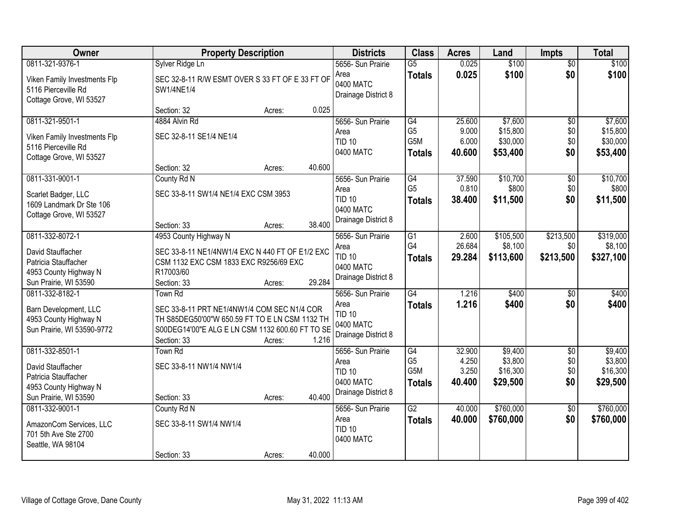| Owner                                                                          | <b>Property Description</b>                                                               |        |        | <b>Districts</b>                         | <b>Class</b>                      | <b>Acres</b>    | Land                 | <b>Impts</b>           | <b>Total</b>         |
|--------------------------------------------------------------------------------|-------------------------------------------------------------------------------------------|--------|--------|------------------------------------------|-----------------------------------|-----------------|----------------------|------------------------|----------------------|
| 0811-321-9376-1                                                                | Sylver Ridge Ln                                                                           |        |        | 5656- Sun Prairie                        | $\overline{G5}$                   | 0.025           | \$100                | $\overline{50}$<br>\$0 | \$100                |
| Viken Family Investments Flp<br>5116 Pierceville Rd<br>Cottage Grove, WI 53527 | SEC 32-8-11 R/W ESMT OVER S 33 FT OF E 33 FT OF<br>SW1/4NE1/4                             |        |        | Area<br>0400 MATC<br>Drainage District 8 | <b>Totals</b>                     | 0.025           | \$100                |                        | \$100                |
|                                                                                | Section: 32                                                                               | Acres: | 0.025  |                                          |                                   |                 |                      |                        |                      |
| 0811-321-9501-1                                                                | 4884 Alvin Rd                                                                             |        |        | 5656- Sun Prairie                        | G4                                | 25.600          | \$7,600              | \$0                    | \$7,600              |
| Viken Family Investments Flp                                                   | SEC 32-8-11 SE1/4 NE1/4                                                                   |        |        | Area<br><b>TID 10</b>                    | G <sub>5</sub><br>G5M             | 9.000<br>6.000  | \$15,800<br>\$30,000 | \$0<br>\$0             | \$15,800<br>\$30,000 |
| 5116 Pierceville Rd                                                            |                                                                                           |        |        | 0400 MATC                                | <b>Totals</b>                     | 40.600          | \$53,400             | \$0                    | \$53,400             |
| Cottage Grove, WI 53527                                                        |                                                                                           |        |        |                                          |                                   |                 |                      |                        |                      |
|                                                                                | Section: 32                                                                               | Acres: | 40.600 |                                          |                                   |                 |                      |                        |                      |
| 0811-331-9001-1                                                                | County Rd N                                                                               |        |        | 5656- Sun Prairie<br>Area                | $\overline{G4}$<br>G <sub>5</sub> | 37.590<br>0.810 | \$10,700<br>\$800    | $\overline{60}$<br>\$0 | \$10,700<br>\$800    |
| Scarlet Badger, LLC                                                            | SEC 33-8-11 SW1/4 NE1/4 EXC CSM 3953                                                      |        |        | <b>TID 10</b>                            | <b>Totals</b>                     | 38,400          | \$11,500             | \$0                    | \$11,500             |
| 1609 Landmark Dr Ste 106                                                       |                                                                                           |        |        | 0400 MATC                                |                                   |                 |                      |                        |                      |
| Cottage Grove, WI 53527                                                        | Section: 33                                                                               | Acres: | 38.400 | Drainage District 8                      |                                   |                 |                      |                        |                      |
| 0811-332-8072-1                                                                | 4953 County Highway N                                                                     |        |        | 5656- Sun Prairie                        | $\overline{G1}$                   | 2.600           | \$105,500            | \$213,500              | \$319,000            |
|                                                                                |                                                                                           |        |        | Area                                     | G4                                | 26.684          | \$8,100              | \$0                    | \$8,100              |
| David Stauffacher<br>Patricia Stauffacher                                      | SEC 33-8-11 NE1/4NW1/4 EXC N 440 FT OF E1/2 EXC<br>CSM 1132 EXC CSM 1833 EXC R9256/69 EXC |        |        | <b>TID 10</b>                            | <b>Totals</b>                     | 29.284          | \$113,600            | \$213,500              | \$327,100            |
| 4953 County Highway N                                                          | R17003/60                                                                                 |        |        | 0400 MATC                                |                                   |                 |                      |                        |                      |
| Sun Prairie, WI 53590                                                          | Section: 33                                                                               | Acres: | 29.284 | Drainage District 8                      |                                   |                 |                      |                        |                      |
| 0811-332-8182-1                                                                | <b>Town Rd</b>                                                                            |        |        | 5656- Sun Prairie                        | G4                                | 1.216           | \$400                | $\overline{50}$        | \$400                |
| Barn Development, LLC                                                          | SEC 33-8-11 PRT NE1/4NW1/4 COM SEC N1/4 COR                                               |        |        | Area                                     | Totals                            | 1.216           | \$400                | \$0                    | \$400                |
| 4953 County Highway N                                                          | TH S85DEG50'00"W 650.59 FT TO E LN CSM 1132 TH                                            |        |        | <b>TID 10</b><br>0400 MATC               |                                   |                 |                      |                        |                      |
| Sun Prairie, WI 53590-9772                                                     | S00DEG14'00"E ALG E LN CSM 1132 600.60 FT TO SE                                           |        |        | Drainage District 8                      |                                   |                 |                      |                        |                      |
|                                                                                | Section: 33                                                                               | Acres: | 1.216  |                                          |                                   |                 |                      |                        |                      |
| 0811-332-8501-1                                                                | Town Rd                                                                                   |        |        | 5656- Sun Prairie                        | G4<br>G <sub>5</sub>              | 32.900<br>4.250 | \$9,400<br>\$3,800   | $\sqrt{6}$<br>\$0      | \$9,400<br>\$3,800   |
| David Stauffacher                                                              | SEC 33-8-11 NW1/4 NW1/4                                                                   |        |        | Area<br><b>TID 10</b>                    | G5M                               | 3.250           | \$16,300             | \$0                    | \$16,300             |
| Patricia Stauffacher                                                           |                                                                                           |        |        | 0400 MATC                                | <b>Totals</b>                     | 40.400          | \$29,500             | \$0                    | \$29,500             |
| 4953 County Highway N<br>Sun Prairie, WI 53590                                 | Section: 33                                                                               |        | 40.400 | Drainage District 8                      |                                   |                 |                      |                        |                      |
| 0811-332-9001-1                                                                | County Rd N                                                                               | Acres: |        | 5656- Sun Prairie                        | $\overline{G2}$                   | 40.000          | \$760,000            | $\overline{30}$        | \$760,000            |
|                                                                                |                                                                                           |        |        | Area                                     | <b>Totals</b>                     | 40.000          | \$760,000            | \$0                    | \$760,000            |
| AmazonCom Services, LLC                                                        | SEC 33-8-11 SW1/4 NW1/4                                                                   |        |        | <b>TID 10</b>                            |                                   |                 |                      |                        |                      |
| 701 5th Ave Ste 2700<br>Seattle, WA 98104                                      |                                                                                           |        |        | 0400 MATC                                |                                   |                 |                      |                        |                      |
|                                                                                | Section: 33                                                                               | Acres: | 40.000 |                                          |                                   |                 |                      |                        |                      |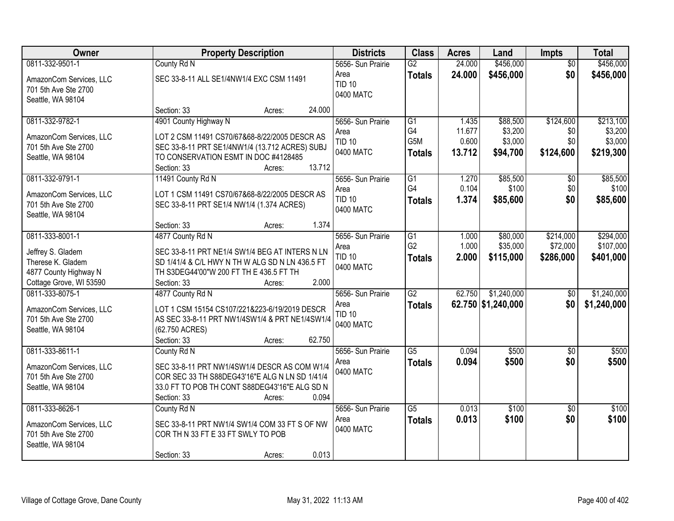| Owner                   | <b>Property Description</b>                     | <b>Districts</b>           | <b>Class</b>    | <b>Acres</b> | Land               | <b>Impts</b>    | <b>Total</b> |
|-------------------------|-------------------------------------------------|----------------------------|-----------------|--------------|--------------------|-----------------|--------------|
| 0811-332-9501-1         | County Rd N                                     | 5656- Sun Prairie          | $\overline{G2}$ | 24.000       | \$456,000          | $\overline{30}$ | \$456,000    |
| AmazonCom Services, LLC | SEC 33-8-11 ALL SE1/4NW1/4 EXC CSM 11491        | Area                       | <b>Totals</b>   | 24.000       | \$456,000          | \$0             | \$456,000    |
| 701 5th Ave Ste 2700    |                                                 | <b>TID 10</b>              |                 |              |                    |                 |              |
| Seattle, WA 98104       |                                                 | 0400 MATC                  |                 |              |                    |                 |              |
|                         | 24.000<br>Section: 33<br>Acres:                 |                            |                 |              |                    |                 |              |
| 0811-332-9782-1         | 4901 County Highway N                           | 5656- Sun Prairie          | $\overline{G1}$ | 1.435        | \$88,500           | \$124,600       | \$213,100    |
| AmazonCom Services, LLC | LOT 2 CSM 11491 CS70/67&68-8/22/2005 DESCR AS   | Area                       | G4              | 11.677       | \$3,200            | \$0             | \$3,200      |
| 701 5th Ave Ste 2700    | SEC 33-8-11 PRT SE1/4NW1/4 (13.712 ACRES) SUBJ  | <b>TID 10</b>              | G5M             | 0.600        | \$3,000            | \$0             | \$3,000      |
| Seattle, WA 98104       | TO CONSERVATION ESMT IN DOC #4128485            | 0400 MATC                  | <b>Totals</b>   | 13.712       | \$94,700           | \$124,600       | \$219,300    |
|                         | 13.712<br>Section: 33<br>Acres:                 |                            |                 |              |                    |                 |              |
| 0811-332-9791-1         | 11491 County Rd N                               | 5656- Sun Prairie          | G1              | 1.270        | \$85,500           | \$0             | \$85,500     |
| AmazonCom Services, LLC | LOT 1 CSM 11491 CS70/67&68-8/22/2005 DESCR AS   | Area                       | G4              | 0.104        | \$100              | \$0             | \$100        |
| 701 5th Ave Ste 2700    | SEC 33-8-11 PRT SE1/4 NW1/4 (1.374 ACRES)       | <b>TID 10</b>              | <b>Totals</b>   | 1.374        | \$85,600           | \$0             | \$85,600     |
| Seattle, WA 98104       |                                                 | 0400 MATC                  |                 |              |                    |                 |              |
|                         | 1.374<br>Section: 33<br>Acres:                  |                            |                 |              |                    |                 |              |
| 0811-333-8001-1         | 4877 County Rd N                                | 5656- Sun Prairie          | $\overline{G1}$ | 1.000        | \$80,000           | \$214,000       | \$294,000    |
| Jeffrey S. Gladem       | SEC 33-8-11 PRT NE1/4 SW1/4 BEG AT INTERS N LN  | Area                       | G <sub>2</sub>  | 1.000        | \$35,000           | \$72,000        | \$107,000    |
| Therese K. Gladem       | SD 1/41/4 & C/L HWY N TH W ALG SD N LN 436.5 FT | <b>TID 10</b><br>0400 MATC | <b>Totals</b>   | 2.000        | \$115,000          | \$286,000       | \$401,000    |
| 4877 County Highway N   | TH S3DEG44'00"W 200 FT TH E 436.5 FT TH         |                            |                 |              |                    |                 |              |
| Cottage Grove, WI 53590 | 2.000<br>Section: 33<br>Acres:                  |                            |                 |              |                    |                 |              |
| 0811-333-8075-1         | 4877 County Rd N                                | 5656- Sun Prairie          | $\overline{G2}$ | 62.750       | \$1,240,000        | \$0             | \$1,240,000  |
| AmazonCom Services, LLC | LOT 1 CSM 15154 CS107/221&223-6/19/2019 DESCR   | Area                       | <b>Totals</b>   |              | 62.750 \$1,240,000 | \$0             | \$1,240,000  |
| 701 5th Ave Ste 2700    | AS SEC 33-8-11 PRT NW1/4SW1/4 & PRT NE1/4SW1/4  | <b>TID 10</b>              |                 |              |                    |                 |              |
| Seattle, WA 98104       | (62.750 ACRES)                                  | 0400 MATC                  |                 |              |                    |                 |              |
|                         | Section: 33<br>62.750<br>Acres:                 |                            |                 |              |                    |                 |              |
| 0811-333-8611-1         | County Rd N                                     | 5656- Sun Prairie          | $\overline{G5}$ | 0.094        | \$500              | $\sqrt{6}$      | \$500        |
| AmazonCom Services, LLC | SEC 33-8-11 PRT NW1/4SW1/4 DESCR AS COM W1/4    | Area                       | <b>Totals</b>   | 0.094        | \$500              | \$0             | \$500        |
| 701 5th Ave Ste 2700    | COR SEC 33 TH S88DEG43'16"E ALG N LN SD 1/41/4  | 0400 MATC                  |                 |              |                    |                 |              |
| Seattle, WA 98104       | 33.0 FT TO POB TH CONT S88DEG43'16"E ALG SD N   |                            |                 |              |                    |                 |              |
|                         | 0.094<br>Section: 33<br>Acres:                  |                            |                 |              |                    |                 |              |
| 0811-333-8626-1         | County Rd N                                     | 5656- Sun Prairie          | $\overline{G5}$ | 0.013        | \$100              | $\overline{50}$ | \$100        |
| AmazonCom Services, LLC | SEC 33-8-11 PRT NW1/4 SW1/4 COM 33 FT S OF NW   | Area                       | <b>Totals</b>   | 0.013        | \$100              | \$0             | \$100        |
| 701 5th Ave Ste 2700    | COR TH N 33 FT E 33 FT SWLY TO POB              | 0400 MATC                  |                 |              |                    |                 |              |
| Seattle, WA 98104       |                                                 |                            |                 |              |                    |                 |              |
|                         | 0.013<br>Section: 33<br>Acres:                  |                            |                 |              |                    |                 |              |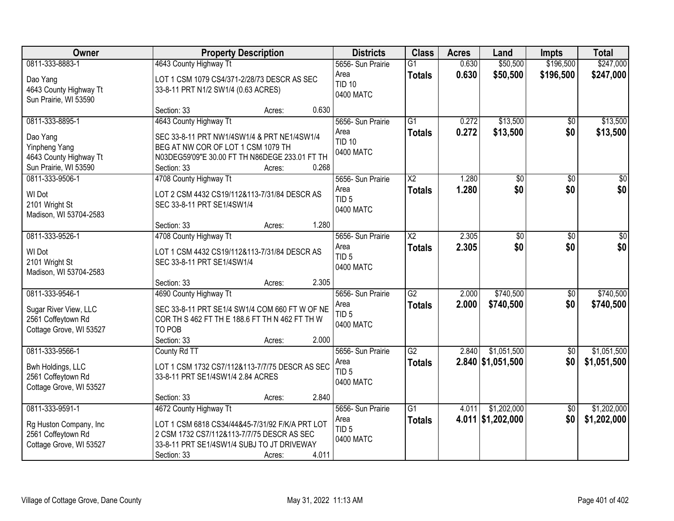| Owner                                         |                                       | <b>Property Description</b>                     |                               |                        | <b>Acres</b> | Land                | <b>Impts</b>    | <b>Total</b>     |
|-----------------------------------------------|---------------------------------------|-------------------------------------------------|-------------------------------|------------------------|--------------|---------------------|-----------------|------------------|
| 0811-333-8883-1                               | 4643 County Highway Tt                |                                                 | 5656- Sun Prairie             | $\overline{G1}$        | 0.630        | \$50,500            | \$196,500       | \$247,000        |
| Dao Yang                                      |                                       | LOT 1 CSM 1079 CS4/371-2/28/73 DESCR AS SEC     | Area<br><b>TID 10</b>         | <b>Totals</b>          | 0.630        | \$50,500            | \$196,500       | \$247,000        |
| 4643 County Highway Tt                        | 33-8-11 PRT N1/2 SW1/4 (0.63 ACRES)   |                                                 | 0400 MATC                     |                        |              |                     |                 |                  |
| Sun Prairie, WI 53590                         | Section: 33                           | Acres:                                          | 0.630                         |                        |              |                     |                 |                  |
| 0811-333-8895-1                               | 4643 County Highway Tt                |                                                 | 5656- Sun Prairie             | $\overline{G1}$        | 0.272        | \$13,500            | $\overline{50}$ | \$13,500         |
|                                               |                                       |                                                 | Area                          | <b>Totals</b>          | 0.272        | \$13,500            | \$0             | \$13,500         |
| Dao Yang<br>Yinpheng Yang                     | BEG AT NW COR OF LOT 1 CSM 1079 TH    | SEC 33-8-11 PRT NW1/4SW1/4 & PRT NE1/4SW1/4     | <b>TID 10</b>                 |                        |              |                     |                 |                  |
| 4643 County Highway Tt                        |                                       | N03DEG59'09"E 30.00 FT TH N86DEGE 233.01 FT TH  | 0400 MATC                     |                        |              |                     |                 |                  |
| Sun Prairie, WI 53590                         | Section: 33                           | Acres:                                          | 0.268                         |                        |              |                     |                 |                  |
| 0811-333-9506-1                               | 4708 County Highway Tt                |                                                 | 5656- Sun Prairie             | $\overline{X2}$        | 1.280        | \$0                 | \$0             | $\overline{\$0}$ |
| WI Dot                                        |                                       | LOT 2 CSM 4432 CS19/112&113-7/31/84 DESCR AS    | Area                          | <b>Totals</b>          | 1.280        | \$0                 | \$0             | \$0              |
| 2101 Wright St                                | SEC 33-8-11 PRT SE1/4SW1/4            |                                                 | TID <sub>5</sub><br>0400 MATC |                        |              |                     |                 |                  |
| Madison, WI 53704-2583                        |                                       |                                                 |                               |                        |              |                     |                 |                  |
|                                               | Section: 33                           | Acres:                                          | 1.280                         |                        |              |                     |                 |                  |
| 0811-333-9526-1                               | 4708 County Highway Tt                |                                                 | 5656- Sun Prairie             | $\overline{\text{X2}}$ | 2.305        | $\overline{50}$     | $\sqrt[6]{3}$   | $\sqrt{50}$      |
| WI Dot                                        |                                       | LOT 1 CSM 4432 CS19/112&113-7/31/84 DESCR AS    | Area<br>TID <sub>5</sub>      | <b>Totals</b>          | 2.305        | \$0                 | \$0             | \$0              |
| 2101 Wright St                                | SEC 33-8-11 PRT SE1/4SW1/4            |                                                 | 0400 MATC                     |                        |              |                     |                 |                  |
| Madison, WI 53704-2583                        |                                       |                                                 | 2.305                         |                        |              |                     |                 |                  |
| 0811-333-9546-1                               | Section: 33<br>4690 County Highway Tt | Acres:                                          | 5656- Sun Prairie             | $\overline{G2}$        | 2.000        | \$740,500           | \$0             | \$740,500        |
|                                               |                                       |                                                 | Area                          | <b>Totals</b>          | 2.000        | \$740,500           | \$0             | \$740,500        |
| Sugar River View, LLC                         |                                       | SEC 33-8-11 PRT SE1/4 SW1/4 COM 660 FT W OF NE  | TID <sub>5</sub>              |                        |              |                     |                 |                  |
| 2561 Coffeytown Rd<br>Cottage Grove, WI 53527 | TO POB                                | COR TH S 462 FT TH E 188.6 FT TH N 462 FT TH W  | 0400 MATC                     |                        |              |                     |                 |                  |
|                                               | Section: 33                           | Acres:                                          | 2.000                         |                        |              |                     |                 |                  |
| 0811-333-9566-1                               | County Rd TT                          |                                                 | 5656- Sun Prairie             | $\overline{G2}$        | 2.840        | \$1,051,500         | $\overline{50}$ | \$1,051,500      |
| Bwh Holdings, LLC                             |                                       | LOT 1 CSM 1732 CS7/112&113-7/7/75 DESCR AS SEC  | Area                          | <b>Totals</b>          |              | $2.840$ \$1,051,500 | \$0             | \$1,051,500      |
| 2561 Coffeytown Rd                            | 33-8-11 PRT SE1/4SW1/4 2.84 ACRES     |                                                 | TID <sub>5</sub>              |                        |              |                     |                 |                  |
| Cottage Grove, WI 53527                       |                                       |                                                 | 0400 MATC                     |                        |              |                     |                 |                  |
|                                               | Section: 33                           | Acres:                                          | 2.840                         |                        |              |                     |                 |                  |
| 0811-333-9591-1                               | 4672 County Highway Tt                |                                                 | 5656- Sun Prairie             | $\overline{G1}$        | 4.011        | \$1,202,000         | $\overline{50}$ | \$1,202,000      |
| Rg Huston Company, Inc.                       |                                       | LOT 1 CSM 6818 CS34/44&45-7/31/92 F/K/A PRT LOT | Area                          | <b>Totals</b>          |              | 4.011 \$1,202,000   | \$0             | \$1,202,000      |
| 2561 Coffeytown Rd                            |                                       | 2 CSM 1732 CS7/112&113-7/7/75 DESCR AS SEC      | TID <sub>5</sub><br>0400 MATC |                        |              |                     |                 |                  |
| Cottage Grove, WI 53527                       |                                       | 33-8-11 PRT SE1/4SW1/4 SUBJ TO JT DRIVEWAY      |                               |                        |              |                     |                 |                  |
|                                               | Section: 33                           | Acres:                                          | 4.011                         |                        |              |                     |                 |                  |